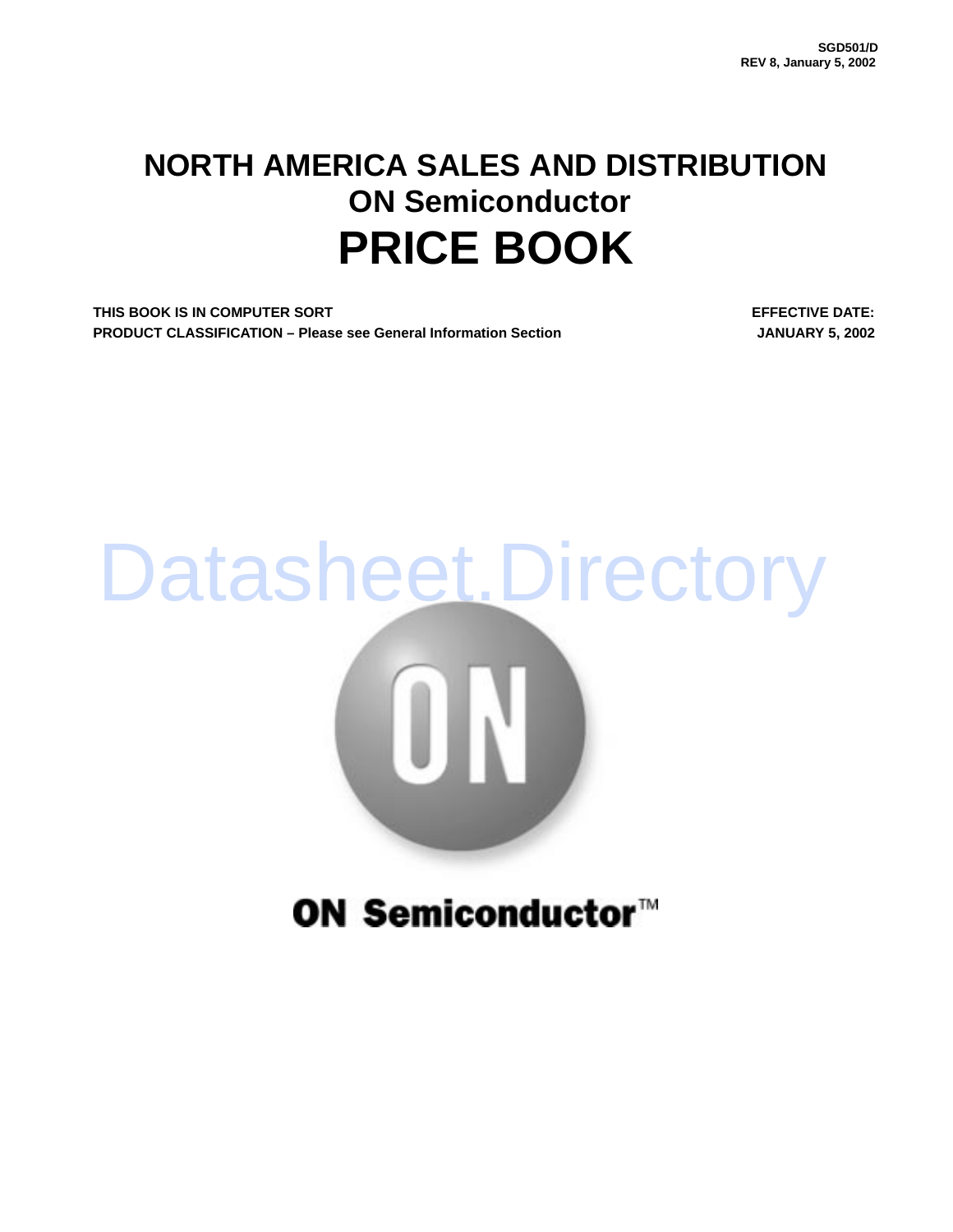# **NORTH AMERICA SALES AND DISTRIBUTION ON Semiconductor PRICE BOOK**

**THIS BOOK IS IN COMPUTER SORT EFFECTIVE DATE: PRODUCT CLASSIFICATION – Please see General Information Section JANUARY 5, 2002** 



**ON Semiconductor**™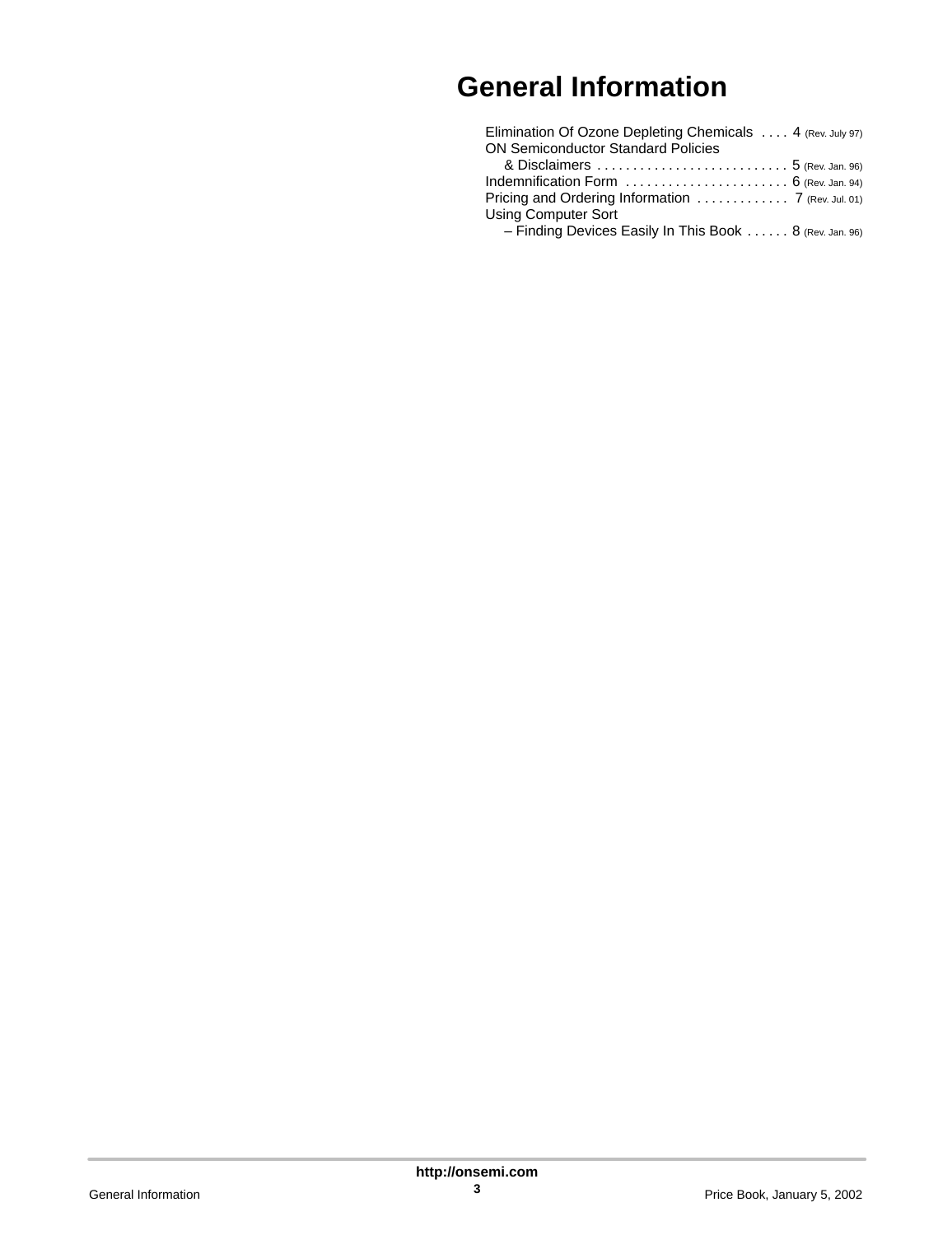# **General Information**

| Elimination Of Ozone Depleting Chemicals  4 (Rev. July 97)                                      |
|-------------------------------------------------------------------------------------------------|
| <b>ON Semiconductor Standard Policies</b>                                                       |
|                                                                                                 |
| Indemnification Form $\ldots \ldots \ldots \ldots \ldots \ldots \ldots \ldots$ 6 (Rev. Jan. 94) |
|                                                                                                 |
| <b>Using Computer Sort</b>                                                                      |
| - Finding Devices Easily In This Book 8 (Rev. Jan. 96)                                          |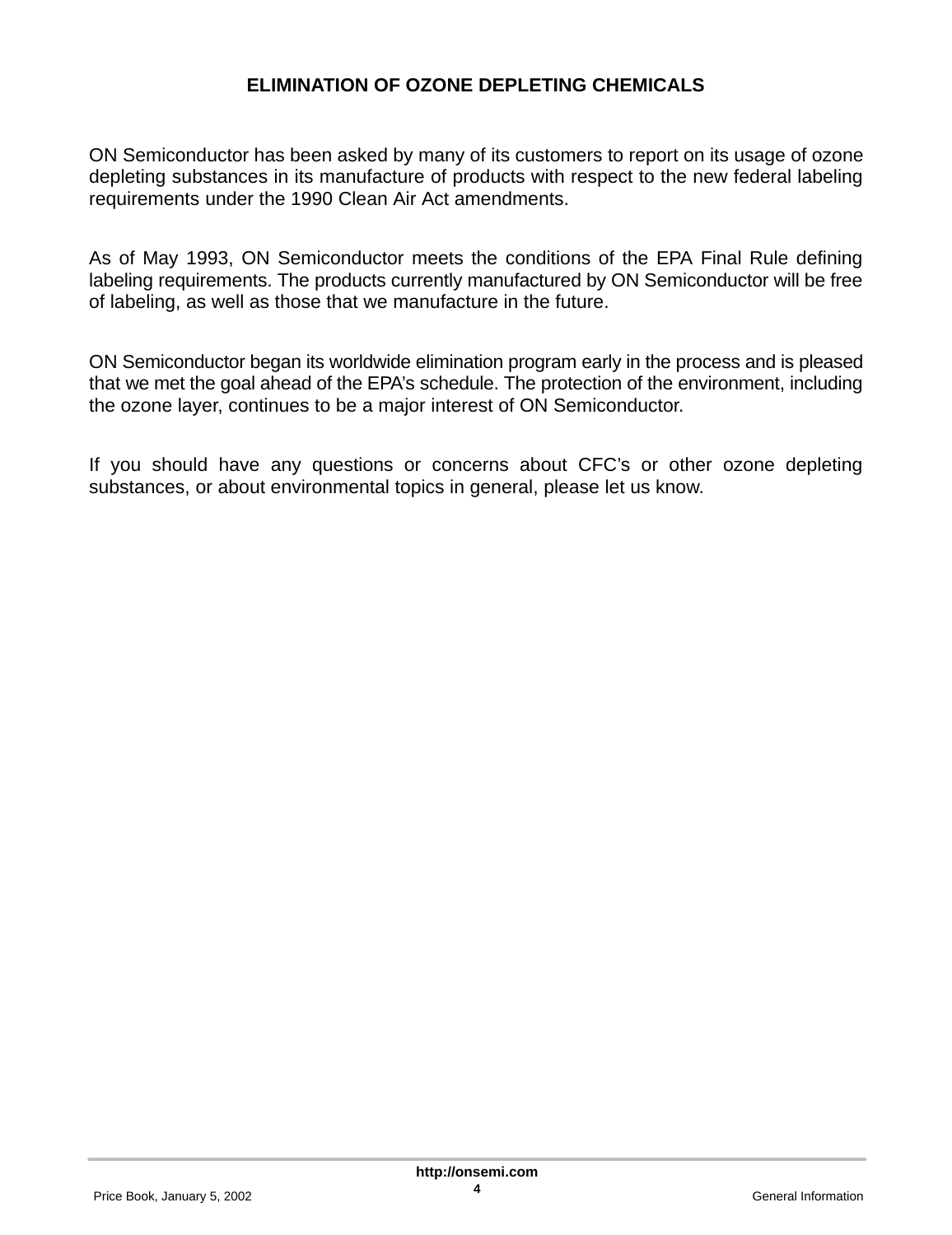### **ELIMINATION OF OZONE DEPLETING CHEMICALS**

ON Semiconductor has been asked by many of its customers to report on its usage of ozone depleting substances in its manufacture of products with respect to the new federal labeling requirements under the 1990 Clean Air Act amendments.

As of May 1993, ON Semiconductor meets the conditions of the EPA Final Rule defining labeling requirements. The products currently manufactured by ON Semiconductor will be free of labeling, as well as those that we manufacture in the future.

ON Semiconductor began its worldwide elimination program early in the process and is pleased that we met the goal ahead of the EPA's schedule. The protection of the environment, including the ozone layer, continues to be a major interest of ON Semiconductor.

If you should have any questions or concerns about CFC's or other ozone depleting substances, or about environmental topics in general, please let us know.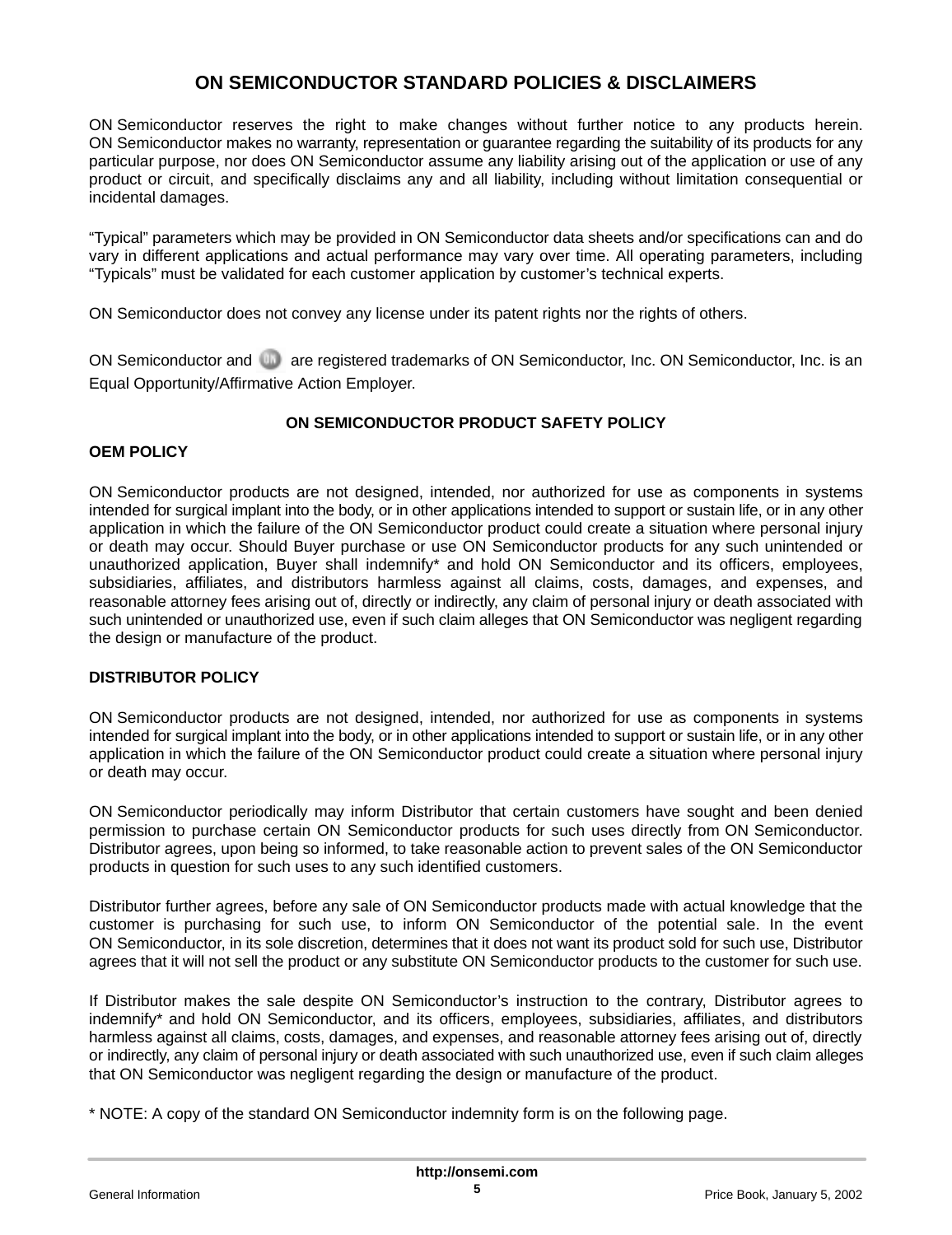### **ON SEMICONDUCTOR STANDARD POLICIES & DISCLAIMERS**

ON Semiconductor reserves the right to make changes without further notice to any products herein. ON Semiconductor makes no warranty, representation or guarantee regarding the suitability of its products for any particular purpose, nor does ON Semiconductor assume any liability arising out of the application or use of any product or circuit, and specifically disclaims any and all liability, including without limitation consequential or incidental damages.

"Typical" parameters which may be provided in ON Semiconductor data sheets and/or specifications can and do vary in different applications and actual performance may vary over time. All operating parameters, including "Typicals" must be validated for each customer application by customer's technical experts.

ON Semiconductor does not convey any license under its patent rights nor the rights of others.

ON Semiconductor and **and are registered trademarks of ON Semiconductor, Inc. ON Semiconductor, Inc. is an** Equal Opportunity/Affirmative Action Employer.

#### **ON SEMICONDUCTOR PRODUCT SAFETY POLICY**

#### **OEM POLICY**

ON Semiconductor products are not designed, intended, nor authorized for use as components in systems intended for surgical implant into the body, or in other applications intended to support or sustain life, or in any other application in which the failure of the ON Semiconductor product could create a situation where personal injury or death may occur. Should Buyer purchase or use ON Semiconductor products for any such unintended or unauthorized application, Buyer shall indemnify\* and hold ON Semiconductor and its officers, employees, subsidiaries, affiliates, and distributors harmless against all claims, costs, damages, and expenses, and reasonable attorney fees arising out of, directly or indirectly, any claim of personal injury or death associated with such unintended or unauthorized use, even if such claim alleges that ON Semiconductor was negligent regarding the design or manufacture of the product.

#### **DISTRIBUTOR POLICY**

ON Semiconductor products are not designed, intended, nor authorized for use as components in systems intended for surgical implant into the body, or in other applications intended to support or sustain life, or in any other application in which the failure of the ON Semiconductor product could create a situation where personal injury or death may occur.

ON Semiconductor periodically may inform Distributor that certain customers have sought and been denied permission to purchase certain ON Semiconductor products for such uses directly from ON Semiconductor. Distributor agrees, upon being so informed, to take reasonable action to prevent sales of the ON Semiconductor products in question for such uses to any such identified customers.

Distributor further agrees, before any sale of ON Semiconductor products made with actual knowledge that the customer is purchasing for such use, to inform ON Semiconductor of the potential sale. In the event ON Semiconductor, in its sole discretion, determines that it does not want its product sold for such use, Distributor agrees that it will not sell the product or any substitute ON Semiconductor products to the customer for such use.

If Distributor makes the sale despite ON Semiconductor's instruction to the contrary, Distributor agrees to indemnify\* and hold ON Semiconductor, and its officers, employees, subsidiaries, affiliates, and distributors harmless against all claims, costs, damages, and expenses, and reasonable attorney fees arising out of, directly or indirectly, any claim of personal injury or death associated with such unauthorized use, even if such claim alleges that ON Semiconductor was negligent regarding the design or manufacture of the product.

\* NOTE: A copy of the standard ON Semiconductor indemnity form is on the following page.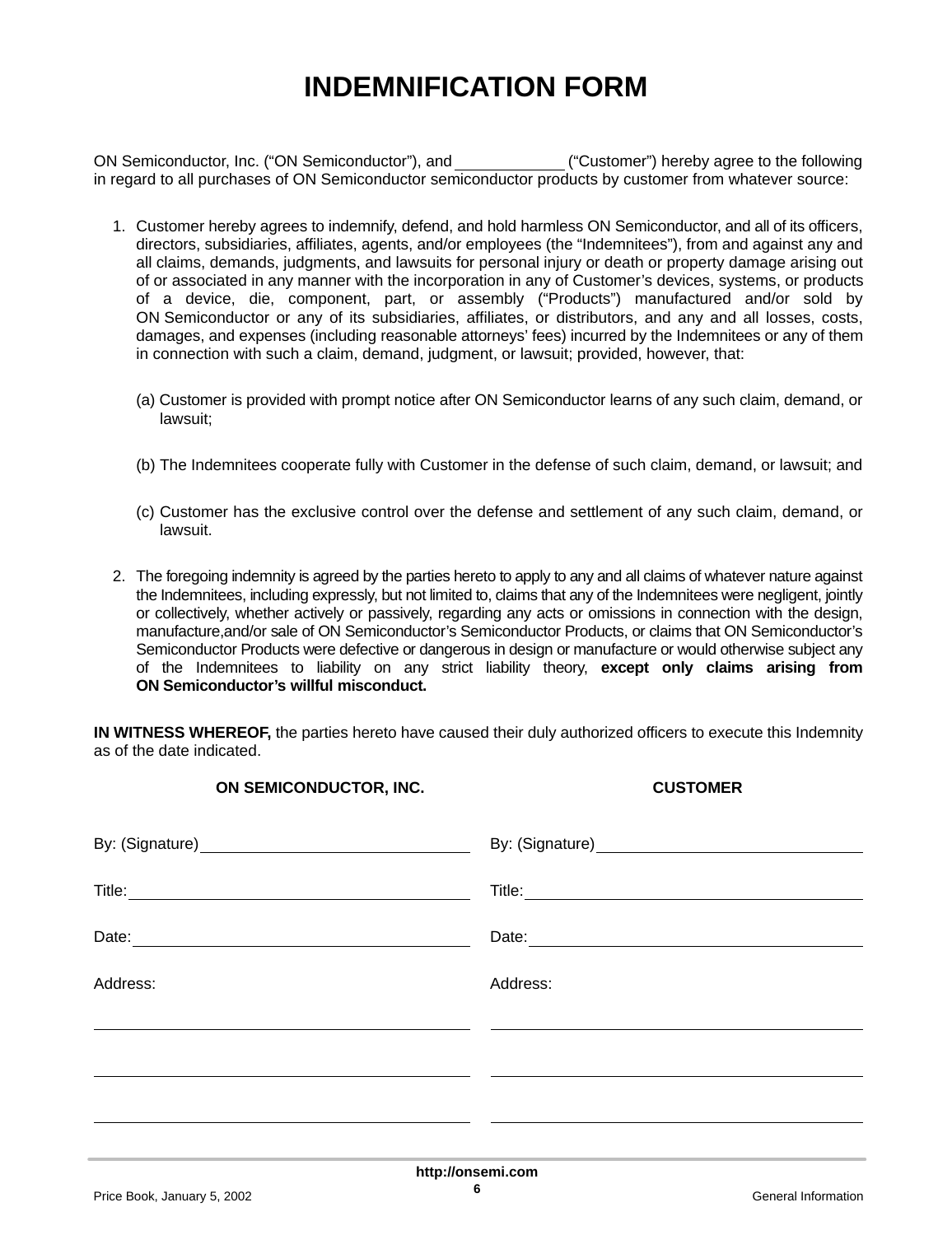# **INDEMNIFICATION FORM**

ON Semiconductor, Inc. ("ON Semiconductor"), and ("Customer") hereby agree to the following in regard to all purchases of ON Semiconductor semiconductor products by customer from whatever source:

- 1. Customer hereby agrees to indemnify, defend, and hold harmless ON Semiconductor, and all of its officers, directors, subsidiaries, affiliates, agents, and/or employees (the "Indemnitees"), from and against any and all claims, demands, judgments, and lawsuits for personal injury or death or property damage arising out of or associated in any manner with the incorporation in any of Customer's devices, systems, or products of a device, die, component, part, or assembly ("Products") manufactured and/or sold by ON Semiconductor or any of its subsidiaries, affiliates, or distributors, and any and all losses, costs, damages, and expenses (including reasonable attorneys' fees) incurred by the Indemnitees or any of them in connection with such a claim, demand, judgment, or lawsuit; provided, however, that:
	- (a) Customer is provided with prompt notice after ON Semiconductor learns of any such claim, demand, or lawsuit;
	- (b) The Indemnitees cooperate fully with Customer in the defense of such claim, demand, or lawsuit; and
	- (c) Customer has the exclusive control over the defense and settlement of any such claim, demand, or lawsuit.
- 2. The foregoing indemnity is agreed by the parties hereto to apply to any and all claims of whatever nature against the Indemnitees, including expressly, but not limited to, claims that any of the Indemnitees were negligent, jointly or collectively, whether actively or passively, regarding any acts or omissions in connection with the design, manufacture,and/or sale of ON Semiconductor's Semiconductor Products, or claims that ON Semiconductor's Semiconductor Products were defective or dangerous in design or manufacture or would otherwise subject any of the Indemnitees to liability on any strict liability theory, **except only claims arising from ON Semiconductor's willful misconduct.**

**IN WITNESS WHEREOF,** the parties hereto have caused their duly authorized officers to execute this Indemnity as of the date indicated.

**ON SEMICONDUCTOR, INC. CUSTOMER**

| By: (Signature)<br><u> By: (Signature)</u> |          |
|--------------------------------------------|----------|
|                                            |          |
|                                            | Date:    |
| Address:                                   | Address: |
|                                            |          |
|                                            |          |
|                                            |          |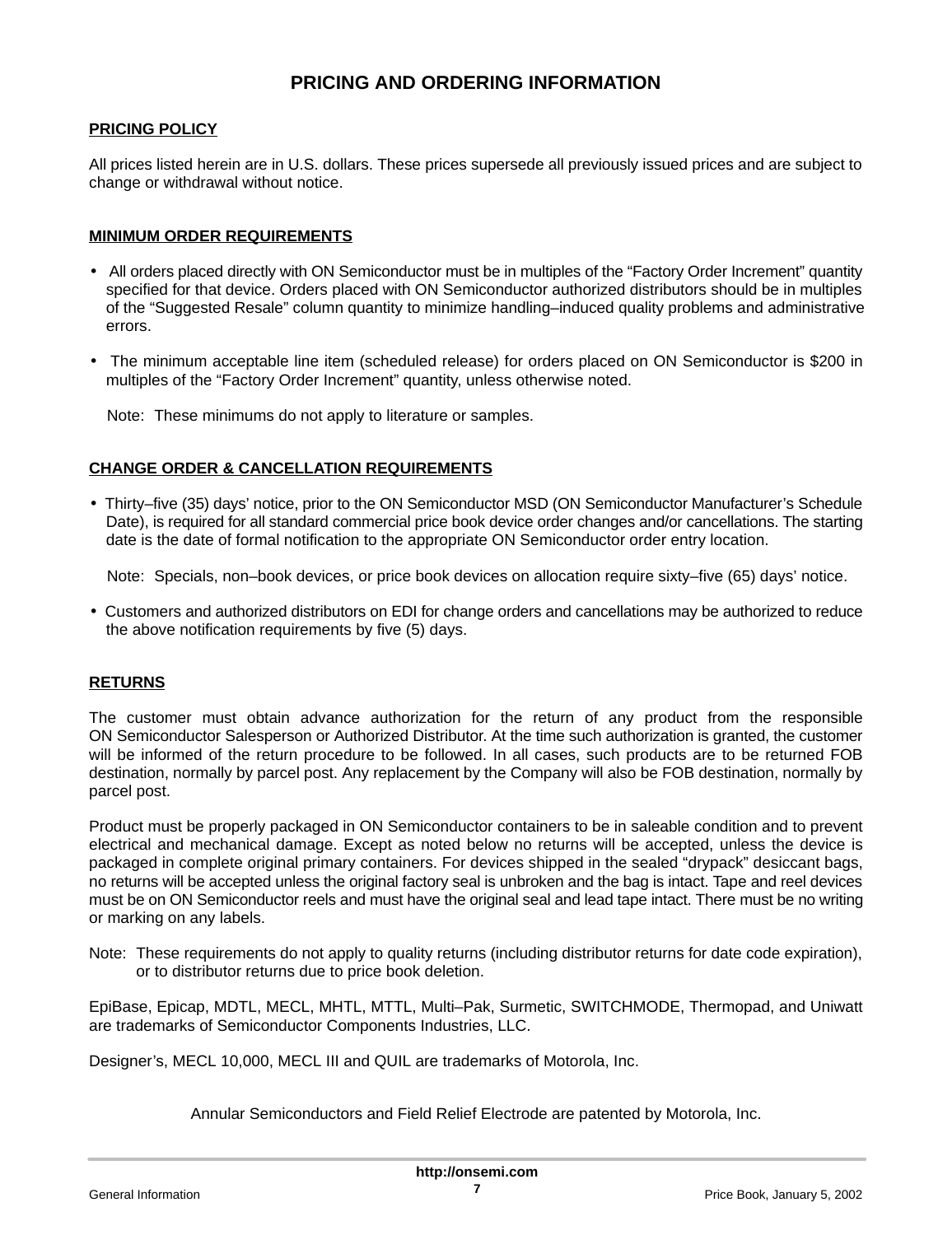### **PRICING AND ORDERING INFORMATION**

#### **PRICING POLICY**

All prices listed herein are in U.S. dollars. These prices supersede all previously issued prices and are subject to change or withdrawal without notice.

#### **MINIMUM ORDER REQUIREMENTS**

- All orders placed directly with ON Semiconductor must be in multiples of the "Factory Order Increment" quantity specified for that device. Orders placed with ON Semiconductor authorized distributors should be in multiples of the "Suggested Resale" column quantity to minimize handling–induced quality problems and administrative errors.
- The minimum acceptable line item (scheduled release) for orders placed on ON Semiconductor is \$200 in multiples of the "Factory Order Increment" quantity, unless otherwise noted.

Note: These minimums do not apply to literature or samples.

#### **CHANGE ORDER & CANCELLATION REQUIREMENTS**

• Thirty–five (35) days' notice, prior to the ON Semiconductor MSD (ON Semiconductor Manufacturer's Schedule Date), is required for all standard commercial price book device order changes and/or cancellations. The starting date is the date of formal notification to the appropriate ON Semiconductor order entry location.

Note: Specials, non–book devices, or price book devices on allocation require sixty–five (65) days' notice.

• Customers and authorized distributors on EDI for change orders and cancellations may be authorized to reduce the above notification requirements by five (5) days.

#### **RETURNS**

The customer must obtain advance authorization for the return of any product from the responsible ON Semiconductor Salesperson or Authorized Distributor. At the time such authorization is granted, the customer will be informed of the return procedure to be followed. In all cases, such products are to be returned FOB destination, normally by parcel post. Any replacement by the Company will also be FOB destination, normally by parcel post.

Product must be properly packaged in ON Semiconductor containers to be in saleable condition and to prevent electrical and mechanical damage. Except as noted below no returns will be accepted, unless the device is packaged in complete original primary containers. For devices shipped in the sealed "drypack" desiccant bags, no returns will be accepted unless the original factory seal is unbroken and the bag is intact. Tape and reel devices must be on ON Semiconductor reels and must have the original seal and lead tape intact. There must be no writing or marking on any labels.

Note: These requirements do not apply to quality returns (including distributor returns for date code expiration), or to distributor returns due to price book deletion.

EpiBase, Epicap, MDTL, MECL, MHTL, MTTL, Multi–Pak, Surmetic, SWITCHMODE, Thermopad, and Uniwatt are trademarks of Semiconductor Components Industries, LLC.

Designer's, MECL 10,000, MECL III and QUIL are trademarks of Motorola, Inc.

Annular Semiconductors and Field Relief Electrode are patented by Motorola, Inc.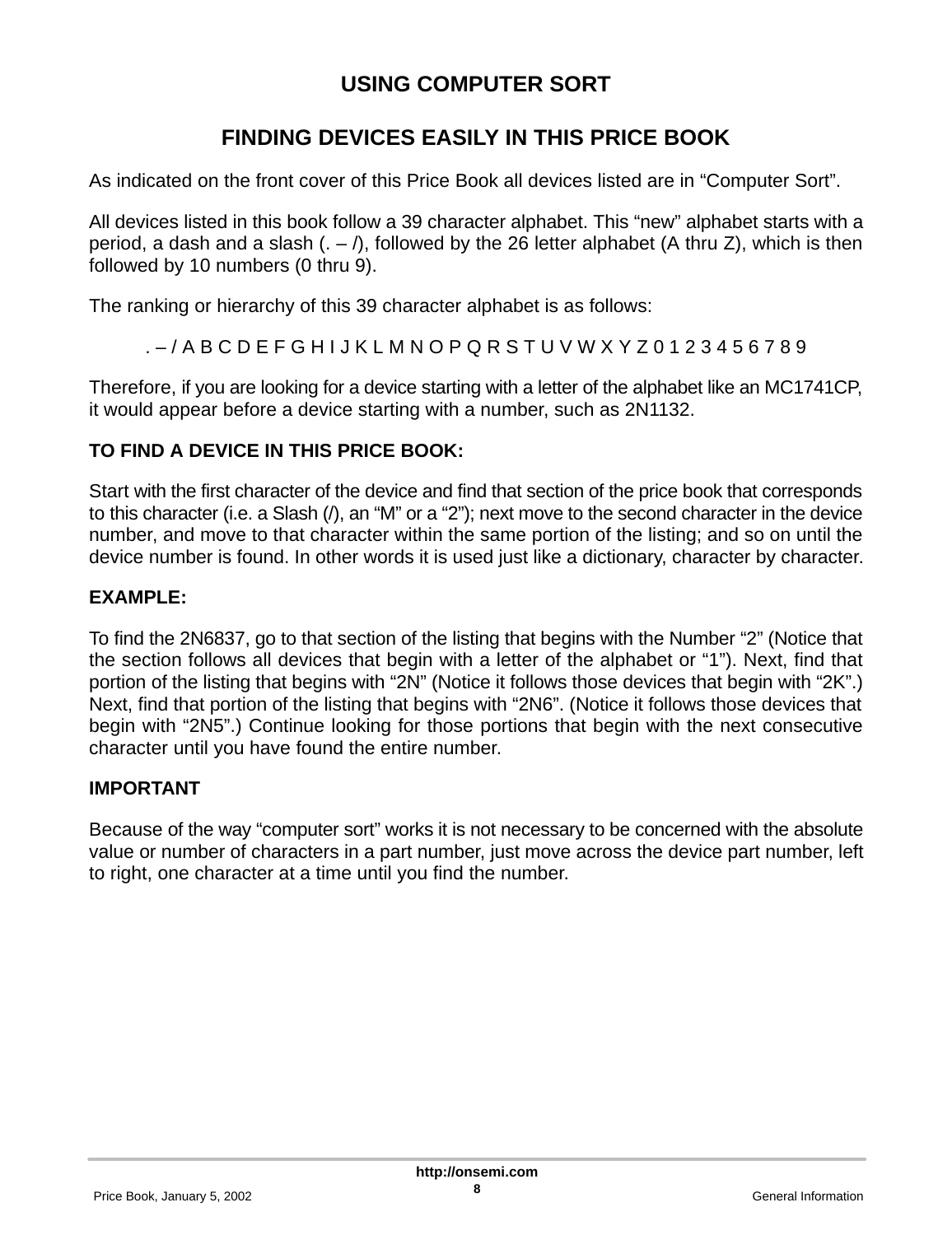# **USING COMPUTER SORT**

## **FINDING DEVICES EASILY IN THIS PRICE BOOK**

As indicated on the front cover of this Price Book all devices listed are in "Computer Sort".

All devices listed in this book follow a 39 character alphabet. This "new" alphabet starts with a period, a dash and a slash  $(.-/)$ , followed by the 26 letter alphabet (A thru Z), which is then followed by 10 numbers (0 thru 9).

The ranking or hierarchy of this 39 character alphabet is as follows:

. – / A B C D E F G H I J K L M N O P Q R S T U V W X Y Z 0 1 2 3 4 5 6 7 8 9

Therefore, if you are looking for a device starting with a letter of the alphabet like an MC1741CP, it would appear before a device starting with a number, such as 2N1132.

### **TO FIND A DEVICE IN THIS PRICE BOOK:**

Start with the first character of the device and find that section of the price book that corresponds to this character (i.e. a Slash (/), an "M" or a "2"); next move to the second character in the device number, and move to that character within the same portion of the listing; and so on until the device number is found. In other words it is used just like a dictionary, character by character.

## **EXAMPLE:**

To find the 2N6837, go to that section of the listing that begins with the Number "2" (Notice that the section follows all devices that begin with a letter of the alphabet or "1"). Next, find that portion of the listing that begins with "2N" (Notice it follows those devices that begin with "2K".) Next, find that portion of the listing that begins with "2N6". (Notice it follows those devices that begin with "2N5".) Continue looking for those portions that begin with the next consecutive character until you have found the entire number.

## **IMPORTANT**

Because of the way "computer sort" works it is not necessary to be concerned with the absolute value or number of characters in a part number, just move across the device part number, left to right, one character at a time until you find the number.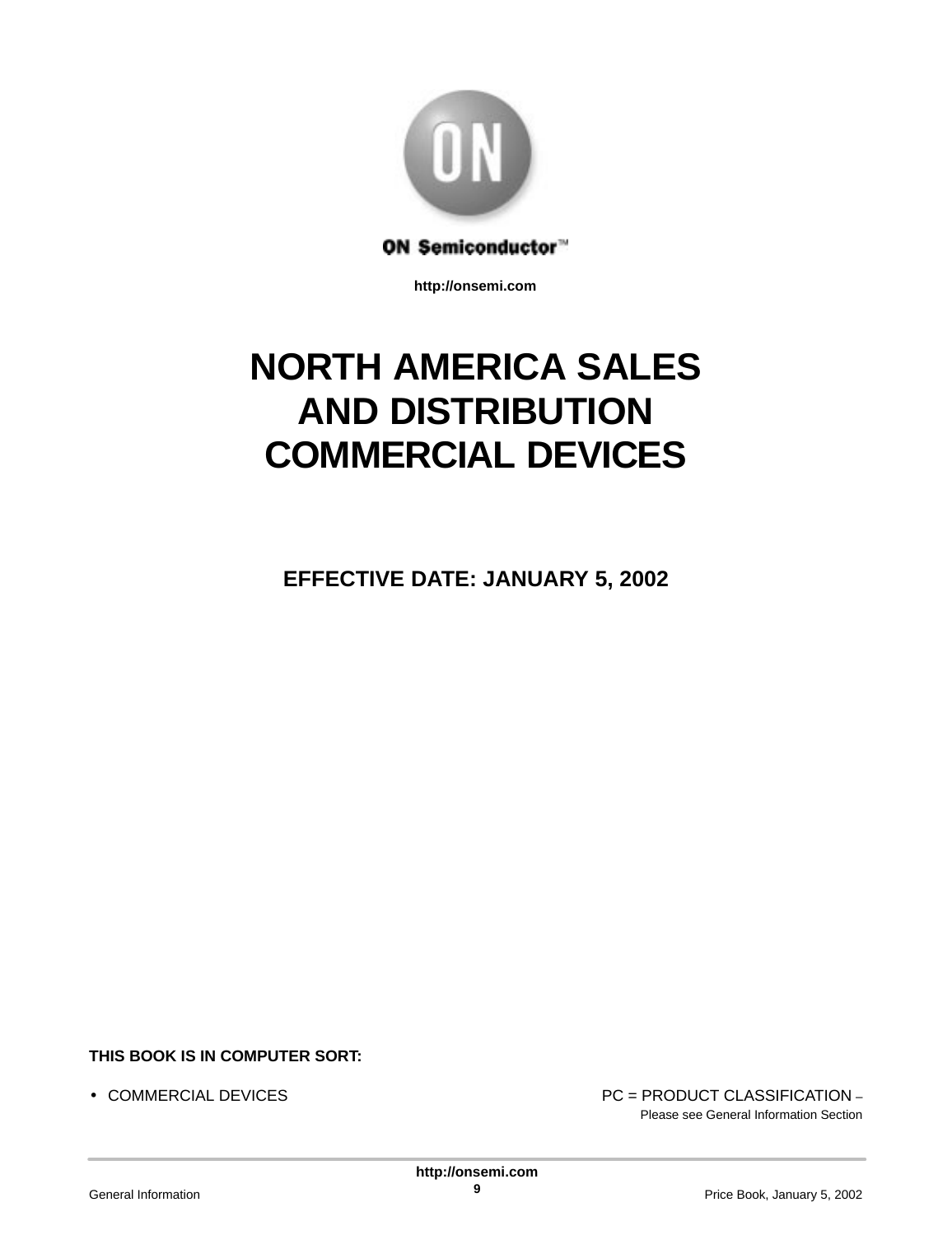

**http://onsemi.com**

# **NORTH AMERICA SALES AND DISTRIBUTION COMMERCIAL DEVICES**

**EFFECTIVE DATE: JANUARY 5, 2002**

**THIS BOOK IS IN COMPUTER SORT:**

● COMMERCIAL DEVICES PC = PRODUCT CLASSIFICATION – Please see General Information Section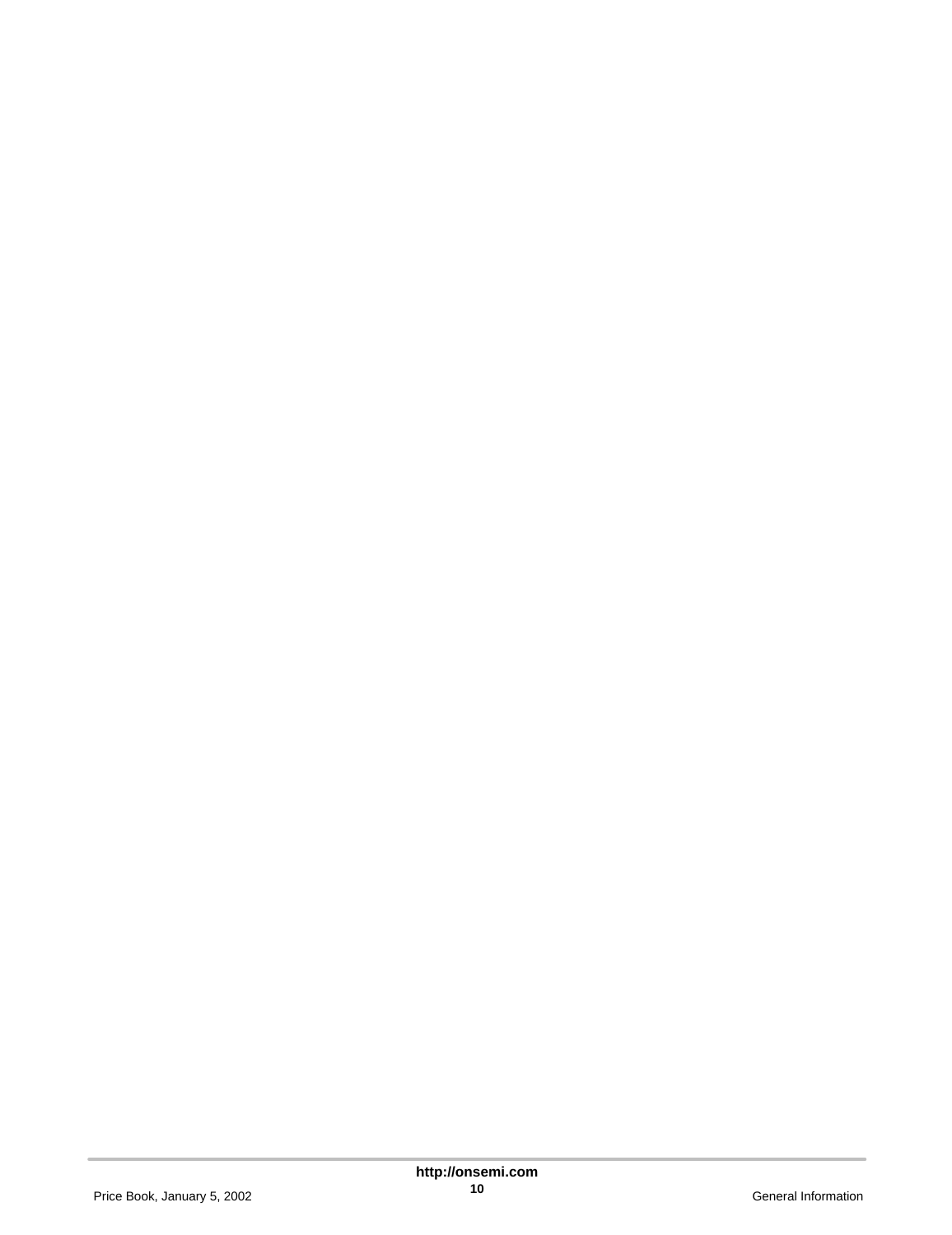#### Price Book, January 5, 2002 **10 10 Contract 11 Contract 11 General Information**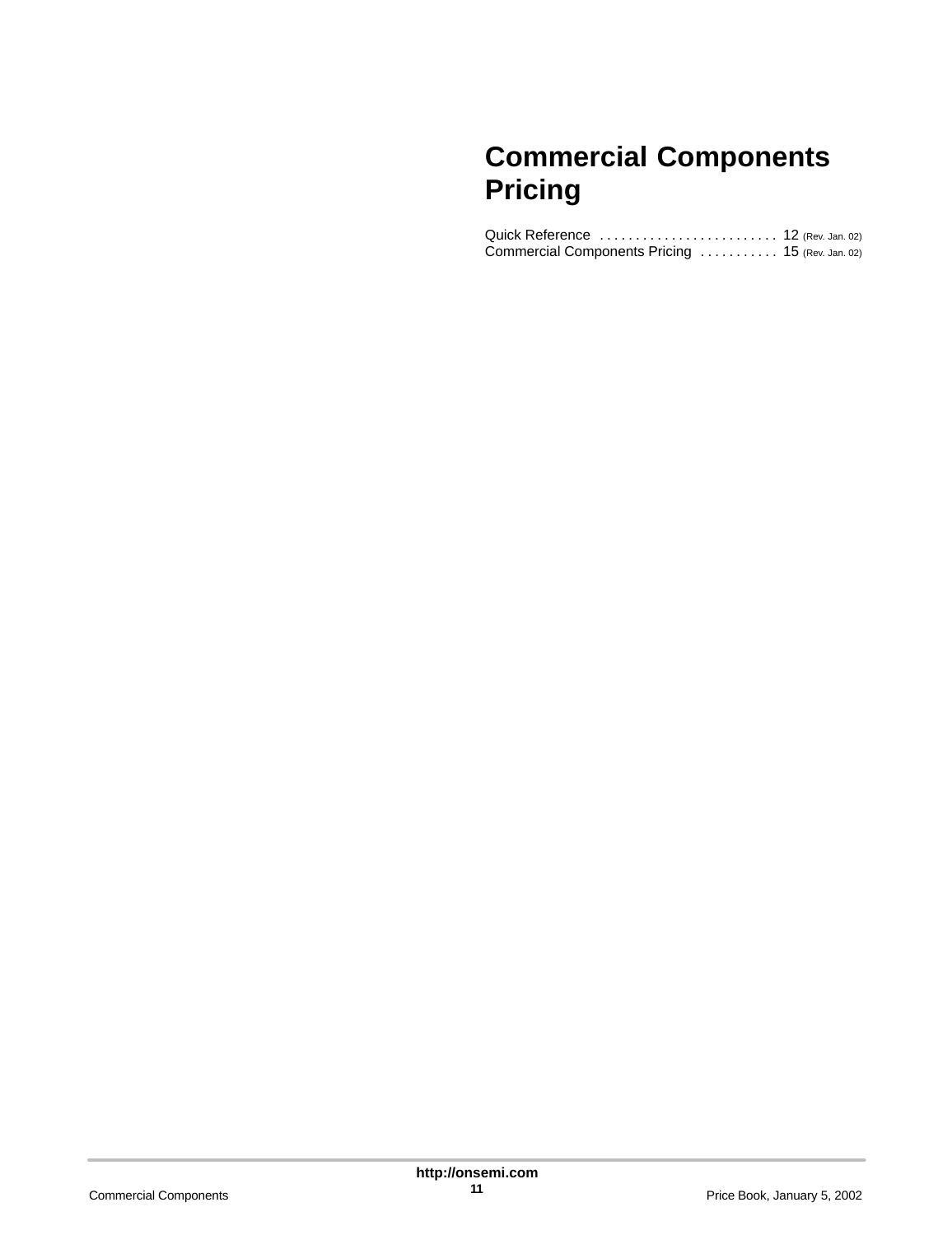# **Commercial Components Pricing**

| Quick Reference  12 (Rev. Jan. 02)               |  |
|--------------------------------------------------|--|
| Commercial Components Pricing  15 (Rev. Jan. 02) |  |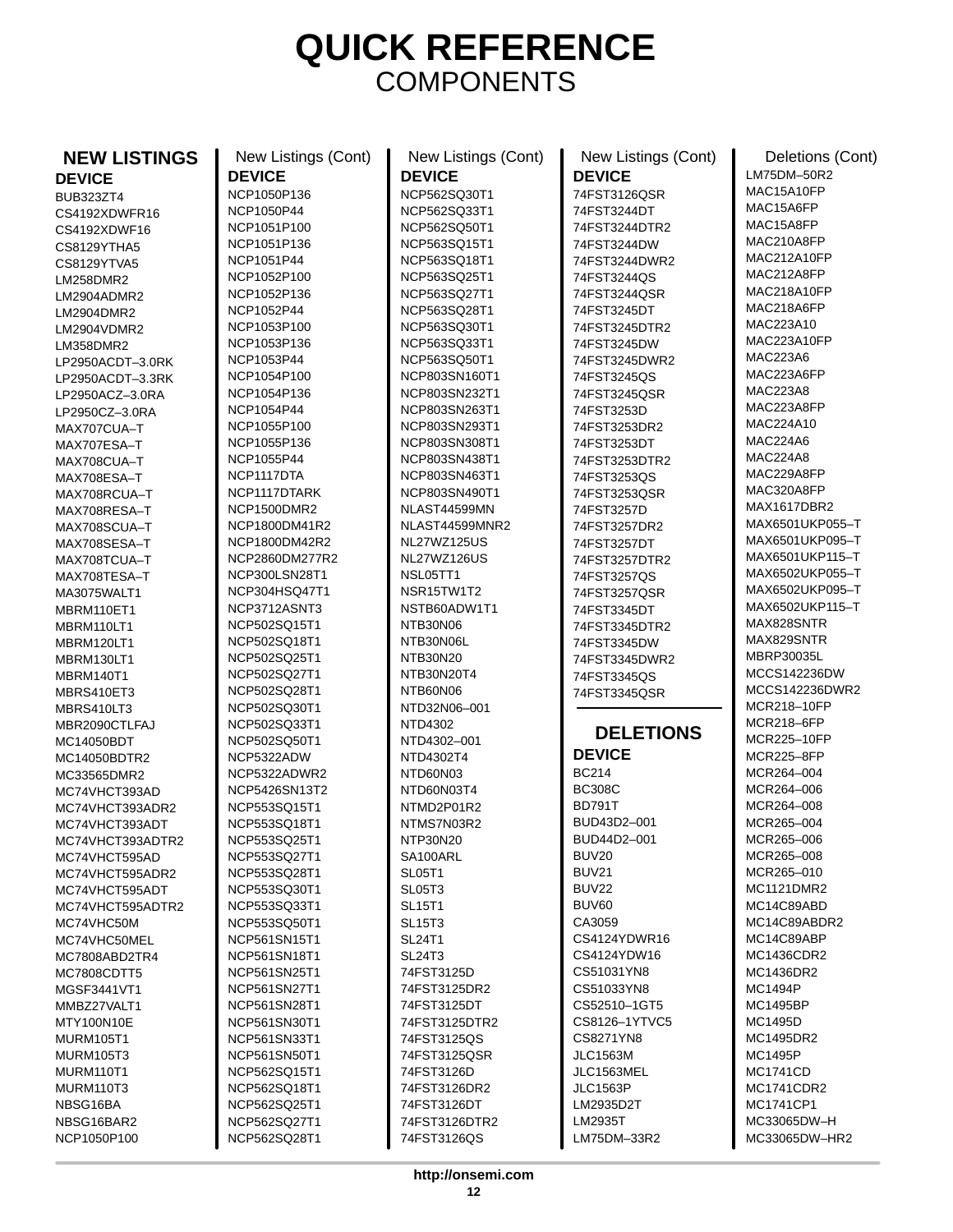# **QUICK REFERENCE COMPONENTS**

New Listings (Cont)

**DEVICE**

#### **NEW LISTINGS DEVICE**

BUB323ZT4 CS4192XDWFR16 CS4192XDWF16 CS8129YTHA5 CS8129YTVA5 LM258DMR2 LM2904ADMR2 LM2904DMR2 LM2904VDMR2 LM358DMR2 LP2950ACDT–3.0RK LP2950ACDT–3.3RK LP2950ACZ–3.0RA LP2950CZ–3.0RA MAX707CUA–T MAX707ESA–T MAX708CUA–T MAX708ESA–T MAX708RCUA–T MAX708RESA–T MAX708SCUA–T MAX708SESA–T MAX708TCUA–T MAX708TESA–T MA3075WALT1 MBRM110FT1 MBRM110LT1 MBRM120LT1 MBRM130LT1 MBRM140T1 MBRS410ET3 MBRS410LT3 MBR2090CTLFAJ MC14050BDT MC14050BDTR2 MC33565DMR2 MC74VHCT393AD MC74VHCT393ADR2 MC74VHCT393ADT MC74VHCT393ADTR2 MC74VHCT595AD MC74VHCT595ADR2 MC74VHCT595ADT MC74VHCT595ADTR2 MC74VHC50M MC74VHC50MEL MC7808ABD2TR4 MC7808CDTT5 MGSF3441VT1 MMBZ27VALT1 MTY100N10E MURM105T1 MURM105T3 MURM110T1 MURM110T3 NBSG16BA NBSG16BAR2 NCP1050P100

New Listings (Cont) **DEVICE** NCP1050P136 NCP1050P44 NCP1051P100 NCP1051P136 NCP1051P44 NCP1052P100 NCP1052P136 NCP1052P44 NCP1053P100 NCP1053P136 NCP1053P44 NCP1054P100 NCP1054P136 NCP1054P44 NCP1055P100 NCP1055P136 NCP1055P44 NCP1117DTA NCP1117DTARK NCP1500DMR2 NCP1800DM41R2 NCP1800DM42R2 NCP2860DM277R2 NCP300LSN28T1 NCP304HSQ47T1 NCP3712ASNT3 NCP502SQ15T1 NCP502SQ18T1 NCP502SQ25T1 NCP502SQ27T1 NCP502SQ28T1 NCP502SQ30T1 NCP502SQ33T1 NCP502SQ50T1 NCP5322ADW NCP5322ADWR2 NCP5426SN13T2 NCP553SQ15T1 NCP553SQ18T1 NCP553SQ25T1 NCP553SQ27T1 NCP553SO28T1 NCP553SQ30T1 NCP553SQ33T1 NCP553SQ50T1 NCP561SN15T1 NCP561SN18T1 NCP561SN25T1 NCP561SN27T1 NCP561SN28T1 NCP561SN30T1 NCP561SN33T1 NCP561SN50T1 NCP562SQ15T1 NCP562SQ18T1 NCP562SQ25T1 NCP562SQ27T1 NCP562SQ28T1

NCP562SQ30T1 NCP562SQ33T1 NCP562SQ50T1 NCP563SQ15T1 NCP563SQ18T1 NCP563SQ25T1 NCP563SQ27T1 NCP563SQ28T1 NCP563SQ30T1 NCP563SQ33T1 NCP563SQ50T1 NCP803SN160T1 NCP803SN232T1 NCP803SN263T1 NCP803SN293T1 NCP803SN308T1 NCP803SN438T1 NCP803SN463T1 NCP803SN490T1 NLAST44599MN NLAST44599MNR2 NL27WZ125US NL27WZ126US NSL05TT1 NSR15TW1T2 NSTB60ADW1T1 NTB30N06 NTB30N06L NTB30N20 NTR30N20T4 **NTR60N06** NTD32N06–001 NTD4302 NTD4302–001 NTD4302T4 NTD60N03 NTD60N03T4 NTMD2P01R2 NTMS7N03R2 NTP30N20 SA100ARL SL05T1 SL05T3 SL15T1 SL<sub>15</sub>T<sub>3</sub> SL24T1 SL24T3 74FST3125D 74FST3125DR2 74FST3125DT 74FST3125DTR2 74FST3125QS 74FST3125QSR 74FST3126D 74FST3126DR2 74FST3126DT

New Listings (Cont) **DEVICE** 74FST3126QSR 74FST3244DT 74FST3244DTR2 74FST3244DW 74FST3244DWR2 74FST3244QS 74FST3244QSR 74FST3245DT 74FST3245DTR2 74FST3245DW 74FST3245DWR2 74FST3245QS 74FST3245QSR 74FST3253D 74FST3253DR2 74FST3253DT 74FST3253DTR2 74FST3253QS 74FST3253QSR 74FST3257D 74FST3257DR2 74FST3257DT 74FST3257DTR2 74FST3257QS 74FST3257QSR 74FST3345DT 74FST3345DTR2 74FST3345DW 74FST3345DWR2 74FST3345QS 74FST3345QSR **DELETIONS DEVICE** BC214 BC308C BD791T BUD43D2–001 BUD44D2–001 BLIV20 BUV21 BUV22 BUV60 CA3059 CS4124YDWR16 CS4124YDW16 CS51031YN8

CS51033YN8 CS52510–1GT5 CS8126–1YTVC5 CS8271YN8 JLC1563M JLC1563MEL JLC1563P LM2935D2T LM2935T LM75DM–33R2

Deletions (Cont) LM75DM–50R2 MAC15A10FP MAC15A6FP MAC15A8FP MAC210A8FP MAC212A10FP MAC212A8FP MAC218A10FP MAC218A6FP MAC223A10 MAC223A10FP MAC223A6 MAC223A6FP MAC<sub>223</sub>A8 MAC223A8FP MAC224A10 MAC224A6 MAC224A8 MAC229A8FP MAC320A8FP MAX1617DBR2 MAX6501UKP055–T MAX6501UKP095–T MAX6501UKP115–T MAX6502UKP055–T MAX6502UKP095–T MAX6502UKP115–T MAX828SNTR MAX829SNTR MBRP30035L MCCS142236DW MCCS142236DWR2 MCR218–10FP MCR218–6FP MCR225–10FP MCR225–8FP MCR264–004 MCR264–006 MCR264–008 MCR265–004 MCR265–006 MCR265–008 MCR265–010 MC1121DMR2 MC14C89ABD MC14C89ABDR2 MC14C89ABP MC<sub>1436</sub>CDR<sub>2</sub> MC1436DR2 MC1494P MC1495BP MC1495D MC1495DR2 MC1495P MC1741CD MC1741CDR2 MC1741CP1

MC33065DW–H MC33065DW–HR2

74FST3126DTR2 74FST3126QS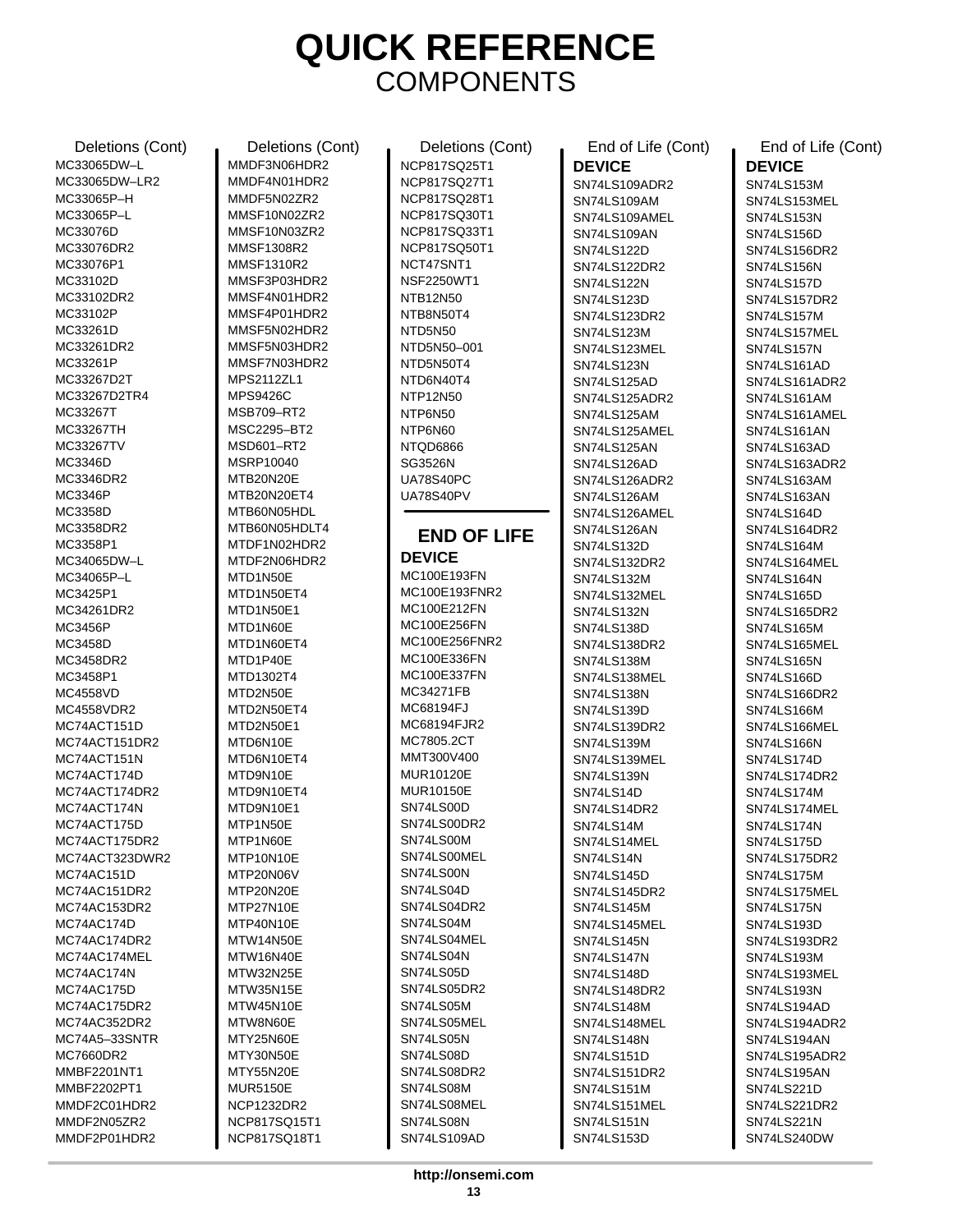# **QUICK REFERENCE COMPONENTS**

Deletions (Cont) MC33065DW–L MC33065DW–LR2 MC33065P–H MC33065P–L MC33076D MC33076DR2 MC33076P1 MC33102D MC33102DR2 MC33102P MC33261D MC33261DR2 MC33261P MC33267D2T MC33267D2TR4 MC33267T MC33267TH MC33267TV MC3346D MC3346DR2 MC3346P MC3358D MC3358DR2 MC3358P1 MC34065DW–L MC34065P-L MC3425P1 MC34261DR2 MC3456P MC3458D MC3458DR2 MC3458P1 MC4558VD MC4558VDR2 MC74ACT151D MC74ACT151DR2 MC74ACT151N MC74ACT174D MC74ACT174DR2 MC74ACT174N MC74ACT175D MC74ACT175DR2 MC74ACT323DWR2 MC74AC151D MC74AC151DR2 MC74AC153DR2 MC74AC174D MC74AC174DR2 MC74AC174MEL MC74AC174N MC74AC175D MC74AC175DR2 MC74AC352DR2 MC74A5–33SNTR MC7660DR2 MMBF2201NT1 MMBF2202PT1 MMDF2C01HDR2 MMDF2N05ZR2 MMDF2P01HDR2

Deletions (Cont) MMDF3N06HDR2 MMDF4N01HDR2 MMDF5N02ZR2 MMSF10N02ZR2 MMSF10N03ZR2 MMSF1308R2 MMSF1310R2 MMSF3P03HDR2 MMSF4N01HDR2 MMSF4P01HDR2 MMSF5N02HDR2 MMSF5N03HDR2 MMSF7N03HDR2 MPS2112ZL1 MPS9426C MSB709–RT2 MSC2295–BT2 MSD601–RT2 MSRP10040 MTB20N20E MTR20N20FT4 MTB60N05HDL MTB60N05HDLT4 MTDF1N02HDR2 MTDF2N06HDR2 MTD1N50E MTD1N50ET4 MTD1N50E1 MTD1N60E MTD1N60ET4 MTD1P40E MTD1302T4 MTD2N50E MTD2N50ET4 MTD2N50E1 MTD6N10E MTD6N10ET4 MTD9N10E MTD9N10ET4 MTD9N10E1 MTP1N50E MTP1N60E MTP10N10E MTP20N06V MTP20N20F MTP27N10E MTP40N10E MTW14N50E MTW16N40E MTW32N25E MTW35N15E MTW45N10E MTW8N60E MTY25N60E MTY30N50E MTY55N20E MUR5150E NCP1232DR2 NCP817SQ15T1 NCP817SQ18T1

Deletions (Cont) NCP817SQ25T1 NCP817SQ27T1 NCP817SQ28T1 NCP817SQ30T1 NCP817SQ33T1 NCP817SQ50T1 NCT47SNT1 NSF2250WT1 NTB12N50 NTB8N50T4 NTD5N50 NTD5N50–001 NTD5N50T4 NTD6N40T4 NTP12N50 NTP6N50 NTP6N60 NTQD6866 SG3526N UA78S40PC UA78S40PV

#### **END OF LIFE DEVICE**

MC100E193FN MC100E193FNR2 MC100E212FN MC100E256FN MC100E256FNR2 MC100E336FN MC100E337FN MC34271FB MC68194FJ MC68194FJR2 MC7805.2CT MMT300V400 MUR10120E MUR10150E SN74LS00D SN74LS00DR2 SN74LS00M SN74LS00MEL SN74LS00N SN74LS04D SN74LS04DR2 SN74LS04M SN74LS04MEL SN74LS04N SN74LS05D SN74LS05DR2 SN74LS05M SN74LS05MEL SN74LS05N SN74LS08D SN74LS08DR2 SN74LS08M SN74LS08MEL SN74LS08N SN74LS109AD

End of Life (Cont) **DEVICE** SN74LS109ADR2 SN74LS109AM SN74LS109AMEL SN74LS109AN SN74LS122D SN74LS122DR2 SN74LS122N SN74LS123D SN74LS123DR2 SN74LS123M SN74LS123MEL SN74LS123N SN74LS125AD SN74LS125ADR2 SN74LS125AM SN74LS125AMEL SN74LS125AN SN74LS126AD SN74LS126ADR2 SN74LS126AM SN74LS126AMEL SN74LS126AN SN74LS132D SN74LS132DR2 SN74LS132M SN74LS132MEL SN74LS132N SN74LS138D SN74LS138DR2 SN74LS138M SN74LS138MEL SN74LS138N SN74LS139D SN74LS139DR2 SN74LS139M SN74LS139MEL SN74LS139N SN74LS14D SN74LS14DR2 **SN74LS14M** SN74LS14MEL SN74LS14N SN74LS145D SN74LS145DR2 SN74LS145M SN74LS145MEL SN74LS145N SN74LS147N SN74LS148D SN74LS148DR2 SN74LS148M SN74LS148MEL **SN74LS148N** SN74LS151D SN74LS151DR2 SN74LS151M SN74LS151MEL SN74LS151N SN74LS153D

End of Life (Cont)

**DEVICE** SN74LS153M SN74LS153MEL SN74LS153N SN74LS156D SN74LS156DR2 SN74LS156N SN74LS157D SN74LS157DR2 SN74LS157M SN74LS157MEL SN74LS157N SN74LS161AD SN74LS161ADR2 SN74LS161AM SN74LS161AMEL SN74LS161AN SN74LS163AD SN74LS163ADR2 SN74LS163AM SN74LS163AN SN74LS164D SN74LS164DR2 SN74LS164M SN74LS164MEL SN74LS164N SN74LS165D SN74LS165DR2 SN74LS165M SN74LS165MEL SN74LS165N SN74LS166D SN74LS166DR2 SN74LS166M SN74LS166MEL SN74LS166N SN74LS174D SN74LS174DR2 SN74LS174M SN74LS174MEL SN74LS174N SN74LS175D SN74LS175DR2 SN74LS175M SN74LS175MEL SN74LS175N SN74LS193D SN74LS193DR2 SN74LS193M SN74LS193MEL SN74LS193N SN74LS194AD SN74LS194ADR2 **SN74LS194AN** SN74LS195ADR2 SN74LS195AN SN74LS221D SN74LS221DR2 SN74LS221N SN74LS240DW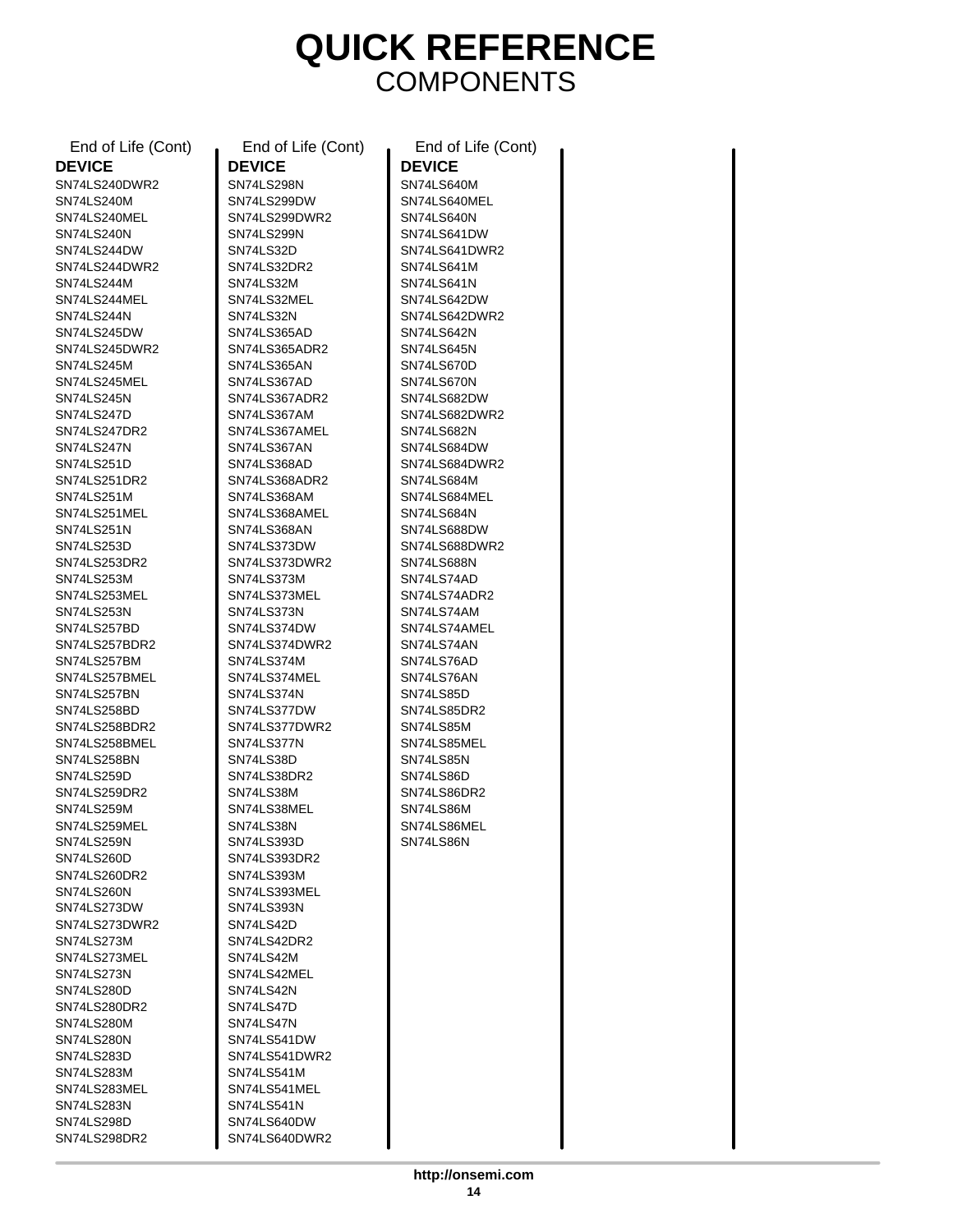# **QUICK REFERENCE COMPONENTS**

| End of Life (Cont)          | End of Life (Cont)       |
|-----------------------------|--------------------------|
| <b>DEVICE</b>               | <b>DEVICE</b>            |
| SN74LS240DWR2               | SN74LS298N               |
| SN74LS240M                  | SN74LS299DW              |
| SN74LS240MEL                | SN74LS299DWR2            |
| SN74LS240N                  | SN74LS299N               |
| SN74LS244DW                 | SN74LS32D                |
| SN74LS244DWR2<br>SN74LS244M | SN74LS32DR2<br>SN74LS32M |
| SN74LS244MEL                | SN74LS32MEL              |
| SN74LS244N                  | SN74LS32N                |
| SN74LS245DW                 | SN74LS365AD              |
| SN74LS245DWR2               | SN74LS365ADR2            |
| SN74LS245M                  | SN74LS365AN              |
| SN74LS245MEL                | SN74LS367AD              |
| SN74LS245N                  | SN74LS367ADR2            |
| SN74LS247D                  | SN74LS367AM              |
| SN74LS247DR2                | SN74LS367AMEL            |
| SN74LS247N                  | SN74LS367AN              |
| SN74LS251D                  | SN74LS368AD              |
| SN74LS251DR2                | SN74LS368ADR2            |
| SN74LS251M                  | SN74LS368AM              |
| SN74LS251MEL                | SN74LS368AMEL            |
| SN74LS251N                  | SN74LS368AN              |
| SN74LS253D                  | SN74LS373DW              |
| SN74LS253DR2                | SN74LS373DWR2            |
| <b>SN74LS253M</b>           | SN74LS373M               |
| SN74LS253MEL                | SN74LS373MEL             |
| SN74LS253N                  | SN74LS373N               |
| SN74LS257BD                 | SN74LS374DW              |
| SN74LS257BDR2               | SN74LS374DWR2            |
| SN74LS257BM                 | SN74LS374M               |
| SN74LS257BMEL               | SN74LS374MEL             |
| SN74LS257BN                 | SN74LS374N               |
| SN74LS258BD                 | SN74LS377DW              |
| SN74LS258BDR2               | SN74LS377DWR2            |
| SN74LS258BMEL               | SN74LS377N               |
| SN74LS258BN<br>SN74LS259D   | SN74LS38D<br>SN74LS38DR2 |
| SN74LS259DR2                | SN74LS38M                |
| SN74LS259M                  | SN74LS38MEL              |
| SN74LS259MEL                | SN74LS38N                |
| SN74LS259N                  | SN74LS393D               |
| SN74LS260D                  | SN74LS393DR2             |
| SN74LS260DR2                | SN74LS393M               |
| SN74LS260N                  | SN74LS393MEL             |
| SN74LS273DW                 | SN74LS393N               |
| SN74LS273DWR2               | SN74LS42D                |
| SN74LS273M                  | SN74LS42DR2              |
| SN74LS273MEL                | SN74LS42M                |
| SN74LS273N                  | SN74LS42MEL              |
| SN74LS280D                  | SN74LS42N                |
| SN74LS280DR2                | SN74LS47D                |
| SN74LS280M                  | SN74LS47N                |
| SN74LS280N                  | SN74LS541DW              |
| SN74LS283D                  | SN74LS541DWR2            |
| SN74LS283M                  | SN74LS541M               |
| SN74LS283MEL                | SN74LS541MEL             |
| SN74LS283N                  | SN74LS541N               |
| SN74LS298D                  | SN74LS640DW              |
| SN74LS298DR2                | SN74LS640DWR2            |

| End of Life (Cont) |
|--------------------|
| <b>DEVICE</b>      |
| SN74LS640M         |
| SN74LS640MEL       |
| SN74LS640N         |
| SN74LS641DW        |
| SN74LS641DWR2      |
| SN74LS641M         |
| SN74LS641N         |
| SN74LS642DW        |
| SN74LS642DWR2      |
| SN74LS642N         |
| SN74LS645N         |
| SN74LS670D         |
| SN74LS670N         |
| SN74LS682DW        |
| SN74LS682DWR2      |
| SN74LS682N         |
| SN74LS684DW        |
| SN74LS684DWR2      |
| SN74LS684M         |
| SN74LS684MEL       |
| SN74LS684N         |
| SN74LS688DW        |
| SN74LS688DWR2      |
| SN74LS688N         |
| SN74LS74AD         |
| SN74LS74ADR2       |
| SN74LS74AM         |
| SN74LS74AMEL       |
| SN74LS74AN         |
| SN74LS76AD         |
| SN74LS76AN         |
| SN74LS85D          |
| SN74LS85DR2        |
| SN74LS85M          |
| SN74LS85MEL        |
| SN74LS85N          |
| SN74LS86D          |
| SN74LS86DR2        |
| SN74LS86M          |
| SN74LS86MEL        |
| SN74LS86N          |
|                    |
|                    |
|                    |
|                    |
|                    |
|                    |
|                    |
|                    |
|                    |
|                    |
|                    |
|                    |
|                    |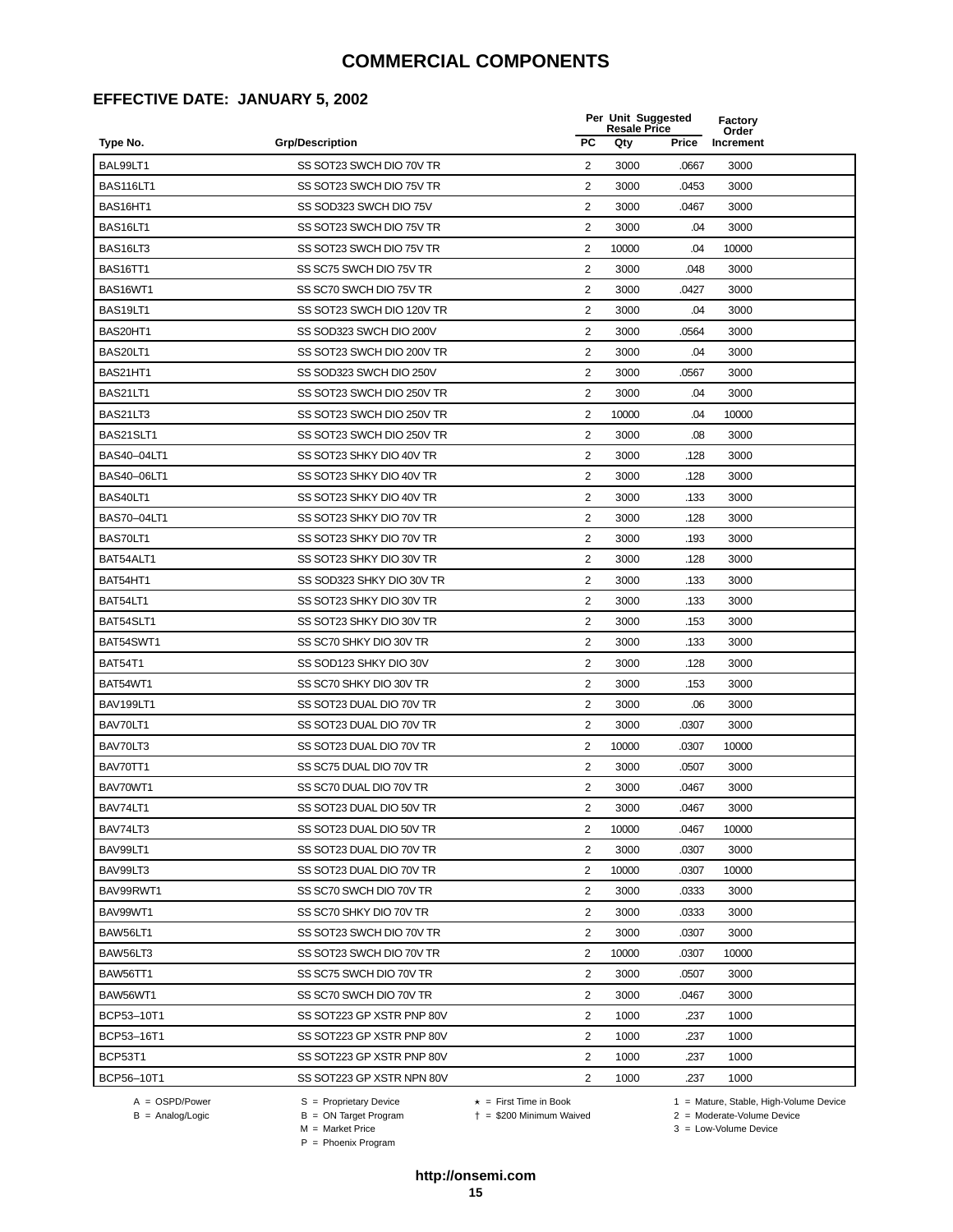#### **EFFECTIVE DATE: JANUARY 5, 2002**

|                    |                           |                | Per Unit Suggested<br><b>Resale Price</b> |       | Factory<br>Order |  |
|--------------------|---------------------------|----------------|-------------------------------------------|-------|------------------|--|
| Type No.           | <b>Grp/Description</b>    | PC             | Qty                                       | Price | Increment        |  |
| BAL99LT1           | SS SOT23 SWCH DIO 70V TR  | 2              | 3000                                      | .0667 | 3000             |  |
| <b>BAS116LT1</b>   | SS SOT23 SWCH DIO 75V TR  | 2              | 3000                                      | .0453 | 3000             |  |
| BAS16HT1           | SS SOD323 SWCH DIO 75V    | 2              | 3000                                      | .0467 | 3000             |  |
| BAS16LT1           | SS SOT23 SWCH DIO 75V TR  | $\overline{2}$ | 3000                                      | .04   | 3000             |  |
| BAS16LT3           | SS SOT23 SWCH DIO 75V TR  | $\overline{2}$ | 10000                                     | .04   | 10000            |  |
| BAS16TT1           | SS SC75 SWCH DIO 75V TR   | $\overline{2}$ | 3000                                      | .048  | 3000             |  |
| BAS16WT1           | SS SC70 SWCH DIO 75V TR   | $\overline{2}$ | 3000                                      | .0427 | 3000             |  |
| BAS19LT1           | SS SOT23 SWCH DIO 120V TR | 2              | 3000                                      | .04   | 3000             |  |
| BAS20HT1           | SS SOD323 SWCH DIO 200V   | 2              | 3000                                      | .0564 | 3000             |  |
| BAS20LT1           | SS SOT23 SWCH DIO 200V TR | $\overline{2}$ | 3000                                      | .04   | 3000             |  |
| BAS21HT1           | SS SOD323 SWCH DIO 250V   | $\overline{2}$ | 3000                                      | .0567 | 3000             |  |
| BAS21LT1           | SS SOT23 SWCH DIO 250V TR | $\overline{2}$ | 3000                                      | .04   | 3000             |  |
| BAS21LT3           | SS SOT23 SWCH DIO 250V TR | 2              | 10000                                     | .04   | 10000            |  |
| BAS21SLT1          | SS SOT23 SWCH DIO 250V TR | 2              | 3000                                      | .08   | 3000             |  |
| BAS40-04LT1        | SS SOT23 SHKY DIO 40V TR  | 2              | 3000                                      | .128  | 3000             |  |
| BAS40-06LT1        | SS SOT23 SHKY DIO 40V TR  | $\overline{2}$ | 3000                                      | .128  | 3000             |  |
| BAS40LT1           | SS SOT23 SHKY DIO 40V TR  | 2              | 3000                                      | .133  | 3000             |  |
| <b>BAS70-04LT1</b> | SS SOT23 SHKY DIO 70V TR  | $\overline{2}$ | 3000                                      | .128  | 3000             |  |
| BAS70LT1           | SS SOT23 SHKY DIO 70V TR  | 2              | 3000                                      | .193  | 3000             |  |
| BAT54ALT1          | SS SOT23 SHKY DIO 30V TR  | 2              | 3000                                      | .128  | 3000             |  |
| BAT54HT1           | SS SOD323 SHKY DIO 30V TR | $\overline{2}$ | 3000                                      | .133  | 3000             |  |
| BAT54LT1           | SS SOT23 SHKY DIO 30V TR  | $\overline{2}$ | 3000                                      | .133  | 3000             |  |
| BAT54SLT1          | SS SOT23 SHKY DIO 30V TR  | $\overline{2}$ | 3000                                      | .153  | 3000             |  |
| BAT54SWT1          | SS SC70 SHKY DIO 30V TR   | 2              | 3000                                      | .133  | 3000             |  |
| <b>BAT54T1</b>     | SS SOD123 SHKY DIO 30V    | $\overline{2}$ | 3000                                      | .128  | 3000             |  |
| BAT54WT1           | SS SC70 SHKY DIO 30V TR   | 2              | 3000                                      | .153  | 3000             |  |
| BAV199LT1          | SS SOT23 DUAL DIO 70V TR  | $\overline{2}$ | 3000                                      | .06   | 3000             |  |
| BAV70LT1           | SS SOT23 DUAL DIO 70V TR  | 2              | 3000                                      | .0307 | 3000             |  |
| BAV70LT3           | SS SOT23 DUAL DIO 70V TR  | $\overline{2}$ | 10000                                     | .0307 | 10000            |  |
| BAV70TT1           | SS SC75 DUAL DIO 70V TR   | 2              | 3000                                      | .0507 | 3000             |  |
| BAV70WT1           | SS SC70 DUAL DIO 70V TR   | 2              | 3000                                      | .0467 | 3000             |  |
| BAV74LT1           | SS SOT23 DUAL DIO 50V TR  | 2              | 3000                                      | .0467 | 3000             |  |
| BAV74LT3           | SS SOT23 DUAL DIO 50V TR  | 2              | 10000                                     | .0467 | 10000            |  |
| BAV99LT1           | SS SOT23 DUAL DIO 70V TR  | 2              | 3000                                      | .0307 | 3000             |  |
| BAV99LT3           | SS SOT23 DUAL DIO 70V TR  | $\overline{2}$ | 10000                                     | .0307 | 10000            |  |
| BAV99RWT1          | SS SC70 SWCH DIO 70V TR   | $\overline{2}$ | 3000                                      | .0333 | 3000             |  |
| BAV99WT1           | SS SC70 SHKY DIO 70V TR   | 2              | 3000                                      | .0333 | 3000             |  |
| BAW56LT1           | SS SOT23 SWCH DIO 70V TR  | 2              | 3000                                      | .0307 | 3000             |  |
| BAW56LT3           | SS SOT23 SWCH DIO 70V TR  | 2              | 10000                                     | .0307 | 10000            |  |
| BAW56TT1           | SS SC75 SWCH DIO 70V TR   | 2              | 3000                                      | .0507 | 3000             |  |
| BAW56WT1           | SS SC70 SWCH DIO 70V TR   | $\overline{2}$ | 3000                                      | .0467 | 3000             |  |
| BCP53-10T1         | SS SOT223 GP XSTR PNP 80V | 2              | 1000                                      | .237  | 1000             |  |
| BCP53-16T1         | SS SOT223 GP XSTR PNP 80V | $\overline{2}$ | 1000                                      | .237  | 1000             |  |
| <b>BCP53T1</b>     | SS SOT223 GP XSTR PNP 80V | $\overline{2}$ | 1000                                      | .237  | 1000             |  |
| BCP56-10T1         | SS SOT223 GP XSTR NPN 80V | 2              | 1000                                      | .237  | 1000             |  |

A = OSPD/Power S = Proprietary Device<br>
B = Analog/Logic B = ON Target Program<br>
M = Market Price

A = OSPD/Power S = Proprietary Device  $\star$  = First Time in Book 1 = Mature, Stable, High-Volume Device

 = \$200 Minimum Waived 2 = Moderate-Volume Device  $2 =$  Moderate-Volume Device<br> $3 =$  Low-Volume Device

P = Phoenix Program

**http://onsemi.com**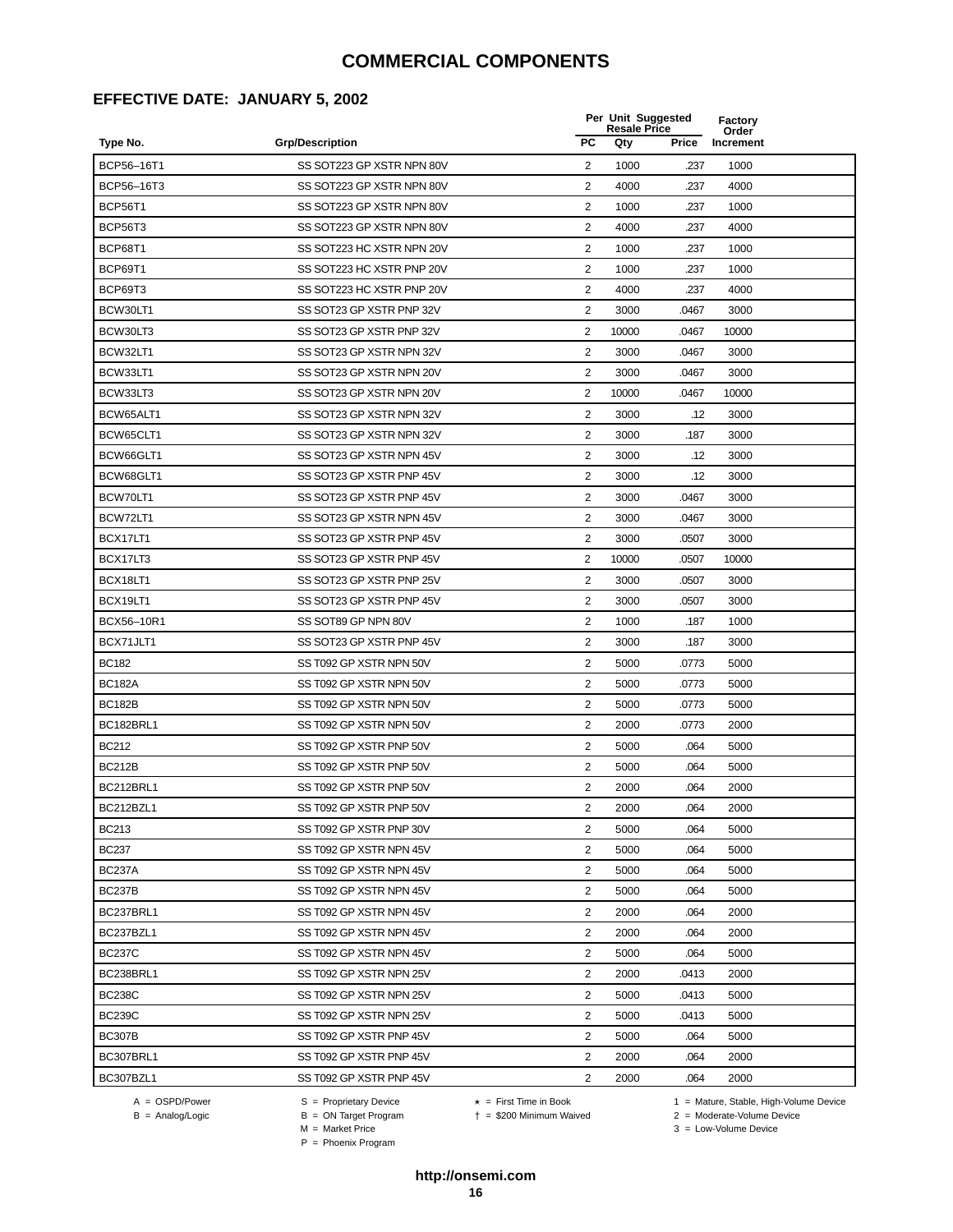#### **EFFECTIVE DATE: JANUARY 5, 2002**

|                |                           |                         | Per Unit Suggested<br><b>Resale Price</b> |              | Factory<br>Order |
|----------------|---------------------------|-------------------------|-------------------------------------------|--------------|------------------|
| Type No.       | <b>Grp/Description</b>    | <b>PC</b>               | Qty                                       | <b>Price</b> | Increment        |
| BCP56-16T1     | SS SOT223 GP XSTR NPN 80V | $\overline{2}$          | 1000                                      | .237         | 1000             |
| BCP56-16T3     | SS SOT223 GP XSTR NPN 80V | 2                       | 4000                                      | .237         | 4000             |
| <b>BCP56T1</b> | SS SOT223 GP XSTR NPN 80V | 2                       | 1000                                      | .237         | 1000             |
| BCP56T3        | SS SOT223 GP XSTR NPN 80V | $\overline{2}$          | 4000                                      | .237         | 4000             |
| <b>BCP68T1</b> | SS SOT223 HC XSTR NPN 20V | $\overline{c}$          | 1000                                      | .237         | 1000             |
| BCP69T1        | SS SOT223 HC XSTR PNP 20V | $\overline{2}$          | 1000                                      | .237         | 1000             |
| BCP69T3        | SS SOT223 HC XSTR PNP 20V | $\overline{2}$          | 4000                                      | .237         | 4000             |
| BCW30LT1       | SS SOT23 GP XSTR PNP 32V  | $\overline{2}$          | 3000                                      | .0467        | 3000             |
| BCW30LT3       | SS SOT23 GP XSTR PNP 32V  | 2                       | 10000                                     | .0467        | 10000            |
| BCW32LT1       | SS SOT23 GP XSTR NPN 32V  | 2                       | 3000                                      | .0467        | 3000             |
| BCW33LT1       | SS SOT23 GP XSTR NPN 20V  | 2                       | 3000                                      | .0467        | 3000             |
| BCW33LT3       | SS SOT23 GP XSTR NPN 20V  | $\overline{2}$          | 10000                                     | .0467        | 10000            |
| BCW65ALT1      | SS SOT23 GP XSTR NPN 32V  | $\overline{c}$          | 3000                                      | .12          | 3000             |
| BCW65CLT1      | SS SOT23 GP XSTR NPN 32V  | $\overline{\mathbf{c}}$ | 3000                                      | .187         | 3000             |
| BCW66GLT1      | SS SOT23 GP XSTR NPN 45V  | $\overline{2}$          | 3000                                      | .12          | 3000             |
| BCW68GLT1      | SS SOT23 GP XSTR PNP 45V  | $\overline{2}$          | 3000                                      | .12          | 3000             |
| BCW70LT1       | SS SOT23 GP XSTR PNP 45V  | $\overline{2}$          | 3000                                      | .0467        | 3000             |
| BCW72LT1       | SS SOT23 GP XSTR NPN 45V  | $\overline{2}$          | 3000                                      | .0467        | 3000             |
| BCX17LT1       | SS SOT23 GP XSTR PNP 45V  | 2                       | 3000                                      | .0507        | 3000             |
| BCX17LT3       | SS SOT23 GP XSTR PNP 45V  | 2                       | 10000                                     | .0507        | 10000            |
| BCX18LT1       | SS SOT23 GP XSTR PNP 25V  | 2                       | 3000                                      | .0507        | 3000             |
| BCX19LT1       | SS SOT23 GP XSTR PNP 45V  | 2                       | 3000                                      | .0507        | 3000             |
| BCX56-10R1     | SS SOT89 GP NPN 80V       | 2                       | 1000                                      | .187         | 1000             |
| BCX71JLT1      | SS SOT23 GP XSTR PNP 45V  | 2                       | 3000                                      | .187         | 3000             |
| <b>BC182</b>   | SS T092 GP XSTR NPN 50V   | $\overline{2}$          | 5000                                      | .0773        | 5000             |
| <b>BC182A</b>  | SS T092 GP XSTR NPN 50V   | $\overline{2}$          | 5000                                      | .0773        | 5000             |
| <b>BC182B</b>  | SS T092 GP XSTR NPN 50V   | $\overline{2}$          | 5000                                      | .0773        | 5000             |
| BC182BRL1      | SS T092 GP XSTR NPN 50V   | 2                       | 2000                                      | .0773        | 2000             |
| <b>BC212</b>   | SS T092 GP XSTR PNP 50V   | 2                       | 5000                                      | .064         | 5000             |
| <b>BC212B</b>  | SS T092 GP XSTR PNP 50V   | 2                       | 5000                                      | .064         | 5000             |
| BC212BRL1      | SS T092 GP XSTR PNP 50V   | 2                       | 2000                                      | .064         | 2000             |
| BC212BZL1      | SS T092 GP XSTR PNP 50V   | 2                       | 2000                                      | .064         | 2000             |
| <b>BC213</b>   | SS T092 GP XSTR PNP 30V   | 2                       | 5000                                      | .064         | 5000             |
| <b>BC237</b>   | SS T092 GP XSTR NPN 45V   | 2                       | 5000                                      | .064         | 5000             |
| <b>BC237A</b>  | SS T092 GP XSTR NPN 45V   | $\overline{2}$          | 5000                                      | .064         | 5000             |
| <b>BC237B</b>  | SS T092 GP XSTR NPN 45V   | 2                       | 5000                                      | .064         | 5000             |
| BC237BRL1      | SS T092 GP XSTR NPN 45V   | 2                       | 2000                                      | .064         | 2000             |
| BC237BZL1      | SS T092 GP XSTR NPN 45V   | 2                       | 2000                                      | .064         | 2000             |
| <b>BC237C</b>  | SS T092 GP XSTR NPN 45V   | 2                       | 5000                                      | .064         | 5000             |
| BC238BRL1      | SS T092 GP XSTR NPN 25V   | 2                       | 2000                                      | .0413        | 2000             |
| <b>BC238C</b>  | SS T092 GP XSTR NPN 25V   | 2                       | 5000                                      | .0413        | 5000             |
| <b>BC239C</b>  | SS T092 GP XSTR NPN 25V   | 2                       | 5000                                      | .0413        | 5000             |
| <b>BC307B</b>  | SS T092 GP XSTR PNP 45V   | $\overline{2}$          | 5000                                      | .064         | 5000             |
| BC307BRL1      | SS T092 GP XSTR PNP 45V   | $\overline{2}$          | 2000                                      | .064         | 2000             |
| BC307BZL1      | SS T092 GP XSTR PNP 45V   | 2                       | 2000                                      | .064         | 2000             |

 $B =$  Analog/Logic  $B =$  ON Target Program  $M =$  Market Price

A = OSPD/Power S = Proprietary Device  $\star$  = First Time in Book 1 = Mature, Stable, High-Volume Device = \$200 Minimum Waived 2 = Moderate-Volume Device

P = Phoenix Program

 $3 =$  Low-Volume Device

**http://onsemi.com**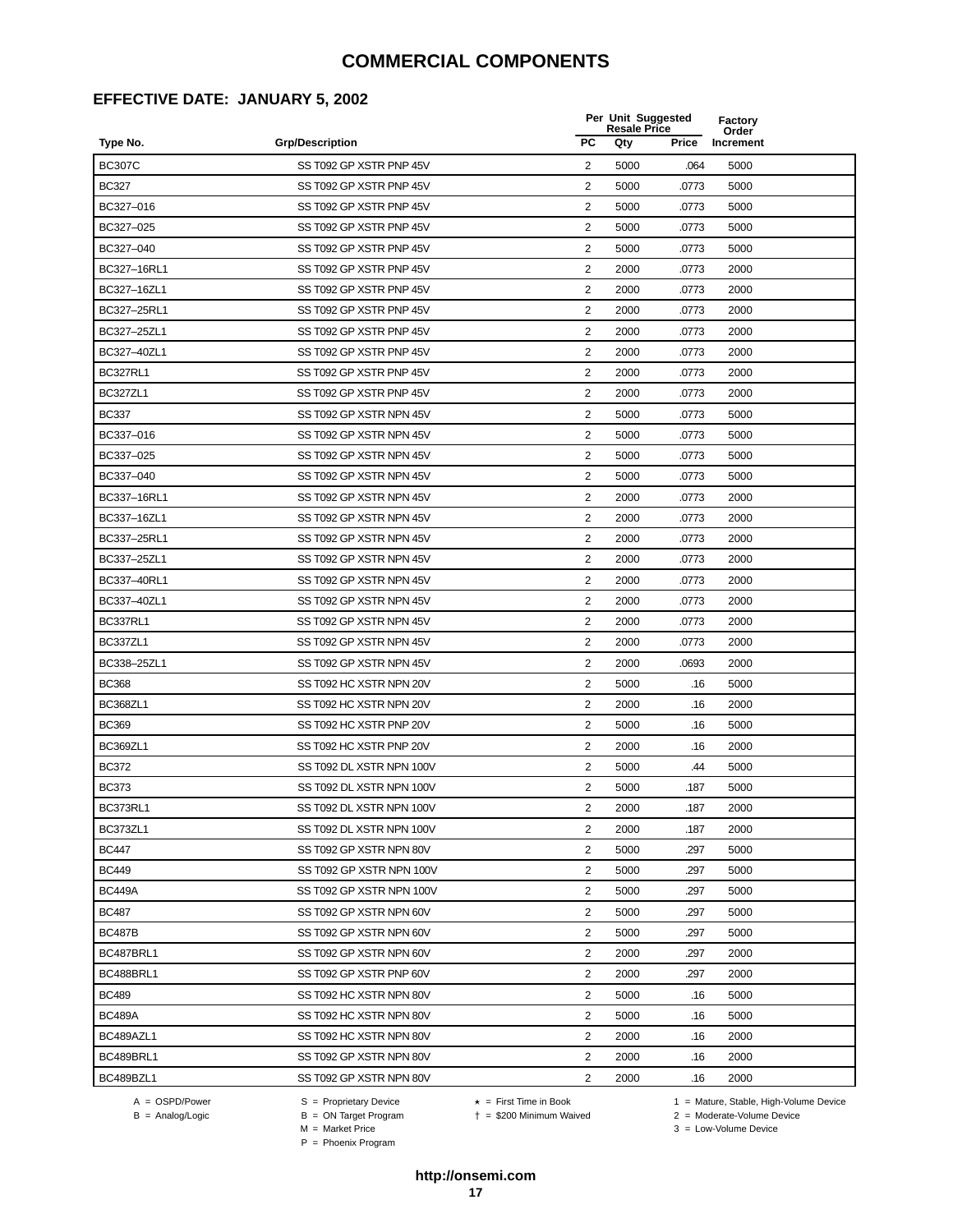#### **EFFECTIVE DATE: JANUARY 5, 2002**

|                 |                          |                | Per Unit Suggested<br><b>Resale Price</b> |       | Factory<br>Order |  |
|-----------------|--------------------------|----------------|-------------------------------------------|-------|------------------|--|
| Type No.        | <b>Grp/Description</b>   | <b>PC</b>      | Qty                                       | Price | Increment        |  |
| <b>BC307C</b>   | SS T092 GP XSTR PNP 45V  | $\overline{2}$ | 5000                                      | .064  | 5000             |  |
| <b>BC327</b>    | SS T092 GP XSTR PNP 45V  | $\overline{2}$ | 5000                                      | .0773 | 5000             |  |
| BC327-016       | SS T092 GP XSTR PNP 45V  | 2              | 5000                                      | .0773 | 5000             |  |
| BC327-025       | SS T092 GP XSTR PNP 45V  | 2              | 5000                                      | .0773 | 5000             |  |
| BC327-040       | SS T092 GP XSTR PNP 45V  | 2              | 5000                                      | .0773 | 5000             |  |
| BC327-16RL1     | SS T092 GP XSTR PNP 45V  | 2              | 2000                                      | .0773 | 2000             |  |
| BC327-16ZL1     | SS T092 GP XSTR PNP 45V  | 2              | 2000                                      | .0773 | 2000             |  |
| BC327-25RL1     | SS T092 GP XSTR PNP 45V  | $\overline{2}$ | 2000                                      | .0773 | 2000             |  |
| BC327-25ZL1     | SS T092 GP XSTR PNP 45V  | $\overline{2}$ | 2000                                      | .0773 | 2000             |  |
| BC327-40ZL1     | SS T092 GP XSTR PNP 45V  | 2              | 2000                                      | .0773 | 2000             |  |
| BC327RL1        | SS T092 GP XSTR PNP 45V  | $\overline{2}$ | 2000                                      | .0773 | 2000             |  |
| BC327ZL1        | SS T092 GP XSTR PNP 45V  | 2              | 2000                                      | .0773 | 2000             |  |
| <b>BC337</b>    | SS T092 GP XSTR NPN 45V  | 2              | 5000                                      | .0773 | 5000             |  |
| BC337-016       | SS T092 GP XSTR NPN 45V  | 2              | 5000                                      | .0773 | 5000             |  |
| BC337-025       | SS T092 GP XSTR NPN 45V  | 2              | 5000                                      | .0773 | 5000             |  |
| BC337-040       | SS T092 GP XSTR NPN 45V  | 2              | 5000                                      | .0773 | 5000             |  |
| BC337-16RL1     | SS T092 GP XSTR NPN 45V  | 2              | 2000                                      | .0773 | 2000             |  |
| BC337-16ZL1     | SS T092 GP XSTR NPN 45V  | 2              | 2000                                      | .0773 | 2000             |  |
| BC337-25RL1     | SS T092 GP XSTR NPN 45V  | 2              | 2000                                      | .0773 | 2000             |  |
| BC337-25ZL1     | SS T092 GP XSTR NPN 45V  | 2              | 2000                                      | .0773 | 2000             |  |
| BC337-40RL1     | SS T092 GP XSTR NPN 45V  | 2              | 2000                                      | .0773 | 2000             |  |
| BC337-40ZL1     | SS T092 GP XSTR NPN 45V  | 2              | 2000                                      | .0773 | 2000             |  |
| <b>BC337RL1</b> | SS T092 GP XSTR NPN 45V  | 2              | 2000                                      | .0773 | 2000             |  |
| BC337ZL1        | SS T092 GP XSTR NPN 45V  | 2              | 2000                                      | .0773 | 2000             |  |
| BC338-25ZL1     | SS T092 GP XSTR NPN 45V  | 2              | 2000                                      | .0693 | 2000             |  |
| <b>BC368</b>    | SS T092 HC XSTR NPN 20V  | 2              | 5000                                      | .16   | 5000             |  |
| <b>BC368ZL1</b> | SS T092 HC XSTR NPN 20V  | 2              | 2000                                      | .16   | 2000             |  |
| <b>BC369</b>    | SS T092 HC XSTR PNP 20V  | 2              | 5000                                      | .16   | 5000             |  |
| <b>BC369ZL1</b> | SS T092 HC XSTR PNP 20V  | $\overline{2}$ | 2000                                      | .16   | 2000             |  |
| <b>BC372</b>    | SS T092 DL XSTR NPN 100V | 2              | 5000                                      | .44   | 5000             |  |
| <b>BC373</b>    | SS T092 DL XSTR NPN 100V | 2              | 5000                                      | .187  | 5000             |  |
| BC373RL1        | SS T092 DL XSTR NPN 100V | 2              | 2000                                      | .187  | 2000             |  |
| BC373ZL1        | SS T092 DL XSTR NPN 100V | 2              | 2000                                      | .187  | 2000             |  |
| <b>BC447</b>    | SS T092 GP XSTR NPN 80V  | 2              | 5000                                      | .297  | 5000             |  |
| <b>BC449</b>    | SS T092 GP XSTR NPN 100V | $\overline{2}$ | 5000                                      | .297  | 5000             |  |
| <b>BC449A</b>   | SS T092 GP XSTR NPN 100V | $\overline{2}$ | 5000                                      | .297  | 5000             |  |
| <b>BC487</b>    | SS T092 GP XSTR NPN 60V  | 2              | 5000                                      | .297  | 5000             |  |
| <b>BC487B</b>   | SS T092 GP XSTR NPN 60V  | 2              | 5000                                      | .297  | 5000             |  |
| BC487BRL1       | SS T092 GP XSTR NPN 60V  | 2              | 2000                                      | .297  | 2000             |  |
| BC488BRL1       | SS T092 GP XSTR PNP 60V  | 2              | 2000                                      | .297  | 2000             |  |
| <b>BC489</b>    | SS T092 HC XSTR NPN 80V  | 2              | 5000                                      | .16   | 5000             |  |
| <b>BC489A</b>   | SS T092 HC XSTR NPN 80V  | 2              | 5000                                      | .16   | 5000             |  |
| BC489AZL1       | SS T092 HC XSTR NPN 80V  | 2              | 2000                                      | .16   | 2000             |  |
| BC489BRL1       | SS T092 GP XSTR NPN 80V  | 2              | 2000                                      | .16   | 2000             |  |
| BC489BZL1       | SS T092 GP XSTR NPN 80V  | 2              | 2000                                      | .16   | 2000             |  |

A = OSPD/Power S = Proprietary Device<br>
B = Analog/Logic B = ON Target Program<br>
M = Market Price

= \$200 Minimum Waived 2 = Moderate-Volume Device

A = OSPD/Power S = Proprietary Device  $\star$  = First Time in Book 1 = Mature, Stable, High-Volume Device

 $3 =$  Low-Volume Device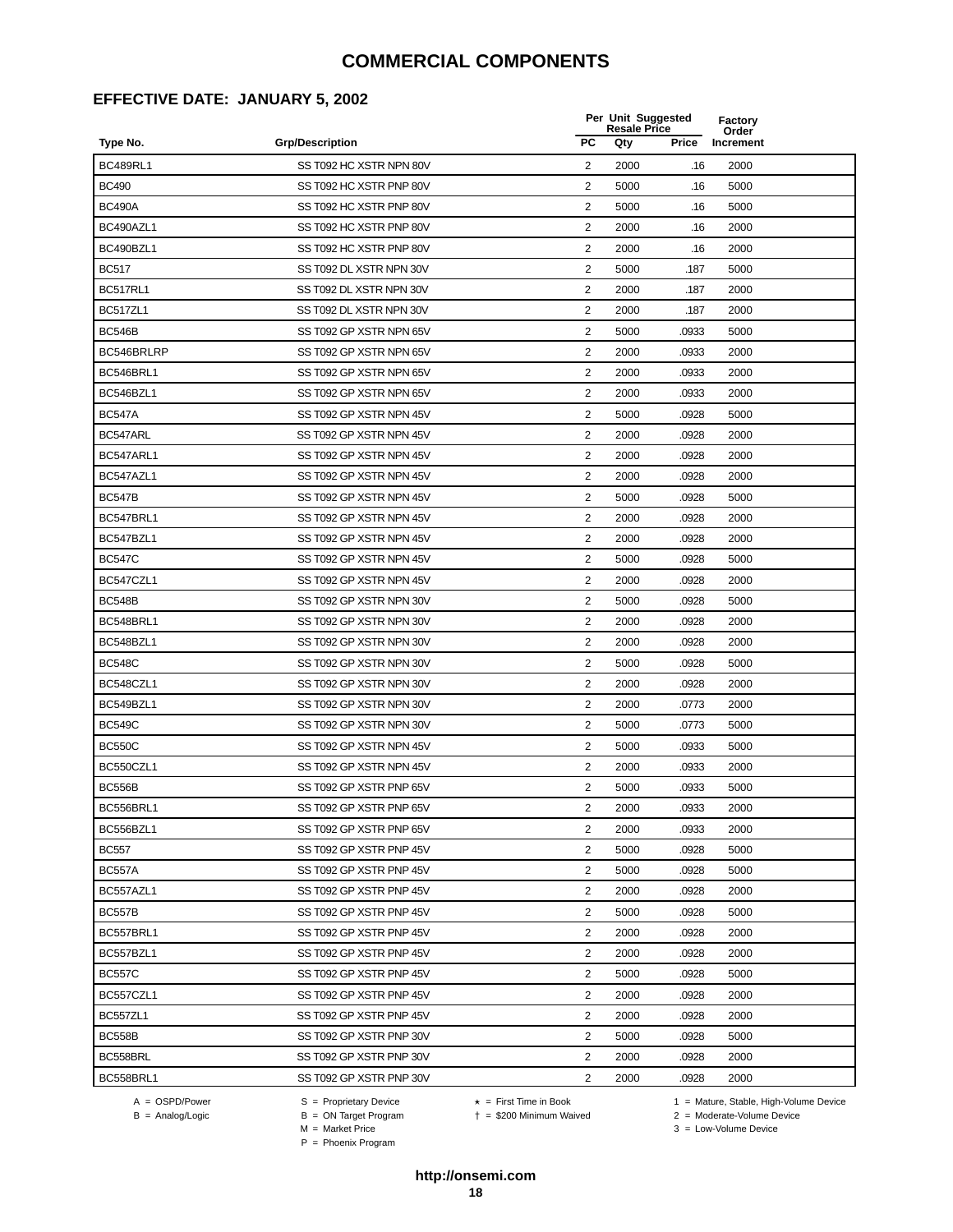#### **EFFECTIVE DATE: JANUARY 5, 2002**

|                 |                         |                | Per Unit Suggested<br><b>Resale Price</b> |       | Factory<br>Order |  |
|-----------------|-------------------------|----------------|-------------------------------------------|-------|------------------|--|
| Type No.        | <b>Grp/Description</b>  | <b>PC</b>      | Qty                                       | Price | Increment        |  |
| <b>BC489RL1</b> | SS T092 HC XSTR NPN 80V | 2              | 2000                                      | .16   | 2000             |  |
| <b>BC490</b>    | SS T092 HC XSTR PNP 80V | $\overline{2}$ | 5000                                      | .16   | 5000             |  |
| <b>BC490A</b>   | SS T092 HC XSTR PNP 80V | $\overline{2}$ | 5000                                      | .16   | 5000             |  |
| BC490AZL1       | SS T092 HC XSTR PNP 80V | $\overline{2}$ | 2000                                      | .16   | 2000             |  |
| BC490BZL1       | SS T092 HC XSTR PNP 80V | $\overline{2}$ | 2000                                      | .16   | 2000             |  |
| <b>BC517</b>    | SS T092 DL XSTR NPN 30V | 2              | 5000                                      | .187  | 5000             |  |
| <b>BC517RL1</b> | SS T092 DL XSTR NPN 30V | $\overline{2}$ | 2000                                      | .187  | 2000             |  |
| BC517ZL1        | SS T092 DL XSTR NPN 30V | 2              | 2000                                      | .187  | 2000             |  |
| <b>BC546B</b>   | SS T092 GP XSTR NPN 65V | $\overline{2}$ | 5000                                      | .0933 | 5000             |  |
| BC546BRLRP      | SS T092 GP XSTR NPN 65V | 2              | 2000                                      | .0933 | 2000             |  |
| BC546BRL1       | SS T092 GP XSTR NPN 65V | $\overline{2}$ | 2000                                      | .0933 | 2000             |  |
| BC546BZL1       | SS T092 GP XSTR NPN 65V | $\overline{2}$ | 2000                                      | .0933 | 2000             |  |
| <b>BC547A</b>   | SS T092 GP XSTR NPN 45V | $\overline{2}$ | 5000                                      | .0928 | 5000             |  |
| BC547ARL        | SS T092 GP XSTR NPN 45V | $\overline{2}$ | 2000                                      | .0928 | 2000             |  |
| BC547ARL1       | SS T092 GP XSTR NPN 45V | 2              | 2000                                      | .0928 | 2000             |  |
| BC547AZL1       | SS T092 GP XSTR NPN 45V | $\overline{2}$ | 2000                                      | .0928 | 2000             |  |
| <b>BC547B</b>   | SS T092 GP XSTR NPN 45V | $\overline{2}$ | 5000                                      | .0928 | 5000             |  |
| BC547BRL1       | SS T092 GP XSTR NPN 45V | $\overline{2}$ | 2000                                      | .0928 | 2000             |  |
| BC547BZL1       | SS T092 GP XSTR NPN 45V | 2              | 2000                                      | .0928 | 2000             |  |
| <b>BC547C</b>   | SS T092 GP XSTR NPN 45V | 2              | 5000                                      | .0928 | 5000             |  |
| BC547CZL1       | SS T092 GP XSTR NPN 45V | $\overline{2}$ | 2000                                      | .0928 | 2000             |  |
| <b>BC548B</b>   | SS T092 GP XSTR NPN 30V | $\overline{2}$ | 5000                                      | .0928 | 5000             |  |
| BC548BRL1       | SS T092 GP XSTR NPN 30V | $\overline{2}$ | 2000                                      | .0928 | 2000             |  |
| BC548BZL1       | SS T092 GP XSTR NPN 30V | 2              | 2000                                      | .0928 | 2000             |  |
| <b>BC548C</b>   | SS T092 GP XSTR NPN 30V | 2              | 5000                                      | .0928 | 5000             |  |
| BC548CZL1       | SS T092 GP XSTR NPN 30V | 2              | 2000                                      | .0928 | 2000             |  |
| BC549BZL1       | SS T092 GP XSTR NPN 30V | 2              | 2000                                      | .0773 | 2000             |  |
| <b>BC549C</b>   | SS T092 GP XSTR NPN 30V | 2              | 5000                                      | .0773 | 5000             |  |
| <b>BC550C</b>   | SS T092 GP XSTR NPN 45V | $\overline{2}$ | 5000                                      | .0933 | 5000             |  |
| BC550CZL1       | SS T092 GP XSTR NPN 45V | $\overline{2}$ | 2000                                      | .0933 | 2000             |  |
| <b>BC556B</b>   | SS T092 GP XSTR PNP 65V | $\overline{2}$ | 5000                                      | .0933 | 5000             |  |
| BC556BRL1       | SS T092 GP XSTR PNP 65V | 2              | 2000                                      | .0933 | 2000             |  |
| BC556BZL1       | SS T092 GP XSTR PNP 65V | 2              | 2000                                      | .0933 | 2000             |  |
| <b>BC557</b>    | SS T092 GP XSTR PNP 45V | $\overline{2}$ | 5000                                      | .0928 | 5000             |  |
| <b>BC557A</b>   | SS T092 GP XSTR PNP 45V | $\overline{2}$ | 5000                                      | .0928 | 5000             |  |
| BC557AZL1       | SS T092 GP XSTR PNP 45V | $\overline{2}$ | 2000                                      | .0928 | 2000             |  |
| <b>BC557B</b>   | SS T092 GP XSTR PNP 45V | 2              | 5000                                      | .0928 | 5000             |  |
| BC557BRL1       | SS T092 GP XSTR PNP 45V | $\overline{2}$ | 2000                                      | .0928 | 2000             |  |
| BC557BZL1       | SS T092 GP XSTR PNP 45V | $\overline{2}$ | 2000                                      | .0928 | 2000             |  |
| <b>BC557C</b>   | SS T092 GP XSTR PNP 45V | 2              | 5000                                      | .0928 | 5000             |  |
| BC557CZL1       | SS T092 GP XSTR PNP 45V | $\overline{2}$ | 2000                                      | .0928 | 2000             |  |
| BC557ZL1        | SS T092 GP XSTR PNP 45V | 2              | 2000                                      | .0928 | 2000             |  |
| <b>BC558B</b>   | SS T092 GP XSTR PNP 30V | $\overline{2}$ | 5000                                      | .0928 | 5000             |  |
| BC558BRL        | SS T092 GP XSTR PNP 30V | 2              | 2000                                      | .0928 | 2000             |  |
| BC558BRL1       | SS T092 GP XSTR PNP 30V | 2              | 2000                                      | .0928 | 2000             |  |

A = OSPD/Power S = Proprietary Device<br>
B = Analog/Logic B = ON Target Program<br>
M = Market Price

A = OSPD/Power S = Proprietary Device  $\star$  = First Time in Book 1 = Mature, Stable, High-Volume Device

 = \$200 Minimum Waived 2 = Moderate-Volume Device  $3 =$  Low-Volume Device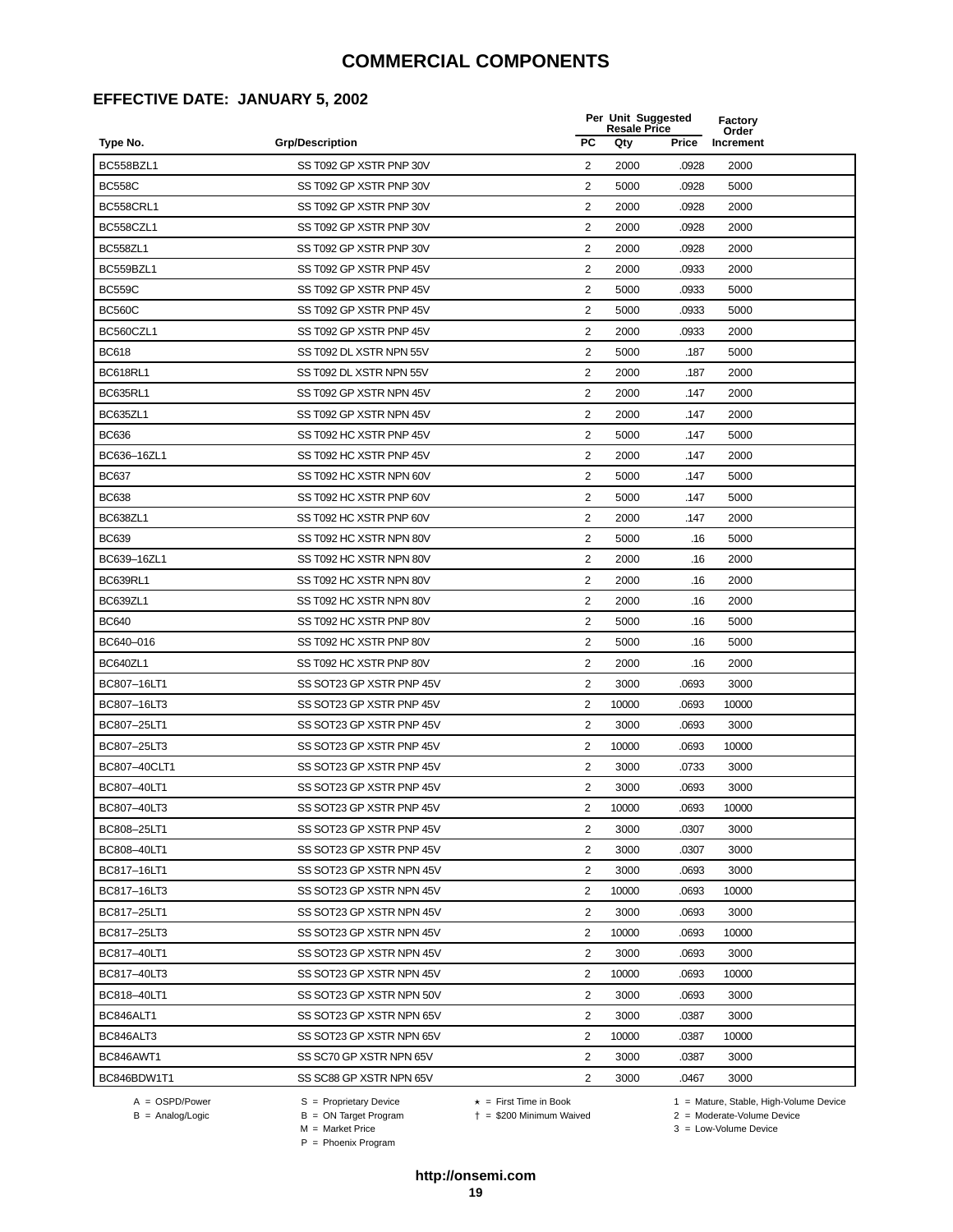#### **EFFECTIVE DATE: JANUARY 5, 2002**

|                  |                          |                         | Per Unit Suggested<br><b>Resale Price</b> |       | Factory<br>Order |
|------------------|--------------------------|-------------------------|-------------------------------------------|-------|------------------|
| Type No.         | <b>Grp/Description</b>   | <b>PC</b>               | Qty                                       | Price | Increment        |
| BC558BZL1        | SS T092 GP XSTR PNP 30V  | 2                       | 2000                                      | .0928 | 2000             |
| <b>BC558C</b>    | SS T092 GP XSTR PNP 30V  | 2                       | 5000                                      | .0928 | 5000             |
| <b>BC558CRL1</b> | SS T092 GP XSTR PNP 30V  | 2                       | 2000                                      | .0928 | 2000             |
| BC558CZL1        | SS T092 GP XSTR PNP 30V  | 2                       | 2000                                      | .0928 | 2000             |
| <b>BC558ZL1</b>  | SS T092 GP XSTR PNP 30V  | $\overline{2}$          | 2000                                      | .0928 | 2000             |
| BC559BZL1        | SS T092 GP XSTR PNP 45V  | $\overline{2}$          | 2000                                      | .0933 | 2000             |
| <b>BC559C</b>    | SS T092 GP XSTR PNP 45V  | $\overline{2}$          | 5000                                      | .0933 | 5000             |
| <b>BC560C</b>    | SS T092 GP XSTR PNP 45V  | 2                       | 5000                                      | .0933 | 5000             |
| BC560CZL1        | SS T092 GP XSTR PNP 45V  | $\overline{2}$          | 2000                                      | .0933 | 2000             |
| <b>BC618</b>     | SS T092 DL XSTR NPN 55V  | $\overline{2}$          | 5000                                      | .187  | 5000             |
| BC618RL1         | SS T092 DL XSTR NPN 55V  | 2                       | 2000                                      | .187  | 2000             |
| <b>BC635RL1</b>  | SS T092 GP XSTR NPN 45V  | $\overline{2}$          | 2000                                      | .147  | 2000             |
| BC635ZL1         | SS T092 GP XSTR NPN 45V  | $\overline{2}$          | 2000                                      | .147  | 2000             |
| <b>BC636</b>     | SS T092 HC XSTR PNP 45V  | 2                       | 5000                                      | .147  | 5000             |
| BC636-16ZL1      | SS T092 HC XSTR PNP 45V  | 2                       | 2000                                      | .147  | 2000             |
| <b>BC637</b>     | SS T092 HC XSTR NPN 60V  | $\overline{2}$          | 5000                                      | .147  | 5000             |
| <b>BC638</b>     | SS T092 HC XSTR PNP 60V  | 2                       | 5000                                      | .147  | 5000             |
| BC638ZL1         | SS T092 HC XSTR PNP 60V  | $\overline{2}$          | 2000                                      | .147  | 2000             |
| <b>BC639</b>     | SS T092 HC XSTR NPN 80V  | $\overline{2}$          | 5000                                      | .16   | 5000             |
| BC639-16ZL1      | SS T092 HC XSTR NPN 80V  | 2                       | 2000                                      | .16   | 2000             |
| <b>BC639RL1</b>  | SS T092 HC XSTR NPN 80V  | $\overline{2}$          | 2000                                      | .16   | 2000             |
| BC639ZL1         | SS T092 HC XSTR NPN 80V  | $\overline{2}$          | 2000                                      | .16   | 2000             |
| <b>BC640</b>     | SS T092 HC XSTR PNP 80V  | $\overline{\mathbf{c}}$ | 5000                                      | .16   | 5000             |
| BC640-016        | SS T092 HC XSTR PNP 80V  | $\overline{2}$          | 5000                                      | .16   | 5000             |
| BC640ZL1         | SS T092 HC XSTR PNP 80V  | $\overline{2}$          | 2000                                      | .16   | 2000             |
| BC807-16LT1      | SS SOT23 GP XSTR PNP 45V | $\overline{2}$          | 3000                                      | .0693 | 3000             |
| BC807-16LT3      | SS SOT23 GP XSTR PNP 45V | $\overline{c}$          | 10000                                     | .0693 | 10000            |
| BC807-25LT1      | SS SOT23 GP XSTR PNP 45V | 2                       | 3000                                      | .0693 | 3000             |
| BC807-25LT3      | SS SOT23 GP XSTR PNP 45V | 2                       | 10000                                     | .0693 | 10000            |
| BC807-40CLT1     | SS SOT23 GP XSTR PNP 45V | 2                       | 3000                                      | .0733 | 3000             |
| BC807-40LT1      | SS SOT23 GP XSTR PNP 45V | $\overline{2}$          | 3000                                      | .0693 | 3000             |
| BC807-40LT3      | SS SOT23 GP XSTR PNP 45V | 2                       | 10000                                     | .0693 | 10000            |
| BC808-25LT1      | SS SOT23 GP XSTR PNP 45V | 2                       | 3000                                      | .0307 | 3000             |
| BC808-40LT1      | SS SOT23 GP XSTR PNP 45V | 2                       | 3000                                      | .0307 | 3000             |
| BC817-16LT1      | SS SOT23 GP XSTR NPN 45V | 2                       | 3000                                      | .0693 | 3000             |
| BC817-16LT3      | SS SOT23 GP XSTR NPN 45V | 2                       | 10000                                     | .0693 | 10000            |
| BC817-25LT1      | SS SOT23 GP XSTR NPN 45V | 2                       | 3000                                      | .0693 | 3000             |
| BC817-25LT3      | SS SOT23 GP XSTR NPN 45V | 2                       | 10000                                     | .0693 | 10000            |
| BC817-40LT1      | SS SOT23 GP XSTR NPN 45V | $\overline{2}$          | 3000                                      | .0693 | 3000             |
| BC817-40LT3      | SS SOT23 GP XSTR NPN 45V | 2                       | 10000                                     | .0693 | 10000            |
| BC818-40LT1      | SS SOT23 GP XSTR NPN 50V | 2                       | 3000                                      | .0693 | 3000             |
| BC846ALT1        | SS SOT23 GP XSTR NPN 65V | $\overline{2}$          | 3000                                      | .0387 | 3000             |
| BC846ALT3        | SS SOT23 GP XSTR NPN 65V | 2                       | 10000                                     | .0387 | 10000            |
| BC846AWT1        | SS SC70 GP XSTR NPN 65V  | 2                       | 3000                                      | .0387 | 3000             |
| BC846BDW1T1      | SS SC88 GP XSTR NPN 65V  | 2                       | 3000                                      | .0467 | 3000             |

 $B =$  Analog/Logic  $B =$  ON Target Program  $M =$  Market Price

A = OSPD/Power S = Proprietary Device  $\star$  = First Time in Book 1 = Mature, Stable, High-Volume Device

 = \$200 Minimum Waived 2 = Moderate-Volume Device  $3 =$  Low-Volume Device

P = Phoenix Program

**http://onsemi.com**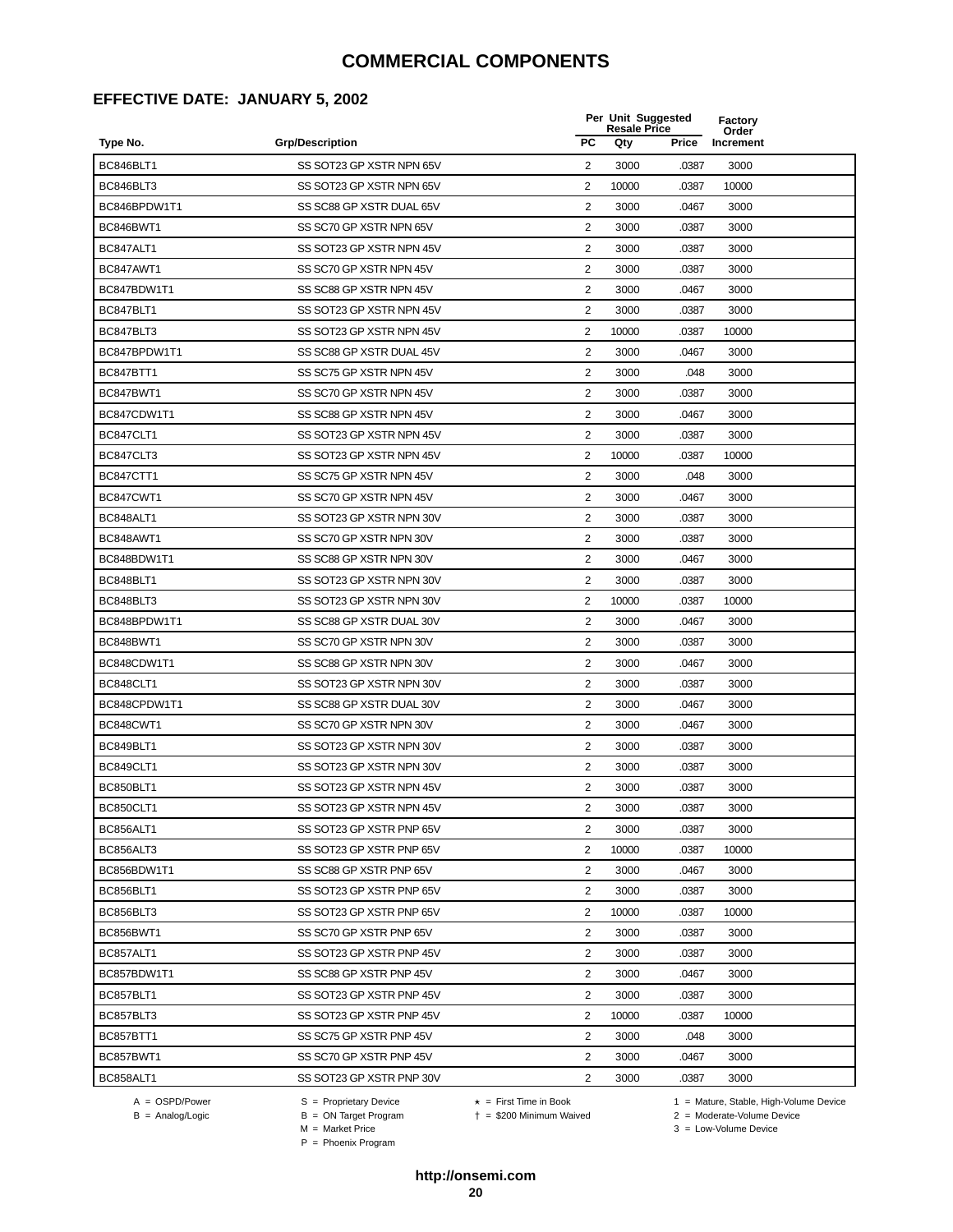#### **EFFECTIVE DATE: JANUARY 5, 2002**

|                  |                          |                | Per Unit Suggested<br><b>Resale Price</b> |              | Factory<br>Order |
|------------------|--------------------------|----------------|-------------------------------------------|--------------|------------------|
| Type No.         | <b>Grp/Description</b>   | PC             | Qty                                       | <b>Price</b> | Increment        |
| BC846BLT1        | SS SOT23 GP XSTR NPN 65V | 2              | 3000                                      | .0387        | 3000             |
| BC846BLT3        | SS SOT23 GP XSTR NPN 65V | 2              | 10000                                     | .0387        | 10000            |
| BC846BPDW1T1     | SS SC88 GP XSTR DUAL 65V | $\overline{2}$ | 3000                                      | .0467        | 3000             |
| BC846BWT1        | SS SC70 GP XSTR NPN 65V  | 2              | 3000                                      | .0387        | 3000             |
| BC847ALT1        | SS SOT23 GP XSTR NPN 45V | $\overline{c}$ | 3000                                      | .0387        | 3000             |
| BC847AWT1        | SS SC70 GP XSTR NPN 45V  | 2              | 3000                                      | .0387        | 3000             |
| BC847BDW1T1      | SS SC88 GP XSTR NPN 45V  | $\overline{2}$ | 3000                                      | .0467        | 3000             |
| BC847BLT1        | SS SOT23 GP XSTR NPN 45V | 2              | 3000                                      | .0387        | 3000             |
| BC847BLT3        | SS SOT23 GP XSTR NPN 45V | 2              | 10000                                     | .0387        | 10000            |
| BC847BPDW1T1     | SS SC88 GP XSTR DUAL 45V | 2              | 3000                                      | .0467        | 3000             |
| BC847BTT1        | SS SC75 GP XSTR NPN 45V  | 2              | 3000                                      | .048         | 3000             |
| BC847BWT1        | SS SC70 GP XSTR NPN 45V  | $\overline{2}$ | 3000                                      | .0387        | 3000             |
| BC847CDW1T1      | SS SC88 GP XSTR NPN 45V  | 2              | 3000                                      | .0467        | 3000             |
| BC847CLT1        | SS SOT23 GP XSTR NPN 45V | $\overline{2}$ | 3000                                      | .0387        | 3000             |
| BC847CLT3        | SS SOT23 GP XSTR NPN 45V | 2              | 10000                                     | .0387        | 10000            |
| <b>BC847CTT1</b> | SS SC75 GP XSTR NPN 45V  | $\overline{2}$ | 3000                                      | .048         | 3000             |
| BC847CWT1        | SS SC70 GP XSTR NPN 45V  | 2              | 3000                                      | .0467        | 3000             |
| BC848ALT1        | SS SOT23 GP XSTR NPN 30V | $\overline{c}$ | 3000                                      | .0387        | 3000             |
| BC848AWT1        | SS SC70 GP XSTR NPN 30V  | 2              | 3000                                      | .0387        | 3000             |
| BC848BDW1T1      | SS SC88 GP XSTR NPN 30V  | 2              | 3000                                      | .0467        | 3000             |
| BC848BLT1        | SS SOT23 GP XSTR NPN 30V | 2              | 3000                                      | .0387        | 3000             |
| BC848BLT3        | SS SOT23 GP XSTR NPN 30V | $\overline{c}$ | 10000                                     | .0387        | 10000            |
| BC848BPDW1T1     | SS SC88 GP XSTR DUAL 30V | $\overline{c}$ | 3000                                      | .0467        | 3000             |
| BC848BWT1        | SS SC70 GP XSTR NPN 30V  | $\mathbf{2}$   | 3000                                      | .0387        | 3000             |
| BC848CDW1T1      | SS SC88 GP XSTR NPN 30V  | 2              | 3000                                      | .0467        | 3000             |
| BC848CLT1        | SS SOT23 GP XSTR NPN 30V | 2              | 3000                                      | .0387        | 3000             |
| BC848CPDW1T1     | SS SC88 GP XSTR DUAL 30V | $\overline{c}$ | 3000                                      | .0467        | 3000             |
| BC848CWT1        | SS SC70 GP XSTR NPN 30V  | 2              | 3000                                      | .0467        | 3000             |
| BC849BLT1        | SS SOT23 GP XSTR NPN 30V | 2              | 3000                                      | .0387        | 3000             |
| BC849CLT1        | SS SOT23 GP XSTR NPN 30V | 2              | 3000                                      | .0387        | 3000             |
| BC850BLT1        | SS SOT23 GP XSTR NPN 45V | $\overline{2}$ | 3000                                      | .0387        | 3000             |
| BC850CLT1        | SS SOT23 GP XSTR NPN 45V | 2              | 3000                                      | .0387        | 3000             |
| BC856ALT1        | SS SOT23 GP XSTR PNP 65V | 2              | 3000                                      | .0387        | 3000             |
| BC856ALT3        | SS SOT23 GP XSTR PNP 65V | $\overline{2}$ | 10000                                     | .0387        | 10000            |
| BC856BDW1T1      | SS SC88 GP XSTR PNP 65V  | 2              | 3000                                      | .0467        | 3000             |
| BC856BLT1        | SS SOT23 GP XSTR PNP 65V | 2              | 3000                                      | .0387        | 3000             |
| BC856BLT3        | SS SOT23 GP XSTR PNP 65V | 2              | 10000                                     | .0387        | 10000            |
| BC856BWT1        | SS SC70 GP XSTR PNP 65V  | 2              | 3000                                      | .0387        | 3000             |
| BC857ALT1        | SS SOT23 GP XSTR PNP 45V | $\overline{2}$ | 3000                                      | .0387        | 3000             |
| BC857BDW1T1      | SS SC88 GP XSTR PNP 45V  | 2              | 3000                                      | .0467        | 3000             |
| BC857BLT1        | SS SOT23 GP XSTR PNP 45V | 2              | 3000                                      | .0387        | 3000             |
| BC857BLT3        | SS SOT23 GP XSTR PNP 45V | $\overline{2}$ | 10000                                     | .0387        | 10000            |
| BC857BTT1        | SS SC75 GP XSTR PNP 45V  | 2              | 3000                                      | .048         | 3000             |
| BC857BWT1        | SS SC70 GP XSTR PNP 45V  | 2              | 3000                                      | .0467        | 3000             |
| BC858ALT1        | SS SOT23 GP XSTR PNP 30V | $\overline{2}$ | 3000                                      | .0387        | 3000             |

-<br>B = ON Target Program<br>M = Market Price

 $A = OBPD/Power$ <br>  $B = ON Target Program$   $A = First Time in Book$   $A = West Theorem 1 = Nature, Stable, High-Volume Device$   $A = Mature, Stable, High-Volume Device$   $A = Mature, Stable, High-Volume Device$   $A = Mature, Table, High-Volume Device$   $A = Mature, Table, High-Volume Device$   $A = Mature, Table, High-Volume Device$   $A = Mature, Table, High-Volume Device$   $A = Mature, Table, High-Volume Device$   $A = Mature, Table, High-Volume Device$   $A = Mature, Table, High-Volume Device$   $A = Mature, Table, High-Volume Device$   $A = Mature, Table, High-Volume Device$   $A = Mature, Table, High-Volume Device$   $A = Mature, Table$ 

 $2 =$  Moderate-Volume Device

 $3 =$  Low-Volume Device

P = Phoenix Program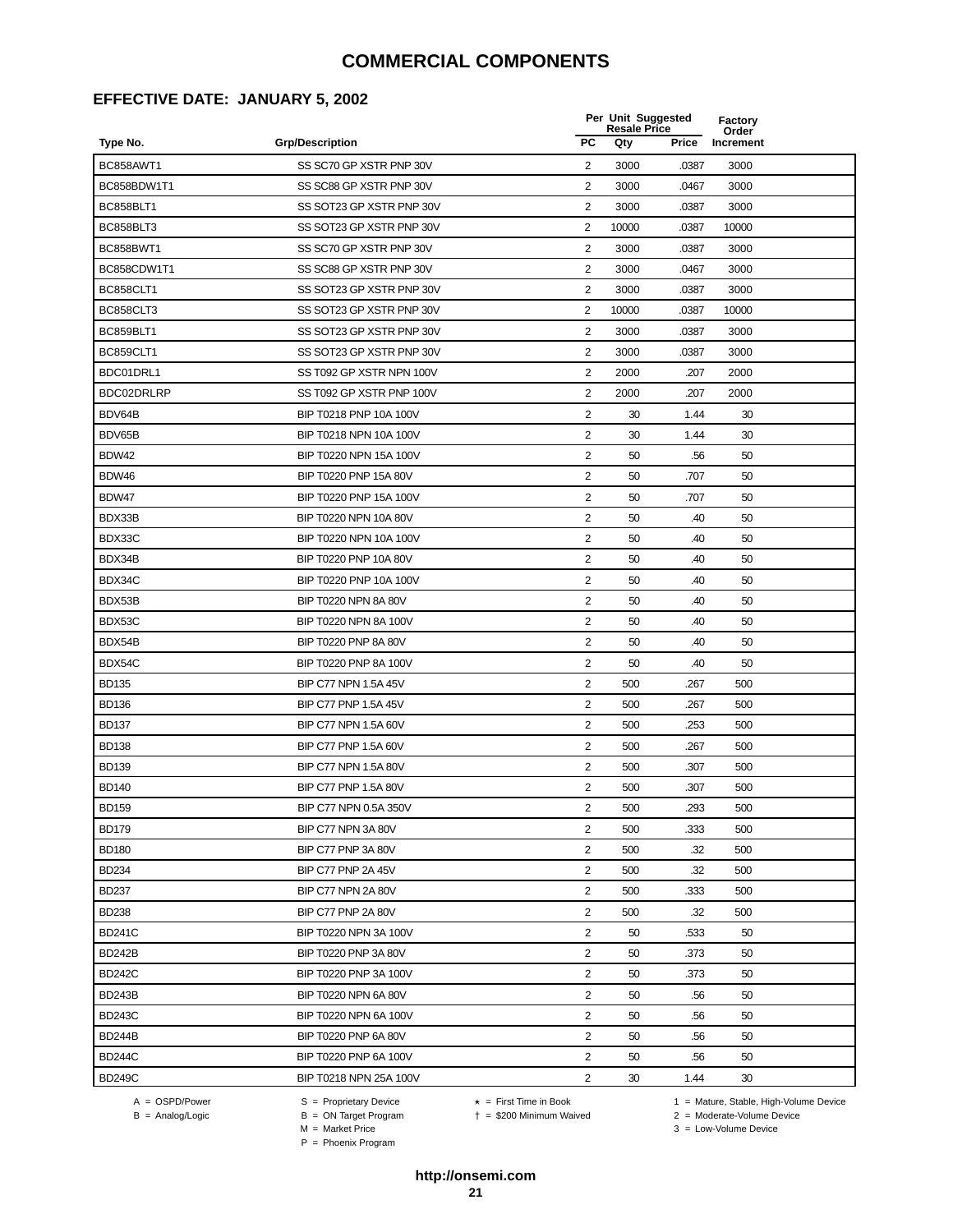#### **EFFECTIVE DATE: JANUARY 5, 2002**

|                  |                          |                         | Per Unit Suggested<br><b>Resale Price</b> |       | Factory<br>Order |  |
|------------------|--------------------------|-------------------------|-------------------------------------------|-------|------------------|--|
| Type No.         | <b>Grp/Description</b>   | <b>PC</b>               | Qty                                       | Price | Increment        |  |
| BC858AWT1        | SS SC70 GP XSTR PNP 30V  | 2                       | 3000                                      | .0387 | 3000             |  |
| BC858BDW1T1      | SS SC88 GP XSTR PNP 30V  | 2                       | 3000                                      | .0467 | 3000             |  |
| BC858BLT1        | SS SOT23 GP XSTR PNP 30V | 2                       | 3000                                      | .0387 | 3000             |  |
| BC858BLT3        | SS SOT23 GP XSTR PNP 30V | $\overline{2}$          | 10000                                     | .0387 | 10000            |  |
| BC858BWT1        | SS SC70 GP XSTR PNP 30V  | $\sqrt{2}$              | 3000                                      | .0387 | 3000             |  |
| BC858CDW1T1      | SS SC88 GP XSTR PNP 30V  | $\overline{2}$          | 3000                                      | .0467 | 3000             |  |
| <b>BC858CLT1</b> | SS SOT23 GP XSTR PNP 30V | $\overline{2}$          | 3000                                      | .0387 | 3000             |  |
| BC858CLT3        | SS SOT23 GP XSTR PNP 30V | $\overline{2}$          | 10000                                     | .0387 | 10000            |  |
| BC859BLT1        | SS SOT23 GP XSTR PNP 30V | $\overline{2}$          | 3000                                      | .0387 | 3000             |  |
| BC859CLT1        | SS SOT23 GP XSTR PNP 30V | 2                       | 3000                                      | .0387 | 3000             |  |
| BDC01DRL1        | SS T092 GP XSTR NPN 100V | $\overline{2}$          | 2000                                      | .207  | 2000             |  |
| BDC02DRLRP       | SS T092 GP XSTR PNP 100V | $\overline{2}$          | 2000                                      | .207  | 2000             |  |
| BDV64B           | BIP T0218 PNP 10A 100V   | 2                       | 30                                        | 1.44  | 30               |  |
| BDV65B           | BIP T0218 NPN 10A 100V   | $\overline{2}$          | 30                                        | 1.44  | 30               |  |
| <b>BDW42</b>     | BIP T0220 NPN 15A 100V   | 2                       | 50                                        | .56   | 50               |  |
| <b>BDW46</b>     | BIP T0220 PNP 15A 80V    | $\overline{2}$          | 50                                        | .707  | 50               |  |
| BDW47            | BIP T0220 PNP 15A 100V   | 2                       | 50                                        | .707  | 50               |  |
| BDX33B           | BIP T0220 NPN 10A 80V    | $\overline{2}$          | 50                                        | .40   | 50               |  |
| BDX33C           | BIP T0220 NPN 10A 100V   | $\overline{2}$          | 50                                        | .40   | 50               |  |
| BDX34B           | BIP T0220 PNP 10A 80V    | 2                       | 50                                        | .40   | 50               |  |
| BDX34C           | BIP T0220 PNP 10A 100V   | 2                       | 50                                        | .40   | 50               |  |
| BDX53B           | BIP T0220 NPN 8A 80V     | 2                       | 50                                        | .40   | 50               |  |
| BDX53C           | BIP T0220 NPN 8A 100V    | $\overline{2}$          | 50                                        | .40   | 50               |  |
| BDX54B           | BIP T0220 PNP 8A 80V     | 2                       | 50                                        | .40   | 50               |  |
| BDX54C           | BIP T0220 PNP 8A 100V    | 2                       | 50                                        | .40   | 50               |  |
| <b>BD135</b>     | BIP C77 NPN 1.5A 45V     | 2                       | 500                                       | .267  | 500              |  |
| <b>BD136</b>     | BIP C77 PNP 1.5A 45V     | 2                       | 500                                       | .267  | 500              |  |
| <b>BD137</b>     | BIP C77 NPN 1.5A 60V     | 2                       | 500                                       | .253  | 500              |  |
| <b>BD138</b>     | BIP C77 PNP 1.5A 60V     | 2                       | 500                                       | .267  | 500              |  |
| <b>BD139</b>     | BIP C77 NPN 1.5A 80V     | $\overline{2}$          | 500                                       | .307  | 500              |  |
| <b>BD140</b>     | BIP C77 PNP 1.5A 80V     | $\overline{2}$          | 500                                       | .307  | 500              |  |
| <b>BD159</b>     | BIP C77 NPN 0.5A 350V    | $\overline{\mathbf{c}}$ | 500                                       | 293   | 500              |  |
| <b>BD179</b>     | BIP C77 NPN 3A 80V       | 2                       | 500                                       | .333  | 500              |  |
| <b>BD180</b>     | BIP C77 PNP 3A 80V       | $\overline{2}$          | 500                                       | .32   | 500              |  |
| <b>BD234</b>     | BIP C77 PNP 2A 45V       | $\overline{2}$          | 500                                       | .32   | 500              |  |
| <b>BD237</b>     | BIP C77 NPN 2A 80V       | $\overline{2}$          | 500                                       | .333  | 500              |  |
| <b>BD238</b>     | BIP C77 PNP 2A 80V       | $\overline{2}$          | 500                                       | .32   | 500              |  |
| <b>BD241C</b>    | BIP T0220 NPN 3A 100V    | 2                       | 50                                        | .533  | 50               |  |
| <b>BD242B</b>    | BIP T0220 PNP 3A 80V     | 2                       | 50                                        | .373  | 50               |  |
| <b>BD242C</b>    | BIP T0220 PNP 3A 100V    | 2                       | 50                                        | .373  | 50               |  |
| <b>BD243B</b>    | BIP T0220 NPN 6A 80V     | 2                       | 50                                        | .56   | 50               |  |
| <b>BD243C</b>    | BIP T0220 NPN 6A 100V    | 2                       | 50                                        | .56   | 50               |  |
| <b>BD244B</b>    | BIP T0220 PNP 6A 80V     | 2                       | 50                                        | .56   | 50               |  |
| <b>BD244C</b>    | BIP T0220 PNP 6A 100V    | $\overline{2}$          | 50                                        | .56   | 50               |  |
| <b>BD249C</b>    | BIP T0218 NPN 25A 100V   | $\overline{2}$          | 30                                        | 1.44  | 30               |  |

B = ON Target Program<br>M = Market Price

 $A = OBPD/Power$ <br>  $B = ON Target Program$   $A = First Time in Book$   $A = West Theorem 1 = Nature, Stable, High-Volume Device$   $A = Mature, Stable, High-Volume Device$   $A = Mature, Stable, High-Volume Device$   $A = Mature, Table, High-Volume Device$   $A = Mature, Table, High-Volume Device$   $A = Mature, Table, High-Volume Device$   $A = Mature, Table, High-Volume Device$   $A = Mature, Table, High-Volume Device$   $A = Mature, Table, High-Volume Device$   $A = Mature, Table, High-Volume Device$   $A = Mature, Table, High-Volume Device$   $A = Mature, Table, High-Volume Device$   $A = Mature, Table, High-Volume Device$   $A = Mature, Table$ 

 $2 =$  Moderate-Volume Device

 $3 =$  Low-Volume Device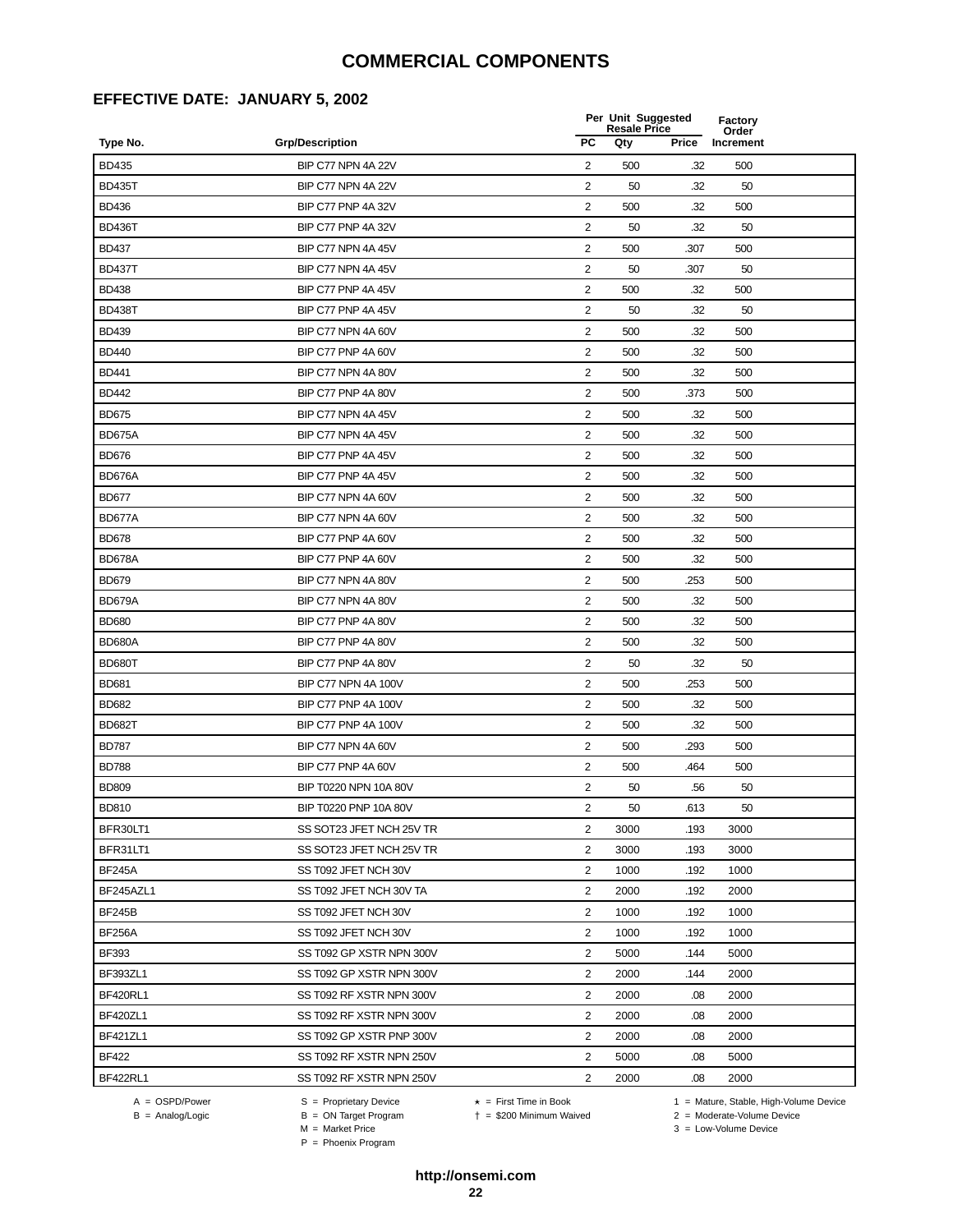#### **EFFECTIVE DATE: JANUARY 5, 2002**

|                 |                            |                         | Per Unit Suggested<br><b>Resale Price</b> |       | Factory<br>Order |  |
|-----------------|----------------------------|-------------------------|-------------------------------------------|-------|------------------|--|
| Type No.        | <b>Grp/Description</b>     | <b>PC</b>               | Qty                                       | Price | Increment        |  |
| <b>BD435</b>    | BIP C77 NPN 4A 22V         | 2                       | 500                                       | .32   | 500              |  |
| <b>BD435T</b>   | BIP C77 NPN 4A 22V         | $\overline{2}$          | 50                                        | .32   | 50               |  |
| <b>BD436</b>    | BIP C77 PNP 4A 32V         | $\overline{2}$          | 500                                       | .32   | 500              |  |
| <b>BD436T</b>   | BIP C77 PNP 4A 32V         | 2                       | 50                                        | .32   | 50               |  |
| <b>BD437</b>    | BIP C77 NPN 4A 45V         | $\overline{2}$          | 500                                       | .307  | 500              |  |
| <b>BD437T</b>   | BIP C77 NPN 4A 45V         | 2                       | 50                                        | .307  | 50               |  |
| <b>BD438</b>    | BIP C77 PNP 4A 45V         | $\sqrt{2}$              | 500                                       | .32   | 500              |  |
| <b>BD438T</b>   | BIP C77 PNP 4A 45V         | 2                       | 50                                        | .32   | 50               |  |
| <b>BD439</b>    | BIP C77 NPN 4A 60V         | $\overline{2}$          | 500                                       | .32   | 500              |  |
| <b>BD440</b>    | BIP C77 PNP 4A 60V         | 2                       | 500                                       | .32   | 500              |  |
| <b>BD441</b>    | BIP C77 NPN 4A 80V         | 2                       | 500                                       | .32   | 500              |  |
| <b>BD442</b>    | BIP C77 PNP 4A 80V         | $\overline{2}$          | 500                                       | .373  | 500              |  |
| <b>BD675</b>    | BIP C77 NPN 4A 45V         | 2                       | 500                                       | .32   | 500              |  |
| <b>BD675A</b>   | BIP C77 NPN 4A 45V         | $\overline{2}$          | 500                                       | .32   | 500              |  |
| <b>BD676</b>    | BIP C77 PNP 4A 45V         | 2                       | 500                                       | .32   | 500              |  |
| <b>BD676A</b>   | BIP C77 PNP 4A 45V         | $\overline{\mathbf{c}}$ | 500                                       | .32   | 500              |  |
| <b>BD677</b>    | BIP C77 NPN 4A 60V         | 2                       | 500                                       | 32    | 500              |  |
| <b>BD677A</b>   | BIP C77 NPN 4A 60V         | $\overline{2}$          | 500                                       | .32   | 500              |  |
| <b>BD678</b>    | BIP C77 PNP 4A 60V         | 2                       | 500                                       | .32   | 500              |  |
| <b>BD678A</b>   | BIP C77 PNP 4A 60V         | $\overline{2}$          | 500                                       | .32   | 500              |  |
| <b>BD679</b>    | BIP C77 NPN 4A 80V         | 2                       | 500                                       | .253  | 500              |  |
| <b>BD679A</b>   | BIP C77 NPN 4A 80V         | 2                       | 500                                       | .32   | 500              |  |
| <b>BD680</b>    | BIP C77 PNP 4A 80V         | $\overline{2}$          | 500                                       | .32   | 500              |  |
| <b>BD680A</b>   | BIP C77 PNP 4A 80V         | 2                       | 500                                       | .32   | 500              |  |
| <b>BD680T</b>   | BIP C77 PNP 4A 80V         | $\overline{\mathbf{c}}$ | 50                                        | .32   | 50               |  |
| <b>BD681</b>    | BIP C77 NPN 4A 100V        | $\overline{2}$          | 500                                       | .253  | 500              |  |
| <b>BD682</b>    | <b>BIP C77 PNP 4A 100V</b> | $\overline{2}$          | 500                                       | .32   | 500              |  |
| <b>BD682T</b>   | BIP C77 PNP 4A 100V        | 2                       | 500                                       | .32   | 500              |  |
| <b>BD787</b>    | BIP C77 NPN 4A 60V         | 2                       | 500                                       | .293  | 500              |  |
| <b>BD788</b>    | BIP C77 PNP 4A 60V         | 2                       | 500                                       | .464  | 500              |  |
| <b>BD809</b>    | BIP T0220 NPN 10A 80V      | $\overline{2}$          | 50                                        | .56   | 50               |  |
| <b>BD810</b>    | BIP T0220 PNP 10A 80V      | 2                       | 50                                        | .613  | 50               |  |
| BFR30LT1        | SS SOT23 JFET NCH 25V TR   | $\overline{2}$          | 3000                                      | .193  | 3000             |  |
| BFR31LT1        | SS SOT23 JFET NCH 25V TR   | 2                       | 3000                                      | .193  | 3000             |  |
| <b>BF245A</b>   | SS T092 JFET NCH 30V       | $\overline{2}$          | 1000                                      | .192  | 1000             |  |
| BF245AZL1       | SS T092 JFET NCH 30V TA    | $\overline{2}$          | 2000                                      | .192  | 2000             |  |
| <b>BF245B</b>   | SS T092 JFET NCH 30V       | 2                       | 1000                                      | .192  | 1000             |  |
| <b>BF256A</b>   | SS T092 JFET NCH 30V       | $\overline{2}$          | 1000                                      | .192  | 1000             |  |
| <b>BF393</b>    | SS T092 GP XSTR NPN 300V   | 2                       | 5000                                      | .144  | 5000             |  |
| BF393ZL1        | SS T092 GP XSTR NPN 300V   | 2                       | 2000                                      | .144  | 2000             |  |
| <b>BF420RL1</b> | SS T092 RF XSTR NPN 300V   | 2                       | 2000                                      | .08   | 2000             |  |
| BF420ZL1        | SS T092 RF XSTR NPN 300V   | 2                       | 2000                                      | .08   | 2000             |  |
| <b>BF421ZL1</b> | SS T092 GP XSTR PNP 300V   | $\overline{2}$          | 2000                                      | .08   | 2000             |  |
| <b>BF422</b>    | SS T092 RF XSTR NPN 250V   | $\overline{2}$          | 5000                                      | .08   | 5000             |  |
| <b>BF422RL1</b> | SS T092 RF XSTR NPN 250V   | $\overline{2}$          | 2000                                      | .08   | 2000             |  |

A = OSPD/Power S = Proprietary Device<br>
B = Analog/Logic B = ON Target Program<br>
M = Market Price

= \$200 Minimum Waived 2 = Moderate-Volume Device

A = OSPD/Power S = Proprietary Device  $\star$  = First Time in Book 1 = Mature, Stable, High-Volume Device

 $3 =$  Low-Volume Device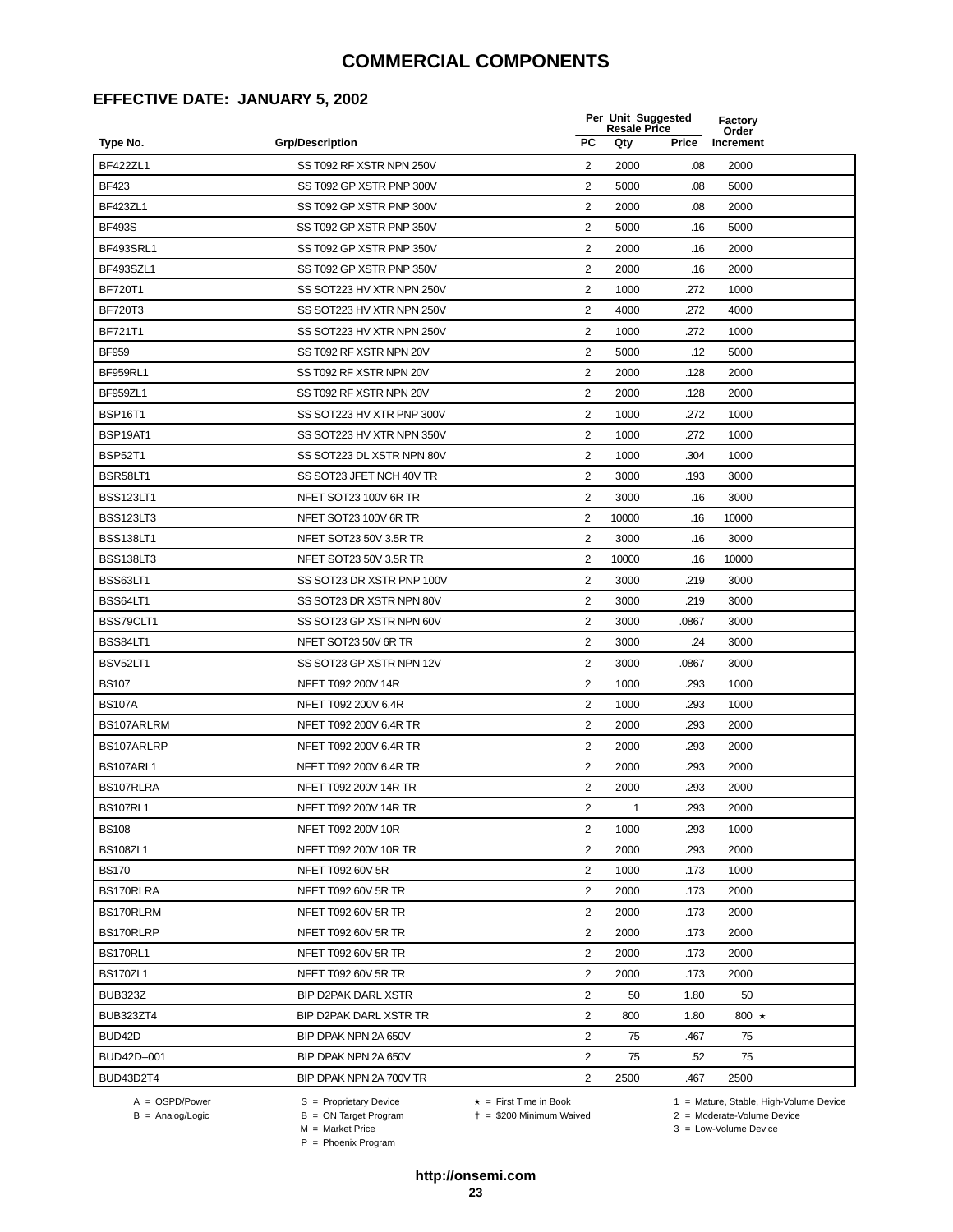#### **EFFECTIVE DATE: JANUARY 5, 2002**

|                  |                           |                | Per Unit Suggested<br><b>Resale Price</b> | Factory<br>Order |             |
|------------------|---------------------------|----------------|-------------------------------------------|------------------|-------------|
| Type No.         | <b>Grp/Description</b>    | <b>PC</b>      | Qty                                       | Price            | Increment   |
| <b>BF422ZL1</b>  | SS T092 RF XSTR NPN 250V  | 2              | 2000                                      | .08              | 2000        |
| <b>BF423</b>     | SS T092 GP XSTR PNP 300V  | 2              | 5000                                      | .08              | 5000        |
| <b>BF423ZL1</b>  | SS T092 GP XSTR PNP 300V  | $\overline{2}$ | 2000                                      | .08              | 2000        |
| <b>BF493S</b>    | SS T092 GP XSTR PNP 350V  | 2              | 5000                                      | .16              | 5000        |
| BF493SRL1        | SS T092 GP XSTR PNP 350V  | $\overline{c}$ | 2000                                      | .16              | 2000        |
| BF493SZL1        | SS T092 GP XSTR PNP 350V  | $\overline{2}$ | 2000                                      | .16              | 2000        |
| <b>BF720T1</b>   | SS SOT223 HV XTR NPN 250V | $\overline{2}$ | 1000                                      | .272             | 1000        |
| <b>BF720T3</b>   | SS SOT223 HV XTR NPN 250V | $\overline{2}$ | 4000                                      | .272             | 4000        |
| BF721T1          | SS SOT223 HV XTR NPN 250V | 2              | 1000                                      | .272             | 1000        |
| <b>BF959</b>     | SS T092 RF XSTR NPN 20V   | 2              | 5000                                      | .12              | 5000        |
| BF959RL1         | SS T092 RF XSTR NPN 20V   | 2              | 2000                                      | .128             | 2000        |
| BF959ZL1         | SS T092 RF XSTR NPN 20V   | 2              | 2000                                      | .128             | 2000        |
| <b>BSP16T1</b>   | SS SOT223 HV XTR PNP 300V | $\overline{c}$ | 1000                                      | .272             | 1000        |
| BSP19AT1         | SS SOT223 HV XTR NPN 350V | $\overline{c}$ | 1000                                      | .272             | 1000        |
| <b>BSP52T1</b>   | SS SOT223 DL XSTR NPN 80V | $\overline{2}$ | 1000                                      | .304             | 1000        |
| BSR58LT1         | SS SOT23 JFET NCH 40V TR  | $\overline{2}$ | 3000                                      | .193             | 3000        |
| <b>BSS123LT1</b> | NFET SOT23 100V 6R TR     | $\overline{2}$ | 3000                                      | .16              | 3000        |
| <b>BSS123LT3</b> | NFET SOT23 100V 6R TR     | $\overline{c}$ | 10000                                     | .16              | 10000       |
| <b>BSS138LT1</b> | NFET SOT23 50V 3.5R TR    | 2              | 3000                                      | .16              | 3000        |
| <b>BSS138LT3</b> | NFET SOT23 50V 3.5R TR    | 2              | 10000                                     | .16              | 10000       |
| BSS63LT1         | SS SOT23 DR XSTR PNP 100V | 2              | 3000                                      | .219             | 3000        |
| BSS64LT1         | SS SOT23 DR XSTR NPN 80V  | 2              | 3000                                      | .219             | 3000        |
| BSS79CLT1        | SS SOT23 GP XSTR NPN 60V  | 2              | 3000                                      | .0867            | 3000        |
| BSS84LT1         | NFET SOT23 50V 6R TR      | $\overline{c}$ | 3000                                      | .24              | 3000        |
| BSV52LT1         | SS SOT23 GP XSTR NPN 12V  | $\overline{2}$ | 3000                                      | .0867            | 3000        |
| <b>BS107</b>     | NFET T092 200V 14R        | $\overline{2}$ | 1000                                      | .293             | 1000        |
| <b>BS107A</b>    | NFET T092 200V 6.4R       | $\overline{2}$ | 1000                                      | .293             | 1000        |
| BS107ARLRM       | NFET T092 200V 6.4R TR    | 2              | 2000                                      | .293             | 2000        |
| BS107ARLRP       | NFET T092 200V 6.4R TR    | 2              | 2000                                      | .293             | 2000        |
| BS107ARL1        | NFET T092 200V 6.4R TR    | $\overline{2}$ | 2000                                      | .293             | 2000        |
| BS107RLRA        | NFET T092 200V 14R TR     | 2              | 2000                                      | .293             | 2000        |
| <b>BS107RL1</b>  | NFET T092 200V 14R TR     | 2              | 1                                         | 293              | 2000        |
| <b>BS108</b>     | NFET T092 200V 10R        | 2              | 1000                                      | .293             | 1000        |
| <b>BS108ZL1</b>  | NFET T092 200V 10R TR     | $\overline{2}$ | 2000                                      | .293             | 2000        |
| <b>BS170</b>     | NFET T092 60V 5R          | $\overline{2}$ | 1000                                      | .173             | 1000        |
| BS170RLRA        | NFET T092 60V 5R TR       | 2              | 2000                                      | .173             | 2000        |
| BS170RLRM        | NFET T092 60V 5R TR       | 2              | 2000                                      | .173             | 2000        |
| BS170RLRP        | NFET T092 60V 5R TR       | 2              | 2000                                      | .173             | 2000        |
| <b>BS170RL1</b>  | NFET T092 60V 5R TR       | 2              | 2000                                      | .173             | 2000        |
| <b>BS170ZL1</b>  | NFET T092 60V 5R TR       | 2              | 2000                                      | .173             | 2000        |
| <b>BUB323Z</b>   | BIP D2PAK DARL XSTR       | $\overline{2}$ | 50                                        | 1.80             | 50          |
| <b>BUB323ZT4</b> | BIP D2PAK DARL XSTR TR    | $\overline{2}$ | 800                                       | 1.80             | 800 $\star$ |
| BUD42D           | BIP DPAK NPN 2A 650V      | $\overline{2}$ | 75                                        | .467             | 75          |
| BUD42D-001       | BIP DPAK NPN 2A 650V      | $\overline{2}$ | 75                                        | .52              | 75          |
| BUD43D2T4        | BIP DPAK NPN 2A 700V TR   | 2              | 2500                                      | .467             | 2500        |
|                  |                           |                |                                           |                  |             |

-<br>B = ON Target Program<br>M = Market Price

 $A = OBPD/Power$ <br>  $B = ON Target Program$   $A = First Time in Book$   $A = West Theorem 1 = Nature, Stable, High-Volume Device$   $A = Mature, Stable, High-Volume Device$   $A = Mature, Stable, High-Volume Device$   $A = Mature, Table, High-Volume Device$   $A = Mature, Table, High-Volume Device$   $A = Mature, Table, High-Volume Device$   $A = Mature, Table, High-Volume Device$   $A = Mature, Table, High-Volume Device$   $A = Mature, Table, High-Volume Device$   $A = Mature, Table, High-Volume Device$   $A = Mature, Table, High-Volume Device$   $A = Mature, Table, High-Volume Device$   $A = Mature, Table, High-Volume Device$   $A = Mature, Table$ 

 $2 =$  Moderate-Volume Device

 $3 =$  Low-Volume Device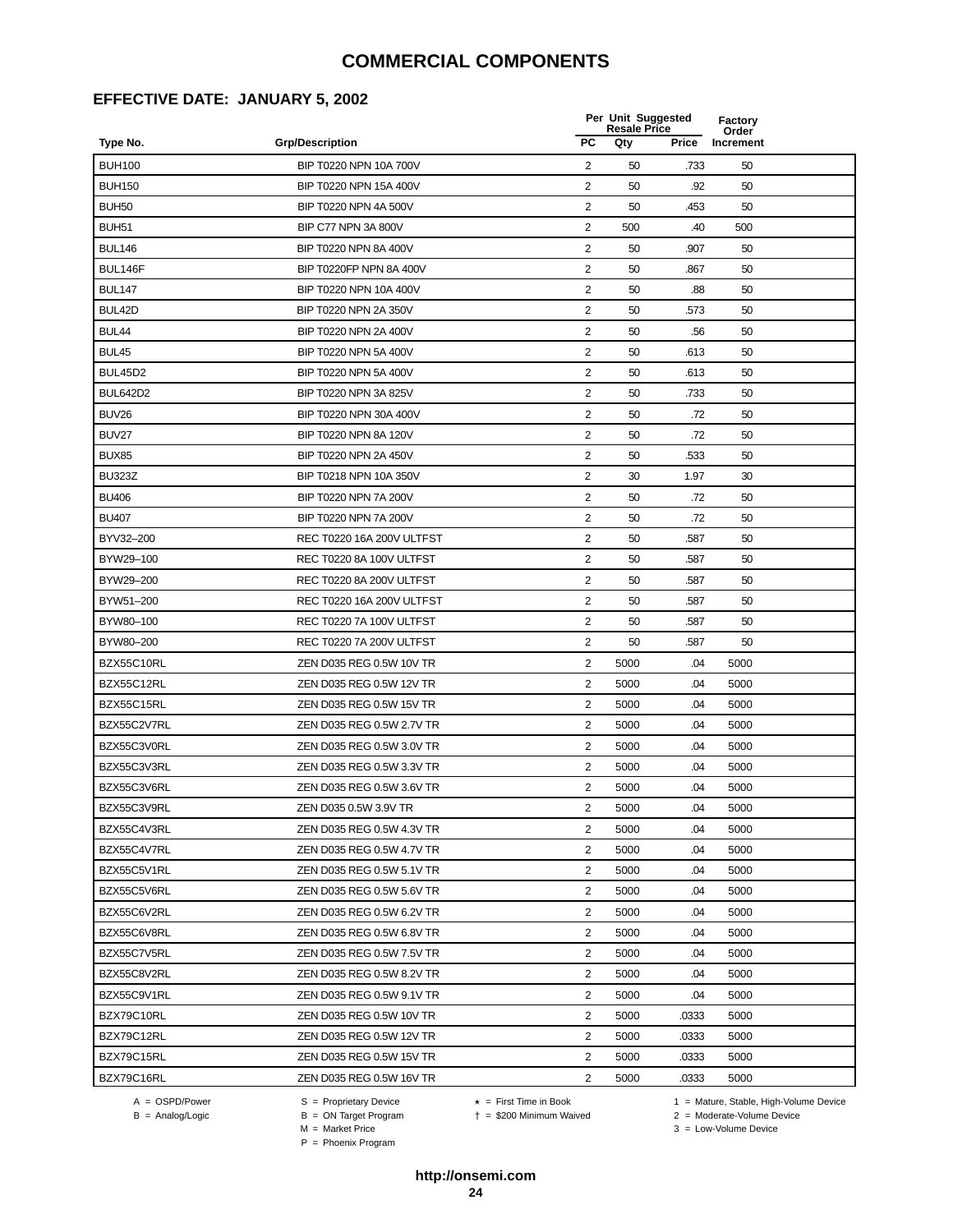#### **EFFECTIVE DATE: JANUARY 5, 2002**

|                   |                           |                | Per Unit Suggested<br><b>Resale Price</b> |       | Factory<br>Order |  |
|-------------------|---------------------------|----------------|-------------------------------------------|-------|------------------|--|
| Type No.          | <b>Grp/Description</b>    | <b>PC</b>      | Qty                                       | Price | Increment        |  |
| <b>BUH100</b>     | BIP T0220 NPN 10A 700V    | 2              | 50                                        | .733  | 50               |  |
| <b>BUH150</b>     | BIP T0220 NPN 15A 400V    | 2              | 50                                        | .92   | 50               |  |
| <b>BUH50</b>      | BIP T0220 NPN 4A 500V     | $\overline{2}$ | 50                                        | .453  | 50               |  |
| BUH <sub>51</sub> | BIP C77 NPN 3A 800V       | 2              | 500                                       | .40   | 500              |  |
| <b>BUL146</b>     | BIP T0220 NPN 8A 400V     | $\sqrt{2}$     | 50                                        | .907  | 50               |  |
| BUL146F           | BIP T0220FP NPN 8A 400V   | 2              | 50                                        | .867  | 50               |  |
| <b>BUL147</b>     | BIP T0220 NPN 10A 400V    | $\overline{2}$ | 50                                        | .88   | 50               |  |
| BUL42D            | BIP T0220 NPN 2A 350V     | $\overline{2}$ | 50                                        | .573  | 50               |  |
| BUL44             | BIP T0220 NPN 2A 400V     | $\overline{2}$ | 50                                        | .56   | 50               |  |
| <b>BUL45</b>      | BIP T0220 NPN 5A 400V     | 2              | 50                                        | .613  | 50               |  |
| <b>BUL45D2</b>    | BIP T0220 NPN 5A 400V     | 2              | 50                                        | .613  | 50               |  |
| <b>BUL642D2</b>   | BIP T0220 NPN 3A 825V     | $\overline{2}$ | 50                                        | .733  | 50               |  |
| BUV26             | BIP T0220 NPN 30A 400V    | 2              | 50                                        | .72   | 50               |  |
| BUV27             | BIP T0220 NPN 8A 120V     | $\overline{2}$ | 50                                        | .72   | 50               |  |
| <b>BUX85</b>      | BIP T0220 NPN 2A 450V     | 2              | 50                                        | .533  | 50               |  |
| <b>BU323Z</b>     | BIP T0218 NPN 10A 350V    | 2              | 30                                        | 1.97  | 30               |  |
| <b>BU406</b>      | BIP T0220 NPN 7A 200V     | $\overline{2}$ | 50                                        | .72   | 50               |  |
| <b>BU407</b>      | BIP T0220 NPN 7A 200V     | $\overline{2}$ | 50                                        | .72   | 50               |  |
| BYV32-200         | REC T0220 16A 200V ULTFST | 2              | 50                                        | .587  | 50               |  |
| BYW29-100         | REC T0220 8A 100V ULTFST  | 2              | 50                                        | .587  | 50               |  |
| BYW29-200         | REC T0220 8A 200V ULTFST  | 2              | 50                                        | .587  | 50               |  |
| BYW51-200         | REC T0220 16A 200V ULTFST | 2              | 50                                        | .587  | 50               |  |
| BYW80-100         | REC T0220 7A 100V ULTFST  | $\overline{2}$ | 50                                        | .587  | 50               |  |
| BYW80-200         | REC T0220 7A 200V ULTFST  | 2              | 50                                        | .587  | 50               |  |
| BZX55C10RL        | ZEN D035 REG 0.5W 10V TR  | $\overline{2}$ | 5000                                      | .04   | 5000             |  |
| BZX55C12RL        | ZEN D035 REG 0.5W 12V TR  | 2              | 5000                                      | .04   | 5000             |  |
| BZX55C15RL        | ZEN D035 REG 0.5W 15V TR  | 2              | 5000                                      | .04   | 5000             |  |
| BZX55C2V7RL       | ZEN D035 REG 0.5W 2.7V TR | $\overline{2}$ | 5000                                      | .04   | 5000             |  |
| BZX55C3V0RL       | ZEN D035 REG 0.5W 3.0V TR | 2              | 5000                                      | .04   | 5000             |  |
| BZX55C3V3RL       | ZEN D035 REG 0.5W 3.3V TR | 2              | 5000                                      | .04   | 5000             |  |
| BZX55C3V6RL       | ZEN D035 REG 0.5W 3.6V TR | $\overline{2}$ | 5000                                      | .04   | 5000             |  |
| BZX55C3V9RL       | ZEN D035 0.5W 3.9V TR     | 2              | 5000                                      | .04   | 5000             |  |
| BZX55C4V3RL       | ZEN D035 REG 0.5W 4.3V TR | $\overline{2}$ | 5000                                      | .04   | 5000             |  |
| BZX55C4V7RL       | ZEN D035 REG 0.5W 4.7V TR | 2              | 5000                                      | .04   | 5000             |  |
| BZX55C5V1RL       | ZEN D035 REG 0.5W 5.1V TR | 2              | 5000                                      | .04   | 5000             |  |
| BZX55C5V6RL       | ZEN D035 REG 0.5W 5.6V TR | 2              | 5000                                      | .04   | 5000             |  |
| BZX55C6V2RL       | ZEN D035 REG 0.5W 6.2V TR | $\overline{2}$ | 5000                                      | .04   | 5000             |  |
| BZX55C6V8RL       | ZEN D035 REG 0.5W 6.8V TR | 2              | 5000                                      | .04   | 5000             |  |
| BZX55C7V5RL       | ZEN D035 REG 0.5W 7.5V TR | $\overline{2}$ | 5000                                      | .04   | 5000             |  |
| BZX55C8V2RL       | ZEN D035 REG 0.5W 8.2V TR | $\overline{2}$ | 5000                                      | .04   | 5000             |  |
| BZX55C9V1RL       | ZEN D035 REG 0.5W 9.1V TR | 2              | 5000                                      | .04   | 5000             |  |
| BZX79C10RL        | ZEN D035 REG 0.5W 10V TR  | 2              | 5000                                      | .0333 | 5000             |  |
| BZX79C12RL        | ZEN D035 REG 0.5W 12V TR  | 2              | 5000                                      | .0333 | 5000             |  |
| BZX79C15RL        | ZEN D035 REG 0.5W 15V TR  | $\overline{2}$ | 5000                                      | .0333 | 5000             |  |
| BZX79C16RL        | ZEN D035 REG 0.5W 16V TR  | 2              | 5000                                      | .0333 | 5000             |  |

-<br>B = ON Target Program<br>M = Market Price

 $A = OBPD/Power$ <br>  $B = ON Target Program$   $A = First Time in Book$   $A = West Theorem 1 = Nature, Stable, High-Volume Device$   $A = Mature, Stable, High-Volume Device$   $A = Mature, Stable, High-Volume Device$   $A = Mature, Table, High-Volume Device$   $A = Mature, Table, High-Volume Device$   $A = Mature, Table, High-Volume Device$   $A = Mature, Table, High-Volume Device$   $A = Mature, Table, High-Volume Device$   $A = Mature, Table, High-Volume Device$   $A = Mature, Table, High-Volume Device$   $A = Mature, Table, High-Volume Device$   $A = Mature, Table, High-Volume Device$   $A = Mature, Table, High-Volume Device$   $A = Mature, Table$ 

 $2 =$  Moderate-Volume Device  $3 =$  Low-Volume Device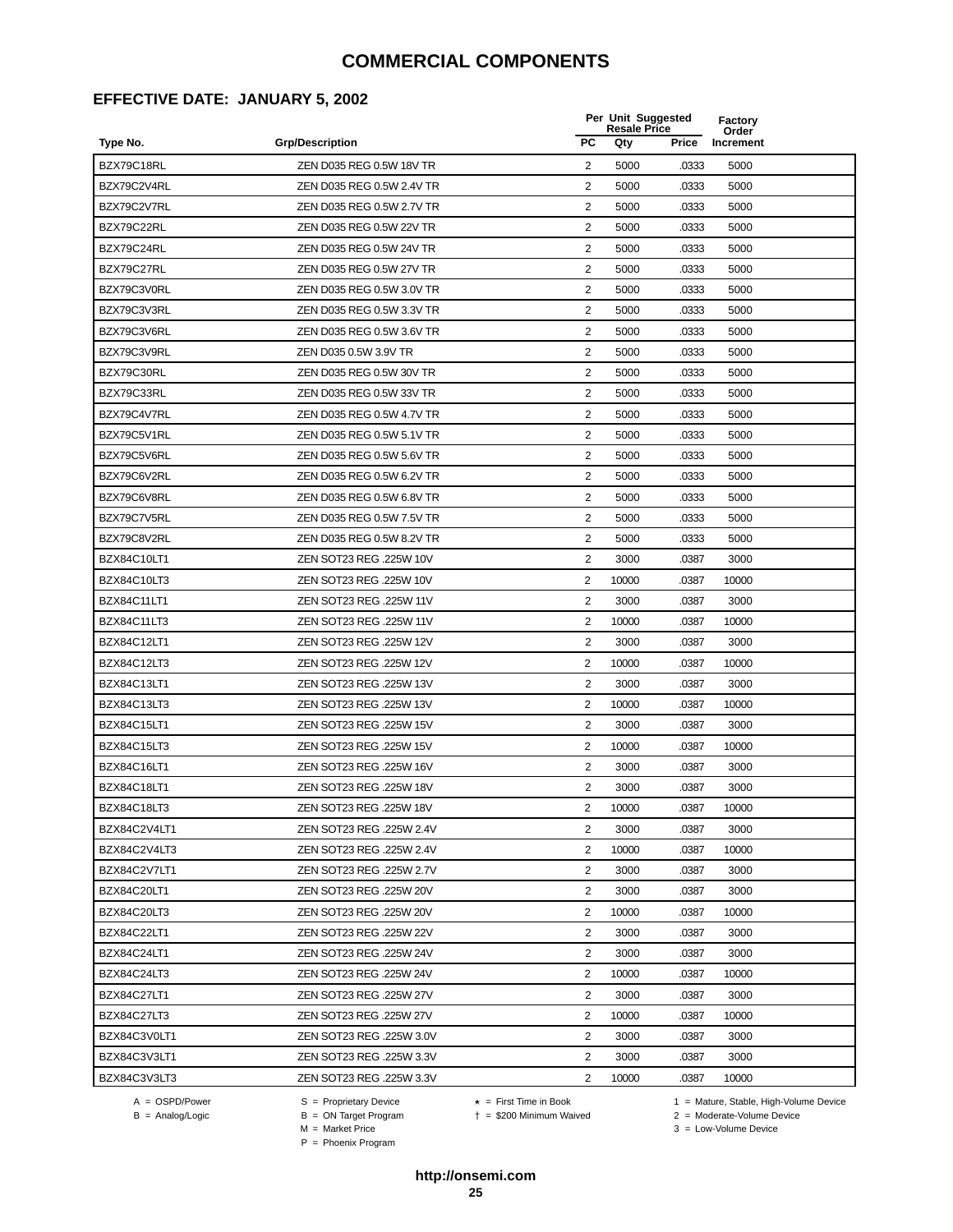#### **EFFECTIVE DATE: JANUARY 5, 2002**

|              |                           | Per Unit Suggested |                            |       | Factory<br>Order |
|--------------|---------------------------|--------------------|----------------------------|-------|------------------|
| Type No.     | <b>Grp/Description</b>    | PC                 | <b>Resale Price</b><br>Qty | Price | Increment        |
| BZX79C18RL   | ZEN D035 REG 0.5W 18V TR  | 2                  | 5000                       | .0333 | 5000             |
| BZX79C2V4RL  | ZEN D035 REG 0.5W 2.4V TR | 2                  | 5000                       | .0333 | 5000             |
| BZX79C2V7RL  | ZEN D035 REG 0.5W 2.7V TR | $\overline{2}$     | 5000                       | .0333 | 5000             |
| BZX79C22RL   | ZEN D035 REG 0.5W 22V TR  | 2                  | 5000                       | .0333 | 5000             |
| BZX79C24RL   | ZEN D035 REG 0.5W 24V TR  | $\overline{c}$     | 5000                       | .0333 | 5000             |
| BZX79C27RL   | ZEN D035 REG 0.5W 27V TR  | $\overline{2}$     | 5000                       | .0333 | 5000             |
| BZX79C3V0RL  | ZEN D035 REG 0.5W 3.0V TR | 2                  | 5000                       | .0333 | 5000             |
| BZX79C3V3RL  | ZEN D035 REG 0.5W 3.3V TR | 2                  | 5000                       | .0333 | 5000             |
| BZX79C3V6RL  | ZEN D035 REG 0.5W 3.6V TR | $\overline{2}$     | 5000                       | .0333 | 5000             |
| BZX79C3V9RL  | ZEN D035 0.5W 3.9V TR     | $\overline{2}$     | 5000                       | .0333 | 5000             |
| BZX79C30RL   | ZEN D035 REG 0.5W 30V TR  | 2                  | 5000                       | .0333 | 5000             |
| BZX79C33RL   | ZEN D035 REG 0.5W 33V TR  | 2                  | 5000                       | .0333 | 5000             |
| BZX79C4V7RL  | ZEN D035 REG 0.5W 4.7V TR | 2                  | 5000                       | .0333 | 5000             |
| BZX79C5V1RL  | ZEN D035 REG 0.5W 5.1V TR | $\overline{2}$     | 5000                       | .0333 | 5000             |
| BZX79C5V6RL  | ZEN D035 REG 0.5W 5.6V TR | 2                  | 5000                       | .0333 | 5000             |
| BZX79C6V2RL  | ZEN D035 REG 0.5W 6.2V TR | 2                  | 5000                       | .0333 | 5000             |
| BZX79C6V8RL  | ZEN D035 REG 0.5W 6.8V TR | 2                  | 5000                       | .0333 | 5000             |
| BZX79C7V5RL  | ZEN D035 REG 0.5W 7.5V TR | $\overline{c}$     | 5000                       | .0333 | 5000             |
| BZX79C8V2RL  | ZEN D035 REG 0.5W 8.2V TR | $\overline{2}$     | 5000                       | .0333 | 5000             |
| BZX84C10LT1  | ZEN SOT23 REG .225W 10V   | 2                  | 3000                       | .0387 | 3000             |
| BZX84C10LT3  | ZEN SOT23 REG .225W 10V   | $\overline{2}$     | 10000                      | .0387 | 10000            |
| BZX84C11LT1  | ZEN SOT23 REG .225W 11V   | 2                  | 3000                       | .0387 | 3000             |
| BZX84C11LT3  | ZEN SOT23 REG .225W 11V   | $\overline{c}$     | 10000                      | .0387 | 10000            |
| BZX84C12LT1  | ZEN SOT23 REG .225W 12V   | $\overline{2}$     | 3000                       | .0387 | 3000             |
| BZX84C12LT3  | ZEN SOT23 REG .225W 12V   | $\overline{2}$     | 10000                      | .0387 | 10000            |
| BZX84C13LT1  | ZEN SOT23 REG .225W 13V   | $\overline{2}$     | 3000                       | .0387 | 3000             |
| BZX84C13LT3  | ZEN SOT23 REG .225W 13V   | $\overline{c}$     | 10000                      | .0387 | 10000            |
| BZX84C15LT1  | ZEN SOT23 REG .225W 15V   | $\overline{2}$     | 3000                       | .0387 | 3000             |
| BZX84C15LT3  | ZEN SOT23 REG .225W 15V   | $\overline{2}$     | 10000                      | .0387 | 10000            |
| BZX84C16LT1  | ZEN SOT23 REG .225W 16V   | $\overline{2}$     | 3000                       | .0387 | 3000             |
| BZX84C18LT1  | ZEN SOT23 REG .225W 18V   | $\overline{2}$     | 3000                       | .0387 | 3000             |
| BZX84C18LT3  | ZEN SOT23 REG .225W 18V   | 2                  | 10000                      | 0387  | 10000            |
| BZX84C2V4LT1 | ZEN SOT23 REG .225W 2.4V  | 2                  | 3000                       | .0387 | 3000             |
| BZX84C2V4LT3 | ZEN SOT23 REG .225W 2.4V  | 2                  | 10000                      | .0387 | 10000            |
| BZX84C2V7LT1 | ZEN SOT23 REG .225W 2.7V  | $\overline{2}$     | 3000                       | .0387 | 3000             |
| BZX84C20LT1  | ZEN SOT23 REG .225W 20V   | 2                  | 3000                       | .0387 | 3000             |
| BZX84C20LT3  | ZEN SOT23 REG .225W 20V   | 2                  | 10000                      | .0387 | 10000            |
| BZX84C22LT1  | ZEN SOT23 REG .225W 22V   | 2                  | 3000                       | .0387 | 3000             |
| BZX84C24LT1  | ZEN SOT23 REG .225W 24V   | $\overline{2}$     | 3000                       | .0387 | 3000             |
| BZX84C24LT3  | ZEN SOT23 REG .225W 24V   | 2                  | 10000                      | .0387 | 10000            |
| BZX84C27LT1  | ZEN SOT23 REG .225W 27V   | $\overline{2}$     | 3000                       | .0387 | 3000             |
| BZX84C27LT3  | ZEN SOT23 REG .225W 27V   | $\overline{2}$     | 10000                      | .0387 | 10000            |
| BZX84C3V0LT1 | ZEN SOT23 REG .225W 3.0V  | 2                  | 3000                       | .0387 | 3000             |
| BZX84C3V3LT1 | ZEN SOT23 REG .225W 3.3V  | 2                  | 3000                       | .0387 | 3000             |
| BZX84C3V3LT3 | ZEN SOT23 REG .225W 3.3V  | $\overline{2}$     | 10000                      | .0387 | 10000            |
|              |                           |                    |                            |       |                  |

-<br>B = ON Target Program<br>M = Market Price

 $A = OBPD/Power$ <br>  $B = ON Target Program$   $A = First Time in Book$   $A = West Theorem 1 = Nature, Stable, High-Volume Device$   $A = Mature, Stable, High-Volume Device$   $A = Mature, Stable, High-Volume Device$   $A = Mature, Table, High-Volume Device$   $A = Mature, Table, High-Volume Device$   $A = Mature, Table, High-Volume Device$   $A = Mature, Table, High-Volume Device$   $A = Mature, Table, High-Volume Device$   $A = Mature, Table, High-Volume Device$   $A = Mature, Table, High-Volume Device$   $A = Mature, Table, High-Volume Device$   $A = Mature, Table, High-Volume Device$   $A = Mature, Table, High-Volume Device$   $A = Mature, Table$  $2 =$  Moderate-Volume Device

 $3 =$  Low-Volume Device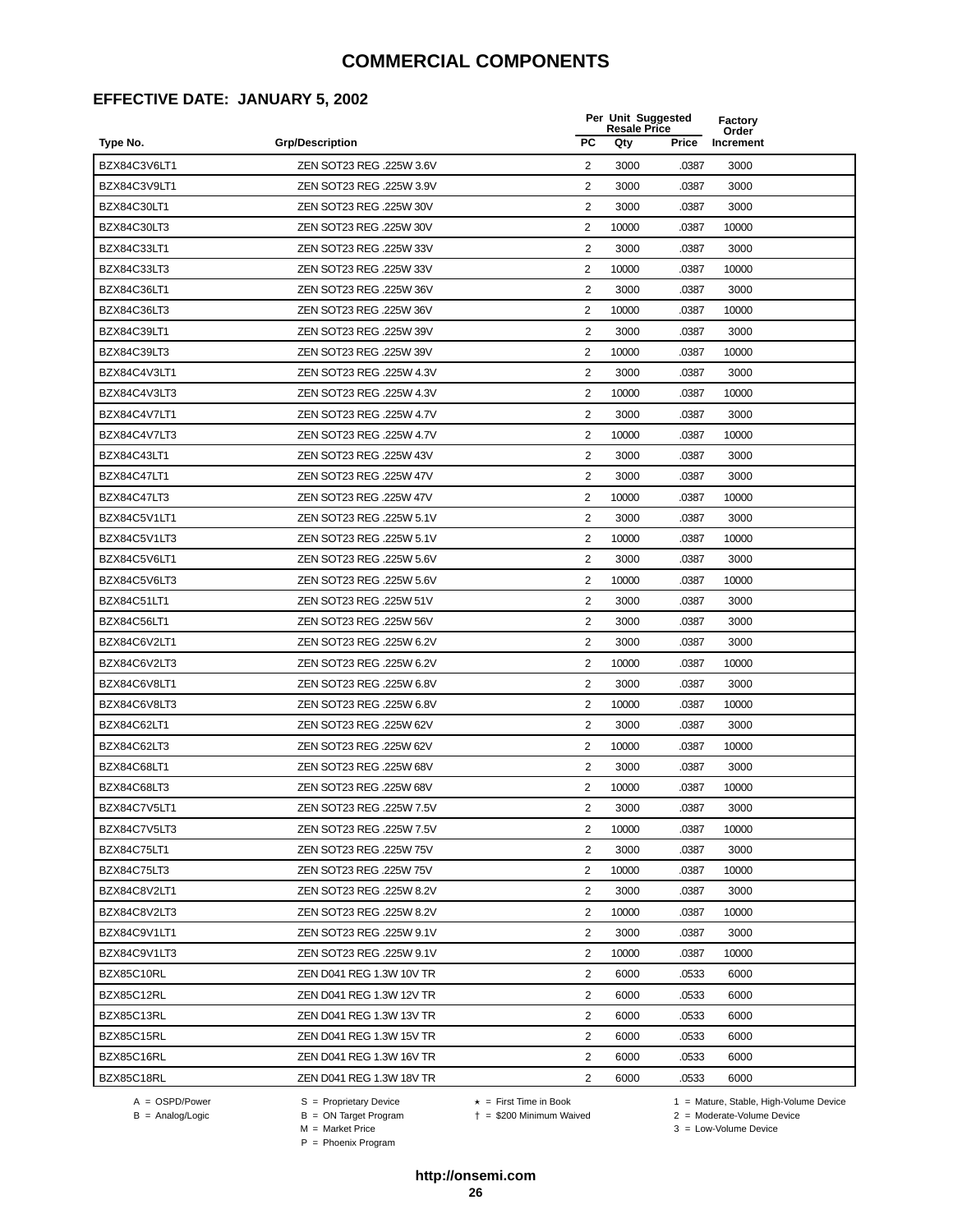#### **EFFECTIVE DATE: JANUARY 5, 2002**

|              |                          |                         | Per Unit Suggested<br><b>Resale Price</b> | Factory<br>Order |           |
|--------------|--------------------------|-------------------------|-------------------------------------------|------------------|-----------|
| Type No.     | <b>Grp/Description</b>   | <b>PC</b>               | Qty                                       | Price            | Increment |
| BZX84C3V6LT1 | ZEN SOT23 REG .225W 3.6V | 2                       | 3000                                      | .0387            | 3000      |
| BZX84C3V9LT1 | ZEN SOT23 REG .225W 3.9V | 2                       | 3000                                      | .0387            | 3000      |
| BZX84C30LT1  | ZEN SOT23 REG .225W 30V  | $\overline{2}$          | 3000                                      | .0387            | 3000      |
| BZX84C30LT3  | ZEN SOT23 REG .225W 30V  | $\overline{2}$          | 10000                                     | .0387            | 10000     |
| BZX84C33LT1  | ZEN SOT23 REG .225W 33V  | $\overline{2}$          | 3000                                      | .0387            | 3000      |
| BZX84C33LT3  | ZEN SOT23 REG .225W 33V  | 2                       | 10000                                     | .0387            | 10000     |
| BZX84C36LT1  | ZEN SOT23 REG .225W 36V  | 2                       | 3000                                      | .0387            | 3000      |
| BZX84C36LT3  | ZEN SOT23 REG .225W 36V  | 2                       | 10000                                     | .0387            | 10000     |
| BZX84C39LT1  | ZEN SOT23 REG .225W 39V  | 2                       | 3000                                      | .0387            | 3000      |
| BZX84C39LT3  | ZEN SOT23 REG .225W 39V  | 2                       | 10000                                     | .0387            | 10000     |
| BZX84C4V3LT1 | ZEN SOT23 REG .225W 4.3V | 2                       | 3000                                      | .0387            | 3000      |
| BZX84C4V3LT3 | ZEN SOT23 REG .225W 4.3V | 2                       | 10000                                     | .0387            | 10000     |
| BZX84C4V7LT1 | ZEN SOT23 REG .225W 4.7V | 2                       | 3000                                      | .0387            | 3000      |
| BZX84C4V7LT3 | ZEN SOT23 REG .225W 4.7V | $\overline{\mathbf{c}}$ | 10000                                     | .0387            | 10000     |
| BZX84C43LT1  | ZEN SOT23 REG .225W 43V  | $\mathbf{2}$            | 3000                                      | .0387            | 3000      |
| BZX84C47LT1  | ZEN SOT23 REG .225W 47V  | $\overline{2}$          | 3000                                      | .0387            | 3000      |
| BZX84C47LT3  | ZEN SOT23 REG .225W 47V  | 2                       | 10000                                     | .0387            | 10000     |
| BZX84C5V1LT1 | ZEN SOT23 REG .225W 5.1V | $\overline{2}$          | 3000                                      | .0387            | 3000      |
| BZX84C5V1LT3 | ZEN SOT23 REG .225W 5.1V | 2                       | 10000                                     | .0387            | 10000     |
| BZX84C5V6LT1 | ZEN SOT23 REG .225W 5.6V | 2                       | 3000                                      | .0387            | 3000      |
| BZX84C5V6LT3 | ZEN SOT23 REG .225W 5.6V | 2                       | 10000                                     | .0387            | 10000     |
| BZX84C51LT1  | ZEN SOT23 REG .225W 51V  | 2                       | 3000                                      | .0387            | 3000      |
| BZX84C56LT1  | ZEN SOT23 REG .225W 56V  | $\overline{c}$          | 3000                                      | .0387            | 3000      |
| BZX84C6V2LT1 | ZEN SOT23 REG .225W 6.2V | 2                       | 3000                                      | .0387            | 3000      |
| BZX84C6V2LT3 | ZEN SOT23 REG .225W 6.2V | $\overline{2}$          | 10000                                     | .0387            | 10000     |
| BZX84C6V8LT1 | ZEN SOT23 REG .225W 6.8V | $\overline{2}$          | 3000                                      | .0387            | 3000      |
| BZX84C6V8LT3 | ZEN SOT23 REG .225W 6.8V | $\overline{c}$          | 10000                                     | .0387            | 10000     |
| BZX84C62LT1  | ZEN SOT23 REG .225W 62V  | $\overline{2}$          | 3000                                      | .0387            | 3000      |
| BZX84C62LT3  | ZEN SOT23 REG .225W 62V  | 2                       | 10000                                     | .0387            | 10000     |
| BZX84C68LT1  | ZEN SOT23 REG .225W 68V  | $\overline{2}$          | 3000                                      | .0387            | 3000      |
| BZX84C68LT3  | ZEN SOT23 REG .225W 68V  | 2                       | 10000                                     | .0387            | 10000     |
| BZX84C7V5LT1 | ZEN SOT23 REG .225W 7.5V | 2                       | 3000                                      | .0387            | 3000      |
| BZX84C7V5LT3 | ZEN SOT23 REG .225W 7.5V | 2                       | 10000                                     | .0387            | 10000     |
| BZX84C75LT1  | ZEN SOT23 REG .225W 75V  | 2                       | 3000                                      | .0387            | 3000      |
| BZX84C75LT3  | ZEN SOT23 REG .225W 75V  | 2                       | 10000                                     | .0387            | 10000     |
| BZX84C8V2LT1 | ZEN SOT23 REG .225W 8.2V | 2                       | 3000                                      | .0387            | 3000      |
| BZX84C8V2LT3 | ZEN SOT23 REG .225W 8.2V | 2                       | 10000                                     | .0387            | 10000     |
| BZX84C9V1LT1 | ZEN SOT23 REG .225W 9.1V | 2                       | 3000                                      | .0387            | 3000      |
| BZX84C9V1LT3 | ZEN SOT23 REG .225W 9.1V | 2                       | 10000                                     | .0387            | 10000     |
| BZX85C10RL   | ZEN D041 REG 1.3W 10V TR | 2                       | 6000                                      | .0533            | 6000      |
| BZX85C12RL   | ZEN D041 REG 1.3W 12V TR | 2                       | 6000                                      | .0533            | 6000      |
| BZX85C13RL   | ZEN D041 REG 1.3W 13V TR | 2                       | 6000                                      | .0533            | 6000      |
| BZX85C15RL   | ZEN D041 REG 1.3W 15V TR | $\overline{2}$          | 6000                                      | .0533            | 6000      |
| BZX85C16RL   | ZEN D041 REG 1.3W 16V TR | $\overline{2}$          | 6000                                      | .0533            | 6000      |
| BZX85C18RL   | ZEN D041 REG 1.3W 18V TR | 2                       | 6000                                      | .0533            | 6000      |
|              |                          |                         |                                           |                  |           |

-<br>B = ON Target Program<br>M = Market Price

 $A = OBPD/Power$ <br>  $B = ON Target Program$   $A = First Time in Book$   $A = West Theorem 1 = Nature, Stable, High-Volume Device$   $A = Mature, Stable, High-Volume Device$   $A = Mature, Stable, High-Volume Device$   $A = Mature, Table, High-Volume Device$   $A = Mature, Table, High-Volume Device$   $A = Mature, Table, High-Volume Device$   $A = Mature, Table, High-Volume Device$   $A = Mature, Table, High-Volume Device$   $A = Mature, Table, High-Volume Device$   $A = Mature, Table, High-Volume Device$   $A = Mature, Table, High-Volume Device$   $A = Mature, Table, High-Volume Device$   $A = Mature, Table, High-Volume Device$   $A = Mature, Table$  $2 =$  Moderate-Volume Device

 $3 =$  Low-Volume Device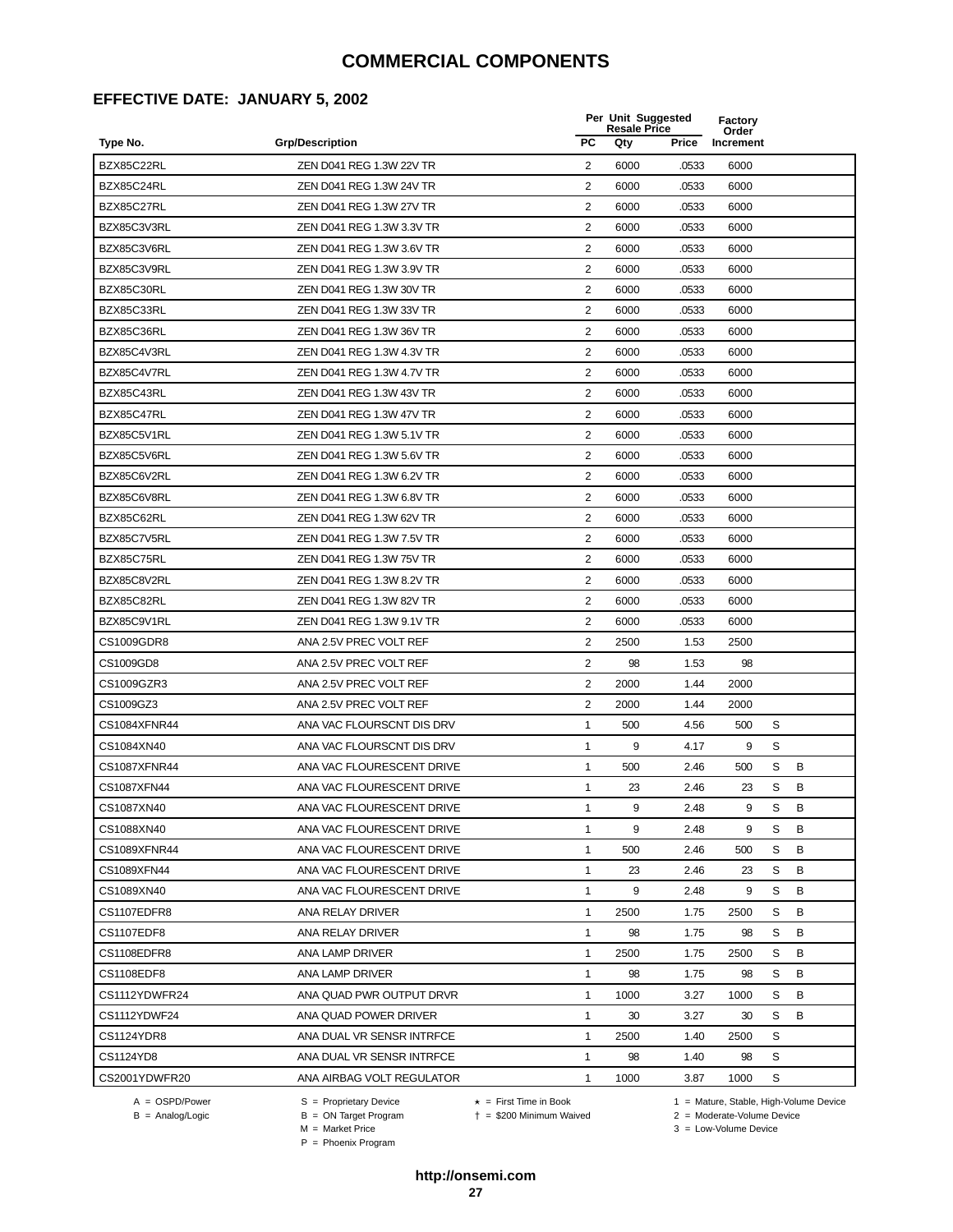#### **EFFECTIVE DATE: JANUARY 5, 2002**

|               |                           |                | Per Unit Suggested<br><b>Resale Price</b> |       |           | Factory<br>Order |   |  |
|---------------|---------------------------|----------------|-------------------------------------------|-------|-----------|------------------|---|--|
| Type No.      | <b>Grp/Description</b>    | PC             | Qty                                       | Price | Increment |                  |   |  |
| BZX85C22RL    | ZEN D041 REG 1.3W 22V TR  | $\overline{2}$ | 6000                                      | .0533 | 6000      |                  |   |  |
| BZX85C24RL    | ZEN D041 REG 1.3W 24V TR  | $\overline{2}$ | 6000                                      | .0533 | 6000      |                  |   |  |
| BZX85C27RL    | ZEN D041 REG 1.3W 27V TR  | $\overline{2}$ | 6000                                      | .0533 | 6000      |                  |   |  |
| BZX85C3V3RL   | ZEN D041 REG 1.3W 3.3V TR | 2              | 6000                                      | .0533 | 6000      |                  |   |  |
| BZX85C3V6RL   | ZEN D041 REG 1.3W 3.6V TR | 2              | 6000                                      | .0533 | 6000      |                  |   |  |
| BZX85C3V9RL   | ZEN D041 REG 1.3W 3.9V TR | 2              | 6000                                      | .0533 | 6000      |                  |   |  |
| BZX85C30RL    | ZEN D041 REG 1.3W 30V TR  | 2              | 6000                                      | .0533 | 6000      |                  |   |  |
| BZX85C33RL    | ZEN D041 REG 1.3W 33V TR  | $\overline{2}$ | 6000                                      | .0533 | 6000      |                  |   |  |
| BZX85C36RL    | ZEN D041 REG 1.3W 36V TR  | 2              | 6000                                      | .0533 | 6000      |                  |   |  |
| BZX85C4V3RL   | ZEN D041 REG 1.3W 4.3V TR | 2              | 6000                                      | .0533 | 6000      |                  |   |  |
| BZX85C4V7RL   | ZEN D041 REG 1.3W 4.7V TR | 2              | 6000                                      | .0533 | 6000      |                  |   |  |
| BZX85C43RL    | ZEN D041 REG 1.3W 43V TR  | $\overline{2}$ | 6000                                      | .0533 | 6000      |                  |   |  |
| BZX85C47RL    | ZEN D041 REG 1.3W 47V TR  | 2              | 6000                                      | .0533 | 6000      |                  |   |  |
| BZX85C5V1RL   | ZEN D041 REG 1.3W 5.1V TR | 2              | 6000                                      | .0533 | 6000      |                  |   |  |
| BZX85C5V6RL   | ZEN D041 REG 1.3W 5.6V TR | 2              | 6000                                      | .0533 | 6000      |                  |   |  |
| BZX85C6V2RL   | ZEN D041 REG 1.3W 6.2V TR | 2              | 6000                                      | .0533 | 6000      |                  |   |  |
| BZX85C6V8RL   | ZEN D041 REG 1.3W 6.8V TR | 2              | 6000                                      | .0533 | 6000      |                  |   |  |
| BZX85C62RL    | ZEN D041 REG 1.3W 62V TR  | 2              | 6000                                      | .0533 | 6000      |                  |   |  |
| BZX85C7V5RL   | ZEN D041 REG 1.3W 7.5V TR | 2              | 6000                                      | .0533 | 6000      |                  |   |  |
| BZX85C75RL    | ZEN D041 REG 1.3W 75V TR  | 2              | 6000                                      | .0533 | 6000      |                  |   |  |
| BZX85C8V2RL   | ZEN D041 REG 1.3W 8.2V TR | 2              | 6000                                      | .0533 | 6000      |                  |   |  |
| BZX85C82RL    | ZEN D041 REG 1.3W 82V TR  | 2              | 6000                                      | .0533 | 6000      |                  |   |  |
| BZX85C9V1RL   | ZEN D041 REG 1.3W 9.1V TR | 2              | 6000                                      | .0533 | 6000      |                  |   |  |
| CS1009GDR8    | ANA 2.5V PREC VOLT REF    | 2              | 2500                                      | 1.53  | 2500      |                  |   |  |
| CS1009GD8     | ANA 2.5V PREC VOLT REF    | $\overline{2}$ | 98                                        | 1.53  | 98        |                  |   |  |
| CS1009GZR3    | ANA 2.5V PREC VOLT REF    | 2              | 2000                                      | 1.44  | 2000      |                  |   |  |
| CS1009GZ3     | ANA 2.5V PREC VOLT REF    | 2              | 2000                                      | 1.44  | 2000      |                  |   |  |
| CS1084XFNR44  | ANA VAC FLOURSCNT DIS DRV | 1              | 500                                       | 4.56  | 500       | S                |   |  |
| CS1084XN40    | ANA VAC FLOURSCNT DIS DRV | 1              | 9                                         | 4.17  | 9         | S                |   |  |
| CS1087XFNR44  | ANA VAC FLOURESCENT DRIVE | 1              | 500                                       | 2.46  | 500       | S                | B |  |
| CS1087XFN44   | ANA VAC FLOURESCENT DRIVE | 1              | 23                                        | 2.46  | 23        | S                | B |  |
| CS1087XN40    | ANA VAC FLOURESCENT DRIVE | 1              | 9                                         | 2.48  | 9         | S                | В |  |
| CS1088XN40    | ANA VAC FLOURESCENT DRIVE | $\mathbf{1}$   | 9                                         | 2.48  | 9         | S                | B |  |
| CS1089XFNR44  | ANA VAC FLOURESCENT DRIVE | $\mathbf{1}$   | 500                                       | 2.46  | 500       | S                | В |  |
| CS1089XFN44   | ANA VAC FLOURESCENT DRIVE | $\mathbf{1}$   | 23                                        | 2.46  | 23        | S                | В |  |
| CS1089XN40    | ANA VAC FLOURESCENT DRIVE | $\mathbf{1}$   | 9                                         | 2.48  | 9         | S                | В |  |
| CS1107EDFR8   | ANA RELAY DRIVER          | 1              | 2500                                      | 1.75  | 2500      | S                | В |  |
| CS1107EDF8    | ANA RELAY DRIVER          | $\mathbf{1}$   | 98                                        | 1.75  | 98        | S                | B |  |
| CS1108EDFR8   | ANA LAMP DRIVER           | 1              | 2500                                      | 1.75  | 2500      | S                | B |  |
| CS1108EDF8    | ANA LAMP DRIVER           | 1              | 98                                        | 1.75  | 98        | S                | В |  |
| CS1112YDWFR24 | ANA QUAD PWR OUTPUT DRVR  | $\mathbf{1}$   | 1000                                      | 3.27  | 1000      | S                | В |  |
| CS1112YDWF24  | ANA QUAD POWER DRIVER     | 1              | 30                                        | 3.27  | 30        | S                | B |  |
| CS1124YDR8    | ANA DUAL VR SENSR INTRFCE | $\mathbf{1}$   | 2500                                      | 1.40  | 2500      | S                |   |  |
| CS1124YD8     | ANA DUAL VR SENSR INTRFCE | 1              | 98                                        | 1.40  | 98        | S                |   |  |
| CS2001YDWFR20 | ANA AIRBAG VOLT REGULATOR | 1              | 1000                                      | 3.87  | 1000      | S                |   |  |

A = OSPD/Power S = Proprietary Device<br>
B = Analog/Logic B = ON Target Program<br>
M = Market Price

= \$200 Minimum Waived 2 = Moderate-Volume Device

A = OSPD/Power S = Proprietary Device  $\star$  = First Time in Book 1 = Mature, Stable, High-Volume Device

 $3 =$  Low-Volume Device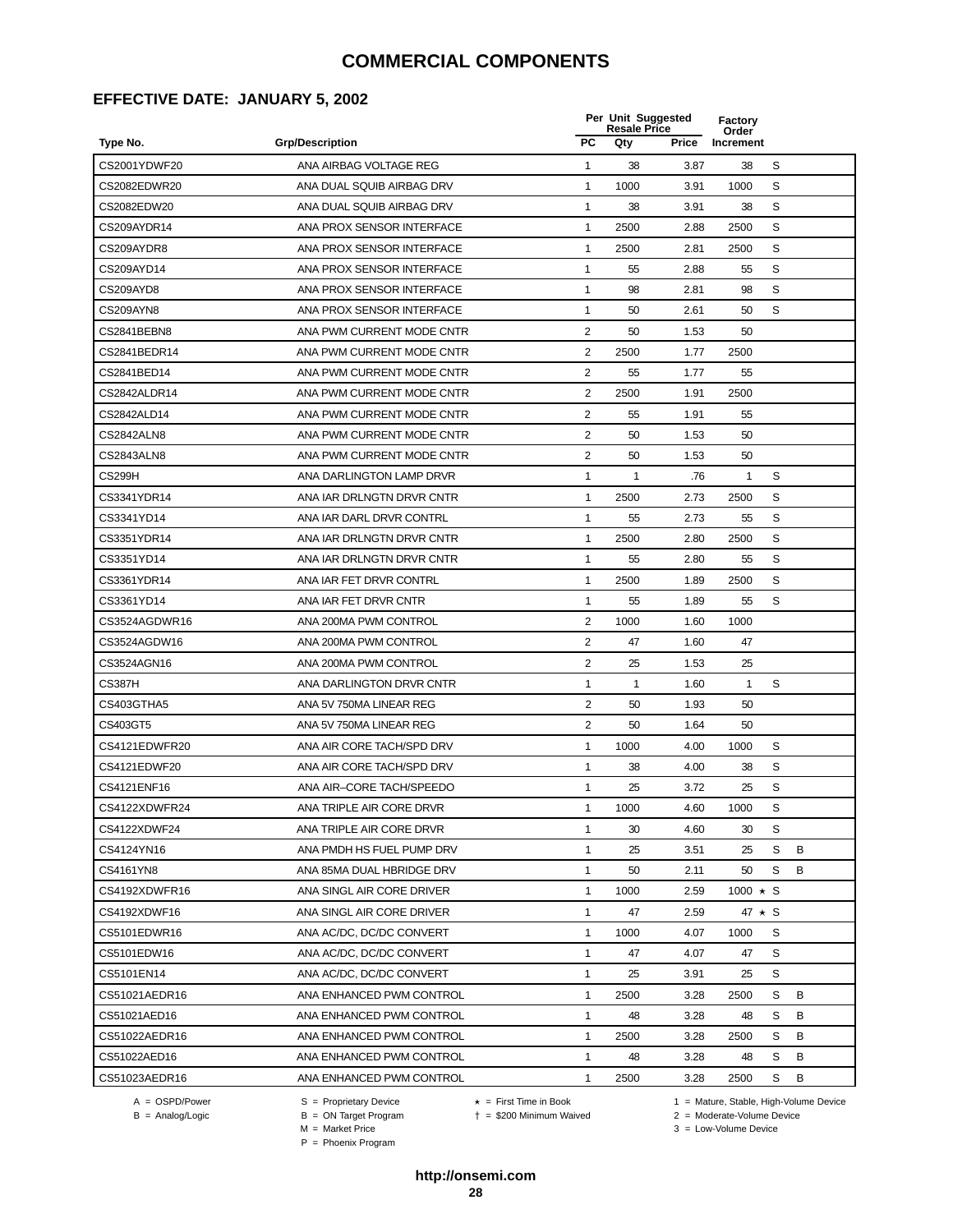#### **EFFECTIVE DATE: JANUARY 5, 2002**

|               |                           |                | Per Unit Suggested<br>Resale Price |       |                    |   |   |
|---------------|---------------------------|----------------|------------------------------------|-------|--------------------|---|---|
| Type No.      | <b>Grp/Description</b>    | <b>PC</b>      | Qty                                | Price | Order<br>Increment |   |   |
| CS2001YDWF20  | ANA AIRBAG VOLTAGE REG    | $\mathbf{1}$   | 38                                 | 3.87  | 38                 | S |   |
| CS2082EDWR20  | ANA DUAL SQUIB AIRBAG DRV | 1              | 1000                               | 3.91  | 1000               | S |   |
| CS2082EDW20   | ANA DUAL SQUIB AIRBAG DRV | $\mathbf{1}$   | 38                                 | 3.91  | 38                 | S |   |
| CS209AYDR14   | ANA PROX SENSOR INTERFACE | $\mathbf{1}$   | 2500                               | 2.88  | 2500               | S |   |
| CS209AYDR8    | ANA PROX SENSOR INTERFACE | $\mathbf{1}$   | 2500                               | 2.81  | 2500               | S |   |
| CS209AYD14    | ANA PROX SENSOR INTERFACE | $\mathbf{1}$   | 55                                 | 2.88  | 55                 | S |   |
| CS209AYD8     | ANA PROX SENSOR INTERFACE | $\mathbf{1}$   | 98                                 | 2.81  | 98                 | S |   |
| CS209AYN8     | ANA PROX SENSOR INTERFACE | $\mathbf{1}$   | 50                                 | 2.61  | 50                 | S |   |
| CS2841BEBN8   | ANA PWM CURRENT MODE CNTR | $\overline{2}$ | 50                                 | 1.53  | 50                 |   |   |
| CS2841BEDR14  | ANA PWM CURRENT MODE CNTR | 2              | 2500                               | 1.77  | 2500               |   |   |
| CS2841BED14   | ANA PWM CURRENT MODE CNTR | 2              | 55                                 | 1.77  | 55                 |   |   |
| CS2842ALDR14  | ANA PWM CURRENT MODE CNTR | $\overline{2}$ | 2500                               | 1.91  | 2500               |   |   |
| CS2842ALD14   | ANA PWM CURRENT MODE CNTR | $\overline{2}$ | 55                                 | 1.91  | 55                 |   |   |
| CS2842ALN8    | ANA PWM CURRENT MODE CNTR | $\overline{2}$ | 50                                 | 1.53  | 50                 |   |   |
| CS2843ALN8    | ANA PWM CURRENT MODE CNTR | $\overline{2}$ | 50                                 | 1.53  | 50                 |   |   |
| <b>CS299H</b> | ANA DARLINGTON LAMP DRVR  | $\mathbf{1}$   | $\mathbf{1}$                       | .76   | $\mathbf{1}$       | S |   |
| CS3341YDR14   | ANA IAR DRLNGTN DRVR CNTR | $\mathbf{1}$   | 2500                               | 2.73  | 2500               | S |   |
| CS3341YD14    | ANA IAR DARL DRVR CONTRL  | $\mathbf{1}$   | 55                                 | 2.73  | 55                 | S |   |
| CS3351YDR14   | ANA IAR DRLNGTN DRVR CNTR | $\mathbf{1}$   | 2500                               | 2.80  | 2500               | S |   |
| CS3351YD14    | ANA IAR DRLNGTN DRVR CNTR | 1              | 55                                 | 2.80  | 55                 | S |   |
| CS3361YDR14   | ANA IAR FET DRVR CONTRL   | 1              | 2500                               | 1.89  | 2500               | S |   |
| CS3361YD14    | ANA IAR FET DRVR CNTR     | $\mathbf{1}$   | 55                                 | 1.89  | 55                 | S |   |
| CS3524AGDWR16 | ANA 200MA PWM CONTROL     | $\overline{2}$ | 1000                               | 1.60  | 1000               |   |   |
| CS3524AGDW16  | ANA 200MA PWM CONTROL     | $\mathbf{2}$   | 47                                 | 1.60  | 47                 |   |   |
| CS3524AGN16   | ANA 200MA PWM CONTROL     | $\overline{2}$ | 25                                 | 1.53  | 25                 |   |   |
| <b>CS387H</b> | ANA DARLINGTON DRVR CNTR  | $\mathbf{1}$   | $\mathbf{1}$                       | 1.60  | $\mathbf{1}$       | S |   |
| CS403GTHA5    | ANA 5V 750MA LINEAR REG   | $\overline{c}$ | 50                                 | 1.93  | 50                 |   |   |
| CS403GT5      | ANA 5V 750MA LINEAR REG   | $\overline{2}$ | 50                                 | 1.64  | 50                 |   |   |
| CS4121EDWFR20 | ANA AIR CORE TACH/SPD DRV | 1              | 1000                               | 4.00  | 1000               | S |   |
| CS4121EDWF20  | ANA AIR CORE TACH/SPD DRV | 1              | 38                                 | 4.00  | 38                 | S |   |
| CS4121ENF16   | ANA AIR-CORE TACH/SPEEDO  | 1              | 25                                 | 3.72  | 25                 | S |   |
| CS4122XDWFR24 | ANA TRIPLE AIR CORE DRVR  | 1              | 1000                               | 4.60  | 1000               | S |   |
| CS4122XDWF24  | ANA TRIPLE AIR CORE DRVR  | $\mathbf{1}$   | 30                                 | 4.60  | 30                 | S |   |
| CS4124YN16    | ANA PMDH HS FUEL PUMP DRV | $\mathbf{1}$   | 25                                 | 3.51  | 25                 | S | в |
| CS4161YN8     | ANA 85MA DUAL HBRIDGE DRV | $\mathbf{1}$   | 50                                 | 2.11  | 50                 | S | B |
| CS4192XDWFR16 | ANA SINGL AIR CORE DRIVER | $\mathbf{1}$   | 1000                               | 2.59  | $1000 \star S$     |   |   |
| CS4192XDWF16  | ANA SINGL AIR CORE DRIVER | $\mathbf{1}$   | 47                                 | 2.59  | 47 ★ S             |   |   |
| CS5101EDWR16  | ANA AC/DC, DC/DC CONVERT  | $\mathbf{1}$   | 1000                               | 4.07  | 1000               | S |   |
| CS5101EDW16   | ANA AC/DC, DC/DC CONVERT  | $\mathbf{1}$   | 47                                 | 4.07  | 47                 | S |   |
| CS5101EN14    | ANA AC/DC, DC/DC CONVERT  | 1              | 25                                 | 3.91  | 25                 | S |   |
| CS51021AEDR16 | ANA ENHANCED PWM CONTROL  | $\mathbf{1}$   | 2500                               | 3.28  | 2500               | S | в |
| CS51021AED16  | ANA ENHANCED PWM CONTROL  | $\mathbf{1}$   | 48                                 | 3.28  | 48                 | S | в |
| CS51022AEDR16 | ANA ENHANCED PWM CONTROL  | $\mathbf{1}$   | 2500                               | 3.28  | 2500               | S | в |
| CS51022AED16  | ANA ENHANCED PWM CONTROL  | $\mathbf{1}$   | 48                                 | 3.28  | 48                 | S | В |
| CS51023AEDR16 | ANA ENHANCED PWM CONTROL  | 1              | 2500                               | 3.28  | 2500               | S | В |
|               |                           |                |                                    |       |                    |   |   |

-<br>B = ON Target Program<br>M = Market Price

 $A = OBPD/Power$ <br>  $B = ON Target Program$   $A = First Time in Book$   $A = West Theorem 1 = Nature, Stable, High-Volume Device$   $A = Mature, Stable, High-Volume Device$   $A = Mature, Stable, High-Volume Device$   $A = Mature, Table, High-Volume Device$   $A = Mature, Table, High-Volume Device$   $A = Mature, Table, High-Volume Device$   $A = Mature, Table, High-Volume Device$   $A = Mature, Table, High-Volume Device$   $A = Mature, Table, High-Volume Device$   $A = Mature, Table, High-Volume Device$   $A = Mature, Table, High-Volume Device$   $A = Mature, Table, High-Volume Device$   $A = Mature, Table, High-Volume Device$   $A = Mature, Table$ 

 $2 =$  Moderate-Volume Device  $3 =$  Low-Volume Device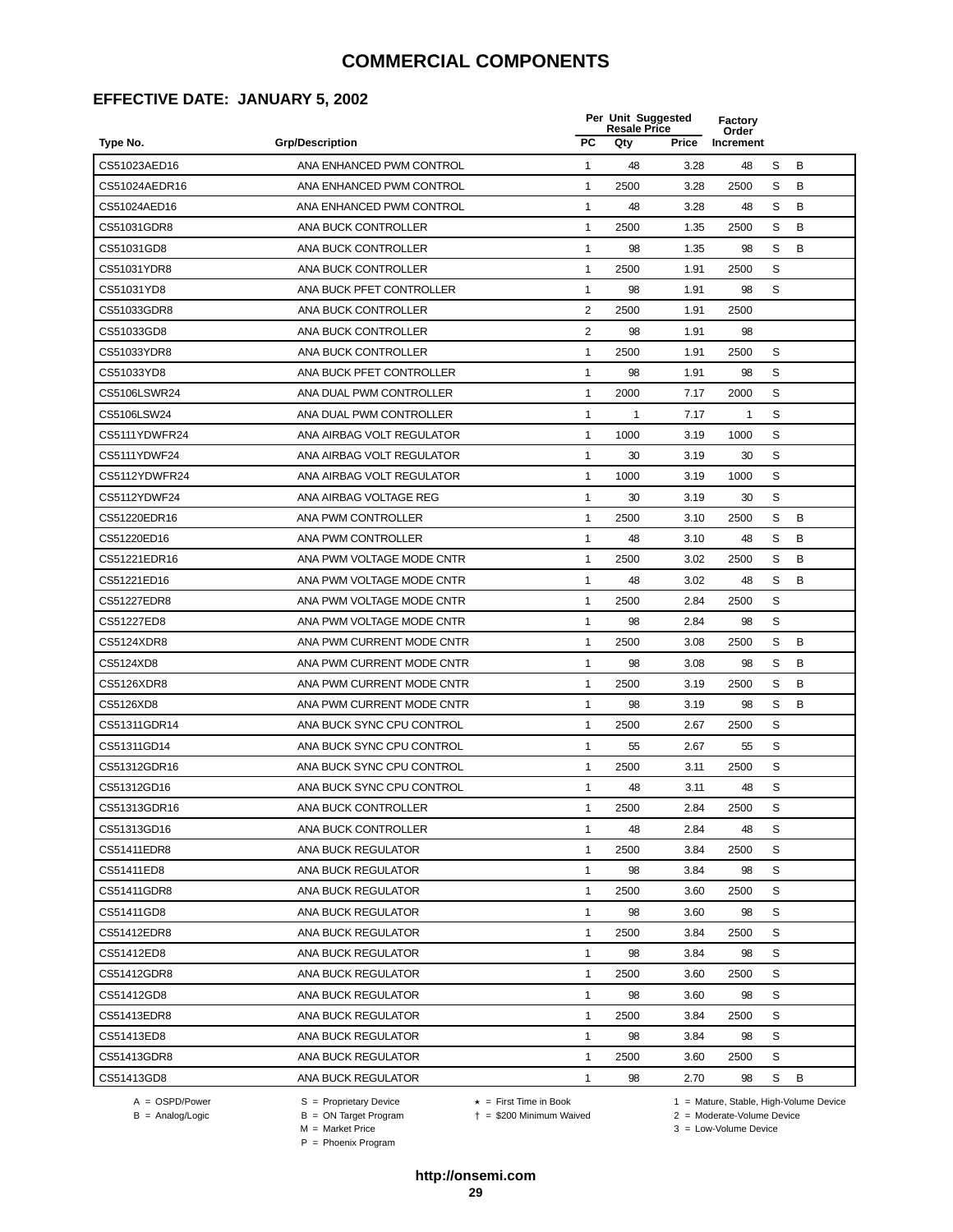#### **EFFECTIVE DATE: JANUARY 5, 2002**

|               |                           | Per Unit Suggested | <b>Factory</b><br>Order    |       |           |   |   |
|---------------|---------------------------|--------------------|----------------------------|-------|-----------|---|---|
| Type No.      | <b>Grp/Description</b>    | <b>PC</b>          | <b>Resale Price</b><br>Qty | Price | Increment |   |   |
| CS51023AED16  | ANA ENHANCED PWM CONTROL  | $\mathbf{1}$       | 48                         | 3.28  | 48        | S | B |
| CS51024AEDR16 | ANA ENHANCED PWM CONTROL  | $\mathbf{1}$       | 2500                       | 3.28  | 2500      | S | B |
| CS51024AED16  | ANA ENHANCED PWM CONTROL  | 1                  | 48                         | 3.28  | 48        | S | B |
| CS51031GDR8   | ANA BUCK CONTROLLER       | 1                  | 2500                       | 1.35  | 2500      | S | B |
| CS51031GD8    | ANA BUCK CONTROLLER       | 1                  | 98                         | 1.35  | 98        | S | B |
| CS51031YDR8   | ANA BUCK CONTROLLER       | 1                  | 2500                       | 1.91  | 2500      | S |   |
| CS51031YD8    | ANA BUCK PFET CONTROLLER  | $\mathbf{1}$       | 98                         | 1.91  | 98        | S |   |
| CS51033GDR8   | ANA BUCK CONTROLLER       | 2                  | 2500                       | 1.91  | 2500      |   |   |
| CS51033GD8    | ANA BUCK CONTROLLER       | $\overline{2}$     | 98                         | 1.91  | 98        |   |   |
| CS51033YDR8   | ANA BUCK CONTROLLER       | 1                  | 2500                       | 1.91  | 2500      | S |   |
| CS51033YD8    | ANA BUCK PFET CONTROLLER  | $\mathbf{1}$       | 98                         | 1.91  | 98        | S |   |
| CS5106LSWR24  | ANA DUAL PWM CONTROLLER   | 1                  | 2000                       | 7.17  | 2000      | S |   |
| CS5106LSW24   | ANA DUAL PWM CONTROLLER   | 1                  | 1                          | 7.17  | 1         | S |   |
| CS5111YDWFR24 | ANA AIRBAG VOLT REGULATOR | 1                  | 1000                       | 3.19  | 1000      | S |   |
| CS5111YDWF24  | ANA AIRBAG VOLT REGULATOR | $\mathbf{1}$       | 30                         | 3.19  | 30        | S |   |
| CS5112YDWFR24 | ANA AIRBAG VOLT REGULATOR | $\mathbf{1}$       | 1000                       | 3.19  | 1000      | S |   |
| CS5112YDWF24  | ANA AIRBAG VOLTAGE REG    | $\mathbf{1}$       | 30                         | 3.19  | 30        | S |   |
| CS51220EDR16  | ANA PWM CONTROLLER        | 1                  | 2500                       | 3.10  | 2500      | S | В |
| CS51220ED16   | ANA PWM CONTROLLER        | $\mathbf{1}$       | 48                         | 3.10  | 48        | S | B |
| CS51221EDR16  | ANA PWM VOLTAGE MODE CNTR | $\mathbf{1}$       | 2500                       | 3.02  | 2500      | S | B |
| CS51221ED16   | ANA PWM VOLTAGE MODE CNTR | 1                  | 48                         | 3.02  | 48        | S | B |
| CS51227EDR8   | ANA PWM VOLTAGE MODE CNTR | 1                  | 2500                       | 2.84  | 2500      | S |   |
| CS51227ED8    | ANA PWM VOLTAGE MODE CNTR | $\mathbf{1}$       | 98                         | 2.84  | 98        | S |   |
| CS5124XDR8    | ANA PWM CURRENT MODE CNTR | $\mathbf{1}$       | 2500                       | 3.08  | 2500      | S | B |
| CS5124XD8     | ANA PWM CURRENT MODE CNTR | $\mathbf{1}$       | 98                         | 3.08  | 98        | S | B |
| CS5126XDR8    | ANA PWM CURRENT MODE CNTR | $\mathbf{1}$       | 2500                       | 3.19  | 2500      | S | B |
| CS5126XD8     | ANA PWM CURRENT MODE CNTR | $\mathbf{1}$       | 98                         | 3.19  | 98        | S | В |
| CS51311GDR14  | ANA BUCK SYNC CPU CONTROL | 1                  | 2500                       | 2.67  | 2500      | S |   |
| CS51311GD14   | ANA BUCK SYNC CPU CONTROL | $\mathbf{1}$       | 55                         | 2.67  | 55        | S |   |
| CS51312GDR16  | ANA BUCK SYNC CPU CONTROL | 1                  | 2500                       | 3.11  | 2500      | S |   |
| CS51312GD16   | ANA BUCK SYNC CPU CONTROL | 1                  | 48                         | 3.11  | 48        | S |   |
| CS51313GDR16  | ANA BUCK CONTROLLER       | 1                  | 2500                       | 2.84  | 2500      | S |   |
| CS51313GD16   | ANA BUCK CONTROLLER       | $\mathbf{1}$       | 48                         | 2.84  | 48        | S |   |
| CS51411EDR8   | ANA BUCK REGULATOR        | 1                  | 2500                       | 3.84  | 2500      | S |   |
| CS51411ED8    | ANA BUCK REGULATOR        | $\mathbf{1}$       | 98                         | 3.84  | 98        | S |   |
| CS51411GDR8   | ANA BUCK REGULATOR        | 1                  | 2500                       | 3.60  | 2500      | S |   |
| CS51411GD8    | ANA BUCK REGULATOR        | $\mathbf{1}$       | 98                         | 3.60  | 98        | S |   |
| CS51412EDR8   | ANA BUCK REGULATOR        | 1                  | 2500                       | 3.84  | 2500      | S |   |
| CS51412ED8    | ANA BUCK REGULATOR        | 1                  | 98                         | 3.84  | 98        | S |   |
| CS51412GDR8   | ANA BUCK REGULATOR        | 1                  | 2500                       | 3.60  | 2500      | S |   |
| CS51412GD8    | ANA BUCK REGULATOR        | $\mathbf{1}$       | 98                         | 3.60  | 98        | S |   |
| CS51413EDR8   | ANA BUCK REGULATOR        | 1                  | 2500                       | 3.84  | 2500      | S |   |
| CS51413ED8    | ANA BUCK REGULATOR        | 1                  | 98                         | 3.84  | 98        | S |   |
| CS51413GDR8   | ANA BUCK REGULATOR        | 1                  | 2500                       | 3.60  | 2500      | S |   |
| CS51413GD8    | ANA BUCK REGULATOR        | 1                  | 98                         | 2.70  | 98        | S | В |

-<br>B = ON Target Program<br>M = Market Price

 $A = OBPD/Power$ <br>  $B = ON Target Program$   $A = First Time in Book$   $A = West Theorem 1 = Nature, Stable, High-Volume Device$   $A = Mature, Stable, High-Volume Device$   $A = Mature, Stable, High-Volume Device$   $A = Mature, Table, High-Volume Device$   $A = Mature, Table, High-Volume Device$   $A = Mature, Table, High-Volume Device$   $A = Mature, Table, High-Volume Device$   $A = Mature, Table, High-Volume Device$   $A = Mature, Table, High-Volume Device$   $A = Mature, Table, High-Volume Device$   $A = Mature, Table, High-Volume Device$   $A = Mature, Table, High-Volume Device$   $A = Mature, Table, High-Volume Device$   $A = Mature, Table$ 

 $2 =$  Moderate-Volume Device  $3 =$  Low-Volume Device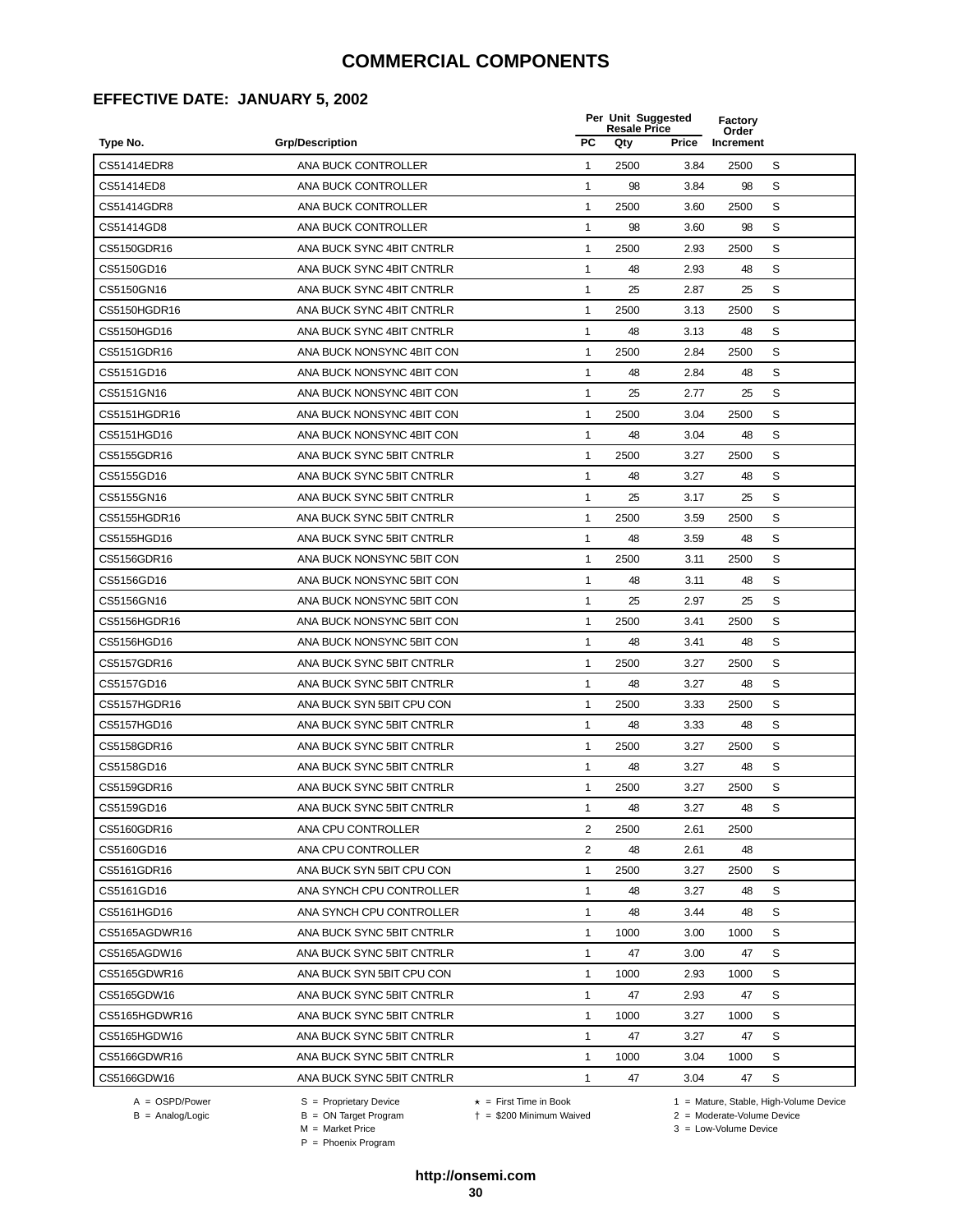#### **EFFECTIVE DATE: JANUARY 5, 2002**

|               |                           | Per Unit Suggested<br><b>Resale Price</b> |      |       | Factory<br>Order |   |  |
|---------------|---------------------------|-------------------------------------------|------|-------|------------------|---|--|
| Type No.      | <b>Grp/Description</b>    | <b>PC</b>                                 | Qty  | Price | Increment        |   |  |
| CS51414EDR8   | ANA BUCK CONTROLLER       | 1                                         | 2500 | 3.84  | 2500             | S |  |
| CS51414ED8    | ANA BUCK CONTROLLER       | 1                                         | 98   | 3.84  | 98               | S |  |
| CS51414GDR8   | ANA BUCK CONTROLLER       | 1                                         | 2500 | 3.60  | 2500             | S |  |
| CS51414GD8    | ANA BUCK CONTROLLER       | $\mathbf{1}$                              | 98   | 3.60  | 98               | S |  |
| CS5150GDR16   | ANA BUCK SYNC 4BIT CNTRLR | $\mathbf{1}$                              | 2500 | 2.93  | 2500             | S |  |
| CS5150GD16    | ANA BUCK SYNC 4BIT CNTRLR | $\mathbf{1}$                              | 48   | 2.93  | 48               | S |  |
| CS5150GN16    | ANA BUCK SYNC 4BIT CNTRLR | $\mathbf{1}$                              | 25   | 2.87  | 25               | S |  |
| CS5150HGDR16  | ANA BUCK SYNC 4BIT CNTRLR | $\mathbf{1}$                              | 2500 | 3.13  | 2500             | S |  |
| CS5150HGD16   | ANA BUCK SYNC 4BIT CNTRLR | $\mathbf{1}$                              | 48   | 3.13  | 48               | S |  |
| CS5151GDR16   | ANA BUCK NONSYNC 4BIT CON | $\mathbf{1}$                              | 2500 | 2.84  | 2500             | S |  |
| CS5151GD16    | ANA BUCK NONSYNC 4BIT CON | $\mathbf{1}$                              | 48   | 2.84  | 48               | S |  |
| CS5151GN16    | ANA BUCK NONSYNC 4BIT CON | 1                                         | 25   | 2.77  | 25               | S |  |
| CS5151HGDR16  | ANA BUCK NONSYNC 4BIT CON | $\mathbf{1}$                              | 2500 | 3.04  | 2500             | S |  |
| CS5151HGD16   | ANA BUCK NONSYNC 4BIT CON | $\mathbf{1}$                              | 48   | 3.04  | 48               | S |  |
| CS5155GDR16   | ANA BUCK SYNC 5BIT CNTRLR | $\mathbf{1}$                              | 2500 | 3.27  | 2500             | S |  |
| CS5155GD16    | ANA BUCK SYNC 5BIT CNTRLR | $\mathbf{1}$                              | 48   | 3.27  | 48               | S |  |
| CS5155GN16    | ANA BUCK SYNC 5BIT CNTRLR | $\mathbf{1}$                              | 25   | 3.17  | 25               | S |  |
| CS5155HGDR16  | ANA BUCK SYNC 5BIT CNTRLR | 1                                         | 2500 | 3.59  | 2500             | S |  |
| CS5155HGD16   | ANA BUCK SYNC 5BIT CNTRLR | $\mathbf{1}$                              | 48   | 3.59  | 48               | S |  |
| CS5156GDR16   | ANA BUCK NONSYNC 5BIT CON | $\mathbf{1}$                              | 2500 | 3.11  | 2500             | S |  |
| CS5156GD16    | ANA BUCK NONSYNC 5BIT CON | 1                                         | 48   | 3.11  | 48               | S |  |
| CS5156GN16    | ANA BUCK NONSYNC 5BIT CON | $\mathbf{1}$                              | 25   | 2.97  | 25               | S |  |
| CS5156HGDR16  | ANA BUCK NONSYNC 5BIT CON | $\mathbf{1}$                              | 2500 | 3.41  | 2500             | S |  |
| CS5156HGD16   | ANA BUCK NONSYNC 5BIT CON | $\mathbf{1}$                              | 48   | 3.41  | 48               | S |  |
| CS5157GDR16   | ANA BUCK SYNC 5BIT CNTRLR | $\mathbf{1}$                              | 2500 | 3.27  | 2500             | S |  |
| CS5157GD16    | ANA BUCK SYNC 5BIT CNTRLR | $\mathbf{1}$                              | 48   | 3.27  | 48               | S |  |
| CS5157HGDR16  | ANA BUCK SYN 5BIT CPU CON | $\mathbf{1}$                              | 2500 | 3.33  | 2500             | S |  |
| CS5157HGD16   | ANA BUCK SYNC 5BIT CNTRLR | $\mathbf{1}$                              | 48   | 3.33  | 48               | S |  |
| CS5158GDR16   | ANA BUCK SYNC 5BIT CNTRLR | $\mathbf{1}$                              | 2500 | 3.27  | 2500             | S |  |
| CS5158GD16    | ANA BUCK SYNC 5BIT CNTRLR | $\mathbf{1}$                              | 48   | 3.27  | 48               | S |  |
| CS5159GDR16   | ANA BUCK SYNC 5BIT CNTRLR | 1                                         | 2500 | 3.27  | 2500             | S |  |
| CS5159GD16    | ANA BUCK SYNC 5BIT CNTRLR | 1                                         | 48   | 3.27  | 48               | S |  |
| CS5160GDR16   | ANA CPU CONTROLLER        | 2                                         | 2500 | 2.61  | 2500             |   |  |
| CS5160GD16    | ANA CPU CONTROLLER        | $\overline{2}$                            | 48   | 2.61  | 48               |   |  |
| CS5161GDR16   | ANA BUCK SYN 5BIT CPU CON | $\mathbf{1}$                              | 2500 | 3.27  | 2500             | S |  |
| CS5161GD16    | ANA SYNCH CPU CONTROLLER  | $\mathbf{1}$                              | 48   | 3.27  | 48               | S |  |
| CS5161HGD16   | ANA SYNCH CPU CONTROLLER  | $\mathbf{1}$                              | 48   | 3.44  | 48               | S |  |
| CS5165AGDWR16 | ANA BUCK SYNC 5BIT CNTRLR | $\mathbf{1}$                              | 1000 | 3.00  | 1000             | S |  |
| CS5165AGDW16  | ANA BUCK SYNC 5BIT CNTRLR | $\mathbf{1}$                              | 47   | 3.00  | 47               | S |  |
| CS5165GDWR16  | ANA BUCK SYN 5BIT CPU CON | $\mathbf{1}$                              | 1000 | 2.93  | 1000             | S |  |
| CS5165GDW16   | ANA BUCK SYNC 5BIT CNTRLR | $\mathbf{1}$                              | 47   | 2.93  | 47               | S |  |
| CS5165HGDWR16 | ANA BUCK SYNC 5BIT CNTRLR | $\mathbf{1}$                              | 1000 | 3.27  | 1000             | S |  |
| CS5165HGDW16  | ANA BUCK SYNC 5BIT CNTRLR | $\mathbf{1}$                              | 47   | 3.27  | 47               | S |  |
| CS5166GDWR16  | ANA BUCK SYNC 5BIT CNTRLR | $\mathbf{1}$                              | 1000 | 3.04  | 1000             | S |  |
| CS5166GDW16   | ANA BUCK SYNC 5BIT CNTRLR | $\mathbf{1}$                              | 47   | 3.04  | 47               | S |  |
|               |                           |                                           |      |       |                  |   |  |

 $B = \text{Analog/Logic}$ <br>B = ON Target Program<br> $M = \text{Market Price}$ 

A = OSPD/Power S = Proprietary Device  $\star$  = First Time in Book 1 = Mature, Stable, High-Volume Device

 = \$200 Minimum Waived 2 = Moderate-Volume Device  $3 =$  Low-Volume Device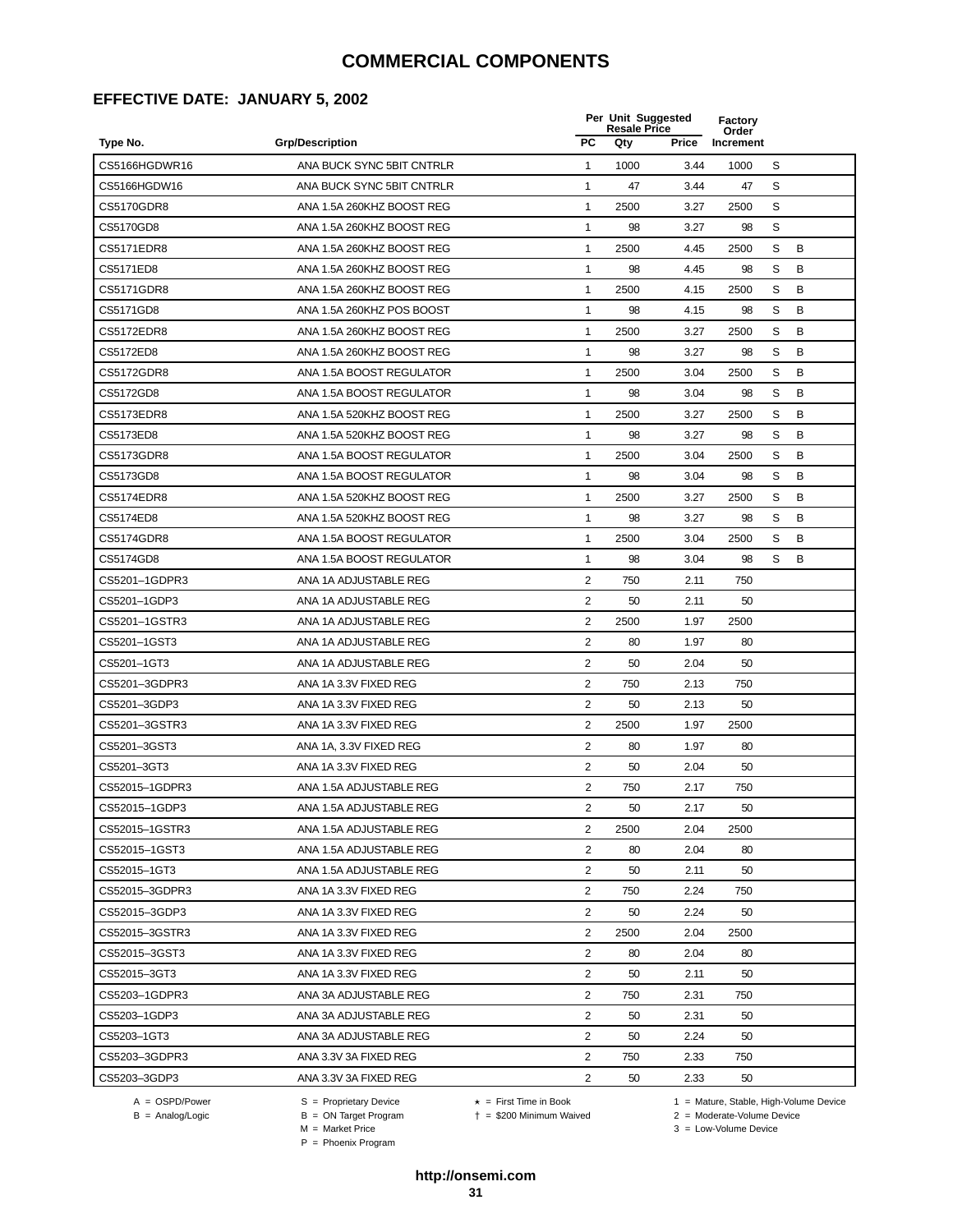#### **EFFECTIVE DATE: JANUARY 5, 2002**

|                                        |                                                                 |                                                                  | Per Unit Suggested<br><b>Resale Price</b> |       | <b>Factory</b>                                                                          |   |   |  |
|----------------------------------------|-----------------------------------------------------------------|------------------------------------------------------------------|-------------------------------------------|-------|-----------------------------------------------------------------------------------------|---|---|--|
| Type No.                               | <b>Grp/Description</b>                                          | <b>PC</b>                                                        | Qty                                       | Price | Order<br>Increment                                                                      |   |   |  |
| CS5166HGDWR16                          | ANA BUCK SYNC 5BIT CNTRLR                                       | $\mathbf{1}$                                                     | 1000                                      | 3.44  | 1000                                                                                    | S |   |  |
| CS5166HGDW16                           | ANA BUCK SYNC 5BIT CNTRLR                                       | 1                                                                | 47                                        | 3.44  | 47                                                                                      | S |   |  |
| CS5170GDR8                             | ANA 1.5A 260KHZ BOOST REG                                       | 1                                                                | 2500                                      | 3.27  | 2500                                                                                    | S |   |  |
| CS5170GD8                              | ANA 1.5A 260KHZ BOOST REG                                       | 1                                                                | 98                                        | 3.27  | 98                                                                                      | S |   |  |
| <b>CS5171EDR8</b>                      | ANA 1.5A 260KHZ BOOST REG                                       | 1                                                                | 2500                                      | 4.45  | 2500                                                                                    | S | B |  |
| CS5171ED8                              | ANA 1.5A 260KHZ BOOST REG                                       | 1                                                                | 98                                        | 4.45  | 98                                                                                      | S | B |  |
| CS5171GDR8                             | ANA 1.5A 260KHZ BOOST REG                                       | $\mathbf{1}$                                                     | 2500                                      | 4.15  | 2500                                                                                    | S | B |  |
| CS5171GD8                              | ANA 1.5A 260KHZ POS BOOST                                       | $\mathbf{1}$                                                     | 98                                        | 4.15  | 98                                                                                      | S | B |  |
| CS5172EDR8                             | ANA 1.5A 260KHZ BOOST REG                                       | 1                                                                | 2500                                      | 3.27  | 2500                                                                                    | S | B |  |
| CS5172ED8                              | ANA 1.5A 260KHZ BOOST REG                                       | 1                                                                | 98                                        | 3.27  | 98                                                                                      | S | B |  |
| CS5172GDR8                             | ANA 1.5A BOOST REGULATOR                                        | 1                                                                | 2500                                      | 3.04  | 2500                                                                                    | S | B |  |
| CS5172GD8                              | ANA 1.5A BOOST REGULATOR                                        | 1                                                                | 98                                        | 3.04  | 98                                                                                      | S | В |  |
| CS5173EDR8                             | ANA 1.5A 520KHZ BOOST REG                                       | 1                                                                | 2500                                      | 3.27  | 2500                                                                                    | S | B |  |
| CS5173ED8                              | ANA 1.5A 520KHZ BOOST REG                                       | 1                                                                | 98                                        | 3.27  | 98                                                                                      | S | В |  |
| CS5173GDR8                             | ANA 1.5A BOOST REGULATOR                                        | 1                                                                | 2500                                      | 3.04  | 2500                                                                                    | S | B |  |
| CS5173GD8                              | ANA 1.5A BOOST REGULATOR                                        | 1                                                                | 98                                        | 3.04  | 98                                                                                      | S | B |  |
| CS5174EDR8                             | ANA 1.5A 520KHZ BOOST REG                                       | $\mathbf{1}$                                                     | 2500                                      | 3.27  | 2500                                                                                    | S | B |  |
| CS5174ED8                              | ANA 1.5A 520KHZ BOOST REG                                       | 1                                                                | 98                                        | 3.27  | 98                                                                                      | S | В |  |
| CS5174GDR8                             | ANA 1.5A BOOST REGULATOR                                        | 1                                                                | 2500                                      | 3.04  | 2500                                                                                    | S | B |  |
| CS5174GD8                              | ANA 1.5A BOOST REGULATOR                                        | 1                                                                | 98                                        | 3.04  | 98                                                                                      | S | B |  |
| CS5201-1GDPR3                          | ANA 1A ADJUSTABLE REG                                           | $\overline{2}$                                                   | 750                                       | 2.11  | 750                                                                                     |   |   |  |
| CS5201-1GDP3                           | ANA 1A ADJUSTABLE REG                                           | 2                                                                | 50                                        | 2.11  | 50                                                                                      |   |   |  |
| CS5201-1GSTR3                          | ANA 1A ADJUSTABLE REG                                           | $\overline{2}$                                                   | 2500                                      | 1.97  | 2500                                                                                    |   |   |  |
| CS5201-1GST3                           | ANA 1A ADJUSTABLE REG                                           | 2                                                                | 80                                        | 1.97  | 80                                                                                      |   |   |  |
| CS5201-1GT3                            | ANA 1A ADJUSTABLE REG                                           | $\overline{2}$                                                   | 50                                        | 2.04  | 50                                                                                      |   |   |  |
| CS5201-3GDPR3                          | ANA 1A 3.3V FIXED REG                                           | $\overline{2}$                                                   | 750                                       | 2.13  | 750                                                                                     |   |   |  |
| CS5201-3GDP3                           | ANA 1A 3.3V FIXED REG                                           | $\overline{2}$                                                   | 50                                        | 2.13  | 50                                                                                      |   |   |  |
| CS5201-3GSTR3                          | ANA 1A 3.3V FIXED REG                                           | $\overline{2}$                                                   | 2500                                      | 1.97  | 2500                                                                                    |   |   |  |
| CS5201-3GST3                           | ANA 1A, 3.3V FIXED REG                                          | 2                                                                | 80                                        | 1.97  | 80                                                                                      |   |   |  |
| CS5201-3GT3                            | ANA 1A 3.3V FIXED REG                                           | $\overline{2}$                                                   | 50                                        | 2.04  | 50                                                                                      |   |   |  |
| CS52015-1GDPR3                         | ANA 1.5A ADJUSTABLE REG                                         | $\overline{2}$                                                   | 750                                       | 2.17  | 750                                                                                     |   |   |  |
| CS52015-1GDP3                          | ANA 1.5A ADJUSTABLE REG                                         | $\overline{\mathbf{c}}$                                          | 50                                        | 2.17  | 50                                                                                      |   |   |  |
| CS52015-1GSTR3                         | ANA 1.5A ADJUSTABLE REG                                         | 2                                                                | 2500                                      | 2.04  | 2500                                                                                    |   |   |  |
| CS52015-1GST3                          | ANA 1.5A ADJUSTABLE REG                                         | $\overline{2}$                                                   | 80                                        | 2.04  | 80                                                                                      |   |   |  |
| CS52015-1GT3                           | ANA 1.5A ADJUSTABLE REG                                         | 2                                                                | 50                                        | 2.11  | 50                                                                                      |   |   |  |
| CS52015-3GDPR3                         | ANA 1A 3.3V FIXED REG                                           | $\overline{2}$                                                   | 750                                       | 2.24  | 750                                                                                     |   |   |  |
| CS52015-3GDP3                          | ANA 1A 3.3V FIXED REG                                           | $\overline{2}$                                                   | 50                                        | 2.24  | 50                                                                                      |   |   |  |
| CS52015-3GSTR3                         | ANA 1A 3.3V FIXED REG                                           | $\overline{2}$                                                   | 2500                                      | 2.04  | 2500                                                                                    |   |   |  |
| CS52015-3GST3                          | ANA 1A 3.3V FIXED REG                                           | $\overline{2}$                                                   | 80                                        | 2.04  | 80                                                                                      |   |   |  |
| CS52015-3GT3                           | ANA 1A 3.3V FIXED REG                                           | 2                                                                | 50                                        | 2.11  | 50                                                                                      |   |   |  |
| CS5203-1GDPR3                          | ANA 3A ADJUSTABLE REG                                           | 2                                                                | 750                                       | 2.31  | 750                                                                                     |   |   |  |
| CS5203-1GDP3                           | ANA 3A ADJUSTABLE REG                                           | 2                                                                | 50                                        | 2.31  | 50                                                                                      |   |   |  |
| CS5203-1GT3                            | ANA 3A ADJUSTABLE REG                                           | $\overline{2}$                                                   | 50                                        | 2.24  | 50                                                                                      |   |   |  |
| CS5203-3GDPR3                          | ANA 3.3V 3A FIXED REG                                           | $\overline{2}$                                                   | 750                                       | 2.33  | 750                                                                                     |   |   |  |
| CS5203-3GDP3                           | ANA 3.3V 3A FIXED REG                                           | 2                                                                | 50                                        | 2.33  | 50                                                                                      |   |   |  |
| $A =$ OSPD/Power<br>$B =$ Analog/Logic | S = Proprietary Device<br>B = ON Target Program<br>Morket Drior | $\star$ = First Time in Book<br>$\dagger$ = \$200 Minimum Waived |                                           |       | 1 = Mature, Stable, High-Volume Device<br>2 = Moderate-Volume Device<br>ou Volumn Dovic |   |   |  |

B = ON Target Program<br>M = Market Price

 $3 =$  Low-Volume Device

P = Phoenix Program

**http://onsemi.com**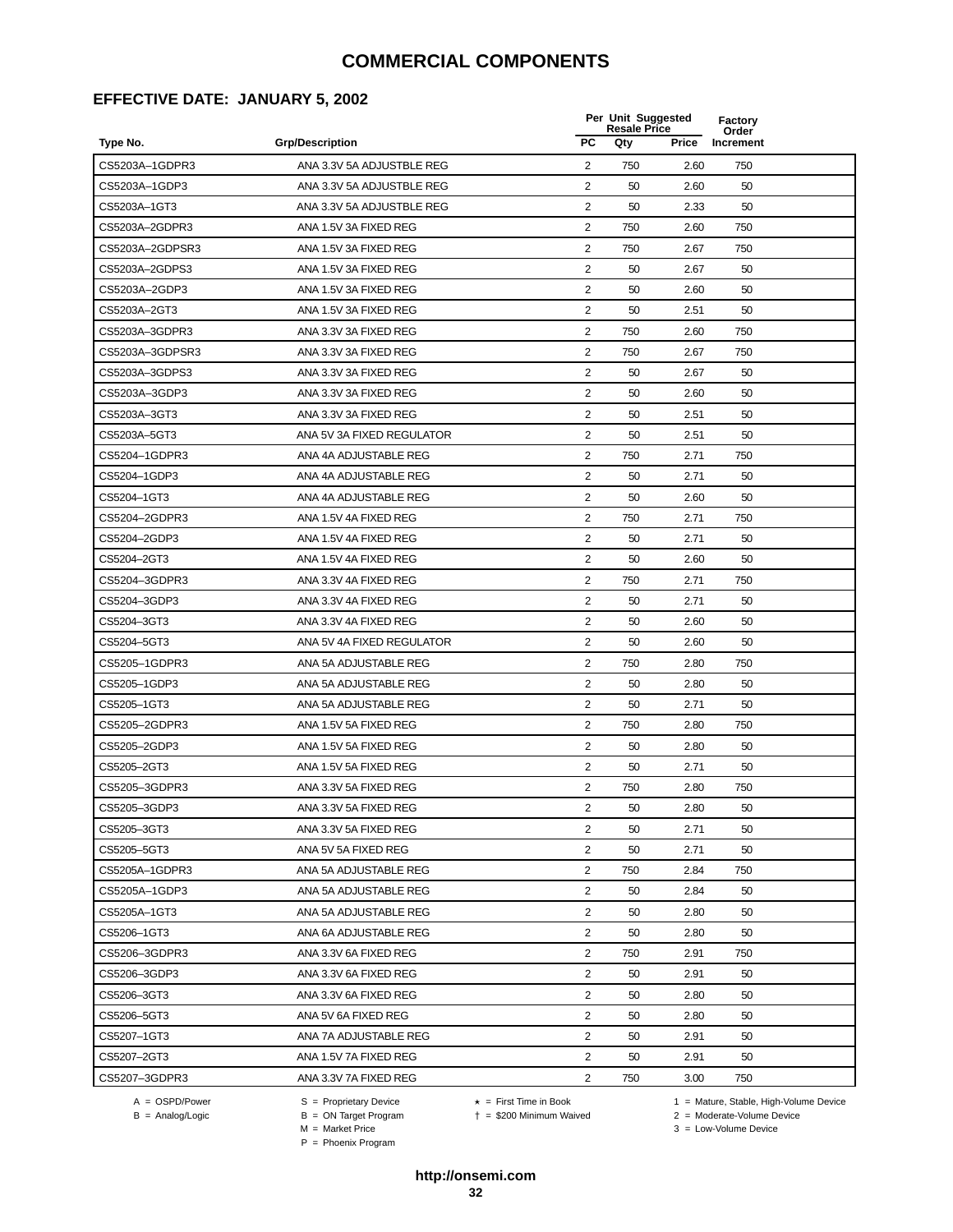#### **EFFECTIVE DATE: JANUARY 5, 2002**

|                 |                           | Per Unit Suggested<br><b>Resale Price</b> |     | <b>Factory</b><br>Order |           |
|-----------------|---------------------------|-------------------------------------------|-----|-------------------------|-----------|
| Type No.        | <b>Grp/Description</b>    | <b>PC</b>                                 | Qty | Price                   | Increment |
| CS5203A-1GDPR3  | ANA 3.3V 5A ADJUSTBLE REG | $\overline{2}$                            | 750 | 2.60                    | 750       |
| CS5203A-1GDP3   | ANA 3.3V 5A ADJUSTBLE REG | 2                                         | 50  | 2.60                    | 50        |
| CS5203A-1GT3    | ANA 3.3V 5A ADJUSTBLE REG | 2                                         | 50  | 2.33                    | 50        |
| CS5203A-2GDPR3  | ANA 1.5V 3A FIXED REG     | $\overline{2}$                            | 750 | 2.60                    | 750       |
| CS5203A-2GDPSR3 | ANA 1.5V 3A FIXED REG     | $\sqrt{2}$                                | 750 | 2.67                    | 750       |
| CS5203A-2GDPS3  | ANA 1.5V 3A FIXED REG     | 2                                         | 50  | 2.67                    | 50        |
| CS5203A-2GDP3   | ANA 1.5V 3A FIXED REG     | 2                                         | 50  | 2.60                    | 50        |
| CS5203A-2GT3    | ANA 1.5V 3A FIXED REG     | 2                                         | 50  | 2.51                    | 50        |
| CS5203A-3GDPR3  | ANA 3.3V 3A FIXED REG     | $\overline{2}$                            | 750 | 2.60                    | 750       |
| CS5203A-3GDPSR3 | ANA 3.3V 3A FIXED REG     | $\overline{2}$                            | 750 | 2.67                    | 750       |
| CS5203A-3GDPS3  | ANA 3.3V 3A FIXED REG     | 2                                         | 50  | 2.67                    | 50        |
| CS5203A-3GDP3   | ANA 3.3V 3A FIXED REG     | $\overline{2}$                            | 50  | 2.60                    | 50        |
| CS5203A-3GT3    | ANA 3.3V 3A FIXED REG     | 2                                         | 50  | 2.51                    | 50        |
| CS5203A-5GT3    | ANA 5V 3A FIXED REGULATOR | $\overline{2}$                            | 50  | 2.51                    | 50        |
| CS5204-1GDPR3   | ANA 4A ADJUSTABLE REG     | 2                                         | 750 | 2.71                    | 750       |
| CS5204-1GDP3    | ANA 4A ADJUSTABLE REG     | $\overline{2}$                            | 50  | 2.71                    | 50        |
| CS5204-1GT3     | ANA 4A ADJUSTABLE REG     | 2                                         | 50  | 2.60                    | 50        |
| CS5204-2GDPR3   | ANA 1.5V 4A FIXED REG     | $\overline{2}$                            | 750 | 2.71                    | 750       |
| CS5204-2GDP3    | ANA 1.5V 4A FIXED REG     | $\overline{2}$                            | 50  | 2.71                    | 50        |
| CS5204-2GT3     | ANA 1.5V 4A FIXED REG     | 2                                         | 50  | 2.60                    | 50        |
| CS5204-3GDPR3   | ANA 3.3V 4A FIXED REG     | 2                                         | 750 | 2.71                    | 750       |
| CS5204-3GDP3    | ANA 3.3V 4A FIXED REG     | 2                                         | 50  | 2.71                    | 50        |
| CS5204-3GT3     | ANA 3.3V 4A FIXED REG     | $\overline{2}$                            | 50  | 2.60                    | 50        |
| CS5204-5GT3     | ANA 5V 4A FIXED REGULATOR | 2                                         | 50  | 2.60                    | 50        |
| CS5205-1GDPR3   | ANA 5A ADJUSTABLE REG     | $\overline{2}$                            | 750 | 2.80                    | 750       |
| CS5205-1GDP3    | ANA 5A ADJUSTABLE REG     | 2                                         | 50  | 2.80                    | 50        |
| CS5205-1GT3     | ANA 5A ADJUSTABLE REG     | 2                                         | 50  | 2.71                    | 50        |
| CS5205-2GDPR3   | ANA 1.5V 5A FIXED REG     | $\overline{2}$                            | 750 | 2.80                    | 750       |
| CS5205-2GDP3    | ANA 1.5V 5A FIXED REG     | 2                                         | 50  | 2.80                    | 50        |
| CS5205-2GT3     | ANA 1.5V 5A FIXED REG     | $\overline{2}$                            | 50  | 2.71                    | 50        |
| CS5205-3GDPR3   | ANA 3.3V 5A FIXED REG     | $\overline{2}$                            | 750 | 2.80                    | 750       |
| CS5205-3GDP3    | ANA 3.3V 5A FIXED REG     | $\overline{c}$                            | 50  | 2.80                    | 50        |
| CS5205-3GT3     | ANA 3.3V 5A FIXED REG     | 2                                         | 50  | 2.71                    | 50        |
| CS5205–5GT3     | ANA 5V 5A FIXED REG       | 2                                         | 50  | 2.71                    | 50        |
| CS5205A-1GDPR3  | ANA 5A ADJUSTABLE REG     | $\overline{2}$                            | 750 | 2.84                    | 750       |
| CS5205A-1GDP3   | ANA 5A ADJUSTABLE REG     | $\overline{2}$                            | 50  | 2.84                    | 50        |
| CS5205A-1GT3    | ANA 5A ADJUSTABLE REG     | $\overline{2}$                            | 50  | 2.80                    | 50        |
| CS5206-1GT3     | ANA 6A ADJUSTABLE REG     | 2                                         | 50  | 2.80                    | 50        |
| CS5206-3GDPR3   | ANA 3.3V 6A FIXED REG     | $\overline{2}$                            | 750 | 2.91                    | 750       |
| CS5206-3GDP3    | ANA 3.3V 6A FIXED REG     | 2                                         | 50  | 2.91                    | 50        |
| CS5206-3GT3     | ANA 3.3V 6A FIXED REG     | 2                                         | 50  | 2.80                    | 50        |
| CS5206-5GT3     | ANA 5V 6A FIXED REG       | 2                                         | 50  | 2.80                    | 50        |
| CS5207–1GT3     | ANA 7A ADJUSTABLE REG     | 2                                         | 50  | 2.91                    | 50        |
| CS5207–2GT3     | ANA 1.5V 7A FIXED REG     | 2                                         | 50  | 2.91                    | 50        |
| CS5207-3GDPR3   | ANA 3.3V 7A FIXED REG     | $\overline{2}$                            | 750 | 3.00                    | 750       |
|                 |                           |                                           |     |                         |           |

 $B = \text{Analog/Logic}$ <br>B = ON Target Program<br> $M = \text{Market Price}$ 

A = OSPD/Power S = Proprietary Device  $\star$  = First Time in Book 1 = Mature, Stable, High-Volume Device = \$200 Minimum Waived 2 = Moderate-Volume Device

 $3 =$  Low-Volume Device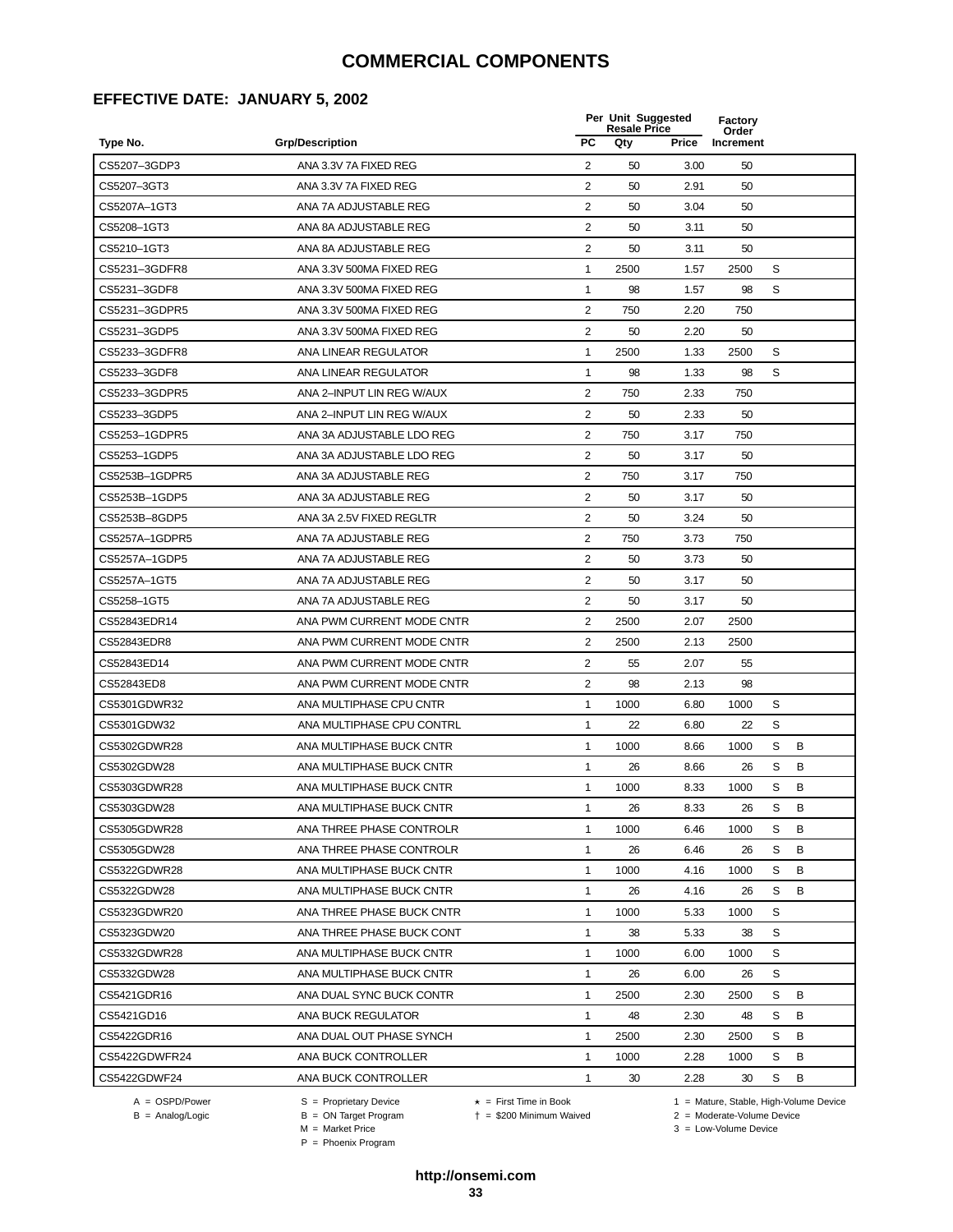#### **EFFECTIVE DATE: JANUARY 5, 2002**

| <b>PC</b><br>Type No.<br><b>Grp/Description</b><br>Qty<br>Price<br>Increment<br>CS5207-3GDP3<br>ANA 3.3V 7A FIXED REG<br>2<br>50<br>3.00<br>50<br>CS5207-3GT3<br>ANA 3.3V 7A FIXED REG<br>2<br>50<br>2.91<br>50<br>$\overline{2}$<br>50<br>CS5207A-1GT3<br>ANA 7A ADJUSTABLE REG<br>3.04<br>50<br>$\overline{2}$<br>CS5208-1GT3<br>ANA 8A ADJUSTABLE REG<br>50<br>3.11<br>50<br>$\overline{2}$<br>CS5210-1GT3<br>ANA 8A ADJUSTABLE REG<br>50<br>50<br>3.11<br>S<br>CS5231-3GDFR8<br>ANA 3.3V 500MA FIXED REG<br>1<br>2500<br>1.57<br>2500<br>S<br>98<br>CS5231-3GDF8<br>ANA 3.3V 500MA FIXED REG<br>1<br>98<br>1.57<br>2<br>CS5231-3GDPR5<br>ANA 3.3V 500MA FIXED REG<br>750<br>2.20<br>750<br>$\overline{2}$<br>CS5231-3GDP5<br>ANA 3.3V 500MA FIXED REG<br>50<br>2.20<br>50<br>CS5233-3GDFR8<br>S<br>ANA LINEAR REGULATOR<br>1<br>2500<br>1.33<br>2500<br>S<br>CS5233-3GDF8<br>ANA LINEAR REGULATOR<br>$\mathbf{1}$<br>98<br>1.33<br>98<br>$\overline{2}$<br>CS5233-3GDPR5<br>ANA 2-INPUT LIN REG W/AUX<br>750<br>2.33<br>750<br>2<br>CS5233-3GDP5<br>ANA 2-INPUT LIN REG W/AUX<br>50<br>2.33<br>50<br>$\overline{2}$<br>CS5253-1GDPR5<br>ANA 3A ADJUSTABLE LDO REG<br>750<br>3.17<br>750<br>2<br>CS5253-1GDP5<br>ANA 3A ADJUSTABLE LDO REG<br>50<br>3.17<br>50<br>$\overline{2}$<br>CS5253B-1GDPR5<br>ANA 3A ADJUSTABLE REG<br>750<br>3.17<br>750<br>2<br>CS5253B-1GDP5<br>ANA 3A ADJUSTABLE REG<br>50<br>50<br>3.17<br>$\overline{2}$<br>CS5253B-8GDP5<br>ANA 3A 2.5V FIXED REGLTR<br>50<br>3.24<br>50<br>$\overline{2}$<br>CS5257A-1GDPR5<br>ANA 7A ADJUSTABLE REG<br>750<br>3.73<br>750<br>CS5257A-1GDP5<br>ANA 7A ADJUSTABLE REG<br>2<br>50<br>3.73<br>50<br>$\overline{2}$<br>50<br>CS5257A-1GT5<br>ANA 7A ADJUSTABLE REG<br>3.17<br>50<br>2<br>CS5258-1GT5<br>ANA 7A ADJUSTABLE REG<br>50<br>3.17<br>50<br>$\overline{2}$<br>CS52843EDR14<br>ANA PWM CURRENT MODE CNTR<br>2500<br>2.07<br>2500<br>ANA PWM CURRENT MODE CNTR<br>2<br>CS52843EDR8<br>2500<br>2.13<br>2500<br>2<br>CS52843ED14<br>ANA PWM CURRENT MODE CNTR<br>55<br>2.07<br>55<br>$\overline{2}$<br>98<br>CS52843ED8<br>ANA PWM CURRENT MODE CNTR<br>2.13<br>98<br>S<br>CS5301GDWR32<br>ANA MULTIPHASE CPU CNTR<br>1<br>1000<br>6.80<br>1000<br>CS5301GDW32<br>S<br>ANA MULTIPHASE CPU CONTRL<br>1<br>22<br>6.80<br>22<br>S<br>B<br>CS5302GDWR28<br>ANA MULTIPHASE BUCK CNTR<br>$\mathbf{1}$<br>1000<br>8.66<br>1000<br>S<br>В<br>CS5302GDW28<br>ANA MULTIPHASE BUCK CNTR<br>1<br>26<br>8.66<br>26<br>1<br>S<br>B<br>CS5303GDWR28<br>ANA MULTIPHASE BUCK CNTR<br>1000<br>8.33<br>1000<br>S<br>B<br>CS5303GDW28<br>26<br>8.33<br>ANA MULTIPHASE BUCK CNTR<br>1<br>26<br>S<br>В<br>CS5305GDWR28<br>ANA THREE PHASE CONTROLR<br>$\mathbf{1}$<br>1000<br>1000<br>6.46<br>S<br>В<br>1<br>26<br>CS5305GDW28<br>ANA THREE PHASE CONTROLR<br>6.46<br>26<br>S<br>В<br>$\mathbf{1}$<br>1000<br>1000<br>CS5322GDWR28<br>ANA MULTIPHASE BUCK CNTR<br>4.16<br>S<br>В<br>CS5322GDW28<br>$\mathbf{1}$<br>26<br>4.16<br>ANA MULTIPHASE BUCK CNTR<br>26<br>S<br>CS5323GDWR20<br>ANA THREE PHASE BUCK CNTR<br>1<br>1000<br>5.33<br>1000<br>S<br>ANA THREE PHASE BUCK CONT<br>1<br>38<br>5.33<br>38<br>CS5323GDW20<br>S<br>1<br>1000<br>6.00<br>1000<br>CS5332GDWR28<br>ANA MULTIPHASE BUCK CNTR<br>S<br>1<br>26<br>CS5332GDW28<br>ANA MULTIPHASE BUCK CNTR<br>6.00<br>26<br>S<br>2500<br>В<br>CS5421GDR16<br>ANA DUAL SYNC BUCK CONTR<br>$\mathbf{1}$<br>2.30<br>2500<br>S<br>В<br>$\mathbf{1}$<br>48<br>CS5421GD16<br>ANA BUCK REGULATOR<br>2.30<br>48<br>В<br>1<br>2500<br>S<br>CS5422GDR16<br>ANA DUAL OUT PHASE SYNCH<br>2.30<br>2500<br>S<br>В<br>1<br>2.28<br>CS5422GDWFR24<br>ANA BUCK CONTROLLER<br>1000<br>1000<br>S<br>в<br>CS5422GDWF24<br>1<br>30<br>2.28<br>ANA BUCK CONTROLLER<br>30 |  | Per Unit Suggested<br><b>Resale Price</b> |  | <b>Factory</b><br>Order |  |  |  |
|---------------------------------------------------------------------------------------------------------------------------------------------------------------------------------------------------------------------------------------------------------------------------------------------------------------------------------------------------------------------------------------------------------------------------------------------------------------------------------------------------------------------------------------------------------------------------------------------------------------------------------------------------------------------------------------------------------------------------------------------------------------------------------------------------------------------------------------------------------------------------------------------------------------------------------------------------------------------------------------------------------------------------------------------------------------------------------------------------------------------------------------------------------------------------------------------------------------------------------------------------------------------------------------------------------------------------------------------------------------------------------------------------------------------------------------------------------------------------------------------------------------------------------------------------------------------------------------------------------------------------------------------------------------------------------------------------------------------------------------------------------------------------------------------------------------------------------------------------------------------------------------------------------------------------------------------------------------------------------------------------------------------------------------------------------------------------------------------------------------------------------------------------------------------------------------------------------------------------------------------------------------------------------------------------------------------------------------------------------------------------------------------------------------------------------------------------------------------------------------------------------------------------------------------------------------------------------------------------------------------------------------------------------------------------------------------------------------------------------------------------------------------------------------------------------------------------------------------------------------------------------------------------------------------------------------------------------------------------------------------------------------------------------------------------------------------------------------------------------------------------------------------------------------------------------------------------------------------------------------------------------------------------------------------------------------------------------------------------------------------------------------------------------------------------------------------------------------------------------------------------------------------------------------------------------------------------------------------------------------------------------------------------------------------------------------------------------------------------------------------------------|--|-------------------------------------------|--|-------------------------|--|--|--|
|                                                                                                                                                                                                                                                                                                                                                                                                                                                                                                                                                                                                                                                                                                                                                                                                                                                                                                                                                                                                                                                                                                                                                                                                                                                                                                                                                                                                                                                                                                                                                                                                                                                                                                                                                                                                                                                                                                                                                                                                                                                                                                                                                                                                                                                                                                                                                                                                                                                                                                                                                                                                                                                                                                                                                                                                                                                                                                                                                                                                                                                                                                                                                                                                                                                                                                                                                                                                                                                                                                                                                                                                                                                                                                                                                         |  |                                           |  |                         |  |  |  |
|                                                                                                                                                                                                                                                                                                                                                                                                                                                                                                                                                                                                                                                                                                                                                                                                                                                                                                                                                                                                                                                                                                                                                                                                                                                                                                                                                                                                                                                                                                                                                                                                                                                                                                                                                                                                                                                                                                                                                                                                                                                                                                                                                                                                                                                                                                                                                                                                                                                                                                                                                                                                                                                                                                                                                                                                                                                                                                                                                                                                                                                                                                                                                                                                                                                                                                                                                                                                                                                                                                                                                                                                                                                                                                                                                         |  |                                           |  |                         |  |  |  |
|                                                                                                                                                                                                                                                                                                                                                                                                                                                                                                                                                                                                                                                                                                                                                                                                                                                                                                                                                                                                                                                                                                                                                                                                                                                                                                                                                                                                                                                                                                                                                                                                                                                                                                                                                                                                                                                                                                                                                                                                                                                                                                                                                                                                                                                                                                                                                                                                                                                                                                                                                                                                                                                                                                                                                                                                                                                                                                                                                                                                                                                                                                                                                                                                                                                                                                                                                                                                                                                                                                                                                                                                                                                                                                                                                         |  |                                           |  |                         |  |  |  |
|                                                                                                                                                                                                                                                                                                                                                                                                                                                                                                                                                                                                                                                                                                                                                                                                                                                                                                                                                                                                                                                                                                                                                                                                                                                                                                                                                                                                                                                                                                                                                                                                                                                                                                                                                                                                                                                                                                                                                                                                                                                                                                                                                                                                                                                                                                                                                                                                                                                                                                                                                                                                                                                                                                                                                                                                                                                                                                                                                                                                                                                                                                                                                                                                                                                                                                                                                                                                                                                                                                                                                                                                                                                                                                                                                         |  |                                           |  |                         |  |  |  |
|                                                                                                                                                                                                                                                                                                                                                                                                                                                                                                                                                                                                                                                                                                                                                                                                                                                                                                                                                                                                                                                                                                                                                                                                                                                                                                                                                                                                                                                                                                                                                                                                                                                                                                                                                                                                                                                                                                                                                                                                                                                                                                                                                                                                                                                                                                                                                                                                                                                                                                                                                                                                                                                                                                                                                                                                                                                                                                                                                                                                                                                                                                                                                                                                                                                                                                                                                                                                                                                                                                                                                                                                                                                                                                                                                         |  |                                           |  |                         |  |  |  |
|                                                                                                                                                                                                                                                                                                                                                                                                                                                                                                                                                                                                                                                                                                                                                                                                                                                                                                                                                                                                                                                                                                                                                                                                                                                                                                                                                                                                                                                                                                                                                                                                                                                                                                                                                                                                                                                                                                                                                                                                                                                                                                                                                                                                                                                                                                                                                                                                                                                                                                                                                                                                                                                                                                                                                                                                                                                                                                                                                                                                                                                                                                                                                                                                                                                                                                                                                                                                                                                                                                                                                                                                                                                                                                                                                         |  |                                           |  |                         |  |  |  |
|                                                                                                                                                                                                                                                                                                                                                                                                                                                                                                                                                                                                                                                                                                                                                                                                                                                                                                                                                                                                                                                                                                                                                                                                                                                                                                                                                                                                                                                                                                                                                                                                                                                                                                                                                                                                                                                                                                                                                                                                                                                                                                                                                                                                                                                                                                                                                                                                                                                                                                                                                                                                                                                                                                                                                                                                                                                                                                                                                                                                                                                                                                                                                                                                                                                                                                                                                                                                                                                                                                                                                                                                                                                                                                                                                         |  |                                           |  |                         |  |  |  |
|                                                                                                                                                                                                                                                                                                                                                                                                                                                                                                                                                                                                                                                                                                                                                                                                                                                                                                                                                                                                                                                                                                                                                                                                                                                                                                                                                                                                                                                                                                                                                                                                                                                                                                                                                                                                                                                                                                                                                                                                                                                                                                                                                                                                                                                                                                                                                                                                                                                                                                                                                                                                                                                                                                                                                                                                                                                                                                                                                                                                                                                                                                                                                                                                                                                                                                                                                                                                                                                                                                                                                                                                                                                                                                                                                         |  |                                           |  |                         |  |  |  |
|                                                                                                                                                                                                                                                                                                                                                                                                                                                                                                                                                                                                                                                                                                                                                                                                                                                                                                                                                                                                                                                                                                                                                                                                                                                                                                                                                                                                                                                                                                                                                                                                                                                                                                                                                                                                                                                                                                                                                                                                                                                                                                                                                                                                                                                                                                                                                                                                                                                                                                                                                                                                                                                                                                                                                                                                                                                                                                                                                                                                                                                                                                                                                                                                                                                                                                                                                                                                                                                                                                                                                                                                                                                                                                                                                         |  |                                           |  |                         |  |  |  |
|                                                                                                                                                                                                                                                                                                                                                                                                                                                                                                                                                                                                                                                                                                                                                                                                                                                                                                                                                                                                                                                                                                                                                                                                                                                                                                                                                                                                                                                                                                                                                                                                                                                                                                                                                                                                                                                                                                                                                                                                                                                                                                                                                                                                                                                                                                                                                                                                                                                                                                                                                                                                                                                                                                                                                                                                                                                                                                                                                                                                                                                                                                                                                                                                                                                                                                                                                                                                                                                                                                                                                                                                                                                                                                                                                         |  |                                           |  |                         |  |  |  |
|                                                                                                                                                                                                                                                                                                                                                                                                                                                                                                                                                                                                                                                                                                                                                                                                                                                                                                                                                                                                                                                                                                                                                                                                                                                                                                                                                                                                                                                                                                                                                                                                                                                                                                                                                                                                                                                                                                                                                                                                                                                                                                                                                                                                                                                                                                                                                                                                                                                                                                                                                                                                                                                                                                                                                                                                                                                                                                                                                                                                                                                                                                                                                                                                                                                                                                                                                                                                                                                                                                                                                                                                                                                                                                                                                         |  |                                           |  |                         |  |  |  |
|                                                                                                                                                                                                                                                                                                                                                                                                                                                                                                                                                                                                                                                                                                                                                                                                                                                                                                                                                                                                                                                                                                                                                                                                                                                                                                                                                                                                                                                                                                                                                                                                                                                                                                                                                                                                                                                                                                                                                                                                                                                                                                                                                                                                                                                                                                                                                                                                                                                                                                                                                                                                                                                                                                                                                                                                                                                                                                                                                                                                                                                                                                                                                                                                                                                                                                                                                                                                                                                                                                                                                                                                                                                                                                                                                         |  |                                           |  |                         |  |  |  |
|                                                                                                                                                                                                                                                                                                                                                                                                                                                                                                                                                                                                                                                                                                                                                                                                                                                                                                                                                                                                                                                                                                                                                                                                                                                                                                                                                                                                                                                                                                                                                                                                                                                                                                                                                                                                                                                                                                                                                                                                                                                                                                                                                                                                                                                                                                                                                                                                                                                                                                                                                                                                                                                                                                                                                                                                                                                                                                                                                                                                                                                                                                                                                                                                                                                                                                                                                                                                                                                                                                                                                                                                                                                                                                                                                         |  |                                           |  |                         |  |  |  |
|                                                                                                                                                                                                                                                                                                                                                                                                                                                                                                                                                                                                                                                                                                                                                                                                                                                                                                                                                                                                                                                                                                                                                                                                                                                                                                                                                                                                                                                                                                                                                                                                                                                                                                                                                                                                                                                                                                                                                                                                                                                                                                                                                                                                                                                                                                                                                                                                                                                                                                                                                                                                                                                                                                                                                                                                                                                                                                                                                                                                                                                                                                                                                                                                                                                                                                                                                                                                                                                                                                                                                                                                                                                                                                                                                         |  |                                           |  |                         |  |  |  |
|                                                                                                                                                                                                                                                                                                                                                                                                                                                                                                                                                                                                                                                                                                                                                                                                                                                                                                                                                                                                                                                                                                                                                                                                                                                                                                                                                                                                                                                                                                                                                                                                                                                                                                                                                                                                                                                                                                                                                                                                                                                                                                                                                                                                                                                                                                                                                                                                                                                                                                                                                                                                                                                                                                                                                                                                                                                                                                                                                                                                                                                                                                                                                                                                                                                                                                                                                                                                                                                                                                                                                                                                                                                                                                                                                         |  |                                           |  |                         |  |  |  |
|                                                                                                                                                                                                                                                                                                                                                                                                                                                                                                                                                                                                                                                                                                                                                                                                                                                                                                                                                                                                                                                                                                                                                                                                                                                                                                                                                                                                                                                                                                                                                                                                                                                                                                                                                                                                                                                                                                                                                                                                                                                                                                                                                                                                                                                                                                                                                                                                                                                                                                                                                                                                                                                                                                                                                                                                                                                                                                                                                                                                                                                                                                                                                                                                                                                                                                                                                                                                                                                                                                                                                                                                                                                                                                                                                         |  |                                           |  |                         |  |  |  |
|                                                                                                                                                                                                                                                                                                                                                                                                                                                                                                                                                                                                                                                                                                                                                                                                                                                                                                                                                                                                                                                                                                                                                                                                                                                                                                                                                                                                                                                                                                                                                                                                                                                                                                                                                                                                                                                                                                                                                                                                                                                                                                                                                                                                                                                                                                                                                                                                                                                                                                                                                                                                                                                                                                                                                                                                                                                                                                                                                                                                                                                                                                                                                                                                                                                                                                                                                                                                                                                                                                                                                                                                                                                                                                                                                         |  |                                           |  |                         |  |  |  |
|                                                                                                                                                                                                                                                                                                                                                                                                                                                                                                                                                                                                                                                                                                                                                                                                                                                                                                                                                                                                                                                                                                                                                                                                                                                                                                                                                                                                                                                                                                                                                                                                                                                                                                                                                                                                                                                                                                                                                                                                                                                                                                                                                                                                                                                                                                                                                                                                                                                                                                                                                                                                                                                                                                                                                                                                                                                                                                                                                                                                                                                                                                                                                                                                                                                                                                                                                                                                                                                                                                                                                                                                                                                                                                                                                         |  |                                           |  |                         |  |  |  |
|                                                                                                                                                                                                                                                                                                                                                                                                                                                                                                                                                                                                                                                                                                                                                                                                                                                                                                                                                                                                                                                                                                                                                                                                                                                                                                                                                                                                                                                                                                                                                                                                                                                                                                                                                                                                                                                                                                                                                                                                                                                                                                                                                                                                                                                                                                                                                                                                                                                                                                                                                                                                                                                                                                                                                                                                                                                                                                                                                                                                                                                                                                                                                                                                                                                                                                                                                                                                                                                                                                                                                                                                                                                                                                                                                         |  |                                           |  |                         |  |  |  |
|                                                                                                                                                                                                                                                                                                                                                                                                                                                                                                                                                                                                                                                                                                                                                                                                                                                                                                                                                                                                                                                                                                                                                                                                                                                                                                                                                                                                                                                                                                                                                                                                                                                                                                                                                                                                                                                                                                                                                                                                                                                                                                                                                                                                                                                                                                                                                                                                                                                                                                                                                                                                                                                                                                                                                                                                                                                                                                                                                                                                                                                                                                                                                                                                                                                                                                                                                                                                                                                                                                                                                                                                                                                                                                                                                         |  |                                           |  |                         |  |  |  |
|                                                                                                                                                                                                                                                                                                                                                                                                                                                                                                                                                                                                                                                                                                                                                                                                                                                                                                                                                                                                                                                                                                                                                                                                                                                                                                                                                                                                                                                                                                                                                                                                                                                                                                                                                                                                                                                                                                                                                                                                                                                                                                                                                                                                                                                                                                                                                                                                                                                                                                                                                                                                                                                                                                                                                                                                                                                                                                                                                                                                                                                                                                                                                                                                                                                                                                                                                                                                                                                                                                                                                                                                                                                                                                                                                         |  |                                           |  |                         |  |  |  |
|                                                                                                                                                                                                                                                                                                                                                                                                                                                                                                                                                                                                                                                                                                                                                                                                                                                                                                                                                                                                                                                                                                                                                                                                                                                                                                                                                                                                                                                                                                                                                                                                                                                                                                                                                                                                                                                                                                                                                                                                                                                                                                                                                                                                                                                                                                                                                                                                                                                                                                                                                                                                                                                                                                                                                                                                                                                                                                                                                                                                                                                                                                                                                                                                                                                                                                                                                                                                                                                                                                                                                                                                                                                                                                                                                         |  |                                           |  |                         |  |  |  |
|                                                                                                                                                                                                                                                                                                                                                                                                                                                                                                                                                                                                                                                                                                                                                                                                                                                                                                                                                                                                                                                                                                                                                                                                                                                                                                                                                                                                                                                                                                                                                                                                                                                                                                                                                                                                                                                                                                                                                                                                                                                                                                                                                                                                                                                                                                                                                                                                                                                                                                                                                                                                                                                                                                                                                                                                                                                                                                                                                                                                                                                                                                                                                                                                                                                                                                                                                                                                                                                                                                                                                                                                                                                                                                                                                         |  |                                           |  |                         |  |  |  |
|                                                                                                                                                                                                                                                                                                                                                                                                                                                                                                                                                                                                                                                                                                                                                                                                                                                                                                                                                                                                                                                                                                                                                                                                                                                                                                                                                                                                                                                                                                                                                                                                                                                                                                                                                                                                                                                                                                                                                                                                                                                                                                                                                                                                                                                                                                                                                                                                                                                                                                                                                                                                                                                                                                                                                                                                                                                                                                                                                                                                                                                                                                                                                                                                                                                                                                                                                                                                                                                                                                                                                                                                                                                                                                                                                         |  |                                           |  |                         |  |  |  |
|                                                                                                                                                                                                                                                                                                                                                                                                                                                                                                                                                                                                                                                                                                                                                                                                                                                                                                                                                                                                                                                                                                                                                                                                                                                                                                                                                                                                                                                                                                                                                                                                                                                                                                                                                                                                                                                                                                                                                                                                                                                                                                                                                                                                                                                                                                                                                                                                                                                                                                                                                                                                                                                                                                                                                                                                                                                                                                                                                                                                                                                                                                                                                                                                                                                                                                                                                                                                                                                                                                                                                                                                                                                                                                                                                         |  |                                           |  |                         |  |  |  |
|                                                                                                                                                                                                                                                                                                                                                                                                                                                                                                                                                                                                                                                                                                                                                                                                                                                                                                                                                                                                                                                                                                                                                                                                                                                                                                                                                                                                                                                                                                                                                                                                                                                                                                                                                                                                                                                                                                                                                                                                                                                                                                                                                                                                                                                                                                                                                                                                                                                                                                                                                                                                                                                                                                                                                                                                                                                                                                                                                                                                                                                                                                                                                                                                                                                                                                                                                                                                                                                                                                                                                                                                                                                                                                                                                         |  |                                           |  |                         |  |  |  |
|                                                                                                                                                                                                                                                                                                                                                                                                                                                                                                                                                                                                                                                                                                                                                                                                                                                                                                                                                                                                                                                                                                                                                                                                                                                                                                                                                                                                                                                                                                                                                                                                                                                                                                                                                                                                                                                                                                                                                                                                                                                                                                                                                                                                                                                                                                                                                                                                                                                                                                                                                                                                                                                                                                                                                                                                                                                                                                                                                                                                                                                                                                                                                                                                                                                                                                                                                                                                                                                                                                                                                                                                                                                                                                                                                         |  |                                           |  |                         |  |  |  |
|                                                                                                                                                                                                                                                                                                                                                                                                                                                                                                                                                                                                                                                                                                                                                                                                                                                                                                                                                                                                                                                                                                                                                                                                                                                                                                                                                                                                                                                                                                                                                                                                                                                                                                                                                                                                                                                                                                                                                                                                                                                                                                                                                                                                                                                                                                                                                                                                                                                                                                                                                                                                                                                                                                                                                                                                                                                                                                                                                                                                                                                                                                                                                                                                                                                                                                                                                                                                                                                                                                                                                                                                                                                                                                                                                         |  |                                           |  |                         |  |  |  |
|                                                                                                                                                                                                                                                                                                                                                                                                                                                                                                                                                                                                                                                                                                                                                                                                                                                                                                                                                                                                                                                                                                                                                                                                                                                                                                                                                                                                                                                                                                                                                                                                                                                                                                                                                                                                                                                                                                                                                                                                                                                                                                                                                                                                                                                                                                                                                                                                                                                                                                                                                                                                                                                                                                                                                                                                                                                                                                                                                                                                                                                                                                                                                                                                                                                                                                                                                                                                                                                                                                                                                                                                                                                                                                                                                         |  |                                           |  |                         |  |  |  |
|                                                                                                                                                                                                                                                                                                                                                                                                                                                                                                                                                                                                                                                                                                                                                                                                                                                                                                                                                                                                                                                                                                                                                                                                                                                                                                                                                                                                                                                                                                                                                                                                                                                                                                                                                                                                                                                                                                                                                                                                                                                                                                                                                                                                                                                                                                                                                                                                                                                                                                                                                                                                                                                                                                                                                                                                                                                                                                                                                                                                                                                                                                                                                                                                                                                                                                                                                                                                                                                                                                                                                                                                                                                                                                                                                         |  |                                           |  |                         |  |  |  |
|                                                                                                                                                                                                                                                                                                                                                                                                                                                                                                                                                                                                                                                                                                                                                                                                                                                                                                                                                                                                                                                                                                                                                                                                                                                                                                                                                                                                                                                                                                                                                                                                                                                                                                                                                                                                                                                                                                                                                                                                                                                                                                                                                                                                                                                                                                                                                                                                                                                                                                                                                                                                                                                                                                                                                                                                                                                                                                                                                                                                                                                                                                                                                                                                                                                                                                                                                                                                                                                                                                                                                                                                                                                                                                                                                         |  |                                           |  |                         |  |  |  |
|                                                                                                                                                                                                                                                                                                                                                                                                                                                                                                                                                                                                                                                                                                                                                                                                                                                                                                                                                                                                                                                                                                                                                                                                                                                                                                                                                                                                                                                                                                                                                                                                                                                                                                                                                                                                                                                                                                                                                                                                                                                                                                                                                                                                                                                                                                                                                                                                                                                                                                                                                                                                                                                                                                                                                                                                                                                                                                                                                                                                                                                                                                                                                                                                                                                                                                                                                                                                                                                                                                                                                                                                                                                                                                                                                         |  |                                           |  |                         |  |  |  |
|                                                                                                                                                                                                                                                                                                                                                                                                                                                                                                                                                                                                                                                                                                                                                                                                                                                                                                                                                                                                                                                                                                                                                                                                                                                                                                                                                                                                                                                                                                                                                                                                                                                                                                                                                                                                                                                                                                                                                                                                                                                                                                                                                                                                                                                                                                                                                                                                                                                                                                                                                                                                                                                                                                                                                                                                                                                                                                                                                                                                                                                                                                                                                                                                                                                                                                                                                                                                                                                                                                                                                                                                                                                                                                                                                         |  |                                           |  |                         |  |  |  |
|                                                                                                                                                                                                                                                                                                                                                                                                                                                                                                                                                                                                                                                                                                                                                                                                                                                                                                                                                                                                                                                                                                                                                                                                                                                                                                                                                                                                                                                                                                                                                                                                                                                                                                                                                                                                                                                                                                                                                                                                                                                                                                                                                                                                                                                                                                                                                                                                                                                                                                                                                                                                                                                                                                                                                                                                                                                                                                                                                                                                                                                                                                                                                                                                                                                                                                                                                                                                                                                                                                                                                                                                                                                                                                                                                         |  |                                           |  |                         |  |  |  |
|                                                                                                                                                                                                                                                                                                                                                                                                                                                                                                                                                                                                                                                                                                                                                                                                                                                                                                                                                                                                                                                                                                                                                                                                                                                                                                                                                                                                                                                                                                                                                                                                                                                                                                                                                                                                                                                                                                                                                                                                                                                                                                                                                                                                                                                                                                                                                                                                                                                                                                                                                                                                                                                                                                                                                                                                                                                                                                                                                                                                                                                                                                                                                                                                                                                                                                                                                                                                                                                                                                                                                                                                                                                                                                                                                         |  |                                           |  |                         |  |  |  |
|                                                                                                                                                                                                                                                                                                                                                                                                                                                                                                                                                                                                                                                                                                                                                                                                                                                                                                                                                                                                                                                                                                                                                                                                                                                                                                                                                                                                                                                                                                                                                                                                                                                                                                                                                                                                                                                                                                                                                                                                                                                                                                                                                                                                                                                                                                                                                                                                                                                                                                                                                                                                                                                                                                                                                                                                                                                                                                                                                                                                                                                                                                                                                                                                                                                                                                                                                                                                                                                                                                                                                                                                                                                                                                                                                         |  |                                           |  |                         |  |  |  |
|                                                                                                                                                                                                                                                                                                                                                                                                                                                                                                                                                                                                                                                                                                                                                                                                                                                                                                                                                                                                                                                                                                                                                                                                                                                                                                                                                                                                                                                                                                                                                                                                                                                                                                                                                                                                                                                                                                                                                                                                                                                                                                                                                                                                                                                                                                                                                                                                                                                                                                                                                                                                                                                                                                                                                                                                                                                                                                                                                                                                                                                                                                                                                                                                                                                                                                                                                                                                                                                                                                                                                                                                                                                                                                                                                         |  |                                           |  |                         |  |  |  |
|                                                                                                                                                                                                                                                                                                                                                                                                                                                                                                                                                                                                                                                                                                                                                                                                                                                                                                                                                                                                                                                                                                                                                                                                                                                                                                                                                                                                                                                                                                                                                                                                                                                                                                                                                                                                                                                                                                                                                                                                                                                                                                                                                                                                                                                                                                                                                                                                                                                                                                                                                                                                                                                                                                                                                                                                                                                                                                                                                                                                                                                                                                                                                                                                                                                                                                                                                                                                                                                                                                                                                                                                                                                                                                                                                         |  |                                           |  |                         |  |  |  |
|                                                                                                                                                                                                                                                                                                                                                                                                                                                                                                                                                                                                                                                                                                                                                                                                                                                                                                                                                                                                                                                                                                                                                                                                                                                                                                                                                                                                                                                                                                                                                                                                                                                                                                                                                                                                                                                                                                                                                                                                                                                                                                                                                                                                                                                                                                                                                                                                                                                                                                                                                                                                                                                                                                                                                                                                                                                                                                                                                                                                                                                                                                                                                                                                                                                                                                                                                                                                                                                                                                                                                                                                                                                                                                                                                         |  |                                           |  |                         |  |  |  |
|                                                                                                                                                                                                                                                                                                                                                                                                                                                                                                                                                                                                                                                                                                                                                                                                                                                                                                                                                                                                                                                                                                                                                                                                                                                                                                                                                                                                                                                                                                                                                                                                                                                                                                                                                                                                                                                                                                                                                                                                                                                                                                                                                                                                                                                                                                                                                                                                                                                                                                                                                                                                                                                                                                                                                                                                                                                                                                                                                                                                                                                                                                                                                                                                                                                                                                                                                                                                                                                                                                                                                                                                                                                                                                                                                         |  |                                           |  |                         |  |  |  |
|                                                                                                                                                                                                                                                                                                                                                                                                                                                                                                                                                                                                                                                                                                                                                                                                                                                                                                                                                                                                                                                                                                                                                                                                                                                                                                                                                                                                                                                                                                                                                                                                                                                                                                                                                                                                                                                                                                                                                                                                                                                                                                                                                                                                                                                                                                                                                                                                                                                                                                                                                                                                                                                                                                                                                                                                                                                                                                                                                                                                                                                                                                                                                                                                                                                                                                                                                                                                                                                                                                                                                                                                                                                                                                                                                         |  |                                           |  |                         |  |  |  |
|                                                                                                                                                                                                                                                                                                                                                                                                                                                                                                                                                                                                                                                                                                                                                                                                                                                                                                                                                                                                                                                                                                                                                                                                                                                                                                                                                                                                                                                                                                                                                                                                                                                                                                                                                                                                                                                                                                                                                                                                                                                                                                                                                                                                                                                                                                                                                                                                                                                                                                                                                                                                                                                                                                                                                                                                                                                                                                                                                                                                                                                                                                                                                                                                                                                                                                                                                                                                                                                                                                                                                                                                                                                                                                                                                         |  |                                           |  |                         |  |  |  |
|                                                                                                                                                                                                                                                                                                                                                                                                                                                                                                                                                                                                                                                                                                                                                                                                                                                                                                                                                                                                                                                                                                                                                                                                                                                                                                                                                                                                                                                                                                                                                                                                                                                                                                                                                                                                                                                                                                                                                                                                                                                                                                                                                                                                                                                                                                                                                                                                                                                                                                                                                                                                                                                                                                                                                                                                                                                                                                                                                                                                                                                                                                                                                                                                                                                                                                                                                                                                                                                                                                                                                                                                                                                                                                                                                         |  |                                           |  |                         |  |  |  |
|                                                                                                                                                                                                                                                                                                                                                                                                                                                                                                                                                                                                                                                                                                                                                                                                                                                                                                                                                                                                                                                                                                                                                                                                                                                                                                                                                                                                                                                                                                                                                                                                                                                                                                                                                                                                                                                                                                                                                                                                                                                                                                                                                                                                                                                                                                                                                                                                                                                                                                                                                                                                                                                                                                                                                                                                                                                                                                                                                                                                                                                                                                                                                                                                                                                                                                                                                                                                                                                                                                                                                                                                                                                                                                                                                         |  |                                           |  |                         |  |  |  |
|                                                                                                                                                                                                                                                                                                                                                                                                                                                                                                                                                                                                                                                                                                                                                                                                                                                                                                                                                                                                                                                                                                                                                                                                                                                                                                                                                                                                                                                                                                                                                                                                                                                                                                                                                                                                                                                                                                                                                                                                                                                                                                                                                                                                                                                                                                                                                                                                                                                                                                                                                                                                                                                                                                                                                                                                                                                                                                                                                                                                                                                                                                                                                                                                                                                                                                                                                                                                                                                                                                                                                                                                                                                                                                                                                         |  |                                           |  |                         |  |  |  |
|                                                                                                                                                                                                                                                                                                                                                                                                                                                                                                                                                                                                                                                                                                                                                                                                                                                                                                                                                                                                                                                                                                                                                                                                                                                                                                                                                                                                                                                                                                                                                                                                                                                                                                                                                                                                                                                                                                                                                                                                                                                                                                                                                                                                                                                                                                                                                                                                                                                                                                                                                                                                                                                                                                                                                                                                                                                                                                                                                                                                                                                                                                                                                                                                                                                                                                                                                                                                                                                                                                                                                                                                                                                                                                                                                         |  |                                           |  |                         |  |  |  |

-<br>B = ON Target Program<br>M = Market Price

 $A = OBPD/Power$ <br>  $B = ON Target Program$   $A = First Time in Book$   $A = West Theorem 1 = Nature, Stable, High-Volume Device$   $A = Mature, Stable, High-Volume Device$   $A = Mature, Stable, High-Volume Device$   $A = Mature, Table, High-Volume Device$   $A = Mature, Table, High-Volume Device$   $A = Mature, Table, High-Volume Device$   $A = Mature, Table, High-Volume Device$   $A = Mature, Table, High-Volume Device$   $A = Mature, Table, High-Volume Device$   $A = Mature, Table, High-Volume Device$   $A = Mature, Table, High-Volume Device$   $A = Mature, Table, High-Volume Device$   $A = Mature, Table, High-Volume Device$   $A = Mature, Table$ 

 $2 =$  Moderate-Volume Device  $3 =$  Low-Volume Device

P = Phoenix Program

**http://onsemi.com**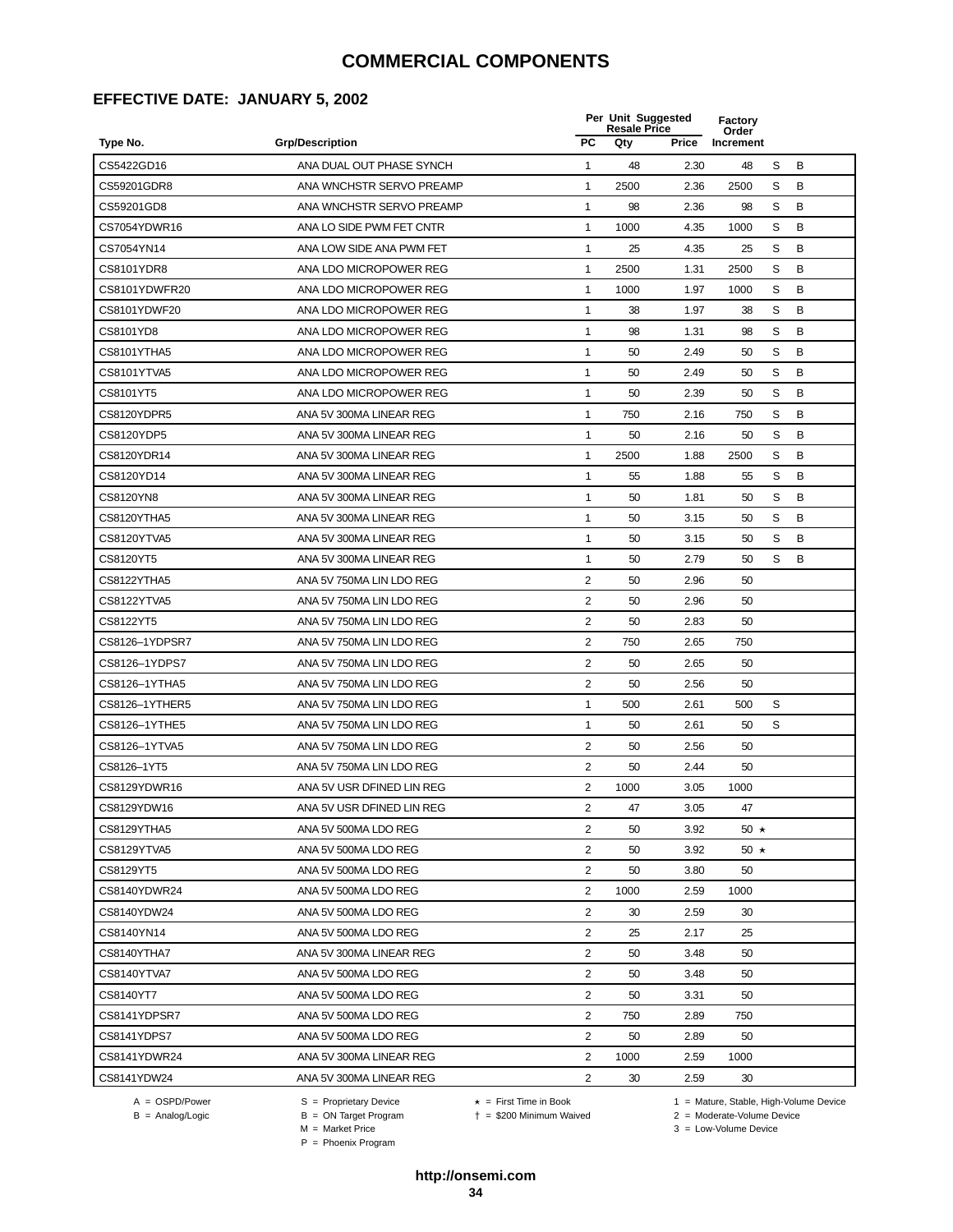#### **EFFECTIVE DATE: JANUARY 5, 2002**

|                                        |                                                                 |                                                                  | Per Unit Suggested<br><b>Resale Price</b> |       | <b>Factory</b>                                                                          |   |   |  |
|----------------------------------------|-----------------------------------------------------------------|------------------------------------------------------------------|-------------------------------------------|-------|-----------------------------------------------------------------------------------------|---|---|--|
| Type No.                               | <b>Grp/Description</b>                                          | <b>PC</b>                                                        | Qty                                       | Price | Order<br>Increment                                                                      |   |   |  |
| CS5422GD16                             | ANA DUAL OUT PHASE SYNCH                                        | $\mathbf{1}$                                                     | 48                                        | 2.30  | 48                                                                                      | S | B |  |
| CS59201GDR8                            | ANA WNCHSTR SERVO PREAMP                                        | 1                                                                | 2500                                      | 2.36  | 2500                                                                                    | S | B |  |
| CS59201GD8                             | ANA WNCHSTR SERVO PREAMP                                        | 1                                                                | 98                                        | 2.36  | 98                                                                                      | S | В |  |
| CS7054YDWR16                           | ANA LO SIDE PWM FET CNTR                                        | 1                                                                | 1000                                      | 4.35  | 1000                                                                                    | S | B |  |
| CS7054YN14                             | ANA LOW SIDE ANA PWM FET                                        | 1                                                                | 25                                        | 4.35  | 25                                                                                      | S | В |  |
| CS8101YDR8                             | ANA LDO MICROPOWER REG                                          | 1                                                                | 2500                                      | 1.31  | 2500                                                                                    | S | B |  |
| CS8101YDWFR20                          | ANA LDO MICROPOWER REG                                          | $\mathbf{1}$                                                     | 1000                                      | 1.97  | 1000                                                                                    | S | B |  |
| CS8101YDWF20                           | ANA LDO MICROPOWER REG                                          | $\mathbf{1}$                                                     | 38                                        | 1.97  | 38                                                                                      | S | B |  |
| CS8101YD8                              | ANA LDO MICROPOWER REG                                          | 1                                                                | 98                                        | 1.31  | 98                                                                                      | S | B |  |
| CS8101YTHA5                            | ANA LDO MICROPOWER REG                                          | $\mathbf{1}$                                                     | 50                                        | 2.49  | 50                                                                                      | S | B |  |
| CS8101YTVA5                            | ANA LDO MICROPOWER REG                                          | $\mathbf{1}$                                                     | 50                                        | 2.49  | 50                                                                                      | S | B |  |
| CS8101YT5                              | ANA LDO MICROPOWER REG                                          | 1                                                                | 50                                        | 2.39  | 50                                                                                      | S | В |  |
| CS8120YDPR5                            | ANA 5V 300MA LINEAR REG                                         | 1                                                                | 750                                       | 2.16  | 750                                                                                     | S | B |  |
| CS8120YDP5                             | ANA 5V 300MA LINEAR REG                                         | 1                                                                | 50                                        | 2.16  | 50                                                                                      | S | B |  |
| CS8120YDR14                            | ANA 5V 300MA LINEAR REG                                         | 1                                                                | 2500                                      | 1.88  | 2500                                                                                    | S | B |  |
| CS8120YD14                             | ANA 5V 300MA LINEAR REG                                         | $\mathbf{1}$                                                     | 55                                        | 1.88  | 55                                                                                      | S | B |  |
| CS8120YN8                              | ANA 5V 300MA LINEAR REG                                         | 1                                                                | 50                                        | 1.81  | 50                                                                                      | S | B |  |
| CS8120YTHA5                            | ANA 5V 300MA LINEAR REG                                         | $\mathbf{1}$                                                     | 50                                        | 3.15  | 50                                                                                      | S | в |  |
| CS8120YTVA5                            | ANA 5V 300MA LINEAR REG                                         | 1                                                                | 50                                        | 3.15  | 50                                                                                      | S | B |  |
| CS8120YT5                              | ANA 5V 300MA LINEAR REG                                         | 1                                                                | 50                                        | 2.79  | 50                                                                                      | S | B |  |
| CS8122YTHA5                            | ANA 5V 750MA LIN LDO REG                                        | $\overline{2}$                                                   | 50                                        | 2.96  | 50                                                                                      |   |   |  |
| CS8122YTVA5                            | ANA 5V 750MA LIN LDO REG                                        | $\overline{2}$                                                   | 50                                        | 2.96  | 50                                                                                      |   |   |  |
| CS8122YT5                              | ANA 5V 750MA LIN LDO REG                                        | 2                                                                | 50                                        | 2.83  | 50                                                                                      |   |   |  |
| CS8126-1YDPSR7                         | ANA 5V 750MA LIN LDO REG                                        | 2                                                                | 750                                       | 2.65  | 750                                                                                     |   |   |  |
| CS8126-1YDPS7                          | ANA 5V 750MA LIN LDO REG                                        | $\overline{2}$                                                   | 50                                        | 2.65  | 50                                                                                      |   |   |  |
| CS8126-1YTHA5                          | ANA 5V 750MA LIN LDO REG                                        | $\overline{2}$                                                   | 50                                        | 2.56  | 50                                                                                      |   |   |  |
| CS8126-1YTHER5                         | ANA 5V 750MA LIN LDO REG                                        | $\mathbf{1}$                                                     | 500                                       | 2.61  | 500                                                                                     | S |   |  |
| CS8126-1YTHE5                          | ANA 5V 750MA LIN LDO REG                                        | 1                                                                | 50                                        | 2.61  | 50                                                                                      | S |   |  |
| CS8126-1YTVA5                          | ANA 5V 750MA LIN LDO REG                                        | 2                                                                | 50                                        | 2.56  | 50                                                                                      |   |   |  |
| CS8126-1YT5                            | ANA 5V 750MA LIN LDO REG                                        | $\overline{2}$                                                   | 50                                        | 2.44  | 50                                                                                      |   |   |  |
| CS8129YDWR16                           | ANA 5V USR DFINED LIN REG                                       | $\overline{2}$                                                   | 1000                                      | 3.05  | 1000                                                                                    |   |   |  |
| CS8129YDW16                            | ANA 5V USR DFINED LIN REG                                       | $\overline{\mathbf{c}}$                                          | 47                                        | 3.05  | 47                                                                                      |   |   |  |
| CS8129YTHA5                            | ANA 5V 500MA LDO REG                                            | $\overline{2}$                                                   | 50                                        | 3.92  | $50 \star$                                                                              |   |   |  |
| CS8129YTVA5                            | ANA 5V 500MA LDO REG                                            | $\overline{2}$                                                   | 50                                        | 3.92  | 50 $\star$                                                                              |   |   |  |
| CS8129YT5                              | ANA 5V 500MA LDO REG                                            | $\overline{2}$                                                   | 50                                        | 3.80  | 50                                                                                      |   |   |  |
| CS8140YDWR24                           | ANA 5V 500MA LDO REG                                            | 2                                                                | 1000                                      | 2.59  | 1000                                                                                    |   |   |  |
| CS8140YDW24                            | ANA 5V 500MA LDO REG                                            | 2                                                                | 30                                        | 2.59  | 30                                                                                      |   |   |  |
| CS8140YN14                             | ANA 5V 500MA LDO REG                                            | 2                                                                | 25                                        | 2.17  | 25                                                                                      |   |   |  |
| CS8140YTHA7                            | ANA 5V 300MA LINEAR REG                                         | $\overline{2}$                                                   | 50                                        | 3.48  | 50                                                                                      |   |   |  |
| CS8140YTVA7                            | ANA 5V 500MA LDO REG                                            | $\overline{2}$                                                   | 50                                        | 3.48  | 50                                                                                      |   |   |  |
| CS8140YT7                              | ANA 5V 500MA LDO REG                                            | $\overline{2}$                                                   | 50                                        | 3.31  | 50                                                                                      |   |   |  |
| CS8141YDPSR7                           | ANA 5V 500MA LDO REG                                            | $\overline{2}$                                                   | 750                                       | 2.89  | 750                                                                                     |   |   |  |
| CS8141YDPS7                            | ANA 5V 500MA LDO REG                                            | $\overline{2}$                                                   | 50                                        | 2.89  | 50                                                                                      |   |   |  |
| CS8141YDWR24                           | ANA 5V 300MA LINEAR REG                                         | 2                                                                | 1000                                      | 2.59  | 1000                                                                                    |   |   |  |
| CS8141YDW24                            | ANA 5V 300MA LINEAR REG                                         | 2                                                                | 30                                        | 2.59  | 30                                                                                      |   |   |  |
| $A =$ OSPD/Power<br>$B =$ Analog/Logic | S = Proprietary Device<br>B = ON Target Program<br>Morket Drick | $\star$ = First Time in Book<br>$\dagger$ = \$200 Minimum Waived |                                           |       | 1 = Mature, Stable, High-Volume Device<br>2 = Moderate-Volume Device<br>ou Volumn Dovic |   |   |  |

-<br>B = ON Target Program<br>M = Market Price

 $2 =$  Moderate-Volume Device  $3 =$  Low-Volume Device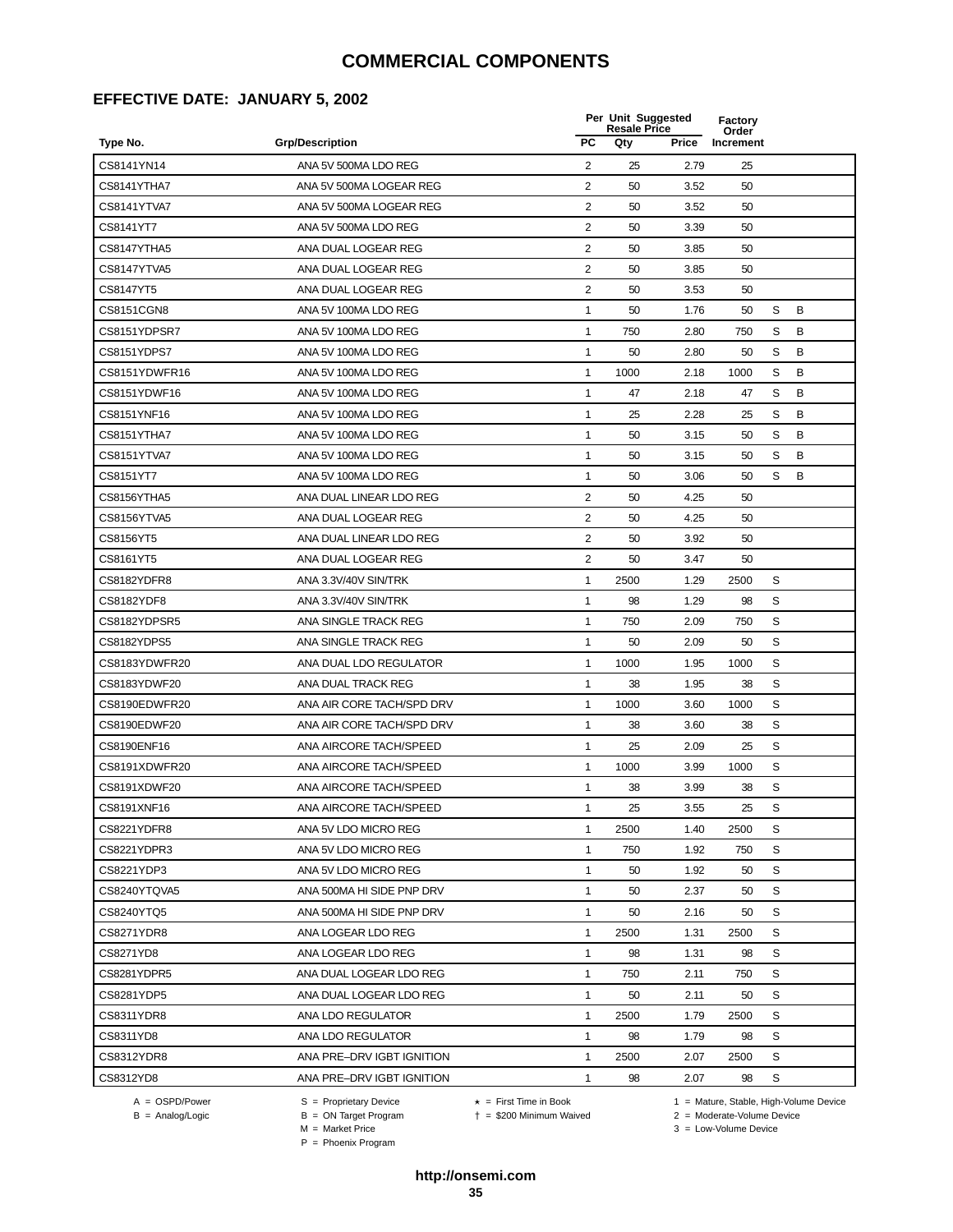#### **EFFECTIVE DATE: JANUARY 5, 2002**

|               |                           |                | Per Unit Suggested<br><b>Resale Price</b> |       |                    |   |   |
|---------------|---------------------------|----------------|-------------------------------------------|-------|--------------------|---|---|
| Type No.      | <b>Grp/Description</b>    | <b>PC</b>      | Qty                                       | Price | Order<br>Increment |   |   |
| CS8141YN14    | ANA 5V 500MA LDO REG      | $\overline{2}$ | 25                                        | 2.79  | 25                 |   |   |
| CS8141YTHA7   | ANA 5V 500MA LOGEAR REG   | 2              | 50                                        | 3.52  | 50                 |   |   |
| CS8141YTVA7   | ANA 5V 500MA LOGEAR REG   | 2              | 50                                        | 3.52  | 50                 |   |   |
| CS8141YT7     | ANA 5V 500MA LDO REG      | $\overline{2}$ | 50                                        | 3.39  | 50                 |   |   |
| CS8147YTHA5   | ANA DUAL LOGEAR REG       | $\sqrt{2}$     | 50                                        | 3.85  | 50                 |   |   |
| CS8147YTVA5   | ANA DUAL LOGEAR REG       | 2              | 50                                        | 3.85  | 50                 |   |   |
| CS8147YT5     | ANA DUAL LOGEAR REG       | $\overline{2}$ | 50                                        | 3.53  | 50                 |   |   |
| CS8151CGN8    | ANA 5V 100MA LDO REG      | 1              | 50                                        | 1.76  | 50                 | S | В |
| CS8151YDPSR7  | ANA 5V 100MA LDO REG      | $\mathbf{1}$   | 750                                       | 2.80  | 750                | S | в |
| CS8151YDPS7   | ANA 5V 100MA LDO REG      | 1              | 50                                        | 2.80  | 50                 | S | B |
| CS8151YDWFR16 | ANA 5V 100MA LDO REG      | 1              | 1000                                      | 2.18  | 1000               | S | B |
| CS8151YDWF16  | ANA 5V 100MA LDO REG      | 1              | 47                                        | 2.18  | 47                 | S | В |
| CS8151YNF16   | ANA 5V 100MA LDO REG      | 1              | 25                                        | 2.28  | 25                 | S | В |
| CS8151YTHA7   | ANA 5V 100MA LDO REG      | 1              | 50                                        | 3.15  | 50                 | S | В |
| CS8151YTVA7   | ANA 5V 100MA LDO REG      | 1              | 50                                        | 3.15  | 50                 | S | B |
| CS8151YT7     | ANA 5V 100MA LDO REG      | 1              | 50                                        | 3.06  | 50                 | S | B |
| CS8156YTHA5   | ANA DUAL LINEAR LDO REG   | 2              | 50                                        | 4.25  | 50                 |   |   |
| CS8156YTVA5   | ANA DUAL LOGEAR REG       | 2              | 50                                        | 4.25  | 50                 |   |   |
| CS8156YT5     | ANA DUAL LINEAR LDO REG   | 2              | 50                                        | 3.92  | 50                 |   |   |
| CS8161YT5     | ANA DUAL LOGEAR REG       | 2              | 50                                        | 3.47  | 50                 |   |   |
| CS8182YDFR8   | ANA 3.3V/40V SIN/TRK      | 1              | 2500                                      | 1.29  | 2500               | S |   |
| CS8182YDF8    | ANA 3.3V/40V SIN/TRK      | 1              | 98                                        | 1.29  | 98                 | S |   |
| CS8182YDPSR5  | ANA SINGLE TRACK REG      | 1              | 750                                       | 2.09  | 750                | S |   |
| CS8182YDPS5   | ANA SINGLE TRACK REG      | $\mathbf{1}$   | 50                                        | 2.09  | 50                 | S |   |
| CS8183YDWFR20 | ANA DUAL LDO REGULATOR    | $\mathbf{1}$   | 1000                                      | 1.95  | 1000               | S |   |
| CS8183YDWF20  | ANA DUAL TRACK REG        | $\mathbf{1}$   | 38                                        | 1.95  | 38                 | S |   |
| CS8190EDWFR20 | ANA AIR CORE TACH/SPD DRV | 1              | 1000                                      | 3.60  | 1000               | S |   |
| CS8190EDWF20  | ANA AIR CORE TACH/SPD DRV | 1              | 38                                        | 3.60  | 38                 | S |   |
| CS8190ENF16   | ANA AIRCORE TACH/SPEED    | 1              | 25                                        | 2.09  | 25                 | S |   |
| CS8191XDWFR20 | ANA AIRCORE TACH/SPEED    | 1              | 1000                                      | 3.99  | 1000               | S |   |
| CS8191XDWF20  | ANA AIRCORE TACH/SPEED    | 1              | 38                                        | 3.99  | 38                 | S |   |
| CS8191XNF16   | ANA AIRCORE TACH/SPEED    | 1              | 25                                        | 3.55  | 25                 | S |   |
| CS8221YDFR8   | ANA 5V LDO MICRO REG      | $\mathbf{1}$   | 2500                                      | 1.40  | 2500               | S |   |
| CS8221YDPR3   | ANA 5V LDO MICRO REG      | 1              | 750                                       | 1.92  | 750                | S |   |
| CS8221YDP3    | ANA 5V LDO MICRO REG      | $\mathbf{1}$   | 50                                        | 1.92  | 50                 | S |   |
| CS8240YTQVA5  | ANA 500MA HI SIDE PNP DRV | 1              | 50                                        | 2.37  | 50                 | S |   |
| CS8240YTQ5    | ANA 500MA HI SIDE PNP DRV | 1              | 50                                        | 2.16  | 50                 | S |   |
| CS8271YDR8    | ANA LOGEAR LDO REG        | 1              | 2500                                      | 1.31  | 2500               | S |   |
| CS8271YD8     | ANA LOGEAR LDO REG        | 1              | 98                                        | 1.31  | 98                 | S |   |
| CS8281YDPR5   | ANA DUAL LOGEAR LDO REG   | 1              | 750                                       | 2.11  | 750                | S |   |
| CS8281YDP5    | ANA DUAL LOGEAR LDO REG   | $\mathbf{1}$   | 50                                        | 2.11  | 50                 | S |   |
| CS8311YDR8    | ANA LDO REGULATOR         | 1              | 2500                                      | 1.79  | 2500               | S |   |
| CS8311YD8     | ANA LDO REGULATOR         | $\mathbf{1}$   | 98                                        | 1.79  | 98                 | S |   |
| CS8312YDR8    | ANA PRE-DRV IGBT IGNITION | $\mathbf{1}$   | 2500                                      | 2.07  | 2500               | S |   |
| CS8312YD8     | ANA PRE-DRV IGBT IGNITION | 1              | 98                                        | 2.07  | 98                 | S |   |

 $B = \text{Analog/Logic}$ <br>B = ON Target Program<br> $M = \text{Market Price}$ 

A = OSPD/Power S = Proprietary Device  $\star$  = First Time in Book 1 = Mature, Stable, High-Volume Device

 = \$200 Minimum Waived 2 = Moderate-Volume Device  $3 =$  Low-Volume Device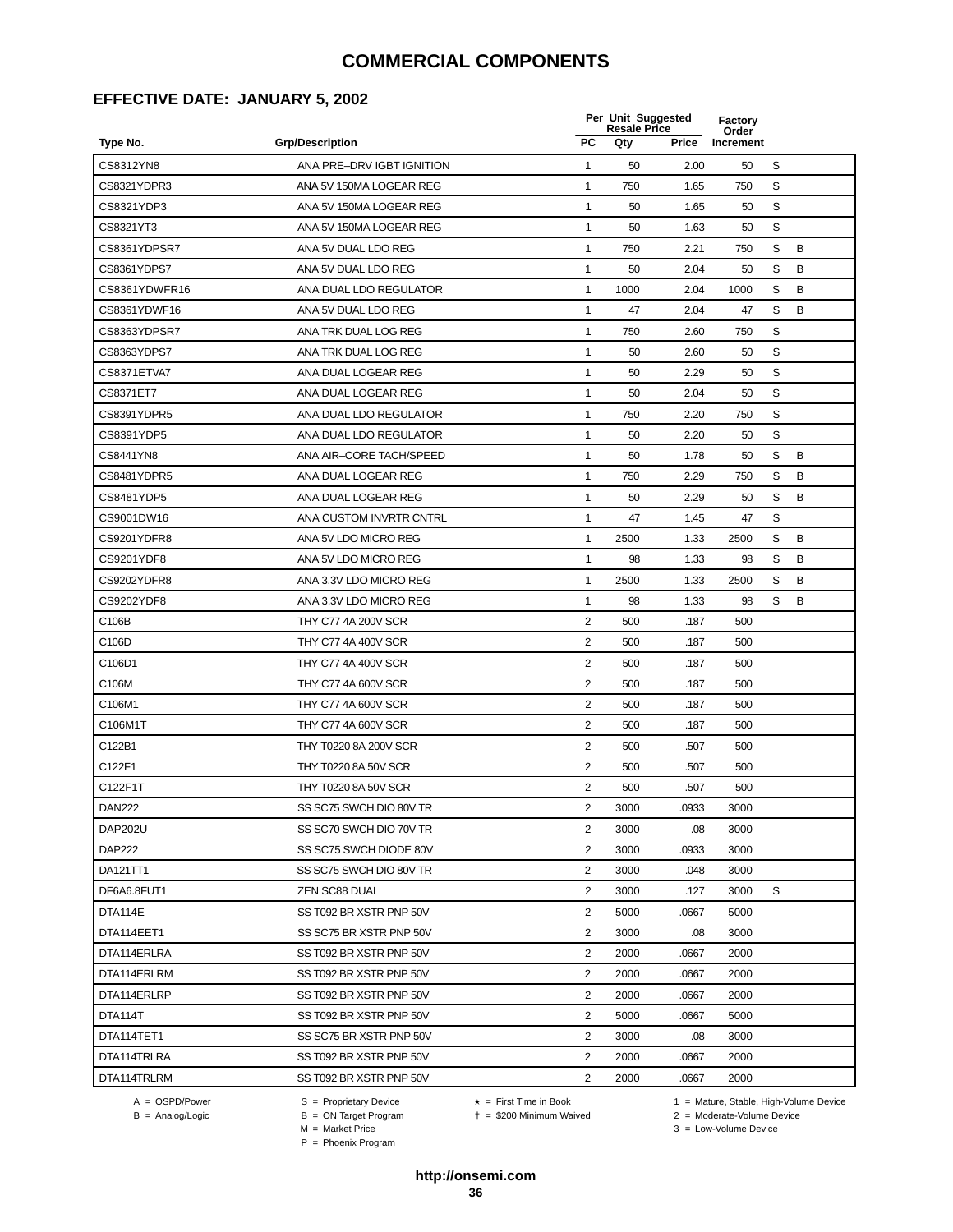#### **EFFECTIVE DATE: JANUARY 5, 2002**

| <b>PC</b><br>Type No.<br><b>Grp/Description</b><br>Qty<br>Price<br>Increment<br>CS8312YN8<br>ANA PRE-DRV IGBT IGNITION<br>S<br>$\mathbf{1}$<br>50<br>2.00<br>50<br>S<br>CS8321YDPR3<br>ANA 5V 150MA LOGEAR REG<br>1<br>750<br>1.65<br>750<br>S<br>50<br>CS8321YDP3<br>ANA 5V 150MA LOGEAR REG<br>1<br>1.65<br>50<br>S<br>CS8321YT3<br>ANA 5V 150MA LOGEAR REG<br>1<br>50<br>1.63<br>50<br>S<br>CS8361YDPSR7<br>B<br>ANA 5V DUAL LDO REG<br>1<br>750<br>2.21<br>750<br>S<br>B<br>CS8361YDPS7<br>ANA 5V DUAL LDO REG<br>1<br>50<br>2.04<br>50<br>$\mathbf{1}$<br>S<br>В<br>CS8361YDWFR16<br>ANA DUAL LDO REGULATOR<br>1000<br>2.04<br>1000<br>CS8361YDWF16<br>ANA 5V DUAL LDO REG<br>$\mathbf{1}$<br>47<br>S<br>B<br>2.04<br>47<br>$\mathbf{1}$<br>S<br>CS8363YDPSR7<br>ANA TRK DUAL LOG REG<br>750<br>2.60<br>750<br>CS8363YDPS7<br>S<br>ANA TRK DUAL LOG REG<br>1<br>50<br>2.60<br>50<br>S<br>CS8371ETVA7<br>ANA DUAL LOGEAR REG<br>1<br>50<br>2.29<br>50<br>S<br>50<br>CS8371ET7<br>ANA DUAL LOGEAR REG<br>1<br>2.04<br>50<br>S<br>1<br>CS8391YDPR5<br>ANA DUAL LDO REGULATOR<br>750<br>2.20<br>750<br>S<br>CS8391YDP5<br>ANA DUAL LDO REGULATOR<br>1<br>50<br>2.20<br>50<br>S<br>В<br>ANA AIR-CORE TACH/SPEED<br>CS8441YN8<br>1<br>50<br>1.78<br>50<br>2.29<br>S<br>В<br>CS8481YDPR5<br>ANA DUAL LOGEAR REG<br>1<br>750<br>750<br>$\mathbf{1}$<br>S<br>В<br>CS8481YDP5<br>ANA DUAL LOGEAR REG<br>50<br>2.29<br>50<br>CS9001DW16<br>1<br>S<br>ANA CUSTOM INVRTR CNTRL<br>47<br>1.45<br>47<br>CS9201YDFR8<br>ANA 5V LDO MICRO REG<br>S<br>B<br>1<br>2500<br>1.33<br>2500<br>98<br>S<br>B<br>CS9201YDF8<br>ANA 5V LDO MICRO REG<br>1<br>1.33<br>98<br>S<br>В<br>CS9202YDFR8<br>ANA 3.3V LDO MICRO REG<br>1<br>2500<br>1.33<br>2500<br>S<br>B<br>CS9202YDF8<br>ANA 3.3V LDO MICRO REG<br>1<br>98<br>1.33<br>98<br>C106B<br>$\overline{2}$<br>THY C77 4A 200V SCR<br>500<br>.187<br>500<br>C106D<br>2<br>THY C77 4A 400V SCR<br>500<br>.187<br>500<br>2<br>C106D1<br>THY C77 4A 400V SCR<br>500<br>.187<br>500<br>2<br>C106M<br>THY C77 4A 600V SCR<br>500<br>.187<br>500<br>C106M1<br>2<br>THY C77 4A 600V SCR<br>500<br>500<br>.187<br>C106M1T<br>THY C77 4A 600V SCR<br>$\overline{2}$<br>500<br>.187<br>500<br>C122B1<br>THY T0220 8A 200V SCR<br>2<br>500<br>.507<br>500<br>$\overline{2}$<br>C122F1<br>THY T0220 8A 50V SCR<br>500<br>.507<br>500<br>$\overline{2}$<br>C122F1T<br>THY T0220 8A 50V SCR<br>500<br>.507<br>500<br><b>DAN222</b><br>$\overline{\mathbf{c}}$<br>3000<br>.0933<br>3000<br>SS SC75 SWCH DIO 80V TR<br>2<br><b>DAP202U</b><br>SS SC70 SWCH DIO 70V TR<br>3000<br>.08<br>3000<br><b>DAP222</b><br>SS SC75 SWCH DIODE 80V<br>2<br>3000<br>.0933<br>3000<br>$\overline{2}$<br>3000<br>.048<br>3000<br>DA121TT1<br>SS SC75 SWCH DIO 80V TR<br>2<br>S<br>DF6A6.8FUT1<br>3000<br>.127<br>3000<br><b>ZEN SC88 DUAL</b><br>$\overline{2}$<br>DTA114E<br>SS T092 BR XSTR PNP 50V<br>5000<br>.0667<br>5000<br>SS SC75 BR XSTR PNP 50V<br>2<br>3000<br>.08<br>3000<br>DTA114EET1<br>$\overline{2}$<br>DTA114ERLRA<br>SS T092 BR XSTR PNP 50V<br>2000<br>.0667<br>2000<br>2<br>SS T092 BR XSTR PNP 50V<br>2000<br>.0667<br>2000<br>DTA114ERLRM<br>$\overline{2}$<br>DTA114ERLRP<br>2000<br>2000<br>SS T092 BR XSTR PNP 50V<br>.0667<br>2<br>DTA114T<br>SS T092 BR XSTR PNP 50V<br>5000<br>5000<br>.0667<br>2<br>SS SC75 BR XSTR PNP 50V<br>3000<br>.08<br>3000<br>DTA114TET1<br>$\overline{2}$<br>2000<br>2000<br>DTA114TRLRA<br>SS T092 BR XSTR PNP 50V<br>.0667<br>2<br>DTA114TRLRM<br>SS T092 BR XSTR PNP 50V<br>2000<br>2000<br>.0667 |  | Per Unit Suggested<br><b>Resale Price</b> |  |       |  |  |
|-----------------------------------------------------------------------------------------------------------------------------------------------------------------------------------------------------------------------------------------------------------------------------------------------------------------------------------------------------------------------------------------------------------------------------------------------------------------------------------------------------------------------------------------------------------------------------------------------------------------------------------------------------------------------------------------------------------------------------------------------------------------------------------------------------------------------------------------------------------------------------------------------------------------------------------------------------------------------------------------------------------------------------------------------------------------------------------------------------------------------------------------------------------------------------------------------------------------------------------------------------------------------------------------------------------------------------------------------------------------------------------------------------------------------------------------------------------------------------------------------------------------------------------------------------------------------------------------------------------------------------------------------------------------------------------------------------------------------------------------------------------------------------------------------------------------------------------------------------------------------------------------------------------------------------------------------------------------------------------------------------------------------------------------------------------------------------------------------------------------------------------------------------------------------------------------------------------------------------------------------------------------------------------------------------------------------------------------------------------------------------------------------------------------------------------------------------------------------------------------------------------------------------------------------------------------------------------------------------------------------------------------------------------------------------------------------------------------------------------------------------------------------------------------------------------------------------------------------------------------------------------------------------------------------------------------------------------------------------------------------------------------------------------------------------------------------------------------------------------------------------------------------------------------------------------------------------------------------------------------------------------------------------------------------------------------------------------------------------------------------------------------------------------------------------------------------------------------------------------------------------------------------------------------------------------|--|-------------------------------------------|--|-------|--|--|
|                                                                                                                                                                                                                                                                                                                                                                                                                                                                                                                                                                                                                                                                                                                                                                                                                                                                                                                                                                                                                                                                                                                                                                                                                                                                                                                                                                                                                                                                                                                                                                                                                                                                                                                                                                                                                                                                                                                                                                                                                                                                                                                                                                                                                                                                                                                                                                                                                                                                                                                                                                                                                                                                                                                                                                                                                                                                                                                                                                                                                                                                                                                                                                                                                                                                                                                                                                                                                                                                                                                                                           |  |                                           |  | Order |  |  |
|                                                                                                                                                                                                                                                                                                                                                                                                                                                                                                                                                                                                                                                                                                                                                                                                                                                                                                                                                                                                                                                                                                                                                                                                                                                                                                                                                                                                                                                                                                                                                                                                                                                                                                                                                                                                                                                                                                                                                                                                                                                                                                                                                                                                                                                                                                                                                                                                                                                                                                                                                                                                                                                                                                                                                                                                                                                                                                                                                                                                                                                                                                                                                                                                                                                                                                                                                                                                                                                                                                                                                           |  |                                           |  |       |  |  |
|                                                                                                                                                                                                                                                                                                                                                                                                                                                                                                                                                                                                                                                                                                                                                                                                                                                                                                                                                                                                                                                                                                                                                                                                                                                                                                                                                                                                                                                                                                                                                                                                                                                                                                                                                                                                                                                                                                                                                                                                                                                                                                                                                                                                                                                                                                                                                                                                                                                                                                                                                                                                                                                                                                                                                                                                                                                                                                                                                                                                                                                                                                                                                                                                                                                                                                                                                                                                                                                                                                                                                           |  |                                           |  |       |  |  |
|                                                                                                                                                                                                                                                                                                                                                                                                                                                                                                                                                                                                                                                                                                                                                                                                                                                                                                                                                                                                                                                                                                                                                                                                                                                                                                                                                                                                                                                                                                                                                                                                                                                                                                                                                                                                                                                                                                                                                                                                                                                                                                                                                                                                                                                                                                                                                                                                                                                                                                                                                                                                                                                                                                                                                                                                                                                                                                                                                                                                                                                                                                                                                                                                                                                                                                                                                                                                                                                                                                                                                           |  |                                           |  |       |  |  |
|                                                                                                                                                                                                                                                                                                                                                                                                                                                                                                                                                                                                                                                                                                                                                                                                                                                                                                                                                                                                                                                                                                                                                                                                                                                                                                                                                                                                                                                                                                                                                                                                                                                                                                                                                                                                                                                                                                                                                                                                                                                                                                                                                                                                                                                                                                                                                                                                                                                                                                                                                                                                                                                                                                                                                                                                                                                                                                                                                                                                                                                                                                                                                                                                                                                                                                                                                                                                                                                                                                                                                           |  |                                           |  |       |  |  |
|                                                                                                                                                                                                                                                                                                                                                                                                                                                                                                                                                                                                                                                                                                                                                                                                                                                                                                                                                                                                                                                                                                                                                                                                                                                                                                                                                                                                                                                                                                                                                                                                                                                                                                                                                                                                                                                                                                                                                                                                                                                                                                                                                                                                                                                                                                                                                                                                                                                                                                                                                                                                                                                                                                                                                                                                                                                                                                                                                                                                                                                                                                                                                                                                                                                                                                                                                                                                                                                                                                                                                           |  |                                           |  |       |  |  |
|                                                                                                                                                                                                                                                                                                                                                                                                                                                                                                                                                                                                                                                                                                                                                                                                                                                                                                                                                                                                                                                                                                                                                                                                                                                                                                                                                                                                                                                                                                                                                                                                                                                                                                                                                                                                                                                                                                                                                                                                                                                                                                                                                                                                                                                                                                                                                                                                                                                                                                                                                                                                                                                                                                                                                                                                                                                                                                                                                                                                                                                                                                                                                                                                                                                                                                                                                                                                                                                                                                                                                           |  |                                           |  |       |  |  |
|                                                                                                                                                                                                                                                                                                                                                                                                                                                                                                                                                                                                                                                                                                                                                                                                                                                                                                                                                                                                                                                                                                                                                                                                                                                                                                                                                                                                                                                                                                                                                                                                                                                                                                                                                                                                                                                                                                                                                                                                                                                                                                                                                                                                                                                                                                                                                                                                                                                                                                                                                                                                                                                                                                                                                                                                                                                                                                                                                                                                                                                                                                                                                                                                                                                                                                                                                                                                                                                                                                                                                           |  |                                           |  |       |  |  |
|                                                                                                                                                                                                                                                                                                                                                                                                                                                                                                                                                                                                                                                                                                                                                                                                                                                                                                                                                                                                                                                                                                                                                                                                                                                                                                                                                                                                                                                                                                                                                                                                                                                                                                                                                                                                                                                                                                                                                                                                                                                                                                                                                                                                                                                                                                                                                                                                                                                                                                                                                                                                                                                                                                                                                                                                                                                                                                                                                                                                                                                                                                                                                                                                                                                                                                                                                                                                                                                                                                                                                           |  |                                           |  |       |  |  |
|                                                                                                                                                                                                                                                                                                                                                                                                                                                                                                                                                                                                                                                                                                                                                                                                                                                                                                                                                                                                                                                                                                                                                                                                                                                                                                                                                                                                                                                                                                                                                                                                                                                                                                                                                                                                                                                                                                                                                                                                                                                                                                                                                                                                                                                                                                                                                                                                                                                                                                                                                                                                                                                                                                                                                                                                                                                                                                                                                                                                                                                                                                                                                                                                                                                                                                                                                                                                                                                                                                                                                           |  |                                           |  |       |  |  |
|                                                                                                                                                                                                                                                                                                                                                                                                                                                                                                                                                                                                                                                                                                                                                                                                                                                                                                                                                                                                                                                                                                                                                                                                                                                                                                                                                                                                                                                                                                                                                                                                                                                                                                                                                                                                                                                                                                                                                                                                                                                                                                                                                                                                                                                                                                                                                                                                                                                                                                                                                                                                                                                                                                                                                                                                                                                                                                                                                                                                                                                                                                                                                                                                                                                                                                                                                                                                                                                                                                                                                           |  |                                           |  |       |  |  |
|                                                                                                                                                                                                                                                                                                                                                                                                                                                                                                                                                                                                                                                                                                                                                                                                                                                                                                                                                                                                                                                                                                                                                                                                                                                                                                                                                                                                                                                                                                                                                                                                                                                                                                                                                                                                                                                                                                                                                                                                                                                                                                                                                                                                                                                                                                                                                                                                                                                                                                                                                                                                                                                                                                                                                                                                                                                                                                                                                                                                                                                                                                                                                                                                                                                                                                                                                                                                                                                                                                                                                           |  |                                           |  |       |  |  |
|                                                                                                                                                                                                                                                                                                                                                                                                                                                                                                                                                                                                                                                                                                                                                                                                                                                                                                                                                                                                                                                                                                                                                                                                                                                                                                                                                                                                                                                                                                                                                                                                                                                                                                                                                                                                                                                                                                                                                                                                                                                                                                                                                                                                                                                                                                                                                                                                                                                                                                                                                                                                                                                                                                                                                                                                                                                                                                                                                                                                                                                                                                                                                                                                                                                                                                                                                                                                                                                                                                                                                           |  |                                           |  |       |  |  |
|                                                                                                                                                                                                                                                                                                                                                                                                                                                                                                                                                                                                                                                                                                                                                                                                                                                                                                                                                                                                                                                                                                                                                                                                                                                                                                                                                                                                                                                                                                                                                                                                                                                                                                                                                                                                                                                                                                                                                                                                                                                                                                                                                                                                                                                                                                                                                                                                                                                                                                                                                                                                                                                                                                                                                                                                                                                                                                                                                                                                                                                                                                                                                                                                                                                                                                                                                                                                                                                                                                                                                           |  |                                           |  |       |  |  |
|                                                                                                                                                                                                                                                                                                                                                                                                                                                                                                                                                                                                                                                                                                                                                                                                                                                                                                                                                                                                                                                                                                                                                                                                                                                                                                                                                                                                                                                                                                                                                                                                                                                                                                                                                                                                                                                                                                                                                                                                                                                                                                                                                                                                                                                                                                                                                                                                                                                                                                                                                                                                                                                                                                                                                                                                                                                                                                                                                                                                                                                                                                                                                                                                                                                                                                                                                                                                                                                                                                                                                           |  |                                           |  |       |  |  |
|                                                                                                                                                                                                                                                                                                                                                                                                                                                                                                                                                                                                                                                                                                                                                                                                                                                                                                                                                                                                                                                                                                                                                                                                                                                                                                                                                                                                                                                                                                                                                                                                                                                                                                                                                                                                                                                                                                                                                                                                                                                                                                                                                                                                                                                                                                                                                                                                                                                                                                                                                                                                                                                                                                                                                                                                                                                                                                                                                                                                                                                                                                                                                                                                                                                                                                                                                                                                                                                                                                                                                           |  |                                           |  |       |  |  |
|                                                                                                                                                                                                                                                                                                                                                                                                                                                                                                                                                                                                                                                                                                                                                                                                                                                                                                                                                                                                                                                                                                                                                                                                                                                                                                                                                                                                                                                                                                                                                                                                                                                                                                                                                                                                                                                                                                                                                                                                                                                                                                                                                                                                                                                                                                                                                                                                                                                                                                                                                                                                                                                                                                                                                                                                                                                                                                                                                                                                                                                                                                                                                                                                                                                                                                                                                                                                                                                                                                                                                           |  |                                           |  |       |  |  |
|                                                                                                                                                                                                                                                                                                                                                                                                                                                                                                                                                                                                                                                                                                                                                                                                                                                                                                                                                                                                                                                                                                                                                                                                                                                                                                                                                                                                                                                                                                                                                                                                                                                                                                                                                                                                                                                                                                                                                                                                                                                                                                                                                                                                                                                                                                                                                                                                                                                                                                                                                                                                                                                                                                                                                                                                                                                                                                                                                                                                                                                                                                                                                                                                                                                                                                                                                                                                                                                                                                                                                           |  |                                           |  |       |  |  |
|                                                                                                                                                                                                                                                                                                                                                                                                                                                                                                                                                                                                                                                                                                                                                                                                                                                                                                                                                                                                                                                                                                                                                                                                                                                                                                                                                                                                                                                                                                                                                                                                                                                                                                                                                                                                                                                                                                                                                                                                                                                                                                                                                                                                                                                                                                                                                                                                                                                                                                                                                                                                                                                                                                                                                                                                                                                                                                                                                                                                                                                                                                                                                                                                                                                                                                                                                                                                                                                                                                                                                           |  |                                           |  |       |  |  |
|                                                                                                                                                                                                                                                                                                                                                                                                                                                                                                                                                                                                                                                                                                                                                                                                                                                                                                                                                                                                                                                                                                                                                                                                                                                                                                                                                                                                                                                                                                                                                                                                                                                                                                                                                                                                                                                                                                                                                                                                                                                                                                                                                                                                                                                                                                                                                                                                                                                                                                                                                                                                                                                                                                                                                                                                                                                                                                                                                                                                                                                                                                                                                                                                                                                                                                                                                                                                                                                                                                                                                           |  |                                           |  |       |  |  |
|                                                                                                                                                                                                                                                                                                                                                                                                                                                                                                                                                                                                                                                                                                                                                                                                                                                                                                                                                                                                                                                                                                                                                                                                                                                                                                                                                                                                                                                                                                                                                                                                                                                                                                                                                                                                                                                                                                                                                                                                                                                                                                                                                                                                                                                                                                                                                                                                                                                                                                                                                                                                                                                                                                                                                                                                                                                                                                                                                                                                                                                                                                                                                                                                                                                                                                                                                                                                                                                                                                                                                           |  |                                           |  |       |  |  |
|                                                                                                                                                                                                                                                                                                                                                                                                                                                                                                                                                                                                                                                                                                                                                                                                                                                                                                                                                                                                                                                                                                                                                                                                                                                                                                                                                                                                                                                                                                                                                                                                                                                                                                                                                                                                                                                                                                                                                                                                                                                                                                                                                                                                                                                                                                                                                                                                                                                                                                                                                                                                                                                                                                                                                                                                                                                                                                                                                                                                                                                                                                                                                                                                                                                                                                                                                                                                                                                                                                                                                           |  |                                           |  |       |  |  |
|                                                                                                                                                                                                                                                                                                                                                                                                                                                                                                                                                                                                                                                                                                                                                                                                                                                                                                                                                                                                                                                                                                                                                                                                                                                                                                                                                                                                                                                                                                                                                                                                                                                                                                                                                                                                                                                                                                                                                                                                                                                                                                                                                                                                                                                                                                                                                                                                                                                                                                                                                                                                                                                                                                                                                                                                                                                                                                                                                                                                                                                                                                                                                                                                                                                                                                                                                                                                                                                                                                                                                           |  |                                           |  |       |  |  |
|                                                                                                                                                                                                                                                                                                                                                                                                                                                                                                                                                                                                                                                                                                                                                                                                                                                                                                                                                                                                                                                                                                                                                                                                                                                                                                                                                                                                                                                                                                                                                                                                                                                                                                                                                                                                                                                                                                                                                                                                                                                                                                                                                                                                                                                                                                                                                                                                                                                                                                                                                                                                                                                                                                                                                                                                                                                                                                                                                                                                                                                                                                                                                                                                                                                                                                                                                                                                                                                                                                                                                           |  |                                           |  |       |  |  |
|                                                                                                                                                                                                                                                                                                                                                                                                                                                                                                                                                                                                                                                                                                                                                                                                                                                                                                                                                                                                                                                                                                                                                                                                                                                                                                                                                                                                                                                                                                                                                                                                                                                                                                                                                                                                                                                                                                                                                                                                                                                                                                                                                                                                                                                                                                                                                                                                                                                                                                                                                                                                                                                                                                                                                                                                                                                                                                                                                                                                                                                                                                                                                                                                                                                                                                                                                                                                                                                                                                                                                           |  |                                           |  |       |  |  |
|                                                                                                                                                                                                                                                                                                                                                                                                                                                                                                                                                                                                                                                                                                                                                                                                                                                                                                                                                                                                                                                                                                                                                                                                                                                                                                                                                                                                                                                                                                                                                                                                                                                                                                                                                                                                                                                                                                                                                                                                                                                                                                                                                                                                                                                                                                                                                                                                                                                                                                                                                                                                                                                                                                                                                                                                                                                                                                                                                                                                                                                                                                                                                                                                                                                                                                                                                                                                                                                                                                                                                           |  |                                           |  |       |  |  |
|                                                                                                                                                                                                                                                                                                                                                                                                                                                                                                                                                                                                                                                                                                                                                                                                                                                                                                                                                                                                                                                                                                                                                                                                                                                                                                                                                                                                                                                                                                                                                                                                                                                                                                                                                                                                                                                                                                                                                                                                                                                                                                                                                                                                                                                                                                                                                                                                                                                                                                                                                                                                                                                                                                                                                                                                                                                                                                                                                                                                                                                                                                                                                                                                                                                                                                                                                                                                                                                                                                                                                           |  |                                           |  |       |  |  |
|                                                                                                                                                                                                                                                                                                                                                                                                                                                                                                                                                                                                                                                                                                                                                                                                                                                                                                                                                                                                                                                                                                                                                                                                                                                                                                                                                                                                                                                                                                                                                                                                                                                                                                                                                                                                                                                                                                                                                                                                                                                                                                                                                                                                                                                                                                                                                                                                                                                                                                                                                                                                                                                                                                                                                                                                                                                                                                                                                                                                                                                                                                                                                                                                                                                                                                                                                                                                                                                                                                                                                           |  |                                           |  |       |  |  |
|                                                                                                                                                                                                                                                                                                                                                                                                                                                                                                                                                                                                                                                                                                                                                                                                                                                                                                                                                                                                                                                                                                                                                                                                                                                                                                                                                                                                                                                                                                                                                                                                                                                                                                                                                                                                                                                                                                                                                                                                                                                                                                                                                                                                                                                                                                                                                                                                                                                                                                                                                                                                                                                                                                                                                                                                                                                                                                                                                                                                                                                                                                                                                                                                                                                                                                                                                                                                                                                                                                                                                           |  |                                           |  |       |  |  |
|                                                                                                                                                                                                                                                                                                                                                                                                                                                                                                                                                                                                                                                                                                                                                                                                                                                                                                                                                                                                                                                                                                                                                                                                                                                                                                                                                                                                                                                                                                                                                                                                                                                                                                                                                                                                                                                                                                                                                                                                                                                                                                                                                                                                                                                                                                                                                                                                                                                                                                                                                                                                                                                                                                                                                                                                                                                                                                                                                                                                                                                                                                                                                                                                                                                                                                                                                                                                                                                                                                                                                           |  |                                           |  |       |  |  |
|                                                                                                                                                                                                                                                                                                                                                                                                                                                                                                                                                                                                                                                                                                                                                                                                                                                                                                                                                                                                                                                                                                                                                                                                                                                                                                                                                                                                                                                                                                                                                                                                                                                                                                                                                                                                                                                                                                                                                                                                                                                                                                                                                                                                                                                                                                                                                                                                                                                                                                                                                                                                                                                                                                                                                                                                                                                                                                                                                                                                                                                                                                                                                                                                                                                                                                                                                                                                                                                                                                                                                           |  |                                           |  |       |  |  |
|                                                                                                                                                                                                                                                                                                                                                                                                                                                                                                                                                                                                                                                                                                                                                                                                                                                                                                                                                                                                                                                                                                                                                                                                                                                                                                                                                                                                                                                                                                                                                                                                                                                                                                                                                                                                                                                                                                                                                                                                                                                                                                                                                                                                                                                                                                                                                                                                                                                                                                                                                                                                                                                                                                                                                                                                                                                                                                                                                                                                                                                                                                                                                                                                                                                                                                                                                                                                                                                                                                                                                           |  |                                           |  |       |  |  |
|                                                                                                                                                                                                                                                                                                                                                                                                                                                                                                                                                                                                                                                                                                                                                                                                                                                                                                                                                                                                                                                                                                                                                                                                                                                                                                                                                                                                                                                                                                                                                                                                                                                                                                                                                                                                                                                                                                                                                                                                                                                                                                                                                                                                                                                                                                                                                                                                                                                                                                                                                                                                                                                                                                                                                                                                                                                                                                                                                                                                                                                                                                                                                                                                                                                                                                                                                                                                                                                                                                                                                           |  |                                           |  |       |  |  |
|                                                                                                                                                                                                                                                                                                                                                                                                                                                                                                                                                                                                                                                                                                                                                                                                                                                                                                                                                                                                                                                                                                                                                                                                                                                                                                                                                                                                                                                                                                                                                                                                                                                                                                                                                                                                                                                                                                                                                                                                                                                                                                                                                                                                                                                                                                                                                                                                                                                                                                                                                                                                                                                                                                                                                                                                                                                                                                                                                                                                                                                                                                                                                                                                                                                                                                                                                                                                                                                                                                                                                           |  |                                           |  |       |  |  |
|                                                                                                                                                                                                                                                                                                                                                                                                                                                                                                                                                                                                                                                                                                                                                                                                                                                                                                                                                                                                                                                                                                                                                                                                                                                                                                                                                                                                                                                                                                                                                                                                                                                                                                                                                                                                                                                                                                                                                                                                                                                                                                                                                                                                                                                                                                                                                                                                                                                                                                                                                                                                                                                                                                                                                                                                                                                                                                                                                                                                                                                                                                                                                                                                                                                                                                                                                                                                                                                                                                                                                           |  |                                           |  |       |  |  |
|                                                                                                                                                                                                                                                                                                                                                                                                                                                                                                                                                                                                                                                                                                                                                                                                                                                                                                                                                                                                                                                                                                                                                                                                                                                                                                                                                                                                                                                                                                                                                                                                                                                                                                                                                                                                                                                                                                                                                                                                                                                                                                                                                                                                                                                                                                                                                                                                                                                                                                                                                                                                                                                                                                                                                                                                                                                                                                                                                                                                                                                                                                                                                                                                                                                                                                                                                                                                                                                                                                                                                           |  |                                           |  |       |  |  |
|                                                                                                                                                                                                                                                                                                                                                                                                                                                                                                                                                                                                                                                                                                                                                                                                                                                                                                                                                                                                                                                                                                                                                                                                                                                                                                                                                                                                                                                                                                                                                                                                                                                                                                                                                                                                                                                                                                                                                                                                                                                                                                                                                                                                                                                                                                                                                                                                                                                                                                                                                                                                                                                                                                                                                                                                                                                                                                                                                                                                                                                                                                                                                                                                                                                                                                                                                                                                                                                                                                                                                           |  |                                           |  |       |  |  |
|                                                                                                                                                                                                                                                                                                                                                                                                                                                                                                                                                                                                                                                                                                                                                                                                                                                                                                                                                                                                                                                                                                                                                                                                                                                                                                                                                                                                                                                                                                                                                                                                                                                                                                                                                                                                                                                                                                                                                                                                                                                                                                                                                                                                                                                                                                                                                                                                                                                                                                                                                                                                                                                                                                                                                                                                                                                                                                                                                                                                                                                                                                                                                                                                                                                                                                                                                                                                                                                                                                                                                           |  |                                           |  |       |  |  |
|                                                                                                                                                                                                                                                                                                                                                                                                                                                                                                                                                                                                                                                                                                                                                                                                                                                                                                                                                                                                                                                                                                                                                                                                                                                                                                                                                                                                                                                                                                                                                                                                                                                                                                                                                                                                                                                                                                                                                                                                                                                                                                                                                                                                                                                                                                                                                                                                                                                                                                                                                                                                                                                                                                                                                                                                                                                                                                                                                                                                                                                                                                                                                                                                                                                                                                                                                                                                                                                                                                                                                           |  |                                           |  |       |  |  |
|                                                                                                                                                                                                                                                                                                                                                                                                                                                                                                                                                                                                                                                                                                                                                                                                                                                                                                                                                                                                                                                                                                                                                                                                                                                                                                                                                                                                                                                                                                                                                                                                                                                                                                                                                                                                                                                                                                                                                                                                                                                                                                                                                                                                                                                                                                                                                                                                                                                                                                                                                                                                                                                                                                                                                                                                                                                                                                                                                                                                                                                                                                                                                                                                                                                                                                                                                                                                                                                                                                                                                           |  |                                           |  |       |  |  |
|                                                                                                                                                                                                                                                                                                                                                                                                                                                                                                                                                                                                                                                                                                                                                                                                                                                                                                                                                                                                                                                                                                                                                                                                                                                                                                                                                                                                                                                                                                                                                                                                                                                                                                                                                                                                                                                                                                                                                                                                                                                                                                                                                                                                                                                                                                                                                                                                                                                                                                                                                                                                                                                                                                                                                                                                                                                                                                                                                                                                                                                                                                                                                                                                                                                                                                                                                                                                                                                                                                                                                           |  |                                           |  |       |  |  |
|                                                                                                                                                                                                                                                                                                                                                                                                                                                                                                                                                                                                                                                                                                                                                                                                                                                                                                                                                                                                                                                                                                                                                                                                                                                                                                                                                                                                                                                                                                                                                                                                                                                                                                                                                                                                                                                                                                                                                                                                                                                                                                                                                                                                                                                                                                                                                                                                                                                                                                                                                                                                                                                                                                                                                                                                                                                                                                                                                                                                                                                                                                                                                                                                                                                                                                                                                                                                                                                                                                                                                           |  |                                           |  |       |  |  |
|                                                                                                                                                                                                                                                                                                                                                                                                                                                                                                                                                                                                                                                                                                                                                                                                                                                                                                                                                                                                                                                                                                                                                                                                                                                                                                                                                                                                                                                                                                                                                                                                                                                                                                                                                                                                                                                                                                                                                                                                                                                                                                                                                                                                                                                                                                                                                                                                                                                                                                                                                                                                                                                                                                                                                                                                                                                                                                                                                                                                                                                                                                                                                                                                                                                                                                                                                                                                                                                                                                                                                           |  |                                           |  |       |  |  |
|                                                                                                                                                                                                                                                                                                                                                                                                                                                                                                                                                                                                                                                                                                                                                                                                                                                                                                                                                                                                                                                                                                                                                                                                                                                                                                                                                                                                                                                                                                                                                                                                                                                                                                                                                                                                                                                                                                                                                                                                                                                                                                                                                                                                                                                                                                                                                                                                                                                                                                                                                                                                                                                                                                                                                                                                                                                                                                                                                                                                                                                                                                                                                                                                                                                                                                                                                                                                                                                                                                                                                           |  |                                           |  |       |  |  |
|                                                                                                                                                                                                                                                                                                                                                                                                                                                                                                                                                                                                                                                                                                                                                                                                                                                                                                                                                                                                                                                                                                                                                                                                                                                                                                                                                                                                                                                                                                                                                                                                                                                                                                                                                                                                                                                                                                                                                                                                                                                                                                                                                                                                                                                                                                                                                                                                                                                                                                                                                                                                                                                                                                                                                                                                                                                                                                                                                                                                                                                                                                                                                                                                                                                                                                                                                                                                                                                                                                                                                           |  |                                           |  |       |  |  |
|                                                                                                                                                                                                                                                                                                                                                                                                                                                                                                                                                                                                                                                                                                                                                                                                                                                                                                                                                                                                                                                                                                                                                                                                                                                                                                                                                                                                                                                                                                                                                                                                                                                                                                                                                                                                                                                                                                                                                                                                                                                                                                                                                                                                                                                                                                                                                                                                                                                                                                                                                                                                                                                                                                                                                                                                                                                                                                                                                                                                                                                                                                                                                                                                                                                                                                                                                                                                                                                                                                                                                           |  |                                           |  |       |  |  |

 $B = \text{Analog/Logic}$ <br>B = ON Target Program<br> $M = \text{Market Price}$ 

= \$200 Minimum Waived 2 = Moderate-Volume Device

A = OSPD/Power S = Proprietary Device  $\star$  = First Time in Book 1 = Mature, Stable, High-Volume Device

 $3 =$  Low-Volume Device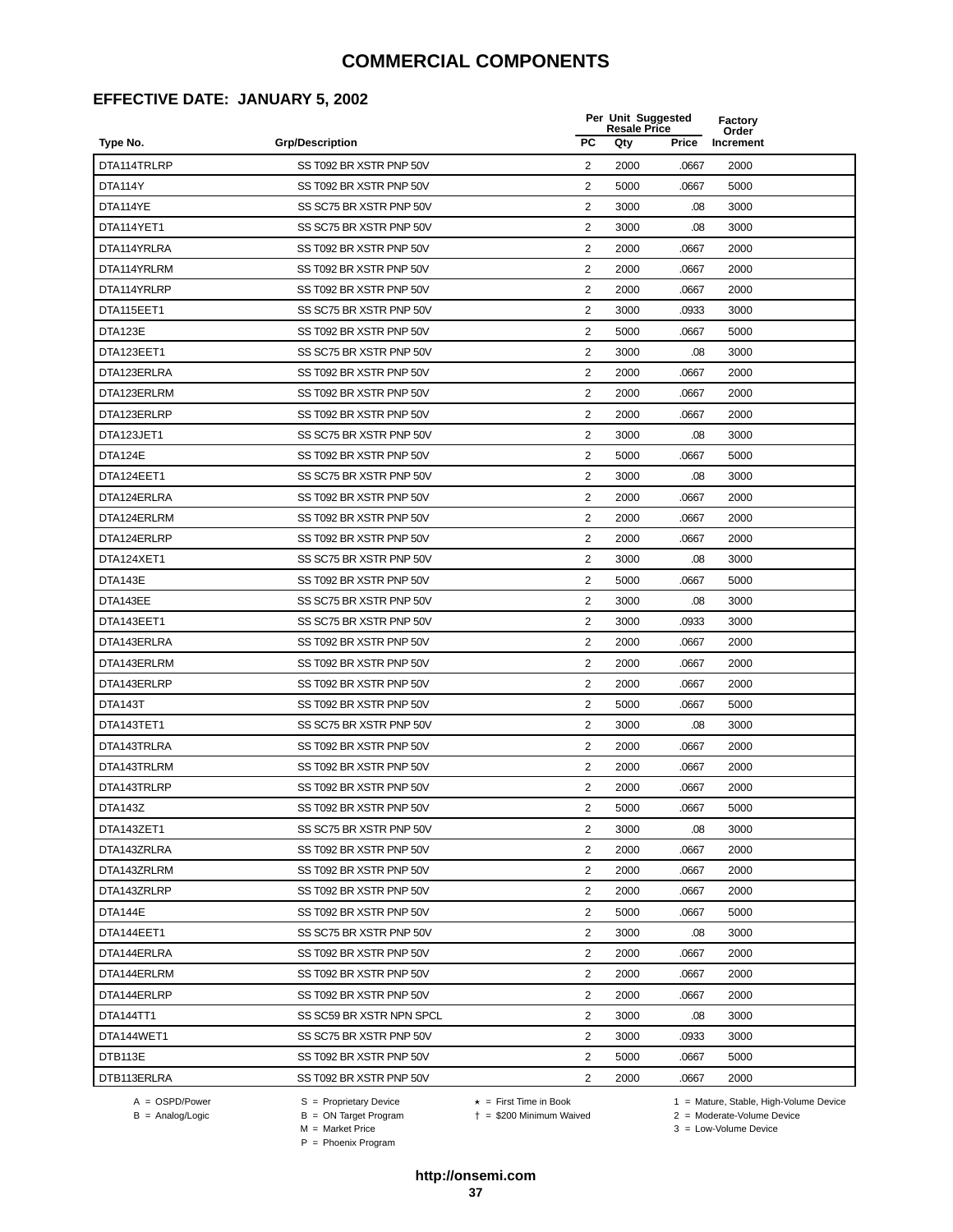### **EFFECTIVE DATE: JANUARY 5, 2002**

|             |                          |                | <b>Resale Price</b> | Per Unit Suggested | Factory<br>Order |
|-------------|--------------------------|----------------|---------------------|--------------------|------------------|
| Type No.    | <b>Grp/Description</b>   | <b>PC</b>      | Qty                 | <b>Price</b>       | Increment        |
| DTA114TRLRP | SS T092 BR XSTR PNP 50V  | $\overline{2}$ | 2000                | .0667              | 2000             |
| DTA114Y     | SS T092 BR XSTR PNP 50V  | 2              | 5000                | .0667              | 5000             |
| DTA114YE    | SS SC75 BR XSTR PNP 50V  | 2              | 3000                | .08                | 3000             |
| DTA114YET1  | SS SC75 BR XSTR PNP 50V  | $\overline{2}$ | 3000                | .08                | 3000             |
| DTA114YRLRA | SS T092 BR XSTR PNP 50V  | $\overline{2}$ | 2000                | .0667              | 2000             |
| DTA114YRLRM | SS T092 BR XSTR PNP 50V  | $\overline{2}$ | 2000                | .0667              | 2000             |
| DTA114YRLRP | SS T092 BR XSTR PNP 50V  | $\overline{2}$ | 2000                | .0667              | 2000             |
| DTA115EET1  | SS SC75 BR XSTR PNP 50V  | $\overline{2}$ | 3000                | .0933              | 3000             |
| DTA123E     | SS T092 BR XSTR PNP 50V  | 2              | 5000                | .0667              | 5000             |
| DTA123EET1  | SS SC75 BR XSTR PNP 50V  | $\overline{2}$ | 3000                | .08                | 3000             |
| DTA123ERLRA | SS T092 BR XSTR PNP 50V  | 2              | 2000                | .0667              | 2000             |
| DTA123ERLRM | SS T092 BR XSTR PNP 50V  | $\overline{2}$ | 2000                | .0667              | 2000             |
| DTA123ERLRP | SS T092 BR XSTR PNP 50V  | $\overline{2}$ | 2000                | .0667              | 2000             |
| DTA123JET1  | SS SC75 BR XSTR PNP 50V  | $\overline{2}$ | 3000                | .08                | 3000             |
| DTA124E     | SS T092 BR XSTR PNP 50V  | $\overline{2}$ | 5000                | .0667              | 5000             |
| DTA124EET1  | SS SC75 BR XSTR PNP 50V  | $\overline{2}$ | 3000                | .08                | 3000             |
| DTA124ERLRA | SS T092 BR XSTR PNP 50V  | $\overline{2}$ | 2000                | .0667              | 2000             |
| DTA124ERLRM | SS T092 BR XSTR PNP 50V  | 2              | 2000                | .0667              | 2000             |
| DTA124ERLRP | SS T092 BR XSTR PNP 50V  | $\overline{2}$ | 2000                | .0667              | 2000             |
| DTA124XET1  | SS SC75 BR XSTR PNP 50V  | 2              | 3000                | .08                | 3000             |
| DTA143E     | SS T092 BR XSTR PNP 50V  | 2              | 5000                | .0667              | 5000             |
| DTA143EE    | SS SC75 BR XSTR PNP 50V  | $\overline{2}$ | 3000                | .08                | 3000             |
| DTA143EET1  | SS SC75 BR XSTR PNP 50V  | $\overline{2}$ | 3000                | .0933              | 3000             |
| DTA143ERLRA | SS T092 BR XSTR PNP 50V  | $\overline{2}$ | 2000                | .0667              | 2000             |
| DTA143ERLRM | SS T092 BR XSTR PNP 50V  | $\overline{2}$ | 2000                | .0667              | 2000             |
| DTA143ERLRP | SS T092 BR XSTR PNP 50V  | 2              | 2000                | .0667              | 2000             |
| DTA143T     | SS T092 BR XSTR PNP 50V  | 2              | 5000                | .0667              | 5000             |
| DTA143TET1  | SS SC75 BR XSTR PNP 50V  | $\overline{2}$ | 3000                | .08                | 3000             |
| DTA143TRLRA | SS T092 BR XSTR PNP 50V  | 2              | 2000                | .0667              | 2000             |
| DTA143TRLRM | SS T092 BR XSTR PNP 50V  | 2              | 2000                | .0667              | 2000             |
| DTA143TRLRP | SS T092 BR XSTR PNP 50V  | $\overline{2}$ | 2000                | .0667              | 2000             |
| DTA143Z     | SS T092 BR XSTR PNP 50V  | 2              | 5000                | .0667              | 5000             |
| DTA143ZET1  | SS SC75 BR XSTR PNP 50V  | 2              | 3000                | .08                | 3000             |
| DTA143ZRLRA | SS T092 BR XSTR PNP 50V  | 2              | 2000                | .0667              | 2000             |
| DTA143ZRLRM | SS T092 BR XSTR PNP 50V  | $\overline{2}$ | 2000                | .0667              | 2000             |
| DTA143ZRLRP | SS T092 BR XSTR PNP 50V  | 2              | 2000                | .0667              | 2000             |
| DTA144E     | SS T092 BR XSTR PNP 50V  | $\overline{2}$ | 5000                | .0667              | 5000             |
| DTA144EET1  | SS SC75 BR XSTR PNP 50V  | 2              | 3000                | .08                | 3000             |
| DTA144ERLRA | SS T092 BR XSTR PNP 50V  | $\overline{2}$ | 2000                | .0667              | 2000             |
| DTA144ERLRM | SS T092 BR XSTR PNP 50V  | $\overline{2}$ | 2000                | .0667              | 2000             |
| DTA144ERLRP | SS T092 BR XSTR PNP 50V  | $\overline{2}$ | 2000                | .0667              | 2000             |
| DTA144TT1   | SS SC59 BR XSTR NPN SPCL | 2              | 3000                | .08                | 3000             |
| DTA144WET1  | SS SC75 BR XSTR PNP 50V  | 2              | 3000                | .0933              | 3000             |
| DTB113E     | SS T092 BR XSTR PNP 50V  | $\overline{2}$ | 5000                | .0667              | 5000             |
| DTB113ERLRA | SS T092 BR XSTR PNP 50V  | 2              | 2000                | .0667              | 2000             |
|             |                          |                |                     |                    |                  |

 $B =$  Analog/Logic  $B =$  ON Target Program  $M =$  Market Price

= \$200 Minimum Waived 2 = Moderate-Volume Device

A = OSPD/Power S = Proprietary Device  $\star$  = First Time in Book 1 = Mature, Stable, High-Volume Device

P = Phoenix Program

 $3 =$  Low-Volume Device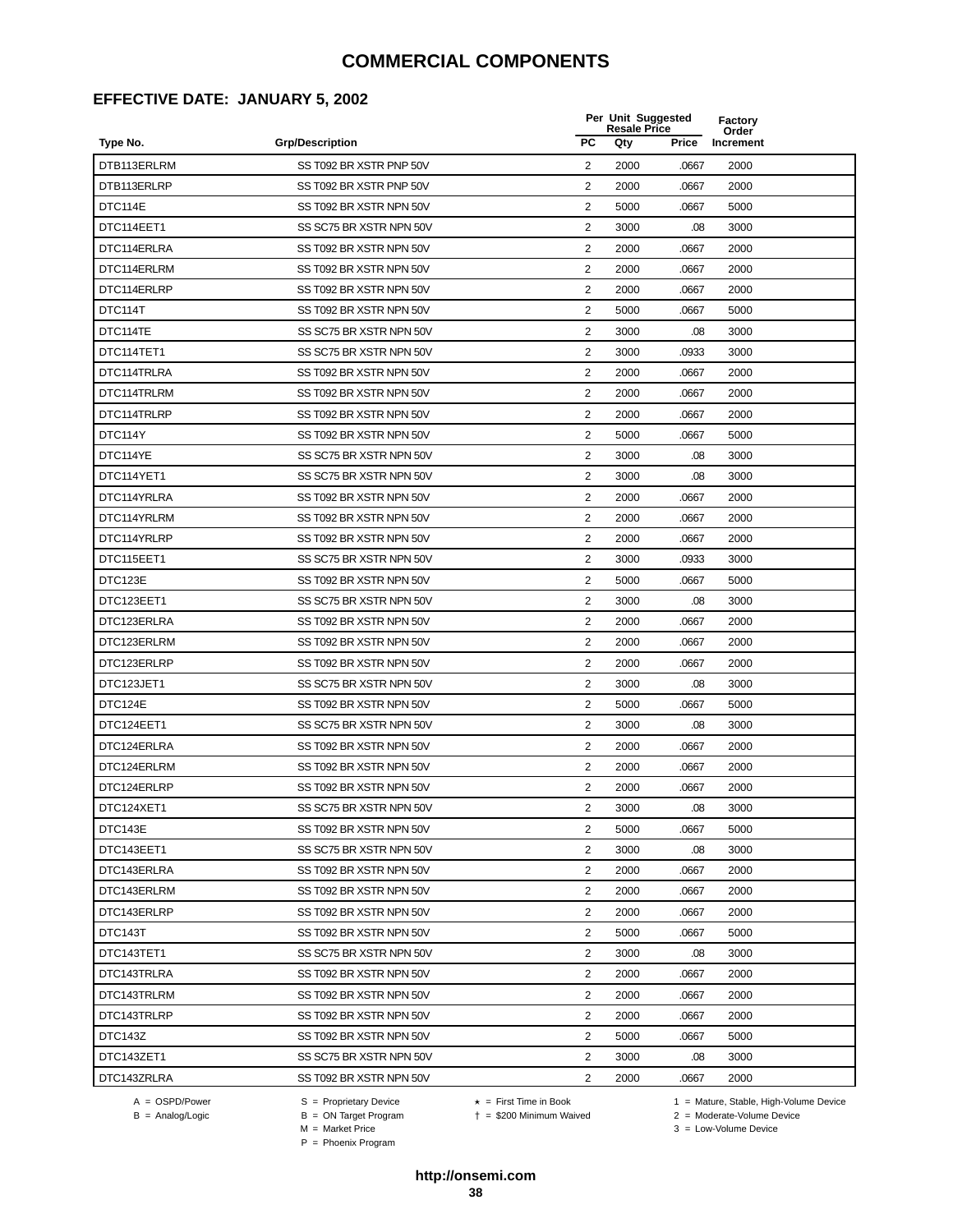### **EFFECTIVE DATE: JANUARY 5, 2002**

|             |                         |                | Per Unit Suggested<br><b>Resale Price</b> |              | Factory<br>Order |
|-------------|-------------------------|----------------|-------------------------------------------|--------------|------------------|
| Type No.    | <b>Grp/Description</b>  | <b>PC</b>      | Qty                                       | <b>Price</b> | Increment        |
| DTB113ERLRM | SS T092 BR XSTR PNP 50V | $\overline{2}$ | 2000                                      | .0667        | 2000             |
| DTB113ERLRP | SS T092 BR XSTR PNP 50V | 2              | 2000                                      | .0667        | 2000             |
| DTC114E     | SS T092 BR XSTR NPN 50V | $\overline{2}$ | 5000                                      | .0667        | 5000             |
| DTC114EET1  | SS SC75 BR XSTR NPN 50V | 2              | 3000                                      | .08          | 3000             |
| DTC114ERLRA | SS T092 BR XSTR NPN 50V | $\overline{2}$ | 2000                                      | .0667        | 2000             |
| DTC114ERLRM | SS T092 BR XSTR NPN 50V | 2              | 2000                                      | .0667        | 2000             |
| DTC114ERLRP | SS T092 BR XSTR NPN 50V | $\overline{2}$ | 2000                                      | .0667        | 2000             |
| DTC114T     | SS T092 BR XSTR NPN 50V | $\overline{2}$ | 5000                                      | .0667        | 5000             |
| DTC114TE    | SS SC75 BR XSTR NPN 50V | 2              | 3000                                      | .08          | 3000             |
| DTC114TET1  | SS SC75 BR XSTR NPN 50V | $\overline{2}$ | 3000                                      | .0933        | 3000             |
| DTC114TRLRA | SS T092 BR XSTR NPN 50V | 2              | 2000                                      | .0667        | 2000             |
| DTC114TRLRM | SS T092 BR XSTR NPN 50V | $\overline{2}$ | 2000                                      | .0667        | 2000             |
| DTC114TRLRP | SS T092 BR XSTR NPN 50V | $\overline{2}$ | 2000                                      | .0667        | 2000             |
| DTC114Y     | SS T092 BR XSTR NPN 50V | $\overline{2}$ | 5000                                      | .0667        | 5000             |
| DTC114YE    | SS SC75 BR XSTR NPN 50V | $\overline{2}$ | 3000                                      | .08          | 3000             |
| DTC114YET1  | SS SC75 BR XSTR NPN 50V | $\overline{2}$ | 3000                                      | .08          | 3000             |
| DTC114YRLRA | SS T092 BR XSTR NPN 50V | 2              | 2000                                      | .0667        | 2000             |
| DTC114YRLRM | SS T092 BR XSTR NPN 50V | $\overline{2}$ | 2000                                      | .0667        | 2000             |
| DTC114YRLRP | SS T092 BR XSTR NPN 50V | $\overline{2}$ | 2000                                      | .0667        | 2000             |
| DTC115EET1  | SS SC75 BR XSTR NPN 50V | 2              | 3000                                      | .0933        | 3000             |
| DTC123E     | SS T092 BR XSTR NPN 50V | 2              | 5000                                      | .0667        | 5000             |
| DTC123EET1  | SS SC75 BR XSTR NPN 50V | 2              | 3000                                      | .08          | 3000             |
| DTC123ERLRA | SS T092 BR XSTR NPN 50V | $\overline{2}$ | 2000                                      | .0667        | 2000             |
| DTC123ERLRM | SS T092 BR XSTR NPN 50V | $\overline{2}$ | 2000                                      | .0667        | 2000             |
| DTC123ERLRP | SS T092 BR XSTR NPN 50V | $\overline{2}$ | 2000                                      | .0667        | 2000             |
| DTC123JET1  | SS SC75 BR XSTR NPN 50V | 2              | 3000                                      | .08          | 3000             |
| DTC124E     | SS T092 BR XSTR NPN 50V | 2              | 5000                                      | .0667        | 5000             |
| DTC124EET1  | SS SC75 BR XSTR NPN 50V | $\overline{2}$ | 3000                                      | .08          | 3000             |
| DTC124ERLRA | SS T092 BR XSTR NPN 50V | 2              | 2000                                      | .0667        | 2000             |
| DTC124ERLRM | SS T092 BR XSTR NPN 50V | $\overline{2}$ | 2000                                      | .0667        | 2000             |
| DTC124ERLRP | SS T092 BR XSTR NPN 50V | $\overline{2}$ | 2000                                      | .0667        | 2000             |
| DTC124XET1  | SS SC75 BR XSTR NPN 50V | 2              | 3000                                      | .08          | 3000             |
| DTC143E     | SS T092 BR XSTR NPN 50V | 2              | 5000                                      | .0667        | 5000             |
| DTC143EET1  | SS SC75 BR XSTR NPN 50V | 2              | 3000                                      | .08          | 3000             |
| DTC143ERLRA | SS T092 BR XSTR NPN 50V | $\overline{2}$ | 2000                                      | .0667        | 2000             |
| DTC143ERLRM | SS T092 BR XSTR NPN 50V | 2              | 2000                                      | .0667        | 2000             |
| DTC143ERLRP | SS T092 BR XSTR NPN 50V | $\overline{2}$ | 2000                                      | .0667        | 2000             |
| DTC143T     | SS T092 BR XSTR NPN 50V | 2              | 5000                                      | .0667        | 5000             |
| DTC143TET1  | SS SC75 BR XSTR NPN 50V | 2              | 3000                                      | .08          | 3000             |
| DTC143TRLRA | SS T092 BR XSTR NPN 50V | $\overline{2}$ | 2000                                      | .0667        | 2000             |
| DTC143TRLRM | SS T092 BR XSTR NPN 50V | $\overline{2}$ | 2000                                      | .0667        | 2000             |
| DTC143TRLRP | SS T092 BR XSTR NPN 50V | $\overline{2}$ | 2000                                      | .0667        | 2000             |
| DTC143Z     | SS T092 BR XSTR NPN 50V | 2              | 5000                                      | .0667        | 5000             |
| DTC143ZET1  | SS SC75 BR XSTR NPN 50V | 2              | 3000                                      | .08          | 3000             |
| DTC143ZRLRA | SS T092 BR XSTR NPN 50V | 2              | 2000                                      | .0667        | 2000             |
|             |                         |                |                                           |              |                  |

 $B = \text{Analog/Logic}$ <br>B = ON Target Program<br> $M = \text{Market Price}$ 

A = OSPD/Power S = Proprietary Device  $\star$  = First Time in Book 1 = Mature, Stable, High-Volume Device

 = \$200 Minimum Waived 2 = Moderate-Volume Device  $3 =$  Low-Volume Device

P = Phoenix Program

**http://onsemi.com**

**38**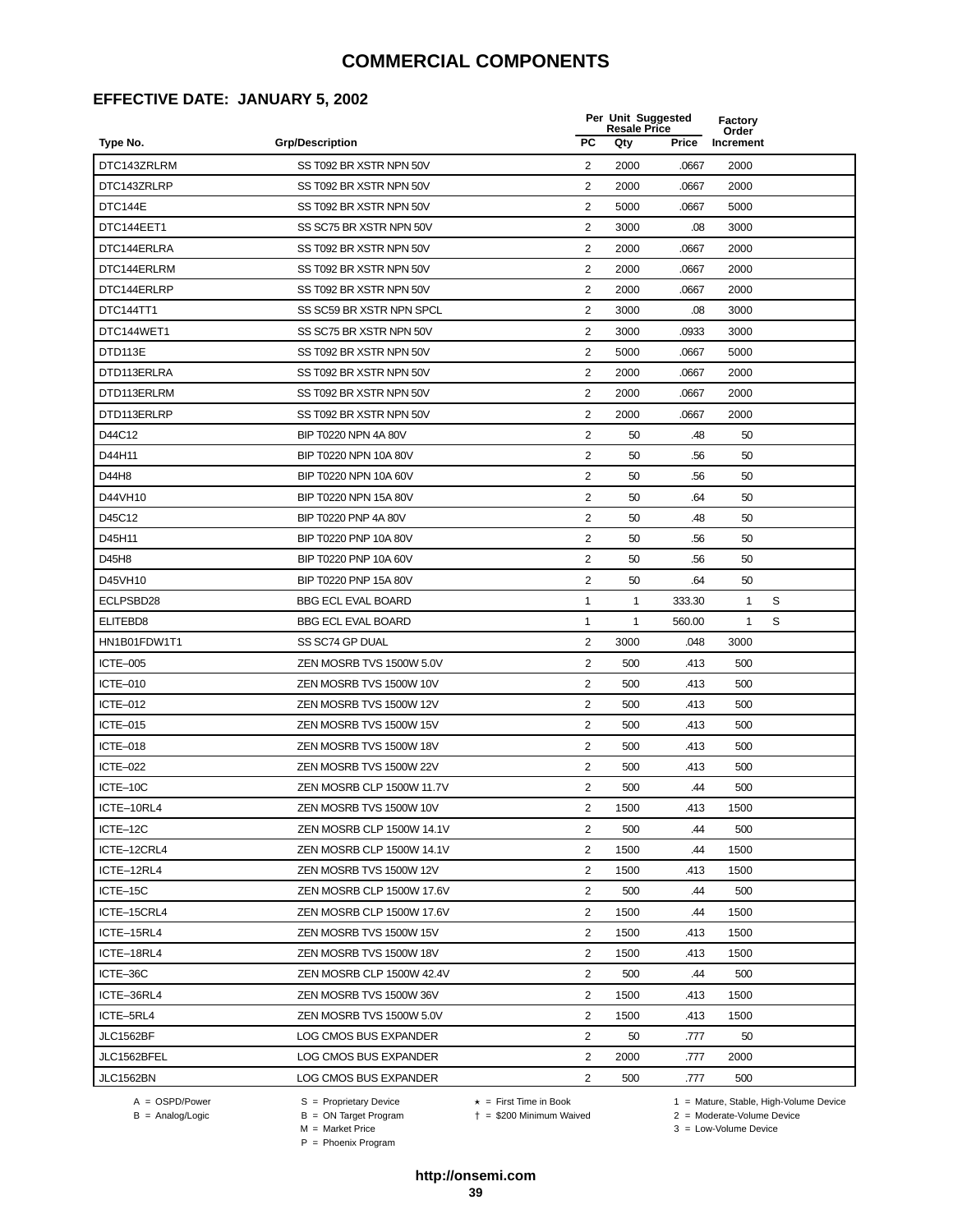#### **EFFECTIVE DATE: JANUARY 5, 2002**

|                  |                           |                         | <b>Resale Price</b> | Per Unit Suggested | Factory<br>Order |   |
|------------------|---------------------------|-------------------------|---------------------|--------------------|------------------|---|
| Type No.         | <b>Grp/Description</b>    | <b>PC</b>               | Qty                 | <b>Price</b>       | Increment        |   |
| DTC143ZRLRM      | SS T092 BR XSTR NPN 50V   | 2                       | 2000                | .0667              | 2000             |   |
| DTC143ZRLRP      | SS T092 BR XSTR NPN 50V   | 2                       | 2000                | .0667              | 2000             |   |
| DTC144E          | SS T092 BR XSTR NPN 50V   | 2                       | 5000                | .0667              | 5000             |   |
| DTC144EET1       | SS SC75 BR XSTR NPN 50V   | $\overline{2}$          | 3000                | .08                | 3000             |   |
| DTC144ERLRA      | SS T092 BR XSTR NPN 50V   | $\overline{\mathbf{c}}$ | 2000                | .0667              | 2000             |   |
| DTC144ERLRM      | SS T092 BR XSTR NPN 50V   | $\overline{2}$          | 2000                | .0667              | 2000             |   |
| DTC144ERLRP      | SS T092 BR XSTR NPN 50V   | $\overline{2}$          | 2000                | .0667              | 2000             |   |
| DTC144TT1        | SS SC59 BR XSTR NPN SPCL  | $\overline{2}$          | 3000                | .08                | 3000             |   |
| DTC144WET1       | SS SC75 BR XSTR NPN 50V   | 2                       | 3000                | .0933              | 3000             |   |
| DTD113E          | SS T092 BR XSTR NPN 50V   | 2                       | 5000                | .0667              | 5000             |   |
| DTD113ERLRA      | SS T092 BR XSTR NPN 50V   | 2                       | 2000                | .0667              | 2000             |   |
| DTD113ERLRM      | SS T092 BR XSTR NPN 50V   | 2                       | 2000                | .0667              | 2000             |   |
| DTD113ERLRP      | SS T092 BR XSTR NPN 50V   | $\overline{c}$          | 2000                | .0667              | 2000             |   |
| D44C12           | BIP T0220 NPN 4A 80V      | $\overline{c}$          | 50                  | .48                | 50               |   |
| D44H11           | BIP T0220 NPN 10A 80V     | $\overline{2}$          | 50                  | .56                | 50               |   |
| D44H8            | BIP T0220 NPN 10A 60V     | $\overline{2}$          | 50                  | .56                | 50               |   |
| D44VH10          | BIP T0220 NPN 15A 80V     | $\overline{2}$          | 50                  | .64                | 50               |   |
| D45C12           | BIP T0220 PNP 4A 80V      | $\overline{2}$          | 50                  | .48                | 50               |   |
| D45H11           | BIP T0220 PNP 10A 80V     | 2                       | 50                  | .56                | 50               |   |
| D45H8            | BIP T0220 PNP 10A 60V     | 2                       | 50                  | .56                | 50               |   |
| D45VH10          | BIP T0220 PNP 15A 80V     | 2                       | 50                  | .64                | 50               |   |
| ECLPSBD28        | <b>BBG ECL EVAL BOARD</b> | 1                       | 1                   | 333.30             | $\mathbf{1}$     | S |
| ELITEBD8         | <b>BBG ECL EVAL BOARD</b> | 1                       | 1                   | 560.00             | 1                | S |
| HN1B01FDW1T1     | SS SC74 GP DUAL           | $\overline{c}$          | 3000                | .048               | 3000             |   |
| ICTE-005         | ZEN MOSRB TVS 1500W 5.0V  | $\overline{2}$          | 500                 | .413               | 500              |   |
| ICTE-010         | ZEN MOSRB TVS 1500W 10V   | $\overline{2}$          | 500                 | .413               | 500              |   |
| ICTE-012         | ZEN MOSRB TVS 1500W 12V   | $\overline{c}$          | 500                 | .413               | 500              |   |
| ICTE-015         | ZEN MOSRB TVS 1500W 15V   | $\overline{2}$          | 500                 | .413               | 500              |   |
| ICTE-018         | ZEN MOSRB TVS 1500W 18V   | 2                       | 500                 | .413               | 500              |   |
| <b>ICTE-022</b>  | ZEN MOSRB TVS 1500W 22V   | 2                       | 500                 | .413               | 500              |   |
| ICTE-10C         | ZEN MOSRB CLP 1500W 11.7V | 2                       | 500                 | .44                | 500              |   |
| ICTE-10RL4       | ZEN MOSRB TVS 1500W 10V   | 2                       | 1500                | .413               | 1500             |   |
| ICTE-12C         | ZEN MOSRB CLP 1500W 14.1V | $\overline{2}$          | 500                 | .44                | 500              |   |
| ICTE-12CRL4      | ZEN MOSRB CLP 1500W 14.1V | 2                       | 1500                | .44                | 1500             |   |
| ICTE-12RL4       | ZEN MOSRB TVS 1500W 12V   | $\overline{2}$          | 1500                | .413               | 1500             |   |
| ICTE-15C         | ZEN MOSRB CLP 1500W 17.6V | 2                       | 500                 | .44                | 500              |   |
| ICTE-15CRL4      | ZEN MOSRB CLP 1500W 17.6V | 2                       | 1500                | .44                | 1500             |   |
| ICTE-15RL4       | ZEN MOSRB TVS 1500W 15V   | 2                       | 1500                | .413               | 1500             |   |
| ICTE-18RL4       | ZEN MOSRB TVS 1500W 18V   | $\overline{2}$          | 1500                | .413               | 1500             |   |
| ICTE-36C         | ZEN MOSRB CLP 1500W 42.4V | 2                       | 500                 | .44                | 500              |   |
| ICTE-36RL4       | ZEN MOSRB TVS 1500W 36V   | $\overline{2}$          | 1500                | .413               | 1500             |   |
| ICTE-5RL4        | ZEN MOSRB TVS 1500W 5.0V  | 2                       | 1500                | .413               | 1500             |   |
| JLC1562BF        | LOG CMOS BUS EXPANDER     | $\overline{2}$          | 50                  | .777               | 50               |   |
| JLC1562BFEL      | LOG CMOS BUS EXPANDER     | $\overline{2}$          | 2000                | .777               | 2000             |   |
| <b>JLC1562BN</b> | LOG CMOS BUS EXPANDER     | $\overline{2}$          | 500                 | .777               | 500              |   |

 $B = \text{Analog/Logic}$ <br>B = ON Target Program<br> $M = \text{Market Price}$ 

A = OSPD/Power S = Proprietary Device  $\star$  = First Time in Book 1 = Mature, Stable, High-Volume Device

 = \$200 Minimum Waived 2 = Moderate-Volume Device  $3 =$  Low-Volume Device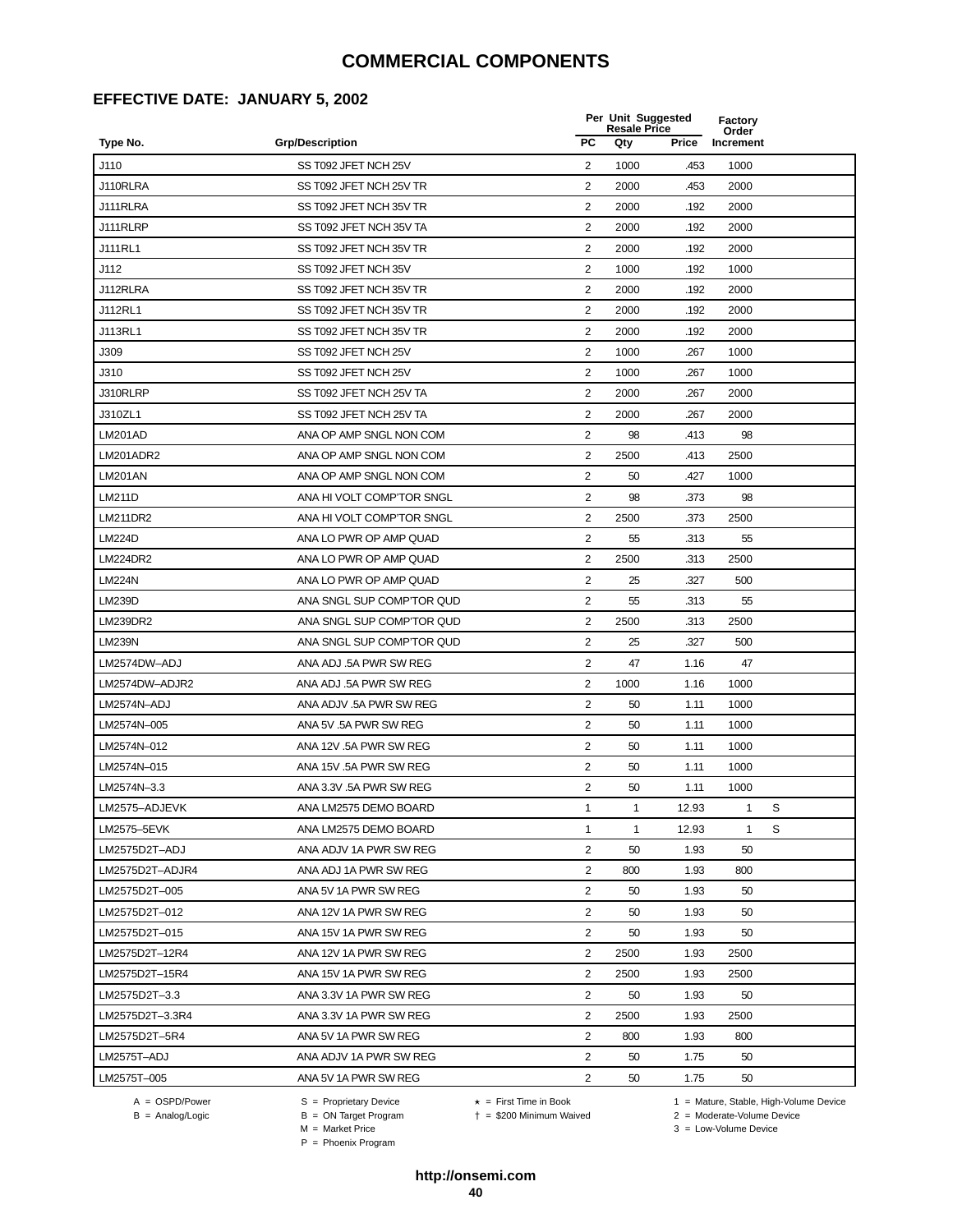## **EFFECTIVE DATE: JANUARY 5, 2002**

|                                        |                                                                 |                                                                  | Per Unit Suggested<br><b>Resale Price</b> |              | Factory<br>Order                              |                                        |
|----------------------------------------|-----------------------------------------------------------------|------------------------------------------------------------------|-------------------------------------------|--------------|-----------------------------------------------|----------------------------------------|
| Type No.                               | <b>Grp/Description</b>                                          | <b>PC</b>                                                        | Qty                                       | <b>Price</b> | Increment                                     |                                        |
| J110                                   | SS T092 JFET NCH 25V                                            | $\overline{2}$                                                   | 1000                                      | .453         | 1000                                          |                                        |
| J110RLRA                               | SS T092 JFET NCH 25V TR                                         | 2                                                                | 2000                                      | .453         | 2000                                          |                                        |
| J111RLRA                               | SS T092 JFET NCH 35V TR                                         | 2                                                                | 2000                                      | .192         | 2000                                          |                                        |
| J111RLRP                               | SS T092 JFET NCH 35V TA                                         | $\overline{2}$                                                   | 2000                                      | .192         | 2000                                          |                                        |
| J111RL1                                | SS T092 JFET NCH 35V TR                                         | $\overline{2}$                                                   | 2000                                      | .192         | 2000                                          |                                        |
| J112                                   | SS T092 JFET NCH 35V                                            | $\overline{2}$                                                   | 1000                                      | .192         | 1000                                          |                                        |
| J112RLRA                               | SS T092 JFET NCH 35V TR                                         | $\overline{2}$                                                   | 2000                                      | .192         | 2000                                          |                                        |
| J112RL1                                | SS T092 JFET NCH 35V TR                                         | 2                                                                | 2000                                      | .192         | 2000                                          |                                        |
| J113RL1                                | SS T092 JFET NCH 35V TR                                         | 2                                                                | 2000                                      | .192         | 2000                                          |                                        |
| J309                                   | SS T092 JFET NCH 25V                                            | $\overline{2}$                                                   | 1000                                      | .267         | 1000                                          |                                        |
| J310                                   | SS T092 JFET NCH 25V                                            | 2                                                                | 1000                                      | .267         | 1000                                          |                                        |
| J310RLRP                               | SS T092 JFET NCH 25V TA                                         | $\overline{2}$                                                   | 2000                                      | .267         | 2000                                          |                                        |
| J310ZL1                                | SS T092 JFET NCH 25V TA                                         | 2                                                                | 2000                                      | .267         | 2000                                          |                                        |
| <b>LM201AD</b>                         | ANA OP AMP SNGL NON COM                                         | $\overline{2}$                                                   | 98                                        | .413         | 98                                            |                                        |
| LM201ADR2                              | ANA OP AMP SNGL NON COM                                         | 2                                                                | 2500                                      | .413         | 2500                                          |                                        |
| <b>LM201AN</b>                         | ANA OP AMP SNGL NON COM                                         | $\overline{2}$                                                   | 50                                        | .427         | 1000                                          |                                        |
| <b>LM211D</b>                          | ANA HI VOLT COMP'TOR SNGL                                       | $\overline{2}$                                                   | 98                                        | .373         | 98                                            |                                        |
| LM211DR2                               | ANA HI VOLT COMP'TOR SNGL                                       | $\overline{\mathbf{c}}$                                          | 2500                                      | .373         | 2500                                          |                                        |
| <b>LM224D</b>                          | ANA LO PWR OP AMP QUAD                                          | $\overline{2}$                                                   | 55                                        | .313         | 55                                            |                                        |
| <b>LM224DR2</b>                        | ANA LO PWR OP AMP QUAD                                          | 2                                                                | 2500                                      | .313         | 2500                                          |                                        |
| <b>LM224N</b>                          | ANA LO PWR OP AMP QUAD                                          | 2                                                                | 25                                        | .327         | 500                                           |                                        |
| LM239D                                 | ANA SNGL SUP COMP'TOR QUD                                       | $\overline{2}$                                                   | 55                                        | .313         | 55                                            |                                        |
| <b>LM239DR2</b>                        | ANA SNGL SUP COMP'TOR QUD                                       | $\overline{2}$                                                   | 2500                                      | .313         | 2500                                          |                                        |
| <b>LM239N</b>                          | ANA SNGL SUP COMP'TOR QUD                                       | $\overline{2}$                                                   | 25                                        | .327         | 500                                           |                                        |
| LM2574DW-ADJ                           | ANA ADJ .5A PWR SW REG                                          | $\overline{2}$                                                   | 47                                        | 1.16         | 47                                            |                                        |
| LM2574DW-ADJR2                         | ANA ADJ .5A PWR SW REG                                          | 2                                                                | 1000                                      | 1.16         | 1000                                          |                                        |
| LM2574N-ADJ                            | ANA ADJV .5A PWR SW REG                                         | 2                                                                | 50                                        | 1.11         | 1000                                          |                                        |
| LM2574N-005                            | ANA 5V .5A PWR SW REG                                           | $\overline{2}$                                                   | 50                                        | 1.11         | 1000                                          |                                        |
| LM2574N-012                            | ANA 12V .5A PWR SW REG                                          | 2                                                                | 50                                        | 1.11         | 1000                                          |                                        |
| LM2574N-015                            | ANA 15V .5A PWR SW REG                                          | $\overline{2}$                                                   | 50                                        | 1.11         | 1000                                          |                                        |
| LM2574N-3.3                            | ANA 3.3V .5A PWR SW REG                                         | $\overline{2}$                                                   | 50                                        | 1.11         | 1000                                          |                                        |
| LM2575-ADJEVK                          | ANA LM2575 DEMO BOARD                                           | 1                                                                | 1                                         | 12.93        | 1                                             | S                                      |
| LM2575-5EVK                            | ANA LM2575 DEMO BOARD                                           | $\mathbf{1}$                                                     | $\mathbf{1}$                              | 12.93        | $\mathbf{1}$                                  | S                                      |
| LM2575D2T-ADJ                          | ANA ADJV 1A PWR SW REG                                          | $\overline{2}$                                                   | 50                                        | 1.93         | 50                                            |                                        |
| LM2575D2T-ADJR4                        | ANA ADJ 1A PWR SW REG                                           | $\overline{2}$                                                   | 800                                       | 1.93         | 800                                           |                                        |
| LM2575D2T-005                          | ANA 5V 1A PWR SW REG                                            | 2                                                                | 50                                        | 1.93         | 50                                            |                                        |
| LM2575D2T-012                          | ANA 12V 1A PWR SW REG                                           | 2                                                                | 50                                        | 1.93         | 50                                            |                                        |
| LM2575D2T-015                          | ANA 15V 1A PWR SW REG                                           | $\overline{2}$                                                   | 50                                        | 1.93         | 50                                            |                                        |
| LM2575D2T-12R4                         | ANA 12V 1A PWR SW REG                                           | $\overline{2}$                                                   | 2500                                      | 1.93         | 2500                                          |                                        |
| LM2575D2T-15R4                         | ANA 15V 1A PWR SW REG                                           | $\overline{2}$                                                   | 2500                                      | 1.93         | 2500                                          |                                        |
| LM2575D2T-3.3                          | ANA 3.3V 1A PWR SW REG                                          | $\overline{2}$                                                   | 50                                        | 1.93         | 50                                            |                                        |
| LM2575D2T-3.3R4                        | ANA 3.3V 1A PWR SW REG                                          | $\overline{2}$                                                   | 2500                                      | 1.93         | 2500                                          |                                        |
| LM2575D2T-5R4                          | ANA 5V 1A PWR SW REG                                            | 2                                                                | 800                                       | 1.93         | 800                                           |                                        |
| LM2575T-ADJ                            | ANA ADJV 1A PWR SW REG                                          | 2                                                                | 50                                        | 1.75         | 50                                            |                                        |
| LM2575T-005                            | ANA 5V 1A PWR SW REG                                            | $\overline{2}$                                                   | 50                                        | 1.75         | 50                                            |                                        |
| $A =$ OSPD/Power<br>$B =$ Analog/Logic | S = Proprietary Device<br>B = ON Target Program<br>Morket Drick | $\star$ = First Time in Book<br>$\dagger$ = \$200 Minimum Waived |                                           |              | 2 = Moderate-Volume Device<br>ou Volumn Dovin | 1 = Mature, Stable, High-Volume Device |

-<br>B = ON Target Program<br>M = Market Price

 $2 =$  Moderate-Volume Device  $3 =$  Low-Volume Device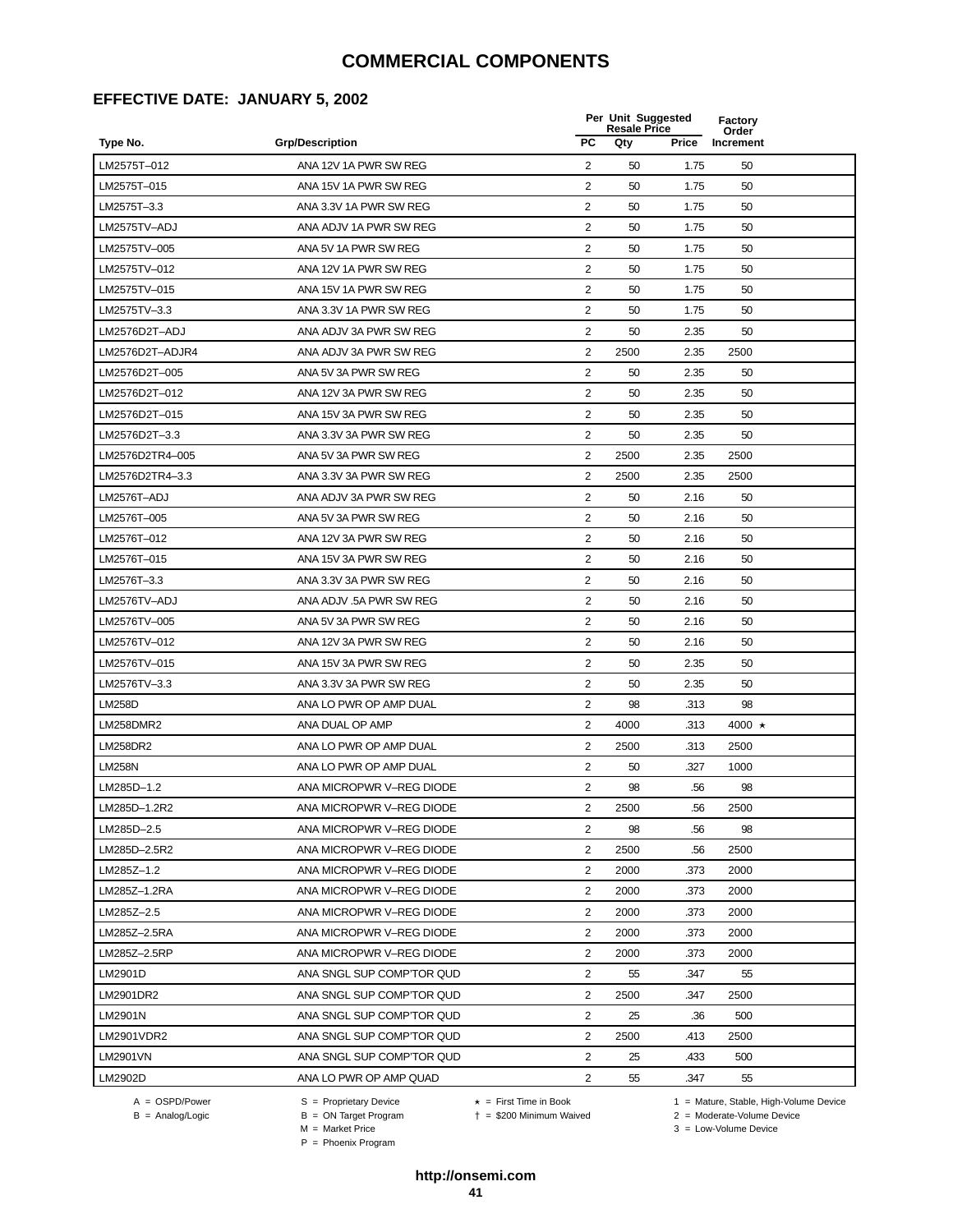#### **EFFECTIVE DATE: JANUARY 5, 2002**

|                 |                           |                | Per Unit Suggested<br><b>Resale Price</b> |       | <b>Factory</b><br>Order |  |
|-----------------|---------------------------|----------------|-------------------------------------------|-------|-------------------------|--|
| Type No.        | <b>Grp/Description</b>    | <b>PC</b>      | Qty                                       | Price | Increment               |  |
| LM2575T-012     | ANA 12V 1A PWR SW REG     | $\overline{2}$ | 50                                        | 1.75  | 50                      |  |
| LM2575T-015     | ANA 15V 1A PWR SW REG     | 2              | 50                                        | 1.75  | 50                      |  |
| LM2575T-3.3     | ANA 3.3V 1A PWR SW REG    | 2              | 50                                        | 1.75  | 50                      |  |
| LM2575TV-ADJ    | ANA ADJV 1A PWR SW REG    | 2              | 50                                        | 1.75  | 50                      |  |
| LM2575TV-005    | ANA 5V 1A PWR SW REG      | 2              | 50                                        | 1.75  | 50                      |  |
| LM2575TV-012    | ANA 12V 1A PWR SW REG     | $\overline{2}$ | 50                                        | 1.75  | 50                      |  |
| LM2575TV-015    | ANA 15V 1A PWR SW REG     | $\overline{2}$ | 50                                        | 1.75  | 50                      |  |
| LM2575TV-3.3    | ANA 3.3V 1A PWR SW REG    | 2              | 50                                        | 1.75  | 50                      |  |
| LM2576D2T-ADJ   | ANA ADJV 3A PWR SW REG    | 2              | 50                                        | 2.35  | 50                      |  |
| LM2576D2T-ADJR4 | ANA ADJV 3A PWR SW REG    | $\overline{2}$ | 2500                                      | 2.35  | 2500                    |  |
| LM2576D2T-005   | ANA 5V 3A PWR SW REG      | 2              | 50                                        | 2.35  | 50                      |  |
| LM2576D2T-012   | ANA 12V 3A PWR SW REG     | $\overline{2}$ | 50                                        | 2.35  | 50                      |  |
| LM2576D2T-015   | ANA 15V 3A PWR SW REG     | $\overline{2}$ | 50                                        | 2.35  | 50                      |  |
| LM2576D2T-3.3   | ANA 3.3V 3A PWR SW REG    | $\overline{2}$ | 50                                        | 2.35  | 50                      |  |
| LM2576D2TR4-005 | ANA 5V 3A PWR SW REG      | 2              | 2500                                      | 2.35  | 2500                    |  |
| LM2576D2TR4-3.3 | ANA 3.3V 3A PWR SW REG    | $\overline{2}$ | 2500                                      | 2.35  | 2500                    |  |
| LM2576T-ADJ     | ANA ADJV 3A PWR SW REG    | 2              | 50                                        | 2.16  | 50                      |  |
| LM2576T-005     | ANA 5V 3A PWR SW REG      | 2              | 50                                        | 2.16  | 50                      |  |
| LM2576T-012     | ANA 12V 3A PWR SW REG     | 2              | 50                                        | 2.16  | 50                      |  |
| LM2576T-015     | ANA 15V 3A PWR SW REG     | 2              | 50                                        | 2.16  | 50                      |  |
| LM2576T-3.3     | ANA 3.3V 3A PWR SW REG    | 2              | 50                                        | 2.16  | 50                      |  |
| LM2576TV-ADJ    | ANA ADJV .5A PWR SW REG   | $\overline{2}$ | 50                                        | 2.16  | 50                      |  |
| LM2576TV-005    | ANA 5V 3A PWR SW REG      | $\overline{2}$ | 50                                        | 2.16  | 50                      |  |
| LM2576TV-012    | ANA 12V 3A PWR SW REG     | $\overline{2}$ | 50                                        | 2.16  | 50                      |  |
| LM2576TV-015    | ANA 15V 3A PWR SW REG     | $\overline{2}$ | 50                                        | 2.35  | 50                      |  |
| LM2576TV-3.3    | ANA 3.3V 3A PWR SW REG    | 2              | 50                                        | 2.35  | 50                      |  |
| <b>LM258D</b>   | ANA LO PWR OP AMP DUAL    | $\overline{2}$ | 98                                        | .313  | 98                      |  |
| LM258DMR2       | ANA DUAL OP AMP           | $\overline{2}$ | 4000                                      | .313  | 4000 $\star$            |  |
| <b>LM258DR2</b> | ANA LO PWR OP AMP DUAL    | 2              | 2500                                      | .313  | 2500                    |  |
| <b>LM258N</b>   | ANA LO PWR OP AMP DUAL    | 2              | 50                                        | .327  | 1000                    |  |
| LM285D-1.2      | ANA MICROPWR V-REG DIODE  | 2              | 98                                        | .56   | 98                      |  |
| LM285D-1.2R2    | ANA MICROPWR V-REG DIODE  | 2              | 2500                                      | .56   | 2500                    |  |
| LM285D-2.5      | ANA MICROPWR V-REG DIODE  | $\overline{2}$ | 98                                        | .56   | 98                      |  |
| LM285D-2.5R2    | ANA MICROPWR V-REG DIODE  | $\overline{c}$ | 2500                                      | .56   | 2500                    |  |
| LM285Z-1.2      | ANA MICROPWR V-REG DIODE  | $\overline{2}$ | 2000                                      | .373  | 2000                    |  |
| LM285Z-1.2RA    | ANA MICROPWR V-REG DIODE  | $\overline{c}$ | 2000                                      | .373  | 2000                    |  |
| LM285Z-2.5      | ANA MICROPWR V-REG DIODE  | $\overline{2}$ | 2000                                      | .373  | 2000                    |  |
| LM285Z-2.5RA    | ANA MICROPWR V-REG DIODE  | 2              | 2000                                      | .373  | 2000                    |  |
| LM285Z-2.5RP    | ANA MICROPWR V-REG DIODE  | $\overline{2}$ | 2000                                      | .373  | 2000                    |  |
| LM2901D         | ANA SNGL SUP COMP'TOR QUD | $\overline{2}$ | 55                                        | .347  | 55                      |  |
| LM2901DR2       | ANA SNGL SUP COMP'TOR QUD | $\overline{2}$ | 2500                                      | .347  | 2500                    |  |
| LM2901N         | ANA SNGL SUP COMP'TOR QUD | 2              | 25                                        | .36   | 500                     |  |
| LM2901VDR2      | ANA SNGL SUP COMP'TOR QUD | $\overline{2}$ | 2500                                      | .413  | 2500                    |  |
| LM2901VN        | ANA SNGL SUP COMP'TOR QUD | $\overline{2}$ | 25                                        | .433  | 500                     |  |
| LM2902D         | ANA LO PWR OP AMP QUAD    | $\overline{2}$ | 55                                        | .347  | 55                      |  |

B = ON Target Program<br>M = Market Price

 $A = OBPD/Power$ <br>  $B = ON Target Program$   $A = First Time in Book$   $A = West Theorem 1 = Nature, Stable, High-Volume Device$   $A = Mature, Stable, High-Volume Device$   $A = Mature, Stable, High-Volume Device$   $A = Mature, Table, High-Volume Device$   $A = Mature, Table, High-Volume Device$   $A = Mature, Table, High-Volume Device$   $A = Mature, Table, High-Volume Device$   $A = Mature, Table, High-Volume Device$   $A = Mature, Table, High-Volume Device$   $A = Mature, Table, High-Volume Device$   $A = Mature, Table, High-Volume Device$   $A = Mature, Table, High-Volume Device$   $A = Mature, Table, High-Volume Device$   $A = Mature, Table$ 

 $2 =$  Moderate-Volume Device  $3 =$  Low-Volume Device

P = Phoenix Program

**http://onsemi.com**

**41**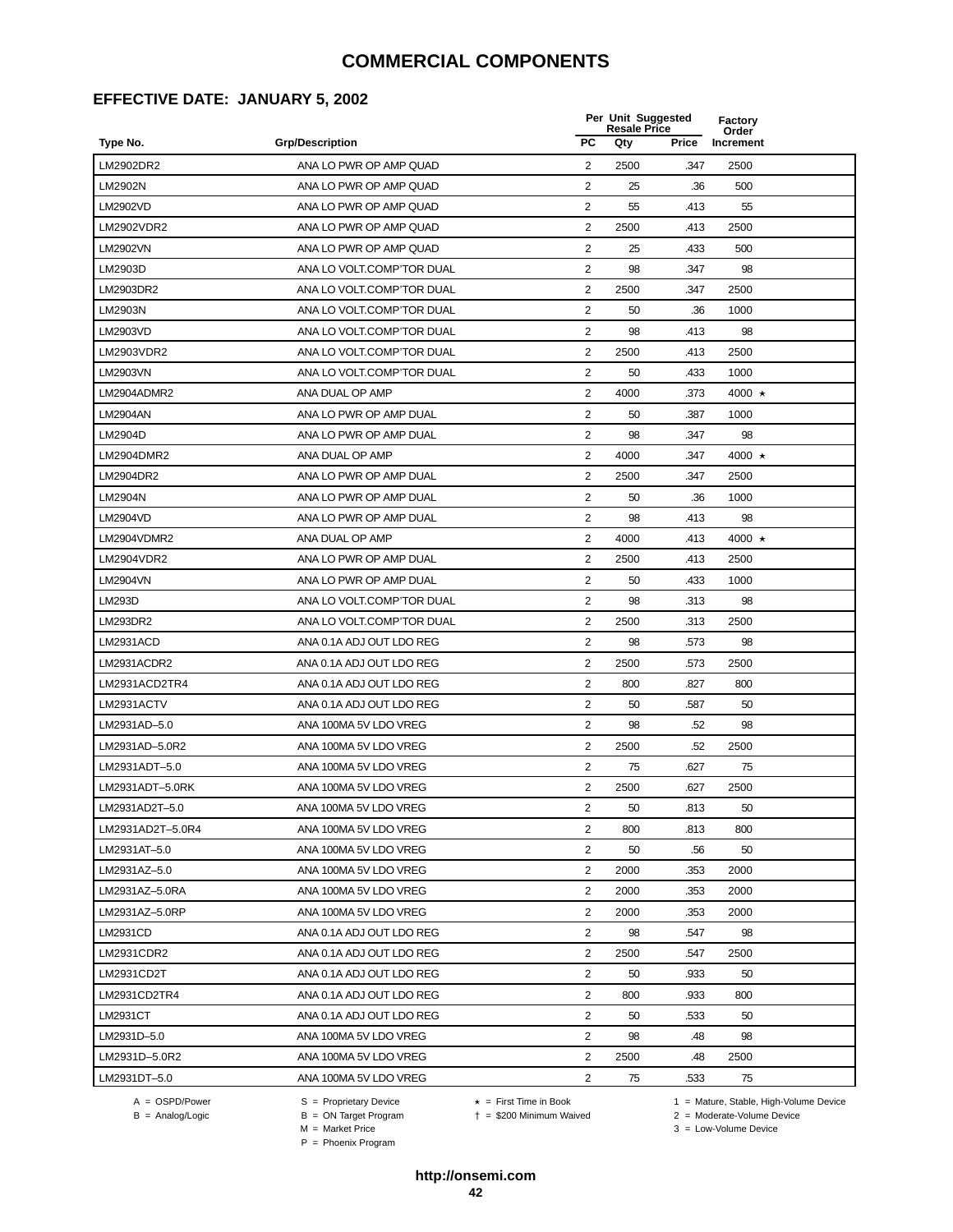### **EFFECTIVE DATE: JANUARY 5, 2002**

| <b>PC</b><br>Qty<br>Increment<br><b>Grp/Description</b><br>Price<br>Type No.<br>LM2902DR2<br>ANA LO PWR OP AMP QUAD<br>2<br>2500<br>.347<br>2500<br>$\overline{2}$<br>LM2902N<br>ANA LO PWR OP AMP QUAD<br>25<br>.36<br>500<br>$\overline{2}$<br>55<br>LM2902VD<br>ANA LO PWR OP AMP QUAD<br>.413<br>55<br>$\overline{2}$<br>LM2902VDR2<br>ANA LO PWR OP AMP QUAD<br>2500<br>.413<br>2500<br>$\overline{2}$<br><b>LM2902VN</b><br>ANA LO PWR OP AMP QUAD<br>25<br>.433<br>500<br>2<br>LM2903D<br>ANA LO VOLT.COMP'TOR DUAL<br>98<br>.347<br>98<br>$\overline{2}$<br>2500<br>LM2903DR2<br>ANA LO VOLT.COMP'TOR DUAL<br>2500<br>.347<br>2<br>LM2903N<br>ANA LO VOLT.COMP'TOR DUAL<br>50<br>.36<br>1000<br>2<br>LM2903VD<br>ANA LO VOLT.COMP'TOR DUAL<br>98<br>.413<br>98<br>LM2903VDR2<br>$\overline{2}$<br>2500<br>ANA LO VOLT.COMP'TOR DUAL<br>2500<br>.413<br>LM2903VN<br>ANA LO VOLT.COMP'TOR DUAL<br>2<br>50<br>.433<br>1000<br>$\overline{2}$<br>LM2904ADMR2<br>ANA DUAL OP AMP<br>4000<br>.373<br>4000 $\star$<br>$\overline{2}$<br><b>LM2904AN</b><br>ANA LO PWR OP AMP DUAL<br>50<br>.387<br>1000<br>$\overline{2}$<br>LM2904D<br>ANA LO PWR OP AMP DUAL<br>98<br>.347<br>98<br>2<br>LM2904DMR2<br>ANA DUAL OP AMP<br>4000<br>.347<br>4000 $\star$<br>$\overline{2}$<br>LM2904DR2<br>ANA LO PWR OP AMP DUAL<br>2500<br>.347<br>2500<br>2<br>LM2904N<br>ANA LO PWR OP AMP DUAL<br>50<br>.36<br>1000<br><b>LM2904VD</b><br>2<br>ANA LO PWR OP AMP DUAL<br>98<br>.413<br>98<br>LM2904VDMR2<br>$\overline{2}$<br>4000<br>4000 $\star$<br>ANA DUAL OP AMP<br>.413<br>$\overline{2}$<br>LM2904VDR2<br>ANA LO PWR OP AMP DUAL<br>2500<br>.413<br>2500<br>$\overline{2}$<br>LM2904VN<br>ANA LO PWR OP AMP DUAL<br>50<br>.433<br>1000<br>2<br><b>LM293D</b><br>ANA LO VOLT.COMP'TOR DUAL<br>98<br>.313<br>98<br>$\overline{2}$<br>LM293DR2<br>ANA LO VOLT.COMP'TOR DUAL<br>2500<br>2500<br>.313<br>2<br>LM2931ACD<br>ANA 0.1A ADJ OUT LDO REG<br>98<br>.573<br>98<br>$\overline{2}$<br>2500<br>LM2931ACDR2<br>ANA 0.1A ADJ OUT LDO REG<br>2500<br>.573<br>2<br>LM2931ACD2TR4<br>ANA 0.1A ADJ OUT LDO REG<br>800<br>.827<br>800<br>LM2931ACTV<br>2<br>ANA 0.1A ADJ OUT LDO REG<br>50<br>.587<br>50<br>LM2931AD-5.0<br>$\overline{2}$<br>ANA 100MA 5V LDO VREG<br>98<br>.52<br>98<br>LM2931AD-5.0R2<br>ANA 100MA 5V LDO VREG<br>2<br>2500<br>.52<br>2500<br>2<br>LM2931ADT-5.0<br>ANA 100MA 5V LDO VREG<br>75<br>.627<br>75<br>$\overline{2}$<br>LM2931ADT-5.0RK<br>ANA 100MA 5V LDO VREG<br>2500<br>.627<br>2500<br>2<br>LM2931AD2T-5.0<br>ANA 100MA 5V LDO VREG<br>50<br>.813<br>50<br>$\overline{2}$<br>LM2931AD2T-5.0R4<br>ANA 100MA 5V LDO VREG<br>800<br>.813<br>800<br>$\overline{2}$<br>50<br>.56<br>50<br>LM2931AT-5.0<br>ANA 100MA 5V LDO VREG<br>$\overline{2}$<br>2000<br>.353<br>2000<br>LM2931AZ-5.0<br>ANA 100MA 5V LDO VREG<br>$\overline{2}$<br>LM2931AZ-5.0RA<br>2000<br>.353<br>2000<br>ANA 100MA 5V LDO VREG<br>2<br>LM2931AZ-5.0RP<br>ANA 100MA 5V LDO VREG<br>2000<br>.353<br>2000<br>LM2931CD<br>ANA 0.1A ADJ OUT LDO REG<br>2<br>98<br>.547<br>98<br>$\overline{2}$<br>LM2931CDR2<br>ANA 0.1A ADJ OUT LDO REG<br>2500<br>.547<br>2500<br>$\overline{2}$<br>LM2931CD2T<br>50<br>.933<br>ANA 0.1A ADJ OUT LDO REG<br>50<br>2<br>800<br>.933<br>LM2931CD2TR4<br>ANA 0.1A ADJ OUT LDO REG<br>800<br>2<br>LM2931CT<br>ANA 0.1A ADJ OUT LDO REG<br>50<br>.533<br>50<br>$\overline{2}$<br>98<br>.48<br>98<br>LM2931D-5.0<br>ANA 100MA 5V LDO VREG<br>$\overline{2}$<br>2500<br>.48<br>2500<br>LM2931D-5.0R2<br>ANA 100MA 5V LDO VREG<br>$\overline{2}$<br>LM2931DT-5.0<br>ANA 100MA 5V LDO VREG<br>75<br>.533<br>75 |  | Per Unit Suggested<br><b>Resale Price</b> | <b>Factory</b><br>Order |
|----------------------------------------------------------------------------------------------------------------------------------------------------------------------------------------------------------------------------------------------------------------------------------------------------------------------------------------------------------------------------------------------------------------------------------------------------------------------------------------------------------------------------------------------------------------------------------------------------------------------------------------------------------------------------------------------------------------------------------------------------------------------------------------------------------------------------------------------------------------------------------------------------------------------------------------------------------------------------------------------------------------------------------------------------------------------------------------------------------------------------------------------------------------------------------------------------------------------------------------------------------------------------------------------------------------------------------------------------------------------------------------------------------------------------------------------------------------------------------------------------------------------------------------------------------------------------------------------------------------------------------------------------------------------------------------------------------------------------------------------------------------------------------------------------------------------------------------------------------------------------------------------------------------------------------------------------------------------------------------------------------------------------------------------------------------------------------------------------------------------------------------------------------------------------------------------------------------------------------------------------------------------------------------------------------------------------------------------------------------------------------------------------------------------------------------------------------------------------------------------------------------------------------------------------------------------------------------------------------------------------------------------------------------------------------------------------------------------------------------------------------------------------------------------------------------------------------------------------------------------------------------------------------------------------------------------------------------------------------------------------------------------------------------------------------------------------------------------------------------------------------------------------------------------------------------------------------------------------------------------------------------------------------------------------------------------------------------------------------------------------------------------------------------------------------------------------------------------------------------------------------------------------------------------------------------------------------------------------------------------------------|--|-------------------------------------------|-------------------------|
|                                                                                                                                                                                                                                                                                                                                                                                                                                                                                                                                                                                                                                                                                                                                                                                                                                                                                                                                                                                                                                                                                                                                                                                                                                                                                                                                                                                                                                                                                                                                                                                                                                                                                                                                                                                                                                                                                                                                                                                                                                                                                                                                                                                                                                                                                                                                                                                                                                                                                                                                                                                                                                                                                                                                                                                                                                                                                                                                                                                                                                                                                                                                                                                                                                                                                                                                                                                                                                                                                                                                                                                                                                  |  |                                           |                         |
|                                                                                                                                                                                                                                                                                                                                                                                                                                                                                                                                                                                                                                                                                                                                                                                                                                                                                                                                                                                                                                                                                                                                                                                                                                                                                                                                                                                                                                                                                                                                                                                                                                                                                                                                                                                                                                                                                                                                                                                                                                                                                                                                                                                                                                                                                                                                                                                                                                                                                                                                                                                                                                                                                                                                                                                                                                                                                                                                                                                                                                                                                                                                                                                                                                                                                                                                                                                                                                                                                                                                                                                                                                  |  |                                           |                         |
|                                                                                                                                                                                                                                                                                                                                                                                                                                                                                                                                                                                                                                                                                                                                                                                                                                                                                                                                                                                                                                                                                                                                                                                                                                                                                                                                                                                                                                                                                                                                                                                                                                                                                                                                                                                                                                                                                                                                                                                                                                                                                                                                                                                                                                                                                                                                                                                                                                                                                                                                                                                                                                                                                                                                                                                                                                                                                                                                                                                                                                                                                                                                                                                                                                                                                                                                                                                                                                                                                                                                                                                                                                  |  |                                           |                         |
|                                                                                                                                                                                                                                                                                                                                                                                                                                                                                                                                                                                                                                                                                                                                                                                                                                                                                                                                                                                                                                                                                                                                                                                                                                                                                                                                                                                                                                                                                                                                                                                                                                                                                                                                                                                                                                                                                                                                                                                                                                                                                                                                                                                                                                                                                                                                                                                                                                                                                                                                                                                                                                                                                                                                                                                                                                                                                                                                                                                                                                                                                                                                                                                                                                                                                                                                                                                                                                                                                                                                                                                                                                  |  |                                           |                         |
|                                                                                                                                                                                                                                                                                                                                                                                                                                                                                                                                                                                                                                                                                                                                                                                                                                                                                                                                                                                                                                                                                                                                                                                                                                                                                                                                                                                                                                                                                                                                                                                                                                                                                                                                                                                                                                                                                                                                                                                                                                                                                                                                                                                                                                                                                                                                                                                                                                                                                                                                                                                                                                                                                                                                                                                                                                                                                                                                                                                                                                                                                                                                                                                                                                                                                                                                                                                                                                                                                                                                                                                                                                  |  |                                           |                         |
|                                                                                                                                                                                                                                                                                                                                                                                                                                                                                                                                                                                                                                                                                                                                                                                                                                                                                                                                                                                                                                                                                                                                                                                                                                                                                                                                                                                                                                                                                                                                                                                                                                                                                                                                                                                                                                                                                                                                                                                                                                                                                                                                                                                                                                                                                                                                                                                                                                                                                                                                                                                                                                                                                                                                                                                                                                                                                                                                                                                                                                                                                                                                                                                                                                                                                                                                                                                                                                                                                                                                                                                                                                  |  |                                           |                         |
|                                                                                                                                                                                                                                                                                                                                                                                                                                                                                                                                                                                                                                                                                                                                                                                                                                                                                                                                                                                                                                                                                                                                                                                                                                                                                                                                                                                                                                                                                                                                                                                                                                                                                                                                                                                                                                                                                                                                                                                                                                                                                                                                                                                                                                                                                                                                                                                                                                                                                                                                                                                                                                                                                                                                                                                                                                                                                                                                                                                                                                                                                                                                                                                                                                                                                                                                                                                                                                                                                                                                                                                                                                  |  |                                           |                         |
|                                                                                                                                                                                                                                                                                                                                                                                                                                                                                                                                                                                                                                                                                                                                                                                                                                                                                                                                                                                                                                                                                                                                                                                                                                                                                                                                                                                                                                                                                                                                                                                                                                                                                                                                                                                                                                                                                                                                                                                                                                                                                                                                                                                                                                                                                                                                                                                                                                                                                                                                                                                                                                                                                                                                                                                                                                                                                                                                                                                                                                                                                                                                                                                                                                                                                                                                                                                                                                                                                                                                                                                                                                  |  |                                           |                         |
|                                                                                                                                                                                                                                                                                                                                                                                                                                                                                                                                                                                                                                                                                                                                                                                                                                                                                                                                                                                                                                                                                                                                                                                                                                                                                                                                                                                                                                                                                                                                                                                                                                                                                                                                                                                                                                                                                                                                                                                                                                                                                                                                                                                                                                                                                                                                                                                                                                                                                                                                                                                                                                                                                                                                                                                                                                                                                                                                                                                                                                                                                                                                                                                                                                                                                                                                                                                                                                                                                                                                                                                                                                  |  |                                           |                         |
|                                                                                                                                                                                                                                                                                                                                                                                                                                                                                                                                                                                                                                                                                                                                                                                                                                                                                                                                                                                                                                                                                                                                                                                                                                                                                                                                                                                                                                                                                                                                                                                                                                                                                                                                                                                                                                                                                                                                                                                                                                                                                                                                                                                                                                                                                                                                                                                                                                                                                                                                                                                                                                                                                                                                                                                                                                                                                                                                                                                                                                                                                                                                                                                                                                                                                                                                                                                                                                                                                                                                                                                                                                  |  |                                           |                         |
|                                                                                                                                                                                                                                                                                                                                                                                                                                                                                                                                                                                                                                                                                                                                                                                                                                                                                                                                                                                                                                                                                                                                                                                                                                                                                                                                                                                                                                                                                                                                                                                                                                                                                                                                                                                                                                                                                                                                                                                                                                                                                                                                                                                                                                                                                                                                                                                                                                                                                                                                                                                                                                                                                                                                                                                                                                                                                                                                                                                                                                                                                                                                                                                                                                                                                                                                                                                                                                                                                                                                                                                                                                  |  |                                           |                         |
|                                                                                                                                                                                                                                                                                                                                                                                                                                                                                                                                                                                                                                                                                                                                                                                                                                                                                                                                                                                                                                                                                                                                                                                                                                                                                                                                                                                                                                                                                                                                                                                                                                                                                                                                                                                                                                                                                                                                                                                                                                                                                                                                                                                                                                                                                                                                                                                                                                                                                                                                                                                                                                                                                                                                                                                                                                                                                                                                                                                                                                                                                                                                                                                                                                                                                                                                                                                                                                                                                                                                                                                                                                  |  |                                           |                         |
|                                                                                                                                                                                                                                                                                                                                                                                                                                                                                                                                                                                                                                                                                                                                                                                                                                                                                                                                                                                                                                                                                                                                                                                                                                                                                                                                                                                                                                                                                                                                                                                                                                                                                                                                                                                                                                                                                                                                                                                                                                                                                                                                                                                                                                                                                                                                                                                                                                                                                                                                                                                                                                                                                                                                                                                                                                                                                                                                                                                                                                                                                                                                                                                                                                                                                                                                                                                                                                                                                                                                                                                                                                  |  |                                           |                         |
|                                                                                                                                                                                                                                                                                                                                                                                                                                                                                                                                                                                                                                                                                                                                                                                                                                                                                                                                                                                                                                                                                                                                                                                                                                                                                                                                                                                                                                                                                                                                                                                                                                                                                                                                                                                                                                                                                                                                                                                                                                                                                                                                                                                                                                                                                                                                                                                                                                                                                                                                                                                                                                                                                                                                                                                                                                                                                                                                                                                                                                                                                                                                                                                                                                                                                                                                                                                                                                                                                                                                                                                                                                  |  |                                           |                         |
|                                                                                                                                                                                                                                                                                                                                                                                                                                                                                                                                                                                                                                                                                                                                                                                                                                                                                                                                                                                                                                                                                                                                                                                                                                                                                                                                                                                                                                                                                                                                                                                                                                                                                                                                                                                                                                                                                                                                                                                                                                                                                                                                                                                                                                                                                                                                                                                                                                                                                                                                                                                                                                                                                                                                                                                                                                                                                                                                                                                                                                                                                                                                                                                                                                                                                                                                                                                                                                                                                                                                                                                                                                  |  |                                           |                         |
|                                                                                                                                                                                                                                                                                                                                                                                                                                                                                                                                                                                                                                                                                                                                                                                                                                                                                                                                                                                                                                                                                                                                                                                                                                                                                                                                                                                                                                                                                                                                                                                                                                                                                                                                                                                                                                                                                                                                                                                                                                                                                                                                                                                                                                                                                                                                                                                                                                                                                                                                                                                                                                                                                                                                                                                                                                                                                                                                                                                                                                                                                                                                                                                                                                                                                                                                                                                                                                                                                                                                                                                                                                  |  |                                           |                         |
|                                                                                                                                                                                                                                                                                                                                                                                                                                                                                                                                                                                                                                                                                                                                                                                                                                                                                                                                                                                                                                                                                                                                                                                                                                                                                                                                                                                                                                                                                                                                                                                                                                                                                                                                                                                                                                                                                                                                                                                                                                                                                                                                                                                                                                                                                                                                                                                                                                                                                                                                                                                                                                                                                                                                                                                                                                                                                                                                                                                                                                                                                                                                                                                                                                                                                                                                                                                                                                                                                                                                                                                                                                  |  |                                           |                         |
|                                                                                                                                                                                                                                                                                                                                                                                                                                                                                                                                                                                                                                                                                                                                                                                                                                                                                                                                                                                                                                                                                                                                                                                                                                                                                                                                                                                                                                                                                                                                                                                                                                                                                                                                                                                                                                                                                                                                                                                                                                                                                                                                                                                                                                                                                                                                                                                                                                                                                                                                                                                                                                                                                                                                                                                                                                                                                                                                                                                                                                                                                                                                                                                                                                                                                                                                                                                                                                                                                                                                                                                                                                  |  |                                           |                         |
|                                                                                                                                                                                                                                                                                                                                                                                                                                                                                                                                                                                                                                                                                                                                                                                                                                                                                                                                                                                                                                                                                                                                                                                                                                                                                                                                                                                                                                                                                                                                                                                                                                                                                                                                                                                                                                                                                                                                                                                                                                                                                                                                                                                                                                                                                                                                                                                                                                                                                                                                                                                                                                                                                                                                                                                                                                                                                                                                                                                                                                                                                                                                                                                                                                                                                                                                                                                                                                                                                                                                                                                                                                  |  |                                           |                         |
|                                                                                                                                                                                                                                                                                                                                                                                                                                                                                                                                                                                                                                                                                                                                                                                                                                                                                                                                                                                                                                                                                                                                                                                                                                                                                                                                                                                                                                                                                                                                                                                                                                                                                                                                                                                                                                                                                                                                                                                                                                                                                                                                                                                                                                                                                                                                                                                                                                                                                                                                                                                                                                                                                                                                                                                                                                                                                                                                                                                                                                                                                                                                                                                                                                                                                                                                                                                                                                                                                                                                                                                                                                  |  |                                           |                         |
|                                                                                                                                                                                                                                                                                                                                                                                                                                                                                                                                                                                                                                                                                                                                                                                                                                                                                                                                                                                                                                                                                                                                                                                                                                                                                                                                                                                                                                                                                                                                                                                                                                                                                                                                                                                                                                                                                                                                                                                                                                                                                                                                                                                                                                                                                                                                                                                                                                                                                                                                                                                                                                                                                                                                                                                                                                                                                                                                                                                                                                                                                                                                                                                                                                                                                                                                                                                                                                                                                                                                                                                                                                  |  |                                           |                         |
|                                                                                                                                                                                                                                                                                                                                                                                                                                                                                                                                                                                                                                                                                                                                                                                                                                                                                                                                                                                                                                                                                                                                                                                                                                                                                                                                                                                                                                                                                                                                                                                                                                                                                                                                                                                                                                                                                                                                                                                                                                                                                                                                                                                                                                                                                                                                                                                                                                                                                                                                                                                                                                                                                                                                                                                                                                                                                                                                                                                                                                                                                                                                                                                                                                                                                                                                                                                                                                                                                                                                                                                                                                  |  |                                           |                         |
|                                                                                                                                                                                                                                                                                                                                                                                                                                                                                                                                                                                                                                                                                                                                                                                                                                                                                                                                                                                                                                                                                                                                                                                                                                                                                                                                                                                                                                                                                                                                                                                                                                                                                                                                                                                                                                                                                                                                                                                                                                                                                                                                                                                                                                                                                                                                                                                                                                                                                                                                                                                                                                                                                                                                                                                                                                                                                                                                                                                                                                                                                                                                                                                                                                                                                                                                                                                                                                                                                                                                                                                                                                  |  |                                           |                         |
|                                                                                                                                                                                                                                                                                                                                                                                                                                                                                                                                                                                                                                                                                                                                                                                                                                                                                                                                                                                                                                                                                                                                                                                                                                                                                                                                                                                                                                                                                                                                                                                                                                                                                                                                                                                                                                                                                                                                                                                                                                                                                                                                                                                                                                                                                                                                                                                                                                                                                                                                                                                                                                                                                                                                                                                                                                                                                                                                                                                                                                                                                                                                                                                                                                                                                                                                                                                                                                                                                                                                                                                                                                  |  |                                           |                         |
|                                                                                                                                                                                                                                                                                                                                                                                                                                                                                                                                                                                                                                                                                                                                                                                                                                                                                                                                                                                                                                                                                                                                                                                                                                                                                                                                                                                                                                                                                                                                                                                                                                                                                                                                                                                                                                                                                                                                                                                                                                                                                                                                                                                                                                                                                                                                                                                                                                                                                                                                                                                                                                                                                                                                                                                                                                                                                                                                                                                                                                                                                                                                                                                                                                                                                                                                                                                                                                                                                                                                                                                                                                  |  |                                           |                         |
|                                                                                                                                                                                                                                                                                                                                                                                                                                                                                                                                                                                                                                                                                                                                                                                                                                                                                                                                                                                                                                                                                                                                                                                                                                                                                                                                                                                                                                                                                                                                                                                                                                                                                                                                                                                                                                                                                                                                                                                                                                                                                                                                                                                                                                                                                                                                                                                                                                                                                                                                                                                                                                                                                                                                                                                                                                                                                                                                                                                                                                                                                                                                                                                                                                                                                                                                                                                                                                                                                                                                                                                                                                  |  |                                           |                         |
|                                                                                                                                                                                                                                                                                                                                                                                                                                                                                                                                                                                                                                                                                                                                                                                                                                                                                                                                                                                                                                                                                                                                                                                                                                                                                                                                                                                                                                                                                                                                                                                                                                                                                                                                                                                                                                                                                                                                                                                                                                                                                                                                                                                                                                                                                                                                                                                                                                                                                                                                                                                                                                                                                                                                                                                                                                                                                                                                                                                                                                                                                                                                                                                                                                                                                                                                                                                                                                                                                                                                                                                                                                  |  |                                           |                         |
|                                                                                                                                                                                                                                                                                                                                                                                                                                                                                                                                                                                                                                                                                                                                                                                                                                                                                                                                                                                                                                                                                                                                                                                                                                                                                                                                                                                                                                                                                                                                                                                                                                                                                                                                                                                                                                                                                                                                                                                                                                                                                                                                                                                                                                                                                                                                                                                                                                                                                                                                                                                                                                                                                                                                                                                                                                                                                                                                                                                                                                                                                                                                                                                                                                                                                                                                                                                                                                                                                                                                                                                                                                  |  |                                           |                         |
|                                                                                                                                                                                                                                                                                                                                                                                                                                                                                                                                                                                                                                                                                                                                                                                                                                                                                                                                                                                                                                                                                                                                                                                                                                                                                                                                                                                                                                                                                                                                                                                                                                                                                                                                                                                                                                                                                                                                                                                                                                                                                                                                                                                                                                                                                                                                                                                                                                                                                                                                                                                                                                                                                                                                                                                                                                                                                                                                                                                                                                                                                                                                                                                                                                                                                                                                                                                                                                                                                                                                                                                                                                  |  |                                           |                         |
|                                                                                                                                                                                                                                                                                                                                                                                                                                                                                                                                                                                                                                                                                                                                                                                                                                                                                                                                                                                                                                                                                                                                                                                                                                                                                                                                                                                                                                                                                                                                                                                                                                                                                                                                                                                                                                                                                                                                                                                                                                                                                                                                                                                                                                                                                                                                                                                                                                                                                                                                                                                                                                                                                                                                                                                                                                                                                                                                                                                                                                                                                                                                                                                                                                                                                                                                                                                                                                                                                                                                                                                                                                  |  |                                           |                         |
|                                                                                                                                                                                                                                                                                                                                                                                                                                                                                                                                                                                                                                                                                                                                                                                                                                                                                                                                                                                                                                                                                                                                                                                                                                                                                                                                                                                                                                                                                                                                                                                                                                                                                                                                                                                                                                                                                                                                                                                                                                                                                                                                                                                                                                                                                                                                                                                                                                                                                                                                                                                                                                                                                                                                                                                                                                                                                                                                                                                                                                                                                                                                                                                                                                                                                                                                                                                                                                                                                                                                                                                                                                  |  |                                           |                         |
|                                                                                                                                                                                                                                                                                                                                                                                                                                                                                                                                                                                                                                                                                                                                                                                                                                                                                                                                                                                                                                                                                                                                                                                                                                                                                                                                                                                                                                                                                                                                                                                                                                                                                                                                                                                                                                                                                                                                                                                                                                                                                                                                                                                                                                                                                                                                                                                                                                                                                                                                                                                                                                                                                                                                                                                                                                                                                                                                                                                                                                                                                                                                                                                                                                                                                                                                                                                                                                                                                                                                                                                                                                  |  |                                           |                         |
|                                                                                                                                                                                                                                                                                                                                                                                                                                                                                                                                                                                                                                                                                                                                                                                                                                                                                                                                                                                                                                                                                                                                                                                                                                                                                                                                                                                                                                                                                                                                                                                                                                                                                                                                                                                                                                                                                                                                                                                                                                                                                                                                                                                                                                                                                                                                                                                                                                                                                                                                                                                                                                                                                                                                                                                                                                                                                                                                                                                                                                                                                                                                                                                                                                                                                                                                                                                                                                                                                                                                                                                                                                  |  |                                           |                         |
|                                                                                                                                                                                                                                                                                                                                                                                                                                                                                                                                                                                                                                                                                                                                                                                                                                                                                                                                                                                                                                                                                                                                                                                                                                                                                                                                                                                                                                                                                                                                                                                                                                                                                                                                                                                                                                                                                                                                                                                                                                                                                                                                                                                                                                                                                                                                                                                                                                                                                                                                                                                                                                                                                                                                                                                                                                                                                                                                                                                                                                                                                                                                                                                                                                                                                                                                                                                                                                                                                                                                                                                                                                  |  |                                           |                         |
|                                                                                                                                                                                                                                                                                                                                                                                                                                                                                                                                                                                                                                                                                                                                                                                                                                                                                                                                                                                                                                                                                                                                                                                                                                                                                                                                                                                                                                                                                                                                                                                                                                                                                                                                                                                                                                                                                                                                                                                                                                                                                                                                                                                                                                                                                                                                                                                                                                                                                                                                                                                                                                                                                                                                                                                                                                                                                                                                                                                                                                                                                                                                                                                                                                                                                                                                                                                                                                                                                                                                                                                                                                  |  |                                           |                         |
|                                                                                                                                                                                                                                                                                                                                                                                                                                                                                                                                                                                                                                                                                                                                                                                                                                                                                                                                                                                                                                                                                                                                                                                                                                                                                                                                                                                                                                                                                                                                                                                                                                                                                                                                                                                                                                                                                                                                                                                                                                                                                                                                                                                                                                                                                                                                                                                                                                                                                                                                                                                                                                                                                                                                                                                                                                                                                                                                                                                                                                                                                                                                                                                                                                                                                                                                                                                                                                                                                                                                                                                                                                  |  |                                           |                         |
|                                                                                                                                                                                                                                                                                                                                                                                                                                                                                                                                                                                                                                                                                                                                                                                                                                                                                                                                                                                                                                                                                                                                                                                                                                                                                                                                                                                                                                                                                                                                                                                                                                                                                                                                                                                                                                                                                                                                                                                                                                                                                                                                                                                                                                                                                                                                                                                                                                                                                                                                                                                                                                                                                                                                                                                                                                                                                                                                                                                                                                                                                                                                                                                                                                                                                                                                                                                                                                                                                                                                                                                                                                  |  |                                           |                         |
|                                                                                                                                                                                                                                                                                                                                                                                                                                                                                                                                                                                                                                                                                                                                                                                                                                                                                                                                                                                                                                                                                                                                                                                                                                                                                                                                                                                                                                                                                                                                                                                                                                                                                                                                                                                                                                                                                                                                                                                                                                                                                                                                                                                                                                                                                                                                                                                                                                                                                                                                                                                                                                                                                                                                                                                                                                                                                                                                                                                                                                                                                                                                                                                                                                                                                                                                                                                                                                                                                                                                                                                                                                  |  |                                           |                         |
|                                                                                                                                                                                                                                                                                                                                                                                                                                                                                                                                                                                                                                                                                                                                                                                                                                                                                                                                                                                                                                                                                                                                                                                                                                                                                                                                                                                                                                                                                                                                                                                                                                                                                                                                                                                                                                                                                                                                                                                                                                                                                                                                                                                                                                                                                                                                                                                                                                                                                                                                                                                                                                                                                                                                                                                                                                                                                                                                                                                                                                                                                                                                                                                                                                                                                                                                                                                                                                                                                                                                                                                                                                  |  |                                           |                         |
|                                                                                                                                                                                                                                                                                                                                                                                                                                                                                                                                                                                                                                                                                                                                                                                                                                                                                                                                                                                                                                                                                                                                                                                                                                                                                                                                                                                                                                                                                                                                                                                                                                                                                                                                                                                                                                                                                                                                                                                                                                                                                                                                                                                                                                                                                                                                                                                                                                                                                                                                                                                                                                                                                                                                                                                                                                                                                                                                                                                                                                                                                                                                                                                                                                                                                                                                                                                                                                                                                                                                                                                                                                  |  |                                           |                         |
|                                                                                                                                                                                                                                                                                                                                                                                                                                                                                                                                                                                                                                                                                                                                                                                                                                                                                                                                                                                                                                                                                                                                                                                                                                                                                                                                                                                                                                                                                                                                                                                                                                                                                                                                                                                                                                                                                                                                                                                                                                                                                                                                                                                                                                                                                                                                                                                                                                                                                                                                                                                                                                                                                                                                                                                                                                                                                                                                                                                                                                                                                                                                                                                                                                                                                                                                                                                                                                                                                                                                                                                                                                  |  |                                           |                         |
|                                                                                                                                                                                                                                                                                                                                                                                                                                                                                                                                                                                                                                                                                                                                                                                                                                                                                                                                                                                                                                                                                                                                                                                                                                                                                                                                                                                                                                                                                                                                                                                                                                                                                                                                                                                                                                                                                                                                                                                                                                                                                                                                                                                                                                                                                                                                                                                                                                                                                                                                                                                                                                                                                                                                                                                                                                                                                                                                                                                                                                                                                                                                                                                                                                                                                                                                                                                                                                                                                                                                                                                                                                  |  |                                           |                         |
|                                                                                                                                                                                                                                                                                                                                                                                                                                                                                                                                                                                                                                                                                                                                                                                                                                                                                                                                                                                                                                                                                                                                                                                                                                                                                                                                                                                                                                                                                                                                                                                                                                                                                                                                                                                                                                                                                                                                                                                                                                                                                                                                                                                                                                                                                                                                                                                                                                                                                                                                                                                                                                                                                                                                                                                                                                                                                                                                                                                                                                                                                                                                                                                                                                                                                                                                                                                                                                                                                                                                                                                                                                  |  |                                           |                         |
|                                                                                                                                                                                                                                                                                                                                                                                                                                                                                                                                                                                                                                                                                                                                                                                                                                                                                                                                                                                                                                                                                                                                                                                                                                                                                                                                                                                                                                                                                                                                                                                                                                                                                                                                                                                                                                                                                                                                                                                                                                                                                                                                                                                                                                                                                                                                                                                                                                                                                                                                                                                                                                                                                                                                                                                                                                                                                                                                                                                                                                                                                                                                                                                                                                                                                                                                                                                                                                                                                                                                                                                                                                  |  |                                           |                         |
|                                                                                                                                                                                                                                                                                                                                                                                                                                                                                                                                                                                                                                                                                                                                                                                                                                                                                                                                                                                                                                                                                                                                                                                                                                                                                                                                                                                                                                                                                                                                                                                                                                                                                                                                                                                                                                                                                                                                                                                                                                                                                                                                                                                                                                                                                                                                                                                                                                                                                                                                                                                                                                                                                                                                                                                                                                                                                                                                                                                                                                                                                                                                                                                                                                                                                                                                                                                                                                                                                                                                                                                                                                  |  |                                           |                         |
|                                                                                                                                                                                                                                                                                                                                                                                                                                                                                                                                                                                                                                                                                                                                                                                                                                                                                                                                                                                                                                                                                                                                                                                                                                                                                                                                                                                                                                                                                                                                                                                                                                                                                                                                                                                                                                                                                                                                                                                                                                                                                                                                                                                                                                                                                                                                                                                                                                                                                                                                                                                                                                                                                                                                                                                                                                                                                                                                                                                                                                                                                                                                                                                                                                                                                                                                                                                                                                                                                                                                                                                                                                  |  |                                           |                         |

 $B = \text{Analog/Logic}$ <br>B = ON Target Program<br> $M = \text{Market Price}$ 

= \$200 Minimum Waived 2 = Moderate-Volume Device

A = OSPD/Power S = Proprietary Device  $\star$  = First Time in Book 1 = Mature, Stable, High-Volume Device

 $3 =$  Low-Volume Device

P = Phoenix Program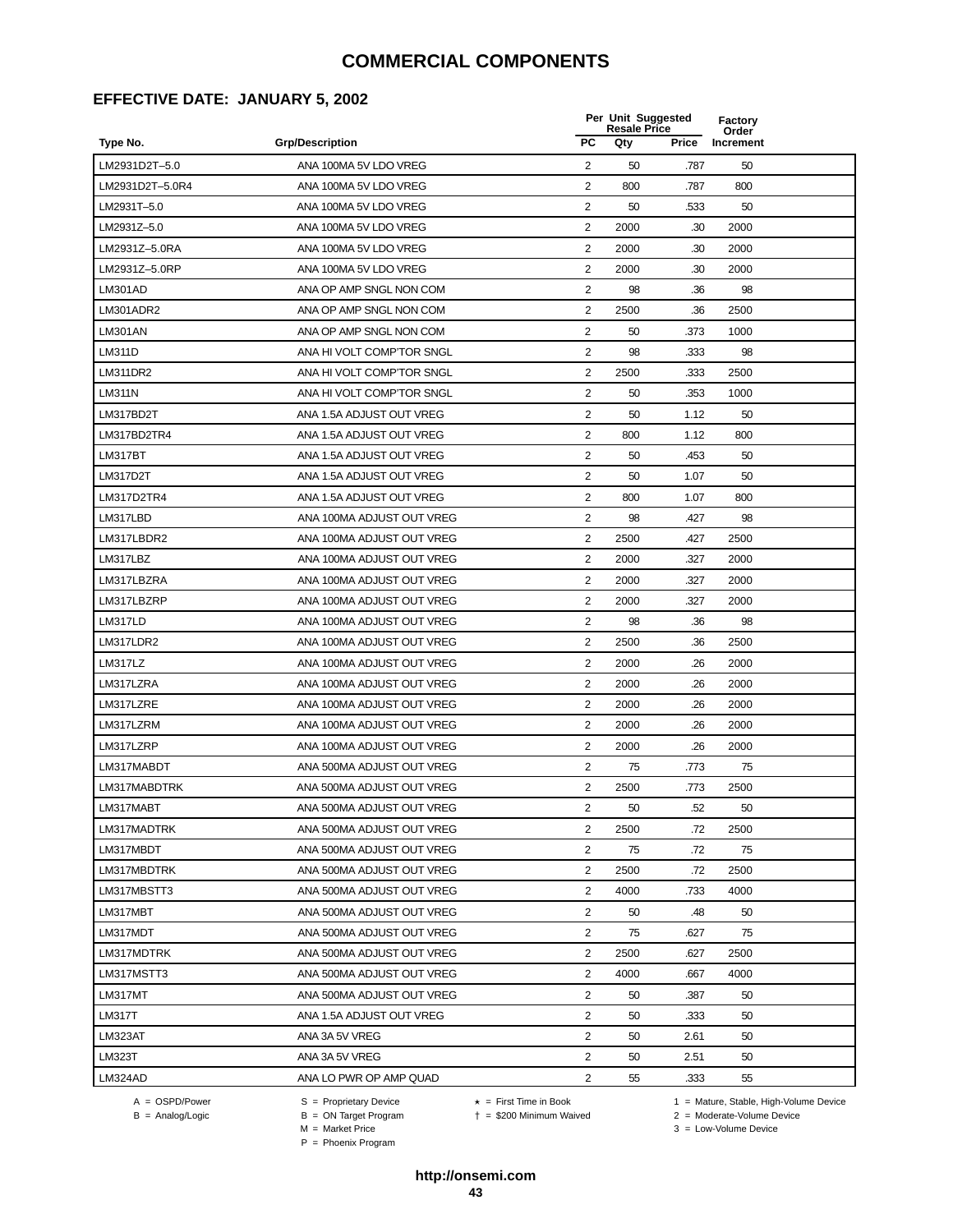### **EFFECTIVE DATE: JANUARY 5, 2002**

|                 |                           |                         | Per Unit Suggested<br><b>Resale Price</b> |       | <b>Factory</b><br>Order |  |
|-----------------|---------------------------|-------------------------|-------------------------------------------|-------|-------------------------|--|
| Type No.        | <b>Grp/Description</b>    | <b>PC</b>               | Qty                                       | Price | Increment               |  |
| LM2931D2T-5.0   | ANA 100MA 5V LDO VREG     | $\overline{2}$          | 50                                        | .787  | 50                      |  |
| LM2931D2T-5.0R4 | ANA 100MA 5V LDO VREG     | $\overline{2}$          | 800                                       | .787  | 800                     |  |
| LM2931T-5.0     | ANA 100MA 5V LDO VREG     | $\overline{2}$          | 50                                        | .533  | 50                      |  |
| LM2931Z-5.0     | ANA 100MA 5V LDO VREG     | 2                       | 2000                                      | .30   | 2000                    |  |
| LM2931Z-5.0RA   | ANA 100MA 5V LDO VREG     | 2                       | 2000                                      | .30   | 2000                    |  |
| LM2931Z-5.0RP   | ANA 100MA 5V LDO VREG     | 2                       | 2000                                      | .30   | 2000                    |  |
| <b>LM301AD</b>  | ANA OP AMP SNGL NON COM   | 2                       | 98                                        | .36   | 98                      |  |
| LM301ADR2       | ANA OP AMP SNGL NON COM   | 2                       | 2500                                      | .36   | 2500                    |  |
| <b>LM301AN</b>  | ANA OP AMP SNGL NON COM   | 2                       | 50                                        | .373  | 1000                    |  |
| <b>LM311D</b>   | ANA HI VOLT COMP'TOR SNGL | $\overline{2}$          | 98                                        | .333  | 98                      |  |
| LM311DR2        | ANA HI VOLT COMP'TOR SNGL | 2                       | 2500                                      | .333  | 2500                    |  |
| LM311N          | ANA HI VOLT COMP'TOR SNGL | $\overline{2}$          | 50                                        | .353  | 1000                    |  |
| LM317BD2T       | ANA 1.5A ADJUST OUT VREG  | $\overline{c}$          | 50                                        | 1.12  | 50                      |  |
| LM317BD2TR4     | ANA 1.5A ADJUST OUT VREG  | $\overline{2}$          | 800                                       | 1.12  | 800                     |  |
| LM317BT         | ANA 1.5A ADJUST OUT VREG  | $\overline{2}$          | 50                                        | .453  | 50                      |  |
| LM317D2T        | ANA 1.5A ADJUST OUT VREG  | 2                       | 50                                        | 1.07  | 50                      |  |
| LM317D2TR4      | ANA 1.5A ADJUST OUT VREG  | 2                       | 800                                       | 1.07  | 800                     |  |
| LM317LBD        | ANA 100MA ADJUST OUT VREG | $\overline{2}$          | 98                                        | .427  | 98                      |  |
| LM317LBDR2      | ANA 100MA ADJUST OUT VREG | 2                       | 2500                                      | .427  | 2500                    |  |
| LM317LBZ        | ANA 100MA ADJUST OUT VREG | 2                       | 2000                                      | .327  | 2000                    |  |
| LM317LBZRA      | ANA 100MA ADJUST OUT VREG | 2                       | 2000                                      | .327  | 2000                    |  |
| LM317LBZRP      | ANA 100MA ADJUST OUT VREG | $\overline{c}$          | 2000                                      | .327  | 2000                    |  |
| LM317LD         | ANA 100MA ADJUST OUT VREG | $\overline{c}$          | 98                                        | .36   | 98                      |  |
| LM317LDR2       | ANA 100MA ADJUST OUT VREG | 2                       | 2500                                      | .36   | 2500                    |  |
| <b>LM317LZ</b>  | ANA 100MA ADJUST OUT VREG | 2                       | 2000                                      | .26   | 2000                    |  |
| LM317LZRA       | ANA 100MA ADJUST OUT VREG | $\overline{2}$          | 2000                                      | .26   | 2000                    |  |
| LM317LZRE       | ANA 100MA ADJUST OUT VREG | $\overline{c}$          | 2000                                      | .26   | 2000                    |  |
| LM317LZRM       | ANA 100MA ADJUST OUT VREG | 2                       | 2000                                      | .26   | 2000                    |  |
| LM317LZRP       | ANA 100MA ADJUST OUT VREG | 2                       | 2000                                      | .26   | 2000                    |  |
| LM317MABDT      | ANA 500MA ADJUST OUT VREG | 2                       | 75                                        | .773  | 75                      |  |
| LM317MABDTRK    | ANA 500MA ADJUST OUT VREG | 2                       | 2500                                      | .773  | 2500                    |  |
| LM317MABT       | ANA 500MA ADJUST OUT VREG | $\overline{\mathbf{c}}$ | 50                                        | .52   | 50                      |  |
| LM317MADTRK     | ANA 500MA ADJUST OUT VREG | 2                       | 2500                                      | .72   | 2500                    |  |
| LM317MBDT       | ANA 500MA ADJUST OUT VREG | 2                       | 75                                        | .72   | 75                      |  |
| LM317MBDTRK     | ANA 500MA ADJUST OUT VREG | $\overline{2}$          | 2500                                      | .72   | 2500                    |  |
| LM317MBSTT3     | ANA 500MA ADJUST OUT VREG | 2                       | 4000                                      | .733  | 4000                    |  |
| LM317MBT        | ANA 500MA ADJUST OUT VREG | 2                       | 50                                        | .48   | 50                      |  |
| LM317MDT        | ANA 500MA ADJUST OUT VREG | 2                       | 75                                        | .627  | 75                      |  |
| LM317MDTRK      | ANA 500MA ADJUST OUT VREG | $\overline{2}$          | 2500                                      | .627  | 2500                    |  |
| LM317MSTT3      | ANA 500MA ADJUST OUT VREG | $\overline{2}$          | 4000                                      | .667  | 4000                    |  |
| LM317MT         | ANA 500MA ADJUST OUT VREG | $\overline{2}$          | 50                                        | .387  | 50                      |  |
| LM317T          | ANA 1.5A ADJUST OUT VREG  | 2                       | 50                                        | .333  | 50                      |  |
| LM323AT         | ANA 3A 5V VREG            | 2                       | 50                                        | 2.61  | 50                      |  |
| LM323T          | ANA 3A 5V VREG            | 2                       | 50                                        | 2.51  | 50                      |  |
| LM324AD         | ANA LO PWR OP AMP QUAD    | $\overline{2}$          | 55                                        | .333  | 55                      |  |

-<br>B = ON Target Program<br>M = Market Price

 $A = OBPD/Power$ <br>  $B = ON Target Program$   $A = First Time in Book$   $A = West Theorem 1 = Nature, Stable, High-Volume Device$   $A = Mature, Stable, High-Volume Device$   $A = Mature, Stable, High-Volume Device$   $A = Mature, Table, High-Volume Device$   $A = Mature, Table, High-Volume Device$   $A = Mature, Table, High-Volume Device$   $A = Mature, Table, High-Volume Device$   $A = Mature, Table, High-Volume Device$   $A = Mature, Table, High-Volume Device$   $A = Mature, Table, High-Volume Device$   $A = Mature, Table, High-Volume Device$   $A = Mature, Table, High-Volume Device$   $A = Mature, Table, High-Volume Device$   $A = Mature, Table$ 

 $2 =$  Moderate-Volume Device  $3 =$  Low-Volume Device

P = Phoenix Program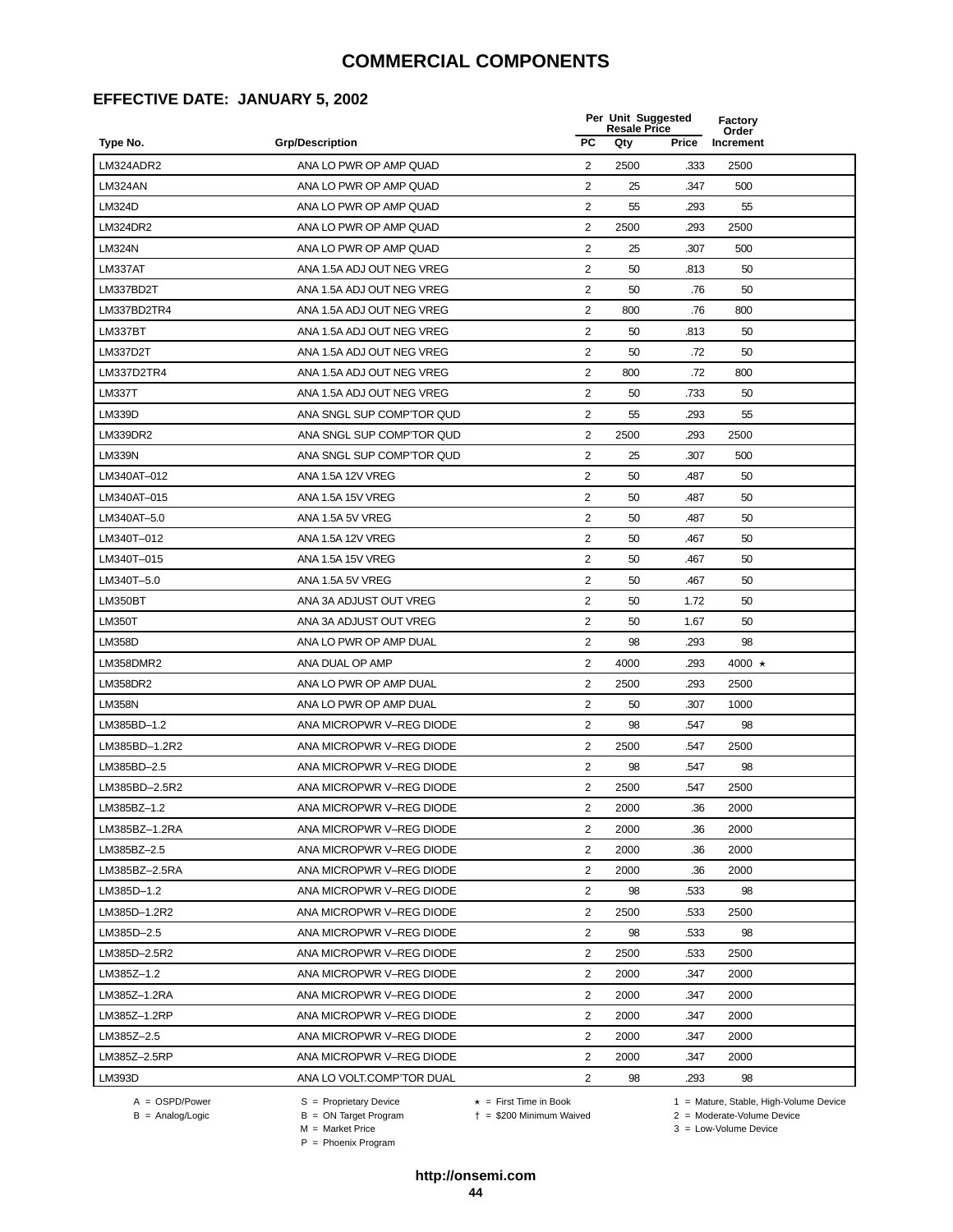### **EFFECTIVE DATE: JANUARY 5, 2002**

|                 |                           |                | Per Unit Suggested<br><b>Resale Price</b> |       | <b>Factory</b><br>Order |  |
|-----------------|---------------------------|----------------|-------------------------------------------|-------|-------------------------|--|
| Type No.        | <b>Grp/Description</b>    | <b>PC</b>      | Qty                                       | Price | Increment               |  |
| LM324ADR2       | ANA LO PWR OP AMP QUAD    | 2              | 2500                                      | .333  | 2500                    |  |
| LM324AN         | ANA LO PWR OP AMP QUAD    | 2              | 25                                        | .347  | 500                     |  |
| <b>LM324D</b>   | ANA LO PWR OP AMP QUAD    | 2              | 55                                        | .293  | 55                      |  |
| <b>LM324DR2</b> | ANA LO PWR OP AMP QUAD    | $\overline{2}$ | 2500                                      | .293  | 2500                    |  |
| <b>LM324N</b>   | ANA LO PWR OP AMP QUAD    | 2              | 25                                        | .307  | 500                     |  |
| LM337AT         | ANA 1.5A ADJ OUT NEG VREG | 2              | 50                                        | .813  | 50                      |  |
| LM337BD2T       | ANA 1.5A ADJ OUT NEG VREG | $\overline{2}$ | 50                                        | .76   | 50                      |  |
| LM337BD2TR4     | ANA 1.5A ADJ OUT NEG VREG | 2              | 800                                       | .76   | 800                     |  |
| LM337BT         | ANA 1.5A ADJ OUT NEG VREG | 2              | 50                                        | .813  | 50                      |  |
| LM337D2T        | ANA 1.5A ADJ OUT NEG VREG | 2              | 50                                        | .72   | 50                      |  |
| LM337D2TR4      | ANA 1.5A ADJ OUT NEG VREG | 2              | 800                                       | .72   | 800                     |  |
| <b>LM337T</b>   | ANA 1.5A ADJ OUT NEG VREG | 2              | 50                                        | .733  | 50                      |  |
| <b>LM339D</b>   | ANA SNGL SUP COMP'TOR QUD | 2              | 55                                        | .293  | 55                      |  |
| LM339DR2        | ANA SNGL SUP COMP'TOR QUD | 2              | 2500                                      | .293  | 2500                    |  |
| <b>LM339N</b>   | ANA SNGL SUP COMP'TOR QUD | 2              | 25                                        | .307  | 500                     |  |
| LM340AT-012     | <b>ANA 1.5A 12V VREG</b>  | $\overline{2}$ | 50                                        | .487  | 50                      |  |
| LM340AT-015     | ANA 1.5A 15V VREG         | $\overline{2}$ | 50                                        | .487  | 50                      |  |
| LM340AT-5.0     | ANA 1.5A 5V VREG          | 2              | 50                                        | .487  | 50                      |  |
| LM340T-012      | ANA 1.5A 12V VREG         | 2              | 50                                        | .467  | 50                      |  |
| LM340T-015      | ANA 1.5A 15V VREG         | 2              | 50                                        | .467  | 50                      |  |
| LM340T-5.0      | ANA 1.5A 5V VREG          | 2              | 50                                        | .467  | 50                      |  |
| <b>LM350BT</b>  | ANA 3A ADJUST OUT VREG    | 2              | 50                                        | 1.72  | 50                      |  |
| <b>LM350T</b>   | ANA 3A ADJUST OUT VREG    | $\overline{c}$ | 50                                        | 1.67  | 50                      |  |
| <b>LM358D</b>   | ANA LO PWR OP AMP DUAL    | 2              | 98                                        | .293  | 98                      |  |
| LM358DMR2       | ANA DUAL OP AMP           | $\overline{2}$ | 4000                                      | .293  | 4000 $\star$            |  |
| LM358DR2        | ANA LO PWR OP AMP DUAL    | 2              | 2500                                      | .293  | 2500                    |  |
| <b>LM358N</b>   | ANA LO PWR OP AMP DUAL    | 2              | 50                                        | .307  | 1000                    |  |
| LM385BD-1.2     | ANA MICROPWR V-REG DIODE  | 2              | 98                                        | .547  | 98                      |  |
| LM385BD-1.2R2   | ANA MICROPWR V-REG DIODE  | $\overline{2}$ | 2500                                      | .547  | 2500                    |  |
| LM385BD-2.5     | ANA MICROPWR V-REG DIODE  | 2              | 98                                        | .547  | 98                      |  |
| LM385BD-2.5R2   | ANA MICROPWR V-REG DIODE  | $\overline{2}$ | 2500                                      | .547  | 2500                    |  |
| LM385BZ-1.2     | ANA MICROPWR V-REG DIODE  | 2              | 2000                                      | .36   | 2000                    |  |
| LM385BZ-1.2RA   | ANA MICROPWR V-REG DIODE  | 2              | 2000                                      | .36   | 2000                    |  |
| LM385BZ-2.5     | ANA MICROPWR V-REG DIODE  | 2              | 2000                                      | .36   | 2000                    |  |
| LM385BZ-2.5RA   | ANA MICROPWR V-REG DIODE  | $\overline{2}$ | 2000                                      | .36   | 2000                    |  |
| LM385D-1.2      | ANA MICROPWR V-REG DIODE  | $\overline{2}$ | 98                                        | .533  | 98                      |  |
| LM385D-1.2R2    | ANA MICROPWR V-REG DIODE  | $\overline{2}$ | 2500                                      | .533  | 2500                    |  |
| LM385D-2.5      | ANA MICROPWR V-REG DIODE  | 2              | 98                                        | .533  | 98                      |  |
| LM385D-2.5R2    | ANA MICROPWR V-REG DIODE  | $\overline{2}$ | 2500                                      | .533  | 2500                    |  |
| LM385Z-1.2      | ANA MICROPWR V-REG DIODE  | $\overline{2}$ | 2000                                      | .347  | 2000                    |  |
| LM385Z-1.2RA    | ANA MICROPWR V-REG DIODE  | $\overline{2}$ | 2000                                      | .347  | 2000                    |  |
| LM385Z-1.2RP    | ANA MICROPWR V-REG DIODE  | 2              | 2000                                      | .347  | 2000                    |  |
| LM385Z-2.5      | ANA MICROPWR V-REG DIODE  | $\overline{2}$ | 2000                                      | .347  | 2000                    |  |
| LM385Z-2.5RP    | ANA MICROPWR V-REG DIODE  | $\overline{2}$ | 2000                                      | .347  | 2000                    |  |
| LM393D          | ANA LO VOLT.COMP'TOR DUAL | $\overline{2}$ | 98                                        | .293  | 98                      |  |

 $B = \text{Analog/Logic}$ <br>B = ON Target Program<br> $M = \text{Market Price}$ 

A = OSPD/Power S = Proprietary Device  $\star$  = First Time in Book 1 = Mature, Stable, High-Volume Device

= \$200 Minimum Waived 2 = Moderate-Volume Device

 $3 =$  Low-Volume Device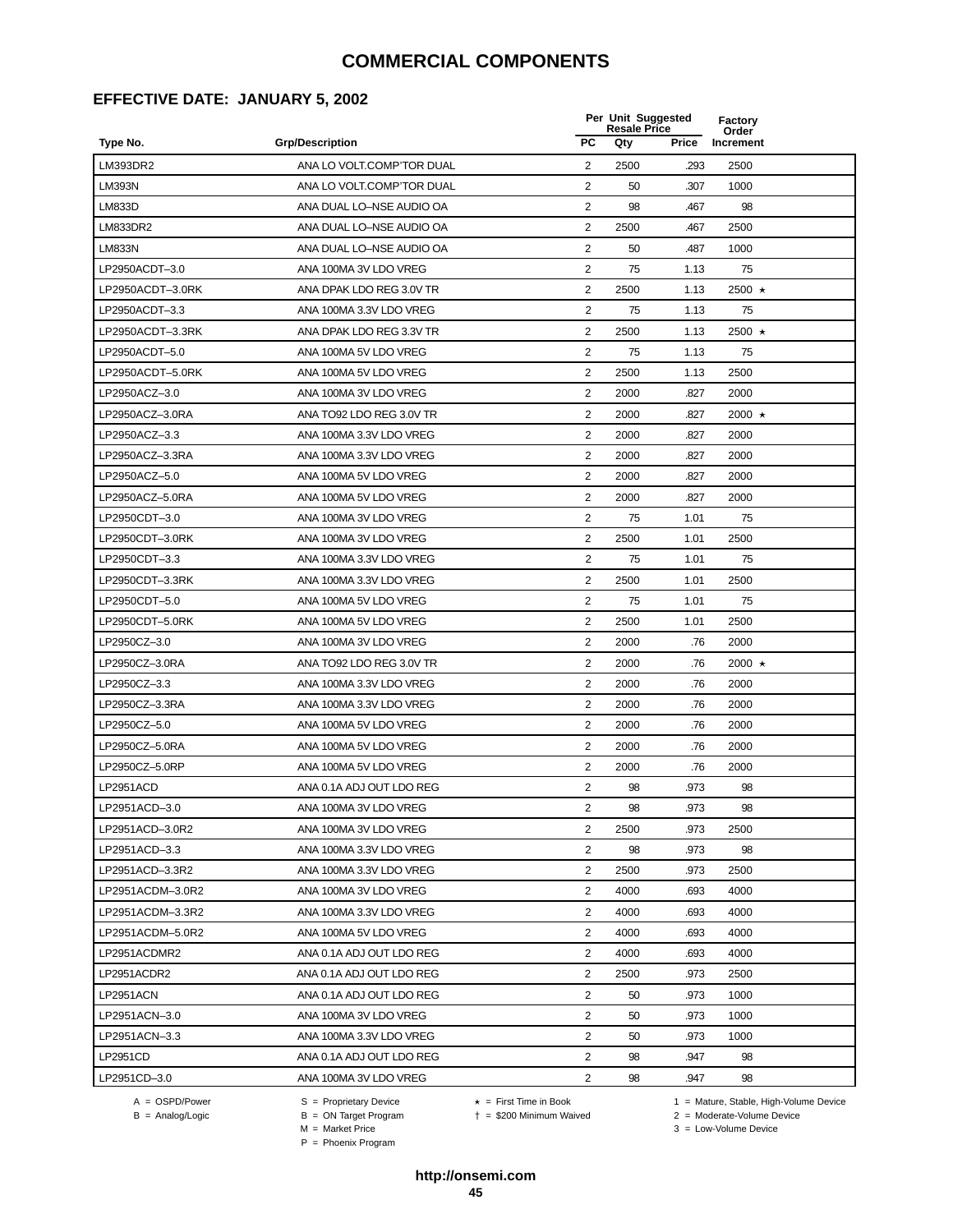### **EFFECTIVE DATE: JANUARY 5, 2002**

|                  |                           |                | Per Unit Suggested<br><b>Resale Price</b> |       | <b>Factory</b><br>Order |
|------------------|---------------------------|----------------|-------------------------------------------|-------|-------------------------|
| Type No.         | <b>Grp/Description</b>    | <b>PC</b>      | Qty                                       | Price | Increment               |
| LM393DR2         | ANA LO VOLT.COMP'TOR DUAL | 2              | 2500                                      | .293  | 2500                    |
| <b>LM393N</b>    | ANA LO VOLT.COMP'TOR DUAL | 2              | 50                                        | .307  | 1000                    |
| <b>LM833D</b>    | ANA DUAL LO-NSE AUDIO OA  | $\overline{2}$ | 98                                        | .467  | 98                      |
| LM833DR2         | ANA DUAL LO-NSE AUDIO OA  | 2              | 2500                                      | .467  | 2500                    |
| <b>LM833N</b>    | ANA DUAL LO-NSE AUDIO OA  | $\overline{2}$ | 50                                        | .487  | 1000                    |
| LP2950ACDT-3.0   | ANA 100MA 3V LDO VREG     | 2              | 75                                        | 1.13  | 75                      |
| LP2950ACDT-3.0RK | ANA DPAK LDO REG 3.0V TR  | $\overline{2}$ | 2500                                      | 1.13  | 2500 $\star$            |
| LP2950ACDT-3.3   | ANA 100MA 3.3V LDO VREG   | 2              | 75                                        | 1.13  | 75                      |
| LP2950ACDT-3.3RK | ANA DPAK LDO REG 3.3V TR  | 2              | 2500                                      | 1.13  | $2500 +$                |
| LP2950ACDT-5.0   | ANA 100MA 5V LDO VREG     | $\overline{2}$ | 75                                        | 1.13  | 75                      |
| LP2950ACDT-5.0RK | ANA 100MA 5V LDO VREG     | 2              | 2500                                      | 1.13  | 2500                    |
| LP2950ACZ-3.0    | ANA 100MA 3V LDO VREG     | 2              | 2000                                      | .827  | 2000                    |
| LP2950ACZ-3.0RA  | ANA TO92 LDO REG 3.0V TR  | $\overline{2}$ | 2000                                      | .827  | 2000 $\star$            |
| LP2950ACZ-3.3    | ANA 100MA 3.3V LDO VREG   | $\overline{2}$ | 2000                                      | .827  | 2000                    |
| LP2950ACZ-3.3RA  | ANA 100MA 3.3V LDO VREG   | 2              | 2000                                      | .827  | 2000                    |
| LP2950ACZ-5.0    | ANA 100MA 5V LDO VREG     | 2              | 2000                                      | .827  | 2000                    |
| LP2950ACZ-5.0RA  | ANA 100MA 5V LDO VREG     | 2              | 2000                                      | .827  | 2000                    |
| LP2950CDT-3.0    | ANA 100MA 3V LDO VREG     | 2              | 75                                        | 1.01  | 75                      |
| LP2950CDT-3.0RK  | ANA 100MA 3V LDO VREG     | $\overline{2}$ | 2500                                      | 1.01  | 2500                    |
| LP2950CDT-3.3    | ANA 100MA 3.3V LDO VREG   | 2              | 75                                        | 1.01  | 75                      |
| LP2950CDT-3.3RK  | ANA 100MA 3.3V LDO VREG   | $\overline{2}$ | 2500                                      | 1.01  | 2500                    |
| LP2950CDT-5.0    | ANA 100MA 5V LDO VREG     | 2              | 75                                        | 1.01  | 75                      |
| LP2950CDT-5.0RK  | ANA 100MA 5V LDO VREG     | $\overline{2}$ | 2500                                      | 1.01  | 2500                    |
| LP2950CZ-3.0     | ANA 100MA 3V LDO VREG     | 2              | 2000                                      | .76   | 2000                    |
| LP2950CZ-3.0RA   | ANA TO92 LDO REG 3.0V TR  | 2              | 2000                                      | .76   | 2000 $\star$            |
| LP2950CZ-3.3     | ANA 100MA 3.3V LDO VREG   | 2              | 2000                                      | .76   | 2000                    |
| LP2950CZ-3.3RA   | ANA 100MA 3.3V LDO VREG   | 2              | 2000                                      | .76   | 2000                    |
| LP2950CZ-5.0     | ANA 100MA 5V LDO VREG     | $\overline{2}$ | 2000                                      | .76   | 2000                    |
| LP2950CZ-5.0RA   | ANA 100MA 5V LDO VREG     | 2              | 2000                                      | .76   | 2000                    |
| LP2950CZ-5.0RP   | ANA 100MA 5V LDO VREG     | $\overline{2}$ | 2000                                      | .76   | 2000                    |
| LP2951ACD        | ANA 0.1A ADJ OUT LDO REG  | $\overline{2}$ | 98                                        | .973  | 98                      |
| LP2951ACD-3.0    | ANA 100MA 3V LDO VREG     | 2              | 98                                        | 973   | 98                      |
| LP2951ACD-3.0R2  | ANA 100MA 3V LDO VREG     | $\overline{2}$ | 2500                                      | .973  | 2500                    |
| LP2951ACD-3.3    | ANA 100MA 3.3V LDO VREG   | 2              | 98                                        | .973  | 98                      |
| LP2951ACD-3.3R2  | ANA 100MA 3.3V LDO VREG   | $\overline{2}$ | 2500                                      | .973  | 2500                    |
| LP2951ACDM-3.0R2 | ANA 100MA 3V LDO VREG     | 2              | 4000                                      | .693  | 4000                    |
| LP2951ACDM-3.3R2 | ANA 100MA 3.3V LDO VREG   | $\overline{2}$ | 4000                                      | .693  | 4000                    |
| LP2951ACDM-5.0R2 | ANA 100MA 5V LDO VREG     | 2              | 4000                                      | .693  | 4000                    |
| LP2951ACDMR2     | ANA 0.1A ADJ OUT LDO REG  | $\overline{2}$ | 4000                                      | .693  | 4000                    |
| LP2951ACDR2      | ANA 0.1A ADJ OUT LDO REG  | 2              | 2500                                      | .973  | 2500                    |
| LP2951ACN        | ANA 0.1A ADJ OUT LDO REG  | 2              | 50                                        | .973  | 1000                    |
| LP2951ACN-3.0    | ANA 100MA 3V LDO VREG     | 2              | 50                                        | .973  | 1000                    |
| LP2951ACN-3.3    | ANA 100MA 3.3V LDO VREG   | 2              | 50                                        | .973  | 1000                    |
| LP2951CD         | ANA 0.1A ADJ OUT LDO REG  | 2              | 98                                        | .947  | 98                      |
| LP2951CD-3.0     | ANA 100MA 3V LDO VREG     | $\overline{2}$ | 98                                        | .947  | 98                      |
|                  |                           |                |                                           |       |                         |

 $B = \text{Analog/Logic}$ <br>B = ON Target Program<br> $M = \text{Market Price}$ 

= \$200 Minimum Waived 2 = Moderate-Volume Device

A = OSPD/Power S = Proprietary Device  $\star$  = First Time in Book 1 = Mature, Stable, High-Volume Device

 $3 =$  Low-Volume Device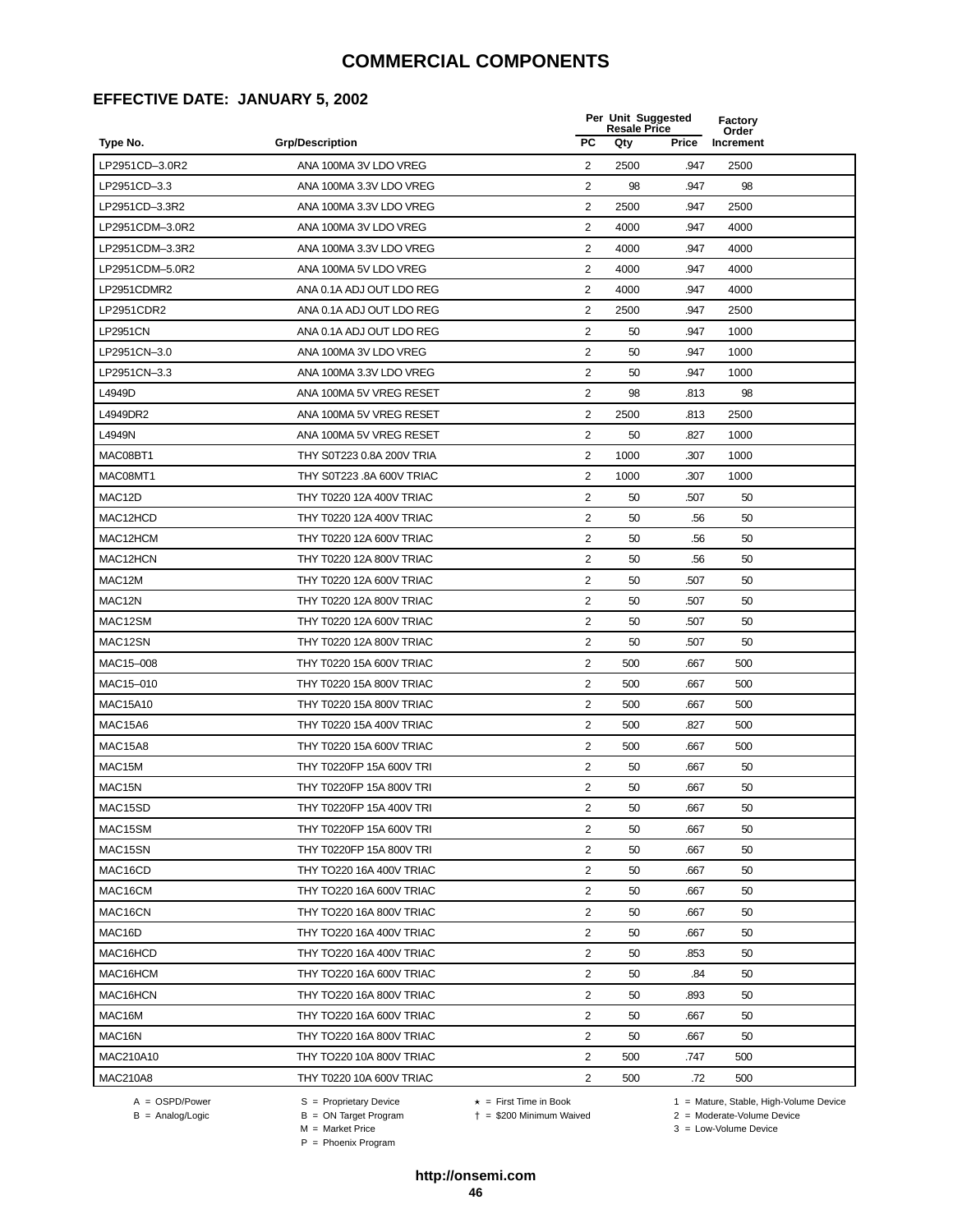### **EFFECTIVE DATE: JANUARY 5, 2002**

|                 |                           |                         | Per Unit Suggested<br><b>Resale Price</b> |       | <b>Factory</b><br>Order |  |
|-----------------|---------------------------|-------------------------|-------------------------------------------|-------|-------------------------|--|
| Type No.        | <b>Grp/Description</b>    | <b>PC</b>               | Qty                                       | Price | Increment               |  |
| LP2951CD-3.0R2  | ANA 100MA 3V LDO VREG     | 2                       | 2500                                      | .947  | 2500                    |  |
| LP2951CD-3.3    | ANA 100MA 3.3V LDO VREG   | 2                       | 98                                        | .947  | 98                      |  |
| LP2951CD-3.3R2  | ANA 100MA 3.3V LDO VREG   | 2                       | 2500                                      | .947  | 2500                    |  |
| LP2951CDM-3.0R2 | ANA 100MA 3V LDO VREG     | $\overline{2}$          | 4000                                      | .947  | 4000                    |  |
| LP2951CDM-3.3R2 | ANA 100MA 3.3V LDO VREG   | $\overline{2}$          | 4000                                      | .947  | 4000                    |  |
| LP2951CDM-5.0R2 | ANA 100MA 5V LDO VREG     | 2                       | 4000                                      | .947  | 4000                    |  |
| LP2951CDMR2     | ANA 0.1A ADJ OUT LDO REG  | $\overline{2}$          | 4000                                      | .947  | 4000                    |  |
| LP2951CDR2      | ANA 0.1A ADJ OUT LDO REG  | 2                       | 2500                                      | .947  | 2500                    |  |
| <b>LP2951CN</b> | ANA 0.1A ADJ OUT LDO REG  | $\overline{2}$          | 50                                        | .947  | 1000                    |  |
| LP2951CN-3.0    | ANA 100MA 3V LDO VREG     | $\overline{2}$          | 50                                        | .947  | 1000                    |  |
| LP2951CN-3.3    | ANA 100MA 3.3V LDO VREG   | 2                       | 50                                        | .947  | 1000                    |  |
| L4949D          | ANA 100MA 5V VREG RESET   | $\overline{2}$          | 98                                        | .813  | 98                      |  |
| L4949DR2        | ANA 100MA 5V VREG RESET   | 2                       | 2500                                      | .813  | 2500                    |  |
| L4949N          | ANA 100MA 5V VREG RESET   | $\overline{2}$          | 50                                        | .827  | 1000                    |  |
| MAC08BT1        | THY S0T223 0.8A 200V TRIA | 2                       | 1000                                      | .307  | 1000                    |  |
| MAC08MT1        | THY S0T223 .8A 600V TRIAC | $\overline{2}$          | 1000                                      | .307  | 1000                    |  |
| MAC12D          | THY T0220 12A 400V TRIAC  | 2                       | 50                                        | .507  | 50                      |  |
| MAC12HCD        | THY T0220 12A 400V TRIAC  | 2                       | 50                                        | .56   | 50                      |  |
| MAC12HCM        | THY T0220 12A 600V TRIAC  | $\overline{2}$          | 50                                        | .56   | 50                      |  |
| MAC12HCN        | THY T0220 12A 800V TRIAC  | 2                       | 50                                        | .56   | 50                      |  |
| MAC12M          | THY T0220 12A 600V TRIAC  | 2                       | 50                                        | .507  | 50                      |  |
| MAC12N          | THY T0220 12A 800V TRIAC  | 2                       | 50                                        | .507  | 50                      |  |
| MAC12SM         | THY T0220 12A 600V TRIAC  | $\overline{2}$          | 50                                        | .507  | 50                      |  |
| MAC12SN         | THY T0220 12A 800V TRIAC  | 2                       | 50                                        | .507  | 50                      |  |
| MAC15-008       | THY T0220 15A 600V TRIAC  | 2                       | 500                                       | .667  | 500                     |  |
| MAC15-010       | THY T0220 15A 800V TRIAC  | 2                       | 500                                       | .667  | 500                     |  |
| MAC15A10        | THY T0220 15A 800V TRIAC  | $\overline{\mathbf{c}}$ | 500                                       | .667  | 500                     |  |
| MAC15A6         | THY T0220 15A 400V TRIAC  | $\overline{2}$          | 500                                       | .827  | 500                     |  |
| MAC15A8         | THY T0220 15A 600V TRIAC  | 2                       | 500                                       | .667  | 500                     |  |
| MAC15M          | THY T0220FP 15A 600V TRI  | $\overline{2}$          | 50                                        | .667  | 50                      |  |
| MAC15N          | THY T0220FP 15A 800V TRI  | $\overline{2}$          | 50                                        | .667  | 50                      |  |
| MAC15SD         | THY T0220FP 15A 400V TRI  | 2                       | 50                                        | 667   | 50                      |  |
| MAC15SM         | THY T0220FP 15A 600V TRI  | $\overline{2}$          | 50                                        | .667  | 50                      |  |
| MAC15SN         | THY T0220FP 15A 800V TRI  | $\overline{2}$          | 50                                        | .667  | 50                      |  |
| MAC16CD         | THY TO220 16A 400V TRIAC  | $\overline{2}$          | 50                                        | .667  | 50                      |  |
| MAC16CM         | THY TO220 16A 600V TRIAC  | $\overline{2}$          | 50                                        | .667  | 50                      |  |
| MAC16CN         | THY TO220 16A 800V TRIAC  | $\overline{2}$          | 50                                        | .667  | 50                      |  |
| MAC16D          | THY TO220 16A 400V TRIAC  | $\overline{2}$          | 50                                        | .667  | 50                      |  |
| MAC16HCD        | THY TO220 16A 400V TRIAC  | $\overline{2}$          | 50                                        | .853  | 50                      |  |
| MAC16HCM        | THY TO220 16A 600V TRIAC  | 2                       | 50                                        | .84   | 50                      |  |
| MAC16HCN        | THY TO220 16A 800V TRIAC  | 2                       | 50                                        | .893  | 50                      |  |
| MAC16M          | THY TO220 16A 600V TRIAC  | 2                       | 50                                        | .667  | 50                      |  |
| MAC16N          | THY TO220 16A 800V TRIAC  | $\overline{2}$          | 50                                        | .667  | 50                      |  |
| MAC210A10       | THY TO220 10A 800V TRIAC  | $\overline{2}$          | 500                                       | .747  | 500                     |  |
| <b>MAC210A8</b> | THY T0220 10A 600V TRIAC  | $\overline{c}$          | 500                                       | .72   | 500                     |  |

-<br>B = ON Target Program<br>M = Market Price

 $A = OBPD/Power$ <br>  $B = ON Target Program$   $A = First Time in Book$   $A = West Theorem 1 = Nature, Stable, High-Volume Device$   $A = Mature, Stable, High-Volume Device$   $A = Mature, Stable, High-Volume Device$   $A = Mature, Table, High-Volume Device$   $A = Mature, Table, High-Volume Device$   $A = Mature, Table, High-Volume Device$   $A = Mature, Table, High-Volume Device$   $A = Mature, Table, High-Volume Device$   $A = Mature, Table, High-Volume Device$   $A = Mature, Table, High-Volume Device$   $A = Mature, Table, High-Volume Device$   $A = Mature, Table, High-Volume Device$   $A = Mature, Table, High-Volume Device$   $A = Mature, Table$ 

 $2 =$  Moderate-Volume Device

 $3 =$  Low-Volume Device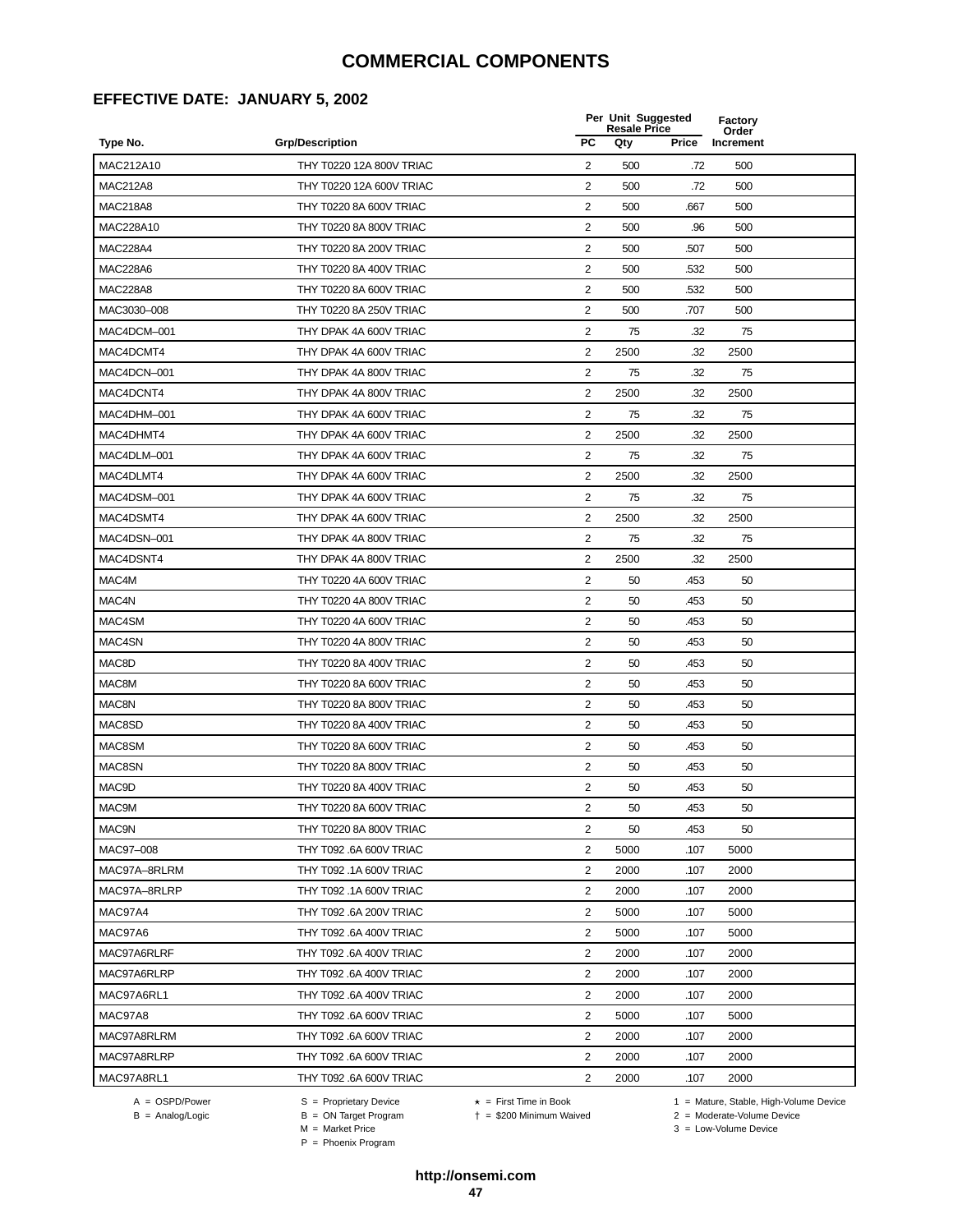### **EFFECTIVE DATE: JANUARY 5, 2002**

|                 |                          |                | Per Unit Suggested<br><b>Resale Price</b> |       | <b>Factory</b><br>Order |  |
|-----------------|--------------------------|----------------|-------------------------------------------|-------|-------------------------|--|
| Type No.        | <b>Grp/Description</b>   | <b>PC</b>      | Qty                                       | Price | Increment               |  |
| MAC212A10       | THY T0220 12A 800V TRIAC | $\overline{2}$ | 500                                       | .72   | 500                     |  |
| <b>MAC212A8</b> | THY T0220 12A 600V TRIAC | 2              | 500                                       | .72   | 500                     |  |
| <b>MAC218A8</b> | THY T0220 8A 600V TRIAC  | 2              | 500                                       | .667  | 500                     |  |
| MAC228A10       | THY T0220 8A 800V TRIAC  | 2              | 500                                       | .96   | 500                     |  |
| <b>MAC228A4</b> | THY T0220 8A 200V TRIAC  | $\sqrt{2}$     | 500                                       | .507  | 500                     |  |
| <b>MAC228A6</b> | THY T0220 8A 400V TRIAC  | 2              | 500                                       | .532  | 500                     |  |
| <b>MAC228A8</b> | THY T0220 8A 600V TRIAC  | $\overline{2}$ | 500                                       | .532  | 500                     |  |
| MAC3030-008     | THY T0220 8A 250V TRIAC  | 2              | 500                                       | .707  | 500                     |  |
| MAC4DCM-001     | THY DPAK 4A 600V TRIAC   | $\overline{2}$ | 75                                        | .32   | 75                      |  |
| MAC4DCMT4       | THY DPAK 4A 600V TRIAC   | $\overline{2}$ | 2500                                      | .32   | 2500                    |  |
| MAC4DCN-001     | THY DPAK 4A 800V TRIAC   | 2              | 75                                        | .32   | 75                      |  |
| MAC4DCNT4       | THY DPAK 4A 800V TRIAC   | $\overline{2}$ | 2500                                      | .32   | 2500                    |  |
| MAC4DHM-001     | THY DPAK 4A 600V TRIAC   | 2              | 75                                        | .32   | 75                      |  |
| MAC4DHMT4       | THY DPAK 4A 600V TRIAC   | $\sqrt{2}$     | 2500                                      | .32   | 2500                    |  |
| MAC4DLM-001     | THY DPAK 4A 600V TRIAC   | 2              | 75                                        | .32   | 75                      |  |
| MAC4DLMT4       | THY DPAK 4A 600V TRIAC   | $\overline{2}$ | 2500                                      | .32   | 2500                    |  |
| MAC4DSM-001     | THY DPAK 4A 600V TRIAC   | 2              | 75                                        | .32   | 75                      |  |
| MAC4DSMT4       | THY DPAK 4A 600V TRIAC   | 2              | 2500                                      | .32   | 2500                    |  |
| MAC4DSN-001     | THY DPAK 4A 800V TRIAC   | 2              | 75                                        | .32   | 75                      |  |
| MAC4DSNT4       | THY DPAK 4A 800V TRIAC   | $\overline{2}$ | 2500                                      | .32   | 2500                    |  |
| MAC4M           | THY T0220 4A 600V TRIAC  | $\overline{2}$ | 50                                        | .453  | 50                      |  |
| MAC4N           | THY T0220 4A 800V TRIAC  | 2              | 50                                        | .453  | 50                      |  |
| MAC4SM          | THY T0220 4A 600V TRIAC  | $\sqrt{2}$     | 50                                        | .453  | 50                      |  |
| MAC4SN          | THY T0220 4A 800V TRIAC  | 2              | 50                                        | .453  | 50                      |  |
| MAC8D           | THY T0220 8A 400V TRIAC  | $\overline{2}$ | 50                                        | .453  | 50                      |  |
| MAC8M           | THY T0220 8A 600V TRIAC  | 2              | 50                                        | .453  | 50                      |  |
| MAC8N           | THY T0220 8A 800V TRIAC  | 2              | 50                                        | .453  | 50                      |  |
| MAC8SD          | THY T0220 8A 400V TRIAC  | 2              | 50                                        | .453  | 50                      |  |
| MAC8SM          | THY T0220 8A 600V TRIAC  | 2              | 50                                        | .453  | 50                      |  |
| MAC8SN          | THY T0220 8A 800V TRIAC  | $\overline{2}$ | 50                                        | .453  | 50                      |  |
| MAC9D           | THY T0220 8A 400V TRIAC  | $\overline{2}$ | 50                                        | .453  | 50                      |  |
| MAC9M           | THY T0220 8A 600V TRIAC  | 2              | 50                                        | 453   | 50                      |  |
| MAC9N           | THY T0220 8A 800V TRIAC  | $\overline{2}$ | 50                                        | .453  | 50                      |  |
| MAC97-008       | THY T092 .6A 600V TRIAC  | $\overline{2}$ | 5000                                      | .107  | 5000                    |  |
| MAC97A-8RLRM    | THY T092 .1A 600V TRIAC  | 2              | 2000                                      | .107  | 2000                    |  |
| MAC97A-8RLRP    | THY T092 .1A 600V TRIAC  | 2              | 2000                                      | .107  | 2000                    |  |
| MAC97A4         | THY T092 .6A 200V TRIAC  | 2              | 5000                                      | .107  | 5000                    |  |
| MAC97A6         | THY T092 .6A 400V TRIAC  | 2              | 5000                                      | .107  | 5000                    |  |
| MAC97A6RLRF     | THY T092 .6A 400V TRIAC  | 2              | 2000                                      | .107  | 2000                    |  |
| MAC97A6RLRP     | THY T092 .6A 400V TRIAC  | $\overline{2}$ | 2000                                      | .107  | 2000                    |  |
| MAC97A6RL1      | THY T092 .6A 400V TRIAC  | $\overline{2}$ | 2000                                      | .107  | 2000                    |  |
| MAC97A8         | THY T092 .6A 600V TRIAC  | 2              | 5000                                      | .107  | 5000                    |  |
| MAC97A8RLRM     | THY T092 .6A 600V TRIAC  | $\overline{2}$ | 2000                                      | .107  | 2000                    |  |
| MAC97A8RLRP     | THY T092 .6A 600V TRIAC  | $\overline{2}$ | 2000                                      | .107  | 2000                    |  |
| MAC97A8RL1      | THY T092 .6A 600V TRIAC  | $\overline{2}$ | 2000                                      | .107  | 2000                    |  |

 $B =$  Analog/Logic  $B =$  ON Target Program  $M =$  Market Price

= \$200 Minimum Waived 2 = Moderate-Volume Device

A = OSPD/Power S = Proprietary Device  $\star$  = First Time in Book 1 = Mature, Stable, High-Volume Device

P = Phoenix Program

 $3 =$  Low-Volume Device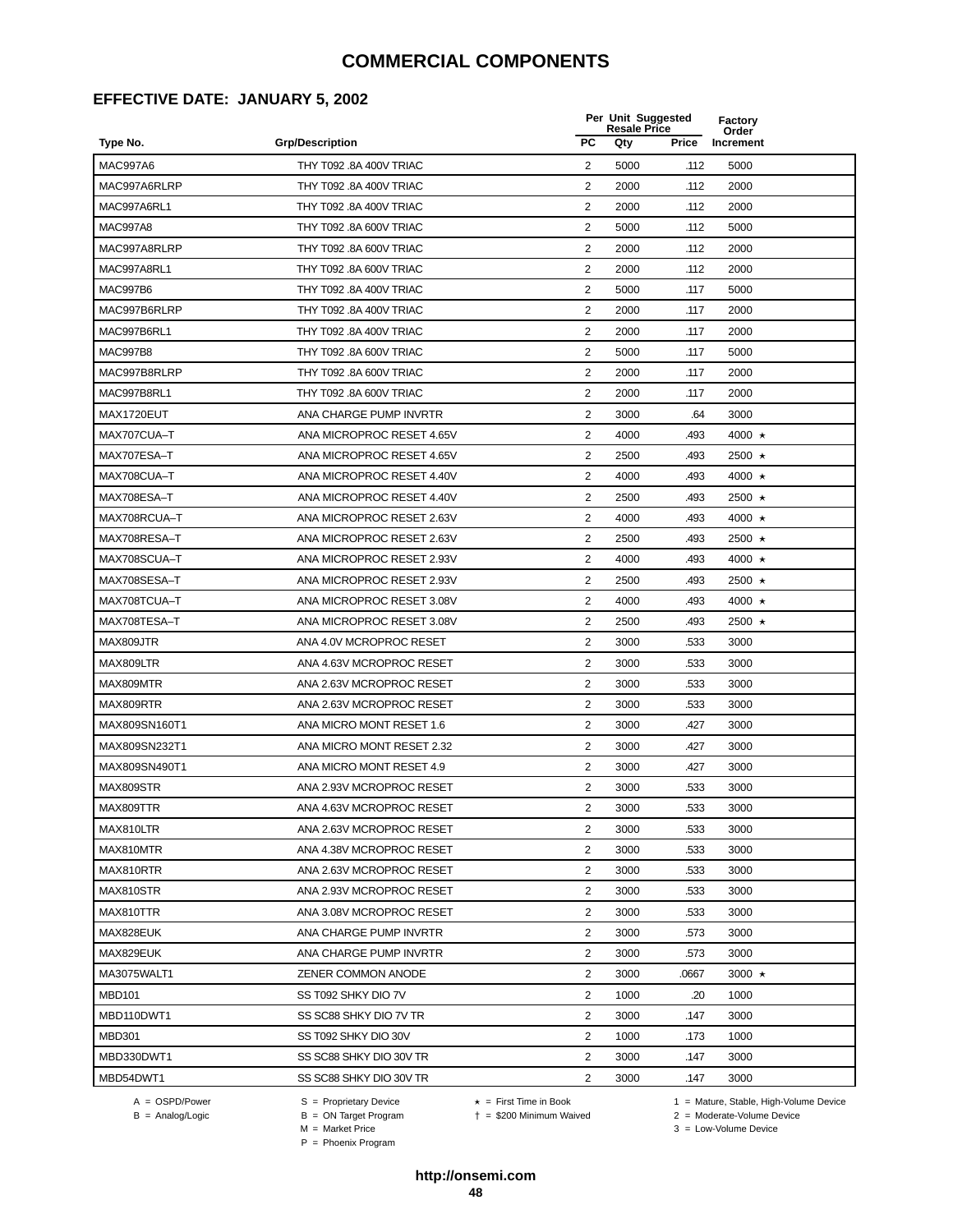#### **EFFECTIVE DATE: JANUARY 5, 2002**

|                 |                           | Per Unit Suggested<br><b>Resale Price</b> |      |       | Factory<br>Order |
|-----------------|---------------------------|-------------------------------------------|------|-------|------------------|
| Type No.        | <b>Grp/Description</b>    | <b>PC</b>                                 | Qty  | Price | Increment        |
| <b>MAC997A6</b> | THY T092 .8A 400V TRIAC   | 2                                         | 5000 | .112  | 5000             |
| MAC997A6RLRP    | THY T092 .8A 400V TRIAC   | 2                                         | 2000 | .112  | 2000             |
| MAC997A6RL1     | THY T092 .8A 400V TRIAC   | $\overline{2}$                            | 2000 | .112  | 2000             |
| <b>MAC997A8</b> | THY T092 .8A 600V TRIAC   | $\overline{2}$                            | 5000 | .112  | 5000             |
| MAC997A8RLRP    | THY T092 .8A 600V TRIAC   | $\overline{2}$                            | 2000 | .112  | 2000             |
| MAC997A8RL1     | THY T092 .8A 600V TRIAC   | $\overline{2}$                            | 2000 | .112  | 2000             |
| <b>MAC997B6</b> | THY T092 .8A 400V TRIAC   | $\overline{2}$                            | 5000 | .117  | 5000             |
| MAC997B6RLRP    | THY T092 .8A 400V TRIAC   | $\overline{2}$                            | 2000 | .117  | 2000             |
| MAC997B6RL1     | THY T092 .8A 400V TRIAC   | $\overline{2}$                            | 2000 | .117  | 2000             |
| <b>MAC997B8</b> | THY T092 .8A 600V TRIAC   | 2                                         | 5000 | .117  | 5000             |
| MAC997B8RLRP    | THY T092 .8A 600V TRIAC   | 2                                         | 2000 | .117  | 2000             |
| MAC997B8RL1     | THY T092 .8A 600V TRIAC   | $\overline{2}$                            | 2000 | .117  | 2000             |
| MAX1720EUT      | ANA CHARGE PUMP INVRTR    | $\overline{2}$                            | 3000 | .64   | 3000             |
| MAX707CUA-T     | ANA MICROPROC RESET 4.65V | 2                                         | 4000 | .493  | 4000 $\star$     |
| MAX707ESA-T     | ANA MICROPROC RESET 4.65V | 2                                         | 2500 | .493  | 2500 $\star$     |
| MAX708CUA-T     | ANA MICROPROC RESET 4.40V | $\overline{2}$                            | 4000 | .493  | 4000 $\star$     |
| MAX708ESA-T     | ANA MICROPROC RESET 4.40V | 2                                         | 2500 | .493  | 2500 $\star$     |
| MAX708RCUA-T    | ANA MICROPROC RESET 2.63V | 2                                         | 4000 | .493  | 4000 ★           |
| MAX708RESA-T    | ANA MICROPROC RESET 2.63V | $\overline{2}$                            | 2500 | .493  | 2500 $\star$     |
| MAX708SCUA-T    | ANA MICROPROC RESET 2.93V | 2                                         | 4000 | .493  | 4000 $\star$     |
| MAX708SESA-T    | ANA MICROPROC RESET 2.93V | 2                                         | 2500 | .493  | 2500 $\star$     |
| MAX708TCUA-T    | ANA MICROPROC RESET 3.08V | 2                                         | 4000 | .493  | 4000 $\star$     |
| MAX708TESA-T    | ANA MICROPROC RESET 3.08V | $\overline{\mathbf{c}}$                   | 2500 | .493  | 2500 $\star$     |
| MAX809JTR       | ANA 4.0V MCROPROC RESET   | $\overline{2}$                            | 3000 | .533  | 3000             |
| MAX809LTR       | ANA 4.63V MCROPROC RESET  | $\overline{2}$                            | 3000 | .533  | 3000             |
| MAX809MTR       | ANA 2.63V MCROPROC RESET  | $\overline{2}$                            | 3000 | .533  | 3000             |
| MAX809RTR       | ANA 2.63V MCROPROC RESET  | $\overline{c}$                            | 3000 | .533  | 3000             |
| MAX809SN160T1   | ANA MICRO MONT RESET 1.6  | 2                                         | 3000 | .427  | 3000             |
| MAX809SN232T1   | ANA MICRO MONT RESET 2.32 | 2                                         | 3000 | .427  | 3000             |
| MAX809SN490T1   | ANA MICRO MONT RESET 4.9  | $\overline{2}$                            | 3000 | .427  | 3000             |
| MAX809STR       | ANA 2.93V MCROPROC RESET  | $\overline{2}$                            | 3000 | .533  | 3000             |
| MAX809TTR       | ANA 4.63V MCROPROC RESET  | $\overline{\mathbf{c}}$                   | 3000 | 533   | 3000             |
| MAX810LTR       | ANA 2.63V MCROPROC RESET  | 2                                         | 3000 | .533  | 3000             |
| MAX810MTR       | ANA 4.38V MCROPROC RESET  | $\overline{2}$                            | 3000 | .533  | 3000             |
| MAX810RTR       | ANA 2.63V MCROPROC RESET  | 2                                         | 3000 | .533  | 3000             |
| MAX810STR       | ANA 2.93V MCROPROC RESET  | 2                                         | 3000 | .533  | 3000             |
| MAX810TTR       | ANA 3.08V MCROPROC RESET  | 2                                         | 3000 | .533  | 3000             |
| MAX828EUK       | ANA CHARGE PUMP INVRTR    | 2                                         | 3000 | .573  | 3000             |
| MAX829EUK       | ANA CHARGE PUMP INVRTR    | $\overline{2}$                            | 3000 | .573  | 3000             |
| MA3075WALT1     | ZENER COMMON ANODE        | 2                                         | 3000 | .0667 | 3000 $\star$     |
| <b>MBD101</b>   | SS T092 SHKY DIO 7V       | 2                                         | 1000 | .20   | 1000             |
| MBD110DWT1      | SS SC88 SHKY DIO 7V TR    | 2                                         | 3000 | .147  | 3000             |
| <b>MBD301</b>   | SS T092 SHKY DIO 30V      | $\overline{2}$                            | 1000 | .173  | 1000             |
| MBD330DWT1      | SS SC88 SHKY DIO 30V TR   | 2                                         | 3000 | .147  | 3000             |
| MBD54DWT1       | SS SC88 SHKY DIO 30V TR   | $\overline{2}$                            | 3000 | .147  | 3000             |
|                 |                           |                                           |      |       |                  |

 $B = \text{Analog/Logic}$ <br>B = ON Target Program<br> $M = \text{Market Price}$ 

= \$200 Minimum Waived 2 = Moderate-Volume Device

A = OSPD/Power S = Proprietary Device  $\star$  = First Time in Book 1 = Mature, Stable, High-Volume Device

 $3 =$  Low-Volume Device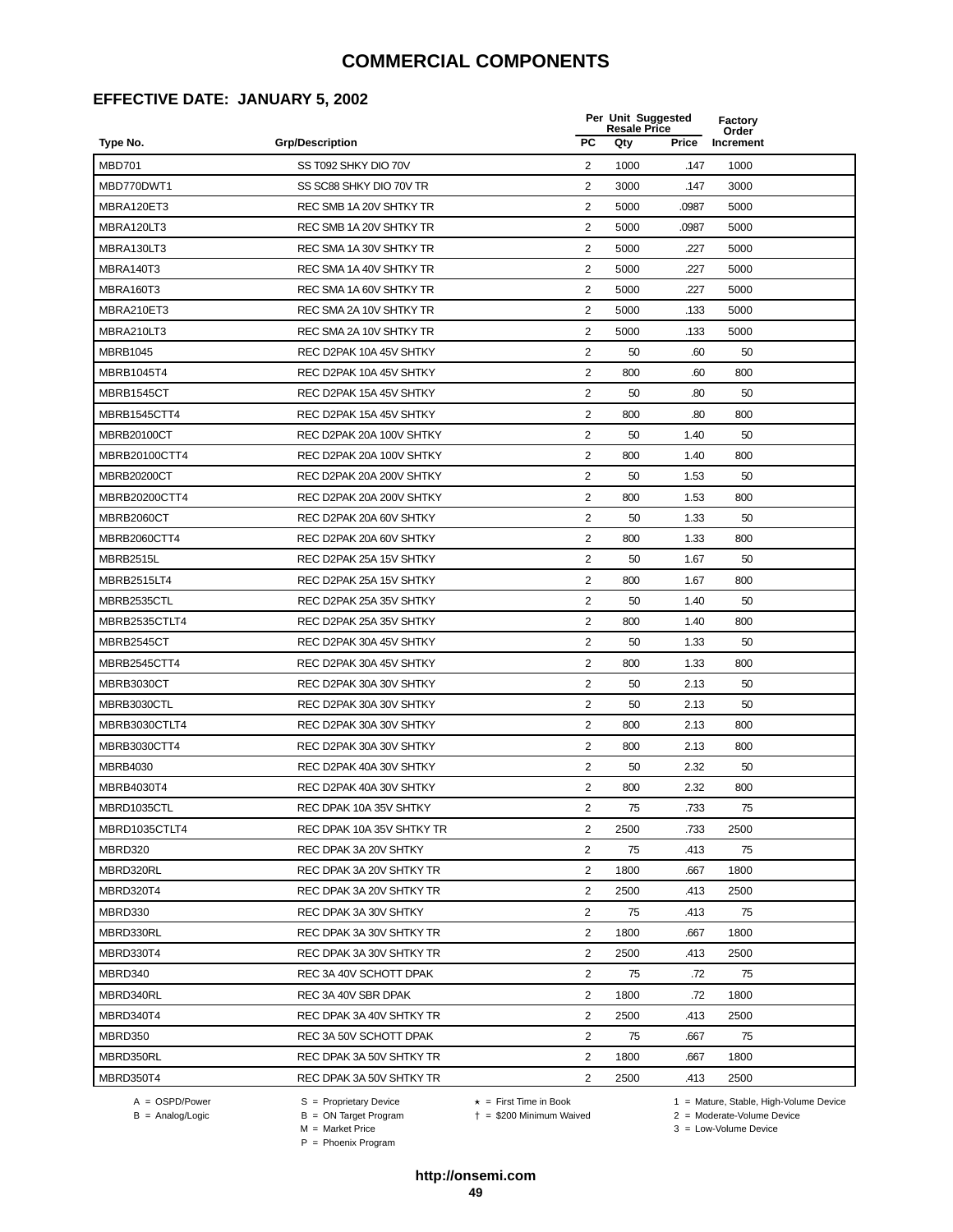## **EFFECTIVE DATE: JANUARY 5, 2002**

|                    |                           |                         | Per Unit Suggested<br><b>Resale Price</b> | <b>Factory</b><br>Order |           |  |
|--------------------|---------------------------|-------------------------|-------------------------------------------|-------------------------|-----------|--|
| Type No.           | <b>Grp/Description</b>    | <b>PC</b>               | Qty                                       | Price                   | Increment |  |
| <b>MBD701</b>      | SS T092 SHKY DIO 70V      | 2                       | 1000                                      | .147                    | 1000      |  |
| MBD770DWT1         | SS SC88 SHKY DIO 70V TR   | $\overline{2}$          | 3000                                      | .147                    | 3000      |  |
| MBRA120ET3         | REC SMB 1A 20V SHTKY TR   | 2                       | 5000                                      | .0987                   | 5000      |  |
| MBRA120LT3         | REC SMB 1A 20V SHTKY TR   | $\overline{2}$          | 5000                                      | .0987                   | 5000      |  |
| MBRA130LT3         | REC SMA 1A 30V SHTKY TR   | $\overline{2}$          | 5000                                      | .227                    | 5000      |  |
| MBRA140T3          | REC SMA 1A 40V SHTKY TR   | 2                       | 5000                                      | .227                    | 5000      |  |
| <b>MBRA160T3</b>   | REC SMA 1A 60V SHTKY TR   | $\overline{2}$          | 5000                                      | .227                    | 5000      |  |
| MBRA210ET3         | REC SMA 2A 10V SHTKY TR   | 2                       | 5000                                      | .133                    | 5000      |  |
| MBRA210LT3         | REC SMA 2A 10V SHTKY TR   | 2                       | 5000                                      | .133                    | 5000      |  |
| <b>MBRB1045</b>    | REC D2PAK 10A 45V SHTKY   | $\overline{2}$          | 50                                        | .60                     | 50        |  |
| MBRB1045T4         | REC D2PAK 10A 45V SHTKY   | 2                       | 800                                       | .60                     | 800       |  |
| MBRB1545CT         | REC D2PAK 15A 45V SHTKY   | $\overline{2}$          | 50                                        | .80                     | 50        |  |
| MBRB1545CTT4       | REC D2PAK 15A 45V SHTKY   | 2                       | 800                                       | .80                     | 800       |  |
| <b>MBRB20100CT</b> | REC D2PAK 20A 100V SHTKY  | $\sqrt{2}$              | 50                                        | 1.40                    | 50        |  |
| MBRB20100CTT4      | REC D2PAK 20A 100V SHTKY  | 2                       | 800                                       | 1.40                    | 800       |  |
| <b>MBRB20200CT</b> | REC D2PAK 20A 200V SHTKY  | $\overline{2}$          | 50                                        | 1.53                    | 50        |  |
| MBRB20200CTT4      | REC D2PAK 20A 200V SHTKY  | 2                       | 800                                       | 1.53                    | 800       |  |
| <b>MBRB2060CT</b>  | REC D2PAK 20A 60V SHTKY   | $\overline{\mathbf{c}}$ | 50                                        | 1.33                    | 50        |  |
| MBRB2060CTT4       | REC D2PAK 20A 60V SHTKY   | $\overline{2}$          | 800                                       | 1.33                    | 800       |  |
| MBRB2515L          | REC D2PAK 25A 15V SHTKY   | 2                       | 50                                        | 1.67                    | 50        |  |
| MBRB2515LT4        | REC D2PAK 25A 15V SHTKY   | $\overline{2}$          | 800                                       | 1.67                    | 800       |  |
| MBRB2535CTL        | REC D2PAK 25A 35V SHTKY   | $\overline{2}$          | 50                                        | 1.40                    | 50        |  |
| MBRB2535CTLT4      | REC D2PAK 25A 35V SHTKY   | $\overline{2}$          | 800                                       | 1.40                    | 800       |  |
| MBRB2545CT         | REC D2PAK 30A 45V SHTKY   | $\overline{2}$          | 50                                        | 1.33                    | 50        |  |
| MBRB2545CTT4       | REC D2PAK 30A 45V SHTKY   | $\overline{2}$          | 800                                       | 1.33                    | 800       |  |
| MBRB3030CT         | REC D2PAK 30A 30V SHTKY   | $\overline{2}$          | 50                                        | 2.13                    | 50        |  |
| MBRB3030CTL        | REC D2PAK 30A 30V SHTKY   | $\overline{\mathbf{c}}$ | 50                                        | 2.13                    | 50        |  |
| MBRB3030CTLT4      | REC D2PAK 30A 30V SHTKY   | 2                       | 800                                       | 2.13                    | 800       |  |
| MBRB3030CTT4       | REC D2PAK 30A 30V SHTKY   | 2                       | 800                                       | 2.13                    | 800       |  |
| <b>MBRB4030</b>    | REC D2PAK 40A 30V SHTKY   | $\overline{2}$          | 50                                        | 2.32                    | 50        |  |
| MBRB4030T4         | REC D2PAK 40A 30V SHTKY   | $\overline{2}$          | 800                                       | 2.32                    | 800       |  |
| MBRD1035CTL        | REC DPAK 10A 35V SHTKY    | $\overline{\mathbf{c}}$ | 75                                        | .733                    | 75        |  |
| MBRD1035CTLT4      | REC DPAK 10A 35V SHTKY TR | 2                       | 2500                                      | .733                    | 2500      |  |
| MBRD320            | REC DPAK 3A 20V SHTKY     | $\overline{2}$          | 75                                        | .413                    | 75        |  |
| MBRD320RL          | REC DPAK 3A 20V SHTKY TR  | $\overline{2}$          | 1800                                      | .667                    | 1800      |  |
| MBRD320T4          | REC DPAK 3A 20V SHTKY TR  | 2                       | 2500                                      | .413                    | 2500      |  |
| MBRD330            | REC DPAK 3A 30V SHTKY     | $\overline{2}$          | 75                                        | .413                    | 75        |  |
| MBRD330RL          | REC DPAK 3A 30V SHTKY TR  | 2                       | 1800                                      | .667                    | 1800      |  |
| MBRD330T4          | REC DPAK 3A 30V SHTKY TR  | $\overline{2}$          | 2500                                      | .413                    | 2500      |  |
| MBRD340            | REC 3A 40V SCHOTT DPAK    | 2                       | 75                                        | .72                     | 75        |  |
| MBRD340RL          | REC 3A 40V SBR DPAK       | 2                       | 1800                                      | .72                     | 1800      |  |
| MBRD340T4          | REC DPAK 3A 40V SHTKY TR  | 2                       | 2500                                      | .413                    | 2500      |  |
| MBRD350            | REC 3A 50V SCHOTT DPAK    | 2                       | 75                                        | .667                    | 75        |  |
| MBRD350RL          | REC DPAK 3A 50V SHTKY TR  | $\overline{2}$          | 1800                                      | .667                    | 1800      |  |
| MBRD350T4          | REC DPAK 3A 50V SHTKY TR  | 2                       | 2500                                      | .413                    | 2500      |  |

-<br>B = ON Target Program<br>M = Market Price

 $A = OBPD/Power$ <br>  $B = ON Target Program$   $A = First Time in Book$   $A = West Theorem 1 = Nature, Stable, High-Volume Device$   $A = Mature, Stable, High-Volume Device$   $A = Mature, Stable, High-Volume Device$   $A = Mature, Table, High-Volume Device$   $A = Mature, Table, High-Volume Device$   $A = Mature, Table, High-Volume Device$   $A = Mature, Table, High-Volume Device$   $A = Mature, Table, High-Volume Device$   $A = Mature, Table, High-Volume Device$   $A = Mature, Table, High-Volume Device$   $A = Mature, Table, High-Volume Device$   $A = Mature, Table, High-Volume Device$   $A = Mature, Table, High-Volume Device$   $A = Mature, Table$ 

 $2 =$  Moderate-Volume Device  $3 =$  Low-Volume Device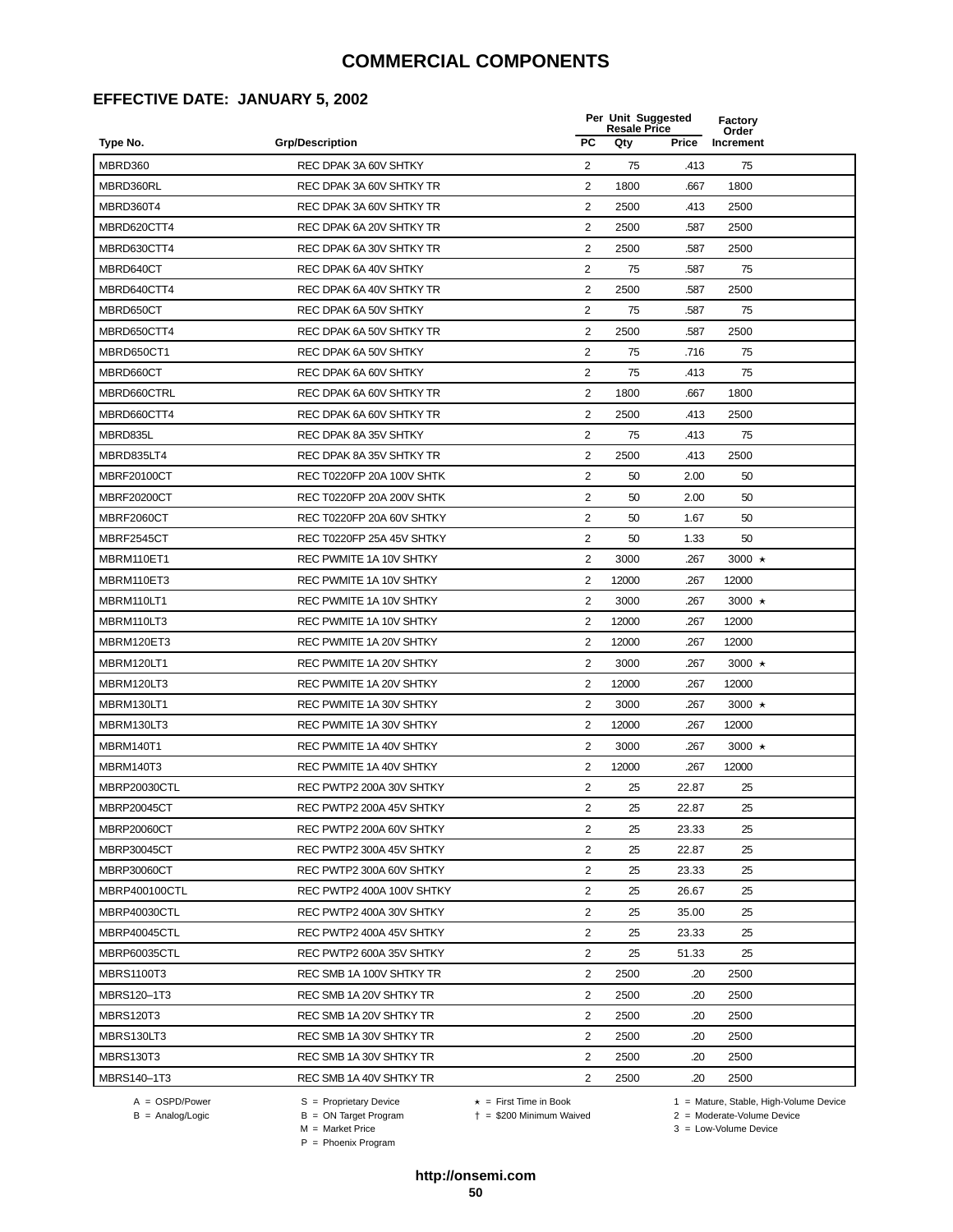### **EFFECTIVE DATE: JANUARY 5, 2002**

|                     |                           |                | Per Unit Suggested<br><b>Resale Price</b> | <b>Factory</b><br>Order |              |  |
|---------------------|---------------------------|----------------|-------------------------------------------|-------------------------|--------------|--|
| Type No.            | <b>Grp/Description</b>    | <b>PC</b>      | Qty                                       | Price                   | Increment    |  |
| MBRD360             | REC DPAK 3A 60V SHTKY     | $\overline{2}$ | 75                                        | .413                    | 75           |  |
| MBRD360RL           | REC DPAK 3A 60V SHTKY TR  | 2              | 1800                                      | .667                    | 1800         |  |
| MBRD360T4           | REC DPAK 3A 60V SHTKY TR  | 2              | 2500                                      | .413                    | 2500         |  |
| MBRD620CTT4         | REC DPAK 6A 20V SHTKY TR  | 2              | 2500                                      | .587                    | 2500         |  |
| MBRD630CTT4         | REC DPAK 6A 30V SHTKY TR  | $\overline{c}$ | 2500                                      | .587                    | 2500         |  |
| MBRD640CT           | REC DPAK 6A 40V SHTKY     | 2              | 75                                        | .587                    | 75           |  |
| MBRD640CTT4         | REC DPAK 6A 40V SHTKY TR  | $\overline{2}$ | 2500                                      | .587                    | 2500         |  |
| MBRD650CT           | REC DPAK 6A 50V SHTKY     | $\overline{2}$ | 75                                        | .587                    | 75           |  |
| MBRD650CTT4         | REC DPAK 6A 50V SHTKY TR  | 2              | 2500                                      | .587                    | 2500         |  |
| MBRD650CT1          | REC DPAK 6A 50V SHTKY     | $\overline{2}$ | 75                                        | .716                    | 75           |  |
| MBRD660CT           | REC DPAK 6A 60V SHTKY     | 2              | 75                                        | .413                    | 75           |  |
| MBRD660CTRL         | REC DPAK 6A 60V SHTKY TR  | $\overline{2}$ | 1800                                      | .667                    | 1800         |  |
| MBRD660CTT4         | REC DPAK 6A 60V SHTKY TR  | 2              | 2500                                      | .413                    | 2500         |  |
| MBRD835L            | REC DPAK 8A 35V SHTKY     | $\sqrt{2}$     | 75                                        | .413                    | 75           |  |
| MBRD835LT4          | REC DPAK 8A 35V SHTKY TR  | 2              | 2500                                      | .413                    | 2500         |  |
| <b>MBRF20100CT</b>  | REC T0220FP 20A 100V SHTK | $\overline{2}$ | 50                                        | 2.00                    | 50           |  |
| <b>MBRF20200CT</b>  | REC T0220FP 20A 200V SHTK | 2              | 50                                        | 2.00                    | 50           |  |
| MBRF2060CT          | REC T0220FP 20A 60V SHTKY | $\overline{2}$ | 50                                        | 1.67                    | 50           |  |
| MBRF2545CT          | REC T0220FP 25A 45V SHTKY | 2              | 50                                        | 1.33                    | 50           |  |
| MBRM110ET1          | REC PWMITE 1A 10V SHTKY   | 2              | 3000                                      | .267                    | 3000 $\star$ |  |
| MBRM110ET3          | REC PWMITE 1A 10V SHTKY   | $\overline{2}$ | 12000                                     | .267                    | 12000        |  |
| MBRM110LT1          | REC PWMITE 1A 10V SHTKY   | 2              | 3000                                      | .267                    | 3000 $\star$ |  |
| MBRM110LT3          | REC PWMITE 1A 10V SHTKY   | $\overline{2}$ | 12000                                     | .267                    | 12000        |  |
| MBRM120ET3          | REC PWMITE 1A 20V SHTKY   | $\overline{2}$ | 12000                                     | .267                    | 12000        |  |
| MBRM120LT1          | REC PWMITE 1A 20V SHTKY   | $\overline{2}$ | 3000                                      | .267                    | 3000 $\star$ |  |
| MBRM120LT3          | REC PWMITE 1A 20V SHTKY   | $\overline{2}$ | 12000                                     | .267                    | 12000        |  |
| MBRM130LT1          | REC PWMITE 1A 30V SHTKY   | $\overline{2}$ | 3000                                      | .267                    | 3000 $\star$ |  |
| MBRM130LT3          | REC PWMITE 1A 30V SHTKY   | $\overline{2}$ | 12000                                     | .267                    | 12000        |  |
| MBRM140T1           | REC PWMITE 1A 40V SHTKY   | 2              | 3000                                      | .267                    | 3000 $\star$ |  |
| MBRM140T3           | REC PWMITE 1A 40V SHTKY   | $\overline{2}$ | 12000                                     | .267                    | 12000        |  |
| <b>MBRP20030CTL</b> | REC PWTP2 200A 30V SHTKY  | $\overline{2}$ | 25                                        | 22.87                   | 25           |  |
| <b>MBRP20045CT</b>  | REC PWTP2 200A 45V SHTKY  | 2              | 25                                        | 22.87                   | 25           |  |
| <b>MBRP20060CT</b>  | REC PWTP2 200A 60V SHTKY  | $\overline{2}$ | 25                                        | 23.33                   | 25           |  |
| MBRP30045CT         | REC PWTP2 300A 45V SHTKY  | 2              | 25                                        | 22.87                   | 25           |  |
| <b>MBRP30060CT</b>  | REC PWTP2 300A 60V SHTKY  | $\overline{2}$ | 25                                        | 23.33                   | 25           |  |
| MBRP400100CTL       | REC PWTP2 400A 100V SHTKY | $\overline{2}$ | 25                                        | 26.67                   | 25           |  |
| <b>MBRP40030CTL</b> | REC PWTP2 400A 30V SHTKY  | $\overline{2}$ | 25                                        | 35.00                   | 25           |  |
| MBRP40045CTL        | REC PWTP2 400A 45V SHTKY  | 2              | 25                                        | 23.33                   | 25           |  |
| MBRP60035CTL        | REC PWTP2 600A 35V SHTKY  | $\overline{2}$ | 25                                        | 51.33                   | 25           |  |
| <b>MBRS1100T3</b>   | REC SMB 1A 100V SHTKY TR  | $\overline{2}$ | 2500                                      | .20                     | 2500         |  |
| MBRS120-1T3         | REC SMB 1A 20V SHTKY TR   | $\overline{2}$ | 2500                                      | .20                     | 2500         |  |
| <b>MBRS120T3</b>    | REC SMB 1A 20V SHTKY TR   | 2              | 2500                                      | .20                     | 2500         |  |
| MBRS130LT3          | REC SMB 1A 30V SHTKY TR   | 2              | 2500                                      | .20                     | 2500         |  |
| MBRS130T3           | REC SMB 1A 30V SHTKY TR   | $\overline{2}$ | 2500                                      | .20                     | 2500         |  |
| MBRS140-1T3         | REC SMB 1A 40V SHTKY TR   | 2              | 2500                                      | .20                     | 2500         |  |
|                     |                           |                |                                           |                         |              |  |

 $B = \text{Analog/Logic}$ <br>B = ON Target Program<br> $M = \text{Market Price}$ 

A = OSPD/Power S = Proprietary Device  $\star$  = First Time in Book 1 = Mature, Stable, High-Volume Device

= \$200 Minimum Waived 2 = Moderate-Volume Device

 $3 =$  Low-Volume Device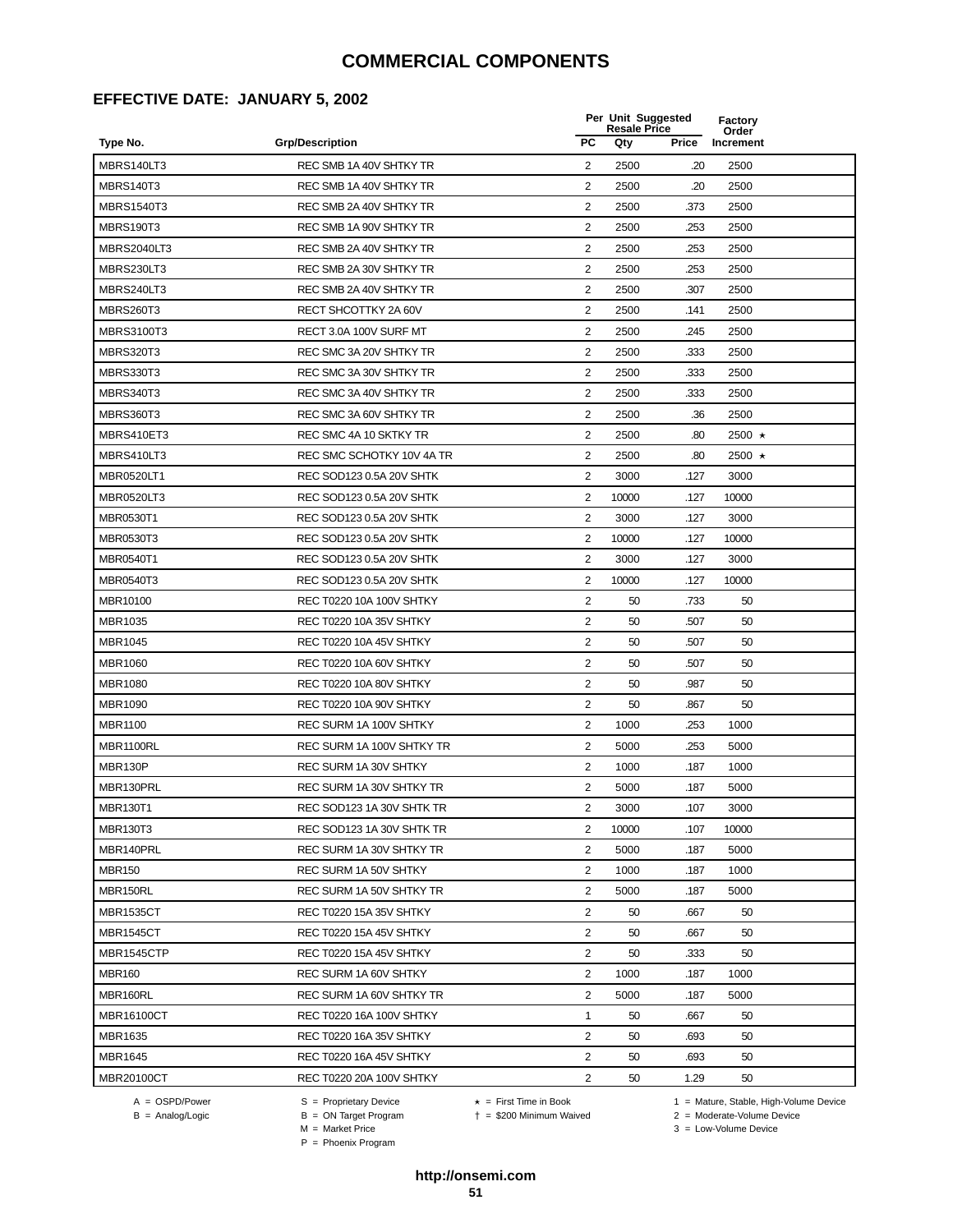### **EFFECTIVE DATE: JANUARY 5, 2002**

|                    |                           |                         | Per Unit Suggested<br><b>Resale Price</b> | <b>Factory</b><br>Order |              |  |
|--------------------|---------------------------|-------------------------|-------------------------------------------|-------------------------|--------------|--|
| Type No.           | <b>Grp/Description</b>    | <b>PC</b>               | Qty                                       | Price                   | Increment    |  |
| MBRS140LT3         | REC SMB 1A 40V SHTKY TR   | 2                       | 2500                                      | .20                     | 2500         |  |
| <b>MBRS140T3</b>   | REC SMB 1A 40V SHTKY TR   | 2                       | 2500                                      | .20                     | 2500         |  |
| <b>MBRS1540T3</b>  | REC SMB 2A 40V SHTKY TR   | 2                       | 2500                                      | .373                    | 2500         |  |
| <b>MBRS190T3</b>   | REC SMB 1A 90V SHTKY TR   | $\overline{2}$          | 2500                                      | .253                    | 2500         |  |
| <b>MBRS2040LT3</b> | REC SMB 2A 40V SHTKY TR   | $\overline{\mathbf{c}}$ | 2500                                      | .253                    | 2500         |  |
| MBRS230LT3         | REC SMB 2A 30V SHTKY TR   | 2                       | 2500                                      | .253                    | 2500         |  |
| MBRS240LT3         | REC SMB 2A 40V SHTKY TR   | $\overline{2}$          | 2500                                      | .307                    | 2500         |  |
| <b>MBRS260T3</b>   | RECT SHCOTTKY 2A 60V      | 2                       | 2500                                      | .141                    | 2500         |  |
| <b>MBRS3100T3</b>  | RECT 3.0A 100V SURF MT    | 2                       | 2500                                      | .245                    | 2500         |  |
| <b>MBRS320T3</b>   | REC SMC 3A 20V SHTKY TR   | $\overline{2}$          | 2500                                      | .333                    | 2500         |  |
| <b>MBRS330T3</b>   | REC SMC 3A 30V SHTKY TR   | $\overline{2}$          | 2500                                      | .333                    | 2500         |  |
| <b>MBRS340T3</b>   | REC SMC 3A 40V SHTKY TR   | $\overline{2}$          | 2500                                      | .333                    | 2500         |  |
| <b>MBRS360T3</b>   | REC SMC 3A 60V SHTKY TR   | 2                       | 2500                                      | .36                     | 2500         |  |
| MBRS410ET3         | REC SMC 4A 10 SKTKY TR    | $\overline{2}$          | 2500                                      | .80                     | 2500 ★       |  |
| MBRS410LT3         | REC SMC SCHOTKY 10V 4A TR | 2                       | 2500                                      | .80                     | 2500 $\star$ |  |
| MBR0520LT1         | REC SOD123 0.5A 20V SHTK  | $\overline{2}$          | 3000                                      | .127                    | 3000         |  |
| MBR0520LT3         | REC SOD123 0.5A 20V SHTK  | $\overline{2}$          | 10000                                     | .127                    | 10000        |  |
| MBR0530T1          | REC SOD123 0.5A 20V SHTK  | $\overline{2}$          | 3000                                      | .127                    | 3000         |  |
| MBR0530T3          | REC SOD123 0.5A 20V SHTK  | $\overline{2}$          | 10000                                     | .127                    | 10000        |  |
| MBR0540T1          | REC SOD123 0.5A 20V SHTK  | $\overline{2}$          | 3000                                      | .127                    | 3000         |  |
| MBR0540T3          | REC SOD123 0.5A 20V SHTK  | $\overline{2}$          | 10000                                     | .127                    | 10000        |  |
| MBR10100           | REC T0220 10A 100V SHTKY  | $\overline{2}$          | 50                                        | .733                    | 50           |  |
| MBR1035            | REC T0220 10A 35V SHTKY   | $\sqrt{2}$              | 50                                        | .507                    | 50           |  |
| MBR1045            | REC T0220 10A 45V SHTKY   | 2                       | 50                                        | .507                    | 50           |  |
| <b>MBR1060</b>     | REC T0220 10A 60V SHTKY   | $\overline{2}$          | 50                                        | .507                    | 50           |  |
| <b>MBR1080</b>     | REC T0220 10A 80V SHTKY   | 2                       | 50                                        | .987                    | 50           |  |
| <b>MBR1090</b>     | REC T0220 10A 90V SHTKY   | $\overline{2}$          | 50                                        | .867                    | 50           |  |
| <b>MBR1100</b>     | REC SURM 1A 100V SHTKY    | $\overline{2}$          | 1000                                      | .253                    | 1000         |  |
| <b>MBR1100RL</b>   | REC SURM 1A 100V SHTKY TR | 2                       | 5000                                      | .253                    | 5000         |  |
| MBR130P            | REC SURM 1A 30V SHTKY     | $\overline{2}$          | 1000                                      | .187                    | 1000         |  |
| MBR130PRL          | REC SURM 1A 30V SHTKY TR  | $\overline{2}$          | 5000                                      | .187                    | 5000         |  |
| <b>MBR130T1</b>    | REC SOD123 1A 30V SHTK TR | $\overline{c}$          | 3000                                      | .107                    | 3000         |  |
| <b>MBR130T3</b>    | REC SOD123 1A 30V SHTK TR | $\overline{2}$          | 10000                                     | .107                    | 10000        |  |
| MBR140PRL          | REC SURM 1A 30V SHTKY TR  | $\overline{2}$          | 5000                                      | .187                    | 5000         |  |
| <b>MBR150</b>      | REC SURM 1A 50V SHTKY     | 2                       | 1000                                      | .187                    | 1000         |  |
| MBR150RL           | REC SURM 1A 50V SHTKY TR  | 2                       | 5000                                      | .187                    | 5000         |  |
| <b>MBR1535CT</b>   | REC T0220 15A 35V SHTKY   | 2                       | 50                                        | .667                    | 50           |  |
| <b>MBR1545CT</b>   | REC T0220 15A 45V SHTKY   | 2                       | 50                                        | .667                    | 50           |  |
| MBR1545CTP         | REC T0220 15A 45V SHTKY   | $\overline{2}$          | 50                                        | .333                    | 50           |  |
| <b>MBR160</b>      | REC SURM 1A 60V SHTKY     | $\overline{2}$          | 1000                                      | .187                    | 1000         |  |
| MBR160RL           | REC SURM 1A 60V SHTKY TR  | $\overline{2}$          | 5000                                      | .187                    | 5000         |  |
| <b>MBR16100CT</b>  | REC T0220 16A 100V SHTKY  | 1                       | 50                                        | .667                    | 50           |  |
| <b>MBR1635</b>     | REC T0220 16A 35V SHTKY   | $\overline{2}$          | 50                                        | .693                    | 50           |  |
| <b>MBR1645</b>     | REC T0220 16A 45V SHTKY   | $\overline{2}$          | 50                                        | .693                    | 50           |  |
| MBR20100CT         | REC T0220 20A 100V SHTKY  | $\overline{2}$          | 50                                        | 1.29                    | 50           |  |
|                    |                           |                         |                                           |                         |              |  |

 $B =$  Analog/Logic  $B =$  ON Target Program  $M =$  Market Price

A = OSPD/Power S = Proprietary Device  $\star$  = First Time in Book 1 = Mature, Stable, High-Volume Device = \$200 Minimum Waived 2 = Moderate-Volume Device

P = Phoenix Program

 $3 =$  Low-Volume Device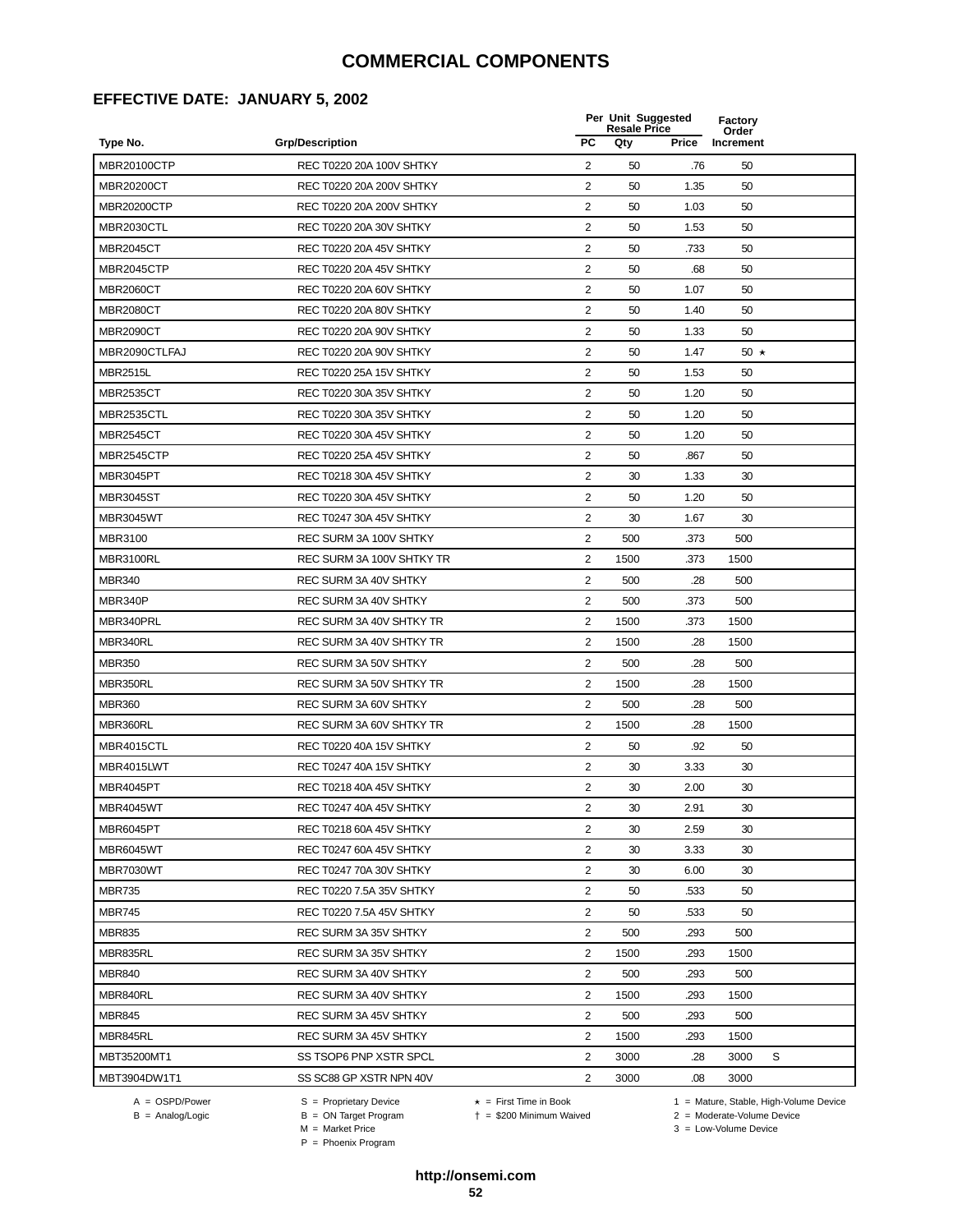### **EFFECTIVE DATE: JANUARY 5, 2002**

|                    |                           |                         | Per Unit Suggested<br><b>Resale Price</b> |       |                    |   |
|--------------------|---------------------------|-------------------------|-------------------------------------------|-------|--------------------|---|
| Type No.           | <b>Grp/Description</b>    | <b>PC</b>               | Qty                                       | Price | Order<br>Increment |   |
| MBR20100CTP        | REC T0220 20A 100V SHTKY  | 2                       | 50                                        | .76   | 50                 |   |
| MBR20200CT         | REC T0220 20A 200V SHTKY  | 2                       | 50                                        | 1.35  | 50                 |   |
| <b>MBR20200CTP</b> | REC T0220 20A 200V SHTKY  | $\overline{2}$          | 50                                        | 1.03  | 50                 |   |
| MBR2030CTL         | REC T0220 20A 30V SHTKY   | $\overline{2}$          | 50                                        | 1.53  | 50                 |   |
| <b>MBR2045CT</b>   | REC T0220 20A 45V SHTKY   | $\sqrt{2}$              | 50                                        | .733  | 50                 |   |
| MBR2045CTP         | REC T0220 20A 45V SHTKY   | 2                       | 50                                        | .68   | 50                 |   |
| <b>MBR2060CT</b>   | REC T0220 20A 60V SHTKY   | $\overline{2}$          | 50                                        | 1.07  | 50                 |   |
| <b>MBR2080CT</b>   | REC T0220 20A 80V SHTKY   | $\overline{2}$          | 50                                        | 1.40  | 50                 |   |
| <b>MBR2090CT</b>   | REC T0220 20A 90V SHTKY   | $\overline{\mathbf{c}}$ | 50                                        | 1.33  | 50                 |   |
| MBR2090CTLFAJ      | REC T0220 20A 90V SHTKY   | 2                       | 50                                        | 1.47  | 50 $\star$         |   |
| <b>MBR2515L</b>    | REC T0220 25A 15V SHTKY   | $\overline{2}$          | 50                                        | 1.53  | 50                 |   |
| <b>MBR2535CT</b>   | REC T0220 30A 35V SHTKY   | $\overline{2}$          | 50                                        | 1.20  | 50                 |   |
| MBR2535CTL         | REC T0220 30A 35V SHTKY   | $\overline{2}$          | 50                                        | 1.20  | 50                 |   |
| <b>MBR2545CT</b>   | REC T0220 30A 45V SHTKY   | $\overline{c}$          | 50                                        | 1.20  | 50                 |   |
| MBR2545CTP         | REC T0220 25A 45V SHTKY   | 2                       | 50                                        | .867  | 50                 |   |
| <b>MBR3045PT</b>   | REC T0218 30A 45V SHTKY   | $\overline{2}$          | 30                                        | 1.33  | 30                 |   |
| <b>MBR3045ST</b>   | REC T0220 30A 45V SHTKY   | $\overline{2}$          | 50                                        | 1.20  | 50                 |   |
| <b>MBR3045WT</b>   | REC T0247 30A 45V SHTKY   | $\overline{\mathbf{c}}$ | 30                                        | 1.67  | 30                 |   |
| MBR3100            | REC SURM 3A 100V SHTKY    | 2                       | 500                                       | .373  | 500                |   |
| MBR3100RL          | REC SURM 3A 100V SHTKY TR | $\overline{2}$          | 1500                                      | .373  | 1500               |   |
| <b>MBR340</b>      | REC SURM 3A 40V SHTKY     | 2                       | 500                                       | .28   | 500                |   |
| MBR340P            | REC SURM 3A 40V SHTKY     | 2                       | 500                                       | .373  | 500                |   |
| MBR340PRL          | REC SURM 3A 40V SHTKY TR  | $\overline{2}$          | 1500                                      | .373  | 1500               |   |
| MBR340RL           | REC SURM 3A 40V SHTKY TR  | 2                       | 1500                                      | .28   | 1500               |   |
| <b>MBR350</b>      | REC SURM 3A 50V SHTKY     | $\overline{2}$          | 500                                       | .28   | 500                |   |
| MBR350RL           | REC SURM 3A 50V SHTKY TR  | 2                       | 1500                                      | .28   | 1500               |   |
| <b>MBR360</b>      | REC SURM 3A 60V SHTKY     | $\overline{c}$          | 500                                       | .28   | 500                |   |
| MBR360RL           | REC SURM 3A 60V SHTKY TR  | $\overline{2}$          | 1500                                      | .28   | 1500               |   |
| MBR4015CTL         | REC T0220 40A 15V SHTKY   | $\overline{2}$          | 50                                        | .92   | 50                 |   |
| MBR4015LWT         | REC T0247 40A 15V SHTKY   | $\overline{2}$          | 30                                        | 3.33  | 30                 |   |
| MBR4045PT          | REC T0218 40A 45V SHTKY   | $\overline{2}$          | 30                                        | 2.00  | 30                 |   |
| <b>MBR4045WT</b>   | REC T0247 40A 45V SHTKY   | $\overline{\mathbf{c}}$ | 30                                        | 2.91  | 30                 |   |
| MBR6045PT          | REC T0218 60A 45V SHTKY   | $\overline{2}$          | 30                                        | 2.59  | 30                 |   |
| <b>MBR6045WT</b>   | REC T0247 60A 45V SHTKY   | $\overline{2}$          | 30                                        | 3.33  | 30                 |   |
| MBR7030WT          | REC T0247 70A 30V SHTKY   | $\overline{2}$          | 30                                        | 6.00  | 30                 |   |
| <b>MBR735</b>      | REC T0220 7.5A 35V SHTKY  | $\overline{2}$          | 50                                        | .533  | 50                 |   |
| <b>MBR745</b>      | REC T0220 7.5A 45V SHTKY  | $\overline{2}$          | 50                                        | .533  | 50                 |   |
| <b>MBR835</b>      | REC SURM 3A 35V SHTKY     | $\overline{2}$          | 500                                       | .293  | 500                |   |
| MBR835RL           | REC SURM 3A 35V SHTKY     | $\overline{2}$          | 1500                                      | .293  | 1500               |   |
| <b>MBR840</b>      | REC SURM 3A 40V SHTKY     | 2                       | 500                                       | .293  | 500                |   |
| MBR840RL           | REC SURM 3A 40V SHTKY     | 2                       | 1500                                      | .293  | 1500               |   |
| <b>MBR845</b>      | REC SURM 3A 45V SHTKY     | 2                       | 500                                       | .293  | 500                |   |
| MBR845RL           | REC SURM 3A 45V SHTKY     | 2                       | 1500                                      | .293  | 1500               |   |
| MBT35200MT1        | SS TSOP6 PNP XSTR SPCL    | $\overline{2}$          | 3000                                      | .28   | 3000               | S |
| MBT3904DW1T1       | SS SC88 GP XSTR NPN 40V   | $\overline{2}$          | 3000                                      | .08   | 3000               |   |
|                    |                           |                         |                                           |       |                    |   |

 $B = \text{Analog/Logic}$ <br>B = ON Target Program<br> $M = \text{Market Price}$ 

A = OSPD/Power S = Proprietary Device  $\star$  = First Time in Book 1 = Mature, Stable, High-Volume Device

 = \$200 Minimum Waived 2 = Moderate-Volume Device  $3 =$  Low-Volume Device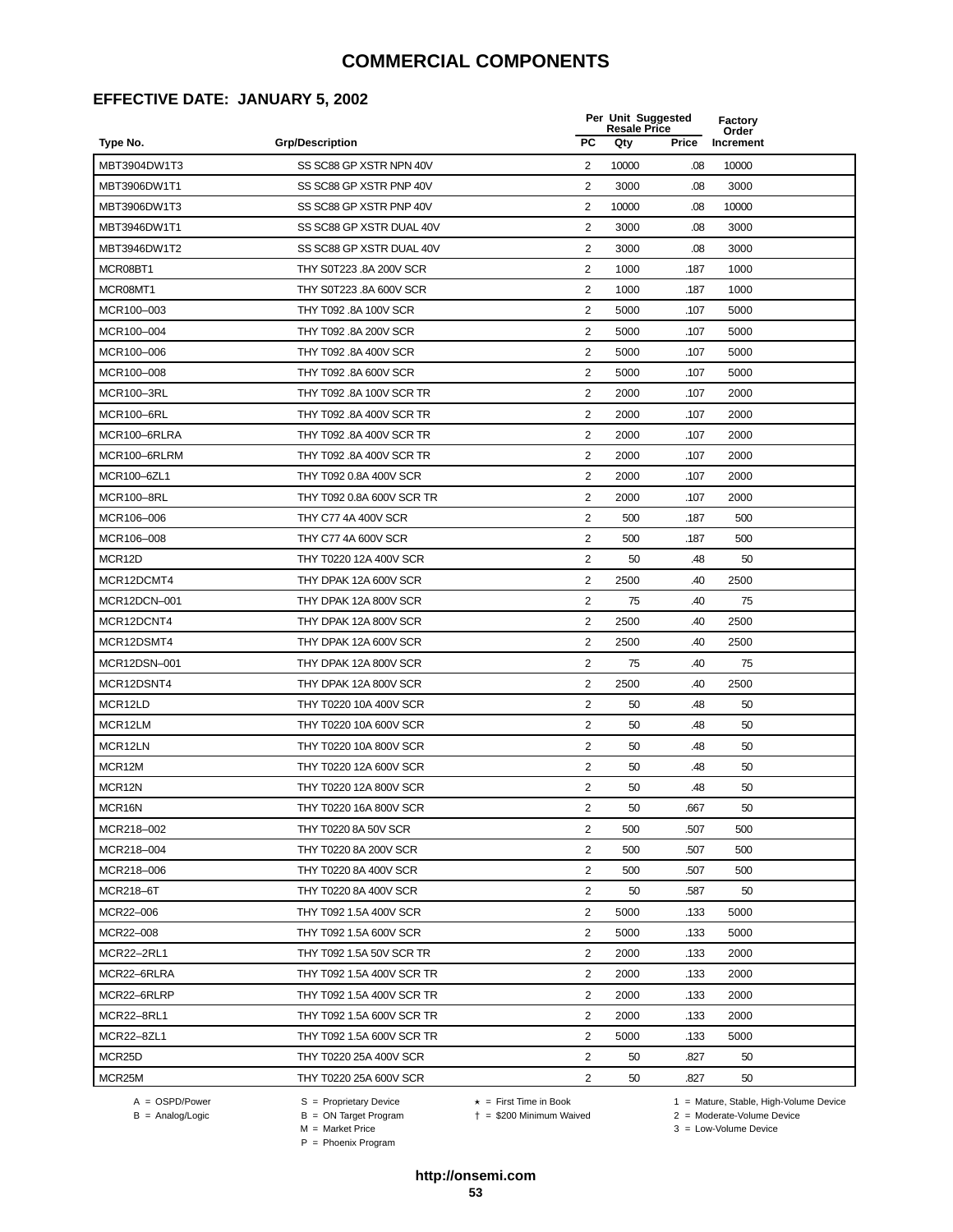### **EFFECTIVE DATE: JANUARY 5, 2002**

|                   |                           |                | Per Unit Suggested<br><b>Resale Price</b> |       |                    |  |
|-------------------|---------------------------|----------------|-------------------------------------------|-------|--------------------|--|
| Type No.          | <b>Grp/Description</b>    | <b>PC</b>      | Qty                                       | Price | Order<br>Increment |  |
| MBT3904DW1T3      | SS SC88 GP XSTR NPN 40V   | $\overline{2}$ | 10000                                     | .08   | 10000              |  |
| MBT3906DW1T1      | SS SC88 GP XSTR PNP 40V   | $\overline{2}$ | 3000                                      | .08   | 3000               |  |
| MBT3906DW1T3      | SS SC88 GP XSTR PNP 40V   | 2              | 10000                                     | .08   | 10000              |  |
| MBT3946DW1T1      | SS SC88 GP XSTR DUAL 40V  | 2              | 3000                                      | .08   | 3000               |  |
| MBT3946DW1T2      | SS SC88 GP XSTR DUAL 40V  | $\overline{2}$ | 3000                                      | .08   | 3000               |  |
| MCR08BT1          | THY S0T223 .8A 200V SCR   | 2              | 1000                                      | .187  | 1000               |  |
| MCR08MT1          | THY S0T223 .8A 600V SCR   | $\overline{2}$ | 1000                                      | .187  | 1000               |  |
| MCR100-003        | THY T092 .8A 100V SCR     | 2              | 5000                                      | .107  | 5000               |  |
| MCR100-004        | THY T092 .8A 200V SCR     | 2              | 5000                                      | .107  | 5000               |  |
| MCR100-006        | THY T092 .8A 400V SCR     | $\overline{2}$ | 5000                                      | .107  | 5000               |  |
| MCR100-008        | THY T092 .8A 600V SCR     | 2              | 5000                                      | .107  | 5000               |  |
| MCR100-3RL        | THY T092 .8A 100V SCR TR  | $\overline{2}$ | 2000                                      | .107  | 2000               |  |
| <b>MCR100-6RL</b> | THY T092 .8A 400V SCR TR  | 2              | 2000                                      | .107  | 2000               |  |
| MCR100-6RLRA      | THY T092 .8A 400V SCR TR  | $\sqrt{2}$     | 2000                                      | .107  | 2000               |  |
| MCR100-6RLRM      | THY T092 .8A 400V SCR TR  | 2              | 2000                                      | .107  | 2000               |  |
| MCR100-6ZL1       | THY T092 0.8A 400V SCR    | 2              | 2000                                      | .107  | 2000               |  |
| <b>MCR100-8RL</b> | THY T092 0.8A 600V SCR TR | 2              | 2000                                      | .107  | 2000               |  |
| MCR106-006        | THY C77 4A 400V SCR       | 2              | 500                                       | .187  | 500                |  |
| MCR106-008        | THY C77 4A 600V SCR       | $\overline{2}$ | 500                                       | .187  | 500                |  |
| MCR12D            | THY T0220 12A 400V SCR    | 2              | 50                                        | .48   | 50                 |  |
| MCR12DCMT4        | THY DPAK 12A 600V SCR     | $\overline{2}$ | 2500                                      | .40   | 2500               |  |
| MCR12DCN-001      | THY DPAK 12A 800V SCR     | 2              | 75                                        | .40   | 75                 |  |
| MCR12DCNT4        | THY DPAK 12A 800V SCR     | $\overline{2}$ | 2500                                      | .40   | 2500               |  |
| MCR12DSMT4        | THY DPAK 12A 600V SCR     | 2              | 2500                                      | .40   | 2500               |  |
| MCR12DSN-001      | THY DPAK 12A 800V SCR     | 2              | 75                                        | .40   | 75                 |  |
| MCR12DSNT4        | THY DPAK 12A 800V SCR     | 2              | 2500                                      | .40   | 2500               |  |
| MCR12LD           | THY T0220 10A 400V SCR    | 2              | 50                                        | .48   | 50                 |  |
| MCR12LM           | THY T0220 10A 600V SCR    | $\overline{2}$ | 50                                        | .48   | 50                 |  |
| MCR12LN           | THY T0220 10A 800V SCR    | 2              | 50                                        | .48   | 50                 |  |
| MCR12M            | THY T0220 12A 600V SCR    | $\overline{2}$ | 50                                        | .48   | 50                 |  |
| MCR12N            | THY T0220 12A 800V SCR    | $\overline{2}$ | 50                                        | .48   | 50                 |  |
| MCR16N            | THY T0220 16A 800V SCR    | 2              | 50                                        | 667   | 50                 |  |
| MCR218-002        | THY T0220 8A 50V SCR      | 2              | 500                                       | .507  | 500                |  |
| MCR218-004        | THY T0220 8A 200V SCR     | 2              | 500                                       | .507  | 500                |  |
| MCR218-006        | THY T0220 8A 400V SCR     | 2              | 500                                       | .507  | 500                |  |
| MCR218-6T         | THY T0220 8A 400V SCR     | $\overline{2}$ | 50                                        | .587  | 50                 |  |
| MCR22-006         | THY T092 1.5A 400V SCR    | 2              | 5000                                      | .133  | 5000               |  |
| MCR22-008         | THY T092 1.5A 600V SCR    | 2              | 5000                                      | .133  | 5000               |  |
| <b>MCR22-2RL1</b> | THY T092 1.5A 50V SCR TR  | $\overline{2}$ | 2000                                      | .133  | 2000               |  |
| MCR22-6RLRA       | THY T092 1.5A 400V SCR TR | $\overline{2}$ | 2000                                      | .133  | 2000               |  |
| MCR22-6RLRP       | THY T092 1.5A 400V SCR TR | $\overline{2}$ | 2000                                      | .133  | 2000               |  |
| MCR22-8RL1        | THY T092 1.5A 600V SCR TR | 2              | 2000                                      | .133  | 2000               |  |
| MCR22-8ZL1        | THY T092 1.5A 600V SCR TR | 2              | 5000                                      | .133  | 5000               |  |
| MCR25D            | THY T0220 25A 400V SCR    | $\overline{2}$ | 50                                        | .827  | 50                 |  |
| MCR25M            | THY T0220 25A 600V SCR    | $\overline{c}$ | 50                                        | .827  | 50                 |  |

 $B = \text{Analog/Logic}$ <br>B = ON Target Program<br> $M = \text{Market Price}$ 

= \$200 Minimum Waived 2 = Moderate-Volume Device

A = OSPD/Power S = Proprietary Device  $\star$  = First Time in Book 1 = Mature, Stable, High-Volume Device

 $3 =$  Low-Volume Device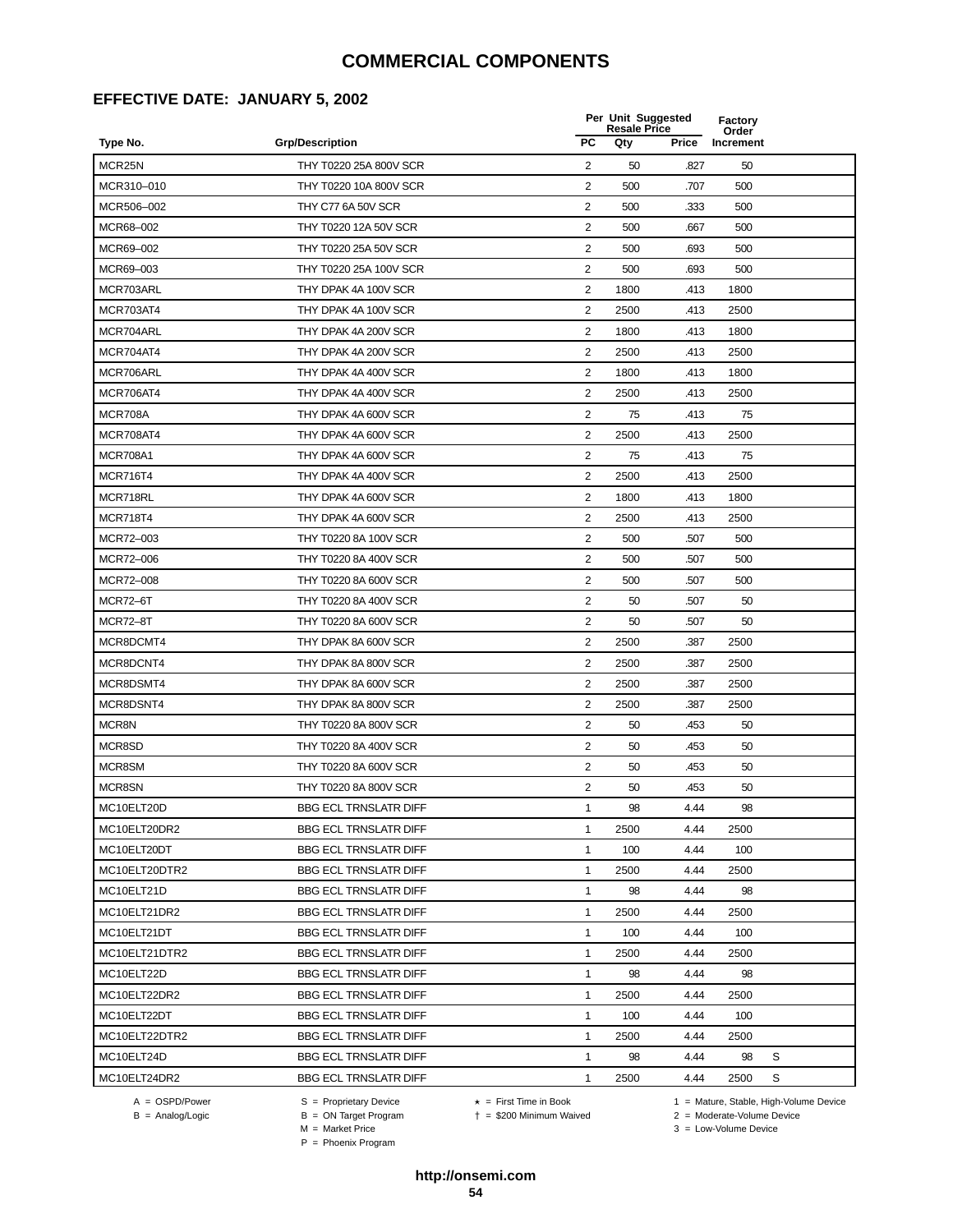### **EFFECTIVE DATE: JANUARY 5, 2002**

|                 |                              |                | Per Unit Suggested<br><b>Resale Price</b> |       |                    |   |
|-----------------|------------------------------|----------------|-------------------------------------------|-------|--------------------|---|
| Type No.        | <b>Grp/Description</b>       | <b>PC</b>      | Qty                                       | Price | Order<br>Increment |   |
| MCR25N          | THY T0220 25A 800V SCR       | 2              | 50                                        | .827  | 50                 |   |
| MCR310-010      | THY T0220 10A 800V SCR       | 2              | 500                                       | .707  | 500                |   |
| MCR506-002      | THY C77 6A 50V SCR           | $\overline{2}$ | 500                                       | .333  | 500                |   |
| MCR68-002       | THY T0220 12A 50V SCR        | $\overline{2}$ | 500                                       | .667  | 500                |   |
| MCR69-002       | THY T0220 25A 50V SCR        | $\overline{2}$ | 500                                       | .693  | 500                |   |
| MCR69-003       | THY T0220 25A 100V SCR       | 2              | 500                                       | .693  | 500                |   |
| MCR703ARL       | THY DPAK 4A 100V SCR         | 2              | 1800                                      | .413  | 1800               |   |
| MCR703AT4       | THY DPAK 4A 100V SCR         | 2              | 2500                                      | .413  | 2500               |   |
| MCR704ARL       | THY DPAK 4A 200V SCR         | 2              | 1800                                      | .413  | 1800               |   |
| MCR704AT4       | THY DPAK 4A 200V SCR         | $\overline{2}$ | 2500                                      | .413  | 2500               |   |
| MCR706ARL       | THY DPAK 4A 400V SCR         | 2              | 1800                                      | .413  | 1800               |   |
| MCR706AT4       | THY DPAK 4A 400V SCR         | $\overline{2}$ | 2500                                      | .413  | 2500               |   |
| MCR708A         | THY DPAK 4A 600V SCR         | 2              | 75                                        | .413  | 75                 |   |
| MCR708AT4       | THY DPAK 4A 600V SCR         | $\overline{2}$ | 2500                                      | .413  | 2500               |   |
| <b>MCR708A1</b> | THY DPAK 4A 600V SCR         | 2              | 75                                        | .413  | 75                 |   |
| <b>MCR716T4</b> | THY DPAK 4A 400V SCR         | 2              | 2500                                      | .413  | 2500               |   |
| MCR718RL        | THY DPAK 4A 600V SCR         | 2              | 1800                                      | .413  | 1800               |   |
| <b>MCR718T4</b> | THY DPAK 4A 600V SCR         | 2              | 2500                                      | .413  | 2500               |   |
| MCR72-003       | THY T0220 8A 100V SCR        | $\overline{2}$ | 500                                       | .507  | 500                |   |
| MCR72-006       | THY T0220 8A 400V SCR        | 2              | 500                                       | .507  | 500                |   |
| MCR72-008       | THY T0220 8A 600V SCR        | $\overline{2}$ | 500                                       | .507  | 500                |   |
| MCR72-6T        | THY T0220 8A 400V SCR        | $\overline{2}$ | 50                                        | .507  | 50                 |   |
| <b>MCR72-8T</b> | THY T0220 8A 600V SCR        | $\overline{2}$ | 50                                        | .507  | 50                 |   |
| MCR8DCMT4       | THY DPAK 8A 600V SCR         | 2              | 2500                                      | .387  | 2500               |   |
| MCR8DCNT4       | THY DPAK 8A 800V SCR         | 2              | 2500                                      | .387  | 2500               |   |
| MCR8DSMT4       | THY DPAK 8A 600V SCR         | 2              | 2500                                      | .387  | 2500               |   |
| MCR8DSNT4       | THY DPAK 8A 800V SCR         | 2              | 2500                                      | .387  | 2500               |   |
| MCR8N           | THY T0220 8A 800V SCR        | $\overline{2}$ | 50                                        | .453  | 50                 |   |
| MCR8SD          | THY T0220 8A 400V SCR        | 2              | 50                                        | .453  | 50                 |   |
| MCR8SM          | THY T0220 8A 600V SCR        | 2              | 50                                        | .453  | 50                 |   |
| MCR8SN          | THY T0220 8A 800V SCR        | 2              | 50                                        | .453  | 50                 |   |
| MC10ELT20D      | <b>BBG ECL TRNSLATR DIFF</b> | 1              | 98                                        | 4.44  | 98                 |   |
| MC10ELT20DR2    | <b>BBG ECL TRNSLATR DIFF</b> | $\mathbf{1}$   | 2500                                      | 4.44  | 2500               |   |
| MC10ELT20DT     | <b>BBG ECL TRNSLATR DIFF</b> | 1              | 100                                       | 4.44  | 100                |   |
| MC10ELT20DTR2   | <b>BBG ECL TRNSLATR DIFF</b> | 1              | 2500                                      | 4.44  | 2500               |   |
| MC10ELT21D      | <b>BBG ECL TRNSLATR DIFF</b> | $\mathbf{1}$   | 98                                        | 4.44  | 98                 |   |
| MC10ELT21DR2    | <b>BBG ECL TRNSLATR DIFF</b> | 1              | 2500                                      | 4.44  | 2500               |   |
| MC10ELT21DT     | <b>BBG ECL TRNSLATR DIFF</b> | $\mathbf{1}$   | 100                                       | 4.44  | 100                |   |
| MC10ELT21DTR2   | <b>BBG ECL TRNSLATR DIFF</b> | 1              | 2500                                      | 4.44  | 2500               |   |
| MC10ELT22D      | <b>BBG ECL TRNSLATR DIFF</b> | 1              | 98                                        | 4.44  | 98                 |   |
| MC10ELT22DR2    | <b>BBG ECL TRNSLATR DIFF</b> | 1              | 2500                                      | 4.44  | 2500               |   |
| MC10ELT22DT     | <b>BBG ECL TRNSLATR DIFF</b> | $\mathbf{1}$   | 100                                       | 4.44  | 100                |   |
| MC10ELT22DTR2   | <b>BBG ECL TRNSLATR DIFF</b> | 1              | 2500                                      | 4.44  | 2500               |   |
| MC10ELT24D      | <b>BBG ECL TRNSLATR DIFF</b> | $\mathbf{1}$   | 98                                        | 4.44  | 98                 | S |
| MC10ELT24DR2    | <b>BBG ECL TRNSLATR DIFF</b> | 1              | 2500                                      | 4.44  | 2500               | S |

 $B = \text{Analog/Logic}$ <br>B = ON Target Program<br> $M = \text{Market Price}$ 

A = OSPD/Power S = Proprietary Device  $\star$  = First Time in Book 1 = Mature, Stable, High-Volume Device = \$200 Minimum Waived 2 = Moderate-Volume Device

 $3 =$  Low-Volume Device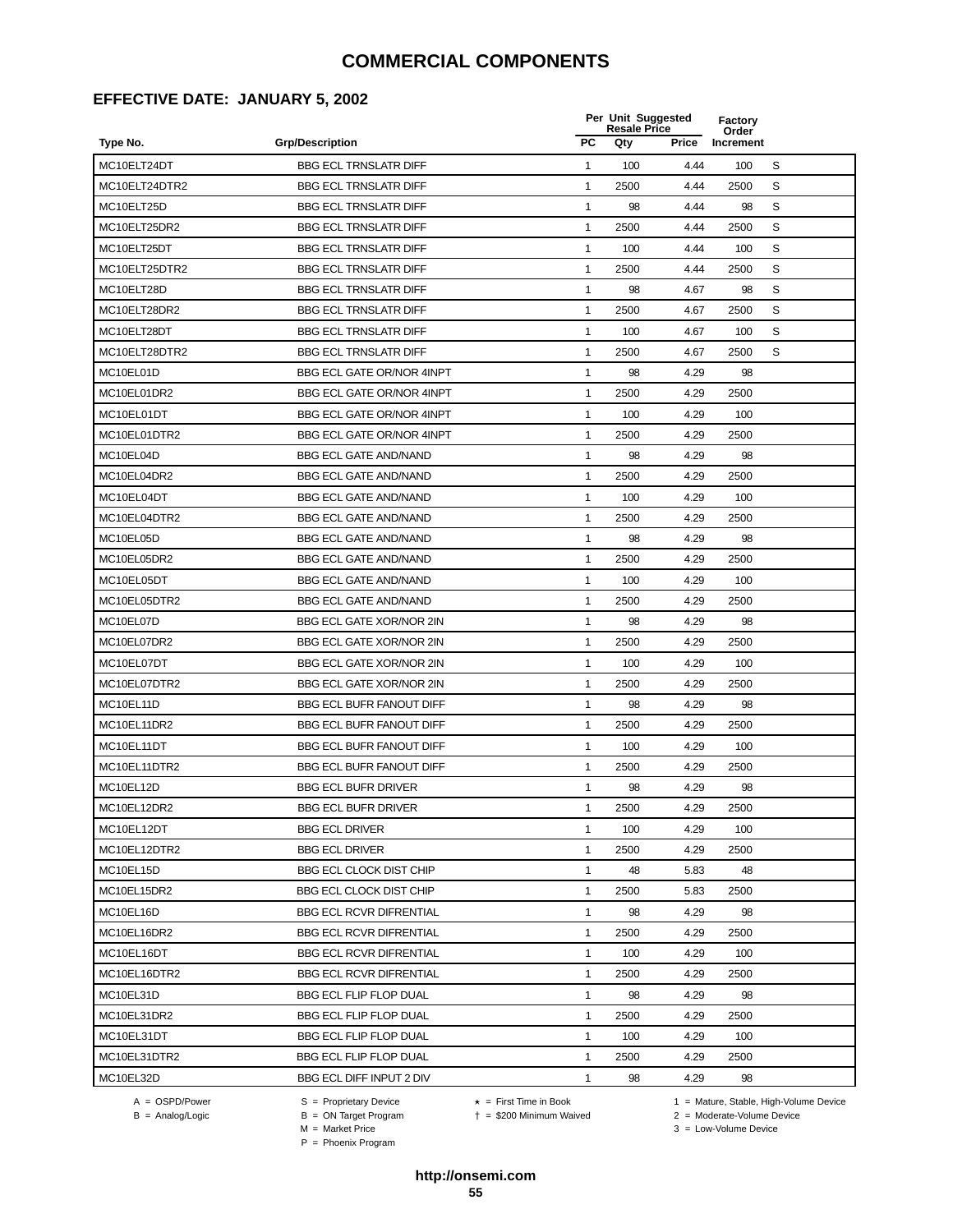### **EFFECTIVE DATE: JANUARY 5, 2002**

|               |                                 |              | Per Unit Suggested<br>Factory<br><b>Resale Price</b> |       |                    |   |
|---------------|---------------------------------|--------------|------------------------------------------------------|-------|--------------------|---|
| Type No.      | <b>Grp/Description</b>          | <b>PC</b>    | Qty                                                  | Price | Order<br>Increment |   |
| MC10ELT24DT   | <b>BBG ECL TRNSLATR DIFF</b>    | $\mathbf{1}$ | 100                                                  | 4.44  | 100                | S |
| MC10ELT24DTR2 | <b>BBG ECL TRNSLATR DIFF</b>    | 1            | 2500                                                 | 4.44  | 2500               | S |
| MC10ELT25D    | <b>BBG ECL TRNSLATR DIFF</b>    | 1            | 98                                                   | 4.44  | 98                 | S |
| MC10ELT25DR2  | <b>BBG ECL TRNSLATR DIFF</b>    | 1            | 2500                                                 | 4.44  | 2500               | S |
| MC10ELT25DT   | <b>BBG ECL TRNSLATR DIFF</b>    | 1            | 100                                                  | 4.44  | 100                | S |
| MC10ELT25DTR2 | <b>BBG ECL TRNSLATR DIFF</b>    | $\mathbf{1}$ | 2500                                                 | 4.44  | 2500               | S |
| MC10ELT28D    | <b>BBG ECL TRNSLATR DIFF</b>    | $\mathbf{1}$ | 98                                                   | 4.67  | 98                 | S |
| MC10ELT28DR2  | <b>BBG ECL TRNSLATR DIFF</b>    | $\mathbf{1}$ | 2500                                                 | 4.67  | 2500               | S |
| MC10ELT28DT   | <b>BBG ECL TRNSLATR DIFF</b>    | 1            | 100                                                  | 4.67  | 100                | S |
| MC10ELT28DTR2 | <b>BBG ECL TRNSLATR DIFF</b>    | 1            | 2500                                                 | 4.67  | 2500               | S |
| MC10EL01D     | BBG ECL GATE OR/NOR 4INPT       | 1            | 98                                                   | 4.29  | 98                 |   |
| MC10EL01DR2   | BBG ECL GATE OR/NOR 4INPT       | 1            | 2500                                                 | 4.29  | 2500               |   |
| MC10EL01DT    | BBG ECL GATE OR/NOR 4INPT       | 1            | 100                                                  | 4.29  | 100                |   |
| MC10EL01DTR2  | BBG ECL GATE OR/NOR 4INPT       | 1            | 2500                                                 | 4.29  | 2500               |   |
| MC10EL04D     | <b>BBG ECL GATE AND/NAND</b>    | $\mathbf{1}$ | 98                                                   | 4.29  | 98                 |   |
| MC10EL04DR2   | <b>BBG ECL GATE AND/NAND</b>    | $\mathbf{1}$ | 2500                                                 | 4.29  | 2500               |   |
| MC10EL04DT    | <b>BBG ECL GATE AND/NAND</b>    | $\mathbf{1}$ | 100                                                  | 4.29  | 100                |   |
| MC10EL04DTR2  | <b>BBG ECL GATE AND/NAND</b>    | $\mathbf{1}$ | 2500                                                 | 4.29  | 2500               |   |
| MC10EL05D     | <b>BBG ECL GATE AND/NAND</b>    | 1            | 98                                                   | 4.29  | 98                 |   |
| MC10EL05DR2   | <b>BBG ECL GATE AND/NAND</b>    | $\mathbf{1}$ | 2500                                                 | 4.29  | 2500               |   |
| MC10EL05DT    | <b>BBG ECL GATE AND/NAND</b>    | 1            | 100                                                  | 4.29  | 100                |   |
| MC10EL05DTR2  | <b>BBG ECL GATE AND/NAND</b>    | 1            | 2500                                                 | 4.29  | 2500               |   |
| MC10EL07D     | BBG ECL GATE XOR/NOR 2IN        | 1            | 98                                                   | 4.29  | 98                 |   |
| MC10EL07DR2   | BBG ECL GATE XOR/NOR 2IN        | 1            | 2500                                                 | 4.29  | 2500               |   |
| MC10EL07DT    | BBG ECL GATE XOR/NOR 2IN        | $\mathbf{1}$ | 100                                                  | 4.29  | 100                |   |
| MC10EL07DTR2  | BBG ECL GATE XOR/NOR 2IN        | $\mathbf{1}$ | 2500                                                 | 4.29  | 2500               |   |
| MC10EL11D     | <b>BBG ECL BUFR FANOUT DIFF</b> | $\mathbf{1}$ | 98                                                   | 4.29  | 98                 |   |
| MC10EL11DR2   | <b>BBG ECL BUFR FANOUT DIFF</b> | 1            | 2500                                                 | 4.29  | 2500               |   |
| MC10EL11DT    | <b>BBG ECL BUFR FANOUT DIFF</b> | $\mathbf{1}$ | 100                                                  | 4.29  | 100                |   |
| MC10EL11DTR2  | BBG ECL BUFR FANOUT DIFF        | 1            | 2500                                                 | 4.29  | 2500               |   |
| MC10EL12D     | <b>BBG ECL BUFR DRIVER</b>      | 1            | 98                                                   | 4.29  | 98                 |   |
| MC10EL12DR2   | <b>BBG ECL BUFR DRIVER</b>      | 1            | 2500                                                 | 4.29  | 2500               |   |
| MC10EL12DT    | <b>BBG ECL DRIVER</b>           | 1            | 100                                                  | 4.29  | 100                |   |
| MC10EL12DTR2  | <b>BBG ECL DRIVER</b>           | $\mathbf{1}$ | 2500                                                 | 4.29  | 2500               |   |
| MC10EL15D     | <b>BBG ECL CLOCK DIST CHIP</b>  | $\mathbf{1}$ | 48                                                   | 5.83  | 48                 |   |
| MC10EL15DR2   | <b>BBG ECL CLOCK DIST CHIP</b>  | 1            | 2500                                                 | 5.83  | 2500               |   |
| MC10EL16D     | <b>BBG ECL RCVR DIFRENTIAL</b>  | $\mathbf{1}$ | 98                                                   | 4.29  | 98                 |   |
| MC10EL16DR2   | <b>BBG ECL RCVR DIFRENTIAL</b>  | $\mathbf{1}$ | 2500                                                 | 4.29  | 2500               |   |
| MC10EL16DT    | <b>BBG ECL RCVR DIFRENTIAL</b>  | $\mathbf{1}$ | 100                                                  | 4.29  | 100                |   |
| MC10EL16DTR2  | <b>BBG ECL RCVR DIFRENTIAL</b>  | $\mathbf{1}$ | 2500                                                 | 4.29  | 2500               |   |
| MC10EL31D     | BBG ECL FLIP FLOP DUAL          | $\mathbf{1}$ | 98                                                   | 4.29  | 98                 |   |
| MC10EL31DR2   | <b>BBG ECL FLIP FLOP DUAL</b>   | $\mathbf{1}$ | 2500                                                 | 4.29  | 2500               |   |
| MC10EL31DT    | <b>BBG ECL FLIP FLOP DUAL</b>   | 1            | 100                                                  | 4.29  | 100                |   |
| MC10EL31DTR2  | <b>BBG ECL FLIP FLOP DUAL</b>   | 1            | 2500                                                 | 4.29  | 2500               |   |
| MC10EL32D     | BBG ECL DIFF INPUT 2 DIV        | $\mathbf{1}$ | 98                                                   | 4.29  | 98                 |   |
|               |                                 |              |                                                      |       |                    |   |

 $B = \text{Analog/Logic}$ <br>B = ON Target Program<br> $M = \text{Market Price}$ 

= \$200 Minimum Waived 2 = Moderate-Volume Device

A = OSPD/Power S = Proprietary Device  $\star$  = First Time in Book 1 = Mature, Stable, High-Volume Device

 $3 =$  Low-Volume Device

P = Phoenix Program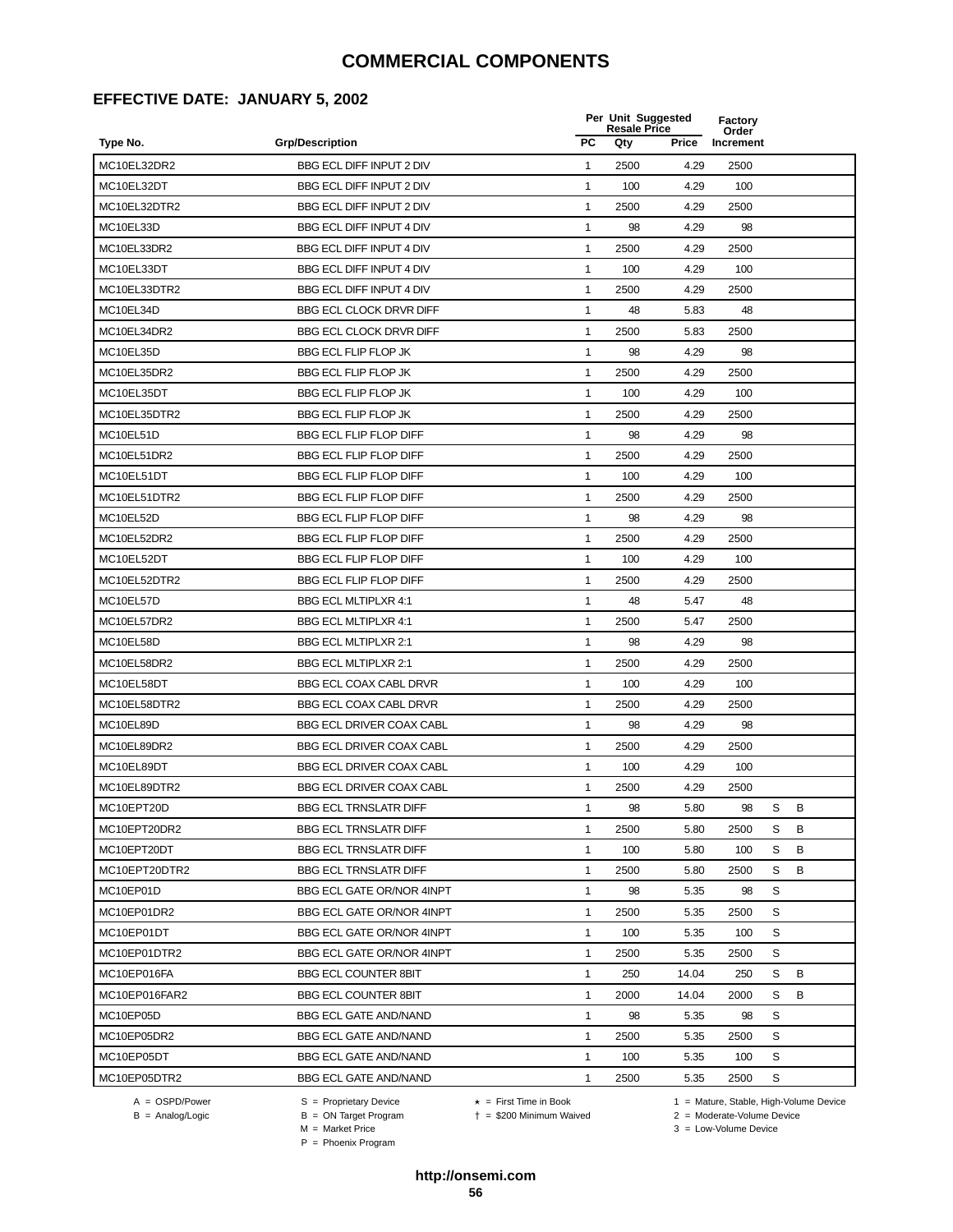### **EFFECTIVE DATE: JANUARY 5, 2002**

|               |                                  |              | Per Unit Suggested<br><b>Resale Price</b> |       |                    |   |   |  |
|---------------|----------------------------------|--------------|-------------------------------------------|-------|--------------------|---|---|--|
| Type No.      | <b>Grp/Description</b>           | <b>PC</b>    | Qty                                       | Price | Order<br>Increment |   |   |  |
| MC10EL32DR2   | BBG ECL DIFF INPUT 2 DIV         | 1            | 2500                                      | 4.29  | 2500               |   |   |  |
| MC10EL32DT    | BBG ECL DIFF INPUT 2 DIV         | $\mathbf{1}$ | 100                                       | 4.29  | 100                |   |   |  |
| MC10EL32DTR2  | BBG ECL DIFF INPUT 2 DIV         | 1            | 2500                                      | 4.29  | 2500               |   |   |  |
| MC10EL33D     | BBG ECL DIFF INPUT 4 DIV         | 1            | 98                                        | 4.29  | 98                 |   |   |  |
| MC10EL33DR2   | BBG ECL DIFF INPUT 4 DIV         | 1            | 2500                                      | 4.29  | 2500               |   |   |  |
| MC10EL33DT    | BBG ECL DIFF INPUT 4 DIV         | 1            | 100                                       | 4.29  | 100                |   |   |  |
| MC10EL33DTR2  | <b>BBG ECL DIFF INPUT 4 DIV</b>  | $\mathbf{1}$ | 2500                                      | 4.29  | 2500               |   |   |  |
| MC10EL34D     | <b>BBG ECL CLOCK DRVR DIFF</b>   | $\mathbf{1}$ | 48                                        | 5.83  | 48                 |   |   |  |
| MC10EL34DR2   | <b>BBG ECL CLOCK DRVR DIFF</b>   | 1            | 2500                                      | 5.83  | 2500               |   |   |  |
| MC10EL35D     | <b>BBG ECL FLIP FLOP JK</b>      | 1            | 98                                        | 4.29  | 98                 |   |   |  |
| MC10EL35DR2   | <b>BBG ECL FLIP FLOP JK</b>      | 1            | 2500                                      | 4.29  | 2500               |   |   |  |
| MC10EL35DT    | BBG ECL FLIP FLOP JK             | 1            | 100                                       | 4.29  | 100                |   |   |  |
| MC10EL35DTR2  | <b>BBG ECL FLIP FLOP JK</b>      | 1            | 2500                                      | 4.29  | 2500               |   |   |  |
| MC10EL51D     | <b>BBG ECL FLIP FLOP DIFF</b>    | 1            | 98                                        | 4.29  | 98                 |   |   |  |
| MC10EL51DR2   | BBG ECL FLIP FLOP DIFF           | 1            | 2500                                      | 4.29  | 2500               |   |   |  |
| MC10EL51DT    | <b>BBG ECL FLIP FLOP DIFF</b>    | $\mathbf{1}$ | 100                                       | 4.29  | 100                |   |   |  |
| MC10EL51DTR2  | <b>BBG ECL FLIP FLOP DIFF</b>    | $\mathbf{1}$ | 2500                                      | 4.29  | 2500               |   |   |  |
| MC10EL52D     | <b>BBG ECL FLIP FLOP DIFF</b>    | 1            | 98                                        | 4.29  | 98                 |   |   |  |
| MC10EL52DR2   | <b>BBG ECL FLIP FLOP DIFF</b>    | 1            | 2500                                      | 4.29  | 2500               |   |   |  |
| MC10EL52DT    | <b>BBG ECL FLIP FLOP DIFF</b>    | 1            | 100                                       | 4.29  | 100                |   |   |  |
| MC10EL52DTR2  | <b>BBG ECL FLIP FLOP DIFF</b>    | 1            | 2500                                      | 4.29  | 2500               |   |   |  |
| MC10EL57D     | <b>BBG ECL MLTIPLXR 4:1</b>      | 1            | 48                                        | 5.47  | 48                 |   |   |  |
| MC10EL57DR2   | <b>BBG ECL MLTIPLXR 4:1</b>      | 1            | 2500                                      | 5.47  | 2500               |   |   |  |
| MC10EL58D     | <b>BBG ECL MLTIPLXR 2:1</b>      | 1            | 98                                        | 4.29  | 98                 |   |   |  |
| MC10EL58DR2   | <b>BBG ECL MLTIPLXR 2:1</b>      | $\mathbf{1}$ | 2500                                      | 4.29  | 2500               |   |   |  |
| MC10EL58DT    | BBG ECL COAX CABL DRVR           | $\mathbf{1}$ | 100                                       | 4.29  | 100                |   |   |  |
| MC10EL58DTR2  | BBG ECL COAX CABL DRVR           | $\mathbf{1}$ | 2500                                      | 4.29  | 2500               |   |   |  |
| MC10EL89D     | <b>BBG ECL DRIVER COAX CABL</b>  | 1            | 98                                        | 4.29  | 98                 |   |   |  |
| MC10EL89DR2   | <b>BBG ECL DRIVER COAX CABL</b>  | 1            | 2500                                      | 4.29  | 2500               |   |   |  |
| MC10EL89DT    | <b>BBG ECL DRIVER COAX CABL</b>  | 1            | 100                                       | 4.29  | 100                |   |   |  |
| MC10EL89DTR2  | <b>BBG ECL DRIVER COAX CABL</b>  | 1            | 2500                                      | 4.29  | 2500               |   |   |  |
| MC10EPT20D    | <b>BBG ECL TRNSLATR DIFF</b>     | 1            | 98                                        | 5.80  | 98                 | S | в |  |
| MC10EPT20DR2  | <b>BBG ECL TRNSLATR DIFF</b>     | 1            | 2500                                      | 5.80  | 2500               | S | В |  |
| MC10EPT20DT   | <b>BBG ECL TRNSLATR DIFF</b>     | $\mathbf{1}$ | 100                                       | 5.80  | 100                | S | B |  |
| MC10EPT20DTR2 | <b>BBG ECL TRNSLATR DIFF</b>     | $\mathbf{1}$ | 2500                                      | 5.80  | 2500               | S | В |  |
| MC10EP01D     | BBG ECL GATE OR/NOR 4INPT        | 1            | 98                                        | 5.35  | 98                 | S |   |  |
| MC10EP01DR2   | BBG ECL GATE OR/NOR 4INPT        | $\mathbf{1}$ | 2500                                      | 5.35  | 2500               | S |   |  |
| MC10EP01DT    | BBG ECL GATE OR/NOR 4INPT        | 1            | 100                                       | 5.35  | 100                | S |   |  |
| MC10EP01DTR2  | <b>BBG ECL GATE OR/NOR 4INPT</b> | 1            | 2500                                      | 5.35  | 2500               | S |   |  |
| MC10EP016FA   | BBG ECL COUNTER 8BIT             | 1            | 250                                       | 14.04 | 250                | S | В |  |
| MC10EP016FAR2 | <b>BBG ECL COUNTER 8BIT</b>      | 1            | 2000                                      | 14.04 | 2000               | S | В |  |
| MC10EP05D     | <b>BBG ECL GATE AND/NAND</b>     | $\mathbf{1}$ | 98                                        | 5.35  | 98                 | S |   |  |
| MC10EP05DR2   | <b>BBG ECL GATE AND/NAND</b>     | $\mathbf{1}$ | 2500                                      | 5.35  | 2500               | S |   |  |
| MC10EP05DT    | <b>BBG ECL GATE AND/NAND</b>     | 1            | 100                                       | 5.35  | 100                | S |   |  |
| MC10EP05DTR2  | <b>BBG ECL GATE AND/NAND</b>     | 1            | 2500                                      | 5.35  | 2500               | S |   |  |
|               |                                  |              |                                           |       |                    |   |   |  |

 $B = \text{Analog/Logic}$ <br>B = ON Target Program<br> $M = \text{Market Price}$ 

A = OSPD/Power S = Proprietary Device  $\star$  = First Time in Book 1 = Mature, Stable, High-Volume Device

= \$200 Minimum Waived 2 = Moderate-Volume Device

 $3 =$  Low-Volume Device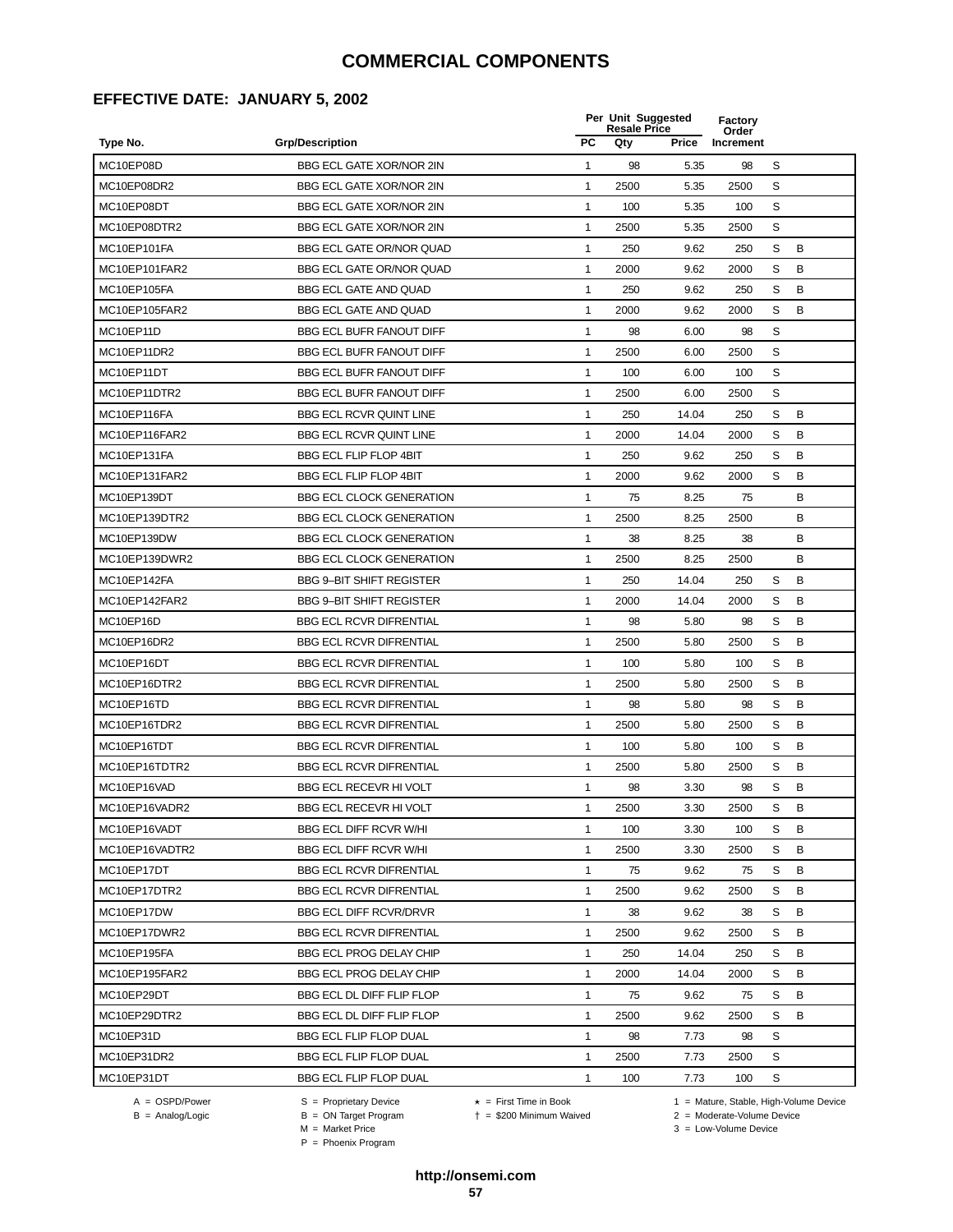### **EFFECTIVE DATE: JANUARY 5, 2002**

|                |                                 | Per Unit Suggested<br><b>Resale Price</b> |      |       | Factory<br>Order |   |   |  |
|----------------|---------------------------------|-------------------------------------------|------|-------|------------------|---|---|--|
| Type No.       | <b>Grp/Description</b>          | <b>PC</b>                                 | Qty  | Price | Increment        |   |   |  |
| MC10EP08D      | BBG ECL GATE XOR/NOR 2IN        | $\mathbf{1}$                              | 98   | 5.35  | 98               | S |   |  |
| MC10EP08DR2    | BBG ECL GATE XOR/NOR 2IN        | 1                                         | 2500 | 5.35  | 2500             | S |   |  |
| MC10EP08DT     | <b>BBG ECL GATE XOR/NOR 2IN</b> | 1                                         | 100  | 5.35  | 100              | S |   |  |
| MC10EP08DTR2   | <b>BBG ECL GATE XOR/NOR 2IN</b> | 1                                         | 2500 | 5.35  | 2500             | S |   |  |
| MC10EP101FA    | BBG ECL GATE OR/NOR QUAD        | 1                                         | 250  | 9.62  | 250              | S | B |  |
| MC10EP101FAR2  | BBG ECL GATE OR/NOR QUAD        | 1                                         | 2000 | 9.62  | 2000             | S | B |  |
| MC10EP105FA    | <b>BBG ECL GATE AND QUAD</b>    | $\mathbf{1}$                              | 250  | 9.62  | 250              | S | B |  |
| MC10EP105FAR2  | <b>BBG ECL GATE AND QUAD</b>    | $\mathbf{1}$                              | 2000 | 9.62  | 2000             | S | B |  |
| MC10EP11D      | <b>BBG ECL BUFR FANOUT DIFF</b> | 1                                         | 98   | 6.00  | 98               | S |   |  |
| MC10EP11DR2    | <b>BBG ECL BUFR FANOUT DIFF</b> | $\mathbf{1}$                              | 2500 | 6.00  | 2500             | S |   |  |
| MC10EP11DT     | <b>BBG ECL BUFR FANOUT DIFF</b> | 1                                         | 100  | 6.00  | 100              | S |   |  |
| MC10EP11DTR2   | <b>BBG ECL BUFR FANOUT DIFF</b> | 1                                         | 2500 | 6.00  | 2500             | S |   |  |
| MC10EP116FA    | <b>BBG ECL RCVR QUINT LINE</b>  | 1                                         | 250  | 14.04 | 250              | S | в |  |
| MC10EP116FAR2  | <b>BBG ECL RCVR QUINT LINE</b>  | 1                                         | 2000 | 14.04 | 2000             | S | B |  |
| MC10EP131FA    | <b>BBG ECL FLIP FLOP 4BIT</b>   | $\mathbf{1}$                              | 250  | 9.62  | 250              | S | B |  |
| MC10EP131FAR2  | <b>BBG ECL FLIP FLOP 4BIT</b>   | 1                                         | 2000 | 9.62  | 2000             | S | B |  |
| MC10EP139DT    | <b>BBG ECL CLOCK GENERATION</b> | $\mathbf{1}$                              | 75   | 8.25  | 75               |   | B |  |
| MC10EP139DTR2  | <b>BBG ECL CLOCK GENERATION</b> | 1                                         | 2500 | 8.25  | 2500             |   | в |  |
| MC10EP139DW    | <b>BBG ECL CLOCK GENERATION</b> | $\mathbf{1}$                              | 38   | 8.25  | 38               |   | B |  |
| MC10EP139DWR2  | <b>BBG ECL CLOCK GENERATION</b> | 1                                         | 2500 | 8.25  | 2500             |   | B |  |
| MC10EP142FA    | <b>BBG 9-BIT SHIFT REGISTER</b> | 1                                         | 250  | 14.04 | 250              | S | B |  |
| MC10EP142FAR2  | <b>BBG 9-BIT SHIFT REGISTER</b> | 1                                         | 2000 | 14.04 | 2000             | S | B |  |
| MC10EP16D      | <b>BBG ECL RCVR DIFRENTIAL</b>  | 1                                         | 98   | 5.80  | 98               | S | B |  |
| MC10EP16DR2    | <b>BBG ECL RCVR DIFRENTIAL</b>  | $\mathbf{1}$                              | 2500 | 5.80  | 2500             | S | B |  |
| MC10EP16DT     | <b>BBG ECL RCVR DIFRENTIAL</b>  | $\mathbf{1}$                              | 100  | 5.80  | 100              | S | B |  |
| MC10EP16DTR2   | <b>BBG ECL RCVR DIFRENTIAL</b>  | $\mathbf{1}$                              | 2500 | 5.80  | 2500             | S | B |  |
| MC10EP16TD     | <b>BBG ECL RCVR DIFRENTIAL</b>  | 1                                         | 98   | 5.80  | 98               | S | B |  |
| MC10EP16TDR2   | <b>BBG ECL RCVR DIFRENTIAL</b>  | $\mathbf{1}$                              | 2500 | 5.80  | 2500             | S | B |  |
| MC10EP16TDT    | <b>BBG ECL RCVR DIFRENTIAL</b>  | $\mathbf{1}$                              | 100  | 5.80  | 100              | S | B |  |
| MC10EP16TDTR2  | <b>BBG ECL RCVR DIFRENTIAL</b>  | 1                                         | 2500 | 5.80  | 2500             | S | В |  |
| MC10EP16VAD    | <b>BBG ECL RECEVR HI VOLT</b>   | 1                                         | 98   | 3.30  | 98               | S | В |  |
| MC10EP16VADR2  | BBG ECL RECEVR HI VOLT          | 1                                         | 2500 | 3.30  | 2500             | S | B |  |
| MC10EP16VADT   | <b>BBG ECL DIFF RCVR W/HI</b>   | $\mathbf{1}$                              | 100  | 3.30  | 100              | S | В |  |
| MC10EP16VADTR2 | <b>BBG ECL DIFF RCVR W/HI</b>   | 1                                         | 2500 | 3.30  | 2500             | S | В |  |
| MC10EP17DT     | <b>BBG ECL RCVR DIFRENTIAL</b>  | $\mathbf{1}$                              | 75   | 9.62  | 75               | S | В |  |
| MC10EP17DTR2   | <b>BBG ECL RCVR DIFRENTIAL</b>  | 1                                         | 2500 | 9.62  | 2500             | S | В |  |
| MC10EP17DW     | <b>BBG ECL DIFF RCVR/DRVR</b>   | $\mathbf{1}$                              | 38   | 9.62  | 38               | S | В |  |
| MC10EP17DWR2   | <b>BBG ECL RCVR DIFRENTIAL</b>  | $\mathbf{1}$                              | 2500 | 9.62  | 2500             | S | B |  |
| MC10EP195FA    | <b>BBG ECL PROG DELAY CHIP</b>  | 1                                         | 250  | 14.04 | 250              | S | B |  |
| MC10EP195FAR2  | <b>BBG ECL PROG DELAY CHIP</b>  | 1                                         | 2000 | 14.04 | 2000             | S | В |  |
| MC10EP29DT     | BBG ECL DL DIFF FLIP FLOP       | $\mathbf{1}$                              | 75   | 9.62  | 75               | S | В |  |
| MC10EP29DTR2   | BBG ECL DL DIFF FLIP FLOP       | $\mathbf{1}$                              | 2500 | 9.62  | 2500             | S | B |  |
| MC10EP31D      | <b>BBG ECL FLIP FLOP DUAL</b>   | 1                                         | 98   | 7.73  | 98               | S |   |  |
| MC10EP31DR2    | <b>BBG ECL FLIP FLOP DUAL</b>   | $\mathbf{1}$                              | 2500 | 7.73  | 2500             | S |   |  |
| MC10EP31DT     | <b>BBG ECL FLIP FLOP DUAL</b>   | 1                                         | 100  | 7.73  | 100              | S |   |  |
|                |                                 |                                           |      |       |                  |   |   |  |

-<br>B = ON Target Program<br>M = Market Price

 $A = OBPD/Power$ <br>  $B = ON Target Program$   $A = First Time in Book$   $A = West Theorem 1 = Nature, Stable, High-Volume Device$   $A = Mature, Stable, High-Volume Device$   $A = Mature, Stable, High-Volume Device$   $A = Mature, Table, High-Volume Device$   $A = Mature, Table, High-Volume Device$   $A = Mature, Table, High-Volume Device$   $A = Mature, Table, High-Volume Device$   $A = Mature, Table, High-Volume Device$   $A = Mature, Table, High-Volume Device$   $A = Mature, Table, High-Volume Device$   $A = Mature, Table, High-Volume Device$   $A = Mature, Table, High-Volume Device$   $A = Mature, Table, High-Volume Device$   $A = Mature, Table$ 

 $2 =$  Moderate-Volume Device  $3 =$  Low-Volume Device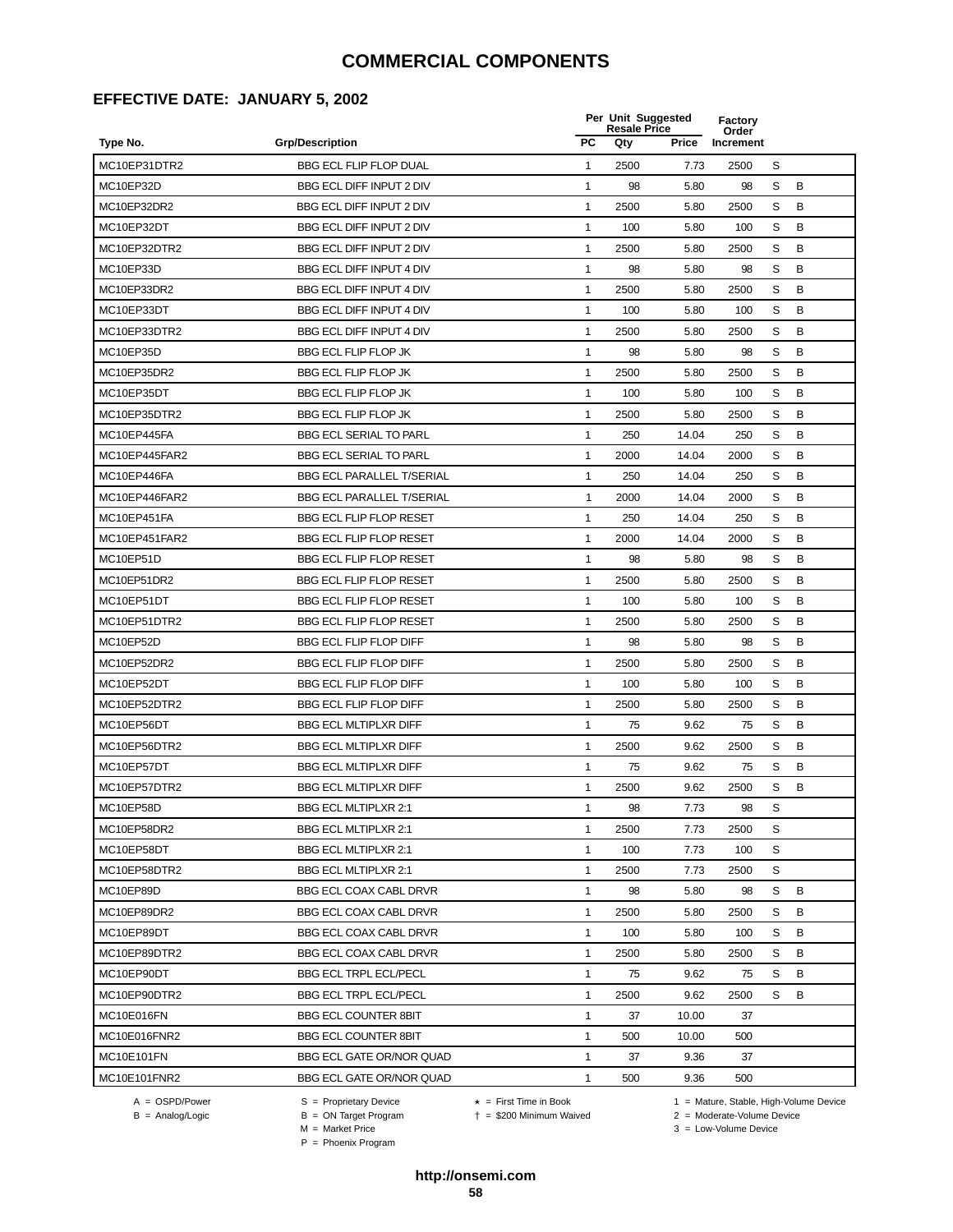#### **EFFECTIVE DATE: JANUARY 5, 2002**

|               |                                  |              | Per Unit Suggested<br><b>Resale Price</b> |       |                    |   |   |  |
|---------------|----------------------------------|--------------|-------------------------------------------|-------|--------------------|---|---|--|
| Type No.      | <b>Grp/Description</b>           | <b>PC</b>    | Qty                                       | Price | Order<br>Increment |   |   |  |
| MC10EP31DTR2  | <b>BBG ECL FLIP FLOP DUAL</b>    | $\mathbf{1}$ | 2500                                      | 7.73  | 2500               | S |   |  |
| MC10EP32D     | BBG ECL DIFF INPUT 2 DIV         | 1            | 98                                        | 5.80  | 98                 | S | B |  |
| MC10EP32DR2   | <b>BBG ECL DIFF INPUT 2 DIV</b>  | 1            | 2500                                      | 5.80  | 2500               | S | B |  |
| MC10EP32DT    | BBG ECL DIFF INPUT 2 DIV         | 1            | 100                                       | 5.80  | 100                | S | B |  |
| MC10EP32DTR2  | BBG ECL DIFF INPUT 2 DIV         | 1            | 2500                                      | 5.80  | 2500               | S | B |  |
| MC10EP33D     | BBG ECL DIFF INPUT 4 DIV         | 1            | 98                                        | 5.80  | 98                 | S | B |  |
| MC10EP33DR2   | BBG ECL DIFF INPUT 4 DIV         | 1            | 2500                                      | 5.80  | 2500               | S | B |  |
| MC10EP33DT    | BBG ECL DIFF INPUT 4 DIV         | $\mathbf{1}$ | 100                                       | 5.80  | 100                | S | B |  |
| MC10EP33DTR2  | BBG ECL DIFF INPUT 4 DIV         | 1            | 2500                                      | 5.80  | 2500               | S | B |  |
| MC10EP35D     | <b>BBG ECL FLIP FLOP JK</b>      | 1            | 98                                        | 5.80  | 98                 | S | B |  |
| MC10EP35DR2   | <b>BBG ECL FLIP FLOP JK</b>      | 1            | 2500                                      | 5.80  | 2500               | S | B |  |
| MC10EP35DT    | <b>BBG ECL FLIP FLOP JK</b>      | 1            | 100                                       | 5.80  | 100                | S | В |  |
| MC10EP35DTR2  | <b>BBG ECL FLIP FLOP JK</b>      | 1            | 2500                                      | 5.80  | 2500               | S | B |  |
| MC10EP445FA   | <b>BBG ECL SERIAL TO PARL</b>    | 1            | 250                                       | 14.04 | 250                | S | B |  |
| MC10EP445FAR2 | <b>BBG ECL SERIAL TO PARL</b>    | 1            | 2000                                      | 14.04 | 2000               | S | B |  |
| MC10EP446FA   | <b>BBG ECL PARALLEL T/SERIAL</b> | 1            | 250                                       | 14.04 | 250                | S | B |  |
| MC10EP446FAR2 | <b>BBG ECL PARALLEL T/SERIAL</b> | $\mathbf{1}$ | 2000                                      | 14.04 | 2000               | S | B |  |
| MC10EP451FA   | <b>BBG ECL FLIP FLOP RESET</b>   | $\mathbf{1}$ | 250                                       | 14.04 | 250                | S | в |  |
| MC10EP451FAR2 | <b>BBG ECL FLIP FLOP RESET</b>   | 1            | 2000                                      | 14.04 | 2000               | S | B |  |
| MC10EP51D     | <b>BBG ECL FLIP FLOP RESET</b>   | 1            | 98                                        | 5.80  | 98                 | S | B |  |
| MC10EP51DR2   | <b>BBG ECL FLIP FLOP RESET</b>   | 1            | 2500                                      | 5.80  | 2500               | S | В |  |
| MC10EP51DT    | <b>BBG ECL FLIP FLOP RESET</b>   | 1            | 100                                       | 5.80  | 100                | S | B |  |
| MC10EP51DTR2  | <b>BBG ECL FLIP FLOP RESET</b>   | 1            | 2500                                      | 5.80  | 2500               | S | B |  |
| MC10EP52D     | <b>BBG ECL FLIP FLOP DIFF</b>    | $\mathbf{1}$ | 98                                        | 5.80  | 98                 | S | B |  |
| MC10EP52DR2   | <b>BBG ECL FLIP FLOP DIFF</b>    | 1            | 2500                                      | 5.80  | 2500               | S | B |  |
| MC10EP52DT    | <b>BBG ECL FLIP FLOP DIFF</b>    | $\mathbf{1}$ | 100                                       | 5.80  | 100                | S | B |  |
| MC10EP52DTR2  | <b>BBG ECL FLIP FLOP DIFF</b>    | 1            | 2500                                      | 5.80  | 2500               | S | B |  |
| MC10EP56DT    | <b>BBG ECL MLTIPLXR DIFF</b>     | $\mathbf{1}$ | 75                                        | 9.62  | 75                 | S | B |  |
| MC10EP56DTR2  | <b>BBG ECL MLTIPLXR DIFF</b>     | 1            | 2500                                      | 9.62  | 2500               | S | B |  |
| MC10EP57DT    | <b>BBG ECL MLTIPLXR DIFF</b>     | 1            | 75                                        | 9.62  | 75                 | S | В |  |
| MC10EP57DTR2  | <b>BBG ECL MLTIPLXR DIFF</b>     | 1            | 2500                                      | 9.62  | 2500               | S | B |  |
| MC10EP58D     | <b>BBG ECL MLTIPLXR 2:1</b>      | 1            | 98                                        | 7.73  | 98                 | S |   |  |
| MC10EP58DR2   | <b>BBG ECL MLTIPLXR 2:1</b>      | $\mathbf{1}$ | 2500                                      | 7.73  | 2500               | S |   |  |
| MC10EP58DT    | BBG ECL MLTIPLXR 2:1             | 1            | 100                                       | 7.73  | 100                | S |   |  |
| MC10EP58DTR2  | BBG ECL MLTIPLXR 2:1             | 1            | 2500                                      | 7.73  | 2500               | S |   |  |
| MC10EP89D     | BBG ECL COAX CABL DRVR           | 1            | 98                                        | 5.80  | 98                 | S | В |  |
| MC10EP89DR2   | BBG ECL COAX CABL DRVR           | 1            | 2500                                      | 5.80  | 2500               | S | В |  |
| MC10EP89DT    | <b>BBG ECL COAX CABL DRVR</b>    | $\mathbf{1}$ | 100                                       | 5.80  | 100                | S | B |  |
| MC10EP89DTR2  | BBG ECL COAX CABL DRVR           | 1            | 2500                                      | 5.80  | 2500               | S | В |  |
| MC10EP90DT    | <b>BBG ECL TRPL ECL/PECL</b>     | 1            | 75                                        | 9.62  | 75                 | S | В |  |
| MC10EP90DTR2  | <b>BBG ECL TRPL ECL/PECL</b>     | 1            | 2500                                      | 9.62  | 2500               | S | B |  |
| MC10E016FN    | BBG ECL COUNTER 8BIT             | 1            | 37                                        | 10.00 | 37                 |   |   |  |
| MC10E016FNR2  | BBG ECL COUNTER 8BIT             | 1            | 500                                       | 10.00 | 500                |   |   |  |
| MC10E101FN    | BBG ECL GATE OR/NOR QUAD         | $\mathbf{1}$ | 37                                        | 9.36  | 37                 |   |   |  |
| MC10E101FNR2  | BBG ECL GATE OR/NOR QUAD         | 1            | 500                                       | 9.36  | 500                |   |   |  |
|               |                                  |              |                                           |       |                    |   |   |  |

 $B = \text{Analog/Logic}$ <br>B = ON Target Program<br> $M = \text{Market Price}$ 

= \$200 Minimum Waived 2 = Moderate-Volume Device

A = OSPD/Power S = Proprietary Device  $\star$  = First Time in Book 1 = Mature, Stable, High-Volume Device

 $3 =$  Low-Volume Device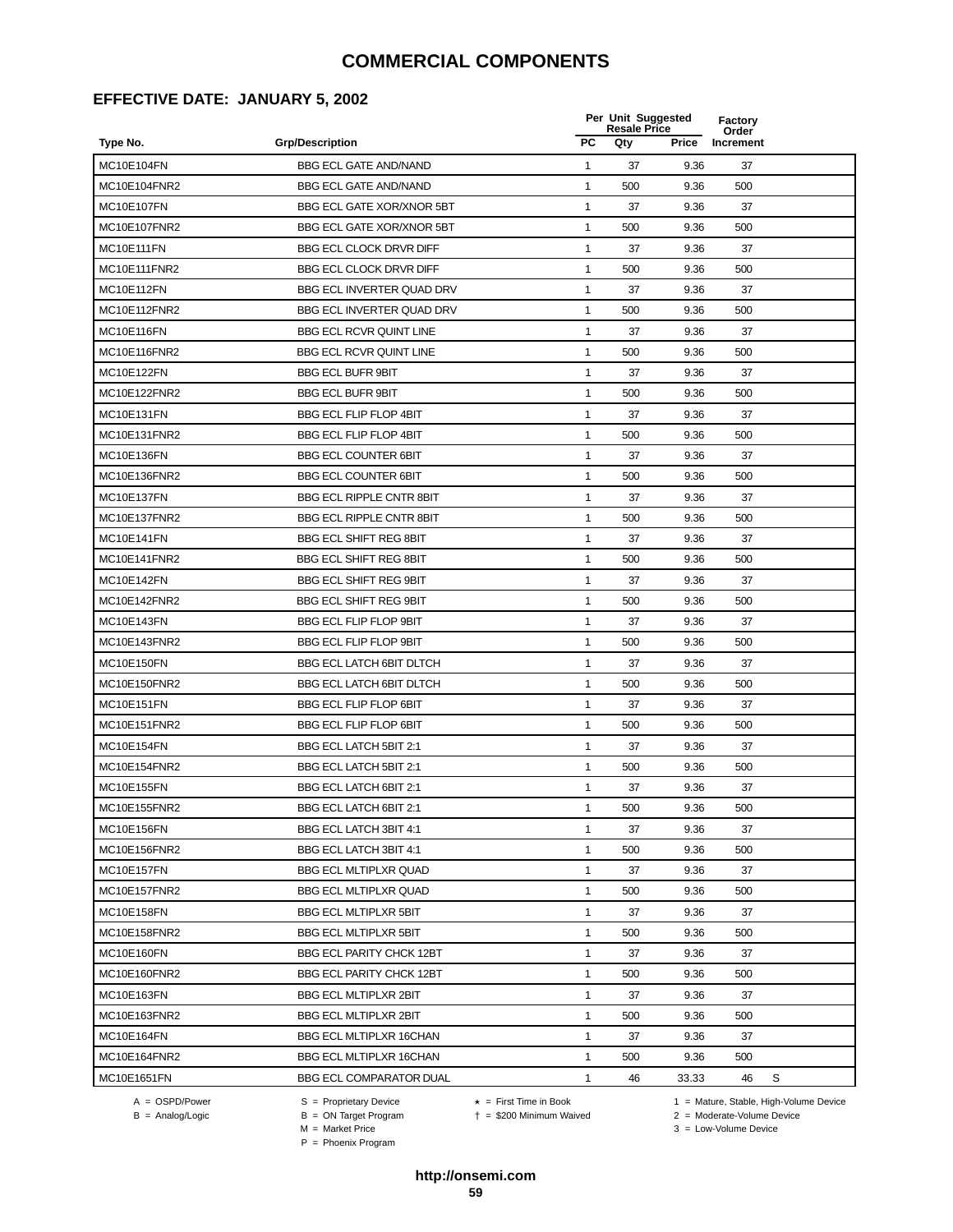#### **EFFECTIVE DATE: JANUARY 5, 2002**

|                   |                                  | Per Unit Suggested<br><b>Resale Price</b> |     |       | <b>Factory</b><br>Order |   |
|-------------------|----------------------------------|-------------------------------------------|-----|-------|-------------------------|---|
| Type No.          | <b>Grp/Description</b>           | <b>PC</b>                                 | Qty | Price | Increment               |   |
| MC10E104FN        | <b>BBG ECL GATE AND/NAND</b>     | $\mathbf{1}$                              | 37  | 9.36  | 37                      |   |
| MC10E104FNR2      | <b>BBG ECL GATE AND/NAND</b>     | 1                                         | 500 | 9.36  | 500                     |   |
| <b>MC10E107FN</b> | <b>BBG ECL GATE XOR/XNOR 5BT</b> | 1                                         | 37  | 9.36  | 37                      |   |
| MC10E107FNR2      | <b>BBG ECL GATE XOR/XNOR 5BT</b> | 1                                         | 500 | 9.36  | 500                     |   |
| <b>MC10E111FN</b> | <b>BBG ECL CLOCK DRVR DIFF</b>   | 1                                         | 37  | 9.36  | 37                      |   |
| MC10E111FNR2      | BBG ECL CLOCK DRVR DIFF          | 1                                         | 500 | 9.36  | 500                     |   |
| <b>MC10E112FN</b> | <b>BBG ECL INVERTER QUAD DRV</b> | 1                                         | 37  | 9.36  | 37                      |   |
| MC10E112FNR2      | BBG ECL INVERTER QUAD DRV        | $\mathbf{1}$                              | 500 | 9.36  | 500                     |   |
| <b>MC10E116FN</b> | <b>BBG ECL RCVR QUINT LINE</b>   | $\mathbf{1}$                              | 37  | 9.36  | 37                      |   |
| MC10E116FNR2      | <b>BBG ECL RCVR QUINT LINE</b>   | 1                                         | 500 | 9.36  | 500                     |   |
| <b>MC10E122FN</b> | <b>BBG ECL BUFR 9BIT</b>         | 1                                         | 37  | 9.36  | 37                      |   |
| MC10E122FNR2      | <b>BBG ECL BUFR 9BIT</b>         | 1                                         | 500 | 9.36  | 500                     |   |
| MC10E131FN        | <b>BBG ECL FLIP FLOP 4BIT</b>    | 1                                         | 37  | 9.36  | 37                      |   |
| MC10E131FNR2      | <b>BBG ECL FLIP FLOP 4BIT</b>    | 1                                         | 500 | 9.36  | 500                     |   |
| MC10E136FN        | <b>BBG ECL COUNTER 6BIT</b>      | 1                                         | 37  | 9.36  | 37                      |   |
| MC10E136FNR2      | <b>BBG ECL COUNTER 6BIT</b>      | 1                                         | 500 | 9.36  | 500                     |   |
| <b>MC10E137FN</b> | <b>BBG ECL RIPPLE CNTR 8BIT</b>  | $\mathbf{1}$                              | 37  | 9.36  | 37                      |   |
| MC10E137FNR2      | <b>BBG ECL RIPPLE CNTR 8BIT</b>  | $\mathbf{1}$                              | 500 | 9.36  | 500                     |   |
| <b>MC10E141FN</b> | <b>BBG ECL SHIFT REG 8BIT</b>    | $\mathbf{1}$                              | 37  | 9.36  | 37                      |   |
| MC10E141FNR2      | <b>BBG ECL SHIFT REG 8BIT</b>    | 1                                         | 500 | 9.36  | 500                     |   |
| <b>MC10E142FN</b> | <b>BBG ECL SHIFT REG 9BIT</b>    | 1                                         | 37  | 9.36  | 37                      |   |
| MC10E142FNR2      | <b>BBG ECL SHIFT REG 9BIT</b>    | 1                                         | 500 | 9.36  | 500                     |   |
| <b>MC10E143FN</b> | <b>BBG ECL FLIP FLOP 9BIT</b>    | $\mathbf{1}$                              | 37  | 9.36  | 37                      |   |
| MC10E143FNR2      | <b>BBG ECL FLIP FLOP 9BIT</b>    | $\mathbf{1}$                              | 500 | 9.36  | 500                     |   |
| <b>MC10E150FN</b> | <b>BBG ECL LATCH 6BIT DLTCH</b>  | 1                                         | 37  | 9.36  | 37                      |   |
| MC10E150FNR2      | <b>BBG ECL LATCH 6BIT DLTCH</b>  | $\mathbf{1}$                              | 500 | 9.36  | 500                     |   |
| <b>MC10E151FN</b> | <b>BBG ECL FLIP FLOP 6BIT</b>    | 1                                         | 37  | 9.36  | 37                      |   |
| MC10E151FNR2      | <b>BBG ECL FLIP FLOP 6BIT</b>    | 1                                         | 500 | 9.36  | 500                     |   |
| <b>MC10E154FN</b> | <b>BBG ECL LATCH 5BIT 2:1</b>    | 1                                         | 37  | 9.36  | 37                      |   |
| MC10E154FNR2      | BBG ECL LATCH 5BIT 2:1           | 1                                         | 500 | 9.36  | 500                     |   |
| <b>MC10E155FN</b> | BBG ECL LATCH 6BIT 2:1           | 1                                         | 37  | 9.36  | 37                      |   |
| MC10E155FNR2      | BBG ECL LATCH 6BIT 2:1           | 1                                         | 500 | 9.36  | 500                     |   |
| <b>MC10E156FN</b> | <b>BBG ECL LATCH 3BIT 4:1</b>    | $\mathbf{1}$                              | 37  | 9.36  | 37                      |   |
| MC10E156FNR2      | <b>BBG ECL LATCH 3BIT 4:1</b>    | 1                                         | 500 | 9.36  | 500                     |   |
| <b>MC10E157FN</b> | <b>BBG ECL MLTIPLXR QUAD</b>     | $\mathbf{1}$                              | 37  | 9.36  | 37                      |   |
| MC10E157FNR2      | <b>BBG ECL MLTIPLXR QUAD</b>     | 1                                         | 500 | 9.36  | 500                     |   |
| <b>MC10E158FN</b> | <b>BBG ECL MLTIPLXR 5BIT</b>     | 1                                         | 37  | 9.36  | 37                      |   |
| MC10E158FNR2      | <b>BBG ECL MLTIPLXR 5BIT</b>     | 1                                         | 500 | 9.36  | 500                     |   |
| <b>MC10E160FN</b> | <b>BBG ECL PARITY CHCK 12BT</b>  | 1                                         | 37  | 9.36  | 37                      |   |
| MC10E160FNR2      | <b>BBG ECL PARITY CHCK 12BT</b>  | 1                                         | 500 | 9.36  | 500                     |   |
| MC10E163FN        | <b>BBG ECL MLTIPLXR 2BIT</b>     | 1                                         | 37  | 9.36  | 37                      |   |
| MC10E163FNR2      | <b>BBG ECL MLTIPLXR 2BIT</b>     | $\mathbf{1}$                              | 500 | 9.36  | 500                     |   |
| MC10E164FN        | <b>BBG ECL MLTIPLXR 16CHAN</b>   | 1                                         | 37  | 9.36  | 37                      |   |
| MC10E164FNR2      | <b>BBG ECL MLTIPLXR 16CHAN</b>   | $\mathbf{1}$                              | 500 | 9.36  | 500                     |   |
| MC10E1651FN       | <b>BBG ECL COMPARATOR DUAL</b>   | 1                                         | 46  | 33.33 | 46                      | S |
|                   |                                  |                                           |     |       |                         |   |

 $B = \text{Analog/Logic}$ <br>B = ON Target Program<br> $M = \text{Market Price}$ 

A = OSPD/Power S = Proprietary Device  $\star$  = First Time in Book 1 = Mature, Stable, High-Volume Device

 = \$200 Minimum Waived 2 = Moderate-Volume Device  $3 =$  Low-Volume Device

```
http://onsemi.com
```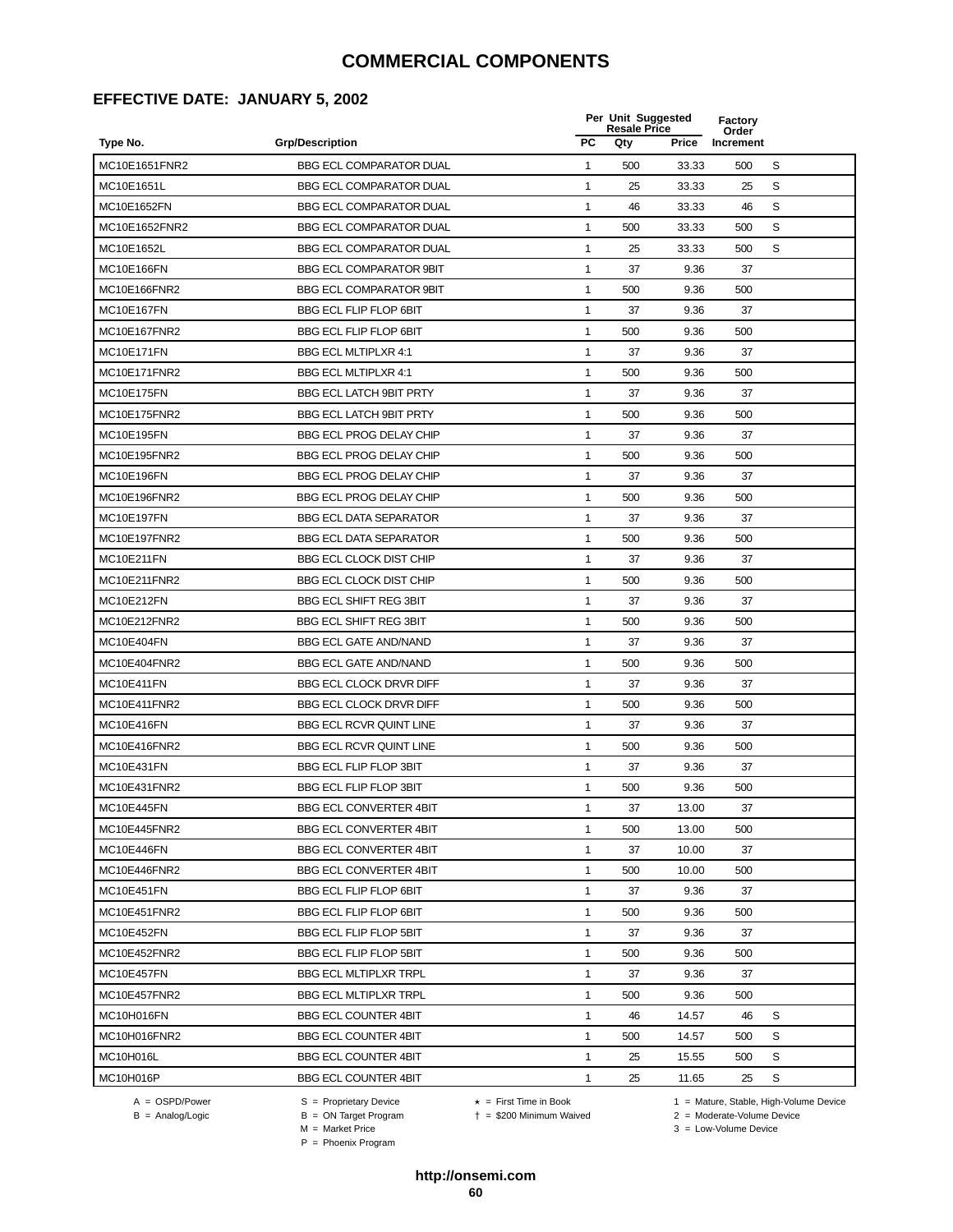### **EFFECTIVE DATE: JANUARY 5, 2002**

|                   |                                |              | Per Unit Suggested<br><b>Resale Price</b> | Factory<br>Order |           |   |
|-------------------|--------------------------------|--------------|-------------------------------------------|------------------|-----------|---|
| Type No.          | <b>Grp/Description</b>         | <b>PC</b>    | Qty                                       | <b>Price</b>     | Increment |   |
| MC10E1651FNR2     | <b>BBG ECL COMPARATOR DUAL</b> | $\mathbf{1}$ | 500                                       | 33.33            | 500       | S |
| MC10E1651L        | <b>BBG ECL COMPARATOR DUAL</b> | $\mathbf{1}$ | 25                                        | 33.33            | 25        | S |
| MC10E1652FN       | BBG ECL COMPARATOR DUAL        | 1            | 46                                        | 33.33            | 46        | S |
| MC10E1652FNR2     | <b>BBG ECL COMPARATOR DUAL</b> | $\mathbf{1}$ | 500                                       | 33.33            | 500       | S |
| MC10E1652L        | <b>BBG ECL COMPARATOR DUAL</b> | $\mathbf{1}$ | 25                                        | 33.33            | 500       | S |
| <b>MC10E166FN</b> | <b>BBG ECL COMPARATOR 9BIT</b> | $\mathbf{1}$ | 37                                        | 9.36             | 37        |   |
| MC10E166FNR2      | <b>BBG ECL COMPARATOR 9BIT</b> | $\mathbf{1}$ | 500                                       | 9.36             | 500       |   |
| <b>MC10E167FN</b> | <b>BBG ECL FLIP FLOP 6BIT</b>  | $\mathbf{1}$ | 37                                        | 9.36             | 37        |   |
| MC10E167FNR2      | <b>BBG ECL FLIP FLOP 6BIT</b>  | $\mathbf{1}$ | 500                                       | 9.36             | 500       |   |
| <b>MC10E171FN</b> | <b>BBG ECL MLTIPLXR 4:1</b>    | 1            | 37                                        | 9.36             | 37        |   |
| MC10E171FNR2      | <b>BBG ECL MLTIPLXR 4:1</b>    | 1            | 500                                       | 9.36             | 500       |   |
| <b>MC10E175FN</b> | <b>BBG ECL LATCH 9BIT PRTY</b> | 1            | 37                                        | 9.36             | 37        |   |
| MC10E175FNR2      | <b>BBG ECL LATCH 9BIT PRTY</b> | $\mathbf{1}$ | 500                                       | 9.36             | 500       |   |
| MC10E195FN        | <b>BBG ECL PROG DELAY CHIP</b> | 1            | 37                                        | 9.36             | 37        |   |
| MC10E195FNR2      | <b>BBG ECL PROG DELAY CHIP</b> | $\mathbf{1}$ | 500                                       | 9.36             | 500       |   |
| <b>MC10E196FN</b> | <b>BBG ECL PROG DELAY CHIP</b> | $\mathbf{1}$ | 37                                        | 9.36             | 37        |   |
| MC10E196FNR2      | <b>BBG ECL PROG DELAY CHIP</b> | $\mathbf{1}$ | 500                                       | 9.36             | 500       |   |
| <b>MC10E197FN</b> | <b>BBG ECL DATA SEPARATOR</b>  | 1            | 37                                        | 9.36             | 37        |   |
| MC10E197FNR2      | <b>BBG ECL DATA SEPARATOR</b>  | $\mathbf{1}$ | 500                                       | 9.36             | 500       |   |
| <b>MC10E211FN</b> | <b>BBG ECL CLOCK DIST CHIP</b> | $\mathbf{1}$ | 37                                        | 9.36             | 37        |   |
| MC10E211FNR2      | BBG ECL CLOCK DIST CHIP        | 1            | 500                                       | 9.36             | 500       |   |
| MC10E212FN        | <b>BBG ECL SHIFT REG 3BIT</b>  | $\mathbf{1}$ | 37                                        | 9.36             | 37        |   |
| MC10E212FNR2      | <b>BBG ECL SHIFT REG 3BIT</b>  | $\mathbf{1}$ | 500                                       | 9.36             | 500       |   |
| MC10E404FN        | <b>BBG ECL GATE AND/NAND</b>   | $\mathbf{1}$ | 37                                        | 9.36             | 37        |   |
| MC10E404FNR2      | <b>BBG ECL GATE AND/NAND</b>   | $\mathbf{1}$ | 500                                       | 9.36             | 500       |   |
| MC10E411FN        | <b>BBG ECL CLOCK DRVR DIFF</b> | $\mathbf{1}$ | 37                                        | 9.36             | 37        |   |
| MC10E411FNR2      | <b>BBG ECL CLOCK DRVR DIFF</b> | $\mathbf{1}$ | 500                                       | 9.36             | 500       |   |
| <b>MC10E416FN</b> | <b>BBG ECL RCVR QUINT LINE</b> | $\mathbf{1}$ | 37                                        | 9.36             | 37        |   |
| MC10E416FNR2      | <b>BBG ECL RCVR QUINT LINE</b> | $\mathbf{1}$ | 500                                       | 9.36             | 500       |   |
| MC10E431FN        | BBG ECL FLIP FLOP 3BIT         | 1            | 37                                        | 9.36             | 37        |   |
| MC10E431FNR2      | <b>BBG ECL FLIP FLOP 3BIT</b>  | 1            | 500                                       | 9.36             | 500       |   |
| <b>MC10E445FN</b> | <b>BBG ECL CONVERTER 4BIT</b>  | 1            | 37                                        | 13.00            | 37        |   |
| MC10E445FNR2      | <b>BBG ECL CONVERTER 4BIT</b>  | $\mathbf{1}$ | 500                                       | 13.00            | 500       |   |
| <b>MC10E446FN</b> | <b>BBG ECL CONVERTER 4BIT</b>  | $\mathbf{1}$ | 37                                        | 10.00            | 37        |   |
| MC10E446FNR2      | <b>BBG ECL CONVERTER 4BIT</b>  | $\mathbf{1}$ | 500                                       | 10.00            | 500       |   |
| <b>MC10E451FN</b> | BBG ECL FLIP FLOP 6BIT         | $\mathbf{1}$ | 37                                        | 9.36             | 37        |   |
| MC10E451FNR2      | <b>BBG ECL FLIP FLOP 6BIT</b>  | $\mathbf{1}$ | 500                                       | 9.36             | 500       |   |
| <b>MC10E452FN</b> | <b>BBG ECL FLIP FLOP 5BIT</b>  | $\mathbf{1}$ | 37                                        | 9.36             | 37        |   |
| MC10E452FNR2      | <b>BBG ECL FLIP FLOP 5BIT</b>  | $\mathbf{1}$ | 500                                       | 9.36             | 500       |   |
| MC10E457FN        | <b>BBG ECL MLTIPLXR TRPL</b>   | $\mathbf{1}$ | 37                                        | 9.36             | 37        |   |
| MC10E457FNR2      | <b>BBG ECL MLTIPLXR TRPL</b>   | $\mathbf{1}$ | 500                                       | 9.36             | 500       |   |
| MC10H016FN        | <b>BBG ECL COUNTER 4BIT</b>    | $\mathbf{1}$ | 46                                        | 14.57            | 46        | S |
| MC10H016FNR2      | <b>BBG ECL COUNTER 4BIT</b>    | $\mathbf{1}$ | 500                                       | 14.57            | 500       | S |
| MC10H016L         | <b>BBG ECL COUNTER 4BIT</b>    | $\mathbf{1}$ | 25                                        | 15.55            | 500       | S |
| MC10H016P         | <b>BBG ECL COUNTER 4BIT</b>    | $\mathbf{1}$ | 25                                        | 11.65            | 25        | S |

-<br>B = ON Target Program<br>M = Market Price

 $A = OBPD/Power$ <br>  $B = ON Target Program$   $A = First Time in Book$   $A = West Theorem 1 = Nature, Stable, High-Volume Device$   $A = Mature, Stable, High-Volume Device$   $A = Mature, Stable, High-Volume Device$   $A = Mature, Table, High-Volume Device$   $A = Mature, Table, High-Volume Device$   $A = Mature, Table, High-Volume Device$   $A = Mature, Table, High-Volume Device$   $A = Mature, Table, High-Volume Device$   $A = Mature, Table, High-Volume Device$   $A = Mature, Table, High-Volume Device$   $A = Mature, Table, High-Volume Device$   $A = Mature, Table, High-Volume Device$   $A = Mature, Table, High-Volume Device$   $A = Mature, Table$ 

 $2 =$  Moderate-Volume Device

 $3 =$  Low-Volume Device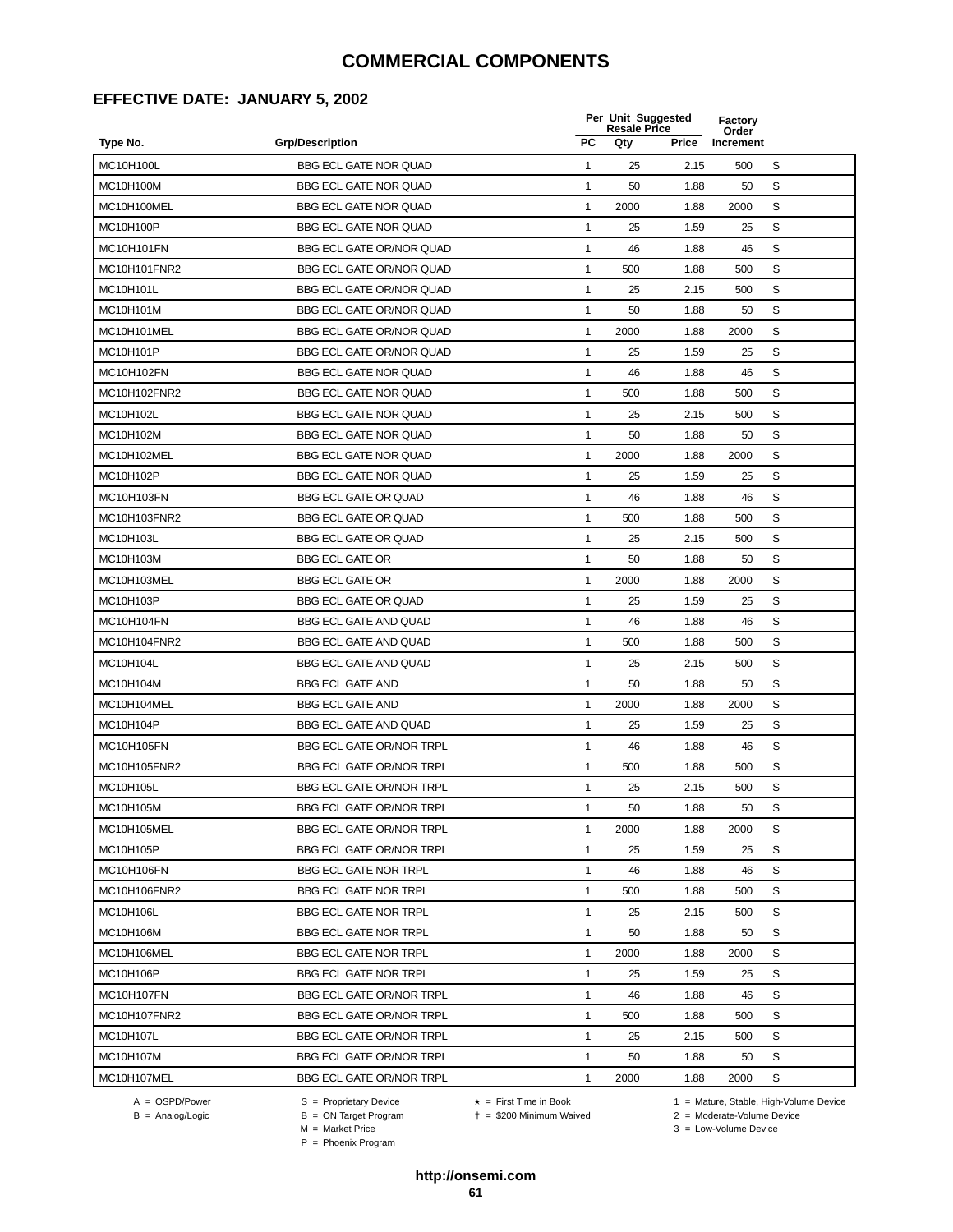## **EFFECTIVE DATE: JANUARY 5, 2002**

|                   |                                 |              | Per Unit Suggested<br><b>Resale Price</b> |       | Factory<br>Order |   |  |
|-------------------|---------------------------------|--------------|-------------------------------------------|-------|------------------|---|--|
| Type No.          | <b>Grp/Description</b>          | <b>PC</b>    | Qty                                       | Price | Increment        |   |  |
| MC10H100L         | BBG ECL GATE NOR QUAD           | $\mathbf{1}$ | 25                                        | 2.15  | 500              | S |  |
| MC10H100M         | <b>BBG ECL GATE NOR QUAD</b>    | $\mathbf{1}$ | 50                                        | 1.88  | 50               | S |  |
| MC10H100MEL       | BBG ECL GATE NOR QUAD           | $\mathbf{1}$ | 2000                                      | 1.88  | 2000             | S |  |
| MC10H100P         | <b>BBG ECL GATE NOR QUAD</b>    | $\mathbf{1}$ | 25                                        | 1.59  | 25               | S |  |
| MC10H101FN        | BBG ECL GATE OR/NOR QUAD        | $\mathbf{1}$ | 46                                        | 1.88  | 46               | S |  |
| MC10H101FNR2      | BBG ECL GATE OR/NOR QUAD        | $\mathbf{1}$ | 500                                       | 1.88  | 500              | S |  |
| MC10H101L         | BBG ECL GATE OR/NOR QUAD        | $\mathbf{1}$ | 25                                        | 2.15  | 500              | S |  |
| MC10H101M         | BBG ECL GATE OR/NOR QUAD        | $\mathbf{1}$ | 50                                        | 1.88  | 50               | S |  |
| MC10H101MEL       | <b>BBG ECL GATE OR/NOR QUAD</b> | $\mathbf{1}$ | 2000                                      | 1.88  | 2000             | S |  |
| MC10H101P         | BBG ECL GATE OR/NOR QUAD        | $\mathbf{1}$ | 25                                        | 1.59  | 25               | S |  |
| MC10H102FN        | <b>BBG ECL GATE NOR QUAD</b>    | $\mathbf{1}$ | 46                                        | 1.88  | 46               | S |  |
| MC10H102FNR2      | <b>BBG ECL GATE NOR QUAD</b>    | 1            | 500                                       | 1.88  | 500              | S |  |
| MC10H102L         | <b>BBG ECL GATE NOR QUAD</b>    | 1            | 25                                        | 2.15  | 500              | S |  |
| MC10H102M         | <b>BBG ECL GATE NOR QUAD</b>    | 1            | 50                                        | 1.88  | 50               | S |  |
| MC10H102MEL       | BBG ECL GATE NOR QUAD           | $\mathbf{1}$ | 2000                                      | 1.88  | 2000             | S |  |
| MC10H102P         | <b>BBG ECL GATE NOR QUAD</b>    | $\mathbf{1}$ | 25                                        | 1.59  | 25               | S |  |
| MC10H103FN        | <b>BBG ECL GATE OR QUAD</b>     | $\mathbf{1}$ | 46                                        | 1.88  | 46               | S |  |
| MC10H103FNR2      | <b>BBG ECL GATE OR QUAD</b>     | $\mathbf{1}$ | 500                                       | 1.88  | 500              | S |  |
| MC10H103L         | <b>BBG ECL GATE OR QUAD</b>     | $\mathbf{1}$ | 25                                        | 2.15  | 500              | S |  |
| MC10H103M         | <b>BBG ECL GATE OR</b>          | $\mathbf{1}$ | 50                                        | 1.88  | 50               | S |  |
| MC10H103MEL       | <b>BBG ECL GATE OR</b>          | 1            | 2000                                      | 1.88  | 2000             | S |  |
| MC10H103P         | <b>BBG ECL GATE OR QUAD</b>     | $\mathbf{1}$ | 25                                        | 1.59  | 25               | S |  |
| <b>MC10H104FN</b> | BBG ECL GATE AND QUAD           | $\mathbf{1}$ | 46                                        | 1.88  | 46               | S |  |
| MC10H104FNR2      | BBG ECL GATE AND QUAD           | $\mathbf{1}$ | 500                                       | 1.88  | 500              | S |  |
| MC10H104L         | BBG ECL GATE AND QUAD           | $\mathbf{1}$ | 25                                        | 2.15  | 500              | S |  |
| MC10H104M         | <b>BBG ECL GATE AND</b>         | $\mathbf{1}$ | 50                                        | 1.88  | 50               | S |  |
| MC10H104MEL       | <b>BBG ECL GATE AND</b>         | $\mathbf{1}$ | 2000                                      | 1.88  | 2000             | S |  |
| MC10H104P         | <b>BBG ECL GATE AND QUAD</b>    | $\mathbf{1}$ | 25                                        | 1.59  | 25               | S |  |
| MC10H105FN        | <b>BBG ECL GATE OR/NOR TRPL</b> | $\mathbf{1}$ | 46                                        | 1.88  | 46               | S |  |
| MC10H105FNR2      | <b>BBG ECL GATE OR/NOR TRPL</b> | 1            | 500                                       | 1.88  | 500              | S |  |
| MC10H105L         | <b>BBG ECL GATE OR/NOR TRPL</b> | $\mathbf{1}$ | 25                                        | 2.15  | 500              | S |  |
| MC10H105M         | <b>BBG ECL GATE OR/NOR TRPL</b> | 1            | 50                                        | 1.88  | 50               | S |  |
| MC10H105MEL       | <b>BBG ECL GATE OR/NOR TRPL</b> | $\mathbf{1}$ | 2000                                      | 1.88  | 2000             | S |  |
| MC10H105P         | <b>BBG ECL GATE OR/NOR TRPL</b> | $\mathbf{1}$ | 25                                        | 1.59  | 25               | S |  |
| MC10H106FN        | <b>BBG ECL GATE NOR TRPL</b>    | $\mathbf{1}$ | 46                                        | 1.88  | 46               | S |  |
| MC10H106FNR2      | <b>BBG ECL GATE NOR TRPL</b>    | $\mathbf{1}$ | 500                                       | 1.88  | 500              | S |  |
| MC10H106L         | <b>BBG ECL GATE NOR TRPL</b>    | $\mathbf{1}$ | 25                                        | 2.15  | 500              | S |  |
| MC10H106M         | <b>BBG ECL GATE NOR TRPL</b>    | $\mathbf{1}$ | 50                                        | 1.88  | 50               | S |  |
| MC10H106MEL       | <b>BBG ECL GATE NOR TRPL</b>    | $\mathbf{1}$ | 2000                                      | 1.88  | 2000             | S |  |
| MC10H106P         | <b>BBG ECL GATE NOR TRPL</b>    | $\mathbf{1}$ | 25                                        | 1.59  | 25               | S |  |
| <b>MC10H107FN</b> | <b>BBG ECL GATE OR/NOR TRPL</b> | $\mathbf{1}$ | 46                                        | 1.88  | 46               | S |  |
| MC10H107FNR2      | BBG ECL GATE OR/NOR TRPL        | $\mathbf{1}$ | 500                                       | 1.88  | 500              | S |  |
| MC10H107L         | <b>BBG ECL GATE OR/NOR TRPL</b> | $\mathbf{1}$ | 25                                        | 2.15  | 500              | S |  |
| MC10H107M         | <b>BBG ECL GATE OR/NOR TRPL</b> | $\mathbf{1}$ | 50                                        | 1.88  | 50               | S |  |
| MC10H107MEL       | BBG ECL GATE OR/NOR TRPL        | $\mathbf{1}$ | 2000                                      | 1.88  | 2000             | S |  |

B = ON Target Program<br>M = Market Price

 $2 =$  Moderate-Volume Device

 $3 =$  Low-Volume Device

 $A = OBPD/Power$ <br>  $B = ON Target Program$   $A = First Time in Book$   $A = West Theorem 1 = Nature, Stable, High-Volume Device$   $A = Mature, Stable, High-Volume Device$   $A = Mature, Stable, High-Volume Device$   $A = Mature, Table, High-Volume Device$   $A = Mature, Table, High-Volume Device$   $A = Mature, Table, High-Volume Device$   $A = Mature, Table, High-Volume Device$   $A = Mature, Table, High-Volume Device$   $A = Mature, Table, High-Volume Device$   $A = Mature, Table, High-Volume Device$   $A = Mature, Table, High-Volume Device$   $A = Mature, Table, High-Volume Device$   $A = Mature, Table, High-Volume Device$   $A = Mature, Table$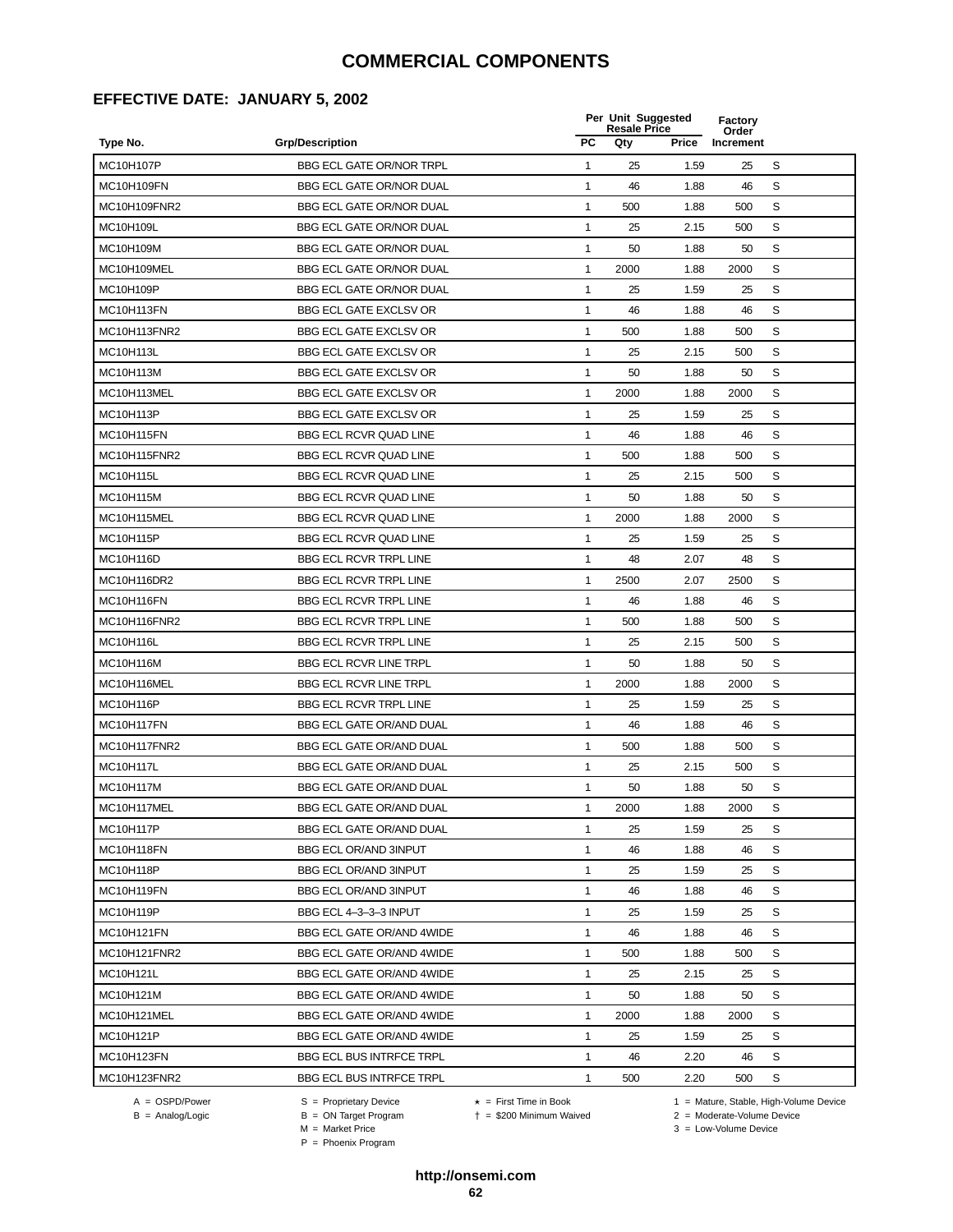#### **EFFECTIVE DATE: JANUARY 5, 2002**

|                   |                                 |              | Per Unit Suggested<br><b>Resale Price</b> |       | Factory<br>Order |   |  |
|-------------------|---------------------------------|--------------|-------------------------------------------|-------|------------------|---|--|
| Type No.          | <b>Grp/Description</b>          | <b>PC</b>    | Qty                                       | Price | Increment        |   |  |
| MC10H107P         | BBG ECL GATE OR/NOR TRPL        | $\mathbf{1}$ | 25                                        | 1.59  | 25               | S |  |
| MC10H109FN        | BBG ECL GATE OR/NOR DUAL        | $\mathbf{1}$ | 46                                        | 1.88  | 46               | S |  |
| MC10H109FNR2      | BBG ECL GATE OR/NOR DUAL        | 1            | 500                                       | 1.88  | 500              | S |  |
| MC10H109L         | <b>BBG ECL GATE OR/NOR DUAL</b> | $\mathbf{1}$ | 25                                        | 2.15  | 500              | S |  |
| MC10H109M         | BBG ECL GATE OR/NOR DUAL        | $\mathbf{1}$ | 50                                        | 1.88  | 50               | S |  |
| MC10H109MEL       | <b>BBG ECL GATE OR/NOR DUAL</b> | $\mathbf{1}$ | 2000                                      | 1.88  | 2000             | S |  |
| MC10H109P         | <b>BBG ECL GATE OR/NOR DUAL</b> | $\mathbf{1}$ | 25                                        | 1.59  | 25               | S |  |
| <b>MC10H113FN</b> | <b>BBG ECL GATE EXCLSV OR</b>   | $\mathbf{1}$ | 46                                        | 1.88  | 46               | S |  |
| MC10H113FNR2      | <b>BBG ECL GATE EXCLSV OR</b>   | $\mathbf{1}$ | 500                                       | 1.88  | 500              | S |  |
| MC10H113L         | <b>BBG ECL GATE EXCLSV OR</b>   | $\mathbf{1}$ | 25                                        | 2.15  | 500              | S |  |
| MC10H113M         | <b>BBG ECL GATE EXCLSV OR</b>   | $\mathbf{1}$ | 50                                        | 1.88  | 50               | S |  |
| MC10H113MEL       | <b>BBG ECL GATE EXCLSV OR</b>   | 1            | 2000                                      | 1.88  | 2000             | S |  |
| MC10H113P         | <b>BBG ECL GATE EXCLSV OR</b>   | $\mathbf{1}$ | 25                                        | 1.59  | 25               | S |  |
| <b>MC10H115FN</b> | <b>BBG ECL RCVR QUAD LINE</b>   | 1            | 46                                        | 1.88  | 46               | S |  |
| MC10H115FNR2      | <b>BBG ECL RCVR QUAD LINE</b>   | $\mathbf{1}$ | 500                                       | 1.88  | 500              | S |  |
| MC10H115L         | <b>BBG ECL RCVR QUAD LINE</b>   | $\mathbf{1}$ | 25                                        | 2.15  | 500              | S |  |
| MC10H115M         | <b>BBG ECL RCVR QUAD LINE</b>   | $\mathbf{1}$ | 50                                        | 1.88  | 50               | S |  |
| MC10H115MEL       | <b>BBG ECL RCVR QUAD LINE</b>   | $\mathbf{1}$ | 2000                                      | 1.88  | 2000             | S |  |
| MC10H115P         | <b>BBG ECL RCVR QUAD LINE</b>   | $\mathbf{1}$ | 25                                        | 1.59  | 25               | S |  |
| MC10H116D         | <b>BBG ECL RCVR TRPL LINE</b>   | $\mathbf{1}$ | 48                                        | 2.07  | 48               | S |  |
| MC10H116DR2       | BBG ECL RCVR TRPL LINE          | 1            | 2500                                      | 2.07  | 2500             | S |  |
| MC10H116FN        | BBG ECL RCVR TRPL LINE          | 1            | 46                                        | 1.88  | 46               | S |  |
| MC10H116FNR2      | <b>BBG ECL RCVR TRPL LINE</b>   | $\mathbf{1}$ | 500                                       | 1.88  | 500              | S |  |
| MC10H116L         | BBG ECL RCVR TRPL LINE          | $\mathbf{1}$ | 25                                        | 2.15  | 500              | S |  |
| MC10H116M         | <b>BBG ECL RCVR LINE TRPL</b>   | $\mathbf{1}$ | 50                                        | 1.88  | 50               | S |  |
| MC10H116MEL       | <b>BBG ECL RCVR LINE TRPL</b>   | $\mathbf{1}$ | 2000                                      | 1.88  | 2000             | S |  |
| MC10H116P         | <b>BBG ECL RCVR TRPL LINE</b>   | 1            | 25                                        | 1.59  | 25               | S |  |
| <b>MC10H117FN</b> | BBG ECL GATE OR/AND DUAL        | $\mathbf{1}$ | 46                                        | 1.88  | 46               | S |  |
| MC10H117FNR2      | BBG ECL GATE OR/AND DUAL        | 1            | 500                                       | 1.88  | 500              | S |  |
| <b>MC10H117L</b>  | <b>BBG ECL GATE OR/AND DUAL</b> | 1            | 25                                        | 2.15  | 500              | S |  |
| MC10H117M         | BBG ECL GATE OR/AND DUAL        | $\mathbf{1}$ | 50                                        | 1.88  | 50               | S |  |
| MC10H117MEL       | BBG ECL GATE OR/AND DUAL        | 1            | 2000                                      | 1.88  | 2000             | S |  |
| MC10H117P         | BBG ECL GATE OR/AND DUAL        | $\mathbf{1}$ | 25                                        | 1.59  | 25               | S |  |
| MC10H118FN        | BBG ECL OR/AND 3INPUT           | 1            | 46                                        | 1.88  | 46               | S |  |
| MC10H118P         | BBG ECL OR/AND 3INPUT           | 1            | 25                                        | 1.59  | 25               | S |  |
| <b>MC10H119FN</b> | BBG ECL OR/AND 3INPUT           | $\mathbf{1}$ | 46                                        | 1.88  | 46               | S |  |
| MC10H119P         | BBG ECL 4-3-3-3 INPUT           | 1            | 25                                        | 1.59  | 25               | S |  |
| MC10H121FN        | BBG ECL GATE OR/AND 4WIDE       | $\mathbf{1}$ | 46                                        | 1.88  | 46               | S |  |
| MC10H121FNR2      | BBG ECL GATE OR/AND 4WIDE       | $\mathbf{1}$ | 500                                       | 1.88  | 500              | S |  |
| MC10H121L         | BBG ECL GATE OR/AND 4WIDE       | $\mathbf{1}$ | 25                                        | 2.15  | 25               | S |  |
| MC10H121M         | BBG ECL GATE OR/AND 4WIDE       | $\mathbf{1}$ | 50                                        | 1.88  | 50               | S |  |
| MC10H121MEL       | BBG ECL GATE OR/AND 4WIDE       | $\mathbf{1}$ | 2000                                      | 1.88  | 2000             | S |  |
| MC10H121P         | BBG ECL GATE OR/AND 4WIDE       | 1            | 25                                        | 1.59  | 25               | S |  |
| MC10H123FN        | <b>BBG ECL BUS INTRFCE TRPL</b> | $\mathbf{1}$ | 46                                        | 2.20  | 46               | S |  |
| MC10H123FNR2      | <b>BBG ECL BUS INTRFCE TRPL</b> | $\mathbf{1}$ | 500                                       | 2.20  | 500              | S |  |

B = ON Target Program<br>M = Market Price

 $A = OBPD/Power$ <br>  $B = ON Target Program$   $A = First Time in Book$   $A = West Theorem 1 = Nature, Stable, High-Volume Device$   $A = Mature, Stable, High-Volume Device$   $A = Mature, Stable, High-Volume Device$   $A = Mature, Table, High-Volume Device$   $A = Mature, Table, High-Volume Device$   $A = Mature, Table, High-Volume Device$   $A = Mature, Table, High-Volume Device$   $A = Mature, Table, High-Volume Device$   $A = Mature, Table, High-Volume Device$   $A = Mature, Table, High-Volume Device$   $A = Mature, Table, High-Volume Device$   $A = Mature, Table, High-Volume Device$   $A = Mature, Table, High-Volume Device$   $A = Mature, Table$ 

 $2 =$  Moderate-Volume Device

P = Phoenix Program

 $3 =$  Low-Volume Device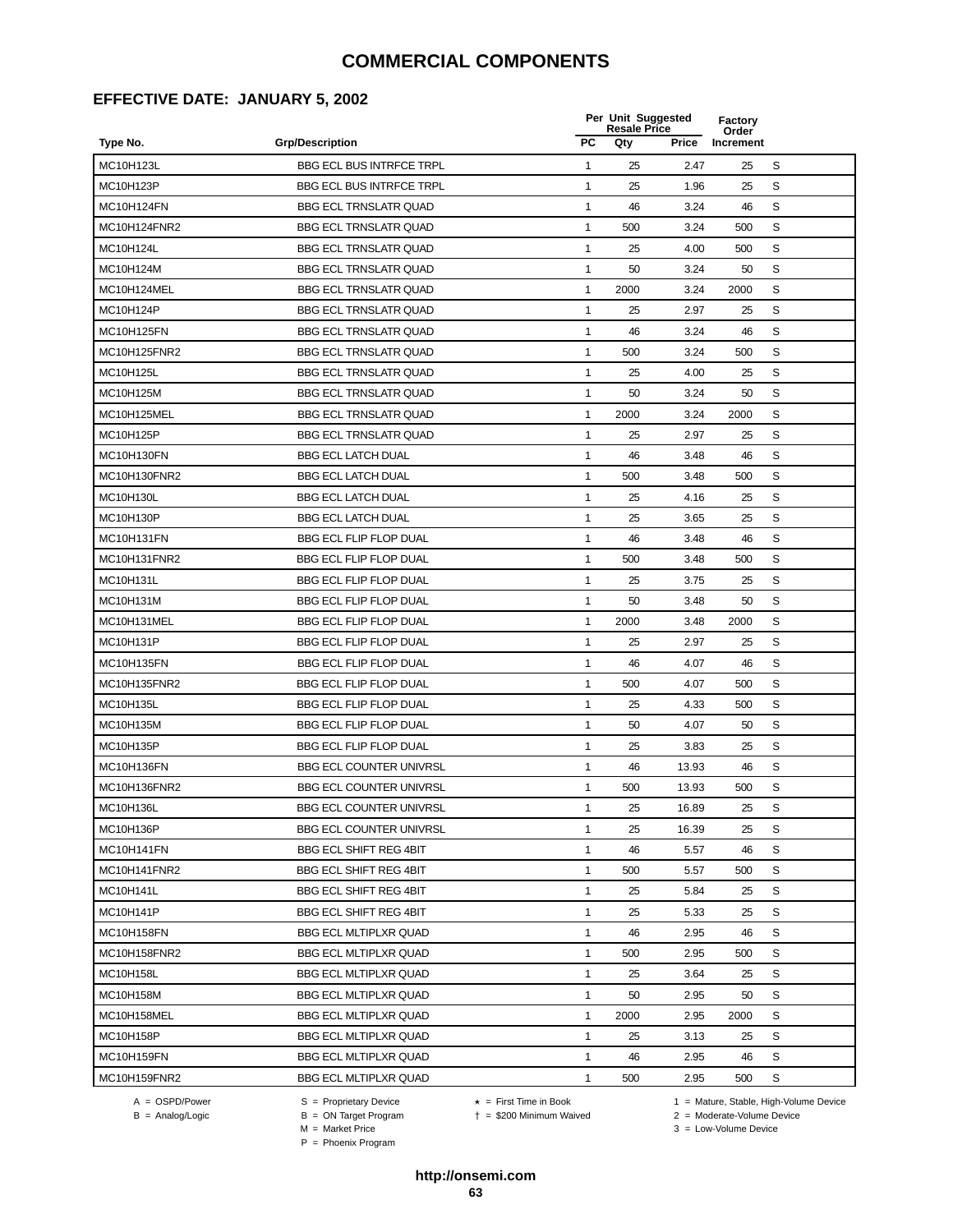## **EFFECTIVE DATE: JANUARY 5, 2002**

|                   |                                 |              | Per Unit Suggested<br><b>Resale Price</b> |              | Factory<br>Order |   |  |
|-------------------|---------------------------------|--------------|-------------------------------------------|--------------|------------------|---|--|
| Type No.          | <b>Grp/Description</b>          | <b>PC</b>    | Qty                                       | <b>Price</b> | Increment        |   |  |
| MC10H123L         | <b>BBG ECL BUS INTRFCE TRPL</b> | $\mathbf{1}$ | 25                                        | 2.47         | 25               | S |  |
| MC10H123P         | <b>BBG ECL BUS INTRFCE TRPL</b> | $\mathbf{1}$ | 25                                        | 1.96         | 25               | S |  |
| <b>MC10H124FN</b> | <b>BBG ECL TRNSLATR QUAD</b>    | 1            | 46                                        | 3.24         | 46               | S |  |
| MC10H124FNR2      | <b>BBG ECL TRNSLATR QUAD</b>    | $\mathbf{1}$ | 500                                       | 3.24         | 500              | S |  |
| MC10H124L         | <b>BBG ECL TRNSLATR QUAD</b>    | 1            | 25                                        | 4.00         | 500              | S |  |
| MC10H124M         | <b>BBG ECL TRNSLATR QUAD</b>    | $\mathbf{1}$ | 50                                        | 3.24         | 50               | S |  |
| MC10H124MEL       | <b>BBG ECL TRNSLATR QUAD</b>    | $\mathbf{1}$ | 2000                                      | 3.24         | 2000             | S |  |
| MC10H124P         | <b>BBG ECL TRNSLATR QUAD</b>    | $\mathbf{1}$ | 25                                        | 2.97         | 25               | S |  |
| MC10H125FN        | <b>BBG ECL TRNSLATR QUAD</b>    | $\mathbf{1}$ | 46                                        | 3.24         | 46               | S |  |
| MC10H125FNR2      | <b>BBG ECL TRNSLATR QUAD</b>    | $\mathbf{1}$ | 500                                       | 3.24         | 500              | S |  |
| MC10H125L         | <b>BBG ECL TRNSLATR QUAD</b>    | 1            | 25                                        | 4.00         | 25               | S |  |
| MC10H125M         | <b>BBG ECL TRNSLATR QUAD</b>    | 1            | 50                                        | 3.24         | 50               | S |  |
| MC10H125MEL       | <b>BBG ECL TRNSLATR QUAD</b>    | 1            | 2000                                      | 3.24         | 2000             | S |  |
| MC10H125P         | <b>BBG ECL TRNSLATR QUAD</b>    | 1            | 25                                        | 2.97         | 25               | S |  |
| <b>MC10H130FN</b> | <b>BBG ECL LATCH DUAL</b>       | $\mathbf{1}$ | 46                                        | 3.48         | 46               | S |  |
| MC10H130FNR2      | <b>BBG ECL LATCH DUAL</b>       | $\mathbf{1}$ | 500                                       | 3.48         | 500              | S |  |
| MC10H130L         | <b>BBG ECL LATCH DUAL</b>       | $\mathbf{1}$ | 25                                        | 4.16         | 25               | S |  |
| MC10H130P         | <b>BBG ECL LATCH DUAL</b>       | $\mathbf{1}$ | 25                                        | 3.65         | 25               | S |  |
| <b>MC10H131FN</b> | <b>BBG ECL FLIP FLOP DUAL</b>   | 1            | 46                                        | 3.48         | 46               | S |  |
| MC10H131FNR2      | <b>BBG ECL FLIP FLOP DUAL</b>   | $\mathbf{1}$ | 500                                       | 3.48         | 500              | S |  |
| MC10H131L         | BBG ECL FLIP FLOP DUAL          | 1            | 25                                        | 3.75         | 25               | S |  |
| MC10H131M         | <b>BBG ECL FLIP FLOP DUAL</b>   | $\mathbf{1}$ | 50                                        | 3.48         | 50               | S |  |
| MC10H131MEL       | <b>BBG ECL FLIP FLOP DUAL</b>   | $\mathbf{1}$ | 2000                                      | 3.48         | 2000             | S |  |
| MC10H131P         | <b>BBG ECL FLIP FLOP DUAL</b>   | 1            | 25                                        | 2.97         | 25               | S |  |
| MC10H135FN        | <b>BBG ECL FLIP FLOP DUAL</b>   | $\mathbf{1}$ | 46                                        | 4.07         | 46               | S |  |
| MC10H135FNR2      | <b>BBG ECL FLIP FLOP DUAL</b>   | $\mathbf{1}$ | 500                                       | 4.07         | 500              | S |  |
| MC10H135L         | BBG ECL FLIP FLOP DUAL          | $\mathbf{1}$ | 25                                        | 4.33         | 500              | S |  |
| MC10H135M         | BBG ECL FLIP FLOP DUAL          | $\mathbf{1}$ | 50                                        | 4.07         | 50               | S |  |
| MC10H135P         | <b>BBG ECL FLIP FLOP DUAL</b>   | 1            | 25                                        | 3.83         | 25               | S |  |
| MC10H136FN        | BBG ECL COUNTER UNIVRSL         | 1            | 46                                        | 13.93        | 46               | S |  |
| MC10H136FNR2      | <b>BBG ECL COUNTER UNIVRSL</b>  | $\mathbf{1}$ | 500                                       | 13.93        | 500              | S |  |
| MC10H136L         | <b>BBG ECL COUNTER UNIVRSL</b>  | 1            | 25                                        | 16.89        | 25               | S |  |
| MC10H136P         | BBG ECL COUNTER UNIVRSL         | 1            | 25                                        | 16.39        | 25               | S |  |
| <b>MC10H141FN</b> | <b>BBG ECL SHIFT REG 4BIT</b>   | 1            | 46                                        | 5.57         | 46               | S |  |
| MC10H141FNR2      | <b>BBG ECL SHIFT REG 4BIT</b>   | $\mathbf{1}$ | 500                                       | 5.57         | 500              | S |  |
| MC10H141L         | <b>BBG ECL SHIFT REG 4BIT</b>   | $\mathbf{1}$ | 25                                        | 5.84         | 25               | S |  |
| MC10H141P         | <b>BBG ECL SHIFT REG 4BIT</b>   | 1            | 25                                        | 5.33         | 25               | S |  |
| MC10H158FN        | <b>BBG ECL MLTIPLXR QUAD</b>    | $\mathbf{1}$ | 46                                        | 2.95         | 46               | S |  |
| MC10H158FNR2      | <b>BBG ECL MLTIPLXR QUAD</b>    | 1            | 500                                       | 2.95         | 500              | S |  |
| MC10H158L         | <b>BBG ECL MLTIPLXR QUAD</b>    | $\mathbf{1}$ | 25                                        | 3.64         | 25               | S |  |
| MC10H158M         | <b>BBG ECL MLTIPLXR QUAD</b>    | $\mathbf{1}$ | 50                                        | 2.95         | 50               | S |  |
| MC10H158MEL       | <b>BBG ECL MLTIPLXR QUAD</b>    | 1            | 2000                                      | 2.95         | 2000             | S |  |
| MC10H158P         | <b>BBG ECL MLTIPLXR QUAD</b>    | 1            | 25                                        | 3.13         | 25               | S |  |
| MC10H159FN        | <b>BBG ECL MLTIPLXR QUAD</b>    | $\mathbf{1}$ | 46                                        | 2.95         | 46               | S |  |
| MC10H159FNR2      | <b>BBG ECL MLTIPLXR QUAD</b>    | 1            | 500                                       | 2.95         | 500              | S |  |

B = ON Target Program<br>M = Market Price

 $A = OBPD/Power$ <br>  $B = ON Target Program$   $A = First Time in Book$   $A = West Theorem 1 = Nature, Stable, High-Volume Device$   $A = Mature, Stable, High-Volume Device$   $A = Mature, Stable, High-Volume Device$   $A = Mature, Table, High-Volume Device$   $A = Mature, Table, High-Volume Device$   $A = Mature, Table, High-Volume Device$   $A = Mature, Table, High-Volume Device$   $A = Mature, Table, High-Volume Device$   $A = Mature, Table, High-Volume Device$   $A = Mature, Table, High-Volume Device$   $A = Mature, Table, High-Volume Device$   $A = Mature, Table, High-Volume Device$   $A = Mature, Table, High-Volume Device$   $A = Mature, Table$ 

 $2 =$  Moderate-Volume Device

 $3 =$  Low-Volume Device

P = Phoenix Program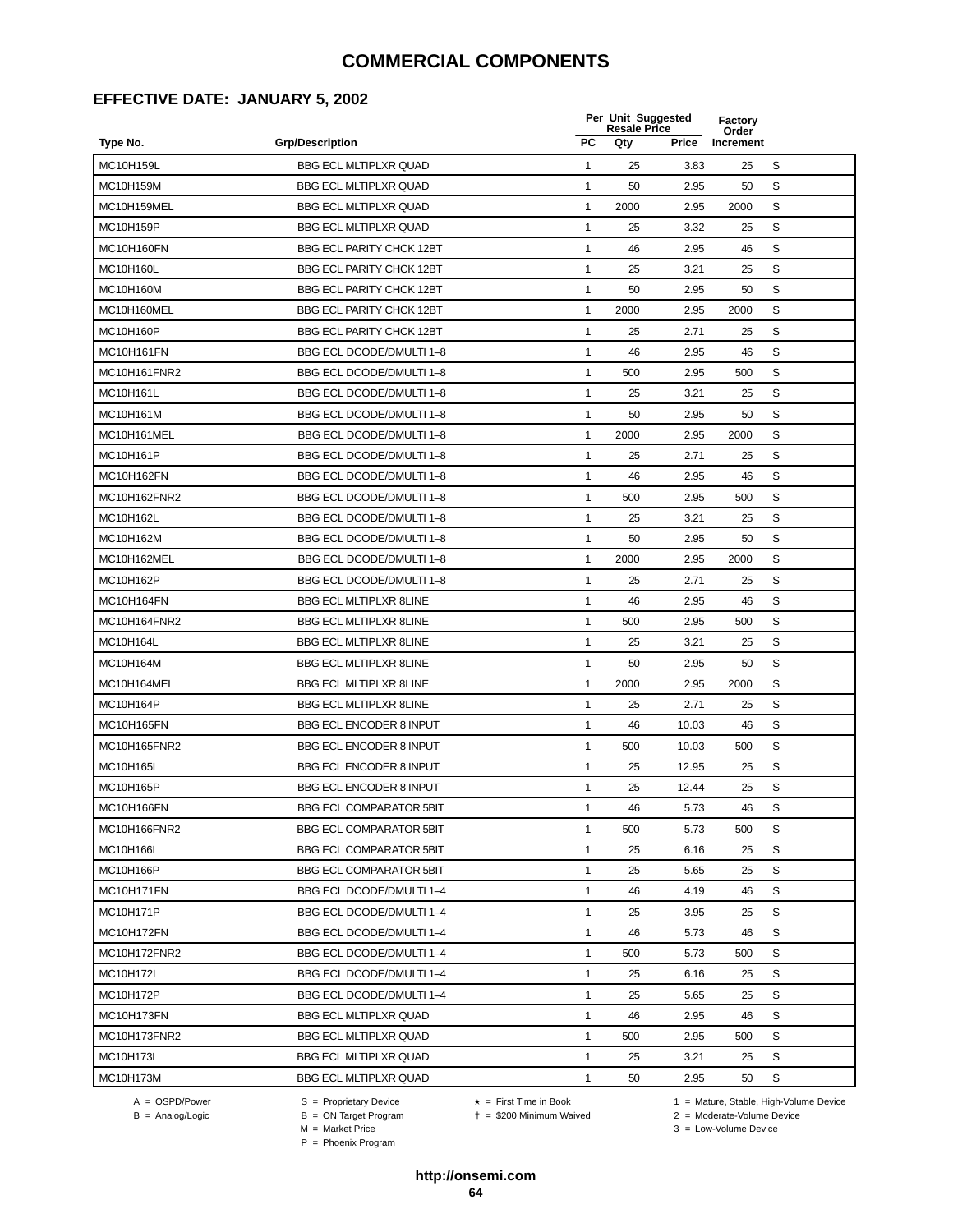## **EFFECTIVE DATE: JANUARY 5, 2002**

|                   |                                 |              | Per Unit Suggested<br><b>Resale Price</b> |       | Factory<br>Order |   |  |
|-------------------|---------------------------------|--------------|-------------------------------------------|-------|------------------|---|--|
| Type No.          | <b>Grp/Description</b>          | <b>PC</b>    | Qty                                       | Price | Increment        |   |  |
| MC10H159L         | <b>BBG ECL MLTIPLXR QUAD</b>    | 1            | 25                                        | 3.83  | 25               | S |  |
| MC10H159M         | <b>BBG ECL MLTIPLXR QUAD</b>    | 1            | 50                                        | 2.95  | 50               | S |  |
| MC10H159MEL       | <b>BBG ECL MLTIPLXR QUAD</b>    | $\mathbf{1}$ | 2000                                      | 2.95  | 2000             | S |  |
| MC10H159P         | <b>BBG ECL MLTIPLXR QUAD</b>    | 1            | 25                                        | 3.32  | 25               | S |  |
| <b>MC10H160FN</b> | <b>BBG ECL PARITY CHCK 12BT</b> | $\mathbf{1}$ | 46                                        | 2.95  | 46               | S |  |
| MC10H160L         | <b>BBG ECL PARITY CHCK 12BT</b> | $\mathbf{1}$ | 25                                        | 3.21  | 25               | S |  |
| MC10H160M         | <b>BBG ECL PARITY CHCK 12BT</b> | $\mathbf{1}$ | 50                                        | 2.95  | 50               | S |  |
| MC10H160MEL       | <b>BBG ECL PARITY CHCK 12BT</b> | $\mathbf{1}$ | 2000                                      | 2.95  | 2000             | S |  |
| MC10H160P         | <b>BBG ECL PARITY CHCK 12BT</b> | 1            | 25                                        | 2.71  | 25               | S |  |
| MC10H161FN        | BBG ECL DCODE/DMULTI 1-8        | $\mathbf{1}$ | 46                                        | 2.95  | 46               | S |  |
| MC10H161FNR2      | BBG ECL DCODE/DMULTI 1-8        | $\mathbf{1}$ | 500                                       | 2.95  | 500              | S |  |
| MC10H161L         | BBG ECL DCODE/DMULTI 1-8        | 1            | 25                                        | 3.21  | 25               | S |  |
| MC10H161M         | BBG ECL DCODE/DMULTI 1-8        | $\mathbf{1}$ | 50                                        | 2.95  | 50               | S |  |
| MC10H161MEL       | BBG ECL DCODE/DMULTI 1-8        | 1            | 2000                                      | 2.95  | 2000             | S |  |
| MC10H161P         | BBG ECL DCODE/DMULTI 1-8        | $\mathbf{1}$ | 25                                        | 2.71  | 25               | S |  |
| MC10H162FN        | BBG ECL DCODE/DMULTI 1-8        | $\mathbf{1}$ | 46                                        | 2.95  | 46               | S |  |
| MC10H162FNR2      | BBG ECL DCODE/DMULTI 1-8        | $\mathbf{1}$ | 500                                       | 2.95  | 500              | S |  |
| MC10H162L         | BBG ECL DCODE/DMULTI 1-8        | $\mathbf{1}$ | 25                                        | 3.21  | 25               | S |  |
| MC10H162M         | BBG ECL DCODE/DMULTI 1-8        | $\mathbf{1}$ | 50                                        | 2.95  | 50               | S |  |
| MC10H162MEL       | BBG ECL DCODE/DMULTI 1-8        | 1            | 2000                                      | 2.95  | 2000             | S |  |
| MC10H162P         | BBG ECL DCODE/DMULTI 1-8        | 1            | 25                                        | 2.71  | 25               | S |  |
| MC10H164FN        | BBG ECL MLTIPLXR 8LINE          | $\mathbf{1}$ | 46                                        | 2.95  | 46               | S |  |
| MC10H164FNR2      | <b>BBG ECL MLTIPLXR 8LINE</b>   | $\mathbf{1}$ | 500                                       | 2.95  | 500              | S |  |
| MC10H164L         | BBG ECL MLTIPLXR 8LINE          | $\mathbf{1}$ | 25                                        | 3.21  | 25               | S |  |
| MC10H164M         | <b>BBG ECL MLTIPLXR 8LINE</b>   | $\mathbf{1}$ | 50                                        | 2.95  | 50               | S |  |
| MC10H164MEL       | <b>BBG ECL MLTIPLXR 8LINE</b>   | $\mathbf{1}$ | 2000                                      | 2.95  | 2000             | S |  |
| MC10H164P         | <b>BBG ECL MLTIPLXR 8LINE</b>   | $\mathbf{1}$ | 25                                        | 2.71  | 25               | S |  |
| MC10H165FN        | BBG ECL ENCODER 8 INPUT         | 1            | 46                                        | 10.03 | 46               | S |  |
| MC10H165FNR2      | BBG ECL ENCODER 8 INPUT         | 1            | 500                                       | 10.03 | 500              | S |  |
| MC10H165L         | <b>BBG ECL ENCODER 8 INPUT</b>  | 1            | 25                                        | 12.95 | 25               | S |  |
| MC10H165P         | BBG ECL ENCODER 8 INPUT         | 1            | 25                                        | 12.44 | 25               | S |  |
| MC10H166FN        | <b>BBG ECL COMPARATOR 5BIT</b>  | 1            | 46                                        | 5.73  | 46               | S |  |
| MC10H166FNR2      | <b>BBG ECL COMPARATOR 5BIT</b>  | 1            | 500                                       | 5.73  | 500              | S |  |
| MC10H166L         | <b>BBG ECL COMPARATOR 5BIT</b>  | $\mathbf{1}$ | 25                                        | 6.16  | 25               | S |  |
| MC10H166P         | <b>BBG ECL COMPARATOR 5BIT</b>  | $\mathbf{1}$ | 25                                        | 5.65  | 25               | S |  |
| MC10H171FN        | BBG ECL DCODE/DMULTI 1-4        | $\mathbf{1}$ | 46                                        | 4.19  | 46               | S |  |
| MC10H171P         | BBG ECL DCODE/DMULTI 1-4        | $\mathbf{1}$ | 25                                        | 3.95  | 25               | S |  |
| MC10H172FN        | BBG ECL DCODE/DMULTI 1-4        | $\mathbf{1}$ | 46                                        | 5.73  | 46               | S |  |
| MC10H172FNR2      | BBG ECL DCODE/DMULTI 1-4        | $\mathbf{1}$ | 500                                       | 5.73  | 500              | S |  |
| MC10H172L         | BBG ECL DCODE/DMULTI 1-4        | $\mathbf{1}$ | 25                                        | 6.16  | 25               | S |  |
| MC10H172P         | BBG ECL DCODE/DMULTI 1-4        | $\mathbf{1}$ | 25                                        | 5.65  | 25               | S |  |
| MC10H173FN        | <b>BBG ECL MLTIPLXR QUAD</b>    | 1            | 46                                        | 2.95  | 46               | S |  |
| MC10H173FNR2      | <b>BBG ECL MLTIPLXR QUAD</b>    | 1            | 500                                       | 2.95  | 500              | S |  |
| MC10H173L         | <b>BBG ECL MLTIPLXR QUAD</b>    | $\mathbf{1}$ | 25                                        | 3.21  | 25               | S |  |
| MC10H173M         | <b>BBG ECL MLTIPLXR QUAD</b>    | 1            | 50                                        | 2.95  | 50               | S |  |
|                   |                                 |              |                                           |       |                  |   |  |

-<br>B = ON Target Program<br>M = Market Price

 $A = OBPD/Power$ <br>  $B = ON Target Program$   $A = First Time in Book$   $A = West Theorem 1 = Nature, Stable, High-Volume Device$   $A = Mature, Stable, High-Volume Device$   $A = Mature, Stable, High-Volume Device$   $A = Mature, Table, High-Volume Device$   $A = Mature, Table, High-Volume Device$   $A = Mature, Table, High-Volume Device$   $A = Mature, Table, High-Volume Device$   $A = Mature, Table, High-Volume Device$   $A = Mature, Table, High-Volume Device$   $A = Mature, Table, High-Volume Device$   $A = Mature, Table, High-Volume Device$   $A = Mature, Table, High-Volume Device$   $A = Mature, Table, High-Volume Device$   $A = Mature, Table$ 

 $2 =$  Moderate-Volume Device

 $3 =$  Low-Volume Device

P = Phoenix Program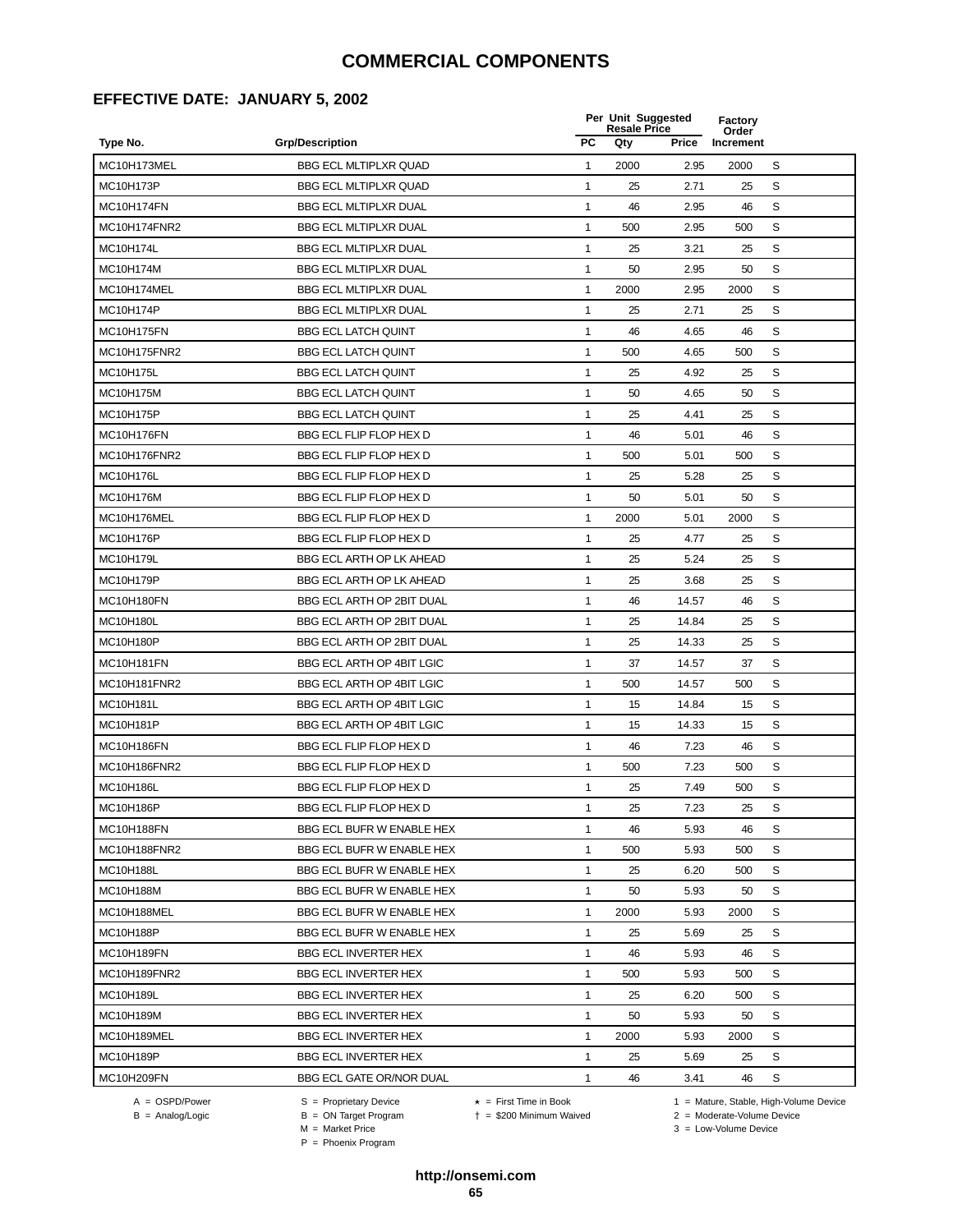## **EFFECTIVE DATE: JANUARY 5, 2002**

|                   |                                  |              | Per Unit Suggested<br><b>Resale Price</b> |              | Factory<br>Order |   |  |
|-------------------|----------------------------------|--------------|-------------------------------------------|--------------|------------------|---|--|
| Type No.          | <b>Grp/Description</b>           | <b>PC</b>    | Qty                                       | <b>Price</b> | Increment        |   |  |
| MC10H173MEL       | <b>BBG ECL MLTIPLXR QUAD</b>     | 1            | 2000                                      | 2.95         | 2000             | S |  |
| MC10H173P         | <b>BBG ECL MLTIPLXR QUAD</b>     | 1            | 25                                        | 2.71         | 25               | S |  |
| <b>MC10H174FN</b> | <b>BBG ECL MLTIPLXR DUAL</b>     | $\mathbf{1}$ | 46                                        | 2.95         | 46               | S |  |
| MC10H174FNR2      | <b>BBG ECL MLTIPLXR DUAL</b>     | $\mathbf{1}$ | 500                                       | 2.95         | 500              | S |  |
| MC10H174L         | <b>BBG ECL MLTIPLXR DUAL</b>     | $\mathbf{1}$ | 25                                        | 3.21         | 25               | S |  |
| MC10H174M         | <b>BBG ECL MLTIPLXR DUAL</b>     | $\mathbf{1}$ | 50                                        | 2.95         | 50               | S |  |
| MC10H174MEL       | <b>BBG ECL MLTIPLXR DUAL</b>     | $\mathbf{1}$ | 2000                                      | 2.95         | 2000             | S |  |
| MC10H174P         | <b>BBG ECL MLTIPLXR DUAL</b>     | $\mathbf{1}$ | 25                                        | 2.71         | 25               | S |  |
| <b>MC10H175FN</b> | <b>BBG ECL LATCH QUINT</b>       | $\mathbf{1}$ | 46                                        | 4.65         | 46               | S |  |
| MC10H175FNR2      | <b>BBG ECL LATCH QUINT</b>       | 1            | 500                                       | 4.65         | 500              | S |  |
| MC10H175L         | <b>BBG ECL LATCH QUINT</b>       | 1            | 25                                        | 4.92         | 25               | S |  |
| MC10H175M         | <b>BBG ECL LATCH QUINT</b>       | 1            | 50                                        | 4.65         | 50               | S |  |
| MC10H175P         | <b>BBG ECL LATCH QUINT</b>       | $\mathbf{1}$ | 25                                        | 4.41         | 25               | S |  |
| <b>MC10H176FN</b> | BBG ECL FLIP FLOP HEX D          | 1            | 46                                        | 5.01         | 46               | S |  |
| MC10H176FNR2      | BBG ECL FLIP FLOP HEX D          | $\mathbf{1}$ | 500                                       | 5.01         | 500              | S |  |
| <b>MC10H176L</b>  | BBG ECL FLIP FLOP HEX D          | $\mathbf{1}$ | 25                                        | 5.28         | 25               | S |  |
| MC10H176M         | BBG ECL FLIP FLOP HEX D          | $\mathbf{1}$ | 50                                        | 5.01         | 50               | S |  |
| MC10H176MEL       | BBG ECL FLIP FLOP HEX D          | $\mathbf{1}$ | 2000                                      | 5.01         | 2000             | S |  |
| MC10H176P         | BBG ECL FLIP FLOP HEX D          | $\mathbf{1}$ | 25                                        | 4.77         | 25               | S |  |
| MC10H179L         | BBG ECL ARTH OP LK AHEAD         | $\mathbf{1}$ | 25                                        | 5.24         | 25               | S |  |
| MC10H179P         | BBG ECL ARTH OP LK AHEAD         | 1            | 25                                        | 3.68         | 25               | S |  |
| MC10H180FN        | BBG ECL ARTH OP 2BIT DUAL        | $\mathbf{1}$ | 46                                        | 14.57        | 46               | S |  |
| MC10H180L         | BBG ECL ARTH OP 2BIT DUAL        | $\mathbf{1}$ | 25                                        | 14.84        | 25               | S |  |
| MC10H180P         | BBG ECL ARTH OP 2BIT DUAL        | $\mathbf{1}$ | 25                                        | 14.33        | 25               | S |  |
| <b>MC10H181FN</b> | <b>BBG ECL ARTH OP 4BIT LGIC</b> | $\mathbf{1}$ | 37                                        | 14.57        | 37               | S |  |
| MC10H181FNR2      | <b>BBG ECL ARTH OP 4BIT LGIC</b> | $\mathbf{1}$ | 500                                       | 14.57        | 500              | S |  |
| MC10H181L         | <b>BBG ECL ARTH OP 4BIT LGIC</b> | $\mathbf{1}$ | 15                                        | 14.84        | 15               | S |  |
| MC10H181P         | <b>BBG ECL ARTH OP 4BIT LGIC</b> | 1            | 15                                        | 14.33        | 15               | S |  |
| MC10H186FN        | BBG ECL FLIP FLOP HEX D          | $\mathbf{1}$ | 46                                        | 7.23         | 46               | S |  |
| MC10H186FNR2      | BBG ECL FLIP FLOP HEX D          | 1            | 500                                       | 7.23         | 500              | S |  |
| MC10H186L         | BBG ECL FLIP FLOP HEX D          | $\mathbf{1}$ | 25                                        | 7.49         | 500              | S |  |
| MC10H186P         | BBG ECL FLIP FLOP HEX D          | 1            | 25                                        | 7.23         | 25               | S |  |
| MC10H188FN        | BBG ECL BUFR W ENABLE HEX        | 1            | 46                                        | 5.93         | 46               | S |  |
| MC10H188FNR2      | BBG ECL BUFR W ENABLE HEX        | $\mathbf{1}$ | 500                                       | 5.93         | 500              | S |  |
| MC10H188L         | BBG ECL BUFR W ENABLE HEX        | $\mathbf{1}$ | 25                                        | 6.20         | 500              | S |  |
| MC10H188M         | BBG ECL BUFR W ENABLE HEX        | $\mathbf{1}$ | 50                                        | 5.93         | 50               | S |  |
| MC10H188MEL       | BBG ECL BUFR W ENABLE HEX        | $\mathbf{1}$ | 2000                                      | 5.93         | 2000             | S |  |
| MC10H188P         | BBG ECL BUFR W ENABLE HEX        | $\mathbf{1}$ | 25                                        | 5.69         | 25               | S |  |
| MC10H189FN        | <b>BBG ECL INVERTER HEX</b>      | $\mathbf{1}$ | 46                                        | 5.93         | 46               | S |  |
| MC10H189FNR2      | <b>BBG ECL INVERTER HEX</b>      | $\mathbf{1}$ | 500                                       | 5.93         | 500              | S |  |
| MC10H189L         | <b>BBG ECL INVERTER HEX</b>      | $\mathbf{1}$ | 25                                        | 6.20         | 500              | S |  |
| MC10H189M         | <b>BBG ECL INVERTER HEX</b>      | $\mathbf{1}$ | 50                                        | 5.93         | 50               | S |  |
| MC10H189MEL       | <b>BBG ECL INVERTER HEX</b>      | $\mathbf{1}$ | 2000                                      | 5.93         | 2000             | S |  |
| MC10H189P         | <b>BBG ECL INVERTER HEX</b>      | $\mathbf{1}$ | 25                                        | 5.69         | 25               | S |  |
| MC10H209FN        | <b>BBG ECL GATE OR/NOR DUAL</b>  | $\mathbf{1}$ | 46                                        | 3.41         | 46               | S |  |
|                   |                                  |              |                                           |              |                  |   |  |

-<br>B = ON Target Program<br>M = Market Price

 $A = OBPD/Power$ <br>  $B = ON Target Program$   $A = First Time in Book$   $A = West Theorem 1 = Nature, Stable, High-Volume Device$   $A = Mature, Stable, High-Volume Device$   $A = Mature, Stable, High-Volume Device$   $A = Mature, Table, High-Volume Device$   $A = Mature, Table, High-Volume Device$   $A = Mature, Table, High-Volume Device$   $A = Mature, Table, High-Volume Device$   $A = Mature, Table, High-Volume Device$   $A = Mature, Table, High-Volume Device$   $A = Mature, Table, High-Volume Device$   $A = Mature, Table, High-Volume Device$   $A = Mature, Table, High-Volume Device$   $A = Mature, Table, High-Volume Device$   $A = Mature, Table$ 

 $2 =$  Moderate-Volume Device

 $3 =$  Low-Volume Device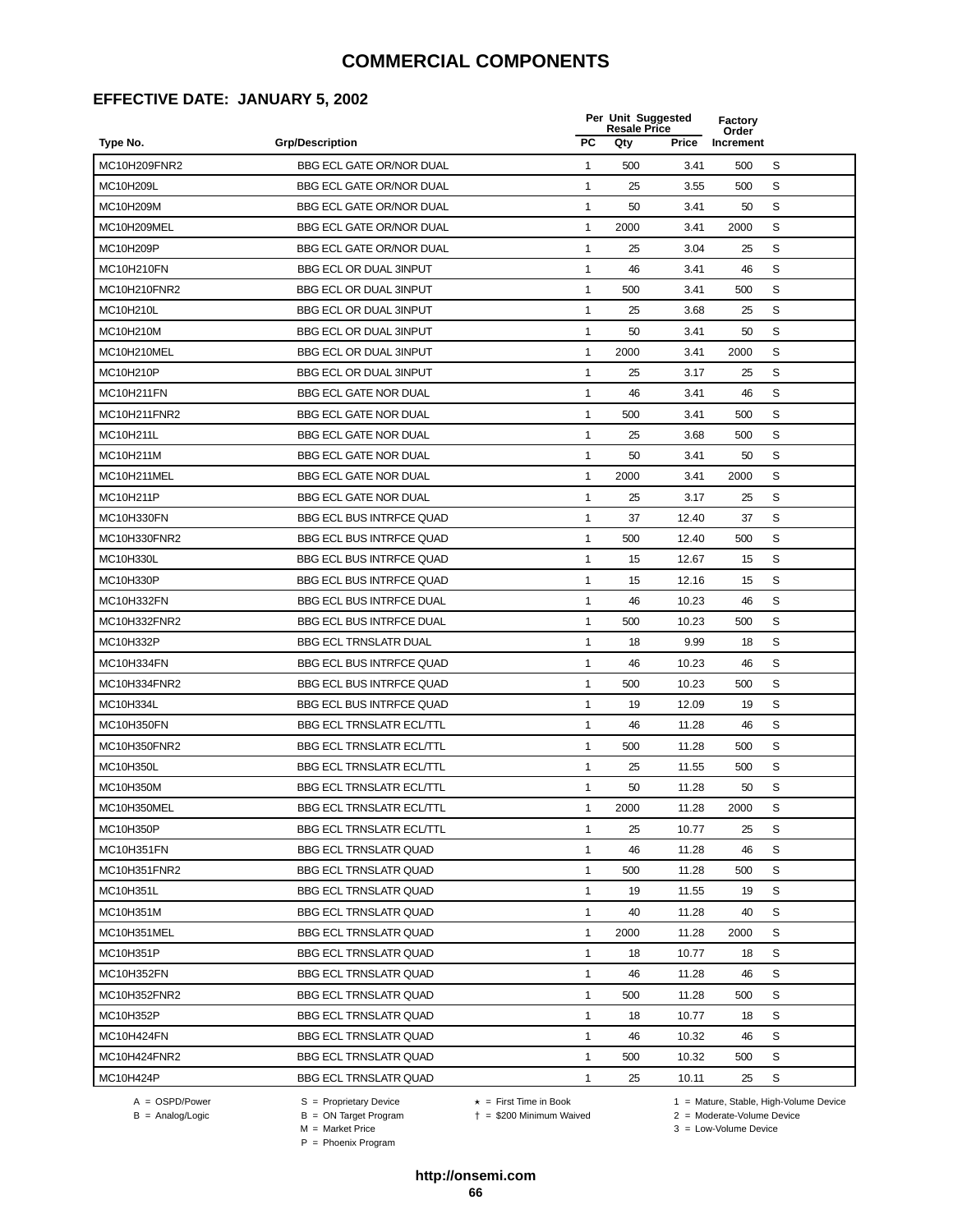#### **EFFECTIVE DATE: JANUARY 5, 2002**

|                   |                                 |              | Per Unit Suggested<br><b>Resale Price</b> |       | Factory<br>Order |   |  |
|-------------------|---------------------------------|--------------|-------------------------------------------|-------|------------------|---|--|
| Type No.          | <b>Grp/Description</b>          | <b>PC</b>    | Qty                                       | Price | Increment        |   |  |
| MC10H209FNR2      | <b>BBG ECL GATE OR/NOR DUAL</b> | 1            | 500                                       | 3.41  | 500              | S |  |
| MC10H209L         | <b>BBG ECL GATE OR/NOR DUAL</b> | $\mathbf{1}$ | 25                                        | 3.55  | 500              | S |  |
| MC10H209M         | BBG ECL GATE OR/NOR DUAL        | 1            | 50                                        | 3.41  | 50               | S |  |
| MC10H209MEL       | <b>BBG ECL GATE OR/NOR DUAL</b> | $\mathbf{1}$ | 2000                                      | 3.41  | 2000             | S |  |
| MC10H209P         | BBG ECL GATE OR/NOR DUAL        | $\mathbf{1}$ | 25                                        | 3.04  | 25               | S |  |
| MC10H210FN        | BBG ECL OR DUAL 3INPUT          | $\mathbf{1}$ | 46                                        | 3.41  | 46               | S |  |
| MC10H210FNR2      | <b>BBG ECL OR DUAL 3INPUT</b>   | $\mathbf{1}$ | 500                                       | 3.41  | 500              | S |  |
| MC10H210L         | BBG ECL OR DUAL 3INPUT          | $\mathbf{1}$ | 25                                        | 3.68  | 25               | S |  |
| MC10H210M         | BBG ECL OR DUAL 3INPUT          | $\mathbf{1}$ | 50                                        | 3.41  | 50               | S |  |
| MC10H210MEL       | BBG ECL OR DUAL 3INPUT          | 1            | 2000                                      | 3.41  | 2000             | S |  |
| MC10H210P         | BBG ECL OR DUAL 3INPUT          | 1            | 25                                        | 3.17  | 25               | S |  |
| MC10H211FN        | <b>BBG ECL GATE NOR DUAL</b>    | 1            | 46                                        | 3.41  | 46               | S |  |
| MC10H211FNR2      | <b>BBG ECL GATE NOR DUAL</b>    | $\mathbf{1}$ | 500                                       | 3.41  | 500              | S |  |
| MC10H211L         | <b>BBG ECL GATE NOR DUAL</b>    | 1            | 25                                        | 3.68  | 500              | S |  |
| MC10H211M         | <b>BBG ECL GATE NOR DUAL</b>    | 1            | 50                                        | 3.41  | 50               | S |  |
| MC10H211MEL       | BBG ECL GATE NOR DUAL           | $\mathbf{1}$ | 2000                                      | 3.41  | 2000             | S |  |
| MC10H211P         | <b>BBG ECL GATE NOR DUAL</b>    | $\mathbf{1}$ | 25                                        | 3.17  | 25               | S |  |
| MC10H330FN        | <b>BBG ECL BUS INTRFCE QUAD</b> | $\mathbf{1}$ | 37                                        | 12.40 | 37               | S |  |
| MC10H330FNR2      | BBG ECL BUS INTRFCE QUAD        | 1            | 500                                       | 12.40 | 500              | S |  |
| MC10H330L         | BBG ECL BUS INTRFCE QUAD        | 1            | 15                                        | 12.67 | 15               | S |  |
| MC10H330P         | BBG ECL BUS INTRFCE QUAD        | 1            | 15                                        | 12.16 | 15               | S |  |
| MC10H332FN        | BBG ECL BUS INTRFCE DUAL        | $\mathbf{1}$ | 46                                        | 10.23 | 46               | S |  |
| MC10H332FNR2      | BBG ECL BUS INTRFCE DUAL        | $\mathbf{1}$ | 500                                       | 10.23 | 500              | S |  |
| MC10H332P         | <b>BBG ECL TRNSLATR DUAL</b>    | $\mathbf{1}$ | 18                                        | 9.99  | 18               | S |  |
| <b>MC10H334FN</b> | BBG ECL BUS INTRFCE QUAD        | $\mathbf{1}$ | 46                                        | 10.23 | 46               | S |  |
| MC10H334FNR2      | BBG ECL BUS INTRFCE QUAD        | $\mathbf{1}$ | 500                                       | 10.23 | 500              | S |  |
| MC10H334L         | <b>BBG ECL BUS INTRFCE QUAD</b> | $\mathbf{1}$ | 19                                        | 12.09 | 19               | S |  |
| MC10H350FN        | <b>BBG ECL TRNSLATR ECL/TTL</b> | 1            | 46                                        | 11.28 | 46               | S |  |
| MC10H350FNR2      | <b>BBG ECL TRNSLATR ECL/TTL</b> | 1            | 500                                       | 11.28 | 500              | S |  |
| MC10H350L         | <b>BBG ECL TRNSLATR ECL/TTL</b> | 1            | 25                                        | 11.55 | 500              | S |  |
| MC10H350M         | <b>BBG ECL TRNSLATR ECL/TTL</b> | $\mathbf{1}$ | 50                                        | 11.28 | 50               | S |  |
| MC10H350MEL       | BBG ECL TRNSLATR ECL/TTL        | 1            | 2000                                      | 11.28 | 2000             | S |  |
| MC10H350P         | <b>BBG ECL TRNSLATR ECL/TTL</b> | 1            | 25                                        | 10.77 | 25               | S |  |
| MC10H351FN        | <b>BBG ECL TRNSLATR QUAD</b>    | $\mathbf{1}$ | 46                                        | 11.28 | 46               | S |  |
| MC10H351FNR2      | <b>BBG ECL TRNSLATR QUAD</b>    | $\mathbf{1}$ | 500                                       | 11.28 | 500              | S |  |
| MC10H351L         | <b>BBG ECL TRNSLATR QUAD</b>    | $\mathbf{1}$ | 19                                        | 11.55 | 19               | S |  |
| MC10H351M         | <b>BBG ECL TRNSLATR QUAD</b>    | 1            | 40                                        | 11.28 | 40               | S |  |
| MC10H351MEL       | <b>BBG ECL TRNSLATR QUAD</b>    | $\mathbf{1}$ | 2000                                      | 11.28 | 2000             | S |  |
| MC10H351P         | <b>BBG ECL TRNSLATR QUAD</b>    | $\mathbf{1}$ | 18                                        | 10.77 | 18               | S |  |
| MC10H352FN        | <b>BBG ECL TRNSLATR QUAD</b>    | $\mathbf{1}$ | 46                                        | 11.28 | 46               | S |  |
| MC10H352FNR2      | <b>BBG ECL TRNSLATR QUAD</b>    | $\mathbf{1}$ | 500                                       | 11.28 | 500              | S |  |
| MC10H352P         | <b>BBG ECL TRNSLATR QUAD</b>    | $\mathbf{1}$ | 18                                        | 10.77 | 18               | S |  |
| MC10H424FN        | <b>BBG ECL TRNSLATR QUAD</b>    | $\mathbf{1}$ | 46                                        | 10.32 | 46               | S |  |
| MC10H424FNR2      | <b>BBG ECL TRNSLATR QUAD</b>    | $\mathbf{1}$ | 500                                       | 10.32 | 500              | S |  |
| MC10H424P         | <b>BBG ECL TRNSLATR QUAD</b>    | 1            | 25                                        | 10.11 | 25               | S |  |

 $B =$  Analog/Logic  $B =$  ON Target Program  $M =$  Market Price

= \$200 Minimum Waived 2 = Moderate-Volume Device

A = OSPD/Power S = Proprietary Device  $\star$  = First Time in Book 1 = Mature, Stable, High-Volume Device

 $3 =$  Low-Volume Device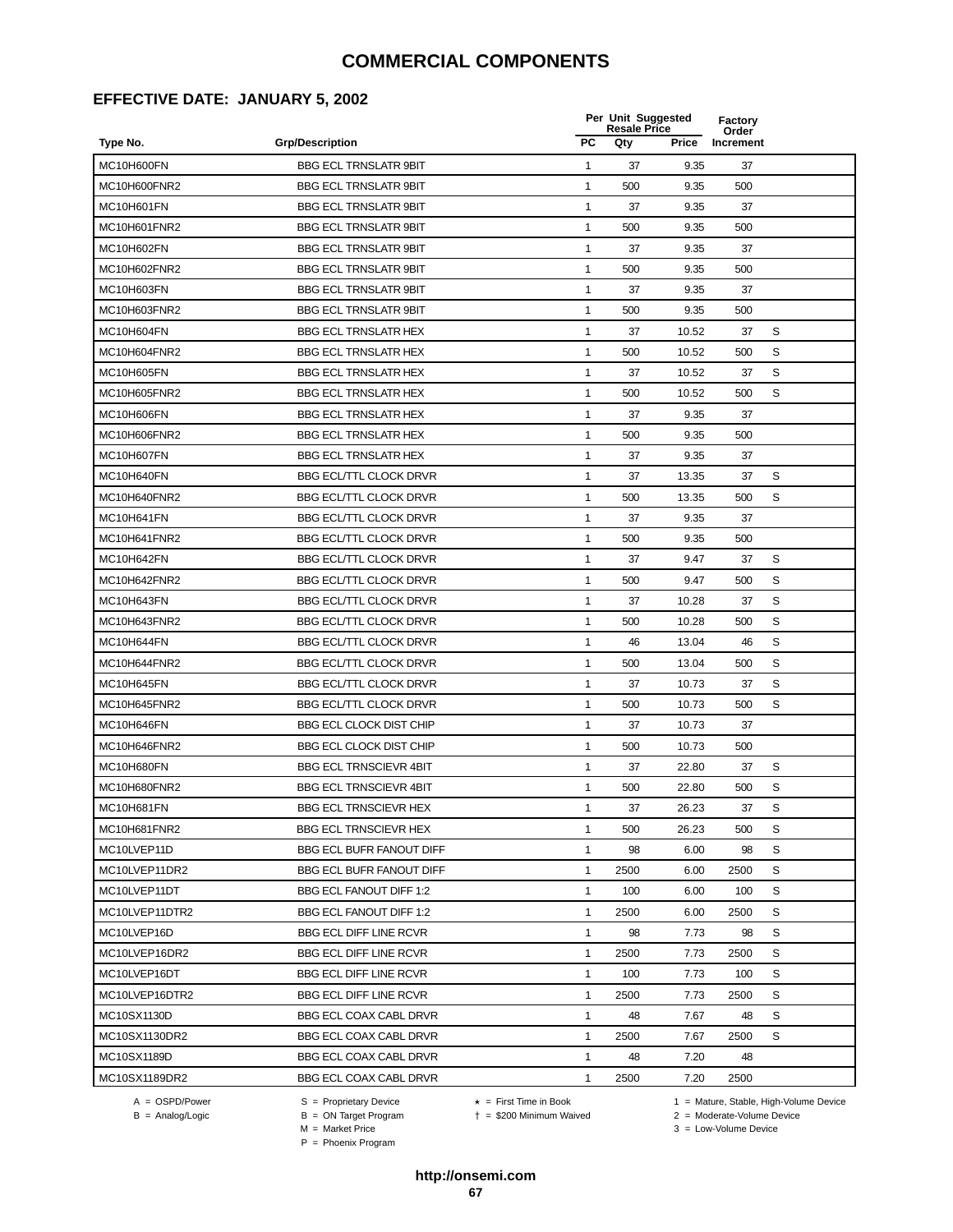## **EFFECTIVE DATE: JANUARY 5, 2002**

|                   |                                 |              | Per Unit Suggested<br><b>Resale Price</b> | <b>Factory</b><br>Order |           |   |
|-------------------|---------------------------------|--------------|-------------------------------------------|-------------------------|-----------|---|
| Type No.          | <b>Grp/Description</b>          | <b>PC</b>    | Qty                                       | Price                   | Increment |   |
| MC10H600FN        | <b>BBG ECL TRNSLATR 9BIT</b>    | 1            | 37                                        | 9.35                    | 37        |   |
| MC10H600FNR2      | <b>BBG ECL TRNSLATR 9BIT</b>    | 1            | 500                                       | 9.35                    | 500       |   |
| MC10H601FN        | <b>BBG ECL TRNSLATR 9BIT</b>    | 1            | 37                                        | 9.35                    | 37        |   |
| MC10H601FNR2      | <b>BBG ECL TRNSLATR 9BIT</b>    | 1            | 500                                       | 9.35                    | 500       |   |
| MC10H602FN        | <b>BBG ECL TRNSLATR 9BIT</b>    | 1            | 37                                        | 9.35                    | 37        |   |
| MC10H602FNR2      | <b>BBG ECL TRNSLATR 9BIT</b>    | 1            | 500                                       | 9.35                    | 500       |   |
| MC10H603FN        | <b>BBG ECL TRNSLATR 9BIT</b>    | 1            | 37                                        | 9.35                    | 37        |   |
| MC10H603FNR2      | <b>BBG ECL TRNSLATR 9BIT</b>    | 1            | 500                                       | 9.35                    | 500       |   |
| MC10H604FN        | <b>BBG ECL TRNSLATR HEX</b>     | 1            | 37                                        | 10.52                   | 37        | S |
| MC10H604FNR2      | <b>BBG ECL TRNSLATR HEX</b>     | 1            | 500                                       | 10.52                   | 500       | S |
| MC10H605FN        | <b>BBG ECL TRNSLATR HEX</b>     | 1            | 37                                        | 10.52                   | 37        | S |
| MC10H605FNR2      | <b>BBG ECL TRNSLATR HEX</b>     | 1            | 500                                       | 10.52                   | 500       | S |
| MC10H606FN        | <b>BBG ECL TRNSLATR HEX</b>     | 1            | 37                                        | 9.35                    | 37        |   |
| MC10H606FNR2      | <b>BBG ECL TRNSLATR HEX</b>     | 1            | 500                                       | 9.35                    | 500       |   |
| <b>MC10H607FN</b> | <b>BBG ECL TRNSLATR HEX</b>     | 1            | 37                                        | 9.35                    | 37        |   |
| MC10H640FN        | <b>BBG ECL/TTL CLOCK DRVR</b>   | 1            | 37                                        | 13.35                   | 37        | S |
| MC10H640FNR2      | <b>BBG ECL/TTL CLOCK DRVR</b>   | $\mathbf{1}$ | 500                                       | 13.35                   | 500       | S |
| MC10H641FN        | <b>BBG ECL/TTL CLOCK DRVR</b>   | 1            | 37                                        | 9.35                    | 37        |   |
| MC10H641FNR2      | <b>BBG ECL/TTL CLOCK DRVR</b>   | 1            | 500                                       | 9.35                    | 500       |   |
| MC10H642FN        | <b>BBG ECL/TTL CLOCK DRVR</b>   | $\mathbf{1}$ | 37                                        | 9.47                    | 37        | S |
| MC10H642FNR2      | BBG ECL/TTL CLOCK DRVR          | 1            | 500                                       | 9.47                    | 500       | S |
| MC10H643FN        | BBG ECL/TTL CLOCK DRVR          | 1            | 37                                        | 10.28                   | 37        | S |
| MC10H643FNR2      | <b>BBG ECL/TTL CLOCK DRVR</b>   | 1            | 500                                       | 10.28                   | 500       | S |
| MC10H644FN        | BBG ECL/TTL CLOCK DRVR          | $\mathbf{1}$ | 46                                        | 13.04                   | 46        | S |
| MC10H644FNR2      | <b>BBG ECL/TTL CLOCK DRVR</b>   | 1            | 500                                       | 13.04                   | 500       | S |
| MC10H645FN        | <b>BBG ECL/TTL CLOCK DRVR</b>   | $\mathbf{1}$ | 37                                        | 10.73                   | 37        | S |
| MC10H645FNR2      | <b>BBG ECL/TTL CLOCK DRVR</b>   | 1            | 500                                       | 10.73                   | 500       | S |
| MC10H646FN        | <b>BBG ECL CLOCK DIST CHIP</b>  | 1            | 37                                        | 10.73                   | 37        |   |
| MC10H646FNR2      | <b>BBG ECL CLOCK DIST CHIP</b>  | 1            | 500                                       | 10.73                   | 500       |   |
| MC10H680FN        | <b>BBG ECL TRNSCIEVR 4BIT</b>   | 1            | 37                                        | 22.80                   | 37        | S |
| MC10H680FNR2      | <b>BBG ECL TRNSCIEVR 4BIT</b>   | 1            | 500                                       | 22.80                   | 500       | S |
| MC10H681FN        | <b>BBG ECL TRNSCIEVR HEX</b>    | 1            | 37                                        | 26.23                   | 37        | S |
| MC10H681FNR2      | <b>BBG ECL TRNSCIEVR HEX</b>    | $\mathbf{1}$ | 500                                       | 26.23                   | 500       | S |
| MC10LVEP11D       | <b>BBG ECL BUFR FANOUT DIFF</b> | 1            | 98                                        | 6.00                    | 98        | S |
| MC10LVEP11DR2     | <b>BBG ECL BUFR FANOUT DIFF</b> | $\mathbf{1}$ | 2500                                      | 6.00                    | 2500      | S |
| MC10LVEP11DT      | BBG ECL FANOUT DIFF 1:2         | $\mathbf{1}$ | 100                                       | 6.00                    | 100       | S |
| MC10LVEP11DTR2    | <b>BBG ECL FANOUT DIFF 1:2</b>  | 1            | 2500                                      | 6.00                    | 2500      | S |
| MC10LVEP16D       | <b>BBG ECL DIFF LINE RCVR</b>   | 1            | 98                                        | 7.73                    | 98        | S |
| MC10LVEP16DR2     | <b>BBG ECL DIFF LINE RCVR</b>   | 1            | 2500                                      | 7.73                    | 2500      | S |
| MC10LVEP16DT      | BBG ECL DIFF LINE RCVR          | 1            | 100                                       | 7.73                    | 100       | S |
| MC10LVEP16DTR2    | <b>BBG ECL DIFF LINE RCVR</b>   | 1            | 2500                                      | 7.73                    | 2500      | S |
| MC10SX1130D       | BBG ECL COAX CABL DRVR          | 1            | 48                                        | 7.67                    | 48        | S |
| MC10SX1130DR2     | BBG ECL COAX CABL DRVR          | 1            | 2500                                      | 7.67                    | 2500      | S |
| MC10SX1189D       | BBG ECL COAX CABL DRVR          | $\mathbf{1}$ | 48                                        | 7.20                    | 48        |   |
| MC10SX1189DR2     | BBG ECL COAX CABL DRVR          | 1            | 2500                                      | 7.20                    | 2500      |   |

 $B =$  Analog/Logic  $B =$  ON Target Program  $M =$  Market Price

A = OSPD/Power S = Proprietary Device  $\star$  = First Time in Book 1 = Mature, Stable, High-Volume Device

 $3 =$  Low-Volume Device

= \$200 Minimum Waived 2 = Moderate-Volume Device

P = Phoenix Program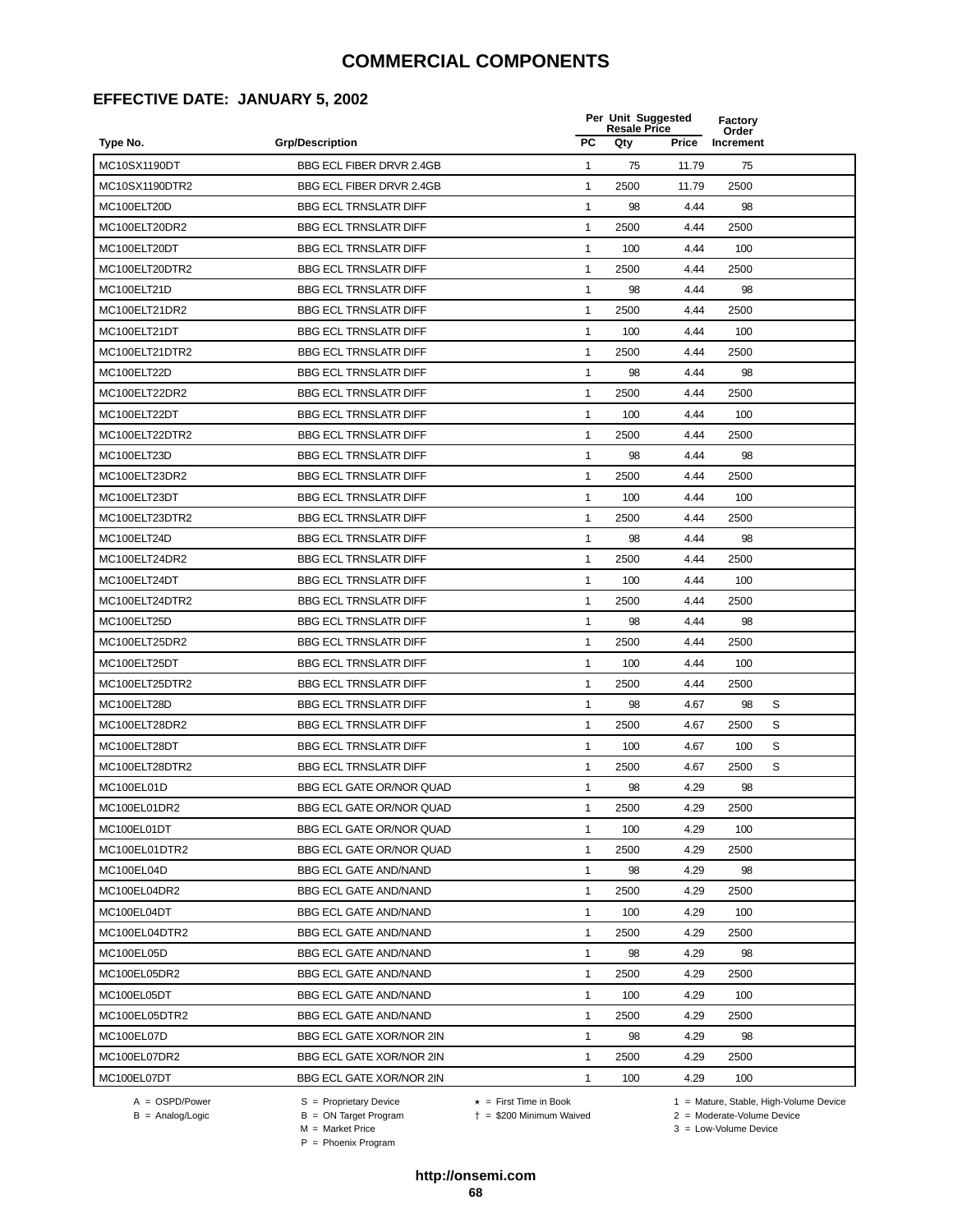## **EFFECTIVE DATE: JANUARY 5, 2002**

|                |                                 |              | Per Unit Suggested<br><b>Resale Price</b> |       | <b>Factory</b><br>Order |   |
|----------------|---------------------------------|--------------|-------------------------------------------|-------|-------------------------|---|
| Type No.       | <b>Grp/Description</b>          | PC           | Qty                                       | Price | Increment               |   |
| MC10SX1190DT   | BBG ECL FIBER DRVR 2.4GB        | $\mathbf{1}$ | 75                                        | 11.79 | 75                      |   |
| MC10SX1190DTR2 | BBG ECL FIBER DRVR 2.4GB        | 1            | 2500                                      | 11.79 | 2500                    |   |
| MC100ELT20D    | <b>BBG ECL TRNSLATR DIFF</b>    | 1            | 98                                        | 4.44  | 98                      |   |
| MC100ELT20DR2  | <b>BBG ECL TRNSLATR DIFF</b>    | 1            | 2500                                      | 4.44  | 2500                    |   |
| MC100ELT20DT   | <b>BBG ECL TRNSLATR DIFF</b>    | 1            | 100                                       | 4.44  | 100                     |   |
| MC100ELT20DTR2 | <b>BBG ECL TRNSLATR DIFF</b>    | 1            | 2500                                      | 4.44  | 2500                    |   |
| MC100ELT21D    | <b>BBG ECL TRNSLATR DIFF</b>    | 1            | 98                                        | 4.44  | 98                      |   |
| MC100ELT21DR2  | <b>BBG ECL TRNSLATR DIFF</b>    | $\mathbf{1}$ | 2500                                      | 4.44  | 2500                    |   |
| MC100ELT21DT   | <b>BBG ECL TRNSLATR DIFF</b>    | 1            | 100                                       | 4.44  | 100                     |   |
| MC100ELT21DTR2 | <b>BBG ECL TRNSLATR DIFF</b>    | 1            | 2500                                      | 4.44  | 2500                    |   |
| MC100ELT22D    | <b>BBG ECL TRNSLATR DIFF</b>    | 1            | 98                                        | 4.44  | 98                      |   |
| MC100ELT22DR2  | <b>BBG ECL TRNSLATR DIFF</b>    | 1            | 2500                                      | 4.44  | 2500                    |   |
| MC100ELT22DT   | <b>BBG ECL TRNSLATR DIFF</b>    | 1            | 100                                       | 4.44  | 100                     |   |
| MC100ELT22DTR2 | <b>BBG ECL TRNSLATR DIFF</b>    | 1            | 2500                                      | 4.44  | 2500                    |   |
| MC100ELT23D    | <b>BBG ECL TRNSLATR DIFF</b>    | 1            | 98                                        | 4.44  | 98                      |   |
| MC100ELT23DR2  | <b>BBG ECL TRNSLATR DIFF</b>    | 1            | 2500                                      | 4.44  | 2500                    |   |
| MC100ELT23DT   | <b>BBG ECL TRNSLATR DIFF</b>    | $\mathbf{1}$ | 100                                       | 4.44  | 100                     |   |
| MC100ELT23DTR2 | <b>BBG ECL TRNSLATR DIFF</b>    | 1            | 2500                                      | 4.44  | 2500                    |   |
| MC100ELT24D    | <b>BBG ECL TRNSLATR DIFF</b>    | 1            | 98                                        | 4.44  | 98                      |   |
| MC100ELT24DR2  | <b>BBG ECL TRNSLATR DIFF</b>    | 1            | 2500                                      | 4.44  | 2500                    |   |
| MC100ELT24DT   | <b>BBG ECL TRNSLATR DIFF</b>    | 1            | 100                                       | 4.44  | 100                     |   |
| MC100ELT24DTR2 | <b>BBG ECL TRNSLATR DIFF</b>    | 1            | 2500                                      | 4.44  | 2500                    |   |
| MC100ELT25D    | <b>BBG ECL TRNSLATR DIFF</b>    | 1            | 98                                        | 4.44  | 98                      |   |
| MC100ELT25DR2  | <b>BBG ECL TRNSLATR DIFF</b>    | 1            | 2500                                      | 4.44  | 2500                    |   |
| MC100ELT25DT   | <b>BBG ECL TRNSLATR DIFF</b>    | 1            | 100                                       | 4.44  | 100                     |   |
| MC100ELT25DTR2 | <b>BBG ECL TRNSLATR DIFF</b>    | $\mathbf{1}$ | 2500                                      | 4.44  | 2500                    |   |
| MC100ELT28D    | <b>BBG ECL TRNSLATR DIFF</b>    | $\mathbf{1}$ | 98                                        | 4.67  | 98                      | S |
| MC100ELT28DR2  | <b>BBG ECL TRNSLATR DIFF</b>    | $\mathbf{1}$ | 2500                                      | 4.67  | 2500                    | S |
| MC100ELT28DT   | <b>BBG ECL TRNSLATR DIFF</b>    | 1            | 100                                       | 4.67  | 100                     | S |
| MC100ELT28DTR2 | <b>BBG ECL TRNSLATR DIFF</b>    | 1            | 2500                                      | 4.67  | 2500                    | S |
| MC100EL01D     | <b>BBG ECL GATE OR/NOR QUAD</b> | 1            | 98                                        | 4.29  | 98                      |   |
| MC100EL01DR2   | BBG ECL GATE OR/NOR QUAD        | 1            | 2500                                      | 4.29  | 2500                    |   |
| MC100EL01DT    | BBG ECL GATE OR/NOR QUAD        | $\mathbf{1}$ | 100                                       | 4.29  | 100                     |   |
| MC100EL01DTR2  | <b>BBG ECL GATE OR/NOR QUAD</b> | 1            | 2500                                      | 4.29  | 2500                    |   |
| MC100EL04D     | <b>BBG ECL GATE AND/NAND</b>    | $\mathbf{1}$ | 98                                        | 4.29  | 98                      |   |
| MC100EL04DR2   | <b>BBG ECL GATE AND/NAND</b>    | 1            | 2500                                      | 4.29  | 2500                    |   |
| MC100EL04DT    | <b>BBG ECL GATE AND/NAND</b>    | 1            | 100                                       | 4.29  | 100                     |   |
| MC100EL04DTR2  | <b>BBG ECL GATE AND/NAND</b>    | 1            | 2500                                      | 4.29  | 2500                    |   |
| MC100EL05D     | <b>BBG ECL GATE AND/NAND</b>    | 1            | 98                                        | 4.29  | 98                      |   |
| MC100EL05DR2   | <b>BBG ECL GATE AND/NAND</b>    | 1            | 2500                                      | 4.29  | 2500                    |   |
| MC100EL05DT    | <b>BBG ECL GATE AND/NAND</b>    | $\mathbf{1}$ | 100                                       | 4.29  | 100                     |   |
| MC100EL05DTR2  | <b>BBG ECL GATE AND/NAND</b>    | 1            | 2500                                      | 4.29  | 2500                    |   |
| MC100EL07D     | BBG ECL GATE XOR/NOR 2IN        | 1            | 98                                        | 4.29  | 98                      |   |
| MC100EL07DR2   | BBG ECL GATE XOR/NOR 2IN        | 1            | 2500                                      | 4.29  | 2500                    |   |
| MC100EL07DT    | BBG ECL GATE XOR/NOR 2IN        | 1            | 100                                       | 4.29  | 100                     |   |
|                |                                 |              |                                           |       |                         |   |

B = ON Target Program<br>M = Market Price

 $A = OBPD/Power$ <br>  $B = ON Target Program$   $A = First Time in Book$   $A = West Theorem 1 = Nature, Stable, High-Volume Device$   $A = Mature, Stable, High-Volume Device$   $A = Mature, Stable, High-Volume Device$   $A = Mature, Table, High-Volume Device$   $A = Mature, Table, High-Volume Device$   $A = Mature, Table, High-Volume Device$   $A = Mature, Table, High-Volume Device$   $A = Mature, Table, High-Volume Device$   $A = Mature, Table, High-Volume Device$   $A = Mature, Table, High-Volume Device$   $A = Mature, Table, High-Volume Device$   $A = Mature, Table, High-Volume Device$   $A = Mature, Table, High-Volume Device$   $A = Mature, Table$ 

 $2 =$  Moderate-Volume Device  $3 =$  Low-Volume Device

P = Phoenix Program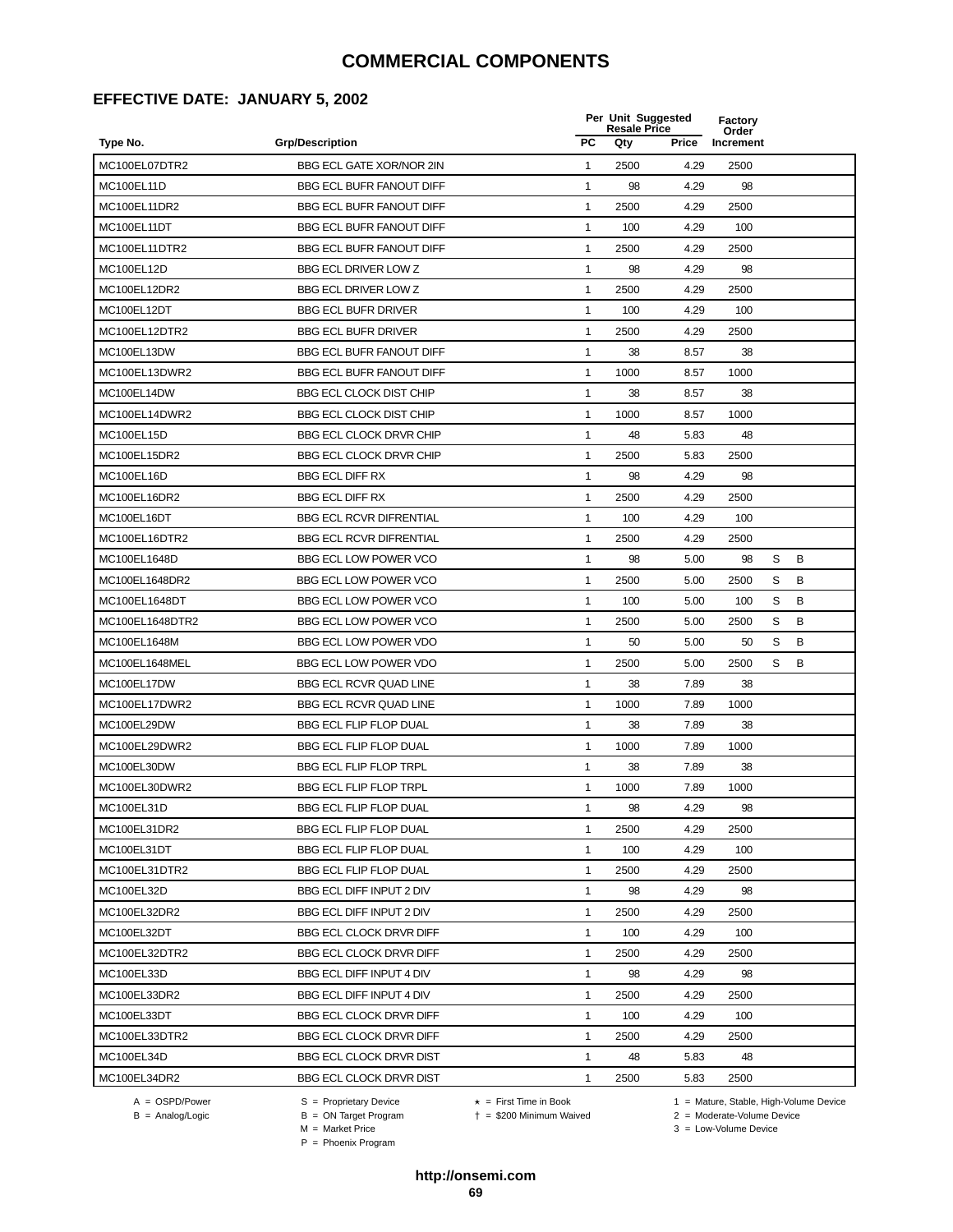## **EFFECTIVE DATE: JANUARY 5, 2002**

| PC<br><b>Grp/Description</b><br>Qty<br>Price<br>Increment<br>Type No.<br>MC100EL07DTR2<br>BBG ECL GATE XOR/NOR 2IN<br>2500<br>1<br>2500<br>4.29<br>98<br>98<br>MC100EL11D<br><b>BBG ECL BUFR FANOUT DIFF</b><br>1<br>4.29<br>MC100EL11DR2<br><b>BBG ECL BUFR FANOUT DIFF</b><br>1<br>2500<br>4.29<br>2500<br>MC100EL11DT<br><b>BBG ECL BUFR FANOUT DIFF</b><br>1<br>100<br>4.29<br>100<br>MC100EL11DTR2<br><b>BBG ECL BUFR FANOUT DIFF</b><br>1<br>2500<br>4.29<br>2500<br>MC100EL12D<br><b>BBG ECL DRIVER LOW Z</b><br>1<br>98<br>4.29<br>98<br>MC100EL12DR2<br>2500<br><b>BBG ECL DRIVER LOW Z</b><br>$\mathbf{1}$<br>2500<br>4.29<br>$\mathbf{1}$<br>MC100EL12DT<br><b>BBG ECL BUFR DRIVER</b><br>100<br>4.29<br>100<br>$\mathbf{1}$<br>MC100EL12DTR2<br><b>BBG ECL BUFR DRIVER</b><br>2500<br>4.29<br>2500<br>BBG ECL BUFR FANOUT DIFF<br>MC100EL13DW<br>$\mathbf{1}$<br>38<br>8.57<br>38<br>MC100EL13DWR2<br><b>BBG ECL BUFR FANOUT DIFF</b><br>1<br>1000<br>8.57<br>1000<br>38<br>MC100EL14DW<br><b>BBG ECL CLOCK DIST CHIP</b><br>1<br>8.57<br>38<br>1<br>MC100EL14DWR2<br><b>BBG ECL CLOCK DIST CHIP</b><br>1000<br>8.57<br>1000<br><b>MC100EL15D</b><br><b>BBG ECL CLOCK DRVR CHIP</b><br>1<br>48<br>5.83<br>48<br>2500<br>MC100EL15DR2<br><b>BBG ECL CLOCK DRVR CHIP</b><br>1<br>2500<br>5.83<br>$\mathbf{1}$<br>98<br>4.29<br>98<br>MC100EL16D<br><b>BBG ECL DIFF RX</b><br>$\mathbf{1}$<br>2500<br>2500<br>MC100EL16DR2<br><b>BBG ECL DIFF RX</b><br>4.29<br>MC100EL16DT<br>$\mathbf{1}$<br><b>BBG ECL RCVR DIFRENTIAL</b><br>100<br>4.29<br>100<br>MC100EL16DTR2<br>4.29<br><b>BBG ECL RCVR DIFRENTIAL</b><br>1<br>2500<br>2500<br>S<br>B<br>MC100EL1648D<br>BBG ECL LOW POWER VCO<br>1<br>98<br>5.00<br>98<br>S<br>В<br>MC100EL1648DR2<br>BBG ECL LOW POWER VCO<br>1<br>2500<br>5.00<br>2500<br>S<br>B<br>MC100EL1648DT<br>BBG ECL LOW POWER VCO<br>1<br>100<br>5.00<br>100<br>S<br>B<br>MC100EL1648DTR2<br>BBG ECL LOW POWER VCO<br>1<br>2500<br>5.00<br>2500<br>S<br>B<br>MC100EL1648M<br>BBG ECL LOW POWER VDO<br>1<br>50<br>5.00<br>50<br>S<br>$\mathbf{1}$<br>2500<br>B<br>MC100EL1648MEL<br>BBG ECL LOW POWER VDO<br>2500<br>5.00<br>MC100EL17DW<br><b>BBG ECL RCVR QUAD LINE</b><br>$\mathbf{1}$<br>38<br>7.89<br>38<br>$\mathbf{1}$<br>1000<br>MC100EL17DWR2<br><b>BBG ECL RCVR QUAD LINE</b><br>1000<br>7.89<br>MC100EL29DW<br><b>BBG ECL FLIP FLOP DUAL</b><br>$\mathbf{1}$<br>38<br>7.89<br>38<br>MC100EL29DWR2<br><b>BBG ECL FLIP FLOP DUAL</b><br>1<br>1000<br>7.89<br>1000<br>MC100EL30DW<br><b>BBG ECL FLIP FLOP TRPL</b><br>$\mathbf{1}$<br>38<br>7.89<br>38<br>1<br>MC100EL30DWR2<br><b>BBG ECL FLIP FLOP TRPL</b><br>1000<br>7.89<br>1000<br>98<br>4.29<br>MC100EL31D<br><b>BBG ECL FLIP FLOP DUAL</b><br>98<br>1<br><b>BBG ECL FLIP FLOP DUAL</b><br>4.29<br>2500<br>MC100EL31DR2<br>$\mathbf{1}$<br>2500<br>1<br>100<br>4.29<br>MC100EL31DT<br><b>BBG ECL FLIP FLOP DUAL</b><br>100<br>1<br>2500<br>4.29<br>2500<br>MC100EL31DTR2<br><b>BBG ECL FLIP FLOP DUAL</b><br>BBG ECL DIFF INPUT 2 DIV<br>1<br>98<br>4.29<br>98<br>MC100EL32D<br>MC100EL32DR2<br>BBG ECL DIFF INPUT 2 DIV<br>1<br>2500<br>4.29<br>2500<br><b>BBG ECL CLOCK DRVR DIFF</b><br>$\mathbf{1}$<br>100<br>4.29<br>100<br>MC100EL32DT<br>MC100EL32DTR2<br><b>BBG ECL CLOCK DRVR DIFF</b><br>1<br>2500<br>4.29<br>2500<br>BBG ECL DIFF INPUT 4 DIV<br>1<br>98<br>4.29<br>98<br>MC100EL33D<br>1<br>2500<br>4.29<br>2500<br>MC100EL33DR2<br>BBG ECL DIFF INPUT 4 DIV<br>$\mathbf{1}$<br>MC100EL33DT<br><b>BBG ECL CLOCK DRVR DIFF</b><br>100<br>4.29<br>100<br>1<br>4.29<br>MC100EL33DTR2<br><b>BBG ECL CLOCK DRVR DIFF</b><br>2500<br>2500<br>$\mathbf{1}$<br>48<br>MC100EL34D<br><b>BBG ECL CLOCK DRVR DIST</b><br>5.83<br>48<br>MC100EL34DR2<br>1<br>2500<br><b>BBG ECL CLOCK DRVR DIST</b><br>2500<br>5.83 |  | Per Unit Suggested<br><b>Resale Price</b> | <b>Factory</b><br>Order |  |  |
|---------------------------------------------------------------------------------------------------------------------------------------------------------------------------------------------------------------------------------------------------------------------------------------------------------------------------------------------------------------------------------------------------------------------------------------------------------------------------------------------------------------------------------------------------------------------------------------------------------------------------------------------------------------------------------------------------------------------------------------------------------------------------------------------------------------------------------------------------------------------------------------------------------------------------------------------------------------------------------------------------------------------------------------------------------------------------------------------------------------------------------------------------------------------------------------------------------------------------------------------------------------------------------------------------------------------------------------------------------------------------------------------------------------------------------------------------------------------------------------------------------------------------------------------------------------------------------------------------------------------------------------------------------------------------------------------------------------------------------------------------------------------------------------------------------------------------------------------------------------------------------------------------------------------------------------------------------------------------------------------------------------------------------------------------------------------------------------------------------------------------------------------------------------------------------------------------------------------------------------------------------------------------------------------------------------------------------------------------------------------------------------------------------------------------------------------------------------------------------------------------------------------------------------------------------------------------------------------------------------------------------------------------------------------------------------------------------------------------------------------------------------------------------------------------------------------------------------------------------------------------------------------------------------------------------------------------------------------------------------------------------------------------------------------------------------------------------------------------------------------------------------------------------------------------------------------------------------------------------------------------------------------------------------------------------------------------------------------------------------------------------------------------------------------------------------------------------------------------------------------------------------------------------------------------------------------------------------------------------------------------------------------------------------------------------------------------------------------------------------------------------------------------------------------------------------|--|-------------------------------------------|-------------------------|--|--|
|                                                                                                                                                                                                                                                                                                                                                                                                                                                                                                                                                                                                                                                                                                                                                                                                                                                                                                                                                                                                                                                                                                                                                                                                                                                                                                                                                                                                                                                                                                                                                                                                                                                                                                                                                                                                                                                                                                                                                                                                                                                                                                                                                                                                                                                                                                                                                                                                                                                                                                                                                                                                                                                                                                                                                                                                                                                                                                                                                                                                                                                                                                                                                                                                                                                                                                                                                                                                                                                                                                                                                                                                                                                                                                                                                                                                               |  |                                           |                         |  |  |
|                                                                                                                                                                                                                                                                                                                                                                                                                                                                                                                                                                                                                                                                                                                                                                                                                                                                                                                                                                                                                                                                                                                                                                                                                                                                                                                                                                                                                                                                                                                                                                                                                                                                                                                                                                                                                                                                                                                                                                                                                                                                                                                                                                                                                                                                                                                                                                                                                                                                                                                                                                                                                                                                                                                                                                                                                                                                                                                                                                                                                                                                                                                                                                                                                                                                                                                                                                                                                                                                                                                                                                                                                                                                                                                                                                                                               |  |                                           |                         |  |  |
|                                                                                                                                                                                                                                                                                                                                                                                                                                                                                                                                                                                                                                                                                                                                                                                                                                                                                                                                                                                                                                                                                                                                                                                                                                                                                                                                                                                                                                                                                                                                                                                                                                                                                                                                                                                                                                                                                                                                                                                                                                                                                                                                                                                                                                                                                                                                                                                                                                                                                                                                                                                                                                                                                                                                                                                                                                                                                                                                                                                                                                                                                                                                                                                                                                                                                                                                                                                                                                                                                                                                                                                                                                                                                                                                                                                                               |  |                                           |                         |  |  |
|                                                                                                                                                                                                                                                                                                                                                                                                                                                                                                                                                                                                                                                                                                                                                                                                                                                                                                                                                                                                                                                                                                                                                                                                                                                                                                                                                                                                                                                                                                                                                                                                                                                                                                                                                                                                                                                                                                                                                                                                                                                                                                                                                                                                                                                                                                                                                                                                                                                                                                                                                                                                                                                                                                                                                                                                                                                                                                                                                                                                                                                                                                                                                                                                                                                                                                                                                                                                                                                                                                                                                                                                                                                                                                                                                                                                               |  |                                           |                         |  |  |
|                                                                                                                                                                                                                                                                                                                                                                                                                                                                                                                                                                                                                                                                                                                                                                                                                                                                                                                                                                                                                                                                                                                                                                                                                                                                                                                                                                                                                                                                                                                                                                                                                                                                                                                                                                                                                                                                                                                                                                                                                                                                                                                                                                                                                                                                                                                                                                                                                                                                                                                                                                                                                                                                                                                                                                                                                                                                                                                                                                                                                                                                                                                                                                                                                                                                                                                                                                                                                                                                                                                                                                                                                                                                                                                                                                                                               |  |                                           |                         |  |  |
|                                                                                                                                                                                                                                                                                                                                                                                                                                                                                                                                                                                                                                                                                                                                                                                                                                                                                                                                                                                                                                                                                                                                                                                                                                                                                                                                                                                                                                                                                                                                                                                                                                                                                                                                                                                                                                                                                                                                                                                                                                                                                                                                                                                                                                                                                                                                                                                                                                                                                                                                                                                                                                                                                                                                                                                                                                                                                                                                                                                                                                                                                                                                                                                                                                                                                                                                                                                                                                                                                                                                                                                                                                                                                                                                                                                                               |  |                                           |                         |  |  |
|                                                                                                                                                                                                                                                                                                                                                                                                                                                                                                                                                                                                                                                                                                                                                                                                                                                                                                                                                                                                                                                                                                                                                                                                                                                                                                                                                                                                                                                                                                                                                                                                                                                                                                                                                                                                                                                                                                                                                                                                                                                                                                                                                                                                                                                                                                                                                                                                                                                                                                                                                                                                                                                                                                                                                                                                                                                                                                                                                                                                                                                                                                                                                                                                                                                                                                                                                                                                                                                                                                                                                                                                                                                                                                                                                                                                               |  |                                           |                         |  |  |
|                                                                                                                                                                                                                                                                                                                                                                                                                                                                                                                                                                                                                                                                                                                                                                                                                                                                                                                                                                                                                                                                                                                                                                                                                                                                                                                                                                                                                                                                                                                                                                                                                                                                                                                                                                                                                                                                                                                                                                                                                                                                                                                                                                                                                                                                                                                                                                                                                                                                                                                                                                                                                                                                                                                                                                                                                                                                                                                                                                                                                                                                                                                                                                                                                                                                                                                                                                                                                                                                                                                                                                                                                                                                                                                                                                                                               |  |                                           |                         |  |  |
|                                                                                                                                                                                                                                                                                                                                                                                                                                                                                                                                                                                                                                                                                                                                                                                                                                                                                                                                                                                                                                                                                                                                                                                                                                                                                                                                                                                                                                                                                                                                                                                                                                                                                                                                                                                                                                                                                                                                                                                                                                                                                                                                                                                                                                                                                                                                                                                                                                                                                                                                                                                                                                                                                                                                                                                                                                                                                                                                                                                                                                                                                                                                                                                                                                                                                                                                                                                                                                                                                                                                                                                                                                                                                                                                                                                                               |  |                                           |                         |  |  |
|                                                                                                                                                                                                                                                                                                                                                                                                                                                                                                                                                                                                                                                                                                                                                                                                                                                                                                                                                                                                                                                                                                                                                                                                                                                                                                                                                                                                                                                                                                                                                                                                                                                                                                                                                                                                                                                                                                                                                                                                                                                                                                                                                                                                                                                                                                                                                                                                                                                                                                                                                                                                                                                                                                                                                                                                                                                                                                                                                                                                                                                                                                                                                                                                                                                                                                                                                                                                                                                                                                                                                                                                                                                                                                                                                                                                               |  |                                           |                         |  |  |
|                                                                                                                                                                                                                                                                                                                                                                                                                                                                                                                                                                                                                                                                                                                                                                                                                                                                                                                                                                                                                                                                                                                                                                                                                                                                                                                                                                                                                                                                                                                                                                                                                                                                                                                                                                                                                                                                                                                                                                                                                                                                                                                                                                                                                                                                                                                                                                                                                                                                                                                                                                                                                                                                                                                                                                                                                                                                                                                                                                                                                                                                                                                                                                                                                                                                                                                                                                                                                                                                                                                                                                                                                                                                                                                                                                                                               |  |                                           |                         |  |  |
|                                                                                                                                                                                                                                                                                                                                                                                                                                                                                                                                                                                                                                                                                                                                                                                                                                                                                                                                                                                                                                                                                                                                                                                                                                                                                                                                                                                                                                                                                                                                                                                                                                                                                                                                                                                                                                                                                                                                                                                                                                                                                                                                                                                                                                                                                                                                                                                                                                                                                                                                                                                                                                                                                                                                                                                                                                                                                                                                                                                                                                                                                                                                                                                                                                                                                                                                                                                                                                                                                                                                                                                                                                                                                                                                                                                                               |  |                                           |                         |  |  |
|                                                                                                                                                                                                                                                                                                                                                                                                                                                                                                                                                                                                                                                                                                                                                                                                                                                                                                                                                                                                                                                                                                                                                                                                                                                                                                                                                                                                                                                                                                                                                                                                                                                                                                                                                                                                                                                                                                                                                                                                                                                                                                                                                                                                                                                                                                                                                                                                                                                                                                                                                                                                                                                                                                                                                                                                                                                                                                                                                                                                                                                                                                                                                                                                                                                                                                                                                                                                                                                                                                                                                                                                                                                                                                                                                                                                               |  |                                           |                         |  |  |
|                                                                                                                                                                                                                                                                                                                                                                                                                                                                                                                                                                                                                                                                                                                                                                                                                                                                                                                                                                                                                                                                                                                                                                                                                                                                                                                                                                                                                                                                                                                                                                                                                                                                                                                                                                                                                                                                                                                                                                                                                                                                                                                                                                                                                                                                                                                                                                                                                                                                                                                                                                                                                                                                                                                                                                                                                                                                                                                                                                                                                                                                                                                                                                                                                                                                                                                                                                                                                                                                                                                                                                                                                                                                                                                                                                                                               |  |                                           |                         |  |  |
|                                                                                                                                                                                                                                                                                                                                                                                                                                                                                                                                                                                                                                                                                                                                                                                                                                                                                                                                                                                                                                                                                                                                                                                                                                                                                                                                                                                                                                                                                                                                                                                                                                                                                                                                                                                                                                                                                                                                                                                                                                                                                                                                                                                                                                                                                                                                                                                                                                                                                                                                                                                                                                                                                                                                                                                                                                                                                                                                                                                                                                                                                                                                                                                                                                                                                                                                                                                                                                                                                                                                                                                                                                                                                                                                                                                                               |  |                                           |                         |  |  |
|                                                                                                                                                                                                                                                                                                                                                                                                                                                                                                                                                                                                                                                                                                                                                                                                                                                                                                                                                                                                                                                                                                                                                                                                                                                                                                                                                                                                                                                                                                                                                                                                                                                                                                                                                                                                                                                                                                                                                                                                                                                                                                                                                                                                                                                                                                                                                                                                                                                                                                                                                                                                                                                                                                                                                                                                                                                                                                                                                                                                                                                                                                                                                                                                                                                                                                                                                                                                                                                                                                                                                                                                                                                                                                                                                                                                               |  |                                           |                         |  |  |
|                                                                                                                                                                                                                                                                                                                                                                                                                                                                                                                                                                                                                                                                                                                                                                                                                                                                                                                                                                                                                                                                                                                                                                                                                                                                                                                                                                                                                                                                                                                                                                                                                                                                                                                                                                                                                                                                                                                                                                                                                                                                                                                                                                                                                                                                                                                                                                                                                                                                                                                                                                                                                                                                                                                                                                                                                                                                                                                                                                                                                                                                                                                                                                                                                                                                                                                                                                                                                                                                                                                                                                                                                                                                                                                                                                                                               |  |                                           |                         |  |  |
|                                                                                                                                                                                                                                                                                                                                                                                                                                                                                                                                                                                                                                                                                                                                                                                                                                                                                                                                                                                                                                                                                                                                                                                                                                                                                                                                                                                                                                                                                                                                                                                                                                                                                                                                                                                                                                                                                                                                                                                                                                                                                                                                                                                                                                                                                                                                                                                                                                                                                                                                                                                                                                                                                                                                                                                                                                                                                                                                                                                                                                                                                                                                                                                                                                                                                                                                                                                                                                                                                                                                                                                                                                                                                                                                                                                                               |  |                                           |                         |  |  |
|                                                                                                                                                                                                                                                                                                                                                                                                                                                                                                                                                                                                                                                                                                                                                                                                                                                                                                                                                                                                                                                                                                                                                                                                                                                                                                                                                                                                                                                                                                                                                                                                                                                                                                                                                                                                                                                                                                                                                                                                                                                                                                                                                                                                                                                                                                                                                                                                                                                                                                                                                                                                                                                                                                                                                                                                                                                                                                                                                                                                                                                                                                                                                                                                                                                                                                                                                                                                                                                                                                                                                                                                                                                                                                                                                                                                               |  |                                           |                         |  |  |
|                                                                                                                                                                                                                                                                                                                                                                                                                                                                                                                                                                                                                                                                                                                                                                                                                                                                                                                                                                                                                                                                                                                                                                                                                                                                                                                                                                                                                                                                                                                                                                                                                                                                                                                                                                                                                                                                                                                                                                                                                                                                                                                                                                                                                                                                                                                                                                                                                                                                                                                                                                                                                                                                                                                                                                                                                                                                                                                                                                                                                                                                                                                                                                                                                                                                                                                                                                                                                                                                                                                                                                                                                                                                                                                                                                                                               |  |                                           |                         |  |  |
|                                                                                                                                                                                                                                                                                                                                                                                                                                                                                                                                                                                                                                                                                                                                                                                                                                                                                                                                                                                                                                                                                                                                                                                                                                                                                                                                                                                                                                                                                                                                                                                                                                                                                                                                                                                                                                                                                                                                                                                                                                                                                                                                                                                                                                                                                                                                                                                                                                                                                                                                                                                                                                                                                                                                                                                                                                                                                                                                                                                                                                                                                                                                                                                                                                                                                                                                                                                                                                                                                                                                                                                                                                                                                                                                                                                                               |  |                                           |                         |  |  |
|                                                                                                                                                                                                                                                                                                                                                                                                                                                                                                                                                                                                                                                                                                                                                                                                                                                                                                                                                                                                                                                                                                                                                                                                                                                                                                                                                                                                                                                                                                                                                                                                                                                                                                                                                                                                                                                                                                                                                                                                                                                                                                                                                                                                                                                                                                                                                                                                                                                                                                                                                                                                                                                                                                                                                                                                                                                                                                                                                                                                                                                                                                                                                                                                                                                                                                                                                                                                                                                                                                                                                                                                                                                                                                                                                                                                               |  |                                           |                         |  |  |
|                                                                                                                                                                                                                                                                                                                                                                                                                                                                                                                                                                                                                                                                                                                                                                                                                                                                                                                                                                                                                                                                                                                                                                                                                                                                                                                                                                                                                                                                                                                                                                                                                                                                                                                                                                                                                                                                                                                                                                                                                                                                                                                                                                                                                                                                                                                                                                                                                                                                                                                                                                                                                                                                                                                                                                                                                                                                                                                                                                                                                                                                                                                                                                                                                                                                                                                                                                                                                                                                                                                                                                                                                                                                                                                                                                                                               |  |                                           |                         |  |  |
|                                                                                                                                                                                                                                                                                                                                                                                                                                                                                                                                                                                                                                                                                                                                                                                                                                                                                                                                                                                                                                                                                                                                                                                                                                                                                                                                                                                                                                                                                                                                                                                                                                                                                                                                                                                                                                                                                                                                                                                                                                                                                                                                                                                                                                                                                                                                                                                                                                                                                                                                                                                                                                                                                                                                                                                                                                                                                                                                                                                                                                                                                                                                                                                                                                                                                                                                                                                                                                                                                                                                                                                                                                                                                                                                                                                                               |  |                                           |                         |  |  |
|                                                                                                                                                                                                                                                                                                                                                                                                                                                                                                                                                                                                                                                                                                                                                                                                                                                                                                                                                                                                                                                                                                                                                                                                                                                                                                                                                                                                                                                                                                                                                                                                                                                                                                                                                                                                                                                                                                                                                                                                                                                                                                                                                                                                                                                                                                                                                                                                                                                                                                                                                                                                                                                                                                                                                                                                                                                                                                                                                                                                                                                                                                                                                                                                                                                                                                                                                                                                                                                                                                                                                                                                                                                                                                                                                                                                               |  |                                           |                         |  |  |
|                                                                                                                                                                                                                                                                                                                                                                                                                                                                                                                                                                                                                                                                                                                                                                                                                                                                                                                                                                                                                                                                                                                                                                                                                                                                                                                                                                                                                                                                                                                                                                                                                                                                                                                                                                                                                                                                                                                                                                                                                                                                                                                                                                                                                                                                                                                                                                                                                                                                                                                                                                                                                                                                                                                                                                                                                                                                                                                                                                                                                                                                                                                                                                                                                                                                                                                                                                                                                                                                                                                                                                                                                                                                                                                                                                                                               |  |                                           |                         |  |  |
|                                                                                                                                                                                                                                                                                                                                                                                                                                                                                                                                                                                                                                                                                                                                                                                                                                                                                                                                                                                                                                                                                                                                                                                                                                                                                                                                                                                                                                                                                                                                                                                                                                                                                                                                                                                                                                                                                                                                                                                                                                                                                                                                                                                                                                                                                                                                                                                                                                                                                                                                                                                                                                                                                                                                                                                                                                                                                                                                                                                                                                                                                                                                                                                                                                                                                                                                                                                                                                                                                                                                                                                                                                                                                                                                                                                                               |  |                                           |                         |  |  |
|                                                                                                                                                                                                                                                                                                                                                                                                                                                                                                                                                                                                                                                                                                                                                                                                                                                                                                                                                                                                                                                                                                                                                                                                                                                                                                                                                                                                                                                                                                                                                                                                                                                                                                                                                                                                                                                                                                                                                                                                                                                                                                                                                                                                                                                                                                                                                                                                                                                                                                                                                                                                                                                                                                                                                                                                                                                                                                                                                                                                                                                                                                                                                                                                                                                                                                                                                                                                                                                                                                                                                                                                                                                                                                                                                                                                               |  |                                           |                         |  |  |
|                                                                                                                                                                                                                                                                                                                                                                                                                                                                                                                                                                                                                                                                                                                                                                                                                                                                                                                                                                                                                                                                                                                                                                                                                                                                                                                                                                                                                                                                                                                                                                                                                                                                                                                                                                                                                                                                                                                                                                                                                                                                                                                                                                                                                                                                                                                                                                                                                                                                                                                                                                                                                                                                                                                                                                                                                                                                                                                                                                                                                                                                                                                                                                                                                                                                                                                                                                                                                                                                                                                                                                                                                                                                                                                                                                                                               |  |                                           |                         |  |  |
|                                                                                                                                                                                                                                                                                                                                                                                                                                                                                                                                                                                                                                                                                                                                                                                                                                                                                                                                                                                                                                                                                                                                                                                                                                                                                                                                                                                                                                                                                                                                                                                                                                                                                                                                                                                                                                                                                                                                                                                                                                                                                                                                                                                                                                                                                                                                                                                                                                                                                                                                                                                                                                                                                                                                                                                                                                                                                                                                                                                                                                                                                                                                                                                                                                                                                                                                                                                                                                                                                                                                                                                                                                                                                                                                                                                                               |  |                                           |                         |  |  |
|                                                                                                                                                                                                                                                                                                                                                                                                                                                                                                                                                                                                                                                                                                                                                                                                                                                                                                                                                                                                                                                                                                                                                                                                                                                                                                                                                                                                                                                                                                                                                                                                                                                                                                                                                                                                                                                                                                                                                                                                                                                                                                                                                                                                                                                                                                                                                                                                                                                                                                                                                                                                                                                                                                                                                                                                                                                                                                                                                                                                                                                                                                                                                                                                                                                                                                                                                                                                                                                                                                                                                                                                                                                                                                                                                                                                               |  |                                           |                         |  |  |
|                                                                                                                                                                                                                                                                                                                                                                                                                                                                                                                                                                                                                                                                                                                                                                                                                                                                                                                                                                                                                                                                                                                                                                                                                                                                                                                                                                                                                                                                                                                                                                                                                                                                                                                                                                                                                                                                                                                                                                                                                                                                                                                                                                                                                                                                                                                                                                                                                                                                                                                                                                                                                                                                                                                                                                                                                                                                                                                                                                                                                                                                                                                                                                                                                                                                                                                                                                                                                                                                                                                                                                                                                                                                                                                                                                                                               |  |                                           |                         |  |  |
|                                                                                                                                                                                                                                                                                                                                                                                                                                                                                                                                                                                                                                                                                                                                                                                                                                                                                                                                                                                                                                                                                                                                                                                                                                                                                                                                                                                                                                                                                                                                                                                                                                                                                                                                                                                                                                                                                                                                                                                                                                                                                                                                                                                                                                                                                                                                                                                                                                                                                                                                                                                                                                                                                                                                                                                                                                                                                                                                                                                                                                                                                                                                                                                                                                                                                                                                                                                                                                                                                                                                                                                                                                                                                                                                                                                                               |  |                                           |                         |  |  |
|                                                                                                                                                                                                                                                                                                                                                                                                                                                                                                                                                                                                                                                                                                                                                                                                                                                                                                                                                                                                                                                                                                                                                                                                                                                                                                                                                                                                                                                                                                                                                                                                                                                                                                                                                                                                                                                                                                                                                                                                                                                                                                                                                                                                                                                                                                                                                                                                                                                                                                                                                                                                                                                                                                                                                                                                                                                                                                                                                                                                                                                                                                                                                                                                                                                                                                                                                                                                                                                                                                                                                                                                                                                                                                                                                                                                               |  |                                           |                         |  |  |
|                                                                                                                                                                                                                                                                                                                                                                                                                                                                                                                                                                                                                                                                                                                                                                                                                                                                                                                                                                                                                                                                                                                                                                                                                                                                                                                                                                                                                                                                                                                                                                                                                                                                                                                                                                                                                                                                                                                                                                                                                                                                                                                                                                                                                                                                                                                                                                                                                                                                                                                                                                                                                                                                                                                                                                                                                                                                                                                                                                                                                                                                                                                                                                                                                                                                                                                                                                                                                                                                                                                                                                                                                                                                                                                                                                                                               |  |                                           |                         |  |  |
|                                                                                                                                                                                                                                                                                                                                                                                                                                                                                                                                                                                                                                                                                                                                                                                                                                                                                                                                                                                                                                                                                                                                                                                                                                                                                                                                                                                                                                                                                                                                                                                                                                                                                                                                                                                                                                                                                                                                                                                                                                                                                                                                                                                                                                                                                                                                                                                                                                                                                                                                                                                                                                                                                                                                                                                                                                                                                                                                                                                                                                                                                                                                                                                                                                                                                                                                                                                                                                                                                                                                                                                                                                                                                                                                                                                                               |  |                                           |                         |  |  |
|                                                                                                                                                                                                                                                                                                                                                                                                                                                                                                                                                                                                                                                                                                                                                                                                                                                                                                                                                                                                                                                                                                                                                                                                                                                                                                                                                                                                                                                                                                                                                                                                                                                                                                                                                                                                                                                                                                                                                                                                                                                                                                                                                                                                                                                                                                                                                                                                                                                                                                                                                                                                                                                                                                                                                                                                                                                                                                                                                                                                                                                                                                                                                                                                                                                                                                                                                                                                                                                                                                                                                                                                                                                                                                                                                                                                               |  |                                           |                         |  |  |
|                                                                                                                                                                                                                                                                                                                                                                                                                                                                                                                                                                                                                                                                                                                                                                                                                                                                                                                                                                                                                                                                                                                                                                                                                                                                                                                                                                                                                                                                                                                                                                                                                                                                                                                                                                                                                                                                                                                                                                                                                                                                                                                                                                                                                                                                                                                                                                                                                                                                                                                                                                                                                                                                                                                                                                                                                                                                                                                                                                                                                                                                                                                                                                                                                                                                                                                                                                                                                                                                                                                                                                                                                                                                                                                                                                                                               |  |                                           |                         |  |  |
|                                                                                                                                                                                                                                                                                                                                                                                                                                                                                                                                                                                                                                                                                                                                                                                                                                                                                                                                                                                                                                                                                                                                                                                                                                                                                                                                                                                                                                                                                                                                                                                                                                                                                                                                                                                                                                                                                                                                                                                                                                                                                                                                                                                                                                                                                                                                                                                                                                                                                                                                                                                                                                                                                                                                                                                                                                                                                                                                                                                                                                                                                                                                                                                                                                                                                                                                                                                                                                                                                                                                                                                                                                                                                                                                                                                                               |  |                                           |                         |  |  |
|                                                                                                                                                                                                                                                                                                                                                                                                                                                                                                                                                                                                                                                                                                                                                                                                                                                                                                                                                                                                                                                                                                                                                                                                                                                                                                                                                                                                                                                                                                                                                                                                                                                                                                                                                                                                                                                                                                                                                                                                                                                                                                                                                                                                                                                                                                                                                                                                                                                                                                                                                                                                                                                                                                                                                                                                                                                                                                                                                                                                                                                                                                                                                                                                                                                                                                                                                                                                                                                                                                                                                                                                                                                                                                                                                                                                               |  |                                           |                         |  |  |
|                                                                                                                                                                                                                                                                                                                                                                                                                                                                                                                                                                                                                                                                                                                                                                                                                                                                                                                                                                                                                                                                                                                                                                                                                                                                                                                                                                                                                                                                                                                                                                                                                                                                                                                                                                                                                                                                                                                                                                                                                                                                                                                                                                                                                                                                                                                                                                                                                                                                                                                                                                                                                                                                                                                                                                                                                                                                                                                                                                                                                                                                                                                                                                                                                                                                                                                                                                                                                                                                                                                                                                                                                                                                                                                                                                                                               |  |                                           |                         |  |  |
|                                                                                                                                                                                                                                                                                                                                                                                                                                                                                                                                                                                                                                                                                                                                                                                                                                                                                                                                                                                                                                                                                                                                                                                                                                                                                                                                                                                                                                                                                                                                                                                                                                                                                                                                                                                                                                                                                                                                                                                                                                                                                                                                                                                                                                                                                                                                                                                                                                                                                                                                                                                                                                                                                                                                                                                                                                                                                                                                                                                                                                                                                                                                                                                                                                                                                                                                                                                                                                                                                                                                                                                                                                                                                                                                                                                                               |  |                                           |                         |  |  |
|                                                                                                                                                                                                                                                                                                                                                                                                                                                                                                                                                                                                                                                                                                                                                                                                                                                                                                                                                                                                                                                                                                                                                                                                                                                                                                                                                                                                                                                                                                                                                                                                                                                                                                                                                                                                                                                                                                                                                                                                                                                                                                                                                                                                                                                                                                                                                                                                                                                                                                                                                                                                                                                                                                                                                                                                                                                                                                                                                                                                                                                                                                                                                                                                                                                                                                                                                                                                                                                                                                                                                                                                                                                                                                                                                                                                               |  |                                           |                         |  |  |
|                                                                                                                                                                                                                                                                                                                                                                                                                                                                                                                                                                                                                                                                                                                                                                                                                                                                                                                                                                                                                                                                                                                                                                                                                                                                                                                                                                                                                                                                                                                                                                                                                                                                                                                                                                                                                                                                                                                                                                                                                                                                                                                                                                                                                                                                                                                                                                                                                                                                                                                                                                                                                                                                                                                                                                                                                                                                                                                                                                                                                                                                                                                                                                                                                                                                                                                                                                                                                                                                                                                                                                                                                                                                                                                                                                                                               |  |                                           |                         |  |  |
|                                                                                                                                                                                                                                                                                                                                                                                                                                                                                                                                                                                                                                                                                                                                                                                                                                                                                                                                                                                                                                                                                                                                                                                                                                                                                                                                                                                                                                                                                                                                                                                                                                                                                                                                                                                                                                                                                                                                                                                                                                                                                                                                                                                                                                                                                                                                                                                                                                                                                                                                                                                                                                                                                                                                                                                                                                                                                                                                                                                                                                                                                                                                                                                                                                                                                                                                                                                                                                                                                                                                                                                                                                                                                                                                                                                                               |  |                                           |                         |  |  |
|                                                                                                                                                                                                                                                                                                                                                                                                                                                                                                                                                                                                                                                                                                                                                                                                                                                                                                                                                                                                                                                                                                                                                                                                                                                                                                                                                                                                                                                                                                                                                                                                                                                                                                                                                                                                                                                                                                                                                                                                                                                                                                                                                                                                                                                                                                                                                                                                                                                                                                                                                                                                                                                                                                                                                                                                                                                                                                                                                                                                                                                                                                                                                                                                                                                                                                                                                                                                                                                                                                                                                                                                                                                                                                                                                                                                               |  |                                           |                         |  |  |

 $B =$  Analog/Logic  $B =$  ON Target Program  $M =$  Market Price

A = OSPD/Power S = Proprietary Device  $\star$  = First Time in Book 1 = Mature, Stable, High-Volume Device

= \$200 Minimum Waived 2 = Moderate-Volume Device

P = Phoenix Program

 $3 =$  Low-Volume Device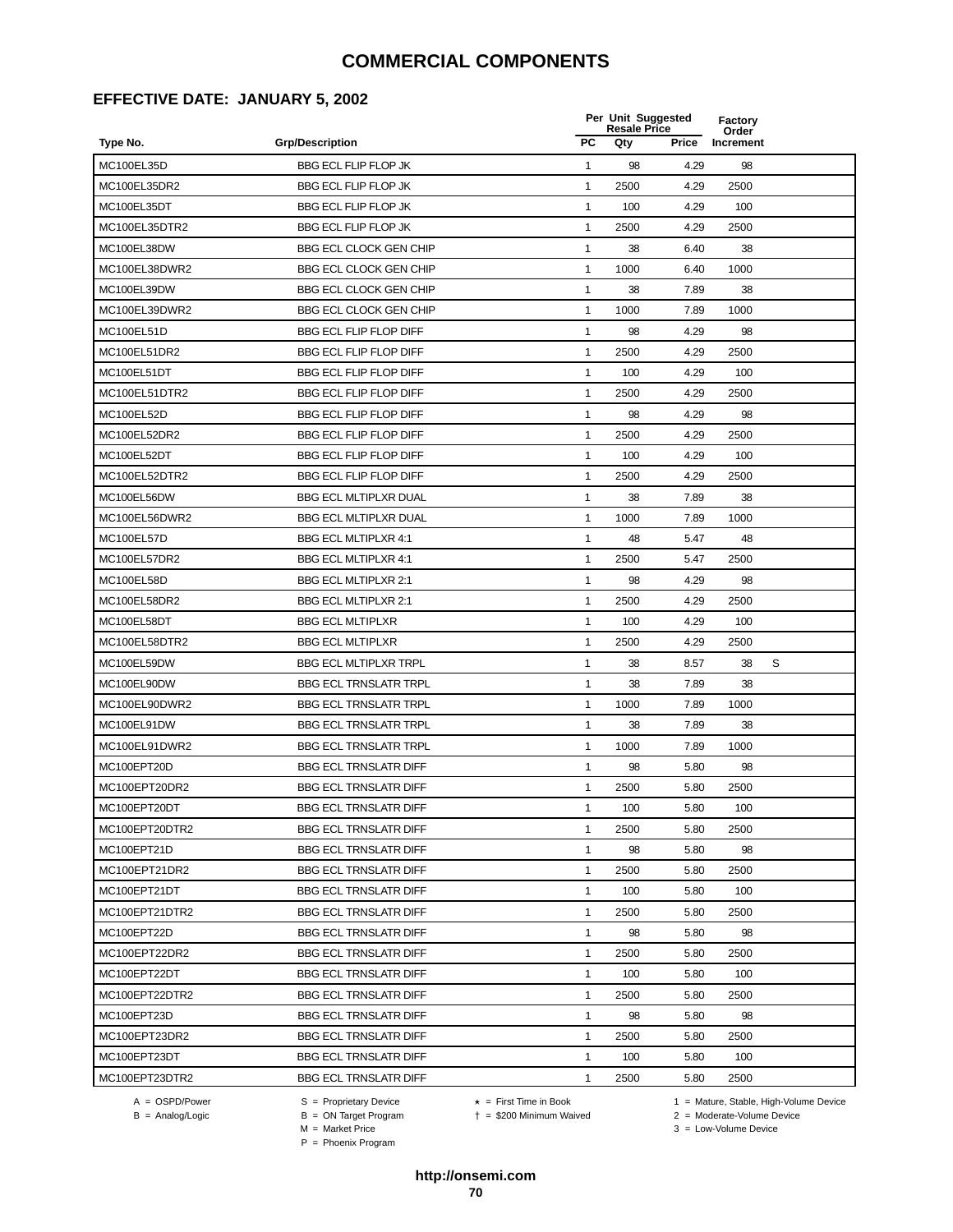### **EFFECTIVE DATE: JANUARY 5, 2002**

|                |                               |              | Per Unit Suggested<br><b>Resale Price</b> |       | <b>Factory</b><br>Order |   |
|----------------|-------------------------------|--------------|-------------------------------------------|-------|-------------------------|---|
| Type No.       | <b>Grp/Description</b>        | <b>PC</b>    | Qty                                       | Price | Increment               |   |
| MC100EL35D     | <b>BBG ECL FLIP FLOP JK</b>   | $\mathbf{1}$ | 98                                        | 4.29  | 98                      |   |
| MC100EL35DR2   | <b>BBG ECL FLIP FLOP JK</b>   | 1            | 2500                                      | 4.29  | 2500                    |   |
| MC100EL35DT    | <b>BBG ECL FLIP FLOP JK</b>   | 1            | 100                                       | 4.29  | 100                     |   |
| MC100EL35DTR2  | <b>BBG ECL FLIP FLOP JK</b>   | 1            | 2500                                      | 4.29  | 2500                    |   |
| MC100EL38DW    | <b>BBG ECL CLOCK GEN CHIP</b> | $\mathbf{1}$ | 38                                        | 6.40  | 38                      |   |
| MC100EL38DWR2  | <b>BBG ECL CLOCK GEN CHIP</b> | 1            | 1000                                      | 6.40  | 1000                    |   |
| MC100EL39DW    | <b>BBG ECL CLOCK GEN CHIP</b> | $\mathbf{1}$ | 38                                        | 7.89  | 38                      |   |
| MC100EL39DWR2  | <b>BBG ECL CLOCK GEN CHIP</b> | $\mathbf{1}$ | 1000                                      | 7.89  | 1000                    |   |
| MC100EL51D     | <b>BBG ECL FLIP FLOP DIFF</b> | $\mathbf{1}$ | 98                                        | 4.29  | 98                      |   |
| MC100EL51DR2   | <b>BBG ECL FLIP FLOP DIFF</b> | $\mathbf{1}$ | 2500                                      | 4.29  | 2500                    |   |
| MC100EL51DT    | <b>BBG ECL FLIP FLOP DIFF</b> | $\mathbf{1}$ | 100                                       | 4.29  | 100                     |   |
| MC100EL51DTR2  | BBG ECL FLIP FLOP DIFF        | 1            | 2500                                      | 4.29  | 2500                    |   |
| MC100EL52D     | <b>BBG ECL FLIP FLOP DIFF</b> | $\mathbf{1}$ | 98                                        | 4.29  | 98                      |   |
| MC100EL52DR2   | <b>BBG ECL FLIP FLOP DIFF</b> | 1            | 2500                                      | 4.29  | 2500                    |   |
| MC100EL52DT    | <b>BBG ECL FLIP FLOP DIFF</b> | $\mathbf{1}$ | 100                                       | 4.29  | 100                     |   |
| MC100EL52DTR2  | <b>BBG ECL FLIP FLOP DIFF</b> | $\mathbf{1}$ | 2500                                      | 4.29  | 2500                    |   |
| MC100EL56DW    | <b>BBG ECL MLTIPLXR DUAL</b>  | $\mathbf{1}$ | 38                                        | 7.89  | 38                      |   |
| MC100EL56DWR2  | <b>BBG ECL MLTIPLXR DUAL</b>  | 1            | 1000                                      | 7.89  | 1000                    |   |
| MC100EL57D     | <b>BBG ECL MLTIPLXR 4:1</b>   | 1            | 48                                        | 5.47  | 48                      |   |
| MC100EL57DR2   | <b>BBG ECL MLTIPLXR 4:1</b>   | 1            | 2500                                      | 5.47  | 2500                    |   |
| MC100EL58D     | <b>BBG ECL MLTIPLXR 2:1</b>   | 1            | 98                                        | 4.29  | 98                      |   |
| MC100EL58DR2   | <b>BBG ECL MLTIPLXR 2:1</b>   | 1            | 2500                                      | 4.29  | 2500                    |   |
| MC100EL58DT    | <b>BBG ECL MLTIPLXR</b>       | 1            | 100                                       | 4.29  | 100                     |   |
| MC100EL58DTR2  | <b>BBG ECL MLTIPLXR</b>       | $\mathbf{1}$ | 2500                                      | 4.29  | 2500                    |   |
| MC100EL59DW    | <b>BBG ECL MLTIPLXR TRPL</b>  | $\mathbf{1}$ | 38                                        | 8.57  | 38                      | S |
| MC100EL90DW    | <b>BBG ECL TRNSLATR TRPL</b>  | $\mathbf{1}$ | 38                                        | 7.89  | 38                      |   |
| MC100EL90DWR2  | <b>BBG ECL TRNSLATR TRPL</b>  | $\mathbf{1}$ | 1000                                      | 7.89  | 1000                    |   |
| MC100EL91DW    | <b>BBG ECL TRNSLATR TRPL</b>  | 1            | 38                                        | 7.89  | 38                      |   |
| MC100EL91DWR2  | <b>BBG ECL TRNSLATR TRPL</b>  | 1            | 1000                                      | 7.89  | 1000                    |   |
| MC100EPT20D    | <b>BBG ECL TRNSLATR DIFF</b>  | 1            | 98                                        | 5.80  | 98                      |   |
| MC100EPT20DR2  | <b>BBG ECL TRNSLATR DIFF</b>  | 1            | 2500                                      | 5.80  | 2500                    |   |
| MC100EPT20DT   | <b>BBG ECL TRNSLATR DIFF</b>  | 1            | 100                                       | 5.80  | 100                     |   |
| MC100EPT20DTR2 | <b>BBG ECL TRNSLATR DIFF</b>  | $\mathbf{1}$ | 2500                                      | 5.80  | 2500                    |   |
| MC100EPT21D    | <b>BBG ECL TRNSLATR DIFF</b>  | 1            | 98                                        | 5.80  | 98                      |   |
| MC100EPT21DR2  | <b>BBG ECL TRNSLATR DIFF</b>  | 1            | 2500                                      | 5.80  | 2500                    |   |
| MC100EPT21DT   | <b>BBG ECL TRNSLATR DIFF</b>  | 1            | 100                                       | 5.80  | 100                     |   |
| MC100EPT21DTR2 | <b>BBG ECL TRNSLATR DIFF</b>  | 1            | 2500                                      | 5.80  | 2500                    |   |
| MC100EPT22D    | <b>BBG ECL TRNSLATR DIFF</b>  | $\mathbf{1}$ | 98                                        | 5.80  | 98                      |   |
| MC100EPT22DR2  | <b>BBG ECL TRNSLATR DIFF</b>  | 1            | 2500                                      | 5.80  | 2500                    |   |
| MC100EPT22DT   | <b>BBG ECL TRNSLATR DIFF</b>  | 1            | 100                                       | 5.80  | 100                     |   |
| MC100EPT22DTR2 | <b>BBG ECL TRNSLATR DIFF</b>  | 1            | 2500                                      | 5.80  | 2500                    |   |
| MC100EPT23D    | <b>BBG ECL TRNSLATR DIFF</b>  | 1            | 98                                        | 5.80  | 98                      |   |
| MC100EPT23DR2  | <b>BBG ECL TRNSLATR DIFF</b>  | 1            | 2500                                      | 5.80  | 2500                    |   |
| MC100EPT23DT   | <b>BBG ECL TRNSLATR DIFF</b>  | $\mathbf{1}$ | 100                                       | 5.80  | 100                     |   |
| MC100EPT23DTR2 | <b>BBG ECL TRNSLATR DIFF</b>  | 1            | 2500                                      | 5.80  | 2500                    |   |
|                |                               |              |                                           |       |                         |   |

 $B = \text{Analog/Logic}$ <br>B = ON Target Program<br> $M = \text{Market Price}$ 

= \$200 Minimum Waived 2 = Moderate-Volume Device

A = OSPD/Power S = Proprietary Device  $\star$  = First Time in Book 1 = Mature, Stable, High-Volume Device

 $3 =$  Low-Volume Device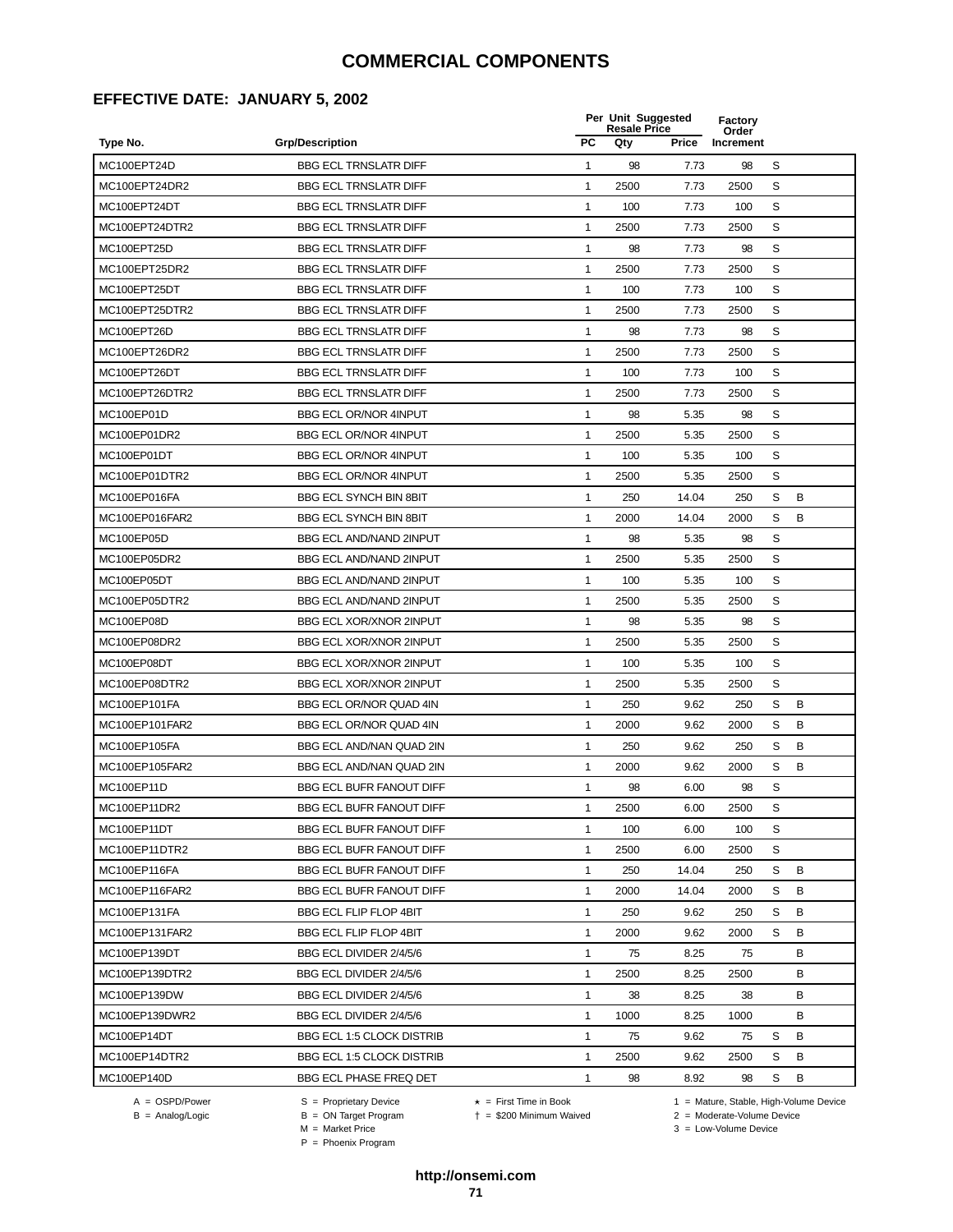### **EFFECTIVE DATE: JANUARY 5, 2002**

|                |                                  |              | Per Unit Suggested<br><b>Resale Price</b> |       | Factory<br>Order |   |   |  |
|----------------|----------------------------------|--------------|-------------------------------------------|-------|------------------|---|---|--|
| Type No.       | <b>Grp/Description</b>           | <b>PC</b>    | Qty                                       | Price | Increment        |   |   |  |
| MC100EPT24D    | <b>BBG ECL TRNSLATR DIFF</b>     | $\mathbf{1}$ | 98                                        | 7.73  | 98               | S |   |  |
| MC100EPT24DR2  | <b>BBG ECL TRNSLATR DIFF</b>     | $\mathbf{1}$ | 2500                                      | 7.73  | 2500             | S |   |  |
| MC100EPT24DT   | <b>BBG ECL TRNSLATR DIFF</b>     | 1            | 100                                       | 7.73  | 100              | S |   |  |
| MC100EPT24DTR2 | <b>BBG ECL TRNSLATR DIFF</b>     | $\mathbf{1}$ | 2500                                      | 7.73  | 2500             | S |   |  |
| MC100EPT25D    | <b>BBG ECL TRNSLATR DIFF</b>     | $\mathbf{1}$ | 98                                        | 7.73  | 98               | S |   |  |
| MC100EPT25DR2  | <b>BBG ECL TRNSLATR DIFF</b>     | $\mathbf{1}$ | 2500                                      | 7.73  | 2500             | S |   |  |
| MC100EPT25DT   | <b>BBG ECL TRNSLATR DIFF</b>     | $\mathbf{1}$ | 100                                       | 7.73  | 100              | S |   |  |
| MC100EPT25DTR2 | <b>BBG ECL TRNSLATR DIFF</b>     | $\mathbf{1}$ | 2500                                      | 7.73  | 2500             | S |   |  |
| MC100EPT26D    | <b>BBG ECL TRNSLATR DIFF</b>     | $\mathbf{1}$ | 98                                        | 7.73  | 98               | S |   |  |
| MC100EPT26DR2  | <b>BBG ECL TRNSLATR DIFF</b>     | 1            | 2500                                      | 7.73  | 2500             | S |   |  |
| MC100EPT26DT   | <b>BBG ECL TRNSLATR DIFF</b>     | $\mathbf{1}$ | 100                                       | 7.73  | 100              | S |   |  |
| MC100EPT26DTR2 | <b>BBG ECL TRNSLATR DIFF</b>     | 1            | 2500                                      | 7.73  | 2500             | S |   |  |
| MC100EP01D     | <b>BBG ECL OR/NOR 4INPUT</b>     | $\mathbf{1}$ | 98                                        | 5.35  | 98               | S |   |  |
| MC100EP01DR2   | <b>BBG ECL OR/NOR 4INPUT</b>     | 1            | 2500                                      | 5.35  | 2500             | S |   |  |
| MC100EP01DT    | <b>BBG ECL OR/NOR 4INPUT</b>     | $\mathbf{1}$ | 100                                       | 5.35  | 100              | S |   |  |
| MC100EP01DTR2  | <b>BBG ECL OR/NOR 4INPUT</b>     | $\mathbf{1}$ | 2500                                      | 5.35  | 2500             | S |   |  |
| MC100EP016FA   | BBG ECL SYNCH BIN 8BIT           | $\mathbf{1}$ | 250                                       | 14.04 | 250              | S | в |  |
| MC100EP016FAR2 | BBG ECL SYNCH BIN 8BIT           | $\mathbf{1}$ | 2000                                      | 14.04 | 2000             | S | В |  |
| MC100EP05D     | <b>BBG ECL AND/NAND 2INPUT</b>   | $\mathbf{1}$ | 98                                        | 5.35  | 98               | S |   |  |
| MC100EP05DR2   | BBG ECL AND/NAND 2INPUT          | $\mathbf{1}$ | 2500                                      | 5.35  | 2500             | S |   |  |
| MC100EP05DT    | BBG ECL AND/NAND 2INPUT          | $\mathbf{1}$ | 100                                       | 5.35  | 100              | S |   |  |
| MC100EP05DTR2  | BBG ECL AND/NAND 2INPUT          | $\mathbf{1}$ | 2500                                      | 5.35  | 2500             | S |   |  |
| MC100EP08D     | BBG ECL XOR/XNOR 2INPUT          | $\mathbf{1}$ | 98                                        | 5.35  | 98               | S |   |  |
| MC100EP08DR2   | BBG ECL XOR/XNOR 2INPUT          | $\mathbf{1}$ | 2500                                      | 5.35  | 2500             | S |   |  |
| MC100EP08DT    | BBG ECL XOR/XNOR 2INPUT          | $\mathbf{1}$ | 100                                       | 5.35  | 100              | S |   |  |
| MC100EP08DTR2  | BBG ECL XOR/XNOR 2INPUT          | $\mathbf{1}$ | 2500                                      | 5.35  | 2500             | S |   |  |
| MC100EP101FA   | BBG ECL OR/NOR QUAD 4IN          | $\mathbf{1}$ | 250                                       | 9.62  | 250              | S | в |  |
| MC100EP101FAR2 | BBG ECL OR/NOR QUAD 4IN          | 1            | 2000                                      | 9.62  | 2000             | S | в |  |
| MC100EP105FA   | BBG ECL AND/NAN QUAD 2IN         | $\mathbf{1}$ | 250                                       | 9.62  | 250              | S | B |  |
| MC100EP105FAR2 | BBG ECL AND/NAN QUAD 2IN         | 1            | 2000                                      | 9.62  | 2000             | S | B |  |
| MC100EP11D     | <b>BBG ECL BUFR FANOUT DIFF</b>  | $\mathbf{1}$ | 98                                        | 6.00  | 98               | S |   |  |
| MC100EP11DR2   | <b>BBG ECL BUFR FANOUT DIFF</b>  | 1            | 2500                                      | 6.00  | 2500             | S |   |  |
| MC100EP11DT    | <b>BBG ECL BUFR FANOUT DIFF</b>  | $\mathbf{1}$ | 100                                       | 6.00  | 100              | S |   |  |
| MC100EP11DTR2  | <b>BBG ECL BUFR FANOUT DIFF</b>  | $\mathbf{1}$ | 2500                                      | 6.00  | 2500             | S |   |  |
| MC100EP116FA   | <b>BBG ECL BUFR FANOUT DIFF</b>  | $\mathbf{1}$ | 250                                       | 14.04 | 250              | S | в |  |
| MC100EP116FAR2 | <b>BBG ECL BUFR FANOUT DIFF</b>  | $\mathbf{1}$ | 2000                                      | 14.04 | 2000             | S | в |  |
| MC100EP131FA   | <b>BBG ECL FLIP FLOP 4BIT</b>    | 1            | 250                                       | 9.62  | 250              | S | В |  |
| MC100EP131FAR2 | BBG ECL FLIP FLOP 4BIT           | 1            | 2000                                      | 9.62  | 2000             | S | в |  |
| MC100EP139DT   | BBG ECL DIVIDER 2/4/5/6          | 1            | 75                                        | 8.25  | 75               |   | В |  |
| MC100EP139DTR2 | BBG ECL DIVIDER 2/4/5/6          | 1            | 2500                                      | 8.25  | 2500             |   | в |  |
| MC100EP139DW   | BBG ECL DIVIDER 2/4/5/6          | 1            | 38                                        | 8.25  | 38               |   | в |  |
| MC100EP139DWR2 | BBG ECL DIVIDER 2/4/5/6          | 1            | 1000                                      | 8.25  | 1000             |   | в |  |
| MC100EP14DT    | <b>BBG ECL 1:5 CLOCK DISTRIB</b> | $\mathbf{1}$ | 75                                        | 9.62  | 75               | S | B |  |
| MC100EP14DTR2  | <b>BBG ECL 1:5 CLOCK DISTRIB</b> | $\mathbf{1}$ | 2500                                      | 9.62  | 2500             | S | В |  |
| MC100EP140D    | <b>BBG ECL PHASE FREQ DET</b>    | 1            | 98                                        | 8.92  | 98               | S | В |  |

B = ON Target Program<br>M = Market Price

 $A = OBPD/Power$ <br>  $B = ON Target Program$   $A = First Time in Book$   $A = West Theorem 1 = Nature, Stable, High-Volume Device$   $A = Mature, Stable, High-Volume Device$   $A = Mature, Stable, High-Volume Device$   $A = Mature, Table, High-Volume Device$   $A = Mature, Table, High-Volume Device$   $A = Mature, Table, High-Volume Device$   $A = Mature, Table, High-Volume Device$   $A = Mature, Table, High-Volume Device$   $A = Mature, Table, High-Volume Device$   $A = Mature, Table, High-Volume Device$   $A = Mature, Table, High-Volume Device$   $A = Mature, Table, High-Volume Device$   $A = Mature, Table, High-Volume Device$   $A = Mature, Table$ 

 $2 =$  Moderate-Volume Device  $3 =$  Low-Volume Device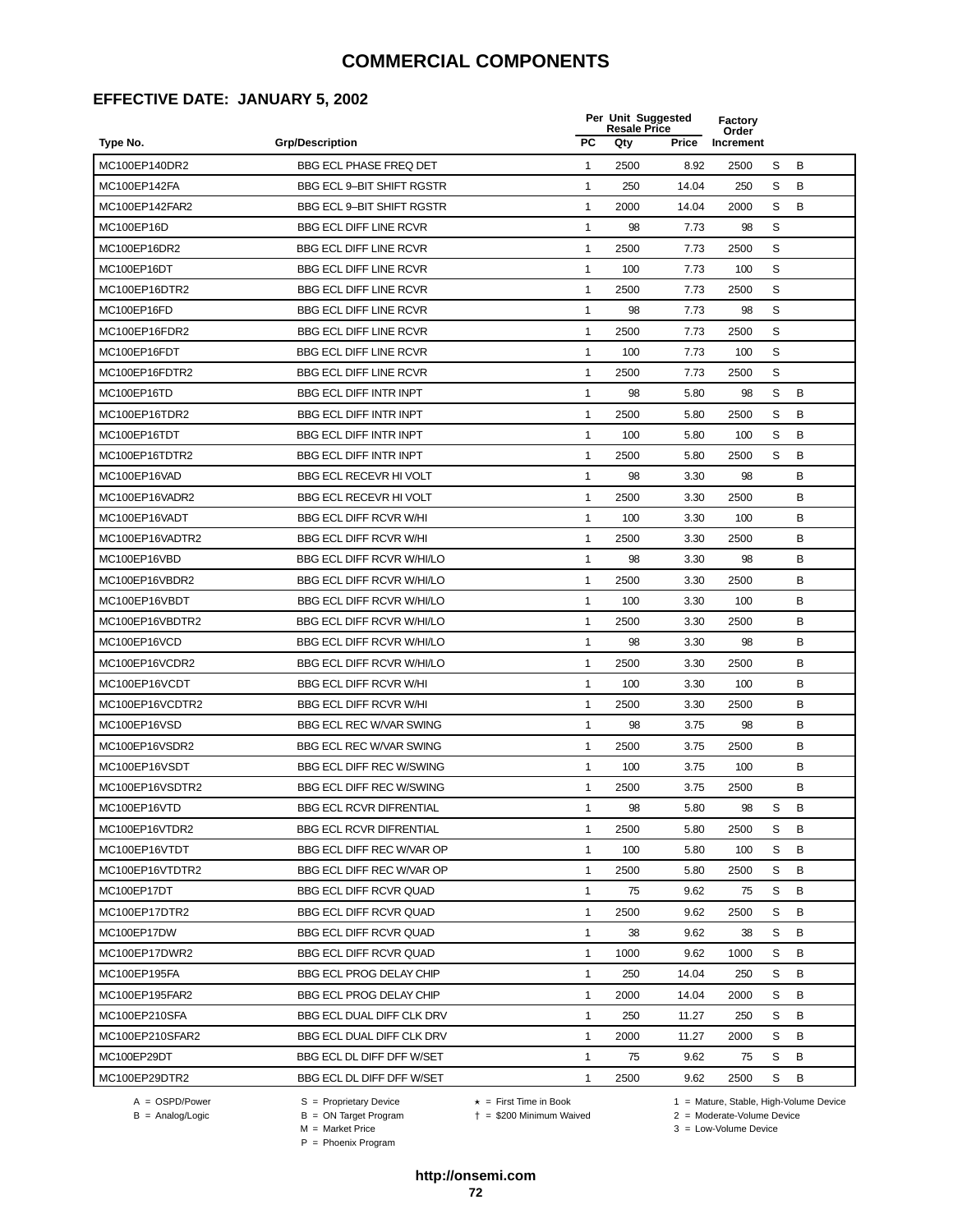### **EFFECTIVE DATE: JANUARY 5, 2002**

| <b>PC</b><br><b>Grp/Description</b><br>Qty<br>Price<br>Increment<br>Type No.<br>MC100EP140DR2<br><b>BBG ECL PHASE FREQ DET</b><br>S<br>B<br>$\mathbf{1}$<br>2500<br>8.92<br>2500<br>S<br>B<br>MC100EP142FA<br><b>BBG ECL 9-BIT SHIFT RGSTR</b><br>1<br>250<br>14.04<br>250<br>B<br>S<br>MC100EP142FAR2<br><b>BBG ECL 9-BIT SHIFT RGSTR</b><br>1<br>2000<br>14.04<br>2000<br>1<br>S<br>MC100EP16D<br><b>BBG ECL DIFF LINE RCVR</b><br>98<br>7.73<br>98<br>S<br>MC100EP16DR2<br><b>BBG ECL DIFF LINE RCVR</b><br>1<br>2500<br>7.73<br>2500<br>S<br><b>BBG ECL DIFF LINE RCVR</b><br>MC100EP16DT<br>$\mathbf{1}$<br>100<br>7.73<br>100<br>S<br>1<br>MC100EP16DTR2<br><b>BBG ECL DIFF LINE RCVR</b><br>2500<br>7.73<br>2500<br>S<br>$\mathbf{1}$<br>MC100EP16FD<br><b>BBG ECL DIFF LINE RCVR</b><br>98<br>7.73<br>98<br>S<br>MC100EP16FDR2<br><b>BBG ECL DIFF LINE RCVR</b><br>1<br>2500<br>7.73<br>2500<br>MC100EP16FDT<br>S<br><b>BBG ECL DIFF LINE RCVR</b><br>1<br>100<br>7.73<br>100<br>S<br>MC100EP16FDTR2<br><b>BBG ECL DIFF LINE RCVR</b><br>$\mathbf{1}$<br>2500<br>7.73<br>2500<br>S<br>В<br>MC100EP16TD<br><b>BBG ECL DIFF INTR INPT</b><br>1<br>98<br>5.80<br>98<br>S<br>B<br>MC100EP16TDR2<br><b>BBG ECL DIFF INTR INPT</b><br>1<br>2500<br>5.80<br>2500<br>S<br>B<br>MC100EP16TDT<br><b>BBG ECL DIFF INTR INPT</b><br>1<br>100<br>5.80<br>100<br>S<br>B<br>BBG ECL DIFF INTR INPT<br>MC100EP16TDTR2<br>$\mathbf{1}$<br>2500<br>2500<br>5.80<br>98<br>B<br>MC100EP16VAD<br><b>BBG ECL RECEVR HI VOLT</b><br>1<br>3.30<br>98<br>1<br>2500<br>В<br>MC100EP16VADR2<br><b>BBG ECL RECEVR HI VOLT</b><br>2500<br>3.30<br>в<br>MC100EP16VADT<br><b>BBG ECL DIFF RCVR W/HI</b><br>1<br>100<br>3.30<br>100<br>B<br>MC100EP16VADTR2<br><b>BBG ECL DIFF RCVR W/HI</b><br>1<br>2500<br>3.30<br>2500<br>B<br>MC100EP16VBD<br><b>BBG ECL DIFF RCVR W/HI/LO</b><br>$\mathbf{1}$<br>98<br>3.30<br>98<br>в<br>MC100EP16VBDR2<br>BBG ECL DIFF RCVR W/HI/LO<br>1<br>2500<br>3.30<br>2500<br>$\mathbf{1}$<br>В<br>MC100EP16VBDT<br><b>BBG ECL DIFF RCVR W/HI/LO</b><br>100<br>3.30<br>100<br>B<br>MC100EP16VBDTR2<br><b>BBG ECL DIFF RCVR W/HI/LO</b><br>1<br>2500<br>3.30<br>2500<br>B<br>BBG ECL DIFF RCVR W/HI/LO<br>MC100EP16VCD<br>$\mathbf{1}$<br>98<br>3.30<br>98<br>2500<br>В<br>MC100EP16VCDR2<br>BBG ECL DIFF RCVR W/HI/LO<br>1<br>2500<br>3.30<br>В<br>MC100EP16VCDT<br><b>BBG ECL DIFF RCVR W/HI</b><br>$\mathbf{1}$<br>100<br>3.30<br>100<br>1<br>в<br>MC100EP16VCDTR2<br><b>BBG ECL DIFF RCVR W/HI</b><br>2500<br>3.30<br>2500<br>MC100EP16VSD<br>B<br><b>BBG ECL REC W/VAR SWING</b><br>$\mathbf{1}$<br>98<br>3.75<br>98<br>B<br>MC100EP16VSDR2<br>BBG ECL REC W/VAR SWING<br>1<br>2500<br>3.75<br>2500<br>B<br>MC100EP16VSDT<br><b>BBG ECL DIFF REC W/SWING</b><br>1<br>100<br>3.75<br>100<br>B<br>MC100EP16VSDTR2<br><b>BBG ECL DIFF REC W/SWING</b><br>1<br>2500<br>3.75<br>2500<br>S<br>B<br>MC100EP16VTD<br>98<br>5.80<br>98<br><b>BBG ECL RCVR DIFRENTIAL</b><br>1<br>В<br><b>BBG ECL RCVR DIFRENTIAL</b><br>S<br>MC100EP16VTDR2<br>$\mathbf{1}$<br>2500<br>5.80<br>2500<br>B<br>1<br>100<br>S<br>MC100EP16VTDT<br>BBG ECL DIFF REC W/VAR OP<br>5.80<br>100<br>В<br>1<br>2500<br>2500<br>S<br>MC100EP16VTDTR2<br>BBG ECL DIFF REC W/VAR OP<br>5.80<br>1<br>75<br>9.62<br>S<br>В<br>MC100EP17DT<br><b>BBG ECL DIFF RCVR QUAD</b><br>75<br>B<br>MC100EP17DTR2<br><b>BBG ECL DIFF RCVR QUAD</b><br>1<br>2500<br>9.62<br>2500<br>S<br>B<br>1<br>38<br>9.62<br>38<br>S<br>MC100EP17DW<br><b>BBG ECL DIFF RCVR QUAD</b><br>B<br>1<br>1000<br>9.62<br>1000<br>S<br>MC100EP17DWR2<br><b>BBG ECL DIFF RCVR QUAD</b><br><b>BBG ECL PROG DELAY CHIP</b><br>1<br>250<br>250<br>S<br>B<br>MC100EP195FA<br>14.04<br>1<br>S<br>В<br>MC100EP195FAR2<br><b>BBG ECL PROG DELAY CHIP</b><br>2000<br>14.04<br>2000<br>B<br>1<br>S<br>MC100EP210SFA<br><b>BBG ECL DUAL DIFF CLK DRV</b><br>250<br>11.27<br>250<br>В<br>1<br>S<br>MC100EP210SFAR2<br>BBG ECL DUAL DIFF CLK DRV<br>2000<br>11.27<br>2000<br>B<br>$\mathbf{1}$<br>S<br>MC100EP29DT<br>BBG ECL DL DIFF DFF W/SET<br>75<br>9.62<br>75<br>S<br>MC100EP29DTR2<br>2500<br>В<br>BBG ECL DL DIFF DFF W/SET<br>1<br>2500<br>9.62 |  | Per Unit Suggested<br><b>Resale Price</b> | <b>Factory</b><br>Order |  |  |  |
|-----------------------------------------------------------------------------------------------------------------------------------------------------------------------------------------------------------------------------------------------------------------------------------------------------------------------------------------------------------------------------------------------------------------------------------------------------------------------------------------------------------------------------------------------------------------------------------------------------------------------------------------------------------------------------------------------------------------------------------------------------------------------------------------------------------------------------------------------------------------------------------------------------------------------------------------------------------------------------------------------------------------------------------------------------------------------------------------------------------------------------------------------------------------------------------------------------------------------------------------------------------------------------------------------------------------------------------------------------------------------------------------------------------------------------------------------------------------------------------------------------------------------------------------------------------------------------------------------------------------------------------------------------------------------------------------------------------------------------------------------------------------------------------------------------------------------------------------------------------------------------------------------------------------------------------------------------------------------------------------------------------------------------------------------------------------------------------------------------------------------------------------------------------------------------------------------------------------------------------------------------------------------------------------------------------------------------------------------------------------------------------------------------------------------------------------------------------------------------------------------------------------------------------------------------------------------------------------------------------------------------------------------------------------------------------------------------------------------------------------------------------------------------------------------------------------------------------------------------------------------------------------------------------------------------------------------------------------------------------------------------------------------------------------------------------------------------------------------------------------------------------------------------------------------------------------------------------------------------------------------------------------------------------------------------------------------------------------------------------------------------------------------------------------------------------------------------------------------------------------------------------------------------------------------------------------------------------------------------------------------------------------------------------------------------------------------------------------------------------------------------------------------------------------------------------------------------------------------------------------------------------------------------------------------------------------------------------------------------------------------------------------------------------------------------------------------------------------------------------------------------------------------------------------------------|--|-------------------------------------------|-------------------------|--|--|--|
|                                                                                                                                                                                                                                                                                                                                                                                                                                                                                                                                                                                                                                                                                                                                                                                                                                                                                                                                                                                                                                                                                                                                                                                                                                                                                                                                                                                                                                                                                                                                                                                                                                                                                                                                                                                                                                                                                                                                                                                                                                                                                                                                                                                                                                                                                                                                                                                                                                                                                                                                                                                                                                                                                                                                                                                                                                                                                                                                                                                                                                                                                                                                                                                                                                                                                                                                                                                                                                                                                                                                                                                                                                                                                                                                                                                                                                                                                                                                                                                                                                                                                                                                                                             |  |                                           |                         |  |  |  |
|                                                                                                                                                                                                                                                                                                                                                                                                                                                                                                                                                                                                                                                                                                                                                                                                                                                                                                                                                                                                                                                                                                                                                                                                                                                                                                                                                                                                                                                                                                                                                                                                                                                                                                                                                                                                                                                                                                                                                                                                                                                                                                                                                                                                                                                                                                                                                                                                                                                                                                                                                                                                                                                                                                                                                                                                                                                                                                                                                                                                                                                                                                                                                                                                                                                                                                                                                                                                                                                                                                                                                                                                                                                                                                                                                                                                                                                                                                                                                                                                                                                                                                                                                                             |  |                                           |                         |  |  |  |
|                                                                                                                                                                                                                                                                                                                                                                                                                                                                                                                                                                                                                                                                                                                                                                                                                                                                                                                                                                                                                                                                                                                                                                                                                                                                                                                                                                                                                                                                                                                                                                                                                                                                                                                                                                                                                                                                                                                                                                                                                                                                                                                                                                                                                                                                                                                                                                                                                                                                                                                                                                                                                                                                                                                                                                                                                                                                                                                                                                                                                                                                                                                                                                                                                                                                                                                                                                                                                                                                                                                                                                                                                                                                                                                                                                                                                                                                                                                                                                                                                                                                                                                                                                             |  |                                           |                         |  |  |  |
|                                                                                                                                                                                                                                                                                                                                                                                                                                                                                                                                                                                                                                                                                                                                                                                                                                                                                                                                                                                                                                                                                                                                                                                                                                                                                                                                                                                                                                                                                                                                                                                                                                                                                                                                                                                                                                                                                                                                                                                                                                                                                                                                                                                                                                                                                                                                                                                                                                                                                                                                                                                                                                                                                                                                                                                                                                                                                                                                                                                                                                                                                                                                                                                                                                                                                                                                                                                                                                                                                                                                                                                                                                                                                                                                                                                                                                                                                                                                                                                                                                                                                                                                                                             |  |                                           |                         |  |  |  |
|                                                                                                                                                                                                                                                                                                                                                                                                                                                                                                                                                                                                                                                                                                                                                                                                                                                                                                                                                                                                                                                                                                                                                                                                                                                                                                                                                                                                                                                                                                                                                                                                                                                                                                                                                                                                                                                                                                                                                                                                                                                                                                                                                                                                                                                                                                                                                                                                                                                                                                                                                                                                                                                                                                                                                                                                                                                                                                                                                                                                                                                                                                                                                                                                                                                                                                                                                                                                                                                                                                                                                                                                                                                                                                                                                                                                                                                                                                                                                                                                                                                                                                                                                                             |  |                                           |                         |  |  |  |
|                                                                                                                                                                                                                                                                                                                                                                                                                                                                                                                                                                                                                                                                                                                                                                                                                                                                                                                                                                                                                                                                                                                                                                                                                                                                                                                                                                                                                                                                                                                                                                                                                                                                                                                                                                                                                                                                                                                                                                                                                                                                                                                                                                                                                                                                                                                                                                                                                                                                                                                                                                                                                                                                                                                                                                                                                                                                                                                                                                                                                                                                                                                                                                                                                                                                                                                                                                                                                                                                                                                                                                                                                                                                                                                                                                                                                                                                                                                                                                                                                                                                                                                                                                             |  |                                           |                         |  |  |  |
|                                                                                                                                                                                                                                                                                                                                                                                                                                                                                                                                                                                                                                                                                                                                                                                                                                                                                                                                                                                                                                                                                                                                                                                                                                                                                                                                                                                                                                                                                                                                                                                                                                                                                                                                                                                                                                                                                                                                                                                                                                                                                                                                                                                                                                                                                                                                                                                                                                                                                                                                                                                                                                                                                                                                                                                                                                                                                                                                                                                                                                                                                                                                                                                                                                                                                                                                                                                                                                                                                                                                                                                                                                                                                                                                                                                                                                                                                                                                                                                                                                                                                                                                                                             |  |                                           |                         |  |  |  |
|                                                                                                                                                                                                                                                                                                                                                                                                                                                                                                                                                                                                                                                                                                                                                                                                                                                                                                                                                                                                                                                                                                                                                                                                                                                                                                                                                                                                                                                                                                                                                                                                                                                                                                                                                                                                                                                                                                                                                                                                                                                                                                                                                                                                                                                                                                                                                                                                                                                                                                                                                                                                                                                                                                                                                                                                                                                                                                                                                                                                                                                                                                                                                                                                                                                                                                                                                                                                                                                                                                                                                                                                                                                                                                                                                                                                                                                                                                                                                                                                                                                                                                                                                                             |  |                                           |                         |  |  |  |
|                                                                                                                                                                                                                                                                                                                                                                                                                                                                                                                                                                                                                                                                                                                                                                                                                                                                                                                                                                                                                                                                                                                                                                                                                                                                                                                                                                                                                                                                                                                                                                                                                                                                                                                                                                                                                                                                                                                                                                                                                                                                                                                                                                                                                                                                                                                                                                                                                                                                                                                                                                                                                                                                                                                                                                                                                                                                                                                                                                                                                                                                                                                                                                                                                                                                                                                                                                                                                                                                                                                                                                                                                                                                                                                                                                                                                                                                                                                                                                                                                                                                                                                                                                             |  |                                           |                         |  |  |  |
|                                                                                                                                                                                                                                                                                                                                                                                                                                                                                                                                                                                                                                                                                                                                                                                                                                                                                                                                                                                                                                                                                                                                                                                                                                                                                                                                                                                                                                                                                                                                                                                                                                                                                                                                                                                                                                                                                                                                                                                                                                                                                                                                                                                                                                                                                                                                                                                                                                                                                                                                                                                                                                                                                                                                                                                                                                                                                                                                                                                                                                                                                                                                                                                                                                                                                                                                                                                                                                                                                                                                                                                                                                                                                                                                                                                                                                                                                                                                                                                                                                                                                                                                                                             |  |                                           |                         |  |  |  |
|                                                                                                                                                                                                                                                                                                                                                                                                                                                                                                                                                                                                                                                                                                                                                                                                                                                                                                                                                                                                                                                                                                                                                                                                                                                                                                                                                                                                                                                                                                                                                                                                                                                                                                                                                                                                                                                                                                                                                                                                                                                                                                                                                                                                                                                                                                                                                                                                                                                                                                                                                                                                                                                                                                                                                                                                                                                                                                                                                                                                                                                                                                                                                                                                                                                                                                                                                                                                                                                                                                                                                                                                                                                                                                                                                                                                                                                                                                                                                                                                                                                                                                                                                                             |  |                                           |                         |  |  |  |
|                                                                                                                                                                                                                                                                                                                                                                                                                                                                                                                                                                                                                                                                                                                                                                                                                                                                                                                                                                                                                                                                                                                                                                                                                                                                                                                                                                                                                                                                                                                                                                                                                                                                                                                                                                                                                                                                                                                                                                                                                                                                                                                                                                                                                                                                                                                                                                                                                                                                                                                                                                                                                                                                                                                                                                                                                                                                                                                                                                                                                                                                                                                                                                                                                                                                                                                                                                                                                                                                                                                                                                                                                                                                                                                                                                                                                                                                                                                                                                                                                                                                                                                                                                             |  |                                           |                         |  |  |  |
|                                                                                                                                                                                                                                                                                                                                                                                                                                                                                                                                                                                                                                                                                                                                                                                                                                                                                                                                                                                                                                                                                                                                                                                                                                                                                                                                                                                                                                                                                                                                                                                                                                                                                                                                                                                                                                                                                                                                                                                                                                                                                                                                                                                                                                                                                                                                                                                                                                                                                                                                                                                                                                                                                                                                                                                                                                                                                                                                                                                                                                                                                                                                                                                                                                                                                                                                                                                                                                                                                                                                                                                                                                                                                                                                                                                                                                                                                                                                                                                                                                                                                                                                                                             |  |                                           |                         |  |  |  |
|                                                                                                                                                                                                                                                                                                                                                                                                                                                                                                                                                                                                                                                                                                                                                                                                                                                                                                                                                                                                                                                                                                                                                                                                                                                                                                                                                                                                                                                                                                                                                                                                                                                                                                                                                                                                                                                                                                                                                                                                                                                                                                                                                                                                                                                                                                                                                                                                                                                                                                                                                                                                                                                                                                                                                                                                                                                                                                                                                                                                                                                                                                                                                                                                                                                                                                                                                                                                                                                                                                                                                                                                                                                                                                                                                                                                                                                                                                                                                                                                                                                                                                                                                                             |  |                                           |                         |  |  |  |
|                                                                                                                                                                                                                                                                                                                                                                                                                                                                                                                                                                                                                                                                                                                                                                                                                                                                                                                                                                                                                                                                                                                                                                                                                                                                                                                                                                                                                                                                                                                                                                                                                                                                                                                                                                                                                                                                                                                                                                                                                                                                                                                                                                                                                                                                                                                                                                                                                                                                                                                                                                                                                                                                                                                                                                                                                                                                                                                                                                                                                                                                                                                                                                                                                                                                                                                                                                                                                                                                                                                                                                                                                                                                                                                                                                                                                                                                                                                                                                                                                                                                                                                                                                             |  |                                           |                         |  |  |  |
|                                                                                                                                                                                                                                                                                                                                                                                                                                                                                                                                                                                                                                                                                                                                                                                                                                                                                                                                                                                                                                                                                                                                                                                                                                                                                                                                                                                                                                                                                                                                                                                                                                                                                                                                                                                                                                                                                                                                                                                                                                                                                                                                                                                                                                                                                                                                                                                                                                                                                                                                                                                                                                                                                                                                                                                                                                                                                                                                                                                                                                                                                                                                                                                                                                                                                                                                                                                                                                                                                                                                                                                                                                                                                                                                                                                                                                                                                                                                                                                                                                                                                                                                                                             |  |                                           |                         |  |  |  |
|                                                                                                                                                                                                                                                                                                                                                                                                                                                                                                                                                                                                                                                                                                                                                                                                                                                                                                                                                                                                                                                                                                                                                                                                                                                                                                                                                                                                                                                                                                                                                                                                                                                                                                                                                                                                                                                                                                                                                                                                                                                                                                                                                                                                                                                                                                                                                                                                                                                                                                                                                                                                                                                                                                                                                                                                                                                                                                                                                                                                                                                                                                                                                                                                                                                                                                                                                                                                                                                                                                                                                                                                                                                                                                                                                                                                                                                                                                                                                                                                                                                                                                                                                                             |  |                                           |                         |  |  |  |
|                                                                                                                                                                                                                                                                                                                                                                                                                                                                                                                                                                                                                                                                                                                                                                                                                                                                                                                                                                                                                                                                                                                                                                                                                                                                                                                                                                                                                                                                                                                                                                                                                                                                                                                                                                                                                                                                                                                                                                                                                                                                                                                                                                                                                                                                                                                                                                                                                                                                                                                                                                                                                                                                                                                                                                                                                                                                                                                                                                                                                                                                                                                                                                                                                                                                                                                                                                                                                                                                                                                                                                                                                                                                                                                                                                                                                                                                                                                                                                                                                                                                                                                                                                             |  |                                           |                         |  |  |  |
|                                                                                                                                                                                                                                                                                                                                                                                                                                                                                                                                                                                                                                                                                                                                                                                                                                                                                                                                                                                                                                                                                                                                                                                                                                                                                                                                                                                                                                                                                                                                                                                                                                                                                                                                                                                                                                                                                                                                                                                                                                                                                                                                                                                                                                                                                                                                                                                                                                                                                                                                                                                                                                                                                                                                                                                                                                                                                                                                                                                                                                                                                                                                                                                                                                                                                                                                                                                                                                                                                                                                                                                                                                                                                                                                                                                                                                                                                                                                                                                                                                                                                                                                                                             |  |                                           |                         |  |  |  |
|                                                                                                                                                                                                                                                                                                                                                                                                                                                                                                                                                                                                                                                                                                                                                                                                                                                                                                                                                                                                                                                                                                                                                                                                                                                                                                                                                                                                                                                                                                                                                                                                                                                                                                                                                                                                                                                                                                                                                                                                                                                                                                                                                                                                                                                                                                                                                                                                                                                                                                                                                                                                                                                                                                                                                                                                                                                                                                                                                                                                                                                                                                                                                                                                                                                                                                                                                                                                                                                                                                                                                                                                                                                                                                                                                                                                                                                                                                                                                                                                                                                                                                                                                                             |  |                                           |                         |  |  |  |
|                                                                                                                                                                                                                                                                                                                                                                                                                                                                                                                                                                                                                                                                                                                                                                                                                                                                                                                                                                                                                                                                                                                                                                                                                                                                                                                                                                                                                                                                                                                                                                                                                                                                                                                                                                                                                                                                                                                                                                                                                                                                                                                                                                                                                                                                                                                                                                                                                                                                                                                                                                                                                                                                                                                                                                                                                                                                                                                                                                                                                                                                                                                                                                                                                                                                                                                                                                                                                                                                                                                                                                                                                                                                                                                                                                                                                                                                                                                                                                                                                                                                                                                                                                             |  |                                           |                         |  |  |  |
|                                                                                                                                                                                                                                                                                                                                                                                                                                                                                                                                                                                                                                                                                                                                                                                                                                                                                                                                                                                                                                                                                                                                                                                                                                                                                                                                                                                                                                                                                                                                                                                                                                                                                                                                                                                                                                                                                                                                                                                                                                                                                                                                                                                                                                                                                                                                                                                                                                                                                                                                                                                                                                                                                                                                                                                                                                                                                                                                                                                                                                                                                                                                                                                                                                                                                                                                                                                                                                                                                                                                                                                                                                                                                                                                                                                                                                                                                                                                                                                                                                                                                                                                                                             |  |                                           |                         |  |  |  |
|                                                                                                                                                                                                                                                                                                                                                                                                                                                                                                                                                                                                                                                                                                                                                                                                                                                                                                                                                                                                                                                                                                                                                                                                                                                                                                                                                                                                                                                                                                                                                                                                                                                                                                                                                                                                                                                                                                                                                                                                                                                                                                                                                                                                                                                                                                                                                                                                                                                                                                                                                                                                                                                                                                                                                                                                                                                                                                                                                                                                                                                                                                                                                                                                                                                                                                                                                                                                                                                                                                                                                                                                                                                                                                                                                                                                                                                                                                                                                                                                                                                                                                                                                                             |  |                                           |                         |  |  |  |
|                                                                                                                                                                                                                                                                                                                                                                                                                                                                                                                                                                                                                                                                                                                                                                                                                                                                                                                                                                                                                                                                                                                                                                                                                                                                                                                                                                                                                                                                                                                                                                                                                                                                                                                                                                                                                                                                                                                                                                                                                                                                                                                                                                                                                                                                                                                                                                                                                                                                                                                                                                                                                                                                                                                                                                                                                                                                                                                                                                                                                                                                                                                                                                                                                                                                                                                                                                                                                                                                                                                                                                                                                                                                                                                                                                                                                                                                                                                                                                                                                                                                                                                                                                             |  |                                           |                         |  |  |  |
|                                                                                                                                                                                                                                                                                                                                                                                                                                                                                                                                                                                                                                                                                                                                                                                                                                                                                                                                                                                                                                                                                                                                                                                                                                                                                                                                                                                                                                                                                                                                                                                                                                                                                                                                                                                                                                                                                                                                                                                                                                                                                                                                                                                                                                                                                                                                                                                                                                                                                                                                                                                                                                                                                                                                                                                                                                                                                                                                                                                                                                                                                                                                                                                                                                                                                                                                                                                                                                                                                                                                                                                                                                                                                                                                                                                                                                                                                                                                                                                                                                                                                                                                                                             |  |                                           |                         |  |  |  |
|                                                                                                                                                                                                                                                                                                                                                                                                                                                                                                                                                                                                                                                                                                                                                                                                                                                                                                                                                                                                                                                                                                                                                                                                                                                                                                                                                                                                                                                                                                                                                                                                                                                                                                                                                                                                                                                                                                                                                                                                                                                                                                                                                                                                                                                                                                                                                                                                                                                                                                                                                                                                                                                                                                                                                                                                                                                                                                                                                                                                                                                                                                                                                                                                                                                                                                                                                                                                                                                                                                                                                                                                                                                                                                                                                                                                                                                                                                                                                                                                                                                                                                                                                                             |  |                                           |                         |  |  |  |
|                                                                                                                                                                                                                                                                                                                                                                                                                                                                                                                                                                                                                                                                                                                                                                                                                                                                                                                                                                                                                                                                                                                                                                                                                                                                                                                                                                                                                                                                                                                                                                                                                                                                                                                                                                                                                                                                                                                                                                                                                                                                                                                                                                                                                                                                                                                                                                                                                                                                                                                                                                                                                                                                                                                                                                                                                                                                                                                                                                                                                                                                                                                                                                                                                                                                                                                                                                                                                                                                                                                                                                                                                                                                                                                                                                                                                                                                                                                                                                                                                                                                                                                                                                             |  |                                           |                         |  |  |  |
|                                                                                                                                                                                                                                                                                                                                                                                                                                                                                                                                                                                                                                                                                                                                                                                                                                                                                                                                                                                                                                                                                                                                                                                                                                                                                                                                                                                                                                                                                                                                                                                                                                                                                                                                                                                                                                                                                                                                                                                                                                                                                                                                                                                                                                                                                                                                                                                                                                                                                                                                                                                                                                                                                                                                                                                                                                                                                                                                                                                                                                                                                                                                                                                                                                                                                                                                                                                                                                                                                                                                                                                                                                                                                                                                                                                                                                                                                                                                                                                                                                                                                                                                                                             |  |                                           |                         |  |  |  |
|                                                                                                                                                                                                                                                                                                                                                                                                                                                                                                                                                                                                                                                                                                                                                                                                                                                                                                                                                                                                                                                                                                                                                                                                                                                                                                                                                                                                                                                                                                                                                                                                                                                                                                                                                                                                                                                                                                                                                                                                                                                                                                                                                                                                                                                                                                                                                                                                                                                                                                                                                                                                                                                                                                                                                                                                                                                                                                                                                                                                                                                                                                                                                                                                                                                                                                                                                                                                                                                                                                                                                                                                                                                                                                                                                                                                                                                                                                                                                                                                                                                                                                                                                                             |  |                                           |                         |  |  |  |
|                                                                                                                                                                                                                                                                                                                                                                                                                                                                                                                                                                                                                                                                                                                                                                                                                                                                                                                                                                                                                                                                                                                                                                                                                                                                                                                                                                                                                                                                                                                                                                                                                                                                                                                                                                                                                                                                                                                                                                                                                                                                                                                                                                                                                                                                                                                                                                                                                                                                                                                                                                                                                                                                                                                                                                                                                                                                                                                                                                                                                                                                                                                                                                                                                                                                                                                                                                                                                                                                                                                                                                                                                                                                                                                                                                                                                                                                                                                                                                                                                                                                                                                                                                             |  |                                           |                         |  |  |  |
|                                                                                                                                                                                                                                                                                                                                                                                                                                                                                                                                                                                                                                                                                                                                                                                                                                                                                                                                                                                                                                                                                                                                                                                                                                                                                                                                                                                                                                                                                                                                                                                                                                                                                                                                                                                                                                                                                                                                                                                                                                                                                                                                                                                                                                                                                                                                                                                                                                                                                                                                                                                                                                                                                                                                                                                                                                                                                                                                                                                                                                                                                                                                                                                                                                                                                                                                                                                                                                                                                                                                                                                                                                                                                                                                                                                                                                                                                                                                                                                                                                                                                                                                                                             |  |                                           |                         |  |  |  |
|                                                                                                                                                                                                                                                                                                                                                                                                                                                                                                                                                                                                                                                                                                                                                                                                                                                                                                                                                                                                                                                                                                                                                                                                                                                                                                                                                                                                                                                                                                                                                                                                                                                                                                                                                                                                                                                                                                                                                                                                                                                                                                                                                                                                                                                                                                                                                                                                                                                                                                                                                                                                                                                                                                                                                                                                                                                                                                                                                                                                                                                                                                                                                                                                                                                                                                                                                                                                                                                                                                                                                                                                                                                                                                                                                                                                                                                                                                                                                                                                                                                                                                                                                                             |  |                                           |                         |  |  |  |
|                                                                                                                                                                                                                                                                                                                                                                                                                                                                                                                                                                                                                                                                                                                                                                                                                                                                                                                                                                                                                                                                                                                                                                                                                                                                                                                                                                                                                                                                                                                                                                                                                                                                                                                                                                                                                                                                                                                                                                                                                                                                                                                                                                                                                                                                                                                                                                                                                                                                                                                                                                                                                                                                                                                                                                                                                                                                                                                                                                                                                                                                                                                                                                                                                                                                                                                                                                                                                                                                                                                                                                                                                                                                                                                                                                                                                                                                                                                                                                                                                                                                                                                                                                             |  |                                           |                         |  |  |  |
|                                                                                                                                                                                                                                                                                                                                                                                                                                                                                                                                                                                                                                                                                                                                                                                                                                                                                                                                                                                                                                                                                                                                                                                                                                                                                                                                                                                                                                                                                                                                                                                                                                                                                                                                                                                                                                                                                                                                                                                                                                                                                                                                                                                                                                                                                                                                                                                                                                                                                                                                                                                                                                                                                                                                                                                                                                                                                                                                                                                                                                                                                                                                                                                                                                                                                                                                                                                                                                                                                                                                                                                                                                                                                                                                                                                                                                                                                                                                                                                                                                                                                                                                                                             |  |                                           |                         |  |  |  |
|                                                                                                                                                                                                                                                                                                                                                                                                                                                                                                                                                                                                                                                                                                                                                                                                                                                                                                                                                                                                                                                                                                                                                                                                                                                                                                                                                                                                                                                                                                                                                                                                                                                                                                                                                                                                                                                                                                                                                                                                                                                                                                                                                                                                                                                                                                                                                                                                                                                                                                                                                                                                                                                                                                                                                                                                                                                                                                                                                                                                                                                                                                                                                                                                                                                                                                                                                                                                                                                                                                                                                                                                                                                                                                                                                                                                                                                                                                                                                                                                                                                                                                                                                                             |  |                                           |                         |  |  |  |
|                                                                                                                                                                                                                                                                                                                                                                                                                                                                                                                                                                                                                                                                                                                                                                                                                                                                                                                                                                                                                                                                                                                                                                                                                                                                                                                                                                                                                                                                                                                                                                                                                                                                                                                                                                                                                                                                                                                                                                                                                                                                                                                                                                                                                                                                                                                                                                                                                                                                                                                                                                                                                                                                                                                                                                                                                                                                                                                                                                                                                                                                                                                                                                                                                                                                                                                                                                                                                                                                                                                                                                                                                                                                                                                                                                                                                                                                                                                                                                                                                                                                                                                                                                             |  |                                           |                         |  |  |  |
|                                                                                                                                                                                                                                                                                                                                                                                                                                                                                                                                                                                                                                                                                                                                                                                                                                                                                                                                                                                                                                                                                                                                                                                                                                                                                                                                                                                                                                                                                                                                                                                                                                                                                                                                                                                                                                                                                                                                                                                                                                                                                                                                                                                                                                                                                                                                                                                                                                                                                                                                                                                                                                                                                                                                                                                                                                                                                                                                                                                                                                                                                                                                                                                                                                                                                                                                                                                                                                                                                                                                                                                                                                                                                                                                                                                                                                                                                                                                                                                                                                                                                                                                                                             |  |                                           |                         |  |  |  |
|                                                                                                                                                                                                                                                                                                                                                                                                                                                                                                                                                                                                                                                                                                                                                                                                                                                                                                                                                                                                                                                                                                                                                                                                                                                                                                                                                                                                                                                                                                                                                                                                                                                                                                                                                                                                                                                                                                                                                                                                                                                                                                                                                                                                                                                                                                                                                                                                                                                                                                                                                                                                                                                                                                                                                                                                                                                                                                                                                                                                                                                                                                                                                                                                                                                                                                                                                                                                                                                                                                                                                                                                                                                                                                                                                                                                                                                                                                                                                                                                                                                                                                                                                                             |  |                                           |                         |  |  |  |
|                                                                                                                                                                                                                                                                                                                                                                                                                                                                                                                                                                                                                                                                                                                                                                                                                                                                                                                                                                                                                                                                                                                                                                                                                                                                                                                                                                                                                                                                                                                                                                                                                                                                                                                                                                                                                                                                                                                                                                                                                                                                                                                                                                                                                                                                                                                                                                                                                                                                                                                                                                                                                                                                                                                                                                                                                                                                                                                                                                                                                                                                                                                                                                                                                                                                                                                                                                                                                                                                                                                                                                                                                                                                                                                                                                                                                                                                                                                                                                                                                                                                                                                                                                             |  |                                           |                         |  |  |  |
|                                                                                                                                                                                                                                                                                                                                                                                                                                                                                                                                                                                                                                                                                                                                                                                                                                                                                                                                                                                                                                                                                                                                                                                                                                                                                                                                                                                                                                                                                                                                                                                                                                                                                                                                                                                                                                                                                                                                                                                                                                                                                                                                                                                                                                                                                                                                                                                                                                                                                                                                                                                                                                                                                                                                                                                                                                                                                                                                                                                                                                                                                                                                                                                                                                                                                                                                                                                                                                                                                                                                                                                                                                                                                                                                                                                                                                                                                                                                                                                                                                                                                                                                                                             |  |                                           |                         |  |  |  |
|                                                                                                                                                                                                                                                                                                                                                                                                                                                                                                                                                                                                                                                                                                                                                                                                                                                                                                                                                                                                                                                                                                                                                                                                                                                                                                                                                                                                                                                                                                                                                                                                                                                                                                                                                                                                                                                                                                                                                                                                                                                                                                                                                                                                                                                                                                                                                                                                                                                                                                                                                                                                                                                                                                                                                                                                                                                                                                                                                                                                                                                                                                                                                                                                                                                                                                                                                                                                                                                                                                                                                                                                                                                                                                                                                                                                                                                                                                                                                                                                                                                                                                                                                                             |  |                                           |                         |  |  |  |
|                                                                                                                                                                                                                                                                                                                                                                                                                                                                                                                                                                                                                                                                                                                                                                                                                                                                                                                                                                                                                                                                                                                                                                                                                                                                                                                                                                                                                                                                                                                                                                                                                                                                                                                                                                                                                                                                                                                                                                                                                                                                                                                                                                                                                                                                                                                                                                                                                                                                                                                                                                                                                                                                                                                                                                                                                                                                                                                                                                                                                                                                                                                                                                                                                                                                                                                                                                                                                                                                                                                                                                                                                                                                                                                                                                                                                                                                                                                                                                                                                                                                                                                                                                             |  |                                           |                         |  |  |  |
|                                                                                                                                                                                                                                                                                                                                                                                                                                                                                                                                                                                                                                                                                                                                                                                                                                                                                                                                                                                                                                                                                                                                                                                                                                                                                                                                                                                                                                                                                                                                                                                                                                                                                                                                                                                                                                                                                                                                                                                                                                                                                                                                                                                                                                                                                                                                                                                                                                                                                                                                                                                                                                                                                                                                                                                                                                                                                                                                                                                                                                                                                                                                                                                                                                                                                                                                                                                                                                                                                                                                                                                                                                                                                                                                                                                                                                                                                                                                                                                                                                                                                                                                                                             |  |                                           |                         |  |  |  |
|                                                                                                                                                                                                                                                                                                                                                                                                                                                                                                                                                                                                                                                                                                                                                                                                                                                                                                                                                                                                                                                                                                                                                                                                                                                                                                                                                                                                                                                                                                                                                                                                                                                                                                                                                                                                                                                                                                                                                                                                                                                                                                                                                                                                                                                                                                                                                                                                                                                                                                                                                                                                                                                                                                                                                                                                                                                                                                                                                                                                                                                                                                                                                                                                                                                                                                                                                                                                                                                                                                                                                                                                                                                                                                                                                                                                                                                                                                                                                                                                                                                                                                                                                                             |  |                                           |                         |  |  |  |
|                                                                                                                                                                                                                                                                                                                                                                                                                                                                                                                                                                                                                                                                                                                                                                                                                                                                                                                                                                                                                                                                                                                                                                                                                                                                                                                                                                                                                                                                                                                                                                                                                                                                                                                                                                                                                                                                                                                                                                                                                                                                                                                                                                                                                                                                                                                                                                                                                                                                                                                                                                                                                                                                                                                                                                                                                                                                                                                                                                                                                                                                                                                                                                                                                                                                                                                                                                                                                                                                                                                                                                                                                                                                                                                                                                                                                                                                                                                                                                                                                                                                                                                                                                             |  |                                           |                         |  |  |  |
|                                                                                                                                                                                                                                                                                                                                                                                                                                                                                                                                                                                                                                                                                                                                                                                                                                                                                                                                                                                                                                                                                                                                                                                                                                                                                                                                                                                                                                                                                                                                                                                                                                                                                                                                                                                                                                                                                                                                                                                                                                                                                                                                                                                                                                                                                                                                                                                                                                                                                                                                                                                                                                                                                                                                                                                                                                                                                                                                                                                                                                                                                                                                                                                                                                                                                                                                                                                                                                                                                                                                                                                                                                                                                                                                                                                                                                                                                                                                                                                                                                                                                                                                                                             |  |                                           |                         |  |  |  |

 $B =$  Analog/Logic  $B =$  ON Target Program  $M =$  Market Price

A = OSPD/Power S = Proprietary Device  $\star$  = First Time in Book 1 = Mature, Stable, High-Volume Device

 = \$200 Minimum Waived 2 = Moderate-Volume Device  $3 =$  Low-Volume Device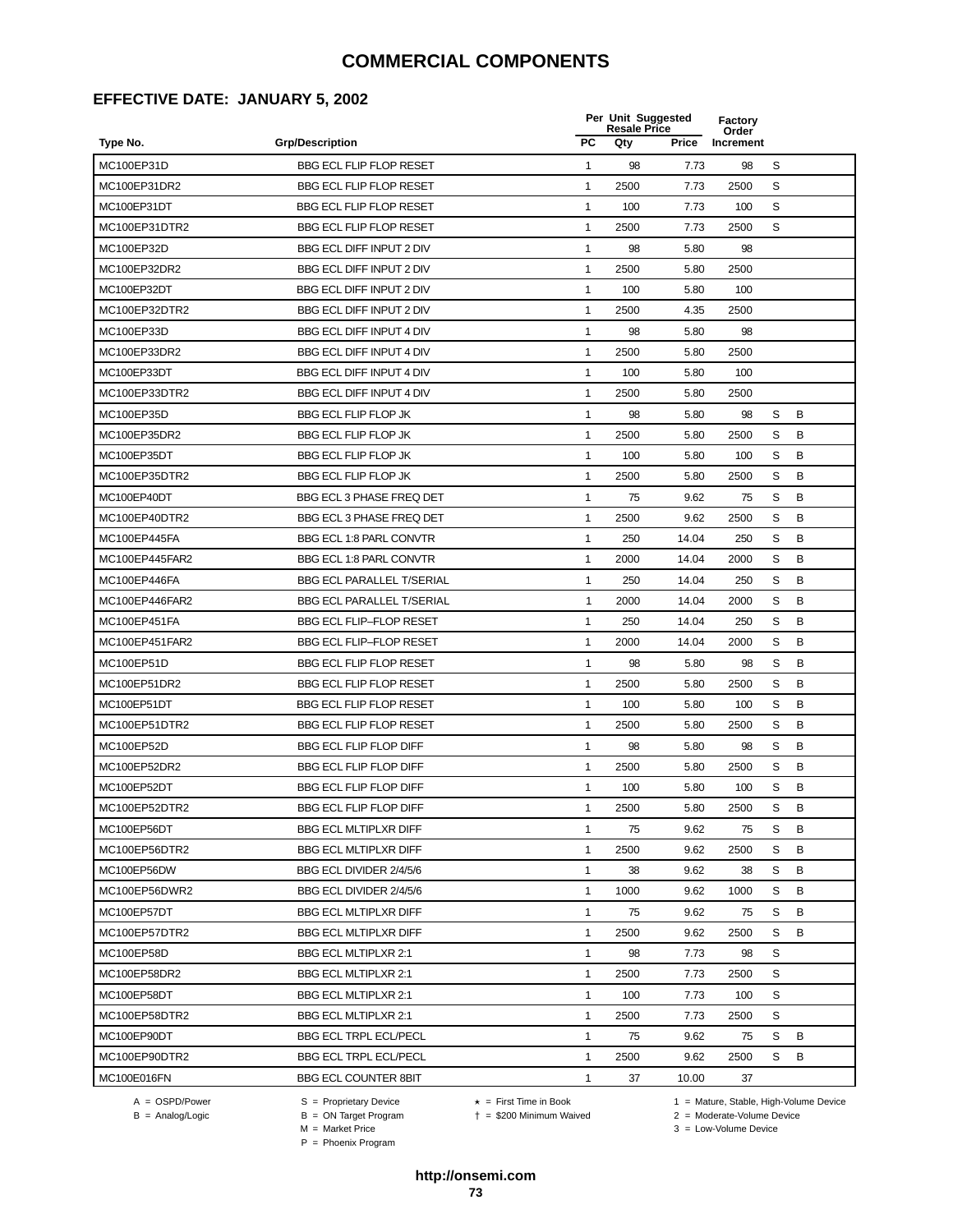### **EFFECTIVE DATE: JANUARY 5, 2002**

| PC<br><b>Grp/Description</b><br>Qty<br>Price<br>Increment<br>Type No.<br>MC100EP31D<br><b>BBG ECL FLIP FLOP RESET</b><br>98<br>98<br>S<br>$\mathbf{1}$<br>7.73<br><b>BBG ECL FLIP FLOP RESET</b><br>S<br>MC100EP31DR2<br>1<br>2500<br>7.73<br>2500<br>S<br>MC100EP31DT<br><b>BBG ECL FLIP FLOP RESET</b><br>1<br>100<br>7.73<br>100<br>S<br>MC100EP31DTR2<br><b>BBG ECL FLIP FLOP RESET</b><br>1<br>2500<br>7.73<br>2500<br>MC100EP32D<br><b>BBG ECL DIFF INPUT 2 DIV</b><br>1<br>98<br>5.80<br>98<br>MC100EP32DR2<br>BBG ECL DIFF INPUT 2 DIV<br>2500<br>1<br>2500<br>5.80<br>MC100EP32DT<br>BBG ECL DIFF INPUT 2 DIV<br>$\mathbf{1}$<br>100<br>5.80<br>100<br>$\mathbf{1}$<br>MC100EP32DTR2<br>BBG ECL DIFF INPUT 2 DIV<br>2500<br>4.35<br>2500<br>MC100EP33D<br>BBG ECL DIFF INPUT 4 DIV<br>1<br>98<br>5.80<br>98<br>MC100EP33DR2<br>2500<br>BBG ECL DIFF INPUT 4 DIV<br>$\mathbf{1}$<br>2500<br>5.80<br>MC100EP33DT<br>BBG ECL DIFF INPUT 4 DIV<br>$\mathbf{1}$<br>100<br>5.80<br>100<br>MC100EP33DTR2<br>BBG ECL DIFF INPUT 4 DIV<br>1<br>2500<br>5.80<br>2500<br>S<br>B<br>MC100EP35D<br><b>BBG ECL FLIP FLOP JK</b><br>1<br>98<br>5.80<br>98<br>S<br>MC100EP35DR2<br>B<br><b>BBG ECL FLIP FLOP JK</b><br>1<br>2500<br>5.80<br>2500<br>B<br>S<br>MC100EP35DT<br><b>BBG ECL FLIP FLOP JK</b><br>1<br>100<br>5.80<br>100<br>S<br>B<br>MC100EP35DTR2<br><b>BBG ECL FLIP FLOP JK</b><br>1<br>2500<br>5.80<br>2500<br>$\mathbf{1}$<br>S<br>B<br>MC100EP40DT<br>BBG ECL 3 PHASE FREQ DET<br>75<br>9.62<br>75<br>1<br>S<br>в<br>MC100EP40DTR2<br>BBG ECL 3 PHASE FREQ DET<br>2500<br>2500<br>9.62<br>MC100EP445FA<br>BBG ECL 1:8 PARL CONVTR<br>S<br>B<br>1<br>250<br>14.04<br>250<br>S<br>B<br>MC100EP445FAR2<br>BBG ECL 1:8 PARL CONVTR<br>1<br>2000<br>14.04<br>2000<br>S<br>В<br>MC100EP446FA<br><b>BBG ECL PARALLEL T/SERIAL</b><br>1<br>250<br>14.04<br>250<br>S<br>B<br>MC100EP446FAR2<br><b>BBG ECL PARALLEL T/SERIAL</b><br>1<br>2000<br>14.04<br>2000<br>S<br>B<br>MC100EP451FA<br><b>BBG ECL FLIP-FLOP RESET</b><br>$\mathbf{1}$<br>250<br>250<br>14.04<br>S<br>B<br>MC100EP451FAR2<br><b>BBG ECL FLIP-FLOP RESET</b><br>$\mathbf{1}$<br>2000<br>2000<br>14.04<br>1<br>98<br>S<br>B<br><b>MC100EP51D</b><br><b>BBG ECL FLIP FLOP RESET</b><br>5.80<br>98<br>$\mathbf{1}$<br>S<br>B<br>MC100EP51DR2<br><b>BBG ECL FLIP FLOP RESET</b><br>2500<br>2500<br>5.80<br>S<br>B<br>MC100EP51DT<br><b>BBG ECL FLIP FLOP RESET</b><br>1<br>100<br>100<br>5.80<br>MC100EP51DTR2<br>S<br>B<br><b>BBG ECL FLIP FLOP RESET</b><br>$\mathbf{1}$<br>2500<br>5.80<br>2500<br>S<br>B<br>MC100EP52D<br><b>BBG ECL FLIP FLOP DIFF</b><br>$\mathbf{1}$<br>98<br>5.80<br>98<br>S<br>В<br>MC100EP52DR2<br><b>BBG ECL FLIP FLOP DIFF</b><br>1<br>2500<br>5.80<br>2500<br>S<br>B<br>MC100EP52DT<br><b>BBG ECL FLIP FLOP DIFF</b><br>1<br>100<br>5.80<br>100<br>S<br>2500<br>2500<br>B<br>MC100EP52DTR2<br><b>BBG ECL FLIP FLOP DIFF</b><br>5.80<br>1<br>S<br>В<br>MC100EP56DT<br><b>BBG ECL MLTIPLXR DIFF</b><br>75<br>9.62<br>75<br>$\mathbf{1}$<br>В<br>1<br>2500<br>9.62<br>S<br>MC100EP56DTR2<br><b>BBG ECL MLTIPLXR DIFF</b><br>2500<br>В<br>$\mathbf{1}$<br>38<br>S<br>MC100EP56DW<br>BBG ECL DIVIDER 2/4/5/6<br>9.62<br>38<br>В<br>MC100EP56DWR2<br>1<br>1000<br>9.62<br>1000<br>S<br>BBG ECL DIVIDER 2/4/5/6<br>В<br>MC100EP57DT<br><b>BBG ECL MLTIPLXR DIFF</b><br>1<br>75<br>9.62<br>S<br>75<br>S<br>B<br><b>BBG ECL MLTIPLXR DIFF</b><br>1<br>2500<br>9.62<br>2500<br>MC100EP57DTR2<br>S<br>MC100EP58D<br>1<br>98<br>7.73<br>98<br><b>BBG ECL MLTIPLXR 2:1</b><br>1<br>2500<br>7.73<br>2500<br>S<br>MC100EP58DR2<br>BBG ECL MLTIPLXR 2:1<br>S<br>1<br>7.73<br>MC100EP58DT<br>BBG ECL MLTIPLXR 2:1<br>100<br>100<br>S<br>1<br>MC100EP58DTR2<br>BBG ECL MLTIPLXR 2:1<br>2500<br>7.73<br>2500<br>S<br>В<br>1<br>MC100EP90DT<br><b>BBG ECL TRPL ECL/PECL</b><br>75<br>9.62<br>75<br>1<br>2500<br>2500<br>S<br>В<br>MC100EP90DTR2<br><b>BBG ECL TRPL ECL/PECL</b><br>9.62<br>MC100E016FN<br>$\mathbf{1}$<br>37<br>BBG ECL COUNTER 8BIT<br>10.00<br>37 |  | Per Unit Suggested<br><b>Resale Price</b> | Factory<br>Order |  |
|---------------------------------------------------------------------------------------------------------------------------------------------------------------------------------------------------------------------------------------------------------------------------------------------------------------------------------------------------------------------------------------------------------------------------------------------------------------------------------------------------------------------------------------------------------------------------------------------------------------------------------------------------------------------------------------------------------------------------------------------------------------------------------------------------------------------------------------------------------------------------------------------------------------------------------------------------------------------------------------------------------------------------------------------------------------------------------------------------------------------------------------------------------------------------------------------------------------------------------------------------------------------------------------------------------------------------------------------------------------------------------------------------------------------------------------------------------------------------------------------------------------------------------------------------------------------------------------------------------------------------------------------------------------------------------------------------------------------------------------------------------------------------------------------------------------------------------------------------------------------------------------------------------------------------------------------------------------------------------------------------------------------------------------------------------------------------------------------------------------------------------------------------------------------------------------------------------------------------------------------------------------------------------------------------------------------------------------------------------------------------------------------------------------------------------------------------------------------------------------------------------------------------------------------------------------------------------------------------------------------------------------------------------------------------------------------------------------------------------------------------------------------------------------------------------------------------------------------------------------------------------------------------------------------------------------------------------------------------------------------------------------------------------------------------------------------------------------------------------------------------------------------------------------------------------------------------------------------------------------------------------------------------------------------------------------------------------------------------------------------------------------------------------------------------------------------------------------------------------------------------------------------------------------------------------------------------------------------------------------------------------------------------------------------------------------------------------------------------------------------------------------------------------------------------------------------------------------------------------------------------------------------------------------------------------------------------------------------------------------------------------------------------------------------|--|-------------------------------------------|------------------|--|
|                                                                                                                                                                                                                                                                                                                                                                                                                                                                                                                                                                                                                                                                                                                                                                                                                                                                                                                                                                                                                                                                                                                                                                                                                                                                                                                                                                                                                                                                                                                                                                                                                                                                                                                                                                                                                                                                                                                                                                                                                                                                                                                                                                                                                                                                                                                                                                                                                                                                                                                                                                                                                                                                                                                                                                                                                                                                                                                                                                                                                                                                                                                                                                                                                                                                                                                                                                                                                                                                                                                                                                                                                                                                                                                                                                                                                                                                                                                                                                                                                                             |  |                                           |                  |  |
|                                                                                                                                                                                                                                                                                                                                                                                                                                                                                                                                                                                                                                                                                                                                                                                                                                                                                                                                                                                                                                                                                                                                                                                                                                                                                                                                                                                                                                                                                                                                                                                                                                                                                                                                                                                                                                                                                                                                                                                                                                                                                                                                                                                                                                                                                                                                                                                                                                                                                                                                                                                                                                                                                                                                                                                                                                                                                                                                                                                                                                                                                                                                                                                                                                                                                                                                                                                                                                                                                                                                                                                                                                                                                                                                                                                                                                                                                                                                                                                                                                             |  |                                           |                  |  |
|                                                                                                                                                                                                                                                                                                                                                                                                                                                                                                                                                                                                                                                                                                                                                                                                                                                                                                                                                                                                                                                                                                                                                                                                                                                                                                                                                                                                                                                                                                                                                                                                                                                                                                                                                                                                                                                                                                                                                                                                                                                                                                                                                                                                                                                                                                                                                                                                                                                                                                                                                                                                                                                                                                                                                                                                                                                                                                                                                                                                                                                                                                                                                                                                                                                                                                                                                                                                                                                                                                                                                                                                                                                                                                                                                                                                                                                                                                                                                                                                                                             |  |                                           |                  |  |
|                                                                                                                                                                                                                                                                                                                                                                                                                                                                                                                                                                                                                                                                                                                                                                                                                                                                                                                                                                                                                                                                                                                                                                                                                                                                                                                                                                                                                                                                                                                                                                                                                                                                                                                                                                                                                                                                                                                                                                                                                                                                                                                                                                                                                                                                                                                                                                                                                                                                                                                                                                                                                                                                                                                                                                                                                                                                                                                                                                                                                                                                                                                                                                                                                                                                                                                                                                                                                                                                                                                                                                                                                                                                                                                                                                                                                                                                                                                                                                                                                                             |  |                                           |                  |  |
|                                                                                                                                                                                                                                                                                                                                                                                                                                                                                                                                                                                                                                                                                                                                                                                                                                                                                                                                                                                                                                                                                                                                                                                                                                                                                                                                                                                                                                                                                                                                                                                                                                                                                                                                                                                                                                                                                                                                                                                                                                                                                                                                                                                                                                                                                                                                                                                                                                                                                                                                                                                                                                                                                                                                                                                                                                                                                                                                                                                                                                                                                                                                                                                                                                                                                                                                                                                                                                                                                                                                                                                                                                                                                                                                                                                                                                                                                                                                                                                                                                             |  |                                           |                  |  |
|                                                                                                                                                                                                                                                                                                                                                                                                                                                                                                                                                                                                                                                                                                                                                                                                                                                                                                                                                                                                                                                                                                                                                                                                                                                                                                                                                                                                                                                                                                                                                                                                                                                                                                                                                                                                                                                                                                                                                                                                                                                                                                                                                                                                                                                                                                                                                                                                                                                                                                                                                                                                                                                                                                                                                                                                                                                                                                                                                                                                                                                                                                                                                                                                                                                                                                                                                                                                                                                                                                                                                                                                                                                                                                                                                                                                                                                                                                                                                                                                                                             |  |                                           |                  |  |
|                                                                                                                                                                                                                                                                                                                                                                                                                                                                                                                                                                                                                                                                                                                                                                                                                                                                                                                                                                                                                                                                                                                                                                                                                                                                                                                                                                                                                                                                                                                                                                                                                                                                                                                                                                                                                                                                                                                                                                                                                                                                                                                                                                                                                                                                                                                                                                                                                                                                                                                                                                                                                                                                                                                                                                                                                                                                                                                                                                                                                                                                                                                                                                                                                                                                                                                                                                                                                                                                                                                                                                                                                                                                                                                                                                                                                                                                                                                                                                                                                                             |  |                                           |                  |  |
|                                                                                                                                                                                                                                                                                                                                                                                                                                                                                                                                                                                                                                                                                                                                                                                                                                                                                                                                                                                                                                                                                                                                                                                                                                                                                                                                                                                                                                                                                                                                                                                                                                                                                                                                                                                                                                                                                                                                                                                                                                                                                                                                                                                                                                                                                                                                                                                                                                                                                                                                                                                                                                                                                                                                                                                                                                                                                                                                                                                                                                                                                                                                                                                                                                                                                                                                                                                                                                                                                                                                                                                                                                                                                                                                                                                                                                                                                                                                                                                                                                             |  |                                           |                  |  |
|                                                                                                                                                                                                                                                                                                                                                                                                                                                                                                                                                                                                                                                                                                                                                                                                                                                                                                                                                                                                                                                                                                                                                                                                                                                                                                                                                                                                                                                                                                                                                                                                                                                                                                                                                                                                                                                                                                                                                                                                                                                                                                                                                                                                                                                                                                                                                                                                                                                                                                                                                                                                                                                                                                                                                                                                                                                                                                                                                                                                                                                                                                                                                                                                                                                                                                                                                                                                                                                                                                                                                                                                                                                                                                                                                                                                                                                                                                                                                                                                                                             |  |                                           |                  |  |
|                                                                                                                                                                                                                                                                                                                                                                                                                                                                                                                                                                                                                                                                                                                                                                                                                                                                                                                                                                                                                                                                                                                                                                                                                                                                                                                                                                                                                                                                                                                                                                                                                                                                                                                                                                                                                                                                                                                                                                                                                                                                                                                                                                                                                                                                                                                                                                                                                                                                                                                                                                                                                                                                                                                                                                                                                                                                                                                                                                                                                                                                                                                                                                                                                                                                                                                                                                                                                                                                                                                                                                                                                                                                                                                                                                                                                                                                                                                                                                                                                                             |  |                                           |                  |  |
|                                                                                                                                                                                                                                                                                                                                                                                                                                                                                                                                                                                                                                                                                                                                                                                                                                                                                                                                                                                                                                                                                                                                                                                                                                                                                                                                                                                                                                                                                                                                                                                                                                                                                                                                                                                                                                                                                                                                                                                                                                                                                                                                                                                                                                                                                                                                                                                                                                                                                                                                                                                                                                                                                                                                                                                                                                                                                                                                                                                                                                                                                                                                                                                                                                                                                                                                                                                                                                                                                                                                                                                                                                                                                                                                                                                                                                                                                                                                                                                                                                             |  |                                           |                  |  |
|                                                                                                                                                                                                                                                                                                                                                                                                                                                                                                                                                                                                                                                                                                                                                                                                                                                                                                                                                                                                                                                                                                                                                                                                                                                                                                                                                                                                                                                                                                                                                                                                                                                                                                                                                                                                                                                                                                                                                                                                                                                                                                                                                                                                                                                                                                                                                                                                                                                                                                                                                                                                                                                                                                                                                                                                                                                                                                                                                                                                                                                                                                                                                                                                                                                                                                                                                                                                                                                                                                                                                                                                                                                                                                                                                                                                                                                                                                                                                                                                                                             |  |                                           |                  |  |
|                                                                                                                                                                                                                                                                                                                                                                                                                                                                                                                                                                                                                                                                                                                                                                                                                                                                                                                                                                                                                                                                                                                                                                                                                                                                                                                                                                                                                                                                                                                                                                                                                                                                                                                                                                                                                                                                                                                                                                                                                                                                                                                                                                                                                                                                                                                                                                                                                                                                                                                                                                                                                                                                                                                                                                                                                                                                                                                                                                                                                                                                                                                                                                                                                                                                                                                                                                                                                                                                                                                                                                                                                                                                                                                                                                                                                                                                                                                                                                                                                                             |  |                                           |                  |  |
|                                                                                                                                                                                                                                                                                                                                                                                                                                                                                                                                                                                                                                                                                                                                                                                                                                                                                                                                                                                                                                                                                                                                                                                                                                                                                                                                                                                                                                                                                                                                                                                                                                                                                                                                                                                                                                                                                                                                                                                                                                                                                                                                                                                                                                                                                                                                                                                                                                                                                                                                                                                                                                                                                                                                                                                                                                                                                                                                                                                                                                                                                                                                                                                                                                                                                                                                                                                                                                                                                                                                                                                                                                                                                                                                                                                                                                                                                                                                                                                                                                             |  |                                           |                  |  |
|                                                                                                                                                                                                                                                                                                                                                                                                                                                                                                                                                                                                                                                                                                                                                                                                                                                                                                                                                                                                                                                                                                                                                                                                                                                                                                                                                                                                                                                                                                                                                                                                                                                                                                                                                                                                                                                                                                                                                                                                                                                                                                                                                                                                                                                                                                                                                                                                                                                                                                                                                                                                                                                                                                                                                                                                                                                                                                                                                                                                                                                                                                                                                                                                                                                                                                                                                                                                                                                                                                                                                                                                                                                                                                                                                                                                                                                                                                                                                                                                                                             |  |                                           |                  |  |
|                                                                                                                                                                                                                                                                                                                                                                                                                                                                                                                                                                                                                                                                                                                                                                                                                                                                                                                                                                                                                                                                                                                                                                                                                                                                                                                                                                                                                                                                                                                                                                                                                                                                                                                                                                                                                                                                                                                                                                                                                                                                                                                                                                                                                                                                                                                                                                                                                                                                                                                                                                                                                                                                                                                                                                                                                                                                                                                                                                                                                                                                                                                                                                                                                                                                                                                                                                                                                                                                                                                                                                                                                                                                                                                                                                                                                                                                                                                                                                                                                                             |  |                                           |                  |  |
|                                                                                                                                                                                                                                                                                                                                                                                                                                                                                                                                                                                                                                                                                                                                                                                                                                                                                                                                                                                                                                                                                                                                                                                                                                                                                                                                                                                                                                                                                                                                                                                                                                                                                                                                                                                                                                                                                                                                                                                                                                                                                                                                                                                                                                                                                                                                                                                                                                                                                                                                                                                                                                                                                                                                                                                                                                                                                                                                                                                                                                                                                                                                                                                                                                                                                                                                                                                                                                                                                                                                                                                                                                                                                                                                                                                                                                                                                                                                                                                                                                             |  |                                           |                  |  |
|                                                                                                                                                                                                                                                                                                                                                                                                                                                                                                                                                                                                                                                                                                                                                                                                                                                                                                                                                                                                                                                                                                                                                                                                                                                                                                                                                                                                                                                                                                                                                                                                                                                                                                                                                                                                                                                                                                                                                                                                                                                                                                                                                                                                                                                                                                                                                                                                                                                                                                                                                                                                                                                                                                                                                                                                                                                                                                                                                                                                                                                                                                                                                                                                                                                                                                                                                                                                                                                                                                                                                                                                                                                                                                                                                                                                                                                                                                                                                                                                                                             |  |                                           |                  |  |
|                                                                                                                                                                                                                                                                                                                                                                                                                                                                                                                                                                                                                                                                                                                                                                                                                                                                                                                                                                                                                                                                                                                                                                                                                                                                                                                                                                                                                                                                                                                                                                                                                                                                                                                                                                                                                                                                                                                                                                                                                                                                                                                                                                                                                                                                                                                                                                                                                                                                                                                                                                                                                                                                                                                                                                                                                                                                                                                                                                                                                                                                                                                                                                                                                                                                                                                                                                                                                                                                                                                                                                                                                                                                                                                                                                                                                                                                                                                                                                                                                                             |  |                                           |                  |  |
|                                                                                                                                                                                                                                                                                                                                                                                                                                                                                                                                                                                                                                                                                                                                                                                                                                                                                                                                                                                                                                                                                                                                                                                                                                                                                                                                                                                                                                                                                                                                                                                                                                                                                                                                                                                                                                                                                                                                                                                                                                                                                                                                                                                                                                                                                                                                                                                                                                                                                                                                                                                                                                                                                                                                                                                                                                                                                                                                                                                                                                                                                                                                                                                                                                                                                                                                                                                                                                                                                                                                                                                                                                                                                                                                                                                                                                                                                                                                                                                                                                             |  |                                           |                  |  |
|                                                                                                                                                                                                                                                                                                                                                                                                                                                                                                                                                                                                                                                                                                                                                                                                                                                                                                                                                                                                                                                                                                                                                                                                                                                                                                                                                                                                                                                                                                                                                                                                                                                                                                                                                                                                                                                                                                                                                                                                                                                                                                                                                                                                                                                                                                                                                                                                                                                                                                                                                                                                                                                                                                                                                                                                                                                                                                                                                                                                                                                                                                                                                                                                                                                                                                                                                                                                                                                                                                                                                                                                                                                                                                                                                                                                                                                                                                                                                                                                                                             |  |                                           |                  |  |
|                                                                                                                                                                                                                                                                                                                                                                                                                                                                                                                                                                                                                                                                                                                                                                                                                                                                                                                                                                                                                                                                                                                                                                                                                                                                                                                                                                                                                                                                                                                                                                                                                                                                                                                                                                                                                                                                                                                                                                                                                                                                                                                                                                                                                                                                                                                                                                                                                                                                                                                                                                                                                                                                                                                                                                                                                                                                                                                                                                                                                                                                                                                                                                                                                                                                                                                                                                                                                                                                                                                                                                                                                                                                                                                                                                                                                                                                                                                                                                                                                                             |  |                                           |                  |  |
|                                                                                                                                                                                                                                                                                                                                                                                                                                                                                                                                                                                                                                                                                                                                                                                                                                                                                                                                                                                                                                                                                                                                                                                                                                                                                                                                                                                                                                                                                                                                                                                                                                                                                                                                                                                                                                                                                                                                                                                                                                                                                                                                                                                                                                                                                                                                                                                                                                                                                                                                                                                                                                                                                                                                                                                                                                                                                                                                                                                                                                                                                                                                                                                                                                                                                                                                                                                                                                                                                                                                                                                                                                                                                                                                                                                                                                                                                                                                                                                                                                             |  |                                           |                  |  |
|                                                                                                                                                                                                                                                                                                                                                                                                                                                                                                                                                                                                                                                                                                                                                                                                                                                                                                                                                                                                                                                                                                                                                                                                                                                                                                                                                                                                                                                                                                                                                                                                                                                                                                                                                                                                                                                                                                                                                                                                                                                                                                                                                                                                                                                                                                                                                                                                                                                                                                                                                                                                                                                                                                                                                                                                                                                                                                                                                                                                                                                                                                                                                                                                                                                                                                                                                                                                                                                                                                                                                                                                                                                                                                                                                                                                                                                                                                                                                                                                                                             |  |                                           |                  |  |
|                                                                                                                                                                                                                                                                                                                                                                                                                                                                                                                                                                                                                                                                                                                                                                                                                                                                                                                                                                                                                                                                                                                                                                                                                                                                                                                                                                                                                                                                                                                                                                                                                                                                                                                                                                                                                                                                                                                                                                                                                                                                                                                                                                                                                                                                                                                                                                                                                                                                                                                                                                                                                                                                                                                                                                                                                                                                                                                                                                                                                                                                                                                                                                                                                                                                                                                                                                                                                                                                                                                                                                                                                                                                                                                                                                                                                                                                                                                                                                                                                                             |  |                                           |                  |  |
|                                                                                                                                                                                                                                                                                                                                                                                                                                                                                                                                                                                                                                                                                                                                                                                                                                                                                                                                                                                                                                                                                                                                                                                                                                                                                                                                                                                                                                                                                                                                                                                                                                                                                                                                                                                                                                                                                                                                                                                                                                                                                                                                                                                                                                                                                                                                                                                                                                                                                                                                                                                                                                                                                                                                                                                                                                                                                                                                                                                                                                                                                                                                                                                                                                                                                                                                                                                                                                                                                                                                                                                                                                                                                                                                                                                                                                                                                                                                                                                                                                             |  |                                           |                  |  |
|                                                                                                                                                                                                                                                                                                                                                                                                                                                                                                                                                                                                                                                                                                                                                                                                                                                                                                                                                                                                                                                                                                                                                                                                                                                                                                                                                                                                                                                                                                                                                                                                                                                                                                                                                                                                                                                                                                                                                                                                                                                                                                                                                                                                                                                                                                                                                                                                                                                                                                                                                                                                                                                                                                                                                                                                                                                                                                                                                                                                                                                                                                                                                                                                                                                                                                                                                                                                                                                                                                                                                                                                                                                                                                                                                                                                                                                                                                                                                                                                                                             |  |                                           |                  |  |
|                                                                                                                                                                                                                                                                                                                                                                                                                                                                                                                                                                                                                                                                                                                                                                                                                                                                                                                                                                                                                                                                                                                                                                                                                                                                                                                                                                                                                                                                                                                                                                                                                                                                                                                                                                                                                                                                                                                                                                                                                                                                                                                                                                                                                                                                                                                                                                                                                                                                                                                                                                                                                                                                                                                                                                                                                                                                                                                                                                                                                                                                                                                                                                                                                                                                                                                                                                                                                                                                                                                                                                                                                                                                                                                                                                                                                                                                                                                                                                                                                                             |  |                                           |                  |  |
|                                                                                                                                                                                                                                                                                                                                                                                                                                                                                                                                                                                                                                                                                                                                                                                                                                                                                                                                                                                                                                                                                                                                                                                                                                                                                                                                                                                                                                                                                                                                                                                                                                                                                                                                                                                                                                                                                                                                                                                                                                                                                                                                                                                                                                                                                                                                                                                                                                                                                                                                                                                                                                                                                                                                                                                                                                                                                                                                                                                                                                                                                                                                                                                                                                                                                                                                                                                                                                                                                                                                                                                                                                                                                                                                                                                                                                                                                                                                                                                                                                             |  |                                           |                  |  |
|                                                                                                                                                                                                                                                                                                                                                                                                                                                                                                                                                                                                                                                                                                                                                                                                                                                                                                                                                                                                                                                                                                                                                                                                                                                                                                                                                                                                                                                                                                                                                                                                                                                                                                                                                                                                                                                                                                                                                                                                                                                                                                                                                                                                                                                                                                                                                                                                                                                                                                                                                                                                                                                                                                                                                                                                                                                                                                                                                                                                                                                                                                                                                                                                                                                                                                                                                                                                                                                                                                                                                                                                                                                                                                                                                                                                                                                                                                                                                                                                                                             |  |                                           |                  |  |
|                                                                                                                                                                                                                                                                                                                                                                                                                                                                                                                                                                                                                                                                                                                                                                                                                                                                                                                                                                                                                                                                                                                                                                                                                                                                                                                                                                                                                                                                                                                                                                                                                                                                                                                                                                                                                                                                                                                                                                                                                                                                                                                                                                                                                                                                                                                                                                                                                                                                                                                                                                                                                                                                                                                                                                                                                                                                                                                                                                                                                                                                                                                                                                                                                                                                                                                                                                                                                                                                                                                                                                                                                                                                                                                                                                                                                                                                                                                                                                                                                                             |  |                                           |                  |  |
|                                                                                                                                                                                                                                                                                                                                                                                                                                                                                                                                                                                                                                                                                                                                                                                                                                                                                                                                                                                                                                                                                                                                                                                                                                                                                                                                                                                                                                                                                                                                                                                                                                                                                                                                                                                                                                                                                                                                                                                                                                                                                                                                                                                                                                                                                                                                                                                                                                                                                                                                                                                                                                                                                                                                                                                                                                                                                                                                                                                                                                                                                                                                                                                                                                                                                                                                                                                                                                                                                                                                                                                                                                                                                                                                                                                                                                                                                                                                                                                                                                             |  |                                           |                  |  |
|                                                                                                                                                                                                                                                                                                                                                                                                                                                                                                                                                                                                                                                                                                                                                                                                                                                                                                                                                                                                                                                                                                                                                                                                                                                                                                                                                                                                                                                                                                                                                                                                                                                                                                                                                                                                                                                                                                                                                                                                                                                                                                                                                                                                                                                                                                                                                                                                                                                                                                                                                                                                                                                                                                                                                                                                                                                                                                                                                                                                                                                                                                                                                                                                                                                                                                                                                                                                                                                                                                                                                                                                                                                                                                                                                                                                                                                                                                                                                                                                                                             |  |                                           |                  |  |
|                                                                                                                                                                                                                                                                                                                                                                                                                                                                                                                                                                                                                                                                                                                                                                                                                                                                                                                                                                                                                                                                                                                                                                                                                                                                                                                                                                                                                                                                                                                                                                                                                                                                                                                                                                                                                                                                                                                                                                                                                                                                                                                                                                                                                                                                                                                                                                                                                                                                                                                                                                                                                                                                                                                                                                                                                                                                                                                                                                                                                                                                                                                                                                                                                                                                                                                                                                                                                                                                                                                                                                                                                                                                                                                                                                                                                                                                                                                                                                                                                                             |  |                                           |                  |  |
|                                                                                                                                                                                                                                                                                                                                                                                                                                                                                                                                                                                                                                                                                                                                                                                                                                                                                                                                                                                                                                                                                                                                                                                                                                                                                                                                                                                                                                                                                                                                                                                                                                                                                                                                                                                                                                                                                                                                                                                                                                                                                                                                                                                                                                                                                                                                                                                                                                                                                                                                                                                                                                                                                                                                                                                                                                                                                                                                                                                                                                                                                                                                                                                                                                                                                                                                                                                                                                                                                                                                                                                                                                                                                                                                                                                                                                                                                                                                                                                                                                             |  |                                           |                  |  |
|                                                                                                                                                                                                                                                                                                                                                                                                                                                                                                                                                                                                                                                                                                                                                                                                                                                                                                                                                                                                                                                                                                                                                                                                                                                                                                                                                                                                                                                                                                                                                                                                                                                                                                                                                                                                                                                                                                                                                                                                                                                                                                                                                                                                                                                                                                                                                                                                                                                                                                                                                                                                                                                                                                                                                                                                                                                                                                                                                                                                                                                                                                                                                                                                                                                                                                                                                                                                                                                                                                                                                                                                                                                                                                                                                                                                                                                                                                                                                                                                                                             |  |                                           |                  |  |
|                                                                                                                                                                                                                                                                                                                                                                                                                                                                                                                                                                                                                                                                                                                                                                                                                                                                                                                                                                                                                                                                                                                                                                                                                                                                                                                                                                                                                                                                                                                                                                                                                                                                                                                                                                                                                                                                                                                                                                                                                                                                                                                                                                                                                                                                                                                                                                                                                                                                                                                                                                                                                                                                                                                                                                                                                                                                                                                                                                                                                                                                                                                                                                                                                                                                                                                                                                                                                                                                                                                                                                                                                                                                                                                                                                                                                                                                                                                                                                                                                                             |  |                                           |                  |  |
|                                                                                                                                                                                                                                                                                                                                                                                                                                                                                                                                                                                                                                                                                                                                                                                                                                                                                                                                                                                                                                                                                                                                                                                                                                                                                                                                                                                                                                                                                                                                                                                                                                                                                                                                                                                                                                                                                                                                                                                                                                                                                                                                                                                                                                                                                                                                                                                                                                                                                                                                                                                                                                                                                                                                                                                                                                                                                                                                                                                                                                                                                                                                                                                                                                                                                                                                                                                                                                                                                                                                                                                                                                                                                                                                                                                                                                                                                                                                                                                                                                             |  |                                           |                  |  |
|                                                                                                                                                                                                                                                                                                                                                                                                                                                                                                                                                                                                                                                                                                                                                                                                                                                                                                                                                                                                                                                                                                                                                                                                                                                                                                                                                                                                                                                                                                                                                                                                                                                                                                                                                                                                                                                                                                                                                                                                                                                                                                                                                                                                                                                                                                                                                                                                                                                                                                                                                                                                                                                                                                                                                                                                                                                                                                                                                                                                                                                                                                                                                                                                                                                                                                                                                                                                                                                                                                                                                                                                                                                                                                                                                                                                                                                                                                                                                                                                                                             |  |                                           |                  |  |
|                                                                                                                                                                                                                                                                                                                                                                                                                                                                                                                                                                                                                                                                                                                                                                                                                                                                                                                                                                                                                                                                                                                                                                                                                                                                                                                                                                                                                                                                                                                                                                                                                                                                                                                                                                                                                                                                                                                                                                                                                                                                                                                                                                                                                                                                                                                                                                                                                                                                                                                                                                                                                                                                                                                                                                                                                                                                                                                                                                                                                                                                                                                                                                                                                                                                                                                                                                                                                                                                                                                                                                                                                                                                                                                                                                                                                                                                                                                                                                                                                                             |  |                                           |                  |  |
|                                                                                                                                                                                                                                                                                                                                                                                                                                                                                                                                                                                                                                                                                                                                                                                                                                                                                                                                                                                                                                                                                                                                                                                                                                                                                                                                                                                                                                                                                                                                                                                                                                                                                                                                                                                                                                                                                                                                                                                                                                                                                                                                                                                                                                                                                                                                                                                                                                                                                                                                                                                                                                                                                                                                                                                                                                                                                                                                                                                                                                                                                                                                                                                                                                                                                                                                                                                                                                                                                                                                                                                                                                                                                                                                                                                                                                                                                                                                                                                                                                             |  |                                           |                  |  |
|                                                                                                                                                                                                                                                                                                                                                                                                                                                                                                                                                                                                                                                                                                                                                                                                                                                                                                                                                                                                                                                                                                                                                                                                                                                                                                                                                                                                                                                                                                                                                                                                                                                                                                                                                                                                                                                                                                                                                                                                                                                                                                                                                                                                                                                                                                                                                                                                                                                                                                                                                                                                                                                                                                                                                                                                                                                                                                                                                                                                                                                                                                                                                                                                                                                                                                                                                                                                                                                                                                                                                                                                                                                                                                                                                                                                                                                                                                                                                                                                                                             |  |                                           |                  |  |
|                                                                                                                                                                                                                                                                                                                                                                                                                                                                                                                                                                                                                                                                                                                                                                                                                                                                                                                                                                                                                                                                                                                                                                                                                                                                                                                                                                                                                                                                                                                                                                                                                                                                                                                                                                                                                                                                                                                                                                                                                                                                                                                                                                                                                                                                                                                                                                                                                                                                                                                                                                                                                                                                                                                                                                                                                                                                                                                                                                                                                                                                                                                                                                                                                                                                                                                                                                                                                                                                                                                                                                                                                                                                                                                                                                                                                                                                                                                                                                                                                                             |  |                                           |                  |  |
|                                                                                                                                                                                                                                                                                                                                                                                                                                                                                                                                                                                                                                                                                                                                                                                                                                                                                                                                                                                                                                                                                                                                                                                                                                                                                                                                                                                                                                                                                                                                                                                                                                                                                                                                                                                                                                                                                                                                                                                                                                                                                                                                                                                                                                                                                                                                                                                                                                                                                                                                                                                                                                                                                                                                                                                                                                                                                                                                                                                                                                                                                                                                                                                                                                                                                                                                                                                                                                                                                                                                                                                                                                                                                                                                                                                                                                                                                                                                                                                                                                             |  |                                           |                  |  |
|                                                                                                                                                                                                                                                                                                                                                                                                                                                                                                                                                                                                                                                                                                                                                                                                                                                                                                                                                                                                                                                                                                                                                                                                                                                                                                                                                                                                                                                                                                                                                                                                                                                                                                                                                                                                                                                                                                                                                                                                                                                                                                                                                                                                                                                                                                                                                                                                                                                                                                                                                                                                                                                                                                                                                                                                                                                                                                                                                                                                                                                                                                                                                                                                                                                                                                                                                                                                                                                                                                                                                                                                                                                                                                                                                                                                                                                                                                                                                                                                                                             |  |                                           |                  |  |
|                                                                                                                                                                                                                                                                                                                                                                                                                                                                                                                                                                                                                                                                                                                                                                                                                                                                                                                                                                                                                                                                                                                                                                                                                                                                                                                                                                                                                                                                                                                                                                                                                                                                                                                                                                                                                                                                                                                                                                                                                                                                                                                                                                                                                                                                                                                                                                                                                                                                                                                                                                                                                                                                                                                                                                                                                                                                                                                                                                                                                                                                                                                                                                                                                                                                                                                                                                                                                                                                                                                                                                                                                                                                                                                                                                                                                                                                                                                                                                                                                                             |  |                                           |                  |  |

 $B =$  Analog/Logic  $B =$  ON Target Program  $M =$  Market Price

= \$200 Minimum Waived 2 = Moderate-Volume Device

A = OSPD/Power S = Proprietary Device  $\star$  = First Time in Book 1 = Mature, Stable, High-Volume Device

 $3 =$  Low-Volume Device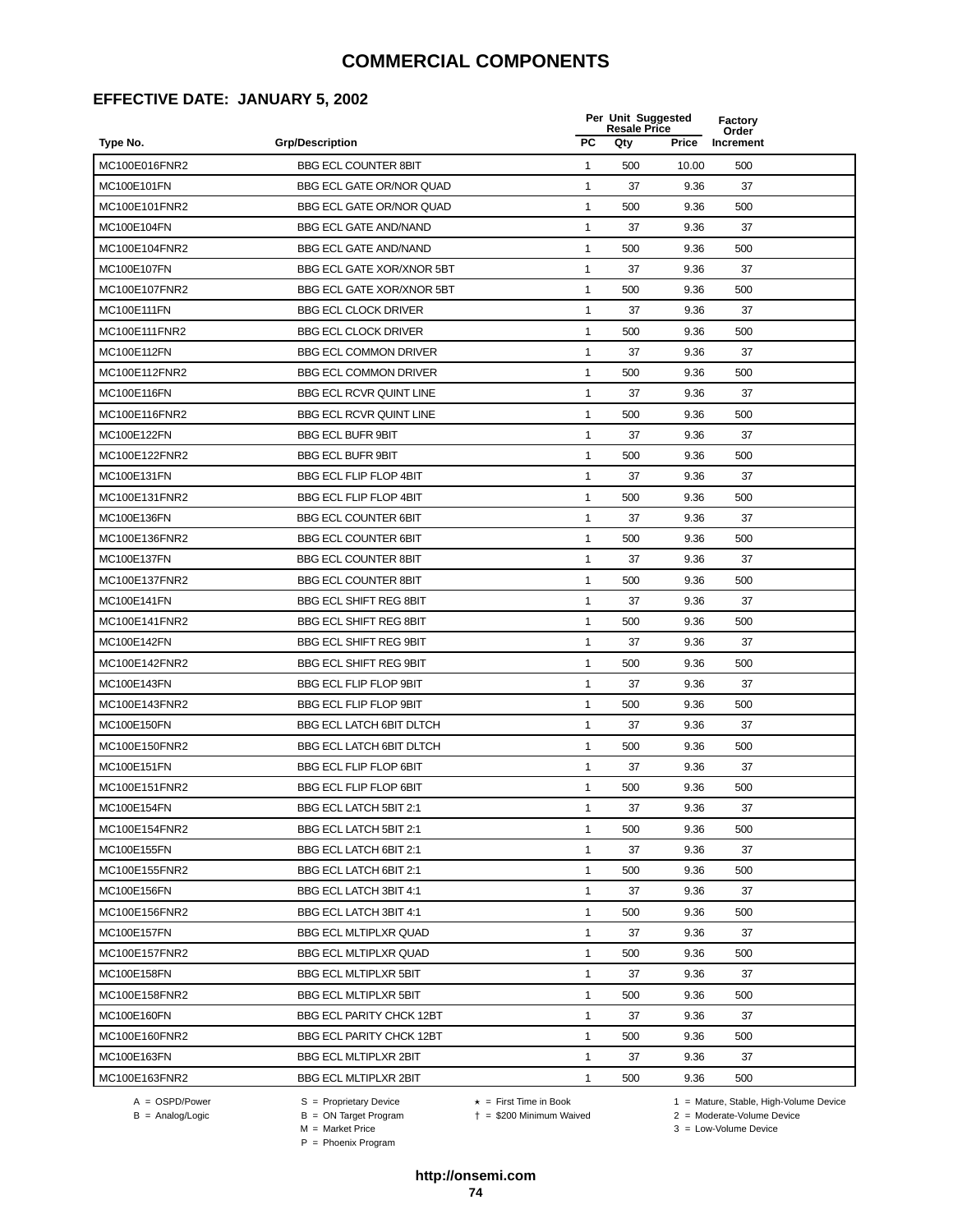### **EFFECTIVE DATE: JANUARY 5, 2002**

|               |                                 |              | Per Unit Suggested<br><b>Resale Price</b> |       | Factory<br>Order |
|---------------|---------------------------------|--------------|-------------------------------------------|-------|------------------|
| Type No.      | <b>Grp/Description</b>          | <b>PC</b>    | Qty                                       | Price | Increment        |
| MC100E016FNR2 | <b>BBG ECL COUNTER 8BIT</b>     | 1            | 500                                       | 10.00 | 500              |
| MC100E101FN   | BBG ECL GATE OR/NOR QUAD        | 1            | 37                                        | 9.36  | 37               |
| MC100E101FNR2 | <b>BBG ECL GATE OR/NOR QUAD</b> | 1            | 500                                       | 9.36  | 500              |
| MC100E104FN   | <b>BBG ECL GATE AND/NAND</b>    | 1            | 37                                        | 9.36  | 37               |
| MC100E104FNR2 | <b>BBG ECL GATE AND/NAND</b>    | 1            | 500                                       | 9.36  | 500              |
| MC100E107FN   | BBG ECL GATE XOR/XNOR 5BT       | $\mathbf{1}$ | 37                                        | 9.36  | 37               |
| MC100E107FNR2 | BBG ECL GATE XOR/XNOR 5BT       | 1            | 500                                       | 9.36  | 500              |
| MC100E111FN   | <b>BBG ECL CLOCK DRIVER</b>     | $\mathbf{1}$ | 37                                        | 9.36  | 37               |
| MC100E111FNR2 | <b>BBG ECL CLOCK DRIVER</b>     | $\mathbf{1}$ | 500                                       | 9.36  | 500              |
| MC100E112FN   | <b>BBG ECL COMMON DRIVER</b>    | $\mathbf{1}$ | 37                                        | 9.36  | 37               |
| MC100E112FNR2 | <b>BBG ECL COMMON DRIVER</b>    | 1            | 500                                       | 9.36  | 500              |
| MC100E116FN   | BBG ECL RCVR QUINT LINE         | 1            | 37                                        | 9.36  | 37               |
| MC100E116FNR2 | <b>BBG ECL RCVR QUINT LINE</b>  | 1            | 500                                       | 9.36  | 500              |
| MC100E122FN   | <b>BBG ECL BUFR 9BIT</b>        | 1            | 37                                        | 9.36  | 37               |
| MC100E122FNR2 | <b>BBG ECL BUFR 9BIT</b>        | 1            | 500                                       | 9.36  | 500              |
| MC100E131FN   | <b>BBG ECL FLIP FLOP 4BIT</b>   | 1            | 37                                        | 9.36  | 37               |
| MC100E131FNR2 | <b>BBG ECL FLIP FLOP 4BIT</b>   | $\mathbf{1}$ | 500                                       | 9.36  | 500              |
| MC100E136FN   | <b>BBG ECL COUNTER 6BIT</b>     | 1            | 37                                        | 9.36  | 37               |
| MC100E136FNR2 | <b>BBG ECL COUNTER 6BIT</b>     | 1            | 500                                       | 9.36  | 500              |
| MC100E137FN   | <b>BBG ECL COUNTER 8BIT</b>     | 1            | 37                                        | 9.36  | 37               |
| MC100E137FNR2 | <b>BBG ECL COUNTER 8BIT</b>     | 1            | 500                                       | 9.36  | 500              |
| MC100E141FN   | <b>BBG ECL SHIFT REG 8BIT</b>   | 1            | 37                                        | 9.36  | 37               |
| MC100E141FNR2 | <b>BBG ECL SHIFT REG 8BIT</b>   | 1            | 500                                       | 9.36  | 500              |
| MC100E142FN   | <b>BBG ECL SHIFT REG 9BIT</b>   | $\mathbf{1}$ | 37                                        | 9.36  | 37               |
| MC100E142FNR2 | <b>BBG ECL SHIFT REG 9BIT</b>   | 1            | 500                                       | 9.36  | 500              |
| MC100E143FN   | <b>BBG ECL FLIP FLOP 9BIT</b>   | $\mathbf{1}$ | 37                                        | 9.36  | 37               |
| MC100E143FNR2 | <b>BBG ECL FLIP FLOP 9BIT</b>   | 1            | 500                                       | 9.36  | 500              |
| MC100E150FN   | <b>BBG ECL LATCH 6BIT DLTCH</b> | $\mathbf{1}$ | 37                                        | 9.36  | 37               |
| MC100E150FNR2 | <b>BBG ECL LATCH 6BIT DLTCH</b> | 1            | 500                                       | 9.36  | 500              |
| MC100E151FN   | <b>BBG ECL FLIP FLOP 6BIT</b>   | 1            | 37                                        | 9.36  | 37               |
| MC100E151FNR2 | <b>BBG ECL FLIP FLOP 6BIT</b>   | 1            | 500                                       | 9.36  | 500              |
| MC100E154FN   | BBG ECL LATCH 5BIT 2:1          | 1            | 37                                        | 9.36  | 37               |
| MC100E154FNR2 | BBG ECL LATCH 5BIT 2:1          | $\mathbf{1}$ | 500                                       | 9.36  | 500              |
| MC100E155FN   | BBG ECL LATCH 6BIT 2:1          | 1            | 37                                        | 9.36  | 37               |
| MC100E155FNR2 | BBG ECL LATCH 6BIT 2:1          | $\mathbf{1}$ | 500                                       | 9.36  | 500              |
| MC100E156FN   | BBG ECL LATCH 3BIT 4:1          | 1            | 37                                        | 9.36  | 37               |
| MC100E156FNR2 | BBG ECL LATCH 3BIT 4:1          | 1            | 500                                       | 9.36  | 500              |
| MC100E157FN   | <b>BBG ECL MLTIPLXR QUAD</b>    | 1            | 37                                        | 9.36  | 37               |
| MC100E157FNR2 | <b>BBG ECL MLTIPLXR QUAD</b>    | 1            | 500                                       | 9.36  | 500              |
| MC100E158FN   | <b>BBG ECL MLTIPLXR 5BIT</b>    | 1            | 37                                        | 9.36  | 37               |
| MC100E158FNR2 | <b>BBG ECL MLTIPLXR 5BIT</b>    | $\mathbf{1}$ | 500                                       | 9.36  | 500              |
| MC100E160FN   | <b>BBG ECL PARITY CHCK 12BT</b> | 1            | 37                                        | 9.36  | 37               |
| MC100E160FNR2 | <b>BBG ECL PARITY CHCK 12BT</b> | 1            | 500                                       | 9.36  | 500              |
| MC100E163FN   | <b>BBG ECL MLTIPLXR 2BIT</b>    | $\mathbf{1}$ | 37                                        | 9.36  | 37               |
| MC100E163FNR2 | <b>BBG ECL MLTIPLXR 2BIT</b>    | 1            | 500                                       | 9.36  | 500              |
|               |                                 |              |                                           |       |                  |

 $B =$  Analog/Logic  $B =$  ON Target Program  $M =$  Market Price

= \$200 Minimum Waived 2 = Moderate-Volume Device

A = OSPD/Power S = Proprietary Device  $\star$  = First Time in Book 1 = Mature, Stable, High-Volume Device

 $3 =$  Low-Volume Device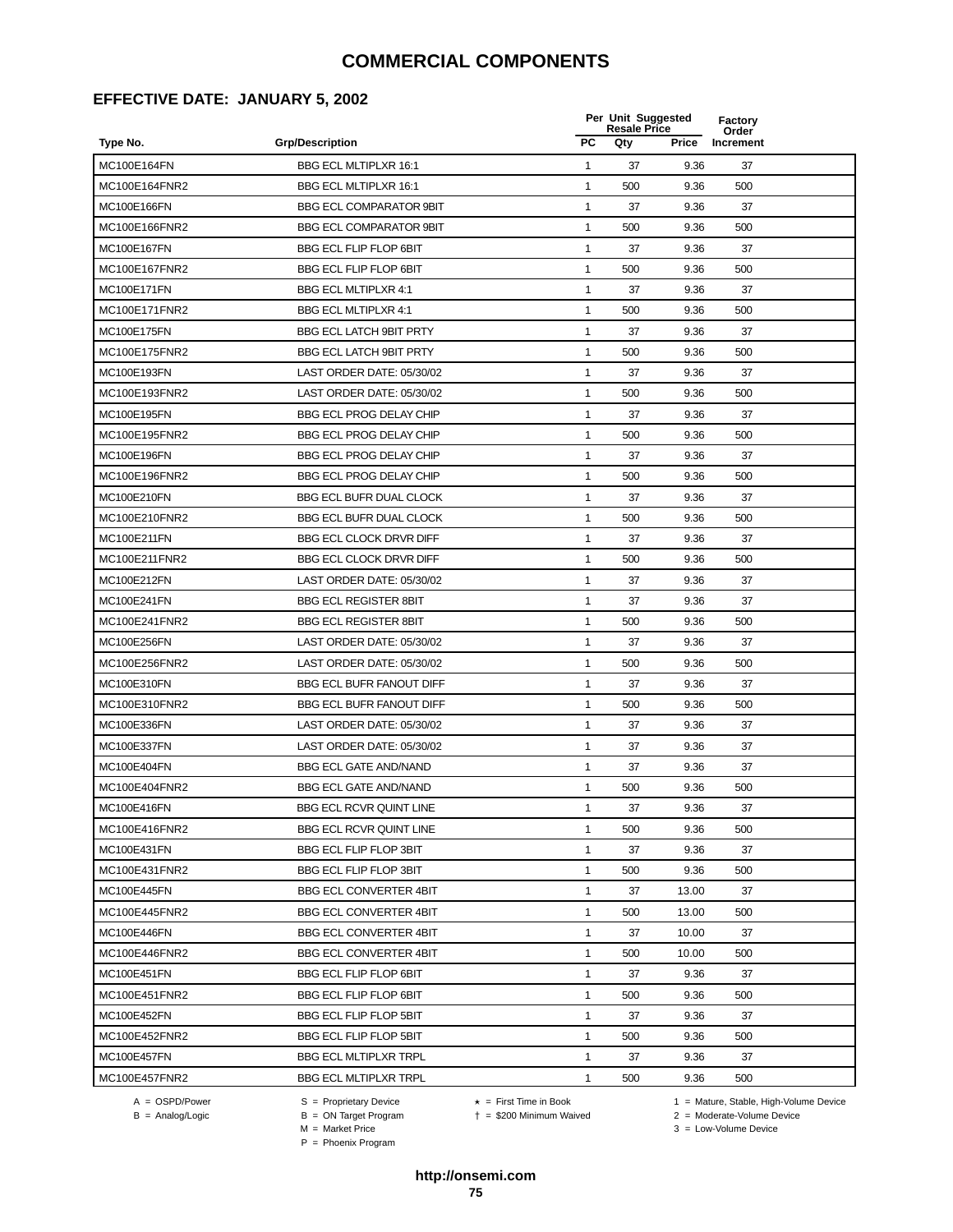## **EFFECTIVE DATE: JANUARY 5, 2002**

| <b>PC</b><br><b>Grp/Description</b><br>Qty<br>Price<br>Increment<br>Type No.<br>MC100E164FN<br><b>BBG ECL MLTIPLXR 16:1</b><br>1<br>37<br>9.36<br>37<br>MC100E164FNR2<br><b>BBG ECL MLTIPLXR 16:1</b><br>1<br>500<br>9.36<br>500<br>MC100E166FN<br><b>BBG ECL COMPARATOR 9BIT</b><br>1<br>37<br>9.36<br>37<br>MC100E166FNR2<br><b>BBG ECL COMPARATOR 9BIT</b><br>1<br>500<br>9.36<br>500<br>MC100E167FN<br><b>BBG ECL FLIP FLOP 6BIT</b><br>37<br>9.36<br>37<br>$\mathbf{1}$<br><b>BBG ECL FLIP FLOP 6BIT</b><br>MC100E167FNR2<br>$\mathbf{1}$<br>500<br>9.36<br>500<br>1<br>37<br>MC100E171FN<br><b>BBG ECL MLTIPLXR 4:1</b><br>9.36<br>37<br>MC100E171FNR2<br><b>BBG ECL MLTIPLXR 4:1</b><br>$\mathbf{1}$<br>500<br>9.36<br>500<br>MC100E175FN<br><b>BBG ECL LATCH 9BIT PRTY</b><br>1<br>37<br>9.36<br>37<br>MC100E175FNR2<br><b>BBG ECL LATCH 9BIT PRTY</b><br>1<br>500<br>9.36<br>500<br>MC100E193FN<br>LAST ORDER DATE: 05/30/02<br>$\mathbf{1}$<br>37<br>9.36<br>37<br>MC100E193FNR2<br>LAST ORDER DATE: 05/30/02<br>1<br>500<br>9.36<br>500<br>MC100E195FN<br><b>BBG ECL PROG DELAY CHIP</b><br>1<br>37<br>9.36<br>37<br>MC100E195FNR2<br><b>BBG ECL PROG DELAY CHIP</b><br>1<br>500<br>9.36<br>500<br>MC100E196FN<br><b>BBG ECL PROG DELAY CHIP</b><br>1<br>37<br>9.36<br>37<br>MC100E196FNR2<br><b>BBG ECL PROG DELAY CHIP</b><br>1<br>500<br>9.36<br>500<br>MC100E210FN<br><b>BBG ECL BUFR DUAL CLOCK</b><br>$\mathbf{1}$<br>37<br>9.36<br>37<br>MC100E210FNR2<br><b>BBG ECL BUFR DUAL CLOCK</b><br>1<br>500<br>9.36<br>500<br>MC100E211FN<br><b>BBG ECL CLOCK DRVR DIFF</b><br>1<br>37<br>9.36<br>37<br>MC100E211FNR2<br><b>BBG ECL CLOCK DRVR DIFF</b><br>1<br>500<br>9.36<br>500<br>MC100E212FN<br>LAST ORDER DATE: 05/30/02<br>1<br>37<br>9.36<br>37<br>MC100E241FN<br><b>BBG ECL REGISTER 8BIT</b><br>1<br>37<br>9.36<br>37<br>MC100E241FNR2<br><b>BBG ECL REGISTER 8BIT</b><br>500<br>9.36<br>500<br>1<br>MC100E256FN<br>LAST ORDER DATE: 05/30/02<br>$\mathbf{1}$<br>37<br>9.36<br>37<br>500<br>MC100E256FNR2<br>LAST ORDER DATE: 05/30/02<br>1<br>9.36<br>500<br>MC100E310FN<br><b>BBG ECL BUFR FANOUT DIFF</b><br>$\mathbf{1}$<br>37<br>9.36<br>37<br>$\mathbf{1}$<br>MC100E310FNR2<br><b>BBG ECL BUFR FANOUT DIFF</b><br>500<br>9.36<br>500<br>MC100E336FN<br>LAST ORDER DATE: 05/30/02<br>$\mathbf{1}$<br>37<br>9.36<br>37<br>MC100E337FN<br>LAST ORDER DATE: 05/30/02<br>$\mathbf{1}$<br>37<br>9.36<br>37<br>37<br>MC100E404FN<br><b>BBG ECL GATE AND/NAND</b><br>1<br>9.36<br>37<br>MC100E404FNR2<br><b>BBG ECL GATE AND/NAND</b><br>1<br>500<br>9.36<br>500<br>37<br>MC100E416FN<br>9.36<br>37<br><b>BBG ECL RCVR QUINT LINE</b><br>1<br>MC100E416FNR2<br>BBG ECL RCVR QUINT LINE<br>9.36<br>500<br>1<br>500<br>BBG ECL FLIP FLOP 3BIT<br>37<br>9.36<br>37<br>MC100E431FN<br>1<br>$\mathbf{1}$<br>500<br>MC100E431FNR2<br><b>BBG ECL FLIP FLOP 3BIT</b><br>9.36<br>500<br>1<br>37<br>MC100E445FN<br><b>BBG ECL CONVERTER 4BIT</b><br>13.00<br>37<br>MC100E445FNR2<br><b>BBG ECL CONVERTER 4BIT</b><br>1<br>500<br>13.00<br>500<br>1<br>37<br>10.00<br>37<br>MC100E446FN<br><b>BBG ECL CONVERTER 4BIT</b><br>MC100E446FNR2<br>1<br>500<br>10.00<br>500<br><b>BBG ECL CONVERTER 4BIT</b><br>BBG ECL FLIP FLOP 6BIT<br>1<br>37<br>37<br>MC100E451FN<br>9.36<br>MC100E451FNR2<br>BBG ECL FLIP FLOP 6BIT<br>$\mathbf{1}$<br>500<br>9.36<br>500<br>37<br>MC100E452FN<br><b>BBG ECL FLIP FLOP 5BIT</b><br>$\mathbf{1}$<br>9.36<br>37<br>1<br>500<br>MC100E452FNR2<br><b>BBG ECL FLIP FLOP 5BIT</b><br>9.36<br>500<br>$\mathbf{1}$<br>37<br>MC100E457FN<br><b>BBG ECL MLTIPLXR TRPL</b><br>9.36<br>37<br>MC100E457FNR2<br><b>BBG ECL MLTIPLXR TRPL</b><br>500<br>1<br>9.36<br>500 |  | Per Unit Suggested<br><b>Resale Price</b> | Factory<br>Order |
|---------------------------------------------------------------------------------------------------------------------------------------------------------------------------------------------------------------------------------------------------------------------------------------------------------------------------------------------------------------------------------------------------------------------------------------------------------------------------------------------------------------------------------------------------------------------------------------------------------------------------------------------------------------------------------------------------------------------------------------------------------------------------------------------------------------------------------------------------------------------------------------------------------------------------------------------------------------------------------------------------------------------------------------------------------------------------------------------------------------------------------------------------------------------------------------------------------------------------------------------------------------------------------------------------------------------------------------------------------------------------------------------------------------------------------------------------------------------------------------------------------------------------------------------------------------------------------------------------------------------------------------------------------------------------------------------------------------------------------------------------------------------------------------------------------------------------------------------------------------------------------------------------------------------------------------------------------------------------------------------------------------------------------------------------------------------------------------------------------------------------------------------------------------------------------------------------------------------------------------------------------------------------------------------------------------------------------------------------------------------------------------------------------------------------------------------------------------------------------------------------------------------------------------------------------------------------------------------------------------------------------------------------------------------------------------------------------------------------------------------------------------------------------------------------------------------------------------------------------------------------------------------------------------------------------------------------------------------------------------------------------------------------------------------------------------------------------------------------------------------------------------------------------------------------------------------------------------------------------------------------------------------------------------------------------------------------------------------------------------------------------------------------------------------------------------------------------------------------------------------------------------------------------------------------------------------------------------------------------------------------------------------------------------------------------------------------|--|-------------------------------------------|------------------|
|                                                                                                                                                                                                                                                                                                                                                                                                                                                                                                                                                                                                                                                                                                                                                                                                                                                                                                                                                                                                                                                                                                                                                                                                                                                                                                                                                                                                                                                                                                                                                                                                                                                                                                                                                                                                                                                                                                                                                                                                                                                                                                                                                                                                                                                                                                                                                                                                                                                                                                                                                                                                                                                                                                                                                                                                                                                                                                                                                                                                                                                                                                                                                                                                                                                                                                                                                                                                                                                                                                                                                                                                                                                                                                   |  |                                           |                  |
|                                                                                                                                                                                                                                                                                                                                                                                                                                                                                                                                                                                                                                                                                                                                                                                                                                                                                                                                                                                                                                                                                                                                                                                                                                                                                                                                                                                                                                                                                                                                                                                                                                                                                                                                                                                                                                                                                                                                                                                                                                                                                                                                                                                                                                                                                                                                                                                                                                                                                                                                                                                                                                                                                                                                                                                                                                                                                                                                                                                                                                                                                                                                                                                                                                                                                                                                                                                                                                                                                                                                                                                                                                                                                                   |  |                                           |                  |
|                                                                                                                                                                                                                                                                                                                                                                                                                                                                                                                                                                                                                                                                                                                                                                                                                                                                                                                                                                                                                                                                                                                                                                                                                                                                                                                                                                                                                                                                                                                                                                                                                                                                                                                                                                                                                                                                                                                                                                                                                                                                                                                                                                                                                                                                                                                                                                                                                                                                                                                                                                                                                                                                                                                                                                                                                                                                                                                                                                                                                                                                                                                                                                                                                                                                                                                                                                                                                                                                                                                                                                                                                                                                                                   |  |                                           |                  |
|                                                                                                                                                                                                                                                                                                                                                                                                                                                                                                                                                                                                                                                                                                                                                                                                                                                                                                                                                                                                                                                                                                                                                                                                                                                                                                                                                                                                                                                                                                                                                                                                                                                                                                                                                                                                                                                                                                                                                                                                                                                                                                                                                                                                                                                                                                                                                                                                                                                                                                                                                                                                                                                                                                                                                                                                                                                                                                                                                                                                                                                                                                                                                                                                                                                                                                                                                                                                                                                                                                                                                                                                                                                                                                   |  |                                           |                  |
|                                                                                                                                                                                                                                                                                                                                                                                                                                                                                                                                                                                                                                                                                                                                                                                                                                                                                                                                                                                                                                                                                                                                                                                                                                                                                                                                                                                                                                                                                                                                                                                                                                                                                                                                                                                                                                                                                                                                                                                                                                                                                                                                                                                                                                                                                                                                                                                                                                                                                                                                                                                                                                                                                                                                                                                                                                                                                                                                                                                                                                                                                                                                                                                                                                                                                                                                                                                                                                                                                                                                                                                                                                                                                                   |  |                                           |                  |
|                                                                                                                                                                                                                                                                                                                                                                                                                                                                                                                                                                                                                                                                                                                                                                                                                                                                                                                                                                                                                                                                                                                                                                                                                                                                                                                                                                                                                                                                                                                                                                                                                                                                                                                                                                                                                                                                                                                                                                                                                                                                                                                                                                                                                                                                                                                                                                                                                                                                                                                                                                                                                                                                                                                                                                                                                                                                                                                                                                                                                                                                                                                                                                                                                                                                                                                                                                                                                                                                                                                                                                                                                                                                                                   |  |                                           |                  |
|                                                                                                                                                                                                                                                                                                                                                                                                                                                                                                                                                                                                                                                                                                                                                                                                                                                                                                                                                                                                                                                                                                                                                                                                                                                                                                                                                                                                                                                                                                                                                                                                                                                                                                                                                                                                                                                                                                                                                                                                                                                                                                                                                                                                                                                                                                                                                                                                                                                                                                                                                                                                                                                                                                                                                                                                                                                                                                                                                                                                                                                                                                                                                                                                                                                                                                                                                                                                                                                                                                                                                                                                                                                                                                   |  |                                           |                  |
|                                                                                                                                                                                                                                                                                                                                                                                                                                                                                                                                                                                                                                                                                                                                                                                                                                                                                                                                                                                                                                                                                                                                                                                                                                                                                                                                                                                                                                                                                                                                                                                                                                                                                                                                                                                                                                                                                                                                                                                                                                                                                                                                                                                                                                                                                                                                                                                                                                                                                                                                                                                                                                                                                                                                                                                                                                                                                                                                                                                                                                                                                                                                                                                                                                                                                                                                                                                                                                                                                                                                                                                                                                                                                                   |  |                                           |                  |
|                                                                                                                                                                                                                                                                                                                                                                                                                                                                                                                                                                                                                                                                                                                                                                                                                                                                                                                                                                                                                                                                                                                                                                                                                                                                                                                                                                                                                                                                                                                                                                                                                                                                                                                                                                                                                                                                                                                                                                                                                                                                                                                                                                                                                                                                                                                                                                                                                                                                                                                                                                                                                                                                                                                                                                                                                                                                                                                                                                                                                                                                                                                                                                                                                                                                                                                                                                                                                                                                                                                                                                                                                                                                                                   |  |                                           |                  |
|                                                                                                                                                                                                                                                                                                                                                                                                                                                                                                                                                                                                                                                                                                                                                                                                                                                                                                                                                                                                                                                                                                                                                                                                                                                                                                                                                                                                                                                                                                                                                                                                                                                                                                                                                                                                                                                                                                                                                                                                                                                                                                                                                                                                                                                                                                                                                                                                                                                                                                                                                                                                                                                                                                                                                                                                                                                                                                                                                                                                                                                                                                                                                                                                                                                                                                                                                                                                                                                                                                                                                                                                                                                                                                   |  |                                           |                  |
|                                                                                                                                                                                                                                                                                                                                                                                                                                                                                                                                                                                                                                                                                                                                                                                                                                                                                                                                                                                                                                                                                                                                                                                                                                                                                                                                                                                                                                                                                                                                                                                                                                                                                                                                                                                                                                                                                                                                                                                                                                                                                                                                                                                                                                                                                                                                                                                                                                                                                                                                                                                                                                                                                                                                                                                                                                                                                                                                                                                                                                                                                                                                                                                                                                                                                                                                                                                                                                                                                                                                                                                                                                                                                                   |  |                                           |                  |
|                                                                                                                                                                                                                                                                                                                                                                                                                                                                                                                                                                                                                                                                                                                                                                                                                                                                                                                                                                                                                                                                                                                                                                                                                                                                                                                                                                                                                                                                                                                                                                                                                                                                                                                                                                                                                                                                                                                                                                                                                                                                                                                                                                                                                                                                                                                                                                                                                                                                                                                                                                                                                                                                                                                                                                                                                                                                                                                                                                                                                                                                                                                                                                                                                                                                                                                                                                                                                                                                                                                                                                                                                                                                                                   |  |                                           |                  |
|                                                                                                                                                                                                                                                                                                                                                                                                                                                                                                                                                                                                                                                                                                                                                                                                                                                                                                                                                                                                                                                                                                                                                                                                                                                                                                                                                                                                                                                                                                                                                                                                                                                                                                                                                                                                                                                                                                                                                                                                                                                                                                                                                                                                                                                                                                                                                                                                                                                                                                                                                                                                                                                                                                                                                                                                                                                                                                                                                                                                                                                                                                                                                                                                                                                                                                                                                                                                                                                                                                                                                                                                                                                                                                   |  |                                           |                  |
|                                                                                                                                                                                                                                                                                                                                                                                                                                                                                                                                                                                                                                                                                                                                                                                                                                                                                                                                                                                                                                                                                                                                                                                                                                                                                                                                                                                                                                                                                                                                                                                                                                                                                                                                                                                                                                                                                                                                                                                                                                                                                                                                                                                                                                                                                                                                                                                                                                                                                                                                                                                                                                                                                                                                                                                                                                                                                                                                                                                                                                                                                                                                                                                                                                                                                                                                                                                                                                                                                                                                                                                                                                                                                                   |  |                                           |                  |
|                                                                                                                                                                                                                                                                                                                                                                                                                                                                                                                                                                                                                                                                                                                                                                                                                                                                                                                                                                                                                                                                                                                                                                                                                                                                                                                                                                                                                                                                                                                                                                                                                                                                                                                                                                                                                                                                                                                                                                                                                                                                                                                                                                                                                                                                                                                                                                                                                                                                                                                                                                                                                                                                                                                                                                                                                                                                                                                                                                                                                                                                                                                                                                                                                                                                                                                                                                                                                                                                                                                                                                                                                                                                                                   |  |                                           |                  |
|                                                                                                                                                                                                                                                                                                                                                                                                                                                                                                                                                                                                                                                                                                                                                                                                                                                                                                                                                                                                                                                                                                                                                                                                                                                                                                                                                                                                                                                                                                                                                                                                                                                                                                                                                                                                                                                                                                                                                                                                                                                                                                                                                                                                                                                                                                                                                                                                                                                                                                                                                                                                                                                                                                                                                                                                                                                                                                                                                                                                                                                                                                                                                                                                                                                                                                                                                                                                                                                                                                                                                                                                                                                                                                   |  |                                           |                  |
|                                                                                                                                                                                                                                                                                                                                                                                                                                                                                                                                                                                                                                                                                                                                                                                                                                                                                                                                                                                                                                                                                                                                                                                                                                                                                                                                                                                                                                                                                                                                                                                                                                                                                                                                                                                                                                                                                                                                                                                                                                                                                                                                                                                                                                                                                                                                                                                                                                                                                                                                                                                                                                                                                                                                                                                                                                                                                                                                                                                                                                                                                                                                                                                                                                                                                                                                                                                                                                                                                                                                                                                                                                                                                                   |  |                                           |                  |
|                                                                                                                                                                                                                                                                                                                                                                                                                                                                                                                                                                                                                                                                                                                                                                                                                                                                                                                                                                                                                                                                                                                                                                                                                                                                                                                                                                                                                                                                                                                                                                                                                                                                                                                                                                                                                                                                                                                                                                                                                                                                                                                                                                                                                                                                                                                                                                                                                                                                                                                                                                                                                                                                                                                                                                                                                                                                                                                                                                                                                                                                                                                                                                                                                                                                                                                                                                                                                                                                                                                                                                                                                                                                                                   |  |                                           |                  |
|                                                                                                                                                                                                                                                                                                                                                                                                                                                                                                                                                                                                                                                                                                                                                                                                                                                                                                                                                                                                                                                                                                                                                                                                                                                                                                                                                                                                                                                                                                                                                                                                                                                                                                                                                                                                                                                                                                                                                                                                                                                                                                                                                                                                                                                                                                                                                                                                                                                                                                                                                                                                                                                                                                                                                                                                                                                                                                                                                                                                                                                                                                                                                                                                                                                                                                                                                                                                                                                                                                                                                                                                                                                                                                   |  |                                           |                  |
|                                                                                                                                                                                                                                                                                                                                                                                                                                                                                                                                                                                                                                                                                                                                                                                                                                                                                                                                                                                                                                                                                                                                                                                                                                                                                                                                                                                                                                                                                                                                                                                                                                                                                                                                                                                                                                                                                                                                                                                                                                                                                                                                                                                                                                                                                                                                                                                                                                                                                                                                                                                                                                                                                                                                                                                                                                                                                                                                                                                                                                                                                                                                                                                                                                                                                                                                                                                                                                                                                                                                                                                                                                                                                                   |  |                                           |                  |
|                                                                                                                                                                                                                                                                                                                                                                                                                                                                                                                                                                                                                                                                                                                                                                                                                                                                                                                                                                                                                                                                                                                                                                                                                                                                                                                                                                                                                                                                                                                                                                                                                                                                                                                                                                                                                                                                                                                                                                                                                                                                                                                                                                                                                                                                                                                                                                                                                                                                                                                                                                                                                                                                                                                                                                                                                                                                                                                                                                                                                                                                                                                                                                                                                                                                                                                                                                                                                                                                                                                                                                                                                                                                                                   |  |                                           |                  |
|                                                                                                                                                                                                                                                                                                                                                                                                                                                                                                                                                                                                                                                                                                                                                                                                                                                                                                                                                                                                                                                                                                                                                                                                                                                                                                                                                                                                                                                                                                                                                                                                                                                                                                                                                                                                                                                                                                                                                                                                                                                                                                                                                                                                                                                                                                                                                                                                                                                                                                                                                                                                                                                                                                                                                                                                                                                                                                                                                                                                                                                                                                                                                                                                                                                                                                                                                                                                                                                                                                                                                                                                                                                                                                   |  |                                           |                  |
|                                                                                                                                                                                                                                                                                                                                                                                                                                                                                                                                                                                                                                                                                                                                                                                                                                                                                                                                                                                                                                                                                                                                                                                                                                                                                                                                                                                                                                                                                                                                                                                                                                                                                                                                                                                                                                                                                                                                                                                                                                                                                                                                                                                                                                                                                                                                                                                                                                                                                                                                                                                                                                                                                                                                                                                                                                                                                                                                                                                                                                                                                                                                                                                                                                                                                                                                                                                                                                                                                                                                                                                                                                                                                                   |  |                                           |                  |
|                                                                                                                                                                                                                                                                                                                                                                                                                                                                                                                                                                                                                                                                                                                                                                                                                                                                                                                                                                                                                                                                                                                                                                                                                                                                                                                                                                                                                                                                                                                                                                                                                                                                                                                                                                                                                                                                                                                                                                                                                                                                                                                                                                                                                                                                                                                                                                                                                                                                                                                                                                                                                                                                                                                                                                                                                                                                                                                                                                                                                                                                                                                                                                                                                                                                                                                                                                                                                                                                                                                                                                                                                                                                                                   |  |                                           |                  |
|                                                                                                                                                                                                                                                                                                                                                                                                                                                                                                                                                                                                                                                                                                                                                                                                                                                                                                                                                                                                                                                                                                                                                                                                                                                                                                                                                                                                                                                                                                                                                                                                                                                                                                                                                                                                                                                                                                                                                                                                                                                                                                                                                                                                                                                                                                                                                                                                                                                                                                                                                                                                                                                                                                                                                                                                                                                                                                                                                                                                                                                                                                                                                                                                                                                                                                                                                                                                                                                                                                                                                                                                                                                                                                   |  |                                           |                  |
|                                                                                                                                                                                                                                                                                                                                                                                                                                                                                                                                                                                                                                                                                                                                                                                                                                                                                                                                                                                                                                                                                                                                                                                                                                                                                                                                                                                                                                                                                                                                                                                                                                                                                                                                                                                                                                                                                                                                                                                                                                                                                                                                                                                                                                                                                                                                                                                                                                                                                                                                                                                                                                                                                                                                                                                                                                                                                                                                                                                                                                                                                                                                                                                                                                                                                                                                                                                                                                                                                                                                                                                                                                                                                                   |  |                                           |                  |
|                                                                                                                                                                                                                                                                                                                                                                                                                                                                                                                                                                                                                                                                                                                                                                                                                                                                                                                                                                                                                                                                                                                                                                                                                                                                                                                                                                                                                                                                                                                                                                                                                                                                                                                                                                                                                                                                                                                                                                                                                                                                                                                                                                                                                                                                                                                                                                                                                                                                                                                                                                                                                                                                                                                                                                                                                                                                                                                                                                                                                                                                                                                                                                                                                                                                                                                                                                                                                                                                                                                                                                                                                                                                                                   |  |                                           |                  |
|                                                                                                                                                                                                                                                                                                                                                                                                                                                                                                                                                                                                                                                                                                                                                                                                                                                                                                                                                                                                                                                                                                                                                                                                                                                                                                                                                                                                                                                                                                                                                                                                                                                                                                                                                                                                                                                                                                                                                                                                                                                                                                                                                                                                                                                                                                                                                                                                                                                                                                                                                                                                                                                                                                                                                                                                                                                                                                                                                                                                                                                                                                                                                                                                                                                                                                                                                                                                                                                                                                                                                                                                                                                                                                   |  |                                           |                  |
|                                                                                                                                                                                                                                                                                                                                                                                                                                                                                                                                                                                                                                                                                                                                                                                                                                                                                                                                                                                                                                                                                                                                                                                                                                                                                                                                                                                                                                                                                                                                                                                                                                                                                                                                                                                                                                                                                                                                                                                                                                                                                                                                                                                                                                                                                                                                                                                                                                                                                                                                                                                                                                                                                                                                                                                                                                                                                                                                                                                                                                                                                                                                                                                                                                                                                                                                                                                                                                                                                                                                                                                                                                                                                                   |  |                                           |                  |
|                                                                                                                                                                                                                                                                                                                                                                                                                                                                                                                                                                                                                                                                                                                                                                                                                                                                                                                                                                                                                                                                                                                                                                                                                                                                                                                                                                                                                                                                                                                                                                                                                                                                                                                                                                                                                                                                                                                                                                                                                                                                                                                                                                                                                                                                                                                                                                                                                                                                                                                                                                                                                                                                                                                                                                                                                                                                                                                                                                                                                                                                                                                                                                                                                                                                                                                                                                                                                                                                                                                                                                                                                                                                                                   |  |                                           |                  |
|                                                                                                                                                                                                                                                                                                                                                                                                                                                                                                                                                                                                                                                                                                                                                                                                                                                                                                                                                                                                                                                                                                                                                                                                                                                                                                                                                                                                                                                                                                                                                                                                                                                                                                                                                                                                                                                                                                                                                                                                                                                                                                                                                                                                                                                                                                                                                                                                                                                                                                                                                                                                                                                                                                                                                                                                                                                                                                                                                                                                                                                                                                                                                                                                                                                                                                                                                                                                                                                                                                                                                                                                                                                                                                   |  |                                           |                  |
|                                                                                                                                                                                                                                                                                                                                                                                                                                                                                                                                                                                                                                                                                                                                                                                                                                                                                                                                                                                                                                                                                                                                                                                                                                                                                                                                                                                                                                                                                                                                                                                                                                                                                                                                                                                                                                                                                                                                                                                                                                                                                                                                                                                                                                                                                                                                                                                                                                                                                                                                                                                                                                                                                                                                                                                                                                                                                                                                                                                                                                                                                                                                                                                                                                                                                                                                                                                                                                                                                                                                                                                                                                                                                                   |  |                                           |                  |
|                                                                                                                                                                                                                                                                                                                                                                                                                                                                                                                                                                                                                                                                                                                                                                                                                                                                                                                                                                                                                                                                                                                                                                                                                                                                                                                                                                                                                                                                                                                                                                                                                                                                                                                                                                                                                                                                                                                                                                                                                                                                                                                                                                                                                                                                                                                                                                                                                                                                                                                                                                                                                                                                                                                                                                                                                                                                                                                                                                                                                                                                                                                                                                                                                                                                                                                                                                                                                                                                                                                                                                                                                                                                                                   |  |                                           |                  |
|                                                                                                                                                                                                                                                                                                                                                                                                                                                                                                                                                                                                                                                                                                                                                                                                                                                                                                                                                                                                                                                                                                                                                                                                                                                                                                                                                                                                                                                                                                                                                                                                                                                                                                                                                                                                                                                                                                                                                                                                                                                                                                                                                                                                                                                                                                                                                                                                                                                                                                                                                                                                                                                                                                                                                                                                                                                                                                                                                                                                                                                                                                                                                                                                                                                                                                                                                                                                                                                                                                                                                                                                                                                                                                   |  |                                           |                  |
|                                                                                                                                                                                                                                                                                                                                                                                                                                                                                                                                                                                                                                                                                                                                                                                                                                                                                                                                                                                                                                                                                                                                                                                                                                                                                                                                                                                                                                                                                                                                                                                                                                                                                                                                                                                                                                                                                                                                                                                                                                                                                                                                                                                                                                                                                                                                                                                                                                                                                                                                                                                                                                                                                                                                                                                                                                                                                                                                                                                                                                                                                                                                                                                                                                                                                                                                                                                                                                                                                                                                                                                                                                                                                                   |  |                                           |                  |
|                                                                                                                                                                                                                                                                                                                                                                                                                                                                                                                                                                                                                                                                                                                                                                                                                                                                                                                                                                                                                                                                                                                                                                                                                                                                                                                                                                                                                                                                                                                                                                                                                                                                                                                                                                                                                                                                                                                                                                                                                                                                                                                                                                                                                                                                                                                                                                                                                                                                                                                                                                                                                                                                                                                                                                                                                                                                                                                                                                                                                                                                                                                                                                                                                                                                                                                                                                                                                                                                                                                                                                                                                                                                                                   |  |                                           |                  |
|                                                                                                                                                                                                                                                                                                                                                                                                                                                                                                                                                                                                                                                                                                                                                                                                                                                                                                                                                                                                                                                                                                                                                                                                                                                                                                                                                                                                                                                                                                                                                                                                                                                                                                                                                                                                                                                                                                                                                                                                                                                                                                                                                                                                                                                                                                                                                                                                                                                                                                                                                                                                                                                                                                                                                                                                                                                                                                                                                                                                                                                                                                                                                                                                                                                                                                                                                                                                                                                                                                                                                                                                                                                                                                   |  |                                           |                  |
|                                                                                                                                                                                                                                                                                                                                                                                                                                                                                                                                                                                                                                                                                                                                                                                                                                                                                                                                                                                                                                                                                                                                                                                                                                                                                                                                                                                                                                                                                                                                                                                                                                                                                                                                                                                                                                                                                                                                                                                                                                                                                                                                                                                                                                                                                                                                                                                                                                                                                                                                                                                                                                                                                                                                                                                                                                                                                                                                                                                                                                                                                                                                                                                                                                                                                                                                                                                                                                                                                                                                                                                                                                                                                                   |  |                                           |                  |
|                                                                                                                                                                                                                                                                                                                                                                                                                                                                                                                                                                                                                                                                                                                                                                                                                                                                                                                                                                                                                                                                                                                                                                                                                                                                                                                                                                                                                                                                                                                                                                                                                                                                                                                                                                                                                                                                                                                                                                                                                                                                                                                                                                                                                                                                                                                                                                                                                                                                                                                                                                                                                                                                                                                                                                                                                                                                                                                                                                                                                                                                                                                                                                                                                                                                                                                                                                                                                                                                                                                                                                                                                                                                                                   |  |                                           |                  |
|                                                                                                                                                                                                                                                                                                                                                                                                                                                                                                                                                                                                                                                                                                                                                                                                                                                                                                                                                                                                                                                                                                                                                                                                                                                                                                                                                                                                                                                                                                                                                                                                                                                                                                                                                                                                                                                                                                                                                                                                                                                                                                                                                                                                                                                                                                                                                                                                                                                                                                                                                                                                                                                                                                                                                                                                                                                                                                                                                                                                                                                                                                                                                                                                                                                                                                                                                                                                                                                                                                                                                                                                                                                                                                   |  |                                           |                  |
|                                                                                                                                                                                                                                                                                                                                                                                                                                                                                                                                                                                                                                                                                                                                                                                                                                                                                                                                                                                                                                                                                                                                                                                                                                                                                                                                                                                                                                                                                                                                                                                                                                                                                                                                                                                                                                                                                                                                                                                                                                                                                                                                                                                                                                                                                                                                                                                                                                                                                                                                                                                                                                                                                                                                                                                                                                                                                                                                                                                                                                                                                                                                                                                                                                                                                                                                                                                                                                                                                                                                                                                                                                                                                                   |  |                                           |                  |
|                                                                                                                                                                                                                                                                                                                                                                                                                                                                                                                                                                                                                                                                                                                                                                                                                                                                                                                                                                                                                                                                                                                                                                                                                                                                                                                                                                                                                                                                                                                                                                                                                                                                                                                                                                                                                                                                                                                                                                                                                                                                                                                                                                                                                                                                                                                                                                                                                                                                                                                                                                                                                                                                                                                                                                                                                                                                                                                                                                                                                                                                                                                                                                                                                                                                                                                                                                                                                                                                                                                                                                                                                                                                                                   |  |                                           |                  |
|                                                                                                                                                                                                                                                                                                                                                                                                                                                                                                                                                                                                                                                                                                                                                                                                                                                                                                                                                                                                                                                                                                                                                                                                                                                                                                                                                                                                                                                                                                                                                                                                                                                                                                                                                                                                                                                                                                                                                                                                                                                                                                                                                                                                                                                                                                                                                                                                                                                                                                                                                                                                                                                                                                                                                                                                                                                                                                                                                                                                                                                                                                                                                                                                                                                                                                                                                                                                                                                                                                                                                                                                                                                                                                   |  |                                           |                  |
|                                                                                                                                                                                                                                                                                                                                                                                                                                                                                                                                                                                                                                                                                                                                                                                                                                                                                                                                                                                                                                                                                                                                                                                                                                                                                                                                                                                                                                                                                                                                                                                                                                                                                                                                                                                                                                                                                                                                                                                                                                                                                                                                                                                                                                                                                                                                                                                                                                                                                                                                                                                                                                                                                                                                                                                                                                                                                                                                                                                                                                                                                                                                                                                                                                                                                                                                                                                                                                                                                                                                                                                                                                                                                                   |  |                                           |                  |
|                                                                                                                                                                                                                                                                                                                                                                                                                                                                                                                                                                                                                                                                                                                                                                                                                                                                                                                                                                                                                                                                                                                                                                                                                                                                                                                                                                                                                                                                                                                                                                                                                                                                                                                                                                                                                                                                                                                                                                                                                                                                                                                                                                                                                                                                                                                                                                                                                                                                                                                                                                                                                                                                                                                                                                                                                                                                                                                                                                                                                                                                                                                                                                                                                                                                                                                                                                                                                                                                                                                                                                                                                                                                                                   |  |                                           |                  |
|                                                                                                                                                                                                                                                                                                                                                                                                                                                                                                                                                                                                                                                                                                                                                                                                                                                                                                                                                                                                                                                                                                                                                                                                                                                                                                                                                                                                                                                                                                                                                                                                                                                                                                                                                                                                                                                                                                                                                                                                                                                                                                                                                                                                                                                                                                                                                                                                                                                                                                                                                                                                                                                                                                                                                                                                                                                                                                                                                                                                                                                                                                                                                                                                                                                                                                                                                                                                                                                                                                                                                                                                                                                                                                   |  |                                           |                  |

-<br>B = ON Target Program<br>M = Market Price

 $A = OBPD/Power$ <br>  $B = ON Target Program$   $A = First Time in Book$   $A = West Theorem 1 = Nature, Stable, High-Volume Device$   $A = Mature, Stable, High-Volume Device$   $A = Mature, Stable, High-Volume Device$   $A = Mature, Table, High-Volume Device$   $A = Mature, Table, High-Volume Device$   $A = Mature, Table, High-Volume Device$   $A = Mature, Table, High-Volume Device$   $A = Mature, Table, High-Volume Device$   $A = Mature, Table, High-Volume Device$   $A = Mature, Table, High-Volume Device$   $A = Mature, Table, High-Volume Device$   $A = Mature, Table, High-Volume Device$   $A = Mature, Table, High-Volume Device$   $A = Mature, Table$ 

 $2 =$  Moderate-Volume Device

 $3 =$  Low-Volume Device

```
http://onsemi.com
```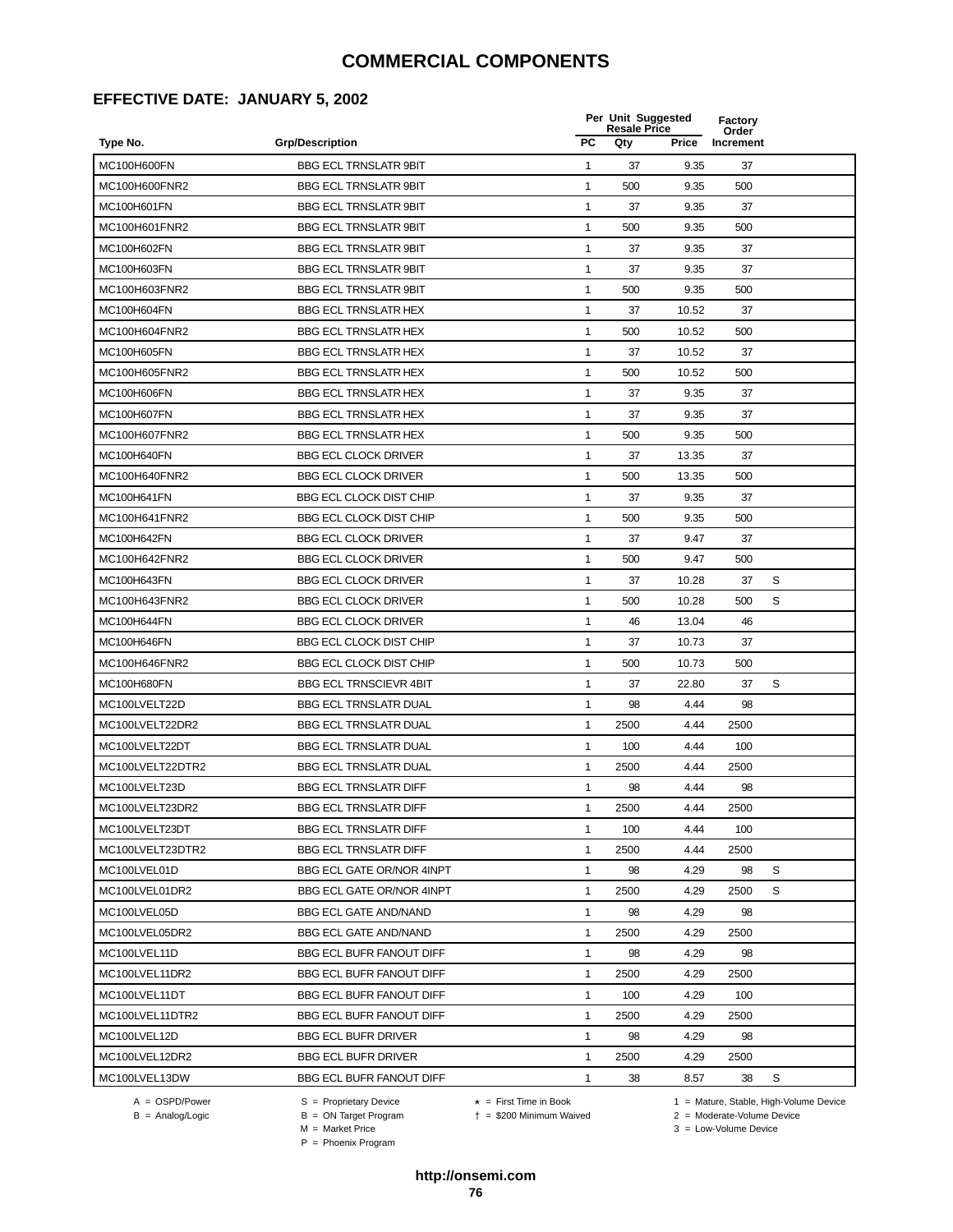### **EFFECTIVE DATE: JANUARY 5, 2002**

|                  |                                  |              | Per Unit Suggested<br><b>Resale Price</b> |       | <b>Factory</b><br>Order |   |
|------------------|----------------------------------|--------------|-------------------------------------------|-------|-------------------------|---|
| Type No.         | <b>Grp/Description</b>           | <b>PC</b>    | Qty                                       | Price | Increment               |   |
| MC100H600FN      | <b>BBG ECL TRNSLATR 9BIT</b>     | 1            | 37                                        | 9.35  | 37                      |   |
| MC100H600FNR2    | <b>BBG ECL TRNSLATR 9BIT</b>     | 1            | 500                                       | 9.35  | 500                     |   |
| MC100H601FN      | <b>BBG ECL TRNSLATR 9BIT</b>     | 1            | 37                                        | 9.35  | 37                      |   |
| MC100H601FNR2    | <b>BBG ECL TRNSLATR 9BIT</b>     | 1            | 500                                       | 9.35  | 500                     |   |
| MC100H602FN      | <b>BBG ECL TRNSLATR 9BIT</b>     | 1            | 37                                        | 9.35  | 37                      |   |
| MC100H603FN      | <b>BBG ECL TRNSLATR 9BIT</b>     | 1            | 37                                        | 9.35  | 37                      |   |
| MC100H603FNR2    | <b>BBG ECL TRNSLATR 9BIT</b>     | 1            | 500                                       | 9.35  | 500                     |   |
| MC100H604FN      | <b>BBG ECL TRNSLATR HEX</b>      | $\mathbf{1}$ | 37                                        | 10.52 | 37                      |   |
| MC100H604FNR2    | <b>BBG ECL TRNSLATR HEX</b>      | 1            | 500                                       | 10.52 | 500                     |   |
| MC100H605FN      | <b>BBG ECL TRNSLATR HEX</b>      | 1            | 37                                        | 10.52 | 37                      |   |
| MC100H605FNR2    | <b>BBG ECL TRNSLATR HEX</b>      | 1            | 500                                       | 10.52 | 500                     |   |
| MC100H606FN      | <b>BBG ECL TRNSLATR HEX</b>      | 1            | 37                                        | 9.35  | 37                      |   |
| MC100H607FN      | <b>BBG ECL TRNSLATR HEX</b>      | 1            | 37                                        | 9.35  | 37                      |   |
| MC100H607FNR2    | <b>BBG ECL TRNSLATR HEX</b>      | 1            | 500                                       | 9.35  | 500                     |   |
| MC100H640FN      | <b>BBG ECL CLOCK DRIVER</b>      | 1            | 37                                        | 13.35 | 37                      |   |
| MC100H640FNR2    | <b>BBG ECL CLOCK DRIVER</b>      | 1            | 500                                       | 13.35 | 500                     |   |
| MC100H641FN      | <b>BBG ECL CLOCK DIST CHIP</b>   | $\mathbf{1}$ | 37                                        | 9.35  | 37                      |   |
| MC100H641FNR2    | <b>BBG ECL CLOCK DIST CHIP</b>   | 1            | 500                                       | 9.35  | 500                     |   |
| MC100H642FN      | <b>BBG ECL CLOCK DRIVER</b>      | 1            | 37                                        | 9.47  | 37                      |   |
| MC100H642FNR2    | <b>BBG ECL CLOCK DRIVER</b>      | 1            | 500                                       | 9.47  | 500                     |   |
| MC100H643FN      | <b>BBG ECL CLOCK DRIVER</b>      | 1            | 37                                        | 10.28 | 37                      | S |
| MC100H643FNR2    | <b>BBG ECL CLOCK DRIVER</b>      | 1            | 500                                       | 10.28 | 500                     | S |
| MC100H644FN      | <b>BBG ECL CLOCK DRIVER</b>      | $\mathbf{1}$ | 46                                        | 13.04 | 46                      |   |
| MC100H646FN      | BBG ECL CLOCK DIST CHIP          | $\mathbf{1}$ | 37                                        | 10.73 | 37                      |   |
| MC100H646FNR2    | <b>BBG ECL CLOCK DIST CHIP</b>   | 1            | 500                                       | 10.73 | 500                     |   |
| MC100H680FN      | <b>BBG ECL TRNSCIEVR 4BIT</b>    | $\mathbf{1}$ | 37                                        | 22.80 | 37                      | S |
| MC100LVELT22D    | <b>BBG ECL TRNSLATR DUAL</b>     | $\mathbf{1}$ | 98                                        | 4.44  | 98                      |   |
| MC100LVELT22DR2  | <b>BBG ECL TRNSLATR DUAL</b>     | 1            | 2500                                      | 4.44  | 2500                    |   |
| MC100LVELT22DT   | <b>BBG ECL TRNSLATR DUAL</b>     | 1            | 100                                       | 4.44  | 100                     |   |
| MC100LVELT22DTR2 | <b>BBG ECL TRNSLATR DUAL</b>     | 1            | 2500                                      | 4.44  | 2500                    |   |
| MC100LVELT23D    | <b>BBG ECL TRNSLATR DIFF</b>     | 1            | 98                                        | 4.44  | 98                      |   |
| MC100LVELT23DR2  | <b>BBG ECL TRNSLATR DIFF</b>     | 1            | 2500                                      | 4.44  | 2500                    |   |
| MC100LVELT23DT   | <b>BBG ECL TRNSLATR DIFF</b>     | 1            | 100                                       | 4.44  | 100                     |   |
| MC100LVELT23DTR2 | <b>BBG ECL TRNSLATR DIFF</b>     | 1            | 2500                                      | 4.44  | 2500                    |   |
| MC100LVEL01D     | <b>BBG ECL GATE OR/NOR 4INPT</b> | $\mathbf{1}$ | 98                                        | 4.29  | 98                      | S |
| MC100LVEL01DR2   | BBG ECL GATE OR/NOR 4INPT        | 1            | 2500                                      | 4.29  | 2500                    | S |
| MC100LVEL05D     | <b>BBG ECL GATE AND/NAND</b>     | $\mathbf{1}$ | 98                                        | 4.29  | 98                      |   |
| MC100LVEL05DR2   | <b>BBG ECL GATE AND/NAND</b>     | 1            | 2500                                      | 4.29  | 2500                    |   |
| MC100LVEL11D     | <b>BBG ECL BUFR FANOUT DIFF</b>  | 1            | 98                                        | 4.29  | 98                      |   |
| MC100LVEL11DR2   | <b>BBG ECL BUFR FANOUT DIFF</b>  | 1            | 2500                                      | 4.29  | 2500                    |   |
| MC100LVEL11DT    | <b>BBG ECL BUFR FANOUT DIFF</b>  | 1            | 100                                       | 4.29  | 100                     |   |
| MC100LVEL11DTR2  | <b>BBG ECL BUFR FANOUT DIFF</b>  | $\mathbf{1}$ | 2500                                      | 4.29  | 2500                    |   |
| MC100LVEL12D     | <b>BBG ECL BUFR DRIVER</b>       | 1            | 98                                        | 4.29  | 98                      |   |
| MC100LVEL12DR2   | <b>BBG ECL BUFR DRIVER</b>       | 1            | 2500                                      | 4.29  | 2500                    |   |
| MC100LVEL13DW    | BBG ECL BUFR FANOUT DIFF         | 1            | 38                                        | 8.57  | 38                      | S |
|                  |                                  |              |                                           |       |                         |   |

 $B = \text{Analog/Logic}$ <br>B = ON Target Program<br> $M = \text{Market Price}$ 

A = OSPD/Power S = Proprietary Device  $\star$  = First Time in Book 1 = Mature, Stable, High-Volume Device

 = \$200 Minimum Waived 2 = Moderate-Volume Device  $3 =$  Low-Volume Device

P = Phoenix Program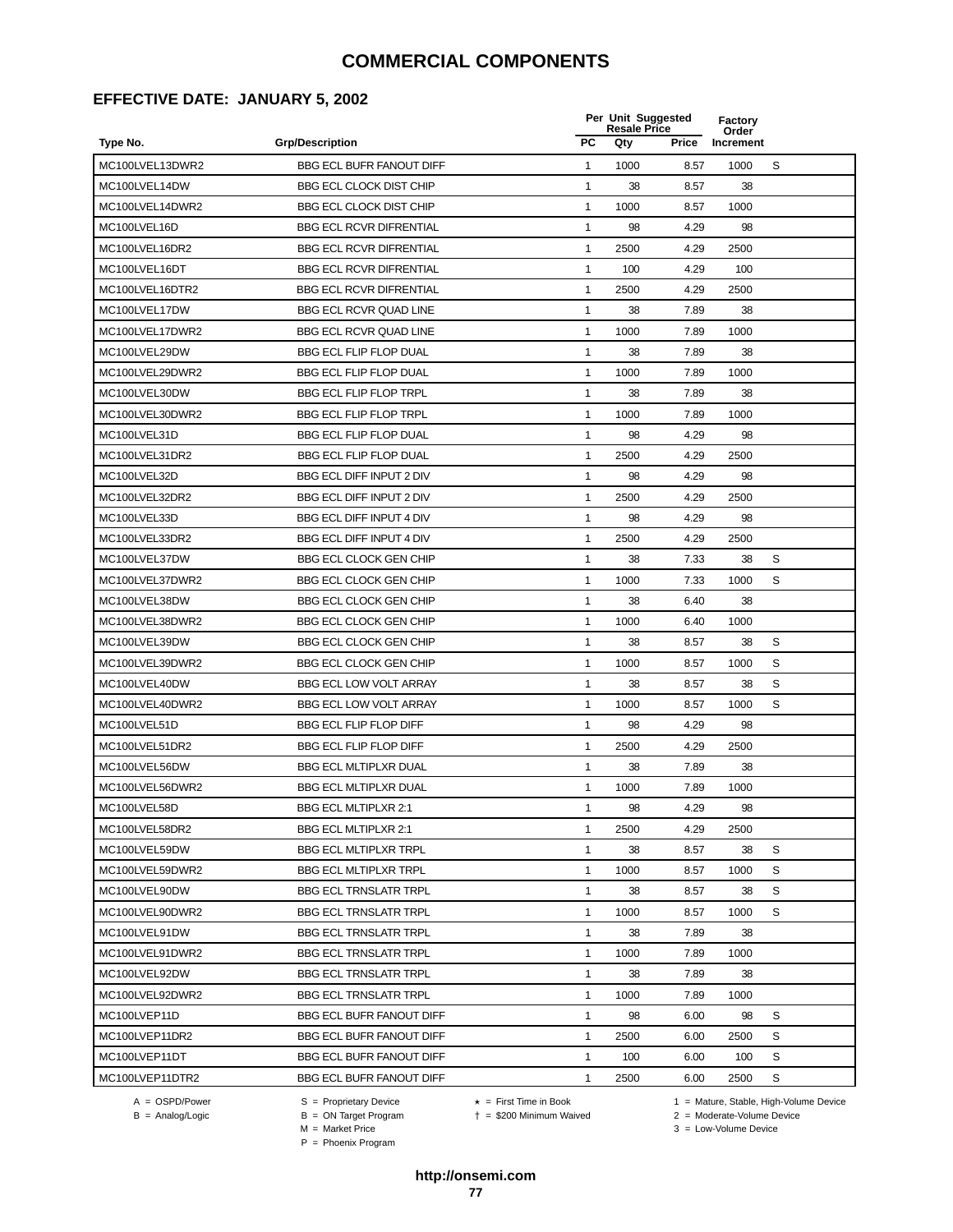## **EFFECTIVE DATE: JANUARY 5, 2002**

|                 |                                 |              | Per Unit Suggested<br><b>Resale Price</b> | Factory<br>Order |           |   |
|-----------------|---------------------------------|--------------|-------------------------------------------|------------------|-----------|---|
| Type No.        | <b>Grp/Description</b>          | <b>PC</b>    | Qty                                       | Price            | Increment |   |
| MC100LVEL13DWR2 | <b>BBG ECL BUFR FANOUT DIFF</b> | $\mathbf{1}$ | 1000                                      | 8.57             | 1000      | S |
| MC100LVEL14DW   | <b>BBG ECL CLOCK DIST CHIP</b>  | $\mathbf{1}$ | 38                                        | 8.57             | 38        |   |
| MC100LVEL14DWR2 | BBG ECL CLOCK DIST CHIP         | $\mathbf{1}$ | 1000                                      | 8.57             | 1000      |   |
| MC100LVEL16D    | <b>BBG ECL RCVR DIFRENTIAL</b>  | $\mathbf{1}$ | 98                                        | 4.29             | 98        |   |
| MC100LVEL16DR2  | <b>BBG ECL RCVR DIFRENTIAL</b>  | $\mathbf{1}$ | 2500                                      | 4.29             | 2500      |   |
| MC100LVEL16DT   | <b>BBG ECL RCVR DIFRENTIAL</b>  | $\mathbf{1}$ | 100                                       | 4.29             | 100       |   |
| MC100LVEL16DTR2 | <b>BBG ECL RCVR DIFRENTIAL</b>  | $\mathbf{1}$ | 2500                                      | 4.29             | 2500      |   |
| MC100LVEL17DW   | <b>BBG ECL RCVR QUAD LINE</b>   | $\mathbf{1}$ | 38                                        | 7.89             | 38        |   |
| MC100LVEL17DWR2 | <b>BBG ECL RCVR QUAD LINE</b>   | $\mathbf{1}$ | 1000                                      | 7.89             | 1000      |   |
| MC100LVEL29DW   | <b>BBG ECL FLIP FLOP DUAL</b>   | 1            | 38                                        | 7.89             | 38        |   |
| MC100LVEL29DWR2 | <b>BBG ECL FLIP FLOP DUAL</b>   | 1            | 1000                                      | 7.89             | 1000      |   |
| MC100LVEL30DW   | <b>BBG ECL FLIP FLOP TRPL</b>   | 1            | 38                                        | 7.89             | 38        |   |
| MC100LVEL30DWR2 | <b>BBG ECL FLIP FLOP TRPL</b>   | $\mathbf{1}$ | 1000                                      | 7.89             | 1000      |   |
| MC100LVEL31D    | <b>BBG ECL FLIP FLOP DUAL</b>   | $\mathbf{1}$ | 98                                        | 4.29             | 98        |   |
| MC100LVEL31DR2  | BBG ECL FLIP FLOP DUAL          | 1            | 2500                                      | 4.29             | 2500      |   |
| MC100LVEL32D    | BBG ECL DIFF INPUT 2 DIV        | $\mathbf{1}$ | 98                                        | 4.29             | 98        |   |
| MC100LVEL32DR2  | <b>BBG ECL DIFF INPUT 2 DIV</b> | $\mathbf{1}$ | 2500                                      | 4.29             | 2500      |   |
| MC100LVEL33D    | BBG ECL DIFF INPUT 4 DIV        | $\mathbf{1}$ | 98                                        | 4.29             | 98        |   |
| MC100LVEL33DR2  | BBG ECL DIFF INPUT 4 DIV        | 1            | 2500                                      | 4.29             | 2500      |   |
| MC100LVEL37DW   | <b>BBG ECL CLOCK GEN CHIP</b>   | 1            | 38                                        | 7.33             | 38        | S |
| MC100LVEL37DWR2 | BBG ECL CLOCK GEN CHIP          | $\mathbf{1}$ | 1000                                      | 7.33             | 1000      | S |
| MC100LVEL38DW   | BBG ECL CLOCK GEN CHIP          | $\mathbf{1}$ | 38                                        | 6.40             | 38        |   |
| MC100LVEL38DWR2 | <b>BBG ECL CLOCK GEN CHIP</b>   | $\mathbf{1}$ | 1000                                      | 6.40             | 1000      |   |
| MC100LVEL39DW   | <b>BBG ECL CLOCK GEN CHIP</b>   | $\mathbf{1}$ | 38                                        | 8.57             | 38        | S |
| MC100LVEL39DWR2 | <b>BBG ECL CLOCK GEN CHIP</b>   | $\mathbf{1}$ | 1000                                      | 8.57             | 1000      | S |
| MC100LVEL40DW   | <b>BBG ECL LOW VOLT ARRAY</b>   | $\mathbf{1}$ | 38                                        | 8.57             | 38        | S |
| MC100LVEL40DWR2 | <b>BBG ECL LOW VOLT ARRAY</b>   | $\mathbf{1}$ | 1000                                      | 8.57             | 1000      | S |
| MC100LVEL51D    | <b>BBG ECL FLIP FLOP DIFF</b>   | $\mathbf{1}$ | 98                                        | 4.29             | 98        |   |
| MC100LVEL51DR2  | <b>BBG ECL FLIP FLOP DIFF</b>   | 1            | 2500                                      | 4.29             | 2500      |   |
| MC100LVEL56DW   | <b>BBG ECL MLTIPLXR DUAL</b>    | 1            | 38                                        | 7.89             | 38        |   |
| MC100LVEL56DWR2 | <b>BBG ECL MLTIPLXR DUAL</b>    | 1            | 1000                                      | 7.89             | 1000      |   |
| MC100LVEL58D    | <b>BBG ECL MLTIPLXR 2:1</b>     | 1            | 98                                        | 4.29             | 98        |   |
| MC100LVEL58DR2  | <b>BBG ECL MLTIPLXR 2:1</b>     | $\mathbf{1}$ | 2500                                      | 4.29             | 2500      |   |
| MC100LVEL59DW   | <b>BBG ECL MLTIPLXR TRPL</b>    | 1            | 38                                        | 8.57             | 38        | S |
| MC100LVEL59DWR2 | <b>BBG ECL MLTIPLXR TRPL</b>    | $\mathbf{1}$ | 1000                                      | 8.57             | 1000      | S |
| MC100LVEL90DW   | <b>BBG ECL TRNSLATR TRPL</b>    | $\mathbf{1}$ | 38                                        | 8.57             | 38        | S |
| MC100LVEL90DWR2 | <b>BBG ECL TRNSLATR TRPL</b>    | $\mathbf{1}$ | 1000                                      | 8.57             | 1000      | S |
| MC100LVEL91DW   | <b>BBG ECL TRNSLATR TRPL</b>    | $\mathbf{1}$ | 38                                        | 7.89             | 38        |   |
| MC100LVEL91DWR2 | <b>BBG ECL TRNSLATR TRPL</b>    | $\mathbf{1}$ | 1000                                      | 7.89             | 1000      |   |
| MC100LVEL92DW   | <b>BBG ECL TRNSLATR TRPL</b>    | $\mathbf{1}$ | 38                                        | 7.89             | 38        |   |
| MC100LVEL92DWR2 | <b>BBG ECL TRNSLATR TRPL</b>    | $\mathbf{1}$ | 1000                                      | 7.89             | 1000      |   |
| MC100LVEP11D    | <b>BBG ECL BUFR FANOUT DIFF</b> | $\mathbf{1}$ | 98                                        | 6.00             | 98        | S |
| MC100LVEP11DR2  | <b>BBG ECL BUFR FANOUT DIFF</b> | $\mathbf{1}$ | 2500                                      | 6.00             | 2500      | S |
| MC100LVEP11DT   | <b>BBG ECL BUFR FANOUT DIFF</b> | $\mathbf{1}$ | 100                                       | 6.00             | 100       | S |
| MC100LVEP11DTR2 | <b>BBG ECL BUFR FANOUT DIFF</b> | 1            | 2500                                      | 6.00             | 2500      | S |
|                 |                                 |              |                                           |                  |           |   |

 $B =$  Analog/Logic  $B =$  ON Target Program  $M =$  Market Price

A = OSPD/Power S = Proprietary Device  $\star$  = First Time in Book 1 = Mature, Stable, High-Volume Device = \$200 Minimum Waived 2 = Moderate-Volume Device

 $3 =$  Low-Volume Device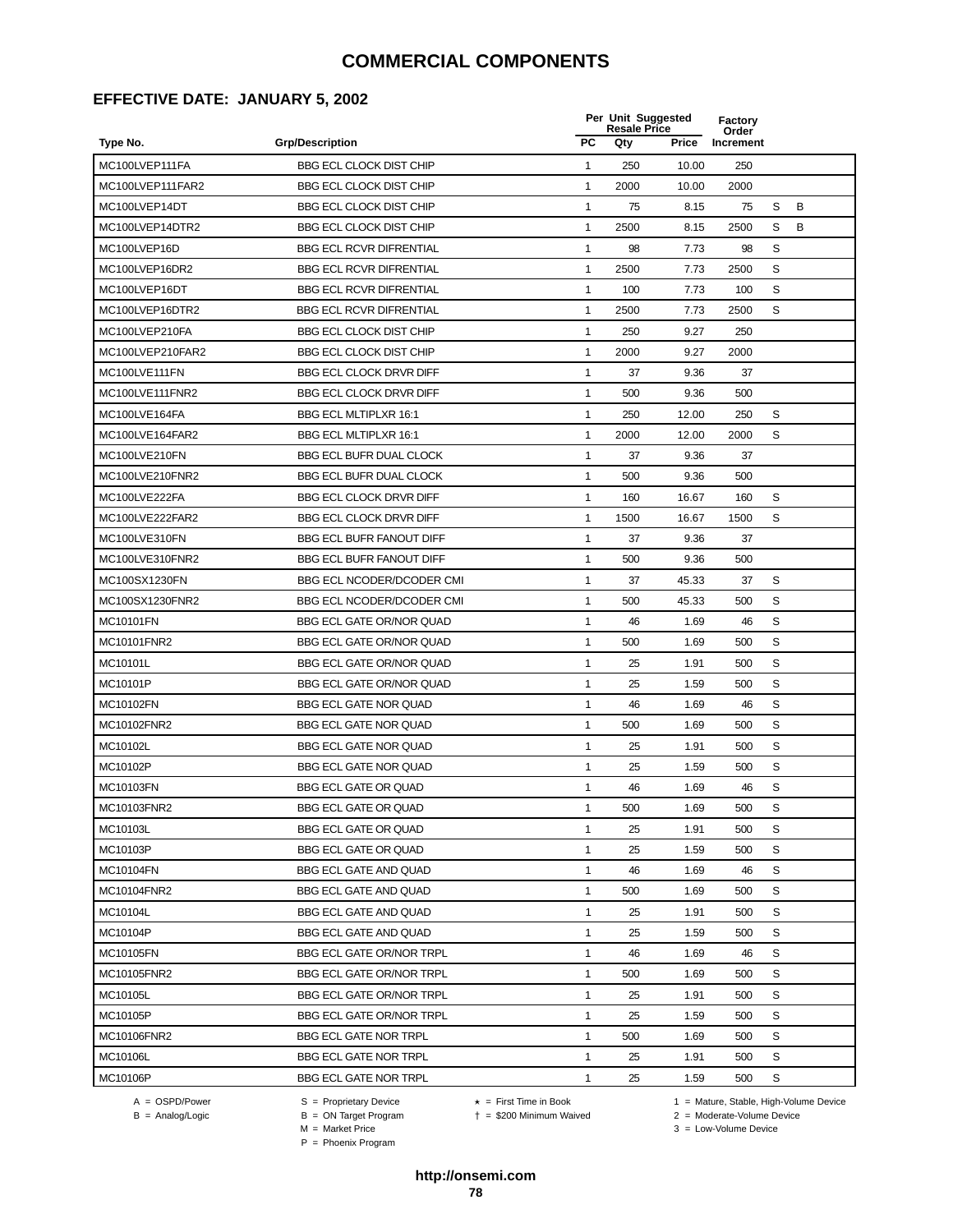# **EFFECTIVE DATE: JANUARY 5, 2002**

|                  |                                 |              | Per Unit Suggested<br><b>Resale Price</b> |              | Factory<br>Order |   |   |
|------------------|---------------------------------|--------------|-------------------------------------------|--------------|------------------|---|---|
| Type No.         | <b>Grp/Description</b>          | <b>PC</b>    | Qty                                       | <b>Price</b> | Increment        |   |   |
| MC100LVEP111FA   | <b>BBG ECL CLOCK DIST CHIP</b>  | 1            | 250                                       | 10.00        | 250              |   |   |
| MC100LVEP111FAR2 | <b>BBG ECL CLOCK DIST CHIP</b>  | 1            | 2000                                      | 10.00        | 2000             |   |   |
| MC100LVEP14DT    | BBG ECL CLOCK DIST CHIP         | 1            | 75                                        | 8.15         | 75               | S | B |
| MC100LVEP14DTR2  | <b>BBG ECL CLOCK DIST CHIP</b>  | 1            | 2500                                      | 8.15         | 2500             | S | B |
| MC100LVEP16D     | <b>BBG ECL RCVR DIFRENTIAL</b>  | $\mathbf{1}$ | 98                                        | 7.73         | 98               | S |   |
| MC100LVEP16DR2   | <b>BBG ECL RCVR DIFRENTIAL</b>  | $\mathbf{1}$ | 2500                                      | 7.73         | 2500             | S |   |
| MC100LVEP16DT    | <b>BBG ECL RCVR DIFRENTIAL</b>  | $\mathbf{1}$ | 100                                       | 7.73         | 100              | S |   |
| MC100LVEP16DTR2  | <b>BBG ECL RCVR DIFRENTIAL</b>  | $\mathbf{1}$ | 2500                                      | 7.73         | 2500             | S |   |
| MC100LVEP210FA   | <b>BBG ECL CLOCK DIST CHIP</b>  | 1            | 250                                       | 9.27         | 250              |   |   |
| MC100LVEP210FAR2 | <b>BBG ECL CLOCK DIST CHIP</b>  | 1            | 2000                                      | 9.27         | 2000             |   |   |
| MC100LVE111FN    | <b>BBG ECL CLOCK DRVR DIFF</b>  | $\mathbf{1}$ | 37                                        | 9.36         | 37               |   |   |
| MC100LVE111FNR2  | BBG ECL CLOCK DRVR DIFF         | 1            | 500                                       | 9.36         | 500              |   |   |
| MC100LVE164FA    | <b>BBG ECL MLTIPLXR 16:1</b>    | 1            | 250                                       | 12.00        | 250              | S |   |
| MC100LVE164FAR2  | <b>BBG ECL MLTIPLXR 16:1</b>    | $\mathbf{1}$ | 2000                                      | 12.00        | 2000             | S |   |
| MC100LVE210FN    | BBG ECL BUFR DUAL CLOCK         | $\mathbf{1}$ | 37                                        | 9.36         | 37               |   |   |
| MC100LVE210FNR2  | <b>BBG ECL BUFR DUAL CLOCK</b>  | $\mathbf{1}$ | 500                                       | 9.36         | 500              |   |   |
| MC100LVE222FA    | <b>BBG ECL CLOCK DRVR DIFF</b>  | $\mathbf{1}$ | 160                                       | 16.67        | 160              | S |   |
| MC100LVE222FAR2  | <b>BBG ECL CLOCK DRVR DIFF</b>  | $\mathbf{1}$ | 1500                                      | 16.67        | 1500             | S |   |
| MC100LVE310FN    | <b>BBG ECL BUFR FANOUT DIFF</b> | $\mathbf{1}$ | 37                                        | 9.36         | 37               |   |   |
| MC100LVE310FNR2  | <b>BBG ECL BUFR FANOUT DIFF</b> | $\mathbf{1}$ | 500                                       | 9.36         | 500              |   |   |
| MC100SX1230FN    | BBG ECL NCODER/DCODER CMI       | 1            | 37                                        | 45.33        | 37               | S |   |
| MC100SX1230FNR2  | BBG ECL NCODER/DCODER CMI       | 1            | 500                                       | 45.33        | 500              | S |   |
| MC10101FN        | BBG ECL GATE OR/NOR QUAD        | 1            | 46                                        | 1.69         | 46               | S |   |
| MC10101FNR2      | BBG ECL GATE OR/NOR QUAD        | 1            | 500                                       | 1.69         | 500              | S |   |
| MC10101L         | BBG ECL GATE OR/NOR QUAD        | 1            | 25                                        | 1.91         | 500              | S |   |
| MC10101P         | BBG ECL GATE OR/NOR QUAD        | $\mathbf{1}$ | 25                                        | 1.59         | 500              | S |   |
| MC10102FN        | <b>BBG ECL GATE NOR QUAD</b>    | $\mathbf{1}$ | 46                                        | 1.69         | 46               | S |   |
| MC10102FNR2      | <b>BBG ECL GATE NOR QUAD</b>    | 1            | 500                                       | 1.69         | 500              | S |   |
| MC10102L         | <b>BBG ECL GATE NOR QUAD</b>    | $\mathbf{1}$ | 25                                        | 1.91         | 500              | S |   |
| MC10102P         | <b>BBG ECL GATE NOR QUAD</b>    | 1            | 25                                        | 1.59         | 500              | S |   |
| MC10103FN        | <b>BBG ECL GATE OR QUAD</b>     | 1            | 46                                        | 1.69         | 46               | S |   |
| MC10103FNR2      | <b>BBG ECL GATE OR QUAD</b>     | 1            | 500                                       | 1.69         | 500              | S |   |
| MC10103L         | BBG ECL GATE OR QUAD            | 1            | 25                                        | 1.91         | 500              | S |   |
| MC10103P         | <b>BBG ECL GATE OR QUAD</b>     | $\mathbf{1}$ | 25                                        | 1.59         | 500              | S |   |
| <b>MC10104FN</b> | <b>BBG ECL GATE AND QUAD</b>    | $\mathbf{1}$ | 46                                        | 1.69         | 46               | S |   |
| MC10104FNR2      | BBG ECL GATE AND QUAD           | $\mathbf{1}$ | 500                                       | 1.69         | 500              | S |   |
| MC10104L         | BBG ECL GATE AND QUAD           | $\mathbf{1}$ | 25                                        | 1.91         | 500              | S |   |
| MC10104P         | BBG ECL GATE AND QUAD           | $\mathbf{1}$ | 25                                        | 1.59         | 500              | S |   |
| MC10105FN        | <b>BBG ECL GATE OR/NOR TRPL</b> | $\mathbf{1}$ | 46                                        | 1.69         | 46               | S |   |
| MC10105FNR2      | BBG ECL GATE OR/NOR TRPL        | 1            | 500                                       | 1.69         | 500              | S |   |
| MC10105L         | <b>BBG ECL GATE OR/NOR TRPL</b> | $\mathbf{1}$ | 25                                        | 1.91         | 500              | S |   |
| MC10105P         | <b>BBG ECL GATE OR/NOR TRPL</b> | 1            | 25                                        | 1.59         | 500              | S |   |
| MC10106FNR2      | <b>BBG ECL GATE NOR TRPL</b>    | $\mathbf{1}$ | 500                                       | 1.69         | 500              | S |   |
| MC10106L         | <b>BBG ECL GATE NOR TRPL</b>    | 1            | 25                                        | 1.91         | 500              | S |   |
| MC10106P         | <b>BBG ECL GATE NOR TRPL</b>    | 1            | 25                                        | 1.59         | 500              | S |   |

 $B = \text{Analog/Logic}$ <br>B = ON Target Program<br> $M = \text{Market Price}$ 

= \$200 Minimum Waived 2 = Moderate-Volume Device

A = OSPD/Power S = Proprietary Device  $\star$  = First Time in Book 1 = Mature, Stable, High-Volume Device

 $3 =$  Low-Volume Device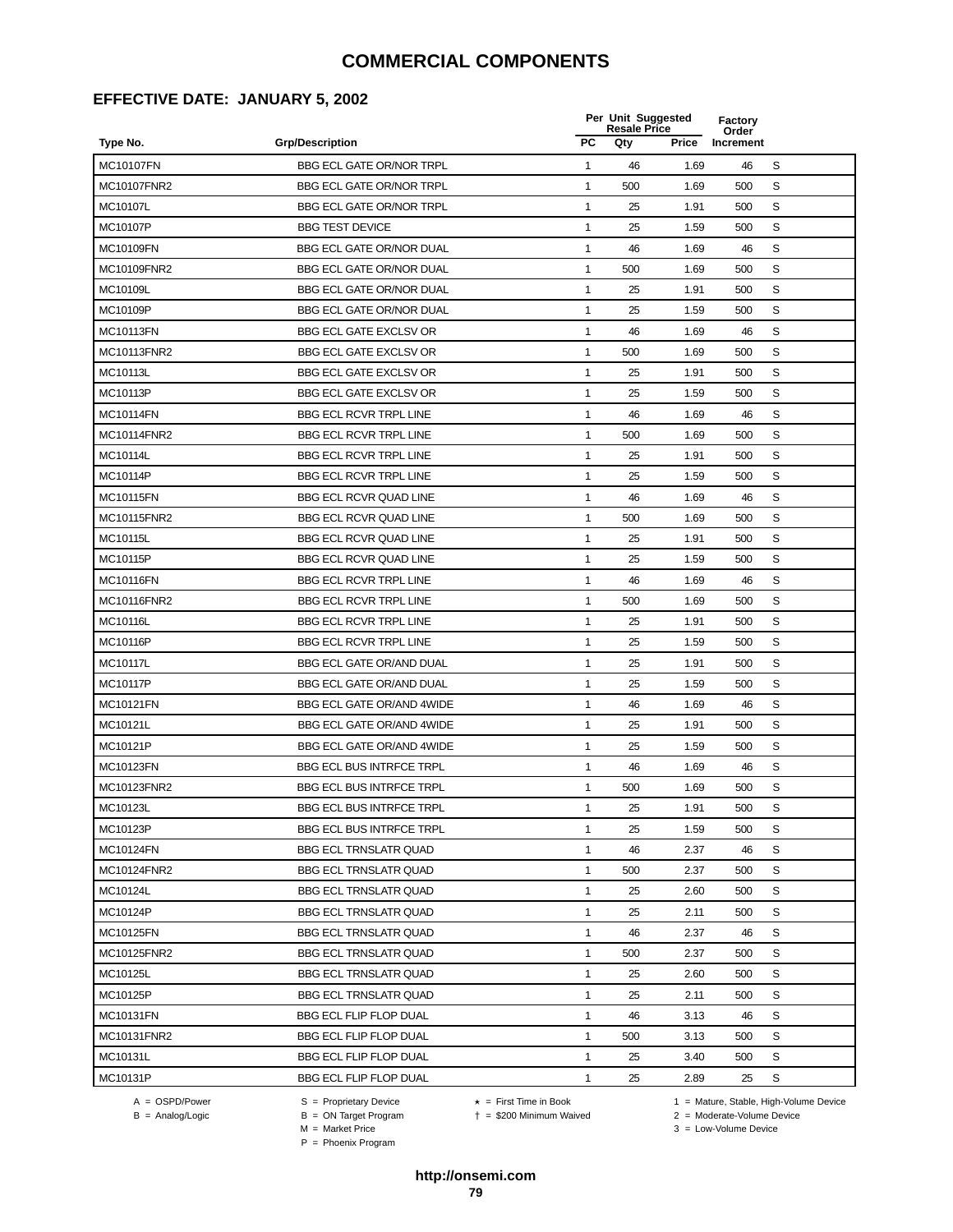### **EFFECTIVE DATE: JANUARY 5, 2002**

|                  |                                 |              | Per Unit Suggested<br><b>Resale Price</b> |              | Factory<br>Order |   |
|------------------|---------------------------------|--------------|-------------------------------------------|--------------|------------------|---|
| Type No.         | <b>Grp/Description</b>          | <b>PC</b>    | Qty                                       | <b>Price</b> | Increment        |   |
| <b>MC10107FN</b> | <b>BBG ECL GATE OR/NOR TRPL</b> | 1            | 46                                        | 1.69         | 46               | S |
| MC10107FNR2      | <b>BBG ECL GATE OR/NOR TRPL</b> | 1            | 500                                       | 1.69         | 500              | S |
| MC10107L         | <b>BBG ECL GATE OR/NOR TRPL</b> | 1            | 25                                        | 1.91         | 500              | S |
| MC10107P         | <b>BBG TEST DEVICE</b>          | $\mathbf{1}$ | 25                                        | 1.59         | 500              | S |
| MC10109FN        | BBG ECL GATE OR/NOR DUAL        | $\mathbf{1}$ | 46                                        | 1.69         | 46               | S |
| MC10109FNR2      | BBG ECL GATE OR/NOR DUAL        | $\mathbf{1}$ | 500                                       | 1.69         | 500              | S |
| MC10109L         | BBG ECL GATE OR/NOR DUAL        | $\mathbf{1}$ | 25                                        | 1.91         | 500              | S |
| MC10109P         | BBG ECL GATE OR/NOR DUAL        | $\mathbf{1}$ | 25                                        | 1.59         | 500              | S |
| MC10113FN        | <b>BBG ECL GATE EXCLSV OR</b>   | $\mathbf{1}$ | 46                                        | 1.69         | 46               | S |
| MC10113FNR2      | <b>BBG ECL GATE EXCLSV OR</b>   | 1            | 500                                       | 1.69         | 500              | S |
| MC10113L         | <b>BBG ECL GATE EXCLSV OR</b>   | 1            | 25                                        | 1.91         | 500              | S |
| MC10113P         | <b>BBG ECL GATE EXCLSV OR</b>   | 1            | 25                                        | 1.59         | 500              | S |
| <b>MC10114FN</b> | <b>BBG ECL RCVR TRPL LINE</b>   | $\mathbf{1}$ | 46                                        | 1.69         | 46               | S |
| MC10114FNR2      | <b>BBG ECL RCVR TRPL LINE</b>   | 1            | 500                                       | 1.69         | 500              | S |
| MC10114L         | BBG ECL RCVR TRPL LINE          | $\mathbf{1}$ | 25                                        | 1.91         | 500              | S |
| MC10114P         | <b>BBG ECL RCVR TRPL LINE</b>   | $\mathbf{1}$ | 25                                        | 1.59         | 500              | S |
| <b>MC10115FN</b> | <b>BBG ECL RCVR QUAD LINE</b>   | $\mathbf{1}$ | 46                                        | 1.69         | 46               | S |
| MC10115FNR2      | <b>BBG ECL RCVR QUAD LINE</b>   | $\mathbf{1}$ | 500                                       | 1.69         | 500              | S |
| MC10115L         | <b>BBG ECL RCVR QUAD LINE</b>   | 1            | 25                                        | 1.91         | 500              | S |
| MC10115P         | <b>BBG ECL RCVR QUAD LINE</b>   | 1            | 25                                        | 1.59         | 500              | S |
| MC10116FN        | BBG ECL RCVR TRPL LINE          | 1            | 46                                        | 1.69         | 46               | S |
| MC10116FNR2      | BBG ECL RCVR TRPL LINE          | $\mathbf{1}$ | 500                                       | 1.69         | 500              | S |
| MC10116L         | <b>BBG ECL RCVR TRPL LINE</b>   | $\mathbf{1}$ | 25                                        | 1.91         | 500              | S |
| MC10116P         | BBG ECL RCVR TRPL LINE          | $\mathbf{1}$ | 25                                        | 1.59         | 500              | S |
| MC10117L         | BBG ECL GATE OR/AND DUAL        | $\mathbf{1}$ | 25                                        | 1.91         | 500              | S |
| MC10117P         | BBG ECL GATE OR/AND DUAL        | $\mathbf{1}$ | 25                                        | 1.59         | 500              | S |
| MC10121FN        | BBG ECL GATE OR/AND 4WIDE       | $\mathbf{1}$ | 46                                        | 1.69         | 46               | S |
| MC10121L         | BBG ECL GATE OR/AND 4WIDE       | 1            | 25                                        | 1.91         | 500              | S |
| MC10121P         | BBG ECL GATE OR/AND 4WIDE       | 1            | 25                                        | 1.59         | 500              | S |
| MC10123FN        | BBG ECL BUS INTRFCE TRPL        | 1            | 46                                        | 1.69         | 46               | S |
| MC10123FNR2      | <b>BBG ECL BUS INTRFCE TRPL</b> | $\mathbf{1}$ | 500                                       | 1.69         | 500              | S |
| MC10123L         | <b>BBG ECL BUS INTRFCE TRPL</b> | 1            | 25                                        | 1.91         | 500              | S |
| MC10123P         | BBG ECL BUS INTRFCE TRPL        | 1            | 25                                        | 1.59         | 500              | S |
| MC10124FN        | <b>BBG ECL TRNSLATR QUAD</b>    | $\mathbf{1}$ | 46                                        | 2.37         | 46               | S |
| MC10124FNR2      | <b>BBG ECL TRNSLATR QUAD</b>    | $\mathbf{1}$ | 500                                       | 2.37         | 500              | S |
| MC10124L         | <b>BBG ECL TRNSLATR QUAD</b>    | 1            | 25                                        | 2.60         | 500              | S |
| MC10124P         | <b>BBG ECL TRNSLATR QUAD</b>    | 1            | 25                                        | 2.11         | 500              | S |
| MC10125FN        | <b>BBG ECL TRNSLATR QUAD</b>    | $\mathbf{1}$ | 46                                        | 2.37         | 46               | S |
| MC10125FNR2      | BBG ECL TRNSLATR QUAD           | $\mathbf{1}$ | 500                                       | 2.37         | 500              | S |
| MC10125L         | <b>BBG ECL TRNSLATR QUAD</b>    | $\mathbf{1}$ | 25                                        | 2.60         | 500              | S |
| MC10125P         | <b>BBG ECL TRNSLATR QUAD</b>    | $\mathbf{1}$ | 25                                        | 2.11         | 500              | S |
| MC10131FN        | BBG ECL FLIP FLOP DUAL          | $\mathbf{1}$ | 46                                        | 3.13         | 46               | S |
| MC10131FNR2      | BBG ECL FLIP FLOP DUAL          | $\mathbf{1}$ | 500                                       | 3.13         | 500              | S |
| MC10131L         | <b>BBG ECL FLIP FLOP DUAL</b>   | $\mathbf{1}$ | 25                                        | 3.40         | 500              | S |
| MC10131P         | <b>BBG ECL FLIP FLOP DUAL</b>   | $\mathbf{1}$ | 25                                        | 2.89         | 25               | S |

 $B =$  Analog/Logic  $B =$  ON Target Program  $M =$  Market Price

= \$200 Minimum Waived 2 = Moderate-Volume Device

A = OSPD/Power S = Proprietary Device  $\star$  = First Time in Book 1 = Mature, Stable, High-Volume Device

 $3 =$  Low-Volume Device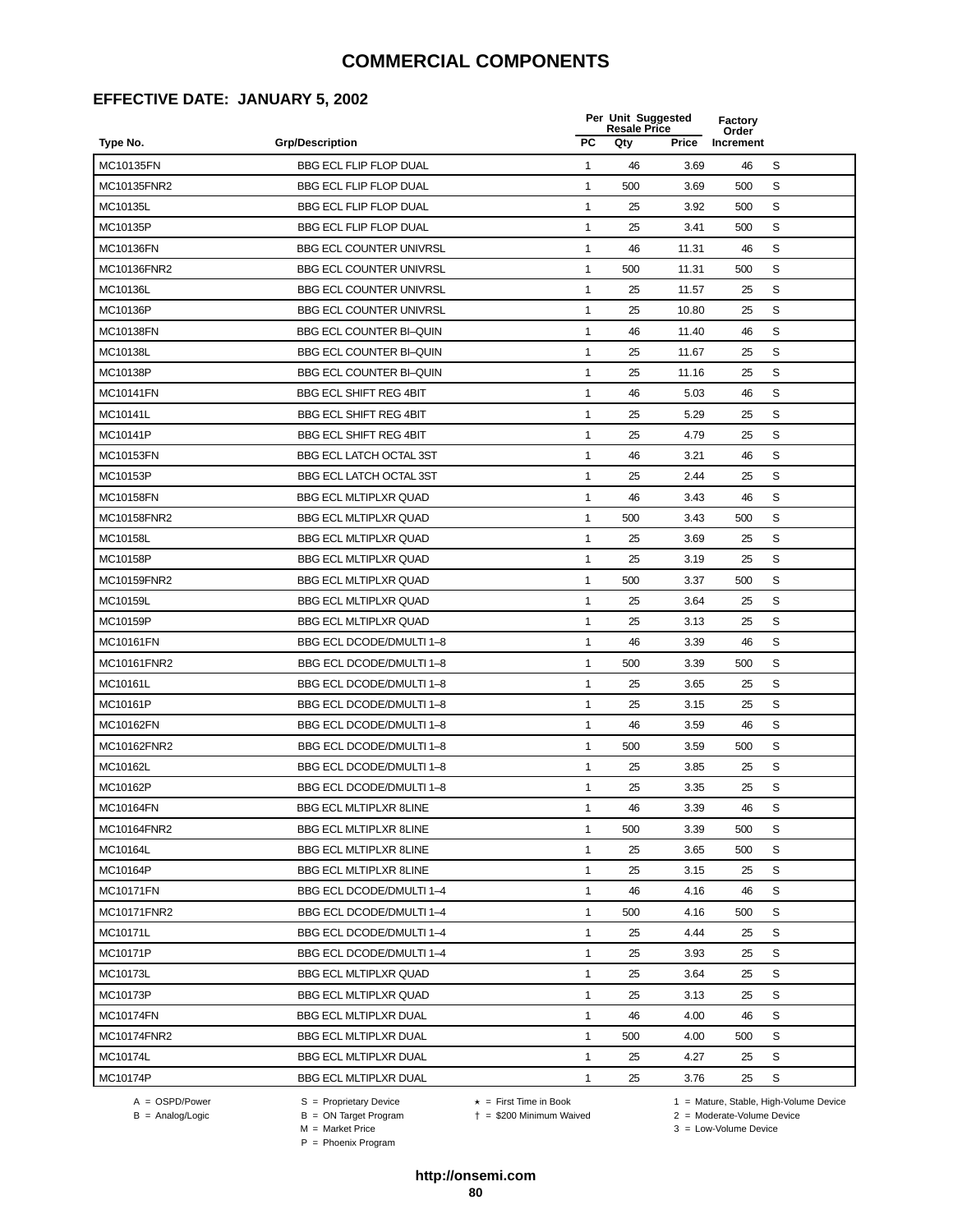### **EFFECTIVE DATE: JANUARY 5, 2002**

|                  |                                |              | Per Unit Suggested<br><b>Resale Price</b> |       | Factory<br>Order |   |  |
|------------------|--------------------------------|--------------|-------------------------------------------|-------|------------------|---|--|
| Type No.         | <b>Grp/Description</b>         | <b>PC</b>    | Qty                                       | Price | Increment        |   |  |
| MC10135FN        | <b>BBG ECL FLIP FLOP DUAL</b>  | 1            | 46                                        | 3.69  | 46               | S |  |
| MC10135FNR2      | <b>BBG ECL FLIP FLOP DUAL</b>  | 1            | 500                                       | 3.69  | 500              | S |  |
| MC10135L         | BBG ECL FLIP FLOP DUAL         | 1            | 25                                        | 3.92  | 500              | S |  |
| MC10135P         | <b>BBG ECL FLIP FLOP DUAL</b>  | $\mathbf{1}$ | 25                                        | 3.41  | 500              | S |  |
| MC10136FN        | <b>BBG ECL COUNTER UNIVRSL</b> | $\mathbf{1}$ | 46                                        | 11.31 | 46               | S |  |
| MC10136FNR2      | <b>BBG ECL COUNTER UNIVRSL</b> | $\mathbf{1}$ | 500                                       | 11.31 | 500              | S |  |
| MC10136L         | <b>BBG ECL COUNTER UNIVRSL</b> | $\mathbf{1}$ | 25                                        | 11.57 | 25               | S |  |
| MC10136P         | <b>BBG ECL COUNTER UNIVRSL</b> | $\mathbf{1}$ | 25                                        | 10.80 | 25               | S |  |
| MC10138FN        | <b>BBG ECL COUNTER BI-QUIN</b> | $\mathbf{1}$ | 46                                        | 11.40 | 46               | S |  |
| MC10138L         | <b>BBG ECL COUNTER BI-QUIN</b> | 1            | 25                                        | 11.67 | 25               | S |  |
| MC10138P         | <b>BBG ECL COUNTER BI-QUIN</b> | 1            | 25                                        | 11.16 | 25               | S |  |
| MC10141FN        | <b>BBG ECL SHIFT REG 4BIT</b>  | 1            | 46                                        | 5.03  | 46               | S |  |
| MC10141L         | <b>BBG ECL SHIFT REG 4BIT</b>  | $\mathbf{1}$ | 25                                        | 5.29  | 25               | S |  |
| MC10141P         | <b>BBG ECL SHIFT REG 4BIT</b>  | $\mathbf{1}$ | 25                                        | 4.79  | 25               | S |  |
| <b>MC10153FN</b> | BBG ECL LATCH OCTAL 3ST        | 1            | 46                                        | 3.21  | 46               | S |  |
| MC10153P         | <b>BBG ECL LATCH OCTAL 3ST</b> | $\mathbf{1}$ | 25                                        | 2.44  | 25               | S |  |
| MC10158FN        | <b>BBG ECL MLTIPLXR QUAD</b>   | $\mathbf{1}$ | 46                                        | 3.43  | 46               | S |  |
| MC10158FNR2      | <b>BBG ECL MLTIPLXR QUAD</b>   | 1            | 500                                       | 3.43  | 500              | S |  |
| MC10158L         | <b>BBG ECL MLTIPLXR QUAD</b>   | $\mathbf{1}$ | 25                                        | 3.69  | 25               | S |  |
| MC10158P         | <b>BBG ECL MLTIPLXR QUAD</b>   | $\mathbf{1}$ | 25                                        | 3.19  | 25               | S |  |
| MC10159FNR2      | <b>BBG ECL MLTIPLXR QUAD</b>   | $\mathbf{1}$ | 500                                       | 3.37  | 500              | S |  |
| MC10159L         | <b>BBG ECL MLTIPLXR QUAD</b>   | $\mathbf{1}$ | 25                                        | 3.64  | 25               | S |  |
| MC10159P         | <b>BBG ECL MLTIPLXR QUAD</b>   | $\mathbf{1}$ | 25                                        | 3.13  | 25               | S |  |
| MC10161FN        | BBG ECL DCODE/DMULTI 1-8       | $\mathbf{1}$ | 46                                        | 3.39  | 46               | S |  |
| MC10161FNR2      | BBG ECL DCODE/DMULTI 1-8       | $\mathbf{1}$ | 500                                       | 3.39  | 500              | S |  |
| MC10161L         | BBG ECL DCODE/DMULTI 1-8       | $\mathbf{1}$ | 25                                        | 3.65  | 25               | S |  |
| MC10161P         | BBG ECL DCODE/DMULTI 1-8       | $\mathbf{1}$ | 25                                        | 3.15  | 25               | S |  |
| MC10162FN        | BBG ECL DCODE/DMULTI 1-8       | $\mathbf{1}$ | 46                                        | 3.59  | 46               | S |  |
| MC10162FNR2      | BBG ECL DCODE/DMULTI 1-8       | $\mathbf{1}$ | 500                                       | 3.59  | 500              | S |  |
| MC10162L         | BBG ECL DCODE/DMULTI 1-8       | 1            | 25                                        | 3.85  | 25               | S |  |
| MC10162P         | BBG ECL DCODE/DMULTI 1-8       | $\mathbf{1}$ | 25                                        | 3.35  | 25               | S |  |
| MC10164FN        | BBG ECL MLTIPLXR 8LINE         | 1            | 46                                        | 3.39  | 46               | S |  |
| MC10164FNR2      | BBG ECL MLTIPLXR 8LINE         | $\mathbf{1}$ | 500                                       | 3.39  | 500              | S |  |
| MC10164L         | BBG ECL MLTIPLXR 8LINE         | $\mathbf{1}$ | 25                                        | 3.65  | 500              | S |  |
| MC10164P         | <b>BBG ECL MLTIPLXR 8LINE</b>  | $\mathbf{1}$ | 25                                        | 3.15  | 25               | S |  |
| <b>MC10171FN</b> | BBG ECL DCODE/DMULTI 1-4       | $\mathbf{1}$ | 46                                        | 4.16  | 46               | S |  |
| MC10171FNR2      | BBG ECL DCODE/DMULTI 1-4       | $\mathbf{1}$ | 500                                       | 4.16  | 500              | S |  |
| MC10171L         | BBG ECL DCODE/DMULTI 1-4       | $\mathbf{1}$ | 25                                        | 4.44  | 25               | S |  |
| MC10171P         | BBG ECL DCODE/DMULTI 1-4       | $\mathbf{1}$ | 25                                        | 3.93  | 25               | S |  |
| MC10173L         | <b>BBG ECL MLTIPLXR QUAD</b>   | $\mathbf{1}$ | 25                                        | 3.64  | 25               | S |  |
| MC10173P         | <b>BBG ECL MLTIPLXR QUAD</b>   | $\mathbf{1}$ | 25                                        | 3.13  | 25               | S |  |
| <b>MC10174FN</b> | <b>BBG ECL MLTIPLXR DUAL</b>   | $\mathbf{1}$ | 46                                        | 4.00  | 46               | S |  |
| MC10174FNR2      | <b>BBG ECL MLTIPLXR DUAL</b>   | $\mathbf{1}$ | 500                                       | 4.00  | 500              | S |  |
| MC10174L         | <b>BBG ECL MLTIPLXR DUAL</b>   | $\mathbf{1}$ | 25                                        | 4.27  | 25               | S |  |
| MC10174P         | <b>BBG ECL MLTIPLXR DUAL</b>   | $\mathbf{1}$ | 25                                        | 3.76  | 25               | S |  |

-<br>B = ON Target Program<br>M = Market Price

 $A = OBPD/Power$ <br>  $B = ON Target Program$   $A = First Time in Book$   $A = West Theorem 1 = Nature, Stable, High-Volume Device$   $A = Mature, Stable, High-Volume Device$   $A = Mature, Stable, High-Volume Device$   $A = Mature, Table, High-Volume Device$   $A = Mature, Table, High-Volume Device$   $A = Mature, Table, High-Volume Device$   $A = Mature, Table, High-Volume Device$   $A = Mature, Table, High-Volume Device$   $A = Mature, Table, High-Volume Device$   $A = Mature, Table, High-Volume Device$   $A = Mature, Table, High-Volume Device$   $A = Mature, Table, High-Volume Device$   $A = Mature, Table, High-Volume Device$   $A = Mature, Table$ 

 $2 =$  Moderate-Volume Device

 $3 =$  Low-Volume Device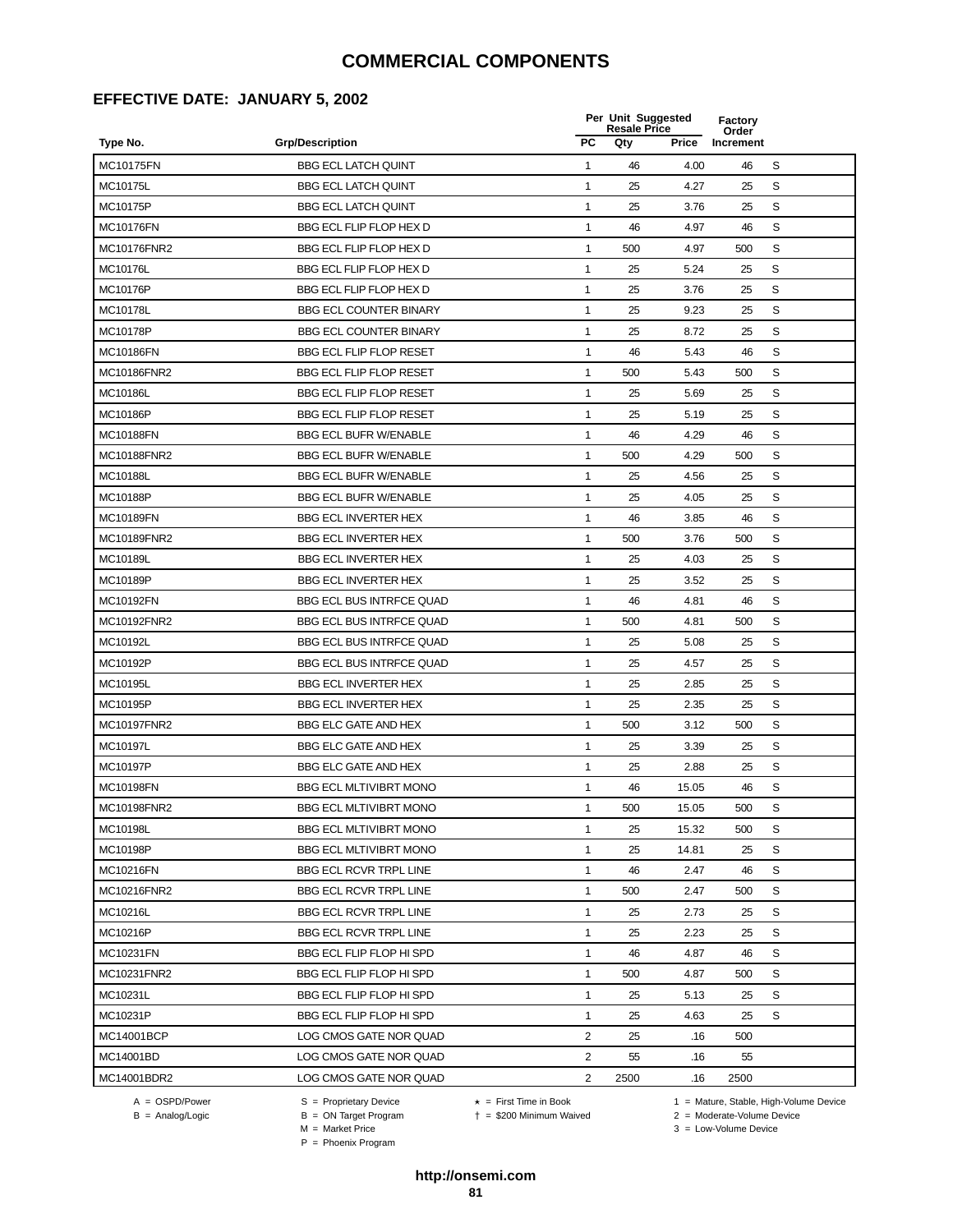### **EFFECTIVE DATE: JANUARY 5, 2002**

|                  |                                |                | Per Unit Suggested<br><b>Resale Price</b> |              | Factory<br>Order |   |  |
|------------------|--------------------------------|----------------|-------------------------------------------|--------------|------------------|---|--|
| Type No.         | <b>Grp/Description</b>         | <b>PC</b>      | Qty                                       | <b>Price</b> | Increment        |   |  |
| MC10175FN        | <b>BBG ECL LATCH QUINT</b>     | $\mathbf{1}$   | 46                                        | 4.00         | 46               | S |  |
| MC10175L         | <b>BBG ECL LATCH QUINT</b>     | $\mathbf{1}$   | 25                                        | 4.27         | 25               | S |  |
| MC10175P         | <b>BBG ECL LATCH QUINT</b>     | 1              | 25                                        | 3.76         | 25               | S |  |
| MC10176FN        | BBG ECL FLIP FLOP HEX D        | $\mathbf{1}$   | 46                                        | 4.97         | 46               | S |  |
| MC10176FNR2      | BBG ECL FLIP FLOP HEX D        | 1              | 500                                       | 4.97         | 500              | S |  |
| MC10176L         | BBG ECL FLIP FLOP HEX D        | $\mathbf{1}$   | 25                                        | 5.24         | 25               | S |  |
| MC10176P         | BBG ECL FLIP FLOP HEX D        | $\mathbf{1}$   | 25                                        | 3.76         | 25               | S |  |
| MC10178L         | <b>BBG ECL COUNTER BINARY</b>  | $\mathbf{1}$   | 25                                        | 9.23         | 25               | S |  |
| MC10178P         | <b>BBG ECL COUNTER BINARY</b>  | $\mathbf{1}$   | 25                                        | 8.72         | 25               | S |  |
| MC10186FN        | <b>BBG ECL FLIP FLOP RESET</b> | $\mathbf{1}$   | 46                                        | 5.43         | 46               | S |  |
| MC10186FNR2      | <b>BBG ECL FLIP FLOP RESET</b> | $\mathbf{1}$   | 500                                       | 5.43         | 500              | S |  |
| MC10186L         | <b>BBG ECL FLIP FLOP RESET</b> | 1              | 25                                        | 5.69         | 25               | S |  |
| MC10186P         | <b>BBG ECL FLIP FLOP RESET</b> | 1              | 25                                        | 5.19         | 25               | S |  |
| <b>MC10188FN</b> | <b>BBG ECL BUFR W/ENABLE</b>   | $\mathbf{1}$   | 46                                        | 4.29         | 46               | S |  |
| MC10188FNR2      | <b>BBG ECL BUFR W/ENABLE</b>   | $\mathbf{1}$   | 500                                       | 4.29         | 500              | S |  |
| MC10188L         | <b>BBG ECL BUFR W/ENABLE</b>   | $\mathbf{1}$   | 25                                        | 4.56         | 25               | S |  |
| MC10188P         | <b>BBG ECL BUFR W/ENABLE</b>   | $\mathbf{1}$   | 25                                        | 4.05         | 25               | S |  |
| MC10189FN        | <b>BBG ECL INVERTER HEX</b>    | $\mathbf{1}$   | 46                                        | 3.85         | 46               | S |  |
| MC10189FNR2      | <b>BBG ECL INVERTER HEX</b>    | $\mathbf{1}$   | 500                                       | 3.76         | 500              | S |  |
| MC10189L         | <b>BBG ECL INVERTER HEX</b>    | $\mathbf{1}$   | 25                                        | 4.03         | 25               | S |  |
| MC10189P         | <b>BBG ECL INVERTER HEX</b>    | 1              | 25                                        | 3.52         | 25               | S |  |
| MC10192FN        | BBG ECL BUS INTRFCE QUAD       | $\mathbf{1}$   | 46                                        | 4.81         | 46               | S |  |
| MC10192FNR2      | BBG ECL BUS INTRFCE QUAD       | $\mathbf{1}$   | 500                                       | 4.81         | 500              | S |  |
| MC10192L         | BBG ECL BUS INTRFCE QUAD       | $\mathbf{1}$   | 25                                        | 5.08         | 25               | S |  |
| MC10192P         | BBG ECL BUS INTRFCE QUAD       | $\mathbf{1}$   | 25                                        | 4.57         | 25               | S |  |
| MC10195L         | <b>BBG ECL INVERTER HEX</b>    | $\mathbf{1}$   | 25                                        | 2.85         | 25               | S |  |
| MC10195P         | <b>BBG ECL INVERTER HEX</b>    | $\mathbf{1}$   | 25                                        | 2.35         | 25               | S |  |
| MC10197FNR2      | BBG ELC GATE AND HEX           | $\mathbf{1}$   | 500                                       | 3.12         | 500              | S |  |
| MC10197L         | BBG ELC GATE AND HEX           | 1              | 25                                        | 3.39         | 25               | S |  |
| MC10197P         | <b>BBG ELC GATE AND HEX</b>    | 1              | 25                                        | 2.88         | 25               | S |  |
| MC10198FN        | <b>BBG ECL MLTIVIBRT MONO</b>  | 1              | 46                                        | 15.05        | 46               | S |  |
| MC10198FNR2      | BBG ECL MLTIVIBRT MONO         | 1              | 500                                       | 15.05        | 500              | S |  |
| MC10198L         | <b>BBG ECL MLTIVIBRT MONO</b>  | $\mathbf{1}$   | 25                                        | 15.32        | 500              | S |  |
| MC10198P         | <b>BBG ECL MLTIVIBRT MONO</b>  | $\mathbf{1}$   | 25                                        | 14.81        | 25               | S |  |
| MC10216FN        | <b>BBG ECL RCVR TRPL LINE</b>  | $\mathbf{1}$   | 46                                        | 2.47         | 46               | S |  |
| MC10216FNR2      | <b>BBG ECL RCVR TRPL LINE</b>  | $\mathbf{1}$   | 500                                       | 2.47         | 500              | S |  |
| MC10216L         | <b>BBG ECL RCVR TRPL LINE</b>  | $\mathbf{1}$   | 25                                        | 2.73         | 25               | S |  |
| MC10216P         | <b>BBG ECL RCVR TRPL LINE</b>  | $\mathbf{1}$   | 25                                        | 2.23         | 25               | S |  |
| MC10231FN        | BBG ECL FLIP FLOP HI SPD       | $\mathbf{1}$   | 46                                        | 4.87         | 46               | S |  |
| MC10231FNR2      | BBG ECL FLIP FLOP HI SPD       | $\mathbf{1}$   | 500                                       | 4.87         | 500              | S |  |
| MC10231L         | BBG ECL FLIP FLOP HI SPD       | $\mathbf{1}$   | 25                                        | 5.13         | 25               | S |  |
| MC10231P         | BBG ECL FLIP FLOP HI SPD       | $\mathbf{1}$   | 25                                        | 4.63         | 25               | S |  |
| MC14001BCP       | LOG CMOS GATE NOR QUAD         | $\overline{c}$ | 25                                        | .16          | 500              |   |  |
| MC14001BD        | LOG CMOS GATE NOR QUAD         | 2              | 55                                        | .16          | 55               |   |  |
| MC14001BDR2      | LOG CMOS GATE NOR QUAD         | $\overline{2}$ | 2500                                      | .16          | 2500             |   |  |
|                  |                                |                |                                           |              |                  |   |  |

 $B =$  Analog/Logic  $B =$  ON Target Program  $M =$  Market Price

A = OSPD/Power S = Proprietary Device  $\star$  = First Time in Book 1 = Mature, Stable, High-Volume Device

= \$200 Minimum Waived 2 = Moderate-Volume Device

P = Phoenix Program

 $3 =$  Low-Volume Device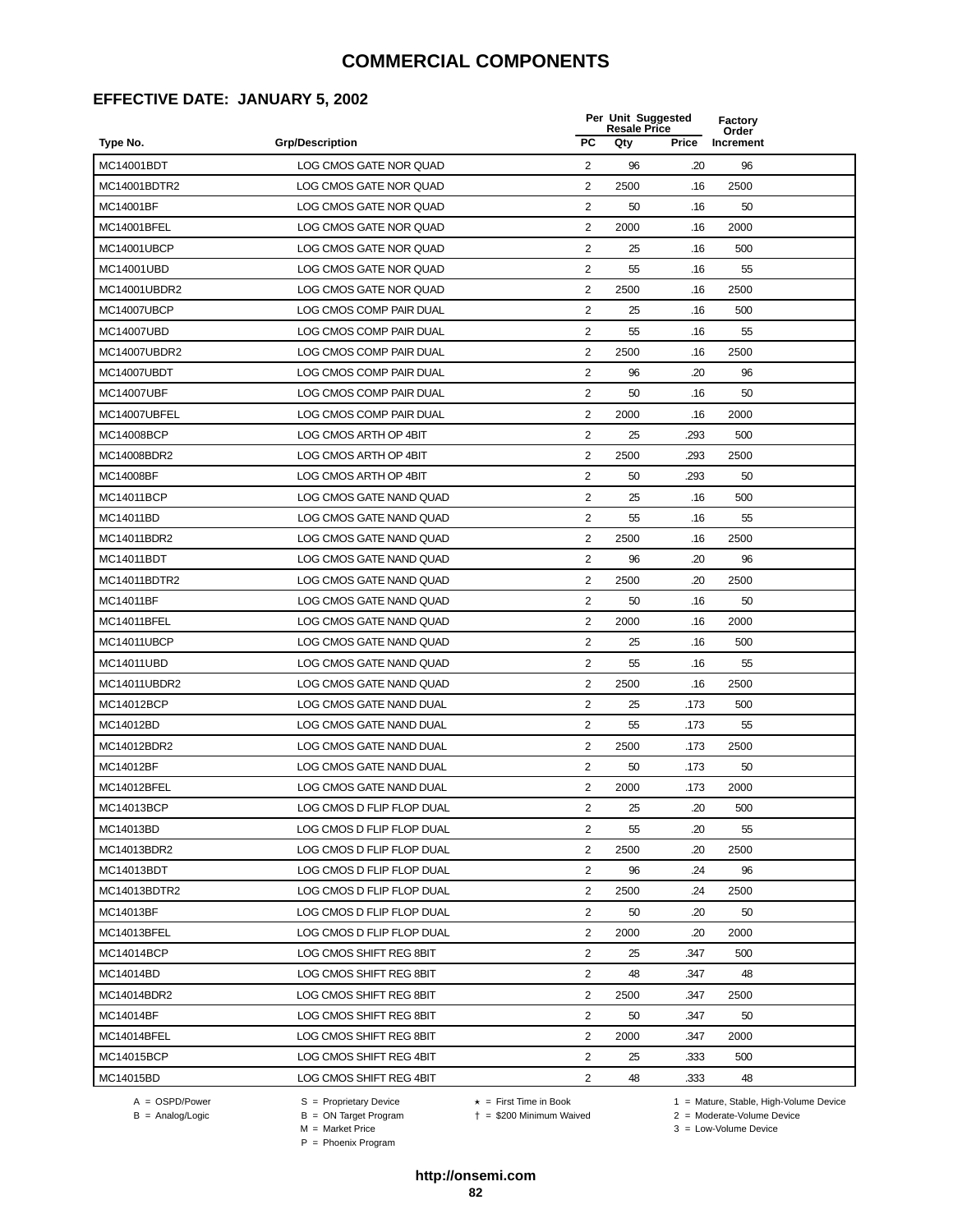### **EFFECTIVE DATE: JANUARY 5, 2002**

|                    |                           |                | Per Unit Suggested<br><b>Resale Price</b> |       | <b>Factory</b><br>Order |  |
|--------------------|---------------------------|----------------|-------------------------------------------|-------|-------------------------|--|
| Type No.           | <b>Grp/Description</b>    | <b>PC</b>      | Qty                                       | Price | Increment               |  |
| MC14001BDT         | LOG CMOS GATE NOR QUAD    | 2              | 96                                        | .20   | 96                      |  |
| MC14001BDTR2       | LOG CMOS GATE NOR QUAD    | $\overline{2}$ | 2500                                      | .16   | 2500                    |  |
| MC14001BF          | LOG CMOS GATE NOR QUAD    | $\overline{2}$ | 50                                        | .16   | 50                      |  |
| MC14001BFEL        | LOG CMOS GATE NOR QUAD    | $\overline{2}$ | 2000                                      | .16   | 2000                    |  |
| <b>MC14001UBCP</b> | LOG CMOS GATE NOR QUAD    | 2              | 25                                        | .16   | 500                     |  |
| MC14001UBD         | LOG CMOS GATE NOR QUAD    | 2              | 55                                        | .16   | 55                      |  |
| MC14001UBDR2       | LOG CMOS GATE NOR QUAD    | $\overline{2}$ | 2500                                      | .16   | 2500                    |  |
| MC14007UBCP        | LOG CMOS COMP PAIR DUAL   | 2              | 25                                        | .16   | 500                     |  |
| MC14007UBD         | LOG CMOS COMP PAIR DUAL   | 2              | 55                                        | .16   | 55                      |  |
| MC14007UBDR2       | LOG CMOS COMP PAIR DUAL   | $\overline{2}$ | 2500                                      | .16   | 2500                    |  |
| MC14007UBDT        | LOG CMOS COMP PAIR DUAL   | 2              | 96                                        | .20   | 96                      |  |
| <b>MC14007UBF</b>  | LOG CMOS COMP PAIR DUAL   | $\overline{2}$ | 50                                        | .16   | 50                      |  |
| MC14007UBFEL       | LOG CMOS COMP PAIR DUAL   | 2              | 2000                                      | .16   | 2000                    |  |
| MC14008BCP         | LOG CMOS ARTH OP 4BIT     | $\sqrt{2}$     | 25                                        | .293  | 500                     |  |
| MC14008BDR2        | LOG CMOS ARTH OP 4BIT     | $\overline{2}$ | 2500                                      | .293  | 2500                    |  |
| MC14008BF          | LOG CMOS ARTH OP 4BIT     | $\overline{2}$ | 50                                        | .293  | 50                      |  |
| MC14011BCP         | LOG CMOS GATE NAND QUAD   | 2              | 25                                        | .16   | 500                     |  |
| MC14011BD          | LOG CMOS GATE NAND QUAD   | $\overline{2}$ | 55                                        | .16   | 55                      |  |
| MC14011BDR2        | LOG CMOS GATE NAND QUAD   | $\overline{2}$ | 2500                                      | .16   | 2500                    |  |
| MC14011BDT         | LOG CMOS GATE NAND QUAD   | 2              | 96                                        | .20   | 96                      |  |
| MC14011BDTR2       | LOG CMOS GATE NAND QUAD   | $\overline{2}$ | 2500                                      | .20   | 2500                    |  |
| MC14011BF          | LOG CMOS GATE NAND QUAD   | 2              | 50                                        | .16   | 50                      |  |
| MC14011BFEL        | LOG CMOS GATE NAND QUAD   | $\overline{2}$ | 2000                                      | .16   | 2000                    |  |
| MC14011UBCP        | LOG CMOS GATE NAND QUAD   | 2              | 25                                        | .16   | 500                     |  |
| MC14011UBD         | LOG CMOS GATE NAND QUAD   | $\overline{2}$ | 55                                        | .16   | 55                      |  |
| MC14011UBDR2       | LOG CMOS GATE NAND QUAD   | 2              | 2500                                      | .16   | 2500                    |  |
| MC14012BCP         | LOG CMOS GATE NAND DUAL   | 2              | 25                                        | .173  | 500                     |  |
| MC14012BD          | LOG CMOS GATE NAND DUAL   | $\overline{2}$ | 55                                        | .173  | 55                      |  |
| MC14012BDR2        | LOG CMOS GATE NAND DUAL   | 2              | 2500                                      | .173  | 2500                    |  |
| MC14012BF          | LOG CMOS GATE NAND DUAL   | 2              | 50                                        | .173  | 50                      |  |
| MC14012BFEL        | LOG CMOS GATE NAND DUAL   | $\overline{2}$ | 2000                                      | .173  | 2000                    |  |
| MC14013BCP         | LOG CMOS D FLIP FLOP DUAL | 2              | 25                                        | .20   | 500                     |  |
| MC14013BD          | LOG CMOS D FLIP FLOP DUAL | 2              | 55                                        | .20   | 55                      |  |
| MC14013BDR2        | LOG CMOS D FLIP FLOP DUAL | 2              | 2500                                      | .20   | 2500                    |  |
| MC14013BDT         | LOG CMOS D FLIP FLOP DUAL | 2              | 96                                        | .24   | 96                      |  |
| MC14013BDTR2       | LOG CMOS D FLIP FLOP DUAL | 2              | 2500                                      | .24   | 2500                    |  |
| MC14013BF          | LOG CMOS D FLIP FLOP DUAL | 2              | 50                                        | .20   | 50                      |  |
| MC14013BFEL        | LOG CMOS D FLIP FLOP DUAL | 2              | 2000                                      | .20   | 2000                    |  |
| MC14014BCP         | LOG CMOS SHIFT REG 8BIT   | $\overline{2}$ | 25                                        | .347  | 500                     |  |
| MC14014BD          | LOG CMOS SHIFT REG 8BIT   | $\overline{2}$ | 48                                        | .347  | 48                      |  |
| MC14014BDR2        | LOG CMOS SHIFT REG 8BIT   | 2              | 2500                                      | .347  | 2500                    |  |
| MC14014BF          | LOG CMOS SHIFT REG 8BIT   | 2              | 50                                        | .347  | 50                      |  |
| MC14014BFEL        | LOG CMOS SHIFT REG 8BIT   | 2              | 2000                                      | .347  | 2000                    |  |
| MC14015BCP         | LOG CMOS SHIFT REG 4BIT   | $\overline{2}$ | 25                                        | .333  | 500                     |  |
| MC14015BD          | LOG CMOS SHIFT REG 4BIT   | $\overline{c}$ | 48                                        | .333  | 48                      |  |
|                    |                           |                |                                           |       |                         |  |

B = ON Target Program<br>M = Market Price

 $A = OBPD/Power$ <br>  $B = ON Target Program$   $A = First Time in Book$   $A = West Theorem 1 = Nature, Stable, High-Volume Device$   $A = Mature, Stable, High-Volume Device$   $A = Mature, Stable, High-Volume Device$   $A = Mature, Table, High-Volume Device$   $A = Mature, Table, High-Volume Device$   $A = Mature, Table, High-Volume Device$   $A = Mature, Table, High-Volume Device$   $A = Mature, Table, High-Volume Device$   $A = Mature, Table, High-Volume Device$   $A = Mature, Table, High-Volume Device$   $A = Mature, Table, High-Volume Device$   $A = Mature, Table, High-Volume Device$   $A = Mature, Table, High-Volume Device$   $A = Mature, Table$ 

 $2 =$  Moderate-Volume Device  $3 =$  Low-Volume Device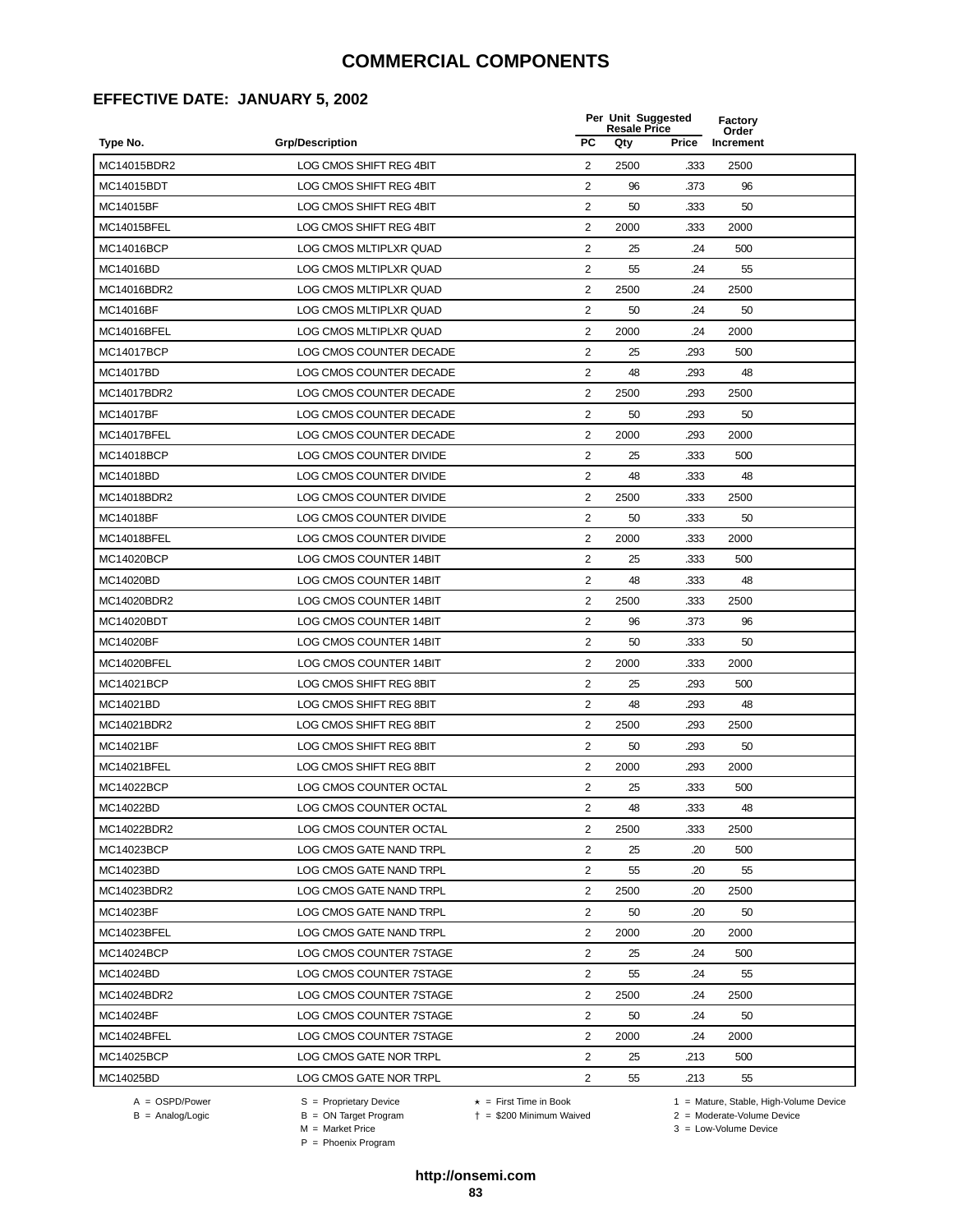### **EFFECTIVE DATE: JANUARY 5, 2002**

|                   |                         |                | Per Unit Suggested<br><b>Resale Price</b> |       | Factory<br>Order |  |
|-------------------|-------------------------|----------------|-------------------------------------------|-------|------------------|--|
| Type No.          | <b>Grp/Description</b>  | <b>PC</b>      | Qty                                       | Price | Increment        |  |
| MC14015BDR2       | LOG CMOS SHIFT REG 4BIT | 2              | 2500                                      | .333  | 2500             |  |
| MC14015BDT        | LOG CMOS SHIFT REG 4BIT | 2              | 96                                        | .373  | 96               |  |
| MC14015BF         | LOG CMOS SHIFT REG 4BIT | 2              | 50                                        | .333  | 50               |  |
| MC14015BFEL       | LOG CMOS SHIFT REG 4BIT | 2              | 2000                                      | .333  | 2000             |  |
| MC14016BCP        | LOG CMOS MLTIPLXR QUAD  | 2              | 25                                        | .24   | 500              |  |
| MC14016BD         | LOG CMOS MLTIPLXR QUAD  | 2              | 55                                        | .24   | 55               |  |
| MC14016BDR2       | LOG CMOS MLTIPLXR QUAD  | $\overline{2}$ | 2500                                      | .24   | 2500             |  |
| MC14016BF         | LOG CMOS MLTIPLXR QUAD  | 2              | 50                                        | .24   | 50               |  |
| MC14016BFEL       | LOG CMOS MLTIPLXR QUAD  | 2              | 2000                                      | .24   | 2000             |  |
| <b>MC14017BCP</b> | LOG CMOS COUNTER DECADE | $\overline{2}$ | 25                                        | .293  | 500              |  |
| MC14017BD         | LOG CMOS COUNTER DECADE | 2              | 48                                        | .293  | 48               |  |
| MC14017BDR2       | LOG CMOS COUNTER DECADE | $\overline{2}$ | 2500                                      | .293  | 2500             |  |
| MC14017BF         | LOG CMOS COUNTER DECADE | 2              | 50                                        | .293  | 50               |  |
| MC14017BFEL       | LOG CMOS COUNTER DECADE | $\sqrt{2}$     | 2000                                      | .293  | 2000             |  |
| MC14018BCP        | LOG CMOS COUNTER DIVIDE | 2              | 25                                        | .333  | 500              |  |
| MC14018BD         | LOG CMOS COUNTER DIVIDE | $\overline{2}$ | 48                                        | .333  | 48               |  |
| MC14018BDR2       | LOG CMOS COUNTER DIVIDE | 2              | 2500                                      | .333  | 2500             |  |
| MC14018BF         | LOG CMOS COUNTER DIVIDE | $\overline{2}$ | 50                                        | .333  | 50               |  |
| MC14018BFEL       | LOG CMOS COUNTER DIVIDE | $\overline{2}$ | 2000                                      | .333  | 2000             |  |
| MC14020BCP        | LOG CMOS COUNTER 14BIT  | 2              | 25                                        | .333  | 500              |  |
| MC14020BD         | LOG CMOS COUNTER 14BIT  | $\overline{2}$ | 48                                        | .333  | 48               |  |
| MC14020BDR2       | LOG CMOS COUNTER 14BIT  | $\overline{2}$ | 2500                                      | .333  | 2500             |  |
| MC14020BDT        | LOG CMOS COUNTER 14BIT  | 2              | 96                                        | .373  | 96               |  |
| MC14020BF         | LOG CMOS COUNTER 14BIT  | 2              | 50                                        | .333  | 50               |  |
| MC14020BFEL       | LOG CMOS COUNTER 14BIT  | $\overline{2}$ | 2000                                      | .333  | 2000             |  |
| MC14021BCP        | LOG CMOS SHIFT REG 8BIT | 2              | 25                                        | .293  | 500              |  |
| MC14021BD         | LOG CMOS SHIFT REG 8BIT | $\overline{2}$ | 48                                        | .293  | 48               |  |
| MC14021BDR2       | LOG CMOS SHIFT REG 8BIT | $\overline{2}$ | 2500                                      | .293  | 2500             |  |
| MC14021BF         | LOG CMOS SHIFT REG 8BIT | 2              | 50                                        | .293  | 50               |  |
| MC14021BFEL       | LOG CMOS SHIFT REG 8BIT | $\overline{2}$ | 2000                                      | .293  | 2000             |  |
| MC14022BCP        | LOG CMOS COUNTER OCTAL  | $\overline{2}$ | 25                                        | .333  | 500              |  |
| MC14022BD         | LOG CMOS COUNTER OCTAL  | 2              | 48                                        | 333   | 48               |  |
| MC14022BDR2       | LOG CMOS COUNTER OCTAL  | 2              | 2500                                      | .333  | 2500             |  |
| MC14023BCP        | LOG CMOS GATE NAND TRPL | 2              | 25                                        | .20   | 500              |  |
| MC14023BD         | LOG CMOS GATE NAND TRPL | 2              | 55                                        | .20   | 55               |  |
| MC14023BDR2       | LOG CMOS GATE NAND TRPL | 2              | 2500                                      | .20   | 2500             |  |
| MC14023BF         | LOG CMOS GATE NAND TRPL | 2              | 50                                        | .20   | 50               |  |
| MC14023BFEL       | LOG CMOS GATE NAND TRPL | $\overline{2}$ | 2000                                      | .20   | 2000             |  |
| MC14024BCP        | LOG CMOS COUNTER 7STAGE | $\overline{2}$ | 25                                        | .24   | 500              |  |
| MC14024BD         | LOG CMOS COUNTER 7STAGE | 2              | 55                                        | .24   | 55               |  |
| MC14024BDR2       | LOG CMOS COUNTER 7STAGE | 2              | 2500                                      | .24   | 2500             |  |
| MC14024BF         | LOG CMOS COUNTER 7STAGE | 2              | 50                                        | .24   | 50               |  |
| MC14024BFEL       | LOG CMOS COUNTER 7STAGE | 2              | 2000                                      | .24   | 2000             |  |
| MC14025BCP        | LOG CMOS GATE NOR TRPL  | 2              | 25                                        | .213  | 500              |  |
| MC14025BD         | LOG CMOS GATE NOR TRPL  | $\overline{2}$ | 55                                        | .213  | 55               |  |
|                   |                         |                |                                           |       |                  |  |

B = ON Target Program<br>M = Market Price

 $A = OBPD/Power$ <br>  $B = ON Target Program$   $A = First Time in Book$   $A = West Theorem 1 = Nature, Stable, High-Volume Device$   $A = Mature, Stable, High-Volume Device$   $A = Mature, Stable, High-Volume Device$   $A = Mature, Table, High-Volume Device$   $A = Mature, Table, High-Volume Device$   $A = Mature, Table, High-Volume Device$   $A = Mature, Table, High-Volume Device$   $A = Mature, Table, High-Volume Device$   $A = Mature, Table, High-Volume Device$   $A = Mature, Table, High-Volume Device$   $A = Mature, Table, High-Volume Device$   $A = Mature, Table, High-Volume Device$   $A = Mature, Table, High-Volume Device$   $A = Mature, Table$ 

 $2 =$  Moderate-Volume Device

P = Phoenix Program

 $3 =$  Low-Volume Device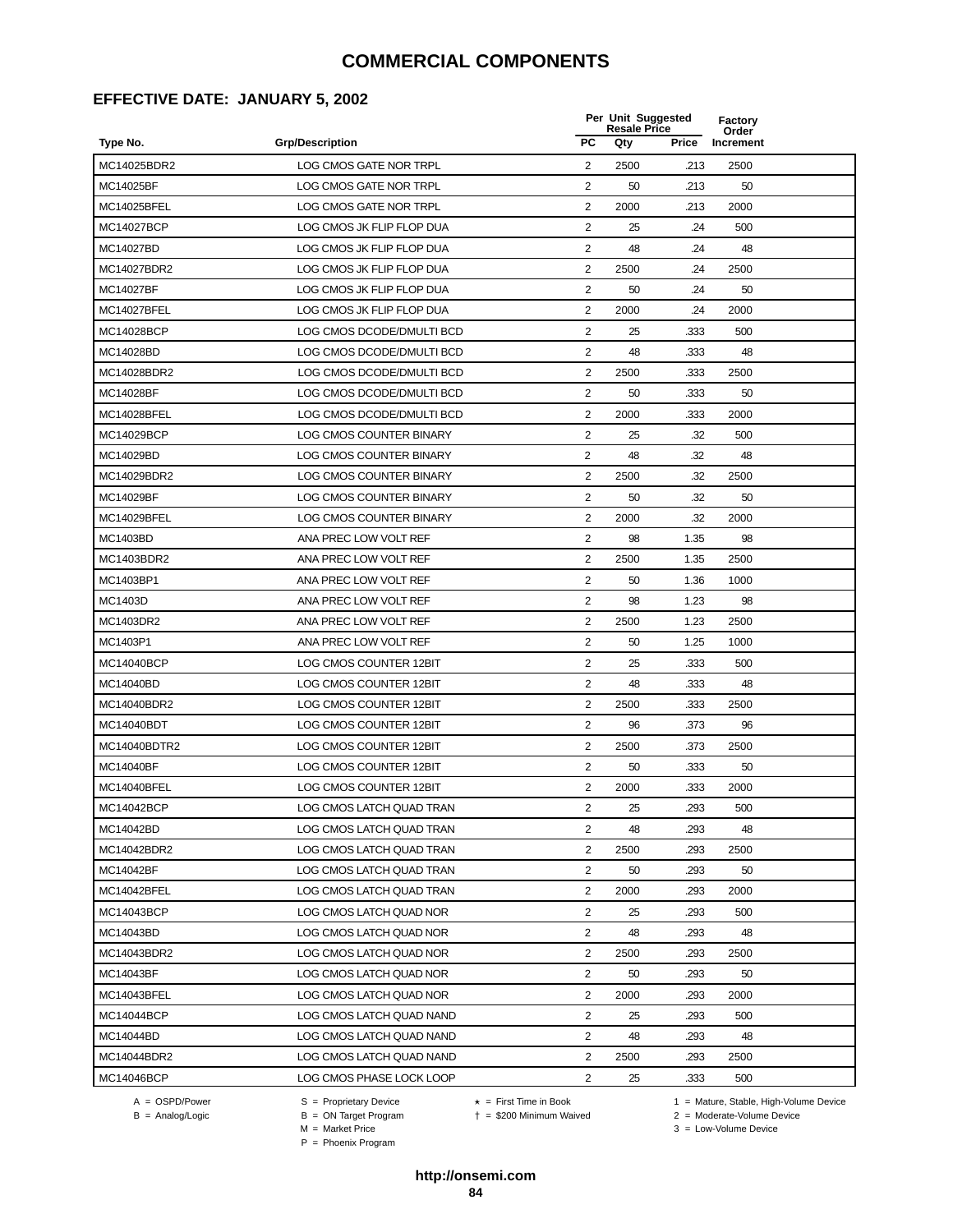### **EFFECTIVE DATE: JANUARY 5, 2002**

| PC<br><b>Grp/Description</b><br>Qty<br>Price<br>Type No.<br>Increment<br>MC14025BDR2<br><b>LOG CMOS GATE NOR TRPL</b><br>2<br>2500<br>2500<br>.213<br>2<br>50<br>MC14025BF<br><b>LOG CMOS GATE NOR TRPL</b><br>50<br>.213<br>$\overline{2}$<br>2000<br>2000<br>MC14025BFEL<br>LOG CMOS GATE NOR TRPL<br>.213<br>MC14027BCP<br>2<br>LOG CMOS JK FLIP FLOP DUA<br>25<br>.24<br>500<br>$\overline{2}$<br>48<br>MC14027BD<br>LOG CMOS JK FLIP FLOP DUA<br>.24<br>48<br>MC14027BDR2<br>LOG CMOS JK FLIP FLOP DUA<br>2<br>2500<br>.24<br>2500<br>$\overline{2}$<br>50<br>.24<br>50<br>MC14027BF<br>LOG CMOS JK FLIP FLOP DUA<br>2<br>2000<br>.24<br>2000<br><b>MC14027BFEL</b><br>LOG CMOS JK FLIP FLOP DUA<br>MC14028BCP<br>$\overline{2}$<br>25<br>.333<br>500<br>LOG CMOS DCODE/DMULTI BCD<br>MC14028BD<br>LOG CMOS DCODE/DMULTI BCD<br>$\overline{2}$<br>48<br>.333<br>48<br>$\overline{2}$<br>2500<br>MC14028BDR2<br>LOG CMOS DCODE/DMULTI BCD<br>2500<br>.333<br>MC14028BF<br>LOG CMOS DCODE/DMULTI BCD<br>2<br>50<br>.333<br>50<br>$\overline{2}$<br>MC14028BFEL<br>LOG CMOS DCODE/DMULTI BCD<br>2000<br>.333<br>2000<br>$\overline{2}$<br>MC14029BCP<br>LOG CMOS COUNTER BINARY<br>25<br>.32<br>500<br>MC14029BD<br><b>LOG CMOS COUNTER BINARY</b><br>2<br>48<br>.32<br>48<br>$\overline{2}$<br>2500<br>.32<br>2500<br>MC14029BDR2<br><b>LOG CMOS COUNTER BINARY</b><br>2<br>50<br>.32<br>MC14029BF<br>LOG CMOS COUNTER BINARY<br>50<br>$\overline{2}$<br><b>MC14029BFEL</b><br>2000<br>.32<br>2000<br>LOG CMOS COUNTER BINARY<br>2<br>98<br>MC1403BD<br>ANA PREC LOW VOLT REF<br>1.35<br>98<br>2<br>2500<br>MC1403BDR2<br>ANA PREC LOW VOLT REF<br>2500<br>1.35<br>$\overline{2}$<br>MC1403BP1<br>ANA PREC LOW VOLT REF<br>50<br>1.36<br>1000<br>2<br>MC1403D<br>ANA PREC LOW VOLT REF<br>98<br>1.23<br>98<br>$\overline{2}$<br>MC1403DR2<br>ANA PREC LOW VOLT REF<br>2500<br>1.23<br>2500<br>MC1403P1<br>ANA PREC LOW VOLT REF<br>2<br>50<br>1.25<br>1000<br>$\overline{c}$<br>25<br>.333<br>MC14040BCP<br>LOG CMOS COUNTER 12BIT<br>500<br>2<br>48<br>MC14040BD<br>LOG CMOS COUNTER 12BIT<br>.333<br>48<br>$\overline{2}$<br>MC14040BDR2<br>2500<br>2500<br>LOG CMOS COUNTER 12BIT<br>.333<br>2<br>MC14040BDT<br>LOG CMOS COUNTER 12BIT<br>96<br>.373<br>96<br>$\overline{2}$<br>MC14040BDTR2<br>LOG CMOS COUNTER 12BIT<br>2500<br>.373<br>2500<br>MC14040BF<br>LOG CMOS COUNTER 12BIT<br>2<br>50<br>.333<br>50<br>MC14040BFEL<br>LOG CMOS COUNTER 12BIT<br>2<br>2000<br>.333<br>2000<br>2<br>.293<br>MC14042BCP<br>LOG CMOS LATCH QUAD TRAN<br>25<br>500<br>$\overline{2}$<br>48<br>MC14042BD<br>LOG CMOS LATCH QUAD TRAN<br>.293<br>48<br>$\overline{2}$<br>2500<br>.293<br>2500<br>MC14042BDR2<br>LOG CMOS LATCH QUAD TRAN<br>2<br>MC14042BF<br>LOG CMOS LATCH QUAD TRAN<br>50<br>.293<br>50<br>$\overline{2}$<br>MC14042BFEL<br>LOG CMOS LATCH QUAD TRAN<br>2000<br>.293<br>2000<br>2<br>MC14043BCP<br>25<br>.293<br>500<br>LOG CMOS LATCH QUAD NOR<br>$\overline{2}$<br>MC14043BD<br>LOG CMOS LATCH QUAD NOR<br>48<br>.293<br>48<br>2<br>2500<br>.293<br>2500<br>MC14043BDR2<br>LOG CMOS LATCH QUAD NOR<br>$\overline{2}$<br>MC14043BF<br>LOG CMOS LATCH QUAD NOR<br>50<br>.293<br>50<br>$\overline{2}$<br>MC14043BFEL<br>LOG CMOS LATCH QUAD NOR<br>2000<br>.293<br>2000<br>2<br>MC14044BCP<br>LOG CMOS LATCH QUAD NAND<br>25<br>.293<br>500<br>$\overline{2}$<br>48<br>MC14044BD<br>LOG CMOS LATCH QUAD NAND<br>.293<br>48<br>$\overline{2}$<br>MC14044BDR2<br>LOG CMOS LATCH QUAD NAND<br>2500<br>.293<br>2500<br>$\overline{2}$<br>MC14046BCP<br>LOG CMOS PHASE LOCK LOOP<br>25<br>.333<br>500 |  | Per Unit Suggested<br><b>Resale Price</b> | Factory<br>Order |  |
|--------------------------------------------------------------------------------------------------------------------------------------------------------------------------------------------------------------------------------------------------------------------------------------------------------------------------------------------------------------------------------------------------------------------------------------------------------------------------------------------------------------------------------------------------------------------------------------------------------------------------------------------------------------------------------------------------------------------------------------------------------------------------------------------------------------------------------------------------------------------------------------------------------------------------------------------------------------------------------------------------------------------------------------------------------------------------------------------------------------------------------------------------------------------------------------------------------------------------------------------------------------------------------------------------------------------------------------------------------------------------------------------------------------------------------------------------------------------------------------------------------------------------------------------------------------------------------------------------------------------------------------------------------------------------------------------------------------------------------------------------------------------------------------------------------------------------------------------------------------------------------------------------------------------------------------------------------------------------------------------------------------------------------------------------------------------------------------------------------------------------------------------------------------------------------------------------------------------------------------------------------------------------------------------------------------------------------------------------------------------------------------------------------------------------------------------------------------------------------------------------------------------------------------------------------------------------------------------------------------------------------------------------------------------------------------------------------------------------------------------------------------------------------------------------------------------------------------------------------------------------------------------------------------------------------------------------------------------------------------------------------------------------------------------------------------------------------------------------------------------------------------------------------------------------------------------------------------------------------------------------------------------------------------------------------------------------------------------------------------------------------------------------------------------------------------------------------------------------------------------------------------------------------------------------------------------------------------------------------------|--|-------------------------------------------|------------------|--|
|                                                                                                                                                                                                                                                                                                                                                                                                                                                                                                                                                                                                                                                                                                                                                                                                                                                                                                                                                                                                                                                                                                                                                                                                                                                                                                                                                                                                                                                                                                                                                                                                                                                                                                                                                                                                                                                                                                                                                                                                                                                                                                                                                                                                                                                                                                                                                                                                                                                                                                                                                                                                                                                                                                                                                                                                                                                                                                                                                                                                                                                                                                                                                                                                                                                                                                                                                                                                                                                                                                                                                                                                              |  |                                           |                  |  |
|                                                                                                                                                                                                                                                                                                                                                                                                                                                                                                                                                                                                                                                                                                                                                                                                                                                                                                                                                                                                                                                                                                                                                                                                                                                                                                                                                                                                                                                                                                                                                                                                                                                                                                                                                                                                                                                                                                                                                                                                                                                                                                                                                                                                                                                                                                                                                                                                                                                                                                                                                                                                                                                                                                                                                                                                                                                                                                                                                                                                                                                                                                                                                                                                                                                                                                                                                                                                                                                                                                                                                                                                              |  |                                           |                  |  |
|                                                                                                                                                                                                                                                                                                                                                                                                                                                                                                                                                                                                                                                                                                                                                                                                                                                                                                                                                                                                                                                                                                                                                                                                                                                                                                                                                                                                                                                                                                                                                                                                                                                                                                                                                                                                                                                                                                                                                                                                                                                                                                                                                                                                                                                                                                                                                                                                                                                                                                                                                                                                                                                                                                                                                                                                                                                                                                                                                                                                                                                                                                                                                                                                                                                                                                                                                                                                                                                                                                                                                                                                              |  |                                           |                  |  |
|                                                                                                                                                                                                                                                                                                                                                                                                                                                                                                                                                                                                                                                                                                                                                                                                                                                                                                                                                                                                                                                                                                                                                                                                                                                                                                                                                                                                                                                                                                                                                                                                                                                                                                                                                                                                                                                                                                                                                                                                                                                                                                                                                                                                                                                                                                                                                                                                                                                                                                                                                                                                                                                                                                                                                                                                                                                                                                                                                                                                                                                                                                                                                                                                                                                                                                                                                                                                                                                                                                                                                                                                              |  |                                           |                  |  |
|                                                                                                                                                                                                                                                                                                                                                                                                                                                                                                                                                                                                                                                                                                                                                                                                                                                                                                                                                                                                                                                                                                                                                                                                                                                                                                                                                                                                                                                                                                                                                                                                                                                                                                                                                                                                                                                                                                                                                                                                                                                                                                                                                                                                                                                                                                                                                                                                                                                                                                                                                                                                                                                                                                                                                                                                                                                                                                                                                                                                                                                                                                                                                                                                                                                                                                                                                                                                                                                                                                                                                                                                              |  |                                           |                  |  |
|                                                                                                                                                                                                                                                                                                                                                                                                                                                                                                                                                                                                                                                                                                                                                                                                                                                                                                                                                                                                                                                                                                                                                                                                                                                                                                                                                                                                                                                                                                                                                                                                                                                                                                                                                                                                                                                                                                                                                                                                                                                                                                                                                                                                                                                                                                                                                                                                                                                                                                                                                                                                                                                                                                                                                                                                                                                                                                                                                                                                                                                                                                                                                                                                                                                                                                                                                                                                                                                                                                                                                                                                              |  |                                           |                  |  |
|                                                                                                                                                                                                                                                                                                                                                                                                                                                                                                                                                                                                                                                                                                                                                                                                                                                                                                                                                                                                                                                                                                                                                                                                                                                                                                                                                                                                                                                                                                                                                                                                                                                                                                                                                                                                                                                                                                                                                                                                                                                                                                                                                                                                                                                                                                                                                                                                                                                                                                                                                                                                                                                                                                                                                                                                                                                                                                                                                                                                                                                                                                                                                                                                                                                                                                                                                                                                                                                                                                                                                                                                              |  |                                           |                  |  |
|                                                                                                                                                                                                                                                                                                                                                                                                                                                                                                                                                                                                                                                                                                                                                                                                                                                                                                                                                                                                                                                                                                                                                                                                                                                                                                                                                                                                                                                                                                                                                                                                                                                                                                                                                                                                                                                                                                                                                                                                                                                                                                                                                                                                                                                                                                                                                                                                                                                                                                                                                                                                                                                                                                                                                                                                                                                                                                                                                                                                                                                                                                                                                                                                                                                                                                                                                                                                                                                                                                                                                                                                              |  |                                           |                  |  |
|                                                                                                                                                                                                                                                                                                                                                                                                                                                                                                                                                                                                                                                                                                                                                                                                                                                                                                                                                                                                                                                                                                                                                                                                                                                                                                                                                                                                                                                                                                                                                                                                                                                                                                                                                                                                                                                                                                                                                                                                                                                                                                                                                                                                                                                                                                                                                                                                                                                                                                                                                                                                                                                                                                                                                                                                                                                                                                                                                                                                                                                                                                                                                                                                                                                                                                                                                                                                                                                                                                                                                                                                              |  |                                           |                  |  |
|                                                                                                                                                                                                                                                                                                                                                                                                                                                                                                                                                                                                                                                                                                                                                                                                                                                                                                                                                                                                                                                                                                                                                                                                                                                                                                                                                                                                                                                                                                                                                                                                                                                                                                                                                                                                                                                                                                                                                                                                                                                                                                                                                                                                                                                                                                                                                                                                                                                                                                                                                                                                                                                                                                                                                                                                                                                                                                                                                                                                                                                                                                                                                                                                                                                                                                                                                                                                                                                                                                                                                                                                              |  |                                           |                  |  |
|                                                                                                                                                                                                                                                                                                                                                                                                                                                                                                                                                                                                                                                                                                                                                                                                                                                                                                                                                                                                                                                                                                                                                                                                                                                                                                                                                                                                                                                                                                                                                                                                                                                                                                                                                                                                                                                                                                                                                                                                                                                                                                                                                                                                                                                                                                                                                                                                                                                                                                                                                                                                                                                                                                                                                                                                                                                                                                                                                                                                                                                                                                                                                                                                                                                                                                                                                                                                                                                                                                                                                                                                              |  |                                           |                  |  |
|                                                                                                                                                                                                                                                                                                                                                                                                                                                                                                                                                                                                                                                                                                                                                                                                                                                                                                                                                                                                                                                                                                                                                                                                                                                                                                                                                                                                                                                                                                                                                                                                                                                                                                                                                                                                                                                                                                                                                                                                                                                                                                                                                                                                                                                                                                                                                                                                                                                                                                                                                                                                                                                                                                                                                                                                                                                                                                                                                                                                                                                                                                                                                                                                                                                                                                                                                                                                                                                                                                                                                                                                              |  |                                           |                  |  |
|                                                                                                                                                                                                                                                                                                                                                                                                                                                                                                                                                                                                                                                                                                                                                                                                                                                                                                                                                                                                                                                                                                                                                                                                                                                                                                                                                                                                                                                                                                                                                                                                                                                                                                                                                                                                                                                                                                                                                                                                                                                                                                                                                                                                                                                                                                                                                                                                                                                                                                                                                                                                                                                                                                                                                                                                                                                                                                                                                                                                                                                                                                                                                                                                                                                                                                                                                                                                                                                                                                                                                                                                              |  |                                           |                  |  |
|                                                                                                                                                                                                                                                                                                                                                                                                                                                                                                                                                                                                                                                                                                                                                                                                                                                                                                                                                                                                                                                                                                                                                                                                                                                                                                                                                                                                                                                                                                                                                                                                                                                                                                                                                                                                                                                                                                                                                                                                                                                                                                                                                                                                                                                                                                                                                                                                                                                                                                                                                                                                                                                                                                                                                                                                                                                                                                                                                                                                                                                                                                                                                                                                                                                                                                                                                                                                                                                                                                                                                                                                              |  |                                           |                  |  |
|                                                                                                                                                                                                                                                                                                                                                                                                                                                                                                                                                                                                                                                                                                                                                                                                                                                                                                                                                                                                                                                                                                                                                                                                                                                                                                                                                                                                                                                                                                                                                                                                                                                                                                                                                                                                                                                                                                                                                                                                                                                                                                                                                                                                                                                                                                                                                                                                                                                                                                                                                                                                                                                                                                                                                                                                                                                                                                                                                                                                                                                                                                                                                                                                                                                                                                                                                                                                                                                                                                                                                                                                              |  |                                           |                  |  |
|                                                                                                                                                                                                                                                                                                                                                                                                                                                                                                                                                                                                                                                                                                                                                                                                                                                                                                                                                                                                                                                                                                                                                                                                                                                                                                                                                                                                                                                                                                                                                                                                                                                                                                                                                                                                                                                                                                                                                                                                                                                                                                                                                                                                                                                                                                                                                                                                                                                                                                                                                                                                                                                                                                                                                                                                                                                                                                                                                                                                                                                                                                                                                                                                                                                                                                                                                                                                                                                                                                                                                                                                              |  |                                           |                  |  |
|                                                                                                                                                                                                                                                                                                                                                                                                                                                                                                                                                                                                                                                                                                                                                                                                                                                                                                                                                                                                                                                                                                                                                                                                                                                                                                                                                                                                                                                                                                                                                                                                                                                                                                                                                                                                                                                                                                                                                                                                                                                                                                                                                                                                                                                                                                                                                                                                                                                                                                                                                                                                                                                                                                                                                                                                                                                                                                                                                                                                                                                                                                                                                                                                                                                                                                                                                                                                                                                                                                                                                                                                              |  |                                           |                  |  |
|                                                                                                                                                                                                                                                                                                                                                                                                                                                                                                                                                                                                                                                                                                                                                                                                                                                                                                                                                                                                                                                                                                                                                                                                                                                                                                                                                                                                                                                                                                                                                                                                                                                                                                                                                                                                                                                                                                                                                                                                                                                                                                                                                                                                                                                                                                                                                                                                                                                                                                                                                                                                                                                                                                                                                                                                                                                                                                                                                                                                                                                                                                                                                                                                                                                                                                                                                                                                                                                                                                                                                                                                              |  |                                           |                  |  |
|                                                                                                                                                                                                                                                                                                                                                                                                                                                                                                                                                                                                                                                                                                                                                                                                                                                                                                                                                                                                                                                                                                                                                                                                                                                                                                                                                                                                                                                                                                                                                                                                                                                                                                                                                                                                                                                                                                                                                                                                                                                                                                                                                                                                                                                                                                                                                                                                                                                                                                                                                                                                                                                                                                                                                                                                                                                                                                                                                                                                                                                                                                                                                                                                                                                                                                                                                                                                                                                                                                                                                                                                              |  |                                           |                  |  |
|                                                                                                                                                                                                                                                                                                                                                                                                                                                                                                                                                                                                                                                                                                                                                                                                                                                                                                                                                                                                                                                                                                                                                                                                                                                                                                                                                                                                                                                                                                                                                                                                                                                                                                                                                                                                                                                                                                                                                                                                                                                                                                                                                                                                                                                                                                                                                                                                                                                                                                                                                                                                                                                                                                                                                                                                                                                                                                                                                                                                                                                                                                                                                                                                                                                                                                                                                                                                                                                                                                                                                                                                              |  |                                           |                  |  |
|                                                                                                                                                                                                                                                                                                                                                                                                                                                                                                                                                                                                                                                                                                                                                                                                                                                                                                                                                                                                                                                                                                                                                                                                                                                                                                                                                                                                                                                                                                                                                                                                                                                                                                                                                                                                                                                                                                                                                                                                                                                                                                                                                                                                                                                                                                                                                                                                                                                                                                                                                                                                                                                                                                                                                                                                                                                                                                                                                                                                                                                                                                                                                                                                                                                                                                                                                                                                                                                                                                                                                                                                              |  |                                           |                  |  |
|                                                                                                                                                                                                                                                                                                                                                                                                                                                                                                                                                                                                                                                                                                                                                                                                                                                                                                                                                                                                                                                                                                                                                                                                                                                                                                                                                                                                                                                                                                                                                                                                                                                                                                                                                                                                                                                                                                                                                                                                                                                                                                                                                                                                                                                                                                                                                                                                                                                                                                                                                                                                                                                                                                                                                                                                                                                                                                                                                                                                                                                                                                                                                                                                                                                                                                                                                                                                                                                                                                                                                                                                              |  |                                           |                  |  |
|                                                                                                                                                                                                                                                                                                                                                                                                                                                                                                                                                                                                                                                                                                                                                                                                                                                                                                                                                                                                                                                                                                                                                                                                                                                                                                                                                                                                                                                                                                                                                                                                                                                                                                                                                                                                                                                                                                                                                                                                                                                                                                                                                                                                                                                                                                                                                                                                                                                                                                                                                                                                                                                                                                                                                                                                                                                                                                                                                                                                                                                                                                                                                                                                                                                                                                                                                                                                                                                                                                                                                                                                              |  |                                           |                  |  |
|                                                                                                                                                                                                                                                                                                                                                                                                                                                                                                                                                                                                                                                                                                                                                                                                                                                                                                                                                                                                                                                                                                                                                                                                                                                                                                                                                                                                                                                                                                                                                                                                                                                                                                                                                                                                                                                                                                                                                                                                                                                                                                                                                                                                                                                                                                                                                                                                                                                                                                                                                                                                                                                                                                                                                                                                                                                                                                                                                                                                                                                                                                                                                                                                                                                                                                                                                                                                                                                                                                                                                                                                              |  |                                           |                  |  |
|                                                                                                                                                                                                                                                                                                                                                                                                                                                                                                                                                                                                                                                                                                                                                                                                                                                                                                                                                                                                                                                                                                                                                                                                                                                                                                                                                                                                                                                                                                                                                                                                                                                                                                                                                                                                                                                                                                                                                                                                                                                                                                                                                                                                                                                                                                                                                                                                                                                                                                                                                                                                                                                                                                                                                                                                                                                                                                                                                                                                                                                                                                                                                                                                                                                                                                                                                                                                                                                                                                                                                                                                              |  |                                           |                  |  |
|                                                                                                                                                                                                                                                                                                                                                                                                                                                                                                                                                                                                                                                                                                                                                                                                                                                                                                                                                                                                                                                                                                                                                                                                                                                                                                                                                                                                                                                                                                                                                                                                                                                                                                                                                                                                                                                                                                                                                                                                                                                                                                                                                                                                                                                                                                                                                                                                                                                                                                                                                                                                                                                                                                                                                                                                                                                                                                                                                                                                                                                                                                                                                                                                                                                                                                                                                                                                                                                                                                                                                                                                              |  |                                           |                  |  |
|                                                                                                                                                                                                                                                                                                                                                                                                                                                                                                                                                                                                                                                                                                                                                                                                                                                                                                                                                                                                                                                                                                                                                                                                                                                                                                                                                                                                                                                                                                                                                                                                                                                                                                                                                                                                                                                                                                                                                                                                                                                                                                                                                                                                                                                                                                                                                                                                                                                                                                                                                                                                                                                                                                                                                                                                                                                                                                                                                                                                                                                                                                                                                                                                                                                                                                                                                                                                                                                                                                                                                                                                              |  |                                           |                  |  |
|                                                                                                                                                                                                                                                                                                                                                                                                                                                                                                                                                                                                                                                                                                                                                                                                                                                                                                                                                                                                                                                                                                                                                                                                                                                                                                                                                                                                                                                                                                                                                                                                                                                                                                                                                                                                                                                                                                                                                                                                                                                                                                                                                                                                                                                                                                                                                                                                                                                                                                                                                                                                                                                                                                                                                                                                                                                                                                                                                                                                                                                                                                                                                                                                                                                                                                                                                                                                                                                                                                                                                                                                              |  |                                           |                  |  |
|                                                                                                                                                                                                                                                                                                                                                                                                                                                                                                                                                                                                                                                                                                                                                                                                                                                                                                                                                                                                                                                                                                                                                                                                                                                                                                                                                                                                                                                                                                                                                                                                                                                                                                                                                                                                                                                                                                                                                                                                                                                                                                                                                                                                                                                                                                                                                                                                                                                                                                                                                                                                                                                                                                                                                                                                                                                                                                                                                                                                                                                                                                                                                                                                                                                                                                                                                                                                                                                                                                                                                                                                              |  |                                           |                  |  |
|                                                                                                                                                                                                                                                                                                                                                                                                                                                                                                                                                                                                                                                                                                                                                                                                                                                                                                                                                                                                                                                                                                                                                                                                                                                                                                                                                                                                                                                                                                                                                                                                                                                                                                                                                                                                                                                                                                                                                                                                                                                                                                                                                                                                                                                                                                                                                                                                                                                                                                                                                                                                                                                                                                                                                                                                                                                                                                                                                                                                                                                                                                                                                                                                                                                                                                                                                                                                                                                                                                                                                                                                              |  |                                           |                  |  |
|                                                                                                                                                                                                                                                                                                                                                                                                                                                                                                                                                                                                                                                                                                                                                                                                                                                                                                                                                                                                                                                                                                                                                                                                                                                                                                                                                                                                                                                                                                                                                                                                                                                                                                                                                                                                                                                                                                                                                                                                                                                                                                                                                                                                                                                                                                                                                                                                                                                                                                                                                                                                                                                                                                                                                                                                                                                                                                                                                                                                                                                                                                                                                                                                                                                                                                                                                                                                                                                                                                                                                                                                              |  |                                           |                  |  |
|                                                                                                                                                                                                                                                                                                                                                                                                                                                                                                                                                                                                                                                                                                                                                                                                                                                                                                                                                                                                                                                                                                                                                                                                                                                                                                                                                                                                                                                                                                                                                                                                                                                                                                                                                                                                                                                                                                                                                                                                                                                                                                                                                                                                                                                                                                                                                                                                                                                                                                                                                                                                                                                                                                                                                                                                                                                                                                                                                                                                                                                                                                                                                                                                                                                                                                                                                                                                                                                                                                                                                                                                              |  |                                           |                  |  |
|                                                                                                                                                                                                                                                                                                                                                                                                                                                                                                                                                                                                                                                                                                                                                                                                                                                                                                                                                                                                                                                                                                                                                                                                                                                                                                                                                                                                                                                                                                                                                                                                                                                                                                                                                                                                                                                                                                                                                                                                                                                                                                                                                                                                                                                                                                                                                                                                                                                                                                                                                                                                                                                                                                                                                                                                                                                                                                                                                                                                                                                                                                                                                                                                                                                                                                                                                                                                                                                                                                                                                                                                              |  |                                           |                  |  |
|                                                                                                                                                                                                                                                                                                                                                                                                                                                                                                                                                                                                                                                                                                                                                                                                                                                                                                                                                                                                                                                                                                                                                                                                                                                                                                                                                                                                                                                                                                                                                                                                                                                                                                                                                                                                                                                                                                                                                                                                                                                                                                                                                                                                                                                                                                                                                                                                                                                                                                                                                                                                                                                                                                                                                                                                                                                                                                                                                                                                                                                                                                                                                                                                                                                                                                                                                                                                                                                                                                                                                                                                              |  |                                           |                  |  |
|                                                                                                                                                                                                                                                                                                                                                                                                                                                                                                                                                                                                                                                                                                                                                                                                                                                                                                                                                                                                                                                                                                                                                                                                                                                                                                                                                                                                                                                                                                                                                                                                                                                                                                                                                                                                                                                                                                                                                                                                                                                                                                                                                                                                                                                                                                                                                                                                                                                                                                                                                                                                                                                                                                                                                                                                                                                                                                                                                                                                                                                                                                                                                                                                                                                                                                                                                                                                                                                                                                                                                                                                              |  |                                           |                  |  |
|                                                                                                                                                                                                                                                                                                                                                                                                                                                                                                                                                                                                                                                                                                                                                                                                                                                                                                                                                                                                                                                                                                                                                                                                                                                                                                                                                                                                                                                                                                                                                                                                                                                                                                                                                                                                                                                                                                                                                                                                                                                                                                                                                                                                                                                                                                                                                                                                                                                                                                                                                                                                                                                                                                                                                                                                                                                                                                                                                                                                                                                                                                                                                                                                                                                                                                                                                                                                                                                                                                                                                                                                              |  |                                           |                  |  |
|                                                                                                                                                                                                                                                                                                                                                                                                                                                                                                                                                                                                                                                                                                                                                                                                                                                                                                                                                                                                                                                                                                                                                                                                                                                                                                                                                                                                                                                                                                                                                                                                                                                                                                                                                                                                                                                                                                                                                                                                                                                                                                                                                                                                                                                                                                                                                                                                                                                                                                                                                                                                                                                                                                                                                                                                                                                                                                                                                                                                                                                                                                                                                                                                                                                                                                                                                                                                                                                                                                                                                                                                              |  |                                           |                  |  |
|                                                                                                                                                                                                                                                                                                                                                                                                                                                                                                                                                                                                                                                                                                                                                                                                                                                                                                                                                                                                                                                                                                                                                                                                                                                                                                                                                                                                                                                                                                                                                                                                                                                                                                                                                                                                                                                                                                                                                                                                                                                                                                                                                                                                                                                                                                                                                                                                                                                                                                                                                                                                                                                                                                                                                                                                                                                                                                                                                                                                                                                                                                                                                                                                                                                                                                                                                                                                                                                                                                                                                                                                              |  |                                           |                  |  |
|                                                                                                                                                                                                                                                                                                                                                                                                                                                                                                                                                                                                                                                                                                                                                                                                                                                                                                                                                                                                                                                                                                                                                                                                                                                                                                                                                                                                                                                                                                                                                                                                                                                                                                                                                                                                                                                                                                                                                                                                                                                                                                                                                                                                                                                                                                                                                                                                                                                                                                                                                                                                                                                                                                                                                                                                                                                                                                                                                                                                                                                                                                                                                                                                                                                                                                                                                                                                                                                                                                                                                                                                              |  |                                           |                  |  |
|                                                                                                                                                                                                                                                                                                                                                                                                                                                                                                                                                                                                                                                                                                                                                                                                                                                                                                                                                                                                                                                                                                                                                                                                                                                                                                                                                                                                                                                                                                                                                                                                                                                                                                                                                                                                                                                                                                                                                                                                                                                                                                                                                                                                                                                                                                                                                                                                                                                                                                                                                                                                                                                                                                                                                                                                                                                                                                                                                                                                                                                                                                                                                                                                                                                                                                                                                                                                                                                                                                                                                                                                              |  |                                           |                  |  |
|                                                                                                                                                                                                                                                                                                                                                                                                                                                                                                                                                                                                                                                                                                                                                                                                                                                                                                                                                                                                                                                                                                                                                                                                                                                                                                                                                                                                                                                                                                                                                                                                                                                                                                                                                                                                                                                                                                                                                                                                                                                                                                                                                                                                                                                                                                                                                                                                                                                                                                                                                                                                                                                                                                                                                                                                                                                                                                                                                                                                                                                                                                                                                                                                                                                                                                                                                                                                                                                                                                                                                                                                              |  |                                           |                  |  |
|                                                                                                                                                                                                                                                                                                                                                                                                                                                                                                                                                                                                                                                                                                                                                                                                                                                                                                                                                                                                                                                                                                                                                                                                                                                                                                                                                                                                                                                                                                                                                                                                                                                                                                                                                                                                                                                                                                                                                                                                                                                                                                                                                                                                                                                                                                                                                                                                                                                                                                                                                                                                                                                                                                                                                                                                                                                                                                                                                                                                                                                                                                                                                                                                                                                                                                                                                                                                                                                                                                                                                                                                              |  |                                           |                  |  |
|                                                                                                                                                                                                                                                                                                                                                                                                                                                                                                                                                                                                                                                                                                                                                                                                                                                                                                                                                                                                                                                                                                                                                                                                                                                                                                                                                                                                                                                                                                                                                                                                                                                                                                                                                                                                                                                                                                                                                                                                                                                                                                                                                                                                                                                                                                                                                                                                                                                                                                                                                                                                                                                                                                                                                                                                                                                                                                                                                                                                                                                                                                                                                                                                                                                                                                                                                                                                                                                                                                                                                                                                              |  |                                           |                  |  |
|                                                                                                                                                                                                                                                                                                                                                                                                                                                                                                                                                                                                                                                                                                                                                                                                                                                                                                                                                                                                                                                                                                                                                                                                                                                                                                                                                                                                                                                                                                                                                                                                                                                                                                                                                                                                                                                                                                                                                                                                                                                                                                                                                                                                                                                                                                                                                                                                                                                                                                                                                                                                                                                                                                                                                                                                                                                                                                                                                                                                                                                                                                                                                                                                                                                                                                                                                                                                                                                                                                                                                                                                              |  |                                           |                  |  |
|                                                                                                                                                                                                                                                                                                                                                                                                                                                                                                                                                                                                                                                                                                                                                                                                                                                                                                                                                                                                                                                                                                                                                                                                                                                                                                                                                                                                                                                                                                                                                                                                                                                                                                                                                                                                                                                                                                                                                                                                                                                                                                                                                                                                                                                                                                                                                                                                                                                                                                                                                                                                                                                                                                                                                                                                                                                                                                                                                                                                                                                                                                                                                                                                                                                                                                                                                                                                                                                                                                                                                                                                              |  |                                           |                  |  |
|                                                                                                                                                                                                                                                                                                                                                                                                                                                                                                                                                                                                                                                                                                                                                                                                                                                                                                                                                                                                                                                                                                                                                                                                                                                                                                                                                                                                                                                                                                                                                                                                                                                                                                                                                                                                                                                                                                                                                                                                                                                                                                                                                                                                                                                                                                                                                                                                                                                                                                                                                                                                                                                                                                                                                                                                                                                                                                                                                                                                                                                                                                                                                                                                                                                                                                                                                                                                                                                                                                                                                                                                              |  |                                           |                  |  |

A = OSPD/Power S = Proprietary Device<br>
B = Analog/Logic B = ON Target Program<br>
M = Market Price

= \$200 Minimum Waived 2 = Moderate-Volume Device

A = OSPD/Power S = Proprietary Device  $\star$  = First Time in Book 1 = Mature, Stable, High-Volume Device

 $2 =$  Moderate-Volume Device<br> $3 =$  Low-Volume Device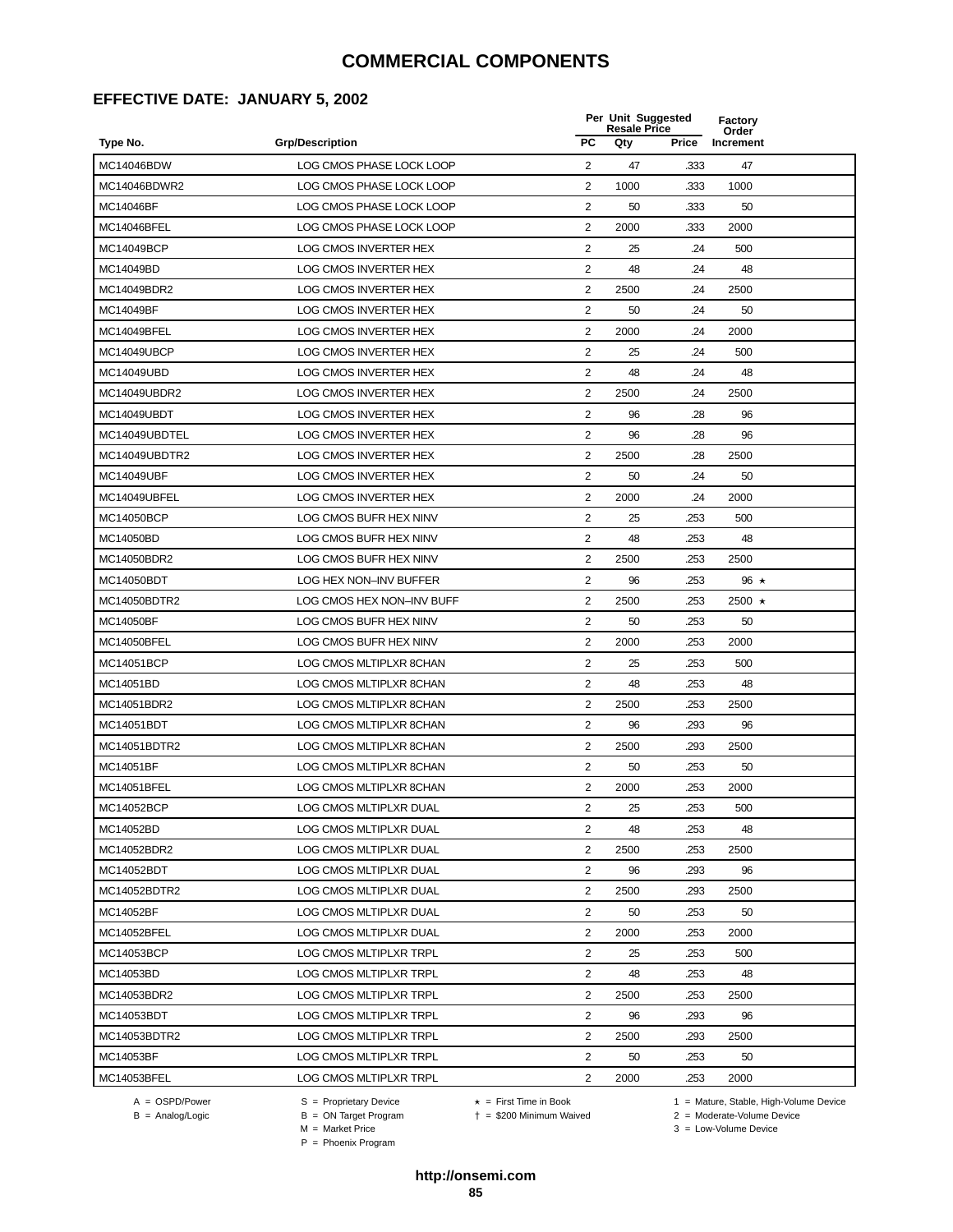### **EFFECTIVE DATE: JANUARY 5, 2002**

|                    |                              |                | Per Unit Suggested<br><b>Resale Price</b> |       | Factory<br>Order |  |
|--------------------|------------------------------|----------------|-------------------------------------------|-------|------------------|--|
| Type No.           | <b>Grp/Description</b>       | PC             | Qty                                       | Price | Increment        |  |
| MC14046BDW         | LOG CMOS PHASE LOCK LOOP     | 2              | 47                                        | .333  | 47               |  |
| MC14046BDWR2       | LOG CMOS PHASE LOCK LOOP     | $\overline{2}$ | 1000                                      | .333  | 1000             |  |
| MC14046BF          | LOG CMOS PHASE LOCK LOOP     | $\overline{2}$ | 50                                        | .333  | 50               |  |
| MC14046BFEL        | LOG CMOS PHASE LOCK LOOP     | $\overline{2}$ | 2000                                      | .333  | 2000             |  |
| MC14049BCP         | LOG CMOS INVERTER HEX        | $\overline{2}$ | 25                                        | .24   | 500              |  |
| MC14049BD          | LOG CMOS INVERTER HEX        | 2              | 48                                        | .24   | 48               |  |
| MC14049BDR2        | LOG CMOS INVERTER HEX        | $\overline{2}$ | 2500                                      | .24   | 2500             |  |
| MC14049BF          | LOG CMOS INVERTER HEX        | 2              | 50                                        | .24   | 50               |  |
| MC14049BFEL        | LOG CMOS INVERTER HEX        | 2              | 2000                                      | .24   | 2000             |  |
| <b>MC14049UBCP</b> | <b>LOG CMOS INVERTER HEX</b> | $\overline{2}$ | 25                                        | .24   | 500              |  |
| MC14049UBD         | LOG CMOS INVERTER HEX        | 2              | 48                                        | .24   | 48               |  |
| MC14049UBDR2       | LOG CMOS INVERTER HEX        | $\overline{2}$ | 2500                                      | .24   | 2500             |  |
| MC14049UBDT        | LOG CMOS INVERTER HEX        | $\overline{2}$ | 96                                        | .28   | 96               |  |
| MC14049UBDTEL      | LOG CMOS INVERTER HEX        | $\overline{2}$ | 96                                        | .28   | 96               |  |
| MC14049UBDTR2      | LOG CMOS INVERTER HEX        | $\overline{2}$ | 2500                                      | .28   | 2500             |  |
| MC14049UBF         | LOG CMOS INVERTER HEX        | $\overline{2}$ | 50                                        | .24   | 50               |  |
| MC14049UBFEL       | LOG CMOS INVERTER HEX        | 2              | 2000                                      | .24   | 2000             |  |
| MC14050BCP         | LOG CMOS BUFR HEX NINV       | $\overline{2}$ | 25                                        | .253  | 500              |  |
| MC14050BD          | LOG CMOS BUFR HEX NINV       | 2              | 48                                        | .253  | 48               |  |
| MC14050BDR2        | LOG CMOS BUFR HEX NINV       | $\overline{2}$ | 2500                                      | .253  | 2500             |  |
| MC14050BDT         | LOG HEX NON-INV BUFFER       | $\overline{2}$ | 96                                        | .253  | 96 $\star$       |  |
| MC14050BDTR2       | LOG CMOS HEX NON-INV BUFF    | 2              | 2500                                      | .253  | 2500 $\star$     |  |
| MC14050BF          | LOG CMOS BUFR HEX NINV       | $\overline{2}$ | 50                                        | .253  | 50               |  |
| MC14050BFEL        | LOG CMOS BUFR HEX NINV       | 2              | 2000                                      | .253  | 2000             |  |
| MC14051BCP         | LOG CMOS MLTIPLXR 8CHAN      | $\overline{2}$ | 25                                        | .253  | 500              |  |
| MC14051BD          | LOG CMOS MLTIPLXR 8CHAN      | 2              | 48                                        | .253  | 48               |  |
| MC14051BDR2        | LOG CMOS MLTIPLXR 8CHAN      | $\overline{2}$ | 2500                                      | .253  | 2500             |  |
| MC14051BDT         | LOG CMOS MLTIPLXR 8CHAN      | 2              | 96                                        | .293  | 96               |  |
| MC14051BDTR2       | LOG CMOS MLTIPLXR 8CHAN      | $\overline{2}$ | 2500                                      | .293  | 2500             |  |
| MC14051BF          | LOG CMOS MLTIPLXR 8CHAN      | 2              | 50                                        | .253  | 50               |  |
| MC14051BFEL        | LOG CMOS MLTIPLXR 8CHAN      | 2              | 2000                                      | .253  | 2000             |  |
| MC14052BCP         | LOG CMOS MLTIPLXR DUAL       | 2              | 25                                        | .253  | 500              |  |
| MC14052BD          | LOG CMOS MLTIPLXR DUAL       | $\overline{2}$ | 48                                        | .253  | 48               |  |
| MC14052BDR2        | LOG CMOS MLTIPLXR DUAL       | $\overline{2}$ | 2500                                      | .253  | 2500             |  |
| MC14052BDT         | LOG CMOS MLTIPLXR DUAL       | 2              | 96                                        | .293  | 96               |  |
| MC14052BDTR2       | LOG CMOS MLTIPLXR DUAL       | 2              | 2500                                      | .293  | 2500             |  |
| MC14052BF          | LOG CMOS MLTIPLXR DUAL       | 2              | 50                                        | .253  | 50               |  |
| MC14052BFEL        | LOG CMOS MLTIPLXR DUAL       | 2              | 2000                                      | .253  | 2000             |  |
| MC14053BCP         | LOG CMOS MLTIPLXR TRPL       | 2              | 25                                        | .253  | 500              |  |
| MC14053BD          | LOG CMOS MLTIPLXR TRPL       | $\overline{2}$ | 48                                        | .253  | 48               |  |
| MC14053BDR2        | LOG CMOS MLTIPLXR TRPL       | 2              | 2500                                      | .253  | 2500             |  |
| MC14053BDT         | LOG CMOS MLTIPLXR TRPL       | $\overline{2}$ | 96                                        | .293  | 96               |  |
| MC14053BDTR2       | LOG CMOS MLTIPLXR TRPL       | 2              | 2500                                      | .293  | 2500             |  |
| MC14053BF          | LOG CMOS MLTIPLXR TRPL       | $\overline{2}$ | 50                                        | .253  | 50               |  |
| MC14053BFEL        | LOG CMOS MLTIPLXR TRPL       | 2              | 2000                                      | .253  | 2000             |  |

A = OSPD/Power S = Proprietary Device<br>
B = Analog/Logic B = ON Target Program<br>
M = Market Price

= \$200 Minimum Waived 2 = Moderate-Volume Device

A = OSPD/Power S = Proprietary Device  $\star$  = First Time in Book 1 = Mature, Stable, High-Volume Device

 $3 =$  Low-Volume Device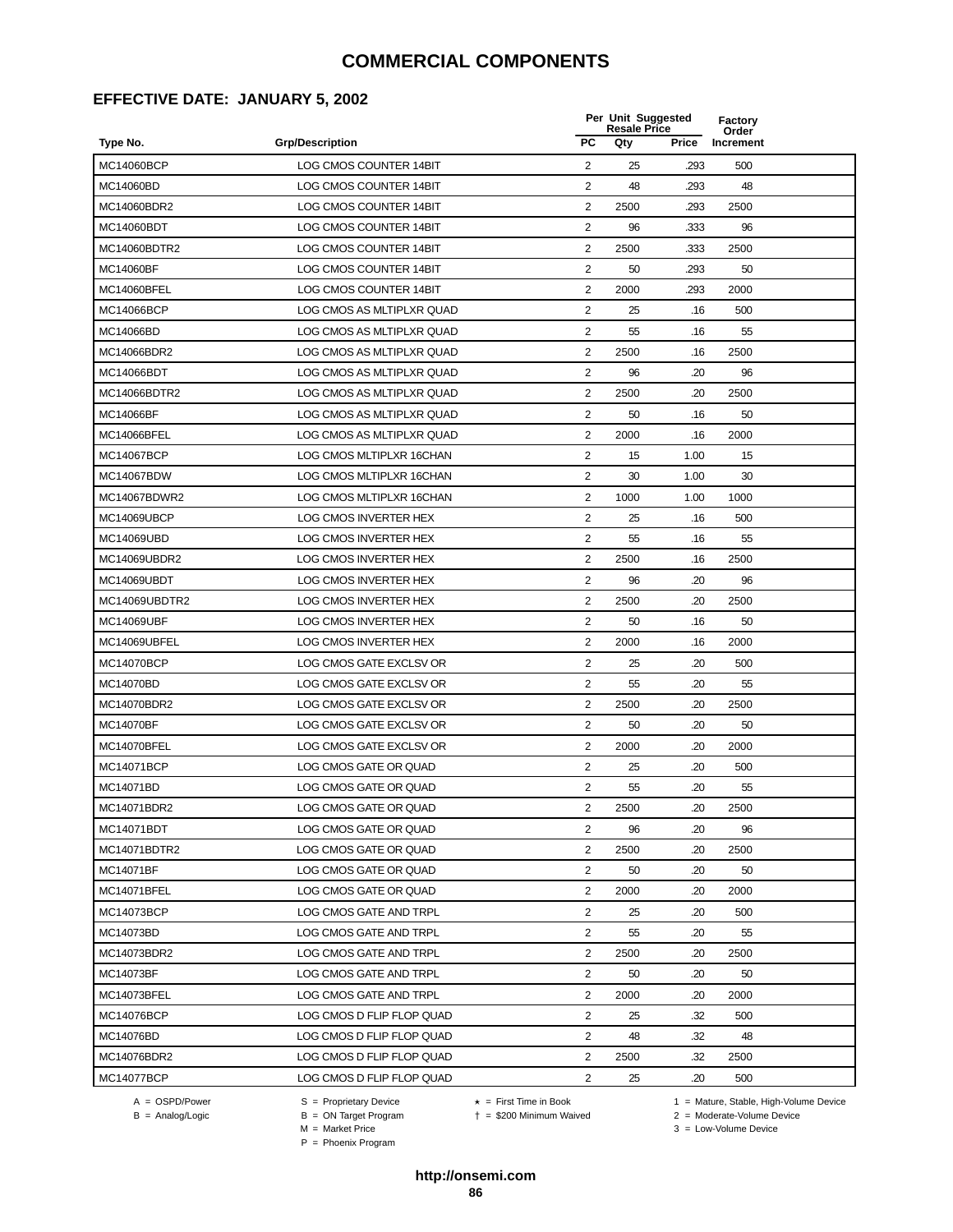### **EFFECTIVE DATE: JANUARY 5, 2002**

|                    |                               |                | Per Unit Suggested<br><b>Resale Price</b> |       |                    |  |
|--------------------|-------------------------------|----------------|-------------------------------------------|-------|--------------------|--|
| Type No.           | <b>Grp/Description</b>        | <b>PC</b>      | Qty                                       | Price | Order<br>Increment |  |
| MC14060BCP         | LOG CMOS COUNTER 14BIT        | 2              | 25                                        | .293  | 500                |  |
| MC14060BD          | LOG CMOS COUNTER 14BIT        | 2              | 48                                        | .293  | 48                 |  |
| MC14060BDR2        | LOG CMOS COUNTER 14BIT        | $\overline{2}$ | 2500                                      | .293  | 2500               |  |
| MC14060BDT         | <b>LOG CMOS COUNTER 14BIT</b> | 2              | 96                                        | .333  | 96                 |  |
| MC14060BDTR2       | LOG CMOS COUNTER 14BIT        | $\overline{2}$ | 2500                                      | .333  | 2500               |  |
| MC14060BF          | LOG CMOS COUNTER 14BIT        | 2              | 50                                        | .293  | 50                 |  |
| MC14060BFEL        | LOG CMOS COUNTER 14BIT        | $\overline{2}$ | 2000                                      | .293  | 2000               |  |
| MC14066BCP         | LOG CMOS AS MLTIPLXR QUAD     | 2              | 25                                        | .16   | 500                |  |
| MC14066BD          | LOG CMOS AS MLTIPLXR QUAD     | 2              | 55                                        | .16   | 55                 |  |
| MC14066BDR2        | LOG CMOS AS MLTIPLXR QUAD     | $\overline{2}$ | 2500                                      | .16   | 2500               |  |
| MC14066BDT         | LOG CMOS AS MLTIPLXR QUAD     | 2              | 96                                        | .20   | 96                 |  |
| MC14066BDTR2       | LOG CMOS AS MLTIPLXR QUAD     | $\overline{2}$ | 2500                                      | .20   | 2500               |  |
| MC14066BF          | LOG CMOS AS MLTIPLXR QUAD     | 2              | 50                                        | .16   | 50                 |  |
| <b>MC14066BFEL</b> | LOG CMOS AS MLTIPLXR QUAD     | $\overline{2}$ | 2000                                      | .16   | 2000               |  |
| MC14067BCP         | LOG CMOS MLTIPLXR 16CHAN      | 2              | 15                                        | 1.00  | 15                 |  |
| MC14067BDW         | LOG CMOS MLTIPLXR 16CHAN      | $\overline{2}$ | 30                                        | 1.00  | 30                 |  |
| MC14067BDWR2       | LOG CMOS MLTIPLXR 16CHAN      | 2              | 1000                                      | 1.00  | 1000               |  |
| MC14069UBCP        | LOG CMOS INVERTER HEX         | $\overline{2}$ | 25                                        | .16   | 500                |  |
| MC14069UBD         | LOG CMOS INVERTER HEX         | $\overline{2}$ | 55                                        | .16   | 55                 |  |
| MC14069UBDR2       | LOG CMOS INVERTER HEX         | $\overline{2}$ | 2500                                      | .16   | 2500               |  |
| MC14069UBDT        | LOG CMOS INVERTER HEX         | $\overline{2}$ | 96                                        | .20   | 96                 |  |
| MC14069UBDTR2      | LOG CMOS INVERTER HEX         | $\overline{2}$ | 2500                                      | .20   | 2500               |  |
| MC14069UBF         | LOG CMOS INVERTER HEX         | $\overline{2}$ | 50                                        | .16   | 50                 |  |
| MC14069UBFEL       | LOG CMOS INVERTER HEX         | 2              | 2000                                      | .16   | 2000               |  |
| MC14070BCP         | LOG CMOS GATE EXCLSV OR       | $\overline{2}$ | 25                                        | .20   | 500                |  |
| MC14070BD          | LOG CMOS GATE EXCLSV OR       | 2              | 55                                        | .20   | 55                 |  |
| MC14070BDR2        | LOG CMOS GATE EXCLSV OR       | 2              | 2500                                      | .20   | 2500               |  |
| MC14070BF          | LOG CMOS GATE EXCLSV OR       | 2              | 50                                        | .20   | 50                 |  |
| MC14070BFEL        | LOG CMOS GATE EXCLSV OR       | 2              | 2000                                      | .20   | 2000               |  |
| MC14071BCP         | LOG CMOS GATE OR QUAD         | $\overline{2}$ | 25                                        | .20   | 500                |  |
| MC14071BD          | LOG CMOS GATE OR QUAD         | $\overline{2}$ | 55                                        | .20   | 55                 |  |
| MC14071BDR2        | LOG CMOS GATE OR QUAD         | 2              | 2500                                      | .20   | 2500               |  |
| MC14071BDT         | LOG CMOS GATE OR QUAD         | 2              | 96                                        | .20   | 96                 |  |
| MC14071BDTR2       | LOG CMOS GATE OR QUAD         | 2              | 2500                                      | .20   | 2500               |  |
| MC14071BF          | LOG CMOS GATE OR QUAD         | 2              | 50                                        | .20   | 50                 |  |
| MC14071BFEL        | LOG CMOS GATE OR QUAD         | 2              | 2000                                      | .20   | 2000               |  |
| MC14073BCP         | LOG CMOS GATE AND TRPL        | 2              | 25                                        | .20   | 500                |  |
| MC14073BD          | LOG CMOS GATE AND TRPL        | 2              | 55                                        | .20   | 55                 |  |
| MC14073BDR2        | LOG CMOS GATE AND TRPL        | $\overline{2}$ | 2500                                      | .20   | 2500               |  |
| MC14073BF          | <b>LOG CMOS GATE AND TRPL</b> | 2              | 50                                        | .20   | 50                 |  |
| MC14073BFEL        | LOG CMOS GATE AND TRPL        | 2              | 2000                                      | .20   | 2000               |  |
| MC14076BCP         | LOG CMOS D FLIP FLOP QUAD     | 2              | 25                                        | .32   | 500                |  |
| MC14076BD          | LOG CMOS D FLIP FLOP QUAD     | 2              | 48                                        | .32   | 48                 |  |
| MC14076BDR2        | LOG CMOS D FLIP FLOP QUAD     | $\overline{2}$ | 2500                                      | .32   | 2500               |  |
| <b>MC14077BCP</b>  | LOG CMOS D FLIP FLOP QUAD     | $\overline{2}$ | 25                                        | .20   | 500                |  |
|                    |                               |                |                                           |       |                    |  |

 $B = \text{Analog/Logic}$ <br>B = ON Target Program<br> $M = \text{Market Price}$ 

= \$200 Minimum Waived 2 = Moderate-Volume Device

A = OSPD/Power S = Proprietary Device  $\star$  = First Time in Book 1 = Mature, Stable, High-Volume Device

 $3 =$  Low-Volume Device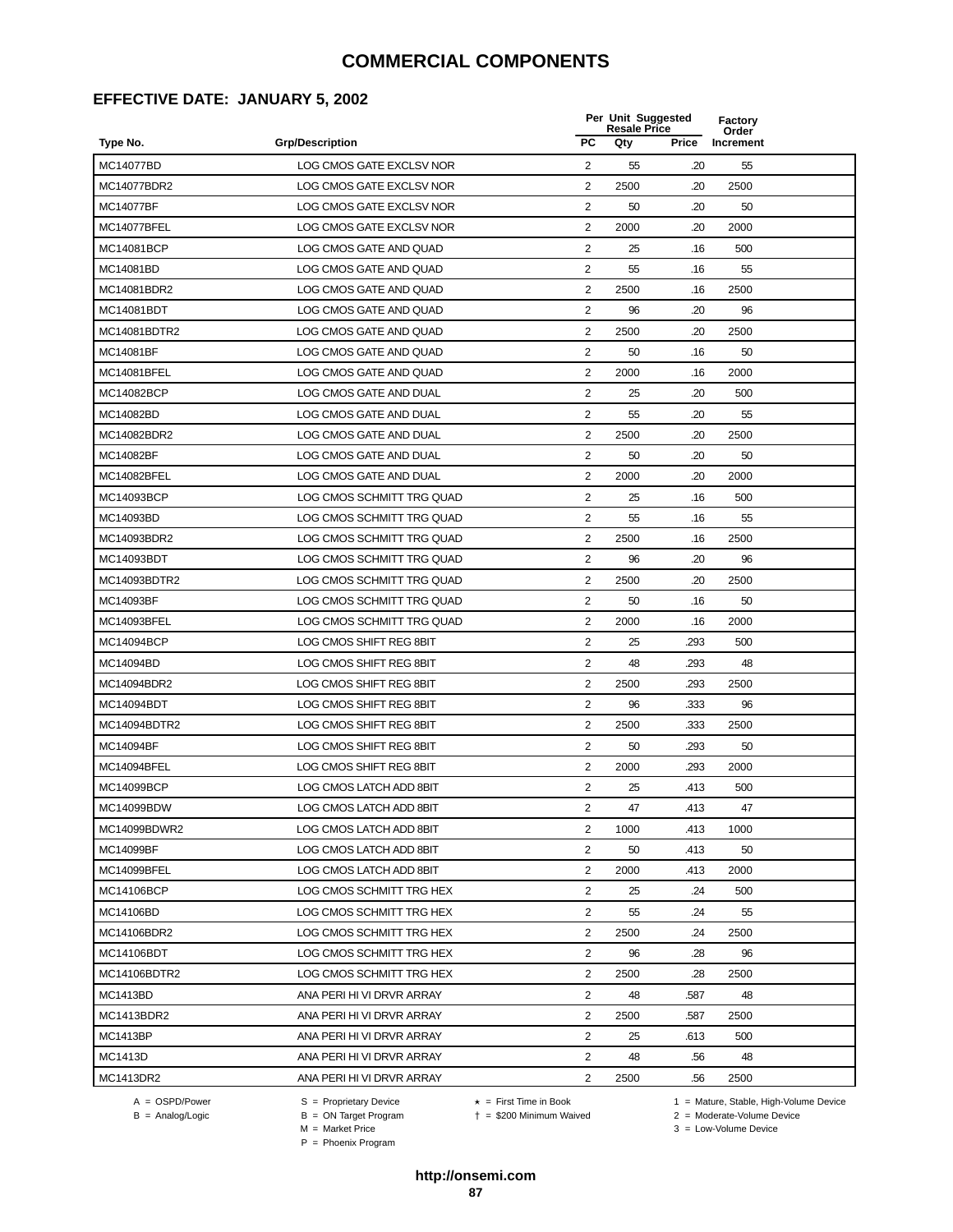### **EFFECTIVE DATE: JANUARY 5, 2002**

|                 |                           |                         | Per Unit Suggested<br><b>Resale Price</b> |       | <b>Factory</b><br>Order |  |
|-----------------|---------------------------|-------------------------|-------------------------------------------|-------|-------------------------|--|
| Type No.        | <b>Grp/Description</b>    | <b>PC</b>               | Qty                                       | Price | Increment               |  |
| MC14077BD       | LOG CMOS GATE EXCLSV NOR  | 2                       | 55                                        | .20   | 55                      |  |
| MC14077BDR2     | LOG CMOS GATE EXCLSV NOR  | $\overline{2}$          | 2500                                      | .20   | 2500                    |  |
| MC14077BF       | LOG CMOS GATE EXCLSV NOR  | $\overline{2}$          | 50                                        | .20   | 50                      |  |
| MC14077BFEL     | LOG CMOS GATE EXCLSV NOR  | 2                       | 2000                                      | .20   | 2000                    |  |
| MC14081BCP      | LOG CMOS GATE AND QUAD    | 2                       | 25                                        | .16   | 500                     |  |
| MC14081BD       | LOG CMOS GATE AND QUAD    | 2                       | 55                                        | .16   | 55                      |  |
| MC14081BDR2     | LOG CMOS GATE AND QUAD    | $\overline{2}$          | 2500                                      | .16   | 2500                    |  |
| MC14081BDT      | LOG CMOS GATE AND QUAD    | 2                       | 96                                        | .20   | 96                      |  |
| MC14081BDTR2    | LOG CMOS GATE AND QUAD    | 2                       | 2500                                      | .20   | 2500                    |  |
| MC14081BF       | LOG CMOS GATE AND QUAD    | 2                       | 50                                        | .16   | 50                      |  |
| MC14081BFEL     | LOG CMOS GATE AND QUAD    | $\overline{2}$          | 2000                                      | .16   | 2000                    |  |
| MC14082BCP      | LOG CMOS GATE AND DUAL    | $\overline{2}$          | 25                                        | .20   | 500                     |  |
| MC14082BD       | LOG CMOS GATE AND DUAL    | 2                       | 55                                        | .20   | 55                      |  |
| MC14082BDR2     | LOG CMOS GATE AND DUAL    | $\overline{2}$          | 2500                                      | .20   | 2500                    |  |
| MC14082BF       | LOG CMOS GATE AND DUAL    | 2                       | 50                                        | .20   | 50                      |  |
| MC14082BFEL     | LOG CMOS GATE AND DUAL    | $\overline{2}$          | 2000                                      | .20   | 2000                    |  |
| MC14093BCP      | LOG CMOS SCHMITT TRG QUAD | 2                       | 25                                        | .16   | 500                     |  |
| MC14093BD       | LOG CMOS SCHMITT TRG QUAD | $\overline{2}$          | 55                                        | .16   | 55                      |  |
| MC14093BDR2     | LOG CMOS SCHMITT TRG QUAD | $\overline{2}$          | 2500                                      | .16   | 2500                    |  |
| MC14093BDT      | LOG CMOS SCHMITT TRG QUAD | $\overline{2}$          | 96                                        | .20   | 96                      |  |
| MC14093BDTR2    | LOG CMOS SCHMITT TRG QUAD | $\overline{2}$          | 2500                                      | .20   | 2500                    |  |
| MC14093BF       | LOG CMOS SCHMITT TRG QUAD | $\overline{2}$          | 50                                        | .16   | 50                      |  |
| MC14093BFEL     | LOG CMOS SCHMITT TRG QUAD | $\overline{2}$          | 2000                                      | .16   | 2000                    |  |
| MC14094BCP      | LOG CMOS SHIFT REG 8BIT   | 2                       | 25                                        | .293  | 500                     |  |
| MC14094BD       | LOG CMOS SHIFT REG 8BIT   | $\overline{2}$          | 48                                        | .293  | 48                      |  |
| MC14094BDR2     | LOG CMOS SHIFT REG 8BIT   | 2                       | 2500                                      | .293  | 2500                    |  |
| MC14094BDT      | LOG CMOS SHIFT REG 8BIT   | 2                       | 96                                        | .333  | 96                      |  |
| MC14094BDTR2    | LOG CMOS SHIFT REG 8BIT   | $\overline{2}$          | 2500                                      | .333  | 2500                    |  |
| MC14094BF       | LOG CMOS SHIFT REG 8BIT   | 2                       | 50                                        | .293  | 50                      |  |
| MC14094BFEL     | LOG CMOS SHIFT REG 8BIT   | $\overline{2}$          | 2000                                      | .293  | 2000                    |  |
| MC14099BCP      | LOG CMOS LATCH ADD 8BIT   | $\overline{2}$          | 25                                        | .413  | 500                     |  |
| MC14099BDW      | LOG CMOS LATCH ADD 8BIT   | $\overline{\mathbf{c}}$ | 47                                        | .413  | 47                      |  |
| MC14099BDWR2    | LOG CMOS LATCH ADD 8BIT   | 2                       | 1000                                      | .413  | 1000                    |  |
| MC14099BF       | LOG CMOS LATCH ADD 8BIT   | $\overline{2}$          | 50                                        | .413  | 50                      |  |
| MC14099BFEL     | LOG CMOS LATCH ADD 8BIT   | $\overline{2}$          | 2000                                      | .413  | 2000                    |  |
| MC14106BCP      | LOG CMOS SCHMITT TRG HEX  | $\overline{2}$          | 25                                        | .24   | 500                     |  |
| MC14106BD       | LOG CMOS SCHMITT TRG HEX  | 2                       | 55                                        | .24   | 55                      |  |
| MC14106BDR2     | LOG CMOS SCHMITT TRG HEX  | 2                       | 2500                                      | .24   | 2500                    |  |
| MC14106BDT      | LOG CMOS SCHMITT TRG HEX  | $\overline{2}$          | 96                                        | .28   | 96                      |  |
| MC14106BDTR2    | LOG CMOS SCHMITT TRG HEX  | 2                       | 2500                                      | .28   | 2500                    |  |
| MC1413BD        | ANA PERI HI VI DRVR ARRAY | 2                       | 48                                        | .587  | 48                      |  |
| MC1413BDR2      | ANA PERI HI VI DRVR ARRAY | 2                       | 2500                                      | .587  | 2500                    |  |
| <b>MC1413BP</b> | ANA PERI HI VI DRVR ARRAY | 2                       | 25                                        | .613  | 500                     |  |
| MC1413D         | ANA PERI HI VI DRVR ARRAY | 2                       | 48                                        | .56   | 48                      |  |
| MC1413DR2       | ANA PERI HI VI DRVR ARRAY | 2                       | 2500                                      | .56   | 2500                    |  |

 $B =$  Analog/Logic  $B =$  ON Target Program  $M =$  Market Price

A = OSPD/Power S = Proprietary Device  $\star$  = First Time in Book 1 = Mature, Stable, High-Volume Device

 = \$200 Minimum Waived 2 = Moderate-Volume Device  $3 =$  Low-Volume Device

P = Phoenix Program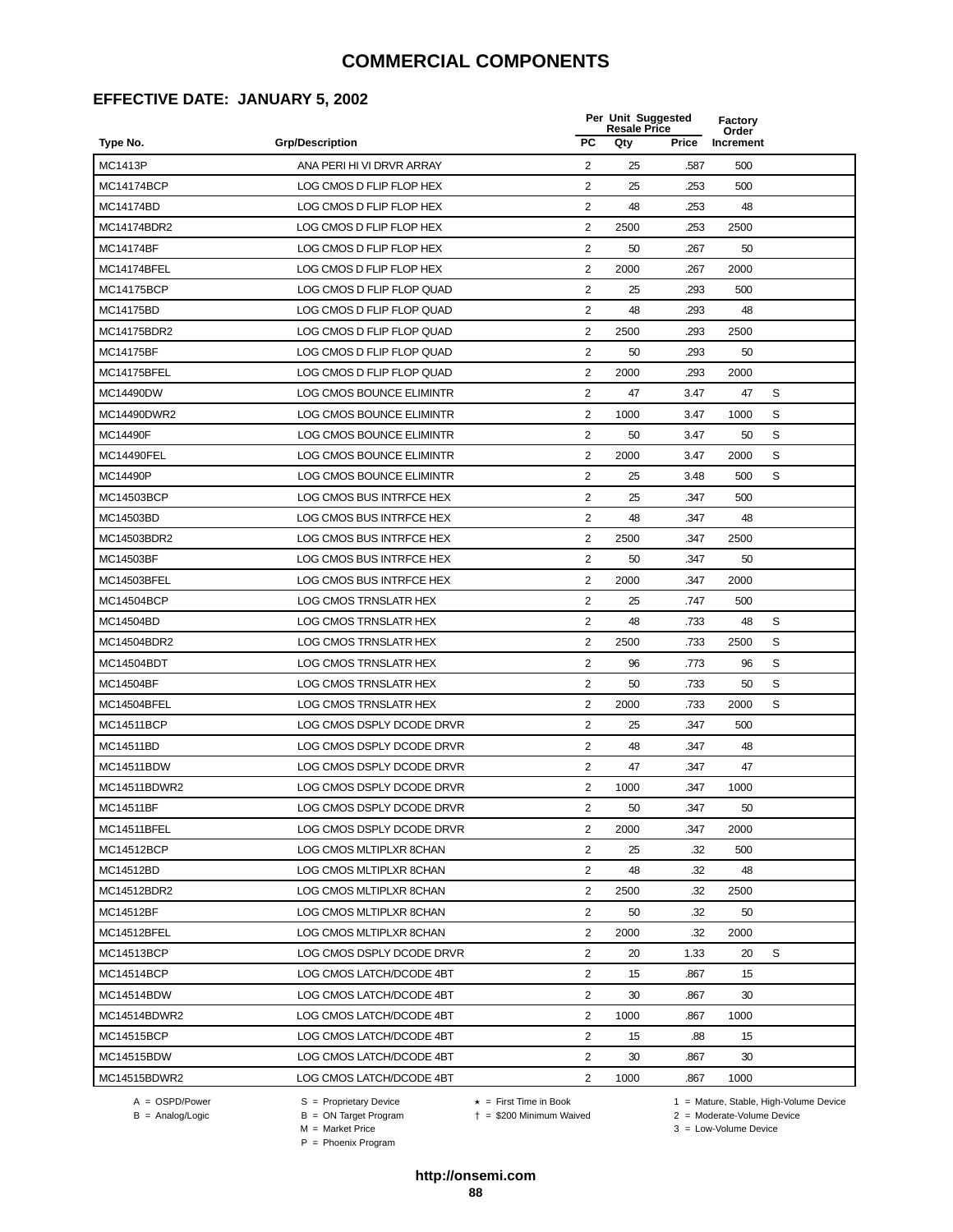### **EFFECTIVE DATE: JANUARY 5, 2002**

|                   |                           |                         | Per Unit Suggested<br><b>Resale Price</b> | Factory<br>Order |           |   |
|-------------------|---------------------------|-------------------------|-------------------------------------------|------------------|-----------|---|
| Type No.          | <b>Grp/Description</b>    | <b>PC</b>               | Qty                                       | Price            | Increment |   |
| <b>MC1413P</b>    | ANA PERI HI VI DRVR ARRAY | 2                       | 25                                        | .587             | 500       |   |
| MC14174BCP        | LOG CMOS D FLIP FLOP HEX  | 2                       | 25                                        | .253             | 500       |   |
| MC14174BD         | LOG CMOS D FLIP FLOP HEX  | 2                       | 48                                        | .253             | 48        |   |
| MC14174BDR2       | LOG CMOS D FLIP FLOP HEX  | $\overline{2}$          | 2500                                      | .253             | 2500      |   |
| <b>MC14174BF</b>  | LOG CMOS D FLIP FLOP HEX  | $\overline{\mathbf{c}}$ | 50                                        | .267             | 50        |   |
| MC14174BFEL       | LOG CMOS D FLIP FLOP HEX  | $\overline{2}$          | 2000                                      | .267             | 2000      |   |
| <b>MC14175BCP</b> | LOG CMOS D FLIP FLOP QUAD | $\overline{2}$          | 25                                        | .293             | 500       |   |
| MC14175BD         | LOG CMOS D FLIP FLOP QUAD | $\overline{2}$          | 48                                        | .293             | 48        |   |
| MC14175BDR2       | LOG CMOS D FLIP FLOP QUAD | 2                       | 2500                                      | .293             | 2500      |   |
| MC14175BF         | LOG CMOS D FLIP FLOP QUAD | 2                       | 50                                        | .293             | 50        |   |
| MC14175BFEL       | LOG CMOS D FLIP FLOP QUAD | 2                       | 2000                                      | .293             | 2000      |   |
| MC14490DW         | LOG CMOS BOUNCE ELIMINTR  | $\overline{2}$          | 47                                        | 3.47             | 47        | S |
| MC14490DWR2       | LOG CMOS BOUNCE ELIMINTR  | 2                       | 1000                                      | 3.47             | 1000      | S |
| MC14490F          | LOG CMOS BOUNCE ELIMINTR  | $\overline{c}$          | 50                                        | 3.47             | 50        | S |
| <b>MC14490FEL</b> | LOG CMOS BOUNCE ELIMINTR  | $\overline{2}$          | 2000                                      | 3.47             | 2000      | S |
| MC14490P          | LOG CMOS BOUNCE ELIMINTR  | $\overline{2}$          | 25                                        | 3.48             | 500       | S |
| MC14503BCP        | LOG CMOS BUS INTRFCE HEX  | $\overline{2}$          | 25                                        | .347             | 500       |   |
| MC14503BD         | LOG CMOS BUS INTRFCE HEX  | $\overline{2}$          | 48                                        | .347             | 48        |   |
| MC14503BDR2       | LOG CMOS BUS INTRFCE HEX  | 2                       | 2500                                      | .347             | 2500      |   |
| MC14503BF         | LOG CMOS BUS INTRFCE HEX  | 2                       | 50                                        | .347             | 50        |   |
| MC14503BFEL       | LOG CMOS BUS INTRFCE HEX  | 2                       | 2000                                      | .347             | 2000      |   |
| MC14504BCP        | LOG CMOS TRNSLATR HEX     | $\overline{2}$          | 25                                        | .747             | 500       |   |
| MC14504BD         | LOG CMOS TRNSLATR HEX     | 2                       | 48                                        | .733             | 48        | S |
| MC14504BDR2       | LOG CMOS TRNSLATR HEX     | 2                       | 2500                                      | .733             | 2500      | S |
| MC14504BDT        | LOG CMOS TRNSLATR HEX     | $\overline{2}$          | 96                                        | .773             | 96        | S |
| MC14504BF         | LOG CMOS TRNSLATR HEX     | $\overline{2}$          | 50                                        | .733             | 50        | S |
| MC14504BFEL       | LOG CMOS TRNSLATR HEX     | $\overline{c}$          | 2000                                      | .733             | 2000      | S |
| MC14511BCP        | LOG CMOS DSPLY DCODE DRVR | 2                       | 25                                        | .347             | 500       |   |
| MC14511BD         | LOG CMOS DSPLY DCODE DRVR | 2                       | 48                                        | .347             | 48        |   |
| MC14511BDW        | LOG CMOS DSPLY DCODE DRVR | 2                       | 47                                        | .347             | 47        |   |
| MC14511BDWR2      | LOG CMOS DSPLY DCODE DRVR | 2                       | 1000                                      | .347             | 1000      |   |
| MC14511BF         | LOG CMOS DSPLY DCODE DRVR | 2                       | 50                                        | 347              | 50        |   |
| MC14511BFEL       | LOG CMOS DSPLY DCODE DRVR | $\overline{2}$          | 2000                                      | .347             | 2000      |   |
| MC14512BCP        | LOG CMOS MLTIPLXR 8CHAN   | $\overline{2}$          | 25                                        | .32              | 500       |   |
| MC14512BD         | LOG CMOS MLTIPLXR 8CHAN   | $\overline{2}$          | 48                                        | .32              | 48        |   |
| MC14512BDR2       | LOG CMOS MLTIPLXR 8CHAN   | $\overline{c}$          | 2500                                      | .32              | 2500      |   |
| MC14512BF         | LOG CMOS MLTIPLXR 8CHAN   | $\overline{c}$          | 50                                        | .32              | 50        |   |
| MC14512BFEL       | LOG CMOS MLTIPLXR 8CHAN   | 2                       | 2000                                      | .32              | 2000      |   |
| MC14513BCP        | LOG CMOS DSPLY DCODE DRVR | $\overline{2}$          | 20                                        | 1.33             | 20        | S |
| MC14514BCP        | LOG CMOS LATCH/DCODE 4BT  | $\overline{2}$          | 15                                        | .867             | 15        |   |
| MC14514BDW        | LOG CMOS LATCH/DCODE 4BT  | 2                       | 30                                        | .867             | 30        |   |
| MC14514BDWR2      | LOG CMOS LATCH/DCODE 4BT  | $\overline{2}$          | 1000                                      | .867             | 1000      |   |
| MC14515BCP        | LOG CMOS LATCH/DCODE 4BT  | $\overline{2}$          | 15                                        | .88              | 15        |   |
| MC14515BDW        | LOG CMOS LATCH/DCODE 4BT  | $\overline{2}$          | 30                                        | .867             | 30        |   |
| MC14515BDWR2      | LOG CMOS LATCH/DCODE 4BT  | $\overline{2}$          | 1000                                      | .867             | 1000      |   |
|                   |                           |                         |                                           |                  |           |   |

-<br>B = ON Target Program<br>M = Market Price

 $A = OBPD/Power$ <br>  $B = ON Target Program$   $A = First Time in Book$   $A = West Theorem 1 = Nature, Stable, High-Volume Device$   $A = Mature, Stable, High-Volume Device$   $A = Mature, Stable, High-Volume Device$   $A = Mature, Table, High-Volume Device$   $A = Mature, Table, High-Volume Device$   $A = Mature, Table, High-Volume Device$   $A = Mature, Table, High-Volume Device$   $A = Mature, Table, High-Volume Device$   $A = Mature, Table, High-Volume Device$   $A = Mature, Table, High-Volume Device$   $A = Mature, Table, High-Volume Device$   $A = Mature, Table, High-Volume Device$   $A = Mature, Table, High-Volume Device$   $A = Mature, Table$ 

 $2 =$  Moderate-Volume Device  $3 =$  Low-Volume Device

P = Phoenix Program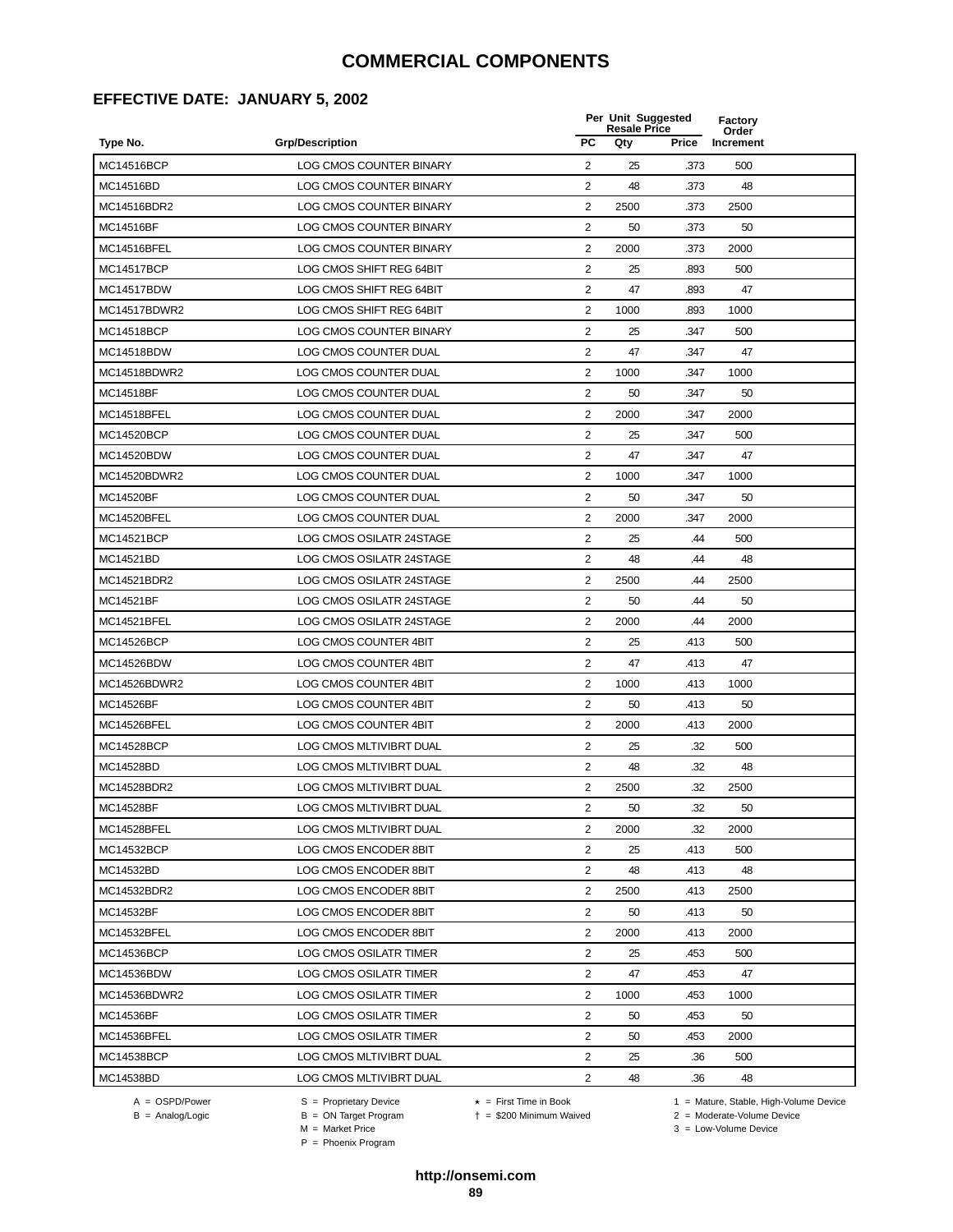### **EFFECTIVE DATE: JANUARY 5, 2002**

|                    |                                | Per Unit Suggested<br><b>Resale Price</b> |      |       | Factory<br>Order |  |
|--------------------|--------------------------------|-------------------------------------------|------|-------|------------------|--|
| Type No.           | <b>Grp/Description</b>         | <b>PC</b>                                 | Qty  | Price | Increment        |  |
| MC14516BCP         | <b>LOG CMOS COUNTER BINARY</b> | 2                                         | 25   | .373  | 500              |  |
| MC14516BD          | LOG CMOS COUNTER BINARY        | 2                                         | 48   | .373  | 48               |  |
| MC14516BDR2        | LOG CMOS COUNTER BINARY        | $\overline{2}$                            | 2500 | .373  | 2500             |  |
| MC14516BF          | LOG CMOS COUNTER BINARY        | 2                                         | 50   | .373  | 50               |  |
| <b>MC14516BFEL</b> | LOG CMOS COUNTER BINARY        | $\overline{2}$                            | 2000 | .373  | 2000             |  |
| MC14517BCP         | LOG CMOS SHIFT REG 64BIT       | 2                                         | 25   | .893  | 500              |  |
| <b>MC14517BDW</b>  | LOG CMOS SHIFT REG 64BIT       | $\overline{2}$                            | 47   | .893  | 47               |  |
| MC14517BDWR2       | LOG CMOS SHIFT REG 64BIT       | 2                                         | 1000 | .893  | 1000             |  |
| MC14518BCP         | LOG CMOS COUNTER BINARY        | $\overline{c}$                            | 25   | .347  | 500              |  |
| MC14518BDW         | LOG CMOS COUNTER DUAL          | $\overline{2}$                            | 47   | .347  | 47               |  |
| MC14518BDWR2       | LOG CMOS COUNTER DUAL          | 2                                         | 1000 | .347  | 1000             |  |
| MC14518BF          | LOG CMOS COUNTER DUAL          | $\overline{2}$                            | 50   | .347  | 50               |  |
| MC14518BFEL        | LOG CMOS COUNTER DUAL          | 2                                         | 2000 | .347  | 2000             |  |
| MC14520BCP         | <b>LOG CMOS COUNTER DUAL</b>   | $\overline{2}$                            | 25   | .347  | 500              |  |
| MC14520BDW         | LOG CMOS COUNTER DUAL          | 2                                         | 47   | .347  | 47               |  |
| MC14520BDWR2       | LOG CMOS COUNTER DUAL          | $\overline{2}$                            | 1000 | .347  | 1000             |  |
| MC14520BF          | <b>LOG CMOS COUNTER DUAL</b>   | 2                                         | 50   | .347  | 50               |  |
| MC14520BFEL        | LOG CMOS COUNTER DUAL          | 2                                         | 2000 | .347  | 2000             |  |
| MC14521BCP         | LOG CMOS OSILATR 24STAGE       | $\overline{2}$                            | 25   | .44   | 500              |  |
| MC14521BD          | LOG CMOS OSILATR 24STAGE       | 2                                         | 48   | .44   | 48               |  |
| MC14521BDR2        | LOG CMOS OSILATR 24STAGE       | $\overline{2}$                            | 2500 | .44   | 2500             |  |
| MC14521BF          | LOG CMOS OSILATR 24STAGE       | 2                                         | 50   | .44   | 50               |  |
| <b>MC14521BFEL</b> | LOG CMOS OSILATR 24STAGE       | $\overline{2}$                            | 2000 | .44   | 2000             |  |
| MC14526BCP         | LOG CMOS COUNTER 4BIT          | 2                                         | 25   | .413  | 500              |  |
| MC14526BDW         | LOG CMOS COUNTER 4BIT          | $\overline{2}$                            | 47   | .413  | 47               |  |
| MC14526BDWR2       | LOG CMOS COUNTER 4BIT          | 2                                         | 1000 | .413  | 1000             |  |
| MC14526BF          | LOG CMOS COUNTER 4BIT          | $\overline{c}$                            | 50   | .413  | 50               |  |
| MC14526BFEL        | LOG CMOS COUNTER 4BIT          | 2                                         | 2000 | .413  | 2000             |  |
| MC14528BCP         | LOG CMOS MLTIVIBRT DUAL        | 2                                         | 25   | .32   | 500              |  |
| MC14528BD          | LOG CMOS MLTIVIBRT DUAL        | $\overline{2}$                            | 48   | .32   | 48               |  |
| MC14528BDR2        | LOG CMOS MLTIVIBRT DUAL        | $\overline{2}$                            | 2500 | .32   | 2500             |  |
| MC14528BF          | LOG CMOS MLTIVIBRT DUAL        | $\overline{c}$                            | 50   | 32    | 50               |  |
| MC14528BFEL        | LOG CMOS MLTIVIBRT DUAL        | 2                                         | 2000 | .32   | 2000             |  |
| MC14532BCP         | LOG CMOS ENCODER 8BIT          | 2                                         | 25   | .413  | 500              |  |
| MC14532BD          | LOG CMOS ENCODER 8BIT          | 2                                         | 48   | .413  | 48               |  |
| MC14532BDR2        | LOG CMOS ENCODER 8BIT          | $\overline{c}$                            | 2500 | .413  | 2500             |  |
| MC14532BF          | LOG CMOS ENCODER 8BIT          | 2                                         | 50   | .413  | 50               |  |
| MC14532BFEL        | LOG CMOS ENCODER 8BIT          | 2                                         | 2000 | .413  | 2000             |  |
| MC14536BCP         | LOG CMOS OSILATR TIMER         | $\overline{2}$                            | 25   | .453  | 500              |  |
| MC14536BDW         | LOG CMOS OSILATR TIMER         | 2                                         | 47   | .453  | 47               |  |
| MC14536BDWR2       | LOG CMOS OSILATR TIMER         | 2                                         | 1000 | .453  | 1000             |  |
| MC14536BF          | LOG CMOS OSILATR TIMER         | 2                                         | 50   | .453  | 50               |  |
| MC14536BFEL        | LOG CMOS OSILATR TIMER         | 2                                         | 50   | .453  | 2000             |  |
| MC14538BCP         | LOG CMOS MLTIVIBRT DUAL        | $\overline{2}$                            | 25   | .36   | 500              |  |
| MC14538BD          | LOG CMOS MLTIVIBRT DUAL        | $\overline{2}$                            | 48   | .36   | 48               |  |
|                    |                                |                                           |      |       |                  |  |

-<br>B = ON Target Program<br>M = Market Price

 $2 =$  Moderate-Volume Device

P = Phoenix Program

 $3 =$  Low-Volume Device

 $A = OBPD/Power$ <br>  $B = ON Target Program$   $A = First Time in Book$   $A = West Theorem 1 = Nature, Stable, High-Volume Device$   $A = Mature, Stable, High-Volume Device$   $A = Mature, Stable, High-Volume Device$   $A = Mature, Table, High-Volume Device$   $A = Mature, Table, High-Volume Device$   $A = Mature, Table, High-Volume Device$   $A = Mature, Table, High-Volume Device$   $A = Mature, Table, High-Volume Device$   $A = Mature, Table, High-Volume Device$   $A = Mature, Table, High-Volume Device$   $A = Mature, Table, High-Volume Device$   $A = Mature, Table, High-Volume Device$   $A = Mature, Table, High-Volume Device$   $A = Mature, Table$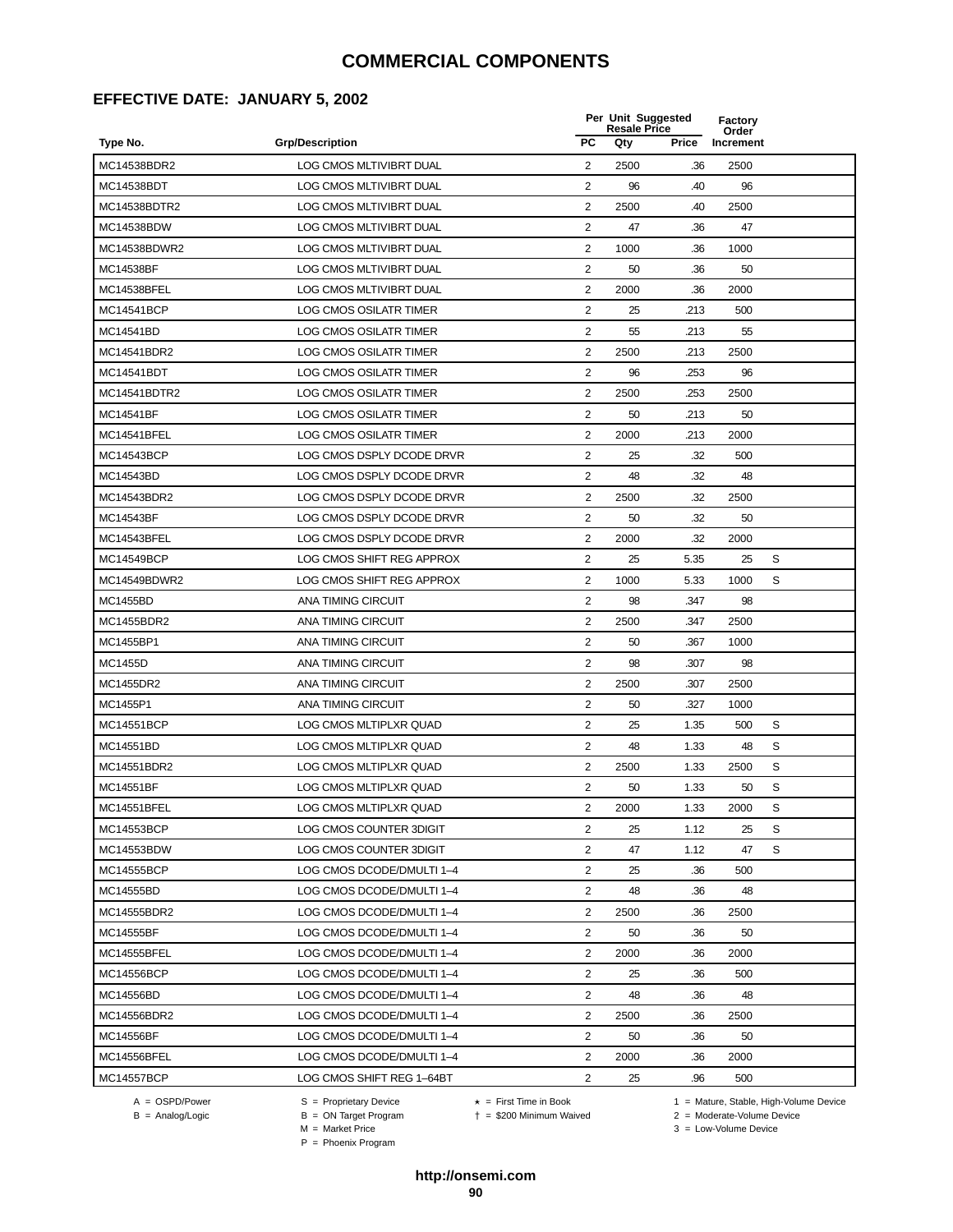### **EFFECTIVE DATE: JANUARY 5, 2002**

|                    |                                |                | Per Unit Suggested<br><b>Resale Price</b> |       | Factory<br>Order |   |  |
|--------------------|--------------------------------|----------------|-------------------------------------------|-------|------------------|---|--|
| Type No.           | <b>Grp/Description</b>         | <b>PC</b>      | Qty                                       | Price | Increment        |   |  |
| MC14538BDR2        | LOG CMOS MLTIVIBRT DUAL        | 2              | 2500                                      | .36   | 2500             |   |  |
| MC14538BDT         | <b>LOG CMOS MLTIVIBRT DUAL</b> | $\overline{2}$ | 96                                        | .40   | 96               |   |  |
| MC14538BDTR2       | LOG CMOS MLTIVIBRT DUAL        | $\overline{2}$ | 2500                                      | .40   | 2500             |   |  |
| MC14538BDW         | LOG CMOS MLTIVIBRT DUAL        | $\overline{2}$ | 47                                        | .36   | 47               |   |  |
| MC14538BDWR2       | LOG CMOS MLTIVIBRT DUAL        | $\overline{2}$ | 1000                                      | .36   | 1000             |   |  |
| MC14538BF          | LOG CMOS MLTIVIBRT DUAL        | 2              | 50                                        | .36   | 50               |   |  |
| <b>MC14538BFEL</b> | LOG CMOS MLTIVIBRT DUAL        | $\overline{2}$ | 2000                                      | .36   | 2000             |   |  |
| <b>MC14541BCP</b>  | <b>LOG CMOS OSILATR TIMER</b>  | 2              | 25                                        | .213  | 500              |   |  |
| MC14541BD          | LOG CMOS OSILATR TIMER         | 2              | 55                                        | .213  | 55               |   |  |
| MC14541BDR2        | <b>LOG CMOS OSILATR TIMER</b>  | $\overline{2}$ | 2500                                      | .213  | 2500             |   |  |
| MC14541BDT         | LOG CMOS OSILATR TIMER         | $\overline{2}$ | 96                                        | .253  | 96               |   |  |
| MC14541BDTR2       | <b>LOG CMOS OSILATR TIMER</b>  | $\overline{2}$ | 2500                                      | .253  | 2500             |   |  |
| MC14541BF          | LOG CMOS OSILATR TIMER         | 2              | 50                                        | .213  | 50               |   |  |
| MC14541BFEL        | <b>LOG CMOS OSILATR TIMER</b>  | $\overline{2}$ | 2000                                      | .213  | 2000             |   |  |
| MC14543BCP         | LOG CMOS DSPLY DCODE DRVR      | 2              | 25                                        | .32   | 500              |   |  |
| MC14543BD          | LOG CMOS DSPLY DCODE DRVR      | $\overline{2}$ | 48                                        | .32   | 48               |   |  |
| MC14543BDR2        | LOG CMOS DSPLY DCODE DRVR      | $\overline{2}$ | 2500                                      | .32   | 2500             |   |  |
| MC14543BF          | LOG CMOS DSPLY DCODE DRVR      | $\overline{2}$ | 50                                        | .32   | 50               |   |  |
| MC14543BFEL        | LOG CMOS DSPLY DCODE DRVR      | $\overline{2}$ | 2000                                      | .32   | 2000             |   |  |
| MC14549BCP         | LOG CMOS SHIFT REG APPROX      | $\overline{2}$ | 25                                        | 5.35  | 25               | S |  |
| MC14549BDWR2       | LOG CMOS SHIFT REG APPROX      | 2              | 1000                                      | 5.33  | 1000             | S |  |
| MC1455BD           | ANA TIMING CIRCUIT             | $\overline{2}$ | 98                                        | .347  | 98               |   |  |
| MC1455BDR2         | ANA TIMING CIRCUIT             | $\overline{2}$ | 2500                                      | .347  | 2500             |   |  |
| MC1455BP1          | ANA TIMING CIRCUIT             | 2              | 50                                        | .367  | 1000             |   |  |
| MC1455D            | ANA TIMING CIRCUIT             | $\overline{2}$ | 98                                        | .307  | 98               |   |  |
| MC1455DR2          | ANA TIMING CIRCUIT             | $\overline{2}$ | 2500                                      | .307  | 2500             |   |  |
| MC1455P1           | ANA TIMING CIRCUIT             | $\overline{2}$ | 50                                        | .327  | 1000             |   |  |
| <b>MC14551BCP</b>  | LOG CMOS MLTIPLXR QUAD         | $\overline{2}$ | 25                                        | 1.35  | 500              | S |  |
| MC14551BD          | LOG CMOS MLTIPLXR QUAD         | $\overline{2}$ | 48                                        | 1.33  | 48               | S |  |
| MC14551BDR2        | LOG CMOS MLTIPLXR QUAD         | $\overline{2}$ | 2500                                      | 1.33  | 2500             | S |  |
| MC14551BF          | LOG CMOS MLTIPLXR QUAD         | 2              | 50                                        | 1.33  | 50               | S |  |
| MC14551BFEL        | LOG CMOS MLTIPLXR QUAD         | 2              | 2000                                      | 1.33  | 2000             | S |  |
| MC14553BCP         | LOG CMOS COUNTER 3DIGIT        | 2              | 25                                        | 1.12  | 25               | S |  |
| MC14553BDW         | LOG CMOS COUNTER 3DIGIT        | $\overline{2}$ | 47                                        | 1.12  | 47               | S |  |
| MC14555BCP         | LOG CMOS DCODE/DMULTI 1-4      | 2              | 25                                        | .36   | 500              |   |  |
| MC14555BD          | LOG CMOS DCODE/DMULTI 1-4      | $\overline{2}$ | 48                                        | .36   | 48               |   |  |
| MC14555BDR2        | LOG CMOS DCODE/DMULTI 1-4      | 2              | 2500                                      | .36   | 2500             |   |  |
| MC14555BF          | LOG CMOS DCODE/DMULTI 1-4      | 2              | 50                                        | .36   | 50               |   |  |
| MC14555BFEL        | LOG CMOS DCODE/DMULTI 1-4      | 2              | 2000                                      | .36   | 2000             |   |  |
| MC14556BCP         | LOG CMOS DCODE/DMULTI 1-4      | $\overline{c}$ | 25                                        | .36   | 500              |   |  |
| MC14556BD          | LOG CMOS DCODE/DMULTI 1-4      | $\overline{2}$ | 48                                        | .36   | 48               |   |  |
| MC14556BDR2        | LOG CMOS DCODE/DMULTI 1-4      | $\overline{2}$ | 2500                                      | .36   | 2500             |   |  |
| MC14556BF          | LOG CMOS DCODE/DMULTI 1-4      | $\overline{2}$ | 50                                        | .36   | 50               |   |  |
| MC14556BFEL        | LOG CMOS DCODE/DMULTI 1-4      | $\overline{2}$ | 2000                                      | .36   | 2000             |   |  |
| MC14557BCP         | LOG CMOS SHIFT REG 1-64BT      | 2              | 25                                        | .96   | 500              |   |  |

A = OSPD/Power S = Proprietary Device<br>
B = Analog/Logic B = ON Target Program<br>
M = Market Price P = Phoenix Program

= \$200 Minimum Waived 2 = Moderate-Volume Device

A = OSPD/Power S = Proprietary Device  $\star$  = First Time in Book 1 = Mature, Stable, High-Volume Device

 $3 =$  Low-Volume Device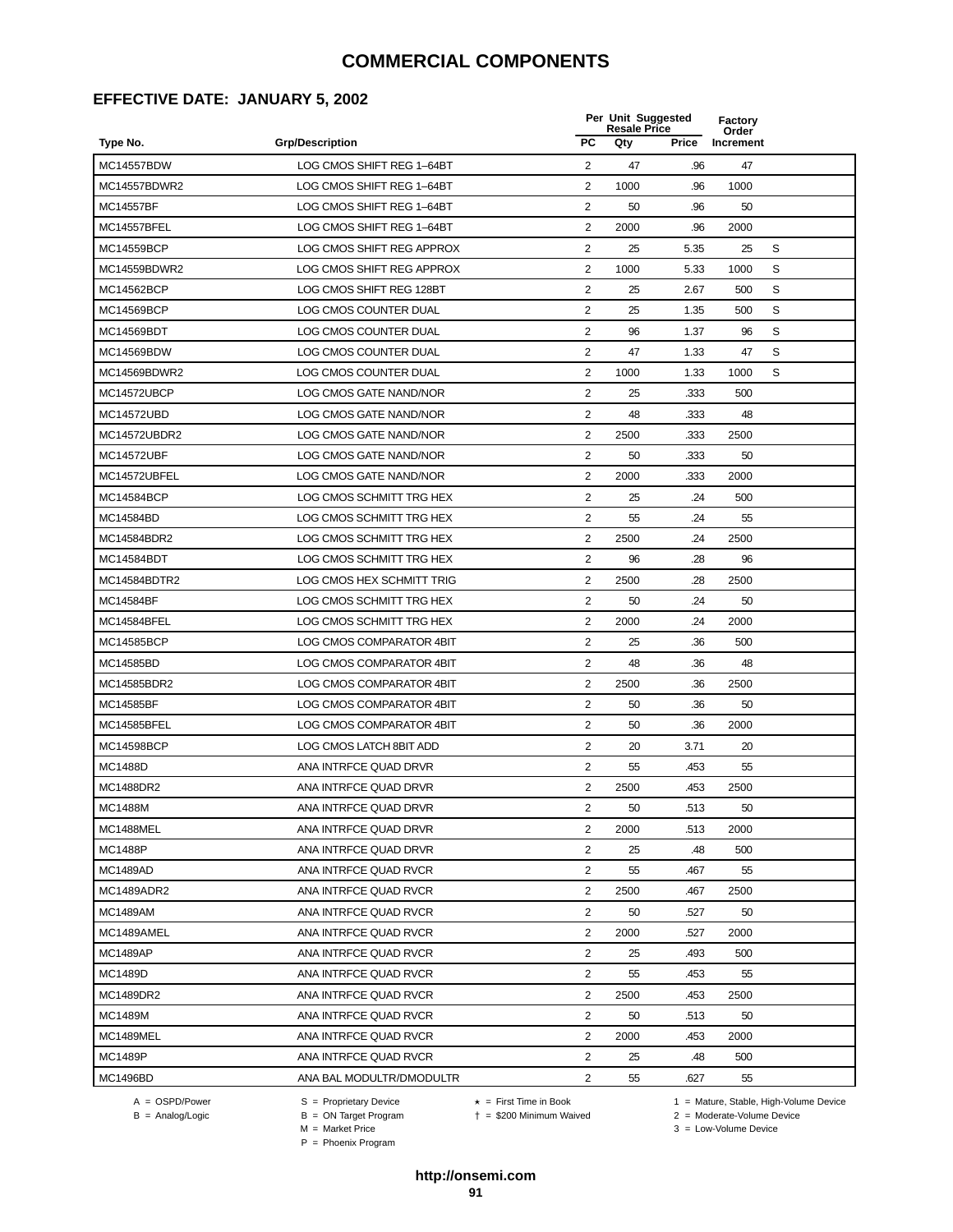### **EFFECTIVE DATE: JANUARY 5, 2002**

|                   |                           |                         | Per Unit Suggested<br><b>Resale Price</b> |              | Factory<br>Order |   |
|-------------------|---------------------------|-------------------------|-------------------------------------------|--------------|------------------|---|
| Type No.          | <b>Grp/Description</b>    | <b>PC</b>               | Qty                                       | <b>Price</b> | Increment        |   |
| <b>MC14557BDW</b> | LOG CMOS SHIFT REG 1-64BT | 2                       | 47                                        | .96          | 47               |   |
| MC14557BDWR2      | LOG CMOS SHIFT REG 1-64BT | 2                       | 1000                                      | .96          | 1000             |   |
| MC14557BF         | LOG CMOS SHIFT REG 1-64BT | 2                       | 50                                        | .96          | 50               |   |
| MC14557BFEL       | LOG CMOS SHIFT REG 1-64BT | 2                       | 2000                                      | .96          | 2000             |   |
| MC14559BCP        | LOG CMOS SHIFT REG APPROX | $\sqrt{2}$              | 25                                        | 5.35         | 25               | S |
| MC14559BDWR2      | LOG CMOS SHIFT REG APPROX | $\overline{2}$          | 1000                                      | 5.33         | 1000             | S |
| MC14562BCP        | LOG CMOS SHIFT REG 128BT  | 2                       | 25                                        | 2.67         | 500              | S |
| MC14569BCP        | LOG CMOS COUNTER DUAL     | 2                       | 25                                        | 1.35         | 500              | S |
| MC14569BDT        | LOG CMOS COUNTER DUAL     | 2                       | 96                                        | 1.37         | 96               | S |
| MC14569BDW        | LOG CMOS COUNTER DUAL     | 2                       | 47                                        | 1.33         | 47               | S |
| MC14569BDWR2      | LOG CMOS COUNTER DUAL     | 2                       | 1000                                      | 1.33         | 1000             | S |
| MC14572UBCP       | LOG CMOS GATE NAND/NOR    | 2                       | 25                                        | .333         | 500              |   |
| <b>MC14572UBD</b> | LOG CMOS GATE NAND/NOR    | 2                       | 48                                        | .333         | 48               |   |
| MC14572UBDR2      | LOG CMOS GATE NAND/NOR    | $\overline{\mathbf{c}}$ | 2500                                      | .333         | 2500             |   |
| <b>MC14572UBF</b> | LOG CMOS GATE NAND/NOR    | $\overline{2}$          | 50                                        | .333         | 50               |   |
| MC14572UBFEL      | LOG CMOS GATE NAND/NOR    | $\overline{2}$          | 2000                                      | .333         | 2000             |   |
| MC14584BCP        | LOG CMOS SCHMITT TRG HEX  | $\overline{2}$          | 25                                        | .24          | 500              |   |
| MC14584BD         | LOG CMOS SCHMITT TRG HEX  | $\overline{2}$          | 55                                        | .24          | 55               |   |
| MC14584BDR2       | LOG CMOS SCHMITT TRG HEX  | 2                       | 2500                                      | .24          | 2500             |   |
| MC14584BDT        | LOG CMOS SCHMITT TRG HEX  | 2                       | 96                                        | .28          | 96               |   |
| MC14584BDTR2      | LOG CMOS HEX SCHMITT TRIG | 2                       | 2500                                      | .28          | 2500             |   |
| MC14584BF         | LOG CMOS SCHMITT TRG HEX  | 2                       | 50                                        | .24          | 50               |   |
| MC14584BFEL       | LOG CMOS SCHMITT TRG HEX  | 2                       | 2000                                      | .24          | 2000             |   |
| MC14585BCP        | LOG CMOS COMPARATOR 4BIT  | 2                       | 25                                        | .36          | 500              |   |
| MC14585BD         | LOG CMOS COMPARATOR 4BIT  | $\overline{2}$          | 48                                        | .36          | 48               |   |
| MC14585BDR2       | LOG CMOS COMPARATOR 4BIT  | $\overline{2}$          | 2500                                      | .36          | 2500             |   |
| MC14585BF         | LOG CMOS COMPARATOR 4BIT  | $\overline{2}$          | 50                                        | .36          | 50               |   |
| MC14585BFEL       | LOG CMOS COMPARATOR 4BIT  | 2                       | 50                                        | .36          | 2000             |   |
| MC14598BCP        | LOG CMOS LATCH 8BIT ADD   | 2                       | 20                                        | 3.71         | 20               |   |
| <b>MC1488D</b>    | ANA INTRFCE QUAD DRVR     | 2                       | 55                                        | .453         | 55               |   |
| MC1488DR2         | ANA INTRFCE QUAD DRVR     | 2                       | 2500                                      | .453         | 2500             |   |
| MC1488M           | ANA INTRFCE QUAD DRVR     | 2                       | 50                                        | .513         | 50               |   |
| MC1488MEL         | ANA INTRFCE QUAD DRVR     | 2                       | 2000                                      | .513         | 2000             |   |
| <b>MC1488P</b>    | ANA INTRFCE QUAD DRVR     | $\overline{2}$          | 25                                        | .48          | 500              |   |
| <b>MC1489AD</b>   | ANA INTRFCE QUAD RVCR     | $\overline{2}$          | 55                                        | .467         | 55               |   |
| MC1489ADR2        | ANA INTRFCE QUAD RVCR     | $\overline{c}$          | 2500                                      | .467         | 2500             |   |
| <b>MC1489AM</b>   | ANA INTRFCE QUAD RVCR     | $\overline{c}$          | 50                                        | .527         | 50               |   |
| MC1489AMEL        | ANA INTRFCE QUAD RVCR     | 2                       | 2000                                      | .527         | 2000             |   |
| <b>MC1489AP</b>   | ANA INTRFCE QUAD RVCR     | $\overline{2}$          | 25                                        | .493         | 500              |   |
| MC1489D           | ANA INTRFCE QUAD RVCR     | $\overline{c}$          | 55                                        | .453         | 55               |   |
| MC1489DR2         | ANA INTRFCE QUAD RVCR     | $\overline{2}$          | 2500                                      | .453         | 2500             |   |
| MC1489M           | ANA INTRFCE QUAD RVCR     | $\overline{2}$          | 50                                        | .513         | 50               |   |
| MC1489MEL         | ANA INTRFCE QUAD RVCR     | $\overline{2}$          | 2000                                      | .453         | 2000             |   |
| <b>MC1489P</b>    | ANA INTRFCE QUAD RVCR     | $\overline{2}$          | 25                                        | .48          | 500              |   |
| <b>MC1496BD</b>   | ANA BAL MODULTR/DMODULTR  | 2                       | 55                                        | .627         | 55               |   |

 $B =$  Analog/Logic  $B =$  ON Target Program  $M =$  Market Price

A = OSPD/Power S = Proprietary Device  $\star$  = First Time in Book 1 = Mature, Stable, High-Volume Device

 = \$200 Minimum Waived 2 = Moderate-Volume Device  $3 =$  Low-Volume Device

P = Phoenix Program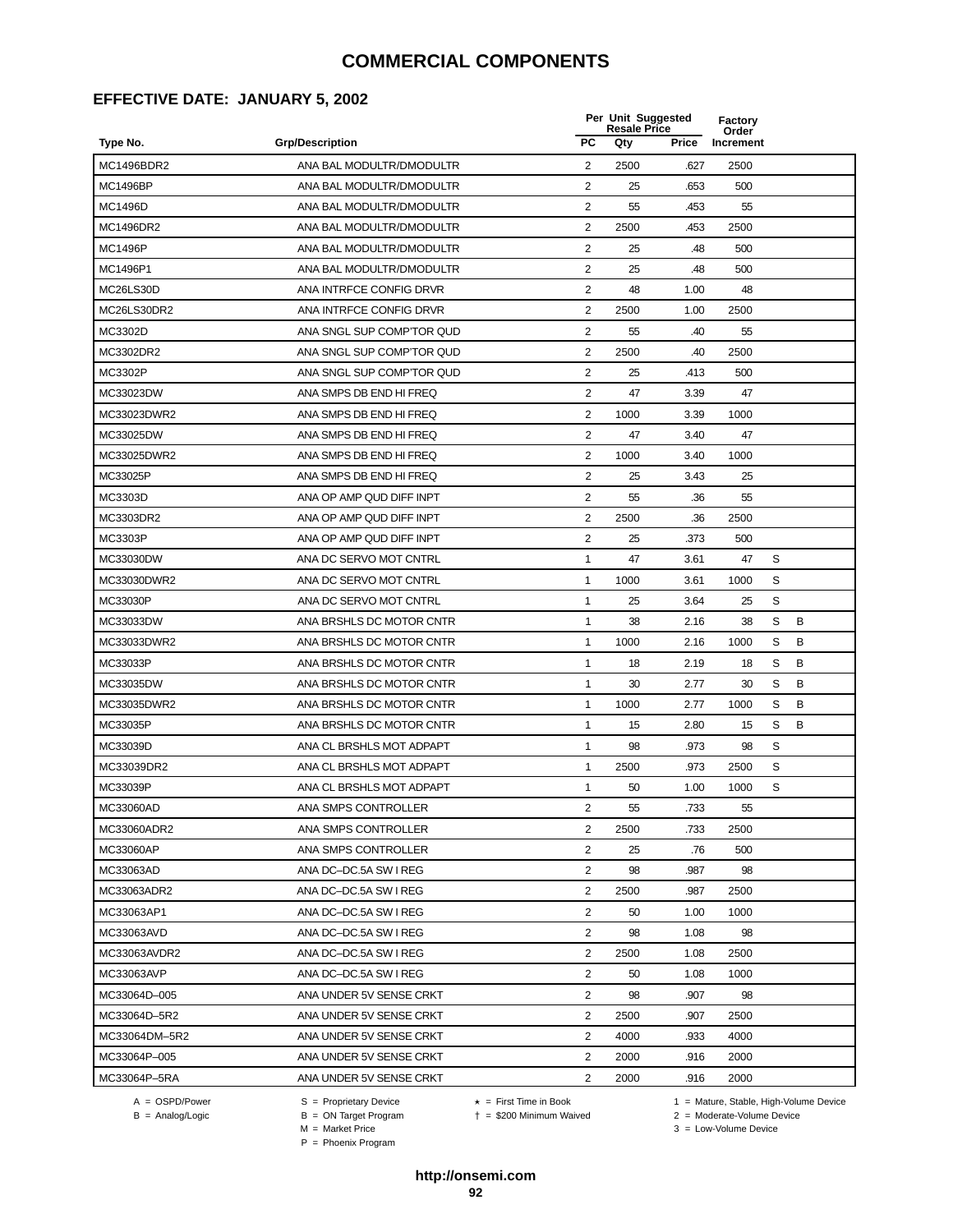### **EFFECTIVE DATE: JANUARY 5, 2002**

|                 |                           | Per Unit Suggested<br><b>Resale Price</b> |      |       | <b>Factory</b><br>Order |   |   |  |
|-----------------|---------------------------|-------------------------------------------|------|-------|-------------------------|---|---|--|
| Type No.        | <b>Grp/Description</b>    | PC                                        | Qty  | Price | Increment               |   |   |  |
| MC1496BDR2      | ANA BAL MODULTR/DMODULTR  | 2                                         | 2500 | .627  | 2500                    |   |   |  |
| <b>MC1496BP</b> | ANA BAL MODULTR/DMODULTR  | 2                                         | 25   | .653  | 500                     |   |   |  |
| MC1496D         | ANA BAL MODULTR/DMODULTR  | 2                                         | 55   | .453  | 55                      |   |   |  |
| MC1496DR2       | ANA BAL MODULTR/DMODULTR  | $\overline{2}$                            | 2500 | .453  | 2500                    |   |   |  |
| <b>MC1496P</b>  | ANA BAL MODULTR/DMODULTR  | $\overline{2}$                            | 25   | .48   | 500                     |   |   |  |
| MC1496P1        | ANA BAL MODULTR/DMODULTR  | 2                                         | 25   | .48   | 500                     |   |   |  |
| MC26LS30D       | ANA INTRFCE CONFIG DRVR   | $\overline{2}$                            | 48   | 1.00  | 48                      |   |   |  |
| MC26LS30DR2     | ANA INTRFCE CONFIG DRVR   | $\overline{2}$                            | 2500 | 1.00  | 2500                    |   |   |  |
| MC3302D         | ANA SNGL SUP COMP'TOR QUD | $\overline{c}$                            | 55   | .40   | 55                      |   |   |  |
| MC3302DR2       | ANA SNGL SUP COMP'TOR QUD | $\overline{2}$                            | 2500 | .40   | 2500                    |   |   |  |
| MC3302P         | ANA SNGL SUP COMP'TOR QUD | $\overline{2}$                            | 25   | .413  | 500                     |   |   |  |
| MC33023DW       | ANA SMPS DB END HI FREQ   | 2                                         | 47   | 3.39  | 47                      |   |   |  |
| MC33023DWR2     | ANA SMPS DB END HI FREQ   | $\overline{2}$                            | 1000 | 3.39  | 1000                    |   |   |  |
| MC33025DW       | ANA SMPS DB END HI FREQ   | $\overline{2}$                            | 47   | 3.40  | 47                      |   |   |  |
| MC33025DWR2     | ANA SMPS DB END HI FREQ   | $\overline{2}$                            | 1000 | 3.40  | 1000                    |   |   |  |
| MC33025P        | ANA SMPS DB END HI FREQ   | $\overline{2}$                            | 25   | 3.43  | 25                      |   |   |  |
| MC3303D         | ANA OP AMP QUD DIFF INPT  | 2                                         | 55   | .36   | 55                      |   |   |  |
| MC3303DR2       | ANA OP AMP QUD DIFF INPT  | 2                                         | 2500 | .36   | 2500                    |   |   |  |
| MC3303P         | ANA OP AMP QUD DIFF INPT  | 2                                         | 25   | .373  | 500                     |   |   |  |
| MC33030DW       | ANA DC SERVO MOT CNTRL    | 1                                         | 47   | 3.61  | 47                      | S |   |  |
| MC33030DWR2     | ANA DC SERVO MOT CNTRL    | 1                                         | 1000 | 3.61  | 1000                    | S |   |  |
| MC33030P        | ANA DC SERVO MOT CNTRL    | 1                                         | 25   | 3.64  | 25                      | S |   |  |
| MC33033DW       | ANA BRSHLS DC MOTOR CNTR  | 1                                         | 38   | 2.16  | 38                      | S | В |  |
| MC33033DWR2     | ANA BRSHLS DC MOTOR CNTR  | $\mathbf{1}$                              | 1000 | 2.16  | 1000                    | S | B |  |
| MC33033P        | ANA BRSHLS DC MOTOR CNTR  | 1                                         | 18   | 2.19  | 18                      | S | В |  |
| MC33035DW       | ANA BRSHLS DC MOTOR CNTR  | $\mathbf{1}$                              | 30   | 2.77  | 30                      | S | B |  |
| MC33035DWR2     | ANA BRSHLS DC MOTOR CNTR  | 1                                         | 1000 | 2.77  | 1000                    | S | в |  |
| MC33035P        | ANA BRSHLS DC MOTOR CNTR  | 1                                         | 15   | 2.80  | 15                      | S | B |  |
| MC33039D        | ANA CL BRSHLS MOT ADPAPT  | 1                                         | 98   | .973  | 98                      | S |   |  |
| MC33039DR2      | ANA CL BRSHLS MOT ADPAPT  | 1                                         | 2500 | .973  | 2500                    | S |   |  |
| MC33039P        | ANA CL BRSHLS MOT ADPAPT  | 1                                         | 50   | 1.00  | 1000                    | S |   |  |
| MC33060AD       | ANA SMPS CONTROLLER       | 2                                         | 55   | .733  | 55                      |   |   |  |
| MC33060ADR2     | ANA SMPS CONTROLLER       | 2                                         | 2500 | .733  | 2500                    |   |   |  |
| MC33060AP       | ANA SMPS CONTROLLER       | 2                                         | 25   | .76   | 500                     |   |   |  |
| MC33063AD       | ANA DC-DC.5A SW I REG     | $\overline{2}$                            | 98   | .987  | 98                      |   |   |  |
| MC33063ADR2     | ANA DC-DC.5A SW I REG     | $\overline{2}$                            | 2500 | .987  | 2500                    |   |   |  |
| MC33063AP1      | ANA DC-DC.5A SW I REG     | 2                                         | 50   | 1.00  | 1000                    |   |   |  |
| MC33063AVD      | ANA DC-DC.5A SW I REG     | 2                                         | 98   | 1.08  | 98                      |   |   |  |
| MC33063AVDR2    | ANA DC-DC.5A SW I REG     | $\overline{2}$                            | 2500 | 1.08  | 2500                    |   |   |  |
| MC33063AVP      | ANA DC-DC.5A SW I REG     | 2                                         | 50   | 1.08  | 1000                    |   |   |  |
| MC33064D-005    | ANA UNDER 5V SENSE CRKT   | 2                                         | 98   | .907  | 98                      |   |   |  |
| MC33064D-5R2    | ANA UNDER 5V SENSE CRKT   | 2                                         | 2500 | .907  | 2500                    |   |   |  |
| MC33064DM-5R2   | ANA UNDER 5V SENSE CRKT   | $\overline{2}$                            | 4000 | .933  | 4000                    |   |   |  |
| MC33064P-005    | ANA UNDER 5V SENSE CRKT   | 2                                         | 2000 | .916  | 2000                    |   |   |  |
| MC33064P-5RA    | ANA UNDER 5V SENSE CRKT   | 2                                         | 2000 | .916  | 2000                    |   |   |  |
|                 |                           |                                           |      |       |                         |   |   |  |

 $B =$  Analog/Logic  $B =$  ON Target Program  $M =$  Market Price

A = OSPD/Power S = Proprietary Device  $\star$  = First Time in Book 1 = Mature, Stable, High-Volume Device

 = \$200 Minimum Waived 2 = Moderate-Volume Device  $3 =$  Low-Volume Device

P = Phoenix Program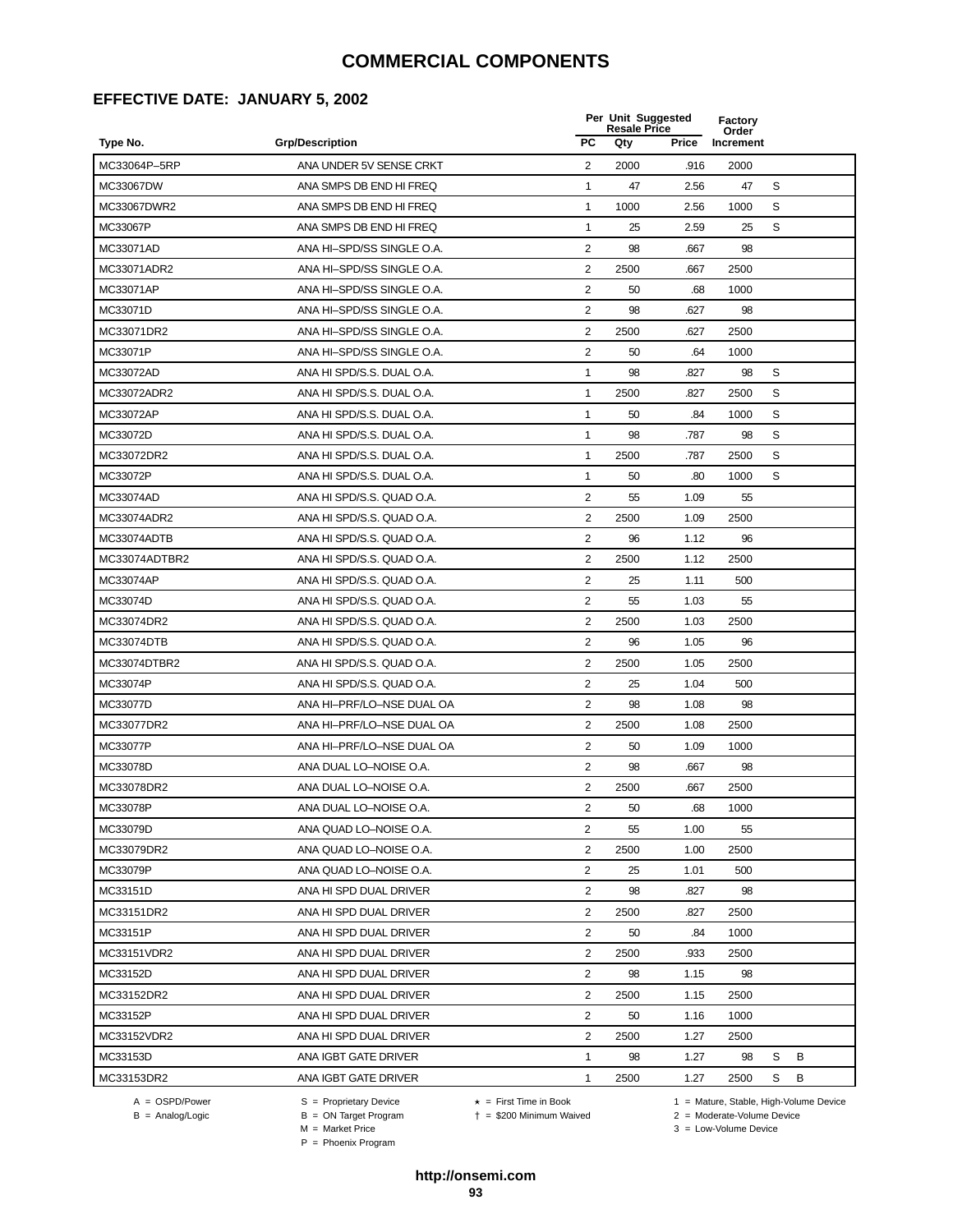### **EFFECTIVE DATE: JANUARY 5, 2002**

|               |                           |                | Per Unit Suggested<br><b>Resale Price</b> |       | Factory<br>Order |   |   |
|---------------|---------------------------|----------------|-------------------------------------------|-------|------------------|---|---|
| Type No.      | <b>Grp/Description</b>    | <b>PC</b>      | Qty                                       | Price | Increment        |   |   |
| MC33064P-5RP  | ANA UNDER 5V SENSE CRKT   | 2              | 2000                                      | .916  | 2000             |   |   |
| MC33067DW     | ANA SMPS DB END HI FREQ   | $\mathbf{1}$   | 47                                        | 2.56  | 47               | S |   |
| MC33067DWR2   | ANA SMPS DB END HI FREQ   | $\mathbf{1}$   | 1000                                      | 2.56  | 1000             | S |   |
| MC33067P      | ANA SMPS DB END HI FREQ   | $\mathbf{1}$   | 25                                        | 2.59  | 25               | S |   |
| MC33071AD     | ANA HI-SPD/SS SINGLE O.A. | $\overline{2}$ | 98                                        | .667  | 98               |   |   |
| MC33071ADR2   | ANA HI-SPD/SS SINGLE O.A. | 2              | 2500                                      | .667  | 2500             |   |   |
| MC33071AP     | ANA HI-SPD/SS SINGLE O.A. | $\overline{2}$ | 50                                        | .68   | 1000             |   |   |
| MC33071D      | ANA HI-SPD/SS SINGLE O.A. | 2              | 98                                        | .627  | 98               |   |   |
| MC33071DR2    | ANA HI-SPD/SS SINGLE O.A. | $\overline{2}$ | 2500                                      | .627  | 2500             |   |   |
| MC33071P      | ANA HI-SPD/SS SINGLE O.A. | 2              | 50                                        | .64   | 1000             |   |   |
| MC33072AD     | ANA HI SPD/S.S. DUAL O.A. | $\mathbf{1}$   | 98                                        | .827  | 98               | S |   |
| MC33072ADR2   | ANA HI SPD/S.S. DUAL O.A. | $\mathbf{1}$   | 2500                                      | .827  | 2500             | S |   |
| MC33072AP     | ANA HI SPD/S.S. DUAL O.A. | $\mathbf{1}$   | 50                                        | .84   | 1000             | S |   |
| MC33072D      | ANA HI SPD/S.S. DUAL O.A. | $\mathbf{1}$   | 98                                        | .787  | 98               | S |   |
| MC33072DR2    | ANA HI SPD/S.S. DUAL O.A. | $\mathbf{1}$   | 2500                                      | .787  | 2500             | S |   |
| MC33072P      | ANA HI SPD/S.S. DUAL O.A. | $\mathbf{1}$   | 50                                        | .80   | 1000             | S |   |
| MC33074AD     | ANA HI SPD/S.S. QUAD O.A. | $\overline{2}$ | 55                                        | 1.09  | 55               |   |   |
| MC33074ADR2   | ANA HI SPD/S.S. QUAD O.A. | $\overline{c}$ | 2500                                      | 1.09  | 2500             |   |   |
| MC33074ADTB   | ANA HI SPD/S.S. QUAD O.A. | 2              | 96                                        | 1.12  | 96               |   |   |
| MC33074ADTBR2 | ANA HI SPD/S.S. QUAD O.A. | 2              | 2500                                      | 1.12  | 2500             |   |   |
| MC33074AP     | ANA HI SPD/S.S. QUAD O.A. | 2              | 25                                        | 1.11  | 500              |   |   |
| MC33074D      | ANA HI SPD/S.S. QUAD O.A. | 2              | 55                                        | 1.03  | 55               |   |   |
| MC33074DR2    | ANA HI SPD/S.S. QUAD O.A. | $\overline{2}$ | 2500                                      | 1.03  | 2500             |   |   |
| MC33074DTB    | ANA HI SPD/S.S. QUAD O.A. | 2              | 96                                        | 1.05  | 96               |   |   |
| MC33074DTBR2  | ANA HI SPD/S.S. QUAD O.A. | $\overline{2}$ | 2500                                      | 1.05  | 2500             |   |   |
| MC33074P      | ANA HI SPD/S.S. QUAD O.A. | 2              | 25                                        | 1.04  | 500              |   |   |
| MC33077D      | ANA HI-PRF/LO-NSE DUAL OA | 2              | 98                                        | 1.08  | 98               |   |   |
| MC33077DR2    | ANA HI-PRF/LO-NSE DUAL OA | 2              | 2500                                      | 1.08  | 2500             |   |   |
| MC33077P      | ANA HI-PRF/LO-NSE DUAL OA | 2              | 50                                        | 1.09  | 1000             |   |   |
| MC33078D      | ANA DUAL LO-NOISE O.A.    | 2              | 98                                        | .667  | 98               |   |   |
| MC33078DR2    | ANA DUAL LO-NOISE O.A.    | $\overline{2}$ | 2500                                      | .667  | 2500             |   |   |
| MC33078P      | ANA DUAL LO-NOISE O.A.    | 2              | 50                                        | .68   | 1000             |   |   |
| MC33079D      | ANA QUAD LO-NOISE O.A.    | $\overline{2}$ | 55                                        | 1.00  | 55               |   |   |
| MC33079DR2    | ANA QUAD LO-NOISE O.A.    | $\overline{c}$ | 2500                                      | 1.00  | 2500             |   |   |
| MC33079P      | ANA QUAD LO-NOISE O.A.    | $\overline{2}$ | 25                                        | 1.01  | 500              |   |   |
| MC33151D      | ANA HI SPD DUAL DRIVER    | $\overline{2}$ | 98                                        | .827  | 98               |   |   |
| MC33151DR2    | ANA HI SPD DUAL DRIVER    | $\overline{c}$ | 2500                                      | .827  | 2500             |   |   |
| MC33151P      | ANA HI SPD DUAL DRIVER    | $\overline{c}$ | 50                                        | .84   | 1000             |   |   |
| MC33151VDR2   | ANA HI SPD DUAL DRIVER    | 2              | 2500                                      | .933  | 2500             |   |   |
| MC33152D      | ANA HI SPD DUAL DRIVER    | $\overline{2}$ | 98                                        | 1.15  | 98               |   |   |
| MC33152DR2    | ANA HI SPD DUAL DRIVER    | $\overline{2}$ | 2500                                      | 1.15  | 2500             |   |   |
| MC33152P      | ANA HI SPD DUAL DRIVER    | 2              | 50                                        | 1.16  | 1000             |   |   |
| MC33152VDR2   | ANA HI SPD DUAL DRIVER    | 2              | 2500                                      | 1.27  | 2500             |   |   |
| MC33153D      | ANA IGBT GATE DRIVER      | $\mathbf{1}$   | 98                                        | 1.27  | 98               | S | В |
| MC33153DR2    | ANA IGBT GATE DRIVER      | 1              | 2500                                      | 1.27  | 2500             | S | В |

A = OSPD/Power S = Proprietary Device<br>
B = Analog/Logic B = ON Target Program<br>
M = Market Price

= \$200 Minimum Waived 2 = Moderate-Volume Device

A = OSPD/Power S = Proprietary Device  $\star$  = First Time in Book 1 = Mature, Stable, High-Volume Device  $2 =$  Moderate-Volume Device<br> $3 =$  Low-Volume Device

P = Phoenix Program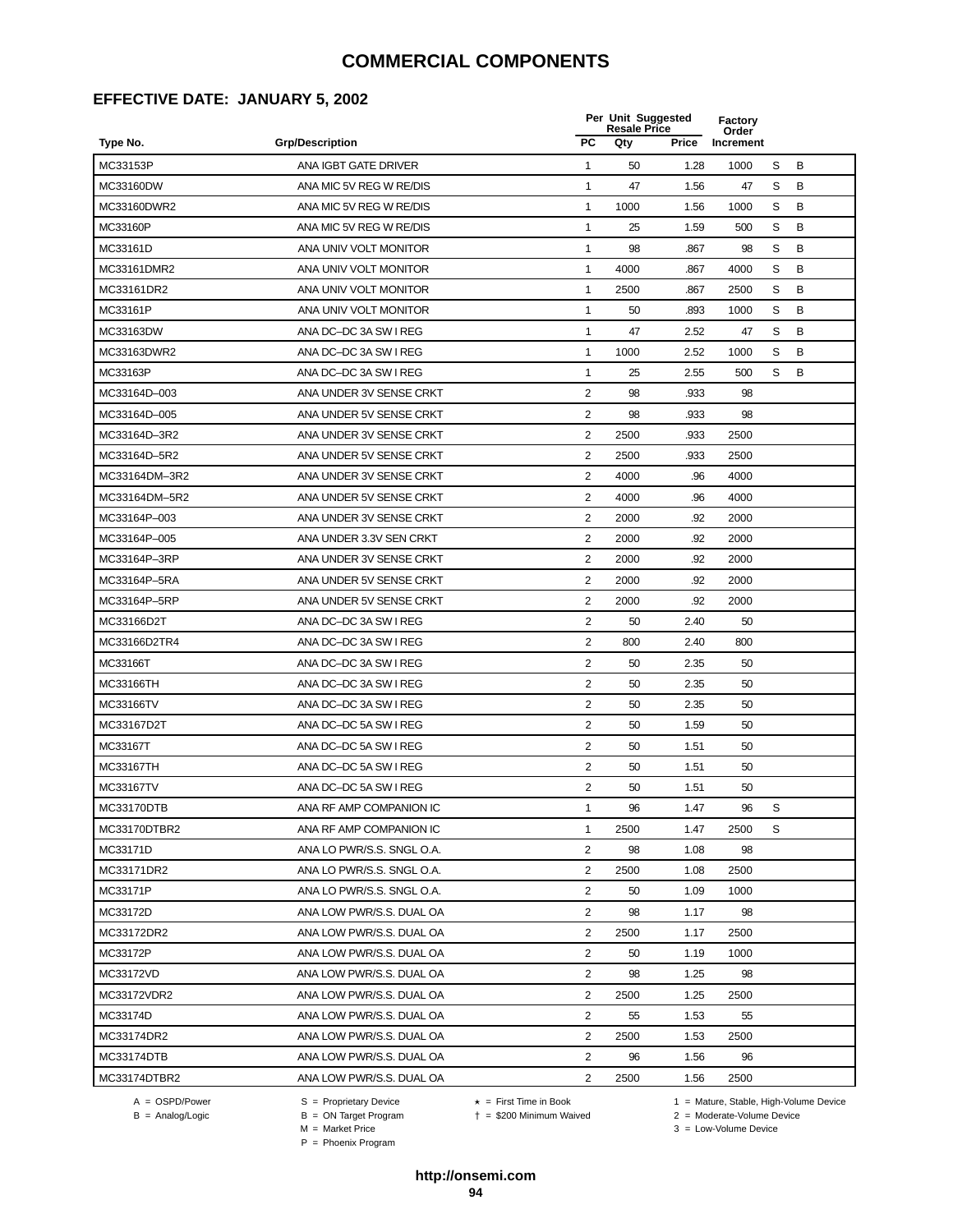### **EFFECTIVE DATE: JANUARY 5, 2002**

|               |                           |                         | Per Unit Suggested<br><b>Resale Price</b> |       | <b>Factory</b><br>Order |   |   |  |
|---------------|---------------------------|-------------------------|-------------------------------------------|-------|-------------------------|---|---|--|
| Type No.      | <b>Grp/Description</b>    | <b>PC</b>               | Qty                                       | Price | Increment               |   |   |  |
| MC33153P      | ANA IGBT GATE DRIVER      | 1                       | 50                                        | 1.28  | 1000                    | S | B |  |
| MC33160DW     | ANA MIC 5V REG W RE/DIS   | 1                       | 47                                        | 1.56  | 47                      | S | B |  |
| MC33160DWR2   | ANA MIC 5V REG W RE/DIS   | 1                       | 1000                                      | 1.56  | 1000                    | S | B |  |
| MC33160P      | ANA MIC 5V REG W RE/DIS   | 1                       | 25                                        | 1.59  | 500                     | S | B |  |
| MC33161D      | ANA UNIV VOLT MONITOR     | $\mathbf{1}$            | 98                                        | .867  | 98                      | S | В |  |
| MC33161DMR2   | ANA UNIV VOLT MONITOR     | $\mathbf{1}$            | 4000                                      | .867  | 4000                    | S | B |  |
| MC33161DR2    | ANA UNIV VOLT MONITOR     | 1                       | 2500                                      | .867  | 2500                    | S | B |  |
| MC33161P      | ANA UNIV VOLT MONITOR     | $\mathbf{1}$            | 50                                        | .893  | 1000                    | S | В |  |
| MC33163DW     | ANA DC-DC 3A SW I REG     | $\mathbf{1}$            | 47                                        | 2.52  | 47                      | S | В |  |
| MC33163DWR2   | ANA DC-DC 3A SW I REG     | 1                       | 1000                                      | 2.52  | 1000                    | S | B |  |
| MC33163P      | ANA DC-DC 3A SW I REG     | 1                       | 25                                        | 2.55  | 500                     | S | B |  |
| MC33164D-003  | ANA UNDER 3V SENSE CRKT   | $\overline{2}$          | 98                                        | .933  | 98                      |   |   |  |
| MC33164D-005  | ANA UNDER 5V SENSE CRKT   | 2                       | 98                                        | .933  | 98                      |   |   |  |
| MC33164D-3R2  | ANA UNDER 3V SENSE CRKT   | $\sqrt{2}$              | 2500                                      | .933  | 2500                    |   |   |  |
| MC33164D-5R2  | ANA UNDER 5V SENSE CRKT   | 2                       | 2500                                      | .933  | 2500                    |   |   |  |
| MC33164DM-3R2 | ANA UNDER 3V SENSE CRKT   | $\overline{2}$          | 4000                                      | .96   | 4000                    |   |   |  |
| MC33164DM-5R2 | ANA UNDER 5V SENSE CRKT   | 2                       | 4000                                      | .96   | 4000                    |   |   |  |
| MC33164P-003  | ANA UNDER 3V SENSE CRKT   | 2                       | 2000                                      | .92   | 2000                    |   |   |  |
| MC33164P-005  | ANA UNDER 3.3V SEN CRKT   | 2                       | 2000                                      | .92   | 2000                    |   |   |  |
| MC33164P-3RP  | ANA UNDER 3V SENSE CRKT   | $\overline{2}$          | 2000                                      | .92   | 2000                    |   |   |  |
| MC33164P-5RA  | ANA UNDER 5V SENSE CRKT   | 2                       | 2000                                      | .92   | 2000                    |   |   |  |
| MC33164P-5RP  | ANA UNDER 5V SENSE CRKT   | $\overline{2}$          | 2000                                      | .92   | 2000                    |   |   |  |
| MC33166D2T    | ANA DC-DC 3A SW I REG     | $\overline{2}$          | 50                                        | 2.40  | 50                      |   |   |  |
| MC33166D2TR4  | ANA DC-DC 3A SW I REG     | 2                       | 800                                       | 2.40  | 800                     |   |   |  |
| MC33166T      | ANA DC-DC 3A SW I REG     | $\overline{2}$          | 50                                        | 2.35  | 50                      |   |   |  |
| MC33166TH     | ANA DC-DC 3A SW I REG     | $\overline{2}$          | 50                                        | 2.35  | 50                      |   |   |  |
| MC33166TV     | ANA DC-DC 3A SW I REG     | $\overline{\mathbf{c}}$ | 50                                        | 2.35  | 50                      |   |   |  |
| MC33167D2T    | ANA DC-DC 5A SW I REG     | 2                       | 50                                        | 1.59  | 50                      |   |   |  |
| MC33167T      | ANA DC-DC 5A SW I REG     | 2                       | 50                                        | 1.51  | 50                      |   |   |  |
| MC33167TH     | ANA DC-DC 5A SW I REG     | $\overline{2}$          | 50                                        | 1.51  | 50                      |   |   |  |
| MC33167TV     | ANA DC-DC 5A SW I REG     | $\overline{2}$          | 50                                        | 1.51  | 50                      |   |   |  |
| MC33170DTB    | ANA RF AMP COMPANION IC   | 1                       | 96                                        | 1.47  | 96                      | S |   |  |
| MC33170DTBR2  | ANA RF AMP COMPANION IC   | $\mathbf{1}$            | 2500                                      | 1.47  | 2500                    | S |   |  |
| MC33171D      | ANA LO PWR/S.S. SNGL O.A. | $\overline{2}$          | 98                                        | 1.08  | 98                      |   |   |  |
| MC33171DR2    | ANA LO PWR/S.S. SNGL O.A. | 2                       | 2500                                      | 1.08  | 2500                    |   |   |  |
| MC33171P      | ANA LO PWR/S.S. SNGL O.A. | $\overline{2}$          | 50                                        | 1.09  | 1000                    |   |   |  |
| MC33172D      | ANA LOW PWR/S.S. DUAL OA  | 2                       | 98                                        | 1.17  | 98                      |   |   |  |
| MC33172DR2    | ANA LOW PWR/S.S. DUAL OA  | $\overline{2}$          | 2500                                      | 1.17  | 2500                    |   |   |  |
| MC33172P      | ANA LOW PWR/S.S. DUAL OA  | $\overline{2}$          | 50                                        | 1.19  | 1000                    |   |   |  |
| MC33172VD     | ANA LOW PWR/S.S. DUAL OA  | $\overline{2}$          | 98                                        | 1.25  | 98                      |   |   |  |
| MC33172VDR2   | ANA LOW PWR/S.S. DUAL OA  | 2                       | 2500                                      | 1.25  | 2500                    |   |   |  |
| MC33174D      | ANA LOW PWR/S.S. DUAL OA  | 2                       | 55                                        | 1.53  | 55                      |   |   |  |
| MC33174DR2    | ANA LOW PWR/S.S. DUAL OA  | 2                       | 2500                                      | 1.53  | 2500                    |   |   |  |
| MC33174DTB    | ANA LOW PWR/S.S. DUAL OA  | 2                       | 96                                        | 1.56  | 96                      |   |   |  |
| MC33174DTBR2  | ANA LOW PWR/S.S. DUAL OA  | $\overline{c}$          | 2500                                      | 1.56  | 2500                    |   |   |  |

-<br>B = ON Target Program<br>M = Market Price

 $A = OBPD/Power$ <br>  $B = ON Target Program$   $A = First Time in Book$   $A = West Theorem 1 = Nature, Stable, High-Volume Device$   $A = Mature, Stable, High-Volume Device$   $A = Mature, Stable, High-Volume Device$   $A = Mature, Table, High-Volume Device$   $A = Mature, Table, High-Volume Device$   $A = Mature, Table, High-Volume Device$   $A = Mature, Table, High-Volume Device$   $A = Mature, Table, High-Volume Device$   $A = Mature, Table, High-Volume Device$   $A = Mature, Table, High-Volume Device$   $A = Mature, Table, High-Volume Device$   $A = Mature, Table, High-Volume Device$   $A = Mature, Table, High-Volume Device$   $A = Mature, Table$ 

 $2 =$  Moderate-Volume Device

P = Phoenix Program

 $3 =$  Low-Volume Device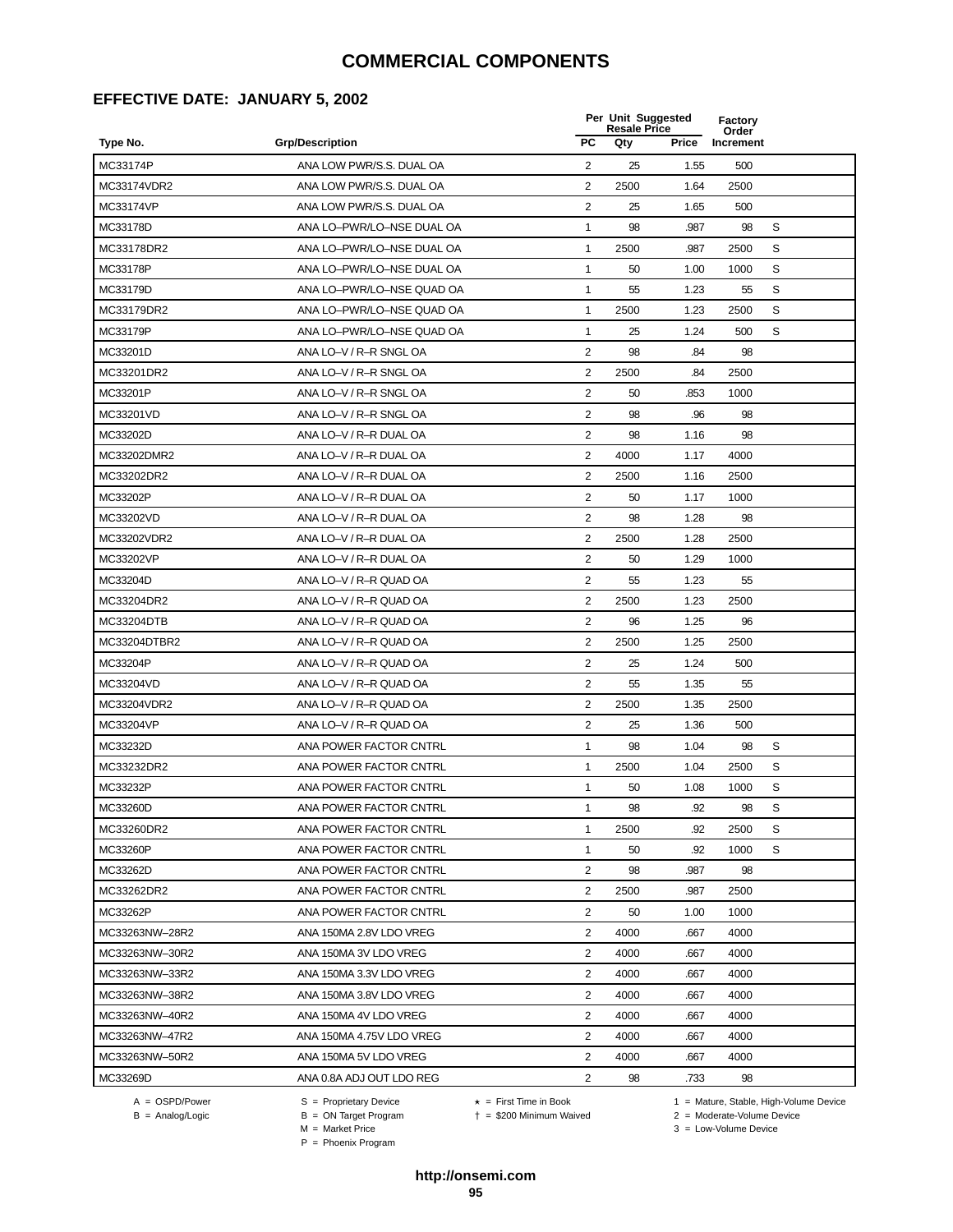### **EFFECTIVE DATE: JANUARY 5, 2002**

|                |                           |                | Per Unit Suggested<br><b>Resale Price</b> |              |                    |   |
|----------------|---------------------------|----------------|-------------------------------------------|--------------|--------------------|---|
| Type No.       | <b>Grp/Description</b>    | <b>PC</b>      | Qty                                       | <b>Price</b> | Order<br>Increment |   |
| MC33174P       | ANA LOW PWR/S.S. DUAL OA  | $\overline{2}$ | 25                                        | 1.55         | 500                |   |
| MC33174VDR2    | ANA LOW PWR/S.S. DUAL OA  | 2              | 2500                                      | 1.64         | 2500               |   |
| MC33174VP      | ANA LOW PWR/S.S. DUAL OA  | $\overline{2}$ | 25                                        | 1.65         | 500                |   |
| MC33178D       | ANA LO-PWR/LO-NSE DUAL OA | $\mathbf{1}$   | 98                                        | .987         | 98                 | S |
| MC33178DR2     | ANA LO-PWR/LO-NSE DUAL OA | $\mathbf{1}$   | 2500                                      | .987         | 2500               | S |
| MC33178P       | ANA LO-PWR/LO-NSE DUAL OA | $\mathbf{1}$   | 50                                        | 1.00         | 1000               | S |
| MC33179D       | ANA LO-PWR/LO-NSE QUAD OA | $\mathbf{1}$   | 55                                        | 1.23         | 55                 | S |
| MC33179DR2     | ANA LO-PWR/LO-NSE QUAD OA | $\mathbf{1}$   | 2500                                      | 1.23         | 2500               | S |
| MC33179P       | ANA LO-PWR/LO-NSE QUAD OA | $\mathbf{1}$   | 25                                        | 1.24         | 500                | S |
| MC33201D       | ANA LO-V / R-R SNGL OA    | 2              | 98                                        | .84          | 98                 |   |
| MC33201DR2     | ANA LO-V / R-R SNGL OA    | 2              | 2500                                      | .84          | 2500               |   |
| MC33201P       | ANA LO-V / R-R SNGL OA    | $\overline{2}$ | 50                                        | .853         | 1000               |   |
| MC33201VD      | ANA LO-V / R-R SNGL OA    | 2              | 98                                        | .96          | 98                 |   |
| MC33202D       | ANA LO-V / R-R DUAL OA    | $\overline{2}$ | 98                                        | 1.16         | 98                 |   |
| MC33202DMR2    | ANA LO-V / R-R DUAL OA    | 2              | 4000                                      | 1.17         | 4000               |   |
| MC33202DR2     | ANA LO-V / R-R DUAL OA    | 2              | 2500                                      | 1.16         | 2500               |   |
| MC33202P       | ANA LO-V / R-R DUAL OA    | 2              | 50                                        | 1.17         | 1000               |   |
| MC33202VD      | ANA LO-V / R-R DUAL OA    | $\overline{c}$ | 98                                        | 1.28         | 98                 |   |
| MC33202VDR2    | ANA LO-V / R-R DUAL OA    | 2              | 2500                                      | 1.28         | 2500               |   |
| MC33202VP      | ANA LO-V / R-R DUAL OA    | 2              | 50                                        | 1.29         | 1000               |   |
| MC33204D       | ANA LO-V / R-R QUAD OA    | 2              | 55                                        | 1.23         | 55                 |   |
| MC33204DR2     | ANA LO-V / R-R QUAD OA    | $\overline{c}$ | 2500                                      | 1.23         | 2500               |   |
| MC33204DTB     | ANA LO-V / R-R QUAD OA    | $\overline{c}$ | 96                                        | 1.25         | 96                 |   |
| MC33204DTBR2   | ANA LO-V / R-R QUAD OA    | $\overline{2}$ | 2500                                      | 1.25         | 2500               |   |
| MC33204P       | ANA LO-V / R-R QUAD OA    | 2              | 25                                        | 1.24         | 500                |   |
| MC33204VD      | ANA LO-V / R-R QUAD OA    | 2              | 55                                        | 1.35         | 55                 |   |
| MC33204VDR2    | ANA LO-V / R-R QUAD OA    | $\overline{2}$ | 2500                                      | 1.35         | 2500               |   |
| MC33204VP      | ANA LO-V / R-R QUAD OA    | 2              | 25                                        | 1.36         | 500                |   |
| MC33232D       | ANA POWER FACTOR CNTRL    | $\mathbf{1}$   | 98                                        | 1.04         | 98                 | S |
| MC33232DR2     | ANA POWER FACTOR CNTRL    | 1              | 2500                                      | 1.04         | 2500               | S |
| MC33232P       | ANA POWER FACTOR CNTRL    | $\mathbf{1}$   | 50                                        | 1.08         | 1000               | S |
| MC33260D       | ANA POWER FACTOR CNTRL    | 1              | 98                                        | .92          | 98                 | S |
| MC33260DR2     | ANA POWER FACTOR CNTRL    | 1              | 2500                                      | .92          | 2500               | S |
| MC33260P       | ANA POWER FACTOR CNTRL    | $\mathbf{1}$   | 50                                        | .92          | 1000               | S |
| MC33262D       | ANA POWER FACTOR CNTRL    | $\overline{2}$ | 98                                        | .987         | 98                 |   |
| MC33262DR2     | ANA POWER FACTOR CNTRL    | 2              | 2500                                      | .987         | 2500               |   |
| MC33262P       | ANA POWER FACTOR CNTRL    | 2              | 50                                        | 1.00         | 1000               |   |
| MC33263NW-28R2 | ANA 150MA 2.8V LDO VREG   | 2              | 4000                                      | .667         | 4000               |   |
| MC33263NW-30R2 | ANA 150MA 3V LDO VREG     | $\overline{2}$ | 4000                                      | .667         | 4000               |   |
| MC33263NW-33R2 | ANA 150MA 3.3V LDO VREG   | 2              | 4000                                      | .667         | 4000               |   |
| MC33263NW-38R2 | ANA 150MA 3.8V LDO VREG   | 2              | 4000                                      | .667         | 4000               |   |
| MC33263NW-40R2 | ANA 150MA 4V LDO VREG     | 2              | 4000                                      | .667         | 4000               |   |
| MC33263NW-47R2 | ANA 150MA 4.75V LDO VREG  | 2              | 4000                                      | .667         | 4000               |   |
| MC33263NW-50R2 | ANA 150MA 5V LDO VREG     | 2              | 4000                                      | .667         | 4000               |   |
| MC33269D       | ANA 0.8A ADJ OUT LDO REG  | $\overline{2}$ | 98                                        | .733         | 98                 |   |
|                |                           |                |                                           |              |                    |   |

 $B = \text{Analog/Logic}$ <br>B = ON Target Program<br> $M = \text{Market Price}$ 

= \$200 Minimum Waived 2 = Moderate-Volume Device

A = OSPD/Power S = Proprietary Device  $\star$  = First Time in Book 1 = Mature, Stable, High-Volume Device

 $3 =$  Low-Volume Device

P = Phoenix Program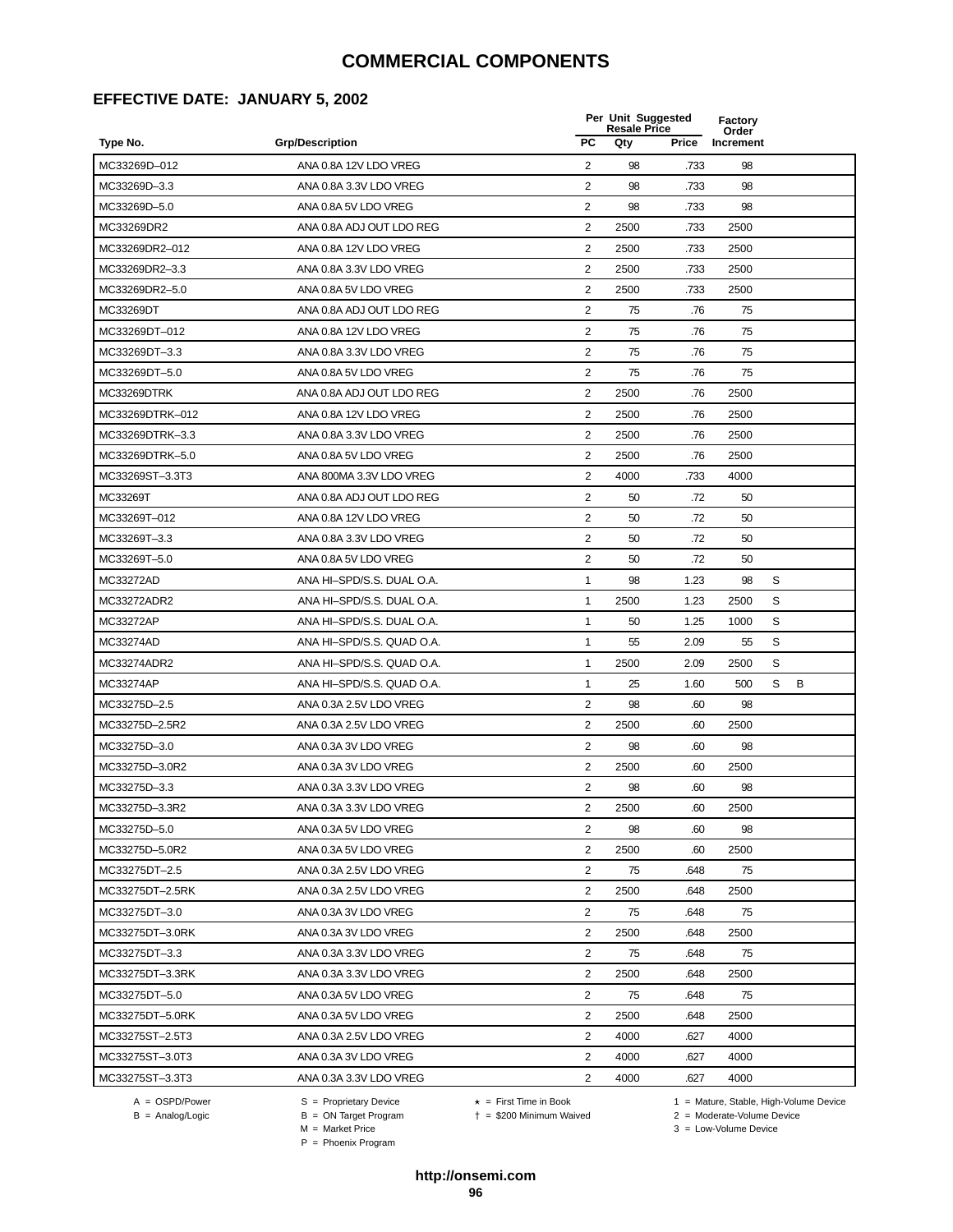### **EFFECTIVE DATE: JANUARY 5, 2002**

|                 |                           |                | Per Unit Suggested<br><b>Resale Price</b> |       | <b>Factory</b><br>Order |   |   |  |
|-----------------|---------------------------|----------------|-------------------------------------------|-------|-------------------------|---|---|--|
| Type No.        | <b>Grp/Description</b>    | <b>PC</b>      | Qty                                       | Price | Increment               |   |   |  |
| MC33269D-012    | ANA 0.8A 12V LDO VREG     | 2              | 98                                        | .733  | 98                      |   |   |  |
| MC33269D-3.3    | ANA 0.8A 3.3V LDO VREG    | 2              | 98                                        | .733  | 98                      |   |   |  |
| MC33269D-5.0    | ANA 0.8A 5V LDO VREG      | 2              | 98                                        | .733  | 98                      |   |   |  |
| MC33269DR2      | ANA 0.8A ADJ OUT LDO REG  | $\overline{2}$ | 2500                                      | .733  | 2500                    |   |   |  |
| MC33269DR2-012  | ANA 0.8A 12V LDO VREG     | $\overline{2}$ | 2500                                      | .733  | 2500                    |   |   |  |
| MC33269DR2-3.3  | ANA 0.8A 3.3V LDO VREG    | $\overline{2}$ | 2500                                      | .733  | 2500                    |   |   |  |
| MC33269DR2-5.0  | ANA 0.8A 5V LDO VREG      | 2              | 2500                                      | .733  | 2500                    |   |   |  |
| MC33269DT       | ANA 0.8A ADJ OUT LDO REG  | 2              | 75                                        | .76   | 75                      |   |   |  |
| MC33269DT-012   | ANA 0.8A 12V LDO VREG     | 2              | 75                                        | .76   | 75                      |   |   |  |
| MC33269DT-3.3   | ANA 0.8A 3.3V LDO VREG    | $\overline{2}$ | 75                                        | .76   | 75                      |   |   |  |
| MC33269DT-5.0   | ANA 0.8A 5V LDO VREG      | 2              | 75                                        | .76   | 75                      |   |   |  |
| MC33269DTRK     | ANA 0.8A ADJ OUT LDO REG  | 2              | 2500                                      | .76   | 2500                    |   |   |  |
| MC33269DTRK-012 | ANA 0.8A 12V LDO VREG     | $\overline{2}$ | 2500                                      | .76   | 2500                    |   |   |  |
| MC33269DTRK-3.3 | ANA 0.8A 3.3V LDO VREG    | $\overline{2}$ | 2500                                      | .76   | 2500                    |   |   |  |
| MC33269DTRK-5.0 | ANA 0.8A 5V LDO VREG      | 2              | 2500                                      | .76   | 2500                    |   |   |  |
| MC33269ST-3.3T3 | ANA 800MA 3.3V LDO VREG   | $\overline{2}$ | 4000                                      | .733  | 4000                    |   |   |  |
| MC33269T        | ANA 0.8A ADJ OUT LDO REG  | 2              | 50                                        | .72   | 50                      |   |   |  |
| MC33269T-012    | ANA 0.8A 12V LDO VREG     | 2              | 50                                        | .72   | 50                      |   |   |  |
| MC33269T-3.3    | ANA 0.8A 3.3V LDO VREG    | $\overline{2}$ | 50                                        | .72   | 50                      |   |   |  |
| MC33269T-5.0    | ANA 0.8A 5V LDO VREG      | 2              | 50                                        | .72   | 50                      |   |   |  |
| MC33272AD       | ANA HI-SPD/S.S. DUAL O.A. | 1              | 98                                        | 1.23  | 98                      | S |   |  |
| MC33272ADR2     | ANA HI-SPD/S.S. DUAL O.A. | 1              | 2500                                      | 1.23  | 2500                    | S |   |  |
| MC33272AP       | ANA HI-SPD/S.S. DUAL O.A. | 1              | 50                                        | 1.25  | 1000                    | S |   |  |
| MC33274AD       | ANA HI-SPD/S.S. QUAD O.A. | $\mathbf{1}$   | 55                                        | 2.09  | 55                      | S |   |  |
| MC33274ADR2     | ANA HI-SPD/S.S. QUAD O.A. | 1              | 2500                                      | 2.09  | 2500                    | S |   |  |
| MC33274AP       | ANA HI-SPD/S.S. QUAD O.A. | $\mathbf{1}$   | 25                                        | 1.60  | 500                     | S | В |  |
| MC33275D-2.5    | ANA 0.3A 2.5V LDO VREG    | $\overline{c}$ | 98                                        | .60   | 98                      |   |   |  |
| MC33275D-2.5R2  | ANA 0.3A 2.5V LDO VREG    | 2              | 2500                                      | .60   | 2500                    |   |   |  |
| MC33275D-3.0    | ANA 0.3A 3V LDO VREG      | 2              | 98                                        | .60   | 98                      |   |   |  |
| MC33275D-3.0R2  | ANA 0.3A 3V LDO VREG      | $\overline{2}$ | 2500                                      | .60   | 2500                    |   |   |  |
| MC33275D-3.3    | ANA 0.3A 3.3V LDO VREG    | $\overline{2}$ | 98                                        | .60   | 98                      |   |   |  |
| MC33275D-3.3R2  | ANA 0.3A 3.3V LDO VREG    | 2              | 2500                                      | .60   | 2500                    |   |   |  |
| MC33275D-5.0    | ANA 0.3A 5V LDO VREG      | 2              | 98                                        | .60   | 98                      |   |   |  |
| MC33275D-5.0R2  | ANA 0.3A 5V LDO VREG      | 2              | 2500                                      | .60   | 2500                    |   |   |  |
| MC33275DT-2.5   | ANA 0.3A 2.5V LDO VREG    | 2              | 75                                        | .648  | 75                      |   |   |  |
| MC33275DT-2.5RK | ANA 0.3A 2.5V LDO VREG    | $\overline{2}$ | 2500                                      | .648  | 2500                    |   |   |  |
| MC33275DT-3.0   | ANA 0.3A 3V LDO VREG      | $\overline{2}$ | 75                                        | .648  | 75                      |   |   |  |
| MC33275DT-3.0RK | ANA 0.3A 3V LDO VREG      | 2              | 2500                                      | .648  | 2500                    |   |   |  |
| MC33275DT-3.3   | ANA 0.3A 3.3V LDO VREG    | 2              | 75                                        | .648  | 75                      |   |   |  |
| MC33275DT-3.3RK | ANA 0.3A 3.3V LDO VREG    | 2              | 2500                                      | .648  | 2500                    |   |   |  |
| MC33275DT-5.0   | ANA 0.3A 5V LDO VREG      | $\overline{2}$ | 75                                        | .648  | 75                      |   |   |  |
| MC33275DT-5.0RK | ANA 0.3A 5V LDO VREG      | 2              | 2500                                      | .648  | 2500                    |   |   |  |
| MC33275ST-2.5T3 | ANA 0.3A 2.5V LDO VREG    | 2              | 4000                                      | .627  | 4000                    |   |   |  |
| MC33275ST-3.0T3 | ANA 0.3A 3V LDO VREG      | $\overline{2}$ | 4000                                      | .627  | 4000                    |   |   |  |
| MC33275ST-3.3T3 | ANA 0.3A 3.3V LDO VREG    | $\overline{2}$ | 4000                                      | .627  | 4000                    |   |   |  |
|                 |                           |                |                                           |       |                         |   |   |  |

-<br>B = ON Target Program<br>M = Market Price

 $A = OBPD/Power$ <br>  $B = ON Target Program$   $A = First Time in Book$   $A = West Theorem 1 = Nature, Stable, High-Volume Device$   $A = Mature, Stable, High-Volume Device$   $A = Mature, Stable, High-Volume Device$   $A = Mature, Table, High-Volume Device$   $A = Mature, Table, High-Volume Device$   $A = Mature, Table, High-Volume Device$   $A = Mature, Table, High-Volume Device$   $A = Mature, Table, High-Volume Device$   $A = Mature, Table, High-Volume Device$   $A = Mature, Table, High-Volume Device$   $A = Mature, Table, High-Volume Device$   $A = Mature, Table, High-Volume Device$   $A = Mature, Table, High-Volume Device$   $A = Mature, Table$ 

 $2 =$  Moderate-Volume Device

 $3 =$  Low-Volume Device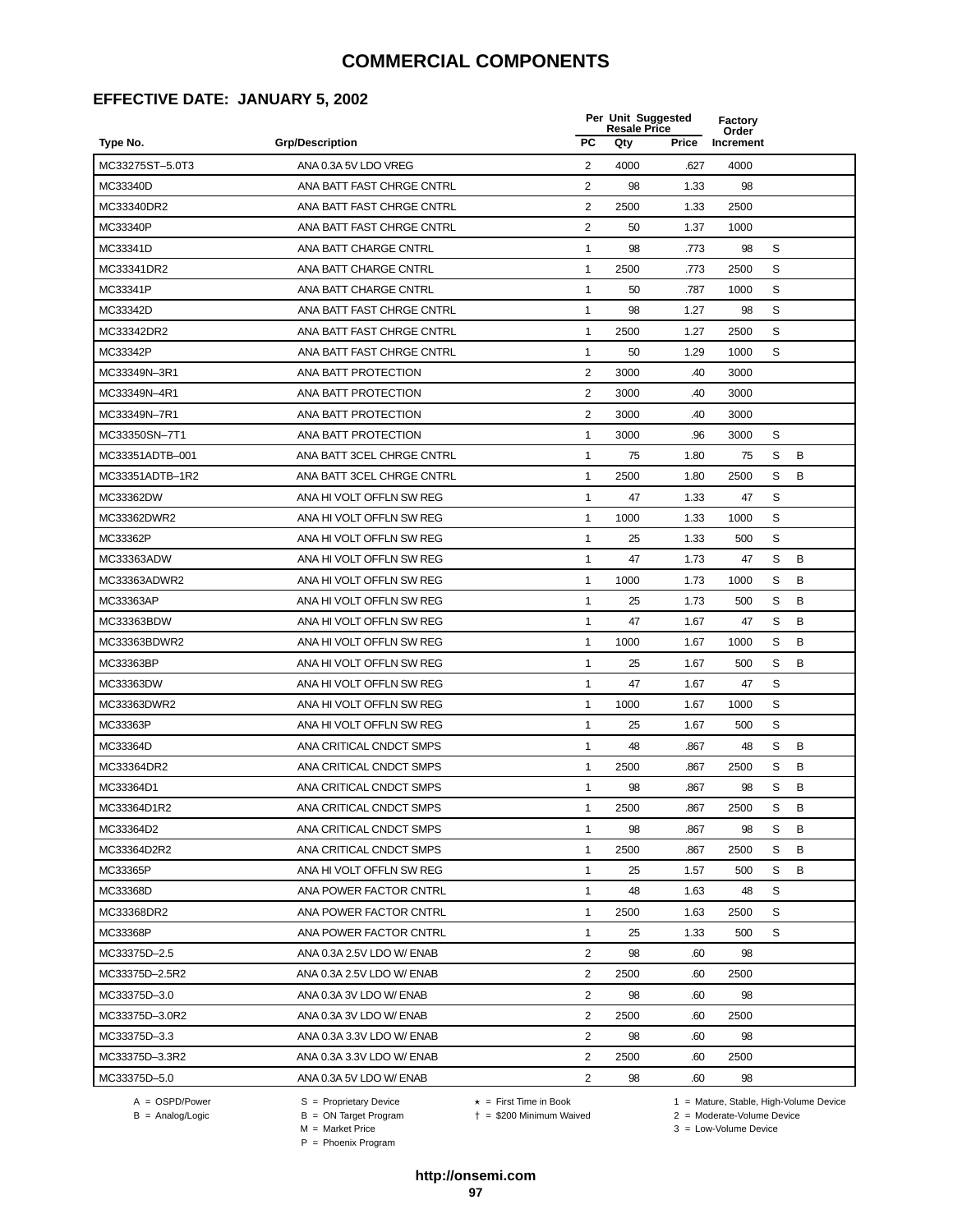### **EFFECTIVE DATE: JANUARY 5, 2002**

|                 |                           |                | Per Unit Suggested<br><b>Resale Price</b> |       | Factory<br>Order |   |   |  |
|-----------------|---------------------------|----------------|-------------------------------------------|-------|------------------|---|---|--|
| Type No.        | <b>Grp/Description</b>    | PC             | Qty                                       | Price | Increment        |   |   |  |
| MC33275ST-5.0T3 | ANA 0.3A 5V LDO VREG      | 2              | 4000                                      | .627  | 4000             |   |   |  |
| MC33340D        | ANA BATT FAST CHRGE CNTRL | $\overline{2}$ | 98                                        | 1.33  | 98               |   |   |  |
| MC33340DR2      | ANA BATT FAST CHRGE CNTRL | $\overline{2}$ | 2500                                      | 1.33  | 2500             |   |   |  |
| MC33340P        | ANA BATT FAST CHRGE CNTRL | $\overline{2}$ | 50                                        | 1.37  | 1000             |   |   |  |
| MC33341D        | ANA BATT CHARGE CNTRL     | 1              | 98                                        | .773  | 98               | S |   |  |
| MC33341DR2      | ANA BATT CHARGE CNTRL     | 1              | 2500                                      | .773  | 2500             | S |   |  |
| MC33341P        | ANA BATT CHARGE CNTRL     | 1              | 50                                        | .787  | 1000             | S |   |  |
| MC33342D        | ANA BATT FAST CHRGE CNTRL | $\mathbf{1}$   | 98                                        | 1.27  | 98               | S |   |  |
| MC33342DR2      | ANA BATT FAST CHRGE CNTRL | 1              | 2500                                      | 1.27  | 2500             | S |   |  |
| MC33342P        | ANA BATT FAST CHRGE CNTRL | $\mathbf{1}$   | 50                                        | 1.29  | 1000             | S |   |  |
| MC33349N-3R1    | ANA BATT PROTECTION       | 2              | 3000                                      | .40   | 3000             |   |   |  |
| MC33349N-4R1    | ANA BATT PROTECTION       | $\overline{2}$ | 3000                                      | .40   | 3000             |   |   |  |
| MC33349N-7R1    | ANA BATT PROTECTION       | 2              | 3000                                      | .40   | 3000             |   |   |  |
| MC33350SN-7T1   | ANA BATT PROTECTION       | 1              | 3000                                      | .96   | 3000             | S |   |  |
| MC33351ADTB-001 | ANA BATT 3CEL CHRGE CNTRL | $\mathbf{1}$   | 75                                        | 1.80  | 75               | S | B |  |
| MC33351ADTB-1R2 | ANA BATT 3CEL CHRGE CNTRL | 1              | 2500                                      | 1.80  | 2500             | S | B |  |
| MC33362DW       | ANA HI VOLT OFFLN SW REG  | $\mathbf{1}$   | 47                                        | 1.33  | 47               | S |   |  |
| MC33362DWR2     | ANA HI VOLT OFFLN SW REG  | 1              | 1000                                      | 1.33  | 1000             | S |   |  |
| MC33362P        | ANA HI VOLT OFFLN SW REG  | 1              | 25                                        | 1.33  | 500              | S |   |  |
| MC33363ADW      | ANA HI VOLT OFFLN SW REG  | 1              | 47                                        | 1.73  | 47               | S | B |  |
| MC33363ADWR2    | ANA HI VOLT OFFLN SW REG  | 1              | 1000                                      | 1.73  | 1000             | S | В |  |
| MC33363AP       | ANA HI VOLT OFFLN SW REG  | 1              | 25                                        | 1.73  | 500              | S | B |  |
| MC33363BDW      | ANA HI VOLT OFFLN SW REG  | $\mathbf{1}$   | 47                                        | 1.67  | 47               | S | B |  |
| MC33363BDWR2    | ANA HI VOLT OFFLN SW REG  | 1              | 1000                                      | 1.67  | 1000             | S | B |  |
| MC33363BP       | ANA HI VOLT OFFLN SW REG  | 1              | 25                                        | 1.67  | 500              | S | B |  |
| MC33363DW       | ANA HI VOLT OFFLN SW REG  | $\mathbf{1}$   | 47                                        | 1.67  | 47               | S |   |  |
| MC33363DWR2     | ANA HI VOLT OFFLN SW REG  | 1              | 1000                                      | 1.67  | 1000             | S |   |  |
| MC33363P        | ANA HI VOLT OFFLN SW REG  | 1              | 25                                        | 1.67  | 500              | S |   |  |
| MC33364D        | ANA CRITICAL CNDCT SMPS   | $\mathbf{1}$   | 48                                        | .867  | 48               | S | B |  |
| MC33364DR2      | ANA CRITICAL CNDCT SMPS   | 1              | 2500                                      | .867  | 2500             | S | В |  |
| MC33364D1       | ANA CRITICAL CNDCT SMPS   | 1              | 98                                        | .867  | 98               | S | B |  |
| MC33364D1R2     | ANA CRITICAL CNDCT SMPS   | 1              | 2500                                      | .867  | 2500             | S | B |  |
| MC33364D2       | ANA CRITICAL CNDCT SMPS   | $\mathbf{1}$   | 98                                        | .867  | 98               | S | В |  |
| MC33364D2R2     | ANA CRITICAL CNDCT SMPS   | 1              | 2500                                      | .867  | 2500             | S | В |  |
| MC33365P        | ANA HI VOLT OFFLN SW REG  | $\mathbf{1}$   | 25                                        | 1.57  | 500              | S | В |  |
| MC33368D        | ANA POWER FACTOR CNTRL    | 1              | 48                                        | 1.63  | 48               | S |   |  |
| MC33368DR2      | ANA POWER FACTOR CNTRL    | 1              | 2500                                      | 1.63  | 2500             | S |   |  |
| MC33368P        | ANA POWER FACTOR CNTRL    | 1              | 25                                        | 1.33  | 500              | S |   |  |
| MC33375D-2.5    | ANA 0.3A 2.5V LDO W/ ENAB | $\overline{2}$ | 98                                        | .60   | 98               |   |   |  |
| MC33375D-2.5R2  | ANA 0.3A 2.5V LDO W/ ENAB | $\overline{2}$ | 2500                                      | .60   | 2500             |   |   |  |
| MC33375D-3.0    | ANA 0.3A 3V LDO W/ ENAB   | 2              | 98                                        | .60   | 98               |   |   |  |
| MC33375D-3.0R2  | ANA 0.3A 3V LDO W/ ENAB   | 2              | 2500                                      | .60   | 2500             |   |   |  |
| MC33375D-3.3    | ANA 0.3A 3.3V LDO W/ ENAB | 2              | 98                                        | .60   | 98               |   |   |  |
| MC33375D-3.3R2  | ANA 0.3A 3.3V LDO W/ ENAB | 2              | 2500                                      | .60   | 2500             |   |   |  |
| MC33375D-5.0    | ANA 0.3A 5V LDO W/ ENAB   | $\overline{2}$ | 98                                        | .60   | 98               |   |   |  |
|                 |                           |                |                                           |       |                  |   |   |  |

 $B =$  Analog/Logic  $B =$  ON Target Program  $M =$  Market Price

A = OSPD/Power S = Proprietary Device  $\star$  = First Time in Book 1 = Mature, Stable, High-Volume Device

= \$200 Minimum Waived 2 = Moderate-Volume Device

 $3 =$  Low-Volume Device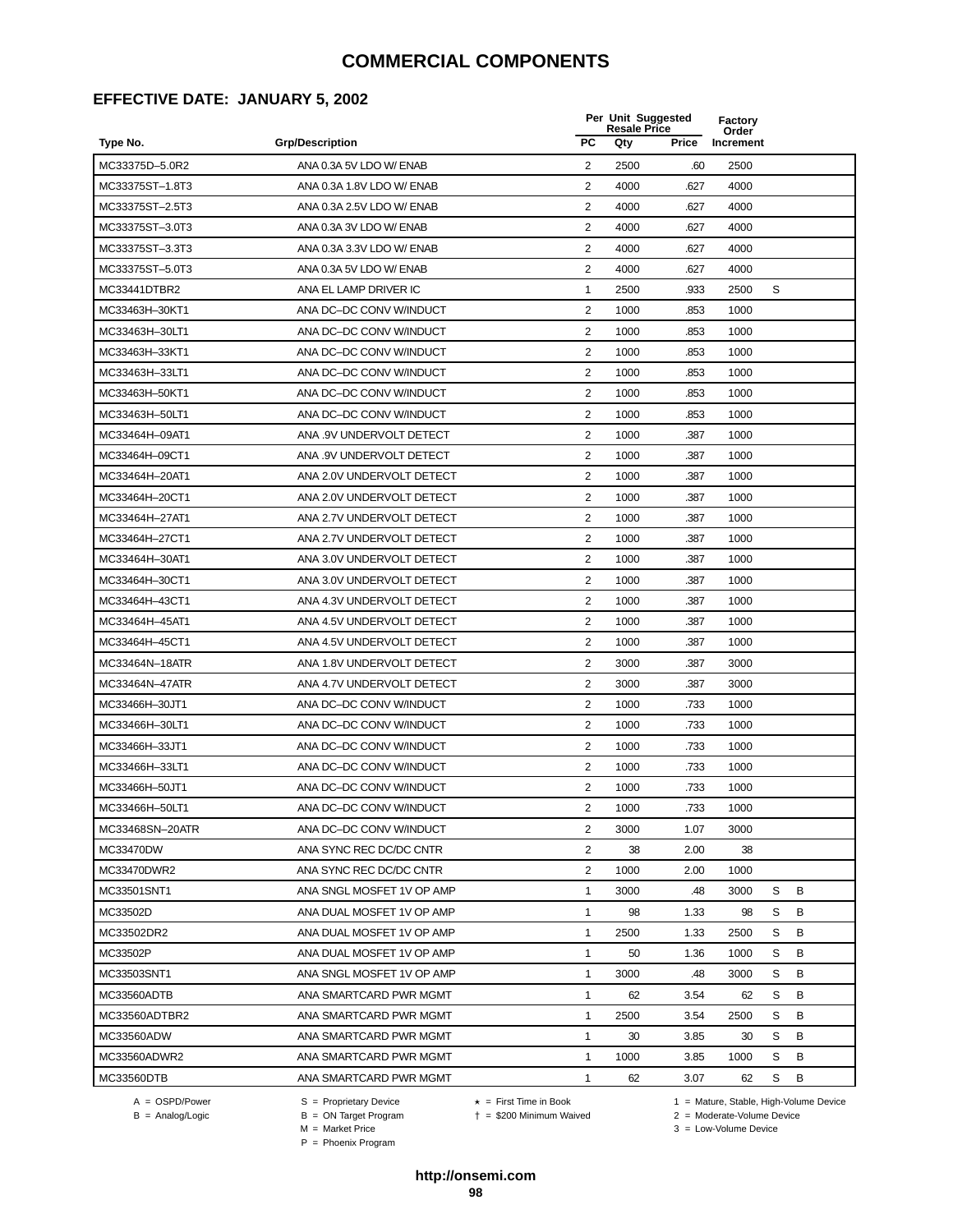### **EFFECTIVE DATE: JANUARY 5, 2002**

|                 |                           |                | Per Unit Suggested<br><b>Resale Price</b> |       | Factory            |   |   |  |
|-----------------|---------------------------|----------------|-------------------------------------------|-------|--------------------|---|---|--|
| Type No.        | <b>Grp/Description</b>    | <b>PC</b>      | Qty                                       | Price | Order<br>Increment |   |   |  |
| MC33375D-5.0R2  | ANA 0.3A 5V LDO W/ ENAB   | $\overline{2}$ | 2500                                      | .60   | 2500               |   |   |  |
| MC33375ST-1.8T3 | ANA 0.3A 1.8V LDO W/ ENAB | $\overline{2}$ | 4000                                      | .627  | 4000               |   |   |  |
| MC33375ST-2.5T3 | ANA 0.3A 2.5V LDO W/ ENAB | $\overline{2}$ | 4000                                      | .627  | 4000               |   |   |  |
| MC33375ST-3.0T3 | ANA 0.3A 3V LDO W/ ENAB   | 2              | 4000                                      | .627  | 4000               |   |   |  |
| MC33375ST-3.3T3 | ANA 0.3A 3.3V LDO W/ ENAB | 2              | 4000                                      | .627  | 4000               |   |   |  |
| MC33375ST-5.0T3 | ANA 0.3A 5V LDO W/ ENAB   | 2              | 4000                                      | .627  | 4000               |   |   |  |
| MC33441DTBR2    | ANA EL LAMP DRIVER IC     | 1              | 2500                                      | .933  | 2500               | S |   |  |
| MC33463H-30KT1  | ANA DC-DC CONV W/INDUCT   | $\overline{2}$ | 1000                                      | .853  | 1000               |   |   |  |
| MC33463H-30LT1  | ANA DC-DC CONV W/INDUCT   | $\overline{2}$ | 1000                                      | .853  | 1000               |   |   |  |
| MC33463H-33KT1  | ANA DC-DC CONV W/INDUCT   | 2              | 1000                                      | .853  | 1000               |   |   |  |
| MC33463H-33LT1  | ANA DC-DC CONV W/INDUCT   | 2              | 1000                                      | .853  | 1000               |   |   |  |
| MC33463H-50KT1  | ANA DC-DC CONV W/INDUCT   | $\overline{2}$ | 1000                                      | .853  | 1000               |   |   |  |
| MC33463H-50LT1  | ANA DC-DC CONV W/INDUCT   | 2              | 1000                                      | .853  | 1000               |   |   |  |
| MC33464H-09AT1  | ANA .9V UNDERVOLT DETECT  | 2              | 1000                                      | .387  | 1000               |   |   |  |
| MC33464H-09CT1  | ANA .9V UNDERVOLT DETECT  | 2              | 1000                                      | .387  | 1000               |   |   |  |
| MC33464H-20AT1  | ANA 2.0V UNDERVOLT DETECT | 2              | 1000                                      | .387  | 1000               |   |   |  |
| MC33464H-20CT1  | ANA 2.0V UNDERVOLT DETECT | 2              | 1000                                      | .387  | 1000               |   |   |  |
| MC33464H-27AT1  | ANA 2.7V UNDERVOLT DETECT | 2              | 1000                                      | .387  | 1000               |   |   |  |
| MC33464H-27CT1  | ANA 2.7V UNDERVOLT DETECT | 2              | 1000                                      | .387  | 1000               |   |   |  |
| MC33464H-30AT1  | ANA 3.0V UNDERVOLT DETECT | 2              | 1000                                      | .387  | 1000               |   |   |  |
| MC33464H-30CT1  | ANA 3.0V UNDERVOLT DETECT | 2              | 1000                                      | .387  | 1000               |   |   |  |
| MC33464H-43CT1  | ANA 4.3V UNDERVOLT DETECT | 2              | 1000                                      | .387  | 1000               |   |   |  |
| MC33464H-45AT1  | ANA 4.5V UNDERVOLT DETECT | 2              | 1000                                      | .387  | 1000               |   |   |  |
| MC33464H-45CT1  | ANA 4.5V UNDERVOLT DETECT | 2              | 1000                                      | .387  | 1000               |   |   |  |
| MC33464N-18ATR  | ANA 1.8V UNDERVOLT DETECT | $\overline{2}$ | 3000                                      | .387  | 3000               |   |   |  |
| MC33464N-47ATR  | ANA 4.7V UNDERVOLT DETECT | 2              | 3000                                      | .387  | 3000               |   |   |  |
| MC33466H-30JT1  | ANA DC-DC CONV W/INDUCT   | 2              | 1000                                      | .733  | 1000               |   |   |  |
| MC33466H-30LT1  | ANA DC-DC CONV W/INDUCT   | 2              | 1000                                      | .733  | 1000               |   |   |  |
| MC33466H-33JT1  | ANA DC-DC CONV W/INDUCT   | 2              | 1000                                      | .733  | 1000               |   |   |  |
| MC33466H-33LT1  | ANA DC-DC CONV W/INDUCT   | 2              | 1000                                      | .733  | 1000               |   |   |  |
| MC33466H-50JT1  | ANA DC-DC CONV W/INDUCT   | 2              | 1000                                      | .733  | 1000               |   |   |  |
| MC33466H-50LT1  | ANA DC-DC CONV W/INDUCT   | 2              | 1000                                      | .733  | 1000               |   |   |  |
| MC33468SN-20ATR | ANA DC-DC CONV W/INDUCT   | 2              | 3000                                      | 1.07  | 3000               |   |   |  |
| MC33470DW       | ANA SYNC REC DC/DC CNTR   | $\overline{2}$ | 38                                        | 2.00  | 38                 |   |   |  |
| MC33470DWR2     | ANA SYNC REC DC/DC CNTR   | $\overline{2}$ | 1000                                      | 2.00  | 1000               |   |   |  |
| MC33501SNT1     | ANA SNGL MOSFET 1V OP AMP | 1              | 3000                                      | .48   | 3000               | S | В |  |
| MC33502D        | ANA DUAL MOSFET 1V OP AMP | 1              | 98                                        | 1.33  | 98                 | S | В |  |
| MC33502DR2      | ANA DUAL MOSFET 1V OP AMP | $\mathbf{1}$   | 2500                                      | 1.33  | 2500               | S | B |  |
| MC33502P        | ANA DUAL MOSFET 1V OP AMP | 1              | 50                                        | 1.36  | 1000               | S | B |  |
| MC33503SNT1     | ANA SNGL MOSFET 1V OP AMP | $\mathbf{1}$   | 3000                                      | .48   | 3000               | S | В |  |
| MC33560ADTB     | ANA SMARTCARD PWR MGMT    | 1              | 62                                        | 3.54  | 62                 | S | В |  |
| MC33560ADTBR2   | ANA SMARTCARD PWR MGMT    | 1              | 2500                                      | 3.54  | 2500               | S | В |  |
| MC33560ADW      | ANA SMARTCARD PWR MGMT    | 1              | 30                                        | 3.85  | 30                 | S | В |  |
| MC33560ADWR2    | ANA SMARTCARD PWR MGMT    | $\mathbf{1}$   | 1000                                      | 3.85  | 1000               | S | В |  |
| MC33560DTB      | ANA SMARTCARD PWR MGMT    | 1              | 62                                        | 3.07  | 62                 | S | В |  |

A = OSPD/Power S = Proprietary Device<br>
B = Analog/Logic B = ON Target Program<br>
M = Market Price

= \$200 Minimum Waived 2 = Moderate-Volume Device

A = OSPD/Power S = Proprietary Device  $\star$  = First Time in Book 1 = Mature, Stable, High-Volume Device

 $3 =$  Low-Volume Device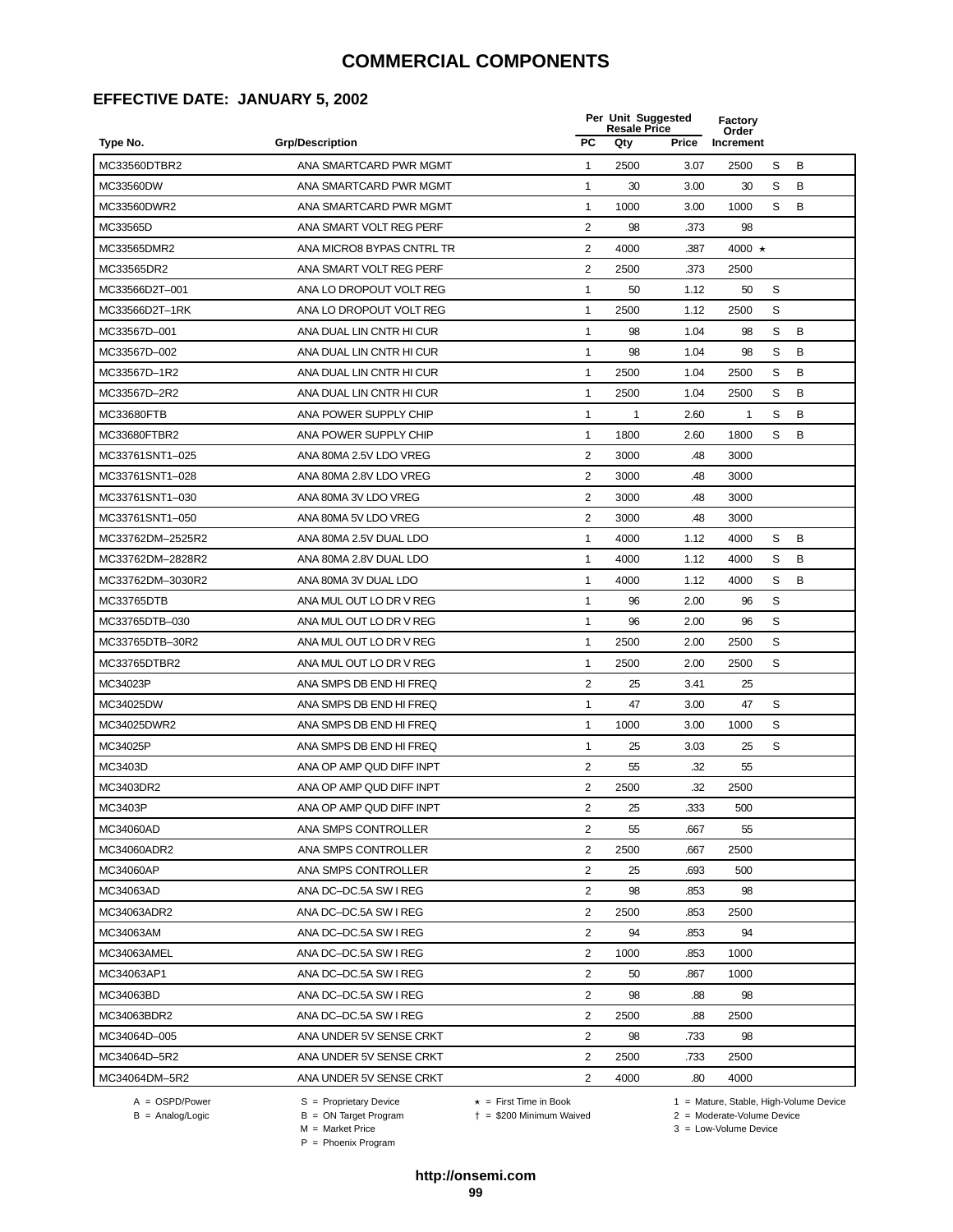### **EFFECTIVE DATE: JANUARY 5, 2002**

|                  |                           |                         | Per Unit Suggested<br><b>Resale Price</b> |       | Factory<br>Order |   |   |  |
|------------------|---------------------------|-------------------------|-------------------------------------------|-------|------------------|---|---|--|
| Type No.         | <b>Grp/Description</b>    | <b>PC</b>               | Qty                                       | Price | Increment        |   |   |  |
| MC33560DTBR2     | ANA SMARTCARD PWR MGMT    | 1                       | 2500                                      | 3.07  | 2500             | S | B |  |
| MC33560DW        | ANA SMARTCARD PWR MGMT    | $\mathbf{1}$            | 30                                        | 3.00  | 30               | S | B |  |
| MC33560DWR2      | ANA SMARTCARD PWR MGMT    | 1                       | 1000                                      | 3.00  | 1000             | S | B |  |
| MC33565D         | ANA SMART VOLT REG PERF   | 2                       | 98                                        | .373  | 98               |   |   |  |
| MC33565DMR2      | ANA MICRO8 BYPAS CNTRL TR | $\sqrt{2}$              | 4000                                      | .387  | 4000 $\star$     |   |   |  |
| MC33565DR2       | ANA SMART VOLT REG PERF   | $\overline{2}$          | 2500                                      | .373  | 2500             |   |   |  |
| MC33566D2T-001   | ANA LO DROPOUT VOLT REG   | $\mathbf{1}$            | 50                                        | 1.12  | 50               | S |   |  |
| MC33566D2T-1RK   | ANA LO DROPOUT VOLT REG   | $\mathbf{1}$            | 2500                                      | 1.12  | 2500             | S |   |  |
| MC33567D-001     | ANA DUAL LIN CNTR HI CUR  | 1                       | 98                                        | 1.04  | 98               | S | B |  |
| MC33567D-002     | ANA DUAL LIN CNTR HI CUR  | 1                       | 98                                        | 1.04  | 98               | S | B |  |
| MC33567D-1R2     | ANA DUAL LIN CNTR HI CUR  | 1                       | 2500                                      | 1.04  | 2500             | S | B |  |
| MC33567D-2R2     | ANA DUAL LIN CNTR HI CUR  | 1                       | 2500                                      | 1.04  | 2500             | S | В |  |
| MC33680FTB       | ANA POWER SUPPLY CHIP     | 1                       | 1                                         | 2.60  | 1                | S | В |  |
| MC33680FTBR2     | ANA POWER SUPPLY CHIP     | 1                       | 1800                                      | 2.60  | 1800             | S | B |  |
| MC33761SNT1-025  | ANA 80MA 2.5V LDO VREG    | $\overline{2}$          | 3000                                      | .48   | 3000             |   |   |  |
| MC33761SNT1-028  | ANA 80MA 2.8V LDO VREG    | $\overline{2}$          | 3000                                      | .48   | 3000             |   |   |  |
| MC33761SNT1-030  | ANA 80MA 3V LDO VREG      | 2                       | 3000                                      | .48   | 3000             |   |   |  |
| MC33761SNT1-050  | ANA 80MA 5V LDO VREG      | 2                       | 3000                                      | .48   | 3000             |   |   |  |
| MC33762DM-2525R2 | ANA 80MA 2.5V DUAL LDO    | 1                       | 4000                                      | 1.12  | 4000             | S | B |  |
| MC33762DM-2828R2 | ANA 80MA 2.8V DUAL LDO    | 1                       | 4000                                      | 1.12  | 4000             | S | B |  |
| MC33762DM-3030R2 | ANA 80MA 3V DUAL LDO      | 1                       | 4000                                      | 1.12  | 4000             | S | B |  |
| MC33765DTB       | ANA MUL OUT LO DR V REG   | 1                       | 96                                        | 2.00  | 96               | S |   |  |
| MC33765DTB-030   | ANA MUL OUT LO DR V REG   | 1                       | 96                                        | 2.00  | 96               | S |   |  |
| MC33765DTB-30R2  | ANA MUL OUT LO DR V REG   | 1                       | 2500                                      | 2.00  | 2500             | S |   |  |
| MC33765DTBR2     | ANA MUL OUT LO DR V REG   | 1                       | 2500                                      | 2.00  | 2500             | S |   |  |
| MC34023P         | ANA SMPS DB END HI FREQ   | 2                       | 25                                        | 3.41  | 25               |   |   |  |
| MC34025DW        | ANA SMPS DB END HI FREQ   | 1                       | 47                                        | 3.00  | 47               | S |   |  |
| MC34025DWR2      | ANA SMPS DB END HI FREQ   | 1                       | 1000                                      | 3.00  | 1000             | S |   |  |
| MC34025P         | ANA SMPS DB END HI FREQ   | 1                       | 25                                        | 3.03  | 25               | S |   |  |
| MC3403D          | ANA OP AMP QUD DIFF INPT  | $\overline{2}$          | 55                                        | .32   | 55               |   |   |  |
| MC3403DR2        | ANA OP AMP QUD DIFF INPT  | $\overline{2}$          | 2500                                      | .32   | 2500             |   |   |  |
| MC3403P          | ANA OP AMP QUD DIFF INPT  | $\overline{\mathbf{c}}$ | 25                                        | 333   | 500              |   |   |  |
| MC34060AD        | ANA SMPS CONTROLLER       | 2                       | 55                                        | .667  | 55               |   |   |  |
| MC34060ADR2      | ANA SMPS CONTROLLER       | $\overline{c}$          | 2500                                      | .667  | 2500             |   |   |  |
| MC34060AP        | ANA SMPS CONTROLLER       | $\overline{2}$          | 25                                        | .693  | 500              |   |   |  |
| MC34063AD        | ANA DC-DC.5A SW I REG     | $\overline{c}$          | 98                                        | .853  | 98               |   |   |  |
| MC34063ADR2      | ANA DC-DC.5A SW I REG     | $\overline{c}$          | 2500                                      | .853  | 2500             |   |   |  |
| MC34063AM        | ANA DC-DC.5A SW I REG     | 2                       | 94                                        | .853  | 94               |   |   |  |
| MC34063AMEL      | ANA DC-DC.5A SW I REG     | 2                       | 1000                                      | .853  | 1000             |   |   |  |
| MC34063AP1       | ANA DC-DC.5A SW I REG     | $\overline{c}$          | 50                                        | .867  | 1000             |   |   |  |
| MC34063BD        | ANA DC-DC.5A SW I REG     | $\overline{c}$          | 98                                        | .88   | 98               |   |   |  |
| MC34063BDR2      | ANA DC-DC.5A SW I REG     | 2                       | 2500                                      | .88   | 2500             |   |   |  |
| MC34064D-005     | ANA UNDER 5V SENSE CRKT   | 2                       | 98                                        | .733  | 98               |   |   |  |
| MC34064D-5R2     | ANA UNDER 5V SENSE CRKT   | 2                       | 2500                                      | .733  | 2500             |   |   |  |
| MC34064DM-5R2    | ANA UNDER 5V SENSE CRKT   | $\overline{c}$          | 4000                                      | .80   | 4000             |   |   |  |
|                  |                           |                         |                                           |       |                  |   |   |  |

-<br>B = ON Target Program<br>M = Market Price

 $A = OBPD/Power$ <br>  $B = ON Target Program$   $A = First Time in Book$   $A = West Theorem 1 = Nature, Stable, High-Volume Device$   $A = Mature, Stable, High-Volume Device$   $A = Mature, Stable, High-Volume Device$   $A = Mature, Table, High-Volume Device$   $A = Mature, Table, High-Volume Device$   $A = Mature, Table, High-Volume Device$   $A = Mature, Table, High-Volume Device$   $A = Mature, Table, High-Volume Device$   $A = Mature, Table, High-Volume Device$   $A = Mature, Table, High-Volume Device$   $A = Mature, Table, High-Volume Device$   $A = Mature, Table, High-Volume Device$   $A = Mature, Table, High-Volume Device$   $A = Mature, Table$ 

 $2 =$  Moderate-Volume Device  $3 =$  Low-Volume Device

P = Phoenix Program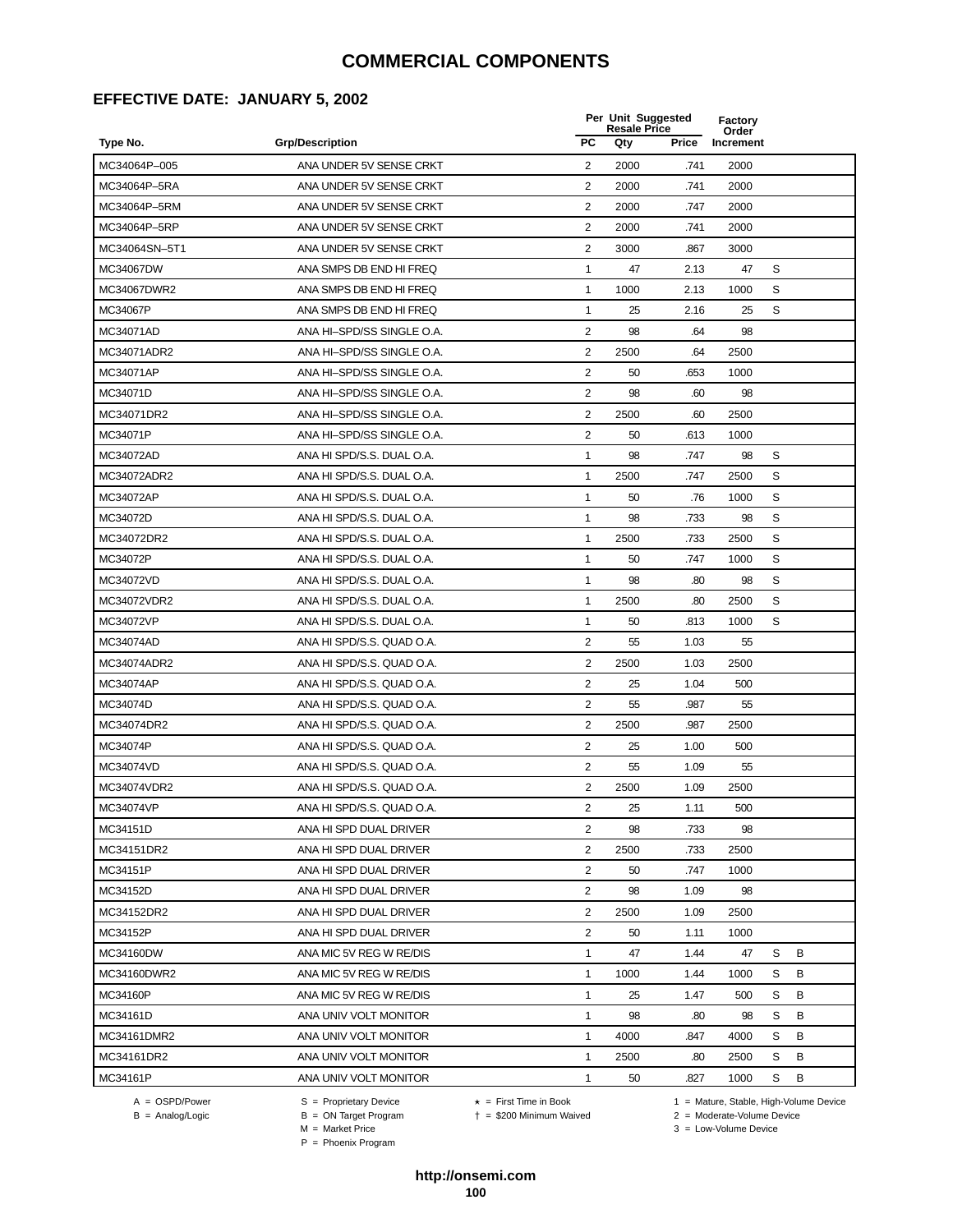### **EFFECTIVE DATE: JANUARY 5, 2002**

|               |                           | Per Unit Suggested<br><b>Resale Price</b> |      |              | Factory<br>Order |   |   |  |
|---------------|---------------------------|-------------------------------------------|------|--------------|------------------|---|---|--|
| Type No.      | <b>Grp/Description</b>    | <b>PC</b>                                 | Qty  | <b>Price</b> | Increment        |   |   |  |
| MC34064P-005  | ANA UNDER 5V SENSE CRKT   | 2                                         | 2000 | .741         | 2000             |   |   |  |
| MC34064P-5RA  | ANA UNDER 5V SENSE CRKT   | 2                                         | 2000 | .741         | 2000             |   |   |  |
| MC34064P-5RM  | ANA UNDER 5V SENSE CRKT   | $\overline{2}$                            | 2000 | .747         | 2000             |   |   |  |
| MC34064P-5RP  | ANA UNDER 5V SENSE CRKT   | 2                                         | 2000 | .741         | 2000             |   |   |  |
| MC34064SN-5T1 | ANA UNDER 5V SENSE CRKT   | $\overline{\mathbf{c}}$                   | 3000 | .867         | 3000             |   |   |  |
| MC34067DW     | ANA SMPS DB END HI FREQ   | $\mathbf{1}$                              | 47   | 2.13         | 47               | S |   |  |
| MC34067DWR2   | ANA SMPS DB END HI FREQ   | $\mathbf{1}$                              | 1000 | 2.13         | 1000             | S |   |  |
| MC34067P      | ANA SMPS DB END HI FREQ   | $\mathbf{1}$                              | 25   | 2.16         | 25               | S |   |  |
| MC34071AD     | ANA HI-SPD/SS SINGLE O.A. | $\overline{2}$                            | 98   | .64          | 98               |   |   |  |
| MC34071ADR2   | ANA HI-SPD/SS SINGLE O.A. | $\overline{2}$                            | 2500 | .64          | 2500             |   |   |  |
| MC34071AP     | ANA HI-SPD/SS SINGLE O.A. | 2                                         | 50   | .653         | 1000             |   |   |  |
| MC34071D      | ANA HI-SPD/SS SINGLE O.A. | $\overline{2}$                            | 98   | .60          | 98               |   |   |  |
| MC34071DR2    | ANA HI-SPD/SS SINGLE O.A. | $\overline{2}$                            | 2500 | .60          | 2500             |   |   |  |
| MC34071P      | ANA HI-SPD/SS SINGLE O.A. | $\overline{2}$                            | 50   | .613         | 1000             |   |   |  |
| MC34072AD     | ANA HI SPD/S.S. DUAL O.A. | 1                                         | 98   | .747         | 98               | S |   |  |
| MC34072ADR2   | ANA HI SPD/S.S. DUAL O.A. | $\mathbf{1}$                              | 2500 | .747         | 2500             | S |   |  |
| MC34072AP     | ANA HI SPD/S.S. DUAL O.A. | $\mathbf{1}$                              | 50   | .76          | 1000             | S |   |  |
| MC34072D      | ANA HI SPD/S.S. DUAL O.A. | 1                                         | 98   | .733         | 98               | S |   |  |
| MC34072DR2    | ANA HI SPD/S.S. DUAL O.A. | 1                                         | 2500 | .733         | 2500             | S |   |  |
| MC34072P      | ANA HI SPD/S.S. DUAL O.A. | 1                                         | 50   | .747         | 1000             | S |   |  |
| MC34072VD     | ANA HI SPD/S.S. DUAL O.A. | 1                                         | 98   | .80          | 98               | S |   |  |
| MC34072VDR2   | ANA HI SPD/S.S. DUAL O.A. | 1                                         | 2500 | .80          | 2500             | S |   |  |
| MC34072VP     | ANA HI SPD/S.S. DUAL O.A. | 1                                         | 50   | .813         | 1000             | S |   |  |
| MC34074AD     | ANA HI SPD/S.S. QUAD O.A. | $\overline{2}$                            | 55   | 1.03         | 55               |   |   |  |
| MC34074ADR2   | ANA HI SPD/S.S. QUAD O.A. | 2                                         | 2500 | 1.03         | 2500             |   |   |  |
| MC34074AP     | ANA HI SPD/S.S. QUAD O.A. | 2                                         | 25   | 1.04         | 500              |   |   |  |
| MC34074D      | ANA HI SPD/S.S. QUAD O.A. | $\overline{c}$                            | 55   | .987         | 55               |   |   |  |
| MC34074DR2    | ANA HI SPD/S.S. QUAD O.A. | $\overline{2}$                            | 2500 | .987         | 2500             |   |   |  |
| MC34074P      | ANA HI SPD/S.S. QUAD O.A. | 2                                         | 25   | 1.00         | 500              |   |   |  |
| MC34074VD     | ANA HI SPD/S.S. QUAD O.A. | $\overline{2}$                            | 55   | 1.09         | 55               |   |   |  |
| MC34074VDR2   | ANA HI SPD/S.S. QUAD O.A. | $\overline{2}$                            | 2500 | 1.09         | 2500             |   |   |  |
| MC34074VP     | ANA HI SPD/S.S. QUAD O.A. | 2                                         | 25   | 1.11         | 500              |   |   |  |
| MC34151D      | ANA HI SPD DUAL DRIVER    | 2                                         | 98   | .733         | 98               |   |   |  |
| MC34151DR2    | ANA HI SPD DUAL DRIVER    | 2                                         | 2500 | .733         | 2500             |   |   |  |
| MC34151P      | ANA HI SPD DUAL DRIVER    | 2                                         | 50   | .747         | 1000             |   |   |  |
| MC34152D      | ANA HI SPD DUAL DRIVER    | $\overline{2}$                            | 98   | 1.09         | 98               |   |   |  |
| MC34152DR2    | ANA HI SPD DUAL DRIVER    | 2                                         | 2500 | 1.09         | 2500             |   |   |  |
| MC34152P      | ANA HI SPD DUAL DRIVER    | 2                                         | 50   | 1.11         | 1000             |   |   |  |
| MC34160DW     | ANA MIC 5V REG W RE/DIS   | $\mathbf{1}$                              | 47   | 1.44         | 47               | S | В |  |
| MC34160DWR2   | ANA MIC 5V REG W RE/DIS   | $\mathbf{1}$                              | 1000 | 1.44         | 1000             | S | В |  |
| MC34160P      | ANA MIC 5V REG W RE/DIS   | $\mathbf{1}$                              | 25   | 1.47         | 500              | S | В |  |
| MC34161D      | ANA UNIV VOLT MONITOR     | $\mathbf{1}$                              | 98   | .80          | 98               | S | В |  |
| MC34161DMR2   | ANA UNIV VOLT MONITOR     | $\mathbf{1}$                              | 4000 | .847         | 4000             | S | В |  |
| MC34161DR2    | ANA UNIV VOLT MONITOR     | $\mathbf{1}$                              | 2500 | .80          | 2500             | S | В |  |
| MC34161P      | ANA UNIV VOLT MONITOR     | $\mathbf{1}$                              | 50   | .827         | 1000             | S | в |  |

 $B = \text{Analog/Logic}$ <br>B = ON Target Program<br> $M = \text{Market Price}$ 

= \$200 Minimum Waived 2 = Moderate-Volume Device

A = OSPD/Power S = Proprietary Device  $\star$  = First Time in Book 1 = Mature, Stable, High-Volume Device

 $3 =$  Low-Volume Device

P = Phoenix Program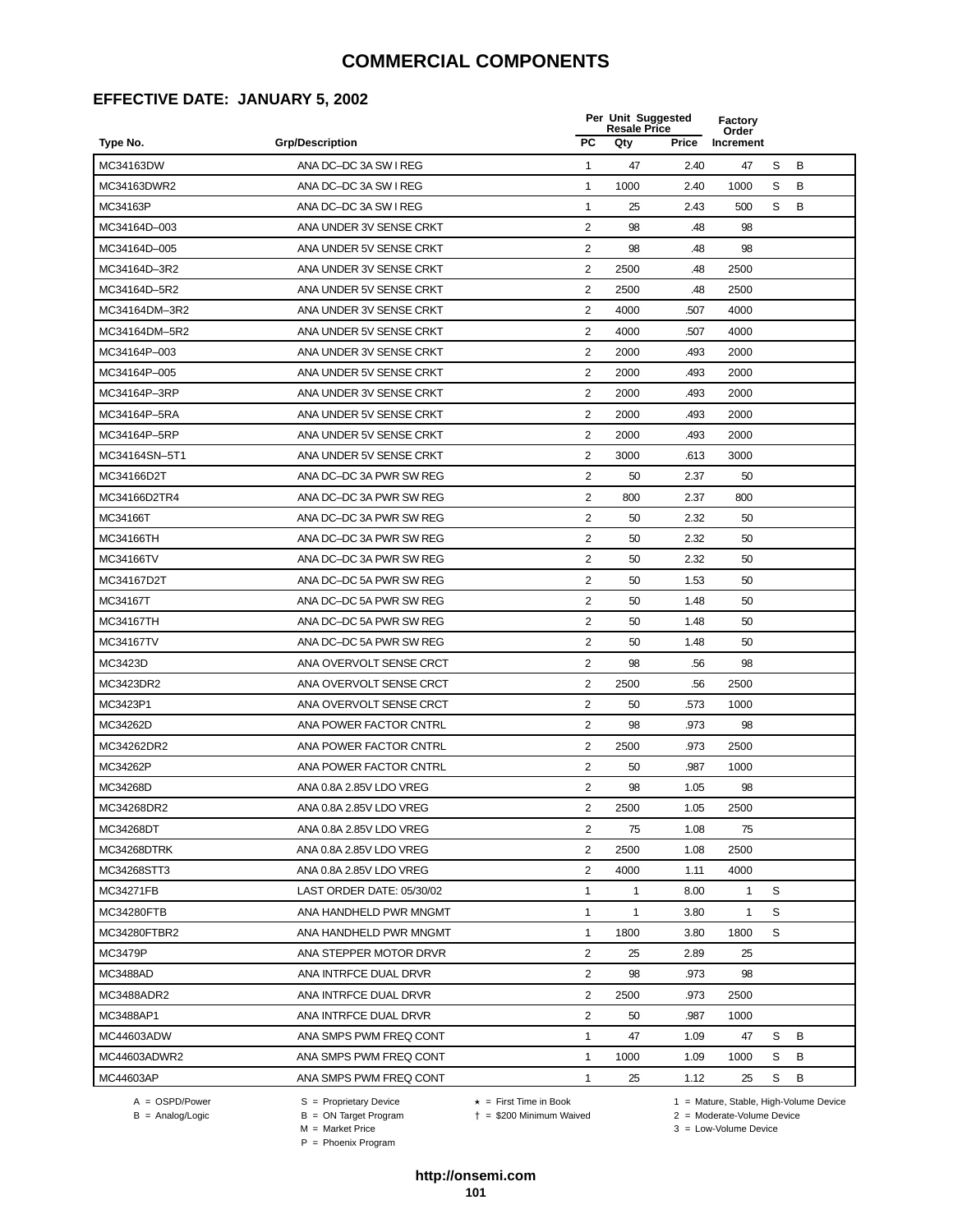### **EFFECTIVE DATE: JANUARY 5, 2002**

|                   |                           |                         | Per Unit Suggested<br><b>Resale Price</b> |       | <b>Factory</b><br>Order |   |   |  |
|-------------------|---------------------------|-------------------------|-------------------------------------------|-------|-------------------------|---|---|--|
| Type No.          | <b>Grp/Description</b>    | <b>PC</b>               | Qty                                       | Price | Increment               |   |   |  |
| MC34163DW         | ANA DC-DC 3A SW I REG     | $\mathbf{1}$            | 47                                        | 2.40  | 47                      | S | B |  |
| MC34163DWR2       | ANA DC-DC 3A SW I REG     | 1                       | 1000                                      | 2.40  | 1000                    | S | B |  |
| MC34163P          | ANA DC-DC 3A SW I REG     | 1                       | 25                                        | 2.43  | 500                     | S | B |  |
| MC34164D-003      | ANA UNDER 3V SENSE CRKT   | $\overline{2}$          | 98                                        | .48   | 98                      |   |   |  |
| MC34164D-005      | ANA UNDER 5V SENSE CRKT   | $\sqrt{2}$              | 98                                        | .48   | 98                      |   |   |  |
| MC34164D-3R2      | ANA UNDER 3V SENSE CRKT   | $\overline{2}$          | 2500                                      | .48   | 2500                    |   |   |  |
| MC34164D-5R2      | ANA UNDER 5V SENSE CRKT   | $\overline{2}$          | 2500                                      | .48   | 2500                    |   |   |  |
| MC34164DM-3R2     | ANA UNDER 3V SENSE CRKT   | 2                       | 4000                                      | .507  | 4000                    |   |   |  |
| MC34164DM-5R2     | ANA UNDER 5V SENSE CRKT   | 2                       | 4000                                      | .507  | 4000                    |   |   |  |
| MC34164P-003      | ANA UNDER 3V SENSE CRKT   | $\overline{2}$          | 2000                                      | .493  | 2000                    |   |   |  |
| MC34164P-005      | ANA UNDER 5V SENSE CRKT   | 2                       | 2000                                      | .493  | 2000                    |   |   |  |
| MC34164P-3RP      | ANA UNDER 3V SENSE CRKT   | 2                       | 2000                                      | .493  | 2000                    |   |   |  |
| MC34164P-5RA      | ANA UNDER 5V SENSE CRKT   | 2                       | 2000                                      | .493  | 2000                    |   |   |  |
| MC34164P-5RP      | ANA UNDER 5V SENSE CRKT   | $\sqrt{2}$              | 2000                                      | .493  | 2000                    |   |   |  |
| MC34164SN-5T1     | ANA UNDER 5V SENSE CRKT   | $\overline{2}$          | 3000                                      | .613  | 3000                    |   |   |  |
| MC34166D2T        | ANA DC-DC 3A PWR SW REG   | $\overline{2}$          | 50                                        | 2.37  | 50                      |   |   |  |
| MC34166D2TR4      | ANA DC-DC 3A PWR SW REG   | 2                       | 800                                       | 2.37  | 800                     |   |   |  |
| MC34166T          | ANA DC-DC 3A PWR SW REG   | $\overline{\mathbf{c}}$ | 50                                        | 2.32  | 50                      |   |   |  |
| MC34166TH         | ANA DC-DC 3A PWR SW REG   | 2                       | 50                                        | 2.32  | 50                      |   |   |  |
| MC34166TV         | ANA DC-DC 3A PWR SW REG   | 2                       | 50                                        | 2.32  | 50                      |   |   |  |
| MC34167D2T        | ANA DC-DC 5A PWR SW REG   | $\overline{2}$          | 50                                        | 1.53  | 50                      |   |   |  |
| MC34167T          | ANA DC-DC 5A PWR SW REG   | $\overline{2}$          | 50                                        | 1.48  | 50                      |   |   |  |
| MC34167TH         | ANA DC-DC 5A PWR SW REG   | 2                       | 50                                        | 1.48  | 50                      |   |   |  |
| MC34167TV         | ANA DC-DC 5A PWR SW REG   | $\overline{2}$          | 50                                        | 1.48  | 50                      |   |   |  |
| MC3423D           | ANA OVERVOLT SENSE CRCT   | $\overline{2}$          | 98                                        | .56   | 98                      |   |   |  |
| MC3423DR2         | ANA OVERVOLT SENSE CRCT   | 2                       | 2500                                      | .56   | 2500                    |   |   |  |
| MC3423P1          | ANA OVERVOLT SENSE CRCT   | 2                       | 50                                        | .573  | 1000                    |   |   |  |
| MC34262D          | ANA POWER FACTOR CNTRL    | 2                       | 98                                        | .973  | 98                      |   |   |  |
| MC34262DR2        | ANA POWER FACTOR CNTRL    | 2                       | 2500                                      | .973  | 2500                    |   |   |  |
| MC34262P          | ANA POWER FACTOR CNTRL    | $\overline{2}$          | 50                                        | .987  | 1000                    |   |   |  |
| MC34268D          | ANA 0.8A 2.85V LDO VREG   | $\overline{2}$          | 98                                        | 1.05  | 98                      |   |   |  |
| MC34268DR2        | ANA 0.8A 2.85V LDO VREG   | 2                       | 2500                                      | 1.05  | 2500                    |   |   |  |
| MC34268DT         | ANA 0.8A 2.85V LDO VREG   | $\overline{2}$          | 75                                        | 1.08  | 75                      |   |   |  |
| MC34268DTRK       | ANA 0.8A 2.85V LDO VREG   | 2                       | 2500                                      | 1.08  | 2500                    |   |   |  |
| MC34268STT3       | ANA 0.8A 2.85V LDO VREG   | 2                       | 4000                                      | 1.11  | 4000                    |   |   |  |
| MC34271FB         | LAST ORDER DATE: 05/30/02 | 1                       | $\mathbf{1}$                              | 8.00  | 1                       | S |   |  |
| <b>MC34280FTB</b> | ANA HANDHELD PWR MNGMT    | 1                       | 1                                         | 3.80  | $\mathbf{1}$            | S |   |  |
| MC34280FTBR2      | ANA HANDHELD PWR MNGMT    | 1                       | 1800                                      | 3.80  | 1800                    | S |   |  |
| MC3479P           | ANA STEPPER MOTOR DRVR    | 2                       | 25                                        | 2.89  | 25                      |   |   |  |
| <b>MC3488AD</b>   | ANA INTRFCE DUAL DRVR     | 2                       | 98                                        | .973  | 98                      |   |   |  |
| MC3488ADR2        | ANA INTRFCE DUAL DRVR     | $\overline{2}$          | 2500                                      | .973  | 2500                    |   |   |  |
| MC3488AP1         | ANA INTRFCE DUAL DRVR     | 2                       | 50                                        | .987  | 1000                    |   |   |  |
| MC44603ADW        | ANA SMPS PWM FREQ CONT    | 1                       | 47                                        | 1.09  | 47                      | S | В |  |
| MC44603ADWR2      | ANA SMPS PWM FREQ CONT    | 1                       | 1000                                      | 1.09  | 1000                    | S | В |  |
| MC44603AP         | ANA SMPS PWM FREQ CONT    | 1                       | 25                                        | 1.12  | 25                      | S | в |  |
|                   |                           |                         |                                           |       |                         |   |   |  |

 $B = \text{Analog/Logic}$ <br>B = ON Target Program<br> $M = \text{Market Price}$ 

= \$200 Minimum Waived 2 = Moderate-Volume Device

A = OSPD/Power S = Proprietary Device  $\star$  = First Time in Book 1 = Mature, Stable, High-Volume Device

 $3 =$  Low-Volume Device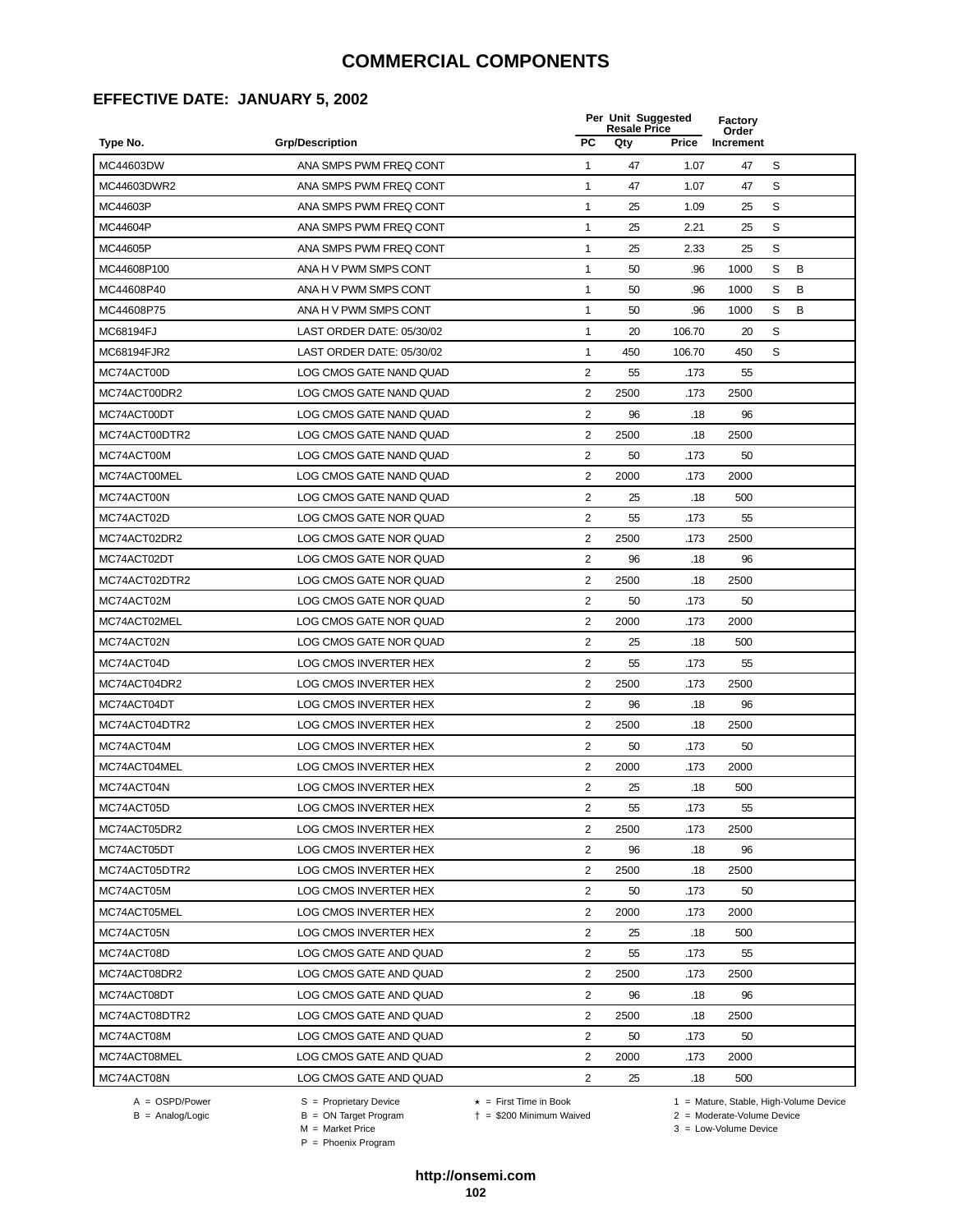### **EFFECTIVE DATE: JANUARY 5, 2002**

| <b>PC</b><br>Type No.<br><b>Grp/Description</b><br>Qty<br>Price<br>Increment<br>MC44603DW<br>ANA SMPS PWM FREQ CONT<br>47<br>S<br>$\mathbf{1}$<br>1.07<br>47<br>S<br>MC44603DWR2<br>ANA SMPS PWM FREQ CONT<br>1<br>47<br>1.07<br>47<br>S<br>MC44603P<br>ANA SMPS PWM FREQ CONT<br>1<br>25<br>1.09<br>25<br>S<br>1<br>MC44604P<br>ANA SMPS PWM FREQ CONT<br>25<br>2.21<br>25<br>S<br>MC44605P<br>ANA SMPS PWM FREQ CONT<br>1<br>25<br>2.33<br>25<br>S<br>B<br>50<br>MC44608P100<br>ANA H V PWM SMPS CONT<br>1<br>.96<br>1000<br>1<br>50<br>.96<br>S<br>B<br>MC44608P40<br>ANA H V PWM SMPS CONT<br>1000<br>1<br>S<br>B<br>MC44608P75<br>ANA H V PWM SMPS CONT<br>50<br>.96<br>1000<br>S<br>MC68194FJ<br>LAST ORDER DATE: 05/30/02<br>1<br>20<br>106.70<br>20<br>MC68194FJR2<br>S<br>LAST ORDER DATE: 05/30/02<br>1<br>450<br>106.70<br>450<br>MC74ACT00D<br>LOG CMOS GATE NAND QUAD<br>2<br>55<br>.173<br>55<br>$\overline{2}$<br>MC74ACT00DR2<br>LOG CMOS GATE NAND QUAD<br>2500<br>.173<br>2500<br>2<br>MC74ACT00DT<br>LOG CMOS GATE NAND QUAD<br>96<br>.18<br>96<br>$\overline{2}$<br>MC74ACT00DTR2<br>LOG CMOS GATE NAND QUAD<br>2500<br>.18<br>2500<br>LOG CMOS GATE NAND QUAD<br>2<br>MC74ACT00M<br>50<br>.173<br>50<br>$\overline{2}$<br>2000<br>MC74ACT00MEL<br>LOG CMOS GATE NAND QUAD<br>2000<br>.173<br>2<br>MC74ACT00N<br>LOG CMOS GATE NAND QUAD<br>25<br>.18<br>500<br>MC74ACT02D<br>2<br>LOG CMOS GATE NOR QUAD<br>55<br>.173<br>55<br>$\overline{2}$<br>2500<br>MC74ACT02DR2<br>LOG CMOS GATE NOR QUAD<br>2500<br>.173<br>96<br>MC74ACT02DT<br>LOG CMOS GATE NOR QUAD<br>2<br>.18<br>96<br>$\overline{2}$<br>2500<br>MC74ACT02DTR2<br>LOG CMOS GATE NOR QUAD<br>2500<br>.18<br>2<br>MC74ACT02M<br>LOG CMOS GATE NOR QUAD<br>50<br>.173<br>50<br>$\sqrt{2}$<br>MC74ACT02MEL<br>LOG CMOS GATE NOR QUAD<br>2000<br>.173<br>2000<br>2<br>MC74ACT02N<br>LOG CMOS GATE NOR QUAD<br>25<br>.18<br>500<br>$\overline{2}$<br>55<br>55<br>MC74ACT04D<br>LOG CMOS INVERTER HEX<br>.173<br>2<br>2500<br>2500<br>MC74ACT04DR2<br>LOG CMOS INVERTER HEX<br>.173<br>2<br>MC74ACT04DT<br>LOG CMOS INVERTER HEX<br>96<br>.18<br>96<br>MC74ACT04DTR2<br>$\overline{2}$<br>2500<br>2500<br>LOG CMOS INVERTER HEX<br>.18<br>MC74ACT04M<br>LOG CMOS INVERTER HEX<br>2<br>50<br>.173<br>50<br>$\overline{2}$<br>MC74ACT04MEL<br>LOG CMOS INVERTER HEX<br>2000<br>.173<br>2000<br>$\overline{2}$<br>MC74ACT04N<br>LOG CMOS INVERTER HEX<br>25<br>.18<br>500<br>2<br>MC74ACT05D<br>55<br>.173<br>55<br>LOG CMOS INVERTER HEX<br>$\overline{2}$<br>MC74ACT05DR2<br>LOG CMOS INVERTER HEX<br>2500<br>.173<br>2500<br>2<br>96<br>.18<br>96<br>MC74ACT05DT<br>LOG CMOS INVERTER HEX<br>$\overline{2}$<br>2500<br>.18<br>2500<br>MC74ACT05DTR2<br>LOG CMOS INVERTER HEX<br>$\overline{2}$<br>50<br>MC74ACT05M<br>LOG CMOS INVERTER HEX<br>.173<br>50<br>$\overline{2}$<br>MC74ACT05MEL<br>LOG CMOS INVERTER HEX<br>2000<br>.173<br>2000<br>2<br>25<br>.18<br>500<br>MC74ACT05N<br>LOG CMOS INVERTER HEX<br>$\overline{2}$<br>55<br>MC74ACT08D<br>LOG CMOS GATE AND QUAD<br>.173<br>55<br>2<br>2500<br>.173<br>2500<br>MC74ACT08DR2<br>LOG CMOS GATE AND QUAD<br>2<br>MC74ACT08DT<br>LOG CMOS GATE AND QUAD<br>96<br>.18<br>96<br>2<br>2500<br>2500<br>MC74ACT08DTR2<br>LOG CMOS GATE AND QUAD<br>.18<br>2<br>50<br>50<br>MC74ACT08M<br>LOG CMOS GATE AND QUAD<br>.173<br>2<br>2000<br>2000<br>MC74ACT08MEL<br>LOG CMOS GATE AND QUAD<br>.173<br>$\overline{2}$<br>MC74ACT08N<br>25<br>500<br>LOG CMOS GATE AND QUAD<br>.18 |  | Per Unit Suggested<br><b>Resale Price</b> | <b>Factory</b><br>Order |  |
|-------------------------------------------------------------------------------------------------------------------------------------------------------------------------------------------------------------------------------------------------------------------------------------------------------------------------------------------------------------------------------------------------------------------------------------------------------------------------------------------------------------------------------------------------------------------------------------------------------------------------------------------------------------------------------------------------------------------------------------------------------------------------------------------------------------------------------------------------------------------------------------------------------------------------------------------------------------------------------------------------------------------------------------------------------------------------------------------------------------------------------------------------------------------------------------------------------------------------------------------------------------------------------------------------------------------------------------------------------------------------------------------------------------------------------------------------------------------------------------------------------------------------------------------------------------------------------------------------------------------------------------------------------------------------------------------------------------------------------------------------------------------------------------------------------------------------------------------------------------------------------------------------------------------------------------------------------------------------------------------------------------------------------------------------------------------------------------------------------------------------------------------------------------------------------------------------------------------------------------------------------------------------------------------------------------------------------------------------------------------------------------------------------------------------------------------------------------------------------------------------------------------------------------------------------------------------------------------------------------------------------------------------------------------------------------------------------------------------------------------------------------------------------------------------------------------------------------------------------------------------------------------------------------------------------------------------------------------------------------------------------------------------------------------------------------------------------------------------------------------------------------------------------------------------------------------------------------------------------------------------------------------------------------------------------------------------------------------------------------------------------------------------------------------------------------------------------------------------------------------------------------|--|-------------------------------------------|-------------------------|--|
|                                                                                                                                                                                                                                                                                                                                                                                                                                                                                                                                                                                                                                                                                                                                                                                                                                                                                                                                                                                                                                                                                                                                                                                                                                                                                                                                                                                                                                                                                                                                                                                                                                                                                                                                                                                                                                                                                                                                                                                                                                                                                                                                                                                                                                                                                                                                                                                                                                                                                                                                                                                                                                                                                                                                                                                                                                                                                                                                                                                                                                                                                                                                                                                                                                                                                                                                                                                                                                                                                                             |  |                                           |                         |  |
|                                                                                                                                                                                                                                                                                                                                                                                                                                                                                                                                                                                                                                                                                                                                                                                                                                                                                                                                                                                                                                                                                                                                                                                                                                                                                                                                                                                                                                                                                                                                                                                                                                                                                                                                                                                                                                                                                                                                                                                                                                                                                                                                                                                                                                                                                                                                                                                                                                                                                                                                                                                                                                                                                                                                                                                                                                                                                                                                                                                                                                                                                                                                                                                                                                                                                                                                                                                                                                                                                                             |  |                                           |                         |  |
|                                                                                                                                                                                                                                                                                                                                                                                                                                                                                                                                                                                                                                                                                                                                                                                                                                                                                                                                                                                                                                                                                                                                                                                                                                                                                                                                                                                                                                                                                                                                                                                                                                                                                                                                                                                                                                                                                                                                                                                                                                                                                                                                                                                                                                                                                                                                                                                                                                                                                                                                                                                                                                                                                                                                                                                                                                                                                                                                                                                                                                                                                                                                                                                                                                                                                                                                                                                                                                                                                                             |  |                                           |                         |  |
|                                                                                                                                                                                                                                                                                                                                                                                                                                                                                                                                                                                                                                                                                                                                                                                                                                                                                                                                                                                                                                                                                                                                                                                                                                                                                                                                                                                                                                                                                                                                                                                                                                                                                                                                                                                                                                                                                                                                                                                                                                                                                                                                                                                                                                                                                                                                                                                                                                                                                                                                                                                                                                                                                                                                                                                                                                                                                                                                                                                                                                                                                                                                                                                                                                                                                                                                                                                                                                                                                                             |  |                                           |                         |  |
|                                                                                                                                                                                                                                                                                                                                                                                                                                                                                                                                                                                                                                                                                                                                                                                                                                                                                                                                                                                                                                                                                                                                                                                                                                                                                                                                                                                                                                                                                                                                                                                                                                                                                                                                                                                                                                                                                                                                                                                                                                                                                                                                                                                                                                                                                                                                                                                                                                                                                                                                                                                                                                                                                                                                                                                                                                                                                                                                                                                                                                                                                                                                                                                                                                                                                                                                                                                                                                                                                                             |  |                                           |                         |  |
|                                                                                                                                                                                                                                                                                                                                                                                                                                                                                                                                                                                                                                                                                                                                                                                                                                                                                                                                                                                                                                                                                                                                                                                                                                                                                                                                                                                                                                                                                                                                                                                                                                                                                                                                                                                                                                                                                                                                                                                                                                                                                                                                                                                                                                                                                                                                                                                                                                                                                                                                                                                                                                                                                                                                                                                                                                                                                                                                                                                                                                                                                                                                                                                                                                                                                                                                                                                                                                                                                                             |  |                                           |                         |  |
|                                                                                                                                                                                                                                                                                                                                                                                                                                                                                                                                                                                                                                                                                                                                                                                                                                                                                                                                                                                                                                                                                                                                                                                                                                                                                                                                                                                                                                                                                                                                                                                                                                                                                                                                                                                                                                                                                                                                                                                                                                                                                                                                                                                                                                                                                                                                                                                                                                                                                                                                                                                                                                                                                                                                                                                                                                                                                                                                                                                                                                                                                                                                                                                                                                                                                                                                                                                                                                                                                                             |  |                                           |                         |  |
|                                                                                                                                                                                                                                                                                                                                                                                                                                                                                                                                                                                                                                                                                                                                                                                                                                                                                                                                                                                                                                                                                                                                                                                                                                                                                                                                                                                                                                                                                                                                                                                                                                                                                                                                                                                                                                                                                                                                                                                                                                                                                                                                                                                                                                                                                                                                                                                                                                                                                                                                                                                                                                                                                                                                                                                                                                                                                                                                                                                                                                                                                                                                                                                                                                                                                                                                                                                                                                                                                                             |  |                                           |                         |  |
|                                                                                                                                                                                                                                                                                                                                                                                                                                                                                                                                                                                                                                                                                                                                                                                                                                                                                                                                                                                                                                                                                                                                                                                                                                                                                                                                                                                                                                                                                                                                                                                                                                                                                                                                                                                                                                                                                                                                                                                                                                                                                                                                                                                                                                                                                                                                                                                                                                                                                                                                                                                                                                                                                                                                                                                                                                                                                                                                                                                                                                                                                                                                                                                                                                                                                                                                                                                                                                                                                                             |  |                                           |                         |  |
|                                                                                                                                                                                                                                                                                                                                                                                                                                                                                                                                                                                                                                                                                                                                                                                                                                                                                                                                                                                                                                                                                                                                                                                                                                                                                                                                                                                                                                                                                                                                                                                                                                                                                                                                                                                                                                                                                                                                                                                                                                                                                                                                                                                                                                                                                                                                                                                                                                                                                                                                                                                                                                                                                                                                                                                                                                                                                                                                                                                                                                                                                                                                                                                                                                                                                                                                                                                                                                                                                                             |  |                                           |                         |  |
|                                                                                                                                                                                                                                                                                                                                                                                                                                                                                                                                                                                                                                                                                                                                                                                                                                                                                                                                                                                                                                                                                                                                                                                                                                                                                                                                                                                                                                                                                                                                                                                                                                                                                                                                                                                                                                                                                                                                                                                                                                                                                                                                                                                                                                                                                                                                                                                                                                                                                                                                                                                                                                                                                                                                                                                                                                                                                                                                                                                                                                                                                                                                                                                                                                                                                                                                                                                                                                                                                                             |  |                                           |                         |  |
|                                                                                                                                                                                                                                                                                                                                                                                                                                                                                                                                                                                                                                                                                                                                                                                                                                                                                                                                                                                                                                                                                                                                                                                                                                                                                                                                                                                                                                                                                                                                                                                                                                                                                                                                                                                                                                                                                                                                                                                                                                                                                                                                                                                                                                                                                                                                                                                                                                                                                                                                                                                                                                                                                                                                                                                                                                                                                                                                                                                                                                                                                                                                                                                                                                                                                                                                                                                                                                                                                                             |  |                                           |                         |  |
|                                                                                                                                                                                                                                                                                                                                                                                                                                                                                                                                                                                                                                                                                                                                                                                                                                                                                                                                                                                                                                                                                                                                                                                                                                                                                                                                                                                                                                                                                                                                                                                                                                                                                                                                                                                                                                                                                                                                                                                                                                                                                                                                                                                                                                                                                                                                                                                                                                                                                                                                                                                                                                                                                                                                                                                                                                                                                                                                                                                                                                                                                                                                                                                                                                                                                                                                                                                                                                                                                                             |  |                                           |                         |  |
|                                                                                                                                                                                                                                                                                                                                                                                                                                                                                                                                                                                                                                                                                                                                                                                                                                                                                                                                                                                                                                                                                                                                                                                                                                                                                                                                                                                                                                                                                                                                                                                                                                                                                                                                                                                                                                                                                                                                                                                                                                                                                                                                                                                                                                                                                                                                                                                                                                                                                                                                                                                                                                                                                                                                                                                                                                                                                                                                                                                                                                                                                                                                                                                                                                                                                                                                                                                                                                                                                                             |  |                                           |                         |  |
|                                                                                                                                                                                                                                                                                                                                                                                                                                                                                                                                                                                                                                                                                                                                                                                                                                                                                                                                                                                                                                                                                                                                                                                                                                                                                                                                                                                                                                                                                                                                                                                                                                                                                                                                                                                                                                                                                                                                                                                                                                                                                                                                                                                                                                                                                                                                                                                                                                                                                                                                                                                                                                                                                                                                                                                                                                                                                                                                                                                                                                                                                                                                                                                                                                                                                                                                                                                                                                                                                                             |  |                                           |                         |  |
|                                                                                                                                                                                                                                                                                                                                                                                                                                                                                                                                                                                                                                                                                                                                                                                                                                                                                                                                                                                                                                                                                                                                                                                                                                                                                                                                                                                                                                                                                                                                                                                                                                                                                                                                                                                                                                                                                                                                                                                                                                                                                                                                                                                                                                                                                                                                                                                                                                                                                                                                                                                                                                                                                                                                                                                                                                                                                                                                                                                                                                                                                                                                                                                                                                                                                                                                                                                                                                                                                                             |  |                                           |                         |  |
|                                                                                                                                                                                                                                                                                                                                                                                                                                                                                                                                                                                                                                                                                                                                                                                                                                                                                                                                                                                                                                                                                                                                                                                                                                                                                                                                                                                                                                                                                                                                                                                                                                                                                                                                                                                                                                                                                                                                                                                                                                                                                                                                                                                                                                                                                                                                                                                                                                                                                                                                                                                                                                                                                                                                                                                                                                                                                                                                                                                                                                                                                                                                                                                                                                                                                                                                                                                                                                                                                                             |  |                                           |                         |  |
|                                                                                                                                                                                                                                                                                                                                                                                                                                                                                                                                                                                                                                                                                                                                                                                                                                                                                                                                                                                                                                                                                                                                                                                                                                                                                                                                                                                                                                                                                                                                                                                                                                                                                                                                                                                                                                                                                                                                                                                                                                                                                                                                                                                                                                                                                                                                                                                                                                                                                                                                                                                                                                                                                                                                                                                                                                                                                                                                                                                                                                                                                                                                                                                                                                                                                                                                                                                                                                                                                                             |  |                                           |                         |  |
|                                                                                                                                                                                                                                                                                                                                                                                                                                                                                                                                                                                                                                                                                                                                                                                                                                                                                                                                                                                                                                                                                                                                                                                                                                                                                                                                                                                                                                                                                                                                                                                                                                                                                                                                                                                                                                                                                                                                                                                                                                                                                                                                                                                                                                                                                                                                                                                                                                                                                                                                                                                                                                                                                                                                                                                                                                                                                                                                                                                                                                                                                                                                                                                                                                                                                                                                                                                                                                                                                                             |  |                                           |                         |  |
|                                                                                                                                                                                                                                                                                                                                                                                                                                                                                                                                                                                                                                                                                                                                                                                                                                                                                                                                                                                                                                                                                                                                                                                                                                                                                                                                                                                                                                                                                                                                                                                                                                                                                                                                                                                                                                                                                                                                                                                                                                                                                                                                                                                                                                                                                                                                                                                                                                                                                                                                                                                                                                                                                                                                                                                                                                                                                                                                                                                                                                                                                                                                                                                                                                                                                                                                                                                                                                                                                                             |  |                                           |                         |  |
|                                                                                                                                                                                                                                                                                                                                                                                                                                                                                                                                                                                                                                                                                                                                                                                                                                                                                                                                                                                                                                                                                                                                                                                                                                                                                                                                                                                                                                                                                                                                                                                                                                                                                                                                                                                                                                                                                                                                                                                                                                                                                                                                                                                                                                                                                                                                                                                                                                                                                                                                                                                                                                                                                                                                                                                                                                                                                                                                                                                                                                                                                                                                                                                                                                                                                                                                                                                                                                                                                                             |  |                                           |                         |  |
|                                                                                                                                                                                                                                                                                                                                                                                                                                                                                                                                                                                                                                                                                                                                                                                                                                                                                                                                                                                                                                                                                                                                                                                                                                                                                                                                                                                                                                                                                                                                                                                                                                                                                                                                                                                                                                                                                                                                                                                                                                                                                                                                                                                                                                                                                                                                                                                                                                                                                                                                                                                                                                                                                                                                                                                                                                                                                                                                                                                                                                                                                                                                                                                                                                                                                                                                                                                                                                                                                                             |  |                                           |                         |  |
|                                                                                                                                                                                                                                                                                                                                                                                                                                                                                                                                                                                                                                                                                                                                                                                                                                                                                                                                                                                                                                                                                                                                                                                                                                                                                                                                                                                                                                                                                                                                                                                                                                                                                                                                                                                                                                                                                                                                                                                                                                                                                                                                                                                                                                                                                                                                                                                                                                                                                                                                                                                                                                                                                                                                                                                                                                                                                                                                                                                                                                                                                                                                                                                                                                                                                                                                                                                                                                                                                                             |  |                                           |                         |  |
|                                                                                                                                                                                                                                                                                                                                                                                                                                                                                                                                                                                                                                                                                                                                                                                                                                                                                                                                                                                                                                                                                                                                                                                                                                                                                                                                                                                                                                                                                                                                                                                                                                                                                                                                                                                                                                                                                                                                                                                                                                                                                                                                                                                                                                                                                                                                                                                                                                                                                                                                                                                                                                                                                                                                                                                                                                                                                                                                                                                                                                                                                                                                                                                                                                                                                                                                                                                                                                                                                                             |  |                                           |                         |  |
|                                                                                                                                                                                                                                                                                                                                                                                                                                                                                                                                                                                                                                                                                                                                                                                                                                                                                                                                                                                                                                                                                                                                                                                                                                                                                                                                                                                                                                                                                                                                                                                                                                                                                                                                                                                                                                                                                                                                                                                                                                                                                                                                                                                                                                                                                                                                                                                                                                                                                                                                                                                                                                                                                                                                                                                                                                                                                                                                                                                                                                                                                                                                                                                                                                                                                                                                                                                                                                                                                                             |  |                                           |                         |  |
|                                                                                                                                                                                                                                                                                                                                                                                                                                                                                                                                                                                                                                                                                                                                                                                                                                                                                                                                                                                                                                                                                                                                                                                                                                                                                                                                                                                                                                                                                                                                                                                                                                                                                                                                                                                                                                                                                                                                                                                                                                                                                                                                                                                                                                                                                                                                                                                                                                                                                                                                                                                                                                                                                                                                                                                                                                                                                                                                                                                                                                                                                                                                                                                                                                                                                                                                                                                                                                                                                                             |  |                                           |                         |  |
|                                                                                                                                                                                                                                                                                                                                                                                                                                                                                                                                                                                                                                                                                                                                                                                                                                                                                                                                                                                                                                                                                                                                                                                                                                                                                                                                                                                                                                                                                                                                                                                                                                                                                                                                                                                                                                                                                                                                                                                                                                                                                                                                                                                                                                                                                                                                                                                                                                                                                                                                                                                                                                                                                                                                                                                                                                                                                                                                                                                                                                                                                                                                                                                                                                                                                                                                                                                                                                                                                                             |  |                                           |                         |  |
|                                                                                                                                                                                                                                                                                                                                                                                                                                                                                                                                                                                                                                                                                                                                                                                                                                                                                                                                                                                                                                                                                                                                                                                                                                                                                                                                                                                                                                                                                                                                                                                                                                                                                                                                                                                                                                                                                                                                                                                                                                                                                                                                                                                                                                                                                                                                                                                                                                                                                                                                                                                                                                                                                                                                                                                                                                                                                                                                                                                                                                                                                                                                                                                                                                                                                                                                                                                                                                                                                                             |  |                                           |                         |  |
|                                                                                                                                                                                                                                                                                                                                                                                                                                                                                                                                                                                                                                                                                                                                                                                                                                                                                                                                                                                                                                                                                                                                                                                                                                                                                                                                                                                                                                                                                                                                                                                                                                                                                                                                                                                                                                                                                                                                                                                                                                                                                                                                                                                                                                                                                                                                                                                                                                                                                                                                                                                                                                                                                                                                                                                                                                                                                                                                                                                                                                                                                                                                                                                                                                                                                                                                                                                                                                                                                                             |  |                                           |                         |  |
|                                                                                                                                                                                                                                                                                                                                                                                                                                                                                                                                                                                                                                                                                                                                                                                                                                                                                                                                                                                                                                                                                                                                                                                                                                                                                                                                                                                                                                                                                                                                                                                                                                                                                                                                                                                                                                                                                                                                                                                                                                                                                                                                                                                                                                                                                                                                                                                                                                                                                                                                                                                                                                                                                                                                                                                                                                                                                                                                                                                                                                                                                                                                                                                                                                                                                                                                                                                                                                                                                                             |  |                                           |                         |  |
|                                                                                                                                                                                                                                                                                                                                                                                                                                                                                                                                                                                                                                                                                                                                                                                                                                                                                                                                                                                                                                                                                                                                                                                                                                                                                                                                                                                                                                                                                                                                                                                                                                                                                                                                                                                                                                                                                                                                                                                                                                                                                                                                                                                                                                                                                                                                                                                                                                                                                                                                                                                                                                                                                                                                                                                                                                                                                                                                                                                                                                                                                                                                                                                                                                                                                                                                                                                                                                                                                                             |  |                                           |                         |  |
|                                                                                                                                                                                                                                                                                                                                                                                                                                                                                                                                                                                                                                                                                                                                                                                                                                                                                                                                                                                                                                                                                                                                                                                                                                                                                                                                                                                                                                                                                                                                                                                                                                                                                                                                                                                                                                                                                                                                                                                                                                                                                                                                                                                                                                                                                                                                                                                                                                                                                                                                                                                                                                                                                                                                                                                                                                                                                                                                                                                                                                                                                                                                                                                                                                                                                                                                                                                                                                                                                                             |  |                                           |                         |  |
|                                                                                                                                                                                                                                                                                                                                                                                                                                                                                                                                                                                                                                                                                                                                                                                                                                                                                                                                                                                                                                                                                                                                                                                                                                                                                                                                                                                                                                                                                                                                                                                                                                                                                                                                                                                                                                                                                                                                                                                                                                                                                                                                                                                                                                                                                                                                                                                                                                                                                                                                                                                                                                                                                                                                                                                                                                                                                                                                                                                                                                                                                                                                                                                                                                                                                                                                                                                                                                                                                                             |  |                                           |                         |  |
|                                                                                                                                                                                                                                                                                                                                                                                                                                                                                                                                                                                                                                                                                                                                                                                                                                                                                                                                                                                                                                                                                                                                                                                                                                                                                                                                                                                                                                                                                                                                                                                                                                                                                                                                                                                                                                                                                                                                                                                                                                                                                                                                                                                                                                                                                                                                                                                                                                                                                                                                                                                                                                                                                                                                                                                                                                                                                                                                                                                                                                                                                                                                                                                                                                                                                                                                                                                                                                                                                                             |  |                                           |                         |  |
|                                                                                                                                                                                                                                                                                                                                                                                                                                                                                                                                                                                                                                                                                                                                                                                                                                                                                                                                                                                                                                                                                                                                                                                                                                                                                                                                                                                                                                                                                                                                                                                                                                                                                                                                                                                                                                                                                                                                                                                                                                                                                                                                                                                                                                                                                                                                                                                                                                                                                                                                                                                                                                                                                                                                                                                                                                                                                                                                                                                                                                                                                                                                                                                                                                                                                                                                                                                                                                                                                                             |  |                                           |                         |  |
|                                                                                                                                                                                                                                                                                                                                                                                                                                                                                                                                                                                                                                                                                                                                                                                                                                                                                                                                                                                                                                                                                                                                                                                                                                                                                                                                                                                                                                                                                                                                                                                                                                                                                                                                                                                                                                                                                                                                                                                                                                                                                                                                                                                                                                                                                                                                                                                                                                                                                                                                                                                                                                                                                                                                                                                                                                                                                                                                                                                                                                                                                                                                                                                                                                                                                                                                                                                                                                                                                                             |  |                                           |                         |  |
|                                                                                                                                                                                                                                                                                                                                                                                                                                                                                                                                                                                                                                                                                                                                                                                                                                                                                                                                                                                                                                                                                                                                                                                                                                                                                                                                                                                                                                                                                                                                                                                                                                                                                                                                                                                                                                                                                                                                                                                                                                                                                                                                                                                                                                                                                                                                                                                                                                                                                                                                                                                                                                                                                                                                                                                                                                                                                                                                                                                                                                                                                                                                                                                                                                                                                                                                                                                                                                                                                                             |  |                                           |                         |  |
|                                                                                                                                                                                                                                                                                                                                                                                                                                                                                                                                                                                                                                                                                                                                                                                                                                                                                                                                                                                                                                                                                                                                                                                                                                                                                                                                                                                                                                                                                                                                                                                                                                                                                                                                                                                                                                                                                                                                                                                                                                                                                                                                                                                                                                                                                                                                                                                                                                                                                                                                                                                                                                                                                                                                                                                                                                                                                                                                                                                                                                                                                                                                                                                                                                                                                                                                                                                                                                                                                                             |  |                                           |                         |  |
|                                                                                                                                                                                                                                                                                                                                                                                                                                                                                                                                                                                                                                                                                                                                                                                                                                                                                                                                                                                                                                                                                                                                                                                                                                                                                                                                                                                                                                                                                                                                                                                                                                                                                                                                                                                                                                                                                                                                                                                                                                                                                                                                                                                                                                                                                                                                                                                                                                                                                                                                                                                                                                                                                                                                                                                                                                                                                                                                                                                                                                                                                                                                                                                                                                                                                                                                                                                                                                                                                                             |  |                                           |                         |  |
|                                                                                                                                                                                                                                                                                                                                                                                                                                                                                                                                                                                                                                                                                                                                                                                                                                                                                                                                                                                                                                                                                                                                                                                                                                                                                                                                                                                                                                                                                                                                                                                                                                                                                                                                                                                                                                                                                                                                                                                                                                                                                                                                                                                                                                                                                                                                                                                                                                                                                                                                                                                                                                                                                                                                                                                                                                                                                                                                                                                                                                                                                                                                                                                                                                                                                                                                                                                                                                                                                                             |  |                                           |                         |  |
|                                                                                                                                                                                                                                                                                                                                                                                                                                                                                                                                                                                                                                                                                                                                                                                                                                                                                                                                                                                                                                                                                                                                                                                                                                                                                                                                                                                                                                                                                                                                                                                                                                                                                                                                                                                                                                                                                                                                                                                                                                                                                                                                                                                                                                                                                                                                                                                                                                                                                                                                                                                                                                                                                                                                                                                                                                                                                                                                                                                                                                                                                                                                                                                                                                                                                                                                                                                                                                                                                                             |  |                                           |                         |  |
|                                                                                                                                                                                                                                                                                                                                                                                                                                                                                                                                                                                                                                                                                                                                                                                                                                                                                                                                                                                                                                                                                                                                                                                                                                                                                                                                                                                                                                                                                                                                                                                                                                                                                                                                                                                                                                                                                                                                                                                                                                                                                                                                                                                                                                                                                                                                                                                                                                                                                                                                                                                                                                                                                                                                                                                                                                                                                                                                                                                                                                                                                                                                                                                                                                                                                                                                                                                                                                                                                                             |  |                                           |                         |  |
|                                                                                                                                                                                                                                                                                                                                                                                                                                                                                                                                                                                                                                                                                                                                                                                                                                                                                                                                                                                                                                                                                                                                                                                                                                                                                                                                                                                                                                                                                                                                                                                                                                                                                                                                                                                                                                                                                                                                                                                                                                                                                                                                                                                                                                                                                                                                                                                                                                                                                                                                                                                                                                                                                                                                                                                                                                                                                                                                                                                                                                                                                                                                                                                                                                                                                                                                                                                                                                                                                                             |  |                                           |                         |  |
|                                                                                                                                                                                                                                                                                                                                                                                                                                                                                                                                                                                                                                                                                                                                                                                                                                                                                                                                                                                                                                                                                                                                                                                                                                                                                                                                                                                                                                                                                                                                                                                                                                                                                                                                                                                                                                                                                                                                                                                                                                                                                                                                                                                                                                                                                                                                                                                                                                                                                                                                                                                                                                                                                                                                                                                                                                                                                                                                                                                                                                                                                                                                                                                                                                                                                                                                                                                                                                                                                                             |  |                                           |                         |  |
|                                                                                                                                                                                                                                                                                                                                                                                                                                                                                                                                                                                                                                                                                                                                                                                                                                                                                                                                                                                                                                                                                                                                                                                                                                                                                                                                                                                                                                                                                                                                                                                                                                                                                                                                                                                                                                                                                                                                                                                                                                                                                                                                                                                                                                                                                                                                                                                                                                                                                                                                                                                                                                                                                                                                                                                                                                                                                                                                                                                                                                                                                                                                                                                                                                                                                                                                                                                                                                                                                                             |  |                                           |                         |  |
|                                                                                                                                                                                                                                                                                                                                                                                                                                                                                                                                                                                                                                                                                                                                                                                                                                                                                                                                                                                                                                                                                                                                                                                                                                                                                                                                                                                                                                                                                                                                                                                                                                                                                                                                                                                                                                                                                                                                                                                                                                                                                                                                                                                                                                                                                                                                                                                                                                                                                                                                                                                                                                                                                                                                                                                                                                                                                                                                                                                                                                                                                                                                                                                                                                                                                                                                                                                                                                                                                                             |  |                                           |                         |  |

 $B = \text{Analog/Logic}$ <br>B = ON Target Program<br> $M = \text{Market Price}$ 

A = OSPD/Power S = Proprietary Device  $\star$  = First Time in Book 1 = Mature, Stable, High-Volume Device

= \$200 Minimum Waived 2 = Moderate-Volume Device

 $3 =$  Low-Volume Device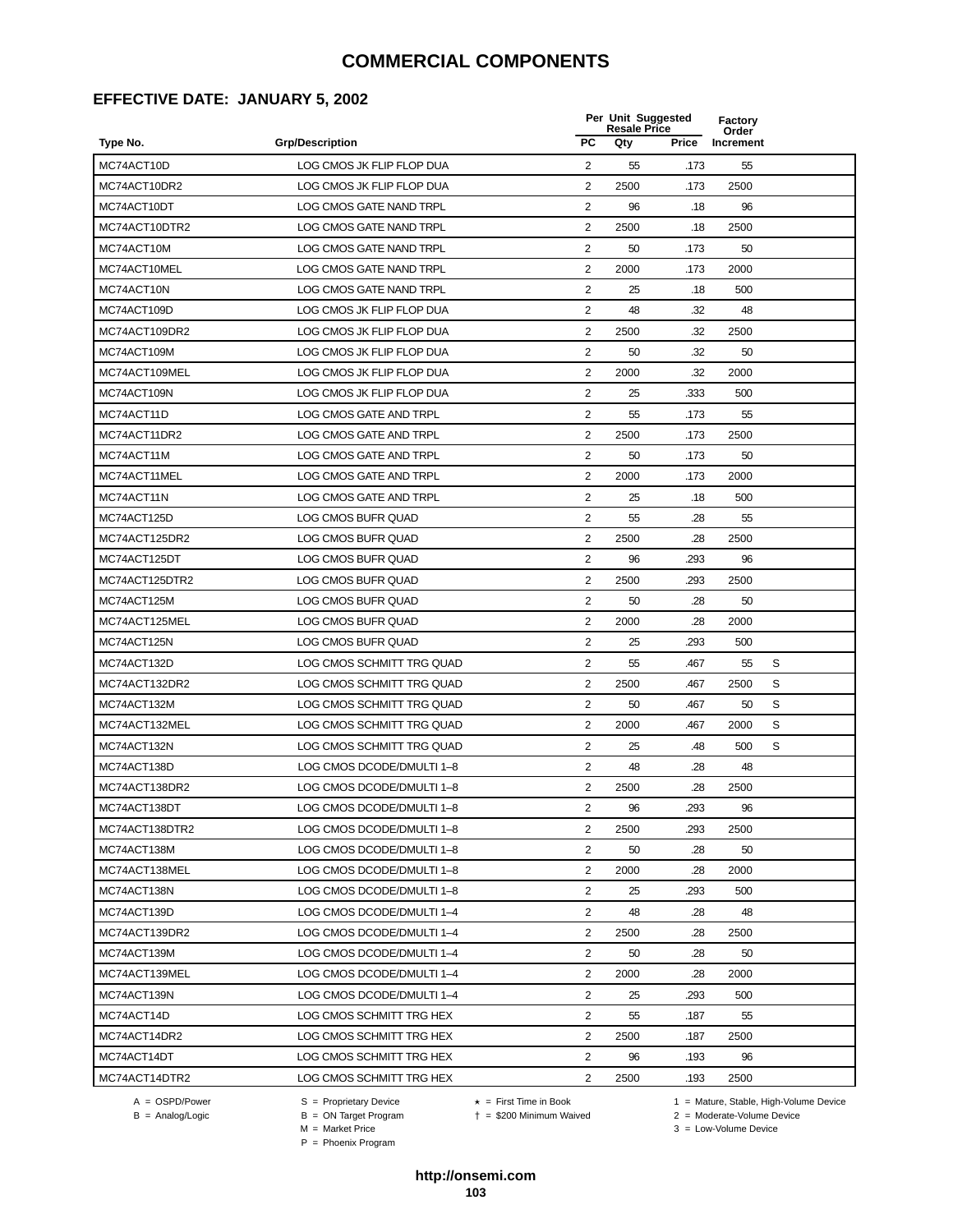### **EFFECTIVE DATE: JANUARY 5, 2002**

|                |                               |                         | Per Unit Suggested<br><b>Resale Price</b> |       | <b>Factory</b><br>Order |   |
|----------------|-------------------------------|-------------------------|-------------------------------------------|-------|-------------------------|---|
| Type No.       | <b>Grp/Description</b>        | <b>PC</b>               | Qty                                       | Price | Increment               |   |
| MC74ACT10D     | LOG CMOS JK FLIP FLOP DUA     | 2                       | 55                                        | .173  | 55                      |   |
| MC74ACT10DR2   | LOG CMOS JK FLIP FLOP DUA     | 2                       | 2500                                      | .173  | 2500                    |   |
| MC74ACT10DT    | LOG CMOS GATE NAND TRPL       | $\overline{2}$          | 96                                        | .18   | 96                      |   |
| MC74ACT10DTR2  | LOG CMOS GATE NAND TRPL       | 2                       | 2500                                      | .18   | 2500                    |   |
| MC74ACT10M     | LOG CMOS GATE NAND TRPL       | $\overline{2}$          | 50                                        | .173  | 50                      |   |
| MC74ACT10MEL   | LOG CMOS GATE NAND TRPL       | 2                       | 2000                                      | .173  | 2000                    |   |
| MC74ACT10N     | LOG CMOS GATE NAND TRPL       | $\overline{2}$          | 25                                        | .18   | 500                     |   |
| MC74ACT109D    | LOG CMOS JK FLIP FLOP DUA     | 2                       | 48                                        | .32   | 48                      |   |
| MC74ACT109DR2  | LOG CMOS JK FLIP FLOP DUA     | 2                       | 2500                                      | .32   | 2500                    |   |
| MC74ACT109M    | LOG CMOS JK FLIP FLOP DUA     | $\overline{2}$          | 50                                        | .32   | 50                      |   |
| MC74ACT109MEL  | LOG CMOS JK FLIP FLOP DUA     | 2                       | 2000                                      | .32   | 2000                    |   |
| MC74ACT109N    | LOG CMOS JK FLIP FLOP DUA     | $\overline{2}$          | 25                                        | .333  | 500                     |   |
| MC74ACT11D     | LOG CMOS GATE AND TRPL        | 2                       | 55                                        | .173  | 55                      |   |
| MC74ACT11DR2   | LOG CMOS GATE AND TRPL        | $\overline{2}$          | 2500                                      | .173  | 2500                    |   |
| MC74ACT11M     | LOG CMOS GATE AND TRPL        | 2                       | 50                                        | .173  | 50                      |   |
| MC74ACT11MEL   | LOG CMOS GATE AND TRPL        | $\overline{2}$          | 2000                                      | .173  | 2000                    |   |
| MC74ACT11N     | <b>LOG CMOS GATE AND TRPL</b> | 2                       | 25                                        | .18   | 500                     |   |
| MC74ACT125D    | <b>LOG CMOS BUFR QUAD</b>     | 2                       | 55                                        | .28   | 55                      |   |
| MC74ACT125DR2  | LOG CMOS BUFR QUAD            | $\overline{2}$          | 2500                                      | .28   | 2500                    |   |
| MC74ACT125DT   | LOG CMOS BUFR QUAD            | 2                       | 96                                        | .293  | 96                      |   |
| MC74ACT125DTR2 | LOG CMOS BUFR QUAD            | $\overline{2}$          | 2500                                      | .293  | 2500                    |   |
| MC74ACT125M    | LOG CMOS BUFR QUAD            | 2                       | 50                                        | .28   | 50                      |   |
| MC74ACT125MEL  | LOG CMOS BUFR QUAD            | $\overline{2}$          | 2000                                      | .28   | 2000                    |   |
| MC74ACT125N    | LOG CMOS BUFR QUAD            | 2                       | 25                                        | .293  | 500                     |   |
| MC74ACT132D    | LOG CMOS SCHMITT TRG QUAD     | $\overline{2}$          | 55                                        | .467  | 55                      | S |
| MC74ACT132DR2  | LOG CMOS SCHMITT TRG QUAD     | 2                       | 2500                                      | .467  | 2500                    | S |
| MC74ACT132M    | LOG CMOS SCHMITT TRG QUAD     | $\overline{2}$          | 50                                        | .467  | 50                      | S |
| MC74ACT132MEL  | LOG CMOS SCHMITT TRG QUAD     | $\overline{2}$          | 2000                                      | .467  | 2000                    | S |
| MC74ACT132N    | LOG CMOS SCHMITT TRG QUAD     | 2                       | 25                                        | .48   | 500                     | S |
| MC74ACT138D    | LOG CMOS DCODE/DMULTI 1-8     | $\overline{2}$          | 48                                        | .28   | 48                      |   |
| MC74ACT138DR2  | LOG CMOS DCODE/DMULTI 1-8     | $\overline{2}$          | 2500                                      | .28   | 2500                    |   |
| MC74ACT138DT   | LOG CMOS DCODE/DMULTI 1-8     | $\overline{\mathbf{c}}$ | 96                                        | 293   | 96                      |   |
| MC74ACT138DTR2 | LOG CMOS DCODE/DMULTI 1-8     | 2                       | 2500                                      | .293  | 2500                    |   |
| MC74ACT138M    | LOG CMOS DCODE/DMULTI 1-8     | 2                       | 50                                        | .28   | 50                      |   |
| MC74ACT138MEL  | LOG CMOS DCODE/DMULTI 1-8     | 2                       | 2000                                      | .28   | 2000                    |   |
| MC74ACT138N    | LOG CMOS DCODE/DMULTI 1-8     | 2                       | 25                                        | .293  | 500                     |   |
| MC74ACT139D    | LOG CMOS DCODE/DMULTI 1-4     | $\overline{2}$          | 48                                        | .28   | 48                      |   |
| MC74ACT139DR2  | LOG CMOS DCODE/DMULTI 1-4     | 2                       | 2500                                      | .28   | 2500                    |   |
| MC74ACT139M    | LOG CMOS DCODE/DMULTI 1-4     | $\overline{2}$          | 50                                        | .28   | 50                      |   |
| MC74ACT139MEL  | LOG CMOS DCODE/DMULTI 1-4     | $\overline{2}$          | 2000                                      | .28   | 2000                    |   |
| MC74ACT139N    | LOG CMOS DCODE/DMULTI 1-4     | $\overline{2}$          | 25                                        | .293  | 500                     |   |
| MC74ACT14D     | LOG CMOS SCHMITT TRG HEX      | 2                       | 55                                        | .187  | 55                      |   |
| MC74ACT14DR2   | LOG CMOS SCHMITT TRG HEX      | 2                       | 2500                                      | .187  | 2500                    |   |
| MC74ACT14DT    | LOG CMOS SCHMITT TRG HEX      | $\overline{2}$          | 96                                        | .193  | 96                      |   |
| MC74ACT14DTR2  | LOG CMOS SCHMITT TRG HEX      | $\overline{c}$          | 2500                                      | .193  | 2500                    |   |

 $B = \text{Analog/Logic}$ <br>B = ON Target Program<br> $M = \text{Market Price}$ 

= \$200 Minimum Waived 2 = Moderate-Volume Device

A = OSPD/Power S = Proprietary Device  $\star$  = First Time in Book 1 = Mature, Stable, High-Volume Device

 $3 =$  Low-Volume Device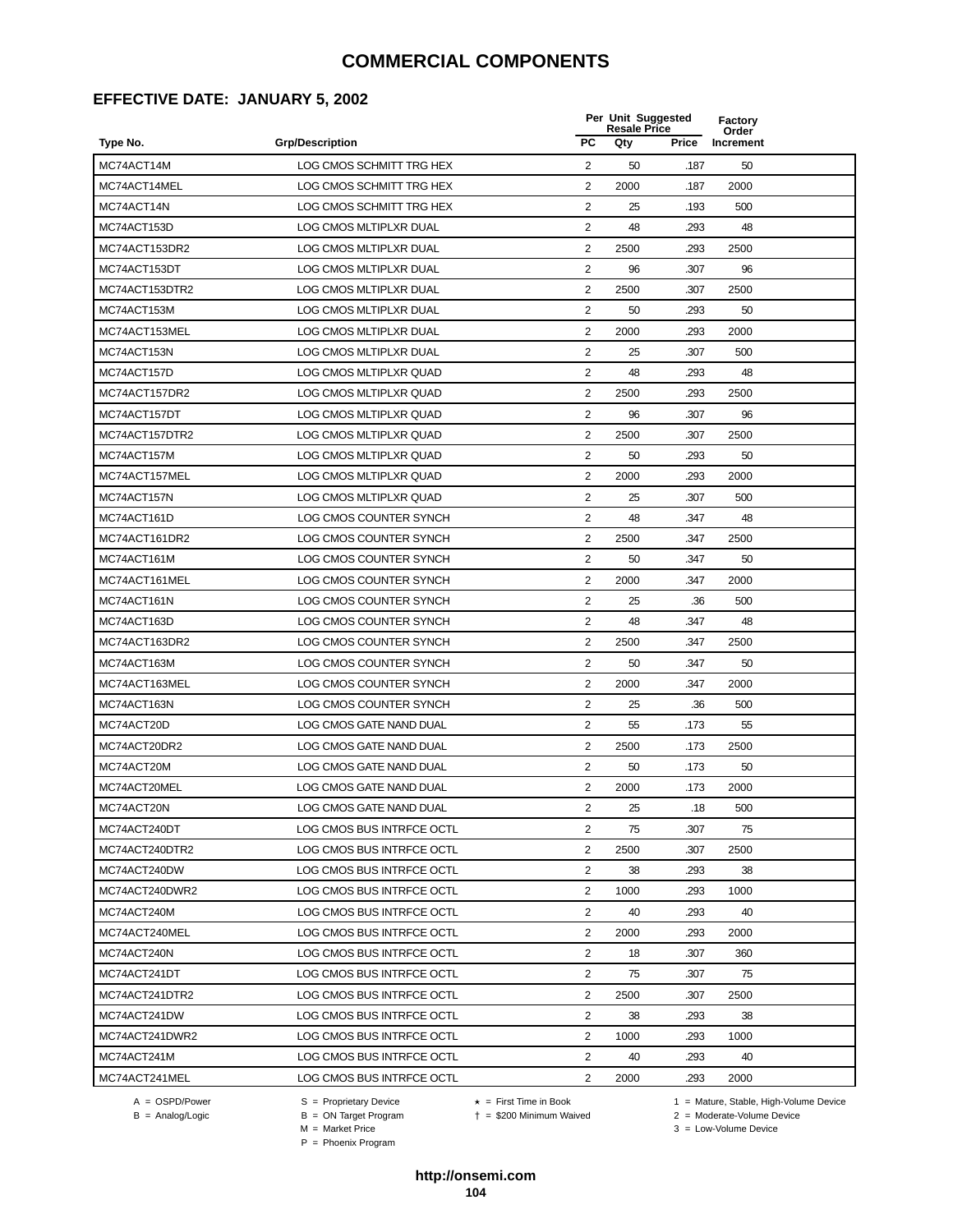### **EFFECTIVE DATE: JANUARY 5, 2002**

|                |                           |                         | Per Unit Suggested<br><b>Resale Price</b> |       | Factory<br>Order |  |
|----------------|---------------------------|-------------------------|-------------------------------------------|-------|------------------|--|
| Type No.       | <b>Grp/Description</b>    | <b>PC</b>               | Qty                                       | Price | Increment        |  |
| MC74ACT14M     | LOG CMOS SCHMITT TRG HEX  | 2                       | 50                                        | .187  | 50               |  |
| MC74ACT14MEL   | LOG CMOS SCHMITT TRG HEX  | 2                       | 2000                                      | .187  | 2000             |  |
| MC74ACT14N     | LOG CMOS SCHMITT TRG HEX  | 2                       | 25                                        | .193  | 500              |  |
| MC74ACT153D    | LOG CMOS MLTIPLXR DUAL    | 2                       | 48                                        | .293  | 48               |  |
| MC74ACT153DR2  | LOG CMOS MLTIPLXR DUAL    | $\overline{\mathbf{c}}$ | 2500                                      | .293  | 2500             |  |
| MC74ACT153DT   | LOG CMOS MLTIPLXR DUAL    | $\overline{2}$          | 96                                        | .307  | 96               |  |
| MC74ACT153DTR2 | LOG CMOS MLTIPLXR DUAL    | $\overline{2}$          | 2500                                      | .307  | 2500             |  |
| MC74ACT153M    | LOG CMOS MLTIPLXR DUAL    | $\overline{2}$          | 50                                        | .293  | 50               |  |
| MC74ACT153MEL  | LOG CMOS MLTIPLXR DUAL    | 2                       | 2000                                      | .293  | 2000             |  |
| MC74ACT153N    | LOG CMOS MLTIPLXR DUAL    | 2                       | 25                                        | .307  | 500              |  |
| MC74ACT157D    | LOG CMOS MLTIPLXR QUAD    | 2                       | 48                                        | .293  | 48               |  |
| MC74ACT157DR2  | LOG CMOS MLTIPLXR QUAD    | 2                       | 2500                                      | .293  | 2500             |  |
| MC74ACT157DT   | LOG CMOS MLTIPLXR QUAD    | 2                       | 96                                        | .307  | 96               |  |
| MC74ACT157DTR2 | LOG CMOS MLTIPLXR QUAD    | $\overline{\mathbf{c}}$ | 2500                                      | .307  | 2500             |  |
| MC74ACT157M    | LOG CMOS MLTIPLXR QUAD    | $\overline{2}$          | 50                                        | .293  | 50               |  |
| MC74ACT157MEL  | LOG CMOS MLTIPLXR QUAD    | $\overline{2}$          | 2000                                      | .293  | 2000             |  |
| MC74ACT157N    | LOG CMOS MLTIPLXR QUAD    | $\overline{2}$          | 25                                        | .307  | 500              |  |
| MC74ACT161D    | LOG CMOS COUNTER SYNCH    | $\overline{2}$          | 48                                        | .347  | 48               |  |
| MC74ACT161DR2  | LOG CMOS COUNTER SYNCH    | 2                       | 2500                                      | .347  | 2500             |  |
| MC74ACT161M    | LOG CMOS COUNTER SYNCH    | 2                       | 50                                        | .347  | 50               |  |
| MC74ACT161MEL  | LOG CMOS COUNTER SYNCH    | 2                       | 2000                                      | .347  | 2000             |  |
| MC74ACT161N    | LOG CMOS COUNTER SYNCH    | 2                       | 25                                        | .36   | 500              |  |
| MC74ACT163D    | LOG CMOS COUNTER SYNCH    | 2                       | 48                                        | .347  | 48               |  |
| MC74ACT163DR2  | LOG CMOS COUNTER SYNCH    | $\overline{\mathbf{c}}$ | 2500                                      | .347  | 2500             |  |
| MC74ACT163M    | LOG CMOS COUNTER SYNCH    | $\overline{2}$          | 50                                        | .347  | 50               |  |
| MC74ACT163MEL  | LOG CMOS COUNTER SYNCH    | $\overline{2}$          | 2000                                      | .347  | 2000             |  |
| MC74ACT163N    | LOG CMOS COUNTER SYNCH    | $\overline{2}$          | 25                                        | .36   | 500              |  |
| MC74ACT20D     | LOG CMOS GATE NAND DUAL   | $\overline{2}$          | 55                                        | .173  | 55               |  |
| MC74ACT20DR2   | LOG CMOS GATE NAND DUAL   | 2                       | 2500                                      | .173  | 2500             |  |
| MC74ACT20M     | LOG CMOS GATE NAND DUAL   | $\overline{2}$          | 50                                        | .173  | 50               |  |
| MC74ACT20MEL   | LOG CMOS GATE NAND DUAL   | 2                       | 2000                                      | .173  | 2000             |  |
| MC74ACT20N     | LOG CMOS GATE NAND DUAL   | 2                       | 25                                        | .18   | 500              |  |
| MC74ACT240DT   | LOG CMOS BUS INTRFCE OCTL | $\overline{2}$          | 75                                        | .307  | 75               |  |
| MC74ACT240DTR2 | LOG CMOS BUS INTRFCE OCTL | $\overline{2}$          | 2500                                      | .307  | 2500             |  |
| MC74ACT240DW   | LOG CMOS BUS INTRFCE OCTL | $\overline{2}$          | 38                                        | .293  | 38               |  |
| MC74ACT240DWR2 | LOG CMOS BUS INTRFCE OCTL | $\overline{a}$          | 1000                                      | .293  | 1000             |  |
| MC74ACT240M    | LOG CMOS BUS INTRFCE OCTL | 2                       | 40                                        | .293  | 40               |  |
| MC74ACT240MEL  | LOG CMOS BUS INTRFCE OCTL | 2                       | 2000                                      | .293  | 2000             |  |
| MC74ACT240N    | LOG CMOS BUS INTRFCE OCTL | 2                       | 18                                        | .307  | 360              |  |
| MC74ACT241DT   | LOG CMOS BUS INTRFCE OCTL | $\overline{2}$          | 75                                        | .307  | 75               |  |
| MC74ACT241DTR2 | LOG CMOS BUS INTRFCE OCTL | $\overline{2}$          | 2500                                      | .307  | 2500             |  |
| MC74ACT241DW   | LOG CMOS BUS INTRFCE OCTL | $\overline{2}$          | 38                                        | .293  | 38               |  |
| MC74ACT241DWR2 | LOG CMOS BUS INTRFCE OCTL | $\overline{2}$          | 1000                                      | .293  | 1000             |  |
| MC74ACT241M    | LOG CMOS BUS INTRFCE OCTL | $\overline{2}$          | 40                                        | .293  | 40               |  |
| MC74ACT241MEL  | LOG CMOS BUS INTRFCE OCTL | $\overline{2}$          | 2000                                      | .293  | 2000             |  |
|                |                           |                         |                                           |       |                  |  |

 $B = \text{Analog/Logic}$ <br>B = ON Target Program<br> $M = \text{Market Price}$ 

= \$200 Minimum Waived 2 = Moderate-Volume Device

A = OSPD/Power S = Proprietary Device  $\star$  = First Time in Book 1 = Mature, Stable, High-Volume Device

 $3 =$  Low-Volume Device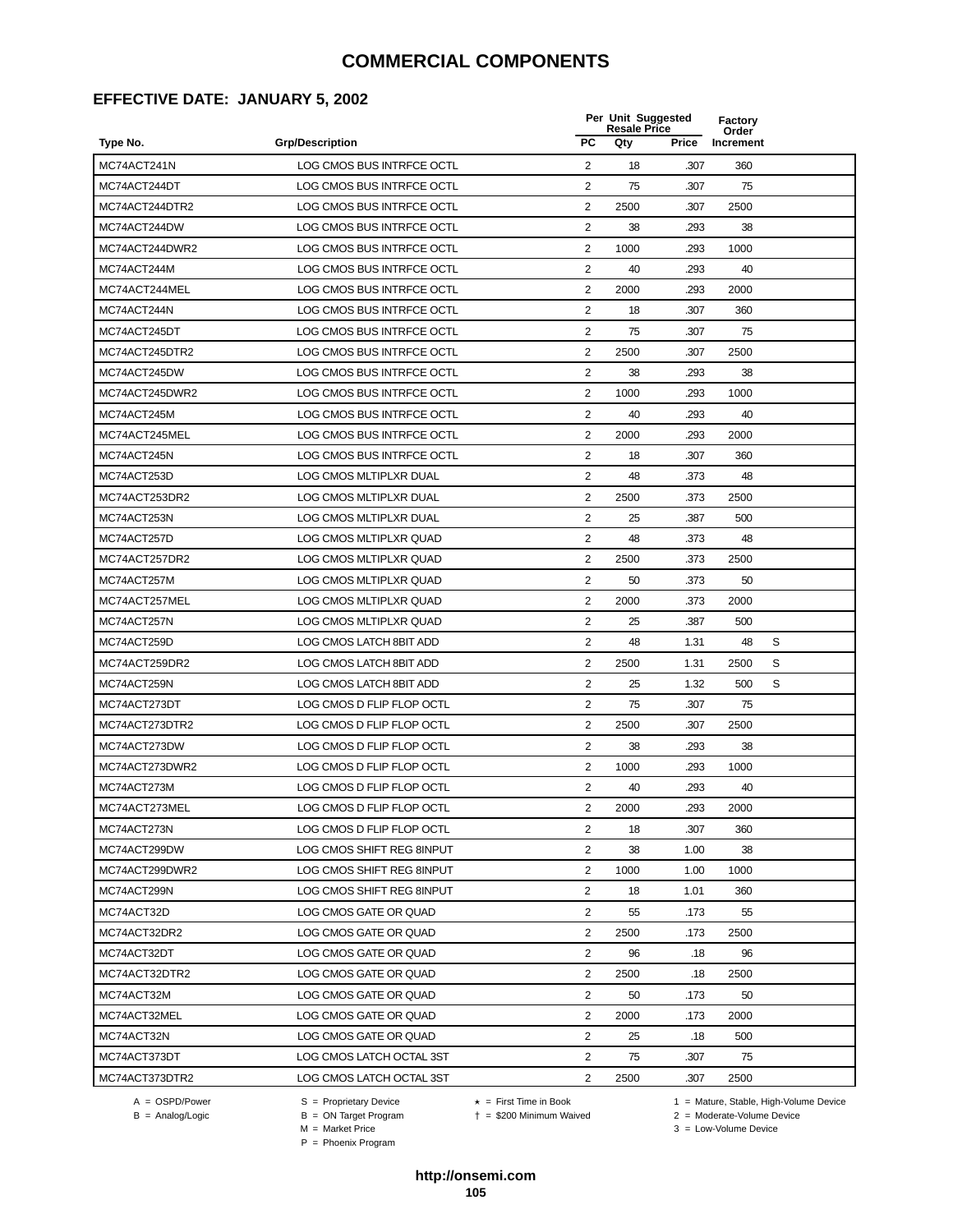### **EFFECTIVE DATE: JANUARY 5, 2002**

|                |                           |                | Per Unit Suggested<br><b>Resale Price</b> |              | Factory<br>Order |   |
|----------------|---------------------------|----------------|-------------------------------------------|--------------|------------------|---|
| Type No.       | <b>Grp/Description</b>    | <b>PC</b>      | Qty                                       | <b>Price</b> | Increment        |   |
| MC74ACT241N    | LOG CMOS BUS INTRFCE OCTL | 2              | 18                                        | .307         | 360              |   |
| MC74ACT244DT   | LOG CMOS BUS INTRFCE OCTL | 2              | 75                                        | .307         | 75               |   |
| MC74ACT244DTR2 | LOG CMOS BUS INTRFCE OCTL | 2              | 2500                                      | .307         | 2500             |   |
| MC74ACT244DW   | LOG CMOS BUS INTRFCE OCTL | 2              | 38                                        | .293         | 38               |   |
| MC74ACT244DWR2 | LOG CMOS BUS INTRFCE OCTL | $\overline{2}$ | 1000                                      | .293         | 1000             |   |
| MC74ACT244M    | LOG CMOS BUS INTRFCE OCTL | $\overline{2}$ | 40                                        | .293         | 40               |   |
| MC74ACT244MEL  | LOG CMOS BUS INTRFCE OCTL | $\overline{2}$ | 2000                                      | .293         | 2000             |   |
| MC74ACT244N    | LOG CMOS BUS INTRFCE OCTL | 2              | 18                                        | .307         | 360              |   |
| MC74ACT245DT   | LOG CMOS BUS INTRFCE OCTL | 2              | 75                                        | .307         | 75               |   |
| MC74ACT245DTR2 | LOG CMOS BUS INTRFCE OCTL | 2              | 2500                                      | .307         | 2500             |   |
| MC74ACT245DW   | LOG CMOS BUS INTRFCE OCTL | 2              | 38                                        | .293         | 38               |   |
| MC74ACT245DWR2 | LOG CMOS BUS INTRFCE OCTL | $\overline{2}$ | 1000                                      | .293         | 1000             |   |
| MC74ACT245M    | LOG CMOS BUS INTRFCE OCTL | 2              | 40                                        | .293         | 40               |   |
| MC74ACT245MEL  | LOG CMOS BUS INTRFCE OCTL | $\overline{2}$ | 2000                                      | .293         | 2000             |   |
| MC74ACT245N    | LOG CMOS BUS INTRFCE OCTL | 2              | 18                                        | .307         | 360              |   |
| MC74ACT253D    | LOG CMOS MLTIPLXR DUAL    | 2              | 48                                        | .373         | 48               |   |
| MC74ACT253DR2  | LOG CMOS MLTIPLXR DUAL    | 2              | 2500                                      | .373         | 2500             |   |
| MC74ACT253N    | LOG CMOS MLTIPLXR DUAL    | $\overline{2}$ | 25                                        | .387         | 500              |   |
| MC74ACT257D    | LOG CMOS MLTIPLXR QUAD    | $\overline{2}$ | 48                                        | .373         | 48               |   |
| MC74ACT257DR2  | LOG CMOS MLTIPLXR QUAD    | 2              | 2500                                      | .373         | 2500             |   |
| MC74ACT257M    | LOG CMOS MLTIPLXR QUAD    | 2              | 50                                        | .373         | 50               |   |
| MC74ACT257MEL  | LOG CMOS MLTIPLXR QUAD    | 2              | 2000                                      | .373         | 2000             |   |
| MC74ACT257N    | LOG CMOS MLTIPLXR QUAD    | $\overline{2}$ | 25                                        | .387         | 500              |   |
| MC74ACT259D    | LOG CMOS LATCH 8BIT ADD   | $\overline{2}$ | 48                                        | 1.31         | 48               | S |
| MC74ACT259DR2  | LOG CMOS LATCH 8BIT ADD   | 2              | 2500                                      | 1.31         | 2500             | S |
| MC74ACT259N    | LOG CMOS LATCH 8BIT ADD   | 2              | 25                                        | 1.32         | 500              | S |
| MC74ACT273DT   | LOG CMOS D FLIP FLOP OCTL | $\overline{c}$ | 75                                        | .307         | 75               |   |
| MC74ACT273DTR2 | LOG CMOS D FLIP FLOP OCTL | $\overline{2}$ | 2500                                      | .307         | 2500             |   |
| MC74ACT273DW   | LOG CMOS D FLIP FLOP OCTL | 2              | 38                                        | .293         | 38               |   |
| MC74ACT273DWR2 | LOG CMOS D FLIP FLOP OCTL | $\overline{2}$ | 1000                                      | .293         | 1000             |   |
| MC74ACT273M    | LOG CMOS D FLIP FLOP OCTL | 2              | 40                                        | .293         | 40               |   |
| MC74ACT273MEL  | LOG CMOS D FLIP FLOP OCTL | 2              | 2000                                      | 293          | 2000             |   |
| MC74ACT273N    | LOG CMOS D FLIP FLOP OCTL | 2              | 18                                        | .307         | 360              |   |
| MC74ACT299DW   | LOG CMOS SHIFT REG 8INPUT | 2              | 38                                        | 1.00         | 38               |   |
| MC74ACT299DWR2 | LOG CMOS SHIFT REG 8INPUT | 2              | 1000                                      | 1.00         | 1000             |   |
| MC74ACT299N    | LOG CMOS SHIFT REG 8INPUT | $\overline{2}$ | 18                                        | 1.01         | 360              |   |
| MC74ACT32D     | LOG CMOS GATE OR QUAD     | 2              | 55                                        | .173         | 55               |   |
| MC74ACT32DR2   | LOG CMOS GATE OR QUAD     | 2              | 2500                                      | .173         | 2500             |   |
| MC74ACT32DT    | LOG CMOS GATE OR QUAD     | $\overline{2}$ | 96                                        | .18          | 96               |   |
| MC74ACT32DTR2  | LOG CMOS GATE OR QUAD     | 2              | 2500                                      | .18          | 2500             |   |
| MC74ACT32M     | LOG CMOS GATE OR QUAD     | 2              | 50                                        | .173         | 50               |   |
| MC74ACT32MEL   | LOG CMOS GATE OR QUAD     | $\overline{2}$ | 2000                                      | .173         | 2000             |   |
| MC74ACT32N     | LOG CMOS GATE OR QUAD     | 2              | 25                                        | .18          | 500              |   |
| MC74ACT373DT   | LOG CMOS LATCH OCTAL 3ST  | 2              | 75                                        | .307         | 75               |   |
| MC74ACT373DTR2 | LOG CMOS LATCH OCTAL 3ST  | $\overline{2}$ | 2500                                      | .307         | 2500             |   |
|                |                           |                |                                           |              |                  |   |

 $B = \text{Analog/Logic}$ <br>B = ON Target Program<br> $M = \text{Market Price}$ 

A = OSPD/Power S = Proprietary Device  $\star$  = First Time in Book 1 = Mature, Stable, High-Volume Device

= \$200 Minimum Waived 2 = Moderate-Volume Device

P = Phoenix Program

 $3 =$  Low-Volume Device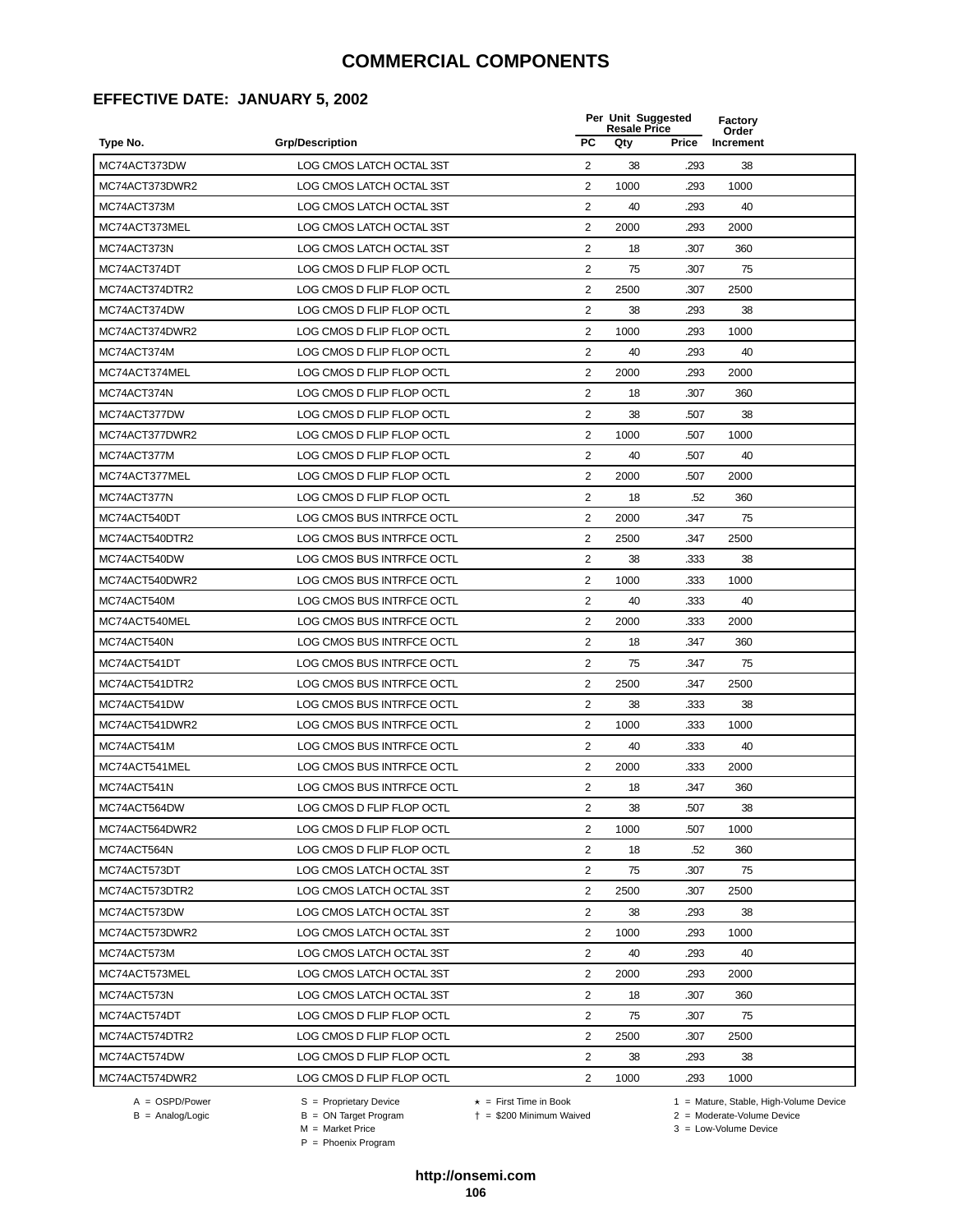### **EFFECTIVE DATE: JANUARY 5, 2002**

|                |                           |                         | Per Unit Suggested<br><b>Resale Price</b> |       | <b>Factory</b><br>Order |  |
|----------------|---------------------------|-------------------------|-------------------------------------------|-------|-------------------------|--|
| Type No.       | <b>Grp/Description</b>    | <b>PC</b>               | Qty                                       | Price | Increment               |  |
| MC74ACT373DW   | LOG CMOS LATCH OCTAL 3ST  | 2                       | 38                                        | .293  | 38                      |  |
| MC74ACT373DWR2 | LOG CMOS LATCH OCTAL 3ST  | 2                       | 1000                                      | .293  | 1000                    |  |
| MC74ACT373M    | LOG CMOS LATCH OCTAL 3ST  | 2                       | 40                                        | .293  | 40                      |  |
| MC74ACT373MEL  | LOG CMOS LATCH OCTAL 3ST  | 2                       | 2000                                      | .293  | 2000                    |  |
| MC74ACT373N    | LOG CMOS LATCH OCTAL 3ST  | $\sqrt{2}$              | 18                                        | .307  | 360                     |  |
| MC74ACT374DT   | LOG CMOS D FLIP FLOP OCTL | 2                       | 75                                        | .307  | 75                      |  |
| MC74ACT374DTR2 | LOG CMOS D FLIP FLOP OCTL | $\overline{2}$          | 2500                                      | .307  | 2500                    |  |
| MC74ACT374DW   | LOG CMOS D FLIP FLOP OCTL | $\overline{2}$          | 38                                        | .293  | 38                      |  |
| MC74ACT374DWR2 | LOG CMOS D FLIP FLOP OCTL | 2                       | 1000                                      | .293  | 1000                    |  |
| MC74ACT374M    | LOG CMOS D FLIP FLOP OCTL | 2                       | 40                                        | .293  | 40                      |  |
| MC74ACT374MEL  | LOG CMOS D FLIP FLOP OCTL | $\overline{2}$          | 2000                                      | .293  | 2000                    |  |
| MC74ACT374N    | LOG CMOS D FLIP FLOP OCTL | $\overline{2}$          | 18                                        | .307  | 360                     |  |
| MC74ACT377DW   | LOG CMOS D FLIP FLOP OCTL | 2                       | 38                                        | .507  | 38                      |  |
| MC74ACT377DWR2 | LOG CMOS D FLIP FLOP OCTL | $\overline{\mathbf{c}}$ | 1000                                      | .507  | 1000                    |  |
| MC74ACT377M    | LOG CMOS D FLIP FLOP OCTL | 2                       | 40                                        | .507  | 40                      |  |
| MC74ACT377MEL  | LOG CMOS D FLIP FLOP OCTL | $\overline{2}$          | 2000                                      | .507  | 2000                    |  |
| MC74ACT377N    | LOG CMOS D FLIP FLOP OCTL | $\overline{2}$          | 18                                        | .52   | 360                     |  |
| MC74ACT540DT   | LOG CMOS BUS INTRFCE OCTL | 2                       | 2000                                      | .347  | 75                      |  |
| MC74ACT540DTR2 | LOG CMOS BUS INTRFCE OCTL | 2                       | 2500                                      | .347  | 2500                    |  |
| MC74ACT540DW   | LOG CMOS BUS INTRFCE OCTL | 2                       | 38                                        | .333  | 38                      |  |
| MC74ACT540DWR2 | LOG CMOS BUS INTRFCE OCTL | 2                       | 1000                                      | .333  | 1000                    |  |
| MC74ACT540M    | LOG CMOS BUS INTRFCE OCTL | 2                       | 40                                        | .333  | 40                      |  |
| MC74ACT540MEL  | LOG CMOS BUS INTRFCE OCTL | $\overline{2}$          | 2000                                      | .333  | 2000                    |  |
| MC74ACT540N    | LOG CMOS BUS INTRFCE OCTL | 2                       | 18                                        | .347  | 360                     |  |
| MC74ACT541DT   | LOG CMOS BUS INTRFCE OCTL | 2                       | 75                                        | .347  | 75                      |  |
| MC74ACT541DTR2 | LOG CMOS BUS INTRFCE OCTL | 2                       | 2500                                      | .347  | 2500                    |  |
| MC74ACT541DW   | LOG CMOS BUS INTRFCE OCTL | $\overline{c}$          | 38                                        | .333  | 38                      |  |
| MC74ACT541DWR2 | LOG CMOS BUS INTRFCE OCTL | 2                       | 1000                                      | .333  | 1000                    |  |
| MC74ACT541M    | LOG CMOS BUS INTRFCE OCTL | 2                       | 40                                        | .333  | 40                      |  |
| MC74ACT541MEL  | LOG CMOS BUS INTRFCE OCTL | $\overline{2}$          | 2000                                      | .333  | 2000                    |  |
| MC74ACT541N    | LOG CMOS BUS INTRFCE OCTL | $\overline{2}$          | 18                                        | .347  | 360                     |  |
| MC74ACT564DW   | LOG CMOS D FLIP FLOP OCTL | 2                       | 38                                        | 507   | 38                      |  |
| MC74ACT564DWR2 | LOG CMOS D FLIP FLOP OCTL | $\overline{2}$          | 1000                                      | .507  | 1000                    |  |
| MC74ACT564N    | LOG CMOS D FLIP FLOP OCTL | 2                       | 18                                        | .52   | 360                     |  |
| MC74ACT573DT   | LOG CMOS LATCH OCTAL 3ST  | 2                       | 75                                        | .307  | 75                      |  |
| MC74ACT573DTR2 | LOG CMOS LATCH OCTAL 3ST  | 2                       | 2500                                      | .307  | 2500                    |  |
| MC74ACT573DW   | LOG CMOS LATCH OCTAL 3ST  | 2                       | 38                                        | .293  | 38                      |  |
| MC74ACT573DWR2 | LOG CMOS LATCH OCTAL 3ST  | 2                       | 1000                                      | .293  | 1000                    |  |
| MC74ACT573M    | LOG CMOS LATCH OCTAL 3ST  | $\overline{2}$          | 40                                        | .293  | 40                      |  |
| MC74ACT573MEL  | LOG CMOS LATCH OCTAL 3ST  | $\overline{2}$          | 2000                                      | .293  | 2000                    |  |
| MC74ACT573N    | LOG CMOS LATCH OCTAL 3ST  | 2                       | 18                                        | .307  | 360                     |  |
| MC74ACT574DT   | LOG CMOS D FLIP FLOP OCTL | 2                       | 75                                        | .307  | 75                      |  |
| MC74ACT574DTR2 | LOG CMOS D FLIP FLOP OCTL | 2                       | 2500                                      | .307  | 2500                    |  |
| MC74ACT574DW   | LOG CMOS D FLIP FLOP OCTL | $\overline{2}$          | 38                                        | .293  | 38                      |  |
| MC74ACT574DWR2 | LOG CMOS D FLIP FLOP OCTL | $\overline{2}$          | 1000                                      | .293  | 1000                    |  |
|                |                           |                         |                                           |       |                         |  |

 $B = \text{Analog/Logic}$ <br>B = ON Target Program<br> $M = \text{Market Price}$ 

= \$200 Minimum Waived 2 = Moderate-Volume Device

A = OSPD/Power S = Proprietary Device  $\star$  = First Time in Book 1 = Mature, Stable, High-Volume Device

 $3 =$  Low-Volume Device

P = Phoenix Program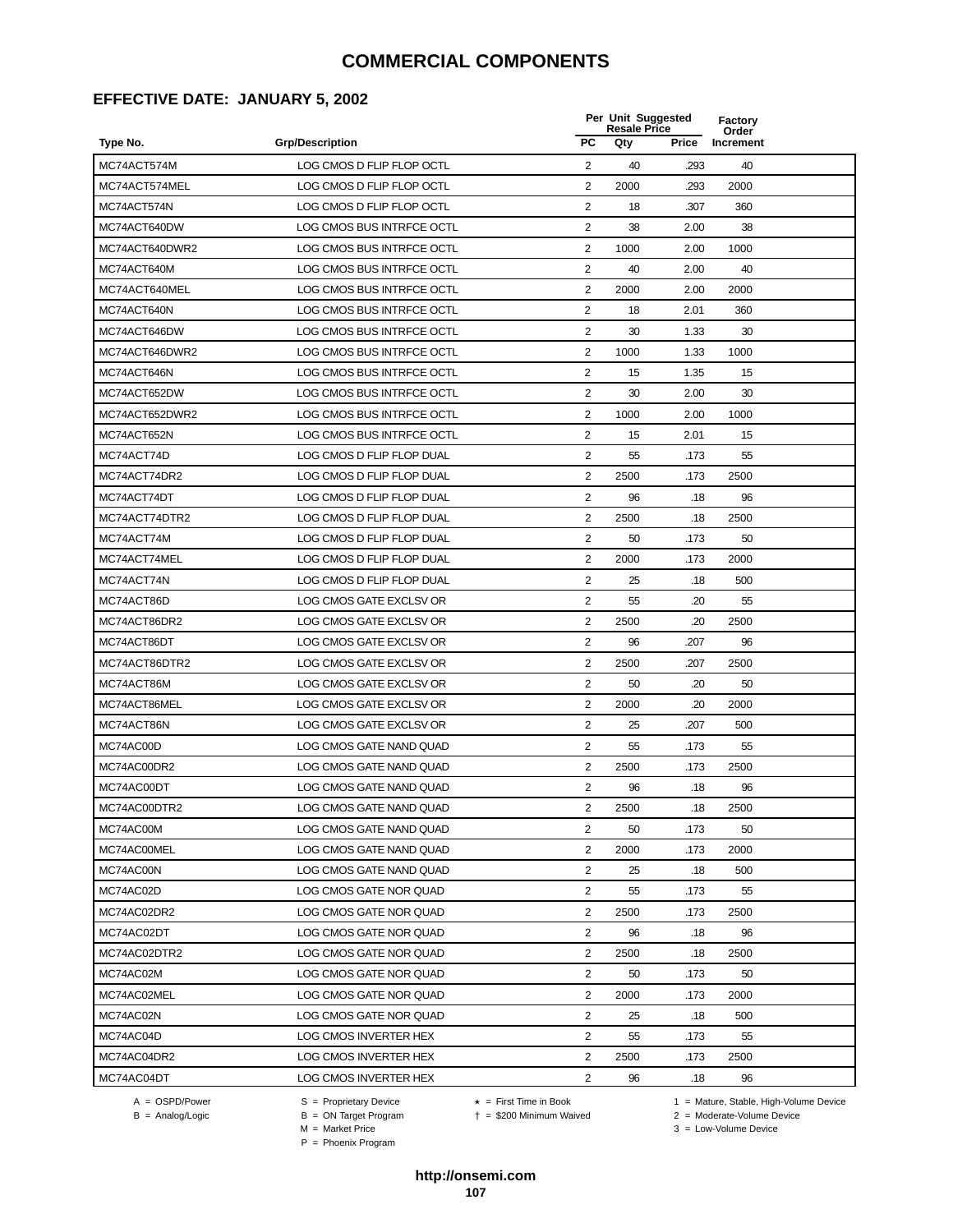### **EFFECTIVE DATE: JANUARY 5, 2002**

|                |                           |                | Per Unit Suggested<br><b>Resale Price</b> |       | <b>Factory</b><br>Order |  |
|----------------|---------------------------|----------------|-------------------------------------------|-------|-------------------------|--|
| Type No.       | <b>Grp/Description</b>    | <b>PC</b>      | Qty                                       | Price | Increment               |  |
| MC74ACT574M    | LOG CMOS D FLIP FLOP OCTL | 2              | 40                                        | .293  | 40                      |  |
| MC74ACT574MEL  | LOG CMOS D FLIP FLOP OCTL | 2              | 2000                                      | .293  | 2000                    |  |
| MC74ACT574N    | LOG CMOS D FLIP FLOP OCTL | $\overline{2}$ | 18                                        | .307  | 360                     |  |
| MC74ACT640DW   | LOG CMOS BUS INTRFCE OCTL | 2              | 38                                        | 2.00  | 38                      |  |
| MC74ACT640DWR2 | LOG CMOS BUS INTRFCE OCTL | $\sqrt{2}$     | 1000                                      | 2.00  | 1000                    |  |
| MC74ACT640M    | LOG CMOS BUS INTRFCE OCTL | $\overline{2}$ | 40                                        | 2.00  | 40                      |  |
| MC74ACT640MEL  | LOG CMOS BUS INTRFCE OCTL | 2              | 2000                                      | 2.00  | 2000                    |  |
| MC74ACT640N    | LOG CMOS BUS INTRFCE OCTL | $\overline{2}$ | 18                                        | 2.01  | 360                     |  |
| MC74ACT646DW   | LOG CMOS BUS INTRFCE OCTL | $\overline{c}$ | 30                                        | 1.33  | 30                      |  |
| MC74ACT646DWR2 | LOG CMOS BUS INTRFCE OCTL | 2              | 1000                                      | 1.33  | 1000                    |  |
| MC74ACT646N    | LOG CMOS BUS INTRFCE OCTL | 2              | 15                                        | 1.35  | 15                      |  |
| MC74ACT652DW   | LOG CMOS BUS INTRFCE OCTL | $\overline{2}$ | 30                                        | 2.00  | 30                      |  |
| MC74ACT652DWR2 | LOG CMOS BUS INTRFCE OCTL | 2              | 1000                                      | 2.00  | 1000                    |  |
| MC74ACT652N    | LOG CMOS BUS INTRFCE OCTL | $\sqrt{2}$     | 15                                        | 2.01  | 15                      |  |
| MC74ACT74D     | LOG CMOS D FLIP FLOP DUAL | 2              | 55                                        | .173  | 55                      |  |
| MC74ACT74DR2   | LOG CMOS D FLIP FLOP DUAL | $\overline{2}$ | 2500                                      | .173  | 2500                    |  |
| MC74ACT74DT    | LOG CMOS D FLIP FLOP DUAL | 2              | 96                                        | .18   | 96                      |  |
| MC74ACT74DTR2  | LOG CMOS D FLIP FLOP DUAL | 2              | 2500                                      | .18   | 2500                    |  |
| MC74ACT74M     | LOG CMOS D FLIP FLOP DUAL | 2              | 50                                        | .173  | 50                      |  |
| MC74ACT74MEL   | LOG CMOS D FLIP FLOP DUAL | 2              | 2000                                      | .173  | 2000                    |  |
| MC74ACT74N     | LOG CMOS D FLIP FLOP DUAL | $\overline{2}$ | 25                                        | .18   | 500                     |  |
| MC74ACT86D     | LOG CMOS GATE EXCLSV OR   | 2              | 55                                        | .20   | 55                      |  |
| MC74ACT86DR2   | LOG CMOS GATE EXCLSV OR   | $\overline{2}$ | 2500                                      | .20   | 2500                    |  |
| MC74ACT86DT    | LOG CMOS GATE EXCLSV OR   | 2              | 96                                        | .207  | 96                      |  |
| MC74ACT86DTR2  | LOG CMOS GATE EXCLSV OR   | $\overline{2}$ | 2500                                      | .207  | 2500                    |  |
| MC74ACT86M     | LOG CMOS GATE EXCLSV OR   | 2              | 50                                        | .20   | 50                      |  |
| MC74ACT86MEL   | LOG CMOS GATE EXCLSV OR   | 2              | 2000                                      | .20   | 2000                    |  |
| MC74ACT86N     | LOG CMOS GATE EXCLSV OR   | 2              | 25                                        | .207  | 500                     |  |
| MC74AC00D      | LOG CMOS GATE NAND QUAD   | 2              | 55                                        | .173  | 55                      |  |
| MC74AC00DR2    | LOG CMOS GATE NAND QUAD   | $\overline{2}$ | 2500                                      | .173  | 2500                    |  |
| MC74AC00DT     | LOG CMOS GATE NAND QUAD   | $\overline{2}$ | 96                                        | .18   | 96                      |  |
| MC74AC00DTR2   | LOG CMOS GATE NAND QUAD   | 2              | 2500                                      | .18   | 2500                    |  |
| MC74AC00M      | LOG CMOS GATE NAND QUAD   | 2              | 50                                        | .173  | 50                      |  |
| MC74AC00MEL    | LOG CMOS GATE NAND QUAD   | 2              | 2000                                      | .173  | 2000                    |  |
| MC74AC00N      | LOG CMOS GATE NAND QUAD   | $\overline{2}$ | 25                                        | .18   | 500                     |  |
| MC74AC02D      | LOG CMOS GATE NOR QUAD    | $\overline{2}$ | 55                                        | .173  | 55                      |  |
| MC74AC02DR2    | LOG CMOS GATE NOR QUAD    | 2              | 2500                                      | .173  | 2500                    |  |
| MC74AC02DT     | LOG CMOS GATE NOR QUAD    | 2              | 96                                        | .18   | 96                      |  |
| MC74AC02DTR2   | LOG CMOS GATE NOR QUAD    | $\overline{2}$ | 2500                                      | .18   | 2500                    |  |
| MC74AC02M      | LOG CMOS GATE NOR QUAD    | 2              | 50                                        | .173  | 50                      |  |
| MC74AC02MEL    | LOG CMOS GATE NOR QUAD    | $\overline{2}$ | 2000                                      | .173  | 2000                    |  |
| MC74AC02N      | LOG CMOS GATE NOR QUAD    | 2              | 25                                        | .18   | 500                     |  |
| MC74AC04D      | LOG CMOS INVERTER HEX     | 2              | 55                                        | .173  | 55                      |  |
| MC74AC04DR2    | LOG CMOS INVERTER HEX     | $\overline{2}$ | 2500                                      | .173  | 2500                    |  |
| MC74AC04DT     | LOG CMOS INVERTER HEX     | $\overline{2}$ | 96                                        | .18   | 96                      |  |
|                |                           |                |                                           |       |                         |  |

 $B = \text{Analog/Logic}$ <br>B = ON Target Program<br> $M = \text{Market Price}$ 

= \$200 Minimum Waived 2 = Moderate-Volume Device

A = OSPD/Power S = Proprietary Device  $\star$  = First Time in Book 1 = Mature, Stable, High-Volume Device

 $3 =$  Low-Volume Device

P = Phoenix Program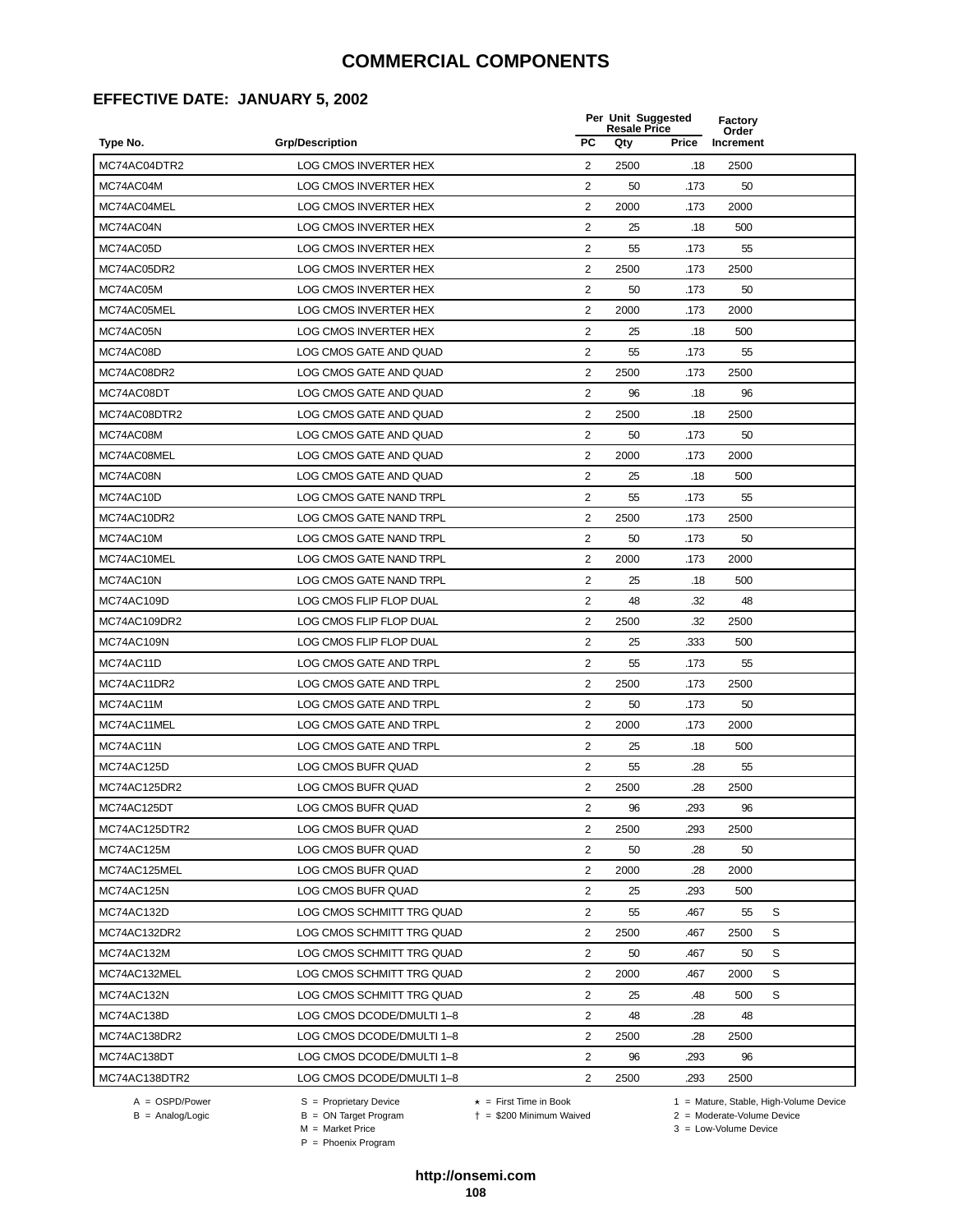### **EFFECTIVE DATE: JANUARY 5, 2002**

|               |                           |                         | Per Unit Suggested<br><b>Resale Price</b> |              | Factory<br>Order |   |  |
|---------------|---------------------------|-------------------------|-------------------------------------------|--------------|------------------|---|--|
| Type No.      | <b>Grp/Description</b>    | <b>PC</b>               | Qty                                       | <b>Price</b> | Increment        |   |  |
| MC74AC04DTR2  | LOG CMOS INVERTER HEX     | 2                       | 2500                                      | .18          | 2500             |   |  |
| MC74AC04M     | LOG CMOS INVERTER HEX     | 2                       | 50                                        | .173         | 50               |   |  |
| MC74AC04MEL   | LOG CMOS INVERTER HEX     | 2                       | 2000                                      | .173         | 2000             |   |  |
| MC74AC04N     | LOG CMOS INVERTER HEX     | $\overline{2}$          | 25                                        | .18          | 500              |   |  |
| MC74AC05D     | LOG CMOS INVERTER HEX     | $\overline{\mathbf{c}}$ | 55                                        | .173         | 55               |   |  |
| MC74AC05DR2   | LOG CMOS INVERTER HEX     | $\overline{2}$          | 2500                                      | .173         | 2500             |   |  |
| MC74AC05M     | LOG CMOS INVERTER HEX     | $\overline{2}$          | 50                                        | .173         | 50               |   |  |
| MC74AC05MEL   | LOG CMOS INVERTER HEX     | $\overline{2}$          | 2000                                      | .173         | 2000             |   |  |
| MC74AC05N     | LOG CMOS INVERTER HEX     | 2                       | 25                                        | .18          | 500              |   |  |
| MC74AC08D     | LOG CMOS GATE AND QUAD    | 2                       | 55                                        | .173         | 55               |   |  |
| MC74AC08DR2   | LOG CMOS GATE AND QUAD    | 2                       | 2500                                      | .173         | 2500             |   |  |
| MC74AC08DT    | LOG CMOS GATE AND QUAD    | 2                       | 96                                        | .18          | 96               |   |  |
| MC74AC08DTR2  | LOG CMOS GATE AND QUAD    | 2                       | 2500                                      | .18          | 2500             |   |  |
| MC74AC08M     | LOG CMOS GATE AND QUAD    | $\overline{c}$          | 50                                        | .173         | 50               |   |  |
| MC74AC08MEL   | LOG CMOS GATE AND QUAD    | $\overline{2}$          | 2000                                      | .173         | 2000             |   |  |
| MC74AC08N     | LOG CMOS GATE AND QUAD    | $\overline{2}$          | 25                                        | .18          | 500              |   |  |
| MC74AC10D     | LOG CMOS GATE NAND TRPL   | $\overline{2}$          | 55                                        | .173         | 55               |   |  |
| MC74AC10DR2   | LOG CMOS GATE NAND TRPL   | 2                       | 2500                                      | .173         | 2500             |   |  |
| MC74AC10M     | LOG CMOS GATE NAND TRPL   | $\overline{2}$          | 50                                        | .173         | 50               |   |  |
| MC74AC10MEL   | LOG CMOS GATE NAND TRPL   | 2                       | 2000                                      | .173         | 2000             |   |  |
| MC74AC10N     | LOG CMOS GATE NAND TRPL   | 2                       | 25                                        | .18          | 500              |   |  |
| MC74AC109D    | LOG CMOS FLIP FLOP DUAL   | 2                       | 48                                        | .32          | 48               |   |  |
| MC74AC109DR2  | LOG CMOS FLIP FLOP DUAL   | 2                       | 2500                                      | .32          | 2500             |   |  |
| MC74AC109N    | LOG CMOS FLIP FLOP DUAL   | 2                       | 25                                        | .333         | 500              |   |  |
| MC74AC11D     | LOG CMOS GATE AND TRPL    | $\overline{2}$          | 55                                        | .173         | 55               |   |  |
| MC74AC11DR2   | LOG CMOS GATE AND TRPL    | $\overline{2}$          | 2500                                      | .173         | 2500             |   |  |
| MC74AC11M     | LOG CMOS GATE AND TRPL    | $\overline{c}$          | 50                                        | .173         | 50               |   |  |
| MC74AC11MEL   | LOG CMOS GATE AND TRPL    | 2                       | 2000                                      | .173         | 2000             |   |  |
| MC74AC11N     | LOG CMOS GATE AND TRPL    | 2                       | 25                                        | .18          | 500              |   |  |
| MC74AC125D    | LOG CMOS BUFR QUAD        | 2                       | 55                                        | .28          | 55               |   |  |
| MC74AC125DR2  | LOG CMOS BUFR QUAD        | 2                       | 2500                                      | .28          | 2500             |   |  |
| MC74AC125DT   | LOG CMOS BUFR QUAD        | 2                       | 96                                        | 293          | 96               |   |  |
| MC74AC125DTR2 | LOG CMOS BUFR QUAD        | $\overline{2}$          | 2500                                      | .293         | 2500             |   |  |
| MC74AC125M    | LOG CMOS BUFR QUAD        | $\overline{2}$          | 50                                        | .28          | 50               |   |  |
| MC74AC125MEL  | LOG CMOS BUFR QUAD        | $\overline{2}$          | 2000                                      | .28          | 2000             |   |  |
| MC74AC125N    | LOG CMOS BUFR QUAD        | $\overline{c}$          | 25                                        | .293         | 500              |   |  |
| MC74AC132D    | LOG CMOS SCHMITT TRG QUAD | $\overline{2}$          | 55                                        | .467         | 55               | S |  |
| MC74AC132DR2  | LOG CMOS SCHMITT TRG QUAD | 2                       | 2500                                      | .467         | 2500             | S |  |
| MC74AC132M    | LOG CMOS SCHMITT TRG QUAD | 2                       | 50                                        | .467         | 50               | S |  |
| MC74AC132MEL  | LOG CMOS SCHMITT TRG QUAD | $\overline{2}$          | 2000                                      | .467         | 2000             | S |  |
| MC74AC132N    | LOG CMOS SCHMITT TRG QUAD | $\overline{2}$          | 25                                        | .48          | 500              | S |  |
| MC74AC138D    | LOG CMOS DCODE/DMULTI 1-8 | $\overline{2}$          | 48                                        | .28          | 48               |   |  |
| MC74AC138DR2  | LOG CMOS DCODE/DMULTI 1-8 | $\overline{2}$          | 2500                                      | .28          | 2500             |   |  |
| MC74AC138DT   | LOG CMOS DCODE/DMULTI 1-8 | $\overline{2}$          | 96                                        | .293         | 96               |   |  |
| MC74AC138DTR2 | LOG CMOS DCODE/DMULTI 1-8 | 2                       | 2500                                      | .293         | 2500             |   |  |

 $B = \text{Analog/Logic}$ <br>B = ON Target Program<br> $M = \text{Market Price}$ 

A = OSPD/Power S = Proprietary Device  $\star$  = First Time in Book 1 = Mature, Stable, High-Volume Device

 = \$200 Minimum Waived 2 = Moderate-Volume Device  $3 =$  Low-Volume Device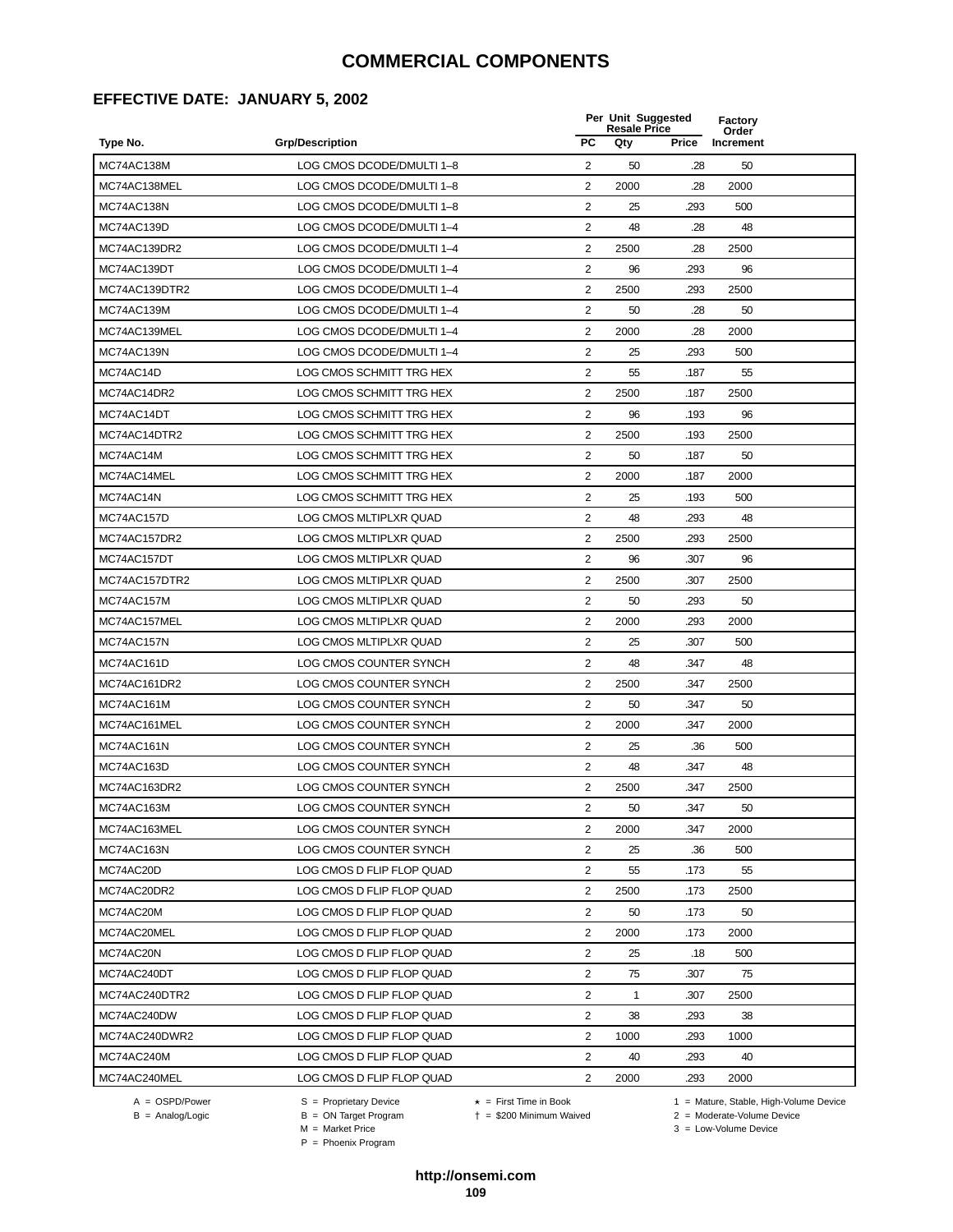# **EFFECTIVE DATE: JANUARY 5, 2002**

|               | <b>Grp/Description</b>    |                | Per Unit Suggested<br><b>Resale Price</b> |              |                    |  |
|---------------|---------------------------|----------------|-------------------------------------------|--------------|--------------------|--|
| Type No.      |                           | <b>PC</b>      | Qty                                       | <b>Price</b> | Order<br>Increment |  |
| MC74AC138M    | LOG CMOS DCODE/DMULTI 1-8 | 2              | 50                                        | .28          | 50                 |  |
| MC74AC138MEL  | LOG CMOS DCODE/DMULTI 1-8 | $\overline{2}$ | 2000                                      | .28          | 2000               |  |
| MC74AC138N    | LOG CMOS DCODE/DMULTI 1-8 | $\overline{2}$ | 25                                        | .293         | 500                |  |
| MC74AC139D    | LOG CMOS DCODE/DMULTI 1-4 | $\overline{2}$ | 48                                        | .28          | 48                 |  |
| MC74AC139DR2  | LOG CMOS DCODE/DMULTI 1-4 | 2              | 2500                                      | .28          | 2500               |  |
| MC74AC139DT   | LOG CMOS DCODE/DMULTI 1-4 | 2              | 96                                        | .293         | 96                 |  |
| MC74AC139DTR2 | LOG CMOS DCODE/DMULTI 1-4 | $\overline{2}$ | 2500                                      | .293         | 2500               |  |
| MC74AC139M    | LOG CMOS DCODE/DMULTI 1-4 | 2              | 50                                        | .28          | 50                 |  |
| MC74AC139MEL  | LOG CMOS DCODE/DMULTI 1-4 | 2              | 2000                                      | .28          | 2000               |  |
| MC74AC139N    | LOG CMOS DCODE/DMULTI 1-4 | 2              | 25                                        | .293         | 500                |  |
| MC74AC14D     | LOG CMOS SCHMITT TRG HEX  | $\overline{2}$ | 55                                        | .187         | 55                 |  |
| MC74AC14DR2   | LOG CMOS SCHMITT TRG HEX  | $\overline{2}$ | 2500                                      | .187         | 2500               |  |
| MC74AC14DT    | LOG CMOS SCHMITT TRG HEX  | $\overline{2}$ | 96                                        | .193         | 96                 |  |
| MC74AC14DTR2  | LOG CMOS SCHMITT TRG HEX  | $\overline{2}$ | 2500                                      | .193         | 2500               |  |
| MC74AC14M     | LOG CMOS SCHMITT TRG HEX  | 2              | 50                                        | .187         | 50                 |  |
| MC74AC14MEL   | LOG CMOS SCHMITT TRG HEX  | $\overline{2}$ | 2000                                      | .187         | 2000               |  |
| MC74AC14N     | LOG CMOS SCHMITT TRG HEX  | 2              | 25                                        | .193         | 500                |  |
| MC74AC157D    | LOG CMOS MLTIPLXR QUAD    | $\overline{2}$ | 48                                        | .293         | 48                 |  |
| MC74AC157DR2  | LOG CMOS MLTIPLXR QUAD    | $\overline{2}$ | 2500                                      | .293         | 2500               |  |
| MC74AC157DT   | LOG CMOS MLTIPLXR QUAD    | 2              | 96                                        | .307         | 96                 |  |
| MC74AC157DTR2 | LOG CMOS MLTIPLXR QUAD    | $\overline{2}$ | 2500                                      | .307         | 2500               |  |
| MC74AC157M    | LOG CMOS MLTIPLXR QUAD    | $\overline{2}$ | 50                                        | .293         | 50                 |  |
| MC74AC157MEL  | LOG CMOS MLTIPLXR QUAD    | $\overline{2}$ | 2000                                      | .293         | 2000               |  |
| MC74AC157N    | LOG CMOS MLTIPLXR QUAD    | 2              | 25                                        | .307         | 500                |  |
| MC74AC161D    | LOG CMOS COUNTER SYNCH    | $\overline{2}$ | 48                                        | .347         | 48                 |  |
| MC74AC161DR2  | LOG CMOS COUNTER SYNCH    | 2              | 2500                                      | .347         | 2500               |  |
| MC74AC161M    | LOG CMOS COUNTER SYNCH    | $\overline{2}$ | 50                                        | .347         | 50                 |  |
| MC74AC161MEL  | LOG CMOS COUNTER SYNCH    | $\overline{2}$ | 2000                                      | .347         | 2000               |  |
| MC74AC161N    | LOG CMOS COUNTER SYNCH    | 2              | 25                                        | .36          | 500                |  |
| MC74AC163D    | LOG CMOS COUNTER SYNCH    | 2              | 48                                        | .347         | 48                 |  |
| MC74AC163DR2  | LOG CMOS COUNTER SYNCH    | 2              | 2500                                      | .347         | 2500               |  |
| MC74AC163M    | LOG CMOS COUNTER SYNCH    | $\overline{2}$ | 50                                        | .347         | 50                 |  |
| MC74AC163MEL  | LOG CMOS COUNTER SYNCH    | $\overline{2}$ | 2000                                      | .347         | 2000               |  |
| MC74AC163N    | LOG CMOS COUNTER SYNCH    | 2              | 25                                        | .36          | 500                |  |
| MC74AC20D     | LOG CMOS D FLIP FLOP QUAD | 2              | 55                                        | .173         | 55                 |  |
| MC74AC20DR2   | LOG CMOS D FLIP FLOP QUAD | $\overline{2}$ | 2500                                      | .173         | 2500               |  |
| MC74AC20M     | LOG CMOS D FLIP FLOP QUAD | 2              | 50                                        | .173         | 50                 |  |
| MC74AC20MEL   | LOG CMOS D FLIP FLOP QUAD | 2              | 2000                                      | .173         | 2000               |  |
| MC74AC20N     | LOG CMOS D FLIP FLOP QUAD | 2              | 25                                        | .18          | 500                |  |
| MC74AC240DT   | LOG CMOS D FLIP FLOP QUAD | $\overline{2}$ | 75                                        | .307         | 75                 |  |
| MC74AC240DTR2 | LOG CMOS D FLIP FLOP QUAD | $\overline{c}$ | $\mathbf{1}$                              | .307         | 2500               |  |
| MC74AC240DW   | LOG CMOS D FLIP FLOP QUAD | $\overline{2}$ | 38                                        | .293         | 38                 |  |
| MC74AC240DWR2 | LOG CMOS D FLIP FLOP QUAD | $\overline{2}$ | 1000                                      | .293         | 1000               |  |
| MC74AC240M    | LOG CMOS D FLIP FLOP QUAD | $\overline{2}$ | 40                                        | .293         | 40                 |  |
| MC74AC240MEL  | LOG CMOS D FLIP FLOP QUAD | 2              | 2000                                      | .293         | 2000               |  |

A = OSPD/Power S = Proprietary Device<br>
B = Analog/Logic B = ON Target Program<br>
M = Market Price

= \$200 Minimum Waived 2 = Moderate-Volume Device

A = OSPD/Power S = Proprietary Device  $\star$  = First Time in Book 1 = Mature, Stable, High-Volume Device

 $2 =$  Moderate-Volume Device<br> $3 =$  Low-Volume Device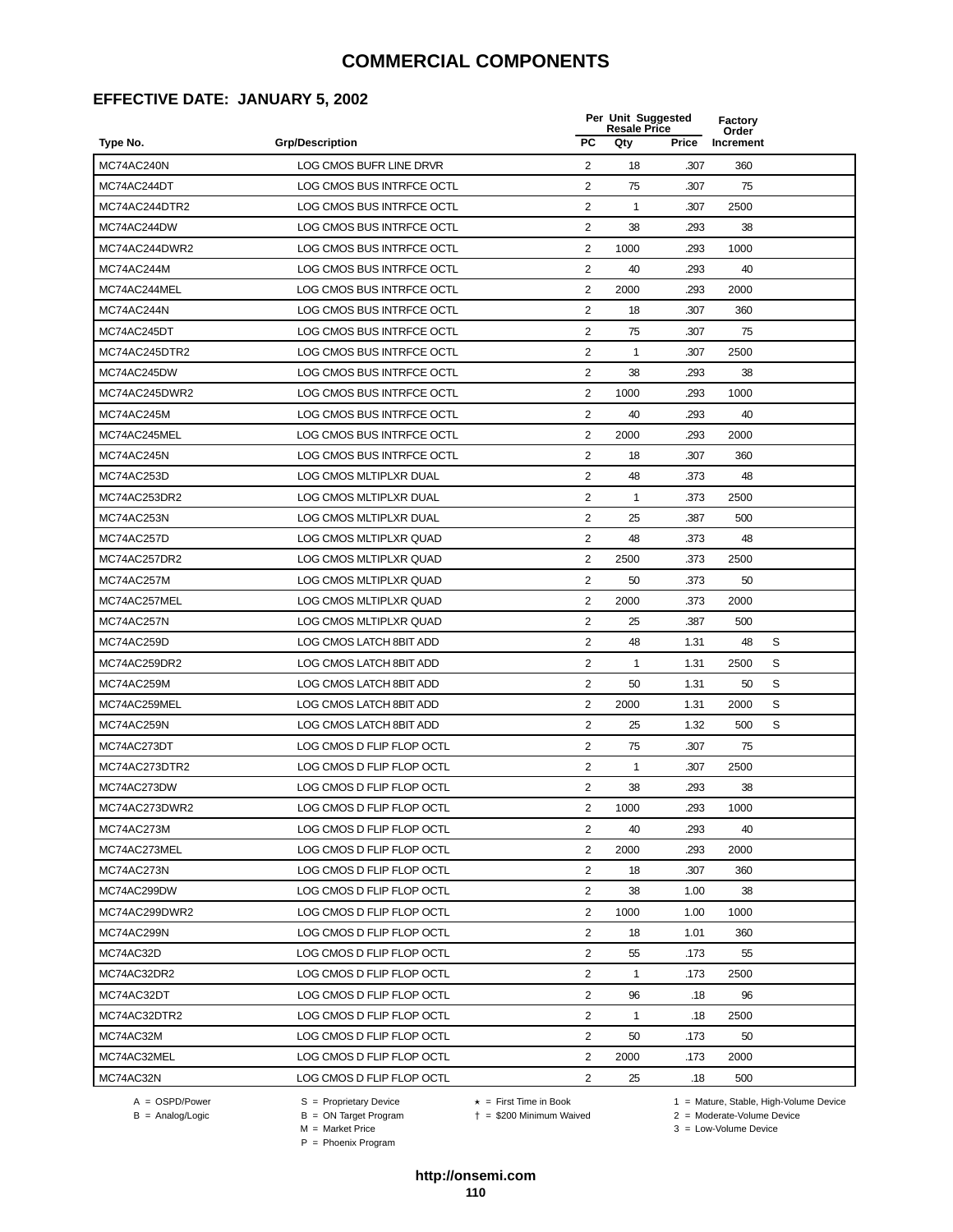#### **EFFECTIVE DATE: JANUARY 5, 2002**

|               |                           | Per Unit Suggested<br><b>Resale Price</b> |              |       | <b>Factory</b><br>Order |   |
|---------------|---------------------------|-------------------------------------------|--------------|-------|-------------------------|---|
| Type No.      | <b>Grp/Description</b>    | <b>PC</b>                                 | Qty          | Price | Increment               |   |
| MC74AC240N    | LOG CMOS BUFR LINE DRVR   | 2                                         | 18           | .307  | 360                     |   |
| MC74AC244DT   | LOG CMOS BUS INTRFCE OCTL | $\overline{2}$                            | 75           | .307  | 75                      |   |
| MC74AC244DTR2 | LOG CMOS BUS INTRFCE OCTL | $\overline{2}$                            | $\mathbf{1}$ | .307  | 2500                    |   |
| MC74AC244DW   | LOG CMOS BUS INTRFCE OCTL | 2                                         | 38           | .293  | 38                      |   |
| MC74AC244DWR2 | LOG CMOS BUS INTRFCE OCTL | $\sqrt{2}$                                | 1000         | .293  | 1000                    |   |
| MC74AC244M    | LOG CMOS BUS INTRFCE OCTL | $\overline{2}$                            | 40           | .293  | 40                      |   |
| MC74AC244MEL  | LOG CMOS BUS INTRFCE OCTL | $\overline{2}$                            | 2000         | .293  | 2000                    |   |
| MC74AC244N    | LOG CMOS BUS INTRFCE OCTL | 2                                         | 18           | .307  | 360                     |   |
| MC74AC245DT   | LOG CMOS BUS INTRFCE OCTL | $\overline{2}$                            | 75           | .307  | 75                      |   |
| MC74AC245DTR2 | LOG CMOS BUS INTRFCE OCTL | 2                                         | $\mathbf{1}$ | .307  | 2500                    |   |
| MC74AC245DW   | LOG CMOS BUS INTRFCE OCTL | 2                                         | 38           | .293  | 38                      |   |
| MC74AC245DWR2 | LOG CMOS BUS INTRFCE OCTL | $\overline{2}$                            | 1000         | .293  | 1000                    |   |
| MC74AC245M    | LOG CMOS BUS INTRFCE OCTL | 2                                         | 40           | .293  | 40                      |   |
| MC74AC245MEL  | LOG CMOS BUS INTRFCE OCTL | $\sqrt{2}$                                | 2000         | .293  | 2000                    |   |
| MC74AC245N    | LOG CMOS BUS INTRFCE OCTL | 2                                         | 18           | .307  | 360                     |   |
| MC74AC253D    | LOG CMOS MLTIPLXR DUAL    | $\overline{2}$                            | 48           | .373  | 48                      |   |
| MC74AC253DR2  | LOG CMOS MLTIPLXR DUAL    | 2                                         | $\mathbf{1}$ | .373  | 2500                    |   |
| MC74AC253N    | LOG CMOS MLTIPLXR DUAL    | 2                                         | 25           | .387  | 500                     |   |
| MC74AC257D    | LOG CMOS MLTIPLXR QUAD    | $\overline{2}$                            | 48           | .373  | 48                      |   |
| MC74AC257DR2  | LOG CMOS MLTIPLXR QUAD    | $\overline{2}$                            | 2500         | .373  | 2500                    |   |
| MC74AC257M    | LOG CMOS MLTIPLXR QUAD    | $\overline{2}$                            | 50           | .373  | 50                      |   |
| MC74AC257MEL  | LOG CMOS MLTIPLXR QUAD    | $\overline{2}$                            | 2000         | .373  | 2000                    |   |
| MC74AC257N    | LOG CMOS MLTIPLXR QUAD    | $\overline{2}$                            | 25           | .387  | 500                     |   |
| MC74AC259D    | LOG CMOS LATCH 8BIT ADD   | $\overline{2}$                            | 48           | 1.31  | 48                      | S |
| MC74AC259DR2  | LOG CMOS LATCH 8BIT ADD   | $\overline{2}$                            | 1            | 1.31  | 2500                    | S |
| MC74AC259M    | LOG CMOS LATCH 8BIT ADD   | $\overline{2}$                            | 50           | 1.31  | 50                      | S |
| MC74AC259MEL  | LOG CMOS LATCH 8BIT ADD   | 2                                         | 2000         | 1.31  | 2000                    | S |
| MC74AC259N    | LOG CMOS LATCH 8BIT ADD   | 2                                         | 25           | 1.32  | 500                     | S |
| MC74AC273DT   | LOG CMOS D FLIP FLOP OCTL | 2                                         | 75           | .307  | 75                      |   |
| MC74AC273DTR2 | LOG CMOS D FLIP FLOP OCTL | $\overline{2}$                            | 1            | .307  | 2500                    |   |
| MC74AC273DW   | LOG CMOS D FLIP FLOP OCTL | $\overline{2}$                            | 38           | .293  | 38                      |   |
| MC74AC273DWR2 | LOG CMOS D FLIP FLOP OCTL | 2                                         | 1000         | 293   | 1000                    |   |
| MC74AC273M    | LOG CMOS D FLIP FLOP OCTL | 2                                         | 40           | .293  | 40                      |   |
| MC74AC273MEL  | LOG CMOS D FLIP FLOP OCTL | 2                                         | 2000         | .293  | 2000                    |   |
| MC74AC273N    | LOG CMOS D FLIP FLOP OCTL | $\overline{2}$                            | 18           | .307  | 360                     |   |
| MC74AC299DW   | LOG CMOS D FLIP FLOP OCTL | $\overline{2}$                            | 38           | 1.00  | 38                      |   |
| MC74AC299DWR2 | LOG CMOS D FLIP FLOP OCTL | $\overline{2}$                            | 1000         | 1.00  | 1000                    |   |
| MC74AC299N    | LOG CMOS D FLIP FLOP OCTL | 2                                         | 18           | 1.01  | 360                     |   |
| MC74AC32D     | LOG CMOS D FLIP FLOP OCTL | $\overline{2}$                            | 55           | .173  | 55                      |   |
| MC74AC32DR2   | LOG CMOS D FLIP FLOP OCTL | $\overline{2}$                            | $\mathbf{1}$ | .173  | 2500                    |   |
| MC74AC32DT    | LOG CMOS D FLIP FLOP OCTL | 2                                         | 96           | .18   | 96                      |   |
| MC74AC32DTR2  | LOG CMOS D FLIP FLOP OCTL | 2                                         | $\mathbf{1}$ | .18   | 2500                    |   |
| MC74AC32M     | LOG CMOS D FLIP FLOP OCTL | 2                                         | 50           | .173  | 50                      |   |
| MC74AC32MEL   | LOG CMOS D FLIP FLOP OCTL | $\overline{2}$                            | 2000         | .173  | 2000                    |   |
| MC74AC32N     | LOG CMOS D FLIP FLOP OCTL | $\overline{2}$                            | 25           | .18   | 500                     |   |
|               |                           |                                           |              |       |                         |   |

 $B = \text{Analog/Logic}$ <br>B = ON Target Program<br> $M = \text{Market Price}$ 

A = OSPD/Power S = Proprietary Device  $\star$  = First Time in Book 1 = Mature, Stable, High-Volume Device

 = \$200 Minimum Waived 2 = Moderate-Volume Device  $3 =$  Low-Volume Device

P = Phoenix Program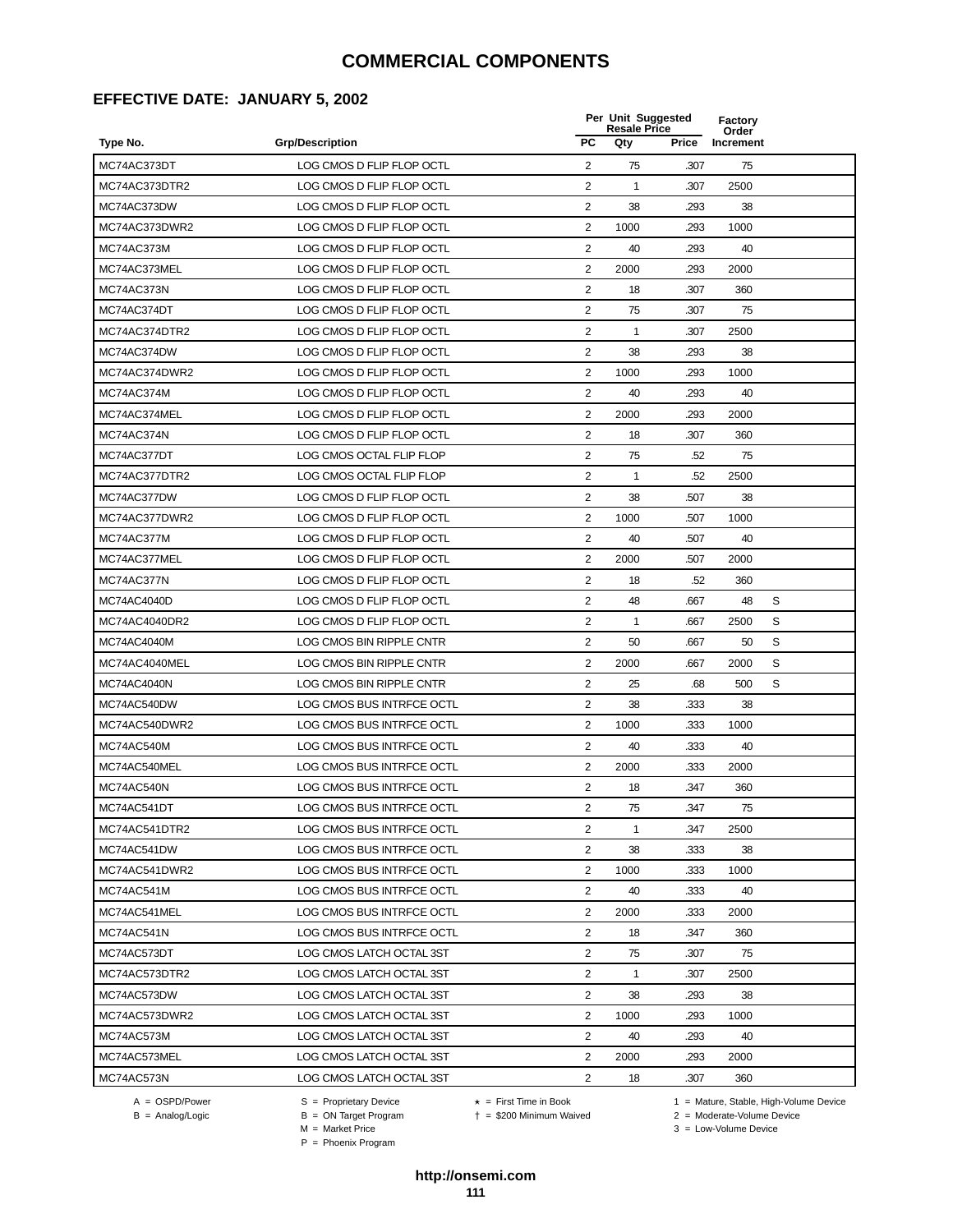#### **EFFECTIVE DATE: JANUARY 5, 2002**

|               |                           | Per Unit Suggested<br><b>Resale Price</b> |              |       | <b>Factory</b><br>Order |   |
|---------------|---------------------------|-------------------------------------------|--------------|-------|-------------------------|---|
| Type No.      | <b>Grp/Description</b>    | <b>PC</b>                                 | Qty          | Price | Increment               |   |
| MC74AC373DT   | LOG CMOS D FLIP FLOP OCTL | 2                                         | 75           | .307  | 75                      |   |
| MC74AC373DTR2 | LOG CMOS D FLIP FLOP OCTL | 2                                         | $\mathbf{1}$ | .307  | 2500                    |   |
| MC74AC373DW   | LOG CMOS D FLIP FLOP OCTL | 2                                         | 38           | .293  | 38                      |   |
| MC74AC373DWR2 | LOG CMOS D FLIP FLOP OCTL | 2                                         | 1000         | .293  | 1000                    |   |
| MC74AC373M    | LOG CMOS D FLIP FLOP OCTL | $\overline{2}$                            | 40           | .293  | 40                      |   |
| MC74AC373MEL  | LOG CMOS D FLIP FLOP OCTL | 2                                         | 2000         | .293  | 2000                    |   |
| MC74AC373N    | LOG CMOS D FLIP FLOP OCTL | 2                                         | 18           | .307  | 360                     |   |
| MC74AC374DT   | LOG CMOS D FLIP FLOP OCTL | 2                                         | 75           | .307  | 75                      |   |
| MC74AC374DTR2 | LOG CMOS D FLIP FLOP OCTL | 2                                         | 1            | .307  | 2500                    |   |
| MC74AC374DW   | LOG CMOS D FLIP FLOP OCTL | 2                                         | 38           | .293  | 38                      |   |
| MC74AC374DWR2 | LOG CMOS D FLIP FLOP OCTL | 2                                         | 1000         | .293  | 1000                    |   |
| MC74AC374M    | LOG CMOS D FLIP FLOP OCTL | $\overline{2}$                            | 40           | .293  | 40                      |   |
| MC74AC374MEL  | LOG CMOS D FLIP FLOP OCTL | $\overline{2}$                            | 2000         | .293  | 2000                    |   |
| MC74AC374N    | LOG CMOS D FLIP FLOP OCTL | $\overline{2}$                            | 18           | .307  | 360                     |   |
| MC74AC377DT   | LOG CMOS OCTAL FLIP FLOP  | 2                                         | 75           | .52   | 75                      |   |
| MC74AC377DTR2 | LOG CMOS OCTAL FLIP FLOP  | $\overline{2}$                            | 1            | .52   | 2500                    |   |
| MC74AC377DW   | LOG CMOS D FLIP FLOP OCTL | 2                                         | 38           | .507  | 38                      |   |
| MC74AC377DWR2 | LOG CMOS D FLIP FLOP OCTL | 2                                         | 1000         | .507  | 1000                    |   |
| MC74AC377M    | LOG CMOS D FLIP FLOP OCTL | 2                                         | 40           | .507  | 40                      |   |
| MC74AC377MEL  | LOG CMOS D FLIP FLOP OCTL | $\overline{2}$                            | 2000         | .507  | 2000                    |   |
| MC74AC377N    | LOG CMOS D FLIP FLOP OCTL | 2                                         | 18           | .52   | 360                     |   |
| MC74AC4040D   | LOG CMOS D FLIP FLOP OCTL | 2                                         | 48           | .667  | 48                      | S |
| MC74AC4040DR2 | LOG CMOS D FLIP FLOP OCTL | 2                                         | 1            | .667  | 2500                    | S |
| MC74AC4040M   | LOG CMOS BIN RIPPLE CNTR  | 2                                         | 50           | .667  | 50                      | S |
| MC74AC4040MEL | LOG CMOS BIN RIPPLE CNTR  | $\overline{2}$                            | 2000         | .667  | 2000                    | S |
| MC74AC4040N   | LOG CMOS BIN RIPPLE CNTR  | 2                                         | 25           | .68   | 500                     | S |
| MC74AC540DW   | LOG CMOS BUS INTRFCE OCTL | $\overline{2}$                            | 38           | .333  | 38                      |   |
| MC74AC540DWR2 | LOG CMOS BUS INTRFCE OCTL | $\overline{2}$                            | 1000         | .333  | 1000                    |   |
| MC74AC540M    | LOG CMOS BUS INTRFCE OCTL | 2                                         | 40           | .333  | 40                      |   |
| MC74AC540MEL  | LOG CMOS BUS INTRFCE OCTL | $\overline{2}$                            | 2000         | .333  | 2000                    |   |
| MC74AC540N    | LOG CMOS BUS INTRFCE OCTL | 2                                         | 18           | .347  | 360                     |   |
| MC74AC541DT   | LOG CMOS BUS INTRFCE OCTL | 2                                         | 75           | 347   | 75                      |   |
| MC74AC541DTR2 | LOG CMOS BUS INTRFCE OCTL | 2                                         | 1            | .347  | 2500                    |   |
| MC74AC541DW   | LOG CMOS BUS INTRFCE OCTL | $\overline{2}$                            | 38           | .333  | 38                      |   |
| MC74AC541DWR2 | LOG CMOS BUS INTRFCE OCTL | 2                                         | 1000         | .333  | 1000                    |   |
| MC74AC541M    | LOG CMOS BUS INTRFCE OCTL | $\overline{2}$                            | 40           | .333  | 40                      |   |
| MC74AC541MEL  | LOG CMOS BUS INTRFCE OCTL | 2                                         | 2000         | .333  | 2000                    |   |
| MC74AC541N    | LOG CMOS BUS INTRFCE OCTL | 2                                         | 18           | .347  | 360                     |   |
| MC74AC573DT   | LOG CMOS LATCH OCTAL 3ST  | $\overline{2}$                            | 75           | .307  | 75                      |   |
| MC74AC573DTR2 | LOG CMOS LATCH OCTAL 3ST  | 2                                         | $\mathbf{1}$ | .307  | 2500                    |   |
| MC74AC573DW   | LOG CMOS LATCH OCTAL 3ST  | 2                                         | 38           | .293  | 38                      |   |
| MC74AC573DWR2 | LOG CMOS LATCH OCTAL 3ST  | 2                                         | 1000         | .293  | 1000                    |   |
| MC74AC573M    | LOG CMOS LATCH OCTAL 3ST  | $\overline{2}$                            | 40           | .293  | 40                      |   |
| MC74AC573MEL  | LOG CMOS LATCH OCTAL 3ST  | 2                                         | 2000         | .293  | 2000                    |   |
| MC74AC573N    | LOG CMOS LATCH OCTAL 3ST  | $\overline{2}$                            | 18           | .307  | 360                     |   |
|               |                           |                                           |              |       |                         |   |

-<br>B = ON Target Program<br>M = Market Price

 $A = OBPD/Power$ <br>  $B = ON Target Program$   $A = First Time in Book$   $A = West Theorem 1 = Nature, Stable, High-Volume Device$   $A = Mature, Stable, High-Volume Device$   $A = Mature, Stable, High-Volume Device$   $A = Mature, Table, High-Volume Device$   $A = Mature, Table, High-Volume Device$   $A = Mature, Table, High-Volume Device$   $A = Mature, Table, High-Volume Device$   $A = Mature, Table, High-Volume Device$   $A = Mature, Table, High-Volume Device$   $A = Mature, Table, High-Volume Device$   $A = Mature, Table, High-Volume Device$   $A = Mature, Table, High-Volume Device$   $A = Mature, Table, High-Volume Device$   $A = Mature, Table$ 

 $2 =$  Moderate-Volume Device

 $3 =$  Low-Volume Device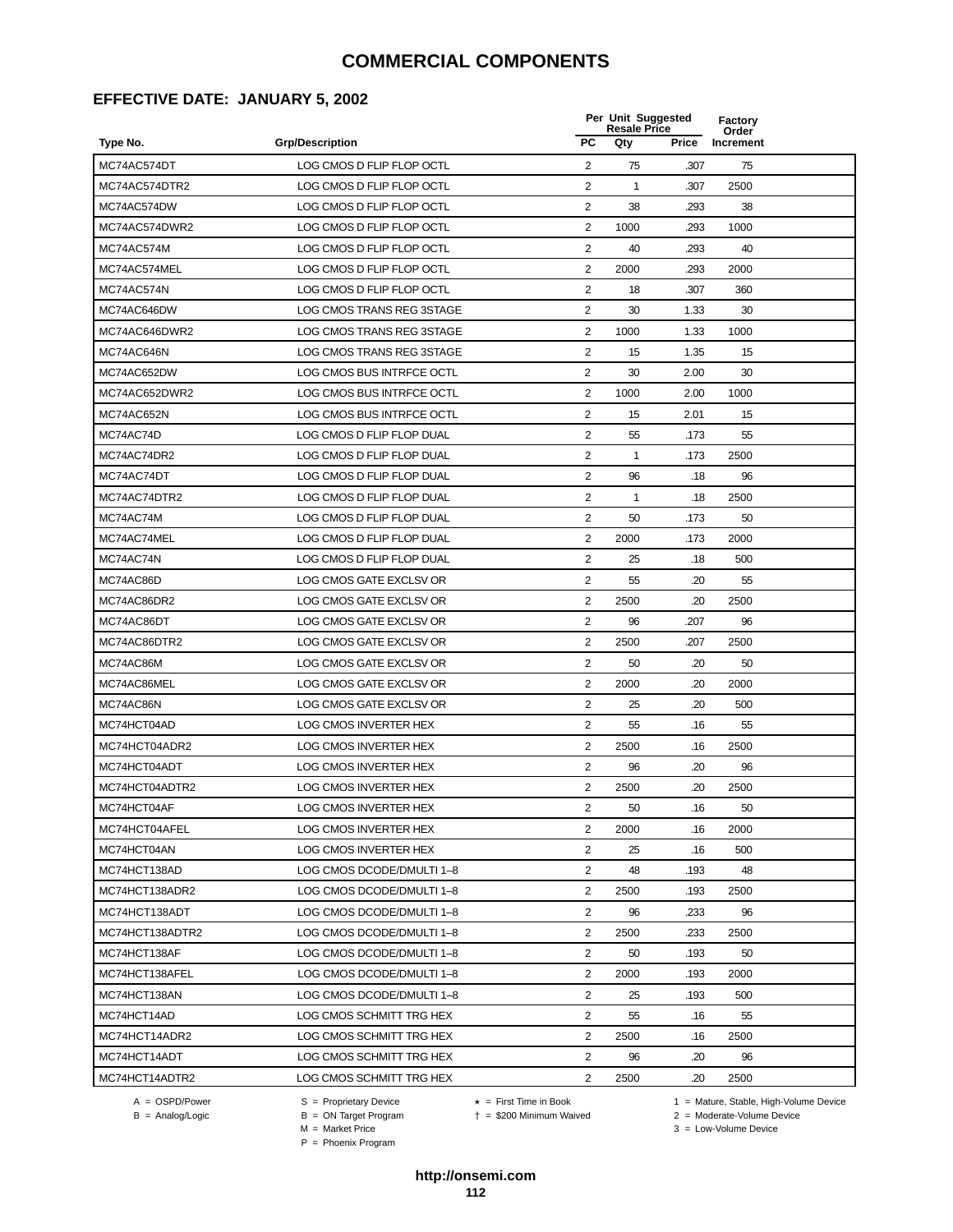#### **EFFECTIVE DATE: JANUARY 5, 2002**

| <b>PC</b><br>Type No.<br><b>Grp/Description</b><br>Qty<br>Price<br>Increment<br>MC74AC574DT<br>LOG CMOS D FLIP FLOP OCTL<br>2<br>75<br>.307<br>75<br>MC74AC574DTR2<br>LOG CMOS D FLIP FLOP OCTL<br>2<br>$\mathbf{1}$<br>.307<br>2500<br>2<br>38<br>38<br>MC74AC574DW<br>LOG CMOS D FLIP FLOP OCTL<br>.293<br>2<br>MC74AC574DWR2<br>LOG CMOS D FLIP FLOP OCTL<br>1000<br>.293<br>1000<br>$\overline{2}$<br>MC74AC574M<br>40<br>LOG CMOS D FLIP FLOP OCTL<br>.293<br>40<br>2<br>LOG CMOS D FLIP FLOP OCTL<br>2000<br>2000<br>MC74AC574MEL<br>.293<br>$\overline{2}$<br>18<br>MC74AC574N<br>LOG CMOS D FLIP FLOP OCTL<br>.307<br>360<br>2<br>30<br>MC74AC646DW<br>LOG CMOS TRANS REG 3STAGE<br>1.33<br>30<br>2<br>MC74AC646DWR2<br>LOG CMOS TRANS REG 3STAGE<br>1000<br>1.33<br>1000<br>MC74AC646N<br>2<br>LOG CMOS TRANS REG 3STAGE<br>15<br>1.35<br>15<br>30<br>MC74AC652DW<br>LOG CMOS BUS INTRFCE OCTL<br>2<br>2.00<br>30<br>$\overline{2}$<br>MC74AC652DWR2<br>LOG CMOS BUS INTRFCE OCTL<br>1000<br>2.00<br>1000<br>$\overline{2}$<br>MC74AC652N<br>LOG CMOS BUS INTRFCE OCTL<br>15<br>2.01<br>15<br>2<br>MC74AC74D<br>55<br>LOG CMOS D FLIP FLOP DUAL<br>.173<br>55<br>MC74AC74DR2<br>LOG CMOS D FLIP FLOP DUAL<br>2<br>$\mathbf{1}$<br>2500<br>.173<br>LOG CMOS D FLIP FLOP DUAL<br>$\overline{2}$<br>96<br>MC74AC74DT<br>.18<br>96<br>MC74AC74DTR2<br>LOG CMOS D FLIP FLOP DUAL<br>2<br>2500<br>$\mathbf{1}$<br>.18<br>MC74AC74M<br>$\overline{2}$<br>LOG CMOS D FLIP FLOP DUAL<br>50<br>.173<br>50<br>MC74AC74MEL<br>$\overline{2}$<br>2000<br>2000<br>LOG CMOS D FLIP FLOP DUAL<br>.173<br>MC74AC74N<br>LOG CMOS D FLIP FLOP DUAL<br>2<br>25<br>.18<br>500<br>$\overline{2}$<br>55<br>.20<br>MC74AC86D<br>LOG CMOS GATE EXCLSV OR<br>55<br>2<br>MC74AC86DR2<br>LOG CMOS GATE EXCLSV OR<br>2500<br>.20<br>2500<br>$\overline{2}$<br>MC74AC86DT<br>LOG CMOS GATE EXCLSV OR<br>96<br>.207<br>96<br>LOG CMOS GATE EXCLSV OR<br>2<br>2500<br>2500<br>MC74AC86DTR2<br>.207<br>$\overline{2}$<br>50<br>.20<br>50<br>MC74AC86M<br>LOG CMOS GATE EXCLSV OR<br>2<br>2000<br>.20<br>2000<br>MC74AC86MEL<br>LOG CMOS GATE EXCLSV OR<br>2<br>MC74AC86N<br>LOG CMOS GATE EXCLSV OR<br>25<br>.20<br>500<br>MC74HCT04AD<br>LOG CMOS INVERTER HEX<br>2<br>55<br>.16<br>55<br>MC74HCT04ADR2<br>LOG CMOS INVERTER HEX<br>2<br>2500<br>.16<br>2500<br>$\overline{2}$<br>96<br>MC74HCT04ADT<br>LOG CMOS INVERTER HEX<br>.20<br>96<br>$\overline{2}$<br>MC74HCT04ADTR2<br><b>LOG CMOS INVERTER HEX</b><br>2500<br>.20<br>2500<br>2<br>MC74HCT04AF<br>50<br>.16<br>50<br>LOG CMOS INVERTER HEX<br>2<br>MC74HCT04AFEL<br>LOG CMOS INVERTER HEX<br>2000<br>2000<br>.16<br>$\overline{2}$<br>25<br>.16<br>MC74HCT04AN<br>LOG CMOS INVERTER HEX<br>500<br>2<br>48<br>48<br>MC74HCT138AD<br>LOG CMOS DCODE/DMULTI 1-8<br>.193<br>2<br>2500<br>.193<br>2500<br>MC74HCT138ADR2<br>LOG CMOS DCODE/DMULTI 1-8<br>2<br>LOG CMOS DCODE/DMULTI 1-8<br>96<br>.233<br>96<br>MC74HCT138ADT<br>$\overline{2}$<br>LOG CMOS DCODE/DMULTI 1-8<br>2500<br>.233<br>2500<br>MC74HCT138ADTR2<br>$\overline{2}$<br>50<br>MC74HCT138AF<br>LOG CMOS DCODE/DMULTI 1-8<br>.193<br>50<br>$\overline{2}$<br>MC74HCT138AFEL<br>2000<br>2000<br>LOG CMOS DCODE/DMULTI 1-8<br>.193<br>$\overline{2}$<br>MC74HCT138AN<br>LOG CMOS DCODE/DMULTI 1-8<br>25<br>.193<br>500<br>2<br>55<br>MC74HCT14AD<br>LOG CMOS SCHMITT TRG HEX<br>.16<br>55<br>2<br>2500<br>.16<br>2500<br>MC74HCT14ADR2<br>LOG CMOS SCHMITT TRG HEX<br>$\overline{2}$<br>96<br>.20<br>MC74HCT14ADT<br>LOG CMOS SCHMITT TRG HEX<br>96<br>$\overline{c}$<br>MC74HCT14ADTR2<br>.20<br>2500<br>LOG CMOS SCHMITT TRG HEX<br>2500 |  | Per Unit Suggested<br><b>Resale Price</b> |  |  | Factory<br>Order |  |
|-------------------------------------------------------------------------------------------------------------------------------------------------------------------------------------------------------------------------------------------------------------------------------------------------------------------------------------------------------------------------------------------------------------------------------------------------------------------------------------------------------------------------------------------------------------------------------------------------------------------------------------------------------------------------------------------------------------------------------------------------------------------------------------------------------------------------------------------------------------------------------------------------------------------------------------------------------------------------------------------------------------------------------------------------------------------------------------------------------------------------------------------------------------------------------------------------------------------------------------------------------------------------------------------------------------------------------------------------------------------------------------------------------------------------------------------------------------------------------------------------------------------------------------------------------------------------------------------------------------------------------------------------------------------------------------------------------------------------------------------------------------------------------------------------------------------------------------------------------------------------------------------------------------------------------------------------------------------------------------------------------------------------------------------------------------------------------------------------------------------------------------------------------------------------------------------------------------------------------------------------------------------------------------------------------------------------------------------------------------------------------------------------------------------------------------------------------------------------------------------------------------------------------------------------------------------------------------------------------------------------------------------------------------------------------------------------------------------------------------------------------------------------------------------------------------------------------------------------------------------------------------------------------------------------------------------------------------------------------------------------------------------------------------------------------------------------------------------------------------------------------------------------------------------------------------------------------------------------------------------------------------------------------------------------------------------------------------------------------------------------------------------------------------------------------------------------------------------------------------------------------------------------------------------------------------------------------------------------------------------------------------------|--|-------------------------------------------|--|--|------------------|--|
|                                                                                                                                                                                                                                                                                                                                                                                                                                                                                                                                                                                                                                                                                                                                                                                                                                                                                                                                                                                                                                                                                                                                                                                                                                                                                                                                                                                                                                                                                                                                                                                                                                                                                                                                                                                                                                                                                                                                                                                                                                                                                                                                                                                                                                                                                                                                                                                                                                                                                                                                                                                                                                                                                                                                                                                                                                                                                                                                                                                                                                                                                                                                                                                                                                                                                                                                                                                                                                                                                                                                                                                                                                           |  |                                           |  |  |                  |  |
|                                                                                                                                                                                                                                                                                                                                                                                                                                                                                                                                                                                                                                                                                                                                                                                                                                                                                                                                                                                                                                                                                                                                                                                                                                                                                                                                                                                                                                                                                                                                                                                                                                                                                                                                                                                                                                                                                                                                                                                                                                                                                                                                                                                                                                                                                                                                                                                                                                                                                                                                                                                                                                                                                                                                                                                                                                                                                                                                                                                                                                                                                                                                                                                                                                                                                                                                                                                                                                                                                                                                                                                                                                           |  |                                           |  |  |                  |  |
|                                                                                                                                                                                                                                                                                                                                                                                                                                                                                                                                                                                                                                                                                                                                                                                                                                                                                                                                                                                                                                                                                                                                                                                                                                                                                                                                                                                                                                                                                                                                                                                                                                                                                                                                                                                                                                                                                                                                                                                                                                                                                                                                                                                                                                                                                                                                                                                                                                                                                                                                                                                                                                                                                                                                                                                                                                                                                                                                                                                                                                                                                                                                                                                                                                                                                                                                                                                                                                                                                                                                                                                                                                           |  |                                           |  |  |                  |  |
|                                                                                                                                                                                                                                                                                                                                                                                                                                                                                                                                                                                                                                                                                                                                                                                                                                                                                                                                                                                                                                                                                                                                                                                                                                                                                                                                                                                                                                                                                                                                                                                                                                                                                                                                                                                                                                                                                                                                                                                                                                                                                                                                                                                                                                                                                                                                                                                                                                                                                                                                                                                                                                                                                                                                                                                                                                                                                                                                                                                                                                                                                                                                                                                                                                                                                                                                                                                                                                                                                                                                                                                                                                           |  |                                           |  |  |                  |  |
|                                                                                                                                                                                                                                                                                                                                                                                                                                                                                                                                                                                                                                                                                                                                                                                                                                                                                                                                                                                                                                                                                                                                                                                                                                                                                                                                                                                                                                                                                                                                                                                                                                                                                                                                                                                                                                                                                                                                                                                                                                                                                                                                                                                                                                                                                                                                                                                                                                                                                                                                                                                                                                                                                                                                                                                                                                                                                                                                                                                                                                                                                                                                                                                                                                                                                                                                                                                                                                                                                                                                                                                                                                           |  |                                           |  |  |                  |  |
|                                                                                                                                                                                                                                                                                                                                                                                                                                                                                                                                                                                                                                                                                                                                                                                                                                                                                                                                                                                                                                                                                                                                                                                                                                                                                                                                                                                                                                                                                                                                                                                                                                                                                                                                                                                                                                                                                                                                                                                                                                                                                                                                                                                                                                                                                                                                                                                                                                                                                                                                                                                                                                                                                                                                                                                                                                                                                                                                                                                                                                                                                                                                                                                                                                                                                                                                                                                                                                                                                                                                                                                                                                           |  |                                           |  |  |                  |  |
|                                                                                                                                                                                                                                                                                                                                                                                                                                                                                                                                                                                                                                                                                                                                                                                                                                                                                                                                                                                                                                                                                                                                                                                                                                                                                                                                                                                                                                                                                                                                                                                                                                                                                                                                                                                                                                                                                                                                                                                                                                                                                                                                                                                                                                                                                                                                                                                                                                                                                                                                                                                                                                                                                                                                                                                                                                                                                                                                                                                                                                                                                                                                                                                                                                                                                                                                                                                                                                                                                                                                                                                                                                           |  |                                           |  |  |                  |  |
|                                                                                                                                                                                                                                                                                                                                                                                                                                                                                                                                                                                                                                                                                                                                                                                                                                                                                                                                                                                                                                                                                                                                                                                                                                                                                                                                                                                                                                                                                                                                                                                                                                                                                                                                                                                                                                                                                                                                                                                                                                                                                                                                                                                                                                                                                                                                                                                                                                                                                                                                                                                                                                                                                                                                                                                                                                                                                                                                                                                                                                                                                                                                                                                                                                                                                                                                                                                                                                                                                                                                                                                                                                           |  |                                           |  |  |                  |  |
|                                                                                                                                                                                                                                                                                                                                                                                                                                                                                                                                                                                                                                                                                                                                                                                                                                                                                                                                                                                                                                                                                                                                                                                                                                                                                                                                                                                                                                                                                                                                                                                                                                                                                                                                                                                                                                                                                                                                                                                                                                                                                                                                                                                                                                                                                                                                                                                                                                                                                                                                                                                                                                                                                                                                                                                                                                                                                                                                                                                                                                                                                                                                                                                                                                                                                                                                                                                                                                                                                                                                                                                                                                           |  |                                           |  |  |                  |  |
|                                                                                                                                                                                                                                                                                                                                                                                                                                                                                                                                                                                                                                                                                                                                                                                                                                                                                                                                                                                                                                                                                                                                                                                                                                                                                                                                                                                                                                                                                                                                                                                                                                                                                                                                                                                                                                                                                                                                                                                                                                                                                                                                                                                                                                                                                                                                                                                                                                                                                                                                                                                                                                                                                                                                                                                                                                                                                                                                                                                                                                                                                                                                                                                                                                                                                                                                                                                                                                                                                                                                                                                                                                           |  |                                           |  |  |                  |  |
|                                                                                                                                                                                                                                                                                                                                                                                                                                                                                                                                                                                                                                                                                                                                                                                                                                                                                                                                                                                                                                                                                                                                                                                                                                                                                                                                                                                                                                                                                                                                                                                                                                                                                                                                                                                                                                                                                                                                                                                                                                                                                                                                                                                                                                                                                                                                                                                                                                                                                                                                                                                                                                                                                                                                                                                                                                                                                                                                                                                                                                                                                                                                                                                                                                                                                                                                                                                                                                                                                                                                                                                                                                           |  |                                           |  |  |                  |  |
|                                                                                                                                                                                                                                                                                                                                                                                                                                                                                                                                                                                                                                                                                                                                                                                                                                                                                                                                                                                                                                                                                                                                                                                                                                                                                                                                                                                                                                                                                                                                                                                                                                                                                                                                                                                                                                                                                                                                                                                                                                                                                                                                                                                                                                                                                                                                                                                                                                                                                                                                                                                                                                                                                                                                                                                                                                                                                                                                                                                                                                                                                                                                                                                                                                                                                                                                                                                                                                                                                                                                                                                                                                           |  |                                           |  |  |                  |  |
|                                                                                                                                                                                                                                                                                                                                                                                                                                                                                                                                                                                                                                                                                                                                                                                                                                                                                                                                                                                                                                                                                                                                                                                                                                                                                                                                                                                                                                                                                                                                                                                                                                                                                                                                                                                                                                                                                                                                                                                                                                                                                                                                                                                                                                                                                                                                                                                                                                                                                                                                                                                                                                                                                                                                                                                                                                                                                                                                                                                                                                                                                                                                                                                                                                                                                                                                                                                                                                                                                                                                                                                                                                           |  |                                           |  |  |                  |  |
|                                                                                                                                                                                                                                                                                                                                                                                                                                                                                                                                                                                                                                                                                                                                                                                                                                                                                                                                                                                                                                                                                                                                                                                                                                                                                                                                                                                                                                                                                                                                                                                                                                                                                                                                                                                                                                                                                                                                                                                                                                                                                                                                                                                                                                                                                                                                                                                                                                                                                                                                                                                                                                                                                                                                                                                                                                                                                                                                                                                                                                                                                                                                                                                                                                                                                                                                                                                                                                                                                                                                                                                                                                           |  |                                           |  |  |                  |  |
|                                                                                                                                                                                                                                                                                                                                                                                                                                                                                                                                                                                                                                                                                                                                                                                                                                                                                                                                                                                                                                                                                                                                                                                                                                                                                                                                                                                                                                                                                                                                                                                                                                                                                                                                                                                                                                                                                                                                                                                                                                                                                                                                                                                                                                                                                                                                                                                                                                                                                                                                                                                                                                                                                                                                                                                                                                                                                                                                                                                                                                                                                                                                                                                                                                                                                                                                                                                                                                                                                                                                                                                                                                           |  |                                           |  |  |                  |  |
|                                                                                                                                                                                                                                                                                                                                                                                                                                                                                                                                                                                                                                                                                                                                                                                                                                                                                                                                                                                                                                                                                                                                                                                                                                                                                                                                                                                                                                                                                                                                                                                                                                                                                                                                                                                                                                                                                                                                                                                                                                                                                                                                                                                                                                                                                                                                                                                                                                                                                                                                                                                                                                                                                                                                                                                                                                                                                                                                                                                                                                                                                                                                                                                                                                                                                                                                                                                                                                                                                                                                                                                                                                           |  |                                           |  |  |                  |  |
|                                                                                                                                                                                                                                                                                                                                                                                                                                                                                                                                                                                                                                                                                                                                                                                                                                                                                                                                                                                                                                                                                                                                                                                                                                                                                                                                                                                                                                                                                                                                                                                                                                                                                                                                                                                                                                                                                                                                                                                                                                                                                                                                                                                                                                                                                                                                                                                                                                                                                                                                                                                                                                                                                                                                                                                                                                                                                                                                                                                                                                                                                                                                                                                                                                                                                                                                                                                                                                                                                                                                                                                                                                           |  |                                           |  |  |                  |  |
|                                                                                                                                                                                                                                                                                                                                                                                                                                                                                                                                                                                                                                                                                                                                                                                                                                                                                                                                                                                                                                                                                                                                                                                                                                                                                                                                                                                                                                                                                                                                                                                                                                                                                                                                                                                                                                                                                                                                                                                                                                                                                                                                                                                                                                                                                                                                                                                                                                                                                                                                                                                                                                                                                                                                                                                                                                                                                                                                                                                                                                                                                                                                                                                                                                                                                                                                                                                                                                                                                                                                                                                                                                           |  |                                           |  |  |                  |  |
|                                                                                                                                                                                                                                                                                                                                                                                                                                                                                                                                                                                                                                                                                                                                                                                                                                                                                                                                                                                                                                                                                                                                                                                                                                                                                                                                                                                                                                                                                                                                                                                                                                                                                                                                                                                                                                                                                                                                                                                                                                                                                                                                                                                                                                                                                                                                                                                                                                                                                                                                                                                                                                                                                                                                                                                                                                                                                                                                                                                                                                                                                                                                                                                                                                                                                                                                                                                                                                                                                                                                                                                                                                           |  |                                           |  |  |                  |  |
|                                                                                                                                                                                                                                                                                                                                                                                                                                                                                                                                                                                                                                                                                                                                                                                                                                                                                                                                                                                                                                                                                                                                                                                                                                                                                                                                                                                                                                                                                                                                                                                                                                                                                                                                                                                                                                                                                                                                                                                                                                                                                                                                                                                                                                                                                                                                                                                                                                                                                                                                                                                                                                                                                                                                                                                                                                                                                                                                                                                                                                                                                                                                                                                                                                                                                                                                                                                                                                                                                                                                                                                                                                           |  |                                           |  |  |                  |  |
|                                                                                                                                                                                                                                                                                                                                                                                                                                                                                                                                                                                                                                                                                                                                                                                                                                                                                                                                                                                                                                                                                                                                                                                                                                                                                                                                                                                                                                                                                                                                                                                                                                                                                                                                                                                                                                                                                                                                                                                                                                                                                                                                                                                                                                                                                                                                                                                                                                                                                                                                                                                                                                                                                                                                                                                                                                                                                                                                                                                                                                                                                                                                                                                                                                                                                                                                                                                                                                                                                                                                                                                                                                           |  |                                           |  |  |                  |  |
|                                                                                                                                                                                                                                                                                                                                                                                                                                                                                                                                                                                                                                                                                                                                                                                                                                                                                                                                                                                                                                                                                                                                                                                                                                                                                                                                                                                                                                                                                                                                                                                                                                                                                                                                                                                                                                                                                                                                                                                                                                                                                                                                                                                                                                                                                                                                                                                                                                                                                                                                                                                                                                                                                                                                                                                                                                                                                                                                                                                                                                                                                                                                                                                                                                                                                                                                                                                                                                                                                                                                                                                                                                           |  |                                           |  |  |                  |  |
|                                                                                                                                                                                                                                                                                                                                                                                                                                                                                                                                                                                                                                                                                                                                                                                                                                                                                                                                                                                                                                                                                                                                                                                                                                                                                                                                                                                                                                                                                                                                                                                                                                                                                                                                                                                                                                                                                                                                                                                                                                                                                                                                                                                                                                                                                                                                                                                                                                                                                                                                                                                                                                                                                                                                                                                                                                                                                                                                                                                                                                                                                                                                                                                                                                                                                                                                                                                                                                                                                                                                                                                                                                           |  |                                           |  |  |                  |  |
|                                                                                                                                                                                                                                                                                                                                                                                                                                                                                                                                                                                                                                                                                                                                                                                                                                                                                                                                                                                                                                                                                                                                                                                                                                                                                                                                                                                                                                                                                                                                                                                                                                                                                                                                                                                                                                                                                                                                                                                                                                                                                                                                                                                                                                                                                                                                                                                                                                                                                                                                                                                                                                                                                                                                                                                                                                                                                                                                                                                                                                                                                                                                                                                                                                                                                                                                                                                                                                                                                                                                                                                                                                           |  |                                           |  |  |                  |  |
|                                                                                                                                                                                                                                                                                                                                                                                                                                                                                                                                                                                                                                                                                                                                                                                                                                                                                                                                                                                                                                                                                                                                                                                                                                                                                                                                                                                                                                                                                                                                                                                                                                                                                                                                                                                                                                                                                                                                                                                                                                                                                                                                                                                                                                                                                                                                                                                                                                                                                                                                                                                                                                                                                                                                                                                                                                                                                                                                                                                                                                                                                                                                                                                                                                                                                                                                                                                                                                                                                                                                                                                                                                           |  |                                           |  |  |                  |  |
|                                                                                                                                                                                                                                                                                                                                                                                                                                                                                                                                                                                                                                                                                                                                                                                                                                                                                                                                                                                                                                                                                                                                                                                                                                                                                                                                                                                                                                                                                                                                                                                                                                                                                                                                                                                                                                                                                                                                                                                                                                                                                                                                                                                                                                                                                                                                                                                                                                                                                                                                                                                                                                                                                                                                                                                                                                                                                                                                                                                                                                                                                                                                                                                                                                                                                                                                                                                                                                                                                                                                                                                                                                           |  |                                           |  |  |                  |  |
|                                                                                                                                                                                                                                                                                                                                                                                                                                                                                                                                                                                                                                                                                                                                                                                                                                                                                                                                                                                                                                                                                                                                                                                                                                                                                                                                                                                                                                                                                                                                                                                                                                                                                                                                                                                                                                                                                                                                                                                                                                                                                                                                                                                                                                                                                                                                                                                                                                                                                                                                                                                                                                                                                                                                                                                                                                                                                                                                                                                                                                                                                                                                                                                                                                                                                                                                                                                                                                                                                                                                                                                                                                           |  |                                           |  |  |                  |  |
|                                                                                                                                                                                                                                                                                                                                                                                                                                                                                                                                                                                                                                                                                                                                                                                                                                                                                                                                                                                                                                                                                                                                                                                                                                                                                                                                                                                                                                                                                                                                                                                                                                                                                                                                                                                                                                                                                                                                                                                                                                                                                                                                                                                                                                                                                                                                                                                                                                                                                                                                                                                                                                                                                                                                                                                                                                                                                                                                                                                                                                                                                                                                                                                                                                                                                                                                                                                                                                                                                                                                                                                                                                           |  |                                           |  |  |                  |  |
|                                                                                                                                                                                                                                                                                                                                                                                                                                                                                                                                                                                                                                                                                                                                                                                                                                                                                                                                                                                                                                                                                                                                                                                                                                                                                                                                                                                                                                                                                                                                                                                                                                                                                                                                                                                                                                                                                                                                                                                                                                                                                                                                                                                                                                                                                                                                                                                                                                                                                                                                                                                                                                                                                                                                                                                                                                                                                                                                                                                                                                                                                                                                                                                                                                                                                                                                                                                                                                                                                                                                                                                                                                           |  |                                           |  |  |                  |  |
|                                                                                                                                                                                                                                                                                                                                                                                                                                                                                                                                                                                                                                                                                                                                                                                                                                                                                                                                                                                                                                                                                                                                                                                                                                                                                                                                                                                                                                                                                                                                                                                                                                                                                                                                                                                                                                                                                                                                                                                                                                                                                                                                                                                                                                                                                                                                                                                                                                                                                                                                                                                                                                                                                                                                                                                                                                                                                                                                                                                                                                                                                                                                                                                                                                                                                                                                                                                                                                                                                                                                                                                                                                           |  |                                           |  |  |                  |  |
|                                                                                                                                                                                                                                                                                                                                                                                                                                                                                                                                                                                                                                                                                                                                                                                                                                                                                                                                                                                                                                                                                                                                                                                                                                                                                                                                                                                                                                                                                                                                                                                                                                                                                                                                                                                                                                                                                                                                                                                                                                                                                                                                                                                                                                                                                                                                                                                                                                                                                                                                                                                                                                                                                                                                                                                                                                                                                                                                                                                                                                                                                                                                                                                                                                                                                                                                                                                                                                                                                                                                                                                                                                           |  |                                           |  |  |                  |  |
|                                                                                                                                                                                                                                                                                                                                                                                                                                                                                                                                                                                                                                                                                                                                                                                                                                                                                                                                                                                                                                                                                                                                                                                                                                                                                                                                                                                                                                                                                                                                                                                                                                                                                                                                                                                                                                                                                                                                                                                                                                                                                                                                                                                                                                                                                                                                                                                                                                                                                                                                                                                                                                                                                                                                                                                                                                                                                                                                                                                                                                                                                                                                                                                                                                                                                                                                                                                                                                                                                                                                                                                                                                           |  |                                           |  |  |                  |  |
|                                                                                                                                                                                                                                                                                                                                                                                                                                                                                                                                                                                                                                                                                                                                                                                                                                                                                                                                                                                                                                                                                                                                                                                                                                                                                                                                                                                                                                                                                                                                                                                                                                                                                                                                                                                                                                                                                                                                                                                                                                                                                                                                                                                                                                                                                                                                                                                                                                                                                                                                                                                                                                                                                                                                                                                                                                                                                                                                                                                                                                                                                                                                                                                                                                                                                                                                                                                                                                                                                                                                                                                                                                           |  |                                           |  |  |                  |  |
|                                                                                                                                                                                                                                                                                                                                                                                                                                                                                                                                                                                                                                                                                                                                                                                                                                                                                                                                                                                                                                                                                                                                                                                                                                                                                                                                                                                                                                                                                                                                                                                                                                                                                                                                                                                                                                                                                                                                                                                                                                                                                                                                                                                                                                                                                                                                                                                                                                                                                                                                                                                                                                                                                                                                                                                                                                                                                                                                                                                                                                                                                                                                                                                                                                                                                                                                                                                                                                                                                                                                                                                                                                           |  |                                           |  |  |                  |  |
|                                                                                                                                                                                                                                                                                                                                                                                                                                                                                                                                                                                                                                                                                                                                                                                                                                                                                                                                                                                                                                                                                                                                                                                                                                                                                                                                                                                                                                                                                                                                                                                                                                                                                                                                                                                                                                                                                                                                                                                                                                                                                                                                                                                                                                                                                                                                                                                                                                                                                                                                                                                                                                                                                                                                                                                                                                                                                                                                                                                                                                                                                                                                                                                                                                                                                                                                                                                                                                                                                                                                                                                                                                           |  |                                           |  |  |                  |  |
|                                                                                                                                                                                                                                                                                                                                                                                                                                                                                                                                                                                                                                                                                                                                                                                                                                                                                                                                                                                                                                                                                                                                                                                                                                                                                                                                                                                                                                                                                                                                                                                                                                                                                                                                                                                                                                                                                                                                                                                                                                                                                                                                                                                                                                                                                                                                                                                                                                                                                                                                                                                                                                                                                                                                                                                                                                                                                                                                                                                                                                                                                                                                                                                                                                                                                                                                                                                                                                                                                                                                                                                                                                           |  |                                           |  |  |                  |  |
|                                                                                                                                                                                                                                                                                                                                                                                                                                                                                                                                                                                                                                                                                                                                                                                                                                                                                                                                                                                                                                                                                                                                                                                                                                                                                                                                                                                                                                                                                                                                                                                                                                                                                                                                                                                                                                                                                                                                                                                                                                                                                                                                                                                                                                                                                                                                                                                                                                                                                                                                                                                                                                                                                                                                                                                                                                                                                                                                                                                                                                                                                                                                                                                                                                                                                                                                                                                                                                                                                                                                                                                                                                           |  |                                           |  |  |                  |  |
|                                                                                                                                                                                                                                                                                                                                                                                                                                                                                                                                                                                                                                                                                                                                                                                                                                                                                                                                                                                                                                                                                                                                                                                                                                                                                                                                                                                                                                                                                                                                                                                                                                                                                                                                                                                                                                                                                                                                                                                                                                                                                                                                                                                                                                                                                                                                                                                                                                                                                                                                                                                                                                                                                                                                                                                                                                                                                                                                                                                                                                                                                                                                                                                                                                                                                                                                                                                                                                                                                                                                                                                                                                           |  |                                           |  |  |                  |  |
|                                                                                                                                                                                                                                                                                                                                                                                                                                                                                                                                                                                                                                                                                                                                                                                                                                                                                                                                                                                                                                                                                                                                                                                                                                                                                                                                                                                                                                                                                                                                                                                                                                                                                                                                                                                                                                                                                                                                                                                                                                                                                                                                                                                                                                                                                                                                                                                                                                                                                                                                                                                                                                                                                                                                                                                                                                                                                                                                                                                                                                                                                                                                                                                                                                                                                                                                                                                                                                                                                                                                                                                                                                           |  |                                           |  |  |                  |  |
|                                                                                                                                                                                                                                                                                                                                                                                                                                                                                                                                                                                                                                                                                                                                                                                                                                                                                                                                                                                                                                                                                                                                                                                                                                                                                                                                                                                                                                                                                                                                                                                                                                                                                                                                                                                                                                                                                                                                                                                                                                                                                                                                                                                                                                                                                                                                                                                                                                                                                                                                                                                                                                                                                                                                                                                                                                                                                                                                                                                                                                                                                                                                                                                                                                                                                                                                                                                                                                                                                                                                                                                                                                           |  |                                           |  |  |                  |  |
|                                                                                                                                                                                                                                                                                                                                                                                                                                                                                                                                                                                                                                                                                                                                                                                                                                                                                                                                                                                                                                                                                                                                                                                                                                                                                                                                                                                                                                                                                                                                                                                                                                                                                                                                                                                                                                                                                                                                                                                                                                                                                                                                                                                                                                                                                                                                                                                                                                                                                                                                                                                                                                                                                                                                                                                                                                                                                                                                                                                                                                                                                                                                                                                                                                                                                                                                                                                                                                                                                                                                                                                                                                           |  |                                           |  |  |                  |  |
|                                                                                                                                                                                                                                                                                                                                                                                                                                                                                                                                                                                                                                                                                                                                                                                                                                                                                                                                                                                                                                                                                                                                                                                                                                                                                                                                                                                                                                                                                                                                                                                                                                                                                                                                                                                                                                                                                                                                                                                                                                                                                                                                                                                                                                                                                                                                                                                                                                                                                                                                                                                                                                                                                                                                                                                                                                                                                                                                                                                                                                                                                                                                                                                                                                                                                                                                                                                                                                                                                                                                                                                                                                           |  |                                           |  |  |                  |  |
|                                                                                                                                                                                                                                                                                                                                                                                                                                                                                                                                                                                                                                                                                                                                                                                                                                                                                                                                                                                                                                                                                                                                                                                                                                                                                                                                                                                                                                                                                                                                                                                                                                                                                                                                                                                                                                                                                                                                                                                                                                                                                                                                                                                                                                                                                                                                                                                                                                                                                                                                                                                                                                                                                                                                                                                                                                                                                                                                                                                                                                                                                                                                                                                                                                                                                                                                                                                                                                                                                                                                                                                                                                           |  |                                           |  |  |                  |  |
|                                                                                                                                                                                                                                                                                                                                                                                                                                                                                                                                                                                                                                                                                                                                                                                                                                                                                                                                                                                                                                                                                                                                                                                                                                                                                                                                                                                                                                                                                                                                                                                                                                                                                                                                                                                                                                                                                                                                                                                                                                                                                                                                                                                                                                                                                                                                                                                                                                                                                                                                                                                                                                                                                                                                                                                                                                                                                                                                                                                                                                                                                                                                                                                                                                                                                                                                                                                                                                                                                                                                                                                                                                           |  |                                           |  |  |                  |  |
|                                                                                                                                                                                                                                                                                                                                                                                                                                                                                                                                                                                                                                                                                                                                                                                                                                                                                                                                                                                                                                                                                                                                                                                                                                                                                                                                                                                                                                                                                                                                                                                                                                                                                                                                                                                                                                                                                                                                                                                                                                                                                                                                                                                                                                                                                                                                                                                                                                                                                                                                                                                                                                                                                                                                                                                                                                                                                                                                                                                                                                                                                                                                                                                                                                                                                                                                                                                                                                                                                                                                                                                                                                           |  |                                           |  |  |                  |  |
|                                                                                                                                                                                                                                                                                                                                                                                                                                                                                                                                                                                                                                                                                                                                                                                                                                                                                                                                                                                                                                                                                                                                                                                                                                                                                                                                                                                                                                                                                                                                                                                                                                                                                                                                                                                                                                                                                                                                                                                                                                                                                                                                                                                                                                                                                                                                                                                                                                                                                                                                                                                                                                                                                                                                                                                                                                                                                                                                                                                                                                                                                                                                                                                                                                                                                                                                                                                                                                                                                                                                                                                                                                           |  |                                           |  |  |                  |  |

 $B = \text{Analog/Logic}$ <br>B = ON Target Program<br> $M = \text{Market Price}$ 

A = OSPD/Power S = Proprietary Device  $\star$  = First Time in Book 1 = Mature, Stable, High-Volume Device

 = \$200 Minimum Waived 2 = Moderate-Volume Device  $3 =$  Low-Volume Device

P = Phoenix Program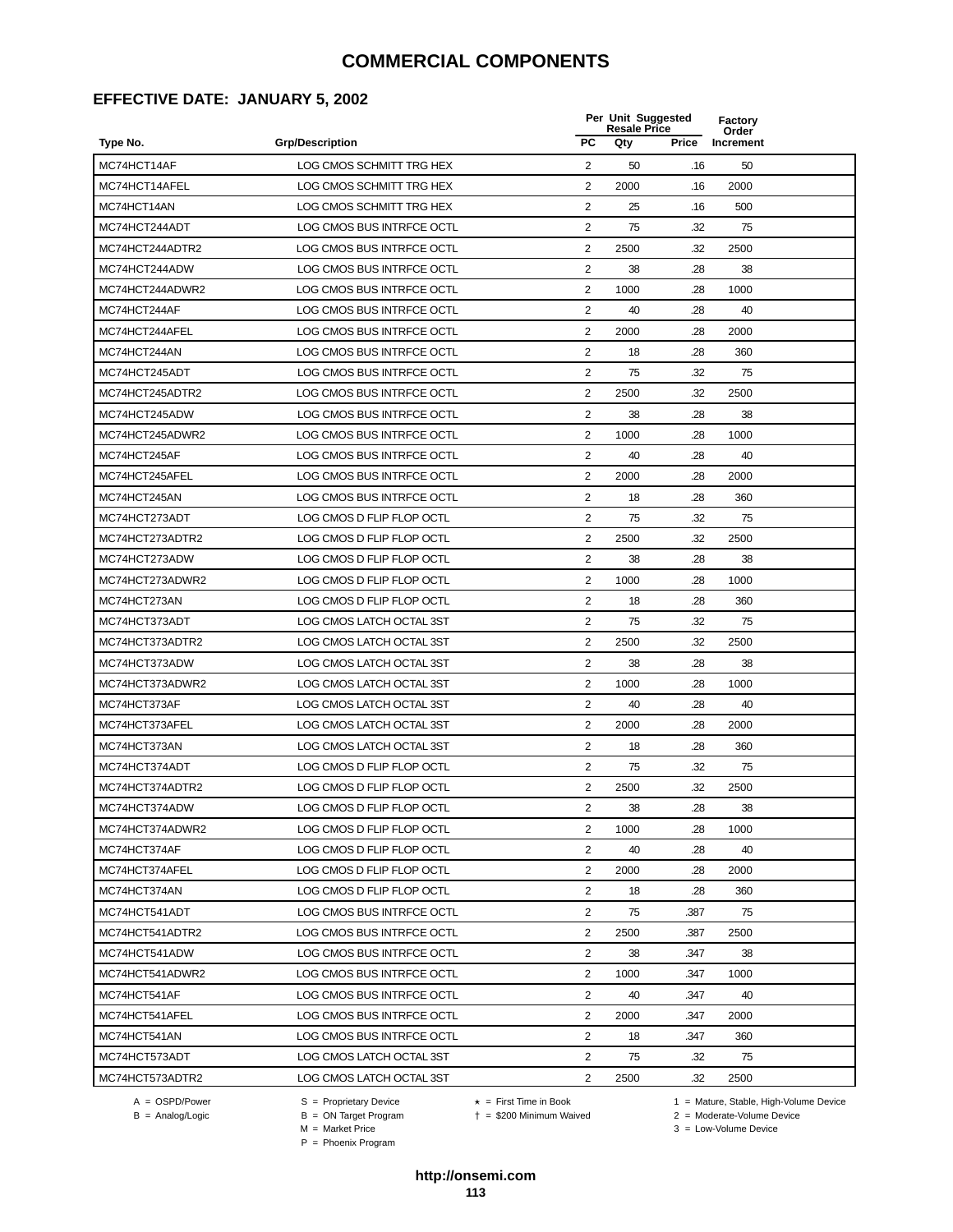#### **EFFECTIVE DATE: JANUARY 5, 2002**

|                 |                           |                | Per Unit Suggested<br><b>Resale Price</b> |       |                    |  |
|-----------------|---------------------------|----------------|-------------------------------------------|-------|--------------------|--|
| Type No.        | <b>Grp/Description</b>    | <b>PC</b>      | Qty                                       | Price | Order<br>Increment |  |
| MC74HCT14AF     | LOG CMOS SCHMITT TRG HEX  | 2              | 50                                        | .16   | 50                 |  |
| MC74HCT14AFEL   | LOG CMOS SCHMITT TRG HEX  | 2              | 2000                                      | .16   | 2000               |  |
| MC74HCT14AN     | LOG CMOS SCHMITT TRG HEX  | $\overline{2}$ | 25                                        | .16   | 500                |  |
| MC74HCT244ADT   | LOG CMOS BUS INTRFCE OCTL | 2              | 75                                        | .32   | 75                 |  |
| MC74HCT244ADTR2 | LOG CMOS BUS INTRFCE OCTL | $\sqrt{2}$     | 2500                                      | .32   | 2500               |  |
| MC74HCT244ADW   | LOG CMOS BUS INTRFCE OCTL | 2              | 38                                        | .28   | 38                 |  |
| MC74HCT244ADWR2 | LOG CMOS BUS INTRFCE OCTL | $\overline{2}$ | 1000                                      | .28   | 1000               |  |
| MC74HCT244AF    | LOG CMOS BUS INTRFCE OCTL | 2              | 40                                        | .28   | 40                 |  |
| MC74HCT244AFEL  | LOG CMOS BUS INTRFCE OCTL | $\overline{2}$ | 2000                                      | .28   | 2000               |  |
| MC74HCT244AN    | LOG CMOS BUS INTRFCE OCTL | 2              | 18                                        | .28   | 360                |  |
| MC74HCT245ADT   | LOG CMOS BUS INTRFCE OCTL | 2              | 75                                        | .32   | 75                 |  |
| MC74HCT245ADTR2 | LOG CMOS BUS INTRFCE OCTL | $\overline{2}$ | 2500                                      | .32   | 2500               |  |
| MC74HCT245ADW   | LOG CMOS BUS INTRFCE OCTL | 2              | 38                                        | .28   | 38                 |  |
| MC74HCT245ADWR2 | LOG CMOS BUS INTRFCE OCTL | $\sqrt{2}$     | 1000                                      | .28   | 1000               |  |
| MC74HCT245AF    | LOG CMOS BUS INTRFCE OCTL | 2              | 40                                        | .28   | 40                 |  |
| MC74HCT245AFEL  | LOG CMOS BUS INTRFCE OCTL | $\overline{2}$ | 2000                                      | .28   | 2000               |  |
| MC74HCT245AN    | LOG CMOS BUS INTRFCE OCTL | 2              | 18                                        | .28   | 360                |  |
| MC74HCT273ADT   | LOG CMOS D FLIP FLOP OCTL | $\overline{2}$ | 75                                        | .32   | 75                 |  |
| MC74HCT273ADTR2 | LOG CMOS D FLIP FLOP OCTL | $\overline{2}$ | 2500                                      | .32   | 2500               |  |
| MC74HCT273ADW   | LOG CMOS D FLIP FLOP OCTL | 2              | 38                                        | .28   | 38                 |  |
| MC74HCT273ADWR2 | LOG CMOS D FLIP FLOP OCTL | $\overline{2}$ | 1000                                      | .28   | 1000               |  |
| MC74HCT273AN    | LOG CMOS D FLIP FLOP OCTL | 2              | 18                                        | .28   | 360                |  |
| MC74HCT373ADT   | LOG CMOS LATCH OCTAL 3ST  | 2              | 75                                        | .32   | 75                 |  |
| MC74HCT373ADTR2 | LOG CMOS LATCH OCTAL 3ST  | 2              | 2500                                      | .32   | 2500               |  |
| MC74HCT373ADW   | LOG CMOS LATCH OCTAL 3ST  | $\overline{2}$ | 38                                        | .28   | 38                 |  |
| MC74HCT373ADWR2 | LOG CMOS LATCH OCTAL 3ST  | 2              | 1000                                      | .28   | 1000               |  |
| MC74HCT373AF    | LOG CMOS LATCH OCTAL 3ST  | $\overline{2}$ | 40                                        | .28   | 40                 |  |
| MC74HCT373AFEL  | LOG CMOS LATCH OCTAL 3ST  | $\overline{2}$ | 2000                                      | .28   | 2000               |  |
| MC74HCT373AN    | LOG CMOS LATCH OCTAL 3ST  | 2              | 18                                        | .28   | 360                |  |
| MC74HCT374ADT   | LOG CMOS D FLIP FLOP OCTL | $\overline{2}$ | 75                                        | .32   | 75                 |  |
| MC74HCT374ADTR2 | LOG CMOS D FLIP FLOP OCTL | $\overline{2}$ | 2500                                      | .32   | 2500               |  |
| MC74HCT374ADW   | LOG CMOS D FLIP FLOP OCTL | $\overline{c}$ | 38                                        | .28   | 38                 |  |
| MC74HCT374ADWR2 | LOG CMOS D FLIP FLOP OCTL | $\overline{2}$ | 1000                                      | .28   | 1000               |  |
| MC74HCT374AF    | LOG CMOS D FLIP FLOP OCTL | 2              | 40                                        | .28   | 40                 |  |
| MC74HCT374AFEL  | LOG CMOS D FLIP FLOP OCTL | 2              | 2000                                      | .28   | 2000               |  |
| MC74HCT374AN    | LOG CMOS D FLIP FLOP OCTL | $\overline{2}$ | 18                                        | .28   | 360                |  |
| MC74HCT541ADT   | LOG CMOS BUS INTRFCE OCTL | 2              | 75                                        | .387  | 75                 |  |
| MC74HCT541ADTR2 | LOG CMOS BUS INTRFCE OCTL | 2              | 2500                                      | .387  | 2500               |  |
| MC74HCT541ADW   | LOG CMOS BUS INTRFCE OCTL | $\overline{2}$ | 38                                        | .347  | 38                 |  |
| MC74HCT541ADWR2 | LOG CMOS BUS INTRFCE OCTL | 2              | 1000                                      | .347  | 1000               |  |
| MC74HCT541AF    | LOG CMOS BUS INTRFCE OCTL | 2              | 40                                        | .347  | 40                 |  |
| MC74HCT541AFEL  | LOG CMOS BUS INTRFCE OCTL | 2              | 2000                                      | .347  | 2000               |  |
| MC74HCT541AN    | LOG CMOS BUS INTRFCE OCTL | 2              | 18                                        | .347  | 360                |  |
| MC74HCT573ADT   | LOG CMOS LATCH OCTAL 3ST  | $\overline{2}$ | 75                                        | .32   | 75                 |  |
| MC74HCT573ADTR2 | LOG CMOS LATCH OCTAL 3ST  | 2              | 2500                                      | .32   | 2500               |  |
|                 |                           |                |                                           |       |                    |  |

 $B = \text{Analog/Logic}$ <br>B = ON Target Program<br> $M = \text{Market Price}$ 

= \$200 Minimum Waived 2 = Moderate-Volume Device

A = OSPD/Power S = Proprietary Device  $\star$  = First Time in Book 1 = Mature, Stable, High-Volume Device

 $3 =$  Low-Volume Device

P = Phoenix Program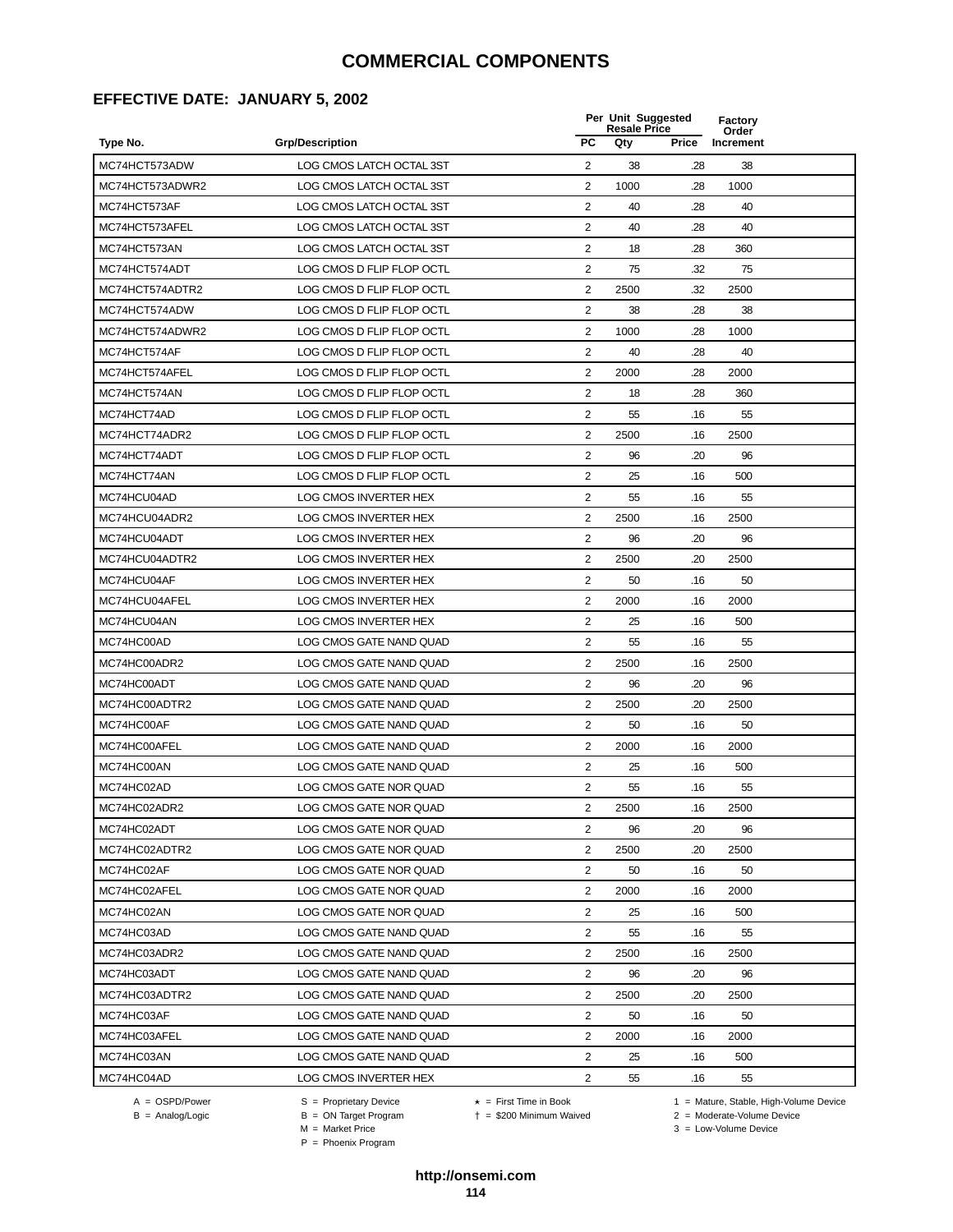#### **EFFECTIVE DATE: JANUARY 5, 2002**

|                 |                              | Per Unit Suggested<br><b>Resale Price</b> |      |       | <b>Factory</b><br>Order |  |
|-----------------|------------------------------|-------------------------------------------|------|-------|-------------------------|--|
| Type No.        | <b>Grp/Description</b>       | <b>PC</b>                                 | Qty  | Price | Increment               |  |
| MC74HCT573ADW   | LOG CMOS LATCH OCTAL 3ST     | 2                                         | 38   | .28   | 38                      |  |
| MC74HCT573ADWR2 | LOG CMOS LATCH OCTAL 3ST     | 2                                         | 1000 | .28   | 1000                    |  |
| MC74HCT573AF    | LOG CMOS LATCH OCTAL 3ST     | $\overline{2}$                            | 40   | .28   | 40                      |  |
| MC74HCT573AFEL  | LOG CMOS LATCH OCTAL 3ST     | 2                                         | 40   | .28   | 40                      |  |
| MC74HCT573AN    | LOG CMOS LATCH OCTAL 3ST     | $\overline{\mathbf{c}}$                   | 18   | .28   | 360                     |  |
| MC74HCT574ADT   | LOG CMOS D FLIP FLOP OCTL    | 2                                         | 75   | .32   | 75                      |  |
| MC74HCT574ADTR2 | LOG CMOS D FLIP FLOP OCTL    | $\overline{2}$                            | 2500 | .32   | 2500                    |  |
| MC74HCT574ADW   | LOG CMOS D FLIP FLOP OCTL    | $\overline{2}$                            | 38   | .28   | 38                      |  |
| MC74HCT574ADWR2 | LOG CMOS D FLIP FLOP OCTL    | 2                                         | 1000 | .28   | 1000                    |  |
| MC74HCT574AF    | LOG CMOS D FLIP FLOP OCTL    | 2                                         | 40   | .28   | 40                      |  |
| MC74HCT574AFEL  | LOG CMOS D FLIP FLOP OCTL    | $\overline{2}$                            | 2000 | .28   | 2000                    |  |
| MC74HCT574AN    | LOG CMOS D FLIP FLOP OCTL    | $\overline{2}$                            | 18   | .28   | 360                     |  |
| MC74HCT74AD     | LOG CMOS D FLIP FLOP OCTL    | 2                                         | 55   | .16   | 55                      |  |
| MC74HCT74ADR2   | LOG CMOS D FLIP FLOP OCTL    | $\overline{2}$                            | 2500 | .16   | 2500                    |  |
| MC74HCT74ADT    | LOG CMOS D FLIP FLOP OCTL    | 2                                         | 96   | .20   | 96                      |  |
| MC74HCT74AN     | LOG CMOS D FLIP FLOP OCTL    | 2                                         | 25   | .16   | 500                     |  |
| MC74HCU04AD     | LOG CMOS INVERTER HEX        | $\overline{2}$                            | 55   | .16   | 55                      |  |
| MC74HCU04ADR2   | <b>LOG CMOS INVERTER HEX</b> | 2                                         | 2500 | .16   | 2500                    |  |
| MC74HCU04ADT    | LOG CMOS INVERTER HEX        | 2                                         | 96   | .20   | 96                      |  |
| MC74HCU04ADTR2  | LOG CMOS INVERTER HEX        | 2                                         | 2500 | .20   | 2500                    |  |
| MC74HCU04AF     | LOG CMOS INVERTER HEX        | $\overline{2}$                            | 50   | .16   | 50                      |  |
| MC74HCU04AFEL   | LOG CMOS INVERTER HEX        | $\overline{2}$                            | 2000 | .16   | 2000                    |  |
| MC74HCU04AN     | LOG CMOS INVERTER HEX        | $\sqrt{2}$                                | 25   | .16   | 500                     |  |
| MC74HC00AD      | LOG CMOS GATE NAND QUAD      | 2                                         | 55   | .16   | 55                      |  |
| MC74HC00ADR2    | LOG CMOS GATE NAND QUAD      | $\overline{2}$                            | 2500 | .16   | 2500                    |  |
| MC74HC00ADT     | LOG CMOS GATE NAND QUAD      | 2                                         | 96   | .20   | 96                      |  |
| MC74HC00ADTR2   | LOG CMOS GATE NAND QUAD      | 2                                         | 2500 | .20   | 2500                    |  |
| MC74HC00AF      | LOG CMOS GATE NAND QUAD      | 2                                         | 50   | .16   | 50                      |  |
| MC74HC00AFEL    | LOG CMOS GATE NAND QUAD      | 2                                         | 2000 | .16   | 2000                    |  |
| MC74HC00AN      | LOG CMOS GATE NAND QUAD      | $\overline{2}$                            | 25   | .16   | 500                     |  |
| MC74HC02AD      | LOG CMOS GATE NOR QUAD       | $\overline{2}$                            | 55   | .16   | 55                      |  |
| MC74HC02ADR2    | LOG CMOS GATE NOR QUAD       | 2                                         | 2500 | .16   | 2500                    |  |
| MC74HC02ADT     | LOG CMOS GATE NOR QUAD       | $\overline{2}$                            | 96   | .20   | 96                      |  |
| MC74HC02ADTR2   | LOG CMOS GATE NOR QUAD       | 2                                         | 2500 | .20   | 2500                    |  |
| MC74HC02AF      | LOG CMOS GATE NOR QUAD       | $\overline{2}$                            | 50   | .16   | 50                      |  |
| MC74HC02AFEL    | LOG CMOS GATE NOR QUAD       | 2                                         | 2000 | .16   | 2000                    |  |
| MC74HC02AN      | LOG CMOS GATE NOR QUAD       | 2                                         | 25   | .16   | 500                     |  |
| MC74HC03AD      | LOG CMOS GATE NAND QUAD      | 2                                         | 55   | .16   | 55                      |  |
| MC74HC03ADR2    | LOG CMOS GATE NAND QUAD      | $\overline{2}$                            | 2500 | .16   | 2500                    |  |
| MC74HC03ADT     | LOG CMOS GATE NAND QUAD      | 2                                         | 96   | .20   | 96                      |  |
| MC74HC03ADTR2   | LOG CMOS GATE NAND QUAD      | 2                                         | 2500 | .20   | 2500                    |  |
| MC74HC03AF      | LOG CMOS GATE NAND QUAD      | 2                                         | 50   | .16   | 50                      |  |
| MC74HC03AFEL    | LOG CMOS GATE NAND QUAD      | 2                                         | 2000 | .16   | 2000                    |  |
| MC74HC03AN      | LOG CMOS GATE NAND QUAD      | $\overline{2}$                            | 25   | .16   | 500                     |  |
| MC74HC04AD      | LOG CMOS INVERTER HEX        | $\overline{2}$                            | 55   | .16   | 55                      |  |
|                 |                              |                                           |      |       |                         |  |

 $B = \text{Analog/Logic}$ <br>B = ON Target Program<br> $M = \text{Market Price}$ 

A = OSPD/Power S = Proprietary Device  $\star$  = First Time in Book 1 = Mature, Stable, High-Volume Device

 = \$200 Minimum Waived 2 = Moderate-Volume Device  $3 =$  Low-Volume Device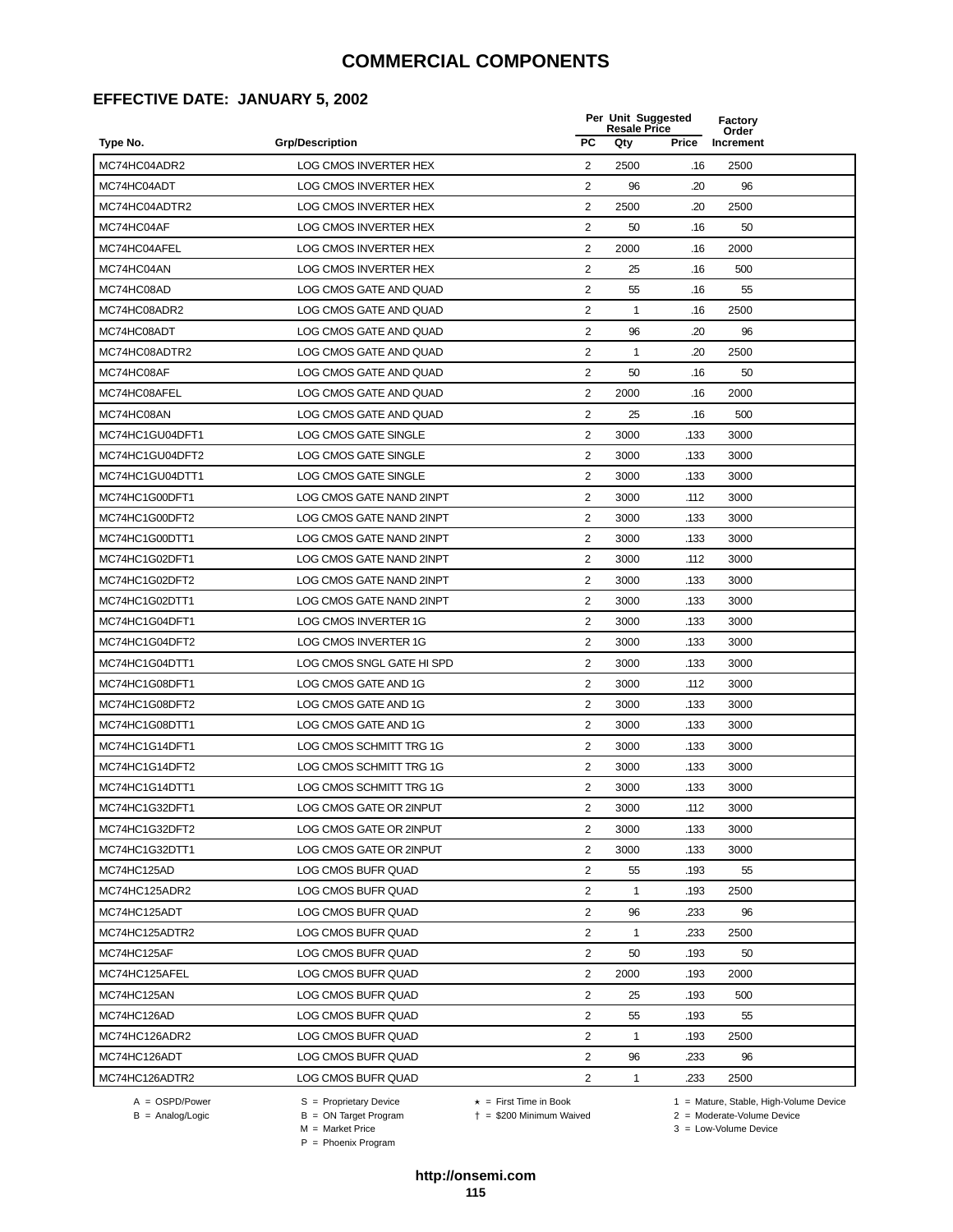### **EFFECTIVE DATE: JANUARY 5, 2002**

|                 | <b>Grp/Description</b>    |                | Per Unit Suggested<br><b>Resale Price</b> |              |                    |  |
|-----------------|---------------------------|----------------|-------------------------------------------|--------------|--------------------|--|
| Type No.        |                           | <b>PC</b>      | Qty                                       | <b>Price</b> | Order<br>Increment |  |
| MC74HC04ADR2    | LOG CMOS INVERTER HEX     | 2              | 2500                                      | .16          | 2500               |  |
| MC74HC04ADT     | LOG CMOS INVERTER HEX     | 2              | 96                                        | .20          | 96                 |  |
| MC74HC04ADTR2   | LOG CMOS INVERTER HEX     | 2              | 2500                                      | .20          | 2500               |  |
| MC74HC04AF      | LOG CMOS INVERTER HEX     | 2              | 50                                        | .16          | 50                 |  |
| MC74HC04AFEL    | LOG CMOS INVERTER HEX     | $\overline{2}$ | 2000                                      | .16          | 2000               |  |
| MC74HC04AN      | LOG CMOS INVERTER HEX     | $\overline{2}$ | 25                                        | .16          | 500                |  |
| MC74HC08AD      | LOG CMOS GATE AND QUAD    | $\overline{2}$ | 55                                        | .16          | 55                 |  |
| MC74HC08ADR2    | LOG CMOS GATE AND QUAD    | $\overline{2}$ | $\mathbf{1}$                              | .16          | 2500               |  |
| MC74HC08ADT     | LOG CMOS GATE AND QUAD    | 2              | 96                                        | .20          | 96                 |  |
| MC74HC08ADTR2   | LOG CMOS GATE AND QUAD    | 2              | $\mathbf{1}$                              | .20          | 2500               |  |
| MC74HC08AF      | LOG CMOS GATE AND QUAD    | 2              | 50                                        | .16          | 50                 |  |
| MC74HC08AFEL    | LOG CMOS GATE AND QUAD    | 2              | 2000                                      | .16          | 2000               |  |
| MC74HC08AN      | LOG CMOS GATE AND QUAD    | 2              | 25                                        | .16          | 500                |  |
| MC74HC1GU04DFT1 | LOG CMOS GATE SINGLE      | $\overline{c}$ | 3000                                      | .133         | 3000               |  |
| MC74HC1GU04DFT2 | LOG CMOS GATE SINGLE      | $\overline{2}$ | 3000                                      | .133         | 3000               |  |
| MC74HC1GU04DTT1 | LOG CMOS GATE SINGLE      | $\overline{2}$ | 3000                                      | .133         | 3000               |  |
| MC74HC1G00DFT1  | LOG CMOS GATE NAND 2INPT  | 2              | 3000                                      | .112         | 3000               |  |
| MC74HC1G00DFT2  | LOG CMOS GATE NAND 2INPT  | $\overline{2}$ | 3000                                      | .133         | 3000               |  |
| MC74HC1G00DTT1  | LOG CMOS GATE NAND 2INPT  | $\overline{2}$ | 3000                                      | .133         | 3000               |  |
| MC74HC1G02DFT1  | LOG CMOS GATE NAND 2INPT  | 2              | 3000                                      | .112         | 3000               |  |
| MC74HC1G02DFT2  | LOG CMOS GATE NAND 2INPT  | 2              | 3000                                      | .133         | 3000               |  |
| MC74HC1G02DTT1  | LOG CMOS GATE NAND 2INPT  | 2              | 3000                                      | .133         | 3000               |  |
| MC74HC1G04DFT1  | LOG CMOS INVERTER 1G      | 2              | 3000                                      | .133         | 3000               |  |
| MC74HC1G04DFT2  | LOG CMOS INVERTER 1G      | 2              | 3000                                      | .133         | 3000               |  |
| MC74HC1G04DTT1  | LOG CMOS SNGL GATE HI SPD | $\overline{2}$ | 3000                                      | .133         | 3000               |  |
| MC74HC1G08DFT1  | LOG CMOS GATE AND 1G      | $\overline{2}$ | 3000                                      | .112         | 3000               |  |
| MC74HC1G08DFT2  | LOG CMOS GATE AND 1G      | 2              | 3000                                      | .133         | 3000               |  |
| MC74HC1G08DTT1  | LOG CMOS GATE AND 1G      | 2              | 3000                                      | .133         | 3000               |  |
| MC74HC1G14DFT1  | LOG CMOS SCHMITT TRG 1G   | 2              | 3000                                      | .133         | 3000               |  |
| MC74HC1G14DFT2  | LOG CMOS SCHMITT TRG 1G   | 2              | 3000                                      | .133         | 3000               |  |
| MC74HC1G14DTT1  | LOG CMOS SCHMITT TRG 1G   | 2              | 3000                                      | .133         | 3000               |  |
| MC74HC1G32DFT1  | LOG CMOS GATE OR 2INPUT   | 2              | 3000                                      | .112         | 3000               |  |
| MC74HC1G32DFT2  | LOG CMOS GATE OR 2INPUT   | $\overline{2}$ | 3000                                      | .133         | 3000               |  |
| MC74HC1G32DTT1  | LOG CMOS GATE OR 2INPUT   | 2              | 3000                                      | .133         | 3000               |  |
| MC74HC125AD     | LOG CMOS BUFR QUAD        | $\overline{2}$ | 55                                        | .193         | 55                 |  |
| MC74HC125ADR2   | LOG CMOS BUFR QUAD        | $\overline{c}$ | 1                                         | .193         | 2500               |  |
| MC74HC125ADT    | LOG CMOS BUFR QUAD        | $\overline{c}$ | 96                                        | .233         | 96                 |  |
| MC74HC125ADTR2  | LOG CMOS BUFR QUAD        | 2              | $\mathbf{1}$                              | .233         | 2500               |  |
| MC74HC125AF     | LOG CMOS BUFR QUAD        | 2              | 50                                        | .193         | 50                 |  |
| MC74HC125AFEL   | LOG CMOS BUFR QUAD        | 2              | 2000                                      | .193         | 2000               |  |
| MC74HC125AN     | LOG CMOS BUFR QUAD        | 2              | 25                                        | .193         | 500                |  |
| MC74HC126AD     | LOG CMOS BUFR QUAD        | 2              | 55                                        | .193         | 55                 |  |
| MC74HC126ADR2   | LOG CMOS BUFR QUAD        | $\overline{2}$ | $\mathbf{1}$                              | .193         | 2500               |  |
| MC74HC126ADT    | LOG CMOS BUFR QUAD        | $\overline{2}$ | 96                                        | .233         | 96                 |  |
| MC74HC126ADTR2  | LOG CMOS BUFR QUAD        | 2              | $\mathbf{1}$                              | .233         | 2500               |  |
|                 |                           |                |                                           |              |                    |  |

 $B = \text{Analog/Logic}$ <br>B = ON Target Program<br> $M = \text{Market Price}$ 

= \$200 Minimum Waived 2 = Moderate-Volume Device

A = OSPD/Power S = Proprietary Device  $\star$  = First Time in Book 1 = Mature, Stable, High-Volume Device

 $3 =$  Low-Volume Device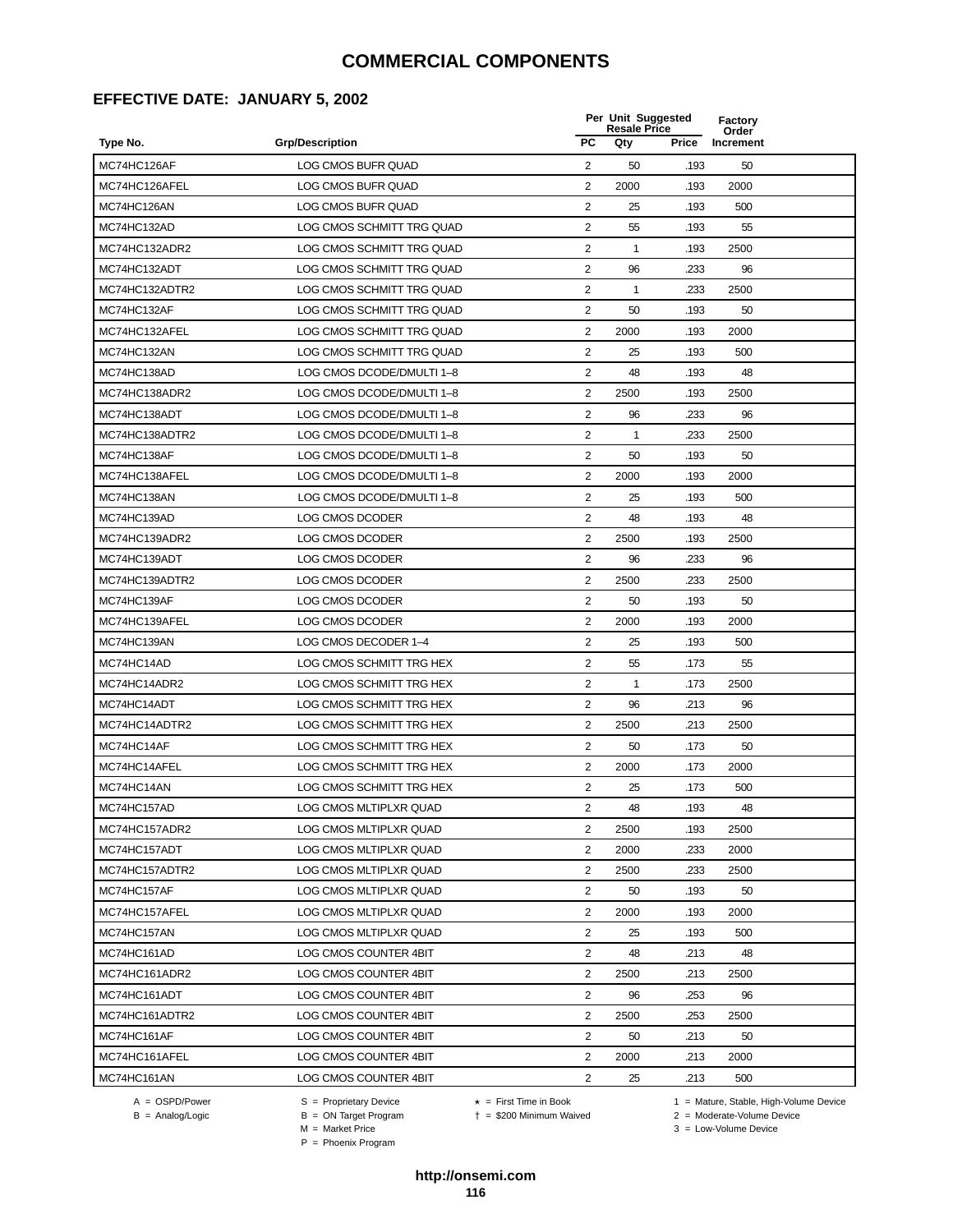#### **EFFECTIVE DATE: JANUARY 5, 2002**

|                |                           | Per Unit Suggested<br><b>Resale Price</b> |              |       | <b>Factory</b><br>Order |
|----------------|---------------------------|-------------------------------------------|--------------|-------|-------------------------|
| Type No.       | <b>Grp/Description</b>    | <b>PC</b>                                 | Qty          | Price | Increment               |
| MC74HC126AF    | LOG CMOS BUFR QUAD        | 2                                         | 50           | .193  | 50                      |
| MC74HC126AFEL  | LOG CMOS BUFR QUAD        | 2                                         | 2000         | .193  | 2000                    |
| MC74HC126AN    | LOG CMOS BUFR QUAD        | $\overline{2}$                            | 25           | .193  | 500                     |
| MC74HC132AD    | LOG CMOS SCHMITT TRG QUAD | 2                                         | 55           | .193  | 55                      |
| MC74HC132ADR2  | LOG CMOS SCHMITT TRG QUAD | $\sqrt{2}$                                | 1            | .193  | 2500                    |
| MC74HC132ADT   | LOG CMOS SCHMITT TRG QUAD | 2                                         | 96           | .233  | 96                      |
| MC74HC132ADTR2 | LOG CMOS SCHMITT TRG QUAD | $\overline{2}$                            | $\mathbf{1}$ | .233  | 2500                    |
| MC74HC132AF    | LOG CMOS SCHMITT TRG QUAD | 2                                         | 50           | .193  | 50                      |
| MC74HC132AFEL  | LOG CMOS SCHMITT TRG QUAD | $\overline{2}$                            | 2000         | .193  | 2000                    |
| MC74HC132AN    | LOG CMOS SCHMITT TRG QUAD | 2                                         | 25           | .193  | 500                     |
| MC74HC138AD    | LOG CMOS DCODE/DMULTI 1-8 | 2                                         | 48           | .193  | 48                      |
| MC74HC138ADR2  | LOG CMOS DCODE/DMULTI 1-8 | $\overline{2}$                            | 2500         | .193  | 2500                    |
| MC74HC138ADT   | LOG CMOS DCODE/DMULTI 1-8 | $\overline{2}$                            | 96           | .233  | 96                      |
| MC74HC138ADTR2 | LOG CMOS DCODE/DMULTI 1-8 | $\overline{2}$                            | 1            | .233  | 2500                    |
| MC74HC138AF    | LOG CMOS DCODE/DMULTI 1-8 | 2                                         | 50           | .193  | 50                      |
| MC74HC138AFEL  | LOG CMOS DCODE/DMULTI 1-8 | $\overline{2}$                            | 2000         | .193  | 2000                    |
| MC74HC138AN    | LOG CMOS DCODE/DMULTI 1-8 | 2                                         | 25           | .193  | 500                     |
| MC74HC139AD    | LOG CMOS DCODER           | 2                                         | 48           | .193  | 48                      |
| MC74HC139ADR2  | LOG CMOS DCODER           | $\overline{2}$                            | 2500         | .193  | 2500                    |
| MC74HC139ADT   | LOG CMOS DCODER           | 2                                         | 96           | .233  | 96                      |
| MC74HC139ADTR2 | LOG CMOS DCODER           | $\overline{2}$                            | 2500         | .233  | 2500                    |
| MC74HC139AF    | LOG CMOS DCODER           | 2                                         | 50           | .193  | 50                      |
| MC74HC139AFEL  | LOG CMOS DCODER           | $\overline{2}$                            | 2000         | .193  | 2000                    |
| MC74HC139AN    | LOG CMOS DECODER 1-4      | $\overline{2}$                            | 25           | .193  | 500                     |
| MC74HC14AD     | LOG CMOS SCHMITT TRG HEX  | 2                                         | 55           | .173  | 55                      |
| MC74HC14ADR2   | LOG CMOS SCHMITT TRG HEX  | 2                                         | $\mathbf{1}$ | .173  | 2500                    |
| MC74HC14ADT    | LOG CMOS SCHMITT TRG HEX  | $\overline{c}$                            | 96           | .213  | 96                      |
| MC74HC14ADTR2  | LOG CMOS SCHMITT TRG HEX  | $\overline{2}$                            | 2500         | .213  | 2500                    |
| MC74HC14AF     | LOG CMOS SCHMITT TRG HEX  | 2                                         | 50           | .173  | 50                      |
| MC74HC14AFEL   | LOG CMOS SCHMITT TRG HEX  | $\overline{2}$                            | 2000         | .173  | 2000                    |
| MC74HC14AN     | LOG CMOS SCHMITT TRG HEX  | $\overline{2}$                            | 25           | .173  | 500                     |
| MC74HC157AD    | LOG CMOS MLTIPLXR QUAD    | 2                                         | 48           | .193  | 48                      |
| MC74HC157ADR2  | LOG CMOS MLTIPLXR QUAD    | 2                                         | 2500         | .193  | 2500                    |
| MC74HC157ADT   | LOG CMOS MLTIPLXR QUAD    | 2                                         | 2000         | .233  | 2000                    |
| MC74HC157ADTR2 | LOG CMOS MLTIPLXR QUAD    | 2                                         | 2500         | .233  | 2500                    |
| MC74HC157AF    | LOG CMOS MLTIPLXR QUAD    | $\overline{2}$                            | 50           | .193  | 50                      |
| MC74HC157AFEL  | LOG CMOS MLTIPLXR QUAD    | $\overline{2}$                            | 2000         | .193  | 2000                    |
| MC74HC157AN    | LOG CMOS MLTIPLXR QUAD    | 2                                         | 25           | .193  | 500                     |
| MC74HC161AD    | LOG CMOS COUNTER 4BIT     | $\overline{2}$                            | 48           | .213  | 48                      |
| MC74HC161ADR2  | LOG CMOS COUNTER 4BIT     | 2                                         | 2500         | .213  | 2500                    |
| MC74HC161ADT   | LOG CMOS COUNTER 4BIT     | 2                                         | 96           | .253  | 96                      |
| MC74HC161ADTR2 | LOG CMOS COUNTER 4BIT     | 2                                         | 2500         | .253  | 2500                    |
| MC74HC161AF    | LOG CMOS COUNTER 4BIT     | $\overline{2}$                            | 50           | .213  | 50                      |
| MC74HC161AFEL  | LOG CMOS COUNTER 4BIT     | 2                                         | 2000         | .213  | 2000                    |
| MC74HC161AN    | LOG CMOS COUNTER 4BIT     | $\overline{2}$                            | 25           | .213  | 500                     |
|                |                           |                                           |              |       |                         |

 $B = \text{Analog/Logic}$ <br>B = ON Target Program<br> $M = \text{Market Price}$ P = Phoenix Program

A = OSPD/Power S = Proprietary Device  $\star$  = First Time in Book 1 = Mature, Stable, High-Volume Device = \$200 Minimum Waived 2 = Moderate-Volume Device

 $3 =$  Low-Volume Device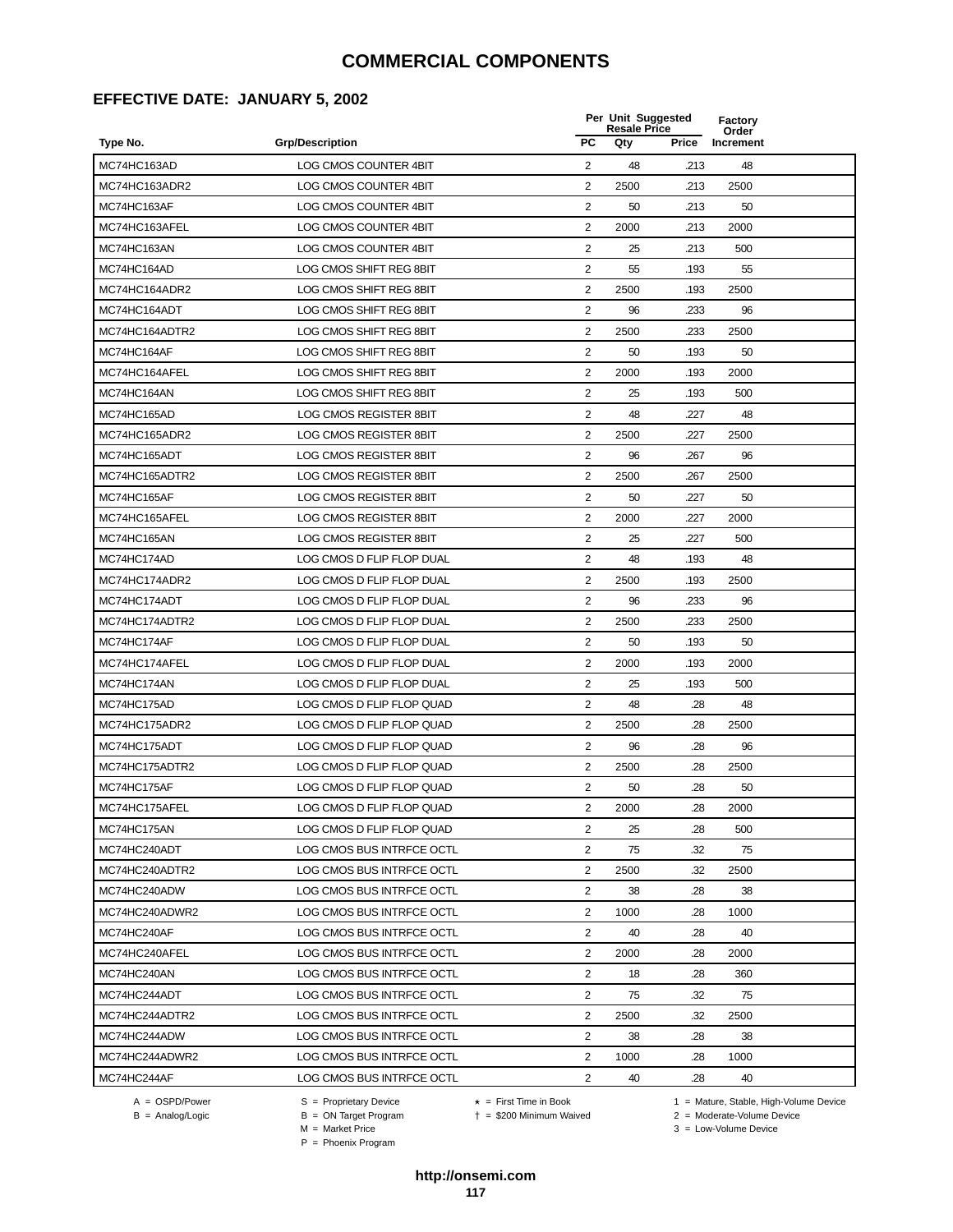#### **EFFECTIVE DATE: JANUARY 5, 2002**

|                |                               |                | Per Unit Suggested<br><b>Resale Price</b> |       |                    |  |
|----------------|-------------------------------|----------------|-------------------------------------------|-------|--------------------|--|
| Type No.       | <b>Grp/Description</b>        | <b>PC</b>      | Qty                                       | Price | Order<br>Increment |  |
| MC74HC163AD    | LOG CMOS COUNTER 4BIT         | 2              | 48                                        | .213  | 48                 |  |
| MC74HC163ADR2  | LOG CMOS COUNTER 4BIT         | 2              | 2500                                      | .213  | 2500               |  |
| MC74HC163AF    | LOG CMOS COUNTER 4BIT         | 2              | 50                                        | .213  | 50                 |  |
| MC74HC163AFEL  | LOG CMOS COUNTER 4BIT         | $\overline{2}$ | 2000                                      | .213  | 2000               |  |
| MC74HC163AN    | LOG CMOS COUNTER 4BIT         | $\overline{2}$ | 25                                        | .213  | 500                |  |
| MC74HC164AD    | LOG CMOS SHIFT REG 8BIT       | 2              | 55                                        | .193  | 55                 |  |
| MC74HC164ADR2  | LOG CMOS SHIFT REG 8BIT       | $\overline{2}$ | 2500                                      | .193  | 2500               |  |
| MC74HC164ADT   | LOG CMOS SHIFT REG 8BIT       | 2              | 96                                        | .233  | 96                 |  |
| MC74HC164ADTR2 | LOG CMOS SHIFT REG 8BIT       | 2              | 2500                                      | .233  | 2500               |  |
| MC74HC164AF    | LOG CMOS SHIFT REG 8BIT       | 2              | 50                                        | .193  | 50                 |  |
| MC74HC164AFEL  | LOG CMOS SHIFT REG 8BIT       | 2              | 2000                                      | .193  | 2000               |  |
| MC74HC164AN    | LOG CMOS SHIFT REG 8BIT       | $\overline{2}$ | 25                                        | .193  | 500                |  |
| MC74HC165AD    | LOG CMOS REGISTER 8BIT        | 2              | 48                                        | .227  | 48                 |  |
| MC74HC165ADR2  | LOG CMOS REGISTER 8BIT        | $\overline{2}$ | 2500                                      | .227  | 2500               |  |
| MC74HC165ADT   | LOG CMOS REGISTER 8BIT        | 2              | 96                                        | .267  | 96                 |  |
| MC74HC165ADTR2 | <b>LOG CMOS REGISTER 8BIT</b> | $\overline{2}$ | 2500                                      | .267  | 2500               |  |
| MC74HC165AF    | LOG CMOS REGISTER 8BIT        | 2              | 50                                        | .227  | 50                 |  |
| MC74HC165AFEL  | LOG CMOS REGISTER 8BIT        | 2              | 2000                                      | .227  | 2000               |  |
| MC74HC165AN    | LOG CMOS REGISTER 8BIT        | $\overline{2}$ | 25                                        | .227  | 500                |  |
| MC74HC174AD    | LOG CMOS D FLIP FLOP DUAL     | 2              | 48                                        | .193  | 48                 |  |
| MC74HC174ADR2  | LOG CMOS D FLIP FLOP DUAL     | $\overline{2}$ | 2500                                      | .193  | 2500               |  |
| MC74HC174ADT   | LOG CMOS D FLIP FLOP DUAL     | 2              | 96                                        | .233  | 96                 |  |
| MC74HC174ADTR2 | LOG CMOS D FLIP FLOP DUAL     | $\overline{2}$ | 2500                                      | .233  | 2500               |  |
| MC74HC174AF    | LOG CMOS D FLIP FLOP DUAL     | 2              | 50                                        | .193  | 50                 |  |
| MC74HC174AFEL  | LOG CMOS D FLIP FLOP DUAL     | 2              | 2000                                      | .193  | 2000               |  |
| MC74HC174AN    | LOG CMOS D FLIP FLOP DUAL     | 2              | 25                                        | .193  | 500                |  |
| MC74HC175AD    | LOG CMOS D FLIP FLOP QUAD     | $\overline{2}$ | 48                                        | .28   | 48                 |  |
| MC74HC175ADR2  | LOG CMOS D FLIP FLOP QUAD     | $\overline{2}$ | 2500                                      | .28   | 2500               |  |
| MC74HC175ADT   | LOG CMOS D FLIP FLOP QUAD     | 2              | 96                                        | .28   | 96                 |  |
| MC74HC175ADTR2 | LOG CMOS D FLIP FLOP QUAD     | $\overline{2}$ | 2500                                      | .28   | 2500               |  |
| MC74HC175AF    | LOG CMOS D FLIP FLOP QUAD     | $\overline{2}$ | 50                                        | .28   | 50                 |  |
| MC74HC175AFEL  | LOG CMOS D FLIP FLOP QUAD     | 2              | 2000                                      | .28   | 2000               |  |
| MC74HC175AN    | LOG CMOS D FLIP FLOP QUAD     | 2              | 25                                        | .28   | 500                |  |
| MC74HC240ADT   | LOG CMOS BUS INTRFCE OCTL     | $\overline{2}$ | 75                                        | .32   | 75                 |  |
| MC74HC240ADTR2 | LOG CMOS BUS INTRFCE OCTL     | 2              | 2500                                      | .32   | 2500               |  |
| MC74HC240ADW   | LOG CMOS BUS INTRFCE OCTL     | $\overline{2}$ | 38                                        | .28   | 38                 |  |
| MC74HC240ADWR2 | LOG CMOS BUS INTRFCE OCTL     | 2              | 1000                                      | .28   | 1000               |  |
| MC74HC240AF    | LOG CMOS BUS INTRFCE OCTL     | 2              | 40                                        | .28   | 40                 |  |
| MC74HC240AFEL  | LOG CMOS BUS INTRFCE OCTL     | $\overline{2}$ | 2000                                      | .28   | 2000               |  |
| MC74HC240AN    | LOG CMOS BUS INTRFCE OCTL     | 2              | 18                                        | .28   | 360                |  |
| MC74HC244ADT   | LOG CMOS BUS INTRFCE OCTL     | 2              | 75                                        | .32   | 75                 |  |
| MC74HC244ADTR2 | LOG CMOS BUS INTRFCE OCTL     | 2              | 2500                                      | .32   | 2500               |  |
| MC74HC244ADW   | LOG CMOS BUS INTRFCE OCTL     | 2              | 38                                        | .28   | 38                 |  |
| MC74HC244ADWR2 | LOG CMOS BUS INTRFCE OCTL     | 2              | 1000                                      | .28   | 1000               |  |
| MC74HC244AF    | LOG CMOS BUS INTRFCE OCTL     | $\overline{2}$ | 40                                        | .28   | 40                 |  |
|                |                               |                |                                           |       |                    |  |

 $B = \text{Analog/Logic}$ <br>B = ON Target Program<br> $M = \text{Market Price}$ 

= \$200 Minimum Waived 2 = Moderate-Volume Device

A = OSPD/Power S = Proprietary Device  $\star$  = First Time in Book 1 = Mature, Stable, High-Volume Device

 $3 =$  Low-Volume Device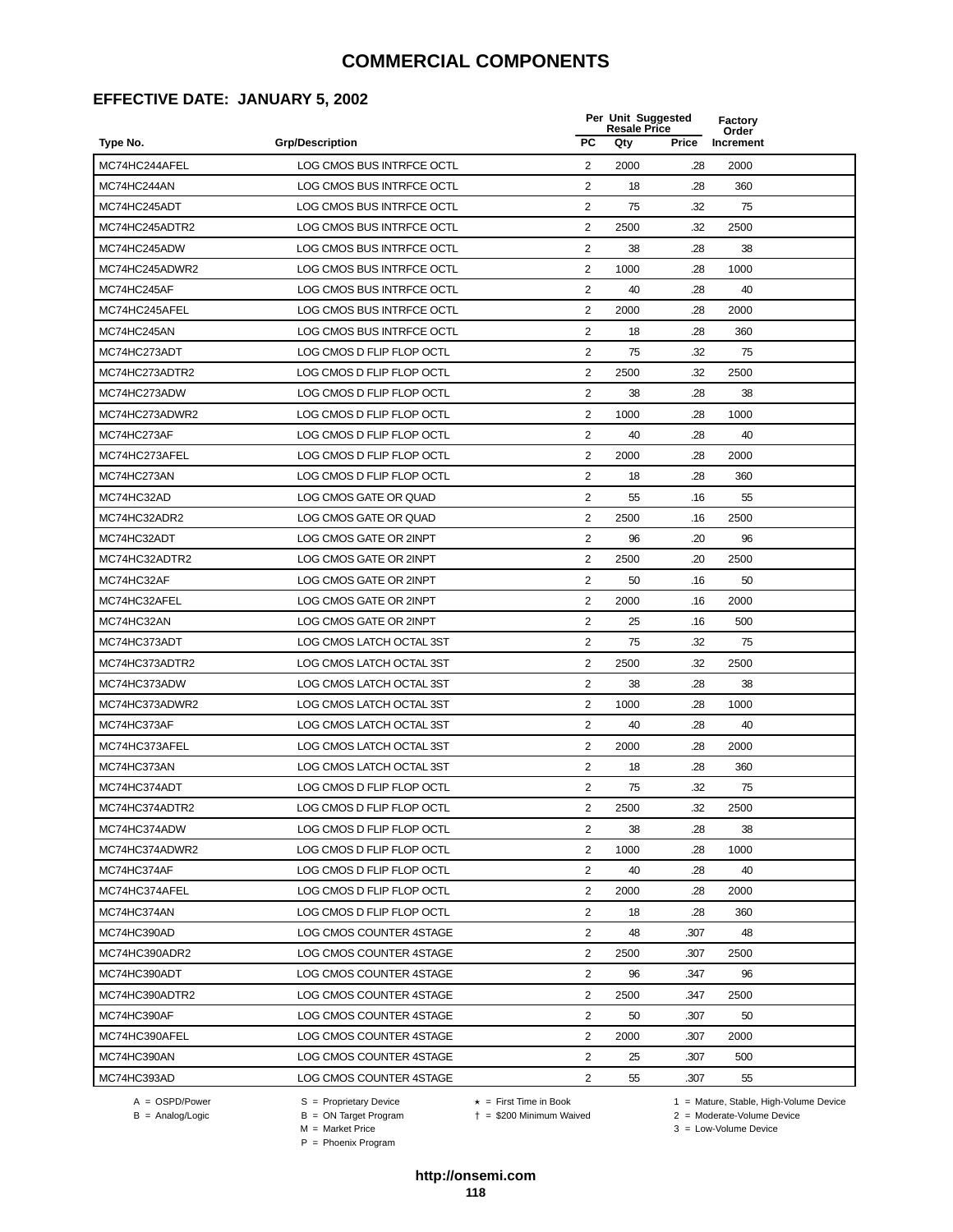#### **EFFECTIVE DATE: JANUARY 5, 2002**

|                |                           | Per Unit Suggested<br><b>Resale Price</b> |      |       | <b>Factory</b><br>Order |  |
|----------------|---------------------------|-------------------------------------------|------|-------|-------------------------|--|
| Type No.       | <b>Grp/Description</b>    | <b>PC</b>                                 | Qty  | Price | Increment               |  |
| MC74HC244AFEL  | LOG CMOS BUS INTRFCE OCTL | 2                                         | 2000 | .28   | 2000                    |  |
| MC74HC244AN    | LOG CMOS BUS INTRFCE OCTL | $\overline{2}$                            | 18   | .28   | 360                     |  |
| MC74HC245ADT   | LOG CMOS BUS INTRFCE OCTL | $\overline{2}$                            | 75   | .32   | 75                      |  |
| MC74HC245ADTR2 | LOG CMOS BUS INTRFCE OCTL | 2                                         | 2500 | .32   | 2500                    |  |
| MC74HC245ADW   | LOG CMOS BUS INTRFCE OCTL | $\sqrt{2}$                                | 38   | .28   | 38                      |  |
| MC74HC245ADWR2 | LOG CMOS BUS INTRFCE OCTL | $\overline{2}$                            | 1000 | .28   | 1000                    |  |
| MC74HC245AF    | LOG CMOS BUS INTRFCE OCTL | $\overline{2}$                            | 40   | .28   | 40                      |  |
| MC74HC245AFEL  | LOG CMOS BUS INTRFCE OCTL | 2                                         | 2000 | .28   | 2000                    |  |
| MC74HC245AN    | LOG CMOS BUS INTRFCE OCTL | $\overline{2}$                            | 18   | .28   | 360                     |  |
| MC74HC273ADT   | LOG CMOS D FLIP FLOP OCTL | 2                                         | 75   | .32   | 75                      |  |
| MC74HC273ADTR2 | LOG CMOS D FLIP FLOP OCTL | $\overline{2}$                            | 2500 | .32   | 2500                    |  |
| MC74HC273ADW   | LOG CMOS D FLIP FLOP OCTL | $\overline{2}$                            | 38   | .28   | 38                      |  |
| MC74HC273ADWR2 | LOG CMOS D FLIP FLOP OCTL | 2                                         | 1000 | .28   | 1000                    |  |
| MC74HC273AF    | LOG CMOS D FLIP FLOP OCTL | $\overline{2}$                            | 40   | .28   | 40                      |  |
| MC74HC273AFEL  | LOG CMOS D FLIP FLOP OCTL | 2                                         | 2000 | .28   | 2000                    |  |
| MC74HC273AN    | LOG CMOS D FLIP FLOP OCTL | 2                                         | 18   | .28   | 360                     |  |
| MC74HC32AD     | LOG CMOS GATE OR QUAD     | 2                                         | 55   | .16   | 55                      |  |
| MC74HC32ADR2   | LOG CMOS GATE OR QUAD     | 2                                         | 2500 | .16   | 2500                    |  |
| MC74HC32ADT    | LOG CMOS GATE OR 2INPT    | 2                                         | 96   | .20   | 96                      |  |
| MC74HC32ADTR2  | LOG CMOS GATE OR 2INPT    | 2                                         | 2500 | .20   | 2500                    |  |
| MC74HC32AF     | LOG CMOS GATE OR 2INPT    | $\overline{2}$                            | 50   | .16   | 50                      |  |
| MC74HC32AFEL   | LOG CMOS GATE OR 2INPT    | $\overline{2}$                            | 2000 | .16   | 2000                    |  |
| MC74HC32AN     | LOG CMOS GATE OR 2INPT    | $\overline{2}$                            | 25   | .16   | 500                     |  |
| MC74HC373ADT   | LOG CMOS LATCH OCTAL 3ST  | 2                                         | 75   | .32   | 75                      |  |
| MC74HC373ADTR2 | LOG CMOS LATCH OCTAL 3ST  | $\overline{2}$                            | 2500 | .32   | 2500                    |  |
| MC74HC373ADW   | LOG CMOS LATCH OCTAL 3ST  | 2                                         | 38   | .28   | 38                      |  |
| MC74HC373ADWR2 | LOG CMOS LATCH OCTAL 3ST  | 2                                         | 1000 | .28   | 1000                    |  |
| MC74HC373AF    | LOG CMOS LATCH OCTAL 3ST  | 2                                         | 40   | .28   | 40                      |  |
| MC74HC373AFEL  | LOG CMOS LATCH OCTAL 3ST  | 2                                         | 2000 | .28   | 2000                    |  |
| MC74HC373AN    | LOG CMOS LATCH OCTAL 3ST  | $\overline{2}$                            | 18   | .28   | 360                     |  |
| MC74HC374ADT   | LOG CMOS D FLIP FLOP OCTL | $\overline{2}$                            | 75   | .32   | 75                      |  |
| MC74HC374ADTR2 | LOG CMOS D FLIP FLOP OCTL | 2                                         | 2500 | 32    | 2500                    |  |
| MC74HC374ADW   | LOG CMOS D FLIP FLOP OCTL | $\overline{2}$                            | 38   | .28   | 38                      |  |
| MC74HC374ADWR2 | LOG CMOS D FLIP FLOP OCTL | 2                                         | 1000 | .28   | 1000                    |  |
| MC74HC374AF    | LOG CMOS D FLIP FLOP OCTL | $\overline{2}$                            | 40   | .28   | 40                      |  |
| MC74HC374AFEL  | LOG CMOS D FLIP FLOP OCTL | 2                                         | 2000 | .28   | 2000                    |  |
| MC74HC374AN    | LOG CMOS D FLIP FLOP OCTL | $\overline{2}$                            | 18   | .28   | 360                     |  |
| MC74HC390AD    | LOG CMOS COUNTER 4STAGE   | 2                                         | 48   | .307  | 48                      |  |
| MC74HC390ADR2  | LOG CMOS COUNTER 4STAGE   | $\overline{2}$                            | 2500 | .307  | 2500                    |  |
| MC74HC390ADT   | LOG CMOS COUNTER 4STAGE   | 2                                         | 96   | .347  | 96                      |  |
| MC74HC390ADTR2 | LOG CMOS COUNTER 4STAGE   | 2                                         | 2500 | .347  | 2500                    |  |
| MC74HC390AF    | LOG CMOS COUNTER 4STAGE   | 2                                         | 50   | .307  | 50                      |  |
| MC74HC390AFEL  | LOG CMOS COUNTER 4STAGE   | 2                                         | 2000 | .307  | 2000                    |  |
| MC74HC390AN    | LOG CMOS COUNTER 4STAGE   | $\overline{2}$                            | 25   | .307  | 500                     |  |
| MC74HC393AD    | LOG CMOS COUNTER 4STAGE   | $\overline{2}$                            | 55   | .307  | 55                      |  |
|                |                           |                                           |      |       |                         |  |

 $B = \text{Analog/Logic}$ <br>B = ON Target Program<br> $M = \text{Market Price}$ 

A = OSPD/Power S = Proprietary Device  $\star$  = First Time in Book 1 = Mature, Stable, High-Volume Device = \$200 Minimum Waived 2 = Moderate-Volume Device

P = Phoenix Program

 $3 =$  Low-Volume Device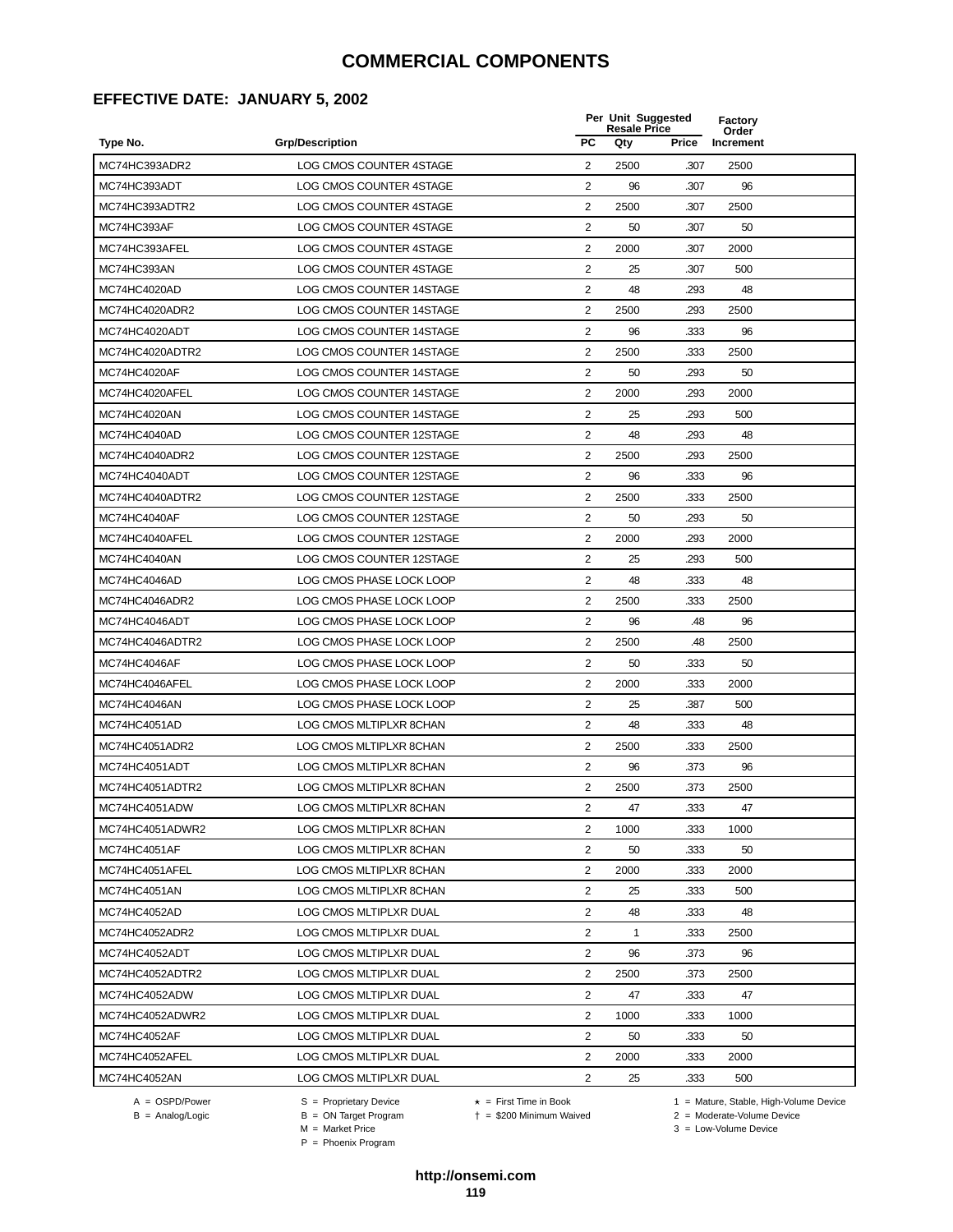#### **EFFECTIVE DATE: JANUARY 5, 2002**

|                 |                          |                | Per Unit Suggested<br><b>Resale Price</b> |              |                    |  |
|-----------------|--------------------------|----------------|-------------------------------------------|--------------|--------------------|--|
| Type No.        | <b>Grp/Description</b>   | <b>PC</b>      | Qty                                       | <b>Price</b> | Order<br>Increment |  |
| MC74HC393ADR2   | LOG CMOS COUNTER 4STAGE  | 2              | 2500                                      | .307         | 2500               |  |
| MC74HC393ADT    | LOG CMOS COUNTER 4STAGE  | 2              | 96                                        | .307         | 96                 |  |
| MC74HC393ADTR2  | LOG CMOS COUNTER 4STAGE  | 2              | 2500                                      | .307         | 2500               |  |
| MC74HC393AF     | LOG CMOS COUNTER 4STAGE  | 2              | 50                                        | .307         | 50                 |  |
| MC74HC393AFEL   | LOG CMOS COUNTER 4STAGE  | $\overline{c}$ | 2000                                      | .307         | 2000               |  |
| MC74HC393AN     | LOG CMOS COUNTER 4STAGE  | $\overline{2}$ | 25                                        | .307         | 500                |  |
| MC74HC4020AD    | LOG CMOS COUNTER 14STAGE | 2              | 48                                        | .293         | 48                 |  |
| MC74HC4020ADR2  | LOG CMOS COUNTER 14STAGE | $\overline{2}$ | 2500                                      | .293         | 2500               |  |
| MC74HC4020ADT   | LOG CMOS COUNTER 14STAGE | 2              | 96                                        | .333         | 96                 |  |
| MC74HC4020ADTR2 | LOG CMOS COUNTER 14STAGE | 2              | 2500                                      | .333         | 2500               |  |
| MC74HC4020AF    | LOG CMOS COUNTER 14STAGE | 2              | 50                                        | .293         | 50                 |  |
| MC74HC4020AFEL  | LOG CMOS COUNTER 14STAGE | 2              | 2000                                      | .293         | 2000               |  |
| MC74HC4020AN    | LOG CMOS COUNTER 14STAGE | $\overline{c}$ | 25                                        | .293         | 500                |  |
| MC74HC4040AD    | LOG CMOS COUNTER 12STAGE | $\overline{c}$ | 48                                        | .293         | 48                 |  |
| MC74HC4040ADR2  | LOG CMOS COUNTER 12STAGE | $\overline{2}$ | 2500                                      | .293         | 2500               |  |
| MC74HC4040ADT   | LOG CMOS COUNTER 12STAGE | $\overline{2}$ | 96                                        | .333         | 96                 |  |
| MC74HC4040ADTR2 | LOG CMOS COUNTER 12STAGE | 2              | 2500                                      | .333         | 2500               |  |
| MC74HC4040AF    | LOG CMOS COUNTER 12STAGE | $\overline{2}$ | 50                                        | .293         | 50                 |  |
| MC74HC4040AFEL  | LOG CMOS COUNTER 12STAGE | 2              | 2000                                      | .293         | 2000               |  |
| MC74HC4040AN    | LOG CMOS COUNTER 12STAGE | 2              | 25                                        | .293         | 500                |  |
| MC74HC4046AD    | LOG CMOS PHASE LOCK LOOP | 2              | 48                                        | .333         | 48                 |  |
| MC74HC4046ADR2  | LOG CMOS PHASE LOCK LOOP | 2              | 2500                                      | .333         | 2500               |  |
| MC74HC4046ADT   | LOG CMOS PHASE LOCK LOOP | 2              | 96                                        | .48          | 96                 |  |
| MC74HC4046ADTR2 | LOG CMOS PHASE LOCK LOOP | 2              | 2500                                      | .48          | 2500               |  |
| MC74HC4046AF    | LOG CMOS PHASE LOCK LOOP | $\overline{2}$ | 50                                        | .333         | 50                 |  |
| MC74HC4046AFEL  | LOG CMOS PHASE LOCK LOOP | $\overline{2}$ | 2000                                      | .333         | 2000               |  |
| MC74HC4046AN    | LOG CMOS PHASE LOCK LOOP | $\overline{2}$ | 25                                        | .387         | 500                |  |
| MC74HC4051AD    | LOG CMOS MLTIPLXR 8CHAN  | 2              | 48                                        | .333         | 48                 |  |
| MC74HC4051ADR2  | LOG CMOS MLTIPLXR 8CHAN  | 2              | 2500                                      | .333         | 2500               |  |
| MC74HC4051ADT   | LOG CMOS MLTIPLXR 8CHAN  | 2              | 96                                        | .373         | 96                 |  |
| MC74HC4051ADTR2 | LOG CMOS MLTIPLXR 8CHAN  | 2              | 2500                                      | .373         | 2500               |  |
| MC74HC4051ADW   | LOG CMOS MLTIPLXR 8CHAN  | 2              | 47                                        | .333         | 47                 |  |
| MC74HC4051ADWR2 | LOG CMOS MLTIPLXR 8CHAN  | $\overline{2}$ | 1000                                      | .333         | 1000               |  |
| MC74HC4051AF    | LOG CMOS MLTIPLXR 8CHAN  | $\overline{2}$ | 50                                        | .333         | 50                 |  |
| MC74HC4051AFEL  | LOG CMOS MLTIPLXR 8CHAN  | $\overline{2}$ | 2000                                      | .333         | 2000               |  |
| MC74HC4051AN    | LOG CMOS MLTIPLXR 8CHAN  | $\overline{c}$ | 25                                        | .333         | 500                |  |
| MC74HC4052AD    | LOG CMOS MLTIPLXR DUAL   | $\overline{c}$ | 48                                        | .333         | 48                 |  |
| MC74HC4052ADR2  | LOG CMOS MLTIPLXR DUAL   | 2              | $\mathbf{1}$                              | .333         | 2500               |  |
| MC74HC4052ADT   | LOG CMOS MLTIPLXR DUAL   | 2              | 96                                        | .373         | 96                 |  |
| MC74HC4052ADTR2 | LOG CMOS MLTIPLXR DUAL   | $\overline{c}$ | 2500                                      | .373         | 2500               |  |
| MC74HC4052ADW   | LOG CMOS MLTIPLXR DUAL   | 2              | 47                                        | .333         | 47                 |  |
| MC74HC4052ADWR2 | LOG CMOS MLTIPLXR DUAL   | 2              | 1000                                      | .333         | 1000               |  |
| MC74HC4052AF    | LOG CMOS MLTIPLXR DUAL   | $\overline{2}$ | 50                                        | .333         | 50                 |  |
| MC74HC4052AFEL  | LOG CMOS MLTIPLXR DUAL   | $\overline{2}$ | 2000                                      | .333         | 2000               |  |
| MC74HC4052AN    | LOG CMOS MLTIPLXR DUAL   | $\overline{c}$ | 25                                        | .333         | 500                |  |
|                 |                          |                |                                           |              |                    |  |

 $B = \text{Analog/Logic}$ <br>B = ON Target Program<br> $M = \text{Market Price}$ 

A = OSPD/Power S = Proprietary Device  $\star$  = First Time in Book 1 = Mature, Stable, High-Volume Device

 = \$200 Minimum Waived 2 = Moderate-Volume Device  $3 =$  Low-Volume Device

P = Phoenix Program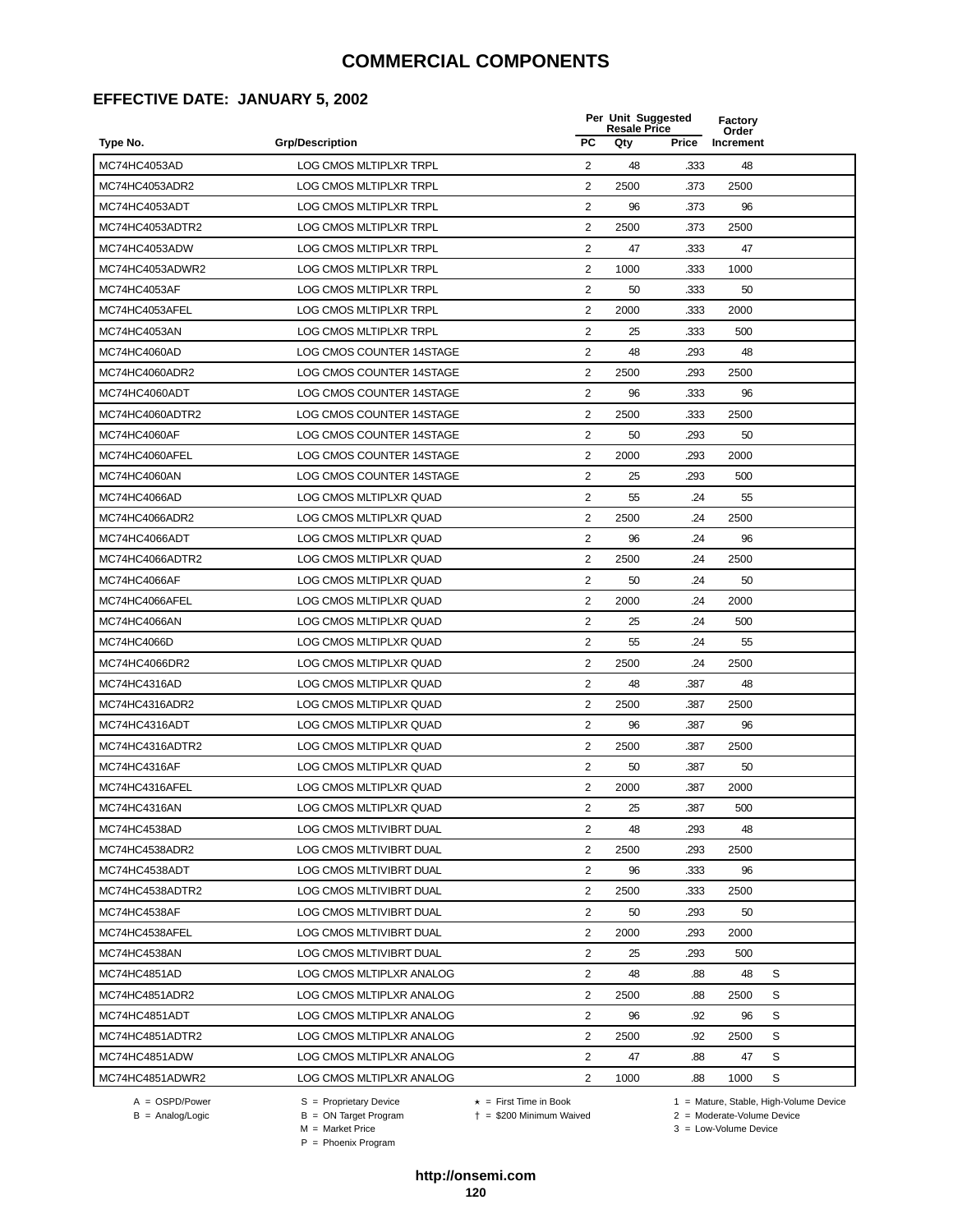#### **EFFECTIVE DATE: JANUARY 5, 2002**

|                 |                               |                         | Per Unit Suggested<br><b>Resale Price</b> |       |                    |   |
|-----------------|-------------------------------|-------------------------|-------------------------------------------|-------|--------------------|---|
| Type No.        | <b>Grp/Description</b>        | <b>PC</b>               | Qty                                       | Price | Order<br>Increment |   |
| MC74HC4053AD    | LOG CMOS MLTIPLXR TRPL        | 2                       | 48                                        | .333  | 48                 |   |
| MC74HC4053ADR2  | LOG CMOS MLTIPLXR TRPL        | 2                       | 2500                                      | .373  | 2500               |   |
| MC74HC4053ADT   | <b>LOG CMOS MLTIPLXR TRPL</b> | 2                       | 96                                        | .373  | 96                 |   |
| MC74HC4053ADTR2 | <b>LOG CMOS MLTIPLXR TRPL</b> | 2                       | 2500                                      | .373  | 2500               |   |
| MC74HC4053ADW   | LOG CMOS MLTIPLXR TRPL        | $\overline{\mathbf{c}}$ | 47                                        | .333  | 47                 |   |
| MC74HC4053ADWR2 | LOG CMOS MLTIPLXR TRPL        | $\overline{2}$          | 1000                                      | .333  | 1000               |   |
| MC74HC4053AF    | <b>LOG CMOS MLTIPLXR TRPL</b> | 2                       | 50                                        | .333  | 50                 |   |
| MC74HC4053AFEL  | LOG CMOS MLTIPLXR TRPL        | $\overline{2}$          | 2000                                      | .333  | 2000               |   |
| MC74HC4053AN    | <b>LOG CMOS MLTIPLXR TRPL</b> | 2                       | 25                                        | .333  | 500                |   |
| MC74HC4060AD    | LOG CMOS COUNTER 14STAGE      | 2                       | 48                                        | .293  | 48                 |   |
| MC74HC4060ADR2  | LOG CMOS COUNTER 14STAGE      | 2                       | 2500                                      | .293  | 2500               |   |
| MC74HC4060ADT   | LOG CMOS COUNTER 14STAGE      | 2                       | 96                                        | .333  | 96                 |   |
| MC74HC4060ADTR2 | LOG CMOS COUNTER 14STAGE      | 2                       | 2500                                      | .333  | 2500               |   |
| MC74HC4060AF    | LOG CMOS COUNTER 14STAGE      | $\overline{\mathbf{c}}$ | 50                                        | .293  | 50                 |   |
| MC74HC4060AFEL  | LOG CMOS COUNTER 14STAGE      | $\overline{2}$          | 2000                                      | .293  | 2000               |   |
| MC74HC4060AN    | LOG CMOS COUNTER 14STAGE      | $\overline{2}$          | 25                                        | .293  | 500                |   |
| MC74HC4066AD    | LOG CMOS MLTIPLXR QUAD        | $\overline{2}$          | 55                                        | .24   | 55                 |   |
| MC74HC4066ADR2  | LOG CMOS MLTIPLXR QUAD        | 2                       | 2500                                      | .24   | 2500               |   |
| MC74HC4066ADT   | LOG CMOS MLTIPLXR QUAD        | 2                       | 96                                        | .24   | 96                 |   |
| MC74HC4066ADTR2 | LOG CMOS MLTIPLXR QUAD        | 2                       | 2500                                      | .24   | 2500               |   |
| MC74HC4066AF    | LOG CMOS MLTIPLXR QUAD        | 2                       | 50                                        | .24   | 50                 |   |
| MC74HC4066AFEL  | LOG CMOS MLTIPLXR QUAD        | 2                       | 2000                                      | .24   | 2000               |   |
| MC74HC4066AN    | LOG CMOS MLTIPLXR QUAD        | 2                       | 25                                        | .24   | 500                |   |
| MC74HC4066D     | LOG CMOS MLTIPLXR QUAD        | 2                       | 55                                        | .24   | 55                 |   |
| MC74HC4066DR2   | LOG CMOS MLTIPLXR QUAD        | $\overline{2}$          | 2500                                      | .24   | 2500               |   |
| MC74HC4316AD    | LOG CMOS MLTIPLXR QUAD        | $\overline{2}$          | 48                                        | .387  | 48                 |   |
| MC74HC4316ADR2  | LOG CMOS MLTIPLXR QUAD        | 2                       | 2500                                      | .387  | 2500               |   |
| MC74HC4316ADT   | LOG CMOS MLTIPLXR QUAD        | 2                       | 96                                        | .387  | 96                 |   |
| MC74HC4316ADTR2 | LOG CMOS MLTIPLXR QUAD        | 2                       | 2500                                      | .387  | 2500               |   |
| MC74HC4316AF    | LOG CMOS MLTIPLXR QUAD        | 2                       | 50                                        | .387  | 50                 |   |
| MC74HC4316AFEL  | LOG CMOS MLTIPLXR QUAD        | 2                       | 2000                                      | .387  | 2000               |   |
| MC74HC4316AN    | LOG CMOS MLTIPLXR QUAD        | 2                       | 25                                        | .387  | 500                |   |
| MC74HC4538AD    | LOG CMOS MLTIVIBRT DUAL       | $\overline{2}$          | 48                                        | .293  | 48                 |   |
| MC74HC4538ADR2  | LOG CMOS MLTIVIBRT DUAL       | $\overline{2}$          | 2500                                      | .293  | 2500               |   |
| MC74HC4538ADT   | LOG CMOS MLTIVIBRT DUAL       | $\overline{2}$          | 96                                        | .333  | 96                 |   |
| MC74HC4538ADTR2 | LOG CMOS MLTIVIBRT DUAL       | $\overline{c}$          | 2500                                      | .333  | 2500               |   |
| MC74HC4538AF    | LOG CMOS MLTIVIBRT DUAL       | $\overline{c}$          | 50                                        | .293  | 50                 |   |
| MC74HC4538AFEL  | LOG CMOS MLTIVIBRT DUAL       | 2                       | 2000                                      | .293  | 2000               |   |
| MC74HC4538AN    | LOG CMOS MLTIVIBRT DUAL       | $\overline{2}$          | 25                                        | .293  | 500                |   |
| MC74HC4851AD    | LOG CMOS MLTIPLXR ANALOG      | $\overline{c}$          | 48                                        | .88   | 48                 | S |
| MC74HC4851ADR2  | LOG CMOS MLTIPLXR ANALOG      | $\overline{2}$          | 2500                                      | .88   | 2500               | S |
| MC74HC4851ADT   | LOG CMOS MLTIPLXR ANALOG      | 2                       | 96                                        | .92   | 96                 | S |
| MC74HC4851ADTR2 | LOG CMOS MLTIPLXR ANALOG      | $\overline{2}$          | 2500                                      | .92   | 2500               | S |
| MC74HC4851ADW   | LOG CMOS MLTIPLXR ANALOG      | $\overline{2}$          | 47                                        | .88   | 47                 | S |
| MC74HC4851ADWR2 | LOG CMOS MLTIPLXR ANALOG      | 2                       | 1000                                      | .88   | 1000               | S |
|                 |                               |                         |                                           |       |                    |   |

 $B = \text{Analog/Logic}$ <br>B = ON Target Program<br> $M = \text{Market Price}$ 

A = OSPD/Power S = Proprietary Device  $\star$  = First Time in Book 1 = Mature, Stable, High-Volume Device = \$200 Minimum Waived 2 = Moderate-Volume Device

P = Phoenix Program

 $3 =$  Low-Volume Device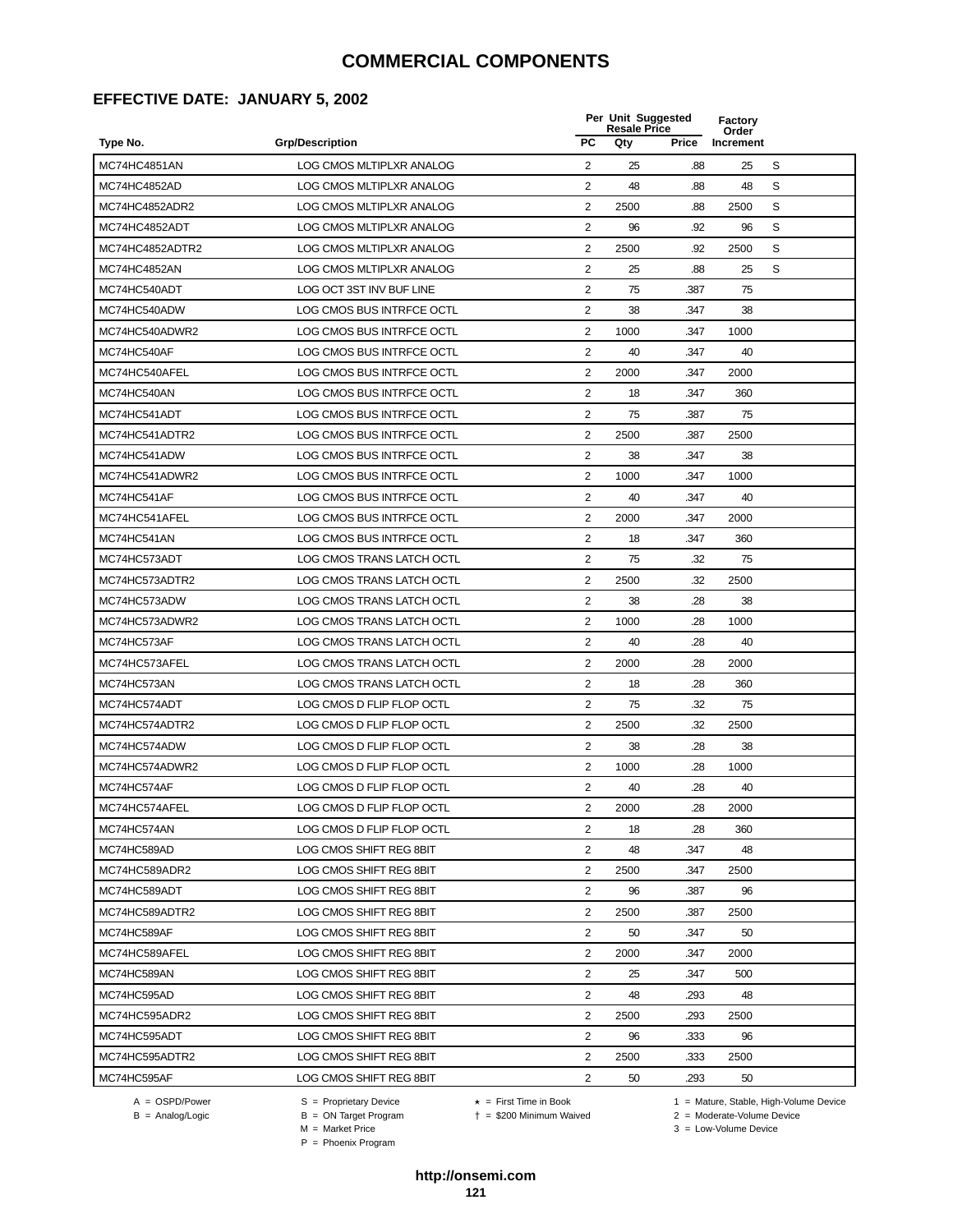#### **EFFECTIVE DATE: JANUARY 5, 2002**

| <b>PC</b><br><b>Grp/Description</b><br>Qty<br><b>Price</b><br>Increment<br>Type No.<br>MC74HC4851AN<br>LOG CMOS MLTIPLXR ANALOG<br>2<br>S<br>25<br>.88<br>25<br>S<br>MC74HC4852AD<br>LOG CMOS MLTIPLXR ANALOG<br>2<br>48<br>.88<br>48<br>S<br>$\overline{2}$<br>MC74HC4852ADR2<br>LOG CMOS MLTIPLXR ANALOG<br>2500<br>.88<br>2500<br>S<br>$\overline{c}$<br>MC74HC4852ADT<br>LOG CMOS MLTIPLXR ANALOG<br>96<br>.92<br>96<br>$\overline{2}$<br>S<br>MC74HC4852ADTR2<br>LOG CMOS MLTIPLXR ANALOG<br>2500<br>.92<br>2500<br>$\overline{2}$<br>S<br>LOG CMOS MLTIPLXR ANALOG<br>25<br>.88<br>MC74HC4852AN<br>25<br>$\overline{2}$<br>75<br>.387<br>75<br>MC74HC540ADT<br>LOG OCT 3ST INV BUF LINE<br>$\overline{2}$<br>38<br>38<br>MC74HC540ADW<br>LOG CMOS BUS INTRFCE OCTL<br>.347<br>2<br>MC74HC540ADWR2<br>LOG CMOS BUS INTRFCE OCTL<br>1000<br>.347<br>1000<br>MC74HC540AF<br>2<br>40<br>LOG CMOS BUS INTRFCE OCTL<br>.347<br>40<br>MC74HC540AFEL<br>LOG CMOS BUS INTRFCE OCTL<br>2<br>2000<br>.347<br>2000<br>$\overline{2}$<br>MC74HC540AN<br>LOG CMOS BUS INTRFCE OCTL<br>18<br>.347<br>360<br>$\overline{2}$<br>75<br>MC74HC541ADT<br>LOG CMOS BUS INTRFCE OCTL<br>.387<br>75<br>$\overline{2}$<br>MC74HC541ADTR2<br>LOG CMOS BUS INTRFCE OCTL<br>2500<br>.387<br>2500<br>2<br>MC74HC541ADW<br>LOG CMOS BUS INTRFCE OCTL<br>38<br>.347<br>38<br>$\overline{2}$<br>1000<br>MC74HC541ADWR2<br>LOG CMOS BUS INTRFCE OCTL<br>1000<br>.347<br>2<br>40<br>MC74HC541AF<br>LOG CMOS BUS INTRFCE OCTL<br>.347<br>40<br>$\overline{2}$<br>MC74HC541AFEL<br>LOG CMOS BUS INTRFCE OCTL<br>2000<br>.347<br>2000<br>2<br>MC74HC541AN<br>LOG CMOS BUS INTRFCE OCTL<br>18<br>.347<br>360<br>MC74HC573ADT<br>LOG CMOS TRANS LATCH OCTL<br>2<br>75<br>.32<br>75<br>$\overline{2}$<br>MC74HC573ADTR2<br>LOG CMOS TRANS LATCH OCTL<br>2500<br>.32<br>2500<br>$\overline{2}$<br>MC74HC573ADW<br>LOG CMOS TRANS LATCH OCTL<br>38<br>.28<br>38<br>$\overline{2}$<br>MC74HC573ADWR2<br>LOG CMOS TRANS LATCH OCTL<br>1000<br>.28<br>1000<br>$\mathbf{2}$<br>LOG CMOS TRANS LATCH OCTL<br>40<br>.28<br>MC74HC573AF<br>40<br>$\overline{2}$<br>2000<br>.28<br>2000<br>MC74HC573AFEL<br>LOG CMOS TRANS LATCH OCTL<br>2<br>18<br>.28<br>MC74HC573AN<br>LOG CMOS TRANS LATCH OCTL<br>360<br>$\overline{c}$<br>75<br>.32<br>75<br>MC74HC574ADT<br>LOG CMOS D FLIP FLOP OCTL<br>$\overline{2}$<br>.32<br>2500<br>MC74HC574ADTR2<br>LOG CMOS D FLIP FLOP OCTL<br>2500<br>MC74HC574ADW<br>LOG CMOS D FLIP FLOP OCTL<br>2<br>38<br>.28<br>38<br>2<br>.28<br>MC74HC574ADWR2<br>LOG CMOS D FLIP FLOP OCTL<br>1000<br>1000<br>$\overline{2}$<br>MC74HC574AF<br>LOG CMOS D FLIP FLOP OCTL<br>40<br>.28<br>40<br>$\overline{\mathbf{c}}$<br>MC74HC574AFEL<br>LOG CMOS D FLIP FLOP OCTL<br>2000<br>.28<br>2000<br>LOG CMOS D FLIP FLOP OCTL<br>2<br>18<br>.28<br>MC74HC574AN<br>360<br>$\overline{2}$<br>48<br>.347<br>MC74HC589AD<br>LOG CMOS SHIFT REG 8BIT<br>48<br>2<br>2500<br>2500<br>MC74HC589ADR2<br>LOG CMOS SHIFT REG 8BIT<br>.347<br>2<br>MC74HC589ADT<br>LOG CMOS SHIFT REG 8BIT<br>96<br>.387<br>96<br>2<br>2500<br>.387<br>2500<br>MC74HC589ADTR2<br>LOG CMOS SHIFT REG 8BIT<br>2<br>50<br>50<br>MC74HC589AF<br>LOG CMOS SHIFT REG 8BIT<br>.347<br>$\overline{2}$<br>2000<br>.347<br>2000<br>MC74HC589AFEL<br>LOG CMOS SHIFT REG 8BIT<br>2<br>MC74HC589AN<br>LOG CMOS SHIFT REG 8BIT<br>25<br>.347<br>500<br>$\overline{2}$<br>48<br>MC74HC595AD<br>LOG CMOS SHIFT REG 8BIT<br>.293<br>48<br>$\overline{2}$<br>LOG CMOS SHIFT REG 8BIT<br>2500<br>.293<br>2500<br>MC74HC595ADR2<br>2<br>96<br>.333<br>96<br>MC74HC595ADT<br>LOG CMOS SHIFT REG 8BIT<br>2<br>2500<br>.333<br>2500<br>MC74HC595ADTR2<br>LOG CMOS SHIFT REG 8BIT<br>$\overline{2}$<br>MC74HC595AF<br>LOG CMOS SHIFT REG 8BIT<br>50<br>.293<br>50 |  | Per Unit Suggested<br><b>Resale Price</b> | Factory<br>Order |  |
|-----------------------------------------------------------------------------------------------------------------------------------------------------------------------------------------------------------------------------------------------------------------------------------------------------------------------------------------------------------------------------------------------------------------------------------------------------------------------------------------------------------------------------------------------------------------------------------------------------------------------------------------------------------------------------------------------------------------------------------------------------------------------------------------------------------------------------------------------------------------------------------------------------------------------------------------------------------------------------------------------------------------------------------------------------------------------------------------------------------------------------------------------------------------------------------------------------------------------------------------------------------------------------------------------------------------------------------------------------------------------------------------------------------------------------------------------------------------------------------------------------------------------------------------------------------------------------------------------------------------------------------------------------------------------------------------------------------------------------------------------------------------------------------------------------------------------------------------------------------------------------------------------------------------------------------------------------------------------------------------------------------------------------------------------------------------------------------------------------------------------------------------------------------------------------------------------------------------------------------------------------------------------------------------------------------------------------------------------------------------------------------------------------------------------------------------------------------------------------------------------------------------------------------------------------------------------------------------------------------------------------------------------------------------------------------------------------------------------------------------------------------------------------------------------------------------------------------------------------------------------------------------------------------------------------------------------------------------------------------------------------------------------------------------------------------------------------------------------------------------------------------------------------------------------------------------------------------------------------------------------------------------------------------------------------------------------------------------------------------------------------------------------------------------------------------------------------------------------------------------------------------------------------------------------------------------------------------------------------------------------------------------------------------------------------------------------------------------------------------------------------------------------------------------|--|-------------------------------------------|------------------|--|
|                                                                                                                                                                                                                                                                                                                                                                                                                                                                                                                                                                                                                                                                                                                                                                                                                                                                                                                                                                                                                                                                                                                                                                                                                                                                                                                                                                                                                                                                                                                                                                                                                                                                                                                                                                                                                                                                                                                                                                                                                                                                                                                                                                                                                                                                                                                                                                                                                                                                                                                                                                                                                                                                                                                                                                                                                                                                                                                                                                                                                                                                                                                                                                                                                                                                                                                                                                                                                                                                                                                                                                                                                                                                                                                                                                                         |  |                                           |                  |  |
|                                                                                                                                                                                                                                                                                                                                                                                                                                                                                                                                                                                                                                                                                                                                                                                                                                                                                                                                                                                                                                                                                                                                                                                                                                                                                                                                                                                                                                                                                                                                                                                                                                                                                                                                                                                                                                                                                                                                                                                                                                                                                                                                                                                                                                                                                                                                                                                                                                                                                                                                                                                                                                                                                                                                                                                                                                                                                                                                                                                                                                                                                                                                                                                                                                                                                                                                                                                                                                                                                                                                                                                                                                                                                                                                                                                         |  |                                           |                  |  |
|                                                                                                                                                                                                                                                                                                                                                                                                                                                                                                                                                                                                                                                                                                                                                                                                                                                                                                                                                                                                                                                                                                                                                                                                                                                                                                                                                                                                                                                                                                                                                                                                                                                                                                                                                                                                                                                                                                                                                                                                                                                                                                                                                                                                                                                                                                                                                                                                                                                                                                                                                                                                                                                                                                                                                                                                                                                                                                                                                                                                                                                                                                                                                                                                                                                                                                                                                                                                                                                                                                                                                                                                                                                                                                                                                                                         |  |                                           |                  |  |
|                                                                                                                                                                                                                                                                                                                                                                                                                                                                                                                                                                                                                                                                                                                                                                                                                                                                                                                                                                                                                                                                                                                                                                                                                                                                                                                                                                                                                                                                                                                                                                                                                                                                                                                                                                                                                                                                                                                                                                                                                                                                                                                                                                                                                                                                                                                                                                                                                                                                                                                                                                                                                                                                                                                                                                                                                                                                                                                                                                                                                                                                                                                                                                                                                                                                                                                                                                                                                                                                                                                                                                                                                                                                                                                                                                                         |  |                                           |                  |  |
|                                                                                                                                                                                                                                                                                                                                                                                                                                                                                                                                                                                                                                                                                                                                                                                                                                                                                                                                                                                                                                                                                                                                                                                                                                                                                                                                                                                                                                                                                                                                                                                                                                                                                                                                                                                                                                                                                                                                                                                                                                                                                                                                                                                                                                                                                                                                                                                                                                                                                                                                                                                                                                                                                                                                                                                                                                                                                                                                                                                                                                                                                                                                                                                                                                                                                                                                                                                                                                                                                                                                                                                                                                                                                                                                                                                         |  |                                           |                  |  |
|                                                                                                                                                                                                                                                                                                                                                                                                                                                                                                                                                                                                                                                                                                                                                                                                                                                                                                                                                                                                                                                                                                                                                                                                                                                                                                                                                                                                                                                                                                                                                                                                                                                                                                                                                                                                                                                                                                                                                                                                                                                                                                                                                                                                                                                                                                                                                                                                                                                                                                                                                                                                                                                                                                                                                                                                                                                                                                                                                                                                                                                                                                                                                                                                                                                                                                                                                                                                                                                                                                                                                                                                                                                                                                                                                                                         |  |                                           |                  |  |
|                                                                                                                                                                                                                                                                                                                                                                                                                                                                                                                                                                                                                                                                                                                                                                                                                                                                                                                                                                                                                                                                                                                                                                                                                                                                                                                                                                                                                                                                                                                                                                                                                                                                                                                                                                                                                                                                                                                                                                                                                                                                                                                                                                                                                                                                                                                                                                                                                                                                                                                                                                                                                                                                                                                                                                                                                                                                                                                                                                                                                                                                                                                                                                                                                                                                                                                                                                                                                                                                                                                                                                                                                                                                                                                                                                                         |  |                                           |                  |  |
|                                                                                                                                                                                                                                                                                                                                                                                                                                                                                                                                                                                                                                                                                                                                                                                                                                                                                                                                                                                                                                                                                                                                                                                                                                                                                                                                                                                                                                                                                                                                                                                                                                                                                                                                                                                                                                                                                                                                                                                                                                                                                                                                                                                                                                                                                                                                                                                                                                                                                                                                                                                                                                                                                                                                                                                                                                                                                                                                                                                                                                                                                                                                                                                                                                                                                                                                                                                                                                                                                                                                                                                                                                                                                                                                                                                         |  |                                           |                  |  |
|                                                                                                                                                                                                                                                                                                                                                                                                                                                                                                                                                                                                                                                                                                                                                                                                                                                                                                                                                                                                                                                                                                                                                                                                                                                                                                                                                                                                                                                                                                                                                                                                                                                                                                                                                                                                                                                                                                                                                                                                                                                                                                                                                                                                                                                                                                                                                                                                                                                                                                                                                                                                                                                                                                                                                                                                                                                                                                                                                                                                                                                                                                                                                                                                                                                                                                                                                                                                                                                                                                                                                                                                                                                                                                                                                                                         |  |                                           |                  |  |
|                                                                                                                                                                                                                                                                                                                                                                                                                                                                                                                                                                                                                                                                                                                                                                                                                                                                                                                                                                                                                                                                                                                                                                                                                                                                                                                                                                                                                                                                                                                                                                                                                                                                                                                                                                                                                                                                                                                                                                                                                                                                                                                                                                                                                                                                                                                                                                                                                                                                                                                                                                                                                                                                                                                                                                                                                                                                                                                                                                                                                                                                                                                                                                                                                                                                                                                                                                                                                                                                                                                                                                                                                                                                                                                                                                                         |  |                                           |                  |  |
|                                                                                                                                                                                                                                                                                                                                                                                                                                                                                                                                                                                                                                                                                                                                                                                                                                                                                                                                                                                                                                                                                                                                                                                                                                                                                                                                                                                                                                                                                                                                                                                                                                                                                                                                                                                                                                                                                                                                                                                                                                                                                                                                                                                                                                                                                                                                                                                                                                                                                                                                                                                                                                                                                                                                                                                                                                                                                                                                                                                                                                                                                                                                                                                                                                                                                                                                                                                                                                                                                                                                                                                                                                                                                                                                                                                         |  |                                           |                  |  |
|                                                                                                                                                                                                                                                                                                                                                                                                                                                                                                                                                                                                                                                                                                                                                                                                                                                                                                                                                                                                                                                                                                                                                                                                                                                                                                                                                                                                                                                                                                                                                                                                                                                                                                                                                                                                                                                                                                                                                                                                                                                                                                                                                                                                                                                                                                                                                                                                                                                                                                                                                                                                                                                                                                                                                                                                                                                                                                                                                                                                                                                                                                                                                                                                                                                                                                                                                                                                                                                                                                                                                                                                                                                                                                                                                                                         |  |                                           |                  |  |
|                                                                                                                                                                                                                                                                                                                                                                                                                                                                                                                                                                                                                                                                                                                                                                                                                                                                                                                                                                                                                                                                                                                                                                                                                                                                                                                                                                                                                                                                                                                                                                                                                                                                                                                                                                                                                                                                                                                                                                                                                                                                                                                                                                                                                                                                                                                                                                                                                                                                                                                                                                                                                                                                                                                                                                                                                                                                                                                                                                                                                                                                                                                                                                                                                                                                                                                                                                                                                                                                                                                                                                                                                                                                                                                                                                                         |  |                                           |                  |  |
|                                                                                                                                                                                                                                                                                                                                                                                                                                                                                                                                                                                                                                                                                                                                                                                                                                                                                                                                                                                                                                                                                                                                                                                                                                                                                                                                                                                                                                                                                                                                                                                                                                                                                                                                                                                                                                                                                                                                                                                                                                                                                                                                                                                                                                                                                                                                                                                                                                                                                                                                                                                                                                                                                                                                                                                                                                                                                                                                                                                                                                                                                                                                                                                                                                                                                                                                                                                                                                                                                                                                                                                                                                                                                                                                                                                         |  |                                           |                  |  |
|                                                                                                                                                                                                                                                                                                                                                                                                                                                                                                                                                                                                                                                                                                                                                                                                                                                                                                                                                                                                                                                                                                                                                                                                                                                                                                                                                                                                                                                                                                                                                                                                                                                                                                                                                                                                                                                                                                                                                                                                                                                                                                                                                                                                                                                                                                                                                                                                                                                                                                                                                                                                                                                                                                                                                                                                                                                                                                                                                                                                                                                                                                                                                                                                                                                                                                                                                                                                                                                                                                                                                                                                                                                                                                                                                                                         |  |                                           |                  |  |
|                                                                                                                                                                                                                                                                                                                                                                                                                                                                                                                                                                                                                                                                                                                                                                                                                                                                                                                                                                                                                                                                                                                                                                                                                                                                                                                                                                                                                                                                                                                                                                                                                                                                                                                                                                                                                                                                                                                                                                                                                                                                                                                                                                                                                                                                                                                                                                                                                                                                                                                                                                                                                                                                                                                                                                                                                                                                                                                                                                                                                                                                                                                                                                                                                                                                                                                                                                                                                                                                                                                                                                                                                                                                                                                                                                                         |  |                                           |                  |  |
|                                                                                                                                                                                                                                                                                                                                                                                                                                                                                                                                                                                                                                                                                                                                                                                                                                                                                                                                                                                                                                                                                                                                                                                                                                                                                                                                                                                                                                                                                                                                                                                                                                                                                                                                                                                                                                                                                                                                                                                                                                                                                                                                                                                                                                                                                                                                                                                                                                                                                                                                                                                                                                                                                                                                                                                                                                                                                                                                                                                                                                                                                                                                                                                                                                                                                                                                                                                                                                                                                                                                                                                                                                                                                                                                                                                         |  |                                           |                  |  |
|                                                                                                                                                                                                                                                                                                                                                                                                                                                                                                                                                                                                                                                                                                                                                                                                                                                                                                                                                                                                                                                                                                                                                                                                                                                                                                                                                                                                                                                                                                                                                                                                                                                                                                                                                                                                                                                                                                                                                                                                                                                                                                                                                                                                                                                                                                                                                                                                                                                                                                                                                                                                                                                                                                                                                                                                                                                                                                                                                                                                                                                                                                                                                                                                                                                                                                                                                                                                                                                                                                                                                                                                                                                                                                                                                                                         |  |                                           |                  |  |
|                                                                                                                                                                                                                                                                                                                                                                                                                                                                                                                                                                                                                                                                                                                                                                                                                                                                                                                                                                                                                                                                                                                                                                                                                                                                                                                                                                                                                                                                                                                                                                                                                                                                                                                                                                                                                                                                                                                                                                                                                                                                                                                                                                                                                                                                                                                                                                                                                                                                                                                                                                                                                                                                                                                                                                                                                                                                                                                                                                                                                                                                                                                                                                                                                                                                                                                                                                                                                                                                                                                                                                                                                                                                                                                                                                                         |  |                                           |                  |  |
|                                                                                                                                                                                                                                                                                                                                                                                                                                                                                                                                                                                                                                                                                                                                                                                                                                                                                                                                                                                                                                                                                                                                                                                                                                                                                                                                                                                                                                                                                                                                                                                                                                                                                                                                                                                                                                                                                                                                                                                                                                                                                                                                                                                                                                                                                                                                                                                                                                                                                                                                                                                                                                                                                                                                                                                                                                                                                                                                                                                                                                                                                                                                                                                                                                                                                                                                                                                                                                                                                                                                                                                                                                                                                                                                                                                         |  |                                           |                  |  |
|                                                                                                                                                                                                                                                                                                                                                                                                                                                                                                                                                                                                                                                                                                                                                                                                                                                                                                                                                                                                                                                                                                                                                                                                                                                                                                                                                                                                                                                                                                                                                                                                                                                                                                                                                                                                                                                                                                                                                                                                                                                                                                                                                                                                                                                                                                                                                                                                                                                                                                                                                                                                                                                                                                                                                                                                                                                                                                                                                                                                                                                                                                                                                                                                                                                                                                                                                                                                                                                                                                                                                                                                                                                                                                                                                                                         |  |                                           |                  |  |
|                                                                                                                                                                                                                                                                                                                                                                                                                                                                                                                                                                                                                                                                                                                                                                                                                                                                                                                                                                                                                                                                                                                                                                                                                                                                                                                                                                                                                                                                                                                                                                                                                                                                                                                                                                                                                                                                                                                                                                                                                                                                                                                                                                                                                                                                                                                                                                                                                                                                                                                                                                                                                                                                                                                                                                                                                                                                                                                                                                                                                                                                                                                                                                                                                                                                                                                                                                                                                                                                                                                                                                                                                                                                                                                                                                                         |  |                                           |                  |  |
|                                                                                                                                                                                                                                                                                                                                                                                                                                                                                                                                                                                                                                                                                                                                                                                                                                                                                                                                                                                                                                                                                                                                                                                                                                                                                                                                                                                                                                                                                                                                                                                                                                                                                                                                                                                                                                                                                                                                                                                                                                                                                                                                                                                                                                                                                                                                                                                                                                                                                                                                                                                                                                                                                                                                                                                                                                                                                                                                                                                                                                                                                                                                                                                                                                                                                                                                                                                                                                                                                                                                                                                                                                                                                                                                                                                         |  |                                           |                  |  |
|                                                                                                                                                                                                                                                                                                                                                                                                                                                                                                                                                                                                                                                                                                                                                                                                                                                                                                                                                                                                                                                                                                                                                                                                                                                                                                                                                                                                                                                                                                                                                                                                                                                                                                                                                                                                                                                                                                                                                                                                                                                                                                                                                                                                                                                                                                                                                                                                                                                                                                                                                                                                                                                                                                                                                                                                                                                                                                                                                                                                                                                                                                                                                                                                                                                                                                                                                                                                                                                                                                                                                                                                                                                                                                                                                                                         |  |                                           |                  |  |
|                                                                                                                                                                                                                                                                                                                                                                                                                                                                                                                                                                                                                                                                                                                                                                                                                                                                                                                                                                                                                                                                                                                                                                                                                                                                                                                                                                                                                                                                                                                                                                                                                                                                                                                                                                                                                                                                                                                                                                                                                                                                                                                                                                                                                                                                                                                                                                                                                                                                                                                                                                                                                                                                                                                                                                                                                                                                                                                                                                                                                                                                                                                                                                                                                                                                                                                                                                                                                                                                                                                                                                                                                                                                                                                                                                                         |  |                                           |                  |  |
|                                                                                                                                                                                                                                                                                                                                                                                                                                                                                                                                                                                                                                                                                                                                                                                                                                                                                                                                                                                                                                                                                                                                                                                                                                                                                                                                                                                                                                                                                                                                                                                                                                                                                                                                                                                                                                                                                                                                                                                                                                                                                                                                                                                                                                                                                                                                                                                                                                                                                                                                                                                                                                                                                                                                                                                                                                                                                                                                                                                                                                                                                                                                                                                                                                                                                                                                                                                                                                                                                                                                                                                                                                                                                                                                                                                         |  |                                           |                  |  |
|                                                                                                                                                                                                                                                                                                                                                                                                                                                                                                                                                                                                                                                                                                                                                                                                                                                                                                                                                                                                                                                                                                                                                                                                                                                                                                                                                                                                                                                                                                                                                                                                                                                                                                                                                                                                                                                                                                                                                                                                                                                                                                                                                                                                                                                                                                                                                                                                                                                                                                                                                                                                                                                                                                                                                                                                                                                                                                                                                                                                                                                                                                                                                                                                                                                                                                                                                                                                                                                                                                                                                                                                                                                                                                                                                                                         |  |                                           |                  |  |
|                                                                                                                                                                                                                                                                                                                                                                                                                                                                                                                                                                                                                                                                                                                                                                                                                                                                                                                                                                                                                                                                                                                                                                                                                                                                                                                                                                                                                                                                                                                                                                                                                                                                                                                                                                                                                                                                                                                                                                                                                                                                                                                                                                                                                                                                                                                                                                                                                                                                                                                                                                                                                                                                                                                                                                                                                                                                                                                                                                                                                                                                                                                                                                                                                                                                                                                                                                                                                                                                                                                                                                                                                                                                                                                                                                                         |  |                                           |                  |  |
|                                                                                                                                                                                                                                                                                                                                                                                                                                                                                                                                                                                                                                                                                                                                                                                                                                                                                                                                                                                                                                                                                                                                                                                                                                                                                                                                                                                                                                                                                                                                                                                                                                                                                                                                                                                                                                                                                                                                                                                                                                                                                                                                                                                                                                                                                                                                                                                                                                                                                                                                                                                                                                                                                                                                                                                                                                                                                                                                                                                                                                                                                                                                                                                                                                                                                                                                                                                                                                                                                                                                                                                                                                                                                                                                                                                         |  |                                           |                  |  |
|                                                                                                                                                                                                                                                                                                                                                                                                                                                                                                                                                                                                                                                                                                                                                                                                                                                                                                                                                                                                                                                                                                                                                                                                                                                                                                                                                                                                                                                                                                                                                                                                                                                                                                                                                                                                                                                                                                                                                                                                                                                                                                                                                                                                                                                                                                                                                                                                                                                                                                                                                                                                                                                                                                                                                                                                                                                                                                                                                                                                                                                                                                                                                                                                                                                                                                                                                                                                                                                                                                                                                                                                                                                                                                                                                                                         |  |                                           |                  |  |
|                                                                                                                                                                                                                                                                                                                                                                                                                                                                                                                                                                                                                                                                                                                                                                                                                                                                                                                                                                                                                                                                                                                                                                                                                                                                                                                                                                                                                                                                                                                                                                                                                                                                                                                                                                                                                                                                                                                                                                                                                                                                                                                                                                                                                                                                                                                                                                                                                                                                                                                                                                                                                                                                                                                                                                                                                                                                                                                                                                                                                                                                                                                                                                                                                                                                                                                                                                                                                                                                                                                                                                                                                                                                                                                                                                                         |  |                                           |                  |  |
|                                                                                                                                                                                                                                                                                                                                                                                                                                                                                                                                                                                                                                                                                                                                                                                                                                                                                                                                                                                                                                                                                                                                                                                                                                                                                                                                                                                                                                                                                                                                                                                                                                                                                                                                                                                                                                                                                                                                                                                                                                                                                                                                                                                                                                                                                                                                                                                                                                                                                                                                                                                                                                                                                                                                                                                                                                                                                                                                                                                                                                                                                                                                                                                                                                                                                                                                                                                                                                                                                                                                                                                                                                                                                                                                                                                         |  |                                           |                  |  |
|                                                                                                                                                                                                                                                                                                                                                                                                                                                                                                                                                                                                                                                                                                                                                                                                                                                                                                                                                                                                                                                                                                                                                                                                                                                                                                                                                                                                                                                                                                                                                                                                                                                                                                                                                                                                                                                                                                                                                                                                                                                                                                                                                                                                                                                                                                                                                                                                                                                                                                                                                                                                                                                                                                                                                                                                                                                                                                                                                                                                                                                                                                                                                                                                                                                                                                                                                                                                                                                                                                                                                                                                                                                                                                                                                                                         |  |                                           |                  |  |
|                                                                                                                                                                                                                                                                                                                                                                                                                                                                                                                                                                                                                                                                                                                                                                                                                                                                                                                                                                                                                                                                                                                                                                                                                                                                                                                                                                                                                                                                                                                                                                                                                                                                                                                                                                                                                                                                                                                                                                                                                                                                                                                                                                                                                                                                                                                                                                                                                                                                                                                                                                                                                                                                                                                                                                                                                                                                                                                                                                                                                                                                                                                                                                                                                                                                                                                                                                                                                                                                                                                                                                                                                                                                                                                                                                                         |  |                                           |                  |  |
|                                                                                                                                                                                                                                                                                                                                                                                                                                                                                                                                                                                                                                                                                                                                                                                                                                                                                                                                                                                                                                                                                                                                                                                                                                                                                                                                                                                                                                                                                                                                                                                                                                                                                                                                                                                                                                                                                                                                                                                                                                                                                                                                                                                                                                                                                                                                                                                                                                                                                                                                                                                                                                                                                                                                                                                                                                                                                                                                                                                                                                                                                                                                                                                                                                                                                                                                                                                                                                                                                                                                                                                                                                                                                                                                                                                         |  |                                           |                  |  |
|                                                                                                                                                                                                                                                                                                                                                                                                                                                                                                                                                                                                                                                                                                                                                                                                                                                                                                                                                                                                                                                                                                                                                                                                                                                                                                                                                                                                                                                                                                                                                                                                                                                                                                                                                                                                                                                                                                                                                                                                                                                                                                                                                                                                                                                                                                                                                                                                                                                                                                                                                                                                                                                                                                                                                                                                                                                                                                                                                                                                                                                                                                                                                                                                                                                                                                                                                                                                                                                                                                                                                                                                                                                                                                                                                                                         |  |                                           |                  |  |
|                                                                                                                                                                                                                                                                                                                                                                                                                                                                                                                                                                                                                                                                                                                                                                                                                                                                                                                                                                                                                                                                                                                                                                                                                                                                                                                                                                                                                                                                                                                                                                                                                                                                                                                                                                                                                                                                                                                                                                                                                                                                                                                                                                                                                                                                                                                                                                                                                                                                                                                                                                                                                                                                                                                                                                                                                                                                                                                                                                                                                                                                                                                                                                                                                                                                                                                                                                                                                                                                                                                                                                                                                                                                                                                                                                                         |  |                                           |                  |  |
|                                                                                                                                                                                                                                                                                                                                                                                                                                                                                                                                                                                                                                                                                                                                                                                                                                                                                                                                                                                                                                                                                                                                                                                                                                                                                                                                                                                                                                                                                                                                                                                                                                                                                                                                                                                                                                                                                                                                                                                                                                                                                                                                                                                                                                                                                                                                                                                                                                                                                                                                                                                                                                                                                                                                                                                                                                                                                                                                                                                                                                                                                                                                                                                                                                                                                                                                                                                                                                                                                                                                                                                                                                                                                                                                                                                         |  |                                           |                  |  |
|                                                                                                                                                                                                                                                                                                                                                                                                                                                                                                                                                                                                                                                                                                                                                                                                                                                                                                                                                                                                                                                                                                                                                                                                                                                                                                                                                                                                                                                                                                                                                                                                                                                                                                                                                                                                                                                                                                                                                                                                                                                                                                                                                                                                                                                                                                                                                                                                                                                                                                                                                                                                                                                                                                                                                                                                                                                                                                                                                                                                                                                                                                                                                                                                                                                                                                                                                                                                                                                                                                                                                                                                                                                                                                                                                                                         |  |                                           |                  |  |
|                                                                                                                                                                                                                                                                                                                                                                                                                                                                                                                                                                                                                                                                                                                                                                                                                                                                                                                                                                                                                                                                                                                                                                                                                                                                                                                                                                                                                                                                                                                                                                                                                                                                                                                                                                                                                                                                                                                                                                                                                                                                                                                                                                                                                                                                                                                                                                                                                                                                                                                                                                                                                                                                                                                                                                                                                                                                                                                                                                                                                                                                                                                                                                                                                                                                                                                                                                                                                                                                                                                                                                                                                                                                                                                                                                                         |  |                                           |                  |  |
|                                                                                                                                                                                                                                                                                                                                                                                                                                                                                                                                                                                                                                                                                                                                                                                                                                                                                                                                                                                                                                                                                                                                                                                                                                                                                                                                                                                                                                                                                                                                                                                                                                                                                                                                                                                                                                                                                                                                                                                                                                                                                                                                                                                                                                                                                                                                                                                                                                                                                                                                                                                                                                                                                                                                                                                                                                                                                                                                                                                                                                                                                                                                                                                                                                                                                                                                                                                                                                                                                                                                                                                                                                                                                                                                                                                         |  |                                           |                  |  |
|                                                                                                                                                                                                                                                                                                                                                                                                                                                                                                                                                                                                                                                                                                                                                                                                                                                                                                                                                                                                                                                                                                                                                                                                                                                                                                                                                                                                                                                                                                                                                                                                                                                                                                                                                                                                                                                                                                                                                                                                                                                                                                                                                                                                                                                                                                                                                                                                                                                                                                                                                                                                                                                                                                                                                                                                                                                                                                                                                                                                                                                                                                                                                                                                                                                                                                                                                                                                                                                                                                                                                                                                                                                                                                                                                                                         |  |                                           |                  |  |
|                                                                                                                                                                                                                                                                                                                                                                                                                                                                                                                                                                                                                                                                                                                                                                                                                                                                                                                                                                                                                                                                                                                                                                                                                                                                                                                                                                                                                                                                                                                                                                                                                                                                                                                                                                                                                                                                                                                                                                                                                                                                                                                                                                                                                                                                                                                                                                                                                                                                                                                                                                                                                                                                                                                                                                                                                                                                                                                                                                                                                                                                                                                                                                                                                                                                                                                                                                                                                                                                                                                                                                                                                                                                                                                                                                                         |  |                                           |                  |  |
|                                                                                                                                                                                                                                                                                                                                                                                                                                                                                                                                                                                                                                                                                                                                                                                                                                                                                                                                                                                                                                                                                                                                                                                                                                                                                                                                                                                                                                                                                                                                                                                                                                                                                                                                                                                                                                                                                                                                                                                                                                                                                                                                                                                                                                                                                                                                                                                                                                                                                                                                                                                                                                                                                                                                                                                                                                                                                                                                                                                                                                                                                                                                                                                                                                                                                                                                                                                                                                                                                                                                                                                                                                                                                                                                                                                         |  |                                           |                  |  |
|                                                                                                                                                                                                                                                                                                                                                                                                                                                                                                                                                                                                                                                                                                                                                                                                                                                                                                                                                                                                                                                                                                                                                                                                                                                                                                                                                                                                                                                                                                                                                                                                                                                                                                                                                                                                                                                                                                                                                                                                                                                                                                                                                                                                                                                                                                                                                                                                                                                                                                                                                                                                                                                                                                                                                                                                                                                                                                                                                                                                                                                                                                                                                                                                                                                                                                                                                                                                                                                                                                                                                                                                                                                                                                                                                                                         |  |                                           |                  |  |
|                                                                                                                                                                                                                                                                                                                                                                                                                                                                                                                                                                                                                                                                                                                                                                                                                                                                                                                                                                                                                                                                                                                                                                                                                                                                                                                                                                                                                                                                                                                                                                                                                                                                                                                                                                                                                                                                                                                                                                                                                                                                                                                                                                                                                                                                                                                                                                                                                                                                                                                                                                                                                                                                                                                                                                                                                                                                                                                                                                                                                                                                                                                                                                                                                                                                                                                                                                                                                                                                                                                                                                                                                                                                                                                                                                                         |  |                                           |                  |  |

 $B = \text{Analog/Logic}$ <br>B = ON Target Program<br> $M = \text{Market Price}$ 

= \$200 Minimum Waived 2 = Moderate-Volume Device

A = OSPD/Power S = Proprietary Device  $\star$  = First Time in Book 1 = Mature, Stable, High-Volume Device

 $3 =$  Low-Volume Device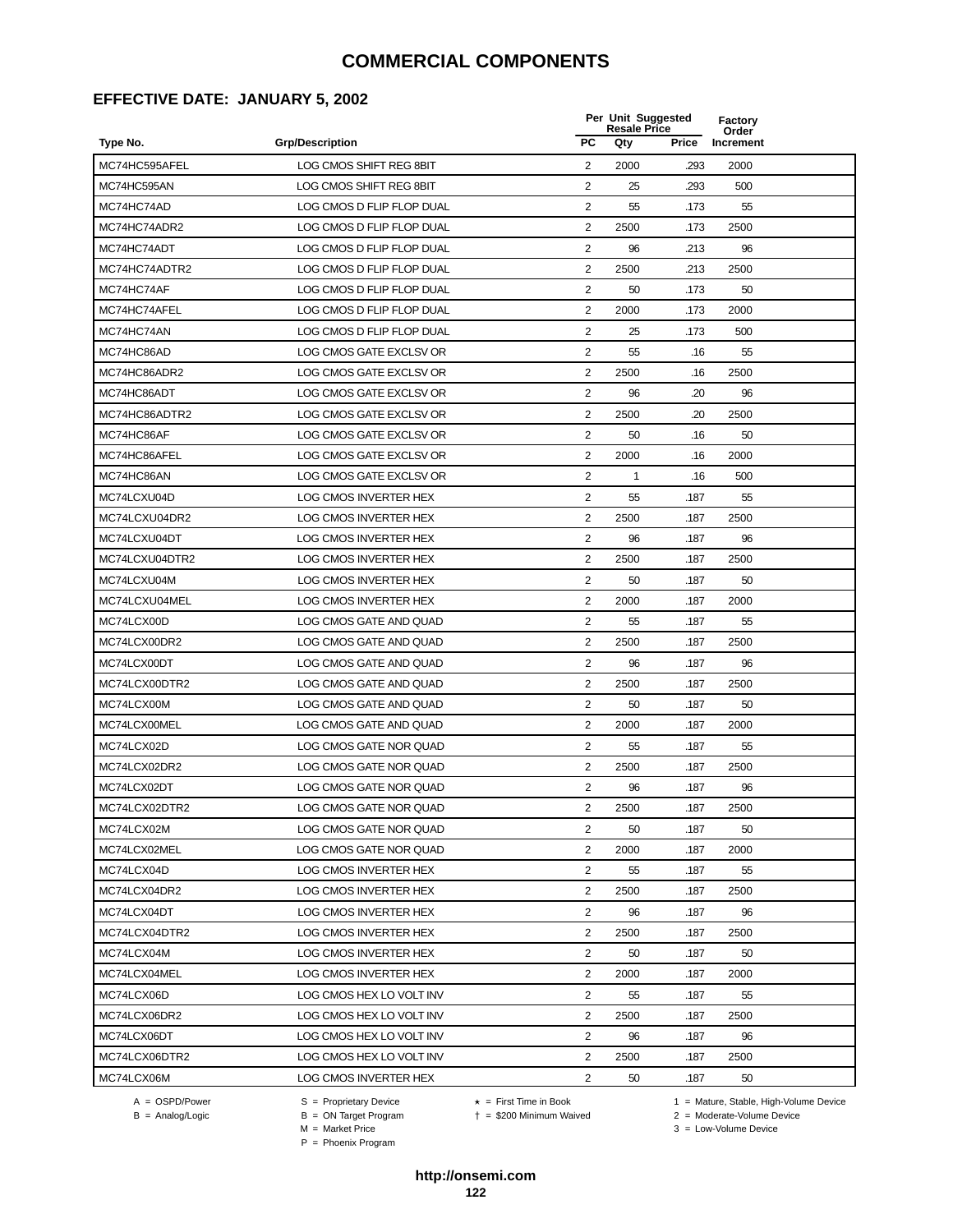#### **EFFECTIVE DATE: JANUARY 5, 2002**

|                |                           | Per Unit Suggested<br><b>Resale Price</b> |      |       | <b>Factory</b><br>Order |  |
|----------------|---------------------------|-------------------------------------------|------|-------|-------------------------|--|
| Type No.       | <b>Grp/Description</b>    | <b>PC</b>                                 | Qty  | Price | Increment               |  |
| MC74HC595AFEL  | LOG CMOS SHIFT REG 8BIT   | 2                                         | 2000 | .293  | 2000                    |  |
| MC74HC595AN    | LOG CMOS SHIFT REG 8BIT   | $\overline{2}$                            | 25   | .293  | 500                     |  |
| MC74HC74AD     | LOG CMOS D FLIP FLOP DUAL | $\overline{2}$                            | 55   | .173  | 55                      |  |
| MC74HC74ADR2   | LOG CMOS D FLIP FLOP DUAL | 2                                         | 2500 | .173  | 2500                    |  |
| MC74HC74ADT    | LOG CMOS D FLIP FLOP DUAL | $\overline{2}$                            | 96   | .213  | 96                      |  |
| MC74HC74ADTR2  | LOG CMOS D FLIP FLOP DUAL | $\overline{2}$                            | 2500 | .213  | 2500                    |  |
| MC74HC74AF     | LOG CMOS D FLIP FLOP DUAL | 2                                         | 50   | .173  | 50                      |  |
| MC74HC74AFEL   | LOG CMOS D FLIP FLOP DUAL | 2                                         | 2000 | .173  | 2000                    |  |
| MC74HC74AN     | LOG CMOS D FLIP FLOP DUAL | 2                                         | 25   | .173  | 500                     |  |
| MC74HC86AD     | LOG CMOS GATE EXCLSV OR   | $\overline{2}$                            | 55   | .16   | 55                      |  |
| MC74HC86ADR2   | LOG CMOS GATE EXCLSV OR   | $\overline{2}$                            | 2500 | .16   | 2500                    |  |
| MC74HC86ADT    | LOG CMOS GATE EXCLSV OR   | $\overline{2}$                            | 96   | .20   | 96                      |  |
| MC74HC86ADTR2  | LOG CMOS GATE EXCLSV OR   | 2                                         | 2500 | .20   | 2500                    |  |
| MC74HC86AF     | LOG CMOS GATE EXCLSV OR   | $\overline{2}$                            | 50   | .16   | 50                      |  |
| MC74HC86AFEL   | LOG CMOS GATE EXCLSV OR   | 2                                         | 2000 | .16   | 2000                    |  |
| MC74HC86AN     | LOG CMOS GATE EXCLSV OR   | $\overline{2}$                            | 1    | .16   | 500                     |  |
| MC74LCXU04D    | LOG CMOS INVERTER HEX     | 2                                         | 55   | .187  | 55                      |  |
| MC74LCXU04DR2  | LOG CMOS INVERTER HEX     | 2                                         | 2500 | .187  | 2500                    |  |
| MC74LCXU04DT   | LOG CMOS INVERTER HEX     | 2                                         | 96   | .187  | 96                      |  |
| MC74LCXU04DTR2 | LOG CMOS INVERTER HEX     | 2                                         | 2500 | .187  | 2500                    |  |
| MC74LCXU04M    | LOG CMOS INVERTER HEX     | $\overline{2}$                            | 50   | .187  | 50                      |  |
| MC74LCXU04MEL  | LOG CMOS INVERTER HEX     | $\overline{2}$                            | 2000 | .187  | 2000                    |  |
| MC74LCX00D     | LOG CMOS GATE AND QUAD    | $\overline{2}$                            | 55   | .187  | 55                      |  |
| MC74LCX00DR2   | LOG CMOS GATE AND QUAD    | 2                                         | 2500 | .187  | 2500                    |  |
| MC74LCX00DT    | LOG CMOS GATE AND QUAD    | $\overline{2}$                            | 96   | .187  | 96                      |  |
| MC74LCX00DTR2  | LOG CMOS GATE AND QUAD    | 2                                         | 2500 | .187  | 2500                    |  |
| MC74LCX00M     | LOG CMOS GATE AND QUAD    | $\overline{2}$                            | 50   | .187  | 50                      |  |
| MC74LCX00MEL   | LOG CMOS GATE AND QUAD    | $\overline{2}$                            | 2000 | .187  | 2000                    |  |
| MC74LCX02D     | LOG CMOS GATE NOR QUAD    | 2                                         | 55   | .187  | 55                      |  |
| MC74LCX02DR2   | LOG CMOS GATE NOR QUAD    | $\overline{2}$                            | 2500 | .187  | 2500                    |  |
| MC74LCX02DT    | LOG CMOS GATE NOR QUAD    | $\overline{2}$                            | 96   | .187  | 96                      |  |
| MC74LCX02DTR2  | LOG CMOS GATE NOR QUAD    | 2                                         | 2500 | .187  | 2500                    |  |
| MC74LCX02M     | LOG CMOS GATE NOR QUAD    | $\overline{2}$                            | 50   | .187  | 50                      |  |
| MC74LCX02MEL   | LOG CMOS GATE NOR QUAD    | 2                                         | 2000 | .187  | 2000                    |  |
| MC74LCX04D     | LOG CMOS INVERTER HEX     | $\overline{2}$                            | 55   | .187  | 55                      |  |
| MC74LCX04DR2   | LOG CMOS INVERTER HEX     | 2                                         | 2500 | .187  | 2500                    |  |
| MC74LCX04DT    | LOG CMOS INVERTER HEX     | 2                                         | 96   | .187  | 96                      |  |
| MC74LCX04DTR2  | LOG CMOS INVERTER HEX     | 2                                         | 2500 | .187  | 2500                    |  |
| MC74LCX04M     | LOG CMOS INVERTER HEX     | $\overline{2}$                            | 50   | .187  | 50                      |  |
| MC74LCX04MEL   | LOG CMOS INVERTER HEX     | $\overline{2}$                            | 2000 | .187  | 2000                    |  |
| MC74LCX06D     | LOG CMOS HEX LO VOLT INV  | 2                                         | 55   | .187  | 55                      |  |
| MC74LCX06DR2   | LOG CMOS HEX LO VOLT INV  | 2                                         | 2500 | .187  | 2500                    |  |
| MC74LCX06DT    | LOG CMOS HEX LO VOLT INV  | 2                                         | 96   | .187  | 96                      |  |
| MC74LCX06DTR2  | LOG CMOS HEX LO VOLT INV  | $\overline{2}$                            | 2500 | .187  | 2500                    |  |
| MC74LCX06M     | LOG CMOS INVERTER HEX     | $\overline{2}$                            | 50   | .187  | 50                      |  |
|                |                           |                                           |      |       |                         |  |

 $B = \text{Analog/Logic}$ <br>B = ON Target Program<br> $M = \text{Market Price}$ 

= \$200 Minimum Waived 2 = Moderate-Volume Device

A = OSPD/Power S = Proprietary Device  $\star$  = First Time in Book 1 = Mature, Stable, High-Volume Device

P = Phoenix Program

 $3 =$  Low-Volume Device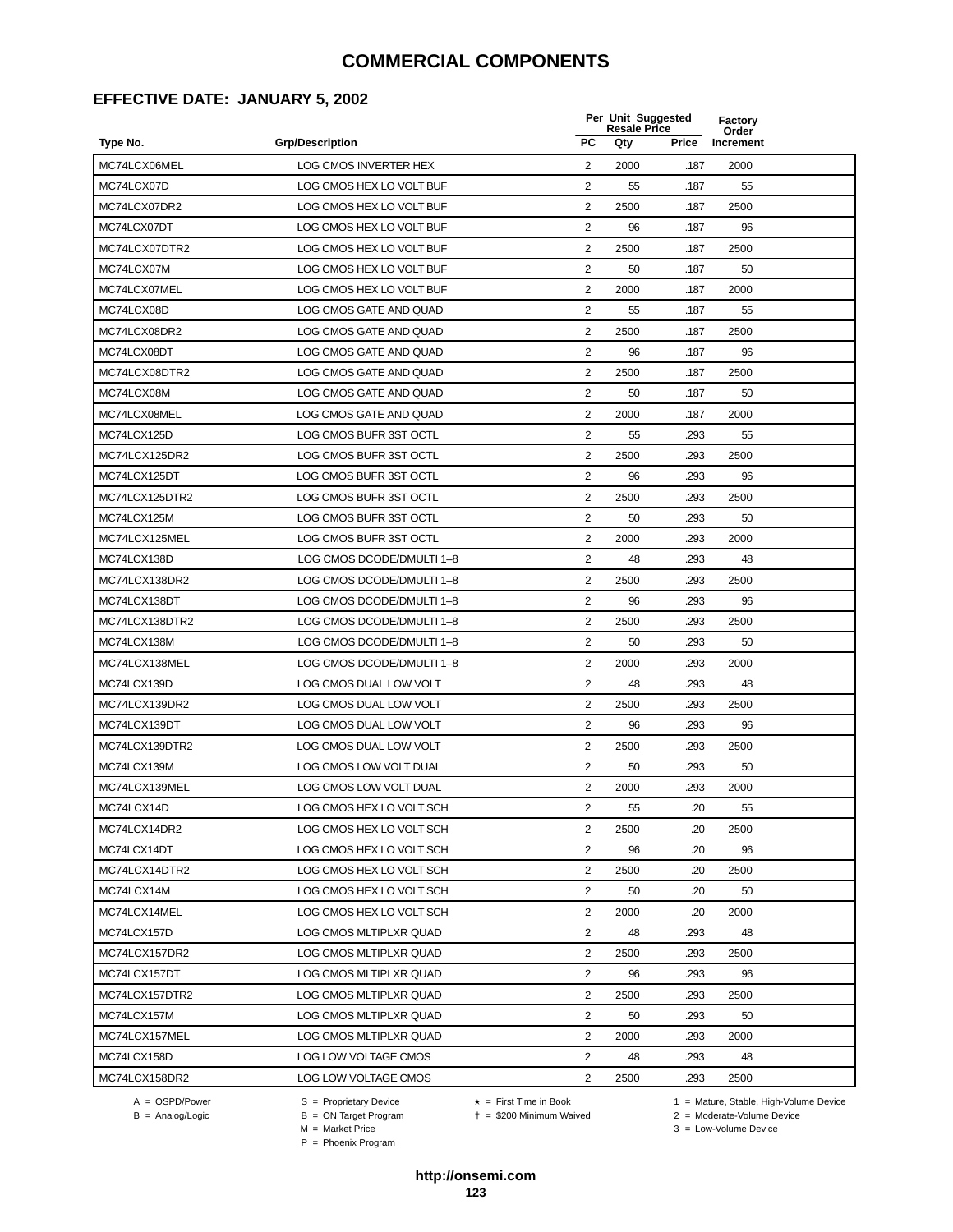#### **EFFECTIVE DATE: JANUARY 5, 2002**

|                |                           |                | Per Unit Suggested<br><b>Resale Price</b> |       | Factory<br>Order |  |
|----------------|---------------------------|----------------|-------------------------------------------|-------|------------------|--|
| Type No.       | <b>Grp/Description</b>    | <b>PC</b>      | Qty                                       | Price | Increment        |  |
| MC74LCX06MEL   | LOG CMOS INVERTER HEX     | 2              | 2000                                      | .187  | 2000             |  |
| MC74LCX07D     | LOG CMOS HEX LO VOLT BUF  | $\overline{2}$ | 55                                        | .187  | 55               |  |
| MC74LCX07DR2   | LOG CMOS HEX LO VOLT BUF  | 2              | 2500                                      | .187  | 2500             |  |
| MC74LCX07DT    | LOG CMOS HEX LO VOLT BUF  | 2              | 96                                        | .187  | 96               |  |
| MC74LCX07DTR2  | LOG CMOS HEX LO VOLT BUF  | 2              | 2500                                      | .187  | 2500             |  |
| MC74LCX07M     | LOG CMOS HEX LO VOLT BUF  | 2              | 50                                        | .187  | 50               |  |
| MC74LCX07MEL   | LOG CMOS HEX LO VOLT BUF  | 2              | 2000                                      | .187  | 2000             |  |
| MC74LCX08D     | LOG CMOS GATE AND QUAD    | 2              | 55                                        | .187  | 55               |  |
| MC74LCX08DR2   | LOG CMOS GATE AND OUAD    | $\overline{2}$ | 2500                                      | .187  | 2500             |  |
| MC74LCX08DT    | LOG CMOS GATE AND QUAD    | 2              | 96                                        | .187  | 96               |  |
| MC74LCX08DTR2  | LOG CMOS GATE AND QUAD    | 2              | 2500                                      | .187  | 2500             |  |
| MC74LCX08M     | LOG CMOS GATE AND QUAD    | $\overline{2}$ | 50                                        | .187  | 50               |  |
| MC74LCX08MEL   | LOG CMOS GATE AND QUAD    | 2              | 2000                                      | .187  | 2000             |  |
| MC74LCX125D    | LOG CMOS BUFR 3ST OCTL    | $\overline{2}$ | 55                                        | .293  | 55               |  |
| MC74LCX125DR2  | LOG CMOS BUFR 3ST OCTL    | 2              | 2500                                      | .293  | 2500             |  |
| MC74LCX125DT   | LOG CMOS BUFR 3ST OCTL    | 2              | 96                                        | .293  | 96               |  |
| MC74LCX125DTR2 | LOG CMOS BUFR 3ST OCTL    | 2              | 2500                                      | .293  | 2500             |  |
| MC74LCX125M    | LOG CMOS BUFR 3ST OCTL    | 2              | 50                                        | .293  | 50               |  |
| MC74LCX125MEL  | LOG CMOS BUFR 3ST OCTL    | 2              | 2000                                      | .293  | 2000             |  |
| MC74LCX138D    | LOG CMOS DCODE/DMULTI 1-8 | 2              | 48                                        | .293  | 48               |  |
| MC74LCX138DR2  | LOG CMOS DCODE/DMULTI 1-8 | 2              | 2500                                      | .293  | 2500             |  |
| MC74LCX138DT   | LOG CMOS DCODE/DMULTI 1-8 | 2              | 96                                        | .293  | 96               |  |
| MC74LCX138DTR2 | LOG CMOS DCODE/DMULTI 1-8 | 2              | 2500                                      | .293  | 2500             |  |
| MC74LCX138M    | LOG CMOS DCODE/DMULTI 1-8 | 2              | 50                                        | .293  | 50               |  |
| MC74LCX138MEL  | LOG CMOS DCODE/DMULTI 1-8 | $\overline{2}$ | 2000                                      | .293  | 2000             |  |
| MC74LCX139D    | LOG CMOS DUAL LOW VOLT    | 2              | 48                                        | .293  | 48               |  |
| MC74LCX139DR2  | LOG CMOS DUAL LOW VOLT    | 2              | 2500                                      | .293  | 2500             |  |
| MC74LCX139DT   | LOG CMOS DUAL LOW VOLT    | 2              | 96                                        | .293  | 96               |  |
| MC74LCX139DTR2 | LOG CMOS DUAL LOW VOLT    | 2              | 2500                                      | .293  | 2500             |  |
| MC74LCX139M    | LOG CMOS LOW VOLT DUAL    | 2              | 50                                        | .293  | 50               |  |
| MC74LCX139MEL  | LOG CMOS LOW VOLT DUAL    | 2              | 2000                                      | .293  | 2000             |  |
| MC74LCX14D     | LOG CMOS HEX LO VOLT SCH  | 2              | 55                                        | .20   | 55               |  |
| MC74LCX14DR2   | LOG CMOS HEX LO VOLT SCH  | 2              | 2500                                      | .20   | 2500             |  |
| MC74LCX14DT    | LOG CMOS HEX LO VOLT SCH  | $\overline{2}$ | 96                                        | .20   | 96               |  |
| MC74LCX14DTR2  | LOG CMOS HEX LO VOLT SCH  | $\overline{2}$ | 2500                                      | .20   | 2500             |  |
| MC74LCX14M     | LOG CMOS HEX LO VOLT SCH  | $\overline{2}$ | 50                                        | .20   | 50               |  |
| MC74LCX14MEL   | LOG CMOS HEX LO VOLT SCH  | 2              | 2000                                      | .20   | 2000             |  |
| MC74LCX157D    | LOG CMOS MLTIPLXR QUAD    | $\overline{2}$ | 48                                        | .293  | 48               |  |
| MC74LCX157DR2  | LOG CMOS MLTIPLXR QUAD    | 2              | 2500                                      | .293  | 2500             |  |
| MC74LCX157DT   | LOG CMOS MLTIPLXR QUAD    | 2              | 96                                        | .293  | 96               |  |
| MC74LCX157DTR2 | LOG CMOS MLTIPLXR QUAD    | 2              | 2500                                      | .293  | 2500             |  |
| MC74LCX157M    | LOG CMOS MLTIPLXR QUAD    | 2              | 50                                        | .293  | 50               |  |
| MC74LCX157MEL  | LOG CMOS MLTIPLXR QUAD    | 2              | 2000                                      | .293  | 2000             |  |
| MC74LCX158D    | LOG LOW VOLTAGE CMOS      | $\overline{2}$ | 48                                        | .293  | 48               |  |
| MC74LCX158DR2  | LOG LOW VOLTAGE CMOS      | 2              | 2500                                      | .293  | 2500             |  |

A = OSPD/Power S = Proprietary Device<br>
B = Analog/Logic B = ON Target Program<br>
M = Market Price

 = \$200 Minimum Waived 2 = Moderate-Volume Device  $2 =$  Moderate-Volume Device<br> $3 =$  Low-Volume Device

A = OSPD/Power S = Proprietary Device  $\star$  = First Time in Book 1 = Mature, Stable, High-Volume Device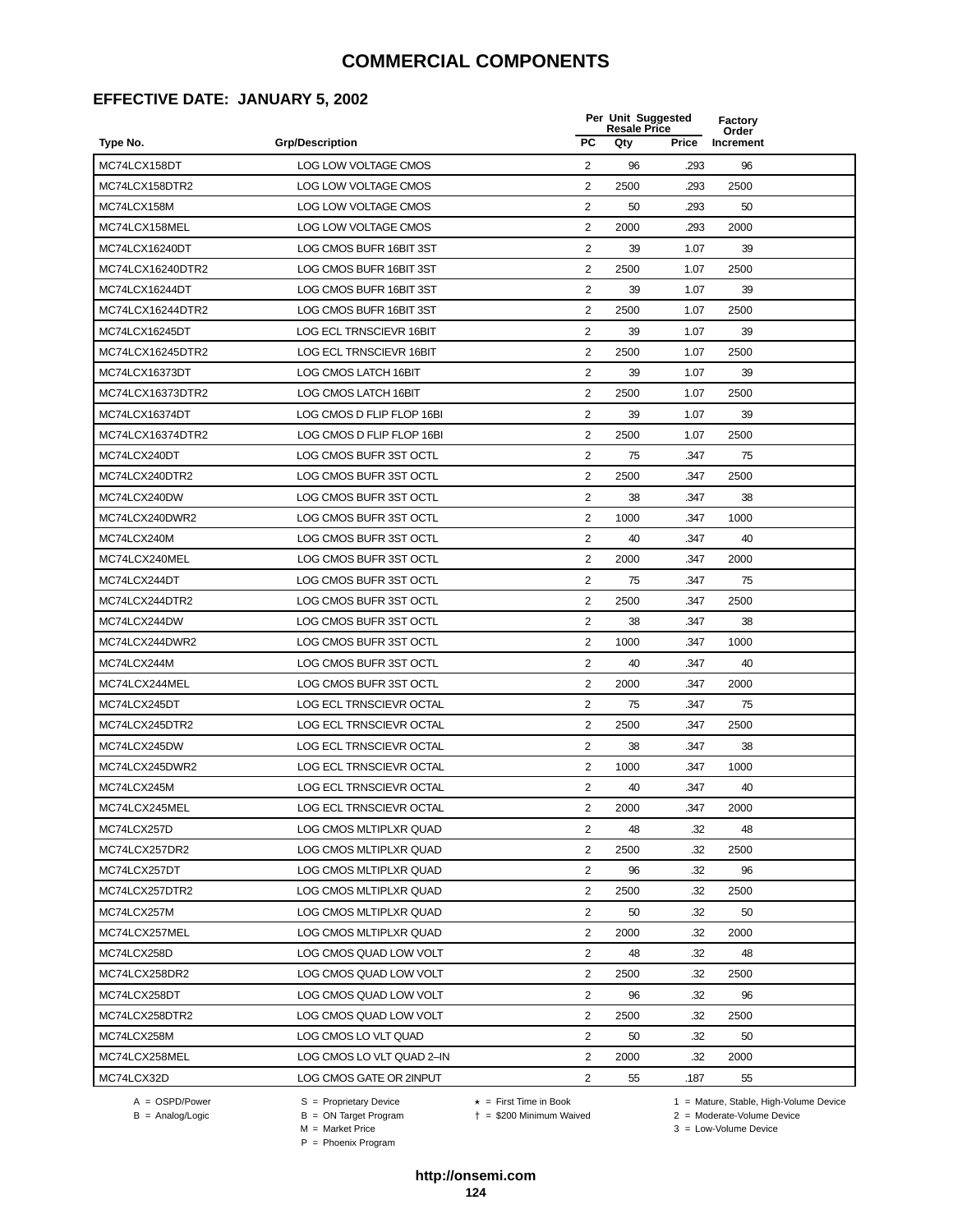#### **EFFECTIVE DATE: JANUARY 5, 2002**

|                  |                             |                | Per Unit Suggested<br><b>Resale Price</b> |       |                    |  |
|------------------|-----------------------------|----------------|-------------------------------------------|-------|--------------------|--|
| Type No.         | <b>Grp/Description</b>      | <b>PC</b>      | Qty                                       | Price | Order<br>Increment |  |
| MC74LCX158DT     | LOG LOW VOLTAGE CMOS        | 2              | 96                                        | .293  | 96                 |  |
| MC74LCX158DTR2   | LOG LOW VOLTAGE CMOS        | 2              | 2500                                      | .293  | 2500               |  |
| MC74LCX158M      | LOG LOW VOLTAGE CMOS        | 2              | 50                                        | .293  | 50                 |  |
| MC74LCX158MEL    | <b>LOG LOW VOLTAGE CMOS</b> | $\overline{2}$ | 2000                                      | .293  | 2000               |  |
| MC74LCX16240DT   | LOG CMOS BUFR 16BIT 3ST     | $\overline{2}$ | 39                                        | 1.07  | 39                 |  |
| MC74LCX16240DTR2 | LOG CMOS BUFR 16BIT 3ST     | $\overline{2}$ | 2500                                      | 1.07  | 2500               |  |
| MC74LCX16244DT   | LOG CMOS BUFR 16BIT 3ST     | $\overline{2}$ | 39                                        | 1.07  | 39                 |  |
| MC74LCX16244DTR2 | LOG CMOS BUFR 16BIT 3ST     | 2              | 2500                                      | 1.07  | 2500               |  |
| MC74LCX16245DT   | LOG ECL TRNSCIEVR 16BIT     | $\overline{c}$ | 39                                        | 1.07  | 39                 |  |
| MC74LCX16245DTR2 | LOG ECL TRNSCIEVR 16BIT     | $\overline{2}$ | 2500                                      | 1.07  | 2500               |  |
| MC74LCX16373DT   | LOG CMOS LATCH 16BIT        | 2              | 39                                        | 1.07  | 39                 |  |
| MC74LCX16373DTR2 | LOG CMOS LATCH 16BIT        | $\overline{2}$ | 2500                                      | 1.07  | 2500               |  |
| MC74LCX16374DT   | LOG CMOS D FLIP FLOP 16BI   | 2              | 39                                        | 1.07  | 39                 |  |
| MC74LCX16374DTR2 | LOG CMOS D FLIP FLOP 16BI   | $\sqrt{2}$     | 2500                                      | 1.07  | 2500               |  |
| MC74LCX240DT     | LOG CMOS BUFR 3ST OCTL      | 2              | 75                                        | .347  | 75                 |  |
| MC74LCX240DTR2   | LOG CMOS BUFR 3ST OCTL      | $\overline{2}$ | 2500                                      | .347  | 2500               |  |
| MC74LCX240DW     | LOG CMOS BUFR 3ST OCTL      | 2              | 38                                        | .347  | 38                 |  |
| MC74LCX240DWR2   | LOG CMOS BUFR 3ST OCTL      | 2              | 1000                                      | .347  | 1000               |  |
| MC74LCX240M      | LOG CMOS BUFR 3ST OCTL      | 2              | 40                                        | .347  | 40                 |  |
| MC74LCX240MEL    | LOG CMOS BUFR 3ST OCTL      | 2              | 2000                                      | .347  | 2000               |  |
| MC74LCX244DT     | LOG CMOS BUFR 3ST OCTL      | $\overline{2}$ | 75                                        | .347  | 75                 |  |
| MC74LCX244DTR2   | LOG CMOS BUFR 3ST OCTL      | $\overline{2}$ | 2500                                      | .347  | 2500               |  |
| MC74LCX244DW     | LOG CMOS BUFR 3ST OCTL      | $\overline{2}$ | 38                                        | .347  | 38                 |  |
| MC74LCX244DWR2   | LOG CMOS BUFR 3ST OCTL      | 2              | 1000                                      | .347  | 1000               |  |
| MC74LCX244M      | LOG CMOS BUFR 3ST OCTL      | $\overline{2}$ | 40                                        | .347  | 40                 |  |
| MC74LCX244MEL    | LOG CMOS BUFR 3ST OCTL      | 2              | 2000                                      | .347  | 2000               |  |
| MC74LCX245DT     | LOG ECL TRNSCIEVR OCTAL     | $\overline{2}$ | 75                                        | .347  | 75                 |  |
| MC74LCX245DTR2   | LOG ECL TRNSCIEVR OCTAL     | $\overline{2}$ | 2500                                      | .347  | 2500               |  |
| MC74LCX245DW     | LOG ECL TRNSCIEVR OCTAL     | 2              | 38                                        | .347  | 38                 |  |
| MC74LCX245DWR2   | LOG ECL TRNSCIEVR OCTAL     | $\overline{2}$ | 1000                                      | .347  | 1000               |  |
| MC74LCX245M      | LOG ECL TRNSCIEVR OCTAL     | $\overline{2}$ | 40                                        | .347  | 40                 |  |
| MC74LCX245MEL    | LOG ECL TRNSCIEVR OCTAL     | 2              | 2000                                      | 347   | 2000               |  |
| MC74LCX257D      | LOG CMOS MLTIPLXR QUAD      | $\overline{2}$ | 48                                        | .32   | 48                 |  |
| MC74LCX257DR2    | LOG CMOS MLTIPLXR QUAD      | 2              | 2500                                      | .32   | 2500               |  |
| MC74LCX257DT     | LOG CMOS MLTIPLXR QUAD      | $\overline{2}$ | 96                                        | .32   | 96                 |  |
| MC74LCX257DTR2   | LOG CMOS MLTIPLXR QUAD      | 2              | 2500                                      | .32   | 2500               |  |
| MC74LCX257M      | LOG CMOS MLTIPLXR QUAD      | 2              | 50                                        | .32   | 50                 |  |
| MC74LCX257MEL    | LOG CMOS MLTIPLXR QUAD      | 2              | 2000                                      | .32   | 2000               |  |
| MC74LCX258D      | LOG CMOS QUAD LOW VOLT      | $\overline{2}$ | 48                                        | .32   | 48                 |  |
| MC74LCX258DR2    | LOG CMOS QUAD LOW VOLT      | $\overline{2}$ | 2500                                      | .32   | 2500               |  |
| MC74LCX258DT     | LOG CMOS QUAD LOW VOLT      | 2              | 96                                        | .32   | 96                 |  |
| MC74LCX258DTR2   | LOG CMOS QUAD LOW VOLT      | 2              | 2500                                      | .32   | 2500               |  |
| MC74LCX258M      | LOG CMOS LO VLT QUAD        | 2              | 50                                        | .32   | 50                 |  |
| MC74LCX258MEL    | LOG CMOS LO VLT QUAD 2-IN   | $\overline{2}$ | 2000                                      | .32   | 2000               |  |
| MC74LCX32D       | LOG CMOS GATE OR 2INPUT     | $\overline{2}$ | 55                                        | .187  | 55                 |  |
|                  |                             |                |                                           |       |                    |  |

B = Analog/Logic<br>B = Analog/Logic<br>M = Market Price

A = OSPD/Power S = Proprietary Device  $\star$  = First Time in Book 1 = Mature, Stable, High-Volume Device

= \$200 Minimum Waived 2 = Moderate-Volume Device

P = Phoenix Program

 $3 =$  Low-Volume Device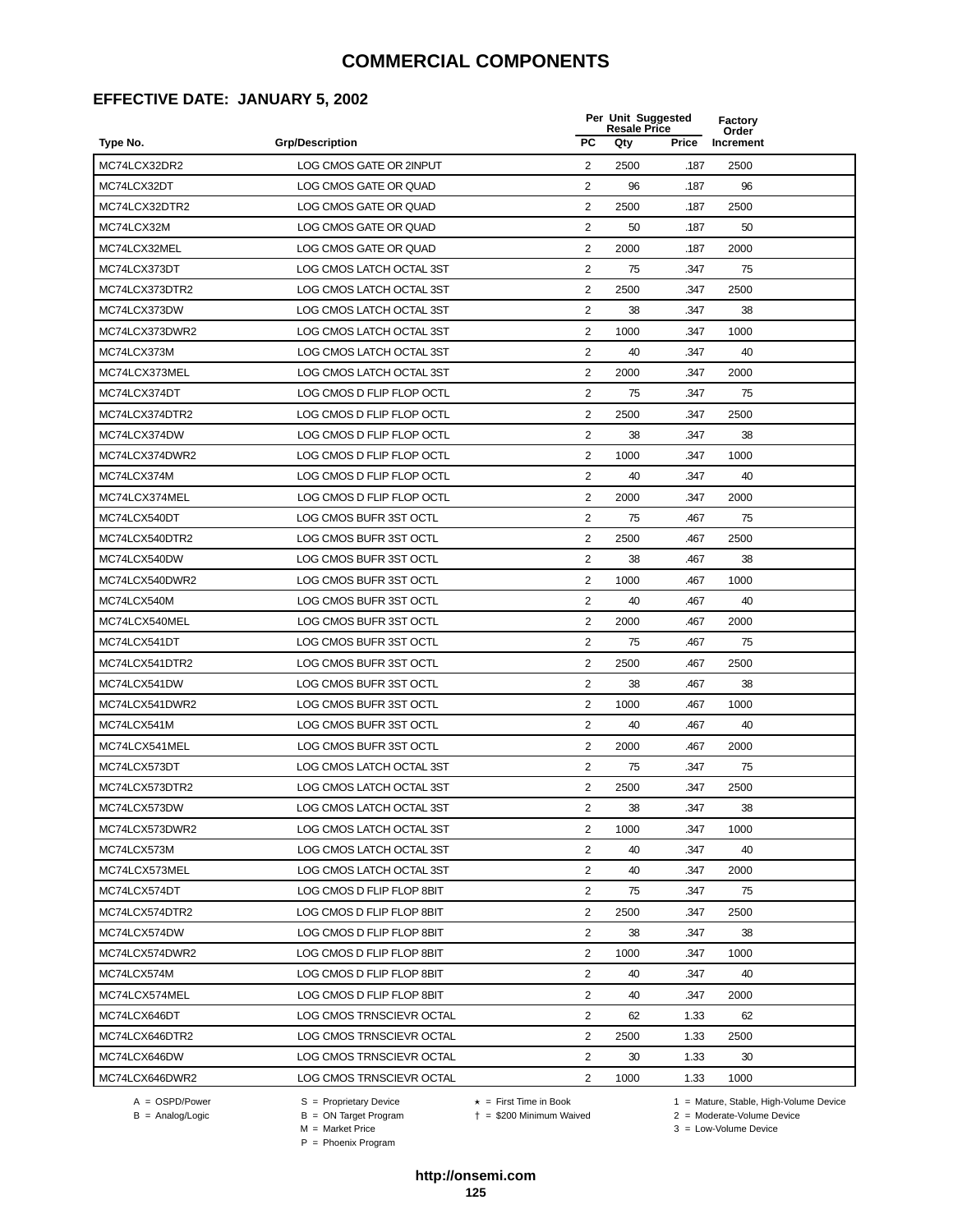#### **EFFECTIVE DATE: JANUARY 5, 2002**

|                |                           |                         | Per Unit Suggested<br><b>Resale Price</b> |              |                    |  |
|----------------|---------------------------|-------------------------|-------------------------------------------|--------------|--------------------|--|
| Type No.       | <b>Grp/Description</b>    | <b>PC</b>               | Qty                                       | <b>Price</b> | Order<br>Increment |  |
| MC74LCX32DR2   | LOG CMOS GATE OR 2INPUT   | 2                       | 2500                                      | .187         | 2500               |  |
| MC74LCX32DT    | LOG CMOS GATE OR QUAD     | 2                       | 96                                        | .187         | 96                 |  |
| MC74LCX32DTR2  | LOG CMOS GATE OR QUAD     | 2                       | 2500                                      | .187         | 2500               |  |
| MC74LCX32M     | LOG CMOS GATE OR QUAD     | 2                       | 50                                        | .187         | 50                 |  |
| MC74LCX32MEL   | LOG CMOS GATE OR QUAD     | $\overline{\mathbf{c}}$ | 2000                                      | .187         | 2000               |  |
| MC74LCX373DT   | LOG CMOS LATCH OCTAL 3ST  | $\overline{2}$          | 75                                        | .347         | 75                 |  |
| MC74LCX373DTR2 | LOG CMOS LATCH OCTAL 3ST  | $\overline{2}$          | 2500                                      | .347         | 2500               |  |
| MC74LCX373DW   | LOG CMOS LATCH OCTAL 3ST  | 2                       | 38                                        | .347         | 38                 |  |
| MC74LCX373DWR2 | LOG CMOS LATCH OCTAL 3ST  | 2                       | 1000                                      | .347         | 1000               |  |
| MC74LCX373M    | LOG CMOS LATCH OCTAL 3ST  | 2                       | 40                                        | .347         | 40                 |  |
| MC74LCX373MEL  | LOG CMOS LATCH OCTAL 3ST  | 2                       | 2000                                      | .347         | 2000               |  |
| MC74LCX374DT   | LOG CMOS D FLIP FLOP OCTL | 2                       | 75                                        | .347         | 75                 |  |
| MC74LCX374DTR2 | LOG CMOS D FLIP FLOP OCTL | 2                       | 2500                                      | .347         | 2500               |  |
| MC74LCX374DW   | LOG CMOS D FLIP FLOP OCTL | $\overline{\mathbf{c}}$ | 38                                        | .347         | 38                 |  |
| MC74LCX374DWR2 | LOG CMOS D FLIP FLOP OCTL | $\overline{2}$          | 1000                                      | .347         | 1000               |  |
| MC74LCX374M    | LOG CMOS D FLIP FLOP OCTL | $\overline{2}$          | 40                                        | .347         | 40                 |  |
| MC74LCX374MEL  | LOG CMOS D FLIP FLOP OCTL | $\overline{2}$          | 2000                                      | .347         | 2000               |  |
| MC74LCX540DT   | LOG CMOS BUFR 3ST OCTL    | $\overline{2}$          | 75                                        | .467         | 75                 |  |
| MC74LCX540DTR2 | LOG CMOS BUFR 3ST OCTL    | 2                       | 2500                                      | .467         | 2500               |  |
| MC74LCX540DW   | LOG CMOS BUFR 3ST OCTL    | 2                       | 38                                        | .467         | 38                 |  |
| MC74LCX540DWR2 | LOG CMOS BUFR 3ST OCTL    | 2                       | 1000                                      | .467         | 1000               |  |
| MC74LCX540M    | LOG CMOS BUFR 3ST OCTL    | 2                       | 40                                        | .467         | 40                 |  |
| MC74LCX540MEL  | LOG CMOS BUFR 3ST OCTL    | 2                       | 2000                                      | .467         | 2000               |  |
| MC74LCX541DT   | LOG CMOS BUFR 3ST OCTL    | 2                       | 75                                        | .467         | 75                 |  |
| MC74LCX541DTR2 | LOG CMOS BUFR 3ST OCTL    | $\overline{2}$          | 2500                                      | .467         | 2500               |  |
| MC74LCX541DW   | LOG CMOS BUFR 3ST OCTL    | $\overline{2}$          | 38                                        | .467         | 38                 |  |
| MC74LCX541DWR2 | LOG CMOS BUFR 3ST OCTL    | $\overline{c}$          | 1000                                      | .467         | 1000               |  |
| MC74LCX541M    | LOG CMOS BUFR 3ST OCTL    | 2                       | 40                                        | .467         | 40                 |  |
| MC74LCX541MEL  | LOG CMOS BUFR 3ST OCTL    | 2                       | 2000                                      | .467         | 2000               |  |
| MC74LCX573DT   | LOG CMOS LATCH OCTAL 3ST  | $\overline{2}$          | 75                                        | .347         | 75                 |  |
| MC74LCX573DTR2 | LOG CMOS LATCH OCTAL 3ST  | 2                       | 2500                                      | .347         | 2500               |  |
| MC74LCX573DW   | LOG CMOS LATCH OCTAL 3ST  | $\overline{\mathbf{c}}$ | 38                                        | 347          | 38                 |  |
| MC74LCX573DWR2 | LOG CMOS LATCH OCTAL 3ST  | $\overline{2}$          | 1000                                      | .347         | 1000               |  |
| MC74LCX573M    | LOG CMOS LATCH OCTAL 3ST  | 2                       | 40                                        | .347         | 40                 |  |
| MC74LCX573MEL  | LOG CMOS LATCH OCTAL 3ST  | $\overline{2}$          | 40                                        | .347         | 2000               |  |
| MC74LCX574DT   | LOG CMOS D FLIP FLOP 8BIT | $\overline{2}$          | 75                                        | .347         | 75                 |  |
| MC74LCX574DTR2 | LOG CMOS D FLIP FLOP 8BIT | $\overline{\mathbf{c}}$ | 2500                                      | .347         | 2500               |  |
| MC74LCX574DW   | LOG CMOS D FLIP FLOP 8BIT | 2                       | 38                                        | .347         | 38                 |  |
| MC74LCX574DWR2 | LOG CMOS D FLIP FLOP 8BIT | 2                       | 1000                                      | .347         | 1000               |  |
| MC74LCX574M    | LOG CMOS D FLIP FLOP 8BIT | $\overline{2}$          | 40                                        | .347         | 40                 |  |
| MC74LCX574MEL  | LOG CMOS D FLIP FLOP 8BIT | $\overline{2}$          | 40                                        | .347         | 2000               |  |
| MC74LCX646DT   | LOG CMOS TRNSCIEVR OCTAL  | $\overline{2}$          | 62                                        | 1.33         | 62                 |  |
| MC74LCX646DTR2 | LOG CMOS TRNSCIEVR OCTAL  | 2                       | 2500                                      | 1.33         | 2500               |  |
| MC74LCX646DW   | LOG CMOS TRNSCIEVR OCTAL  | 2                       | 30                                        | 1.33         | 30                 |  |
| MC74LCX646DWR2 | LOG CMOS TRNSCIEVR OCTAL  | 2                       | 1000                                      | 1.33         | 1000               |  |
|                |                           |                         |                                           |              |                    |  |

 $B = \text{Analog/Logic}$ <br>B = ON Target Program<br> $M = \text{Market Price}$ 

= \$200 Minimum Waived 2 = Moderate-Volume Device

A = OSPD/Power S = Proprietary Device  $\star$  = First Time in Book 1 = Mature, Stable, High-Volume Device

 $3 =$  Low-Volume Device

P = Phoenix Program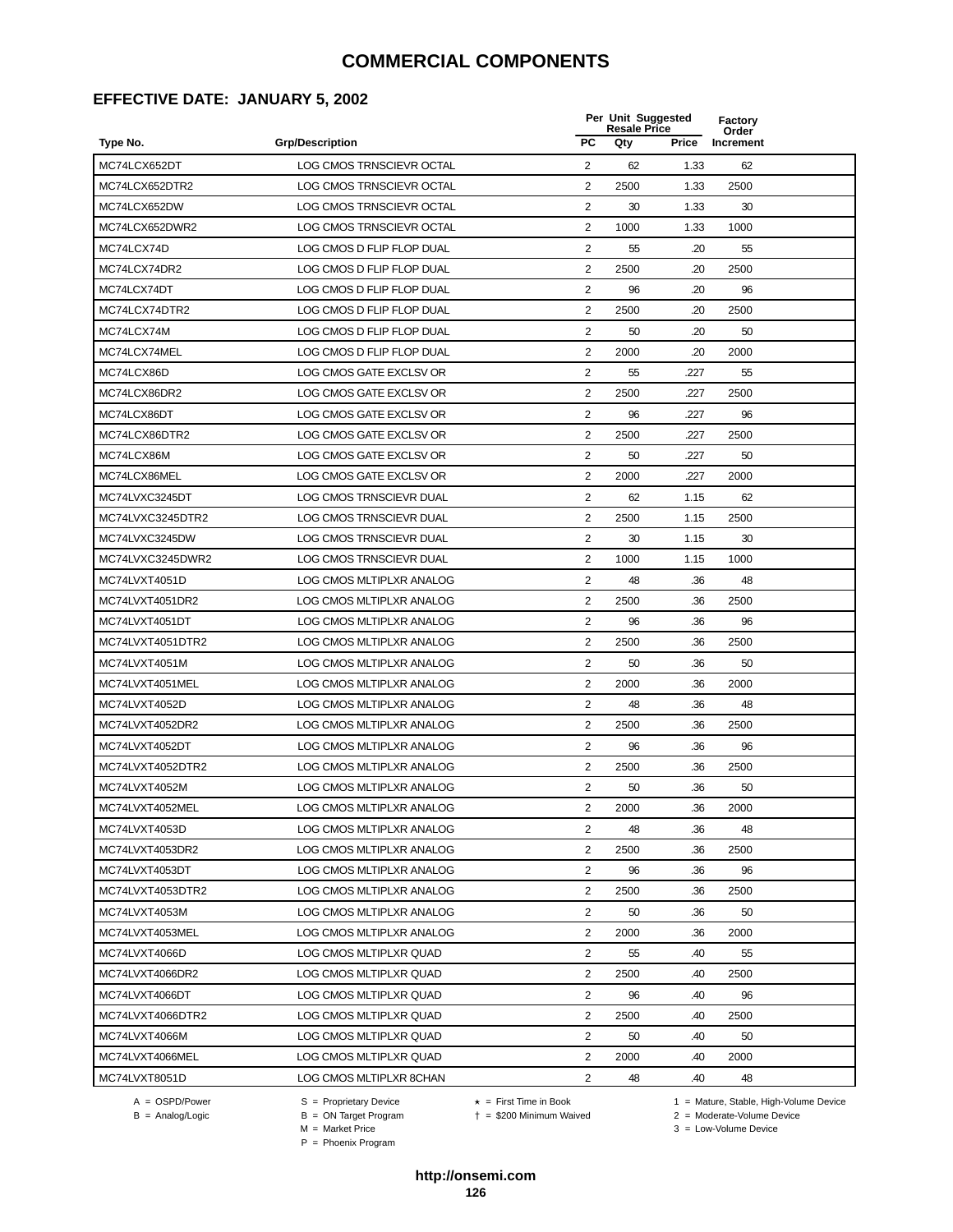#### **EFFECTIVE DATE: JANUARY 5, 2002**

| <b>PC</b><br>Type No.<br><b>Grp/Description</b><br>Qty<br>Price<br>Increment<br>MC74LCX652DT<br>LOG CMOS TRNSCIEVR OCTAL<br>2<br>62<br>1.33<br>62<br>2<br>MC74LCX652DTR2<br>LOG CMOS TRNSCIEVR OCTAL<br>2500<br>1.33<br>2500<br>2<br>30<br>30<br>MC74LCX652DW<br>LOG CMOS TRNSCIEVR OCTAL<br>1.33<br>2<br>MC74LCX652DWR2<br>LOG CMOS TRNSCIEVR OCTAL<br>1000<br>1.33<br>1000<br>2<br>MC74LCX74D<br>.20<br>LOG CMOS D FLIP FLOP DUAL<br>55<br>55<br>MC74LCX74DR2<br>LOG CMOS D FLIP FLOP DUAL<br>$\overline{2}$<br>2500<br>2500<br>.20<br>$\overline{2}$<br>96<br>.20<br>MC74LCX74DT<br>LOG CMOS D FLIP FLOP DUAL<br>96<br>LOG CMOS D FLIP FLOP DUAL<br>2<br>2500<br>2500<br>MC74LCX74DTR2<br>.20<br>2<br>MC74LCX74M<br>LOG CMOS D FLIP FLOP DUAL<br>50<br>.20<br>50<br>$\overline{2}$<br>2000<br>2000<br>MC74LCX74MEL<br>LOG CMOS D FLIP FLOP DUAL<br>.20<br>MC74LCX86D<br>LOG CMOS GATE EXCLSV OR<br>2<br>55<br>.227<br>55<br>$\overline{2}$<br>MC74LCX86DR2<br>LOG CMOS GATE EXCLSV OR<br>2500<br>.227<br>2500<br>2<br>MC74LCX86DT<br>LOG CMOS GATE EXCLSV OR<br>96<br>.227<br>96<br>$\overline{2}$<br>MC74LCX86DTR2<br>LOG CMOS GATE EXCLSV OR<br>2500<br>.227<br>2500<br>MC74LCX86M<br>LOG CMOS GATE EXCLSV OR<br>2<br>50<br>.227<br>50<br>$\overline{2}$<br>.227<br>2000<br>MC74LCX86MEL<br>LOG CMOS GATE EXCLSV OR<br>2000<br>2<br>MC74LVXC3245DT<br><b>LOG CMOS TRNSCIEVR DUAL</b><br>62<br>1.15<br>62<br>2<br>2500<br>MC74LVXC3245DTR2<br><b>LOG CMOS TRNSCIEVR DUAL</b><br>2500<br>1.15<br>MC74LVXC3245DW<br>2<br>LOG CMOS TRNSCIEVR DUAL<br>30<br>1.15<br>30<br>MC74LVXC3245DWR2<br><b>LOG CMOS TRNSCIEVR DUAL</b><br>2<br>1000<br>1.15<br>1000<br>$\overline{2}$<br>48<br>MC74LVXT4051D<br>LOG CMOS MLTIPLXR ANALOG<br>.36<br>48<br>2<br>MC74LVXT4051DR2<br>LOG CMOS MLTIPLXR ANALOG<br>2500<br>.36<br>2500<br>2<br>MC74LVXT4051DT<br>LOG CMOS MLTIPLXR ANALOG<br>96<br>.36<br>96<br>LOG CMOS MLTIPLXR ANALOG<br>2<br>2500<br>2500<br>MC74LVXT4051DTR2<br>.36<br>$\overline{2}$<br>50<br>.36<br>50<br>MC74LVXT4051M<br>LOG CMOS MLTIPLXR ANALOG<br>2<br>2000<br>2000<br>MC74LVXT4051MEL<br>LOG CMOS MLTIPLXR ANALOG<br>.36<br>$\overline{2}$<br>MC74LVXT4052D<br>LOG CMOS MLTIPLXR ANALOG<br>48<br>.36<br>48<br>$\overline{2}$<br>2500<br>2500<br>MC74LVXT4052DR2<br>LOG CMOS MLTIPLXR ANALOG<br>.36<br>96<br>MC74LVXT4052DT<br>LOG CMOS MLTIPLXR ANALOG<br>2<br>.36<br>96<br>$\overline{2}$<br>MC74LVXT4052DTR2<br>LOG CMOS MLTIPLXR ANALOG<br>2500<br>.36<br>2500<br>$\overline{2}$<br>MC74LVXT4052M<br>LOG CMOS MLTIPLXR ANALOG<br>50<br>.36<br>50<br>2<br>2000<br>2000<br>MC74LVXT4052MEL<br>36<br>LOG CMOS MLTIPLXR ANALOG<br>$\overline{2}$<br>MC74LVXT4053D<br>LOG CMOS MLTIPLXR ANALOG<br>48<br>.36<br>48<br>$\overline{2}$<br>LOG CMOS MLTIPLXR ANALOG<br>2500<br>.36<br>2500<br>MC74LVXT4053DR2<br>$\overline{2}$<br>96<br>.36<br>MC74LVXT4053DT<br>LOG CMOS MLTIPLXR ANALOG<br>96<br>2<br>MC74LVXT4053DTR2<br>LOG CMOS MLTIPLXR ANALOG<br>2500<br>.36<br>2500<br>2<br>LOG CMOS MLTIPLXR ANALOG<br>50<br>.36<br>50<br>MC74LVXT4053M<br>$\overline{2}$<br>2000<br>.36<br>2000<br>MC74LVXT4053MEL<br>LOG CMOS MLTIPLXR ANALOG<br>$\overline{2}$<br>MC74LVXT4066D<br>LOG CMOS MLTIPLXR QUAD<br>55<br>.40<br>55<br>$\overline{2}$<br>MC74LVXT4066DR2<br>2500<br>.40<br>2500<br>LOG CMOS MLTIPLXR QUAD<br>2<br>MC74LVXT4066DT<br>LOG CMOS MLTIPLXR QUAD<br>96<br>.40<br>96<br>2<br>2500<br>.40<br>2500<br>MC74LVXT4066DTR2<br>LOG CMOS MLTIPLXR QUAD<br>2<br>50<br>.40<br>50<br>MC74LVXT4066M<br>LOG CMOS MLTIPLXR QUAD<br>$\overline{2}$<br>2000<br>.40<br>2000<br>MC74LVXT4066MEL<br>LOG CMOS MLTIPLXR QUAD<br>$\overline{2}$<br>MC74LVXT8051D<br>48<br>48<br>LOG CMOS MLTIPLXR 8CHAN<br>.40 |  | Per Unit Suggested<br><b>Resale Price</b> |  |  | <b>Factory</b><br>Order |  |
|----------------------------------------------------------------------------------------------------------------------------------------------------------------------------------------------------------------------------------------------------------------------------------------------------------------------------------------------------------------------------------------------------------------------------------------------------------------------------------------------------------------------------------------------------------------------------------------------------------------------------------------------------------------------------------------------------------------------------------------------------------------------------------------------------------------------------------------------------------------------------------------------------------------------------------------------------------------------------------------------------------------------------------------------------------------------------------------------------------------------------------------------------------------------------------------------------------------------------------------------------------------------------------------------------------------------------------------------------------------------------------------------------------------------------------------------------------------------------------------------------------------------------------------------------------------------------------------------------------------------------------------------------------------------------------------------------------------------------------------------------------------------------------------------------------------------------------------------------------------------------------------------------------------------------------------------------------------------------------------------------------------------------------------------------------------------------------------------------------------------------------------------------------------------------------------------------------------------------------------------------------------------------------------------------------------------------------------------------------------------------------------------------------------------------------------------------------------------------------------------------------------------------------------------------------------------------------------------------------------------------------------------------------------------------------------------------------------------------------------------------------------------------------------------------------------------------------------------------------------------------------------------------------------------------------------------------------------------------------------------------------------------------------------------------------------------------------------------------------------------------------------------------------------------------------------------------------------------------------------------------------------------------------------------------------------------------------------------------------------------------------------------------------------------------------------------------------------------------------------------------------------------------------------------------------------------------------------------------------------------------------------------------------------------------------------------------------------|--|-------------------------------------------|--|--|-------------------------|--|
|                                                                                                                                                                                                                                                                                                                                                                                                                                                                                                                                                                                                                                                                                                                                                                                                                                                                                                                                                                                                                                                                                                                                                                                                                                                                                                                                                                                                                                                                                                                                                                                                                                                                                                                                                                                                                                                                                                                                                                                                                                                                                                                                                                                                                                                                                                                                                                                                                                                                                                                                                                                                                                                                                                                                                                                                                                                                                                                                                                                                                                                                                                                                                                                                                                                                                                                                                                                                                                                                                                                                                                                                                                                                                                                |  |                                           |  |  |                         |  |
|                                                                                                                                                                                                                                                                                                                                                                                                                                                                                                                                                                                                                                                                                                                                                                                                                                                                                                                                                                                                                                                                                                                                                                                                                                                                                                                                                                                                                                                                                                                                                                                                                                                                                                                                                                                                                                                                                                                                                                                                                                                                                                                                                                                                                                                                                                                                                                                                                                                                                                                                                                                                                                                                                                                                                                                                                                                                                                                                                                                                                                                                                                                                                                                                                                                                                                                                                                                                                                                                                                                                                                                                                                                                                                                |  |                                           |  |  |                         |  |
|                                                                                                                                                                                                                                                                                                                                                                                                                                                                                                                                                                                                                                                                                                                                                                                                                                                                                                                                                                                                                                                                                                                                                                                                                                                                                                                                                                                                                                                                                                                                                                                                                                                                                                                                                                                                                                                                                                                                                                                                                                                                                                                                                                                                                                                                                                                                                                                                                                                                                                                                                                                                                                                                                                                                                                                                                                                                                                                                                                                                                                                                                                                                                                                                                                                                                                                                                                                                                                                                                                                                                                                                                                                                                                                |  |                                           |  |  |                         |  |
|                                                                                                                                                                                                                                                                                                                                                                                                                                                                                                                                                                                                                                                                                                                                                                                                                                                                                                                                                                                                                                                                                                                                                                                                                                                                                                                                                                                                                                                                                                                                                                                                                                                                                                                                                                                                                                                                                                                                                                                                                                                                                                                                                                                                                                                                                                                                                                                                                                                                                                                                                                                                                                                                                                                                                                                                                                                                                                                                                                                                                                                                                                                                                                                                                                                                                                                                                                                                                                                                                                                                                                                                                                                                                                                |  |                                           |  |  |                         |  |
|                                                                                                                                                                                                                                                                                                                                                                                                                                                                                                                                                                                                                                                                                                                                                                                                                                                                                                                                                                                                                                                                                                                                                                                                                                                                                                                                                                                                                                                                                                                                                                                                                                                                                                                                                                                                                                                                                                                                                                                                                                                                                                                                                                                                                                                                                                                                                                                                                                                                                                                                                                                                                                                                                                                                                                                                                                                                                                                                                                                                                                                                                                                                                                                                                                                                                                                                                                                                                                                                                                                                                                                                                                                                                                                |  |                                           |  |  |                         |  |
|                                                                                                                                                                                                                                                                                                                                                                                                                                                                                                                                                                                                                                                                                                                                                                                                                                                                                                                                                                                                                                                                                                                                                                                                                                                                                                                                                                                                                                                                                                                                                                                                                                                                                                                                                                                                                                                                                                                                                                                                                                                                                                                                                                                                                                                                                                                                                                                                                                                                                                                                                                                                                                                                                                                                                                                                                                                                                                                                                                                                                                                                                                                                                                                                                                                                                                                                                                                                                                                                                                                                                                                                                                                                                                                |  |                                           |  |  |                         |  |
|                                                                                                                                                                                                                                                                                                                                                                                                                                                                                                                                                                                                                                                                                                                                                                                                                                                                                                                                                                                                                                                                                                                                                                                                                                                                                                                                                                                                                                                                                                                                                                                                                                                                                                                                                                                                                                                                                                                                                                                                                                                                                                                                                                                                                                                                                                                                                                                                                                                                                                                                                                                                                                                                                                                                                                                                                                                                                                                                                                                                                                                                                                                                                                                                                                                                                                                                                                                                                                                                                                                                                                                                                                                                                                                |  |                                           |  |  |                         |  |
|                                                                                                                                                                                                                                                                                                                                                                                                                                                                                                                                                                                                                                                                                                                                                                                                                                                                                                                                                                                                                                                                                                                                                                                                                                                                                                                                                                                                                                                                                                                                                                                                                                                                                                                                                                                                                                                                                                                                                                                                                                                                                                                                                                                                                                                                                                                                                                                                                                                                                                                                                                                                                                                                                                                                                                                                                                                                                                                                                                                                                                                                                                                                                                                                                                                                                                                                                                                                                                                                                                                                                                                                                                                                                                                |  |                                           |  |  |                         |  |
|                                                                                                                                                                                                                                                                                                                                                                                                                                                                                                                                                                                                                                                                                                                                                                                                                                                                                                                                                                                                                                                                                                                                                                                                                                                                                                                                                                                                                                                                                                                                                                                                                                                                                                                                                                                                                                                                                                                                                                                                                                                                                                                                                                                                                                                                                                                                                                                                                                                                                                                                                                                                                                                                                                                                                                                                                                                                                                                                                                                                                                                                                                                                                                                                                                                                                                                                                                                                                                                                                                                                                                                                                                                                                                                |  |                                           |  |  |                         |  |
|                                                                                                                                                                                                                                                                                                                                                                                                                                                                                                                                                                                                                                                                                                                                                                                                                                                                                                                                                                                                                                                                                                                                                                                                                                                                                                                                                                                                                                                                                                                                                                                                                                                                                                                                                                                                                                                                                                                                                                                                                                                                                                                                                                                                                                                                                                                                                                                                                                                                                                                                                                                                                                                                                                                                                                                                                                                                                                                                                                                                                                                                                                                                                                                                                                                                                                                                                                                                                                                                                                                                                                                                                                                                                                                |  |                                           |  |  |                         |  |
|                                                                                                                                                                                                                                                                                                                                                                                                                                                                                                                                                                                                                                                                                                                                                                                                                                                                                                                                                                                                                                                                                                                                                                                                                                                                                                                                                                                                                                                                                                                                                                                                                                                                                                                                                                                                                                                                                                                                                                                                                                                                                                                                                                                                                                                                                                                                                                                                                                                                                                                                                                                                                                                                                                                                                                                                                                                                                                                                                                                                                                                                                                                                                                                                                                                                                                                                                                                                                                                                                                                                                                                                                                                                                                                |  |                                           |  |  |                         |  |
|                                                                                                                                                                                                                                                                                                                                                                                                                                                                                                                                                                                                                                                                                                                                                                                                                                                                                                                                                                                                                                                                                                                                                                                                                                                                                                                                                                                                                                                                                                                                                                                                                                                                                                                                                                                                                                                                                                                                                                                                                                                                                                                                                                                                                                                                                                                                                                                                                                                                                                                                                                                                                                                                                                                                                                                                                                                                                                                                                                                                                                                                                                                                                                                                                                                                                                                                                                                                                                                                                                                                                                                                                                                                                                                |  |                                           |  |  |                         |  |
|                                                                                                                                                                                                                                                                                                                                                                                                                                                                                                                                                                                                                                                                                                                                                                                                                                                                                                                                                                                                                                                                                                                                                                                                                                                                                                                                                                                                                                                                                                                                                                                                                                                                                                                                                                                                                                                                                                                                                                                                                                                                                                                                                                                                                                                                                                                                                                                                                                                                                                                                                                                                                                                                                                                                                                                                                                                                                                                                                                                                                                                                                                                                                                                                                                                                                                                                                                                                                                                                                                                                                                                                                                                                                                                |  |                                           |  |  |                         |  |
|                                                                                                                                                                                                                                                                                                                                                                                                                                                                                                                                                                                                                                                                                                                                                                                                                                                                                                                                                                                                                                                                                                                                                                                                                                                                                                                                                                                                                                                                                                                                                                                                                                                                                                                                                                                                                                                                                                                                                                                                                                                                                                                                                                                                                                                                                                                                                                                                                                                                                                                                                                                                                                                                                                                                                                                                                                                                                                                                                                                                                                                                                                                                                                                                                                                                                                                                                                                                                                                                                                                                                                                                                                                                                                                |  |                                           |  |  |                         |  |
|                                                                                                                                                                                                                                                                                                                                                                                                                                                                                                                                                                                                                                                                                                                                                                                                                                                                                                                                                                                                                                                                                                                                                                                                                                                                                                                                                                                                                                                                                                                                                                                                                                                                                                                                                                                                                                                                                                                                                                                                                                                                                                                                                                                                                                                                                                                                                                                                                                                                                                                                                                                                                                                                                                                                                                                                                                                                                                                                                                                                                                                                                                                                                                                                                                                                                                                                                                                                                                                                                                                                                                                                                                                                                                                |  |                                           |  |  |                         |  |
|                                                                                                                                                                                                                                                                                                                                                                                                                                                                                                                                                                                                                                                                                                                                                                                                                                                                                                                                                                                                                                                                                                                                                                                                                                                                                                                                                                                                                                                                                                                                                                                                                                                                                                                                                                                                                                                                                                                                                                                                                                                                                                                                                                                                                                                                                                                                                                                                                                                                                                                                                                                                                                                                                                                                                                                                                                                                                                                                                                                                                                                                                                                                                                                                                                                                                                                                                                                                                                                                                                                                                                                                                                                                                                                |  |                                           |  |  |                         |  |
|                                                                                                                                                                                                                                                                                                                                                                                                                                                                                                                                                                                                                                                                                                                                                                                                                                                                                                                                                                                                                                                                                                                                                                                                                                                                                                                                                                                                                                                                                                                                                                                                                                                                                                                                                                                                                                                                                                                                                                                                                                                                                                                                                                                                                                                                                                                                                                                                                                                                                                                                                                                                                                                                                                                                                                                                                                                                                                                                                                                                                                                                                                                                                                                                                                                                                                                                                                                                                                                                                                                                                                                                                                                                                                                |  |                                           |  |  |                         |  |
|                                                                                                                                                                                                                                                                                                                                                                                                                                                                                                                                                                                                                                                                                                                                                                                                                                                                                                                                                                                                                                                                                                                                                                                                                                                                                                                                                                                                                                                                                                                                                                                                                                                                                                                                                                                                                                                                                                                                                                                                                                                                                                                                                                                                                                                                                                                                                                                                                                                                                                                                                                                                                                                                                                                                                                                                                                                                                                                                                                                                                                                                                                                                                                                                                                                                                                                                                                                                                                                                                                                                                                                                                                                                                                                |  |                                           |  |  |                         |  |
|                                                                                                                                                                                                                                                                                                                                                                                                                                                                                                                                                                                                                                                                                                                                                                                                                                                                                                                                                                                                                                                                                                                                                                                                                                                                                                                                                                                                                                                                                                                                                                                                                                                                                                                                                                                                                                                                                                                                                                                                                                                                                                                                                                                                                                                                                                                                                                                                                                                                                                                                                                                                                                                                                                                                                                                                                                                                                                                                                                                                                                                                                                                                                                                                                                                                                                                                                                                                                                                                                                                                                                                                                                                                                                                |  |                                           |  |  |                         |  |
|                                                                                                                                                                                                                                                                                                                                                                                                                                                                                                                                                                                                                                                                                                                                                                                                                                                                                                                                                                                                                                                                                                                                                                                                                                                                                                                                                                                                                                                                                                                                                                                                                                                                                                                                                                                                                                                                                                                                                                                                                                                                                                                                                                                                                                                                                                                                                                                                                                                                                                                                                                                                                                                                                                                                                                                                                                                                                                                                                                                                                                                                                                                                                                                                                                                                                                                                                                                                                                                                                                                                                                                                                                                                                                                |  |                                           |  |  |                         |  |
|                                                                                                                                                                                                                                                                                                                                                                                                                                                                                                                                                                                                                                                                                                                                                                                                                                                                                                                                                                                                                                                                                                                                                                                                                                                                                                                                                                                                                                                                                                                                                                                                                                                                                                                                                                                                                                                                                                                                                                                                                                                                                                                                                                                                                                                                                                                                                                                                                                                                                                                                                                                                                                                                                                                                                                                                                                                                                                                                                                                                                                                                                                                                                                                                                                                                                                                                                                                                                                                                                                                                                                                                                                                                                                                |  |                                           |  |  |                         |  |
|                                                                                                                                                                                                                                                                                                                                                                                                                                                                                                                                                                                                                                                                                                                                                                                                                                                                                                                                                                                                                                                                                                                                                                                                                                                                                                                                                                                                                                                                                                                                                                                                                                                                                                                                                                                                                                                                                                                                                                                                                                                                                                                                                                                                                                                                                                                                                                                                                                                                                                                                                                                                                                                                                                                                                                                                                                                                                                                                                                                                                                                                                                                                                                                                                                                                                                                                                                                                                                                                                                                                                                                                                                                                                                                |  |                                           |  |  |                         |  |
|                                                                                                                                                                                                                                                                                                                                                                                                                                                                                                                                                                                                                                                                                                                                                                                                                                                                                                                                                                                                                                                                                                                                                                                                                                                                                                                                                                                                                                                                                                                                                                                                                                                                                                                                                                                                                                                                                                                                                                                                                                                                                                                                                                                                                                                                                                                                                                                                                                                                                                                                                                                                                                                                                                                                                                                                                                                                                                                                                                                                                                                                                                                                                                                                                                                                                                                                                                                                                                                                                                                                                                                                                                                                                                                |  |                                           |  |  |                         |  |
|                                                                                                                                                                                                                                                                                                                                                                                                                                                                                                                                                                                                                                                                                                                                                                                                                                                                                                                                                                                                                                                                                                                                                                                                                                                                                                                                                                                                                                                                                                                                                                                                                                                                                                                                                                                                                                                                                                                                                                                                                                                                                                                                                                                                                                                                                                                                                                                                                                                                                                                                                                                                                                                                                                                                                                                                                                                                                                                                                                                                                                                                                                                                                                                                                                                                                                                                                                                                                                                                                                                                                                                                                                                                                                                |  |                                           |  |  |                         |  |
|                                                                                                                                                                                                                                                                                                                                                                                                                                                                                                                                                                                                                                                                                                                                                                                                                                                                                                                                                                                                                                                                                                                                                                                                                                                                                                                                                                                                                                                                                                                                                                                                                                                                                                                                                                                                                                                                                                                                                                                                                                                                                                                                                                                                                                                                                                                                                                                                                                                                                                                                                                                                                                                                                                                                                                                                                                                                                                                                                                                                                                                                                                                                                                                                                                                                                                                                                                                                                                                                                                                                                                                                                                                                                                                |  |                                           |  |  |                         |  |
|                                                                                                                                                                                                                                                                                                                                                                                                                                                                                                                                                                                                                                                                                                                                                                                                                                                                                                                                                                                                                                                                                                                                                                                                                                                                                                                                                                                                                                                                                                                                                                                                                                                                                                                                                                                                                                                                                                                                                                                                                                                                                                                                                                                                                                                                                                                                                                                                                                                                                                                                                                                                                                                                                                                                                                                                                                                                                                                                                                                                                                                                                                                                                                                                                                                                                                                                                                                                                                                                                                                                                                                                                                                                                                                |  |                                           |  |  |                         |  |
|                                                                                                                                                                                                                                                                                                                                                                                                                                                                                                                                                                                                                                                                                                                                                                                                                                                                                                                                                                                                                                                                                                                                                                                                                                                                                                                                                                                                                                                                                                                                                                                                                                                                                                                                                                                                                                                                                                                                                                                                                                                                                                                                                                                                                                                                                                                                                                                                                                                                                                                                                                                                                                                                                                                                                                                                                                                                                                                                                                                                                                                                                                                                                                                                                                                                                                                                                                                                                                                                                                                                                                                                                                                                                                                |  |                                           |  |  |                         |  |
|                                                                                                                                                                                                                                                                                                                                                                                                                                                                                                                                                                                                                                                                                                                                                                                                                                                                                                                                                                                                                                                                                                                                                                                                                                                                                                                                                                                                                                                                                                                                                                                                                                                                                                                                                                                                                                                                                                                                                                                                                                                                                                                                                                                                                                                                                                                                                                                                                                                                                                                                                                                                                                                                                                                                                                                                                                                                                                                                                                                                                                                                                                                                                                                                                                                                                                                                                                                                                                                                                                                                                                                                                                                                                                                |  |                                           |  |  |                         |  |
|                                                                                                                                                                                                                                                                                                                                                                                                                                                                                                                                                                                                                                                                                                                                                                                                                                                                                                                                                                                                                                                                                                                                                                                                                                                                                                                                                                                                                                                                                                                                                                                                                                                                                                                                                                                                                                                                                                                                                                                                                                                                                                                                                                                                                                                                                                                                                                                                                                                                                                                                                                                                                                                                                                                                                                                                                                                                                                                                                                                                                                                                                                                                                                                                                                                                                                                                                                                                                                                                                                                                                                                                                                                                                                                |  |                                           |  |  |                         |  |
|                                                                                                                                                                                                                                                                                                                                                                                                                                                                                                                                                                                                                                                                                                                                                                                                                                                                                                                                                                                                                                                                                                                                                                                                                                                                                                                                                                                                                                                                                                                                                                                                                                                                                                                                                                                                                                                                                                                                                                                                                                                                                                                                                                                                                                                                                                                                                                                                                                                                                                                                                                                                                                                                                                                                                                                                                                                                                                                                                                                                                                                                                                                                                                                                                                                                                                                                                                                                                                                                                                                                                                                                                                                                                                                |  |                                           |  |  |                         |  |
|                                                                                                                                                                                                                                                                                                                                                                                                                                                                                                                                                                                                                                                                                                                                                                                                                                                                                                                                                                                                                                                                                                                                                                                                                                                                                                                                                                                                                                                                                                                                                                                                                                                                                                                                                                                                                                                                                                                                                                                                                                                                                                                                                                                                                                                                                                                                                                                                                                                                                                                                                                                                                                                                                                                                                                                                                                                                                                                                                                                                                                                                                                                                                                                                                                                                                                                                                                                                                                                                                                                                                                                                                                                                                                                |  |                                           |  |  |                         |  |
|                                                                                                                                                                                                                                                                                                                                                                                                                                                                                                                                                                                                                                                                                                                                                                                                                                                                                                                                                                                                                                                                                                                                                                                                                                                                                                                                                                                                                                                                                                                                                                                                                                                                                                                                                                                                                                                                                                                                                                                                                                                                                                                                                                                                                                                                                                                                                                                                                                                                                                                                                                                                                                                                                                                                                                                                                                                                                                                                                                                                                                                                                                                                                                                                                                                                                                                                                                                                                                                                                                                                                                                                                                                                                                                |  |                                           |  |  |                         |  |
|                                                                                                                                                                                                                                                                                                                                                                                                                                                                                                                                                                                                                                                                                                                                                                                                                                                                                                                                                                                                                                                                                                                                                                                                                                                                                                                                                                                                                                                                                                                                                                                                                                                                                                                                                                                                                                                                                                                                                                                                                                                                                                                                                                                                                                                                                                                                                                                                                                                                                                                                                                                                                                                                                                                                                                                                                                                                                                                                                                                                                                                                                                                                                                                                                                                                                                                                                                                                                                                                                                                                                                                                                                                                                                                |  |                                           |  |  |                         |  |
|                                                                                                                                                                                                                                                                                                                                                                                                                                                                                                                                                                                                                                                                                                                                                                                                                                                                                                                                                                                                                                                                                                                                                                                                                                                                                                                                                                                                                                                                                                                                                                                                                                                                                                                                                                                                                                                                                                                                                                                                                                                                                                                                                                                                                                                                                                                                                                                                                                                                                                                                                                                                                                                                                                                                                                                                                                                                                                                                                                                                                                                                                                                                                                                                                                                                                                                                                                                                                                                                                                                                                                                                                                                                                                                |  |                                           |  |  |                         |  |
|                                                                                                                                                                                                                                                                                                                                                                                                                                                                                                                                                                                                                                                                                                                                                                                                                                                                                                                                                                                                                                                                                                                                                                                                                                                                                                                                                                                                                                                                                                                                                                                                                                                                                                                                                                                                                                                                                                                                                                                                                                                                                                                                                                                                                                                                                                                                                                                                                                                                                                                                                                                                                                                                                                                                                                                                                                                                                                                                                                                                                                                                                                                                                                                                                                                                                                                                                                                                                                                                                                                                                                                                                                                                                                                |  |                                           |  |  |                         |  |
|                                                                                                                                                                                                                                                                                                                                                                                                                                                                                                                                                                                                                                                                                                                                                                                                                                                                                                                                                                                                                                                                                                                                                                                                                                                                                                                                                                                                                                                                                                                                                                                                                                                                                                                                                                                                                                                                                                                                                                                                                                                                                                                                                                                                                                                                                                                                                                                                                                                                                                                                                                                                                                                                                                                                                                                                                                                                                                                                                                                                                                                                                                                                                                                                                                                                                                                                                                                                                                                                                                                                                                                                                                                                                                                |  |                                           |  |  |                         |  |
|                                                                                                                                                                                                                                                                                                                                                                                                                                                                                                                                                                                                                                                                                                                                                                                                                                                                                                                                                                                                                                                                                                                                                                                                                                                                                                                                                                                                                                                                                                                                                                                                                                                                                                                                                                                                                                                                                                                                                                                                                                                                                                                                                                                                                                                                                                                                                                                                                                                                                                                                                                                                                                                                                                                                                                                                                                                                                                                                                                                                                                                                                                                                                                                                                                                                                                                                                                                                                                                                                                                                                                                                                                                                                                                |  |                                           |  |  |                         |  |
|                                                                                                                                                                                                                                                                                                                                                                                                                                                                                                                                                                                                                                                                                                                                                                                                                                                                                                                                                                                                                                                                                                                                                                                                                                                                                                                                                                                                                                                                                                                                                                                                                                                                                                                                                                                                                                                                                                                                                                                                                                                                                                                                                                                                                                                                                                                                                                                                                                                                                                                                                                                                                                                                                                                                                                                                                                                                                                                                                                                                                                                                                                                                                                                                                                                                                                                                                                                                                                                                                                                                                                                                                                                                                                                |  |                                           |  |  |                         |  |
|                                                                                                                                                                                                                                                                                                                                                                                                                                                                                                                                                                                                                                                                                                                                                                                                                                                                                                                                                                                                                                                                                                                                                                                                                                                                                                                                                                                                                                                                                                                                                                                                                                                                                                                                                                                                                                                                                                                                                                                                                                                                                                                                                                                                                                                                                                                                                                                                                                                                                                                                                                                                                                                                                                                                                                                                                                                                                                                                                                                                                                                                                                                                                                                                                                                                                                                                                                                                                                                                                                                                                                                                                                                                                                                |  |                                           |  |  |                         |  |
|                                                                                                                                                                                                                                                                                                                                                                                                                                                                                                                                                                                                                                                                                                                                                                                                                                                                                                                                                                                                                                                                                                                                                                                                                                                                                                                                                                                                                                                                                                                                                                                                                                                                                                                                                                                                                                                                                                                                                                                                                                                                                                                                                                                                                                                                                                                                                                                                                                                                                                                                                                                                                                                                                                                                                                                                                                                                                                                                                                                                                                                                                                                                                                                                                                                                                                                                                                                                                                                                                                                                                                                                                                                                                                                |  |                                           |  |  |                         |  |
|                                                                                                                                                                                                                                                                                                                                                                                                                                                                                                                                                                                                                                                                                                                                                                                                                                                                                                                                                                                                                                                                                                                                                                                                                                                                                                                                                                                                                                                                                                                                                                                                                                                                                                                                                                                                                                                                                                                                                                                                                                                                                                                                                                                                                                                                                                                                                                                                                                                                                                                                                                                                                                                                                                                                                                                                                                                                                                                                                                                                                                                                                                                                                                                                                                                                                                                                                                                                                                                                                                                                                                                                                                                                                                                |  |                                           |  |  |                         |  |
|                                                                                                                                                                                                                                                                                                                                                                                                                                                                                                                                                                                                                                                                                                                                                                                                                                                                                                                                                                                                                                                                                                                                                                                                                                                                                                                                                                                                                                                                                                                                                                                                                                                                                                                                                                                                                                                                                                                                                                                                                                                                                                                                                                                                                                                                                                                                                                                                                                                                                                                                                                                                                                                                                                                                                                                                                                                                                                                                                                                                                                                                                                                                                                                                                                                                                                                                                                                                                                                                                                                                                                                                                                                                                                                |  |                                           |  |  |                         |  |
|                                                                                                                                                                                                                                                                                                                                                                                                                                                                                                                                                                                                                                                                                                                                                                                                                                                                                                                                                                                                                                                                                                                                                                                                                                                                                                                                                                                                                                                                                                                                                                                                                                                                                                                                                                                                                                                                                                                                                                                                                                                                                                                                                                                                                                                                                                                                                                                                                                                                                                                                                                                                                                                                                                                                                                                                                                                                                                                                                                                                                                                                                                                                                                                                                                                                                                                                                                                                                                                                                                                                                                                                                                                                                                                |  |                                           |  |  |                         |  |
|                                                                                                                                                                                                                                                                                                                                                                                                                                                                                                                                                                                                                                                                                                                                                                                                                                                                                                                                                                                                                                                                                                                                                                                                                                                                                                                                                                                                                                                                                                                                                                                                                                                                                                                                                                                                                                                                                                                                                                                                                                                                                                                                                                                                                                                                                                                                                                                                                                                                                                                                                                                                                                                                                                                                                                                                                                                                                                                                                                                                                                                                                                                                                                                                                                                                                                                                                                                                                                                                                                                                                                                                                                                                                                                |  |                                           |  |  |                         |  |
|                                                                                                                                                                                                                                                                                                                                                                                                                                                                                                                                                                                                                                                                                                                                                                                                                                                                                                                                                                                                                                                                                                                                                                                                                                                                                                                                                                                                                                                                                                                                                                                                                                                                                                                                                                                                                                                                                                                                                                                                                                                                                                                                                                                                                                                                                                                                                                                                                                                                                                                                                                                                                                                                                                                                                                                                                                                                                                                                                                                                                                                                                                                                                                                                                                                                                                                                                                                                                                                                                                                                                                                                                                                                                                                |  |                                           |  |  |                         |  |
|                                                                                                                                                                                                                                                                                                                                                                                                                                                                                                                                                                                                                                                                                                                                                                                                                                                                                                                                                                                                                                                                                                                                                                                                                                                                                                                                                                                                                                                                                                                                                                                                                                                                                                                                                                                                                                                                                                                                                                                                                                                                                                                                                                                                                                                                                                                                                                                                                                                                                                                                                                                                                                                                                                                                                                                                                                                                                                                                                                                                                                                                                                                                                                                                                                                                                                                                                                                                                                                                                                                                                                                                                                                                                                                |  |                                           |  |  |                         |  |

 $B = \text{Analog/Logic}$ <br>B = ON Target Program<br> $M = \text{Market Price}$ 

A = OSPD/Power S = Proprietary Device  $\star$  = First Time in Book 1 = Mature, Stable, High-Volume Device

 = \$200 Minimum Waived 2 = Moderate-Volume Device  $3 =$  Low-Volume Device

P = Phoenix Program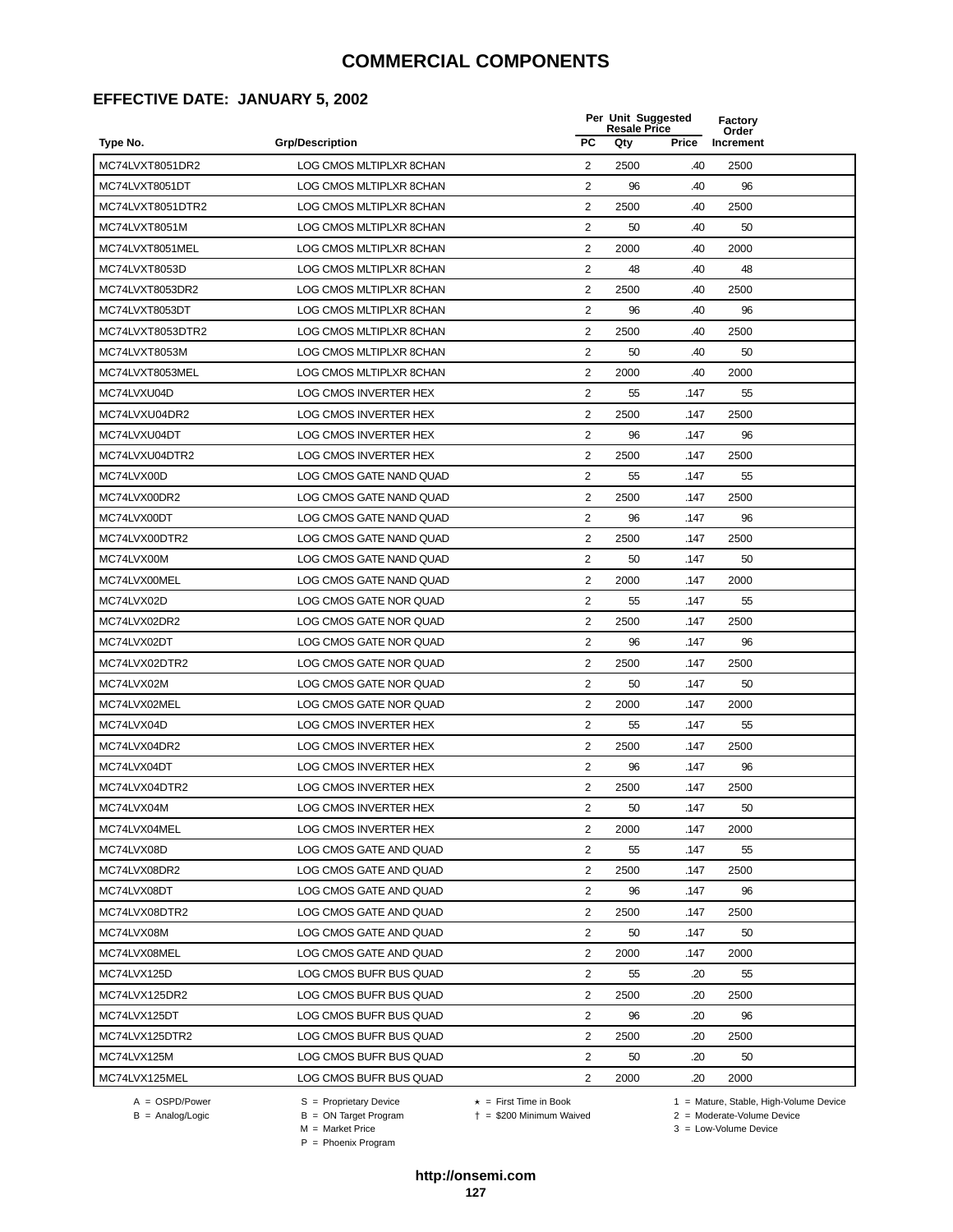#### **EFFECTIVE DATE: JANUARY 5, 2002**

|                  |                              | Per Unit Suggested<br><b>Resale Price</b> |      |       | <b>Factory</b><br>Order |  |
|------------------|------------------------------|-------------------------------------------|------|-------|-------------------------|--|
| Type No.         | <b>Grp/Description</b>       | <b>PC</b>                                 | Qty  | Price | Increment               |  |
| MC74LVXT8051DR2  | LOG CMOS MLTIPLXR 8CHAN      | 2                                         | 2500 | .40   | 2500                    |  |
| MC74LVXT8051DT   | LOG CMOS MLTIPLXR 8CHAN      | 2                                         | 96   | .40   | 96                      |  |
| MC74LVXT8051DTR2 | LOG CMOS MLTIPLXR 8CHAN      | $\overline{2}$                            | 2500 | .40   | 2500                    |  |
| MC74LVXT8051M    | LOG CMOS MLTIPLXR 8CHAN      | 2                                         | 50   | .40   | 50                      |  |
| MC74LVXT8051MEL  | LOG CMOS MLTIPLXR 8CHAN      | $\overline{2}$                            | 2000 | .40   | 2000                    |  |
| MC74LVXT8053D    | LOG CMOS MLTIPLXR 8CHAN      | $\overline{2}$                            | 48   | .40   | 48                      |  |
| MC74LVXT8053DR2  | LOG CMOS MLTIPLXR 8CHAN      | $\overline{2}$                            | 2500 | .40   | 2500                    |  |
| MC74LVXT8053DT   | LOG CMOS MLTIPLXR 8CHAN      | $\overline{2}$                            | 96   | .40   | 96                      |  |
| MC74LVXT8053DTR2 | LOG CMOS MLTIPLXR 8CHAN      | 2                                         | 2500 | .40   | 2500                    |  |
| MC74LVXT8053M    | LOG CMOS MLTIPLXR 8CHAN      | 2                                         | 50   | .40   | 50                      |  |
| MC74LVXT8053MEL  | LOG CMOS MLTIPLXR 8CHAN      | 2                                         | 2000 | .40   | 2000                    |  |
| MC74LVXU04D      | LOG CMOS INVERTER HEX        | $\overline{2}$                            | 55   | .147  | 55                      |  |
| MC74LVXU04DR2    | LOG CMOS INVERTER HEX        | $\overline{2}$                            | 2500 | .147  | 2500                    |  |
| MC74LVXU04DT     | LOG CMOS INVERTER HEX        | $\overline{2}$                            | 96   | .147  | 96                      |  |
| MC74LVXU04DTR2   | LOG CMOS INVERTER HEX        | $\overline{2}$                            | 2500 | .147  | 2500                    |  |
| MC74LVX00D       | LOG CMOS GATE NAND QUAD      | $\overline{2}$                            | 55   | .147  | 55                      |  |
| MC74LVX00DR2     | LOG CMOS GATE NAND QUAD      | 2                                         | 2500 | .147  | 2500                    |  |
| MC74LVX00DT      | LOG CMOS GATE NAND QUAD      | $\overline{2}$                            | 96   | .147  | 96                      |  |
| MC74LVX00DTR2    | LOG CMOS GATE NAND QUAD      | $\overline{2}$                            | 2500 | .147  | 2500                    |  |
| MC74LVX00M       | LOG CMOS GATE NAND QUAD      | 2                                         | 50   | .147  | 50                      |  |
| MC74LVX00MEL     | LOG CMOS GATE NAND QUAD      | $\overline{2}$                            | 2000 | .147  | 2000                    |  |
| MC74LVX02D       | LOG CMOS GATE NOR QUAD       | 2                                         | 55   | .147  | 55                      |  |
| MC74LVX02DR2     | LOG CMOS GATE NOR QUAD       | $\overline{2}$                            | 2500 | .147  | 2500                    |  |
| MC74LVX02DT      | LOG CMOS GATE NOR QUAD       | 2                                         | 96   | .147  | 96                      |  |
| MC74LVX02DTR2    | LOG CMOS GATE NOR QUAD       | $\overline{2}$                            | 2500 | .147  | 2500                    |  |
| MC74LVX02M       | LOG CMOS GATE NOR QUAD       | 2                                         | 50   | .147  | 50                      |  |
| MC74LVX02MEL     | LOG CMOS GATE NOR QUAD       | $\overline{\mathbf{c}}$                   | 2000 | .147  | 2000                    |  |
| MC74LVX04D       | LOG CMOS INVERTER HEX        | 2                                         | 55   | .147  | 55                      |  |
| MC74LVX04DR2     | LOG CMOS INVERTER HEX        | 2                                         | 2500 | .147  | 2500                    |  |
| MC74LVX04DT      | <b>LOG CMOS INVERTER HEX</b> | 2                                         | 96   | .147  | 96                      |  |
| MC74LVX04DTR2    | LOG CMOS INVERTER HEX        | $\overline{2}$                            | 2500 | .147  | 2500                    |  |
| MC74LVX04M       | LOG CMOS INVERTER HEX        | 2                                         | 50   | .147  | 50                      |  |
| MC74LVX04MEL     | LOG CMOS INVERTER HEX        | 2                                         | 2000 | .147  | 2000                    |  |
| MC74LVX08D       | LOG CMOS GATE AND QUAD       | 2                                         | 55   | .147  | 55                      |  |
| MC74LVX08DR2     | LOG CMOS GATE AND QUAD       | $\overline{2}$                            | 2500 | .147  | 2500                    |  |
| MC74LVX08DT      | LOG CMOS GATE AND QUAD       | $\overline{2}$                            | 96   | .147  | 96                      |  |
| MC74LVX08DTR2    | LOG CMOS GATE AND QUAD       | $\overline{2}$                            | 2500 | .147  | 2500                    |  |
| MC74LVX08M       | LOG CMOS GATE AND QUAD       | 2                                         | 50   | .147  | 50                      |  |
| MC74LVX08MEL     | LOG CMOS GATE AND QUAD       | $\overline{2}$                            | 2000 | .147  | 2000                    |  |
| MC74LVX125D      | LOG CMOS BUFR BUS QUAD       | 2                                         | 55   | .20   | 55                      |  |
| MC74LVX125DR2    | LOG CMOS BUFR BUS QUAD       | 2                                         | 2500 | .20   | 2500                    |  |
| MC74LVX125DT     | LOG CMOS BUFR BUS QUAD       | 2                                         | 96   | .20   | 96                      |  |
| MC74LVX125DTR2   | LOG CMOS BUFR BUS QUAD       | 2                                         | 2500 | .20   | 2500                    |  |
| MC74LVX125M      | LOG CMOS BUFR BUS QUAD       | $\overline{2}$                            | 50   | .20   | 50                      |  |
| MC74LVX125MEL    | LOG CMOS BUFR BUS QUAD       | $\overline{c}$                            | 2000 | .20   | 2000                    |  |

 $B = \text{Analog/Logic}$ <br>B = ON Target Program<br> $M = \text{Market Price}$ 

A = OSPD/Power S = Proprietary Device  $\star$  = First Time in Book 1 = Mature, Stable, High-Volume Device

 = \$200 Minimum Waived 2 = Moderate-Volume Device  $3 =$  Low-Volume Device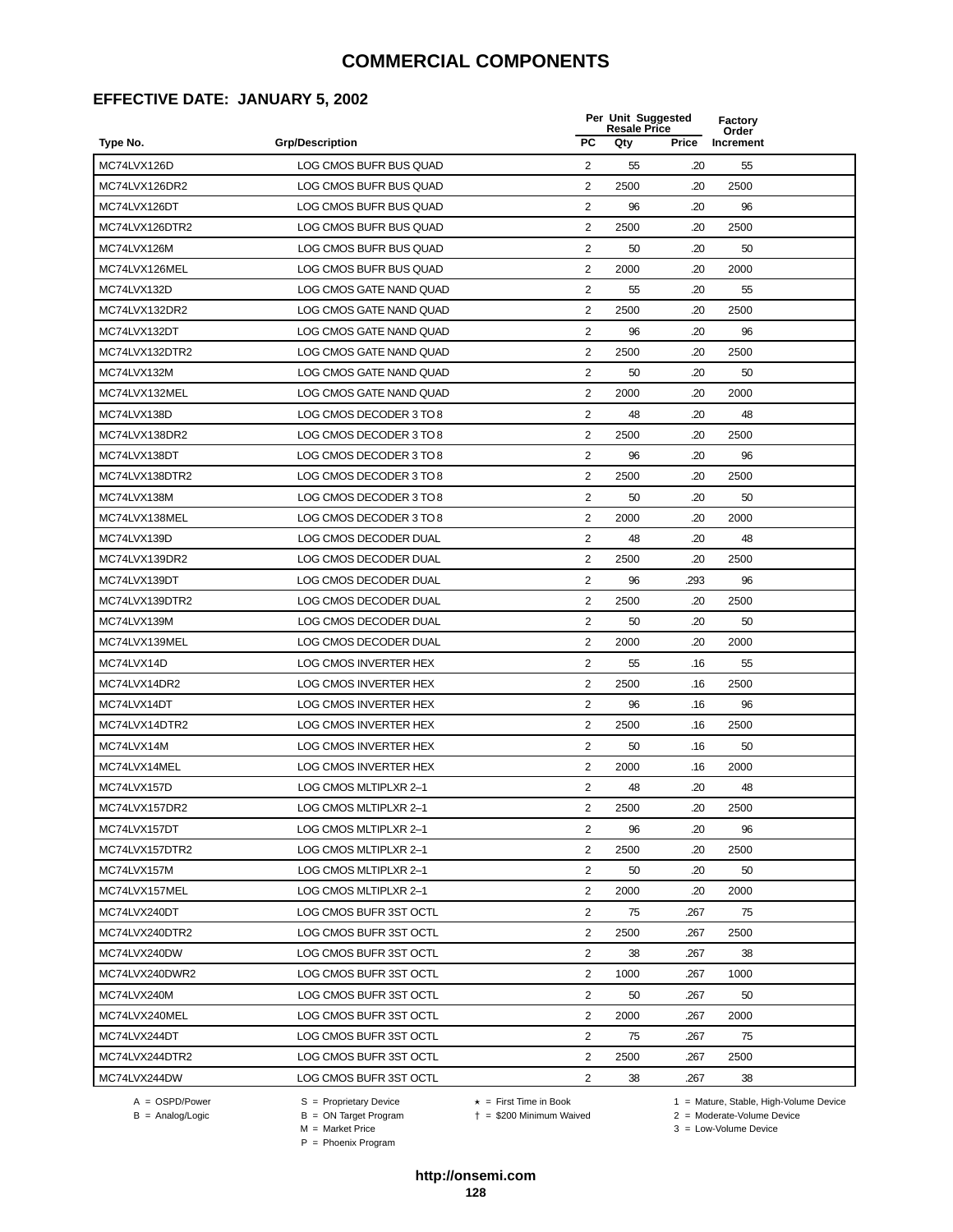#### **EFFECTIVE DATE: JANUARY 5, 2002**

|                |                         | Per Unit Suggested<br><b>Resale Price</b> |      |       | <b>Factory</b><br>Order |  |
|----------------|-------------------------|-------------------------------------------|------|-------|-------------------------|--|
| Type No.       | <b>Grp/Description</b>  | <b>PC</b>                                 | Qty  | Price | Increment               |  |
| MC74LVX126D    | LOG CMOS BUFR BUS QUAD  | 2                                         | 55   | .20   | 55                      |  |
| MC74LVX126DR2  | LOG CMOS BUFR BUS QUAD  | 2                                         | 2500 | .20   | 2500                    |  |
| MC74LVX126DT   | LOG CMOS BUFR BUS QUAD  | 2                                         | 96   | .20   | 96                      |  |
| MC74LVX126DTR2 | LOG CMOS BUFR BUS QUAD  | $\overline{2}$                            | 2500 | .20   | 2500                    |  |
| MC74LVX126M    | LOG CMOS BUFR BUS QUAD  | $\overline{2}$                            | 50   | .20   | 50                      |  |
| MC74LVX126MEL  | LOG CMOS BUFR BUS QUAD  | $\overline{2}$                            | 2000 | .20   | 2000                    |  |
| MC74LVX132D    | LOG CMOS GATE NAND QUAD | $\overline{2}$                            | 55   | .20   | 55                      |  |
| MC74LVX132DR2  | LOG CMOS GATE NAND QUAD | 2                                         | 2500 | .20   | 2500                    |  |
| MC74LVX132DT   | LOG CMOS GATE NAND QUAD | 2                                         | 96   | .20   | 96                      |  |
| MC74LVX132DTR2 | LOG CMOS GATE NAND QUAD | $\overline{2}$                            | 2500 | .20   | 2500                    |  |
| MC74LVX132M    | LOG CMOS GATE NAND QUAD | 2                                         | 50   | .20   | 50                      |  |
| MC74LVX132MEL  | LOG CMOS GATE NAND QUAD | $\overline{2}$                            | 2000 | .20   | 2000                    |  |
| MC74LVX138D    | LOG CMOS DECODER 3 TO 8 | 2                                         | 48   | .20   | 48                      |  |
| MC74LVX138DR2  | LOG CMOS DECODER 3 TO 8 | $\overline{2}$                            | 2500 | .20   | 2500                    |  |
| MC74LVX138DT   | LOG CMOS DECODER 3 TO 8 | 2                                         | 96   | .20   | 96                      |  |
| MC74LVX138DTR2 | LOG CMOS DECODER 3 TO 8 | $\overline{2}$                            | 2500 | .20   | 2500                    |  |
| MC74LVX138M    | LOG CMOS DECODER 3 TO 8 | 2                                         | 50   | .20   | 50                      |  |
| MC74LVX138MEL  | LOG CMOS DECODER 3 TO 8 | 2                                         | 2000 | .20   | 2000                    |  |
| MC74LVX139D    | LOG CMOS DECODER DUAL   | $\overline{2}$                            | 48   | .20   | 48                      |  |
| MC74LVX139DR2  | LOG CMOS DECODER DUAL   | 2                                         | 2500 | .20   | 2500                    |  |
| MC74LVX139DT   | LOG CMOS DECODER DUAL   | $\overline{2}$                            | 96   | .293  | 96                      |  |
| MC74LVX139DTR2 | LOG CMOS DECODER DUAL   | $\overline{2}$                            | 2500 | .20   | 2500                    |  |
| MC74LVX139M    | LOG CMOS DECODER DUAL   | $\overline{2}$                            | 50   | .20   | 50                      |  |
| MC74LVX139MEL  | LOG CMOS DECODER DUAL   | $\overline{2}$                            | 2000 | .20   | 2000                    |  |
| MC74LVX14D     | LOG CMOS INVERTER HEX   | $\overline{2}$                            | 55   | .16   | 55                      |  |
| MC74LVX14DR2   | LOG CMOS INVERTER HEX   | 2                                         | 2500 | .16   | 2500                    |  |
| MC74LVX14DT    | LOG CMOS INVERTER HEX   | 2                                         | 96   | .16   | 96                      |  |
| MC74LVX14DTR2  | LOG CMOS INVERTER HEX   | $\overline{2}$                            | 2500 | .16   | 2500                    |  |
| MC74LVX14M     | LOG CMOS INVERTER HEX   | 2                                         | 50   | .16   | 50                      |  |
| MC74LVX14MEL   | LOG CMOS INVERTER HEX   | $\overline{2}$                            | 2000 | .16   | 2000                    |  |
| MC74LVX157D    | LOG CMOS MLTIPLXR 2-1   | $\overline{2}$                            | 48   | .20   | 48                      |  |
| MC74LVX157DR2  | LOG CMOS MLTIPLXR 2-1   | 2                                         | 2500 | .20   | 2500                    |  |
| MC74LVX157DT   | LOG CMOS MLTIPLXR 2-1   | $\overline{2}$                            | 96   | .20   | 96                      |  |
| MC74LVX157DTR2 | LOG CMOS MLTIPLXR 2-1   | 2                                         | 2500 | .20   | 2500                    |  |
| MC74LVX157M    | LOG CMOS MLTIPLXR 2-1   | $\overline{2}$                            | 50   | .20   | 50                      |  |
| MC74LVX157MEL  | LOG CMOS MLTIPLXR 2-1   | 2                                         | 2000 | .20   | 2000                    |  |
| MC74LVX240DT   | LOG CMOS BUFR 3ST OCTL  | 2                                         | 75   | .267  | 75                      |  |
| MC74LVX240DTR2 | LOG CMOS BUFR 3ST OCTL  | 2                                         | 2500 | .267  | 2500                    |  |
| MC74LVX240DW   | LOG CMOS BUFR 3ST OCTL  | $\overline{2}$                            | 38   | .267  | 38                      |  |
| MC74LVX240DWR2 | LOG CMOS BUFR 3ST OCTL  | $\overline{2}$                            | 1000 | .267  | 1000                    |  |
| MC74LVX240M    | LOG CMOS BUFR 3ST OCTL  | $\overline{2}$                            | 50   | .267  | 50                      |  |
| MC74LVX240MEL  | LOG CMOS BUFR 3ST OCTL  | 2                                         | 2000 | .267  | 2000                    |  |
| MC74LVX244DT   | LOG CMOS BUFR 3ST OCTL  | 2                                         | 75   | .267  | 75                      |  |
| MC74LVX244DTR2 | LOG CMOS BUFR 3ST OCTL  | 2                                         | 2500 | .267  | 2500                    |  |
| MC74LVX244DW   | LOG CMOS BUFR 3ST OCTL  | $\overline{2}$                            | 38   | .267  | 38                      |  |
|                |                         |                                           |      |       |                         |  |

 $B = \text{Analog/Logic}$ <br>B = ON Target Program<br> $M = \text{Market Price}$ 

A = OSPD/Power S = Proprietary Device  $\star$  = First Time in Book 1 = Mature, Stable, High-Volume Device

 = \$200 Minimum Waived 2 = Moderate-Volume Device  $3 =$  Low-Volume Device

```
http://onsemi.com
```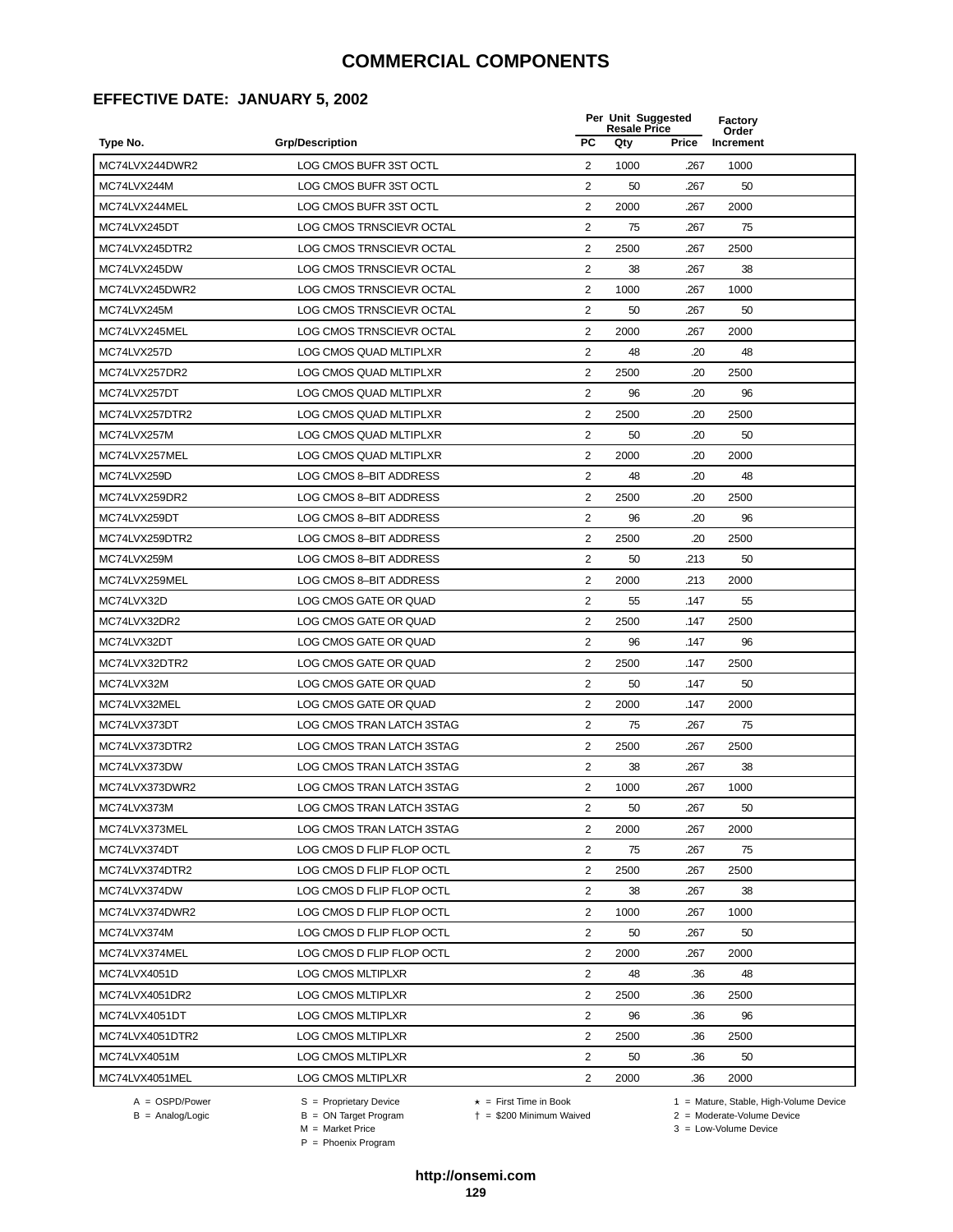#### **EFFECTIVE DATE: JANUARY 5, 2002**

| <b>PC</b><br>Type No.<br><b>Grp/Description</b><br>Qty<br>Price<br>Increment<br>MC74LVX244DWR2<br>LOG CMOS BUFR 3ST OCTL<br>2<br>1000<br>.267<br>1000<br>MC74LVX244M<br>LOG CMOS BUFR 3ST OCTL<br>2<br>50<br>.267<br>50<br>$\overline{2}$<br>2000<br>2000<br>MC74LVX244MEL<br>LOG CMOS BUFR 3ST OCTL<br>.267<br>2<br>MC74LVX245DT<br>LOG CMOS TRNSCIEVR OCTAL<br>75<br>.267<br>75<br>$\overline{2}$<br>MC74LVX245DTR2<br>LOG CMOS TRNSCIEVR OCTAL<br>2500<br>.267<br>2500<br>LOG CMOS TRNSCIEVR OCTAL<br>2<br>MC74LVX245DW<br>38<br>.267<br>38<br>LOG CMOS TRNSCIEVR OCTAL<br>$\overline{2}$<br>1000<br>MC74LVX245DWR2<br>1000<br>.267<br>2<br>50<br>MC74LVX245M<br>LOG CMOS TRNSCIEVR OCTAL<br>.267<br>50<br>2<br>MC74LVX245MEL<br>LOG CMOS TRNSCIEVR OCTAL<br>2000<br>.267<br>2000<br>MC74LVX257D<br>$\overline{2}$<br>48<br>LOG CMOS QUAD MLTIPLXR<br>.20<br>48<br>MC74LVX257DR2<br>LOG CMOS QUAD MLTIPLXR<br>2<br>2500<br>.20<br>2500<br>$\overline{2}$<br>96<br>.20<br>MC74LVX257DT<br>LOG CMOS QUAD MLTIPLXR<br>96<br>$\overline{2}$<br>MC74LVX257DTR2<br>LOG CMOS QUAD MLTIPLXR<br>2500<br>.20<br>2500<br>MC74LVX257M<br>$\overline{2}$<br>.20<br>LOG CMOS QUAD MLTIPLXR<br>50<br>50<br>$\overline{2}$<br>2000<br>2000<br>MC74LVX257MEL<br>LOG CMOS QUAD MLTIPLXR<br>.20<br>$\overline{2}$<br>48<br>.20<br>48<br>MC74LVX259D<br>LOG CMOS 8-BIT ADDRESS<br>2<br>2500<br>2500<br>MC74LVX259DR2<br>LOG CMOS 8-BIT ADDRESS<br>.20<br>2<br>MC74LVX259DT<br>LOG CMOS 8-BIT ADDRESS<br>96<br>.20<br>96<br>$\overline{2}$<br>2500<br>2500<br>MC74LVX259DTR2<br>LOG CMOS 8-BIT ADDRESS<br>.20<br>MC74LVX259M<br>LOG CMOS 8-BIT ADDRESS<br>2<br>50<br>.213<br>50<br>2<br>MC74LVX259MEL<br>LOG CMOS 8-BIT ADDRESS<br>2000<br>.213<br>2000<br>2<br>MC74LVX32D<br>LOG CMOS GATE OR QUAD<br>55<br>.147<br>55<br>$\overline{2}$<br>MC74LVX32DR2<br>LOG CMOS GATE OR QUAD<br>2500<br>.147<br>2500<br>2<br>MC74LVX32DT<br>LOG CMOS GATE OR QUAD<br>96<br>.147<br>96<br>$\overline{2}$<br>2500<br>MC74LVX32DTR2<br>LOG CMOS GATE OR QUAD<br>2500<br>.147<br>2<br>MC74LVX32M<br>LOG CMOS GATE OR QUAD<br>50<br>.147<br>50<br>2<br>2000<br>MC74LVX32MEL<br>LOG CMOS GATE OR QUAD<br>2000<br>.147<br>2<br>MC74LVX373DT<br>LOG CMOS TRAN LATCH 3STAG<br>75<br>.267<br>75<br>MC74LVX373DTR2<br>LOG CMOS TRAN LATCH 3STAG<br>2<br>2500<br>.267<br>2500<br>2<br>38<br>MC74LVX373DW<br>LOG CMOS TRAN LATCH 3STAG<br>.267<br>38<br>$\overline{2}$<br>MC74LVX373DWR2<br>LOG CMOS TRAN LATCH 3STAG<br>1000<br>.267<br>1000<br>$\overline{c}$<br>MC74LVX373M<br>50<br>267<br>50<br>LOG CMOS TRAN LATCH 3STAG<br>2<br>MC74LVX373MEL<br>LOG CMOS TRAN LATCH 3STAG<br>2000<br>2000<br>.267<br>LOG CMOS D FLIP FLOP OCTL<br>2<br>75<br>.267<br>MC74LVX374DT<br>75<br>2<br>2500<br>2500<br>MC74LVX374DTR2<br>LOG CMOS D FLIP FLOP OCTL<br>.267<br>$\overline{\mathbf{c}}$<br>LOG CMOS D FLIP FLOP OCTL<br>38<br>.267<br>38<br>MC74LVX374DW<br>$\overline{2}$<br>MC74LVX374DWR2<br>LOG CMOS D FLIP FLOP OCTL<br>1000<br>.267<br>1000<br>LOG CMOS D FLIP FLOP OCTL<br>2<br>50<br>.267<br>50<br>MC74LVX374M<br>$\overline{2}$<br>MC74LVX374MEL<br>LOG CMOS D FLIP FLOP OCTL<br>2000<br>.267<br>2000<br>2<br>48<br>48<br>MC74LVX4051D<br><b>LOG CMOS MLTIPLXR</b><br>.36<br>$\overline{2}$<br>2500<br>.36<br>2500<br>MC74LVX4051DR2<br>LOG CMOS MLTIPLXR<br>2<br>96<br>MC74LVX4051DT<br>LOG CMOS MLTIPLXR<br>.36<br>96<br>2<br>2500<br>.36<br>2500<br>MC74LVX4051DTR2<br>LOG CMOS MLTIPLXR<br>$\overline{2}$<br>50<br>MC74LVX4051M<br>LOG CMOS MLTIPLXR<br>.36<br>50<br>$\overline{2}$<br>2000<br>MC74LVX4051MEL<br>LOG CMOS MLTIPLXR<br>2000<br>.36 |  | Per Unit Suggested<br><b>Resale Price</b> | <b>Factory</b><br>Order |  |
|----------------------------------------------------------------------------------------------------------------------------------------------------------------------------------------------------------------------------------------------------------------------------------------------------------------------------------------------------------------------------------------------------------------------------------------------------------------------------------------------------------------------------------------------------------------------------------------------------------------------------------------------------------------------------------------------------------------------------------------------------------------------------------------------------------------------------------------------------------------------------------------------------------------------------------------------------------------------------------------------------------------------------------------------------------------------------------------------------------------------------------------------------------------------------------------------------------------------------------------------------------------------------------------------------------------------------------------------------------------------------------------------------------------------------------------------------------------------------------------------------------------------------------------------------------------------------------------------------------------------------------------------------------------------------------------------------------------------------------------------------------------------------------------------------------------------------------------------------------------------------------------------------------------------------------------------------------------------------------------------------------------------------------------------------------------------------------------------------------------------------------------------------------------------------------------------------------------------------------------------------------------------------------------------------------------------------------------------------------------------------------------------------------------------------------------------------------------------------------------------------------------------------------------------------------------------------------------------------------------------------------------------------------------------------------------------------------------------------------------------------------------------------------------------------------------------------------------------------------------------------------------------------------------------------------------------------------------------------------------------------------------------------------------------------------------------------------------------------------------------------------------------------------------------------------------------------------------------------------------------------------------------------------------------------------------------------------------------------------------------------------------------------------------------------------------------------------------------------------------------------------------------------------------------------------------------------------------------------------------------|--|-------------------------------------------|-------------------------|--|
|                                                                                                                                                                                                                                                                                                                                                                                                                                                                                                                                                                                                                                                                                                                                                                                                                                                                                                                                                                                                                                                                                                                                                                                                                                                                                                                                                                                                                                                                                                                                                                                                                                                                                                                                                                                                                                                                                                                                                                                                                                                                                                                                                                                                                                                                                                                                                                                                                                                                                                                                                                                                                                                                                                                                                                                                                                                                                                                                                                                                                                                                                                                                                                                                                                                                                                                                                                                                                                                                                                                                                                                                                      |  |                                           |                         |  |
|                                                                                                                                                                                                                                                                                                                                                                                                                                                                                                                                                                                                                                                                                                                                                                                                                                                                                                                                                                                                                                                                                                                                                                                                                                                                                                                                                                                                                                                                                                                                                                                                                                                                                                                                                                                                                                                                                                                                                                                                                                                                                                                                                                                                                                                                                                                                                                                                                                                                                                                                                                                                                                                                                                                                                                                                                                                                                                                                                                                                                                                                                                                                                                                                                                                                                                                                                                                                                                                                                                                                                                                                                      |  |                                           |                         |  |
|                                                                                                                                                                                                                                                                                                                                                                                                                                                                                                                                                                                                                                                                                                                                                                                                                                                                                                                                                                                                                                                                                                                                                                                                                                                                                                                                                                                                                                                                                                                                                                                                                                                                                                                                                                                                                                                                                                                                                                                                                                                                                                                                                                                                                                                                                                                                                                                                                                                                                                                                                                                                                                                                                                                                                                                                                                                                                                                                                                                                                                                                                                                                                                                                                                                                                                                                                                                                                                                                                                                                                                                                                      |  |                                           |                         |  |
|                                                                                                                                                                                                                                                                                                                                                                                                                                                                                                                                                                                                                                                                                                                                                                                                                                                                                                                                                                                                                                                                                                                                                                                                                                                                                                                                                                                                                                                                                                                                                                                                                                                                                                                                                                                                                                                                                                                                                                                                                                                                                                                                                                                                                                                                                                                                                                                                                                                                                                                                                                                                                                                                                                                                                                                                                                                                                                                                                                                                                                                                                                                                                                                                                                                                                                                                                                                                                                                                                                                                                                                                                      |  |                                           |                         |  |
|                                                                                                                                                                                                                                                                                                                                                                                                                                                                                                                                                                                                                                                                                                                                                                                                                                                                                                                                                                                                                                                                                                                                                                                                                                                                                                                                                                                                                                                                                                                                                                                                                                                                                                                                                                                                                                                                                                                                                                                                                                                                                                                                                                                                                                                                                                                                                                                                                                                                                                                                                                                                                                                                                                                                                                                                                                                                                                                                                                                                                                                                                                                                                                                                                                                                                                                                                                                                                                                                                                                                                                                                                      |  |                                           |                         |  |
|                                                                                                                                                                                                                                                                                                                                                                                                                                                                                                                                                                                                                                                                                                                                                                                                                                                                                                                                                                                                                                                                                                                                                                                                                                                                                                                                                                                                                                                                                                                                                                                                                                                                                                                                                                                                                                                                                                                                                                                                                                                                                                                                                                                                                                                                                                                                                                                                                                                                                                                                                                                                                                                                                                                                                                                                                                                                                                                                                                                                                                                                                                                                                                                                                                                                                                                                                                                                                                                                                                                                                                                                                      |  |                                           |                         |  |
|                                                                                                                                                                                                                                                                                                                                                                                                                                                                                                                                                                                                                                                                                                                                                                                                                                                                                                                                                                                                                                                                                                                                                                                                                                                                                                                                                                                                                                                                                                                                                                                                                                                                                                                                                                                                                                                                                                                                                                                                                                                                                                                                                                                                                                                                                                                                                                                                                                                                                                                                                                                                                                                                                                                                                                                                                                                                                                                                                                                                                                                                                                                                                                                                                                                                                                                                                                                                                                                                                                                                                                                                                      |  |                                           |                         |  |
|                                                                                                                                                                                                                                                                                                                                                                                                                                                                                                                                                                                                                                                                                                                                                                                                                                                                                                                                                                                                                                                                                                                                                                                                                                                                                                                                                                                                                                                                                                                                                                                                                                                                                                                                                                                                                                                                                                                                                                                                                                                                                                                                                                                                                                                                                                                                                                                                                                                                                                                                                                                                                                                                                                                                                                                                                                                                                                                                                                                                                                                                                                                                                                                                                                                                                                                                                                                                                                                                                                                                                                                                                      |  |                                           |                         |  |
|                                                                                                                                                                                                                                                                                                                                                                                                                                                                                                                                                                                                                                                                                                                                                                                                                                                                                                                                                                                                                                                                                                                                                                                                                                                                                                                                                                                                                                                                                                                                                                                                                                                                                                                                                                                                                                                                                                                                                                                                                                                                                                                                                                                                                                                                                                                                                                                                                                                                                                                                                                                                                                                                                                                                                                                                                                                                                                                                                                                                                                                                                                                                                                                                                                                                                                                                                                                                                                                                                                                                                                                                                      |  |                                           |                         |  |
|                                                                                                                                                                                                                                                                                                                                                                                                                                                                                                                                                                                                                                                                                                                                                                                                                                                                                                                                                                                                                                                                                                                                                                                                                                                                                                                                                                                                                                                                                                                                                                                                                                                                                                                                                                                                                                                                                                                                                                                                                                                                                                                                                                                                                                                                                                                                                                                                                                                                                                                                                                                                                                                                                                                                                                                                                                                                                                                                                                                                                                                                                                                                                                                                                                                                                                                                                                                                                                                                                                                                                                                                                      |  |                                           |                         |  |
|                                                                                                                                                                                                                                                                                                                                                                                                                                                                                                                                                                                                                                                                                                                                                                                                                                                                                                                                                                                                                                                                                                                                                                                                                                                                                                                                                                                                                                                                                                                                                                                                                                                                                                                                                                                                                                                                                                                                                                                                                                                                                                                                                                                                                                                                                                                                                                                                                                                                                                                                                                                                                                                                                                                                                                                                                                                                                                                                                                                                                                                                                                                                                                                                                                                                                                                                                                                                                                                                                                                                                                                                                      |  |                                           |                         |  |
|                                                                                                                                                                                                                                                                                                                                                                                                                                                                                                                                                                                                                                                                                                                                                                                                                                                                                                                                                                                                                                                                                                                                                                                                                                                                                                                                                                                                                                                                                                                                                                                                                                                                                                                                                                                                                                                                                                                                                                                                                                                                                                                                                                                                                                                                                                                                                                                                                                                                                                                                                                                                                                                                                                                                                                                                                                                                                                                                                                                                                                                                                                                                                                                                                                                                                                                                                                                                                                                                                                                                                                                                                      |  |                                           |                         |  |
|                                                                                                                                                                                                                                                                                                                                                                                                                                                                                                                                                                                                                                                                                                                                                                                                                                                                                                                                                                                                                                                                                                                                                                                                                                                                                                                                                                                                                                                                                                                                                                                                                                                                                                                                                                                                                                                                                                                                                                                                                                                                                                                                                                                                                                                                                                                                                                                                                                                                                                                                                                                                                                                                                                                                                                                                                                                                                                                                                                                                                                                                                                                                                                                                                                                                                                                                                                                                                                                                                                                                                                                                                      |  |                                           |                         |  |
|                                                                                                                                                                                                                                                                                                                                                                                                                                                                                                                                                                                                                                                                                                                                                                                                                                                                                                                                                                                                                                                                                                                                                                                                                                                                                                                                                                                                                                                                                                                                                                                                                                                                                                                                                                                                                                                                                                                                                                                                                                                                                                                                                                                                                                                                                                                                                                                                                                                                                                                                                                                                                                                                                                                                                                                                                                                                                                                                                                                                                                                                                                                                                                                                                                                                                                                                                                                                                                                                                                                                                                                                                      |  |                                           |                         |  |
|                                                                                                                                                                                                                                                                                                                                                                                                                                                                                                                                                                                                                                                                                                                                                                                                                                                                                                                                                                                                                                                                                                                                                                                                                                                                                                                                                                                                                                                                                                                                                                                                                                                                                                                                                                                                                                                                                                                                                                                                                                                                                                                                                                                                                                                                                                                                                                                                                                                                                                                                                                                                                                                                                                                                                                                                                                                                                                                                                                                                                                                                                                                                                                                                                                                                                                                                                                                                                                                                                                                                                                                                                      |  |                                           |                         |  |
|                                                                                                                                                                                                                                                                                                                                                                                                                                                                                                                                                                                                                                                                                                                                                                                                                                                                                                                                                                                                                                                                                                                                                                                                                                                                                                                                                                                                                                                                                                                                                                                                                                                                                                                                                                                                                                                                                                                                                                                                                                                                                                                                                                                                                                                                                                                                                                                                                                                                                                                                                                                                                                                                                                                                                                                                                                                                                                                                                                                                                                                                                                                                                                                                                                                                                                                                                                                                                                                                                                                                                                                                                      |  |                                           |                         |  |
|                                                                                                                                                                                                                                                                                                                                                                                                                                                                                                                                                                                                                                                                                                                                                                                                                                                                                                                                                                                                                                                                                                                                                                                                                                                                                                                                                                                                                                                                                                                                                                                                                                                                                                                                                                                                                                                                                                                                                                                                                                                                                                                                                                                                                                                                                                                                                                                                                                                                                                                                                                                                                                                                                                                                                                                                                                                                                                                                                                                                                                                                                                                                                                                                                                                                                                                                                                                                                                                                                                                                                                                                                      |  |                                           |                         |  |
|                                                                                                                                                                                                                                                                                                                                                                                                                                                                                                                                                                                                                                                                                                                                                                                                                                                                                                                                                                                                                                                                                                                                                                                                                                                                                                                                                                                                                                                                                                                                                                                                                                                                                                                                                                                                                                                                                                                                                                                                                                                                                                                                                                                                                                                                                                                                                                                                                                                                                                                                                                                                                                                                                                                                                                                                                                                                                                                                                                                                                                                                                                                                                                                                                                                                                                                                                                                                                                                                                                                                                                                                                      |  |                                           |                         |  |
|                                                                                                                                                                                                                                                                                                                                                                                                                                                                                                                                                                                                                                                                                                                                                                                                                                                                                                                                                                                                                                                                                                                                                                                                                                                                                                                                                                                                                                                                                                                                                                                                                                                                                                                                                                                                                                                                                                                                                                                                                                                                                                                                                                                                                                                                                                                                                                                                                                                                                                                                                                                                                                                                                                                                                                                                                                                                                                                                                                                                                                                                                                                                                                                                                                                                                                                                                                                                                                                                                                                                                                                                                      |  |                                           |                         |  |
|                                                                                                                                                                                                                                                                                                                                                                                                                                                                                                                                                                                                                                                                                                                                                                                                                                                                                                                                                                                                                                                                                                                                                                                                                                                                                                                                                                                                                                                                                                                                                                                                                                                                                                                                                                                                                                                                                                                                                                                                                                                                                                                                                                                                                                                                                                                                                                                                                                                                                                                                                                                                                                                                                                                                                                                                                                                                                                                                                                                                                                                                                                                                                                                                                                                                                                                                                                                                                                                                                                                                                                                                                      |  |                                           |                         |  |
|                                                                                                                                                                                                                                                                                                                                                                                                                                                                                                                                                                                                                                                                                                                                                                                                                                                                                                                                                                                                                                                                                                                                                                                                                                                                                                                                                                                                                                                                                                                                                                                                                                                                                                                                                                                                                                                                                                                                                                                                                                                                                                                                                                                                                                                                                                                                                                                                                                                                                                                                                                                                                                                                                                                                                                                                                                                                                                                                                                                                                                                                                                                                                                                                                                                                                                                                                                                                                                                                                                                                                                                                                      |  |                                           |                         |  |
|                                                                                                                                                                                                                                                                                                                                                                                                                                                                                                                                                                                                                                                                                                                                                                                                                                                                                                                                                                                                                                                                                                                                                                                                                                                                                                                                                                                                                                                                                                                                                                                                                                                                                                                                                                                                                                                                                                                                                                                                                                                                                                                                                                                                                                                                                                                                                                                                                                                                                                                                                                                                                                                                                                                                                                                                                                                                                                                                                                                                                                                                                                                                                                                                                                                                                                                                                                                                                                                                                                                                                                                                                      |  |                                           |                         |  |
|                                                                                                                                                                                                                                                                                                                                                                                                                                                                                                                                                                                                                                                                                                                                                                                                                                                                                                                                                                                                                                                                                                                                                                                                                                                                                                                                                                                                                                                                                                                                                                                                                                                                                                                                                                                                                                                                                                                                                                                                                                                                                                                                                                                                                                                                                                                                                                                                                                                                                                                                                                                                                                                                                                                                                                                                                                                                                                                                                                                                                                                                                                                                                                                                                                                                                                                                                                                                                                                                                                                                                                                                                      |  |                                           |                         |  |
|                                                                                                                                                                                                                                                                                                                                                                                                                                                                                                                                                                                                                                                                                                                                                                                                                                                                                                                                                                                                                                                                                                                                                                                                                                                                                                                                                                                                                                                                                                                                                                                                                                                                                                                                                                                                                                                                                                                                                                                                                                                                                                                                                                                                                                                                                                                                                                                                                                                                                                                                                                                                                                                                                                                                                                                                                                                                                                                                                                                                                                                                                                                                                                                                                                                                                                                                                                                                                                                                                                                                                                                                                      |  |                                           |                         |  |
|                                                                                                                                                                                                                                                                                                                                                                                                                                                                                                                                                                                                                                                                                                                                                                                                                                                                                                                                                                                                                                                                                                                                                                                                                                                                                                                                                                                                                                                                                                                                                                                                                                                                                                                                                                                                                                                                                                                                                                                                                                                                                                                                                                                                                                                                                                                                                                                                                                                                                                                                                                                                                                                                                                                                                                                                                                                                                                                                                                                                                                                                                                                                                                                                                                                                                                                                                                                                                                                                                                                                                                                                                      |  |                                           |                         |  |
|                                                                                                                                                                                                                                                                                                                                                                                                                                                                                                                                                                                                                                                                                                                                                                                                                                                                                                                                                                                                                                                                                                                                                                                                                                                                                                                                                                                                                                                                                                                                                                                                                                                                                                                                                                                                                                                                                                                                                                                                                                                                                                                                                                                                                                                                                                                                                                                                                                                                                                                                                                                                                                                                                                                                                                                                                                                                                                                                                                                                                                                                                                                                                                                                                                                                                                                                                                                                                                                                                                                                                                                                                      |  |                                           |                         |  |
|                                                                                                                                                                                                                                                                                                                                                                                                                                                                                                                                                                                                                                                                                                                                                                                                                                                                                                                                                                                                                                                                                                                                                                                                                                                                                                                                                                                                                                                                                                                                                                                                                                                                                                                                                                                                                                                                                                                                                                                                                                                                                                                                                                                                                                                                                                                                                                                                                                                                                                                                                                                                                                                                                                                                                                                                                                                                                                                                                                                                                                                                                                                                                                                                                                                                                                                                                                                                                                                                                                                                                                                                                      |  |                                           |                         |  |
|                                                                                                                                                                                                                                                                                                                                                                                                                                                                                                                                                                                                                                                                                                                                                                                                                                                                                                                                                                                                                                                                                                                                                                                                                                                                                                                                                                                                                                                                                                                                                                                                                                                                                                                                                                                                                                                                                                                                                                                                                                                                                                                                                                                                                                                                                                                                                                                                                                                                                                                                                                                                                                                                                                                                                                                                                                                                                                                                                                                                                                                                                                                                                                                                                                                                                                                                                                                                                                                                                                                                                                                                                      |  |                                           |                         |  |
|                                                                                                                                                                                                                                                                                                                                                                                                                                                                                                                                                                                                                                                                                                                                                                                                                                                                                                                                                                                                                                                                                                                                                                                                                                                                                                                                                                                                                                                                                                                                                                                                                                                                                                                                                                                                                                                                                                                                                                                                                                                                                                                                                                                                                                                                                                                                                                                                                                                                                                                                                                                                                                                                                                                                                                                                                                                                                                                                                                                                                                                                                                                                                                                                                                                                                                                                                                                                                                                                                                                                                                                                                      |  |                                           |                         |  |
|                                                                                                                                                                                                                                                                                                                                                                                                                                                                                                                                                                                                                                                                                                                                                                                                                                                                                                                                                                                                                                                                                                                                                                                                                                                                                                                                                                                                                                                                                                                                                                                                                                                                                                                                                                                                                                                                                                                                                                                                                                                                                                                                                                                                                                                                                                                                                                                                                                                                                                                                                                                                                                                                                                                                                                                                                                                                                                                                                                                                                                                                                                                                                                                                                                                                                                                                                                                                                                                                                                                                                                                                                      |  |                                           |                         |  |
|                                                                                                                                                                                                                                                                                                                                                                                                                                                                                                                                                                                                                                                                                                                                                                                                                                                                                                                                                                                                                                                                                                                                                                                                                                                                                                                                                                                                                                                                                                                                                                                                                                                                                                                                                                                                                                                                                                                                                                                                                                                                                                                                                                                                                                                                                                                                                                                                                                                                                                                                                                                                                                                                                                                                                                                                                                                                                                                                                                                                                                                                                                                                                                                                                                                                                                                                                                                                                                                                                                                                                                                                                      |  |                                           |                         |  |
|                                                                                                                                                                                                                                                                                                                                                                                                                                                                                                                                                                                                                                                                                                                                                                                                                                                                                                                                                                                                                                                                                                                                                                                                                                                                                                                                                                                                                                                                                                                                                                                                                                                                                                                                                                                                                                                                                                                                                                                                                                                                                                                                                                                                                                                                                                                                                                                                                                                                                                                                                                                                                                                                                                                                                                                                                                                                                                                                                                                                                                                                                                                                                                                                                                                                                                                                                                                                                                                                                                                                                                                                                      |  |                                           |                         |  |
|                                                                                                                                                                                                                                                                                                                                                                                                                                                                                                                                                                                                                                                                                                                                                                                                                                                                                                                                                                                                                                                                                                                                                                                                                                                                                                                                                                                                                                                                                                                                                                                                                                                                                                                                                                                                                                                                                                                                                                                                                                                                                                                                                                                                                                                                                                                                                                                                                                                                                                                                                                                                                                                                                                                                                                                                                                                                                                                                                                                                                                                                                                                                                                                                                                                                                                                                                                                                                                                                                                                                                                                                                      |  |                                           |                         |  |
|                                                                                                                                                                                                                                                                                                                                                                                                                                                                                                                                                                                                                                                                                                                                                                                                                                                                                                                                                                                                                                                                                                                                                                                                                                                                                                                                                                                                                                                                                                                                                                                                                                                                                                                                                                                                                                                                                                                                                                                                                                                                                                                                                                                                                                                                                                                                                                                                                                                                                                                                                                                                                                                                                                                                                                                                                                                                                                                                                                                                                                                                                                                                                                                                                                                                                                                                                                                                                                                                                                                                                                                                                      |  |                                           |                         |  |
|                                                                                                                                                                                                                                                                                                                                                                                                                                                                                                                                                                                                                                                                                                                                                                                                                                                                                                                                                                                                                                                                                                                                                                                                                                                                                                                                                                                                                                                                                                                                                                                                                                                                                                                                                                                                                                                                                                                                                                                                                                                                                                                                                                                                                                                                                                                                                                                                                                                                                                                                                                                                                                                                                                                                                                                                                                                                                                                                                                                                                                                                                                                                                                                                                                                                                                                                                                                                                                                                                                                                                                                                                      |  |                                           |                         |  |
|                                                                                                                                                                                                                                                                                                                                                                                                                                                                                                                                                                                                                                                                                                                                                                                                                                                                                                                                                                                                                                                                                                                                                                                                                                                                                                                                                                                                                                                                                                                                                                                                                                                                                                                                                                                                                                                                                                                                                                                                                                                                                                                                                                                                                                                                                                                                                                                                                                                                                                                                                                                                                                                                                                                                                                                                                                                                                                                                                                                                                                                                                                                                                                                                                                                                                                                                                                                                                                                                                                                                                                                                                      |  |                                           |                         |  |
|                                                                                                                                                                                                                                                                                                                                                                                                                                                                                                                                                                                                                                                                                                                                                                                                                                                                                                                                                                                                                                                                                                                                                                                                                                                                                                                                                                                                                                                                                                                                                                                                                                                                                                                                                                                                                                                                                                                                                                                                                                                                                                                                                                                                                                                                                                                                                                                                                                                                                                                                                                                                                                                                                                                                                                                                                                                                                                                                                                                                                                                                                                                                                                                                                                                                                                                                                                                                                                                                                                                                                                                                                      |  |                                           |                         |  |
|                                                                                                                                                                                                                                                                                                                                                                                                                                                                                                                                                                                                                                                                                                                                                                                                                                                                                                                                                                                                                                                                                                                                                                                                                                                                                                                                                                                                                                                                                                                                                                                                                                                                                                                                                                                                                                                                                                                                                                                                                                                                                                                                                                                                                                                                                                                                                                                                                                                                                                                                                                                                                                                                                                                                                                                                                                                                                                                                                                                                                                                                                                                                                                                                                                                                                                                                                                                                                                                                                                                                                                                                                      |  |                                           |                         |  |
|                                                                                                                                                                                                                                                                                                                                                                                                                                                                                                                                                                                                                                                                                                                                                                                                                                                                                                                                                                                                                                                                                                                                                                                                                                                                                                                                                                                                                                                                                                                                                                                                                                                                                                                                                                                                                                                                                                                                                                                                                                                                                                                                                                                                                                                                                                                                                                                                                                                                                                                                                                                                                                                                                                                                                                                                                                                                                                                                                                                                                                                                                                                                                                                                                                                                                                                                                                                                                                                                                                                                                                                                                      |  |                                           |                         |  |
|                                                                                                                                                                                                                                                                                                                                                                                                                                                                                                                                                                                                                                                                                                                                                                                                                                                                                                                                                                                                                                                                                                                                                                                                                                                                                                                                                                                                                                                                                                                                                                                                                                                                                                                                                                                                                                                                                                                                                                                                                                                                                                                                                                                                                                                                                                                                                                                                                                                                                                                                                                                                                                                                                                                                                                                                                                                                                                                                                                                                                                                                                                                                                                                                                                                                                                                                                                                                                                                                                                                                                                                                                      |  |                                           |                         |  |
|                                                                                                                                                                                                                                                                                                                                                                                                                                                                                                                                                                                                                                                                                                                                                                                                                                                                                                                                                                                                                                                                                                                                                                                                                                                                                                                                                                                                                                                                                                                                                                                                                                                                                                                                                                                                                                                                                                                                                                                                                                                                                                                                                                                                                                                                                                                                                                                                                                                                                                                                                                                                                                                                                                                                                                                                                                                                                                                                                                                                                                                                                                                                                                                                                                                                                                                                                                                                                                                                                                                                                                                                                      |  |                                           |                         |  |
|                                                                                                                                                                                                                                                                                                                                                                                                                                                                                                                                                                                                                                                                                                                                                                                                                                                                                                                                                                                                                                                                                                                                                                                                                                                                                                                                                                                                                                                                                                                                                                                                                                                                                                                                                                                                                                                                                                                                                                                                                                                                                                                                                                                                                                                                                                                                                                                                                                                                                                                                                                                                                                                                                                                                                                                                                                                                                                                                                                                                                                                                                                                                                                                                                                                                                                                                                                                                                                                                                                                                                                                                                      |  |                                           |                         |  |
|                                                                                                                                                                                                                                                                                                                                                                                                                                                                                                                                                                                                                                                                                                                                                                                                                                                                                                                                                                                                                                                                                                                                                                                                                                                                                                                                                                                                                                                                                                                                                                                                                                                                                                                                                                                                                                                                                                                                                                                                                                                                                                                                                                                                                                                                                                                                                                                                                                                                                                                                                                                                                                                                                                                                                                                                                                                                                                                                                                                                                                                                                                                                                                                                                                                                                                                                                                                                                                                                                                                                                                                                                      |  |                                           |                         |  |
|                                                                                                                                                                                                                                                                                                                                                                                                                                                                                                                                                                                                                                                                                                                                                                                                                                                                                                                                                                                                                                                                                                                                                                                                                                                                                                                                                                                                                                                                                                                                                                                                                                                                                                                                                                                                                                                                                                                                                                                                                                                                                                                                                                                                                                                                                                                                                                                                                                                                                                                                                                                                                                                                                                                                                                                                                                                                                                                                                                                                                                                                                                                                                                                                                                                                                                                                                                                                                                                                                                                                                                                                                      |  |                                           |                         |  |
|                                                                                                                                                                                                                                                                                                                                                                                                                                                                                                                                                                                                                                                                                                                                                                                                                                                                                                                                                                                                                                                                                                                                                                                                                                                                                                                                                                                                                                                                                                                                                                                                                                                                                                                                                                                                                                                                                                                                                                                                                                                                                                                                                                                                                                                                                                                                                                                                                                                                                                                                                                                                                                                                                                                                                                                                                                                                                                                                                                                                                                                                                                                                                                                                                                                                                                                                                                                                                                                                                                                                                                                                                      |  |                                           |                         |  |
|                                                                                                                                                                                                                                                                                                                                                                                                                                                                                                                                                                                                                                                                                                                                                                                                                                                                                                                                                                                                                                                                                                                                                                                                                                                                                                                                                                                                                                                                                                                                                                                                                                                                                                                                                                                                                                                                                                                                                                                                                                                                                                                                                                                                                                                                                                                                                                                                                                                                                                                                                                                                                                                                                                                                                                                                                                                                                                                                                                                                                                                                                                                                                                                                                                                                                                                                                                                                                                                                                                                                                                                                                      |  |                                           |                         |  |

A = OSPD/Power S = Proprietary Device  $\star$  = First Time in Book 1 = Mature, Stable, High-Volume Device

 $B = \text{Analog/Logic}$ <br>B = ON Target Program<br> $M = \text{Market Price}$ 

= \$200 Minimum Waived 2 = Moderate-Volume Device

 $3 =$  Low-Volume Device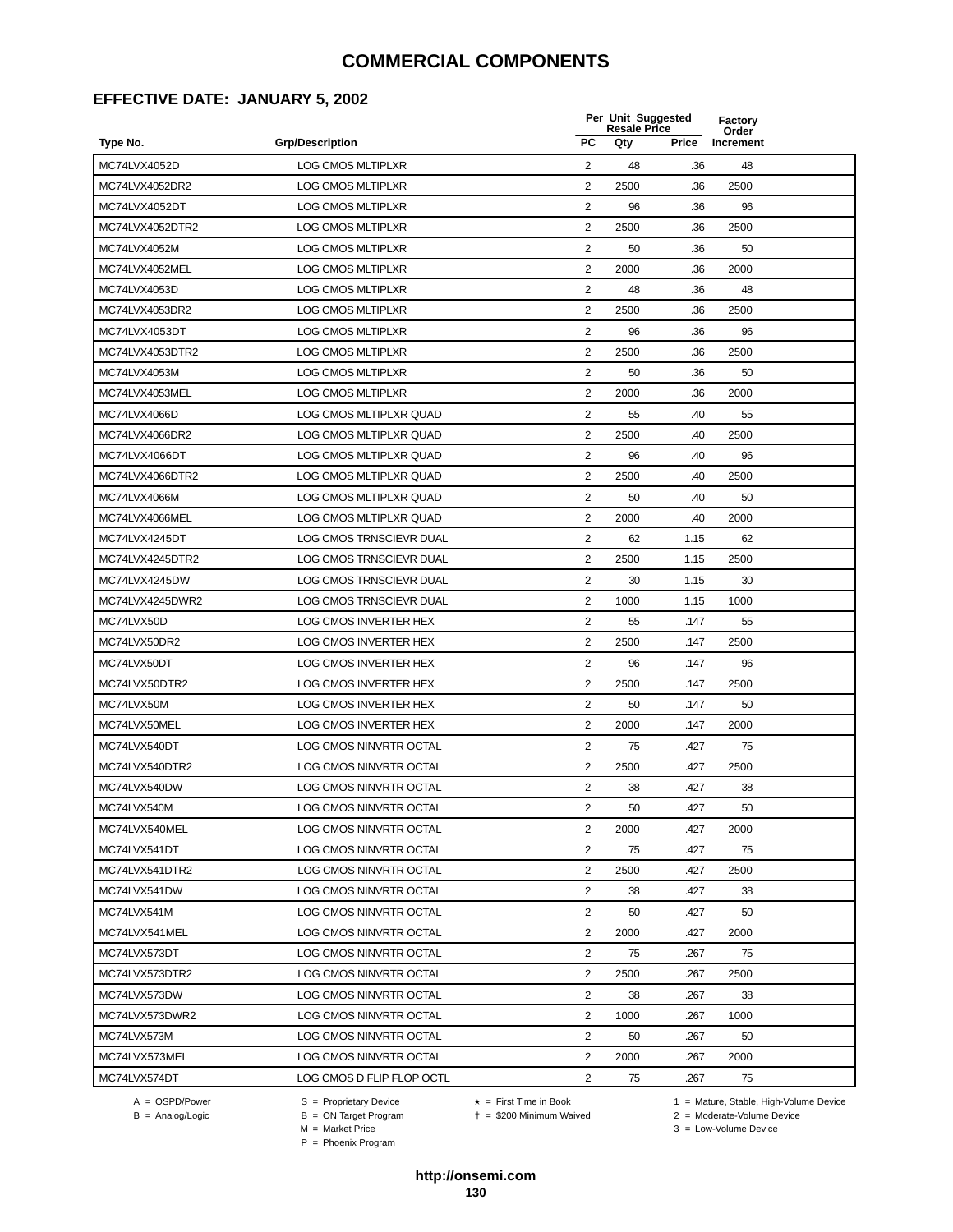#### **EFFECTIVE DATE: JANUARY 5, 2002**

|                 |                               |                | Per Unit Suggested<br><b>Resale Price</b> |       |                    |  |
|-----------------|-------------------------------|----------------|-------------------------------------------|-------|--------------------|--|
| Type No.        | <b>Grp/Description</b>        | <b>PC</b>      | Qty                                       | Price | Order<br>Increment |  |
| MC74LVX4052D    | <b>LOG CMOS MLTIPLXR</b>      | 2              | 48                                        | .36   | 48                 |  |
| MC74LVX4052DR2  | <b>LOG CMOS MLTIPLXR</b>      | 2              | 2500                                      | .36   | 2500               |  |
| MC74LVX4052DT   | <b>LOG CMOS MLTIPLXR</b>      | 2              | 96                                        | .36   | 96                 |  |
| MC74LVX4052DTR2 | <b>LOG CMOS MLTIPLXR</b>      | 2              | 2500                                      | .36   | 2500               |  |
| MC74LVX4052M    | <b>LOG CMOS MLTIPLXR</b>      | $\overline{2}$ | 50                                        | .36   | 50                 |  |
| MC74LVX4052MEL  | <b>LOG CMOS MLTIPLXR</b>      | $\overline{2}$ | 2000                                      | .36   | 2000               |  |
| MC74LVX4053D    | <b>LOG CMOS MLTIPLXR</b>      | $\overline{2}$ | 48                                        | .36   | 48                 |  |
| MC74LVX4053DR2  | <b>LOG CMOS MLTIPLXR</b>      | 2              | 2500                                      | .36   | 2500               |  |
| MC74LVX4053DT   | <b>LOG CMOS MLTIPLXR</b>      | 2              | 96                                        | .36   | 96                 |  |
| MC74LVX4053DTR2 | <b>LOG CMOS MLTIPLXR</b>      | $\overline{2}$ | 2500                                      | .36   | 2500               |  |
| MC74LVX4053M    | LOG CMOS MLTIPLXR             | 2              | 50                                        | .36   | 50                 |  |
| MC74LVX4053MEL  | <b>LOG CMOS MLTIPLXR</b>      | $\overline{2}$ | 2000                                      | .36   | 2000               |  |
| MC74LVX4066D    | LOG CMOS MLTIPLXR QUAD        | 2              | 55                                        | .40   | 55                 |  |
| MC74LVX4066DR2  | LOG CMOS MLTIPLXR QUAD        | $\overline{2}$ | 2500                                      | .40   | 2500               |  |
| MC74LVX4066DT   | LOG CMOS MLTIPLXR QUAD        | 2              | 96                                        | .40   | 96                 |  |
| MC74LVX4066DTR2 | LOG CMOS MLTIPLXR QUAD        | $\overline{2}$ | 2500                                      | .40   | 2500               |  |
| MC74LVX4066M    | LOG CMOS MLTIPLXR QUAD        | 2              | 50                                        | .40   | 50                 |  |
| MC74LVX4066MEL  | LOG CMOS MLTIPLXR QUAD        | 2              | 2000                                      | .40   | 2000               |  |
| MC74LVX4245DT   | LOG CMOS TRNSCIEVR DUAL       | 2              | 62                                        | 1.15  | 62                 |  |
| MC74LVX4245DTR2 | LOG CMOS TRNSCIEVR DUAL       | 2              | 2500                                      | 1.15  | 2500               |  |
| MC74LVX4245DW   | LOG CMOS TRNSCIEVR DUAL       | $\overline{2}$ | 30                                        | 1.15  | 30                 |  |
| MC74LVX4245DWR2 | LOG CMOS TRNSCIEVR DUAL       | $\overline{2}$ | 1000                                      | 1.15  | 1000               |  |
| MC74LVX50D      | LOG CMOS INVERTER HEX         | $\overline{2}$ | 55                                        | .147  | 55                 |  |
| MC74LVX50DR2    | LOG CMOS INVERTER HEX         | 2              | 2500                                      | .147  | 2500               |  |
| MC74LVX50DT     | LOG CMOS INVERTER HEX         | $\overline{2}$ | 96                                        | .147  | 96                 |  |
| MC74LVX50DTR2   | LOG CMOS INVERTER HEX         | 2              | 2500                                      | .147  | 2500               |  |
| MC74LVX50M      | LOG CMOS INVERTER HEX         | $\overline{2}$ | 50                                        | .147  | 50                 |  |
| MC74LVX50MEL    | LOG CMOS INVERTER HEX         | $\overline{2}$ | 2000                                      | .147  | 2000               |  |
| MC74LVX540DT    | LOG CMOS NINVRTR OCTAL        | 2              | 75                                        | .427  | 75                 |  |
| MC74LVX540DTR2  | <b>LOG CMOS NINVRTR OCTAL</b> | $\overline{2}$ | 2500                                      | .427  | 2500               |  |
| MC74LVX540DW    | LOG CMOS NINVRTR OCTAL        | $\overline{2}$ | 38                                        | .427  | 38                 |  |
| MC74LVX540M     | LOG CMOS NINVRTR OCTAL        | 2              | 50                                        | 427   | 50                 |  |
| MC74LVX540MEL   | <b>LOG CMOS NINVRTR OCTAL</b> | $\overline{2}$ | 2000                                      | .427  | 2000               |  |
| MC74LVX541DT    | LOG CMOS NINVRTR OCTAL        | 2              | 75                                        | .427  | 75                 |  |
| MC74LVX541DTR2  | <b>LOG CMOS NINVRTR OCTAL</b> | $\overline{2}$ | 2500                                      | .427  | 2500               |  |
| MC74LVX541DW    | LOG CMOS NINVRTR OCTAL        | 2              | 38                                        | .427  | 38                 |  |
| MC74LVX541M     | LOG CMOS NINVRTR OCTAL        | 2              | 50                                        | .427  | 50                 |  |
| MC74LVX541MEL   | <b>LOG CMOS NINVRTR OCTAL</b> | 2              | 2000                                      | .427  | 2000               |  |
| MC74LVX573DT    | LOG CMOS NINVRTR OCTAL        | $\overline{2}$ | 75                                        | .267  | 75                 |  |
| MC74LVX573DTR2  | LOG CMOS NINVRTR OCTAL        | $\overline{2}$ | 2500                                      | .267  | 2500               |  |
| MC74LVX573DW    | LOG CMOS NINVRTR OCTAL        | 2              | 38                                        | .267  | 38                 |  |
| MC74LVX573DWR2  | LOG CMOS NINVRTR OCTAL        | 2              | 1000                                      | .267  | 1000               |  |
| MC74LVX573M     | LOG CMOS NINVRTR OCTAL        | 2              | 50                                        | .267  | 50                 |  |
| MC74LVX573MEL   | LOG CMOS NINVRTR OCTAL        | 2              | 2000                                      | .267  | 2000               |  |
| MC74LVX574DT    | LOG CMOS D FLIP FLOP OCTL     | $\overline{c}$ | 75                                        | .267  | 75                 |  |
|                 |                               |                |                                           |       |                    |  |

 $B = \text{Analog/Logic}$ <br>B = ON Target Program<br> $M = \text{Market Price}$ 

A = OSPD/Power S = Proprietary Device  $\star$  = First Time in Book 1 = Mature, Stable, High-Volume Device

 = \$200 Minimum Waived 2 = Moderate-Volume Device  $3 =$  Low-Volume Device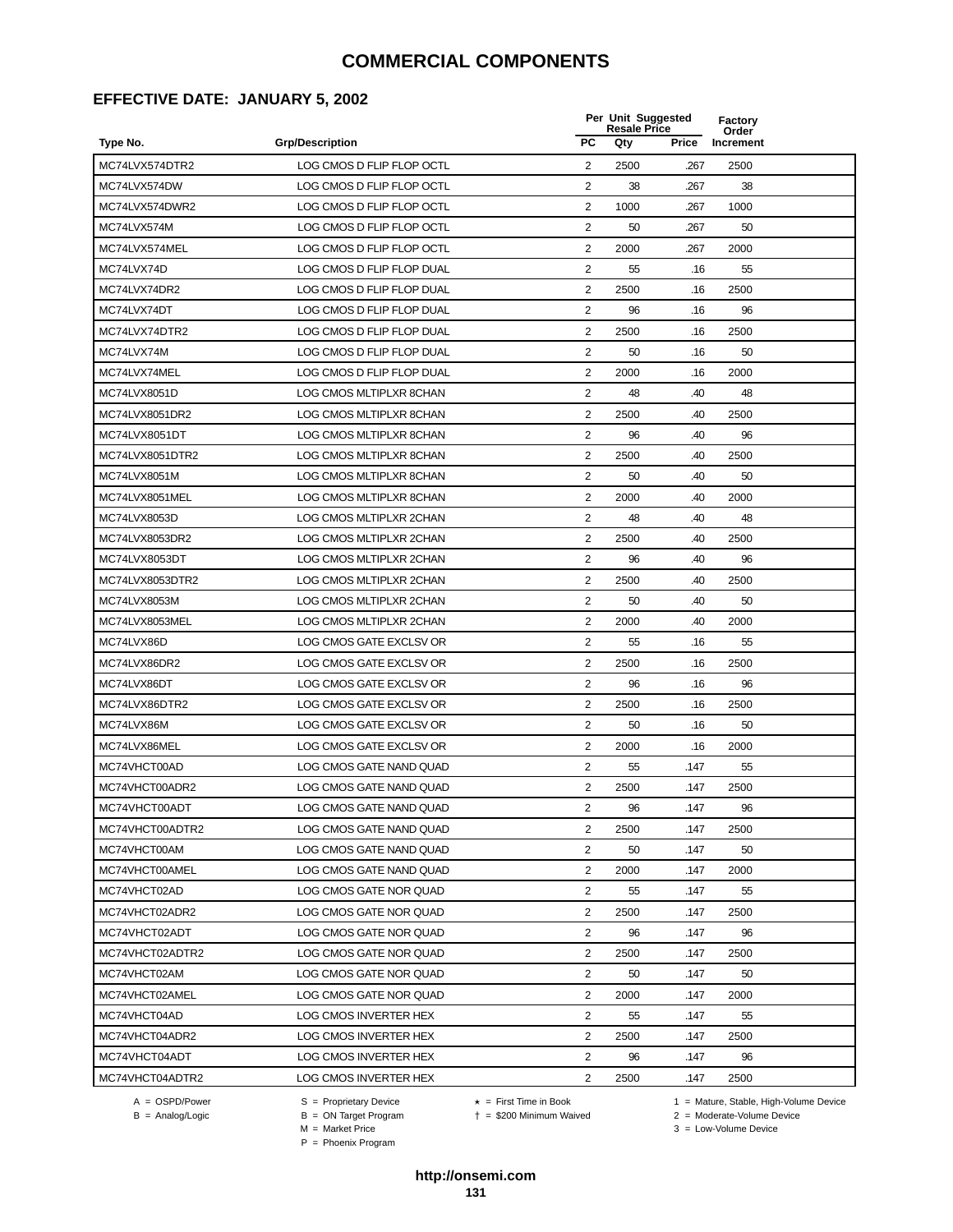#### **EFFECTIVE DATE: JANUARY 5, 2002**

|                 |                           |                | Per Unit Suggested<br><b>Resale Price</b> |       | Factory<br>Order |  |
|-----------------|---------------------------|----------------|-------------------------------------------|-------|------------------|--|
| Type No.        | <b>Grp/Description</b>    | <b>PC</b>      | Qty                                       | Price | Increment        |  |
| MC74LVX574DTR2  | LOG CMOS D FLIP FLOP OCTL | 2              | 2500                                      | .267  | 2500             |  |
| MC74LVX574DW    | LOG CMOS D FLIP FLOP OCTL | 2              | 38                                        | .267  | 38               |  |
| MC74LVX574DWR2  | LOG CMOS D FLIP FLOP OCTL | 2              | 1000                                      | .267  | 1000             |  |
| MC74LVX574M     | LOG CMOS D FLIP FLOP OCTL | $\overline{c}$ | 50                                        | .267  | 50               |  |
| MC74LVX574MEL   | LOG CMOS D FLIP FLOP OCTL | $\overline{2}$ | 2000                                      | .267  | 2000             |  |
| MC74LVX74D      | LOG CMOS D FLIP FLOP DUAL | $\overline{2}$ | 55                                        | .16   | 55               |  |
| MC74LVX74DR2    | LOG CMOS D FLIP FLOP DUAL | $\overline{2}$ | 2500                                      | .16   | 2500             |  |
| MC74LVX74DT     | LOG CMOS D FLIP FLOP DUAL | 2              | 96                                        | .16   | 96               |  |
| MC74LVX74DTR2   | LOG CMOS D FLIP FLOP DUAL | $\overline{2}$ | 2500                                      | .16   | 2500             |  |
| MC74LVX74M      | LOG CMOS D FLIP FLOP DUAL | $\overline{2}$ | 50                                        | .16   | 50               |  |
| MC74LVX74MEL    | LOG CMOS D FLIP FLOP DUAL | 2              | 2000                                      | .16   | 2000             |  |
| MC74LVX8051D    | LOG CMOS MLTIPLXR 8CHAN   | $\overline{2}$ | 48                                        | .40   | 48               |  |
| MC74LVX8051DR2  | LOG CMOS MLTIPLXR 8CHAN   | $\overline{2}$ | 2500                                      | .40   | 2500             |  |
| MC74LVX8051DT   | LOG CMOS MLTIPLXR 8CHAN   | $\overline{2}$ | 96                                        | .40   | 96               |  |
| MC74LVX8051DTR2 | LOG CMOS MLTIPLXR 8CHAN   | $\overline{2}$ | 2500                                      | .40   | 2500             |  |
| MC74LVX8051M    | LOG CMOS MLTIPLXR 8CHAN   | $\overline{2}$ | 50                                        | .40   | 50               |  |
| MC74LVX8051MEL  | LOG CMOS MLTIPLXR 8CHAN   | $\overline{2}$ | 2000                                      | .40   | 2000             |  |
| MC74LVX8053D    | LOG CMOS MLTIPLXR 2CHAN   | $\overline{2}$ | 48                                        | .40   | 48               |  |
| MC74LVX8053DR2  | LOG CMOS MLTIPLXR 2CHAN   | $\overline{2}$ | 2500                                      | .40   | 2500             |  |
| MC74LVX8053DT   | LOG CMOS MLTIPLXR 2CHAN   | 2              | 96                                        | .40   | 96               |  |
| MC74LVX8053DTR2 | LOG CMOS MLTIPLXR 2CHAN   | 2              | 2500                                      | .40   | 2500             |  |
| MC74LVX8053M    | LOG CMOS MLTIPLXR 2CHAN   | $\overline{c}$ | 50                                        | .40   | 50               |  |
| MC74LVX8053MEL  | LOG CMOS MLTIPLXR 2CHAN   | $\overline{2}$ | 2000                                      | .40   | 2000             |  |
| MC74LVX86D      | LOG CMOS GATE EXCLSV OR   | $\overline{2}$ | 55                                        | .16   | 55               |  |
| MC74LVX86DR2    | LOG CMOS GATE EXCLSV OR   | $\overline{2}$ | 2500                                      | .16   | 2500             |  |
| MC74LVX86DT     | LOG CMOS GATE EXCLSV OR   | 2              | 96                                        | .16   | 96               |  |
| MC74LVX86DTR2   | LOG CMOS GATE EXCLSV OR   | $\overline{c}$ | 2500                                      | .16   | 2500             |  |
| MC74LVX86M      | LOG CMOS GATE EXCLSV OR   | 2              | 50                                        | .16   | 50               |  |
| MC74LVX86MEL    | LOG CMOS GATE EXCLSV OR   | 2              | 2000                                      | .16   | 2000             |  |
| MC74VHCT00AD    | LOG CMOS GATE NAND QUAD   | $\overline{2}$ | 55                                        | .147  | 55               |  |
| MC74VHCT00ADR2  | LOG CMOS GATE NAND QUAD   | $\overline{2}$ | 2500                                      | .147  | 2500             |  |
| MC74VHCT00ADT   | LOG CMOS GATE NAND QUAD   | 2              | 96                                        | .147  | 96               |  |
| MC74VHCT00ADTR2 | LOG CMOS GATE NAND QUAD   | 2              | 2500                                      | .147  | 2500             |  |
| MC74VHCT00AM    | LOG CMOS GATE NAND QUAD   | $\overline{2}$ | 50                                        | .147  | 50               |  |
| MC74VHCT00AMEL  | LOG CMOS GATE NAND QUAD   | 2              | 2000                                      | .147  | 2000             |  |
| MC74VHCT02AD    | LOG CMOS GATE NOR QUAD    | 2              | 55                                        | .147  | 55               |  |
| MC74VHCT02ADR2  | LOG CMOS GATE NOR QUAD    | 2              | 2500                                      | .147  | 2500             |  |
| MC74VHCT02ADT   | LOG CMOS GATE NOR QUAD    | 2              | 96                                        | .147  | 96               |  |
| MC74VHCT02ADTR2 | LOG CMOS GATE NOR QUAD    | $\overline{2}$ | 2500                                      | .147  | 2500             |  |
| MC74VHCT02AM    | LOG CMOS GATE NOR QUAD    | 2              | 50                                        | .147  | 50               |  |
| MC74VHCT02AMEL  | LOG CMOS GATE NOR QUAD    | $\overline{2}$ | 2000                                      | .147  | 2000             |  |
| MC74VHCT04AD    | LOG CMOS INVERTER HEX     | $\overline{2}$ | 55                                        | .147  | 55               |  |
| MC74VHCT04ADR2  | LOG CMOS INVERTER HEX     | 2              | 2500                                      | .147  | 2500             |  |
| MC74VHCT04ADT   | LOG CMOS INVERTER HEX     | 2              | 96                                        | .147  | 96               |  |
| MC74VHCT04ADTR2 | LOG CMOS INVERTER HEX     | $\overline{c}$ | 2500                                      | .147  | 2500             |  |
|                 |                           |                |                                           |       |                  |  |

 $B = \text{Analog/Logic}$ <br>B = ON Target Program<br> $M = \text{Market Price}$ 

= \$200 Minimum Waived 2 = Moderate-Volume Device

A = OSPD/Power S = Proprietary Device  $\star$  = First Time in Book 1 = Mature, Stable, High-Volume Device

 $3 =$  Low-Volume Device

P = Phoenix Program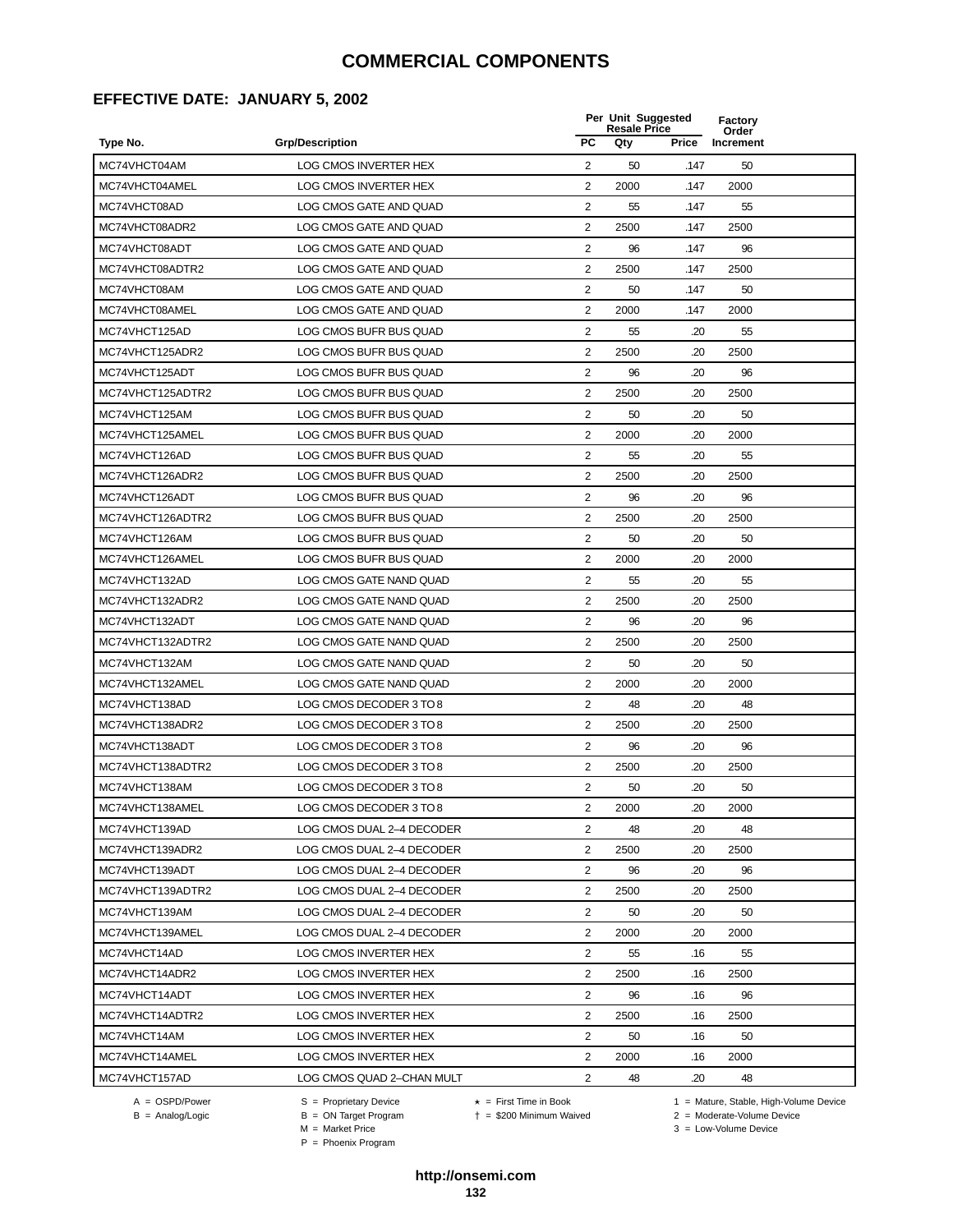#### **EFFECTIVE DATE: JANUARY 5, 2002**

|                  |                              |                | Per Unit Suggested<br><b>Resale Price</b> |       |                           |  |
|------------------|------------------------------|----------------|-------------------------------------------|-------|---------------------------|--|
| Type No.         | <b>Grp/Description</b>       | PC             | Qty                                       | Price | Order<br><b>Increment</b> |  |
| MC74VHCT04AM     | <b>LOG CMOS INVERTER HEX</b> | 2              | 50                                        | .147  | 50                        |  |
| MC74VHCT04AMEL   | LOG CMOS INVERTER HEX        | $\overline{2}$ | 2000                                      | .147  | 2000                      |  |
| MC74VHCT08AD     | LOG CMOS GATE AND QUAD       | 2              | 55                                        | .147  | 55                        |  |
| MC74VHCT08ADR2   | LOG CMOS GATE AND QUAD       | $\overline{2}$ | 2500                                      | .147  | 2500                      |  |
| MC74VHCT08ADT    | LOG CMOS GATE AND QUAD       | $\overline{2}$ | 96                                        | .147  | 96                        |  |
| MC74VHCT08ADTR2  | LOG CMOS GATE AND QUAD       | 2              | 2500                                      | .147  | 2500                      |  |
| MC74VHCT08AM     | LOG CMOS GATE AND QUAD       | $\overline{2}$ | 50                                        | .147  | 50                        |  |
| MC74VHCT08AMEL   | LOG CMOS GATE AND QUAD       | 2              | 2000                                      | .147  | 2000                      |  |
| MC74VHCT125AD    | LOG CMOS BUFR BUS QUAD       | 2              | 55                                        | .20   | 55                        |  |
| MC74VHCT125ADR2  | LOG CMOS BUFR BUS QUAD       | $\overline{2}$ | 2500                                      | .20   | 2500                      |  |
| MC74VHCT125ADT   | LOG CMOS BUFR BUS QUAD       | 2              | 96                                        | .20   | 96                        |  |
| MC74VHCT125ADTR2 | LOG CMOS BUFR BUS QUAD       | $\overline{2}$ | 2500                                      | .20   | 2500                      |  |
| MC74VHCT125AM    | LOG CMOS BUFR BUS QUAD       | $\overline{2}$ | 50                                        | .20   | 50                        |  |
| MC74VHCT125AMEL  | LOG CMOS BUFR BUS QUAD       | $\overline{2}$ | 2000                                      | .20   | 2000                      |  |
| MC74VHCT126AD    | LOG CMOS BUFR BUS QUAD       | 2              | 55                                        | .20   | 55                        |  |
| MC74VHCT126ADR2  | LOG CMOS BUFR BUS QUAD       | $\overline{2}$ | 2500                                      | .20   | 2500                      |  |
| MC74VHCT126ADT   | LOG CMOS BUFR BUS QUAD       | 2              | 96                                        | .20   | 96                        |  |
| MC74VHCT126ADTR2 | LOG CMOS BUFR BUS QUAD       | $\overline{2}$ | 2500                                      | .20   | 2500                      |  |
| MC74VHCT126AM    | LOG CMOS BUFR BUS QUAD       | 2              | 50                                        | .20   | 50                        |  |
| MC74VHCT126AMEL  | LOG CMOS BUFR BUS QUAD       | $\overline{2}$ | 2000                                      | .20   | 2000                      |  |
| MC74VHCT132AD    | LOG CMOS GATE NAND QUAD      | $\overline{2}$ | 55                                        | .20   | 55                        |  |
| MC74VHCT132ADR2  | LOG CMOS GATE NAND QUAD      | $\overline{2}$ | 2500                                      | .20   | 2500                      |  |
| MC74VHCT132ADT   | LOG CMOS GATE NAND QUAD      | $\overline{2}$ | 96                                        | .20   | 96                        |  |
| MC74VHCT132ADTR2 | LOG CMOS GATE NAND QUAD      | 2              | 2500                                      | .20   | 2500                      |  |
| MC74VHCT132AM    | LOG CMOS GATE NAND QUAD      | 2              | 50                                        | .20   | 50                        |  |
| MC74VHCT132AMEL  | LOG CMOS GATE NAND QUAD      | 2              | 2000                                      | .20   | 2000                      |  |
| MC74VHCT138AD    | LOG CMOS DECODER 3 TO 8      | $\overline{2}$ | 48                                        | .20   | 48                        |  |
| MC74VHCT138ADR2  | LOG CMOS DECODER 3 TO 8      | $\overline{2}$ | 2500                                      | .20   | 2500                      |  |
| MC74VHCT138ADT   | LOG CMOS DECODER 3 TO 8      | 2              | 96                                        | .20   | 96                        |  |
| MC74VHCT138ADTR2 | LOG CMOS DECODER 3 TO 8      | 2              | 2500                                      | .20   | 2500                      |  |
| MC74VHCT138AM    | LOG CMOS DECODER 3 TO 8      | 2              | 50                                        | .20   | 50                        |  |
| MC74VHCT138AMEL  | LOG CMOS DECODER 3 TO 8      | 2              | 2000                                      | .20   | 2000                      |  |
| MC74VHCT139AD    | LOG CMOS DUAL 2-4 DECODER    | $\overline{2}$ | 48                                        | .20   | 48                        |  |
| MC74VHCT139ADR2  | LOG CMOS DUAL 2-4 DECODER    | 2              | 2500                                      | .20   | 2500                      |  |
| MC74VHCT139ADT   | LOG CMOS DUAL 2-4 DECODER    | 2              | 96                                        | .20   | 96                        |  |
| MC74VHCT139ADTR2 | LOG CMOS DUAL 2-4 DECODER    | 2              | 2500                                      | .20   | 2500                      |  |
| MC74VHCT139AM    | LOG CMOS DUAL 2-4 DECODER    | 2              | 50                                        | .20   | 50                        |  |
| MC74VHCT139AMEL  | LOG CMOS DUAL 2-4 DECODER    | 2              | 2000                                      | .20   | 2000                      |  |
| MC74VHCT14AD     | LOG CMOS INVERTER HEX        | 2              | 55                                        | .16   | 55                        |  |
| MC74VHCT14ADR2   | LOG CMOS INVERTER HEX        | 2              | 2500                                      | .16   | 2500                      |  |
| MC74VHCT14ADT    | LOG CMOS INVERTER HEX        | 2              | 96                                        | .16   | 96                        |  |
| MC74VHCT14ADTR2  | LOG CMOS INVERTER HEX        | $\overline{2}$ | 2500                                      | .16   | 2500                      |  |
| MC74VHCT14AM     | LOG CMOS INVERTER HEX        | $\overline{2}$ | 50                                        | .16   | 50                        |  |
| MC74VHCT14AMEL   | LOG CMOS INVERTER HEX        | $\overline{2}$ | 2000                                      | .16   | 2000                      |  |
| MC74VHCT157AD    | LOG CMOS QUAD 2-CHAN MULT    | 2              | 48                                        | .20   | 48                        |  |

A = OSPD/Power S = Proprietary Device<br>
B = Analog/Logic B = ON Target Program<br>
M = Market Price

= \$200 Minimum Waived 2 = Moderate-Volume Device

A = OSPD/Power S = Proprietary Device  $\star$  = First Time in Book 1 = Mature, Stable, High-Volume Device

 $2 =$  Moderate-Volume Device<br> $3 =$  Low-Volume Device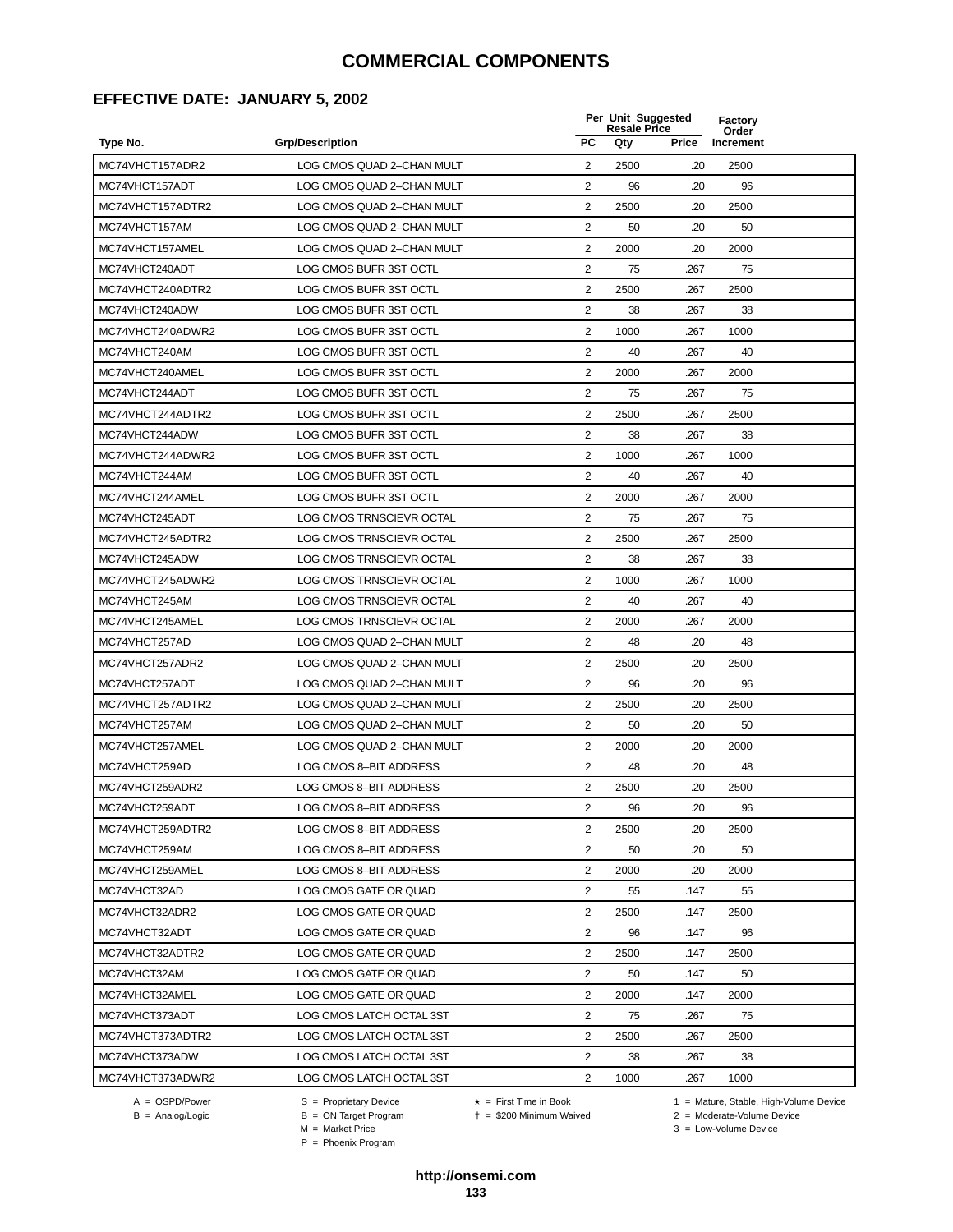#### **EFFECTIVE DATE: JANUARY 5, 2002**

| <b>PC</b><br><b>Grp/Description</b><br>Qty<br>Price<br>Increment<br>Type No.<br>MC74VHCT157ADR2<br>2<br>LOG CMOS QUAD 2-CHAN MULT<br>2500<br>.20<br>2500<br>MC74VHCT157ADT<br>LOG CMOS QUAD 2-CHAN MULT<br>2<br>96<br>.20<br>96<br>$\overline{2}$<br>MC74VHCT157ADTR2<br>LOG CMOS QUAD 2-CHAN MULT<br>2500<br>.20<br>2500<br>$\overline{2}$<br>MC74VHCT157AM<br>LOG CMOS QUAD 2-CHAN MULT<br>50<br>.20<br>50<br>$\overline{c}$<br>MC74VHCT157AMEL<br>2000<br>.20<br>LOG CMOS QUAD 2-CHAN MULT<br>2000<br>$\mathbf{2}$<br>LOG CMOS BUFR 3ST OCTL<br>75<br>.267<br>75<br>MC74VHCT240ADT<br>$\overline{2}$<br>2500<br>.267<br>2500<br>MC74VHCT240ADTR2<br>LOG CMOS BUFR 3ST OCTL<br>MC74VHCT240ADW<br>LOG CMOS BUFR 3ST OCTL<br>2<br>38<br>.267<br>38<br>$\overline{2}$<br>MC74VHCT240ADWR2<br>LOG CMOS BUFR 3ST OCTL<br>1000<br>.267<br>1000<br>LOG CMOS BUFR 3ST OCTL<br>$\overline{2}$<br>40<br>MC74VHCT240AM<br>.267<br>40<br>MC74VHCT240AMEL<br>LOG CMOS BUFR 3ST OCTL<br>2<br>2000<br>.267<br>2000<br>$\overline{2}$<br>MC74VHCT244ADT<br>LOG CMOS BUFR 3ST OCTL<br>75<br>.267<br>75<br>$\overline{2}$<br>MC74VHCT244ADTR2<br>LOG CMOS BUFR 3ST OCTL<br>2500<br>.267<br>2500<br>MC74VHCT244ADW<br>$\overline{2}$<br>LOG CMOS BUFR 3ST OCTL<br>38<br>.267<br>38<br>LOG CMOS BUFR 3ST OCTL<br>$\overline{2}$<br>1000<br>MC74VHCT244ADWR2<br>1000<br>.267<br>$\overline{2}$<br>40<br>.267<br>40<br>MC74VHCT244AM<br>LOG CMOS BUFR 3ST OCTL<br>LOG CMOS BUFR 3ST OCTL<br>2<br>2000<br>MC74VHCT244AMEL<br>2000<br>.267<br>$\overline{2}$<br>MC74VHCT245ADT<br>LOG CMOS TRNSCIEVR OCTAL<br>75<br>.267<br>75<br>$\overline{2}$<br>MC74VHCT245ADTR2<br>LOG CMOS TRNSCIEVR OCTAL<br>2500<br>.267<br>2500<br>MC74VHCT245ADW<br><b>LOG CMOS TRNSCIEVR OCTAL</b><br>2<br>38<br>.267<br>38<br>2<br>MC74VHCT245ADWR2<br>LOG CMOS TRNSCIEVR OCTAL<br>1000<br>.267<br>1000<br>$\overline{c}$<br>MC74VHCT245AM<br>LOG CMOS TRNSCIEVR OCTAL<br>40<br>.267<br>40<br>$\overline{c}$<br>MC74VHCT245AMEL<br>LOG CMOS TRNSCIEVR OCTAL<br>2000<br>267<br>2000<br>$\mathbf{2}$<br>MC74VHCT257AD<br>48<br>LOG CMOS QUAD 2-CHAN MULT<br>.20<br>48<br>$\overline{2}$<br>2500<br>.20<br>2500<br>MC74VHCT257ADR2<br>LOG CMOS QUAD 2-CHAN MULT<br>MC74VHCT257ADT<br>2<br>96<br>.20<br>96<br>LOG CMOS QUAD 2-CHAN MULT<br>2<br>2500<br>.20<br>2500<br>MC74VHCT257ADTR2<br>LOG CMOS QUAD 2-CHAN MULT<br>MC74VHCT257AM<br>2<br>LOG CMOS QUAD 2-CHAN MULT<br>50<br>.20<br>50<br>MC74VHCT257AMEL<br>LOG CMOS QUAD 2-CHAN MULT<br>2<br>2000<br>.20<br>2000<br>2<br>MC74VHCT259AD<br>LOG CMOS 8-BIT ADDRESS<br>48<br>.20<br>48<br>$\overline{2}$<br>MC74VHCT259ADR2<br>LOG CMOS 8-BIT ADDRESS<br>2500<br>.20<br>2500<br>2<br>MC74VHCT259ADT<br>96<br>.20<br>96<br>LOG CMOS 8-BIT ADDRESS<br>MC74VHCT259ADTR2<br>LOG CMOS 8-BIT ADDRESS<br>2<br>2500<br>.20<br>2500<br>$\overline{2}$<br>50<br>.20<br>50<br>MC74VHCT259AM<br>LOG CMOS 8-BIT ADDRESS<br>2<br>2000<br>.20<br>2000<br>MC74VHCT259AMEL<br>LOG CMOS 8-BIT ADDRESS<br>2<br>55<br>MC74VHCT32AD<br>LOG CMOS GATE OR QUAD<br>.147<br>55<br>MC74VHCT32ADR2<br>2<br>2500<br>.147<br>2500<br>LOG CMOS GATE OR QUAD<br>2<br>96<br>MC74VHCT32ADT<br>LOG CMOS GATE OR QUAD<br>.147<br>96<br>$\overline{2}$<br>MC74VHCT32ADTR2<br>2500<br>.147<br>2500<br>LOG CMOS GATE OR QUAD<br>MC74VHCT32AM<br>2<br>50<br>LOG CMOS GATE OR QUAD<br>.147<br>50<br>2<br>2000<br>MC74VHCT32AMEL<br>LOG CMOS GATE OR QUAD<br>.147<br>2000<br>2<br>75<br>.267<br>MC74VHCT373ADT<br>LOG CMOS LATCH OCTAL 3ST<br>75<br>$\overline{2}$<br>2500<br>.267<br>2500<br>MC74VHCT373ADTR2<br>LOG CMOS LATCH OCTAL 3ST<br>2<br>38<br>.267<br>38<br>MC74VHCT373ADW<br>LOG CMOS LATCH OCTAL 3ST<br>$\overline{c}$<br>MC74VHCT373ADWR2<br>1000<br>.267<br>1000<br>LOG CMOS LATCH OCTAL 3ST |  | Per Unit Suggested<br><b>Resale Price</b> | Factory<br>Order |  |
|-------------------------------------------------------------------------------------------------------------------------------------------------------------------------------------------------------------------------------------------------------------------------------------------------------------------------------------------------------------------------------------------------------------------------------------------------------------------------------------------------------------------------------------------------------------------------------------------------------------------------------------------------------------------------------------------------------------------------------------------------------------------------------------------------------------------------------------------------------------------------------------------------------------------------------------------------------------------------------------------------------------------------------------------------------------------------------------------------------------------------------------------------------------------------------------------------------------------------------------------------------------------------------------------------------------------------------------------------------------------------------------------------------------------------------------------------------------------------------------------------------------------------------------------------------------------------------------------------------------------------------------------------------------------------------------------------------------------------------------------------------------------------------------------------------------------------------------------------------------------------------------------------------------------------------------------------------------------------------------------------------------------------------------------------------------------------------------------------------------------------------------------------------------------------------------------------------------------------------------------------------------------------------------------------------------------------------------------------------------------------------------------------------------------------------------------------------------------------------------------------------------------------------------------------------------------------------------------------------------------------------------------------------------------------------------------------------------------------------------------------------------------------------------------------------------------------------------------------------------------------------------------------------------------------------------------------------------------------------------------------------------------------------------------------------------------------------------------------------------------------------------------------------------------------------------------------------------------------------------------------------------------------------------------------------------------------------------------------------------------------------------------------------------------------------------------------------------------------------------------------------------------------------------------------------------------------------------------------------------------------------------------------------------------------------------------------------------------------------------------------------------------------|--|-------------------------------------------|------------------|--|
|                                                                                                                                                                                                                                                                                                                                                                                                                                                                                                                                                                                                                                                                                                                                                                                                                                                                                                                                                                                                                                                                                                                                                                                                                                                                                                                                                                                                                                                                                                                                                                                                                                                                                                                                                                                                                                                                                                                                                                                                                                                                                                                                                                                                                                                                                                                                                                                                                                                                                                                                                                                                                                                                                                                                                                                                                                                                                                                                                                                                                                                                                                                                                                                                                                                                                                                                                                                                                                                                                                                                                                                                                                                                                                                                                                         |  |                                           |                  |  |
|                                                                                                                                                                                                                                                                                                                                                                                                                                                                                                                                                                                                                                                                                                                                                                                                                                                                                                                                                                                                                                                                                                                                                                                                                                                                                                                                                                                                                                                                                                                                                                                                                                                                                                                                                                                                                                                                                                                                                                                                                                                                                                                                                                                                                                                                                                                                                                                                                                                                                                                                                                                                                                                                                                                                                                                                                                                                                                                                                                                                                                                                                                                                                                                                                                                                                                                                                                                                                                                                                                                                                                                                                                                                                                                                                                         |  |                                           |                  |  |
|                                                                                                                                                                                                                                                                                                                                                                                                                                                                                                                                                                                                                                                                                                                                                                                                                                                                                                                                                                                                                                                                                                                                                                                                                                                                                                                                                                                                                                                                                                                                                                                                                                                                                                                                                                                                                                                                                                                                                                                                                                                                                                                                                                                                                                                                                                                                                                                                                                                                                                                                                                                                                                                                                                                                                                                                                                                                                                                                                                                                                                                                                                                                                                                                                                                                                                                                                                                                                                                                                                                                                                                                                                                                                                                                                                         |  |                                           |                  |  |
|                                                                                                                                                                                                                                                                                                                                                                                                                                                                                                                                                                                                                                                                                                                                                                                                                                                                                                                                                                                                                                                                                                                                                                                                                                                                                                                                                                                                                                                                                                                                                                                                                                                                                                                                                                                                                                                                                                                                                                                                                                                                                                                                                                                                                                                                                                                                                                                                                                                                                                                                                                                                                                                                                                                                                                                                                                                                                                                                                                                                                                                                                                                                                                                                                                                                                                                                                                                                                                                                                                                                                                                                                                                                                                                                                                         |  |                                           |                  |  |
|                                                                                                                                                                                                                                                                                                                                                                                                                                                                                                                                                                                                                                                                                                                                                                                                                                                                                                                                                                                                                                                                                                                                                                                                                                                                                                                                                                                                                                                                                                                                                                                                                                                                                                                                                                                                                                                                                                                                                                                                                                                                                                                                                                                                                                                                                                                                                                                                                                                                                                                                                                                                                                                                                                                                                                                                                                                                                                                                                                                                                                                                                                                                                                                                                                                                                                                                                                                                                                                                                                                                                                                                                                                                                                                                                                         |  |                                           |                  |  |
|                                                                                                                                                                                                                                                                                                                                                                                                                                                                                                                                                                                                                                                                                                                                                                                                                                                                                                                                                                                                                                                                                                                                                                                                                                                                                                                                                                                                                                                                                                                                                                                                                                                                                                                                                                                                                                                                                                                                                                                                                                                                                                                                                                                                                                                                                                                                                                                                                                                                                                                                                                                                                                                                                                                                                                                                                                                                                                                                                                                                                                                                                                                                                                                                                                                                                                                                                                                                                                                                                                                                                                                                                                                                                                                                                                         |  |                                           |                  |  |
|                                                                                                                                                                                                                                                                                                                                                                                                                                                                                                                                                                                                                                                                                                                                                                                                                                                                                                                                                                                                                                                                                                                                                                                                                                                                                                                                                                                                                                                                                                                                                                                                                                                                                                                                                                                                                                                                                                                                                                                                                                                                                                                                                                                                                                                                                                                                                                                                                                                                                                                                                                                                                                                                                                                                                                                                                                                                                                                                                                                                                                                                                                                                                                                                                                                                                                                                                                                                                                                                                                                                                                                                                                                                                                                                                                         |  |                                           |                  |  |
|                                                                                                                                                                                                                                                                                                                                                                                                                                                                                                                                                                                                                                                                                                                                                                                                                                                                                                                                                                                                                                                                                                                                                                                                                                                                                                                                                                                                                                                                                                                                                                                                                                                                                                                                                                                                                                                                                                                                                                                                                                                                                                                                                                                                                                                                                                                                                                                                                                                                                                                                                                                                                                                                                                                                                                                                                                                                                                                                                                                                                                                                                                                                                                                                                                                                                                                                                                                                                                                                                                                                                                                                                                                                                                                                                                         |  |                                           |                  |  |
|                                                                                                                                                                                                                                                                                                                                                                                                                                                                                                                                                                                                                                                                                                                                                                                                                                                                                                                                                                                                                                                                                                                                                                                                                                                                                                                                                                                                                                                                                                                                                                                                                                                                                                                                                                                                                                                                                                                                                                                                                                                                                                                                                                                                                                                                                                                                                                                                                                                                                                                                                                                                                                                                                                                                                                                                                                                                                                                                                                                                                                                                                                                                                                                                                                                                                                                                                                                                                                                                                                                                                                                                                                                                                                                                                                         |  |                                           |                  |  |
|                                                                                                                                                                                                                                                                                                                                                                                                                                                                                                                                                                                                                                                                                                                                                                                                                                                                                                                                                                                                                                                                                                                                                                                                                                                                                                                                                                                                                                                                                                                                                                                                                                                                                                                                                                                                                                                                                                                                                                                                                                                                                                                                                                                                                                                                                                                                                                                                                                                                                                                                                                                                                                                                                                                                                                                                                                                                                                                                                                                                                                                                                                                                                                                                                                                                                                                                                                                                                                                                                                                                                                                                                                                                                                                                                                         |  |                                           |                  |  |
|                                                                                                                                                                                                                                                                                                                                                                                                                                                                                                                                                                                                                                                                                                                                                                                                                                                                                                                                                                                                                                                                                                                                                                                                                                                                                                                                                                                                                                                                                                                                                                                                                                                                                                                                                                                                                                                                                                                                                                                                                                                                                                                                                                                                                                                                                                                                                                                                                                                                                                                                                                                                                                                                                                                                                                                                                                                                                                                                                                                                                                                                                                                                                                                                                                                                                                                                                                                                                                                                                                                                                                                                                                                                                                                                                                         |  |                                           |                  |  |
|                                                                                                                                                                                                                                                                                                                                                                                                                                                                                                                                                                                                                                                                                                                                                                                                                                                                                                                                                                                                                                                                                                                                                                                                                                                                                                                                                                                                                                                                                                                                                                                                                                                                                                                                                                                                                                                                                                                                                                                                                                                                                                                                                                                                                                                                                                                                                                                                                                                                                                                                                                                                                                                                                                                                                                                                                                                                                                                                                                                                                                                                                                                                                                                                                                                                                                                                                                                                                                                                                                                                                                                                                                                                                                                                                                         |  |                                           |                  |  |
|                                                                                                                                                                                                                                                                                                                                                                                                                                                                                                                                                                                                                                                                                                                                                                                                                                                                                                                                                                                                                                                                                                                                                                                                                                                                                                                                                                                                                                                                                                                                                                                                                                                                                                                                                                                                                                                                                                                                                                                                                                                                                                                                                                                                                                                                                                                                                                                                                                                                                                                                                                                                                                                                                                                                                                                                                                                                                                                                                                                                                                                                                                                                                                                                                                                                                                                                                                                                                                                                                                                                                                                                                                                                                                                                                                         |  |                                           |                  |  |
|                                                                                                                                                                                                                                                                                                                                                                                                                                                                                                                                                                                                                                                                                                                                                                                                                                                                                                                                                                                                                                                                                                                                                                                                                                                                                                                                                                                                                                                                                                                                                                                                                                                                                                                                                                                                                                                                                                                                                                                                                                                                                                                                                                                                                                                                                                                                                                                                                                                                                                                                                                                                                                                                                                                                                                                                                                                                                                                                                                                                                                                                                                                                                                                                                                                                                                                                                                                                                                                                                                                                                                                                                                                                                                                                                                         |  |                                           |                  |  |
|                                                                                                                                                                                                                                                                                                                                                                                                                                                                                                                                                                                                                                                                                                                                                                                                                                                                                                                                                                                                                                                                                                                                                                                                                                                                                                                                                                                                                                                                                                                                                                                                                                                                                                                                                                                                                                                                                                                                                                                                                                                                                                                                                                                                                                                                                                                                                                                                                                                                                                                                                                                                                                                                                                                                                                                                                                                                                                                                                                                                                                                                                                                                                                                                                                                                                                                                                                                                                                                                                                                                                                                                                                                                                                                                                                         |  |                                           |                  |  |
|                                                                                                                                                                                                                                                                                                                                                                                                                                                                                                                                                                                                                                                                                                                                                                                                                                                                                                                                                                                                                                                                                                                                                                                                                                                                                                                                                                                                                                                                                                                                                                                                                                                                                                                                                                                                                                                                                                                                                                                                                                                                                                                                                                                                                                                                                                                                                                                                                                                                                                                                                                                                                                                                                                                                                                                                                                                                                                                                                                                                                                                                                                                                                                                                                                                                                                                                                                                                                                                                                                                                                                                                                                                                                                                                                                         |  |                                           |                  |  |
|                                                                                                                                                                                                                                                                                                                                                                                                                                                                                                                                                                                                                                                                                                                                                                                                                                                                                                                                                                                                                                                                                                                                                                                                                                                                                                                                                                                                                                                                                                                                                                                                                                                                                                                                                                                                                                                                                                                                                                                                                                                                                                                                                                                                                                                                                                                                                                                                                                                                                                                                                                                                                                                                                                                                                                                                                                                                                                                                                                                                                                                                                                                                                                                                                                                                                                                                                                                                                                                                                                                                                                                                                                                                                                                                                                         |  |                                           |                  |  |
|                                                                                                                                                                                                                                                                                                                                                                                                                                                                                                                                                                                                                                                                                                                                                                                                                                                                                                                                                                                                                                                                                                                                                                                                                                                                                                                                                                                                                                                                                                                                                                                                                                                                                                                                                                                                                                                                                                                                                                                                                                                                                                                                                                                                                                                                                                                                                                                                                                                                                                                                                                                                                                                                                                                                                                                                                                                                                                                                                                                                                                                                                                                                                                                                                                                                                                                                                                                                                                                                                                                                                                                                                                                                                                                                                                         |  |                                           |                  |  |
|                                                                                                                                                                                                                                                                                                                                                                                                                                                                                                                                                                                                                                                                                                                                                                                                                                                                                                                                                                                                                                                                                                                                                                                                                                                                                                                                                                                                                                                                                                                                                                                                                                                                                                                                                                                                                                                                                                                                                                                                                                                                                                                                                                                                                                                                                                                                                                                                                                                                                                                                                                                                                                                                                                                                                                                                                                                                                                                                                                                                                                                                                                                                                                                                                                                                                                                                                                                                                                                                                                                                                                                                                                                                                                                                                                         |  |                                           |                  |  |
|                                                                                                                                                                                                                                                                                                                                                                                                                                                                                                                                                                                                                                                                                                                                                                                                                                                                                                                                                                                                                                                                                                                                                                                                                                                                                                                                                                                                                                                                                                                                                                                                                                                                                                                                                                                                                                                                                                                                                                                                                                                                                                                                                                                                                                                                                                                                                                                                                                                                                                                                                                                                                                                                                                                                                                                                                                                                                                                                                                                                                                                                                                                                                                                                                                                                                                                                                                                                                                                                                                                                                                                                                                                                                                                                                                         |  |                                           |                  |  |
|                                                                                                                                                                                                                                                                                                                                                                                                                                                                                                                                                                                                                                                                                                                                                                                                                                                                                                                                                                                                                                                                                                                                                                                                                                                                                                                                                                                                                                                                                                                                                                                                                                                                                                                                                                                                                                                                                                                                                                                                                                                                                                                                                                                                                                                                                                                                                                                                                                                                                                                                                                                                                                                                                                                                                                                                                                                                                                                                                                                                                                                                                                                                                                                                                                                                                                                                                                                                                                                                                                                                                                                                                                                                                                                                                                         |  |                                           |                  |  |
|                                                                                                                                                                                                                                                                                                                                                                                                                                                                                                                                                                                                                                                                                                                                                                                                                                                                                                                                                                                                                                                                                                                                                                                                                                                                                                                                                                                                                                                                                                                                                                                                                                                                                                                                                                                                                                                                                                                                                                                                                                                                                                                                                                                                                                                                                                                                                                                                                                                                                                                                                                                                                                                                                                                                                                                                                                                                                                                                                                                                                                                                                                                                                                                                                                                                                                                                                                                                                                                                                                                                                                                                                                                                                                                                                                         |  |                                           |                  |  |
|                                                                                                                                                                                                                                                                                                                                                                                                                                                                                                                                                                                                                                                                                                                                                                                                                                                                                                                                                                                                                                                                                                                                                                                                                                                                                                                                                                                                                                                                                                                                                                                                                                                                                                                                                                                                                                                                                                                                                                                                                                                                                                                                                                                                                                                                                                                                                                                                                                                                                                                                                                                                                                                                                                                                                                                                                                                                                                                                                                                                                                                                                                                                                                                                                                                                                                                                                                                                                                                                                                                                                                                                                                                                                                                                                                         |  |                                           |                  |  |
|                                                                                                                                                                                                                                                                                                                                                                                                                                                                                                                                                                                                                                                                                                                                                                                                                                                                                                                                                                                                                                                                                                                                                                                                                                                                                                                                                                                                                                                                                                                                                                                                                                                                                                                                                                                                                                                                                                                                                                                                                                                                                                                                                                                                                                                                                                                                                                                                                                                                                                                                                                                                                                                                                                                                                                                                                                                                                                                                                                                                                                                                                                                                                                                                                                                                                                                                                                                                                                                                                                                                                                                                                                                                                                                                                                         |  |                                           |                  |  |
|                                                                                                                                                                                                                                                                                                                                                                                                                                                                                                                                                                                                                                                                                                                                                                                                                                                                                                                                                                                                                                                                                                                                                                                                                                                                                                                                                                                                                                                                                                                                                                                                                                                                                                                                                                                                                                                                                                                                                                                                                                                                                                                                                                                                                                                                                                                                                                                                                                                                                                                                                                                                                                                                                                                                                                                                                                                                                                                                                                                                                                                                                                                                                                                                                                                                                                                                                                                                                                                                                                                                                                                                                                                                                                                                                                         |  |                                           |                  |  |
|                                                                                                                                                                                                                                                                                                                                                                                                                                                                                                                                                                                                                                                                                                                                                                                                                                                                                                                                                                                                                                                                                                                                                                                                                                                                                                                                                                                                                                                                                                                                                                                                                                                                                                                                                                                                                                                                                                                                                                                                                                                                                                                                                                                                                                                                                                                                                                                                                                                                                                                                                                                                                                                                                                                                                                                                                                                                                                                                                                                                                                                                                                                                                                                                                                                                                                                                                                                                                                                                                                                                                                                                                                                                                                                                                                         |  |                                           |                  |  |
|                                                                                                                                                                                                                                                                                                                                                                                                                                                                                                                                                                                                                                                                                                                                                                                                                                                                                                                                                                                                                                                                                                                                                                                                                                                                                                                                                                                                                                                                                                                                                                                                                                                                                                                                                                                                                                                                                                                                                                                                                                                                                                                                                                                                                                                                                                                                                                                                                                                                                                                                                                                                                                                                                                                                                                                                                                                                                                                                                                                                                                                                                                                                                                                                                                                                                                                                                                                                                                                                                                                                                                                                                                                                                                                                                                         |  |                                           |                  |  |
|                                                                                                                                                                                                                                                                                                                                                                                                                                                                                                                                                                                                                                                                                                                                                                                                                                                                                                                                                                                                                                                                                                                                                                                                                                                                                                                                                                                                                                                                                                                                                                                                                                                                                                                                                                                                                                                                                                                                                                                                                                                                                                                                                                                                                                                                                                                                                                                                                                                                                                                                                                                                                                                                                                                                                                                                                                                                                                                                                                                                                                                                                                                                                                                                                                                                                                                                                                                                                                                                                                                                                                                                                                                                                                                                                                         |  |                                           |                  |  |
|                                                                                                                                                                                                                                                                                                                                                                                                                                                                                                                                                                                                                                                                                                                                                                                                                                                                                                                                                                                                                                                                                                                                                                                                                                                                                                                                                                                                                                                                                                                                                                                                                                                                                                                                                                                                                                                                                                                                                                                                                                                                                                                                                                                                                                                                                                                                                                                                                                                                                                                                                                                                                                                                                                                                                                                                                                                                                                                                                                                                                                                                                                                                                                                                                                                                                                                                                                                                                                                                                                                                                                                                                                                                                                                                                                         |  |                                           |                  |  |
|                                                                                                                                                                                                                                                                                                                                                                                                                                                                                                                                                                                                                                                                                                                                                                                                                                                                                                                                                                                                                                                                                                                                                                                                                                                                                                                                                                                                                                                                                                                                                                                                                                                                                                                                                                                                                                                                                                                                                                                                                                                                                                                                                                                                                                                                                                                                                                                                                                                                                                                                                                                                                                                                                                                                                                                                                                                                                                                                                                                                                                                                                                                                                                                                                                                                                                                                                                                                                                                                                                                                                                                                                                                                                                                                                                         |  |                                           |                  |  |
|                                                                                                                                                                                                                                                                                                                                                                                                                                                                                                                                                                                                                                                                                                                                                                                                                                                                                                                                                                                                                                                                                                                                                                                                                                                                                                                                                                                                                                                                                                                                                                                                                                                                                                                                                                                                                                                                                                                                                                                                                                                                                                                                                                                                                                                                                                                                                                                                                                                                                                                                                                                                                                                                                                                                                                                                                                                                                                                                                                                                                                                                                                                                                                                                                                                                                                                                                                                                                                                                                                                                                                                                                                                                                                                                                                         |  |                                           |                  |  |
|                                                                                                                                                                                                                                                                                                                                                                                                                                                                                                                                                                                                                                                                                                                                                                                                                                                                                                                                                                                                                                                                                                                                                                                                                                                                                                                                                                                                                                                                                                                                                                                                                                                                                                                                                                                                                                                                                                                                                                                                                                                                                                                                                                                                                                                                                                                                                                                                                                                                                                                                                                                                                                                                                                                                                                                                                                                                                                                                                                                                                                                                                                                                                                                                                                                                                                                                                                                                                                                                                                                                                                                                                                                                                                                                                                         |  |                                           |                  |  |
|                                                                                                                                                                                                                                                                                                                                                                                                                                                                                                                                                                                                                                                                                                                                                                                                                                                                                                                                                                                                                                                                                                                                                                                                                                                                                                                                                                                                                                                                                                                                                                                                                                                                                                                                                                                                                                                                                                                                                                                                                                                                                                                                                                                                                                                                                                                                                                                                                                                                                                                                                                                                                                                                                                                                                                                                                                                                                                                                                                                                                                                                                                                                                                                                                                                                                                                                                                                                                                                                                                                                                                                                                                                                                                                                                                         |  |                                           |                  |  |
|                                                                                                                                                                                                                                                                                                                                                                                                                                                                                                                                                                                                                                                                                                                                                                                                                                                                                                                                                                                                                                                                                                                                                                                                                                                                                                                                                                                                                                                                                                                                                                                                                                                                                                                                                                                                                                                                                                                                                                                                                                                                                                                                                                                                                                                                                                                                                                                                                                                                                                                                                                                                                                                                                                                                                                                                                                                                                                                                                                                                                                                                                                                                                                                                                                                                                                                                                                                                                                                                                                                                                                                                                                                                                                                                                                         |  |                                           |                  |  |
|                                                                                                                                                                                                                                                                                                                                                                                                                                                                                                                                                                                                                                                                                                                                                                                                                                                                                                                                                                                                                                                                                                                                                                                                                                                                                                                                                                                                                                                                                                                                                                                                                                                                                                                                                                                                                                                                                                                                                                                                                                                                                                                                                                                                                                                                                                                                                                                                                                                                                                                                                                                                                                                                                                                                                                                                                                                                                                                                                                                                                                                                                                                                                                                                                                                                                                                                                                                                                                                                                                                                                                                                                                                                                                                                                                         |  |                                           |                  |  |
|                                                                                                                                                                                                                                                                                                                                                                                                                                                                                                                                                                                                                                                                                                                                                                                                                                                                                                                                                                                                                                                                                                                                                                                                                                                                                                                                                                                                                                                                                                                                                                                                                                                                                                                                                                                                                                                                                                                                                                                                                                                                                                                                                                                                                                                                                                                                                                                                                                                                                                                                                                                                                                                                                                                                                                                                                                                                                                                                                                                                                                                                                                                                                                                                                                                                                                                                                                                                                                                                                                                                                                                                                                                                                                                                                                         |  |                                           |                  |  |
|                                                                                                                                                                                                                                                                                                                                                                                                                                                                                                                                                                                                                                                                                                                                                                                                                                                                                                                                                                                                                                                                                                                                                                                                                                                                                                                                                                                                                                                                                                                                                                                                                                                                                                                                                                                                                                                                                                                                                                                                                                                                                                                                                                                                                                                                                                                                                                                                                                                                                                                                                                                                                                                                                                                                                                                                                                                                                                                                                                                                                                                                                                                                                                                                                                                                                                                                                                                                                                                                                                                                                                                                                                                                                                                                                                         |  |                                           |                  |  |
|                                                                                                                                                                                                                                                                                                                                                                                                                                                                                                                                                                                                                                                                                                                                                                                                                                                                                                                                                                                                                                                                                                                                                                                                                                                                                                                                                                                                                                                                                                                                                                                                                                                                                                                                                                                                                                                                                                                                                                                                                                                                                                                                                                                                                                                                                                                                                                                                                                                                                                                                                                                                                                                                                                                                                                                                                                                                                                                                                                                                                                                                                                                                                                                                                                                                                                                                                                                                                                                                                                                                                                                                                                                                                                                                                                         |  |                                           |                  |  |
|                                                                                                                                                                                                                                                                                                                                                                                                                                                                                                                                                                                                                                                                                                                                                                                                                                                                                                                                                                                                                                                                                                                                                                                                                                                                                                                                                                                                                                                                                                                                                                                                                                                                                                                                                                                                                                                                                                                                                                                                                                                                                                                                                                                                                                                                                                                                                                                                                                                                                                                                                                                                                                                                                                                                                                                                                                                                                                                                                                                                                                                                                                                                                                                                                                                                                                                                                                                                                                                                                                                                                                                                                                                                                                                                                                         |  |                                           |                  |  |
|                                                                                                                                                                                                                                                                                                                                                                                                                                                                                                                                                                                                                                                                                                                                                                                                                                                                                                                                                                                                                                                                                                                                                                                                                                                                                                                                                                                                                                                                                                                                                                                                                                                                                                                                                                                                                                                                                                                                                                                                                                                                                                                                                                                                                                                                                                                                                                                                                                                                                                                                                                                                                                                                                                                                                                                                                                                                                                                                                                                                                                                                                                                                                                                                                                                                                                                                                                                                                                                                                                                                                                                                                                                                                                                                                                         |  |                                           |                  |  |
|                                                                                                                                                                                                                                                                                                                                                                                                                                                                                                                                                                                                                                                                                                                                                                                                                                                                                                                                                                                                                                                                                                                                                                                                                                                                                                                                                                                                                                                                                                                                                                                                                                                                                                                                                                                                                                                                                                                                                                                                                                                                                                                                                                                                                                                                                                                                                                                                                                                                                                                                                                                                                                                                                                                                                                                                                                                                                                                                                                                                                                                                                                                                                                                                                                                                                                                                                                                                                                                                                                                                                                                                                                                                                                                                                                         |  |                                           |                  |  |
|                                                                                                                                                                                                                                                                                                                                                                                                                                                                                                                                                                                                                                                                                                                                                                                                                                                                                                                                                                                                                                                                                                                                                                                                                                                                                                                                                                                                                                                                                                                                                                                                                                                                                                                                                                                                                                                                                                                                                                                                                                                                                                                                                                                                                                                                                                                                                                                                                                                                                                                                                                                                                                                                                                                                                                                                                                                                                                                                                                                                                                                                                                                                                                                                                                                                                                                                                                                                                                                                                                                                                                                                                                                                                                                                                                         |  |                                           |                  |  |
|                                                                                                                                                                                                                                                                                                                                                                                                                                                                                                                                                                                                                                                                                                                                                                                                                                                                                                                                                                                                                                                                                                                                                                                                                                                                                                                                                                                                                                                                                                                                                                                                                                                                                                                                                                                                                                                                                                                                                                                                                                                                                                                                                                                                                                                                                                                                                                                                                                                                                                                                                                                                                                                                                                                                                                                                                                                                                                                                                                                                                                                                                                                                                                                                                                                                                                                                                                                                                                                                                                                                                                                                                                                                                                                                                                         |  |                                           |                  |  |
|                                                                                                                                                                                                                                                                                                                                                                                                                                                                                                                                                                                                                                                                                                                                                                                                                                                                                                                                                                                                                                                                                                                                                                                                                                                                                                                                                                                                                                                                                                                                                                                                                                                                                                                                                                                                                                                                                                                                                                                                                                                                                                                                                                                                                                                                                                                                                                                                                                                                                                                                                                                                                                                                                                                                                                                                                                                                                                                                                                                                                                                                                                                                                                                                                                                                                                                                                                                                                                                                                                                                                                                                                                                                                                                                                                         |  |                                           |                  |  |
|                                                                                                                                                                                                                                                                                                                                                                                                                                                                                                                                                                                                                                                                                                                                                                                                                                                                                                                                                                                                                                                                                                                                                                                                                                                                                                                                                                                                                                                                                                                                                                                                                                                                                                                                                                                                                                                                                                                                                                                                                                                                                                                                                                                                                                                                                                                                                                                                                                                                                                                                                                                                                                                                                                                                                                                                                                                                                                                                                                                                                                                                                                                                                                                                                                                                                                                                                                                                                                                                                                                                                                                                                                                                                                                                                                         |  |                                           |                  |  |
|                                                                                                                                                                                                                                                                                                                                                                                                                                                                                                                                                                                                                                                                                                                                                                                                                                                                                                                                                                                                                                                                                                                                                                                                                                                                                                                                                                                                                                                                                                                                                                                                                                                                                                                                                                                                                                                                                                                                                                                                                                                                                                                                                                                                                                                                                                                                                                                                                                                                                                                                                                                                                                                                                                                                                                                                                                                                                                                                                                                                                                                                                                                                                                                                                                                                                                                                                                                                                                                                                                                                                                                                                                                                                                                                                                         |  |                                           |                  |  |

 $B = \text{Analog/Logic}$ <br>B = ON Target Program<br> $M = \text{Market Price}$ 

= \$200 Minimum Waived 2 = Moderate-Volume Device

A = OSPD/Power S = Proprietary Device  $\star$  = First Time in Book 1 = Mature, Stable, High-Volume Device

 $3 =$  Low-Volume Device

P = Phoenix Program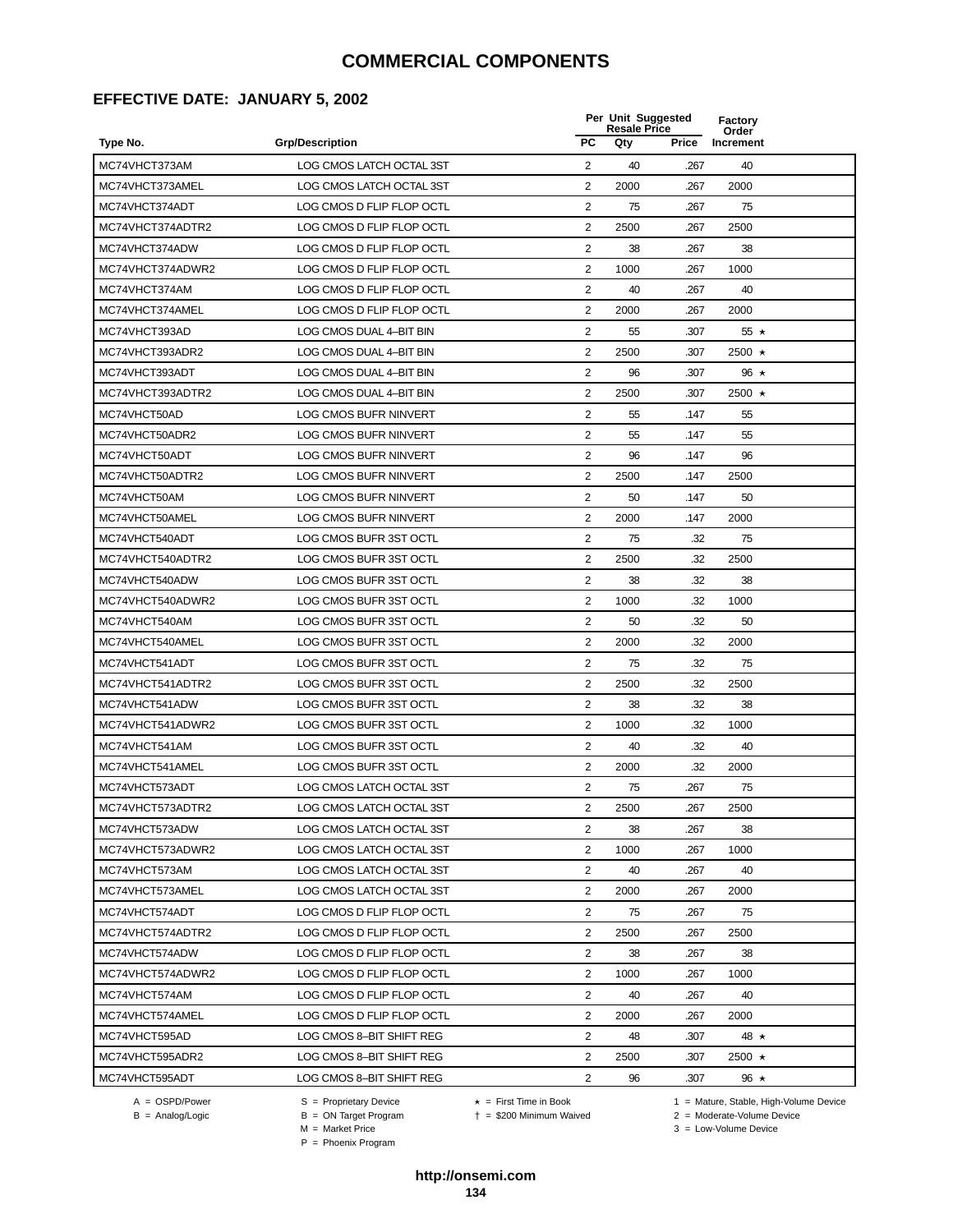#### **EFFECTIVE DATE: JANUARY 5, 2002**

| <b>PC</b><br>Type No.<br><b>Grp/Description</b><br>Qty<br>Price<br>Increment<br>MC74VHCT373AM<br>LOG CMOS LATCH OCTAL 3ST<br>2<br>40<br>40<br>.267<br>2<br>MC74VHCT373AMEL<br>LOG CMOS LATCH OCTAL 3ST<br>2000<br>.267<br>2000<br>$\overline{2}$<br>MC74VHCT374ADT<br>LOG CMOS D FLIP FLOP OCTL<br>75<br>.267<br>75<br>$\overline{2}$<br>MC74VHCT374ADTR2<br>LOG CMOS D FLIP FLOP OCTL<br>2500<br>.267<br>2500<br>2<br>MC74VHCT374ADW<br>LOG CMOS D FLIP FLOP OCTL<br>38<br>.267<br>38<br>LOG CMOS D FLIP FLOP OCTL<br>2<br>1000<br>1000<br>MC74VHCT374ADWR2<br>.267<br>2<br>40<br>40<br>MC74VHCT374AM<br>LOG CMOS D FLIP FLOP OCTL<br>.267<br>LOG CMOS D FLIP FLOP OCTL<br>2<br>2000<br>MC74VHCT374AMEL<br>2000<br>.267<br>2<br>MC74VHCT393AD<br>LOG CMOS DUAL 4-BIT BIN<br>55<br>.307<br>55 $\star$<br>MC74VHCT393ADR2<br>$\overline{2}$<br>2500 ★<br>LOG CMOS DUAL 4-BIT BIN<br>2500<br>.307<br>MC74VHCT393ADT<br>LOG CMOS DUAL 4-BIT BIN<br>2<br>96<br>.307<br>96 $\star$<br>$\overline{2}$<br>MC74VHCT393ADTR2<br>LOG CMOS DUAL 4-BIT BIN<br>2500<br>.307<br>2500 $\star$<br>2<br>MC74VHCT50AD<br>LOG CMOS BUFR NINVERT<br>55<br>.147<br>55<br>$\overline{2}$<br>MC74VHCT50ADR2<br>LOG CMOS BUFR NINVERT<br>55<br>.147<br>55<br>LOG CMOS BUFR NINVERT<br>2<br>96<br>MC74VHCT50ADT<br>.147<br>96<br>$\overline{2}$<br>2500<br>MC74VHCT50ADTR2<br>LOG CMOS BUFR NINVERT<br>2500<br>.147<br>2<br>MC74VHCT50AM<br>LOG CMOS BUFR NINVERT<br>50<br>.147<br>50<br>2<br>2000<br>MC74VHCT50AMEL<br>LOG CMOS BUFR NINVERT<br>2000<br>.147<br>MC74VHCT540ADT<br>LOG CMOS BUFR 3ST OCTL<br>2<br>75<br>.32<br>75<br>MC74VHCT540ADTR2<br>LOG CMOS BUFR 3ST OCTL<br>2<br>2500<br>.32<br>2500<br>$\overline{2}$<br>38<br>.32<br>MC74VHCT540ADW<br>LOG CMOS BUFR 3ST OCTL<br>38<br>2<br>MC74VHCT540ADWR2<br>LOG CMOS BUFR 3ST OCTL<br>1000<br>.32<br>1000<br>2<br>MC74VHCT540AM<br>.32<br>LOG CMOS BUFR 3ST OCTL<br>50<br>50<br>LOG CMOS BUFR 3ST OCTL<br>2<br>2000<br>2000<br>MC74VHCT540AMEL<br>.32<br>$\overline{2}$<br>75<br>.32<br>75<br>MC74VHCT541ADT<br>LOG CMOS BUFR 3ST OCTL<br>LOG CMOS BUFR 3ST OCTL<br>2<br>2500<br>2500<br>MC74VHCT541ADTR2<br>.32<br>$\overline{2}$<br>MC74VHCT541ADW<br>LOG CMOS BUFR 3ST OCTL<br>38<br>.32<br>38<br>MC74VHCT541ADWR2<br>LOG CMOS BUFR 3ST OCTL<br>$\overline{2}$<br>1000<br>.32<br>1000<br>40<br>MC74VHCT541AM<br>LOG CMOS BUFR 3ST OCTL<br>2<br>.32<br>40<br>$\overline{2}$<br>.32<br>MC74VHCT541AMEL<br>LOG CMOS BUFR 3ST OCTL<br>2000<br>2000<br>$\overline{2}$<br>MC74VHCT573ADT<br>LOG CMOS LATCH OCTAL 3ST<br>75<br>.267<br>75<br>2<br>2500<br>2500<br>MC74VHCT573ADTR2<br>LOG CMOS LATCH OCTAL 3ST<br>267<br>2<br>MC74VHCT573ADW<br>LOG CMOS LATCH OCTAL 3ST<br>38<br>.267<br>38<br>2<br>1000<br>.267<br>1000<br>MC74VHCT573ADWR2<br>LOG CMOS LATCH OCTAL 3ST<br>2<br>40<br>40<br>MC74VHCT573AM<br>LOG CMOS LATCH OCTAL 3ST<br>.267<br>2<br>2000<br>.267<br>2000<br>MC74VHCT573AMEL<br>LOG CMOS LATCH OCTAL 3ST<br>2<br>MC74VHCT574ADT<br>LOG CMOS D FLIP FLOP OCTL<br>75<br>.267<br>75<br>LOG CMOS D FLIP FLOP OCTL<br>2<br>2500<br>.267<br>2500<br>MC74VHCT574ADTR2<br>$\overline{2}$<br>38<br>MC74VHCT574ADW<br>LOG CMOS D FLIP FLOP OCTL<br>.267<br>38<br>2<br>MC74VHCT574ADWR2<br>LOG CMOS D FLIP FLOP OCTL<br>1000<br>.267<br>1000<br>2<br>40<br>MC74VHCT574AM<br>LOG CMOS D FLIP FLOP OCTL<br>.267<br>40<br>2<br>2000<br>2000<br>MC74VHCT574AMEL<br>LOG CMOS D FLIP FLOP OCTL<br>.267<br>2<br>48<br>.307<br>48 $\star$<br>MC74VHCT595AD<br>LOG CMOS 8-BIT SHIFT REG<br>2<br>2500<br>2500 $\star$<br>MC74VHCT595ADR2<br>LOG CMOS 8-BIT SHIFT REG<br>.307<br>$\overline{2}$<br>MC74VHCT595ADT<br>LOG CMOS 8-BIT SHIFT REG<br>96<br>.307<br>96 $\star$ |  | Per Unit Suggested<br><b>Resale Price</b> | <b>Factory</b><br>Order |
|--------------------------------------------------------------------------------------------------------------------------------------------------------------------------------------------------------------------------------------------------------------------------------------------------------------------------------------------------------------------------------------------------------------------------------------------------------------------------------------------------------------------------------------------------------------------------------------------------------------------------------------------------------------------------------------------------------------------------------------------------------------------------------------------------------------------------------------------------------------------------------------------------------------------------------------------------------------------------------------------------------------------------------------------------------------------------------------------------------------------------------------------------------------------------------------------------------------------------------------------------------------------------------------------------------------------------------------------------------------------------------------------------------------------------------------------------------------------------------------------------------------------------------------------------------------------------------------------------------------------------------------------------------------------------------------------------------------------------------------------------------------------------------------------------------------------------------------------------------------------------------------------------------------------------------------------------------------------------------------------------------------------------------------------------------------------------------------------------------------------------------------------------------------------------------------------------------------------------------------------------------------------------------------------------------------------------------------------------------------------------------------------------------------------------------------------------------------------------------------------------------------------------------------------------------------------------------------------------------------------------------------------------------------------------------------------------------------------------------------------------------------------------------------------------------------------------------------------------------------------------------------------------------------------------------------------------------------------------------------------------------------------------------------------------------------------------------------------------------------------------------------------------------------------------------------------------------------------------------------------------------------------------------------------------------------------------------------------------------------------------------------------------------------------------------------------------------------------------------------------------------------------------------------------------------------------------------------------------------------------------------------------------------------------------------------------------------|--|-------------------------------------------|-------------------------|
|                                                                                                                                                                                                                                                                                                                                                                                                                                                                                                                                                                                                                                                                                                                                                                                                                                                                                                                                                                                                                                                                                                                                                                                                                                                                                                                                                                                                                                                                                                                                                                                                                                                                                                                                                                                                                                                                                                                                                                                                                                                                                                                                                                                                                                                                                                                                                                                                                                                                                                                                                                                                                                                                                                                                                                                                                                                                                                                                                                                                                                                                                                                                                                                                                                                                                                                                                                                                                                                                                                                                                                                                                                                                                                        |  |                                           |                         |
|                                                                                                                                                                                                                                                                                                                                                                                                                                                                                                                                                                                                                                                                                                                                                                                                                                                                                                                                                                                                                                                                                                                                                                                                                                                                                                                                                                                                                                                                                                                                                                                                                                                                                                                                                                                                                                                                                                                                                                                                                                                                                                                                                                                                                                                                                                                                                                                                                                                                                                                                                                                                                                                                                                                                                                                                                                                                                                                                                                                                                                                                                                                                                                                                                                                                                                                                                                                                                                                                                                                                                                                                                                                                                                        |  |                                           |                         |
|                                                                                                                                                                                                                                                                                                                                                                                                                                                                                                                                                                                                                                                                                                                                                                                                                                                                                                                                                                                                                                                                                                                                                                                                                                                                                                                                                                                                                                                                                                                                                                                                                                                                                                                                                                                                                                                                                                                                                                                                                                                                                                                                                                                                                                                                                                                                                                                                                                                                                                                                                                                                                                                                                                                                                                                                                                                                                                                                                                                                                                                                                                                                                                                                                                                                                                                                                                                                                                                                                                                                                                                                                                                                                                        |  |                                           |                         |
|                                                                                                                                                                                                                                                                                                                                                                                                                                                                                                                                                                                                                                                                                                                                                                                                                                                                                                                                                                                                                                                                                                                                                                                                                                                                                                                                                                                                                                                                                                                                                                                                                                                                                                                                                                                                                                                                                                                                                                                                                                                                                                                                                                                                                                                                                                                                                                                                                                                                                                                                                                                                                                                                                                                                                                                                                                                                                                                                                                                                                                                                                                                                                                                                                                                                                                                                                                                                                                                                                                                                                                                                                                                                                                        |  |                                           |                         |
|                                                                                                                                                                                                                                                                                                                                                                                                                                                                                                                                                                                                                                                                                                                                                                                                                                                                                                                                                                                                                                                                                                                                                                                                                                                                                                                                                                                                                                                                                                                                                                                                                                                                                                                                                                                                                                                                                                                                                                                                                                                                                                                                                                                                                                                                                                                                                                                                                                                                                                                                                                                                                                                                                                                                                                                                                                                                                                                                                                                                                                                                                                                                                                                                                                                                                                                                                                                                                                                                                                                                                                                                                                                                                                        |  |                                           |                         |
|                                                                                                                                                                                                                                                                                                                                                                                                                                                                                                                                                                                                                                                                                                                                                                                                                                                                                                                                                                                                                                                                                                                                                                                                                                                                                                                                                                                                                                                                                                                                                                                                                                                                                                                                                                                                                                                                                                                                                                                                                                                                                                                                                                                                                                                                                                                                                                                                                                                                                                                                                                                                                                                                                                                                                                                                                                                                                                                                                                                                                                                                                                                                                                                                                                                                                                                                                                                                                                                                                                                                                                                                                                                                                                        |  |                                           |                         |
|                                                                                                                                                                                                                                                                                                                                                                                                                                                                                                                                                                                                                                                                                                                                                                                                                                                                                                                                                                                                                                                                                                                                                                                                                                                                                                                                                                                                                                                                                                                                                                                                                                                                                                                                                                                                                                                                                                                                                                                                                                                                                                                                                                                                                                                                                                                                                                                                                                                                                                                                                                                                                                                                                                                                                                                                                                                                                                                                                                                                                                                                                                                                                                                                                                                                                                                                                                                                                                                                                                                                                                                                                                                                                                        |  |                                           |                         |
|                                                                                                                                                                                                                                                                                                                                                                                                                                                                                                                                                                                                                                                                                                                                                                                                                                                                                                                                                                                                                                                                                                                                                                                                                                                                                                                                                                                                                                                                                                                                                                                                                                                                                                                                                                                                                                                                                                                                                                                                                                                                                                                                                                                                                                                                                                                                                                                                                                                                                                                                                                                                                                                                                                                                                                                                                                                                                                                                                                                                                                                                                                                                                                                                                                                                                                                                                                                                                                                                                                                                                                                                                                                                                                        |  |                                           |                         |
|                                                                                                                                                                                                                                                                                                                                                                                                                                                                                                                                                                                                                                                                                                                                                                                                                                                                                                                                                                                                                                                                                                                                                                                                                                                                                                                                                                                                                                                                                                                                                                                                                                                                                                                                                                                                                                                                                                                                                                                                                                                                                                                                                                                                                                                                                                                                                                                                                                                                                                                                                                                                                                                                                                                                                                                                                                                                                                                                                                                                                                                                                                                                                                                                                                                                                                                                                                                                                                                                                                                                                                                                                                                                                                        |  |                                           |                         |
|                                                                                                                                                                                                                                                                                                                                                                                                                                                                                                                                                                                                                                                                                                                                                                                                                                                                                                                                                                                                                                                                                                                                                                                                                                                                                                                                                                                                                                                                                                                                                                                                                                                                                                                                                                                                                                                                                                                                                                                                                                                                                                                                                                                                                                                                                                                                                                                                                                                                                                                                                                                                                                                                                                                                                                                                                                                                                                                                                                                                                                                                                                                                                                                                                                                                                                                                                                                                                                                                                                                                                                                                                                                                                                        |  |                                           |                         |
|                                                                                                                                                                                                                                                                                                                                                                                                                                                                                                                                                                                                                                                                                                                                                                                                                                                                                                                                                                                                                                                                                                                                                                                                                                                                                                                                                                                                                                                                                                                                                                                                                                                                                                                                                                                                                                                                                                                                                                                                                                                                                                                                                                                                                                                                                                                                                                                                                                                                                                                                                                                                                                                                                                                                                                                                                                                                                                                                                                                                                                                                                                                                                                                                                                                                                                                                                                                                                                                                                                                                                                                                                                                                                                        |  |                                           |                         |
|                                                                                                                                                                                                                                                                                                                                                                                                                                                                                                                                                                                                                                                                                                                                                                                                                                                                                                                                                                                                                                                                                                                                                                                                                                                                                                                                                                                                                                                                                                                                                                                                                                                                                                                                                                                                                                                                                                                                                                                                                                                                                                                                                                                                                                                                                                                                                                                                                                                                                                                                                                                                                                                                                                                                                                                                                                                                                                                                                                                                                                                                                                                                                                                                                                                                                                                                                                                                                                                                                                                                                                                                                                                                                                        |  |                                           |                         |
|                                                                                                                                                                                                                                                                                                                                                                                                                                                                                                                                                                                                                                                                                                                                                                                                                                                                                                                                                                                                                                                                                                                                                                                                                                                                                                                                                                                                                                                                                                                                                                                                                                                                                                                                                                                                                                                                                                                                                                                                                                                                                                                                                                                                                                                                                                                                                                                                                                                                                                                                                                                                                                                                                                                                                                                                                                                                                                                                                                                                                                                                                                                                                                                                                                                                                                                                                                                                                                                                                                                                                                                                                                                                                                        |  |                                           |                         |
|                                                                                                                                                                                                                                                                                                                                                                                                                                                                                                                                                                                                                                                                                                                                                                                                                                                                                                                                                                                                                                                                                                                                                                                                                                                                                                                                                                                                                                                                                                                                                                                                                                                                                                                                                                                                                                                                                                                                                                                                                                                                                                                                                                                                                                                                                                                                                                                                                                                                                                                                                                                                                                                                                                                                                                                                                                                                                                                                                                                                                                                                                                                                                                                                                                                                                                                                                                                                                                                                                                                                                                                                                                                                                                        |  |                                           |                         |
|                                                                                                                                                                                                                                                                                                                                                                                                                                                                                                                                                                                                                                                                                                                                                                                                                                                                                                                                                                                                                                                                                                                                                                                                                                                                                                                                                                                                                                                                                                                                                                                                                                                                                                                                                                                                                                                                                                                                                                                                                                                                                                                                                                                                                                                                                                                                                                                                                                                                                                                                                                                                                                                                                                                                                                                                                                                                                                                                                                                                                                                                                                                                                                                                                                                                                                                                                                                                                                                                                                                                                                                                                                                                                                        |  |                                           |                         |
|                                                                                                                                                                                                                                                                                                                                                                                                                                                                                                                                                                                                                                                                                                                                                                                                                                                                                                                                                                                                                                                                                                                                                                                                                                                                                                                                                                                                                                                                                                                                                                                                                                                                                                                                                                                                                                                                                                                                                                                                                                                                                                                                                                                                                                                                                                                                                                                                                                                                                                                                                                                                                                                                                                                                                                                                                                                                                                                                                                                                                                                                                                                                                                                                                                                                                                                                                                                                                                                                                                                                                                                                                                                                                                        |  |                                           |                         |
|                                                                                                                                                                                                                                                                                                                                                                                                                                                                                                                                                                                                                                                                                                                                                                                                                                                                                                                                                                                                                                                                                                                                                                                                                                                                                                                                                                                                                                                                                                                                                                                                                                                                                                                                                                                                                                                                                                                                                                                                                                                                                                                                                                                                                                                                                                                                                                                                                                                                                                                                                                                                                                                                                                                                                                                                                                                                                                                                                                                                                                                                                                                                                                                                                                                                                                                                                                                                                                                                                                                                                                                                                                                                                                        |  |                                           |                         |
|                                                                                                                                                                                                                                                                                                                                                                                                                                                                                                                                                                                                                                                                                                                                                                                                                                                                                                                                                                                                                                                                                                                                                                                                                                                                                                                                                                                                                                                                                                                                                                                                                                                                                                                                                                                                                                                                                                                                                                                                                                                                                                                                                                                                                                                                                                                                                                                                                                                                                                                                                                                                                                                                                                                                                                                                                                                                                                                                                                                                                                                                                                                                                                                                                                                                                                                                                                                                                                                                                                                                                                                                                                                                                                        |  |                                           |                         |
|                                                                                                                                                                                                                                                                                                                                                                                                                                                                                                                                                                                                                                                                                                                                                                                                                                                                                                                                                                                                                                                                                                                                                                                                                                                                                                                                                                                                                                                                                                                                                                                                                                                                                                                                                                                                                                                                                                                                                                                                                                                                                                                                                                                                                                                                                                                                                                                                                                                                                                                                                                                                                                                                                                                                                                                                                                                                                                                                                                                                                                                                                                                                                                                                                                                                                                                                                                                                                                                                                                                                                                                                                                                                                                        |  |                                           |                         |
|                                                                                                                                                                                                                                                                                                                                                                                                                                                                                                                                                                                                                                                                                                                                                                                                                                                                                                                                                                                                                                                                                                                                                                                                                                                                                                                                                                                                                                                                                                                                                                                                                                                                                                                                                                                                                                                                                                                                                                                                                                                                                                                                                                                                                                                                                                                                                                                                                                                                                                                                                                                                                                                                                                                                                                                                                                                                                                                                                                                                                                                                                                                                                                                                                                                                                                                                                                                                                                                                                                                                                                                                                                                                                                        |  |                                           |                         |
|                                                                                                                                                                                                                                                                                                                                                                                                                                                                                                                                                                                                                                                                                                                                                                                                                                                                                                                                                                                                                                                                                                                                                                                                                                                                                                                                                                                                                                                                                                                                                                                                                                                                                                                                                                                                                                                                                                                                                                                                                                                                                                                                                                                                                                                                                                                                                                                                                                                                                                                                                                                                                                                                                                                                                                                                                                                                                                                                                                                                                                                                                                                                                                                                                                                                                                                                                                                                                                                                                                                                                                                                                                                                                                        |  |                                           |                         |
|                                                                                                                                                                                                                                                                                                                                                                                                                                                                                                                                                                                                                                                                                                                                                                                                                                                                                                                                                                                                                                                                                                                                                                                                                                                                                                                                                                                                                                                                                                                                                                                                                                                                                                                                                                                                                                                                                                                                                                                                                                                                                                                                                                                                                                                                                                                                                                                                                                                                                                                                                                                                                                                                                                                                                                                                                                                                                                                                                                                                                                                                                                                                                                                                                                                                                                                                                                                                                                                                                                                                                                                                                                                                                                        |  |                                           |                         |
|                                                                                                                                                                                                                                                                                                                                                                                                                                                                                                                                                                                                                                                                                                                                                                                                                                                                                                                                                                                                                                                                                                                                                                                                                                                                                                                                                                                                                                                                                                                                                                                                                                                                                                                                                                                                                                                                                                                                                                                                                                                                                                                                                                                                                                                                                                                                                                                                                                                                                                                                                                                                                                                                                                                                                                                                                                                                                                                                                                                                                                                                                                                                                                                                                                                                                                                                                                                                                                                                                                                                                                                                                                                                                                        |  |                                           |                         |
|                                                                                                                                                                                                                                                                                                                                                                                                                                                                                                                                                                                                                                                                                                                                                                                                                                                                                                                                                                                                                                                                                                                                                                                                                                                                                                                                                                                                                                                                                                                                                                                                                                                                                                                                                                                                                                                                                                                                                                                                                                                                                                                                                                                                                                                                                                                                                                                                                                                                                                                                                                                                                                                                                                                                                                                                                                                                                                                                                                                                                                                                                                                                                                                                                                                                                                                                                                                                                                                                                                                                                                                                                                                                                                        |  |                                           |                         |
|                                                                                                                                                                                                                                                                                                                                                                                                                                                                                                                                                                                                                                                                                                                                                                                                                                                                                                                                                                                                                                                                                                                                                                                                                                                                                                                                                                                                                                                                                                                                                                                                                                                                                                                                                                                                                                                                                                                                                                                                                                                                                                                                                                                                                                                                                                                                                                                                                                                                                                                                                                                                                                                                                                                                                                                                                                                                                                                                                                                                                                                                                                                                                                                                                                                                                                                                                                                                                                                                                                                                                                                                                                                                                                        |  |                                           |                         |
|                                                                                                                                                                                                                                                                                                                                                                                                                                                                                                                                                                                                                                                                                                                                                                                                                                                                                                                                                                                                                                                                                                                                                                                                                                                                                                                                                                                                                                                                                                                                                                                                                                                                                                                                                                                                                                                                                                                                                                                                                                                                                                                                                                                                                                                                                                                                                                                                                                                                                                                                                                                                                                                                                                                                                                                                                                                                                                                                                                                                                                                                                                                                                                                                                                                                                                                                                                                                                                                                                                                                                                                                                                                                                                        |  |                                           |                         |
|                                                                                                                                                                                                                                                                                                                                                                                                                                                                                                                                                                                                                                                                                                                                                                                                                                                                                                                                                                                                                                                                                                                                                                                                                                                                                                                                                                                                                                                                                                                                                                                                                                                                                                                                                                                                                                                                                                                                                                                                                                                                                                                                                                                                                                                                                                                                                                                                                                                                                                                                                                                                                                                                                                                                                                                                                                                                                                                                                                                                                                                                                                                                                                                                                                                                                                                                                                                                                                                                                                                                                                                                                                                                                                        |  |                                           |                         |
|                                                                                                                                                                                                                                                                                                                                                                                                                                                                                                                                                                                                                                                                                                                                                                                                                                                                                                                                                                                                                                                                                                                                                                                                                                                                                                                                                                                                                                                                                                                                                                                                                                                                                                                                                                                                                                                                                                                                                                                                                                                                                                                                                                                                                                                                                                                                                                                                                                                                                                                                                                                                                                                                                                                                                                                                                                                                                                                                                                                                                                                                                                                                                                                                                                                                                                                                                                                                                                                                                                                                                                                                                                                                                                        |  |                                           |                         |
|                                                                                                                                                                                                                                                                                                                                                                                                                                                                                                                                                                                                                                                                                                                                                                                                                                                                                                                                                                                                                                                                                                                                                                                                                                                                                                                                                                                                                                                                                                                                                                                                                                                                                                                                                                                                                                                                                                                                                                                                                                                                                                                                                                                                                                                                                                                                                                                                                                                                                                                                                                                                                                                                                                                                                                                                                                                                                                                                                                                                                                                                                                                                                                                                                                                                                                                                                                                                                                                                                                                                                                                                                                                                                                        |  |                                           |                         |
|                                                                                                                                                                                                                                                                                                                                                                                                                                                                                                                                                                                                                                                                                                                                                                                                                                                                                                                                                                                                                                                                                                                                                                                                                                                                                                                                                                                                                                                                                                                                                                                                                                                                                                                                                                                                                                                                                                                                                                                                                                                                                                                                                                                                                                                                                                                                                                                                                                                                                                                                                                                                                                                                                                                                                                                                                                                                                                                                                                                                                                                                                                                                                                                                                                                                                                                                                                                                                                                                                                                                                                                                                                                                                                        |  |                                           |                         |
|                                                                                                                                                                                                                                                                                                                                                                                                                                                                                                                                                                                                                                                                                                                                                                                                                                                                                                                                                                                                                                                                                                                                                                                                                                                                                                                                                                                                                                                                                                                                                                                                                                                                                                                                                                                                                                                                                                                                                                                                                                                                                                                                                                                                                                                                                                                                                                                                                                                                                                                                                                                                                                                                                                                                                                                                                                                                                                                                                                                                                                                                                                                                                                                                                                                                                                                                                                                                                                                                                                                                                                                                                                                                                                        |  |                                           |                         |
|                                                                                                                                                                                                                                                                                                                                                                                                                                                                                                                                                                                                                                                                                                                                                                                                                                                                                                                                                                                                                                                                                                                                                                                                                                                                                                                                                                                                                                                                                                                                                                                                                                                                                                                                                                                                                                                                                                                                                                                                                                                                                                                                                                                                                                                                                                                                                                                                                                                                                                                                                                                                                                                                                                                                                                                                                                                                                                                                                                                                                                                                                                                                                                                                                                                                                                                                                                                                                                                                                                                                                                                                                                                                                                        |  |                                           |                         |
|                                                                                                                                                                                                                                                                                                                                                                                                                                                                                                                                                                                                                                                                                                                                                                                                                                                                                                                                                                                                                                                                                                                                                                                                                                                                                                                                                                                                                                                                                                                                                                                                                                                                                                                                                                                                                                                                                                                                                                                                                                                                                                                                                                                                                                                                                                                                                                                                                                                                                                                                                                                                                                                                                                                                                                                                                                                                                                                                                                                                                                                                                                                                                                                                                                                                                                                                                                                                                                                                                                                                                                                                                                                                                                        |  |                                           |                         |
|                                                                                                                                                                                                                                                                                                                                                                                                                                                                                                                                                                                                                                                                                                                                                                                                                                                                                                                                                                                                                                                                                                                                                                                                                                                                                                                                                                                                                                                                                                                                                                                                                                                                                                                                                                                                                                                                                                                                                                                                                                                                                                                                                                                                                                                                                                                                                                                                                                                                                                                                                                                                                                                                                                                                                                                                                                                                                                                                                                                                                                                                                                                                                                                                                                                                                                                                                                                                                                                                                                                                                                                                                                                                                                        |  |                                           |                         |
|                                                                                                                                                                                                                                                                                                                                                                                                                                                                                                                                                                                                                                                                                                                                                                                                                                                                                                                                                                                                                                                                                                                                                                                                                                                                                                                                                                                                                                                                                                                                                                                                                                                                                                                                                                                                                                                                                                                                                                                                                                                                                                                                                                                                                                                                                                                                                                                                                                                                                                                                                                                                                                                                                                                                                                                                                                                                                                                                                                                                                                                                                                                                                                                                                                                                                                                                                                                                                                                                                                                                                                                                                                                                                                        |  |                                           |                         |
|                                                                                                                                                                                                                                                                                                                                                                                                                                                                                                                                                                                                                                                                                                                                                                                                                                                                                                                                                                                                                                                                                                                                                                                                                                                                                                                                                                                                                                                                                                                                                                                                                                                                                                                                                                                                                                                                                                                                                                                                                                                                                                                                                                                                                                                                                                                                                                                                                                                                                                                                                                                                                                                                                                                                                                                                                                                                                                                                                                                                                                                                                                                                                                                                                                                                                                                                                                                                                                                                                                                                                                                                                                                                                                        |  |                                           |                         |
|                                                                                                                                                                                                                                                                                                                                                                                                                                                                                                                                                                                                                                                                                                                                                                                                                                                                                                                                                                                                                                                                                                                                                                                                                                                                                                                                                                                                                                                                                                                                                                                                                                                                                                                                                                                                                                                                                                                                                                                                                                                                                                                                                                                                                                                                                                                                                                                                                                                                                                                                                                                                                                                                                                                                                                                                                                                                                                                                                                                                                                                                                                                                                                                                                                                                                                                                                                                                                                                                                                                                                                                                                                                                                                        |  |                                           |                         |
|                                                                                                                                                                                                                                                                                                                                                                                                                                                                                                                                                                                                                                                                                                                                                                                                                                                                                                                                                                                                                                                                                                                                                                                                                                                                                                                                                                                                                                                                                                                                                                                                                                                                                                                                                                                                                                                                                                                                                                                                                                                                                                                                                                                                                                                                                                                                                                                                                                                                                                                                                                                                                                                                                                                                                                                                                                                                                                                                                                                                                                                                                                                                                                                                                                                                                                                                                                                                                                                                                                                                                                                                                                                                                                        |  |                                           |                         |
|                                                                                                                                                                                                                                                                                                                                                                                                                                                                                                                                                                                                                                                                                                                                                                                                                                                                                                                                                                                                                                                                                                                                                                                                                                                                                                                                                                                                                                                                                                                                                                                                                                                                                                                                                                                                                                                                                                                                                                                                                                                                                                                                                                                                                                                                                                                                                                                                                                                                                                                                                                                                                                                                                                                                                                                                                                                                                                                                                                                                                                                                                                                                                                                                                                                                                                                                                                                                                                                                                                                                                                                                                                                                                                        |  |                                           |                         |
|                                                                                                                                                                                                                                                                                                                                                                                                                                                                                                                                                                                                                                                                                                                                                                                                                                                                                                                                                                                                                                                                                                                                                                                                                                                                                                                                                                                                                                                                                                                                                                                                                                                                                                                                                                                                                                                                                                                                                                                                                                                                                                                                                                                                                                                                                                                                                                                                                                                                                                                                                                                                                                                                                                                                                                                                                                                                                                                                                                                                                                                                                                                                                                                                                                                                                                                                                                                                                                                                                                                                                                                                                                                                                                        |  |                                           |                         |
|                                                                                                                                                                                                                                                                                                                                                                                                                                                                                                                                                                                                                                                                                                                                                                                                                                                                                                                                                                                                                                                                                                                                                                                                                                                                                                                                                                                                                                                                                                                                                                                                                                                                                                                                                                                                                                                                                                                                                                                                                                                                                                                                                                                                                                                                                                                                                                                                                                                                                                                                                                                                                                                                                                                                                                                                                                                                                                                                                                                                                                                                                                                                                                                                                                                                                                                                                                                                                                                                                                                                                                                                                                                                                                        |  |                                           |                         |
|                                                                                                                                                                                                                                                                                                                                                                                                                                                                                                                                                                                                                                                                                                                                                                                                                                                                                                                                                                                                                                                                                                                                                                                                                                                                                                                                                                                                                                                                                                                                                                                                                                                                                                                                                                                                                                                                                                                                                                                                                                                                                                                                                                                                                                                                                                                                                                                                                                                                                                                                                                                                                                                                                                                                                                                                                                                                                                                                                                                                                                                                                                                                                                                                                                                                                                                                                                                                                                                                                                                                                                                                                                                                                                        |  |                                           |                         |
|                                                                                                                                                                                                                                                                                                                                                                                                                                                                                                                                                                                                                                                                                                                                                                                                                                                                                                                                                                                                                                                                                                                                                                                                                                                                                                                                                                                                                                                                                                                                                                                                                                                                                                                                                                                                                                                                                                                                                                                                                                                                                                                                                                                                                                                                                                                                                                                                                                                                                                                                                                                                                                                                                                                                                                                                                                                                                                                                                                                                                                                                                                                                                                                                                                                                                                                                                                                                                                                                                                                                                                                                                                                                                                        |  |                                           |                         |
|                                                                                                                                                                                                                                                                                                                                                                                                                                                                                                                                                                                                                                                                                                                                                                                                                                                                                                                                                                                                                                                                                                                                                                                                                                                                                                                                                                                                                                                                                                                                                                                                                                                                                                                                                                                                                                                                                                                                                                                                                                                                                                                                                                                                                                                                                                                                                                                                                                                                                                                                                                                                                                                                                                                                                                                                                                                                                                                                                                                                                                                                                                                                                                                                                                                                                                                                                                                                                                                                                                                                                                                                                                                                                                        |  |                                           |                         |
|                                                                                                                                                                                                                                                                                                                                                                                                                                                                                                                                                                                                                                                                                                                                                                                                                                                                                                                                                                                                                                                                                                                                                                                                                                                                                                                                                                                                                                                                                                                                                                                                                                                                                                                                                                                                                                                                                                                                                                                                                                                                                                                                                                                                                                                                                                                                                                                                                                                                                                                                                                                                                                                                                                                                                                                                                                                                                                                                                                                                                                                                                                                                                                                                                                                                                                                                                                                                                                                                                                                                                                                                                                                                                                        |  |                                           |                         |
|                                                                                                                                                                                                                                                                                                                                                                                                                                                                                                                                                                                                                                                                                                                                                                                                                                                                                                                                                                                                                                                                                                                                                                                                                                                                                                                                                                                                                                                                                                                                                                                                                                                                                                                                                                                                                                                                                                                                                                                                                                                                                                                                                                                                                                                                                                                                                                                                                                                                                                                                                                                                                                                                                                                                                                                                                                                                                                                                                                                                                                                                                                                                                                                                                                                                                                                                                                                                                                                                                                                                                                                                                                                                                                        |  |                                           |                         |

B = Analog/Logic<br>B = Analog/Logic<br>M = Market Price

A = OSPD/Power S = Proprietary Device  $\star$  = First Time in Book 1 = Mature, Stable, High-Volume Device

 = \$200 Minimum Waived 2 = Moderate-Volume Device  $3 =$  Low-Volume Device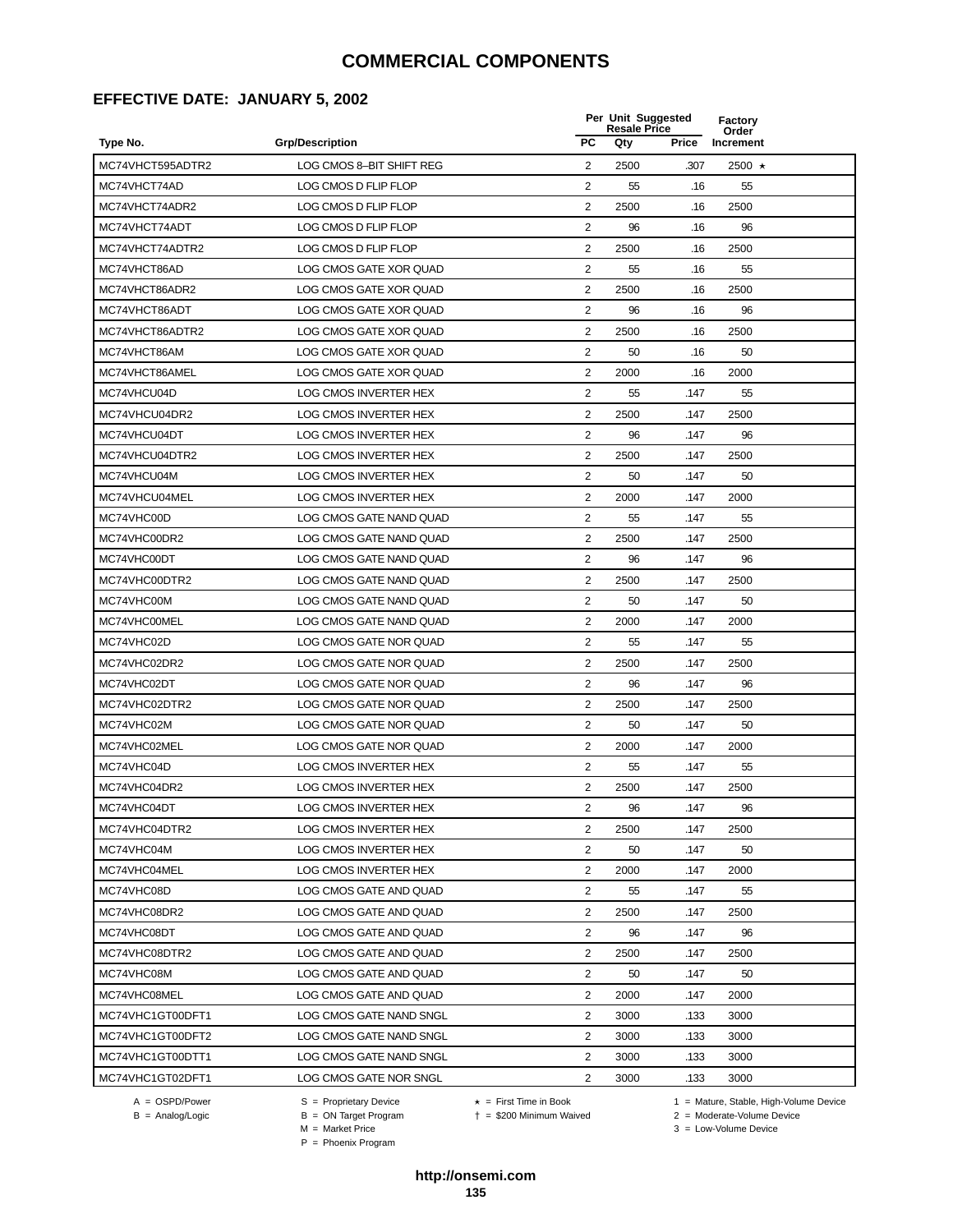#### **EFFECTIVE DATE: JANUARY 5, 2002**

|                  |                          |                | Per Unit Suggested<br><b>Resale Price</b> |       | <b>Factory</b><br>Order |
|------------------|--------------------------|----------------|-------------------------------------------|-------|-------------------------|
| Type No.         | <b>Grp/Description</b>   | <b>PC</b>      | Qty                                       | Price | Increment               |
| MC74VHCT595ADTR2 | LOG CMOS 8-BIT SHIFT REG | 2              | 2500                                      | .307  | 2500 ★                  |
| MC74VHCT74AD     | LOG CMOS D FLIP FLOP     | 2              | 55                                        | .16   | 55                      |
| MC74VHCT74ADR2   | LOG CMOS D FLIP FLOP     | $\overline{2}$ | 2500                                      | .16   | 2500                    |
| MC74VHCT74ADT    | LOG CMOS D FLIP FLOP     | 2              | 96                                        | .16   | 96                      |
| MC74VHCT74ADTR2  | LOG CMOS D FLIP FLOP     | $\overline{2}$ | 2500                                      | .16   | 2500                    |
| MC74VHCT86AD     | LOG CMOS GATE XOR QUAD   | 2              | 55                                        | .16   | 55                      |
| MC74VHCT86ADR2   | LOG CMOS GATE XOR QUAD   | $\overline{2}$ | 2500                                      | .16   | 2500                    |
| MC74VHCT86ADT    | LOG CMOS GATE XOR QUAD   | 2              | 96                                        | .16   | 96                      |
| MC74VHCT86ADTR2  | LOG CMOS GATE XOR QUAD   | 2              | 2500                                      | .16   | 2500                    |
| MC74VHCT86AM     | LOG CMOS GATE XOR QUAD   | 2              | 50                                        | .16   | 50                      |
| MC74VHCT86AMEL   | LOG CMOS GATE XOR QUAD   | $\overline{2}$ | 2000                                      | .16   | 2000                    |
| MC74VHCU04D      | LOG CMOS INVERTER HEX    | $\overline{2}$ | 55                                        | .147  | 55                      |
| MC74VHCU04DR2    | LOG CMOS INVERTER HEX    | $\overline{2}$ | 2500                                      | .147  | 2500                    |
| MC74VHCU04DT     | LOG CMOS INVERTER HEX    | $\overline{2}$ | 96                                        | .147  | 96                      |
| MC74VHCU04DTR2   | LOG CMOS INVERTER HEX    | $\overline{2}$ | 2500                                      | .147  | 2500                    |
| MC74VHCU04M      | LOG CMOS INVERTER HEX    | $\overline{2}$ | 50                                        | .147  | 50                      |
| MC74VHCU04MEL    | LOG CMOS INVERTER HEX    | 2              | 2000                                      | .147  | 2000                    |
| MC74VHC00D       | LOG CMOS GATE NAND QUAD  | $\overline{2}$ | 55                                        | .147  | 55                      |
| MC74VHC00DR2     | LOG CMOS GATE NAND QUAD  | $\overline{2}$ | 2500                                      | .147  | 2500                    |
| MC74VHC00DT      | LOG CMOS GATE NAND QUAD  | 2              | 96                                        | .147  | 96                      |
| MC74VHC00DTR2    | LOG CMOS GATE NAND QUAD  | $\overline{2}$ | 2500                                      | .147  | 2500                    |
| MC74VHC00M       | LOG CMOS GATE NAND QUAD  | 2              | 50                                        | .147  | 50                      |
| MC74VHC00MEL     | LOG CMOS GATE NAND QUAD  | $\overline{2}$ | 2000                                      | .147  | 2000                    |
| MC74VHC02D       | LOG CMOS GATE NOR QUAD   | 2              | 55                                        | .147  | 55                      |
| MC74VHC02DR2     | LOG CMOS GATE NOR QUAD   | $\overline{2}$ | 2500                                      | .147  | 2500                    |
| MC74VHC02DT      | LOG CMOS GATE NOR QUAD   | 2              | 96                                        | .147  | 96                      |
| MC74VHC02DTR2    | LOG CMOS GATE NOR QUAD   | 2              | 2500                                      | .147  | 2500                    |
| MC74VHC02M       | LOG CMOS GATE NOR QUAD   | 2              | 50                                        | .147  | 50                      |
| MC74VHC02MEL     | LOG CMOS GATE NOR QUAD   | $\overline{2}$ | 2000                                      | .147  | 2000                    |
| MC74VHC04D       | LOG CMOS INVERTER HEX    | $\overline{2}$ | 55                                        | .147  | 55                      |
| MC74VHC04DR2     | LOG CMOS INVERTER HEX    | $\overline{2}$ | 2500                                      | .147  | 2500                    |
| MC74VHC04DT      | LOG CMOS INVERTER HEX    | 2              | 96                                        | .147  | 96                      |
| MC74VHC04DTR2    | LOG CMOS INVERTER HEX    | 2              | 2500                                      | .147  | 2500                    |
| MC74VHC04M       | LOG CMOS INVERTER HEX    | 2              | 50                                        | .147  | 50                      |
| MC74VHC04MEL     | LOG CMOS INVERTER HEX    | 2              | 2000                                      | .147  | 2000                    |
| MC74VHC08D       | LOG CMOS GATE AND QUAD   | $\overline{2}$ | 55                                        | .147  | 55                      |
| MC74VHC08DR2     | LOG CMOS GATE AND QUAD   | $\overline{2}$ | 2500                                      | .147  | 2500                    |
| MC74VHC08DT      | LOG CMOS GATE AND QUAD   | 2              | 96                                        | .147  | 96                      |
| MC74VHC08DTR2    | LOG CMOS GATE AND QUAD   | $\overline{2}$ | 2500                                      | .147  | 2500                    |
| MC74VHC08M       | LOG CMOS GATE AND QUAD   | $\overline{2}$ | 50                                        | .147  | 50                      |
| MC74VHC08MEL     | LOG CMOS GATE AND QUAD   | 2              | 2000                                      | .147  | 2000                    |
| MC74VHC1GT00DFT1 | LOG CMOS GATE NAND SNGL  | 2              | 3000                                      | .133  | 3000                    |
| MC74VHC1GT00DFT2 | LOG CMOS GATE NAND SNGL  | 2              | 3000                                      | .133  | 3000                    |
| MC74VHC1GT00DTT1 | LOG CMOS GATE NAND SNGL  | 2              | 3000                                      | .133  | 3000                    |
| MC74VHC1GT02DFT1 | LOG CMOS GATE NOR SNGL   | 2              | 3000                                      | .133  | 3000                    |

B = Analog/Logic<br>B = Analog/Logic<br>M = Market Price

= \$200 Minimum Waived 2 = Moderate-Volume Device

A = OSPD/Power S = Proprietary Device  $\star$  = First Time in Book 1 = Mature, Stable, High-Volume Device

 $3 =$  Low-Volume Device

**http://onsemi.com**

**135**

P = Phoenix Program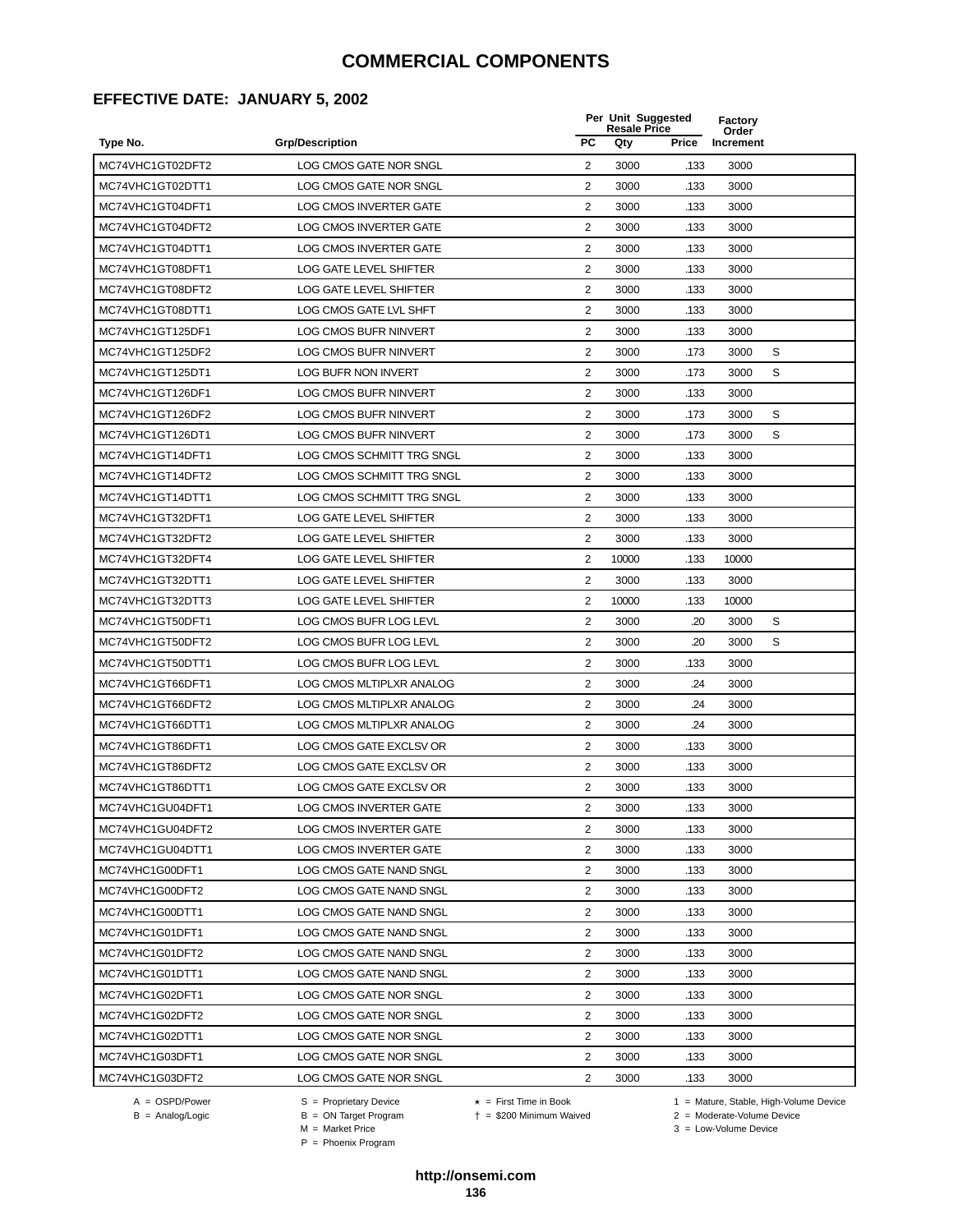#### **EFFECTIVE DATE: JANUARY 5, 2002**

|                  |                               |                         | Per Unit Suggested<br><b>Resale Price</b> |              | Factory<br>Order |   |
|------------------|-------------------------------|-------------------------|-------------------------------------------|--------------|------------------|---|
| Type No.         | <b>Grp/Description</b>        | <b>PC</b>               | Qty                                       | <b>Price</b> | Increment        |   |
| MC74VHC1GT02DFT2 | LOG CMOS GATE NOR SNGL        | 2                       | 3000                                      | .133         | 3000             |   |
| MC74VHC1GT02DTT1 | LOG CMOS GATE NOR SNGL        | 2                       | 3000                                      | .133         | 3000             |   |
| MC74VHC1GT04DFT1 | <b>LOG CMOS INVERTER GATE</b> | 2                       | 3000                                      | .133         | 3000             |   |
| MC74VHC1GT04DFT2 | <b>LOG CMOS INVERTER GATE</b> | $\overline{2}$          | 3000                                      | .133         | 3000             |   |
| MC74VHC1GT04DTT1 | LOG CMOS INVERTER GATE        | $\overline{c}$          | 3000                                      | .133         | 3000             |   |
| MC74VHC1GT08DFT1 | <b>LOG GATE LEVEL SHIFTER</b> | $\overline{2}$          | 3000                                      | .133         | 3000             |   |
| MC74VHC1GT08DFT2 | <b>LOG GATE LEVEL SHIFTER</b> | $\overline{2}$          | 3000                                      | .133         | 3000             |   |
| MC74VHC1GT08DTT1 | LOG CMOS GATE LVL SHFT        | $\overline{2}$          | 3000                                      | .133         | 3000             |   |
| MC74VHC1GT125DF1 | LOG CMOS BUFR NINVERT         | 2                       | 3000                                      | .133         | 3000             |   |
| MC74VHC1GT125DF2 | LOG CMOS BUFR NINVERT         | 2                       | 3000                                      | .173         | 3000             | S |
| MC74VHC1GT125DT1 | LOG BUFR NON INVERT           | 2                       | 3000                                      | .173         | 3000             | S |
| MC74VHC1GT126DF1 | LOG CMOS BUFR NINVERT         | 2                       | 3000                                      | .133         | 3000             |   |
| MC74VHC1GT126DF2 | LOG CMOS BUFR NINVERT         | 2                       | 3000                                      | .173         | 3000             | S |
| MC74VHC1GT126DT1 | LOG CMOS BUFR NINVERT         | $\overline{\mathbf{c}}$ | 3000                                      | .173         | 3000             | S |
| MC74VHC1GT14DFT1 | LOG CMOS SCHMITT TRG SNGL     | $\overline{2}$          | 3000                                      | .133         | 3000             |   |
| MC74VHC1GT14DFT2 | LOG CMOS SCHMITT TRG SNGL     | $\overline{2}$          | 3000                                      | .133         | 3000             |   |
| MC74VHC1GT14DTT1 | LOG CMOS SCHMITT TRG SNGL     | $\overline{2}$          | 3000                                      | .133         | 3000             |   |
| MC74VHC1GT32DFT1 | LOG GATE LEVEL SHIFTER        | 2                       | 3000                                      | .133         | 3000             |   |
| MC74VHC1GT32DFT2 | LOG GATE LEVEL SHIFTER        | 2                       | 3000                                      | .133         | 3000             |   |
| MC74VHC1GT32DFT4 | LOG GATE LEVEL SHIFTER        | 2                       | 10000                                     | .133         | 10000            |   |
| MC74VHC1GT32DTT1 | LOG GATE LEVEL SHIFTER        | 2                       | 3000                                      | .133         | 3000             |   |
| MC74VHC1GT32DTT3 | LOG GATE LEVEL SHIFTER        | 2                       | 10000                                     | .133         | 10000            |   |
| MC74VHC1GT50DFT1 | LOG CMOS BUFR LOG LEVL        | 2                       | 3000                                      | .20          | 3000             | S |
| MC74VHC1GT50DFT2 | LOG CMOS BUFR LOG LEVL        | 2                       | 3000                                      | .20          | 3000             | S |
| MC74VHC1GT50DTT1 | LOG CMOS BUFR LOG LEVL        | $\overline{2}$          | 3000                                      | .133         | 3000             |   |
| MC74VHC1GT66DFT1 | LOG CMOS MLTIPLXR ANALOG      | $\overline{2}$          | 3000                                      | .24          | 3000             |   |
| MC74VHC1GT66DFT2 | LOG CMOS MLTIPLXR ANALOG      | $\overline{c}$          | 3000                                      | .24          | 3000             |   |
| MC74VHC1GT66DTT1 | LOG CMOS MLTIPLXR ANALOG      | 2                       | 3000                                      | .24          | 3000             |   |
| MC74VHC1GT86DFT1 | LOG CMOS GATE EXCLSV OR       | 2                       | 3000                                      | .133         | 3000             |   |
| MC74VHC1GT86DFT2 | LOG CMOS GATE EXCLSV OR       | 2                       | 3000                                      | .133         | 3000             |   |
| MC74VHC1GT86DTT1 | LOG CMOS GATE EXCLSV OR       | 2                       | 3000                                      | .133         | 3000             |   |
| MC74VHC1GU04DFT1 | LOG CMOS INVERTER GATE        | $\overline{\mathbf{c}}$ | 3000                                      | .133         | 3000             |   |
| MC74VHC1GU04DFT2 | LOG CMOS INVERTER GATE        | 2                       | 3000                                      | .133         | 3000             |   |
| MC74VHC1GU04DTT1 | <b>LOG CMOS INVERTER GATE</b> | 2                       | 3000                                      | .133         | 3000             |   |
| MC74VHC1G00DFT1  | LOG CMOS GATE NAND SNGL       | $\overline{2}$          | 3000                                      | .133         | 3000             |   |
| MC74VHC1G00DFT2  | LOG CMOS GATE NAND SNGL       | 2                       | 3000                                      | .133         | 3000             |   |
| MC74VHC1G00DTT1  | LOG CMOS GATE NAND SNGL       | 2                       | 3000                                      | .133         | 3000             |   |
| MC74VHC1G01DFT1  | LOG CMOS GATE NAND SNGL       | 2                       | 3000                                      | .133         | 3000             |   |
| MC74VHC1G01DFT2  | LOG CMOS GATE NAND SNGL       | 2                       | 3000                                      | .133         | 3000             |   |
| MC74VHC1G01DTT1  | LOG CMOS GATE NAND SNGL       | 2                       | 3000                                      | .133         | 3000             |   |
| MC74VHC1G02DFT1  | LOG CMOS GATE NOR SNGL        | 2                       | 3000                                      | .133         | 3000             |   |
| MC74VHC1G02DFT2  | LOG CMOS GATE NOR SNGL        | 2                       | 3000                                      | .133         | 3000             |   |
| MC74VHC1G02DTT1  | LOG CMOS GATE NOR SNGL        | $\overline{2}$          | 3000                                      | .133         | 3000             |   |
| MC74VHC1G03DFT1  | LOG CMOS GATE NOR SNGL        | $\overline{2}$          | 3000                                      | .133         | 3000             |   |
| MC74VHC1G03DFT2  | LOG CMOS GATE NOR SNGL        | 2                       | 3000                                      | .133         | 3000             |   |
|                  |                               |                         |                                           |              |                  |   |

 $B = \text{Analog/Logic}$ <br>B = ON Target Program<br> $M = \text{Market Price}$ 

A = OSPD/Power S = Proprietary Device  $\star$  = First Time in Book 1 = Mature, Stable, High-Volume Device

= \$200 Minimum Waived 2 = Moderate-Volume Device

P = Phoenix Program

 $3 =$  Low-Volume Device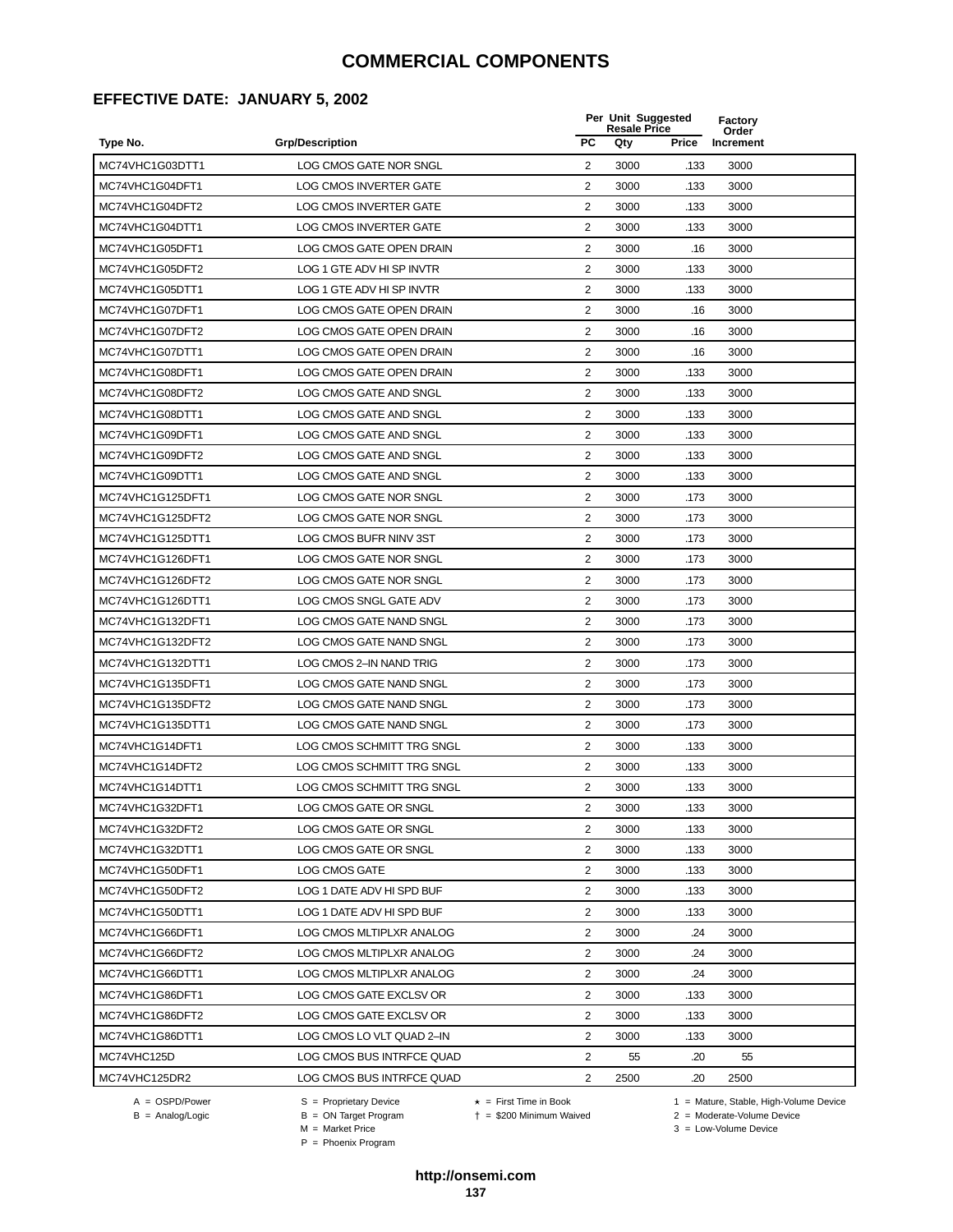#### **EFFECTIVE DATE: JANUARY 5, 2002**

|                  |                               |                         | Per Unit Suggested<br><b>Resale Price</b> |              | Factory<br>Order |  |
|------------------|-------------------------------|-------------------------|-------------------------------------------|--------------|------------------|--|
| Type No.         | <b>Grp/Description</b>        | <b>PC</b>               | Qty                                       | <b>Price</b> | Increment        |  |
| MC74VHC1G03DTT1  | LOG CMOS GATE NOR SNGL        | 2                       | 3000                                      | .133         | 3000             |  |
| MC74VHC1G04DFT1  | LOG CMOS INVERTER GATE        | 2                       | 3000                                      | .133         | 3000             |  |
| MC74VHC1G04DFT2  | <b>LOG CMOS INVERTER GATE</b> | $\overline{2}$          | 3000                                      | .133         | 3000             |  |
| MC74VHC1G04DTT1  | LOG CMOS INVERTER GATE        | $\overline{2}$          | 3000                                      | .133         | 3000             |  |
| MC74VHC1G05DFT1  | LOG CMOS GATE OPEN DRAIN      | $\overline{\mathbf{c}}$ | 3000                                      | .16          | 3000             |  |
| MC74VHC1G05DFT2  | LOG 1 GTE ADV HI SP INVTR     | $\overline{2}$          | 3000                                      | .133         | 3000             |  |
| MC74VHC1G05DTT1  | LOG 1 GTE ADV HI SP INVTR     | $\overline{2}$          | 3000                                      | .133         | 3000             |  |
| MC74VHC1G07DFT1  | LOG CMOS GATE OPEN DRAIN      | $\overline{2}$          | 3000                                      | .16          | 3000             |  |
| MC74VHC1G07DFT2  | LOG CMOS GATE OPEN DRAIN      | 2                       | 3000                                      | .16          | 3000             |  |
| MC74VHC1G07DTT1  | LOG CMOS GATE OPEN DRAIN      | 2                       | 3000                                      | .16          | 3000             |  |
| MC74VHC1G08DFT1  | LOG CMOS GATE OPEN DRAIN      | 2                       | 3000                                      | .133         | 3000             |  |
| MC74VHC1G08DFT2  | LOG CMOS GATE AND SNGL        | 2                       | 3000                                      | .133         | 3000             |  |
| MC74VHC1G08DTT1  | LOG CMOS GATE AND SNGL        | 2                       | 3000                                      | .133         | 3000             |  |
| MC74VHC1G09DFT1  | LOG CMOS GATE AND SNGL        | $\overline{c}$          | 3000                                      | .133         | 3000             |  |
| MC74VHC1G09DFT2  | LOG CMOS GATE AND SNGL        | $\overline{2}$          | 3000                                      | .133         | 3000             |  |
| MC74VHC1G09DTT1  | LOG CMOS GATE AND SNGL        | $\overline{2}$          | 3000                                      | .133         | 3000             |  |
| MC74VHC1G125DFT1 | LOG CMOS GATE NOR SNGL        | $\overline{2}$          | 3000                                      | .173         | 3000             |  |
| MC74VHC1G125DFT2 | LOG CMOS GATE NOR SNGL        | 2                       | 3000                                      | .173         | 3000             |  |
| MC74VHC1G125DTT1 | LOG CMOS BUFR NINV 3ST        | 2                       | 3000                                      | .173         | 3000             |  |
| MC74VHC1G126DFT1 | LOG CMOS GATE NOR SNGL        | 2                       | 3000                                      | .173         | 3000             |  |
| MC74VHC1G126DFT2 | LOG CMOS GATE NOR SNGL        | 2                       | 3000                                      | .173         | 3000             |  |
| MC74VHC1G126DTT1 | LOG CMOS SNGL GATE ADV        | 2                       | 3000                                      | .173         | 3000             |  |
| MC74VHC1G132DFT1 | LOG CMOS GATE NAND SNGL       | 2                       | 3000                                      | .173         | 3000             |  |
| MC74VHC1G132DFT2 | LOG CMOS GATE NAND SNGL       | 2                       | 3000                                      | .173         | 3000             |  |
| MC74VHC1G132DTT1 | LOG CMOS 2-IN NAND TRIG       | $\overline{2}$          | 3000                                      | .173         | 3000             |  |
| MC74VHC1G135DFT1 | LOG CMOS GATE NAND SNGL       | $\overline{2}$          | 3000                                      | .173         | 3000             |  |
| MC74VHC1G135DFT2 | LOG CMOS GATE NAND SNGL       | $\overline{c}$          | 3000                                      | .173         | 3000             |  |
| MC74VHC1G135DTT1 | LOG CMOS GATE NAND SNGL       | 2                       | 3000                                      | .173         | 3000             |  |
| MC74VHC1G14DFT1  | LOG CMOS SCHMITT TRG SNGL     | 2                       | 3000                                      | .133         | 3000             |  |
| MC74VHC1G14DFT2  | LOG CMOS SCHMITT TRG SNGL     | $\overline{2}$          | 3000                                      | .133         | 3000             |  |
| MC74VHC1G14DTT1  | LOG CMOS SCHMITT TRG SNGL     | 2                       | 3000                                      | .133         | 3000             |  |
| MC74VHC1G32DFT1  | LOG CMOS GATE OR SNGL         | 2                       | 3000                                      | .133         | 3000             |  |
| MC74VHC1G32DFT2  | LOG CMOS GATE OR SNGL         | 2                       | 3000                                      | .133         | 3000             |  |
| MC74VHC1G32DTT1  | LOG CMOS GATE OR SNGL         | 2                       | 3000                                      | .133         | 3000             |  |
| MC74VHC1G50DFT1  | LOG CMOS GATE                 | $\overline{2}$          | 3000                                      | .133         | 3000             |  |
| MC74VHC1G50DFT2  | LOG 1 DATE ADV HI SPD BUF     | 2                       | 3000                                      | .133         | 3000             |  |
| MC74VHC1G50DTT1  | LOG 1 DATE ADV HI SPD BUF     | 2                       | 3000                                      | .133         | 3000             |  |
| MC74VHC1G66DFT1  | LOG CMOS MLTIPLXR ANALOG      | 2                       | 3000                                      | .24          | 3000             |  |
| MC74VHC1G66DFT2  | LOG CMOS MLTIPLXR ANALOG      | 2                       | 3000                                      | .24          | 3000             |  |
| MC74VHC1G66DTT1  | LOG CMOS MLTIPLXR ANALOG      | 2                       | 3000                                      | .24          | 3000             |  |
| MC74VHC1G86DFT1  | LOG CMOS GATE EXCLSV OR       | 2                       | 3000                                      | .133         | 3000             |  |
| MC74VHC1G86DFT2  | LOG CMOS GATE EXCLSV OR       | 2                       | 3000                                      | .133         | 3000             |  |
| MC74VHC1G86DTT1  | LOG CMOS LO VLT QUAD 2-IN     | $\overline{2}$          | 3000                                      | .133         | 3000             |  |
| MC74VHC125D      | LOG CMOS BUS INTRFCE QUAD     | $\overline{2}$          | 55                                        | .20          | 55               |  |
| MC74VHC125DR2    | LOG CMOS BUS INTRFCE QUAD     | 2                       | 2500                                      | .20          | 2500             |  |
|                  |                               |                         |                                           |              |                  |  |

 $B = \text{Analog/Logic}$ <br>B = ON Target Program<br> $M = \text{Market Price}$ 

A = OSPD/Power S = Proprietary Device  $\star$  = First Time in Book 1 = Mature, Stable, High-Volume Device

 = \$200 Minimum Waived 2 = Moderate-Volume Device  $3 =$  Low-Volume Device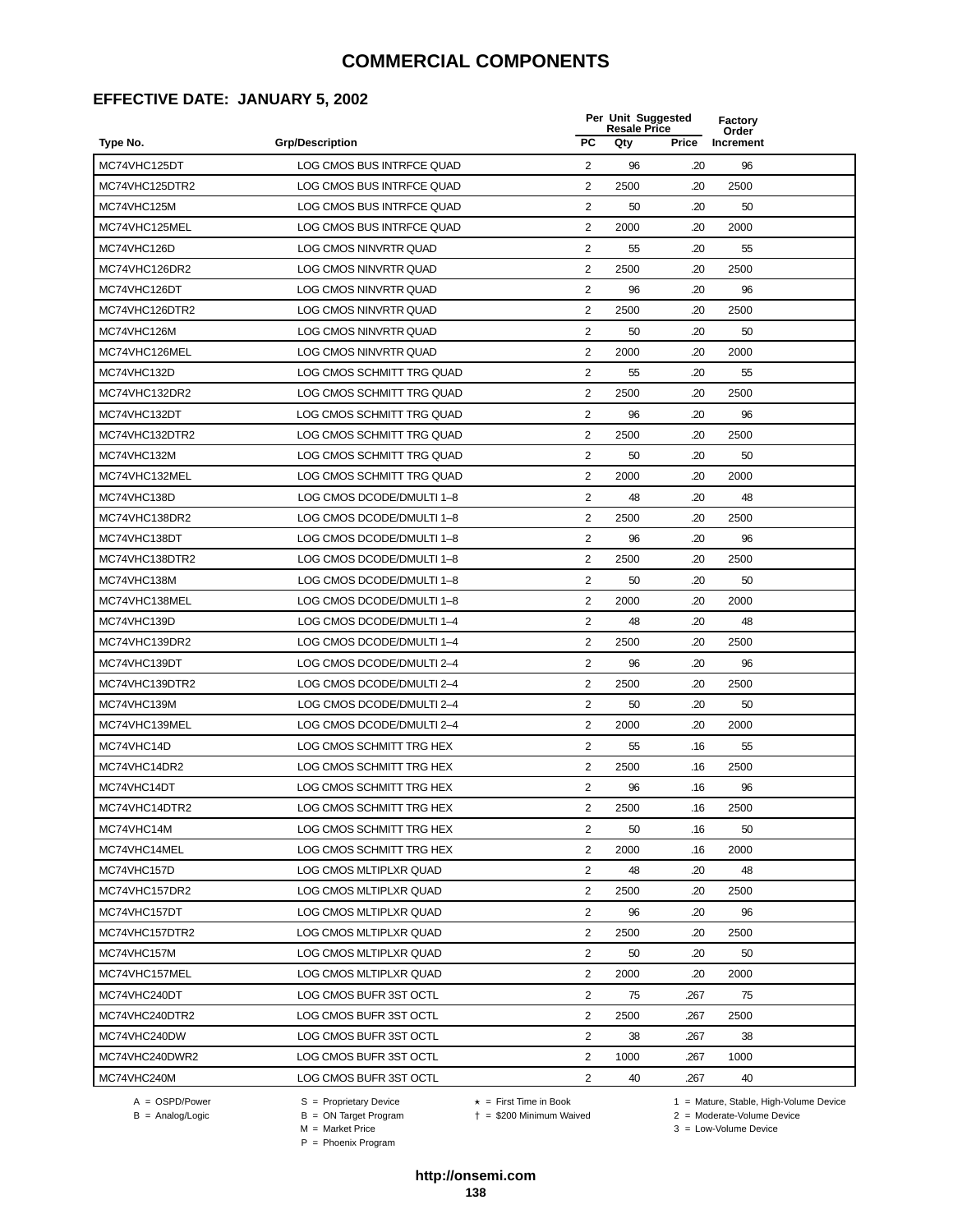#### **EFFECTIVE DATE: JANUARY 5, 2002**

|                |                           |                | Per Unit Suggested<br><b>Resale Price</b> |       | <b>Factory</b><br>Order |  |
|----------------|---------------------------|----------------|-------------------------------------------|-------|-------------------------|--|
| Type No.       | <b>Grp/Description</b>    | <b>PC</b>      | Qty                                       | Price | Increment               |  |
| MC74VHC125DT   | LOG CMOS BUS INTRFCE QUAD | 2              | 96                                        | .20   | 96                      |  |
| MC74VHC125DTR2 | LOG CMOS BUS INTRFCE QUAD | 2              | 2500                                      | .20   | 2500                    |  |
| MC74VHC125M    | LOG CMOS BUS INTRFCE QUAD | 2              | 50                                        | .20   | 50                      |  |
| MC74VHC125MEL  | LOG CMOS BUS INTRFCE QUAD | $\overline{2}$ | 2000                                      | .20   | 2000                    |  |
| MC74VHC126D    | LOG CMOS NINVRTR QUAD     | 2              | 55                                        | .20   | 55                      |  |
| MC74VHC126DR2  | LOG CMOS NINVRTR QUAD     | $\overline{2}$ | 2500                                      | .20   | 2500                    |  |
| MC74VHC126DT   | LOG CMOS NINVRTR QUAD     | 2              | 96                                        | .20   | 96                      |  |
| MC74VHC126DTR2 | LOG CMOS NINVRTR QUAD     | 2              | 2500                                      | .20   | 2500                    |  |
| MC74VHC126M    | LOG CMOS NINVRTR QUAD     | 2              | 50                                        | .20   | 50                      |  |
| MC74VHC126MEL  | LOG CMOS NINVRTR QUAD     | $\overline{2}$ | 2000                                      | .20   | 2000                    |  |
| MC74VHC132D    | LOG CMOS SCHMITT TRG QUAD | 2              | 55                                        | .20   | 55                      |  |
| MC74VHC132DR2  | LOG CMOS SCHMITT TRG QUAD | $\overline{2}$ | 2500                                      | .20   | 2500                    |  |
| MC74VHC132DT   | LOG CMOS SCHMITT TRG QUAD | 2              | 96                                        | .20   | 96                      |  |
| MC74VHC132DTR2 | LOG CMOS SCHMITT TRG QUAD | $\overline{2}$ | 2500                                      | .20   | 2500                    |  |
| MC74VHC132M    | LOG CMOS SCHMITT TRG QUAD | 2              | 50                                        | .20   | 50                      |  |
| MC74VHC132MEL  | LOG CMOS SCHMITT TRG QUAD | $\overline{2}$ | 2000                                      | .20   | 2000                    |  |
| MC74VHC138D    | LOG CMOS DCODE/DMULTI 1-8 | $\overline{2}$ | 48                                        | .20   | 48                      |  |
| MC74VHC138DR2  | LOG CMOS DCODE/DMULTI 1-8 | 2              | 2500                                      | .20   | 2500                    |  |
| MC74VHC138DT   | LOG CMOS DCODE/DMULTI 1-8 | 2              | 96                                        | .20   | 96                      |  |
| MC74VHC138DTR2 | LOG CMOS DCODE/DMULTI 1-8 | 2              | 2500                                      | .20   | 2500                    |  |
| MC74VHC138M    | LOG CMOS DCODE/DMULTI 1-8 | $\overline{2}$ | 50                                        | .20   | 50                      |  |
| MC74VHC138MEL  | LOG CMOS DCODE/DMULTI 1-8 | $\overline{2}$ | 2000                                      | .20   | 2000                    |  |
| MC74VHC139D    | LOG CMOS DCODE/DMULTI 1-4 | 2              | 48                                        | .20   | 48                      |  |
| MC74VHC139DR2  | LOG CMOS DCODE/DMULTI 1-4 | 2              | 2500                                      | .20   | 2500                    |  |
| MC74VHC139DT   | LOG CMOS DCODE/DMULTI 2-4 | $\overline{2}$ | 96                                        | .20   | 96                      |  |
| MC74VHC139DTR2 | LOG CMOS DCODE/DMULTI 2-4 | 2              | 2500                                      | .20   | 2500                    |  |
| MC74VHC139M    | LOG CMOS DCODE/DMULTI 2-4 | $\overline{2}$ | 50                                        | .20   | 50                      |  |
| MC74VHC139MEL  | LOG CMOS DCODE/DMULTI 2-4 | $\overline{2}$ | 2000                                      | .20   | 2000                    |  |
| MC74VHC14D     | LOG CMOS SCHMITT TRG HEX  | 2              | 55                                        | .16   | 55                      |  |
| MC74VHC14DR2   | LOG CMOS SCHMITT TRG HEX  | $\overline{2}$ | 2500                                      | .16   | 2500                    |  |
| MC74VHC14DT    | LOG CMOS SCHMITT TRG HEX  | 2              | 96                                        | .16   | 96                      |  |
| MC74VHC14DTR2  | LOG CMOS SCHMITT TRG HEX  | 2              | 2500                                      | .16   | 2500                    |  |
| MC74VHC14M     | LOG CMOS SCHMITT TRG HEX  | $\overline{2}$ | 50                                        | .16   | 50                      |  |
| MC74VHC14MEL   | LOG CMOS SCHMITT TRG HEX  | 2              | 2000                                      | .16   | 2000                    |  |
| MC74VHC157D    | LOG CMOS MLTIPLXR QUAD    | $\overline{2}$ | 48                                        | .20   | 48                      |  |
| MC74VHC157DR2  | LOG CMOS MLTIPLXR QUAD    | 2              | 2500                                      | .20   | 2500                    |  |
| MC74VHC157DT   | LOG CMOS MLTIPLXR QUAD    | 2              | 96                                        | .20   | 96                      |  |
| MC74VHC157DTR2 | LOG CMOS MLTIPLXR QUAD    | 2              | 2500                                      | .20   | 2500                    |  |
| MC74VHC157M    | LOG CMOS MLTIPLXR QUAD    | $\overline{2}$ | 50                                        | .20   | 50                      |  |
| MC74VHC157MEL  | LOG CMOS MLTIPLXR QUAD    | 2              | 2000                                      | .20   | 2000                    |  |
| MC74VHC240DT   | LOG CMOS BUFR 3ST OCTL    | 2              | 75                                        | .267  | 75                      |  |
| MC74VHC240DTR2 | LOG CMOS BUFR 3ST OCTL    | 2              | 2500                                      | .267  | 2500                    |  |
| MC74VHC240DW   | LOG CMOS BUFR 3ST OCTL    | 2              | 38                                        | .267  | 38                      |  |
| MC74VHC240DWR2 | LOG CMOS BUFR 3ST OCTL    | 2              | 1000                                      | .267  | 1000                    |  |
| MC74VHC240M    | LOG CMOS BUFR 3ST OCTL    | $\overline{c}$ | 40                                        | .267  | 40                      |  |
|                |                           |                |                                           |       |                         |  |

 $B = \text{Analog/Logic}$ <br>B = ON Target Program<br> $M = \text{Market Price}$ 

A = OSPD/Power S = Proprietary Device  $\star$  = First Time in Book 1 = Mature, Stable, High-Volume Device

 = \$200 Minimum Waived 2 = Moderate-Volume Device  $3 =$  Low-Volume Device

P = Phoenix Program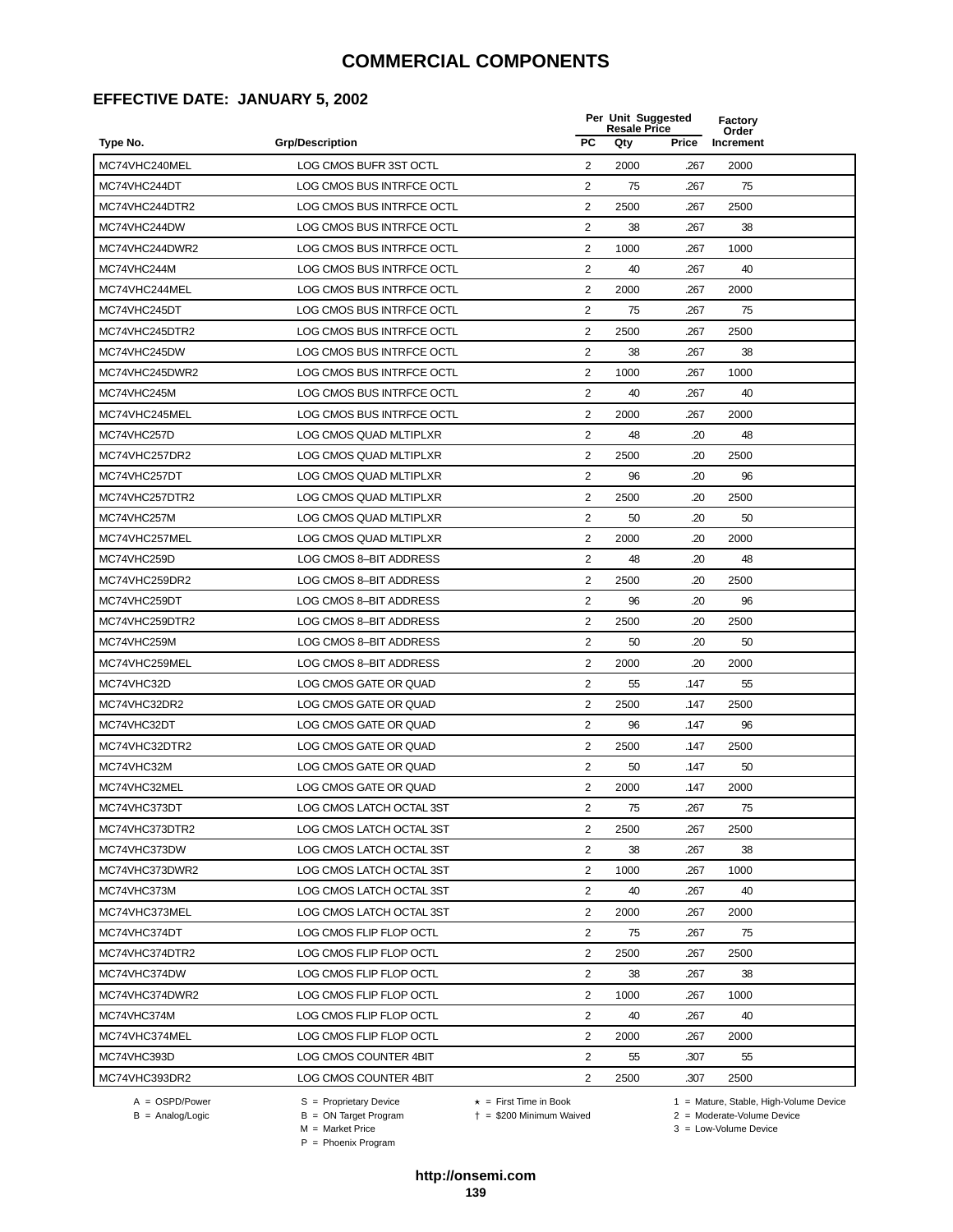#### **EFFECTIVE DATE: JANUARY 5, 2002**

|                |                               |                         | Per Unit Suggested<br><b>Resale Price</b> |              | Factory<br>Order |  |
|----------------|-------------------------------|-------------------------|-------------------------------------------|--------------|------------------|--|
| Type No.       | <b>Grp/Description</b>        | <b>PC</b>               | Qty                                       | <b>Price</b> | Increment        |  |
| MC74VHC240MEL  | LOG CMOS BUFR 3ST OCTL        | 2                       | 2000                                      | .267         | 2000             |  |
| MC74VHC244DT   | LOG CMOS BUS INTRFCE OCTL     | 2                       | 75                                        | .267         | 75               |  |
| MC74VHC244DTR2 | LOG CMOS BUS INTRFCE OCTL     | 2                       | 2500                                      | .267         | 2500             |  |
| MC74VHC244DW   | LOG CMOS BUS INTRFCE OCTL     | $\overline{2}$          | 38                                        | .267         | 38               |  |
| MC74VHC244DWR2 | LOG CMOS BUS INTRFCE OCTL     | $\overline{2}$          | 1000                                      | .267         | 1000             |  |
| MC74VHC244M    | LOG CMOS BUS INTRFCE OCTL     | $\overline{2}$          | 40                                        | .267         | 40               |  |
| MC74VHC244MEL  | LOG CMOS BUS INTRFCE OCTL     | $\overline{2}$          | 2000                                      | .267         | 2000             |  |
| MC74VHC245DT   | LOG CMOS BUS INTRFCE OCTL     | 2                       | 75                                        | .267         | 75               |  |
| MC74VHC245DTR2 | LOG CMOS BUS INTRFCE OCTL     | 2                       | 2500                                      | .267         | 2500             |  |
| MC74VHC245DW   | LOG CMOS BUS INTRFCE OCTL     | 2                       | 38                                        | .267         | 38               |  |
| MC74VHC245DWR2 | LOG CMOS BUS INTRFCE OCTL     | 2                       | 1000                                      | .267         | 1000             |  |
| MC74VHC245M    | LOG CMOS BUS INTRFCE OCTL     | $\overline{2}$          | 40                                        | .267         | 40               |  |
| MC74VHC245MEL  | LOG CMOS BUS INTRFCE OCTL     | 2                       | 2000                                      | .267         | 2000             |  |
| MC74VHC257D    | LOG CMOS QUAD MLTIPLXR        | $\overline{2}$          | 48                                        | .20          | 48               |  |
| MC74VHC257DR2  | <b>LOG CMOS QUAD MLTIPLXR</b> | $\overline{2}$          | 2500                                      | .20          | 2500             |  |
| MC74VHC257DT   | LOG CMOS QUAD MLTIPLXR        | 2                       | 96                                        | .20          | 96               |  |
| MC74VHC257DTR2 | LOG CMOS QUAD MLTIPLXR        | 2                       | 2500                                      | .20          | 2500             |  |
| MC74VHC257M    | LOG CMOS QUAD MLTIPLXR        | $\overline{c}$          | 50                                        | .20          | 50               |  |
| MC74VHC257MEL  | LOG CMOS QUAD MLTIPLXR        | $\overline{2}$          | 2000                                      | .20          | 2000             |  |
| MC74VHC259D    | LOG CMOS 8-BIT ADDRESS        | 2                       | 48                                        | .20          | 48               |  |
| MC74VHC259DR2  | LOG CMOS 8-BIT ADDRESS        | 2                       | 2500                                      | .20          | 2500             |  |
| MC74VHC259DT   | LOG CMOS 8-BIT ADDRESS        | $\overline{c}$          | 96                                        | .20          | 96               |  |
| MC74VHC259DTR2 | LOG CMOS 8-BIT ADDRESS        | $\overline{2}$          | 2500                                      | .20          | 2500             |  |
| MC74VHC259M    | LOG CMOS 8-BIT ADDRESS        | $\overline{2}$          | 50                                        | .20          | 50               |  |
| MC74VHC259MEL  | LOG CMOS 8-BIT ADDRESS        | 2                       | 2000                                      | .20          | 2000             |  |
| MC74VHC32D     | LOG CMOS GATE OR QUAD         | 2                       | 55                                        | .147         | 55               |  |
| MC74VHC32DR2   | LOG CMOS GATE OR QUAD         | $\overline{c}$          | 2500                                      | .147         | 2500             |  |
| MC74VHC32DT    | LOG CMOS GATE OR QUAD         | 2                       | 96                                        | .147         | 96               |  |
| MC74VHC32DTR2  | LOG CMOS GATE OR QUAD         | 2                       | 2500                                      | .147         | 2500             |  |
| MC74VHC32M     | LOG CMOS GATE OR QUAD         | $\overline{2}$          | 50                                        | .147         | 50               |  |
| MC74VHC32MEL   | LOG CMOS GATE OR QUAD         | $\overline{2}$          | 2000                                      | .147         | 2000             |  |
| MC74VHC373DT   | LOG CMOS LATCH OCTAL 3ST      | $\overline{\mathbf{c}}$ | 75                                        | .267         | 75               |  |
| MC74VHC373DTR2 | LOG CMOS LATCH OCTAL 3ST      | 2                       | 2500                                      | .267         | 2500             |  |
| MC74VHC373DW   | LOG CMOS LATCH OCTAL 3ST      | 2                       | 38                                        | .267         | 38               |  |
| MC74VHC373DWR2 | LOG CMOS LATCH OCTAL 3ST      | $\overline{2}$          | 1000                                      | .267         | 1000             |  |
| MC74VHC373M    | LOG CMOS LATCH OCTAL 3ST      | $\overline{2}$          | 40                                        | .267         | 40               |  |
| MC74VHC373MEL  | LOG CMOS LATCH OCTAL 3ST      | 2                       | 2000                                      | .267         | 2000             |  |
| MC74VHC374DT   | LOG CMOS FLIP FLOP OCTL       | 2                       | 75                                        | .267         | 75               |  |
| MC74VHC374DTR2 | LOG CMOS FLIP FLOP OCTL       | $\overline{2}$          | 2500                                      | .267         | 2500             |  |
| MC74VHC374DW   | LOG CMOS FLIP FLOP OCTL       | 2                       | 38                                        | .267         | 38               |  |
| MC74VHC374DWR2 | LOG CMOS FLIP FLOP OCTL       | 2                       | 1000                                      | .267         | 1000             |  |
| MC74VHC374M    | LOG CMOS FLIP FLOP OCTL       | $\overline{2}$          | 40                                        | .267         | 40               |  |
| MC74VHC374MEL  | LOG CMOS FLIP FLOP OCTL       | 2                       | 2000                                      | .267         | 2000             |  |
| MC74VHC393D    | LOG CMOS COUNTER 4BIT         | 2                       | 55                                        | .307         | 55               |  |
| MC74VHC393DR2  | LOG CMOS COUNTER 4BIT         | $\overline{2}$          | 2500                                      | .307         | 2500             |  |
|                |                               |                         |                                           |              |                  |  |

 $B = \text{Analog/Logic}$ <br>B = ON Target Program<br> $M = \text{Market Price}$ 

= \$200 Minimum Waived 2 = Moderate-Volume Device

A = OSPD/Power S = Proprietary Device  $\star$  = First Time in Book 1 = Mature, Stable, High-Volume Device

 $3 =$  Low-Volume Device

P = Phoenix Program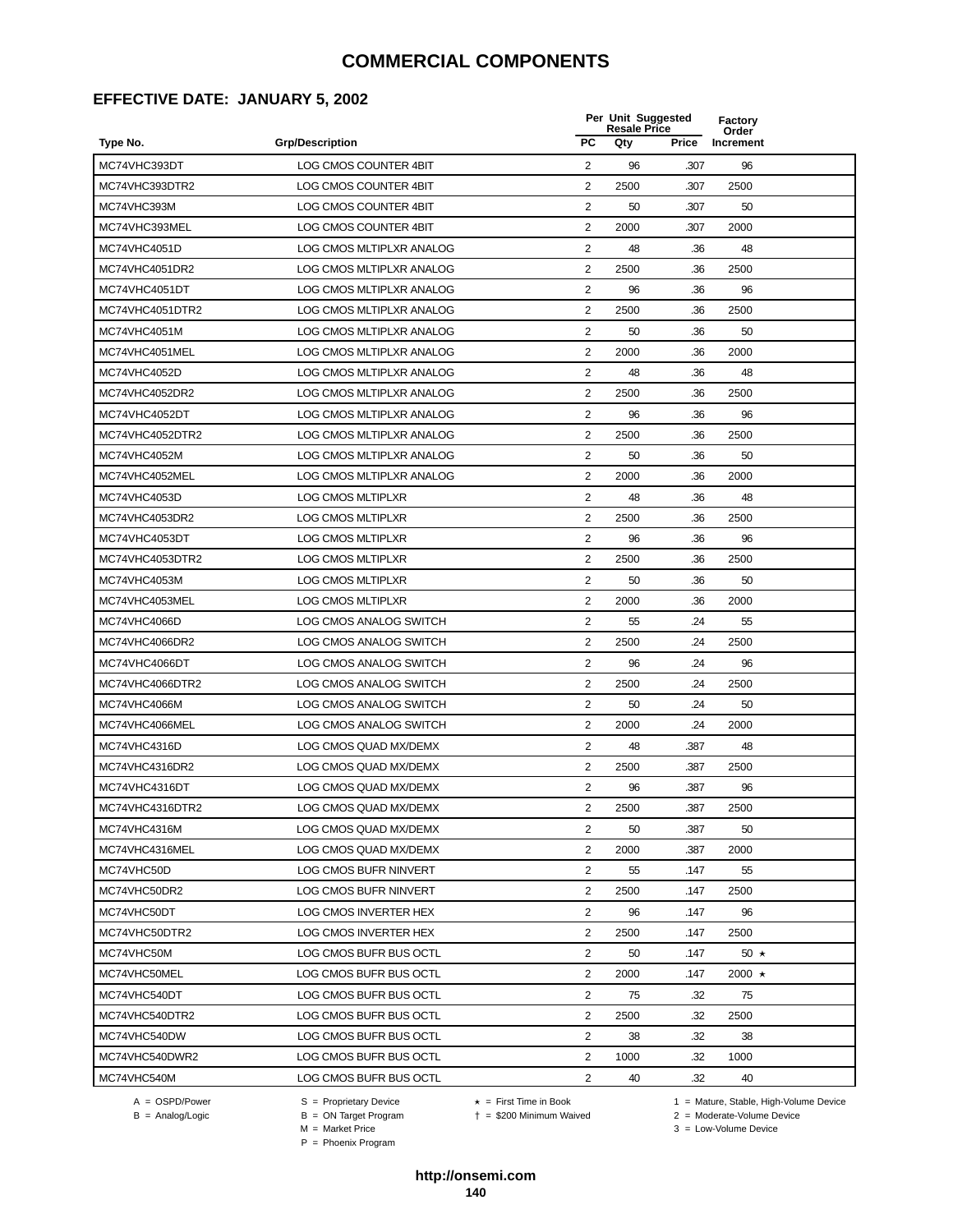#### **EFFECTIVE DATE: JANUARY 5, 2002**

|                 |                              |                | Per Unit Suggested<br><b>Resale Price</b> |       | <b>Factory</b><br>Order |  |
|-----------------|------------------------------|----------------|-------------------------------------------|-------|-------------------------|--|
| Type No.        | <b>Grp/Description</b>       | <b>PC</b>      | Qty                                       | Price | Increment               |  |
| MC74VHC393DT    | <b>LOG CMOS COUNTER 4BIT</b> | 2              | 96                                        | .307  | 96                      |  |
| MC74VHC393DTR2  | LOG CMOS COUNTER 4BIT        | 2              | 2500                                      | .307  | 2500                    |  |
| MC74VHC393M     | LOG CMOS COUNTER 4BIT        | 2              | 50                                        | .307  | 50                      |  |
| MC74VHC393MEL   | LOG CMOS COUNTER 4BIT        | $\overline{2}$ | 2000                                      | .307  | 2000                    |  |
| MC74VHC4051D    | LOG CMOS MLTIPLXR ANALOG     | 2              | 48                                        | .36   | 48                      |  |
| MC74VHC4051DR2  | LOG CMOS MLTIPLXR ANALOG     | $\overline{2}$ | 2500                                      | .36   | 2500                    |  |
| MC74VHC4051DT   | LOG CMOS MLTIPLXR ANALOG     | 2              | 96                                        | .36   | 96                      |  |
| MC74VHC4051DTR2 | LOG CMOS MLTIPLXR ANALOG     | 2              | 2500                                      | .36   | 2500                    |  |
| MC74VHC4051M    | LOG CMOS MLTIPLXR ANALOG     | 2              | 50                                        | .36   | 50                      |  |
| MC74VHC4051MEL  | LOG CMOS MLTIPLXR ANALOG     | $\overline{2}$ | 2000                                      | .36   | 2000                    |  |
| MC74VHC4052D    | LOG CMOS MLTIPLXR ANALOG     | 2              | 48                                        | .36   | 48                      |  |
| MC74VHC4052DR2  | LOG CMOS MLTIPLXR ANALOG     | $\overline{2}$ | 2500                                      | .36   | 2500                    |  |
| MC74VHC4052DT   | LOG CMOS MLTIPLXR ANALOG     | 2              | 96                                        | .36   | 96                      |  |
| MC74VHC4052DTR2 | LOG CMOS MLTIPLXR ANALOG     | $\overline{2}$ | 2500                                      | .36   | 2500                    |  |
| MC74VHC4052M    | LOG CMOS MLTIPLXR ANALOG     | 2              | 50                                        | .36   | 50                      |  |
| MC74VHC4052MEL  | LOG CMOS MLTIPLXR ANALOG     | $\overline{2}$ | 2000                                      | .36   | 2000                    |  |
| MC74VHC4053D    | <b>LOG CMOS MLTIPLXR</b>     | 2              | 48                                        | .36   | 48                      |  |
| MC74VHC4053DR2  | LOG CMOS MLTIPLXR            | 2              | 2500                                      | .36   | 2500                    |  |
| MC74VHC4053DT   | <b>LOG CMOS MLTIPLXR</b>     | $\overline{2}$ | 96                                        | .36   | 96                      |  |
| MC74VHC4053DTR2 | <b>LOG CMOS MLTIPLXR</b>     | 2              | 2500                                      | .36   | 2500                    |  |
| MC74VHC4053M    | <b>LOG CMOS MLTIPLXR</b>     | $\overline{2}$ | 50                                        | .36   | 50                      |  |
| MC74VHC4053MEL  | LOG CMOS MLTIPLXR            | $\overline{2}$ | 2000                                      | .36   | 2000                    |  |
| MC74VHC4066D    | LOG CMOS ANALOG SWITCH       | $\overline{2}$ | 55                                        | .24   | 55                      |  |
| MC74VHC4066DR2  | LOG CMOS ANALOG SWITCH       | 2              | 2500                                      | .24   | 2500                    |  |
| MC74VHC4066DT   | LOG CMOS ANALOG SWITCH       | $\overline{2}$ | 96                                        | .24   | 96                      |  |
| MC74VHC4066DTR2 | LOG CMOS ANALOG SWITCH       | 2              | 2500                                      | .24   | 2500                    |  |
| MC74VHC4066M    | LOG CMOS ANALOG SWITCH       | $\overline{2}$ | 50                                        | .24   | 50                      |  |
| MC74VHC4066MEL  | LOG CMOS ANALOG SWITCH       | $\overline{2}$ | 2000                                      | .24   | 2000                    |  |
| MC74VHC4316D    | LOG CMOS QUAD MX/DEMX        | 2              | 48                                        | .387  | 48                      |  |
| MC74VHC4316DR2  | LOG CMOS QUAD MX/DEMX        | $\overline{2}$ | 2500                                      | .387  | 2500                    |  |
| MC74VHC4316DT   | LOG CMOS QUAD MX/DEMX        | $\overline{2}$ | 96                                        | .387  | 96                      |  |
| MC74VHC4316DTR2 | LOG CMOS QUAD MX/DEMX        | 2              | 2500                                      | 387   | 2500                    |  |
| MC74VHC4316M    | LOG CMOS QUAD MX/DEMX        | $\overline{2}$ | 50                                        | .387  | 50                      |  |
| MC74VHC4316MEL  | LOG CMOS QUAD MX/DEMX        | 2              | 2000                                      | .387  | 2000                    |  |
| MC74VHC50D      | LOG CMOS BUFR NINVERT        | $\overline{2}$ | 55                                        | .147  | 55                      |  |
| MC74VHC50DR2    | LOG CMOS BUFR NINVERT        | 2              | 2500                                      | .147  | 2500                    |  |
| MC74VHC50DT     | LOG CMOS INVERTER HEX        | 2              | 96                                        | .147  | 96                      |  |
| MC74VHC50DTR2   | LOG CMOS INVERTER HEX        | 2              | 2500                                      | .147  | 2500                    |  |
| MC74VHC50M      | LOG CMOS BUFR BUS OCTL       | $\overline{2}$ | 50                                        | .147  | 50 $\star$              |  |
| MC74VHC50MEL    | LOG CMOS BUFR BUS OCTL       | 2              | 2000                                      | .147  | 2000 $\star$            |  |
| MC74VHC540DT    | LOG CMOS BUFR BUS OCTL       | 2              | 75                                        | .32   | 75                      |  |
| MC74VHC540DTR2  | LOG CMOS BUFR BUS OCTL       | 2              | 2500                                      | .32   | 2500                    |  |
| MC74VHC540DW    | LOG CMOS BUFR BUS OCTL       | 2              | 38                                        | .32   | 38                      |  |
| MC74VHC540DWR2  | LOG CMOS BUFR BUS OCTL       | 2              | 1000                                      | .32   | 1000                    |  |
| MC74VHC540M     | LOG CMOS BUFR BUS OCTL       | $\overline{c}$ | 40                                        | .32   | 40                      |  |
|                 |                              |                |                                           |       |                         |  |

B = Analog/Logic<br>B = Analog/Logic<br>M = Market Price

= \$200 Minimum Waived 2 = Moderate-Volume Device

A = OSPD/Power S = Proprietary Device  $\star$  = First Time in Book 1 = Mature, Stable, High-Volume Device

 $3 =$  Low-Volume Device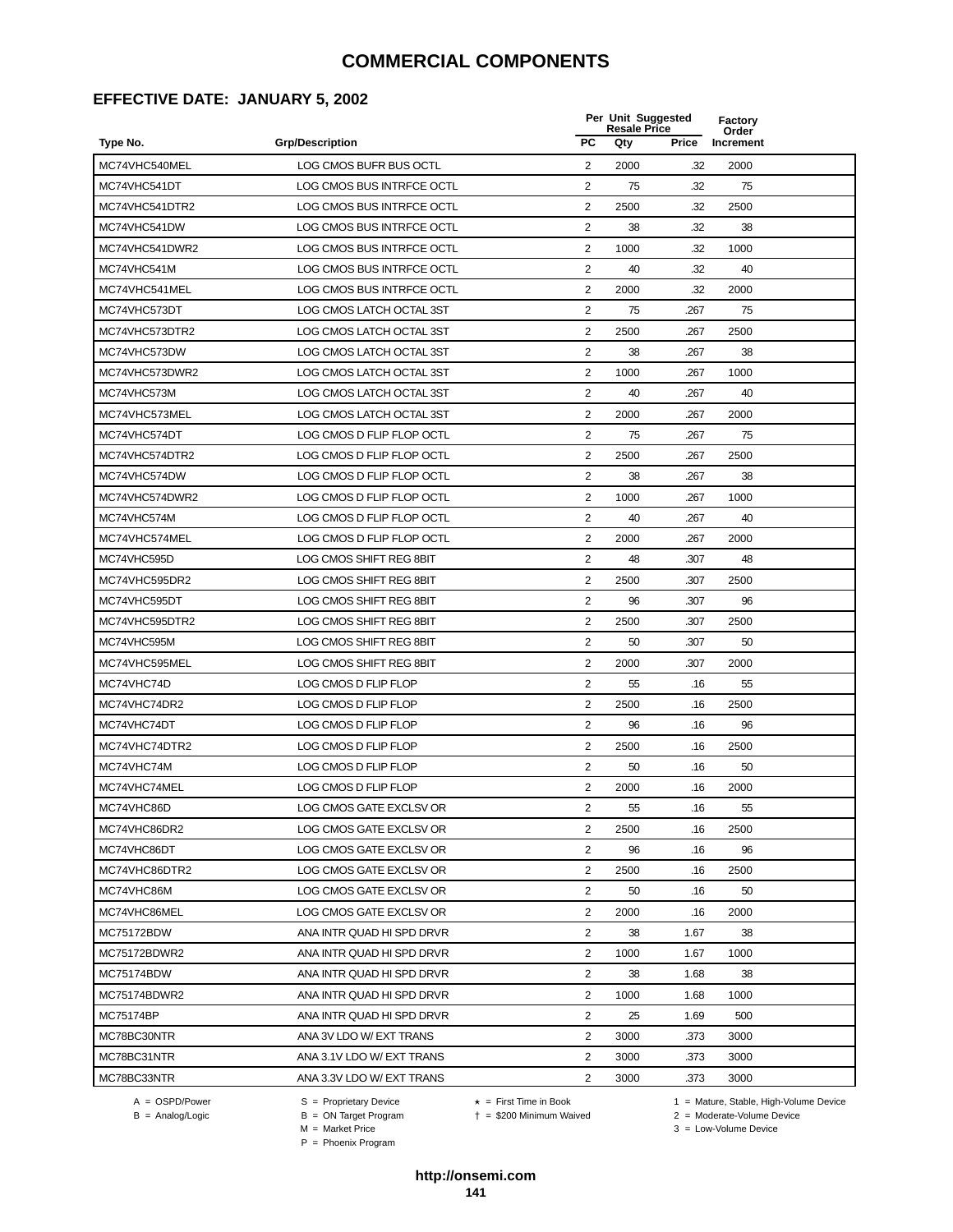#### **EFFECTIVE DATE: JANUARY 5, 2002**

|                |                           | Per Unit Suggested<br><b>Resale Price</b> |      |       | Factory<br>Order |  |
|----------------|---------------------------|-------------------------------------------|------|-------|------------------|--|
| Type No.       | <b>Grp/Description</b>    | <b>PC</b>                                 | Qty  | Price | Increment        |  |
| MC74VHC540MEL  | LOG CMOS BUFR BUS OCTL    | 2                                         | 2000 | .32   | 2000             |  |
| MC74VHC541DT   | LOG CMOS BUS INTRFCE OCTL | 2                                         | 75   | .32   | 75               |  |
| MC74VHC541DTR2 | LOG CMOS BUS INTRFCE OCTL | 2                                         | 2500 | .32   | 2500             |  |
| MC74VHC541DW   | LOG CMOS BUS INTRFCE OCTL | $\overline{2}$                            | 38   | .32   | 38               |  |
| MC74VHC541DWR2 | LOG CMOS BUS INTRFCE OCTL | $\overline{2}$                            | 1000 | .32   | 1000             |  |
| MC74VHC541M    | LOG CMOS BUS INTRFCE OCTL | $\mathbf{2}$                              | 40   | .32   | 40               |  |
| MC74VHC541MEL  | LOG CMOS BUS INTRFCE OCTL | $\overline{2}$                            | 2000 | .32   | 2000             |  |
| MC74VHC573DT   | LOG CMOS LATCH OCTAL 3ST  | 2                                         | 75   | .267  | 75               |  |
| MC74VHC573DTR2 | LOG CMOS LATCH OCTAL 3ST  | $\overline{2}$                            | 2500 | .267  | 2500             |  |
| MC74VHC573DW   | LOG CMOS LATCH OCTAL 3ST  | 2                                         | 38   | .267  | 38               |  |
| MC74VHC573DWR2 | LOG CMOS LATCH OCTAL 3ST  | 2                                         | 1000 | .267  | 1000             |  |
| MC74VHC573M    | LOG CMOS LATCH OCTAL 3ST  | $\overline{2}$                            | 40   | .267  | 40               |  |
| MC74VHC573MEL  | LOG CMOS LATCH OCTAL 3ST  | 2                                         | 2000 | .267  | 2000             |  |
| MC74VHC574DT   | LOG CMOS D FLIP FLOP OCTL | 2                                         | 75   | .267  | 75               |  |
| MC74VHC574DTR2 | LOG CMOS D FLIP FLOP OCTL | $\overline{2}$                            | 2500 | .267  | 2500             |  |
| MC74VHC574DW   | LOG CMOS D FLIP FLOP OCTL | 2                                         | 38   | .267  | 38               |  |
| MC74VHC574DWR2 | LOG CMOS D FLIP FLOP OCTL | 2                                         | 1000 | .267  | 1000             |  |
| MC74VHC574M    | LOG CMOS D FLIP FLOP OCTL | $\overline{c}$                            | 40   | .267  | 40               |  |
| MC74VHC574MEL  | LOG CMOS D FLIP FLOP OCTL | $\overline{2}$                            | 2000 | .267  | 2000             |  |
| MC74VHC595D    | LOG CMOS SHIFT REG 8BIT   | 2                                         | 48   | .307  | 48               |  |
| MC74VHC595DR2  | LOG CMOS SHIFT REG 8BIT   | 2                                         | 2500 | .307  | 2500             |  |
| MC74VHC595DT   | LOG CMOS SHIFT REG 8BIT   | $\overline{c}$                            | 96   | .307  | 96               |  |
| MC74VHC595DTR2 | LOG CMOS SHIFT REG 8BIT   | $\overline{2}$                            | 2500 | .307  | 2500             |  |
| MC74VHC595M    | LOG CMOS SHIFT REG 8BIT   | 2                                         | 50   | .307  | 50               |  |
| MC74VHC595MEL  | LOG CMOS SHIFT REG 8BIT   | 2                                         | 2000 | .307  | 2000             |  |
| MC74VHC74D     | LOG CMOS D FLIP FLOP      | 2                                         | 55   | .16   | 55               |  |
| MC74VHC74DR2   | LOG CMOS D FLIP FLOP      | $\overline{c}$                            | 2500 | .16   | 2500             |  |
| MC74VHC74DT    | LOG CMOS D FLIP FLOP      | $\overline{2}$                            | 96   | .16   | 96               |  |
| MC74VHC74DTR2  | LOG CMOS D FLIP FLOP      | 2                                         | 2500 | .16   | 2500             |  |
| MC74VHC74M     | LOG CMOS D FLIP FLOP      | 2                                         | 50   | .16   | 50               |  |
| MC74VHC74MEL   | LOG CMOS D FLIP FLOP      | $\overline{2}$                            | 2000 | .16   | 2000             |  |
| MC74VHC86D     | LOG CMOS GATE EXCLSV OR   | $\overline{\mathbf{c}}$                   | 55   | .16   | 55               |  |
| MC74VHC86DR2   | LOG CMOS GATE EXCLSV OR   | 2                                         | 2500 | .16   | 2500             |  |
| MC74VHC86DT    | LOG CMOS GATE EXCLSV OR   | 2                                         | 96   | .16   | 96               |  |
| MC74VHC86DTR2  | LOG CMOS GATE EXCLSV OR   | $\overline{2}$                            | 2500 | .16   | 2500             |  |
| MC74VHC86M     | LOG CMOS GATE EXCLSV OR   | 2                                         | 50   | .16   | 50               |  |
| MC74VHC86MEL   | LOG CMOS GATE EXCLSV OR   | 2                                         | 2000 | .16   | 2000             |  |
| MC75172BDW     | ANA INTR QUAD HI SPD DRVR | 2                                         | 38   | 1.67  | 38               |  |
| MC75172BDWR2   | ANA INTR QUAD HI SPD DRVR | $\overline{2}$                            | 1000 | 1.67  | 1000             |  |
| MC75174BDW     | ANA INTR QUAD HI SPD DRVR | 2                                         | 38   | 1.68  | 38               |  |
| MC75174BDWR2   | ANA INTR QUAD HI SPD DRVR | 2                                         | 1000 | 1.68  | 1000             |  |
| MC75174BP      | ANA INTR QUAD HI SPD DRVR | 2                                         | 25   | 1.69  | 500              |  |
| MC78BC30NTR    | ANA 3V LDO W/ EXT TRANS   | 2                                         | 3000 | .373  | 3000             |  |
| MC78BC31NTR    | ANA 3.1V LDO W/ EXT TRANS | 2                                         | 3000 | .373  | 3000             |  |
| MC78BC33NTR    | ANA 3.3V LDO W/ EXT TRANS | $\overline{c}$                            | 3000 | .373  | 3000             |  |
|                |                           |                                           |      |       |                  |  |

 $B = \text{Analog/Logic}$ <br>B = ON Target Program<br> $M = \text{Market Price}$ 

A = OSPD/Power S = Proprietary Device  $\star$  = First Time in Book 1 = Mature, Stable, High-Volume Device

 = \$200 Minimum Waived 2 = Moderate-Volume Device  $3 =$  Low-Volume Device

P = Phoenix Program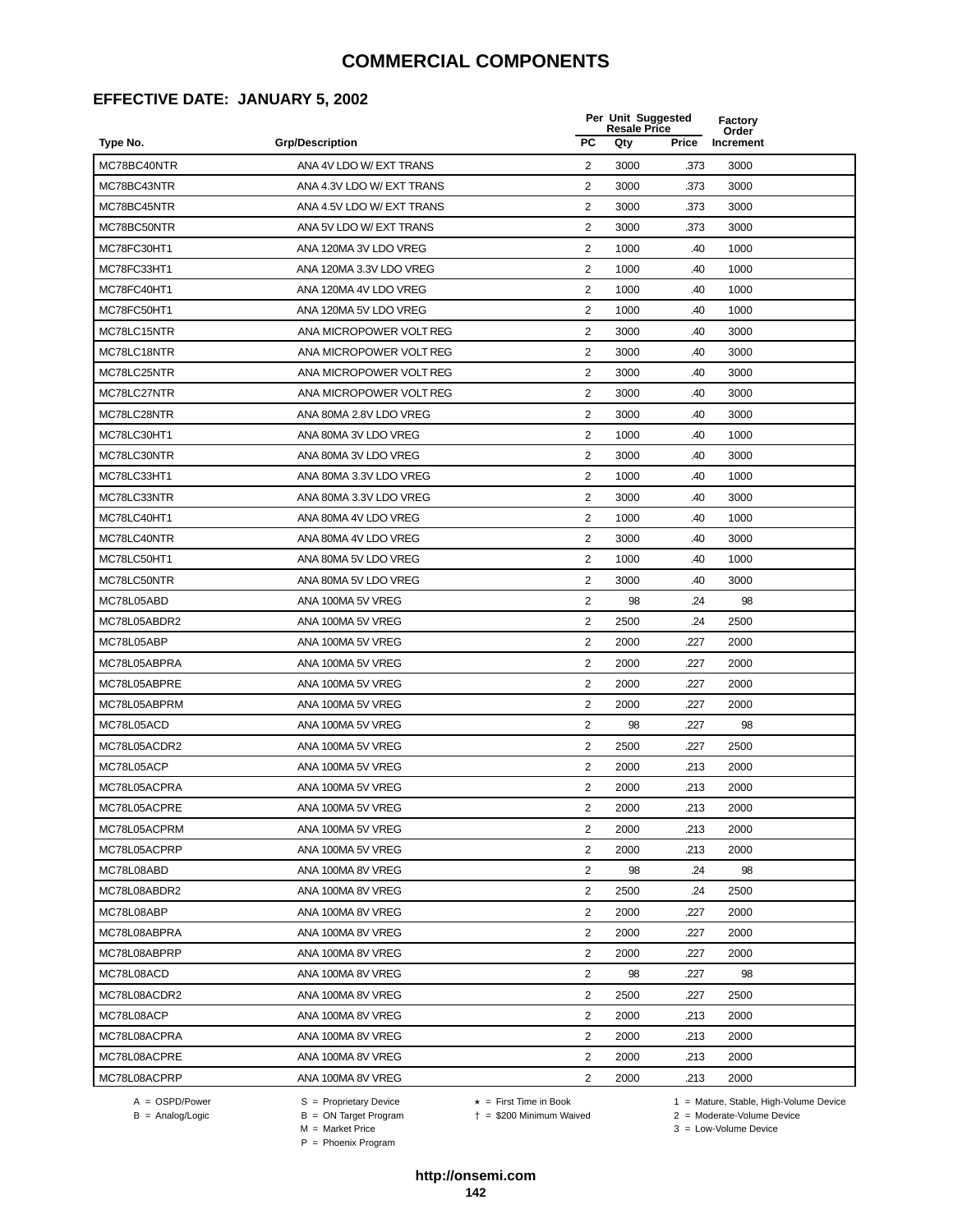#### **EFFECTIVE DATE: JANUARY 5, 2002**

|              |                           |                         | Per Unit Suggested<br><b>Resale Price</b> |       | Factory<br>Order |  |
|--------------|---------------------------|-------------------------|-------------------------------------------|-------|------------------|--|
| Type No.     | <b>Grp/Description</b>    | PC                      | Qty                                       | Price | <b>Increment</b> |  |
| MC78BC40NTR  | ANA 4V LDO W/ EXT TRANS   | 2                       | 3000                                      | .373  | 3000             |  |
| MC78BC43NTR  | ANA 4.3V LDO W/ EXT TRANS | 2                       | 3000                                      | .373  | 3000             |  |
| MC78BC45NTR  | ANA 4.5V LDO W/ EXT TRANS | 2                       | 3000                                      | .373  | 3000             |  |
| MC78BC50NTR  | ANA 5V LDO W/ EXT TRANS   | $\overline{2}$          | 3000                                      | .373  | 3000             |  |
| MC78FC30HT1  | ANA 120MA 3V LDO VREG     | $\overline{2}$          | 1000                                      | .40   | 1000             |  |
| MC78FC33HT1  | ANA 120MA 3.3V LDO VREG   | 2                       | 1000                                      | .40   | 1000             |  |
| MC78FC40HT1  | ANA 120MA 4V LDO VREG     | $\overline{2}$          | 1000                                      | .40   | 1000             |  |
| MC78FC50HT1  | ANA 120MA 5V LDO VREG     | 2                       | 1000                                      | .40   | 1000             |  |
| MC78LC15NTR  | ANA MICROPOWER VOLT REG   | $\overline{2}$          | 3000                                      | .40   | 3000             |  |
| MC78LC18NTR  | ANA MICROPOWER VOLT REG   | 2                       | 3000                                      | .40   | 3000             |  |
| MC78LC25NTR  | ANA MICROPOWER VOLT REG   | $\overline{2}$          | 3000                                      | .40   | 3000             |  |
| MC78LC27NTR  | ANA MICROPOWER VOLT REG   | $\overline{2}$          | 3000                                      | .40   | 3000             |  |
| MC78LC28NTR  | ANA 80MA 2.8V LDO VREG    | 2                       | 3000                                      | .40   | 3000             |  |
| MC78LC30HT1  | ANA 80MA 3V LDO VREG      | $\overline{2}$          | 1000                                      | .40   | 1000             |  |
| MC78LC30NTR  | ANA 80MA 3V LDO VREG      | 2                       | 3000                                      | .40   | 3000             |  |
| MC78LC33HT1  | ANA 80MA 3.3V LDO VREG    | $\overline{2}$          | 1000                                      | .40   | 1000             |  |
| MC78LC33NTR  | ANA 80MA 3.3V LDO VREG    | 2                       | 3000                                      | .40   | 3000             |  |
| MC78LC40HT1  | ANA 80MA 4V LDO VREG      | $\overline{2}$          | 1000                                      | .40   | 1000             |  |
| MC78LC40NTR  | ANA 80MA 4V LDO VREG      | 2                       | 3000                                      | .40   | 3000             |  |
| MC78LC50HT1  | ANA 80MA 5V LDO VREG      | 2                       | 1000                                      | .40   | 1000             |  |
| MC78LC50NTR  | ANA 80MA 5V LDO VREG      | $\overline{2}$          | 3000                                      | .40   | 3000             |  |
| MC78L05ABD   | ANA 100MA 5V VREG         | $\overline{2}$          | 98                                        | .24   | 98               |  |
| MC78L05ABDR2 | ANA 100MA 5V VREG         | $\overline{2}$          | 2500                                      | .24   | 2500             |  |
| MC78L05ABP   | ANA 100MA 5V VREG         | 2                       | 2000                                      | .227  | 2000             |  |
| MC78L05ABPRA | ANA 100MA 5V VREG         | $\overline{2}$          | 2000                                      | .227  | 2000             |  |
| MC78L05ABPRE | ANA 100MA 5V VREG         | 2                       | 2000                                      | .227  | 2000             |  |
| MC78L05ABPRM | ANA 100MA 5V VREG         | $\overline{2}$          | 2000                                      | .227  | 2000             |  |
| MC78L05ACD   | ANA 100MA 5V VREG         | $\overline{2}$          | 98                                        | .227  | 98               |  |
| MC78L05ACDR2 | ANA 100MA 5V VREG         | $\overline{2}$          | 2500                                      | .227  | 2500             |  |
| MC78L05ACP   | ANA 100MA 5V VREG         | 2                       | 2000                                      | .213  | 2000             |  |
| MC78L05ACPRA | ANA 100MA 5V VREG         | 2                       | 2000                                      | .213  | 2000             |  |
| MC78L05ACPRE | ANA 100MA 5V VREG         | 2                       | 2000                                      | .213  | 2000             |  |
| MC78L05ACPRM | ANA 100MA 5V VREG         | $\overline{2}$          | 2000                                      | .213  | 2000             |  |
| MC78L05ACPRP | ANA 100MA 5V VREG         | $\overline{\mathbf{c}}$ | 2000                                      | .213  | 2000             |  |
| MC78L08ABD   | ANA 100MA 8V VREG         | 2                       | 98                                        | .24   | 98               |  |
| MC78L08ABDR2 | ANA 100MA 8V VREG         | $\overline{2}$          | 2500                                      | .24   | 2500             |  |
| MC78L08ABP   | ANA 100MA 8V VREG         | $\overline{2}$          | 2000                                      | .227  | 2000             |  |
| MC78L08ABPRA | ANA 100MA 8V VREG         | 2                       | 2000                                      | .227  | 2000             |  |
| MC78L08ABPRP | ANA 100MA 8V VREG         | 2                       | 2000                                      | .227  | 2000             |  |
| MC78L08ACD   | ANA 100MA 8V VREG         | $\overline{2}$          | 98                                        | .227  | 98               |  |
| MC78L08ACDR2 | ANA 100MA 8V VREG         | 2                       | 2500                                      | .227  | 2500             |  |
| MC78L08ACP   | ANA 100MA 8V VREG         | 2                       | 2000                                      | .213  | 2000             |  |
| MC78L08ACPRA | ANA 100MA 8V VREG         | 2                       | 2000                                      | .213  | 2000             |  |
| MC78L08ACPRE | ANA 100MA 8V VREG         | $\overline{2}$          | 2000                                      | .213  | 2000             |  |
| MC78L08ACPRP | ANA 100MA 8V VREG         | $\overline{2}$          | 2000                                      | .213  | 2000             |  |

A = OSPD/Power S = Proprietary Device<br>
B = Analog/Logic B = ON Target Program<br>
M = Market Price

A = OSPD/Power S = Proprietary Device  $\star$  = First Time in Book 1 = Mature, Stable, High-Volume Device

 = \$200 Minimum Waived 2 = Moderate-Volume Device  $2 =$  Moderate-Volume Device<br> $3 =$  Low-Volume Device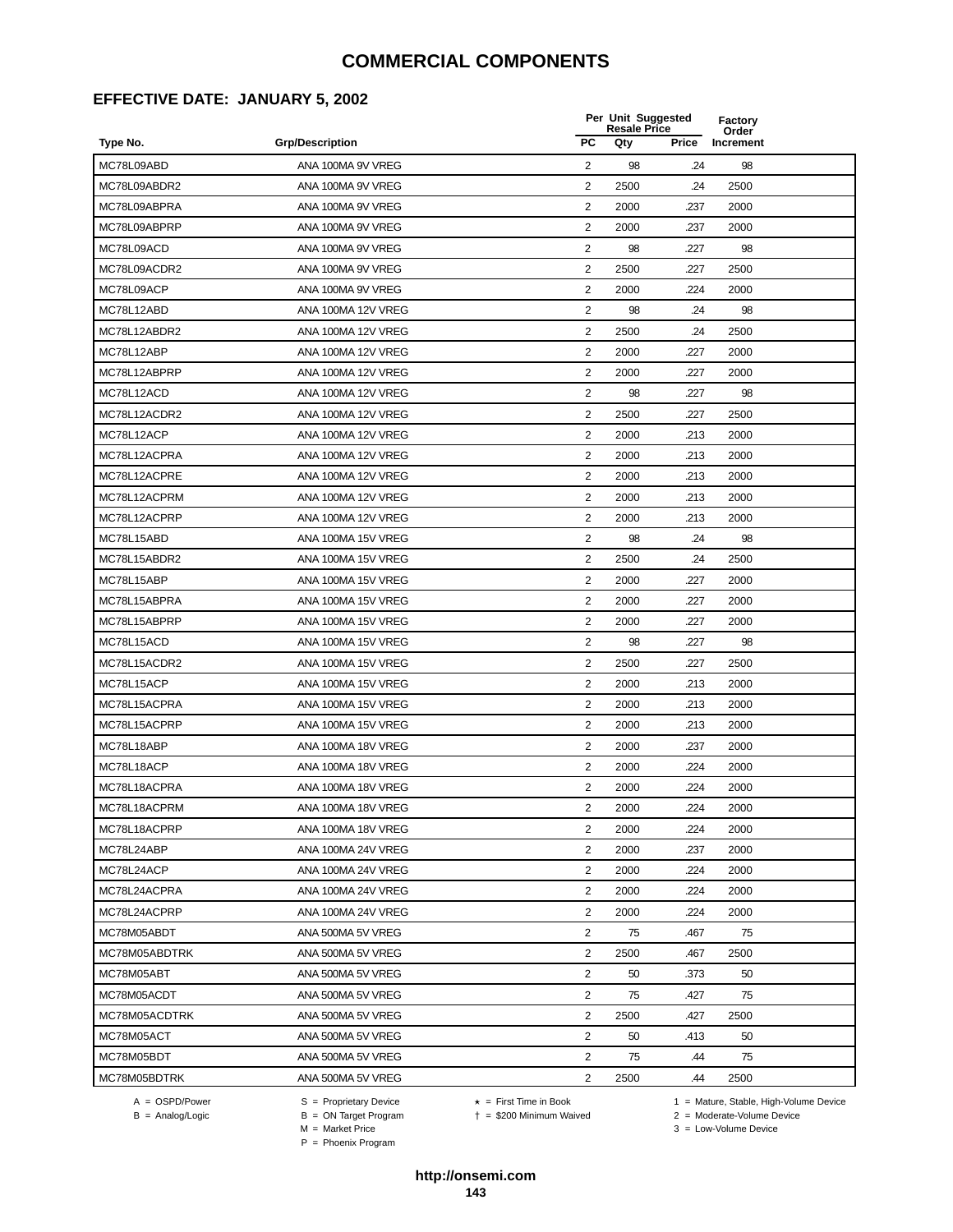#### **EFFECTIVE DATE: JANUARY 5, 2002**

| <b>PC</b><br>Qty<br>Increment<br>Type No.<br><b>Grp/Description</b><br>Price<br>MC78L09ABD<br>ANA 100MA 9V VREG<br>2<br>98<br>98<br>.24<br>2<br>2500<br>MC78L09ABDR2<br>ANA 100MA 9V VREG<br>2500<br>.24<br>2<br>MC78L09ABPRA<br>ANA 100MA 9V VREG<br>2000<br>.237<br>2000<br>$\overline{2}$<br>MC78L09ABPRP<br>ANA 100MA 9V VREG<br>2000<br>.237<br>2000<br>$\sqrt{2}$<br>MC78L09ACD<br>ANA 100MA 9V VREG<br>98<br>.227<br>98<br>2<br>MC78L09ACDR2<br>2500<br>ANA 100MA 9V VREG<br>2500<br>.227<br>MC78L09ACP<br>$\overline{2}$<br>.224<br>ANA 100MA 9V VREG<br>2000<br>2000<br>2<br>98<br>MC78L12ABD<br>ANA 100MA 12V VREG<br>.24<br>98<br>2<br>2500<br>MC78L12ABDR2<br>ANA 100MA 12V VREG<br>2500<br>.24<br>MC78L12ABP<br>$\overline{2}$<br>2000<br>ANA 100MA 12V VREG<br>2000<br>.227<br>MC78L12ABPRP<br>2<br>ANA 100MA 12V VREG<br>2000<br>.227<br>2000<br>$\overline{2}$<br>98<br>MC78L12ACD<br>ANA 100MA 12V VREG<br>.227<br>98<br>$\overline{2}$<br>MC78L12ACDR2<br>ANA 100MA 12V VREG<br>2500<br>.227<br>2500<br>$\overline{\mathbf{c}}$<br>MC78L12ACP<br>ANA 100MA 12V VREG<br>2000<br>.213<br>2000<br>MC78L12ACPRA<br>2<br>ANA 100MA 12V VREG<br>2000<br>.213<br>2000<br>MC78L12ACPRE<br>2<br>ANA 100MA 12V VREG<br>2000<br>.213<br>2000<br>MC78L12ACPRM<br>2<br>2000<br>ANA 100MA 12V VREG<br>2000<br>.213<br>MC78L12ACPRP<br>2<br>2000<br>ANA 100MA 12V VREG<br>2000<br>.213<br>MC78L15ABD<br>ANA 100MA 15V VREG<br>$\overline{2}$<br>98<br>98<br>.24<br>MC78L15ABDR2<br>ANA 100MA 15V VREG<br>2<br>2500<br>.24<br>2500<br>2<br>MC78L15ABP<br>ANA 100MA 15V VREG<br>2000<br>.227<br>2000<br>2<br>MC78L15ABPRA<br>ANA 100MA 15V VREG<br>2000<br>.227<br>2000<br>$\overline{c}$<br>MC78L15ABPRP<br>ANA 100MA 15V VREG<br>2000<br>.227<br>2000<br>MC78L15ACD<br>2<br>ANA 100MA 15V VREG<br>98<br>.227<br>98<br>MC78L15ACDR2<br>2<br>.227<br>2500<br>ANA 100MA 15V VREG<br>2500<br>2<br>MC78L15ACP<br>ANA 100MA 15V VREG<br>2000<br>.213<br>2000<br>2<br>2000<br>MC78L15ACPRA<br>ANA 100MA 15V VREG<br>2000<br>.213<br>MC78L15ACPRP<br>ANA 100MA 15V VREG<br>$\overline{2}$<br>2000<br>2000<br>.213<br>MC78L18ABP<br>ANA 100MA 18V VREG<br>2<br>2000<br>.237<br>2000<br>2<br>MC78L18ACP<br>ANA 100MA 18V VREG<br>2000<br>.224<br>2000<br>$\overline{2}$<br>MC78L18ACPRA<br>ANA 100MA 18V VREG<br>2000<br>.224<br>2000<br>$\overline{c}$<br>MC78L18ACPRM<br>2000<br>224<br>2000<br>ANA 100MA 18V VREG<br>2<br>MC78L18ACPRP<br>ANA 100MA 18V VREG<br>2000<br>.224<br>2000<br>MC78L24ABP<br>2<br>2000<br>.237<br>2000<br>ANA 100MA 24V VREG<br>$\overline{2}$<br>2000<br>.224<br>2000<br>MC78L24ACP<br>ANA 100MA 24V VREG<br>2<br>2000<br>.224<br>2000<br>MC78L24ACPRA<br>ANA 100MA 24V VREG<br>2<br>MC78L24ACPRP<br>2000<br>.224<br>2000<br>ANA 100MA 24V VREG<br>$\overline{2}$<br>75<br>.467<br>75<br>MC78M05ABDT<br>ANA 500MA 5V VREG<br>$\overline{2}$<br>MC78M05ABDTRK<br>2500<br>.467<br>2500<br>ANA 500MA 5V VREG<br>$\overline{2}$<br>50<br>MC78M05ABT<br>ANA 500MA 5V VREG<br>.373<br>50<br>$\overline{2}$<br>75<br>.427<br>MC78M05ACDT<br>ANA 500MA 5V VREG<br>75<br>2<br>MC78M05ACDTRK<br>2500<br>.427<br>2500<br>ANA 500MA 5V VREG<br>$\overline{2}$<br>50<br>50<br>MC78M05ACT<br>ANA 500MA 5V VREG<br>.413<br>$\overline{2}$<br>75<br>75<br>MC78M05BDT<br>ANA 500MA 5V VREG<br>.44<br>$\overline{c}$<br>MC78M05BDTRK<br>ANA 500MA 5V VREG<br>2500<br>2500<br>.44 |  | Per Unit Suggested<br><b>Resale Price</b> | Factory<br>Order |  |
|--------------------------------------------------------------------------------------------------------------------------------------------------------------------------------------------------------------------------------------------------------------------------------------------------------------------------------------------------------------------------------------------------------------------------------------------------------------------------------------------------------------------------------------------------------------------------------------------------------------------------------------------------------------------------------------------------------------------------------------------------------------------------------------------------------------------------------------------------------------------------------------------------------------------------------------------------------------------------------------------------------------------------------------------------------------------------------------------------------------------------------------------------------------------------------------------------------------------------------------------------------------------------------------------------------------------------------------------------------------------------------------------------------------------------------------------------------------------------------------------------------------------------------------------------------------------------------------------------------------------------------------------------------------------------------------------------------------------------------------------------------------------------------------------------------------------------------------------------------------------------------------------------------------------------------------------------------------------------------------------------------------------------------------------------------------------------------------------------------------------------------------------------------------------------------------------------------------------------------------------------------------------------------------------------------------------------------------------------------------------------------------------------------------------------------------------------------------------------------------------------------------------------------------------------------------------------------------------------------------------------------------------------------------------------------------------------------------------------------------------------------------------------------------------------------------------------------------------------------------------------------------------------------------------------------------------------------------------------------------------------------------------------------------------------------------------------------------------------------------------------------------------------------------------------------------------------------------------------------------------------------------------------------------------------------------------------------------------------------------------------------------|--|-------------------------------------------|------------------|--|
|                                                                                                                                                                                                                                                                                                                                                                                                                                                                                                                                                                                                                                                                                                                                                                                                                                                                                                                                                                                                                                                                                                                                                                                                                                                                                                                                                                                                                                                                                                                                                                                                                                                                                                                                                                                                                                                                                                                                                                                                                                                                                                                                                                                                                                                                                                                                                                                                                                                                                                                                                                                                                                                                                                                                                                                                                                                                                                                                                                                                                                                                                                                                                                                                                                                                                                                                                                                      |  |                                           |                  |  |
|                                                                                                                                                                                                                                                                                                                                                                                                                                                                                                                                                                                                                                                                                                                                                                                                                                                                                                                                                                                                                                                                                                                                                                                                                                                                                                                                                                                                                                                                                                                                                                                                                                                                                                                                                                                                                                                                                                                                                                                                                                                                                                                                                                                                                                                                                                                                                                                                                                                                                                                                                                                                                                                                                                                                                                                                                                                                                                                                                                                                                                                                                                                                                                                                                                                                                                                                                                                      |  |                                           |                  |  |
|                                                                                                                                                                                                                                                                                                                                                                                                                                                                                                                                                                                                                                                                                                                                                                                                                                                                                                                                                                                                                                                                                                                                                                                                                                                                                                                                                                                                                                                                                                                                                                                                                                                                                                                                                                                                                                                                                                                                                                                                                                                                                                                                                                                                                                                                                                                                                                                                                                                                                                                                                                                                                                                                                                                                                                                                                                                                                                                                                                                                                                                                                                                                                                                                                                                                                                                                                                                      |  |                                           |                  |  |
|                                                                                                                                                                                                                                                                                                                                                                                                                                                                                                                                                                                                                                                                                                                                                                                                                                                                                                                                                                                                                                                                                                                                                                                                                                                                                                                                                                                                                                                                                                                                                                                                                                                                                                                                                                                                                                                                                                                                                                                                                                                                                                                                                                                                                                                                                                                                                                                                                                                                                                                                                                                                                                                                                                                                                                                                                                                                                                                                                                                                                                                                                                                                                                                                                                                                                                                                                                                      |  |                                           |                  |  |
|                                                                                                                                                                                                                                                                                                                                                                                                                                                                                                                                                                                                                                                                                                                                                                                                                                                                                                                                                                                                                                                                                                                                                                                                                                                                                                                                                                                                                                                                                                                                                                                                                                                                                                                                                                                                                                                                                                                                                                                                                                                                                                                                                                                                                                                                                                                                                                                                                                                                                                                                                                                                                                                                                                                                                                                                                                                                                                                                                                                                                                                                                                                                                                                                                                                                                                                                                                                      |  |                                           |                  |  |
|                                                                                                                                                                                                                                                                                                                                                                                                                                                                                                                                                                                                                                                                                                                                                                                                                                                                                                                                                                                                                                                                                                                                                                                                                                                                                                                                                                                                                                                                                                                                                                                                                                                                                                                                                                                                                                                                                                                                                                                                                                                                                                                                                                                                                                                                                                                                                                                                                                                                                                                                                                                                                                                                                                                                                                                                                                                                                                                                                                                                                                                                                                                                                                                                                                                                                                                                                                                      |  |                                           |                  |  |
|                                                                                                                                                                                                                                                                                                                                                                                                                                                                                                                                                                                                                                                                                                                                                                                                                                                                                                                                                                                                                                                                                                                                                                                                                                                                                                                                                                                                                                                                                                                                                                                                                                                                                                                                                                                                                                                                                                                                                                                                                                                                                                                                                                                                                                                                                                                                                                                                                                                                                                                                                                                                                                                                                                                                                                                                                                                                                                                                                                                                                                                                                                                                                                                                                                                                                                                                                                                      |  |                                           |                  |  |
|                                                                                                                                                                                                                                                                                                                                                                                                                                                                                                                                                                                                                                                                                                                                                                                                                                                                                                                                                                                                                                                                                                                                                                                                                                                                                                                                                                                                                                                                                                                                                                                                                                                                                                                                                                                                                                                                                                                                                                                                                                                                                                                                                                                                                                                                                                                                                                                                                                                                                                                                                                                                                                                                                                                                                                                                                                                                                                                                                                                                                                                                                                                                                                                                                                                                                                                                                                                      |  |                                           |                  |  |
|                                                                                                                                                                                                                                                                                                                                                                                                                                                                                                                                                                                                                                                                                                                                                                                                                                                                                                                                                                                                                                                                                                                                                                                                                                                                                                                                                                                                                                                                                                                                                                                                                                                                                                                                                                                                                                                                                                                                                                                                                                                                                                                                                                                                                                                                                                                                                                                                                                                                                                                                                                                                                                                                                                                                                                                                                                                                                                                                                                                                                                                                                                                                                                                                                                                                                                                                                                                      |  |                                           |                  |  |
|                                                                                                                                                                                                                                                                                                                                                                                                                                                                                                                                                                                                                                                                                                                                                                                                                                                                                                                                                                                                                                                                                                                                                                                                                                                                                                                                                                                                                                                                                                                                                                                                                                                                                                                                                                                                                                                                                                                                                                                                                                                                                                                                                                                                                                                                                                                                                                                                                                                                                                                                                                                                                                                                                                                                                                                                                                                                                                                                                                                                                                                                                                                                                                                                                                                                                                                                                                                      |  |                                           |                  |  |
|                                                                                                                                                                                                                                                                                                                                                                                                                                                                                                                                                                                                                                                                                                                                                                                                                                                                                                                                                                                                                                                                                                                                                                                                                                                                                                                                                                                                                                                                                                                                                                                                                                                                                                                                                                                                                                                                                                                                                                                                                                                                                                                                                                                                                                                                                                                                                                                                                                                                                                                                                                                                                                                                                                                                                                                                                                                                                                                                                                                                                                                                                                                                                                                                                                                                                                                                                                                      |  |                                           |                  |  |
|                                                                                                                                                                                                                                                                                                                                                                                                                                                                                                                                                                                                                                                                                                                                                                                                                                                                                                                                                                                                                                                                                                                                                                                                                                                                                                                                                                                                                                                                                                                                                                                                                                                                                                                                                                                                                                                                                                                                                                                                                                                                                                                                                                                                                                                                                                                                                                                                                                                                                                                                                                                                                                                                                                                                                                                                                                                                                                                                                                                                                                                                                                                                                                                                                                                                                                                                                                                      |  |                                           |                  |  |
|                                                                                                                                                                                                                                                                                                                                                                                                                                                                                                                                                                                                                                                                                                                                                                                                                                                                                                                                                                                                                                                                                                                                                                                                                                                                                                                                                                                                                                                                                                                                                                                                                                                                                                                                                                                                                                                                                                                                                                                                                                                                                                                                                                                                                                                                                                                                                                                                                                                                                                                                                                                                                                                                                                                                                                                                                                                                                                                                                                                                                                                                                                                                                                                                                                                                                                                                                                                      |  |                                           |                  |  |
|                                                                                                                                                                                                                                                                                                                                                                                                                                                                                                                                                                                                                                                                                                                                                                                                                                                                                                                                                                                                                                                                                                                                                                                                                                                                                                                                                                                                                                                                                                                                                                                                                                                                                                                                                                                                                                                                                                                                                                                                                                                                                                                                                                                                                                                                                                                                                                                                                                                                                                                                                                                                                                                                                                                                                                                                                                                                                                                                                                                                                                                                                                                                                                                                                                                                                                                                                                                      |  |                                           |                  |  |
|                                                                                                                                                                                                                                                                                                                                                                                                                                                                                                                                                                                                                                                                                                                                                                                                                                                                                                                                                                                                                                                                                                                                                                                                                                                                                                                                                                                                                                                                                                                                                                                                                                                                                                                                                                                                                                                                                                                                                                                                                                                                                                                                                                                                                                                                                                                                                                                                                                                                                                                                                                                                                                                                                                                                                                                                                                                                                                                                                                                                                                                                                                                                                                                                                                                                                                                                                                                      |  |                                           |                  |  |
|                                                                                                                                                                                                                                                                                                                                                                                                                                                                                                                                                                                                                                                                                                                                                                                                                                                                                                                                                                                                                                                                                                                                                                                                                                                                                                                                                                                                                                                                                                                                                                                                                                                                                                                                                                                                                                                                                                                                                                                                                                                                                                                                                                                                                                                                                                                                                                                                                                                                                                                                                                                                                                                                                                                                                                                                                                                                                                                                                                                                                                                                                                                                                                                                                                                                                                                                                                                      |  |                                           |                  |  |
|                                                                                                                                                                                                                                                                                                                                                                                                                                                                                                                                                                                                                                                                                                                                                                                                                                                                                                                                                                                                                                                                                                                                                                                                                                                                                                                                                                                                                                                                                                                                                                                                                                                                                                                                                                                                                                                                                                                                                                                                                                                                                                                                                                                                                                                                                                                                                                                                                                                                                                                                                                                                                                                                                                                                                                                                                                                                                                                                                                                                                                                                                                                                                                                                                                                                                                                                                                                      |  |                                           |                  |  |
|                                                                                                                                                                                                                                                                                                                                                                                                                                                                                                                                                                                                                                                                                                                                                                                                                                                                                                                                                                                                                                                                                                                                                                                                                                                                                                                                                                                                                                                                                                                                                                                                                                                                                                                                                                                                                                                                                                                                                                                                                                                                                                                                                                                                                                                                                                                                                                                                                                                                                                                                                                                                                                                                                                                                                                                                                                                                                                                                                                                                                                                                                                                                                                                                                                                                                                                                                                                      |  |                                           |                  |  |
|                                                                                                                                                                                                                                                                                                                                                                                                                                                                                                                                                                                                                                                                                                                                                                                                                                                                                                                                                                                                                                                                                                                                                                                                                                                                                                                                                                                                                                                                                                                                                                                                                                                                                                                                                                                                                                                                                                                                                                                                                                                                                                                                                                                                                                                                                                                                                                                                                                                                                                                                                                                                                                                                                                                                                                                                                                                                                                                                                                                                                                                                                                                                                                                                                                                                                                                                                                                      |  |                                           |                  |  |
|                                                                                                                                                                                                                                                                                                                                                                                                                                                                                                                                                                                                                                                                                                                                                                                                                                                                                                                                                                                                                                                                                                                                                                                                                                                                                                                                                                                                                                                                                                                                                                                                                                                                                                                                                                                                                                                                                                                                                                                                                                                                                                                                                                                                                                                                                                                                                                                                                                                                                                                                                                                                                                                                                                                                                                                                                                                                                                                                                                                                                                                                                                                                                                                                                                                                                                                                                                                      |  |                                           |                  |  |
|                                                                                                                                                                                                                                                                                                                                                                                                                                                                                                                                                                                                                                                                                                                                                                                                                                                                                                                                                                                                                                                                                                                                                                                                                                                                                                                                                                                                                                                                                                                                                                                                                                                                                                                                                                                                                                                                                                                                                                                                                                                                                                                                                                                                                                                                                                                                                                                                                                                                                                                                                                                                                                                                                                                                                                                                                                                                                                                                                                                                                                                                                                                                                                                                                                                                                                                                                                                      |  |                                           |                  |  |
|                                                                                                                                                                                                                                                                                                                                                                                                                                                                                                                                                                                                                                                                                                                                                                                                                                                                                                                                                                                                                                                                                                                                                                                                                                                                                                                                                                                                                                                                                                                                                                                                                                                                                                                                                                                                                                                                                                                                                                                                                                                                                                                                                                                                                                                                                                                                                                                                                                                                                                                                                                                                                                                                                                                                                                                                                                                                                                                                                                                                                                                                                                                                                                                                                                                                                                                                                                                      |  |                                           |                  |  |
|                                                                                                                                                                                                                                                                                                                                                                                                                                                                                                                                                                                                                                                                                                                                                                                                                                                                                                                                                                                                                                                                                                                                                                                                                                                                                                                                                                                                                                                                                                                                                                                                                                                                                                                                                                                                                                                                                                                                                                                                                                                                                                                                                                                                                                                                                                                                                                                                                                                                                                                                                                                                                                                                                                                                                                                                                                                                                                                                                                                                                                                                                                                                                                                                                                                                                                                                                                                      |  |                                           |                  |  |
|                                                                                                                                                                                                                                                                                                                                                                                                                                                                                                                                                                                                                                                                                                                                                                                                                                                                                                                                                                                                                                                                                                                                                                                                                                                                                                                                                                                                                                                                                                                                                                                                                                                                                                                                                                                                                                                                                                                                                                                                                                                                                                                                                                                                                                                                                                                                                                                                                                                                                                                                                                                                                                                                                                                                                                                                                                                                                                                                                                                                                                                                                                                                                                                                                                                                                                                                                                                      |  |                                           |                  |  |
|                                                                                                                                                                                                                                                                                                                                                                                                                                                                                                                                                                                                                                                                                                                                                                                                                                                                                                                                                                                                                                                                                                                                                                                                                                                                                                                                                                                                                                                                                                                                                                                                                                                                                                                                                                                                                                                                                                                                                                                                                                                                                                                                                                                                                                                                                                                                                                                                                                                                                                                                                                                                                                                                                                                                                                                                                                                                                                                                                                                                                                                                                                                                                                                                                                                                                                                                                                                      |  |                                           |                  |  |
|                                                                                                                                                                                                                                                                                                                                                                                                                                                                                                                                                                                                                                                                                                                                                                                                                                                                                                                                                                                                                                                                                                                                                                                                                                                                                                                                                                                                                                                                                                                                                                                                                                                                                                                                                                                                                                                                                                                                                                                                                                                                                                                                                                                                                                                                                                                                                                                                                                                                                                                                                                                                                                                                                                                                                                                                                                                                                                                                                                                                                                                                                                                                                                                                                                                                                                                                                                                      |  |                                           |                  |  |
|                                                                                                                                                                                                                                                                                                                                                                                                                                                                                                                                                                                                                                                                                                                                                                                                                                                                                                                                                                                                                                                                                                                                                                                                                                                                                                                                                                                                                                                                                                                                                                                                                                                                                                                                                                                                                                                                                                                                                                                                                                                                                                                                                                                                                                                                                                                                                                                                                                                                                                                                                                                                                                                                                                                                                                                                                                                                                                                                                                                                                                                                                                                                                                                                                                                                                                                                                                                      |  |                                           |                  |  |
|                                                                                                                                                                                                                                                                                                                                                                                                                                                                                                                                                                                                                                                                                                                                                                                                                                                                                                                                                                                                                                                                                                                                                                                                                                                                                                                                                                                                                                                                                                                                                                                                                                                                                                                                                                                                                                                                                                                                                                                                                                                                                                                                                                                                                                                                                                                                                                                                                                                                                                                                                                                                                                                                                                                                                                                                                                                                                                                                                                                                                                                                                                                                                                                                                                                                                                                                                                                      |  |                                           |                  |  |
|                                                                                                                                                                                                                                                                                                                                                                                                                                                                                                                                                                                                                                                                                                                                                                                                                                                                                                                                                                                                                                                                                                                                                                                                                                                                                                                                                                                                                                                                                                                                                                                                                                                                                                                                                                                                                                                                                                                                                                                                                                                                                                                                                                                                                                                                                                                                                                                                                                                                                                                                                                                                                                                                                                                                                                                                                                                                                                                                                                                                                                                                                                                                                                                                                                                                                                                                                                                      |  |                                           |                  |  |
|                                                                                                                                                                                                                                                                                                                                                                                                                                                                                                                                                                                                                                                                                                                                                                                                                                                                                                                                                                                                                                                                                                                                                                                                                                                                                                                                                                                                                                                                                                                                                                                                                                                                                                                                                                                                                                                                                                                                                                                                                                                                                                                                                                                                                                                                                                                                                                                                                                                                                                                                                                                                                                                                                                                                                                                                                                                                                                                                                                                                                                                                                                                                                                                                                                                                                                                                                                                      |  |                                           |                  |  |
|                                                                                                                                                                                                                                                                                                                                                                                                                                                                                                                                                                                                                                                                                                                                                                                                                                                                                                                                                                                                                                                                                                                                                                                                                                                                                                                                                                                                                                                                                                                                                                                                                                                                                                                                                                                                                                                                                                                                                                                                                                                                                                                                                                                                                                                                                                                                                                                                                                                                                                                                                                                                                                                                                                                                                                                                                                                                                                                                                                                                                                                                                                                                                                                                                                                                                                                                                                                      |  |                                           |                  |  |
|                                                                                                                                                                                                                                                                                                                                                                                                                                                                                                                                                                                                                                                                                                                                                                                                                                                                                                                                                                                                                                                                                                                                                                                                                                                                                                                                                                                                                                                                                                                                                                                                                                                                                                                                                                                                                                                                                                                                                                                                                                                                                                                                                                                                                                                                                                                                                                                                                                                                                                                                                                                                                                                                                                                                                                                                                                                                                                                                                                                                                                                                                                                                                                                                                                                                                                                                                                                      |  |                                           |                  |  |
|                                                                                                                                                                                                                                                                                                                                                                                                                                                                                                                                                                                                                                                                                                                                                                                                                                                                                                                                                                                                                                                                                                                                                                                                                                                                                                                                                                                                                                                                                                                                                                                                                                                                                                                                                                                                                                                                                                                                                                                                                                                                                                                                                                                                                                                                                                                                                                                                                                                                                                                                                                                                                                                                                                                                                                                                                                                                                                                                                                                                                                                                                                                                                                                                                                                                                                                                                                                      |  |                                           |                  |  |
|                                                                                                                                                                                                                                                                                                                                                                                                                                                                                                                                                                                                                                                                                                                                                                                                                                                                                                                                                                                                                                                                                                                                                                                                                                                                                                                                                                                                                                                                                                                                                                                                                                                                                                                                                                                                                                                                                                                                                                                                                                                                                                                                                                                                                                                                                                                                                                                                                                                                                                                                                                                                                                                                                                                                                                                                                                                                                                                                                                                                                                                                                                                                                                                                                                                                                                                                                                                      |  |                                           |                  |  |
|                                                                                                                                                                                                                                                                                                                                                                                                                                                                                                                                                                                                                                                                                                                                                                                                                                                                                                                                                                                                                                                                                                                                                                                                                                                                                                                                                                                                                                                                                                                                                                                                                                                                                                                                                                                                                                                                                                                                                                                                                                                                                                                                                                                                                                                                                                                                                                                                                                                                                                                                                                                                                                                                                                                                                                                                                                                                                                                                                                                                                                                                                                                                                                                                                                                                                                                                                                                      |  |                                           |                  |  |
|                                                                                                                                                                                                                                                                                                                                                                                                                                                                                                                                                                                                                                                                                                                                                                                                                                                                                                                                                                                                                                                                                                                                                                                                                                                                                                                                                                                                                                                                                                                                                                                                                                                                                                                                                                                                                                                                                                                                                                                                                                                                                                                                                                                                                                                                                                                                                                                                                                                                                                                                                                                                                                                                                                                                                                                                                                                                                                                                                                                                                                                                                                                                                                                                                                                                                                                                                                                      |  |                                           |                  |  |
|                                                                                                                                                                                                                                                                                                                                                                                                                                                                                                                                                                                                                                                                                                                                                                                                                                                                                                                                                                                                                                                                                                                                                                                                                                                                                                                                                                                                                                                                                                                                                                                                                                                                                                                                                                                                                                                                                                                                                                                                                                                                                                                                                                                                                                                                                                                                                                                                                                                                                                                                                                                                                                                                                                                                                                                                                                                                                                                                                                                                                                                                                                                                                                                                                                                                                                                                                                                      |  |                                           |                  |  |
|                                                                                                                                                                                                                                                                                                                                                                                                                                                                                                                                                                                                                                                                                                                                                                                                                                                                                                                                                                                                                                                                                                                                                                                                                                                                                                                                                                                                                                                                                                                                                                                                                                                                                                                                                                                                                                                                                                                                                                                                                                                                                                                                                                                                                                                                                                                                                                                                                                                                                                                                                                                                                                                                                                                                                                                                                                                                                                                                                                                                                                                                                                                                                                                                                                                                                                                                                                                      |  |                                           |                  |  |
|                                                                                                                                                                                                                                                                                                                                                                                                                                                                                                                                                                                                                                                                                                                                                                                                                                                                                                                                                                                                                                                                                                                                                                                                                                                                                                                                                                                                                                                                                                                                                                                                                                                                                                                                                                                                                                                                                                                                                                                                                                                                                                                                                                                                                                                                                                                                                                                                                                                                                                                                                                                                                                                                                                                                                                                                                                                                                                                                                                                                                                                                                                                                                                                                                                                                                                                                                                                      |  |                                           |                  |  |
|                                                                                                                                                                                                                                                                                                                                                                                                                                                                                                                                                                                                                                                                                                                                                                                                                                                                                                                                                                                                                                                                                                                                                                                                                                                                                                                                                                                                                                                                                                                                                                                                                                                                                                                                                                                                                                                                                                                                                                                                                                                                                                                                                                                                                                                                                                                                                                                                                                                                                                                                                                                                                                                                                                                                                                                                                                                                                                                                                                                                                                                                                                                                                                                                                                                                                                                                                                                      |  |                                           |                  |  |
|                                                                                                                                                                                                                                                                                                                                                                                                                                                                                                                                                                                                                                                                                                                                                                                                                                                                                                                                                                                                                                                                                                                                                                                                                                                                                                                                                                                                                                                                                                                                                                                                                                                                                                                                                                                                                                                                                                                                                                                                                                                                                                                                                                                                                                                                                                                                                                                                                                                                                                                                                                                                                                                                                                                                                                                                                                                                                                                                                                                                                                                                                                                                                                                                                                                                                                                                                                                      |  |                                           |                  |  |
|                                                                                                                                                                                                                                                                                                                                                                                                                                                                                                                                                                                                                                                                                                                                                                                                                                                                                                                                                                                                                                                                                                                                                                                                                                                                                                                                                                                                                                                                                                                                                                                                                                                                                                                                                                                                                                                                                                                                                                                                                                                                                                                                                                                                                                                                                                                                                                                                                                                                                                                                                                                                                                                                                                                                                                                                                                                                                                                                                                                                                                                                                                                                                                                                                                                                                                                                                                                      |  |                                           |                  |  |
|                                                                                                                                                                                                                                                                                                                                                                                                                                                                                                                                                                                                                                                                                                                                                                                                                                                                                                                                                                                                                                                                                                                                                                                                                                                                                                                                                                                                                                                                                                                                                                                                                                                                                                                                                                                                                                                                                                                                                                                                                                                                                                                                                                                                                                                                                                                                                                                                                                                                                                                                                                                                                                                                                                                                                                                                                                                                                                                                                                                                                                                                                                                                                                                                                                                                                                                                                                                      |  |                                           |                  |  |
|                                                                                                                                                                                                                                                                                                                                                                                                                                                                                                                                                                                                                                                                                                                                                                                                                                                                                                                                                                                                                                                                                                                                                                                                                                                                                                                                                                                                                                                                                                                                                                                                                                                                                                                                                                                                                                                                                                                                                                                                                                                                                                                                                                                                                                                                                                                                                                                                                                                                                                                                                                                                                                                                                                                                                                                                                                                                                                                                                                                                                                                                                                                                                                                                                                                                                                                                                                                      |  |                                           |                  |  |
|                                                                                                                                                                                                                                                                                                                                                                                                                                                                                                                                                                                                                                                                                                                                                                                                                                                                                                                                                                                                                                                                                                                                                                                                                                                                                                                                                                                                                                                                                                                                                                                                                                                                                                                                                                                                                                                                                                                                                                                                                                                                                                                                                                                                                                                                                                                                                                                                                                                                                                                                                                                                                                                                                                                                                                                                                                                                                                                                                                                                                                                                                                                                                                                                                                                                                                                                                                                      |  |                                           |                  |  |
|                                                                                                                                                                                                                                                                                                                                                                                                                                                                                                                                                                                                                                                                                                                                                                                                                                                                                                                                                                                                                                                                                                                                                                                                                                                                                                                                                                                                                                                                                                                                                                                                                                                                                                                                                                                                                                                                                                                                                                                                                                                                                                                                                                                                                                                                                                                                                                                                                                                                                                                                                                                                                                                                                                                                                                                                                                                                                                                                                                                                                                                                                                                                                                                                                                                                                                                                                                                      |  |                                           |                  |  |

B = Analog/Logic<br>B = Analog/Logic<br>M = Market Price

A = OSPD/Power S = Proprietary Device  $\star$  = First Time in Book 1 = Mature, Stable, High-Volume Device

 = \$200 Minimum Waived 2 = Moderate-Volume Device  $3 =$  Low-Volume Device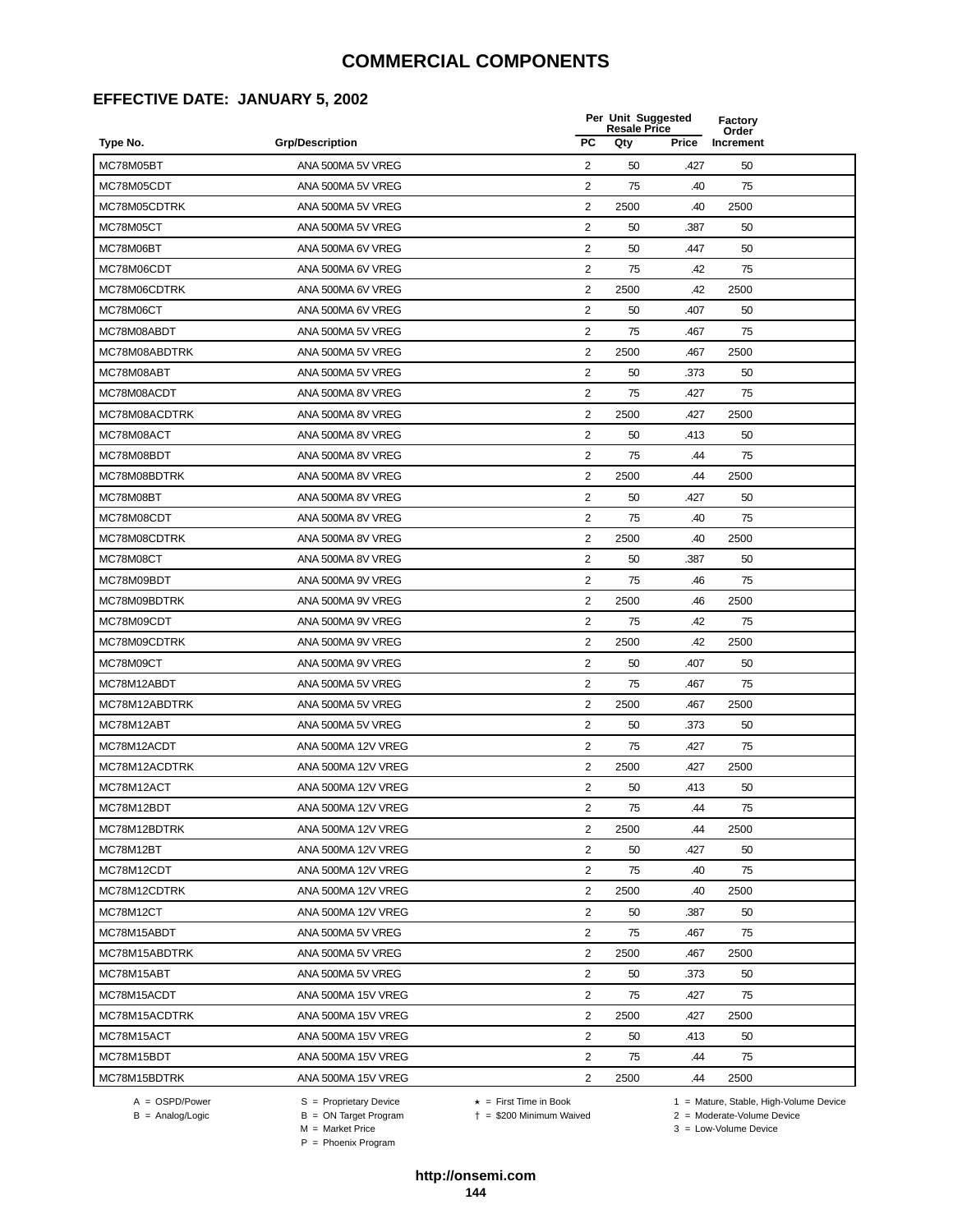#### **EFFECTIVE DATE: JANUARY 5, 2002**

| <b>PC</b><br>Type No.<br><b>Grp/Description</b><br>Qty<br>Price<br>Increment<br>MC78M05BT<br>ANA 500MA 5V VREG<br>2<br>50<br>.427<br>50<br>75<br>MC78M05CDT<br>ANA 500MA 5V VREG<br>2<br>.40<br>75<br>$\overline{2}$<br>2500<br>.40<br>2500<br>MC78M05CDTRK<br>ANA 500MA 5V VREG<br>$\overline{2}$<br>MC78M05CT<br>ANA 500MA 5V VREG<br>50<br>.387<br>50<br>$\sqrt{2}$<br>MC78M06BT<br>50<br>ANA 500MA 6V VREG<br>.447<br>50<br>MC78M06CDT<br>2<br>75<br>75<br>ANA 500MA 6V VREG<br>.42<br>$\overline{2}$<br>2500<br>.42<br>2500<br>MC78M06CDTRK<br>ANA 500MA 6V VREG<br>MC78M06CT<br>$\overline{2}$<br>ANA 500MA 6V VREG<br>50<br>.407<br>50<br>$\overline{2}$<br>MC78M08ABDT<br>ANA 500MA 5V VREG<br>75<br>.467<br>75<br>MC78M08ABDTRK<br>ANA 500MA 5V VREG<br>$\overline{2}$<br>2500<br>2500<br>.467<br>2<br>MC78M08ABT<br>ANA 500MA 5V VREG<br>50<br>.373<br>50<br>$\overline{2}$<br>75<br>75<br>MC78M08ACDT<br>ANA 500MA 8V VREG<br>.427<br>2<br>MC78M08ACDTRK<br>ANA 500MA 8V VREG<br>2500<br>.427<br>2500<br>$\sqrt{2}$<br>MC78M08ACT<br>ANA 500MA 8V VREG<br>50<br>.413<br>50<br>MC78M08BDT<br>2<br>75<br>75<br>ANA 500MA 8V VREG<br>.44<br>$\overline{2}$<br>2500<br>2500<br>MC78M08BDTRK<br>ANA 500MA 8V VREG<br>.44<br>$\overline{2}$<br>MC78M08BT<br>ANA 500MA 8V VREG<br>50<br>.427<br>50<br>MC78M08CDT<br>$\overline{2}$<br>ANA 500MA 8V VREG<br>75<br>.40<br>75<br>MC78M08CDTRK<br>ANA 500MA 8V VREG<br>$\overline{2}$<br>2500<br>2500<br>.40<br>2<br>MC78M08CT<br>ANA 500MA 8V VREG<br>50<br>.387<br>50<br>$\overline{2}$<br>75<br>75<br>MC78M09BDT<br>ANA 500MA 9V VREG<br>.46<br>2<br>MC78M09BDTRK<br>ANA 500MA 9V VREG<br>2500<br>.46<br>2500<br>$\overline{2}$<br>MC78M09CDT<br>75<br>ANA 500MA 9V VREG<br>75<br>.42<br>$\overline{2}$<br>MC78M09CDTRK<br>2500<br>2500<br>ANA 500MA 9V VREG<br>.42<br>$\overline{2}$<br>50<br>.407<br>50<br>MC78M09CT<br>ANA 500MA 9V VREG<br>$\overline{2}$<br>75<br>MC78M12ABDT<br>ANA 500MA 5V VREG<br>75<br>.467<br>MC78M12ABDTRK<br>$\overline{2}$<br>2500<br>ANA 500MA 5V VREG<br>2500<br>.467<br>MC78M12ABT<br>ANA 500MA 5V VREG<br>$\overline{2}$<br>50<br>.373<br>50<br>75<br>MC78M12ACDT<br>ANA 500MA 12V VREG<br>2<br>.427<br>75<br>$\overline{2}$<br>2500<br>2500<br>MC78M12ACDTRK<br>ANA 500MA 12V VREG<br>.427<br>$\overline{2}$<br>MC78M12ACT<br>ANA 500MA 12V VREG<br>50<br>.413<br>50<br>MC78M12BDT<br>2<br>75<br>75<br>.44<br>ANA 500MA 12V VREG<br>$\overline{2}$<br>MC78M12BDTRK<br>ANA 500MA 12V VREG<br>2500<br>.44<br>2500<br>2<br>50<br>.427<br>50<br>MC78M12BT<br>ANA 500MA 12V VREG<br>$\overline{2}$<br>75<br>75<br>MC78M12CDT<br>ANA 500MA 12V VREG<br>.40<br>2<br>MC78M12CDTRK<br>2500<br>.40<br>2500<br>ANA 500MA 12V VREG<br>$\overline{2}$<br>MC78M12CT<br>50<br>.387<br>50<br>ANA 500MA 12V VREG<br>$\overline{2}$<br>75<br>.467<br>75<br>MC78M15ABDT<br>ANA 500MA 5V VREG<br>$\overline{2}$<br>MC78M15ABDTRK<br>2500<br>.467<br>2500<br>ANA 500MA 5V VREG<br>$\overline{2}$<br>50<br>MC78M15ABT<br>ANA 500MA 5V VREG<br>.373<br>50<br>2<br>75<br>.427<br>MC78M15ACDT<br>ANA 500MA 15V VREG<br>75<br>2<br>MC78M15ACDTRK<br>2500<br>.427<br>2500<br>ANA 500MA 15V VREG<br>2<br>50<br>50<br>MC78M15ACT<br>ANA 500MA 15V VREG<br>.413<br>$\overline{2}$<br>75<br>75<br>MC78M15BDT<br>ANA 500MA 15V VREG<br>.44<br>$\overline{2}$<br>MC78M15BDTRK<br>2500<br>2500<br>ANA 500MA 15V VREG<br>.44 |  | Per Unit Suggested<br><b>Resale Price</b> | Factory<br>Order |  |
|---------------------------------------------------------------------------------------------------------------------------------------------------------------------------------------------------------------------------------------------------------------------------------------------------------------------------------------------------------------------------------------------------------------------------------------------------------------------------------------------------------------------------------------------------------------------------------------------------------------------------------------------------------------------------------------------------------------------------------------------------------------------------------------------------------------------------------------------------------------------------------------------------------------------------------------------------------------------------------------------------------------------------------------------------------------------------------------------------------------------------------------------------------------------------------------------------------------------------------------------------------------------------------------------------------------------------------------------------------------------------------------------------------------------------------------------------------------------------------------------------------------------------------------------------------------------------------------------------------------------------------------------------------------------------------------------------------------------------------------------------------------------------------------------------------------------------------------------------------------------------------------------------------------------------------------------------------------------------------------------------------------------------------------------------------------------------------------------------------------------------------------------------------------------------------------------------------------------------------------------------------------------------------------------------------------------------------------------------------------------------------------------------------------------------------------------------------------------------------------------------------------------------------------------------------------------------------------------------------------------------------------------------------------------------------------------------------------------------------------------------------------------------------------------------------------------------------------------------------------------------------------------------------------------------------------------------------------------------------------------------------------------------------------------------------------------------------------------------------------------------------------------------------------------------------------------------------------------------------------------------------------------------------------------------------------------------------------------------------------------------------|--|-------------------------------------------|------------------|--|
|                                                                                                                                                                                                                                                                                                                                                                                                                                                                                                                                                                                                                                                                                                                                                                                                                                                                                                                                                                                                                                                                                                                                                                                                                                                                                                                                                                                                                                                                                                                                                                                                                                                                                                                                                                                                                                                                                                                                                                                                                                                                                                                                                                                                                                                                                                                                                                                                                                                                                                                                                                                                                                                                                                                                                                                                                                                                                                                                                                                                                                                                                                                                                                                                                                                                                                                                                                                 |  |                                           |                  |  |
|                                                                                                                                                                                                                                                                                                                                                                                                                                                                                                                                                                                                                                                                                                                                                                                                                                                                                                                                                                                                                                                                                                                                                                                                                                                                                                                                                                                                                                                                                                                                                                                                                                                                                                                                                                                                                                                                                                                                                                                                                                                                                                                                                                                                                                                                                                                                                                                                                                                                                                                                                                                                                                                                                                                                                                                                                                                                                                                                                                                                                                                                                                                                                                                                                                                                                                                                                                                 |  |                                           |                  |  |
|                                                                                                                                                                                                                                                                                                                                                                                                                                                                                                                                                                                                                                                                                                                                                                                                                                                                                                                                                                                                                                                                                                                                                                                                                                                                                                                                                                                                                                                                                                                                                                                                                                                                                                                                                                                                                                                                                                                                                                                                                                                                                                                                                                                                                                                                                                                                                                                                                                                                                                                                                                                                                                                                                                                                                                                                                                                                                                                                                                                                                                                                                                                                                                                                                                                                                                                                                                                 |  |                                           |                  |  |
|                                                                                                                                                                                                                                                                                                                                                                                                                                                                                                                                                                                                                                                                                                                                                                                                                                                                                                                                                                                                                                                                                                                                                                                                                                                                                                                                                                                                                                                                                                                                                                                                                                                                                                                                                                                                                                                                                                                                                                                                                                                                                                                                                                                                                                                                                                                                                                                                                                                                                                                                                                                                                                                                                                                                                                                                                                                                                                                                                                                                                                                                                                                                                                                                                                                                                                                                                                                 |  |                                           |                  |  |
|                                                                                                                                                                                                                                                                                                                                                                                                                                                                                                                                                                                                                                                                                                                                                                                                                                                                                                                                                                                                                                                                                                                                                                                                                                                                                                                                                                                                                                                                                                                                                                                                                                                                                                                                                                                                                                                                                                                                                                                                                                                                                                                                                                                                                                                                                                                                                                                                                                                                                                                                                                                                                                                                                                                                                                                                                                                                                                                                                                                                                                                                                                                                                                                                                                                                                                                                                                                 |  |                                           |                  |  |
|                                                                                                                                                                                                                                                                                                                                                                                                                                                                                                                                                                                                                                                                                                                                                                                                                                                                                                                                                                                                                                                                                                                                                                                                                                                                                                                                                                                                                                                                                                                                                                                                                                                                                                                                                                                                                                                                                                                                                                                                                                                                                                                                                                                                                                                                                                                                                                                                                                                                                                                                                                                                                                                                                                                                                                                                                                                                                                                                                                                                                                                                                                                                                                                                                                                                                                                                                                                 |  |                                           |                  |  |
|                                                                                                                                                                                                                                                                                                                                                                                                                                                                                                                                                                                                                                                                                                                                                                                                                                                                                                                                                                                                                                                                                                                                                                                                                                                                                                                                                                                                                                                                                                                                                                                                                                                                                                                                                                                                                                                                                                                                                                                                                                                                                                                                                                                                                                                                                                                                                                                                                                                                                                                                                                                                                                                                                                                                                                                                                                                                                                                                                                                                                                                                                                                                                                                                                                                                                                                                                                                 |  |                                           |                  |  |
|                                                                                                                                                                                                                                                                                                                                                                                                                                                                                                                                                                                                                                                                                                                                                                                                                                                                                                                                                                                                                                                                                                                                                                                                                                                                                                                                                                                                                                                                                                                                                                                                                                                                                                                                                                                                                                                                                                                                                                                                                                                                                                                                                                                                                                                                                                                                                                                                                                                                                                                                                                                                                                                                                                                                                                                                                                                                                                                                                                                                                                                                                                                                                                                                                                                                                                                                                                                 |  |                                           |                  |  |
|                                                                                                                                                                                                                                                                                                                                                                                                                                                                                                                                                                                                                                                                                                                                                                                                                                                                                                                                                                                                                                                                                                                                                                                                                                                                                                                                                                                                                                                                                                                                                                                                                                                                                                                                                                                                                                                                                                                                                                                                                                                                                                                                                                                                                                                                                                                                                                                                                                                                                                                                                                                                                                                                                                                                                                                                                                                                                                                                                                                                                                                                                                                                                                                                                                                                                                                                                                                 |  |                                           |                  |  |
|                                                                                                                                                                                                                                                                                                                                                                                                                                                                                                                                                                                                                                                                                                                                                                                                                                                                                                                                                                                                                                                                                                                                                                                                                                                                                                                                                                                                                                                                                                                                                                                                                                                                                                                                                                                                                                                                                                                                                                                                                                                                                                                                                                                                                                                                                                                                                                                                                                                                                                                                                                                                                                                                                                                                                                                                                                                                                                                                                                                                                                                                                                                                                                                                                                                                                                                                                                                 |  |                                           |                  |  |
|                                                                                                                                                                                                                                                                                                                                                                                                                                                                                                                                                                                                                                                                                                                                                                                                                                                                                                                                                                                                                                                                                                                                                                                                                                                                                                                                                                                                                                                                                                                                                                                                                                                                                                                                                                                                                                                                                                                                                                                                                                                                                                                                                                                                                                                                                                                                                                                                                                                                                                                                                                                                                                                                                                                                                                                                                                                                                                                                                                                                                                                                                                                                                                                                                                                                                                                                                                                 |  |                                           |                  |  |
|                                                                                                                                                                                                                                                                                                                                                                                                                                                                                                                                                                                                                                                                                                                                                                                                                                                                                                                                                                                                                                                                                                                                                                                                                                                                                                                                                                                                                                                                                                                                                                                                                                                                                                                                                                                                                                                                                                                                                                                                                                                                                                                                                                                                                                                                                                                                                                                                                                                                                                                                                                                                                                                                                                                                                                                                                                                                                                                                                                                                                                                                                                                                                                                                                                                                                                                                                                                 |  |                                           |                  |  |
|                                                                                                                                                                                                                                                                                                                                                                                                                                                                                                                                                                                                                                                                                                                                                                                                                                                                                                                                                                                                                                                                                                                                                                                                                                                                                                                                                                                                                                                                                                                                                                                                                                                                                                                                                                                                                                                                                                                                                                                                                                                                                                                                                                                                                                                                                                                                                                                                                                                                                                                                                                                                                                                                                                                                                                                                                                                                                                                                                                                                                                                                                                                                                                                                                                                                                                                                                                                 |  |                                           |                  |  |
|                                                                                                                                                                                                                                                                                                                                                                                                                                                                                                                                                                                                                                                                                                                                                                                                                                                                                                                                                                                                                                                                                                                                                                                                                                                                                                                                                                                                                                                                                                                                                                                                                                                                                                                                                                                                                                                                                                                                                                                                                                                                                                                                                                                                                                                                                                                                                                                                                                                                                                                                                                                                                                                                                                                                                                                                                                                                                                                                                                                                                                                                                                                                                                                                                                                                                                                                                                                 |  |                                           |                  |  |
|                                                                                                                                                                                                                                                                                                                                                                                                                                                                                                                                                                                                                                                                                                                                                                                                                                                                                                                                                                                                                                                                                                                                                                                                                                                                                                                                                                                                                                                                                                                                                                                                                                                                                                                                                                                                                                                                                                                                                                                                                                                                                                                                                                                                                                                                                                                                                                                                                                                                                                                                                                                                                                                                                                                                                                                                                                                                                                                                                                                                                                                                                                                                                                                                                                                                                                                                                                                 |  |                                           |                  |  |
|                                                                                                                                                                                                                                                                                                                                                                                                                                                                                                                                                                                                                                                                                                                                                                                                                                                                                                                                                                                                                                                                                                                                                                                                                                                                                                                                                                                                                                                                                                                                                                                                                                                                                                                                                                                                                                                                                                                                                                                                                                                                                                                                                                                                                                                                                                                                                                                                                                                                                                                                                                                                                                                                                                                                                                                                                                                                                                                                                                                                                                                                                                                                                                                                                                                                                                                                                                                 |  |                                           |                  |  |
|                                                                                                                                                                                                                                                                                                                                                                                                                                                                                                                                                                                                                                                                                                                                                                                                                                                                                                                                                                                                                                                                                                                                                                                                                                                                                                                                                                                                                                                                                                                                                                                                                                                                                                                                                                                                                                                                                                                                                                                                                                                                                                                                                                                                                                                                                                                                                                                                                                                                                                                                                                                                                                                                                                                                                                                                                                                                                                                                                                                                                                                                                                                                                                                                                                                                                                                                                                                 |  |                                           |                  |  |
|                                                                                                                                                                                                                                                                                                                                                                                                                                                                                                                                                                                                                                                                                                                                                                                                                                                                                                                                                                                                                                                                                                                                                                                                                                                                                                                                                                                                                                                                                                                                                                                                                                                                                                                                                                                                                                                                                                                                                                                                                                                                                                                                                                                                                                                                                                                                                                                                                                                                                                                                                                                                                                                                                                                                                                                                                                                                                                                                                                                                                                                                                                                                                                                                                                                                                                                                                                                 |  |                                           |                  |  |
|                                                                                                                                                                                                                                                                                                                                                                                                                                                                                                                                                                                                                                                                                                                                                                                                                                                                                                                                                                                                                                                                                                                                                                                                                                                                                                                                                                                                                                                                                                                                                                                                                                                                                                                                                                                                                                                                                                                                                                                                                                                                                                                                                                                                                                                                                                                                                                                                                                                                                                                                                                                                                                                                                                                                                                                                                                                                                                                                                                                                                                                                                                                                                                                                                                                                                                                                                                                 |  |                                           |                  |  |
|                                                                                                                                                                                                                                                                                                                                                                                                                                                                                                                                                                                                                                                                                                                                                                                                                                                                                                                                                                                                                                                                                                                                                                                                                                                                                                                                                                                                                                                                                                                                                                                                                                                                                                                                                                                                                                                                                                                                                                                                                                                                                                                                                                                                                                                                                                                                                                                                                                                                                                                                                                                                                                                                                                                                                                                                                                                                                                                                                                                                                                                                                                                                                                                                                                                                                                                                                                                 |  |                                           |                  |  |
|                                                                                                                                                                                                                                                                                                                                                                                                                                                                                                                                                                                                                                                                                                                                                                                                                                                                                                                                                                                                                                                                                                                                                                                                                                                                                                                                                                                                                                                                                                                                                                                                                                                                                                                                                                                                                                                                                                                                                                                                                                                                                                                                                                                                                                                                                                                                                                                                                                                                                                                                                                                                                                                                                                                                                                                                                                                                                                                                                                                                                                                                                                                                                                                                                                                                                                                                                                                 |  |                                           |                  |  |
|                                                                                                                                                                                                                                                                                                                                                                                                                                                                                                                                                                                                                                                                                                                                                                                                                                                                                                                                                                                                                                                                                                                                                                                                                                                                                                                                                                                                                                                                                                                                                                                                                                                                                                                                                                                                                                                                                                                                                                                                                                                                                                                                                                                                                                                                                                                                                                                                                                                                                                                                                                                                                                                                                                                                                                                                                                                                                                                                                                                                                                                                                                                                                                                                                                                                                                                                                                                 |  |                                           |                  |  |
|                                                                                                                                                                                                                                                                                                                                                                                                                                                                                                                                                                                                                                                                                                                                                                                                                                                                                                                                                                                                                                                                                                                                                                                                                                                                                                                                                                                                                                                                                                                                                                                                                                                                                                                                                                                                                                                                                                                                                                                                                                                                                                                                                                                                                                                                                                                                                                                                                                                                                                                                                                                                                                                                                                                                                                                                                                                                                                                                                                                                                                                                                                                                                                                                                                                                                                                                                                                 |  |                                           |                  |  |
|                                                                                                                                                                                                                                                                                                                                                                                                                                                                                                                                                                                                                                                                                                                                                                                                                                                                                                                                                                                                                                                                                                                                                                                                                                                                                                                                                                                                                                                                                                                                                                                                                                                                                                                                                                                                                                                                                                                                                                                                                                                                                                                                                                                                                                                                                                                                                                                                                                                                                                                                                                                                                                                                                                                                                                                                                                                                                                                                                                                                                                                                                                                                                                                                                                                                                                                                                                                 |  |                                           |                  |  |
|                                                                                                                                                                                                                                                                                                                                                                                                                                                                                                                                                                                                                                                                                                                                                                                                                                                                                                                                                                                                                                                                                                                                                                                                                                                                                                                                                                                                                                                                                                                                                                                                                                                                                                                                                                                                                                                                                                                                                                                                                                                                                                                                                                                                                                                                                                                                                                                                                                                                                                                                                                                                                                                                                                                                                                                                                                                                                                                                                                                                                                                                                                                                                                                                                                                                                                                                                                                 |  |                                           |                  |  |
|                                                                                                                                                                                                                                                                                                                                                                                                                                                                                                                                                                                                                                                                                                                                                                                                                                                                                                                                                                                                                                                                                                                                                                                                                                                                                                                                                                                                                                                                                                                                                                                                                                                                                                                                                                                                                                                                                                                                                                                                                                                                                                                                                                                                                                                                                                                                                                                                                                                                                                                                                                                                                                                                                                                                                                                                                                                                                                                                                                                                                                                                                                                                                                                                                                                                                                                                                                                 |  |                                           |                  |  |
|                                                                                                                                                                                                                                                                                                                                                                                                                                                                                                                                                                                                                                                                                                                                                                                                                                                                                                                                                                                                                                                                                                                                                                                                                                                                                                                                                                                                                                                                                                                                                                                                                                                                                                                                                                                                                                                                                                                                                                                                                                                                                                                                                                                                                                                                                                                                                                                                                                                                                                                                                                                                                                                                                                                                                                                                                                                                                                                                                                                                                                                                                                                                                                                                                                                                                                                                                                                 |  |                                           |                  |  |
|                                                                                                                                                                                                                                                                                                                                                                                                                                                                                                                                                                                                                                                                                                                                                                                                                                                                                                                                                                                                                                                                                                                                                                                                                                                                                                                                                                                                                                                                                                                                                                                                                                                                                                                                                                                                                                                                                                                                                                                                                                                                                                                                                                                                                                                                                                                                                                                                                                                                                                                                                                                                                                                                                                                                                                                                                                                                                                                                                                                                                                                                                                                                                                                                                                                                                                                                                                                 |  |                                           |                  |  |
|                                                                                                                                                                                                                                                                                                                                                                                                                                                                                                                                                                                                                                                                                                                                                                                                                                                                                                                                                                                                                                                                                                                                                                                                                                                                                                                                                                                                                                                                                                                                                                                                                                                                                                                                                                                                                                                                                                                                                                                                                                                                                                                                                                                                                                                                                                                                                                                                                                                                                                                                                                                                                                                                                                                                                                                                                                                                                                                                                                                                                                                                                                                                                                                                                                                                                                                                                                                 |  |                                           |                  |  |
|                                                                                                                                                                                                                                                                                                                                                                                                                                                                                                                                                                                                                                                                                                                                                                                                                                                                                                                                                                                                                                                                                                                                                                                                                                                                                                                                                                                                                                                                                                                                                                                                                                                                                                                                                                                                                                                                                                                                                                                                                                                                                                                                                                                                                                                                                                                                                                                                                                                                                                                                                                                                                                                                                                                                                                                                                                                                                                                                                                                                                                                                                                                                                                                                                                                                                                                                                                                 |  |                                           |                  |  |
|                                                                                                                                                                                                                                                                                                                                                                                                                                                                                                                                                                                                                                                                                                                                                                                                                                                                                                                                                                                                                                                                                                                                                                                                                                                                                                                                                                                                                                                                                                                                                                                                                                                                                                                                                                                                                                                                                                                                                                                                                                                                                                                                                                                                                                                                                                                                                                                                                                                                                                                                                                                                                                                                                                                                                                                                                                                                                                                                                                                                                                                                                                                                                                                                                                                                                                                                                                                 |  |                                           |                  |  |
|                                                                                                                                                                                                                                                                                                                                                                                                                                                                                                                                                                                                                                                                                                                                                                                                                                                                                                                                                                                                                                                                                                                                                                                                                                                                                                                                                                                                                                                                                                                                                                                                                                                                                                                                                                                                                                                                                                                                                                                                                                                                                                                                                                                                                                                                                                                                                                                                                                                                                                                                                                                                                                                                                                                                                                                                                                                                                                                                                                                                                                                                                                                                                                                                                                                                                                                                                                                 |  |                                           |                  |  |
|                                                                                                                                                                                                                                                                                                                                                                                                                                                                                                                                                                                                                                                                                                                                                                                                                                                                                                                                                                                                                                                                                                                                                                                                                                                                                                                                                                                                                                                                                                                                                                                                                                                                                                                                                                                                                                                                                                                                                                                                                                                                                                                                                                                                                                                                                                                                                                                                                                                                                                                                                                                                                                                                                                                                                                                                                                                                                                                                                                                                                                                                                                                                                                                                                                                                                                                                                                                 |  |                                           |                  |  |
|                                                                                                                                                                                                                                                                                                                                                                                                                                                                                                                                                                                                                                                                                                                                                                                                                                                                                                                                                                                                                                                                                                                                                                                                                                                                                                                                                                                                                                                                                                                                                                                                                                                                                                                                                                                                                                                                                                                                                                                                                                                                                                                                                                                                                                                                                                                                                                                                                                                                                                                                                                                                                                                                                                                                                                                                                                                                                                                                                                                                                                                                                                                                                                                                                                                                                                                                                                                 |  |                                           |                  |  |
|                                                                                                                                                                                                                                                                                                                                                                                                                                                                                                                                                                                                                                                                                                                                                                                                                                                                                                                                                                                                                                                                                                                                                                                                                                                                                                                                                                                                                                                                                                                                                                                                                                                                                                                                                                                                                                                                                                                                                                                                                                                                                                                                                                                                                                                                                                                                                                                                                                                                                                                                                                                                                                                                                                                                                                                                                                                                                                                                                                                                                                                                                                                                                                                                                                                                                                                                                                                 |  |                                           |                  |  |
|                                                                                                                                                                                                                                                                                                                                                                                                                                                                                                                                                                                                                                                                                                                                                                                                                                                                                                                                                                                                                                                                                                                                                                                                                                                                                                                                                                                                                                                                                                                                                                                                                                                                                                                                                                                                                                                                                                                                                                                                                                                                                                                                                                                                                                                                                                                                                                                                                                                                                                                                                                                                                                                                                                                                                                                                                                                                                                                                                                                                                                                                                                                                                                                                                                                                                                                                                                                 |  |                                           |                  |  |
|                                                                                                                                                                                                                                                                                                                                                                                                                                                                                                                                                                                                                                                                                                                                                                                                                                                                                                                                                                                                                                                                                                                                                                                                                                                                                                                                                                                                                                                                                                                                                                                                                                                                                                                                                                                                                                                                                                                                                                                                                                                                                                                                                                                                                                                                                                                                                                                                                                                                                                                                                                                                                                                                                                                                                                                                                                                                                                                                                                                                                                                                                                                                                                                                                                                                                                                                                                                 |  |                                           |                  |  |
|                                                                                                                                                                                                                                                                                                                                                                                                                                                                                                                                                                                                                                                                                                                                                                                                                                                                                                                                                                                                                                                                                                                                                                                                                                                                                                                                                                                                                                                                                                                                                                                                                                                                                                                                                                                                                                                                                                                                                                                                                                                                                                                                                                                                                                                                                                                                                                                                                                                                                                                                                                                                                                                                                                                                                                                                                                                                                                                                                                                                                                                                                                                                                                                                                                                                                                                                                                                 |  |                                           |                  |  |
|                                                                                                                                                                                                                                                                                                                                                                                                                                                                                                                                                                                                                                                                                                                                                                                                                                                                                                                                                                                                                                                                                                                                                                                                                                                                                                                                                                                                                                                                                                                                                                                                                                                                                                                                                                                                                                                                                                                                                                                                                                                                                                                                                                                                                                                                                                                                                                                                                                                                                                                                                                                                                                                                                                                                                                                                                                                                                                                                                                                                                                                                                                                                                                                                                                                                                                                                                                                 |  |                                           |                  |  |
|                                                                                                                                                                                                                                                                                                                                                                                                                                                                                                                                                                                                                                                                                                                                                                                                                                                                                                                                                                                                                                                                                                                                                                                                                                                                                                                                                                                                                                                                                                                                                                                                                                                                                                                                                                                                                                                                                                                                                                                                                                                                                                                                                                                                                                                                                                                                                                                                                                                                                                                                                                                                                                                                                                                                                                                                                                                                                                                                                                                                                                                                                                                                                                                                                                                                                                                                                                                 |  |                                           |                  |  |
|                                                                                                                                                                                                                                                                                                                                                                                                                                                                                                                                                                                                                                                                                                                                                                                                                                                                                                                                                                                                                                                                                                                                                                                                                                                                                                                                                                                                                                                                                                                                                                                                                                                                                                                                                                                                                                                                                                                                                                                                                                                                                                                                                                                                                                                                                                                                                                                                                                                                                                                                                                                                                                                                                                                                                                                                                                                                                                                                                                                                                                                                                                                                                                                                                                                                                                                                                                                 |  |                                           |                  |  |
|                                                                                                                                                                                                                                                                                                                                                                                                                                                                                                                                                                                                                                                                                                                                                                                                                                                                                                                                                                                                                                                                                                                                                                                                                                                                                                                                                                                                                                                                                                                                                                                                                                                                                                                                                                                                                                                                                                                                                                                                                                                                                                                                                                                                                                                                                                                                                                                                                                                                                                                                                                                                                                                                                                                                                                                                                                                                                                                                                                                                                                                                                                                                                                                                                                                                                                                                                                                 |  |                                           |                  |  |
|                                                                                                                                                                                                                                                                                                                                                                                                                                                                                                                                                                                                                                                                                                                                                                                                                                                                                                                                                                                                                                                                                                                                                                                                                                                                                                                                                                                                                                                                                                                                                                                                                                                                                                                                                                                                                                                                                                                                                                                                                                                                                                                                                                                                                                                                                                                                                                                                                                                                                                                                                                                                                                                                                                                                                                                                                                                                                                                                                                                                                                                                                                                                                                                                                                                                                                                                                                                 |  |                                           |                  |  |
|                                                                                                                                                                                                                                                                                                                                                                                                                                                                                                                                                                                                                                                                                                                                                                                                                                                                                                                                                                                                                                                                                                                                                                                                                                                                                                                                                                                                                                                                                                                                                                                                                                                                                                                                                                                                                                                                                                                                                                                                                                                                                                                                                                                                                                                                                                                                                                                                                                                                                                                                                                                                                                                                                                                                                                                                                                                                                                                                                                                                                                                                                                                                                                                                                                                                                                                                                                                 |  |                                           |                  |  |
|                                                                                                                                                                                                                                                                                                                                                                                                                                                                                                                                                                                                                                                                                                                                                                                                                                                                                                                                                                                                                                                                                                                                                                                                                                                                                                                                                                                                                                                                                                                                                                                                                                                                                                                                                                                                                                                                                                                                                                                                                                                                                                                                                                                                                                                                                                                                                                                                                                                                                                                                                                                                                                                                                                                                                                                                                                                                                                                                                                                                                                                                                                                                                                                                                                                                                                                                                                                 |  |                                           |                  |  |
|                                                                                                                                                                                                                                                                                                                                                                                                                                                                                                                                                                                                                                                                                                                                                                                                                                                                                                                                                                                                                                                                                                                                                                                                                                                                                                                                                                                                                                                                                                                                                                                                                                                                                                                                                                                                                                                                                                                                                                                                                                                                                                                                                                                                                                                                                                                                                                                                                                                                                                                                                                                                                                                                                                                                                                                                                                                                                                                                                                                                                                                                                                                                                                                                                                                                                                                                                                                 |  |                                           |                  |  |

B = Analog/Logic<br>B = Analog/Logic<br>M = Market Price

= \$200 Minimum Waived 2 = Moderate-Volume Device

A = OSPD/Power S = Proprietary Device  $\star$  = First Time in Book 1 = Mature, Stable, High-Volume Device

 $3 =$  Low-Volume Device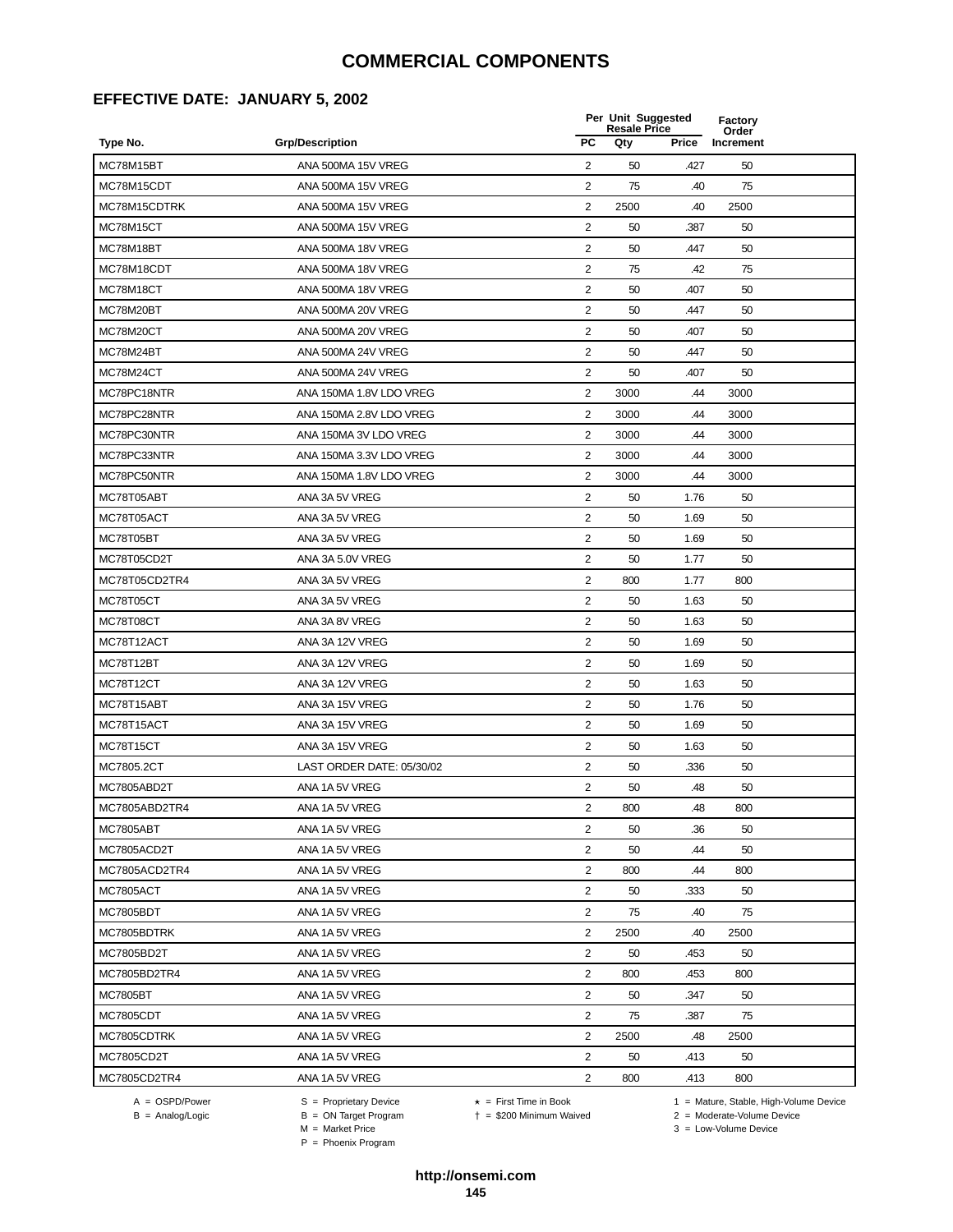#### **EFFECTIVE DATE: JANUARY 5, 2002**

|                  |                           |                         | Per Unit Suggested<br><b>Resale Price</b> |       |                    |  |
|------------------|---------------------------|-------------------------|-------------------------------------------|-------|--------------------|--|
| Type No.         | <b>Grp/Description</b>    | <b>PC</b>               | Qty                                       | Price | Order<br>Increment |  |
| MC78M15BT        | ANA 500MA 15V VREG        | 2                       | 50                                        | .427  | 50                 |  |
| MC78M15CDT       | ANA 500MA 15V VREG        | 2                       | 75                                        | .40   | 75                 |  |
| MC78M15CDTRK     | ANA 500MA 15V VREG        | $\overline{2}$          | 2500                                      | .40   | 2500               |  |
| MC78M15CT        | ANA 500MA 15V VREG        | 2                       | 50                                        | .387  | 50                 |  |
| MC78M18BT        | ANA 500MA 18V VREG        | $\overline{2}$          | 50                                        | .447  | 50                 |  |
| MC78M18CDT       | ANA 500MA 18V VREG        | 2                       | 75                                        | .42   | 75                 |  |
| MC78M18CT        | ANA 500MA 18V VREG        | $\overline{2}$          | 50                                        | .407  | 50                 |  |
| MC78M20BT        | ANA 500MA 20V VREG        | $\overline{2}$          | 50                                        | .447  | 50                 |  |
| MC78M20CT        | ANA 500MA 20V VREG        | $\overline{2}$          | 50                                        | .407  | 50                 |  |
| MC78M24BT        | ANA 500MA 24V VREG        | $\overline{2}$          | 50                                        | .447  | 50                 |  |
| MC78M24CT        | ANA 500MA 24V VREG        | 2                       | 50                                        | .407  | 50                 |  |
| MC78PC18NTR      | ANA 150MA 1.8V LDO VREG   | $\overline{2}$          | 3000                                      | .44   | 3000               |  |
| MC78PC28NTR      | ANA 150MA 2.8V LDO VREG   | 2                       | 3000                                      | .44   | 3000               |  |
| MC78PC30NTR      | ANA 150MA 3V LDO VREG     | $\sqrt{2}$              | 3000                                      | .44   | 3000               |  |
| MC78PC33NTR      | ANA 150MA 3.3V LDO VREG   | 2                       | 3000                                      | .44   | 3000               |  |
| MC78PC50NTR      | ANA 150MA 1.8V LDO VREG   | $\overline{2}$          | 3000                                      | .44   | 3000               |  |
| MC78T05ABT       | ANA 3A 5V VREG            | $\overline{2}$          | 50                                        | 1.76  | 50                 |  |
| MC78T05ACT       | ANA 3A 5V VREG            | $\overline{2}$          | 50                                        | 1.69  | 50                 |  |
| MC78T05BT        | ANA 3A 5V VREG            | $\overline{2}$          | 50                                        | 1.69  | 50                 |  |
| MC78T05CD2T      | ANA 3A 5.0V VREG          | 2                       | 50                                        | 1.77  | 50                 |  |
| MC78T05CD2TR4    | ANA 3A 5V VREG            | $\overline{2}$          | 800                                       | 1.77  | 800                |  |
| MC78T05CT        | ANA 3A 5V VREG            | 2                       | 50                                        | 1.63  | 50                 |  |
| MC78T08CT        | ANA 3A 8V VREG            | $\overline{2}$          | 50                                        | 1.63  | 50                 |  |
| MC78T12ACT       | ANA 3A 12V VREG           | $\overline{2}$          | 50                                        | 1.69  | 50                 |  |
| MC78T12BT        | ANA 3A 12V VREG           | $\overline{2}$          | 50                                        | 1.69  | 50                 |  |
| MC78T12CT        | ANA 3A 12V VREG           | $\overline{2}$          | 50                                        | 1.63  | 50                 |  |
| MC78T15ABT       | ANA 3A 15V VREG           | $\overline{\mathbf{c}}$ | 50                                        | 1.76  | 50                 |  |
| MC78T15ACT       | ANA 3A 15V VREG           | 2                       | 50                                        | 1.69  | 50                 |  |
| MC78T15CT        | ANA 3A 15V VREG           | 2                       | 50                                        | 1.63  | 50                 |  |
| MC7805.2CT       | LAST ORDER DATE: 05/30/02 | $\overline{2}$          | 50                                        | .336  | 50                 |  |
| MC7805ABD2T      | ANA 1A 5V VREG            | $\overline{2}$          | 50                                        | .48   | 50                 |  |
| MC7805ABD2TR4    | ANA 1A 5V VREG            | 2                       | 800                                       | .48   | 800                |  |
| <b>MC7805ABT</b> | ANA 1A 5V VREG            | $\overline{2}$          | 50                                        | .36   | 50                 |  |
| MC7805ACD2T      | ANA 1A 5V VREG            | $\overline{2}$          | 50                                        | .44   | 50                 |  |
| MC7805ACD2TR4    | ANA 1A 5V VREG            | $\overline{2}$          | 800                                       | .44   | 800                |  |
| MC7805ACT        | ANA 1A 5V VREG            | $\overline{2}$          | 50                                        | .333  | 50                 |  |
| MC7805BDT        | ANA 1A 5V VREG            | $\overline{2}$          | 75                                        | .40   | 75                 |  |
| MC7805BDTRK      | ANA 1A 5V VREG            | $\overline{2}$          | 2500                                      | .40   | 2500               |  |
| MC7805BD2T       | ANA 1A 5V VREG            | $\overline{2}$          | 50                                        | .453  | 50                 |  |
| MC7805BD2TR4     | ANA 1A 5V VREG            | 2                       | 800                                       | .453  | 800                |  |
| <b>MC7805BT</b>  | ANA 1A 5V VREG            | 2                       | 50                                        | .347  | 50                 |  |
| MC7805CDT        | ANA 1A 5V VREG            | 2                       | 75                                        | .387  | 75                 |  |
| MC7805CDTRK      | ANA 1A 5V VREG            | $\overline{2}$          | 2500                                      | .48   | 2500               |  |
| MC7805CD2T       | ANA 1A 5V VREG            | $\overline{2}$          | 50                                        | .413  | 50                 |  |
| MC7805CD2TR4     | ANA 1A 5V VREG            | $\overline{2}$          | 800                                       | .413  | 800                |  |

B = Analog/Logic<br>B = Analog/Logic<br>M = Market Price

A = OSPD/Power S = Proprietary Device  $\star$  = First Time in Book 1 = Mature, Stable, High-Volume Device

= \$200 Minimum Waived 2 = Moderate-Volume Device

P = Phoenix Program

 $3 =$  Low-Volume Device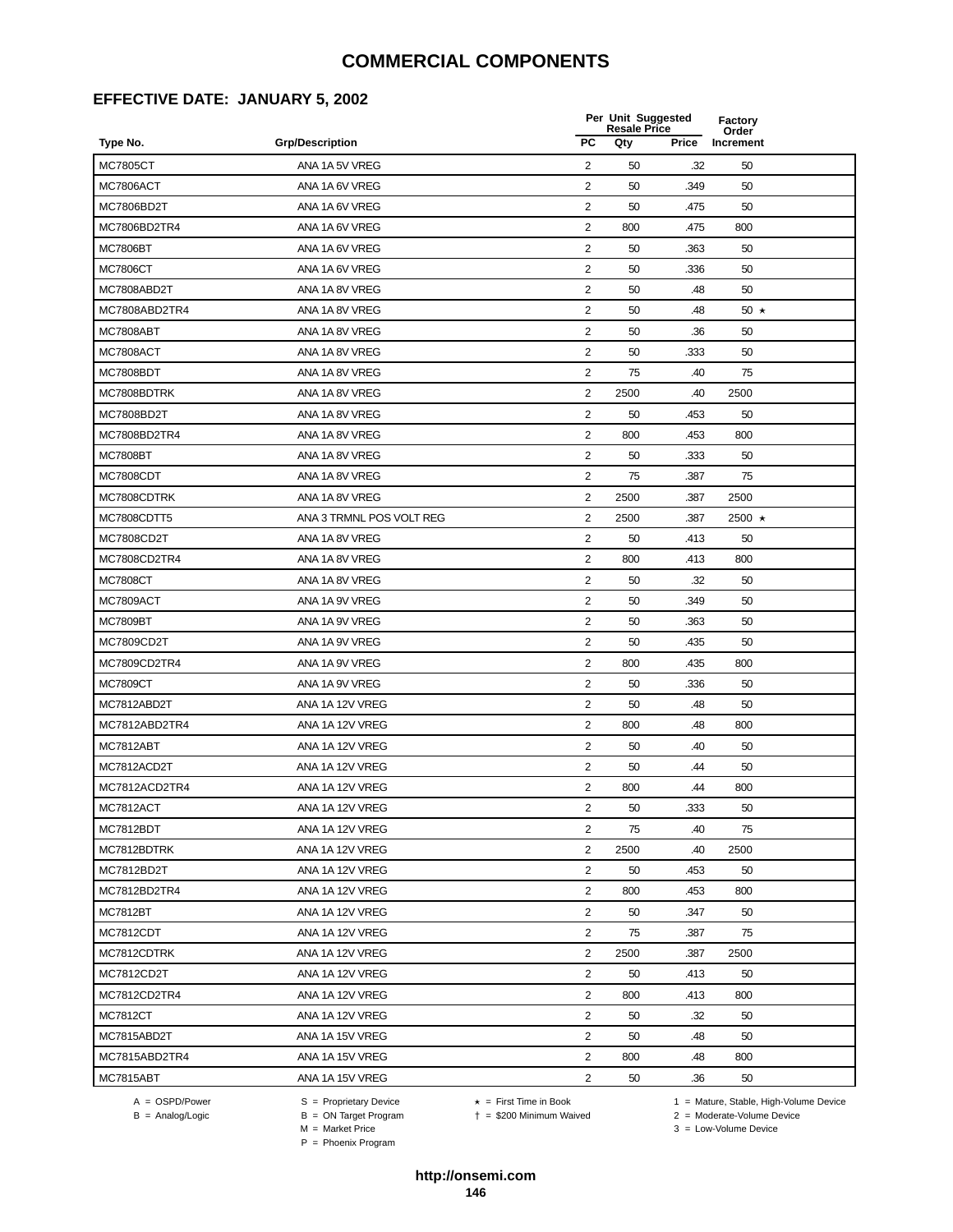#### **EFFECTIVE DATE: JANUARY 5, 2002**

|                  |                          |                | Per Unit Suggested<br><b>Resale Price</b> |       | <b>Factory</b><br>Order |  |
|------------------|--------------------------|----------------|-------------------------------------------|-------|-------------------------|--|
| Type No.         | <b>Grp/Description</b>   | <b>PC</b>      | Qty                                       | Price | Increment               |  |
| <b>MC7805CT</b>  | ANA 1A 5V VREG           | 2              | 50                                        | .32   | 50                      |  |
| MC7806ACT        | ANA 1A 6V VREG           | $\overline{2}$ | 50                                        | .349  | 50                      |  |
| MC7806BD2T       | ANA 1A 6V VREG           | 2              | 50                                        | .475  | 50                      |  |
| MC7806BD2TR4     | ANA 1A 6V VREG           | $\overline{2}$ | 800                                       | .475  | 800                     |  |
| <b>MC7806BT</b>  | ANA 1A 6V VREG           | $\sqrt{2}$     | 50                                        | .363  | 50                      |  |
| <b>MC7806CT</b>  | ANA 1A 6V VREG           | 2              | 50                                        | .336  | 50                      |  |
| MC7808ABD2T      | ANA 1A 8V VREG           | $\overline{2}$ | 50                                        | .48   | 50                      |  |
| MC7808ABD2TR4    | ANA 1A 8V VREG           | 2              | 50                                        | .48   | 50 $\star$              |  |
| <b>MC7808ABT</b> | ANA 1A 8V VREG           | $\overline{2}$ | 50                                        | .36   | 50                      |  |
| <b>MC7808ACT</b> | ANA 1A 8V VREG           | 2              | 50                                        | .333  | 50                      |  |
| MC7808BDT        | ANA 1A 8V VREG           | 2              | 75                                        | .40   | 75                      |  |
| MC7808BDTRK      | ANA 1A 8V VREG           | $\overline{2}$ | 2500                                      | .40   | 2500                    |  |
| MC7808BD2T       | ANA 1A 8V VREG           | $\overline{2}$ | 50                                        | .453  | 50                      |  |
| MC7808BD2TR4     | ANA 1A 8V VREG           | $\overline{2}$ | 800                                       | .453  | 800                     |  |
| <b>MC7808BT</b>  | ANA 1A 8V VREG           | $\overline{2}$ | 50                                        | .333  | 50                      |  |
| MC7808CDT        | ANA 1A 8V VREG           | $\overline{2}$ | 75                                        | .387  | 75                      |  |
| MC7808CDTRK      | ANA 1A 8V VREG           | 2              | 2500                                      | .387  | 2500                    |  |
| MC7808CDTT5      | ANA 3 TRMNL POS VOLT REG | $\overline{2}$ | 2500                                      | .387  | $2500 +$                |  |
| MC7808CD2T       | ANA 1A 8V VREG           | 2              | 50                                        | .413  | 50                      |  |
| MC7808CD2TR4     | ANA 1A 8V VREG           | $\overline{2}$ | 800                                       | .413  | 800                     |  |
| <b>MC7808CT</b>  | ANA 1A 8V VREG           | $\overline{2}$ | 50                                        | .32   | 50                      |  |
| MC7809ACT        | ANA 1A 9V VREG           | 2              | 50                                        | .349  | 50                      |  |
| <b>MC7809BT</b>  | ANA 1A 9V VREG           | $\sqrt{2}$     | 50                                        | .363  | 50                      |  |
| MC7809CD2T       | ANA 1A 9V VREG           | 2              | 50                                        | .435  | 50                      |  |
| MC7809CD2TR4     | ANA 1A 9V VREG           | 2              | 800                                       | .435  | 800                     |  |
| <b>MC7809CT</b>  | ANA 1A 9V VREG           | 2              | 50                                        | .336  | 50                      |  |
| MC7812ABD2T      | ANA 1A 12V VREG          | $\overline{2}$ | 50                                        | .48   | 50                      |  |
| MC7812ABD2TR4    | ANA 1A 12V VREG          | 2              | 800                                       | .48   | 800                     |  |
| <b>MC7812ABT</b> | ANA 1A 12V VREG          | 2              | 50                                        | .40   | 50                      |  |
| MC7812ACD2T      | ANA 1A 12V VREG          | 2              | 50                                        | .44   | 50                      |  |
| MC7812ACD2TR4    | ANA 1A 12V VREG          | $\overline{2}$ | 800                                       | .44   | 800                     |  |
| MC7812ACT        | ANA 1A 12V VREG          | $\overline{c}$ | 50                                        | 333   | 50                      |  |
| MC7812BDT        | ANA 1A 12V VREG          | $\overline{2}$ | 75                                        | .40   | 75                      |  |
| MC7812BDTRK      | ANA 1A 12V VREG          | $\overline{2}$ | 2500                                      | .40   | 2500                    |  |
| MC7812BD2T       | ANA 1A 12V VREG          | $\overline{2}$ | 50                                        | .453  | 50                      |  |
| MC7812BD2TR4     | ANA 1A 12V VREG          | $\overline{2}$ | 800                                       | .453  | 800                     |  |
| <b>MC7812BT</b>  | ANA 1A 12V VREG          | $\overline{2}$ | 50                                        | .347  | 50                      |  |
| MC7812CDT        | ANA 1A 12V VREG          | $\overline{2}$ | 75                                        | .387  | 75                      |  |
| MC7812CDTRK      | ANA 1A 12V VREG          | $\overline{2}$ | 2500                                      | .387  | 2500                    |  |
| MC7812CD2T       | ANA 1A 12V VREG          | $\overline{2}$ | 50                                        | .413  | 50                      |  |
| MC7812CD2TR4     | ANA 1A 12V VREG          | 2              | 800                                       | .413  | 800                     |  |
| MC7812CT         | ANA 1A 12V VREG          | 2              | 50                                        | .32   | 50                      |  |
| MC7815ABD2T      | ANA 1A 15V VREG          | $\overline{2}$ | 50                                        | .48   | 50                      |  |
| MC7815ABD2TR4    | ANA 1A 15V VREG          | $\overline{2}$ | 800                                       | .48   | 800                     |  |
| MC7815ABT        | ANA 1A 15V VREG          | $\overline{2}$ | 50                                        | .36   | 50                      |  |
|                  |                          |                |                                           |       |                         |  |

B = Analog/Logic<br>B = Analog/Logic<br>M = Market Price

A = OSPD/Power S = Proprietary Device  $\star$  = First Time in Book 1 = Mature, Stable, High-Volume Device

= \$200 Minimum Waived 2 = Moderate-Volume Device

 $3 =$  Low-Volume Device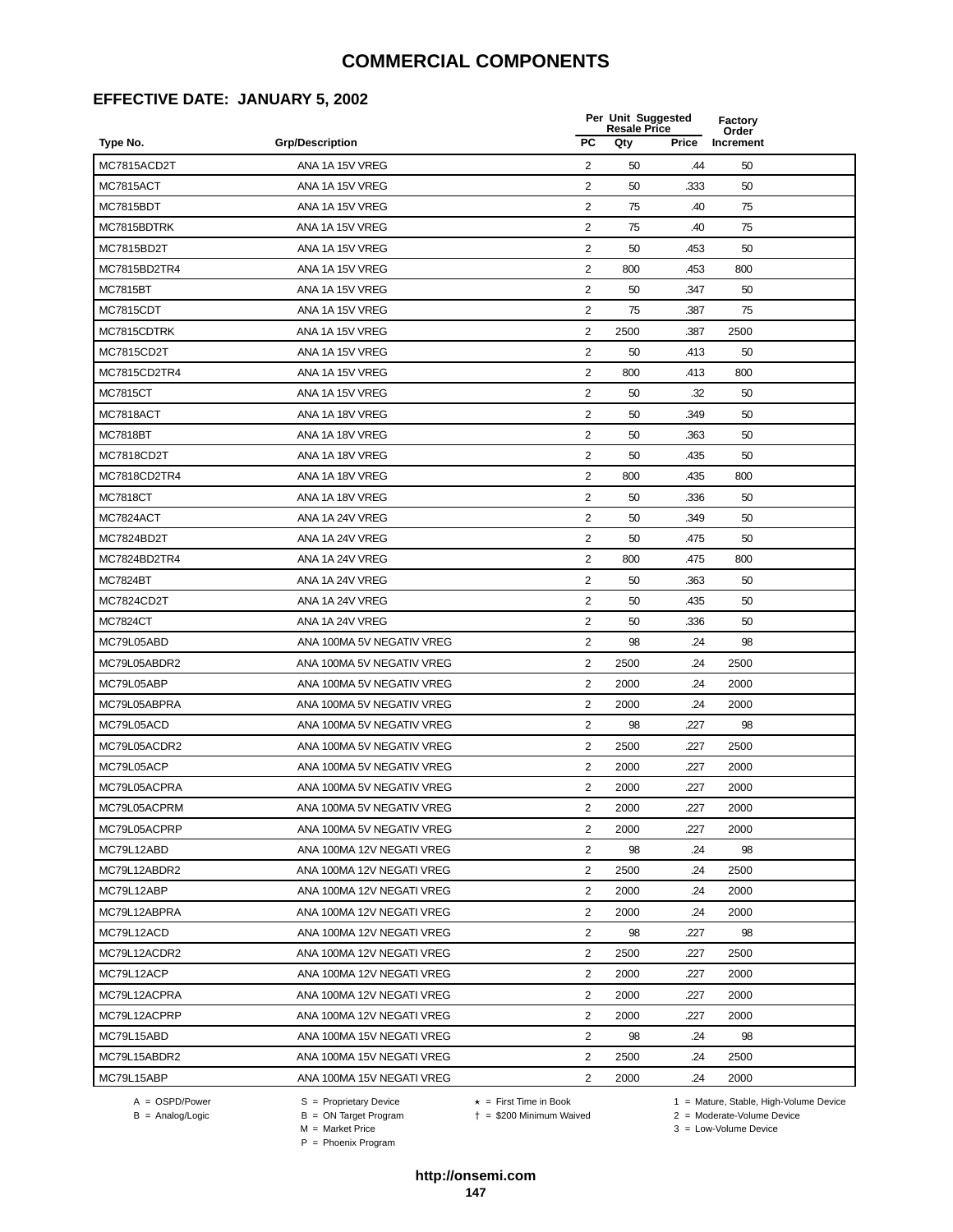#### **EFFECTIVE DATE: JANUARY 5, 2002**

| <b>PC</b><br>Qty<br>Type No.<br><b>Grp/Description</b><br><b>Price</b><br>Increment<br>MC7815ACD2T<br>ANA 1A 15V VREG<br>2<br>50<br>.44<br>50<br>2<br>MC7815ACT<br>ANA 1A 15V VREG<br>50<br>.333<br>50<br>$\overline{2}$<br>75<br>MC7815BDT<br>ANA 1A 15V VREG<br>.40<br>75<br>2<br>MC7815BDTRK<br>ANA 1A 15V VREG<br>75<br>.40<br>75<br>MC7815BD2T<br>$\overline{2}$<br>50<br>ANA 1A 15V VREG<br>.453<br>50<br>2<br>MC7815BD2TR4<br>ANA 1A 15V VREG<br>800<br>.453<br>800<br>$\overline{2}$<br>50<br><b>MC7815BT</b><br>ANA 1A 15V VREG<br>.347<br>50<br>MC7815CDT<br>$\overline{2}$<br>75<br>ANA 1A 15V VREG<br>75<br>.387<br>MC7815CDTRK<br>$\overline{c}$<br>2500<br>ANA 1A 15V VREG<br>2500<br>.387<br>MC7815CD2T<br>ANA 1A 15V VREG<br>$\overline{2}$<br>50<br>.413<br>50<br>MC7815CD2TR4<br>ANA 1A 15V VREG<br>2<br>800<br>.413<br>800<br>$\overline{2}$<br>50<br>.32<br><b>MC7815CT</b><br>ANA 1A 15V VREG<br>50<br>2<br>MC7818ACT<br>ANA 1A 18V VREG<br>50<br>.349<br>50<br>$\sqrt{2}$<br><b>MC7818BT</b><br>ANA 1A 18V VREG<br>50<br>.363<br>50<br>MC7818CD2T<br>ANA 1A 18V VREG<br>2<br>50<br>.435<br>50<br>MC7818CD2TR4<br>2<br>800<br>800<br>ANA 1A 18V VREG<br>.435<br><b>MC7818CT</b><br>2<br>ANA 1A 18V VREG<br>50<br>.336<br>50<br>2<br>MC7824ACT<br>ANA 1A 24V VREG<br>50<br>.349<br>50<br>MC7824BD2T<br>ANA 1A 24V VREG<br>$\overline{2}$<br>50<br>.475<br>50<br>2<br>MC7824BD2TR4<br>ANA 1A 24V VREG<br>800<br>.475<br>800<br>$\overline{2}$<br>50<br><b>MC7824BT</b><br>ANA 1A 24V VREG<br>.363<br>50<br>2<br>MC7824CD2T<br>ANA 1A 24V VREG<br>50<br>.435<br>50<br>$\sqrt{2}$<br><b>MC7824CT</b><br>ANA 1A 24V VREG<br>50<br>.336<br>50<br>ANA 100MA 5V NEGATIV VREG<br>2<br>98<br>MC79L05ABD<br>.24<br>98<br>2<br>2500<br>.24<br>2500<br>MC79L05ABDR2<br>ANA 100MA 5V NEGATIV VREG<br>MC79L05ABP<br>2<br>2000<br>ANA 100MA 5V NEGATIV VREG<br>2000<br>.24<br>MC79L05ABPRA<br>2<br>2000<br>ANA 100MA 5V NEGATIV VREG<br>2000<br>.24<br>MC79L05ACD<br>2<br>98<br>98<br>ANA 100MA 5V NEGATIV VREG<br>.227<br>MC79L05ACDR2<br>ANA 100MA 5V NEGATIV VREG<br>2<br>2500<br>.227<br>2500<br>2<br>MC79L05ACP<br>ANA 100MA 5V NEGATIV VREG<br>2000<br>.227<br>2000<br>$\overline{2}$<br>MC79L05ACPRA<br>ANA 100MA 5V NEGATIV VREG<br>2000<br>.227<br>2000<br>$\overline{c}$<br>MC79L05ACPRM<br>ANA 100MA 5V NEGATIV VREG<br>2000<br>227<br>2000<br>$\overline{2}$<br>MC79L05ACPRP<br>ANA 100MA 5V NEGATIV VREG<br>.227<br>2000<br>2000<br>2<br>98<br>.24<br>98<br>MC79L12ABD<br>ANA 100MA 12V NEGATI VREG<br>$\overline{2}$<br>2500<br>.24<br>2500<br>MC79L12ABDR2<br>ANA 100MA 12V NEGATI VREG<br>2<br>2000<br>2000<br>MC79L12ABP<br>ANA 100MA 12V NEGATI VREG<br>.24<br>$\overline{2}$<br>MC79L12ABPRA<br>2000<br>.24<br>2000<br>ANA 100MA 12V NEGATI VREG<br>MC79L12ACD<br>ANA 100MA 12V NEGATI VREG<br>2<br>98<br>.227<br>98<br>$\overline{2}$<br>MC79L12ACDR2<br>2500<br>.227<br>2500<br>ANA 100MA 12V NEGATI VREG<br>$\overline{2}$<br>MC79L12ACP<br>2000<br>2000<br>ANA 100MA 12V NEGATI VREG<br>.227<br>$\overline{2}$<br>.227<br>2000<br>MC79L12ACPRA<br>ANA 100MA 12V NEGATI VREG<br>2000<br>2<br>MC79L12ACPRP<br>ANA 100MA 12V NEGATI VREG<br>2000<br>.227<br>2000<br>2<br>98<br>.24<br>MC79L15ABD<br>ANA 100MA 15V NEGATI VREG<br>98<br>$\overline{2}$<br>2500<br>.24<br>2500<br>MC79L15ABDR2<br>ANA 100MA 15V NEGATI VREG<br>$\overline{2}$<br>MC79L15ABP<br>2000<br>ANA 100MA 15V NEGATI VREG<br>2000<br>.24 |  | Per Unit Suggested<br><b>Resale Price</b> |  |       |  |
|----------------------------------------------------------------------------------------------------------------------------------------------------------------------------------------------------------------------------------------------------------------------------------------------------------------------------------------------------------------------------------------------------------------------------------------------------------------------------------------------------------------------------------------------------------------------------------------------------------------------------------------------------------------------------------------------------------------------------------------------------------------------------------------------------------------------------------------------------------------------------------------------------------------------------------------------------------------------------------------------------------------------------------------------------------------------------------------------------------------------------------------------------------------------------------------------------------------------------------------------------------------------------------------------------------------------------------------------------------------------------------------------------------------------------------------------------------------------------------------------------------------------------------------------------------------------------------------------------------------------------------------------------------------------------------------------------------------------------------------------------------------------------------------------------------------------------------------------------------------------------------------------------------------------------------------------------------------------------------------------------------------------------------------------------------------------------------------------------------------------------------------------------------------------------------------------------------------------------------------------------------------------------------------------------------------------------------------------------------------------------------------------------------------------------------------------------------------------------------------------------------------------------------------------------------------------------------------------------------------------------------------------------------------------------------------------------------------------------------------------------------------------------------------------------------------------------------------------------------------------------------------------------------------------------------------------------------------------------------------------------------------------------------------------------------------------------------------------------------------------------------------------------------------------------------------------------------------------------------------------------------------------------------------------------------------------------------------------------------------------------------------------------------------------------------------|--|-------------------------------------------|--|-------|--|
|                                                                                                                                                                                                                                                                                                                                                                                                                                                                                                                                                                                                                                                                                                                                                                                                                                                                                                                                                                                                                                                                                                                                                                                                                                                                                                                                                                                                                                                                                                                                                                                                                                                                                                                                                                                                                                                                                                                                                                                                                                                                                                                                                                                                                                                                                                                                                                                                                                                                                                                                                                                                                                                                                                                                                                                                                                                                                                                                                                                                                                                                                                                                                                                                                                                                                                                                                                                                                                        |  |                                           |  | Order |  |
|                                                                                                                                                                                                                                                                                                                                                                                                                                                                                                                                                                                                                                                                                                                                                                                                                                                                                                                                                                                                                                                                                                                                                                                                                                                                                                                                                                                                                                                                                                                                                                                                                                                                                                                                                                                                                                                                                                                                                                                                                                                                                                                                                                                                                                                                                                                                                                                                                                                                                                                                                                                                                                                                                                                                                                                                                                                                                                                                                                                                                                                                                                                                                                                                                                                                                                                                                                                                                                        |  |                                           |  |       |  |
|                                                                                                                                                                                                                                                                                                                                                                                                                                                                                                                                                                                                                                                                                                                                                                                                                                                                                                                                                                                                                                                                                                                                                                                                                                                                                                                                                                                                                                                                                                                                                                                                                                                                                                                                                                                                                                                                                                                                                                                                                                                                                                                                                                                                                                                                                                                                                                                                                                                                                                                                                                                                                                                                                                                                                                                                                                                                                                                                                                                                                                                                                                                                                                                                                                                                                                                                                                                                                                        |  |                                           |  |       |  |
|                                                                                                                                                                                                                                                                                                                                                                                                                                                                                                                                                                                                                                                                                                                                                                                                                                                                                                                                                                                                                                                                                                                                                                                                                                                                                                                                                                                                                                                                                                                                                                                                                                                                                                                                                                                                                                                                                                                                                                                                                                                                                                                                                                                                                                                                                                                                                                                                                                                                                                                                                                                                                                                                                                                                                                                                                                                                                                                                                                                                                                                                                                                                                                                                                                                                                                                                                                                                                                        |  |                                           |  |       |  |
|                                                                                                                                                                                                                                                                                                                                                                                                                                                                                                                                                                                                                                                                                                                                                                                                                                                                                                                                                                                                                                                                                                                                                                                                                                                                                                                                                                                                                                                                                                                                                                                                                                                                                                                                                                                                                                                                                                                                                                                                                                                                                                                                                                                                                                                                                                                                                                                                                                                                                                                                                                                                                                                                                                                                                                                                                                                                                                                                                                                                                                                                                                                                                                                                                                                                                                                                                                                                                                        |  |                                           |  |       |  |
|                                                                                                                                                                                                                                                                                                                                                                                                                                                                                                                                                                                                                                                                                                                                                                                                                                                                                                                                                                                                                                                                                                                                                                                                                                                                                                                                                                                                                                                                                                                                                                                                                                                                                                                                                                                                                                                                                                                                                                                                                                                                                                                                                                                                                                                                                                                                                                                                                                                                                                                                                                                                                                                                                                                                                                                                                                                                                                                                                                                                                                                                                                                                                                                                                                                                                                                                                                                                                                        |  |                                           |  |       |  |
|                                                                                                                                                                                                                                                                                                                                                                                                                                                                                                                                                                                                                                                                                                                                                                                                                                                                                                                                                                                                                                                                                                                                                                                                                                                                                                                                                                                                                                                                                                                                                                                                                                                                                                                                                                                                                                                                                                                                                                                                                                                                                                                                                                                                                                                                                                                                                                                                                                                                                                                                                                                                                                                                                                                                                                                                                                                                                                                                                                                                                                                                                                                                                                                                                                                                                                                                                                                                                                        |  |                                           |  |       |  |
|                                                                                                                                                                                                                                                                                                                                                                                                                                                                                                                                                                                                                                                                                                                                                                                                                                                                                                                                                                                                                                                                                                                                                                                                                                                                                                                                                                                                                                                                                                                                                                                                                                                                                                                                                                                                                                                                                                                                                                                                                                                                                                                                                                                                                                                                                                                                                                                                                                                                                                                                                                                                                                                                                                                                                                                                                                                                                                                                                                                                                                                                                                                                                                                                                                                                                                                                                                                                                                        |  |                                           |  |       |  |
|                                                                                                                                                                                                                                                                                                                                                                                                                                                                                                                                                                                                                                                                                                                                                                                                                                                                                                                                                                                                                                                                                                                                                                                                                                                                                                                                                                                                                                                                                                                                                                                                                                                                                                                                                                                                                                                                                                                                                                                                                                                                                                                                                                                                                                                                                                                                                                                                                                                                                                                                                                                                                                                                                                                                                                                                                                                                                                                                                                                                                                                                                                                                                                                                                                                                                                                                                                                                                                        |  |                                           |  |       |  |
|                                                                                                                                                                                                                                                                                                                                                                                                                                                                                                                                                                                                                                                                                                                                                                                                                                                                                                                                                                                                                                                                                                                                                                                                                                                                                                                                                                                                                                                                                                                                                                                                                                                                                                                                                                                                                                                                                                                                                                                                                                                                                                                                                                                                                                                                                                                                                                                                                                                                                                                                                                                                                                                                                                                                                                                                                                                                                                                                                                                                                                                                                                                                                                                                                                                                                                                                                                                                                                        |  |                                           |  |       |  |
|                                                                                                                                                                                                                                                                                                                                                                                                                                                                                                                                                                                                                                                                                                                                                                                                                                                                                                                                                                                                                                                                                                                                                                                                                                                                                                                                                                                                                                                                                                                                                                                                                                                                                                                                                                                                                                                                                                                                                                                                                                                                                                                                                                                                                                                                                                                                                                                                                                                                                                                                                                                                                                                                                                                                                                                                                                                                                                                                                                                                                                                                                                                                                                                                                                                                                                                                                                                                                                        |  |                                           |  |       |  |
|                                                                                                                                                                                                                                                                                                                                                                                                                                                                                                                                                                                                                                                                                                                                                                                                                                                                                                                                                                                                                                                                                                                                                                                                                                                                                                                                                                                                                                                                                                                                                                                                                                                                                                                                                                                                                                                                                                                                                                                                                                                                                                                                                                                                                                                                                                                                                                                                                                                                                                                                                                                                                                                                                                                                                                                                                                                                                                                                                                                                                                                                                                                                                                                                                                                                                                                                                                                                                                        |  |                                           |  |       |  |
|                                                                                                                                                                                                                                                                                                                                                                                                                                                                                                                                                                                                                                                                                                                                                                                                                                                                                                                                                                                                                                                                                                                                                                                                                                                                                                                                                                                                                                                                                                                                                                                                                                                                                                                                                                                                                                                                                                                                                                                                                                                                                                                                                                                                                                                                                                                                                                                                                                                                                                                                                                                                                                                                                                                                                                                                                                                                                                                                                                                                                                                                                                                                                                                                                                                                                                                                                                                                                                        |  |                                           |  |       |  |
|                                                                                                                                                                                                                                                                                                                                                                                                                                                                                                                                                                                                                                                                                                                                                                                                                                                                                                                                                                                                                                                                                                                                                                                                                                                                                                                                                                                                                                                                                                                                                                                                                                                                                                                                                                                                                                                                                                                                                                                                                                                                                                                                                                                                                                                                                                                                                                                                                                                                                                                                                                                                                                                                                                                                                                                                                                                                                                                                                                                                                                                                                                                                                                                                                                                                                                                                                                                                                                        |  |                                           |  |       |  |
|                                                                                                                                                                                                                                                                                                                                                                                                                                                                                                                                                                                                                                                                                                                                                                                                                                                                                                                                                                                                                                                                                                                                                                                                                                                                                                                                                                                                                                                                                                                                                                                                                                                                                                                                                                                                                                                                                                                                                                                                                                                                                                                                                                                                                                                                                                                                                                                                                                                                                                                                                                                                                                                                                                                                                                                                                                                                                                                                                                                                                                                                                                                                                                                                                                                                                                                                                                                                                                        |  |                                           |  |       |  |
|                                                                                                                                                                                                                                                                                                                                                                                                                                                                                                                                                                                                                                                                                                                                                                                                                                                                                                                                                                                                                                                                                                                                                                                                                                                                                                                                                                                                                                                                                                                                                                                                                                                                                                                                                                                                                                                                                                                                                                                                                                                                                                                                                                                                                                                                                                                                                                                                                                                                                                                                                                                                                                                                                                                                                                                                                                                                                                                                                                                                                                                                                                                                                                                                                                                                                                                                                                                                                                        |  |                                           |  |       |  |
|                                                                                                                                                                                                                                                                                                                                                                                                                                                                                                                                                                                                                                                                                                                                                                                                                                                                                                                                                                                                                                                                                                                                                                                                                                                                                                                                                                                                                                                                                                                                                                                                                                                                                                                                                                                                                                                                                                                                                                                                                                                                                                                                                                                                                                                                                                                                                                                                                                                                                                                                                                                                                                                                                                                                                                                                                                                                                                                                                                                                                                                                                                                                                                                                                                                                                                                                                                                                                                        |  |                                           |  |       |  |
|                                                                                                                                                                                                                                                                                                                                                                                                                                                                                                                                                                                                                                                                                                                                                                                                                                                                                                                                                                                                                                                                                                                                                                                                                                                                                                                                                                                                                                                                                                                                                                                                                                                                                                                                                                                                                                                                                                                                                                                                                                                                                                                                                                                                                                                                                                                                                                                                                                                                                                                                                                                                                                                                                                                                                                                                                                                                                                                                                                                                                                                                                                                                                                                                                                                                                                                                                                                                                                        |  |                                           |  |       |  |
|                                                                                                                                                                                                                                                                                                                                                                                                                                                                                                                                                                                                                                                                                                                                                                                                                                                                                                                                                                                                                                                                                                                                                                                                                                                                                                                                                                                                                                                                                                                                                                                                                                                                                                                                                                                                                                                                                                                                                                                                                                                                                                                                                                                                                                                                                                                                                                                                                                                                                                                                                                                                                                                                                                                                                                                                                                                                                                                                                                                                                                                                                                                                                                                                                                                                                                                                                                                                                                        |  |                                           |  |       |  |
|                                                                                                                                                                                                                                                                                                                                                                                                                                                                                                                                                                                                                                                                                                                                                                                                                                                                                                                                                                                                                                                                                                                                                                                                                                                                                                                                                                                                                                                                                                                                                                                                                                                                                                                                                                                                                                                                                                                                                                                                                                                                                                                                                                                                                                                                                                                                                                                                                                                                                                                                                                                                                                                                                                                                                                                                                                                                                                                                                                                                                                                                                                                                                                                                                                                                                                                                                                                                                                        |  |                                           |  |       |  |
|                                                                                                                                                                                                                                                                                                                                                                                                                                                                                                                                                                                                                                                                                                                                                                                                                                                                                                                                                                                                                                                                                                                                                                                                                                                                                                                                                                                                                                                                                                                                                                                                                                                                                                                                                                                                                                                                                                                                                                                                                                                                                                                                                                                                                                                                                                                                                                                                                                                                                                                                                                                                                                                                                                                                                                                                                                                                                                                                                                                                                                                                                                                                                                                                                                                                                                                                                                                                                                        |  |                                           |  |       |  |
|                                                                                                                                                                                                                                                                                                                                                                                                                                                                                                                                                                                                                                                                                                                                                                                                                                                                                                                                                                                                                                                                                                                                                                                                                                                                                                                                                                                                                                                                                                                                                                                                                                                                                                                                                                                                                                                                                                                                                                                                                                                                                                                                                                                                                                                                                                                                                                                                                                                                                                                                                                                                                                                                                                                                                                                                                                                                                                                                                                                                                                                                                                                                                                                                                                                                                                                                                                                                                                        |  |                                           |  |       |  |
|                                                                                                                                                                                                                                                                                                                                                                                                                                                                                                                                                                                                                                                                                                                                                                                                                                                                                                                                                                                                                                                                                                                                                                                                                                                                                                                                                                                                                                                                                                                                                                                                                                                                                                                                                                                                                                                                                                                                                                                                                                                                                                                                                                                                                                                                                                                                                                                                                                                                                                                                                                                                                                                                                                                                                                                                                                                                                                                                                                                                                                                                                                                                                                                                                                                                                                                                                                                                                                        |  |                                           |  |       |  |
|                                                                                                                                                                                                                                                                                                                                                                                                                                                                                                                                                                                                                                                                                                                                                                                                                                                                                                                                                                                                                                                                                                                                                                                                                                                                                                                                                                                                                                                                                                                                                                                                                                                                                                                                                                                                                                                                                                                                                                                                                                                                                                                                                                                                                                                                                                                                                                                                                                                                                                                                                                                                                                                                                                                                                                                                                                                                                                                                                                                                                                                                                                                                                                                                                                                                                                                                                                                                                                        |  |                                           |  |       |  |
|                                                                                                                                                                                                                                                                                                                                                                                                                                                                                                                                                                                                                                                                                                                                                                                                                                                                                                                                                                                                                                                                                                                                                                                                                                                                                                                                                                                                                                                                                                                                                                                                                                                                                                                                                                                                                                                                                                                                                                                                                                                                                                                                                                                                                                                                                                                                                                                                                                                                                                                                                                                                                                                                                                                                                                                                                                                                                                                                                                                                                                                                                                                                                                                                                                                                                                                                                                                                                                        |  |                                           |  |       |  |
|                                                                                                                                                                                                                                                                                                                                                                                                                                                                                                                                                                                                                                                                                                                                                                                                                                                                                                                                                                                                                                                                                                                                                                                                                                                                                                                                                                                                                                                                                                                                                                                                                                                                                                                                                                                                                                                                                                                                                                                                                                                                                                                                                                                                                                                                                                                                                                                                                                                                                                                                                                                                                                                                                                                                                                                                                                                                                                                                                                                                                                                                                                                                                                                                                                                                                                                                                                                                                                        |  |                                           |  |       |  |
|                                                                                                                                                                                                                                                                                                                                                                                                                                                                                                                                                                                                                                                                                                                                                                                                                                                                                                                                                                                                                                                                                                                                                                                                                                                                                                                                                                                                                                                                                                                                                                                                                                                                                                                                                                                                                                                                                                                                                                                                                                                                                                                                                                                                                                                                                                                                                                                                                                                                                                                                                                                                                                                                                                                                                                                                                                                                                                                                                                                                                                                                                                                                                                                                                                                                                                                                                                                                                                        |  |                                           |  |       |  |
|                                                                                                                                                                                                                                                                                                                                                                                                                                                                                                                                                                                                                                                                                                                                                                                                                                                                                                                                                                                                                                                                                                                                                                                                                                                                                                                                                                                                                                                                                                                                                                                                                                                                                                                                                                                                                                                                                                                                                                                                                                                                                                                                                                                                                                                                                                                                                                                                                                                                                                                                                                                                                                                                                                                                                                                                                                                                                                                                                                                                                                                                                                                                                                                                                                                                                                                                                                                                                                        |  |                                           |  |       |  |
|                                                                                                                                                                                                                                                                                                                                                                                                                                                                                                                                                                                                                                                                                                                                                                                                                                                                                                                                                                                                                                                                                                                                                                                                                                                                                                                                                                                                                                                                                                                                                                                                                                                                                                                                                                                                                                                                                                                                                                                                                                                                                                                                                                                                                                                                                                                                                                                                                                                                                                                                                                                                                                                                                                                                                                                                                                                                                                                                                                                                                                                                                                                                                                                                                                                                                                                                                                                                                                        |  |                                           |  |       |  |
|                                                                                                                                                                                                                                                                                                                                                                                                                                                                                                                                                                                                                                                                                                                                                                                                                                                                                                                                                                                                                                                                                                                                                                                                                                                                                                                                                                                                                                                                                                                                                                                                                                                                                                                                                                                                                                                                                                                                                                                                                                                                                                                                                                                                                                                                                                                                                                                                                                                                                                                                                                                                                                                                                                                                                                                                                                                                                                                                                                                                                                                                                                                                                                                                                                                                                                                                                                                                                                        |  |                                           |  |       |  |
|                                                                                                                                                                                                                                                                                                                                                                                                                                                                                                                                                                                                                                                                                                                                                                                                                                                                                                                                                                                                                                                                                                                                                                                                                                                                                                                                                                                                                                                                                                                                                                                                                                                                                                                                                                                                                                                                                                                                                                                                                                                                                                                                                                                                                                                                                                                                                                                                                                                                                                                                                                                                                                                                                                                                                                                                                                                                                                                                                                                                                                                                                                                                                                                                                                                                                                                                                                                                                                        |  |                                           |  |       |  |
|                                                                                                                                                                                                                                                                                                                                                                                                                                                                                                                                                                                                                                                                                                                                                                                                                                                                                                                                                                                                                                                                                                                                                                                                                                                                                                                                                                                                                                                                                                                                                                                                                                                                                                                                                                                                                                                                                                                                                                                                                                                                                                                                                                                                                                                                                                                                                                                                                                                                                                                                                                                                                                                                                                                                                                                                                                                                                                                                                                                                                                                                                                                                                                                                                                                                                                                                                                                                                                        |  |                                           |  |       |  |
|                                                                                                                                                                                                                                                                                                                                                                                                                                                                                                                                                                                                                                                                                                                                                                                                                                                                                                                                                                                                                                                                                                                                                                                                                                                                                                                                                                                                                                                                                                                                                                                                                                                                                                                                                                                                                                                                                                                                                                                                                                                                                                                                                                                                                                                                                                                                                                                                                                                                                                                                                                                                                                                                                                                                                                                                                                                                                                                                                                                                                                                                                                                                                                                                                                                                                                                                                                                                                                        |  |                                           |  |       |  |
|                                                                                                                                                                                                                                                                                                                                                                                                                                                                                                                                                                                                                                                                                                                                                                                                                                                                                                                                                                                                                                                                                                                                                                                                                                                                                                                                                                                                                                                                                                                                                                                                                                                                                                                                                                                                                                                                                                                                                                                                                                                                                                                                                                                                                                                                                                                                                                                                                                                                                                                                                                                                                                                                                                                                                                                                                                                                                                                                                                                                                                                                                                                                                                                                                                                                                                                                                                                                                                        |  |                                           |  |       |  |
|                                                                                                                                                                                                                                                                                                                                                                                                                                                                                                                                                                                                                                                                                                                                                                                                                                                                                                                                                                                                                                                                                                                                                                                                                                                                                                                                                                                                                                                                                                                                                                                                                                                                                                                                                                                                                                                                                                                                                                                                                                                                                                                                                                                                                                                                                                                                                                                                                                                                                                                                                                                                                                                                                                                                                                                                                                                                                                                                                                                                                                                                                                                                                                                                                                                                                                                                                                                                                                        |  |                                           |  |       |  |
|                                                                                                                                                                                                                                                                                                                                                                                                                                                                                                                                                                                                                                                                                                                                                                                                                                                                                                                                                                                                                                                                                                                                                                                                                                                                                                                                                                                                                                                                                                                                                                                                                                                                                                                                                                                                                                                                                                                                                                                                                                                                                                                                                                                                                                                                                                                                                                                                                                                                                                                                                                                                                                                                                                                                                                                                                                                                                                                                                                                                                                                                                                                                                                                                                                                                                                                                                                                                                                        |  |                                           |  |       |  |
|                                                                                                                                                                                                                                                                                                                                                                                                                                                                                                                                                                                                                                                                                                                                                                                                                                                                                                                                                                                                                                                                                                                                                                                                                                                                                                                                                                                                                                                                                                                                                                                                                                                                                                                                                                                                                                                                                                                                                                                                                                                                                                                                                                                                                                                                                                                                                                                                                                                                                                                                                                                                                                                                                                                                                                                                                                                                                                                                                                                                                                                                                                                                                                                                                                                                                                                                                                                                                                        |  |                                           |  |       |  |
|                                                                                                                                                                                                                                                                                                                                                                                                                                                                                                                                                                                                                                                                                                                                                                                                                                                                                                                                                                                                                                                                                                                                                                                                                                                                                                                                                                                                                                                                                                                                                                                                                                                                                                                                                                                                                                                                                                                                                                                                                                                                                                                                                                                                                                                                                                                                                                                                                                                                                                                                                                                                                                                                                                                                                                                                                                                                                                                                                                                                                                                                                                                                                                                                                                                                                                                                                                                                                                        |  |                                           |  |       |  |
|                                                                                                                                                                                                                                                                                                                                                                                                                                                                                                                                                                                                                                                                                                                                                                                                                                                                                                                                                                                                                                                                                                                                                                                                                                                                                                                                                                                                                                                                                                                                                                                                                                                                                                                                                                                                                                                                                                                                                                                                                                                                                                                                                                                                                                                                                                                                                                                                                                                                                                                                                                                                                                                                                                                                                                                                                                                                                                                                                                                                                                                                                                                                                                                                                                                                                                                                                                                                                                        |  |                                           |  |       |  |
|                                                                                                                                                                                                                                                                                                                                                                                                                                                                                                                                                                                                                                                                                                                                                                                                                                                                                                                                                                                                                                                                                                                                                                                                                                                                                                                                                                                                                                                                                                                                                                                                                                                                                                                                                                                                                                                                                                                                                                                                                                                                                                                                                                                                                                                                                                                                                                                                                                                                                                                                                                                                                                                                                                                                                                                                                                                                                                                                                                                                                                                                                                                                                                                                                                                                                                                                                                                                                                        |  |                                           |  |       |  |
|                                                                                                                                                                                                                                                                                                                                                                                                                                                                                                                                                                                                                                                                                                                                                                                                                                                                                                                                                                                                                                                                                                                                                                                                                                                                                                                                                                                                                                                                                                                                                                                                                                                                                                                                                                                                                                                                                                                                                                                                                                                                                                                                                                                                                                                                                                                                                                                                                                                                                                                                                                                                                                                                                                                                                                                                                                                                                                                                                                                                                                                                                                                                                                                                                                                                                                                                                                                                                                        |  |                                           |  |       |  |
|                                                                                                                                                                                                                                                                                                                                                                                                                                                                                                                                                                                                                                                                                                                                                                                                                                                                                                                                                                                                                                                                                                                                                                                                                                                                                                                                                                                                                                                                                                                                                                                                                                                                                                                                                                                                                                                                                                                                                                                                                                                                                                                                                                                                                                                                                                                                                                                                                                                                                                                                                                                                                                                                                                                                                                                                                                                                                                                                                                                                                                                                                                                                                                                                                                                                                                                                                                                                                                        |  |                                           |  |       |  |
|                                                                                                                                                                                                                                                                                                                                                                                                                                                                                                                                                                                                                                                                                                                                                                                                                                                                                                                                                                                                                                                                                                                                                                                                                                                                                                                                                                                                                                                                                                                                                                                                                                                                                                                                                                                                                                                                                                                                                                                                                                                                                                                                                                                                                                                                                                                                                                                                                                                                                                                                                                                                                                                                                                                                                                                                                                                                                                                                                                                                                                                                                                                                                                                                                                                                                                                                                                                                                                        |  |                                           |  |       |  |
|                                                                                                                                                                                                                                                                                                                                                                                                                                                                                                                                                                                                                                                                                                                                                                                                                                                                                                                                                                                                                                                                                                                                                                                                                                                                                                                                                                                                                                                                                                                                                                                                                                                                                                                                                                                                                                                                                                                                                                                                                                                                                                                                                                                                                                                                                                                                                                                                                                                                                                                                                                                                                                                                                                                                                                                                                                                                                                                                                                                                                                                                                                                                                                                                                                                                                                                                                                                                                                        |  |                                           |  |       |  |
|                                                                                                                                                                                                                                                                                                                                                                                                                                                                                                                                                                                                                                                                                                                                                                                                                                                                                                                                                                                                                                                                                                                                                                                                                                                                                                                                                                                                                                                                                                                                                                                                                                                                                                                                                                                                                                                                                                                                                                                                                                                                                                                                                                                                                                                                                                                                                                                                                                                                                                                                                                                                                                                                                                                                                                                                                                                                                                                                                                                                                                                                                                                                                                                                                                                                                                                                                                                                                                        |  |                                           |  |       |  |
|                                                                                                                                                                                                                                                                                                                                                                                                                                                                                                                                                                                                                                                                                                                                                                                                                                                                                                                                                                                                                                                                                                                                                                                                                                                                                                                                                                                                                                                                                                                                                                                                                                                                                                                                                                                                                                                                                                                                                                                                                                                                                                                                                                                                                                                                                                                                                                                                                                                                                                                                                                                                                                                                                                                                                                                                                                                                                                                                                                                                                                                                                                                                                                                                                                                                                                                                                                                                                                        |  |                                           |  |       |  |

 $B = \text{Analog/Logic}$ <br>B = ON Target Program<br> $M = \text{Market Price}$ 

= \$200 Minimum Waived 2 = Moderate-Volume Device

A = OSPD/Power S = Proprietary Device  $\star$  = First Time in Book 1 = Mature, Stable, High-Volume Device

 $3 =$  Low-Volume Device

P = Phoenix Program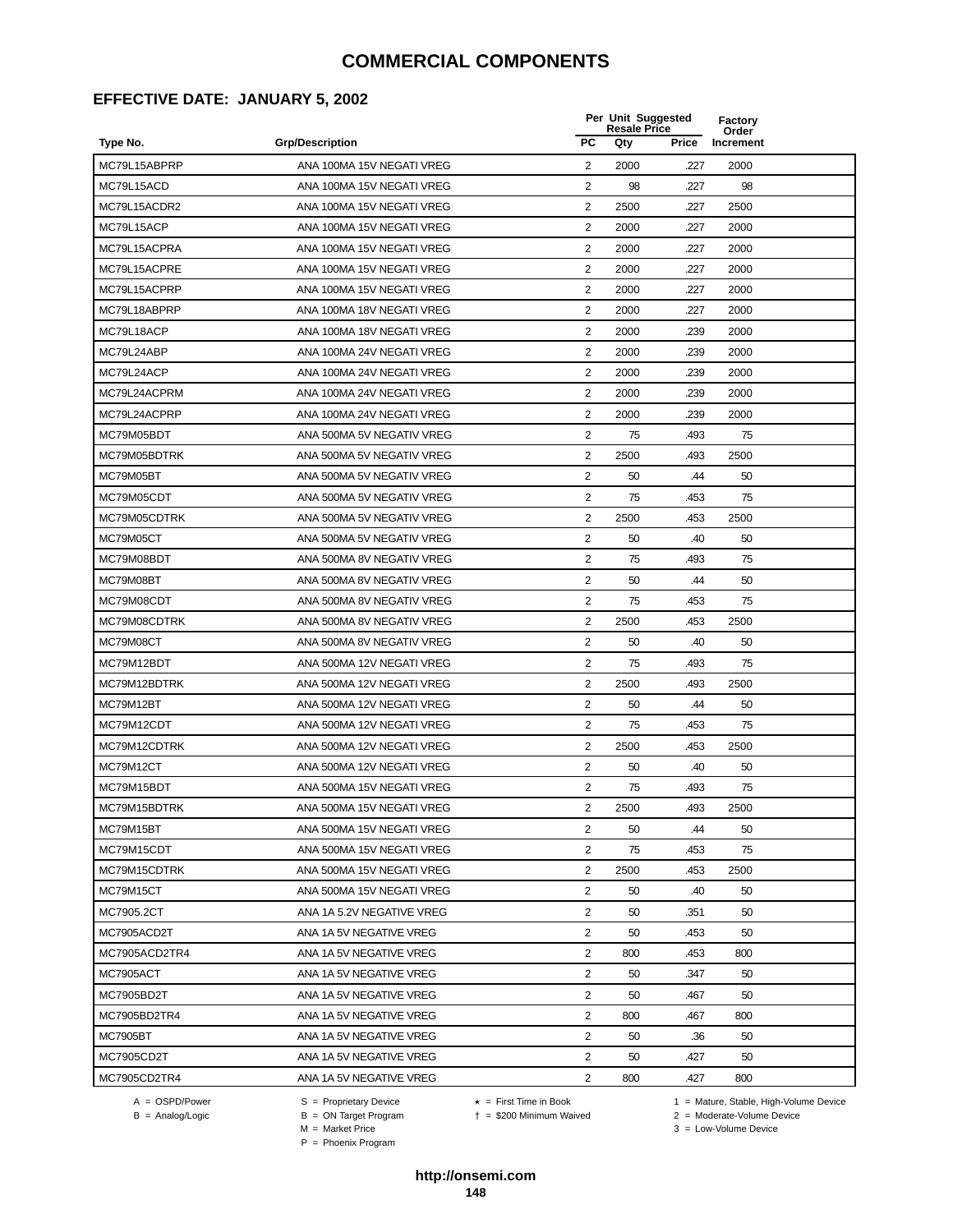## **EFFECTIVE DATE: JANUARY 5, 2002**

|               |                           | Per Unit Suggested<br><b>Resale Price</b> |      |       | <b>Factory</b><br>Order |  |
|---------------|---------------------------|-------------------------------------------|------|-------|-------------------------|--|
| Type No.      | <b>Grp/Description</b>    | <b>PC</b>                                 | Qty  | Price | Increment               |  |
| MC79L15ABPRP  | ANA 100MA 15V NEGATI VREG | 2                                         | 2000 | .227  | 2000                    |  |
| MC79L15ACD    | ANA 100MA 15V NEGATI VREG | 2                                         | 98   | .227  | 98                      |  |
| MC79L15ACDR2  | ANA 100MA 15V NEGATI VREG | 2                                         | 2500 | .227  | 2500                    |  |
| MC79L15ACP    | ANA 100MA 15V NEGATI VREG | $\overline{2}$                            | 2000 | .227  | 2000                    |  |
| MC79L15ACPRA  | ANA 100MA 15V NEGATI VREG | $\overline{2}$                            | 2000 | .227  | 2000                    |  |
| MC79L15ACPRE  | ANA 100MA 15V NEGATI VREG | 2                                         | 2000 | .227  | 2000                    |  |
| MC79L15ACPRP  | ANA 100MA 15V NEGATI VREG | 2                                         | 2000 | .227  | 2000                    |  |
| MC79L18ABPRP  | ANA 100MA 18V NEGATI VREG | 2                                         | 2000 | .227  | 2000                    |  |
| MC79L18ACP    | ANA 100MA 18V NEGATI VREG | 2                                         | 2000 | .239  | 2000                    |  |
| MC79L24ABP    | ANA 100MA 24V NEGATI VREG | $\overline{2}$                            | 2000 | .239  | 2000                    |  |
| MC79L24ACP    | ANA 100MA 24V NEGATI VREG | 2                                         | 2000 | .239  | 2000                    |  |
| MC79L24ACPRM  | ANA 100MA 24V NEGATI VREG | $\overline{2}$                            | 2000 | .239  | 2000                    |  |
| MC79L24ACPRP  | ANA 100MA 24V NEGATI VREG | $\overline{2}$                            | 2000 | .239  | 2000                    |  |
| MC79M05BDT    | ANA 500MA 5V NEGATIV VREG | 2                                         | 75   | .493  | 75                      |  |
| MC79M05BDTRK  | ANA 500MA 5V NEGATIV VREG | $\overline{2}$                            | 2500 | .493  | 2500                    |  |
| MC79M05BT     | ANA 500MA 5V NEGATIV VREG | $\overline{2}$                            | 50   | .44   | 50                      |  |
| MC79M05CDT    | ANA 500MA 5V NEGATIV VREG | 2                                         | 75   | .453  | 75                      |  |
| MC79M05CDTRK  | ANA 500MA 5V NEGATIV VREG | 2                                         | 2500 | .453  | 2500                    |  |
| MC79M05CT     | ANA 500MA 5V NEGATIV VREG | 2                                         | 50   | .40   | 50                      |  |
| MC79M08BDT    | ANA 500MA 8V NEGATIV VREG | 2                                         | 75   | .493  | 75                      |  |
| MC79M08BT     | ANA 500MA 8V NEGATIV VREG | $\overline{2}$                            | 50   | .44   | 50                      |  |
| MC79M08CDT    | ANA 500MA 8V NEGATIV VREG | 2                                         | 75   | .453  | 75                      |  |
| MC79M08CDTRK  | ANA 500MA 8V NEGATIV VREG | $\overline{2}$                            | 2500 | .453  | 2500                    |  |
| MC79M08CT     | ANA 500MA 8V NEGATIV VREG | 2                                         | 50   | .40   | 50                      |  |
| MC79M12BDT    | ANA 500MA 12V NEGATI VREG | $\overline{2}$                            | 75   | .493  | 75                      |  |
| MC79M12BDTRK  | ANA 500MA 12V NEGATI VREG | 2                                         | 2500 | .493  | 2500                    |  |
| MC79M12BT     | ANA 500MA 12V NEGATI VREG | 2                                         | 50   | .44   | 50                      |  |
| MC79M12CDT    | ANA 500MA 12V NEGATI VREG | $\overline{2}$                            | 75   | .453  | 75                      |  |
| MC79M12CDTRK  | ANA 500MA 12V NEGATI VREG | $\overline{2}$                            | 2500 | .453  | 2500                    |  |
| MC79M12CT     | ANA 500MA 12V NEGATI VREG | 2                                         | 50   | .40   | 50                      |  |
| MC79M15BDT    | ANA 500MA 15V NEGATI VREG | $\overline{2}$                            | 75   | .493  | 75                      |  |
| MC79M15BDTRK  | ANA 500MA 15V NEGATI VREG | $\overline{c}$                            | 2500 | 493   | 2500                    |  |
| MC79M15BT     | ANA 500MA 15V NEGATI VREG | 2                                         | 50   | .44   | 50                      |  |
| MC79M15CDT    | ANA 500MA 15V NEGATI VREG | 2                                         | 75   | .453  | 75                      |  |
| MC79M15CDTRK  | ANA 500MA 15V NEGATI VREG | $\overline{2}$                            | 2500 | .453  | 2500                    |  |
| MC79M15CT     | ANA 500MA 15V NEGATI VREG | $\overline{2}$                            | 50   | .40   | 50                      |  |
| MC7905.2CT    | ANA 1A 5.2V NEGATIVE VREG | $\overline{2}$                            | 50   | .351  | 50                      |  |
| MC7905ACD2T   | ANA 1A 5V NEGATIVE VREG   | $\overline{2}$                            | 50   | .453  | 50                      |  |
| MC7905ACD2TR4 | ANA 1A 5V NEGATIVE VREG   | $\overline{2}$                            | 800  | .453  | 800                     |  |
| MC7905ACT     | ANA 1A 5V NEGATIVE VREG   | 2                                         | 50   | .347  | 50                      |  |
| MC7905BD2T    | ANA 1A 5V NEGATIVE VREG   | 2                                         | 50   | .467  | 50                      |  |
| MC7905BD2TR4  | ANA 1A 5V NEGATIVE VREG   | 2                                         | 800  | .467  | 800                     |  |
| MC7905BT      | ANA 1A 5V NEGATIVE VREG   | 2                                         | 50   | .36   | 50                      |  |
| MC7905CD2T    | ANA 1A 5V NEGATIVE VREG   | 2                                         | 50   | .427  | 50                      |  |
| MC7905CD2TR4  | ANA 1A 5V NEGATIVE VREG   | $\overline{2}$                            | 800  | .427  | 800                     |  |

 $B = \text{Analog/Logic}$ <br>B = ON Target Program<br> $M = \text{Market Price}$ 

= \$200 Minimum Waived 2 = Moderate-Volume Device

A = OSPD/Power S = Proprietary Device  $\star$  = First Time in Book 1 = Mature, Stable, High-Volume Device

P = Phoenix Program

 $3 =$  Low-Volume Device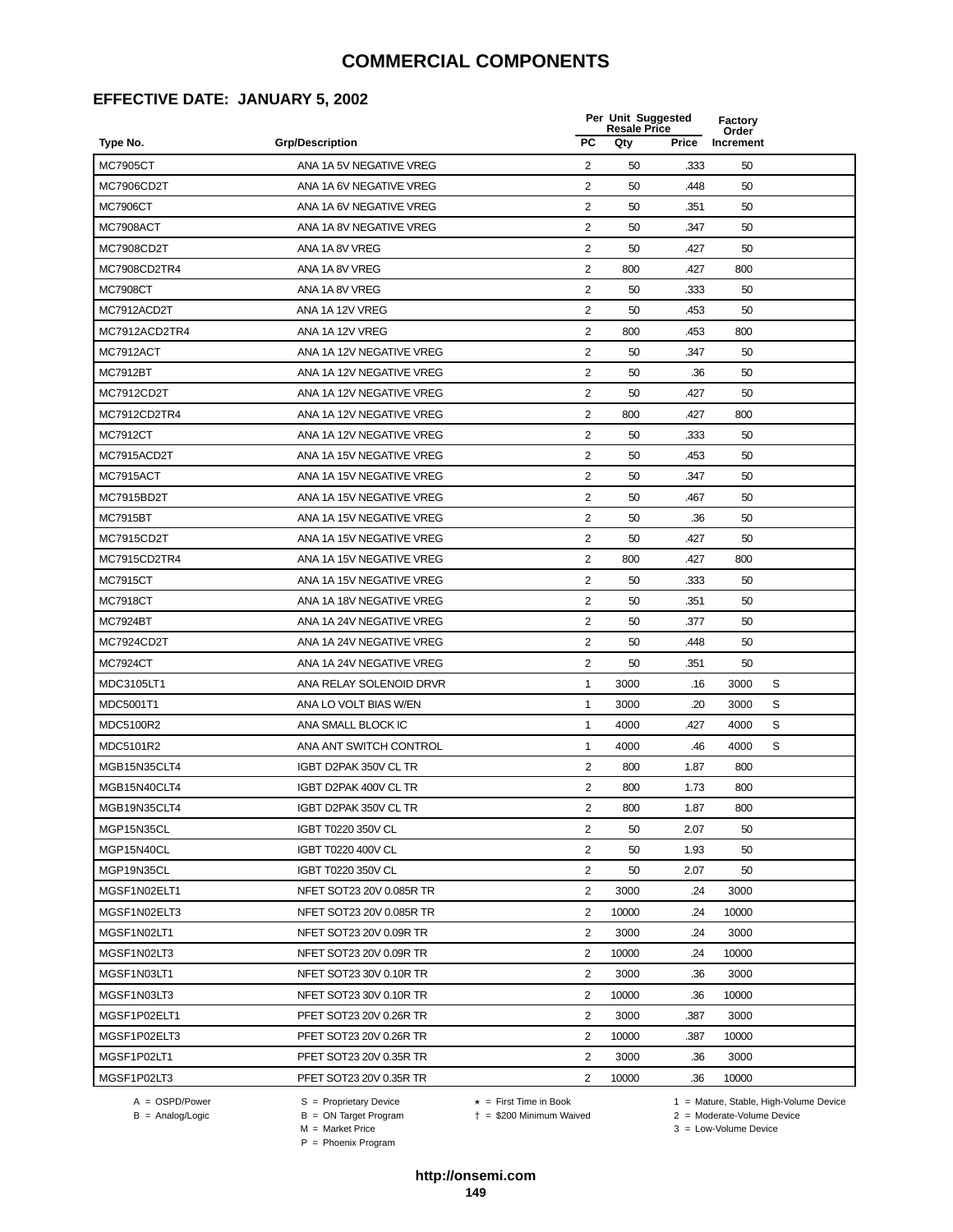#### **EFFECTIVE DATE: JANUARY 5, 2002**

|                 |                          |                | Per Unit Suggested<br><b>Resale Price</b> |       |                    |   |
|-----------------|--------------------------|----------------|-------------------------------------------|-------|--------------------|---|
| Type No.        | <b>Grp/Description</b>   | <b>PC</b>      | Qty                                       | Price | Order<br>Increment |   |
| <b>MC7905CT</b> | ANA 1A 5V NEGATIVE VREG  | 2              | 50                                        | .333  | 50                 |   |
| MC7906CD2T      | ANA 1A 6V NEGATIVE VREG  | 2              | 50                                        | .448  | 50                 |   |
| <b>MC7906CT</b> | ANA 1A 6V NEGATIVE VREG  | $\overline{2}$ | 50                                        | .351  | 50                 |   |
| MC7908ACT       | ANA 1A 8V NEGATIVE VREG  | 2              | 50                                        | .347  | 50                 |   |
| MC7908CD2T      | ANA 1A 8V VREG           | $\sqrt{2}$     | 50                                        | .427  | 50                 |   |
| MC7908CD2TR4    | ANA 1A 8V VREG           | 2              | 800                                       | .427  | 800                |   |
| <b>MC7908CT</b> | ANA 1A 8V VREG           | $\overline{2}$ | 50                                        | .333  | 50                 |   |
| MC7912ACD2T     | ANA 1A 12V VREG          | 2              | 50                                        | .453  | 50                 |   |
| MC7912ACD2TR4   | ANA 1A 12V VREG          | 2              | 800                                       | .453  | 800                |   |
| MC7912ACT       | ANA 1A 12V NEGATIVE VREG | 2              | 50                                        | .347  | 50                 |   |
| <b>MC7912BT</b> | ANA 1A 12V NEGATIVE VREG | 2              | 50                                        | .36   | 50                 |   |
| MC7912CD2T      | ANA 1A 12V NEGATIVE VREG | $\overline{2}$ | 50                                        | .427  | 50                 |   |
| MC7912CD2TR4    | ANA 1A 12V NEGATIVE VREG | 2              | 800                                       | .427  | 800                |   |
| <b>MC7912CT</b> | ANA 1A 12V NEGATIVE VREG | $\sqrt{2}$     | 50                                        | .333  | 50                 |   |
| MC7915ACD2T     | ANA 1A 15V NEGATIVE VREG | 2              | 50                                        | .453  | 50                 |   |
| MC7915ACT       | ANA 1A 15V NEGATIVE VREG | 2              | 50                                        | .347  | 50                 |   |
| MC7915BD2T      | ANA 1A 15V NEGATIVE VREG | 2              | 50                                        | .467  | 50                 |   |
| <b>MC7915BT</b> | ANA 1A 15V NEGATIVE VREG | $\overline{2}$ | 50                                        | .36   | 50                 |   |
| MC7915CD2T      | ANA 1A 15V NEGATIVE VREG | 2              | 50                                        | .427  | 50                 |   |
| MC7915CD2TR4    | ANA 1A 15V NEGATIVE VREG | 2              | 800                                       | .427  | 800                |   |
| <b>MC7915CT</b> | ANA 1A 15V NEGATIVE VREG | 2              | 50                                        | .333  | 50                 |   |
| <b>MC7918CT</b> | ANA 1A 18V NEGATIVE VREG | 2              | 50                                        | .351  | 50                 |   |
| <b>MC7924BT</b> | ANA 1A 24V NEGATIVE VREG | $\sqrt{2}$     | 50                                        | .377  | 50                 |   |
| MC7924CD2T      | ANA 1A 24V NEGATIVE VREG | 2              | 50                                        | .448  | 50                 |   |
| <b>MC7924CT</b> | ANA 1A 24V NEGATIVE VREG | 2              | 50                                        | .351  | 50                 |   |
| MDC3105LT1      | ANA RELAY SOLENOID DRVR  | $\mathbf{1}$   | 3000                                      | .16   | 3000               | S |
| MDC5001T1       | ANA LO VOLT BIAS W/EN    | 1              | 3000                                      | .20   | 3000               | S |
| MDC5100R2       | ANA SMALL BLOCK IC       | 1              | 4000                                      | .427  | 4000               | S |
| MDC5101R2       | ANA ANT SWITCH CONTROL   | 1              | 4000                                      | .46   | 4000               | S |
| MGB15N35CLT4    | IGBT D2PAK 350V CL TR    | $\overline{2}$ | 800                                       | 1.87  | 800                |   |
| MGB15N40CLT4    | IGBT D2PAK 400V CL TR    | $\overline{2}$ | 800                                       | 1.73  | 800                |   |
| MGB19N35CLT4    | IGBT D2PAK 350V CL TR    | 2              | 800                                       | 1.87  | 800                |   |
| MGP15N35CL      | IGBT T0220 350V CL       | 2              | 50                                        | 2.07  | 50                 |   |
| MGP15N40CL      | IGBT T0220 400V CL       | 2              | 50                                        | 1.93  | 50                 |   |
| MGP19N35CL      | IGBT T0220 350V CL       | 2              | 50                                        | 2.07  | 50                 |   |
| MGSF1N02ELT1    | NFET SOT23 20V 0.085R TR | $\overline{2}$ | 3000                                      | .24   | 3000               |   |
| MGSF1N02ELT3    | NFET SOT23 20V 0.085R TR | 2              | 10000                                     | .24   | 10000              |   |
| MGSF1N02LT1     | NFET SOT23 20V 0.09R TR  | 2              | 3000                                      | .24   | 3000               |   |
| MGSF1N02LT3     | NFET SOT23 20V 0.09R TR  | $\overline{2}$ | 10000                                     | .24   | 10000              |   |
| MGSF1N03LT1     | NFET SOT23 30V 0.10R TR  | 2              | 3000                                      | .36   | 3000               |   |
| MGSF1N03LT3     | NFET SOT23 30V 0.10R TR  | $\overline{2}$ | 10000                                     | .36   | 10000              |   |
| MGSF1P02ELT1    | PFET SOT23 20V 0.26R TR  | 2              | 3000                                      | .387  | 3000               |   |
| MGSF1P02ELT3    | PFET SOT23 20V 0.26R TR  | $\overline{2}$ | 10000                                     | .387  | 10000              |   |
| MGSF1P02LT1     | PFET SOT23 20V 0.35R TR  | 2              | 3000                                      | .36   | 3000               |   |
| MGSF1P02LT3     | PFET SOT23 20V 0.35R TR  | $\overline{c}$ | 10000                                     | .36   | 10000              |   |
|                 |                          |                |                                           |       |                    |   |

 $B = \text{Analog/Logic}$ <br>B = ON Target Program<br> $M = \text{Market Price}$ 

A = OSPD/Power S = Proprietary Device  $\star$  = First Time in Book 1 = Mature, Stable, High-Volume Device

 = \$200 Minimum Waived 2 = Moderate-Volume Device  $3 =$  Low-Volume Device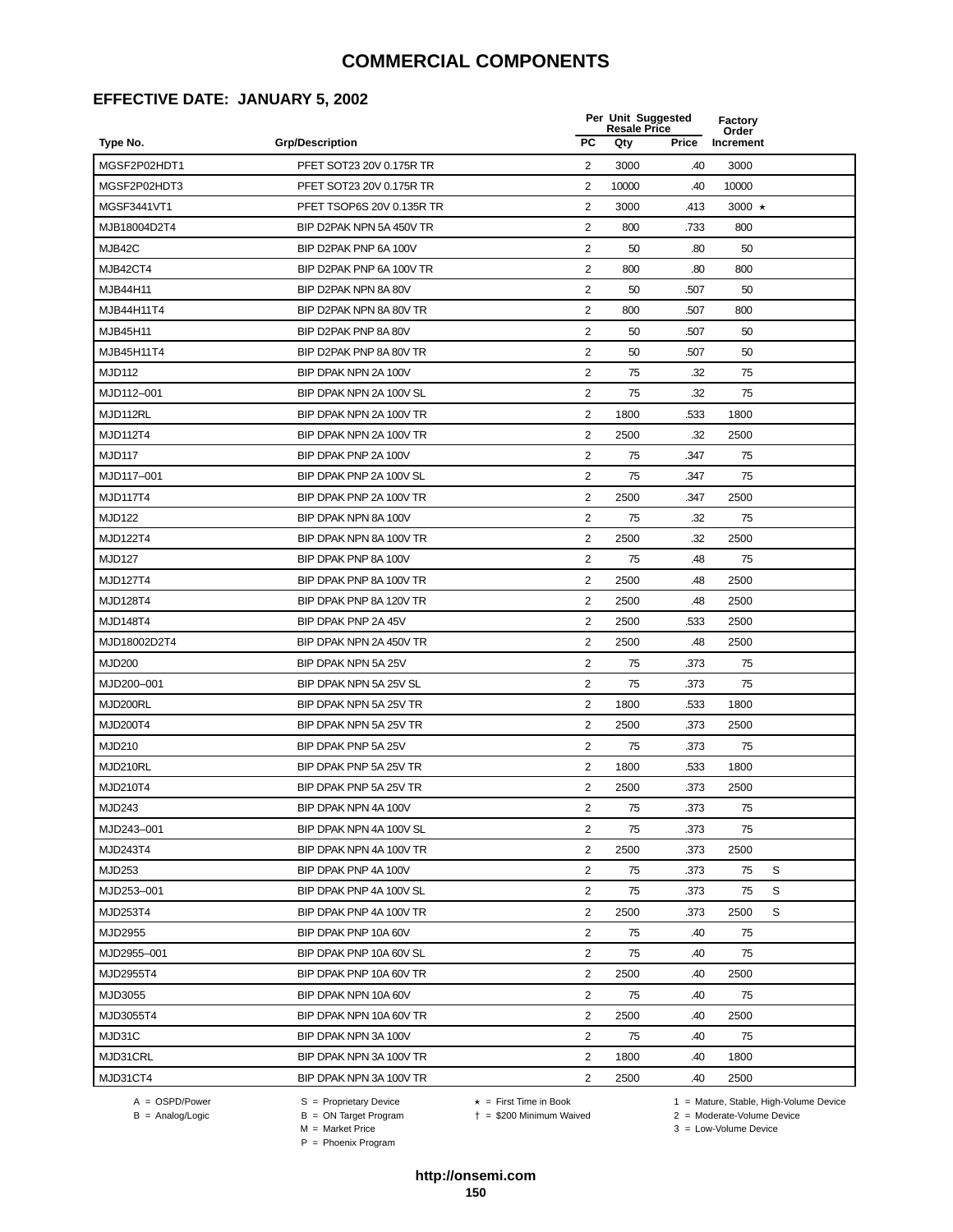#### **EFFECTIVE DATE: JANUARY 5, 2002**

|                 |                           |                         | Per Unit Suggested<br><b>Resale Price</b> |       |                    |   |
|-----------------|---------------------------|-------------------------|-------------------------------------------|-------|--------------------|---|
| Type No.        | <b>Grp/Description</b>    | <b>PC</b>               | Qty                                       | Price | Order<br>Increment |   |
| MGSF2P02HDT1    | PFET SOT23 20V 0.175R TR  | 2                       | 3000                                      | .40   | 3000               |   |
| MGSF2P02HDT3    | PFET SOT23 20V 0.175R TR  | 2                       | 10000                                     | .40   | 10000              |   |
| MGSF3441VT1     | PFET TSOP6S 20V 0.135R TR | 2                       | 3000                                      | .413  | 3000 $\star$       |   |
| MJB18004D2T4    | BIP D2PAK NPN 5A 450V TR  | $\overline{2}$          | 800                                       | .733  | 800                |   |
| MJB42C          | BIP D2PAK PNP 6A 100V     | $\overline{c}$          | 50                                        | .80   | 50                 |   |
| MJB42CT4        | BIP D2PAK PNP 6A 100V TR  | $\overline{2}$          | 800                                       | .80   | 800                |   |
| MJB44H11        | BIP D2PAK NPN 8A 80V      | $\overline{2}$          | 50                                        | .507  | 50                 |   |
| MJB44H11T4      | BIP D2PAK NPN 8A 80V TR   | $\overline{2}$          | 800                                       | .507  | 800                |   |
| MJB45H11        | BIP D2PAK PNP 8A 80V      | 2                       | 50                                        | .507  | 50                 |   |
| MJB45H11T4      | BIP D2PAK PNP 8A 80V TR   | 2                       | 50                                        | .507  | 50                 |   |
| <b>MJD112</b>   | BIP DPAK NPN 2A 100V      | 2                       | 75                                        | .32   | 75                 |   |
| MJD112-001      | BIP DPAK NPN 2A 100V SL   | 2                       | 75                                        | .32   | 75                 |   |
| MJD112RL        | BIP DPAK NPN 2A 100V TR   | $\overline{c}$          | 1800                                      | .533  | 1800               |   |
| MJD112T4        | BIP DPAK NPN 2A 100V TR   | $\overline{\mathbf{c}}$ | 2500                                      | .32   | 2500               |   |
| <b>MJD117</b>   | BIP DPAK PNP 2A 100V      | $\overline{2}$          | 75                                        | .347  | 75                 |   |
| MJD117-001      | BIP DPAK PNP 2A 100V SL   | 2                       | 75                                        | .347  | 75                 |   |
| <b>MJD117T4</b> | BIP DPAK PNP 2A 100V TR   | $\overline{2}$          | 2500                                      | .347  | 2500               |   |
| <b>MJD122</b>   | BIP DPAK NPN 8A 100V      | $\overline{2}$          | 75                                        | .32   | 75                 |   |
| MJD122T4        | BIP DPAK NPN 8A 100V TR   | 2                       | 2500                                      | .32   | 2500               |   |
| <b>MJD127</b>   | BIP DPAK PNP 8A 100V      | 2                       | 75                                        | .48   | 75                 |   |
| <b>MJD127T4</b> | BIP DPAK PNP 8A 100V TR   | 2                       | 2500                                      | .48   | 2500               |   |
| <b>MJD128T4</b> | BIP DPAK PNP 8A 120V TR   | 2                       | 2500                                      | .48   | 2500               |   |
| MJD148T4        | BIP DPAK PNP 2A 45V       | $\overline{c}$          | 2500                                      | .533  | 2500               |   |
| MJD18002D2T4    | BIP DPAK NPN 2A 450V TR   | $\overline{c}$          | 2500                                      | .48   | 2500               |   |
| <b>MJD200</b>   | BIP DPAK NPN 5A 25V       | $\overline{2}$          | 75                                        | .373  | 75                 |   |
| MJD200-001      | BIP DPAK NPN 5A 25V SL    | 2                       | 75                                        | .373  | 75                 |   |
| MJD200RL        | BIP DPAK NPN 5A 25V TR    | $\overline{2}$          | 1800                                      | .533  | 1800               |   |
| MJD200T4        | BIP DPAK NPN 5A 25V TR    | 2                       | 2500                                      | .373  | 2500               |   |
| <b>MJD210</b>   | BIP DPAK PNP 5A 25V       | 2                       | 75                                        | .373  | 75                 |   |
| MJD210RL        | BIP DPAK PNP 5A 25V TR    | 2                       | 1800                                      | .533  | 1800               |   |
| MJD210T4        | BIP DPAK PNP 5A 25V TR    | 2                       | 2500                                      | .373  | 2500               |   |
| <b>MJD243</b>   | BIP DPAK NPN 4A 100V      | 2                       | 75                                        | .373  | 75                 |   |
| MJD243-001      | BIP DPAK NPN 4A 100V SL   | 2                       | 75                                        | .373  | 75                 |   |
| MJD243T4        | BIP DPAK NPN 4A 100V TR   | $\overline{2}$          | 2500                                      | .373  | 2500               |   |
| MJD253          | BIP DPAK PNP 4A 100V      | $\overline{2}$          | 75                                        | .373  | 75                 | S |
| MJD253-001      | BIP DPAK PNP 4A 100V SL   | $\overline{2}$          | 75                                        | .373  | 75                 | S |
| MJD253T4        | BIP DPAK PNP 4A 100V TR   | $\overline{c}$          | 2500                                      | .373  | 2500               | S |
| MJD2955         | BIP DPAK PNP 10A 60V      | 2                       | 75                                        | .40   | 75                 |   |
| MJD2955-001     | BIP DPAK PNP 10A 60V SL   | $\overline{2}$          | 75                                        | .40   | 75                 |   |
| MJD2955T4       | BIP DPAK PNP 10A 60V TR   | $\overline{c}$          | 2500                                      | .40   | 2500               |   |
| MJD3055         | BIP DPAK NPN 10A 60V      | $\overline{c}$          | 75                                        | .40   | 75                 |   |
| MJD3055T4       | BIP DPAK NPN 10A 60V TR   | 2                       | 2500                                      | .40   | 2500               |   |
| MJD31C          | BIP DPAK NPN 3A 100V      | $\overline{2}$          | 75                                        | .40   | 75                 |   |
| MJD31CRL        | BIP DPAK NPN 3A 100V TR   | $\overline{2}$          | 1800                                      | .40   | 1800               |   |
| MJD31CT4        | BIP DPAK NPN 3A 100V TR   | 2                       | 2500                                      | .40   | 2500               |   |
|                 |                           |                         |                                           |       |                    |   |

 $B = \text{Analog/Logic}$ <br>B = ON Target Program<br> $M = \text{Market Price}$ 

= \$200 Minimum Waived 2 = Moderate-Volume Device

A = OSPD/Power S = Proprietary Device  $\star$  = First Time in Book 1 = Mature, Stable, High-Volume Device

 $3 =$  Low-Volume Device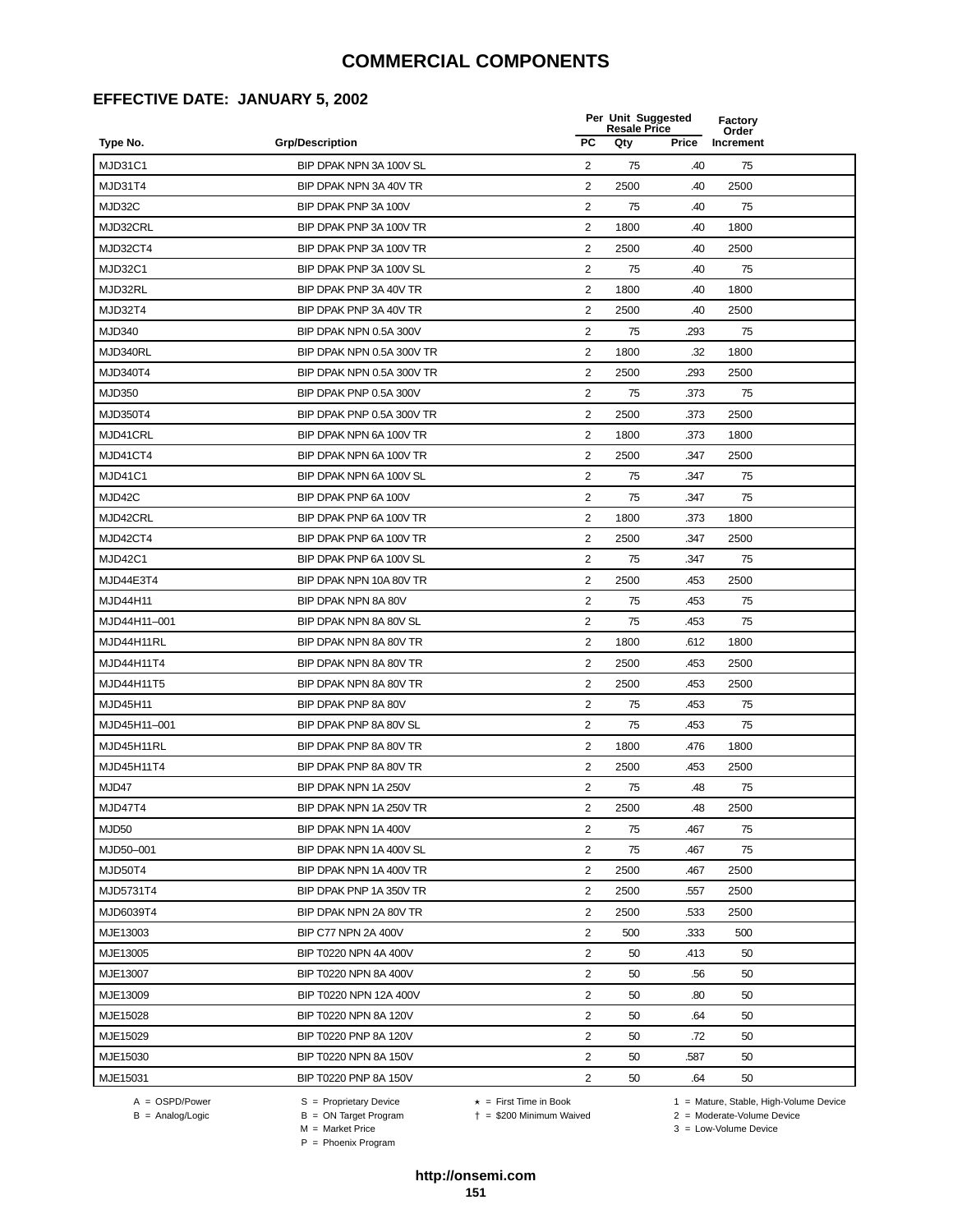## **EFFECTIVE DATE: JANUARY 5, 2002**

|                |                           |                         | Per Unit Suggested<br><b>Resale Price</b> |       |                    |  |
|----------------|---------------------------|-------------------------|-------------------------------------------|-------|--------------------|--|
| Type No.       | <b>Grp/Description</b>    | <b>PC</b>               | Qty                                       | Price | Order<br>Increment |  |
| MJD31C1        | BIP DPAK NPN 3A 100V SL   | 2                       | 75                                        | .40   | 75                 |  |
| MJD31T4        | BIP DPAK NPN 3A 40V TR    | 2                       | 2500                                      | .40   | 2500               |  |
| MJD32C         | BIP DPAK PNP 3A 100V      | 2                       | 75                                        | .40   | 75                 |  |
| MJD32CRL       | BIP DPAK PNP 3A 100V TR   | 2                       | 1800                                      | .40   | 1800               |  |
| MJD32CT4       | BIP DPAK PNP 3A 100V TR   | $\overline{\mathbf{c}}$ | 2500                                      | .40   | 2500               |  |
| MJD32C1        | BIP DPAK PNP 3A 100V SL   | 2                       | 75                                        | .40   | 75                 |  |
| MJD32RL        | BIP DPAK PNP 3A 40V TR    | $\overline{2}$          | 1800                                      | .40   | 1800               |  |
| MJD32T4        | BIP DPAK PNP 3A 40V TR    | $\overline{2}$          | 2500                                      | .40   | 2500               |  |
| <b>MJD340</b>  | BIP DPAK NPN 0.5A 300V    | $\overline{c}$          | 75                                        | .293  | 75                 |  |
| MJD340RL       | BIP DPAK NPN 0.5A 300V TR | 2                       | 1800                                      | .32   | 1800               |  |
| MJD340T4       | BIP DPAK NPN 0.5A 300V TR | $\overline{2}$          | 2500                                      | .293  | 2500               |  |
| <b>MJD350</b>  | BIP DPAK PNP 0.5A 300V    | 2                       | 75                                        | .373  | 75                 |  |
| MJD350T4       | BIP DPAK PNP 0.5A 300V TR | 2                       | 2500                                      | .373  | 2500               |  |
| MJD41CRL       | BIP DPAK NPN 6A 100V TR   | $\overline{2}$          | 1800                                      | .373  | 1800               |  |
| MJD41CT4       | BIP DPAK NPN 6A 100V TR   | 2                       | 2500                                      | .347  | 2500               |  |
| <b>MJD41C1</b> | BIP DPAK NPN 6A 100V SL   | $\overline{2}$          | 75                                        | .347  | 75                 |  |
| MJD42C         | BIP DPAK PNP 6A 100V      | 2                       | 75                                        | .347  | 75                 |  |
| MJD42CRL       | BIP DPAK PNP 6A 100V TR   | $\overline{2}$          | 1800                                      | .373  | 1800               |  |
| MJD42CT4       | BIP DPAK PNP 6A 100V TR   | $\overline{2}$          | 2500                                      | .347  | 2500               |  |
| MJD42C1        | BIP DPAK PNP 6A 100V SL   | $\overline{2}$          | 75                                        | .347  | 75                 |  |
| MJD44E3T4      | BIP DPAK NPN 10A 80V TR   | $\overline{2}$          | 2500                                      | .453  | 2500               |  |
| MJD44H11       | BIP DPAK NPN 8A 80V       | $\overline{2}$          | 75                                        | .453  | 75                 |  |
| MJD44H11-001   | BIP DPAK NPN 8A 80V SL    | $\sqrt{2}$              | 75                                        | .453  | 75                 |  |
| MJD44H11RL     | BIP DPAK NPN 8A 80V TR    | $\overline{2}$          | 1800                                      | .612  | 1800               |  |
| MJD44H11T4     | BIP DPAK NPN 8A 80V TR    | $\overline{2}$          | 2500                                      | .453  | 2500               |  |
| MJD44H11T5     | BIP DPAK NPN 8A 80V TR    | $\overline{2}$          | 2500                                      | .453  | 2500               |  |
| MJD45H11       | BIP DPAK PNP 8A 80V       | $\overline{c}$          | 75                                        | .453  | 75                 |  |
| MJD45H11-001   | BIP DPAK PNP 8A 80V SL    | $\overline{2}$          | 75                                        | .453  | 75                 |  |
| MJD45H11RL     | BIP DPAK PNP 8A 80V TR    | 2                       | 1800                                      | .476  | 1800               |  |
| MJD45H11T4     | BIP DPAK PNP 8A 80V TR    | $\overline{2}$          | 2500                                      | .453  | 2500               |  |
| MJD47          | BIP DPAK NPN 1A 250V      | $\overline{2}$          | 75                                        | .48   | 75                 |  |
| MJD47T4        | BIP DPAK NPN 1A 250V TR   | 2                       | 2500                                      | .48   | 2500               |  |
| MJD50          | BIP DPAK NPN 1A 400V      | 2                       | 75                                        | .467  | 75                 |  |
| MJD50-001      | BIP DPAK NPN 1A 400V SL   | $\overline{2}$          | 75                                        | .467  | 75                 |  |
| MJD50T4        | BIP DPAK NPN 1A 400V TR   | $\overline{2}$          | 2500                                      | .467  | 2500               |  |
| MJD5731T4      | BIP DPAK PNP 1A 350V TR   | 2                       | 2500                                      | .557  | 2500               |  |
| MJD6039T4      | BIP DPAK NPN 2A 80V TR    | $\overline{2}$          | 2500                                      | .533  | 2500               |  |
| MJE13003       | BIP C77 NPN 2A 400V       | 2                       | 500                                       | .333  | 500                |  |
| MJE13005       | BIP T0220 NPN 4A 400V     | $\overline{2}$          | 50                                        | .413  | 50                 |  |
| MJE13007       | BIP T0220 NPN 8A 400V     | $\overline{2}$          | 50                                        | .56   | 50                 |  |
| MJE13009       | BIP T0220 NPN 12A 400V    | 2                       | 50                                        | .80   | 50                 |  |
| MJE15028       | BIP T0220 NPN 8A 120V     | $\overline{2}$          | 50                                        | .64   | 50                 |  |
| MJE15029       | BIP T0220 PNP 8A 120V     | $\overline{2}$          | 50                                        | .72   | 50                 |  |
| MJE15030       | BIP T0220 NPN 8A 150V     | $\overline{2}$          | 50                                        | .587  | 50                 |  |
| MJE15031       | BIP T0220 PNP 8A 150V     | $\overline{c}$          | 50                                        | .64   | 50                 |  |

 $B = \text{Analog/Logic}$ <br>B = ON Target Program<br> $M = \text{Market Price}$ 

= \$200 Minimum Waived 2 = Moderate-Volume Device

A = OSPD/Power S = Proprietary Device  $\star$  = First Time in Book 1 = Mature, Stable, High-Volume Device

 $3 =$  Low-Volume Device

P = Phoenix Program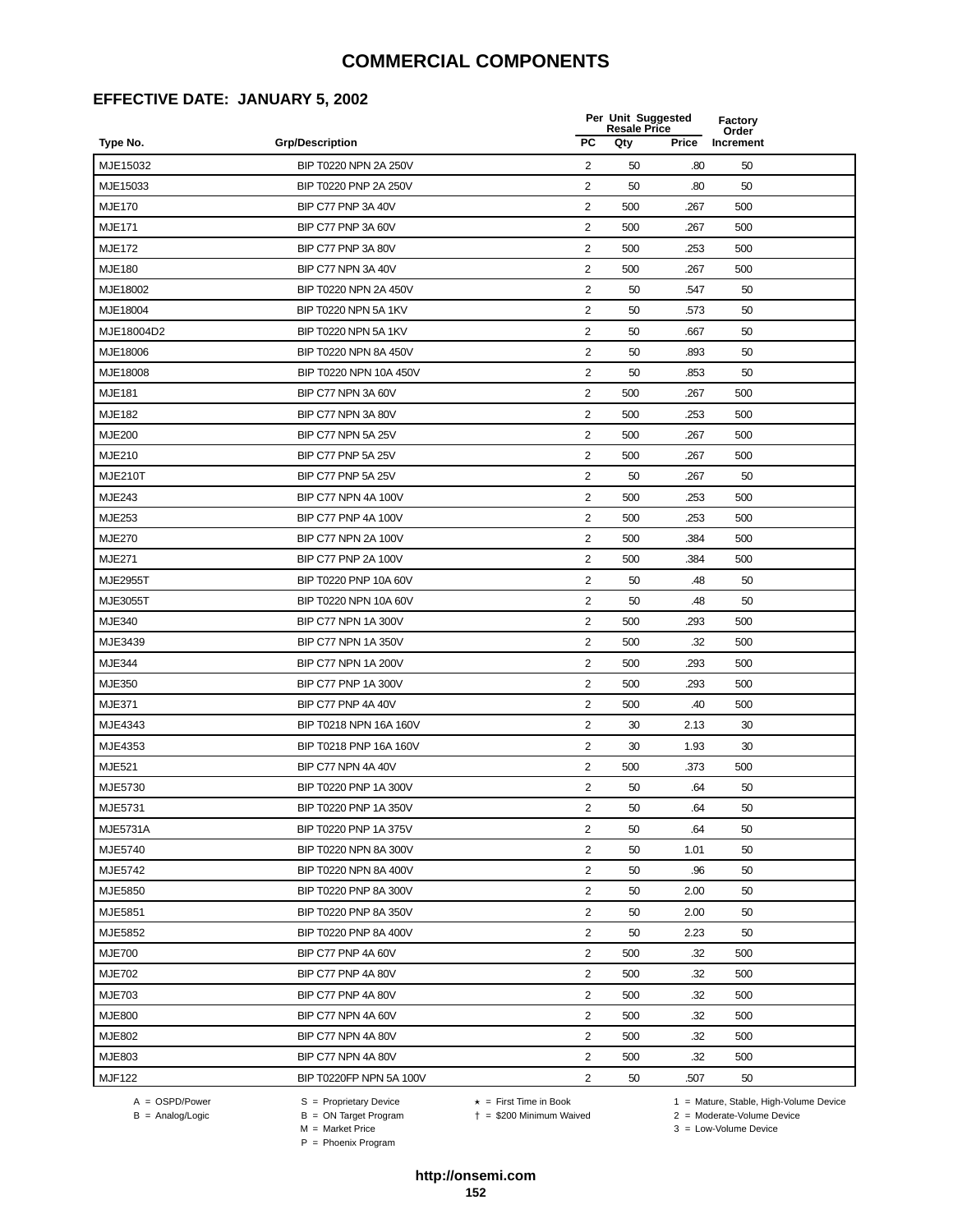## **EFFECTIVE DATE: JANUARY 5, 2002**

|                 |                            |                | Per Unit Suggested<br><b>Resale Price</b> |       |                    |  |
|-----------------|----------------------------|----------------|-------------------------------------------|-------|--------------------|--|
| Type No.        | <b>Grp/Description</b>     | <b>PC</b>      | Qty                                       | Price | Order<br>Increment |  |
| MJE15032        | BIP T0220 NPN 2A 250V      | 2              | 50                                        | .80   | 50                 |  |
| MJE15033        | BIP T0220 PNP 2A 250V      | 2              | 50                                        | .80   | 50                 |  |
| <b>MJE170</b>   | BIP C77 PNP 3A 40V         | $\overline{2}$ | 500                                       | .267  | 500                |  |
| <b>MJE171</b>   | BIP C77 PNP 3A 60V         | $\overline{2}$ | 500                                       | .267  | 500                |  |
| <b>MJE172</b>   | BIP C77 PNP 3A 80V         | 2              | 500                                       | .253  | 500                |  |
| <b>MJE180</b>   | BIP C77 NPN 3A 40V         | 2              | 500                                       | .267  | 500                |  |
| MJE18002        | BIP T0220 NPN 2A 450V      | $\overline{2}$ | 50                                        | .547  | 50                 |  |
| MJE18004        | BIP T0220 NPN 5A 1KV       | $\overline{2}$ | 50                                        | .573  | 50                 |  |
| MJE18004D2      | BIP T0220 NPN 5A 1KV       | $\sqrt{2}$     | 50                                        | .667  | 50                 |  |
| MJE18006        | BIP T0220 NPN 8A 450V      | $\overline{2}$ | 50                                        | .893  | 50                 |  |
| MJE18008        | BIP T0220 NPN 10A 450V     | 2              | 50                                        | .853  | 50                 |  |
| <b>MJE181</b>   | BIP C77 NPN 3A 60V         | $\overline{2}$ | 500                                       | .267  | 500                |  |
| <b>MJE182</b>   | BIP C77 NPN 3A 80V         | $\overline{2}$ | 500                                       | .253  | 500                |  |
| <b>MJE200</b>   | BIP C77 NPN 5A 25V         | $\overline{2}$ | 500                                       | .267  | 500                |  |
| <b>MJE210</b>   | BIP C77 PNP 5A 25V         | 2              | 500                                       | .267  | 500                |  |
| <b>MJE210T</b>  | BIP C77 PNP 5A 25V         | $\sqrt{2}$     | 50                                        | .267  | 50                 |  |
| <b>MJE243</b>   | BIP C77 NPN 4A 100V        | 2              | 500                                       | .253  | 500                |  |
| MJE253          | BIP C77 PNP 4A 100V        | $\overline{2}$ | 500                                       | .253  | 500                |  |
| <b>MJE270</b>   | BIP C77 NPN 2A 100V        | 2              | 500                                       | .384  | 500                |  |
| <b>MJE271</b>   | BIP C77 PNP 2A 100V        | $\overline{2}$ | 500                                       | .384  | 500                |  |
| <b>MJE2955T</b> | BIP T0220 PNP 10A 60V      | 2              | 50                                        | .48   | 50                 |  |
| MJE3055T        | BIP T0220 NPN 10A 60V      | 2              | 50                                        | .48   | 50                 |  |
| <b>MJE340</b>   | BIP C77 NPN 1A 300V        | $\overline{2}$ | 500                                       | .293  | 500                |  |
| MJE3439         | BIP C77 NPN 1A 350V        | 2              | 500                                       | .32   | 500                |  |
| <b>MJE344</b>   | <b>BIP C77 NPN 1A 200V</b> | $\overline{2}$ | 500                                       | .293  | 500                |  |
| <b>MJE350</b>   | BIP C77 PNP 1A 300V        | 2              | 500                                       | .293  | 500                |  |
| <b>MJE371</b>   | BIP C77 PNP 4A 40V         | $\overline{2}$ | 500                                       | .40   | 500                |  |
| MJE4343         | BIP T0218 NPN 16A 160V     | 2              | 30                                        | 2.13  | 30                 |  |
| MJE4353         | BIP T0218 PNP 16A 160V     | 2              | 30                                        | 1.93  | 30                 |  |
| <b>MJE521</b>   | BIP C77 NPN 4A 40V         | 2              | 500                                       | .373  | 500                |  |
| MJE5730         | BIP T0220 PNP 1A 300V      | $\overline{2}$ | 50                                        | .64   | 50                 |  |
| MJE5731         | BIP T0220 PNP 1A 350V      | 2              | 50                                        | .64   | 50                 |  |
| <b>MJE5731A</b> | BIP T0220 PNP 1A 375V      | 2              | 50                                        | .64   | 50                 |  |
| MJE5740         | BIP T0220 NPN 8A 300V      | $\overline{2}$ | 50                                        | 1.01  | 50                 |  |
| MJE5742         | BIP T0220 NPN 8A 400V      | 2              | 50                                        | .96   | 50                 |  |
| MJE5850         | BIP T0220 PNP 8A 300V      | $\overline{2}$ | 50                                        | 2.00  | 50                 |  |
| MJE5851         | BIP T0220 PNP 8A 350V      | $\overline{2}$ | 50                                        | 2.00  | 50                 |  |
| MJE5852         | BIP T0220 PNP 8A 400V      | $\overline{c}$ | 50                                        | 2.23  | 50                 |  |
| <b>MJE700</b>   | BIP C77 PNP 4A 60V         | $\overline{2}$ | 500                                       | .32   | 500                |  |
| <b>MJE702</b>   | BIP C77 PNP 4A 80V         | 2              | 500                                       | .32   | 500                |  |
| <b>MJE703</b>   | BIP C77 PNP 4A 80V         | $\overline{c}$ | 500                                       | .32   | 500                |  |
| <b>MJE800</b>   | BIP C77 NPN 4A 60V         | $\overline{c}$ | 500                                       | .32   | 500                |  |
| <b>MJE802</b>   | BIP C77 NPN 4A 80V         | $\overline{2}$ | 500                                       | .32   | 500                |  |
| <b>MJE803</b>   | BIP C77 NPN 4A 80V         | $\overline{2}$ | 500                                       | .32   | 500                |  |
| <b>MJF122</b>   | BIP T0220FP NPN 5A 100V    | $\overline{2}$ | 50                                        | .507  | 50                 |  |
|                 |                            |                |                                           |       |                    |  |

A = OSPD/Power S = Proprietary Device<br>
B = Analog/Logic B = ON Target Program<br>
M = Market Price

A = OSPD/Power S = Proprietary Device  $\star$  = First Time in Book 1 = Mature, Stable, High-Volume Device = \$200 Minimum Waived 2 = Moderate-Volume Device

 $2 =$  Moderate-Volume Device<br> $3 =$  Low-Volume Device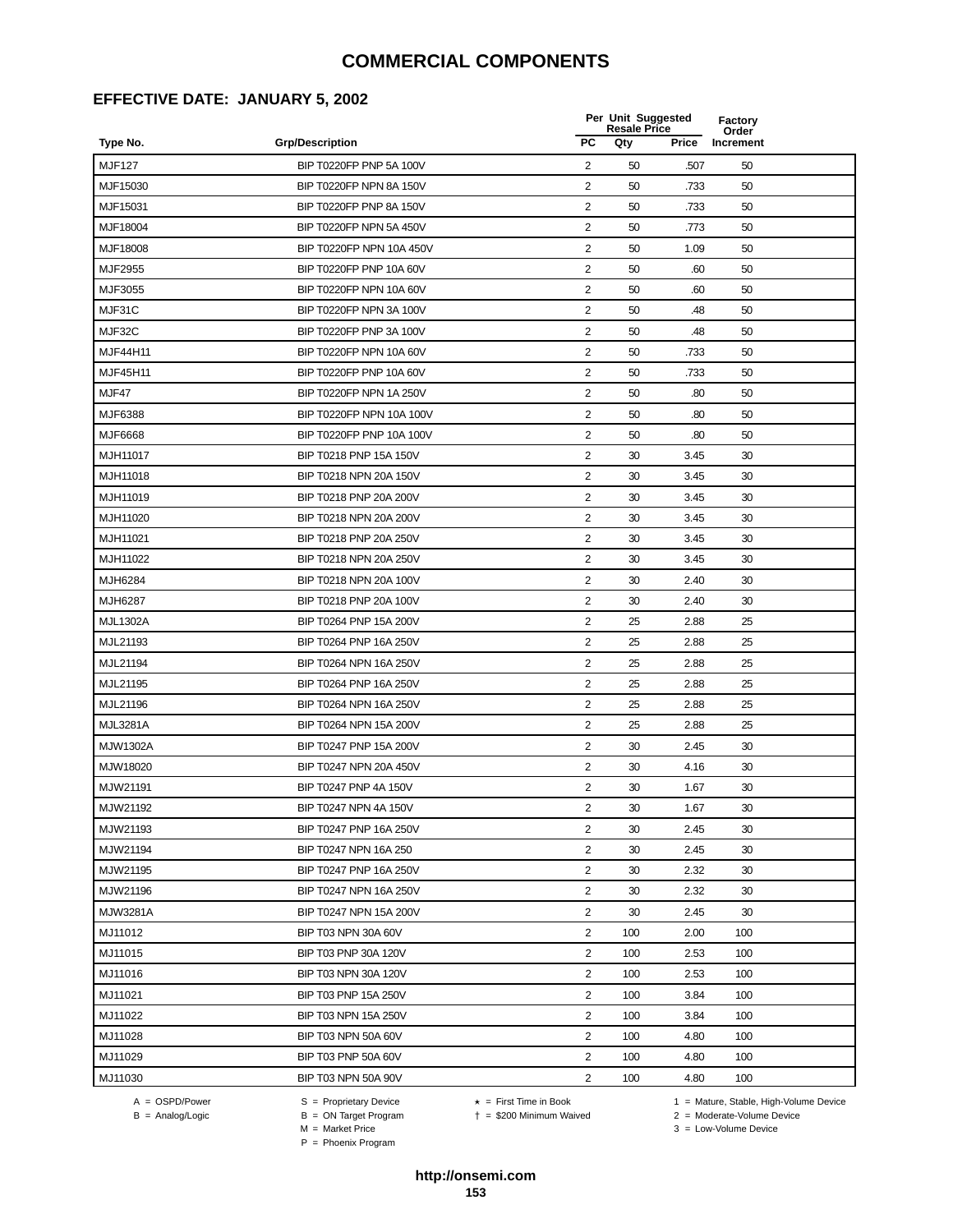# **EFFECTIVE DATE: JANUARY 5, 2002**

|                 |                          |                         | Per Unit Suggested<br><b>Resale Price</b> |       |                    |  |
|-----------------|--------------------------|-------------------------|-------------------------------------------|-------|--------------------|--|
| Type No.        | <b>Grp/Description</b>   | <b>PC</b>               | Qty                                       | Price | Order<br>Increment |  |
| <b>MJF127</b>   | BIP T0220FP PNP 5A 100V  | $\overline{2}$          | 50                                        | .507  | 50                 |  |
| MJF15030        | BIP T0220FP NPN 8A 150V  | 2                       | 50                                        | .733  | 50                 |  |
| MJF15031        | BIP T0220FP PNP 8A 150V  | $\overline{2}$          | 50                                        | .733  | 50                 |  |
| MJF18004        | BIP T0220FP NPN 5A 450V  | $\overline{2}$          | 50                                        | .773  | 50                 |  |
| MJF18008        | BIP T0220FP NPN 10A 450V | $\overline{\mathbf{c}}$ | 50                                        | 1.09  | 50                 |  |
| MJF2955         | BIP T0220FP PNP 10A 60V  | 2                       | 50                                        | .60   | 50                 |  |
| MJF3055         | BIP T0220FP NPN 10A 60V  | $\overline{c}$          | 50                                        | .60   | 50                 |  |
| MJF31C          | BIP T0220FP NPN 3A 100V  | 2                       | 50                                        | .48   | 50                 |  |
| MJF32C          | BIP T0220FP PNP 3A 100V  | $\overline{c}$          | 50                                        | .48   | 50                 |  |
| MJF44H11        | BIP T0220FP NPN 10A 60V  | 2                       | 50                                        | .733  | 50                 |  |
| MJF45H11        | BIP T0220FP PNP 10A 60V  | 2                       | 50                                        | .733  | 50                 |  |
| MJF47           | BIP T0220FP NPN 1A 250V  | $\overline{2}$          | 50                                        | .80   | 50                 |  |
| MJF6388         | BIP T0220FP NPN 10A 100V | $\overline{c}$          | 50                                        | .80   | 50                 |  |
| MJF6668         | BIP T0220FP PNP 10A 100V | $\overline{c}$          | 50                                        | .80   | 50                 |  |
| MJH11017        | BIP T0218 PNP 15A 150V   | $\overline{2}$          | 30                                        | 3.45  | 30                 |  |
| MJH11018        | BIP T0218 NPN 20A 150V   | $\overline{2}$          | 30                                        | 3.45  | 30                 |  |
| MJH11019        | BIP T0218 PNP 20A 200V   | 2                       | 30                                        | 3.45  | 30                 |  |
| MJH11020        | BIP T0218 NPN 20A 200V   | $\overline{2}$          | 30                                        | 3.45  | 30                 |  |
| MJH11021        | BIP T0218 PNP 20A 250V   | 2                       | 30                                        | 3.45  | 30                 |  |
| MJH11022        | BIP T0218 NPN 20A 250V   | 2                       | 30                                        | 3.45  | 30                 |  |
| MJH6284         | BIP T0218 NPN 20A 100V   | 2                       | 30                                        | 2.40  | 30                 |  |
| MJH6287         | BIP T0218 PNP 20A 100V   | $\overline{2}$          | 30                                        | 2.40  | 30                 |  |
| <b>MJL1302A</b> | BIP T0264 PNP 15A 200V   | $\overline{c}$          | 25                                        | 2.88  | 25                 |  |
| MJL21193        | BIP T0264 PNP 16A 250V   | 2                       | 25                                        | 2.88  | 25                 |  |
| MJL21194        | BIP T0264 NPN 16A 250V   | $\overline{2}$          | 25                                        | 2.88  | 25                 |  |
| MJL21195        | BIP T0264 PNP 16A 250V   | 2                       | 25                                        | 2.88  | 25                 |  |
| MJL21196        | BIP T0264 NPN 16A 250V   | $\overline{2}$          | 25                                        | 2.88  | 25                 |  |
| <b>MJL3281A</b> | BIP T0264 NPN 15A 200V   | 2                       | 25                                        | 2.88  | 25                 |  |
| <b>MJW1302A</b> | BIP T0247 PNP 15A 200V   | 2                       | 30                                        | 2.45  | 30                 |  |
| MJW18020        | BIP T0247 NPN 20A 450V   | $\overline{2}$          | 30                                        | 4.16  | 30                 |  |
| MJW21191        | BIP T0247 PNP 4A 150V    | $\overline{2}$          | 30                                        | 1.67  | 30                 |  |
| MJW21192        | BIP T0247 NPN 4A 150V    | $\overline{\mathbf{c}}$ | 30                                        | 1.67  | 30                 |  |
| MJW21193        | BIP T0247 PNP 16A 250V   | 2                       | 30                                        | 2.45  | 30                 |  |
| MJW21194        | BIP T0247 NPN 16A 250    | $\overline{2}$          | 30                                        | 2.45  | 30                 |  |
| MJW21195        | BIP T0247 PNP 16A 250V   | $\overline{2}$          | 30                                        | 2.32  | 30                 |  |
| MJW21196        | BIP T0247 NPN 16A 250V   | $\overline{2}$          | 30                                        | 2.32  | 30                 |  |
| MJW3281A        | BIP T0247 NPN 15A 200V   | $\overline{2}$          | 30                                        | 2.45  | 30                 |  |
| MJ11012         | BIP T03 NPN 30A 60V      | $\overline{c}$          | 100                                       | 2.00  | 100                |  |
| MJ11015         | BIP T03 PNP 30A 120V     | 2                       | 100                                       | 2.53  | 100                |  |
| MJ11016         | BIP T03 NPN 30A 120V     | $\overline{c}$          | 100                                       | 2.53  | 100                |  |
| MJ11021         | BIP T03 PNP 15A 250V     | $\overline{2}$          | 100                                       | 3.84  | 100                |  |
| MJ11022         | BIP T03 NPN 15A 250V     | $\overline{c}$          | 100                                       | 3.84  | 100                |  |
| MJ11028         | BIP T03 NPN 50A 60V      | $\overline{c}$          | 100                                       | 4.80  | 100                |  |
| MJ11029         | BIP T03 PNP 50A 60V      | $\overline{2}$          | 100                                       | 4.80  | 100                |  |
| MJ11030         | BIP T03 NPN 50A 90V      | $\overline{2}$          | 100                                       | 4.80  | 100                |  |
|                 |                          |                         |                                           |       |                    |  |

 $B = \text{Analog/Logic}$ <br>B = ON Target Program<br> $M = \text{Market Price}$ 

= \$200 Minimum Waived 2 = Moderate-Volume Device

A = OSPD/Power S = Proprietary Device  $\star$  = First Time in Book 1 = Mature, Stable, High-Volume Device

 $3 =$  Low-Volume Device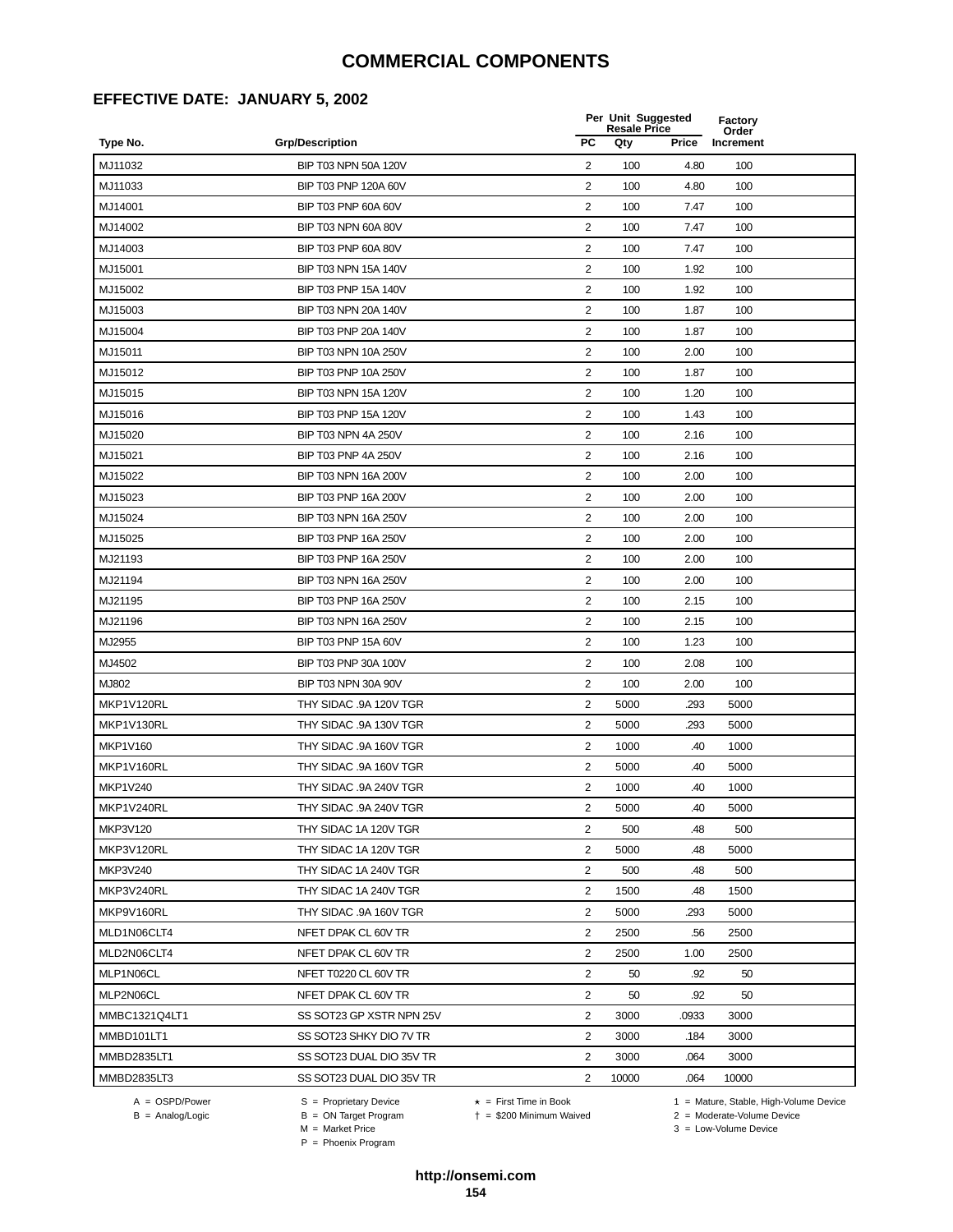# **EFFECTIVE DATE: JANUARY 5, 2002**

|                 |                          |                         | Per Unit Suggested<br><b>Resale Price</b> |              | Factory<br>Order |  |
|-----------------|--------------------------|-------------------------|-------------------------------------------|--------------|------------------|--|
| Type No.        | <b>Grp/Description</b>   | <b>PC</b>               | Qty                                       | <b>Price</b> | Increment        |  |
| MJ11032         | BIP T03 NPN 50A 120V     | $\overline{2}$          | 100                                       | 4.80         | 100              |  |
| MJ11033         | BIP T03 PNP 120A 60V     | 2                       | 100                                       | 4.80         | 100              |  |
| MJ14001         | BIP T03 PNP 60A 60V      | 2                       | 100                                       | 7.47         | 100              |  |
| MJ14002         | BIP T03 NPN 60A 80V      | 2                       | 100                                       | 7.47         | 100              |  |
| MJ14003         | BIP T03 PNP 60A 80V      | $\overline{2}$          | 100                                       | 7.47         | 100              |  |
| MJ15001         | BIP T03 NPN 15A 140V     | $\overline{2}$          | 100                                       | 1.92         | 100              |  |
| MJ15002         | BIP T03 PNP 15A 140V     | $\overline{2}$          | 100                                       | 1.92         | 100              |  |
| MJ15003         | BIP T03 NPN 20A 140V     | $\overline{\mathbf{c}}$ | 100                                       | 1.87         | 100              |  |
| MJ15004         | BIP T03 PNP 20A 140V     | $\overline{2}$          | 100                                       | 1.87         | 100              |  |
| MJ15011         | BIP T03 NPN 10A 250V     | $\overline{c}$          | 100                                       | 2.00         | 100              |  |
| MJ15012         | BIP T03 PNP 10A 250V     | 2                       | 100                                       | 1.87         | 100              |  |
| MJ15015         | BIP T03 NPN 15A 120V     | $\overline{2}$          | 100                                       | 1.20         | 100              |  |
| MJ15016         | BIP T03 PNP 15A 120V     | 2                       | 100                                       | 1.43         | 100              |  |
| MJ15020         | BIP T03 NPN 4A 250V      | $\overline{2}$          | 100                                       | 2.16         | 100              |  |
| MJ15021         | BIP T03 PNP 4A 250V      | $\overline{2}$          | 100                                       | 2.16         | 100              |  |
| MJ15022         | BIP T03 NPN 16A 200V     | $\overline{2}$          | 100                                       | 2.00         | 100              |  |
| MJ15023         | BIP T03 PNP 16A 200V     | $\overline{2}$          | 100                                       | 2.00         | 100              |  |
| MJ15024         | BIP T03 NPN 16A 250V     | 2                       | 100                                       | 2.00         | 100              |  |
| MJ15025         | BIP T03 PNP 16A 250V     | $\overline{2}$          | 100                                       | 2.00         | 100              |  |
| MJ21193         | BIP T03 PNP 16A 250V     | 2                       | 100                                       | 2.00         | 100              |  |
| MJ21194         | BIP T03 NPN 16A 250V     | 2                       | 100                                       | 2.00         | 100              |  |
| MJ21195         | BIP T03 PNP 16A 250V     | 2                       | 100                                       | 2.15         | 100              |  |
| MJ21196         | BIP T03 NPN 16A 250V     | $\overline{2}$          | 100                                       | 2.15         | 100              |  |
| MJ2955          | BIP T03 PNP 15A 60V      | $\overline{2}$          | 100                                       | 1.23         | 100              |  |
| MJ4502          | BIP T03 PNP 30A 100V     | $\overline{2}$          | 100                                       | 2.08         | 100              |  |
| MJ802           | BIP T03 NPN 30A 90V      | $\overline{2}$          | 100                                       | 2.00         | 100              |  |
| MKP1V120RL      | THY SIDAC .9A 120V TGR   | $\overline{2}$          | 5000                                      | .293         | 5000             |  |
| MKP1V130RL      | THY SIDAC .9A 130V TGR   | $\overline{2}$          | 5000                                      | .293         | 5000             |  |
| MKP1V160        | THY SIDAC .9A 160V TGR   | 2                       | 1000                                      | .40          | 1000             |  |
| MKP1V160RL      | THY SIDAC .9A 160V TGR   | 2                       | 5000                                      | .40          | 5000             |  |
| <b>MKP1V240</b> | THY SIDAC .9A 240V TGR   | 2                       | 1000                                      | .40          | 1000             |  |
| MKP1V240RL      | THY SIDAC .9A 240V TGR   | 2                       | 5000                                      | .40          | 5000             |  |
| MKP3V120        | THY SIDAC 1A 120V TGR    | $\overline{2}$          | 500                                       | .48          | 500              |  |
| MKP3V120RL      | THY SIDAC 1A 120V TGR    | $\overline{2}$          | 5000                                      | .48          | 5000             |  |
| MKP3V240        | THY SIDAC 1A 240V TGR    | $\overline{2}$          | 500                                       | .48          | 500              |  |
| MKP3V240RL      | THY SIDAC 1A 240V TGR    | 2                       | 1500                                      | .48          | 1500             |  |
| MKP9V160RL      | THY SIDAC .9A 160V TGR   | $\overline{2}$          | 5000                                      | .293         | 5000             |  |
| MLD1N06CLT4     | NFET DPAK CL 60V TR      | 2                       | 2500                                      | .56          | 2500             |  |
| MLD2N06CLT4     | NFET DPAK CL 60V TR      | $\overline{2}$          | 2500                                      | 1.00         | 2500             |  |
| MLP1N06CL       | NFET T0220 CL 60V TR     | 2                       | 50                                        | .92          | 50               |  |
| MLP2N06CL       | NFET DPAK CL 60V TR      | $\overline{2}$          | 50                                        | .92          | 50               |  |
| MMBC1321Q4LT1   | SS SOT23 GP XSTR NPN 25V | $\overline{2}$          | 3000                                      | .0933        | 3000             |  |
| MMBD101LT1      | SS SOT23 SHKY DIO 7V TR  | $\overline{2}$          | 3000                                      | .184         | 3000             |  |
| MMBD2835LT1     | SS SOT23 DUAL DIO 35V TR | 2                       | 3000                                      | .064         | 3000             |  |
| MMBD2835LT3     | SS SOT23 DUAL DIO 35V TR | $\overline{c}$          | 10000                                     | .064         | 10000            |  |
|                 |                          |                         |                                           |              |                  |  |

B = Analog/Logic<br>B = Analog/Logic<br>M = Market Price

= \$200 Minimum Waived 2 = Moderate-Volume Device

A = OSPD/Power S = Proprietary Device  $\star$  = First Time in Book 1 = Mature, Stable, High-Volume Device

 $3 =$  Low-Volume Device

P = Phoenix Program

**http://onsemi.com**

**154**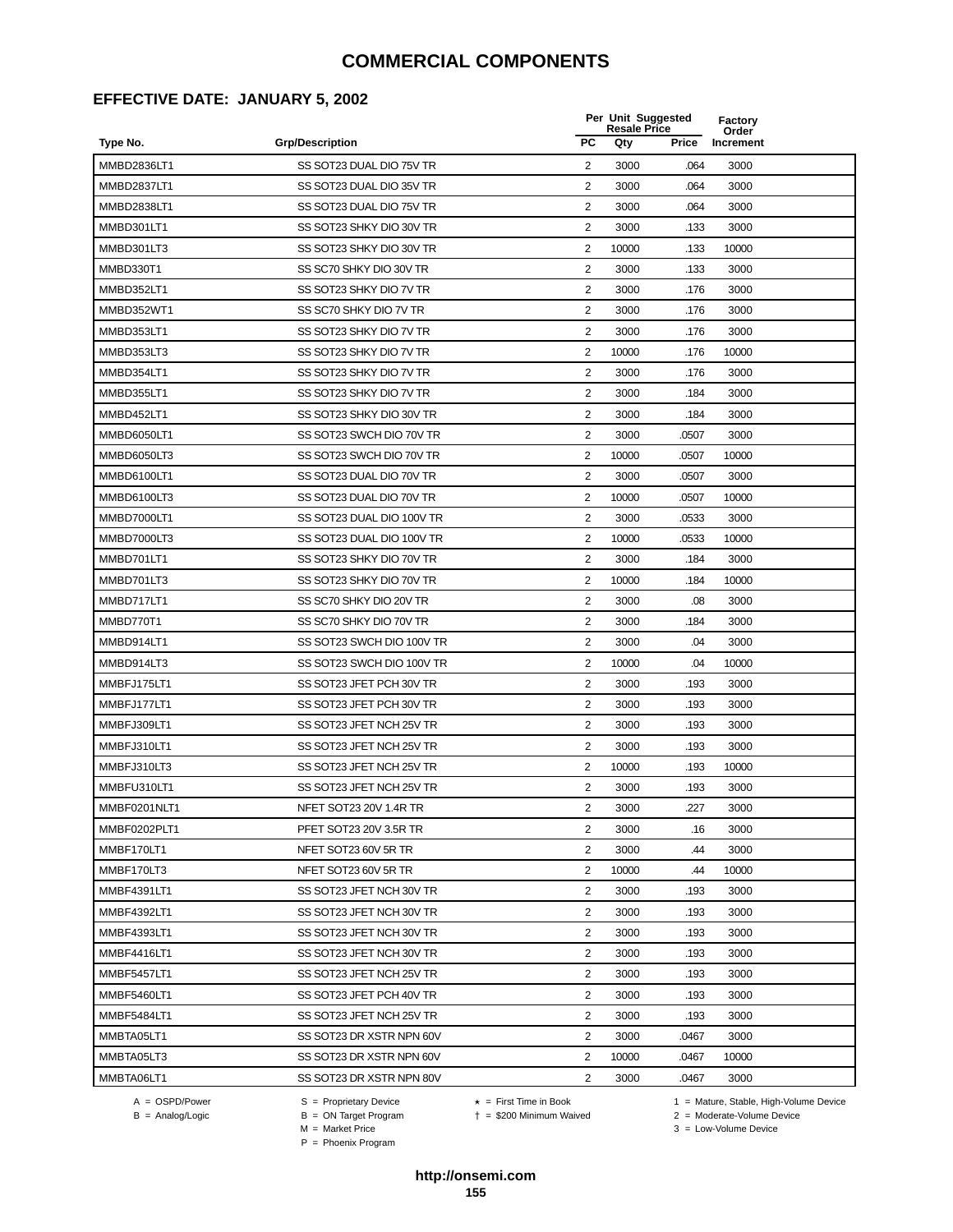# **EFFECTIVE DATE: JANUARY 5, 2002**

|                    | <b>Grp/Description</b>    |                | Per Unit Suggested<br><b>Resale Price</b> |       |                    |  |
|--------------------|---------------------------|----------------|-------------------------------------------|-------|--------------------|--|
| Type No.           |                           | <b>PC</b>      | Qty                                       | Price | Order<br>Increment |  |
| MMBD2836LT1        | SS SOT23 DUAL DIO 75V TR  | 2              | 3000                                      | .064  | 3000               |  |
| MMBD2837LT1        | SS SOT23 DUAL DIO 35V TR  | $\overline{2}$ | 3000                                      | .064  | 3000               |  |
| MMBD2838LT1        | SS SOT23 DUAL DIO 75V TR  | 2              | 3000                                      | .064  | 3000               |  |
| MMBD301LT1         | SS SOT23 SHKY DIO 30V TR  | 2              | 3000                                      | .133  | 3000               |  |
| MMBD301LT3         | SS SOT23 SHKY DIO 30V TR  | $\overline{2}$ | 10000                                     | .133  | 10000              |  |
| MMBD330T1          | SS SC70 SHKY DIO 30V TR   | 2              | 3000                                      | .133  | 3000               |  |
| MMBD352LT1         | SS SOT23 SHKY DIO 7V TR   | 2              | 3000                                      | .176  | 3000               |  |
| MMBD352WT1         | SS SC70 SHKY DIO 7V TR    | $\overline{2}$ | 3000                                      | .176  | 3000               |  |
| MMBD353LT1         | SS SOT23 SHKY DIO 7V TR   | $\overline{2}$ | 3000                                      | .176  | 3000               |  |
| MMBD353LT3         | SS SOT23 SHKY DIO 7V TR   | $\overline{2}$ | 10000                                     | .176  | 10000              |  |
| MMBD354LT1         | SS SOT23 SHKY DIO 7V TR   | 2              | 3000                                      | .176  | 3000               |  |
| MMBD355LT1         | SS SOT23 SHKY DIO 7V TR   | 2              | 3000                                      | .184  | 3000               |  |
| MMBD452LT1         | SS SOT23 SHKY DIO 30V TR  | 2              | 3000                                      | .184  | 3000               |  |
| MMBD6050LT1        | SS SOT23 SWCH DIO 70V TR  | 2              | 3000                                      | .0507 | 3000               |  |
| MMBD6050LT3        | SS SOT23 SWCH DIO 70V TR  | 2              | 10000                                     | .0507 | 10000              |  |
| MMBD6100LT1        | SS SOT23 DUAL DIO 70V TR  | 2              | 3000                                      | .0507 | 3000               |  |
| MMBD6100LT3        | SS SOT23 DUAL DIO 70V TR  | $\overline{2}$ | 10000                                     | .0507 | 10000              |  |
| MMBD7000LT1        | SS SOT23 DUAL DIO 100V TR | $\overline{c}$ | 3000                                      | .0533 | 3000               |  |
| MMBD7000LT3        | SS SOT23 DUAL DIO 100V TR | $\overline{2}$ | 10000                                     | .0533 | 10000              |  |
| MMBD701LT1         | SS SOT23 SHKY DIO 70V TR  | $\overline{2}$ | 3000                                      | .184  | 3000               |  |
| MMBD701LT3         | SS SOT23 SHKY DIO 70V TR  | $\overline{2}$ | 10000                                     | .184  | 10000              |  |
| MMBD717LT1         | SS SC70 SHKY DIO 20V TR   | 2              | 3000                                      | .08   | 3000               |  |
| MMBD770T1          | SS SC70 SHKY DIO 70V TR   | 2              | 3000                                      | .184  | 3000               |  |
| MMBD914LT1         | SS SOT23 SWCH DIO 100V TR | 2              | 3000                                      | .04   | 3000               |  |
| MMBD914LT3         | SS SOT23 SWCH DIO 100V TR | $\overline{2}$ | 10000                                     | .04   | 10000              |  |
| MMBFJ175LT1        | SS SOT23 JFET PCH 30V TR  | $\overline{2}$ | 3000                                      | .193  | 3000               |  |
| MMBFJ177LT1        | SS SOT23 JFET PCH 30V TR  | 2              | 3000                                      | .193  | 3000               |  |
| MMBFJ309LT1        | SS SOT23 JFET NCH 25V TR  | 2              | 3000                                      | .193  | 3000               |  |
| MMBFJ310LT1        | SS SOT23 JFET NCH 25V TR  | 2              | 3000                                      | .193  | 3000               |  |
| MMBFJ310LT3        | SS SOT23 JFET NCH 25V TR  | 2              | 10000                                     | .193  | 10000              |  |
| MMBFU310LT1        | SS SOT23 JFET NCH 25V TR  | 2              | 3000                                      | .193  | 3000               |  |
| MMBF0201NLT1       | NFET SOT23 20V 1.4R TR    | 2              | 3000                                      | .227  | 3000               |  |
| MMBF0202PLT1       | PFET SOT23 20V 3.5R TR    | 2              | 3000                                      | .16   | 3000               |  |
| MMBF170LT1         | NFET SOT23 60V 5R TR      | 2              | 3000                                      | .44   | 3000               |  |
| MMBF170LT3         | NFET SOT23 60V 5R TR      | $\overline{2}$ | 10000                                     | .44   | 10000              |  |
| MMBF4391LT1        | SS SOT23 JFET NCH 30V TR  | $\overline{2}$ | 3000                                      | .193  | 3000               |  |
| MMBF4392LT1        | SS SOT23 JFET NCH 30V TR  | 2              | 3000                                      | .193  | 3000               |  |
| MMBF4393LT1        | SS SOT23 JFET NCH 30V TR  | 2              | 3000                                      | .193  | 3000               |  |
| MMBF4416LT1        | SS SOT23 JFET NCH 30V TR  | 2              | 3000                                      | .193  | 3000               |  |
| <b>MMBF5457LT1</b> | SS SOT23 JFET NCH 25V TR  | 2              | 3000                                      | .193  | 3000               |  |
| MMBF5460LT1        | SS SOT23 JFET PCH 40V TR  | 2              | 3000                                      | .193  | 3000               |  |
| MMBF5484LT1        | SS SOT23 JFET NCH 25V TR  | 2              | 3000                                      | .193  | 3000               |  |
| MMBTA05LT1         | SS SOT23 DR XSTR NPN 60V  | 2              | 3000                                      | .0467 | 3000               |  |
| MMBTA05LT3         | SS SOT23 DR XSTR NPN 60V  | 2              | 10000                                     | .0467 | 10000              |  |
| MMBTA06LT1         | SS SOT23 DR XSTR NPN 80V  | 2              | 3000                                      | .0467 | 3000               |  |

A = OSPD/Power S = Proprietary Device<br>
B = Analog/Logic B = ON Target Program<br>
M = Market Price

A = OSPD/Power S = Proprietary Device  $\star$  = First Time in Book 1 = Mature, Stable, High-Volume Device

 = \$200 Minimum Waived 2 = Moderate-Volume Device  $2 =$  Moderate-Volume Device<br> $3 =$  Low-Volume Device

P = Phoenix Program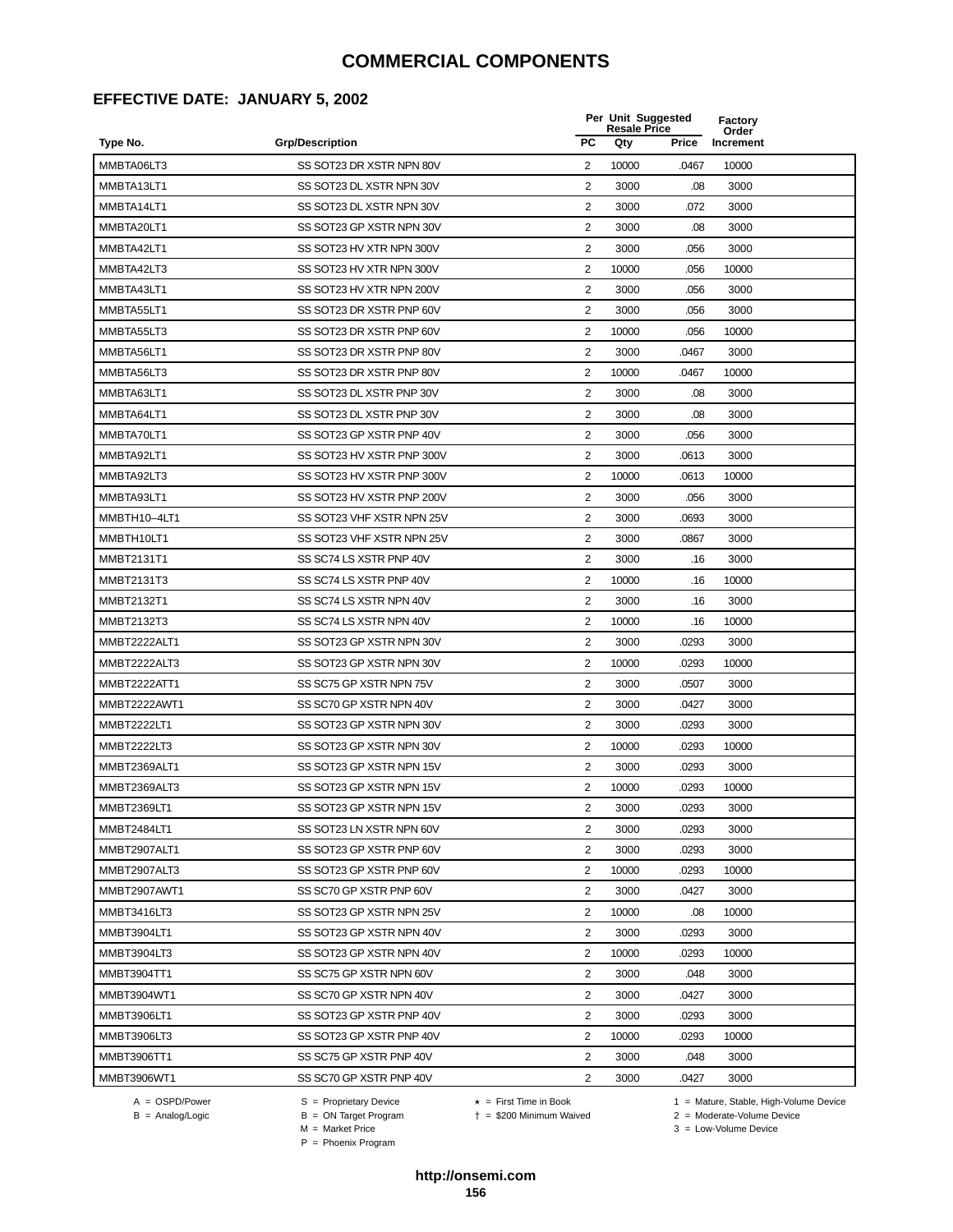# **EFFECTIVE DATE: JANUARY 5, 2002**

|              |                           |                | Per Unit Suggested<br><b>Resale Price</b> |              | Factory<br>Order |  |
|--------------|---------------------------|----------------|-------------------------------------------|--------------|------------------|--|
| Type No.     | <b>Grp/Description</b>    | <b>PC</b>      | Qty                                       | <b>Price</b> | Increment        |  |
| MMBTA06LT3   | SS SOT23 DR XSTR NPN 80V  | $\overline{2}$ | 10000                                     | .0467        | 10000            |  |
| MMBTA13LT1   | SS SOT23 DL XSTR NPN 30V  | 2              | 3000                                      | .08          | 3000             |  |
| MMBTA14LT1   | SS SOT23 DL XSTR NPN 30V  | 2              | 3000                                      | .072         | 3000             |  |
| MMBTA20LT1   | SS SOT23 GP XSTR NPN 30V  | $\overline{2}$ | 3000                                      | .08          | 3000             |  |
| MMBTA42LT1   | SS SOT23 HV XTR NPN 300V  | $\overline{2}$ | 3000                                      | .056         | 3000             |  |
| MMBTA42LT3   | SS SOT23 HV XTR NPN 300V  | 2              | 10000                                     | .056         | 10000            |  |
| MMBTA43LT1   | SS SOT23 HV XTR NPN 200V  | $\overline{2}$ | 3000                                      | .056         | 3000             |  |
| MMBTA55LT1   | SS SOT23 DR XSTR PNP 60V  | 2              | 3000                                      | .056         | 3000             |  |
| MMBTA55LT3   | SS SOT23 DR XSTR PNP 60V  | $\overline{2}$ | 10000                                     | .056         | 10000            |  |
| MMBTA56LT1   | SS SOT23 DR XSTR PNP 80V  | $\overline{2}$ | 3000                                      | .0467        | 3000             |  |
| MMBTA56LT3   | SS SOT23 DR XSTR PNP 80V  | $\overline{2}$ | 10000                                     | .0467        | 10000            |  |
| MMBTA63LT1   | SS SOT23 DL XSTR PNP 30V  | 2              | 3000                                      | .08          | 3000             |  |
| MMBTA64LT1   | SS SOT23 DL XSTR PNP 30V  | $\overline{2}$ | 3000                                      | .08          | 3000             |  |
| MMBTA70LT1   | SS SOT23 GP XSTR PNP 40V  | $\overline{2}$ | 3000                                      | .056         | 3000             |  |
| MMBTA92LT1   | SS SOT23 HV XSTR PNP 300V | 2              | 3000                                      | .0613        | 3000             |  |
| MMBTA92LT3   | SS SOT23 HV XSTR PNP 300V | $\overline{2}$ | 10000                                     | .0613        | 10000            |  |
| MMBTA93LT1   | SS SOT23 HV XSTR PNP 200V | 2              | 3000                                      | .056         | 3000             |  |
| MMBTH10-4LT1 | SS SOT23 VHF XSTR NPN 25V | $\overline{2}$ | 3000                                      | .0693        | 3000             |  |
| MMBTH10LT1   | SS SOT23 VHF XSTR NPN 25V | 2              | 3000                                      | .0867        | 3000             |  |
| MMBT2131T1   | SS SC74 LS XSTR PNP 40V   | 2              | 3000                                      | .16          | 3000             |  |
| MMBT2131T3   | SS SC74 LS XSTR PNP 40V   | 2              | 10000                                     | .16          | 10000            |  |
| MMBT2132T1   | SS SC74 LS XSTR NPN 40V   | 2              | 3000                                      | .16          | 3000             |  |
| MMBT2132T3   | SS SC74 LS XSTR NPN 40V   | 2              | 10000                                     | .16          | 10000            |  |
| MMBT2222ALT1 | SS SOT23 GP XSTR NPN 30V  | 2              | 3000                                      | .0293        | 3000             |  |
| MMBT2222ALT3 | SS SOT23 GP XSTR NPN 30V  | $\overline{2}$ | 10000                                     | .0293        | 10000            |  |
| MMBT2222ATT1 | SS SC75 GP XSTR NPN 75V   | 2              | 3000                                      | .0507        | 3000             |  |
| MMBT2222AWT1 | SS SC70 GP XSTR NPN 40V   | $\overline{2}$ | 3000                                      | .0427        | 3000             |  |
| MMBT2222LT1  | SS SOT23 GP XSTR NPN 30V  | 2              | 3000                                      | .0293        | 3000             |  |
| MMBT2222LT3  | SS SOT23 GP XSTR NPN 30V  | $\overline{2}$ | 10000                                     | .0293        | 10000            |  |
| MMBT2369ALT1 | SS SOT23 GP XSTR NPN 15V  | 2              | 3000                                      | .0293        | 3000             |  |
| MMBT2369ALT3 | SS SOT23 GP XSTR NPN 15V  | $\overline{2}$ | 10000                                     | .0293        | 10000            |  |
| MMBT2369LT1  | SS SOT23 GP XSTR NPN 15V  | 2              | 3000                                      | .0293        | 3000             |  |
| MMBT2484LT1  | SS SOT23 LN XSTR NPN 60V  | 2              | 3000                                      | .0293        | 3000             |  |
| MMBT2907ALT1 | SS SOT23 GP XSTR PNP 60V  | 2              | 3000                                      | .0293        | 3000             |  |
| MMBT2907ALT3 | SS SOT23 GP XSTR PNP 60V  | $\overline{2}$ | 10000                                     | .0293        | 10000            |  |
| MMBT2907AWT1 | SS SC70 GP XSTR PNP 60V   | 2              | 3000                                      | .0427        | 3000             |  |
| MMBT3416LT3  | SS SOT23 GP XSTR NPN 25V  | 2              | 10000                                     | .08          | 10000            |  |
| MMBT3904LT1  | SS SOT23 GP XSTR NPN 40V  | 2              | 3000                                      | .0293        | 3000             |  |
| MMBT3904LT3  | SS SOT23 GP XSTR NPN 40V  | 2              | 10000                                     | .0293        | 10000            |  |
| MMBT3904TT1  | SS SC75 GP XSTR NPN 60V   | 2              | 3000                                      | .048         | 3000             |  |
| MMBT3904WT1  | SS SC70 GP XSTR NPN 40V   | 2              | 3000                                      | .0427        | 3000             |  |
| MMBT3906LT1  | SS SOT23 GP XSTR PNP 40V  | 2              | 3000                                      | .0293        | 3000             |  |
| MMBT3906LT3  | SS SOT23 GP XSTR PNP 40V  | 2              | 10000                                     | .0293        | 10000            |  |
| MMBT3906TT1  | SS SC75 GP XSTR PNP 40V   | 2              | 3000                                      | .048         | 3000             |  |
| MMBT3906WT1  | SS SC70 GP XSTR PNP 40V   | 2              | 3000                                      | .0427        | 3000             |  |

A = OSPD/Power S = Proprietary Device<br>
B = Analog/Logic B = ON Target Program<br>
M = Market Price

= \$200 Minimum Waived 2 = Moderate-Volume Device

A = OSPD/Power S = Proprietary Device  $\star$  = First Time in Book 1 = Mature, Stable, High-Volume Device

 $2 =$  Moderate-Volume Device<br> $3 =$  Low-Volume Device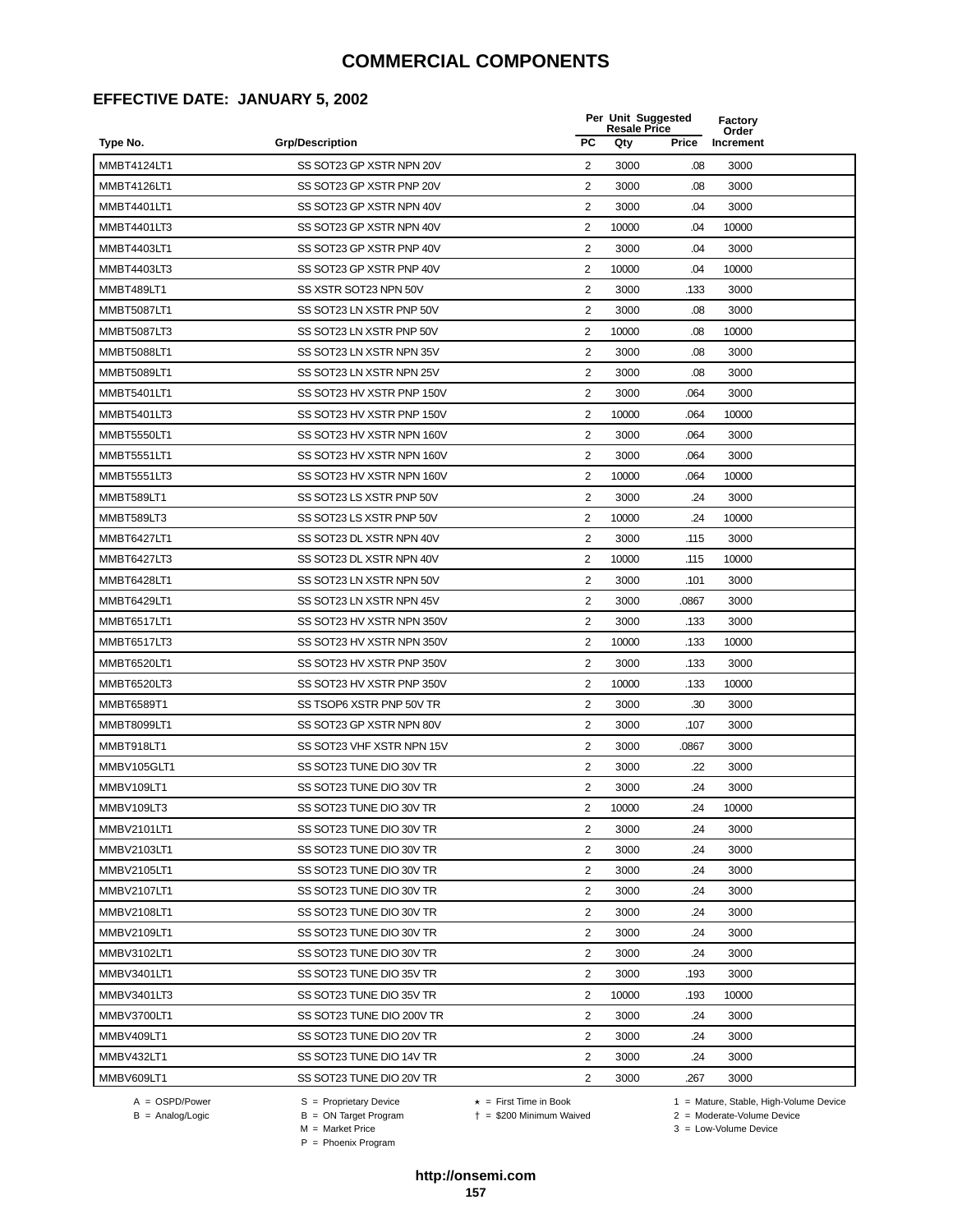#### **EFFECTIVE DATE: JANUARY 5, 2002**

|                    |                           |                | Per Unit Suggested<br><b>Resale Price</b> |       | <b>Factory</b><br>Order |
|--------------------|---------------------------|----------------|-------------------------------------------|-------|-------------------------|
| Type No.           | <b>Grp/Description</b>    | <b>PC</b>      | Qty                                       | Price | Increment               |
| MMBT4124LT1        | SS SOT23 GP XSTR NPN 20V  | 2              | 3000                                      | .08   | 3000                    |
| MMBT4126LT1        | SS SOT23 GP XSTR PNP 20V  | $\overline{2}$ | 3000                                      | .08   | 3000                    |
| MMBT4401LT1        | SS SOT23 GP XSTR NPN 40V  | 2              | 3000                                      | .04   | 3000                    |
| MMBT4401LT3        | SS SOT23 GP XSTR NPN 40V  | $\sqrt{2}$     | 10000                                     | .04   | 10000                   |
| MMBT4403LT1        | SS SOT23 GP XSTR PNP 40V  | $\overline{2}$ | 3000                                      | .04   | 3000                    |
| MMBT4403LT3        | SS SOT23 GP XSTR PNP 40V  | $\overline{2}$ | 10000                                     | .04   | 10000                   |
| MMBT489LT1         | SS XSTR SOT23 NPN 50V     | $\overline{2}$ | 3000                                      | .133  | 3000                    |
| <b>MMBT5087LT1</b> | SS SOT23 LN XSTR PNP 50V  | 2              | 3000                                      | .08   | 3000                    |
| <b>MMBT5087LT3</b> | SS SOT23 LN XSTR PNP 50V  | $\overline{c}$ | 10000                                     | .08   | 10000                   |
| MMBT5088LT1        | SS SOT23 LN XSTR NPN 35V  | $\overline{2}$ | 3000                                      | .08   | 3000                    |
| MMBT5089LT1        | SS SOT23 LN XSTR NPN 25V  | 2              | 3000                                      | .08   | 3000                    |
| MMBT5401LT1        | SS SOT23 HV XSTR PNP 150V | $\overline{2}$ | 3000                                      | .064  | 3000                    |
| MMBT5401LT3        | SS SOT23 HV XSTR PNP 150V | $\overline{2}$ | 10000                                     | .064  | 10000                   |
| MMBT5550LT1        | SS SOT23 HV XSTR NPN 160V | $\sqrt{2}$     | 3000                                      | .064  | 3000                    |
| <b>MMBT5551LT1</b> | SS SOT23 HV XSTR NPN 160V | $\overline{2}$ | 3000                                      | .064  | 3000                    |
| MMBT5551LT3        | SS SOT23 HV XSTR NPN 160V | 2              | 10000                                     | .064  | 10000                   |
| MMBT589LT1         | SS SOT23 LS XSTR PNP 50V  | 2              | 3000                                      | .24   | 3000                    |
| MMBT589LT3         | SS SOT23 LS XSTR PNP 50V  | $\overline{c}$ | 10000                                     | .24   | 10000                   |
| MMBT6427LT1        | SS SOT23 DL XSTR NPN 40V  | $\overline{2}$ | 3000                                      | .115  | 3000                    |
| MMBT6427LT3        | SS SOT23 DL XSTR NPN 40V  | $\overline{2}$ | 10000                                     | .115  | 10000                   |
| MMBT6428LT1        | SS SOT23 LN XSTR NPN 50V  | 2              | 3000                                      | .101  | 3000                    |
| MMBT6429LT1        | SS SOT23 LN XSTR NPN 45V  | 2              | 3000                                      | .0867 | 3000                    |
| <b>MMBT6517LT1</b> | SS SOT23 HV XSTR NPN 350V | $\sqrt{2}$     | 3000                                      | .133  | 3000                    |
| MMBT6517LT3        | SS SOT23 HV XSTR NPN 350V | $\overline{2}$ | 10000                                     | .133  | 10000                   |
| MMBT6520LT1        | SS SOT23 HV XSTR PNP 350V | $\overline{2}$ | 3000                                      | .133  | 3000                    |
| MMBT6520LT3        | SS SOT23 HV XSTR PNP 350V | 2              | 10000                                     | .133  | 10000                   |
| MMBT6589T1         | SS TSOP6 XSTR PNP 50V TR  | $\overline{2}$ | 3000                                      | .30   | 3000                    |
| MMBT8099LT1        | SS SOT23 GP XSTR NPN 80V  | 2              | 3000                                      | .107  | 3000                    |
| MMBT918LT1         | SS SOT23 VHF XSTR NPN 15V | $\overline{2}$ | 3000                                      | .0867 | 3000                    |
| MMBV105GLT1        | SS SOT23 TUNE DIO 30V TR  | 2              | 3000                                      | .22   | 3000                    |
| MMBV109LT1         | SS SOT23 TUNE DIO 30V TR  | $\overline{2}$ | 3000                                      | .24   | 3000                    |
| MMBV109LT3         | SS SOT23 TUNE DIO 30V TR  | 2              | 10000                                     | 24    | 10000                   |
| MMBV2101LT1        | SS SOT23 TUNE DIO 30V TR  | 2              | 3000                                      | .24   | 3000                    |
| MMBV2103LT1        | SS SOT23 TUNE DIO 30V TR  | $\overline{2}$ | 3000                                      | .24   | 3000                    |
| MMBV2105LT1        | SS SOT23 TUNE DIO 30V TR  | $\overline{2}$ | 3000                                      | .24   | 3000                    |
| <b>MMBV2107LT1</b> | SS SOT23 TUNE DIO 30V TR  | 2              | 3000                                      | .24   | 3000                    |
| MMBV2108LT1        | SS SOT23 TUNE DIO 30V TR  | $\overline{2}$ | 3000                                      | .24   | 3000                    |
| MMBV2109LT1        | SS SOT23 TUNE DIO 30V TR  | 2              | 3000                                      | .24   | 3000                    |
| MMBV3102LT1        | SS SOT23 TUNE DIO 30V TR  | $\overline{2}$ | 3000                                      | .24   | 3000                    |
| MMBV3401LT1        | SS SOT23 TUNE DIO 35V TR  | 2              | 3000                                      | .193  | 3000                    |
| MMBV3401LT3        | SS SOT23 TUNE DIO 35V TR  | $\overline{2}$ | 10000                                     | .193  | 10000                   |
| MMBV3700LT1        | SS SOT23 TUNE DIO 200V TR | 2              | 3000                                      | .24   | 3000                    |
| MMBV409LT1         | SS SOT23 TUNE DIO 20V TR  | 2              | 3000                                      | .24   | 3000                    |
| MMBV432LT1         | SS SOT23 TUNE DIO 14V TR  | $\overline{2}$ | 3000                                      | .24   | 3000                    |
| MMBV609LT1         | SS SOT23 TUNE DIO 20V TR  | 2              | 3000                                      | .267  | 3000                    |

B = Analog/Logic<br>B = Analog/Logic<br>M = Market Price

A = OSPD/Power S = Proprietary Device  $\star$  = First Time in Book 1 = Mature, Stable, High-Volume Device = \$200 Minimum Waived 2 = Moderate-Volume Device

 $3 =$  Low-Volume Device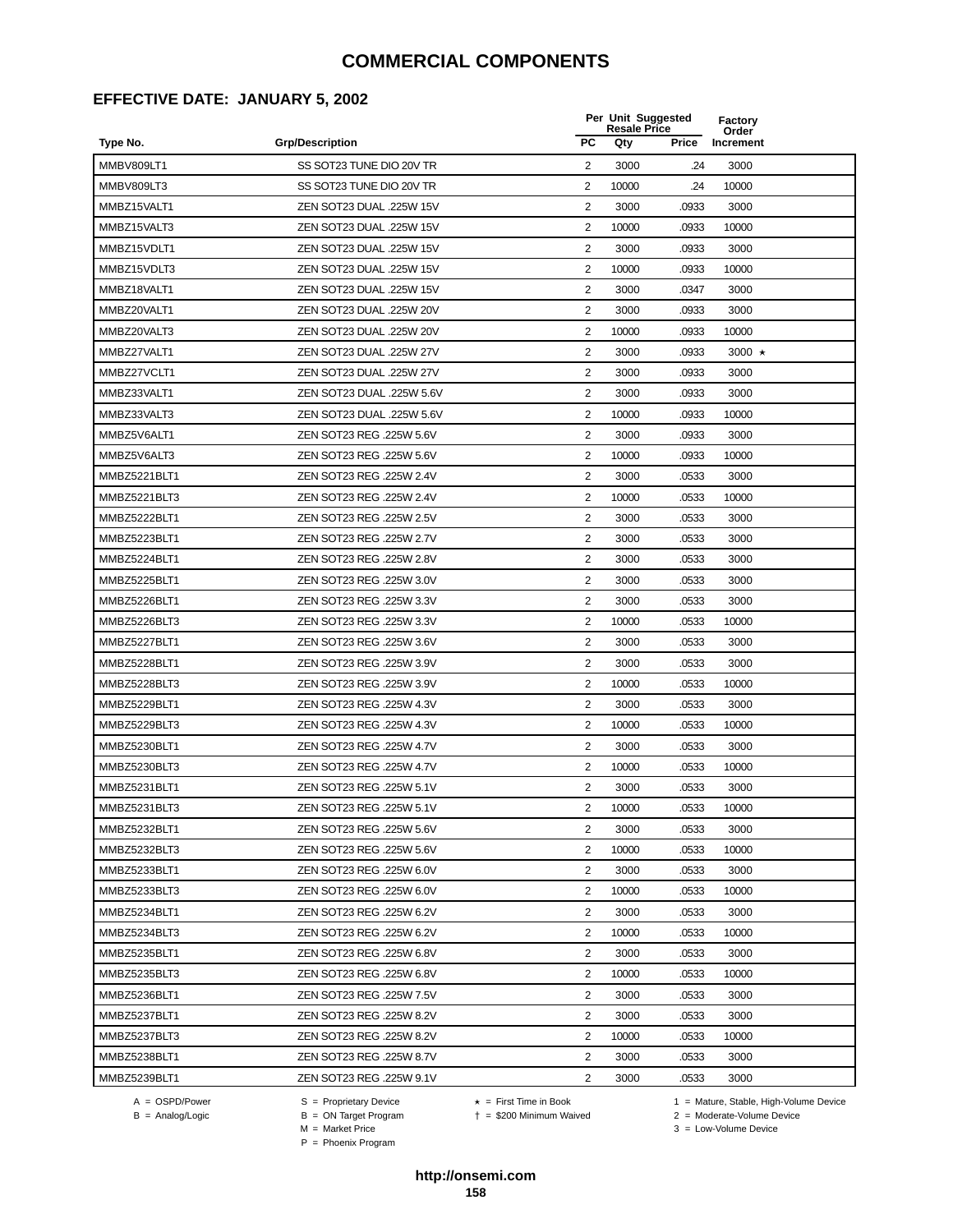# **EFFECTIVE DATE: JANUARY 5, 2002**

|              |                           |                | Per Unit Suggested<br><b>Resale Price</b> |       | Factory<br>Order |
|--------------|---------------------------|----------------|-------------------------------------------|-------|------------------|
| Type No.     | <b>Grp/Description</b>    | <b>PC</b>      | Qty                                       | Price | Increment        |
| MMBV809LT1   | SS SOT23 TUNE DIO 20V TR  | 2              | 3000                                      | .24   | 3000             |
| MMBV809LT3   | SS SOT23 TUNE DIO 20V TR  | $\overline{2}$ | 10000                                     | .24   | 10000            |
| MMBZ15VALT1  | ZEN SOT23 DUAL .225W 15V  | 2              | 3000                                      | .0933 | 3000             |
| MMBZ15VALT3  | ZEN SOT23 DUAL .225W 15V  | 2              | 10000                                     | .0933 | 10000            |
| MMBZ15VDLT1  | ZEN SOT23 DUAL .225W 15V  | $\overline{2}$ | 3000                                      | .0933 | 3000             |
| MMBZ15VDLT3  | ZEN SOT23 DUAL .225W 15V  | 2              | 10000                                     | .0933 | 10000            |
| MMBZ18VALT1  | ZEN SOT23 DUAL .225W 15V  | $\overline{2}$ | 3000                                      | .0347 | 3000             |
| MMBZ20VALT1  | ZEN SOT23 DUAL .225W 20V  | 2              | 3000                                      | .0933 | 3000             |
| MMBZ20VALT3  | ZEN SOT23 DUAL .225W 20V  | $\overline{2}$ | 10000                                     | .0933 | 10000            |
| MMBZ27VALT1  | ZEN SOT23 DUAL .225W 27V  | $\overline{2}$ | 3000                                      | .0933 | 3000 $\star$     |
| MMBZ27VCLT1  | ZEN SOT23 DUAL .225W 27V  | 2              | 3000                                      | .0933 | 3000             |
| MMBZ33VALT1  | ZEN SOT23 DUAL .225W 5.6V | 2              | 3000                                      | .0933 | 3000             |
| MMBZ33VALT3  | ZEN SOT23 DUAL .225W 5.6V | 2              | 10000                                     | .0933 | 10000            |
| MMBZ5V6ALT1  | ZEN SOT23 REG .225W 5.6V  | $\overline{2}$ | 3000                                      | .0933 | 3000             |
| MMBZ5V6ALT3  | ZEN SOT23 REG .225W 5.6V  | 2              | 10000                                     | .0933 | 10000            |
| MMBZ5221BLT1 | ZEN SOT23 REG .225W 2.4V  | $\overline{2}$ | 3000                                      | .0533 | 3000             |
| MMBZ5221BLT3 | ZEN SOT23 REG .225W 2.4V  | 2              | 10000                                     | .0533 | 10000            |
| MMBZ5222BLT1 | ZEN SOT23 REG .225W 2.5V  | $\overline{2}$ | 3000                                      | .0533 | 3000             |
| MMBZ5223BLT1 | ZEN SOT23 REG .225W 2.7V  | $\overline{2}$ | 3000                                      | .0533 | 3000             |
| MMBZ5224BLT1 | ZEN SOT23 REG .225W 2.8V  | 2              | 3000                                      | .0533 | 3000             |
| MMBZ5225BLT1 | ZEN SOT23 REG .225W 3.0V  | $\overline{2}$ | 3000                                      | .0533 | 3000             |
| MMBZ5226BLT1 | ZEN SOT23 REG .225W 3.3V  | 2              | 3000                                      | .0533 | 3000             |
| MMBZ5226BLT3 | ZEN SOT23 REG .225W 3.3V  | $\overline{2}$ | 10000                                     | .0533 | 10000            |
| MMBZ5227BLT1 | ZEN SOT23 REG .225W 3.6V  | 2              | 3000                                      | .0533 | 3000             |
| MMBZ5228BLT1 | ZEN SOT23 REG .225W 3.9V  | $\overline{2}$ | 3000                                      | .0533 | 3000             |
| MMBZ5228BLT3 | ZEN SOT23 REG .225W 3.9V  | 2              | 10000                                     | .0533 | 10000            |
| MMBZ5229BLT1 | ZEN SOT23 REG .225W 4.3V  | $\overline{2}$ | 3000                                      | .0533 | 3000             |
| MMBZ5229BLT3 | ZEN SOT23 REG .225W 4.3V  | 2              | 10000                                     | .0533 | 10000            |
| MMBZ5230BLT1 | ZEN SOT23 REG .225W 4.7V  | 2              | 3000                                      | .0533 | 3000             |
| MMBZ5230BLT3 | ZEN SOT23 REG .225W 4.7V  | 2              | 10000                                     | .0533 | 10000            |
| MMBZ5231BLT1 | ZEN SOT23 REG .225W 5.1V  | 2              | 3000                                      | .0533 | 3000             |
| MMBZ5231BLT3 | ZEN SOT23 REG .225W 5.1V  | 2              | 10000                                     | .0533 | 10000            |
| MMBZ5232BLT1 | ZEN SOT23 REG .225W 5.6V  | 2              | 3000                                      | .0533 | 3000             |
| MMBZ5232BLT3 | ZEN SOT23 REG .225W 5.6V  | 2              | 10000                                     | .0533 | 10000            |
| MMBZ5233BLT1 | ZEN SOT23 REG .225W 6.0V  | $\overline{2}$ | 3000                                      | .0533 | 3000             |
| MMBZ5233BLT3 | ZEN SOT23 REG .225W 6.0V  | 2              | 10000                                     | .0533 | 10000            |
| MMBZ5234BLT1 | ZEN SOT23 REG .225W 6.2V  | 2              | 3000                                      | .0533 | 3000             |
| MMBZ5234BLT3 | ZEN SOT23 REG .225W 6.2V  | 2              | 10000                                     | .0533 | 10000            |
| MMBZ5235BLT1 | ZEN SOT23 REG .225W 6.8V  | 2              | 3000                                      | .0533 | 3000             |
| MMBZ5235BLT3 | ZEN SOT23 REG .225W 6.8V  | 2              | 10000                                     | .0533 | 10000            |
| MMBZ5236BLT1 | ZEN SOT23 REG .225W 7.5V  | $\overline{2}$ | 3000                                      | .0533 | 3000             |
| MMBZ5237BLT1 | ZEN SOT23 REG .225W 8.2V  | 2              | 3000                                      | .0533 | 3000             |
| MMBZ5237BLT3 | ZEN SOT23 REG .225W 8.2V  | $\overline{2}$ | 10000                                     | .0533 | 10000            |
| MMBZ5238BLT1 | ZEN SOT23 REG .225W 8.7V  | $\overline{2}$ | 3000                                      | .0533 | 3000             |
| MMBZ5239BLT1 | ZEN SOT23 REG .225W 9.1V  | $\overline{2}$ | 3000                                      | .0533 | 3000             |

A = OSPD/Power S = Proprietary Device<br>
B = Analog/Logic B = ON Target Program<br>
M = Market Price

= \$200 Minimum Waived 2 = Moderate-Volume Device

A = OSPD/Power S = Proprietary Device  $\star$  = First Time in Book 1 = Mature, Stable, High-Volume Device

 $2 =$  Moderate-Volume Device<br> $3 =$  Low-Volume Device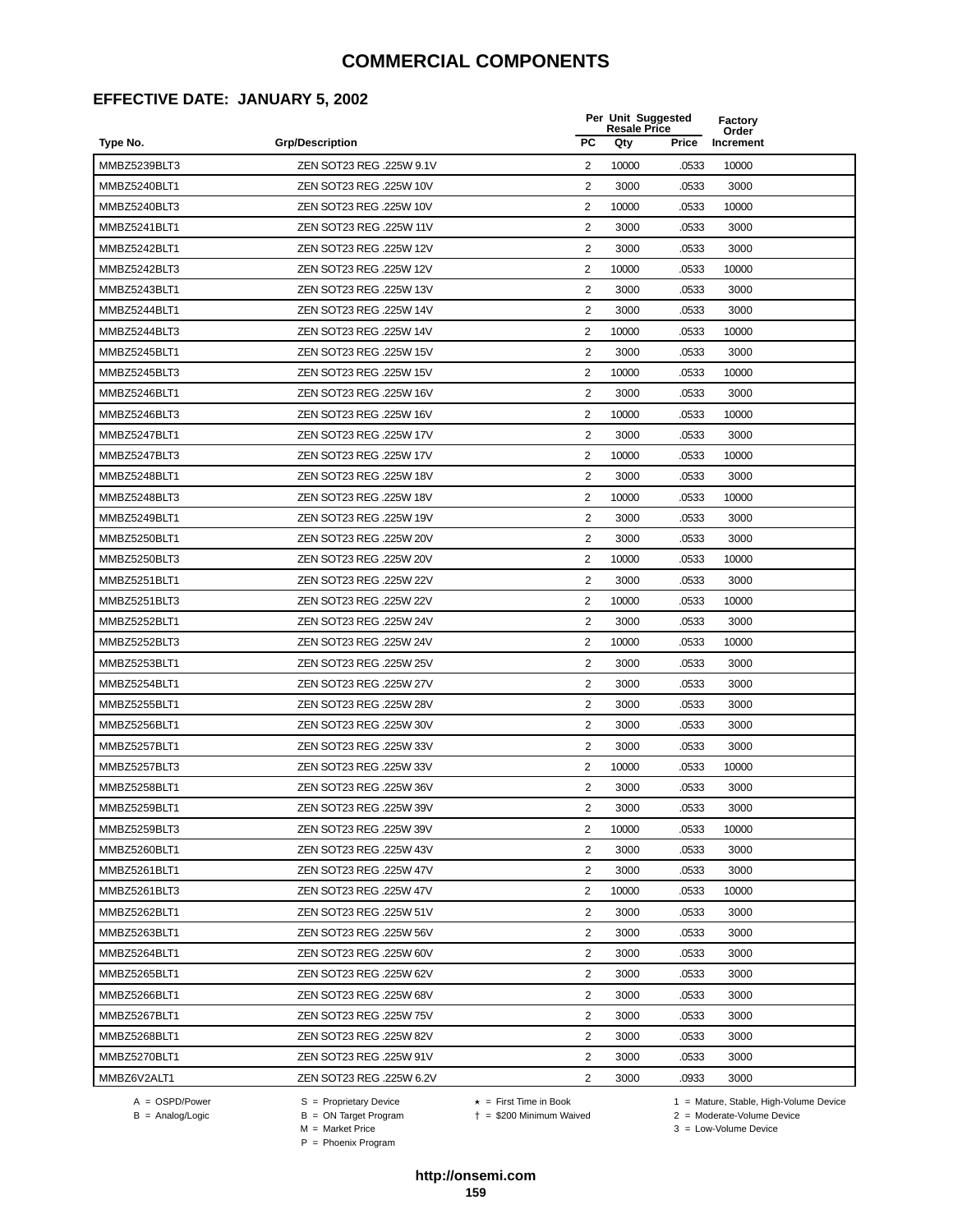#### **EFFECTIVE DATE: JANUARY 5, 2002**

|                              |                                                    |                                  | Per Unit Suggested<br><b>Resale Price</b> |                | Factory            |
|------------------------------|----------------------------------------------------|----------------------------------|-------------------------------------------|----------------|--------------------|
| Type No.                     | <b>Grp/Description</b>                             | <b>PC</b>                        | Qty                                       | Price          | Order<br>Increment |
| MMBZ5239BLT3                 | ZEN SOT23 REG .225W 9.1V                           | $\overline{2}$                   | 10000                                     | .0533          | 10000              |
| MMBZ5240BLT1                 | ZEN SOT23 REG .225W 10V                            | $\overline{2}$                   | 3000                                      | .0533          | 3000               |
| MMBZ5240BLT3                 | ZEN SOT23 REG .225W 10V                            | 2                                | 10000                                     | .0533          | 10000              |
| MMBZ5241BLT1                 | ZEN SOT23 REG .225W 11V                            | 2                                | 3000                                      | .0533          | 3000               |
| MMBZ5242BLT1                 | ZEN SOT23 REG .225W 12V                            | $\overline{2}$                   | 3000                                      | .0533          | 3000               |
| MMBZ5242BLT3                 | ZEN SOT23 REG .225W 12V                            | 2                                | 10000                                     | .0533          | 10000              |
| MMBZ5243BLT1                 | ZEN SOT23 REG .225W 13V                            | $\overline{2}$                   | 3000                                      | .0533          | 3000               |
| MMBZ5244BLT1                 | ZEN SOT23 REG .225W 14V                            | $\overline{2}$                   | 3000                                      | .0533          | 3000               |
| MMBZ5244BLT3                 | ZEN SOT23 REG .225W 14V                            | $\overline{2}$                   | 10000                                     | .0533          | 10000              |
| MMBZ5245BLT1                 | ZEN SOT23 REG .225W 15V                            | $\overline{2}$                   | 3000                                      | .0533          | 3000               |
| MMBZ5245BLT3                 | ZEN SOT23 REG .225W 15V                            | $\overline{2}$                   | 10000                                     | .0533          | 10000              |
| MMBZ5246BLT1                 | ZEN SOT23 REG .225W 16V                            | $\overline{2}$                   | 3000                                      | .0533          | 3000               |
| MMBZ5246BLT3                 | ZEN SOT23 REG .225W 16V                            | 2                                | 10000                                     | .0533          | 10000              |
| MMBZ5247BLT1                 | ZEN SOT23 REG .225W 17V                            | 2                                | 3000                                      | .0533          | 3000               |
| MMBZ5247BLT3                 | ZEN SOT23 REG .225W 17V                            | 2                                | 10000                                     | .0533          | 10000              |
| MMBZ5248BLT1                 | ZEN SOT23 REG .225W 18V                            | $\overline{2}$                   | 3000                                      | .0533          | 3000               |
| MMBZ5248BLT3                 | ZEN SOT23 REG .225W 18V                            | $\overline{2}$                   | 10000                                     | .0533          | 10000              |
| MMBZ5249BLT1                 | ZEN SOT23 REG .225W 19V                            | $\overline{\mathbf{c}}$          | 3000                                      | .0533          | 3000               |
| MMBZ5250BLT1                 | ZEN SOT23 REG .225W 20V                            | $\overline{2}$                   | 3000                                      | .0533          | 3000               |
| MMBZ5250BLT3<br>MMBZ5251BLT1 | ZEN SOT23 REG .225W 20V<br>ZEN SOT23 REG .225W 22V | $\overline{2}$<br>$\overline{2}$ | 10000<br>3000                             | .0533<br>.0533 | 10000<br>3000      |
| MMBZ5251BLT3                 | ZEN SOT23 REG .225W 22V                            | 2                                | 10000                                     | .0533          | 10000              |
| MMBZ5252BLT1                 | ZEN SOT23 REG .225W 24V                            | $\overline{2}$                   | 3000                                      | .0533          | 3000               |
| MMBZ5252BLT3                 | ZEN SOT23 REG .225W 24V                            | $\overline{2}$                   | 10000                                     | .0533          | 10000              |
| MMBZ5253BLT1                 | ZEN SOT23 REG .225W 25V                            | $\overline{2}$                   | 3000                                      | .0533          | 3000               |
| MMBZ5254BLT1                 | ZEN SOT23 REG .225W 27V                            | $\overline{2}$                   | 3000                                      | .0533          | 3000               |
| MMBZ5255BLT1                 | ZEN SOT23 REG .225W 28V                            | $\overline{2}$                   | 3000                                      | .0533          | 3000               |
| MMBZ5256BLT1                 | ZEN SOT23 REG .225W 30V                            | $\overline{2}$                   | 3000                                      | .0533          | 3000               |
| MMBZ5257BLT1                 | ZEN SOT23 REG .225W 33V                            | $\overline{2}$                   | 3000                                      | .0533          | 3000               |
| MMBZ5257BLT3                 | ZEN SOT23 REG .225W 33V                            | 2                                | 10000                                     | .0533          | 10000              |
| MMBZ5258BLT1                 | ZEN SOT23 REG .225W 36V                            | 2                                | 3000                                      | .0533          | 3000               |
| MMBZ5259BLT1                 | ZEN SOT23 REG .225W 39V                            | 2                                | 3000                                      | .0533          | 3000               |
| MMBZ5259BLT3                 | ZEN SOT23 REG .225W 39V                            | 2                                | 10000                                     | .0533          | 10000              |
| MMBZ5260BLT1                 | ZEN SOT23 REG .225W 43V                            | 2                                | 3000                                      | .0533          | 3000               |
| MMBZ5261BLT1                 | ZEN SOT23 REG .225W 47V                            | $\overline{2}$                   | 3000                                      | .0533          | 3000               |
| MMBZ5261BLT3                 | ZEN SOT23 REG .225W 47V                            | $\overline{c}$                   | 10000                                     | .0533          | 10000              |
| MMBZ5262BLT1                 | ZEN SOT23 REG .225W 51V                            | 2                                | 3000                                      | .0533          | 3000               |
| MMBZ5263BLT1                 | ZEN SOT23 REG .225W 56V                            | $\overline{2}$                   | 3000                                      | .0533          | 3000               |
| MMBZ5264BLT1                 | ZEN SOT23 REG .225W 60V                            | 2                                | 3000                                      | .0533          | 3000               |
| MMBZ5265BLT1                 | ZEN SOT23 REG .225W 62V                            | 2                                | 3000                                      | .0533          | 3000               |
| MMBZ5266BLT1                 | ZEN SOT23 REG .225W 68V                            | 2                                | 3000                                      | .0533          | 3000               |
| MMBZ5267BLT1                 | ZEN SOT23 REG .225W 75V                            | 2                                | 3000                                      | .0533          | 3000               |
| MMBZ5268BLT1                 | ZEN SOT23 REG .225W 82V                            | $\overline{2}$                   | 3000                                      | .0533          | 3000               |
| MMBZ5270BLT1                 | ZEN SOT23 REG .225W 91V                            | $\overline{2}$                   | 3000                                      | .0533          | 3000               |
| MMBZ6V2ALT1                  | ZEN SOT23 REG .225W 6.2V                           | 2                                | 3000                                      | .0933          | 3000               |

A = OSPD/Power S = Proprietary Device<br>
B = Analog/Logic B = ON Target Program<br>
M = Market Price

= \$200 Minimum Waived 2 = Moderate-Volume Device

A = OSPD/Power S = Proprietary Device  $\star$  = First Time in Book 1 = Mature, Stable, High-Volume Device

 $2 =$  Moderate-Volume Device<br> $3 =$  Low-Volume Device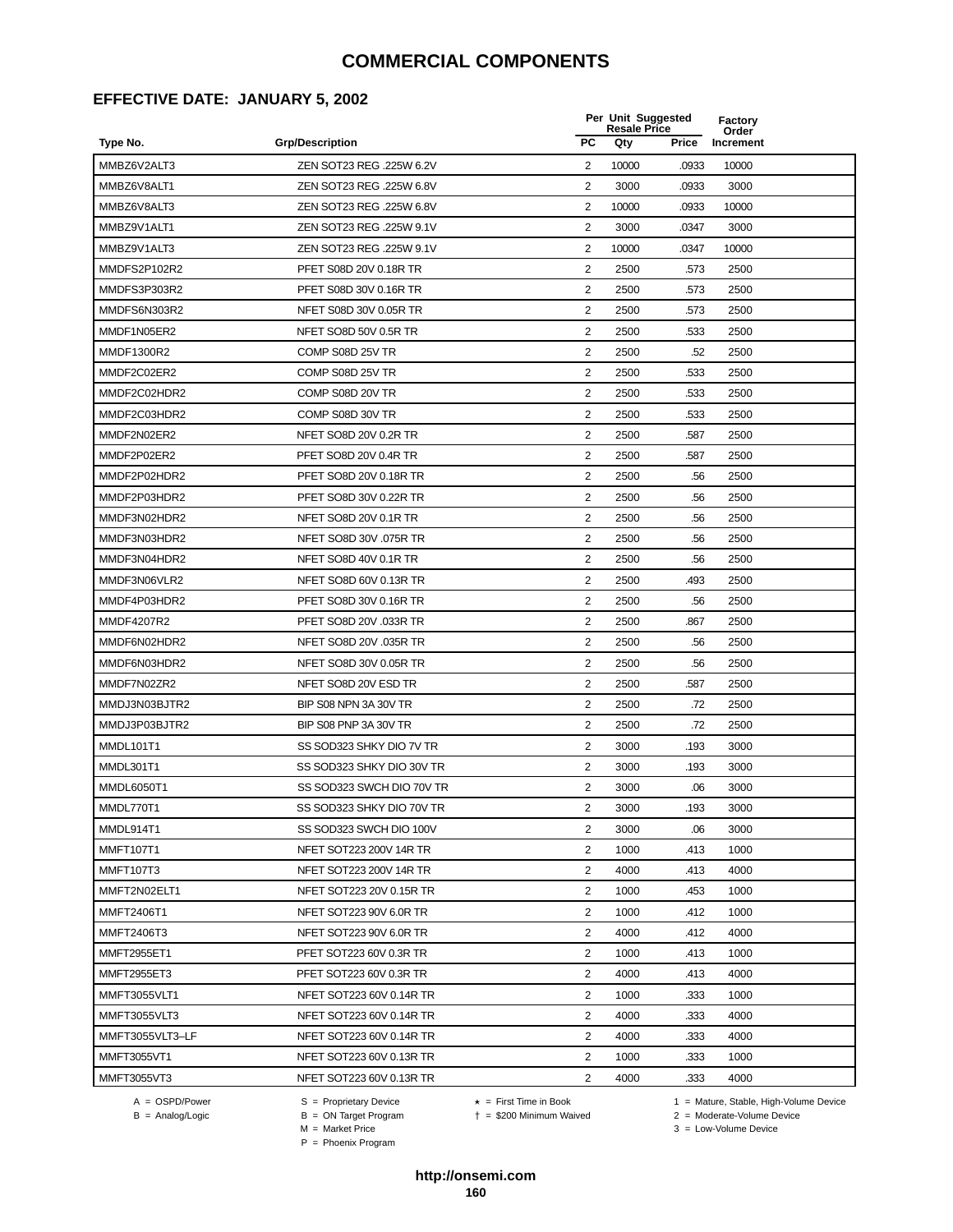#### **EFFECTIVE DATE: JANUARY 5, 2002**

|                    |                           |                         | <b>Resale Price</b> | Per Unit Suggested | Factory<br>Order |
|--------------------|---------------------------|-------------------------|---------------------|--------------------|------------------|
| Type No.           | <b>Grp/Description</b>    | <b>PC</b>               | Qty                 | <b>Price</b>       | Increment        |
| MMBZ6V2ALT3        | ZEN SOT23 REG .225W 6.2V  | 2                       | 10000               | .0933              | 10000            |
| MMBZ6V8ALT1        | ZEN SOT23 REG .225W 6.8V  | 2                       | 3000                | .0933              | 3000             |
| MMBZ6V8ALT3        | ZEN SOT23 REG .225W 6.8V  | 2                       | 10000               | .0933              | 10000            |
| MMBZ9V1ALT1        | ZEN SOT23 REG .225W 9.1V  | 2                       | 3000                | .0347              | 3000             |
| MMBZ9V1ALT3        | ZEN SOT23 REG .225W 9.1V  | $\overline{\mathbf{c}}$ | 10000               | .0347              | 10000            |
| MMDFS2P102R2       | PFET S08D 20V 0.18R TR    | $\overline{2}$          | 2500                | .573               | 2500             |
| MMDFS3P303R2       | PFET S08D 30V 0.16R TR    | $\overline{2}$          | 2500                | .573               | 2500             |
| MMDFS6N303R2       | NFET S08D 30V 0.05R TR    | $\overline{2}$          | 2500                | .573               | 2500             |
| MMDF1N05ER2        | NFET SO8D 50V 0.5R TR     | 2                       | 2500                | .533               | 2500             |
| MMDF1300R2         | COMP S08D 25V TR          | 2                       | 2500                | .52                | 2500             |
| MMDF2C02ER2        | COMP S08D 25V TR          | 2                       | 2500                | .533               | 2500             |
| MMDF2C02HDR2       | COMP S08D 20V TR          | 2                       | 2500                | .533               | 2500             |
| MMDF2C03HDR2       | COMP S08D 30V TR          | $\overline{c}$          | 2500                | .533               | 2500             |
| MMDF2N02ER2        | NFET SO8D 20V 0.2R TR     | $\overline{\mathbf{c}}$ | 2500                | .587               | 2500             |
| MMDF2P02ER2        | PFET SO8D 20V 0.4R TR     | $\overline{2}$          | 2500                | .587               | 2500             |
| MMDF2P02HDR2       | PFET SO8D 20V 0.18R TR    | $\overline{2}$          | 2500                | .56                | 2500             |
| MMDF2P03HDR2       | PFET SO8D 30V 0.22R TR    | $\overline{2}$          | 2500                | .56                | 2500             |
| MMDF3N02HDR2       | NFET SO8D 20V 0.1R TR     | 2                       | 2500                | .56                | 2500             |
| MMDF3N03HDR2       | NFET SO8D 30V .075R TR    | 2                       | 2500                | .56                | 2500             |
| MMDF3N04HDR2       | NFET SO8D 40V 0.1R TR     | 2                       | 2500                | .56                | 2500             |
| MMDF3N06VLR2       | NFET SO8D 60V 0.13R TR    | 2                       | 2500                | .493               | 2500             |
| MMDF4P03HDR2       | PFET SO8D 30V 0.16R TR    | 2                       | 2500                | .56                | 2500             |
| MMDF4207R2         | PFET SO8D 20V .033R TR    | 2                       | 2500                | .867               | 2500             |
| MMDF6N02HDR2       | NFET SO8D 20V .035R TR    | 2                       | 2500                | .56                | 2500             |
| MMDF6N03HDR2       | NFET SO8D 30V 0.05R TR    | $\overline{2}$          | 2500                | .56                | 2500             |
| MMDF7N02ZR2        | NFET SO8D 20V ESD TR      | $\overline{2}$          | 2500                | .587               | 2500             |
| MMDJ3N03BJTR2      | BIP S08 NPN 3A 30V TR     | $\overline{c}$          | 2500                | .72                | 2500             |
| MMDJ3P03BJTR2      | BIP S08 PNP 3A 30V TR     | 2                       | 2500                | .72                | 2500             |
| MMDL101T1          | SS SOD323 SHKY DIO 7V TR  | 2                       | 3000                | .193               | 3000             |
| MMDL301T1          | SS SOD323 SHKY DIO 30V TR | $\overline{2}$          | 3000                | .193               | 3000             |
| MMDL6050T1         | SS SOD323 SWCH DIO 70V TR | 2                       | 3000                | .06                | 3000             |
| MMDL770T1          | SS SOD323 SHKY DIO 70V TR | $\overline{\mathbf{c}}$ | 3000                | .193               | 3000             |
| MMDL914T1          | SS SOD323 SWCH DIO 100V   | 2                       | 3000                | .06                | 3000             |
| MMFT107T1          | NFET SOT223 200V 14R TR   | 2                       | 1000                | .413               | 1000             |
| MMFT107T3          | NFET SOT223 200V 14R TR   | $\overline{2}$          | 4000                | .413               | 4000             |
| MMFT2N02ELT1       | NFET SOT223 20V 0.15R TR  | 2                       | 1000                | .453               | 1000             |
| MMFT2406T1         | NFET SOT223 90V 6.0R TR   | 2                       | 1000                | .412               | 1000             |
| MMFT2406T3         | NFET SOT223 90V 6.0R TR   | 2                       | 4000                | .412               | 4000             |
| MMFT2955ET1        | PFET SOT223 60V 0.3R TR   | 2                       | 1000                | .413               | 1000             |
| MMFT2955ET3        | PFET SOT223 60V 0.3R TR   | $\overline{2}$          | 4000                | .413               | 4000             |
| MMFT3055VLT1       | NFET SOT223 60V 0.14R TR  | 2                       | 1000                | .333               | 1000             |
| MMFT3055VLT3       | NFET SOT223 60V 0.14R TR  | 2                       | 4000                | .333               | 4000             |
| MMFT3055VLT3-LF    | NFET SOT223 60V 0.14R TR  | $\overline{2}$          | 4000                | .333               | 4000             |
| <b>MMFT3055VT1</b> | NFET SOT223 60V 0.13R TR  | $\overline{2}$          | 1000                | .333               | 1000             |
| MMFT3055VT3        | NFET SOT223 60V 0.13R TR  | $\overline{2}$          | 4000                | .333               | 4000             |
|                    |                           |                         |                     |                    |                  |

 $B = \text{Analog/Logic}$ <br>B = ON Target Program<br> $M = \text{Market Price}$ 

= \$200 Minimum Waived 2 = Moderate-Volume Device

A = OSPD/Power S = Proprietary Device  $\star$  = First Time in Book 1 = Mature, Stable, High-Volume Device

 $3 =$  Low-Volume Device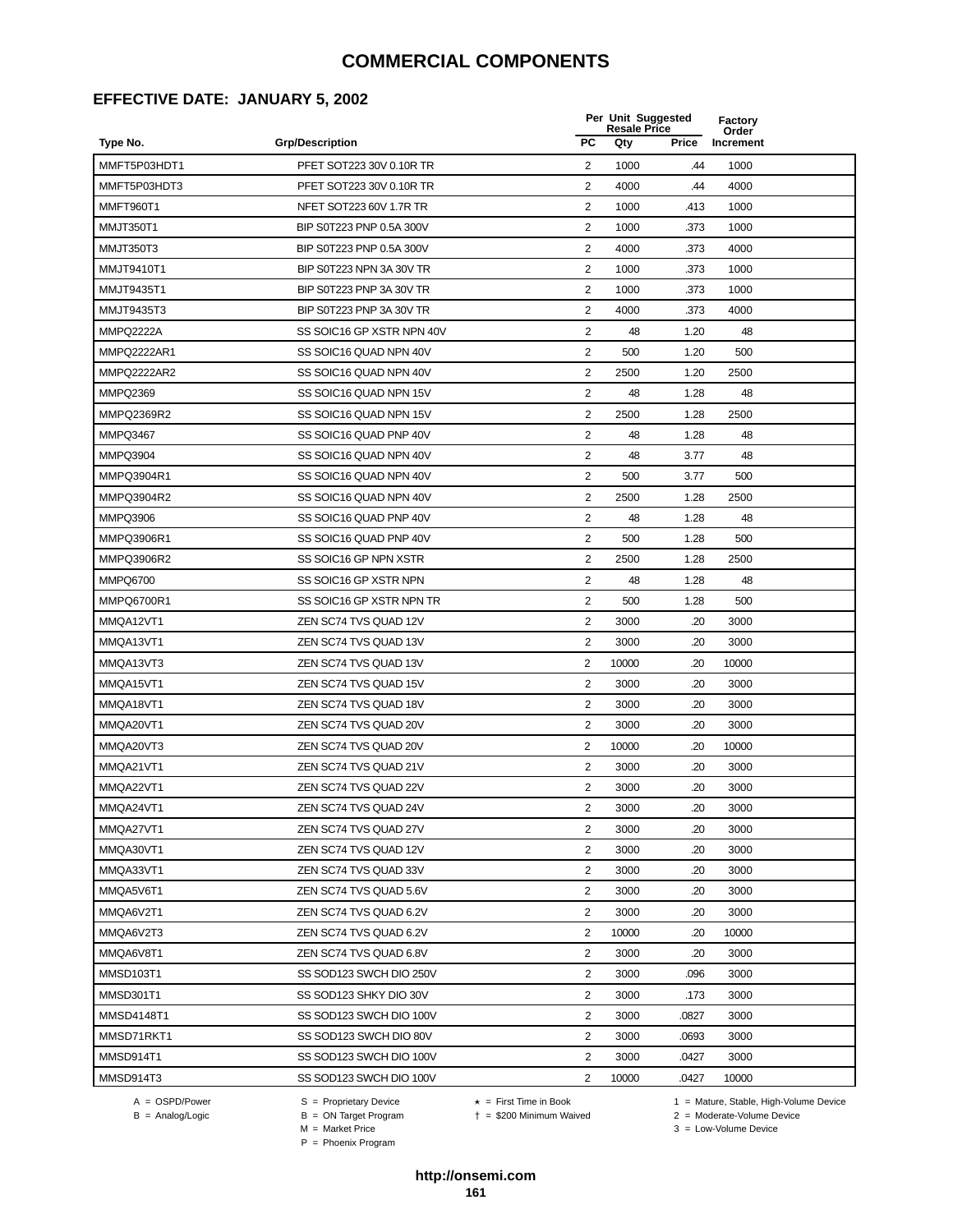#### **EFFECTIVE DATE: JANUARY 5, 2002**

|                    |                           |                         | Per Unit Suggested<br><b>Resale Price</b> |       | Factory<br>Order |
|--------------------|---------------------------|-------------------------|-------------------------------------------|-------|------------------|
| Type No.           | <b>Grp/Description</b>    | <b>PC</b>               | Qty                                       | Price | Increment        |
| MMFT5P03HDT1       | PFET SOT223 30V 0.10R TR  | 2                       | 1000                                      | .44   | 1000             |
| MMFT5P03HDT3       | PFET SOT223 30V 0.10R TR  | 2                       | 4000                                      | .44   | 4000             |
| <b>MMFT960T1</b>   | NFET SOT223 60V 1.7R TR   | 2                       | 1000                                      | .413  | 1000             |
| MMJT350T1          | BIP S0T223 PNP 0.5A 300V  | $\overline{2}$          | 1000                                      | .373  | 1000             |
| <b>MMJT350T3</b>   | BIP S0T223 PNP 0.5A 300V  | $\overline{2}$          | 4000                                      | .373  | 4000             |
| MMJT9410T1         | BIP S0T223 NPN 3A 30V TR  | 2                       | 1000                                      | .373  | 1000             |
| MMJT9435T1         | BIP S0T223 PNP 3A 30V TR  | $\overline{2}$          | 1000                                      | .373  | 1000             |
| MMJT9435T3         | BIP S0T223 PNP 3A 30V TR  | 2                       | 4000                                      | .373  | 4000             |
| MMPQ2222A          | SS SOIC16 GP XSTR NPN 40V | $\overline{\mathbf{c}}$ | 48                                        | 1.20  | 48               |
| MMPQ2222AR1        | SS SOIC16 QUAD NPN 40V    | 2                       | 500                                       | 1.20  | 500              |
| <b>MMPQ2222AR2</b> | SS SOIC16 QUAD NPN 40V    | $\overline{2}$          | 2500                                      | 1.20  | 2500             |
| <b>MMPQ2369</b>    | SS SOIC16 QUAD NPN 15V    | 2                       | 48                                        | 1.28  | 48               |
| MMPQ2369R2         | SS SOIC16 QUAD NPN 15V    | 2                       | 2500                                      | 1.28  | 2500             |
| <b>MMPQ3467</b>    | SS SOIC16 QUAD PNP 40V    | $\sqrt{2}$              | 48                                        | 1.28  | 48               |
| <b>MMPQ3904</b>    | SS SOIC16 QUAD NPN 40V    | 2                       | 48                                        | 3.77  | 48               |
| MMPQ3904R1         | SS SOIC16 QUAD NPN 40V    | $\overline{2}$          | 500                                       | 3.77  | 500              |
| MMPQ3904R2         | SS SOIC16 QUAD NPN 40V    | 2                       | 2500                                      | 1.28  | 2500             |
| <b>MMPQ3906</b>    | SS SOIC16 QUAD PNP 40V    | 2                       | 48                                        | 1.28  | 48               |
| MMPQ3906R1         | SS SOIC16 QUAD PNP 40V    | 2                       | 500                                       | 1.28  | 500              |
| MMPQ3906R2         | SS SOIC16 GP NPN XSTR     | 2                       | 2500                                      | 1.28  | 2500             |
| <b>MMPQ6700</b>    | SS SOIC16 GP XSTR NPN     | $\overline{2}$          | 48                                        | 1.28  | 48               |
| MMPQ6700R1         | SS SOIC16 GP XSTR NPN TR  | 2                       | 500                                       | 1.28  | 500              |
| MMQA12VT1          | ZEN SC74 TVS QUAD 12V     | $\sqrt{2}$              | 3000                                      | .20   | 3000             |
| MMQA13VT1          | ZEN SC74 TVS QUAD 13V     | 2                       | 3000                                      | .20   | 3000             |
| MMQA13VT3          | ZEN SC74 TVS QUAD 13V     | $\overline{2}$          | 10000                                     | .20   | 10000            |
| MMQA15VT1          | ZEN SC74 TVS QUAD 15V     | 2                       | 3000                                      | .20   | 3000             |
| MMQA18VT1          | ZEN SC74 TVS QUAD 18V     | $\overline{c}$          | 3000                                      | .20   | 3000             |
| MMQA20VT1          | ZEN SC74 TVS QUAD 20V     | $\overline{2}$          | 3000                                      | .20   | 3000             |
| MMQA20VT3          | ZEN SC74 TVS QUAD 20V     | 2                       | 10000                                     | .20   | 10000            |
| MMQA21VT1          | ZEN SC74 TVS QUAD 21V     | $\overline{2}$          | 3000                                      | .20   | 3000             |
| MMQA22VT1          | ZEN SC74 TVS QUAD 22V     | 2                       | 3000                                      | .20   | 3000             |
| MMQA24VT1          | ZEN SC74 TVS QUAD 24V     | $\overline{\mathbf{c}}$ | 3000                                      | .20   | 3000             |
| MMQA27VT1          | ZEN SC74 TVS QUAD 27V     | 2                       | 3000                                      | .20   | 3000             |
| MMQA30VT1          | ZEN SC74 TVS QUAD 12V     | $\overline{2}$          | 3000                                      | .20   | 3000             |
| MMQA33VT1          | ZEN SC74 TVS QUAD 33V     | $\overline{2}$          | 3000                                      | .20   | 3000             |
| MMQA5V6T1          | ZEN SC74 TVS QUAD 5.6V    | $\overline{2}$          | 3000                                      | .20   | 3000             |
| MMQA6V2T1          | ZEN SC74 TVS QUAD 6.2V    | $\overline{2}$          | 3000                                      | .20   | 3000             |
| MMQA6V2T3          | ZEN SC74 TVS QUAD 6.2V    | 2                       | 10000                                     | .20   | 10000            |
| MMQA6V8T1          | ZEN SC74 TVS QUAD 6.8V    | 2                       | 3000                                      | .20   | 3000             |
| MMSD103T1          | SS SOD123 SWCH DIO 250V   | $\overline{2}$          | 3000                                      | .096  | 3000             |
| MMSD301T1          | SS SOD123 SHKY DIO 30V    | 2                       | 3000                                      | .173  | 3000             |
| MMSD4148T1         | SS SOD123 SWCH DIO 100V   | 2                       | 3000                                      | .0827 | 3000             |
| MMSD71RKT1         | SS SOD123 SWCH DIO 80V    | $\overline{2}$          | 3000                                      | .0693 | 3000             |
| MMSD914T1          | SS SOD123 SWCH DIO 100V   | $\overline{2}$          | 3000                                      | .0427 | 3000             |
| MMSD914T3          | SS SOD123 SWCH DIO 100V   | $\overline{2}$          | 10000                                     | .0427 | 10000            |
|                    |                           |                         |                                           |       |                  |

 $B = \text{Analog/Logic}$ <br>B = ON Target Program<br> $M = \text{Market Price}$ 

A = OSPD/Power S = Proprietary Device  $\star$  = First Time in Book 1 = Mature, Stable, High-Volume Device

 = \$200 Minimum Waived 2 = Moderate-Volume Device  $3 =$  Low-Volume Device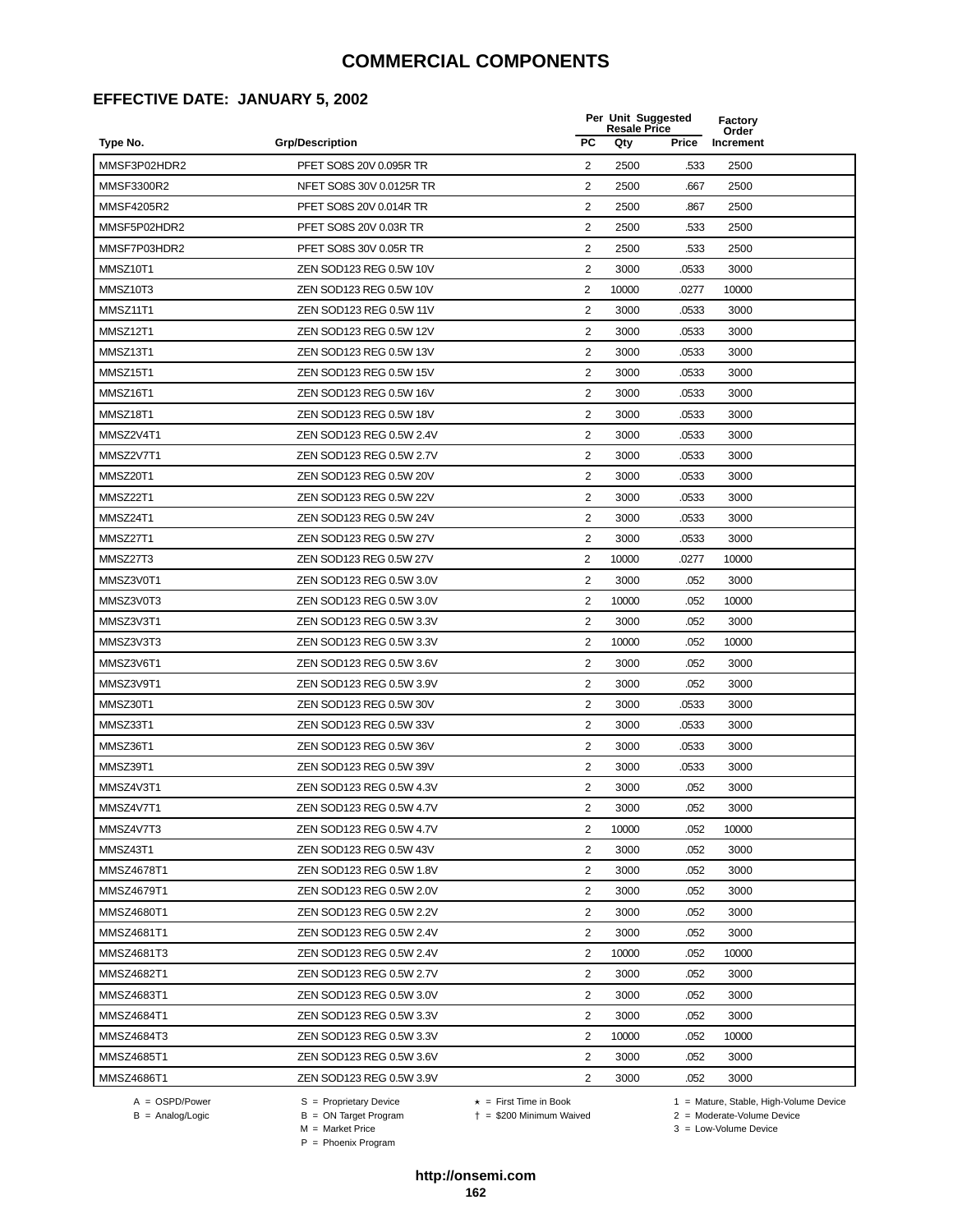#### **EFFECTIVE DATE: JANUARY 5, 2002**

|              |                          |                         | Per Unit Suggested<br><b>Resale Price</b> |       | Factory<br>Order |
|--------------|--------------------------|-------------------------|-------------------------------------------|-------|------------------|
| Type No.     | <b>Grp/Description</b>   | PC                      | Qty                                       | Price | Increment        |
| MMSF3P02HDR2 | PFET SO8S 20V 0.095R TR  | $\overline{2}$          | 2500                                      | .533  | 2500             |
| MMSF3300R2   | NFET SO8S 30V 0.0125R TR | $\overline{2}$          | 2500                                      | .667  | 2500             |
| MMSF4205R2   | PFET SO8S 20V 0.014R TR  | $\overline{2}$          | 2500                                      | .867  | 2500             |
| MMSF5P02HDR2 | PFET SO8S 20V 0.03R TR   | 2                       | 2500                                      | .533  | 2500             |
| MMSF7P03HDR2 | PFET SO8S 30V 0.05R TR   | $\sqrt{2}$              | 2500                                      | .533  | 2500             |
| MMSZ10T1     | ZEN SOD123 REG 0.5W 10V  | $\overline{2}$          | 3000                                      | .0533 | 3000             |
| MMSZ10T3     | ZEN SOD123 REG 0.5W 10V  | $\overline{2}$          | 10000                                     | .0277 | 10000            |
| MMSZ11T1     | ZEN SOD123 REG 0.5W 11V  | $\overline{2}$          | 3000                                      | .0533 | 3000             |
| MMSZ12T1     | ZEN SOD123 REG 0.5W 12V  | $\overline{2}$          | 3000                                      | .0533 | 3000             |
| MMSZ13T1     | ZEN SOD123 REG 0.5W 13V  | 2                       | 3000                                      | .0533 | 3000             |
| MMSZ15T1     | ZEN SOD123 REG 0.5W 15V  | 2                       | 3000                                      | .0533 | 3000             |
| MMSZ16T1     | ZEN SOD123 REG 0.5W 16V  | $\overline{2}$          | 3000                                      | .0533 | 3000             |
| MMSZ18T1     | ZEN SOD123 REG 0.5W 18V  | $\overline{\mathbf{c}}$ | 3000                                      | .0533 | 3000             |
| MMSZ2V4T1    | ZEN SOD123 REG 0.5W 2.4V | $\overline{c}$          | 3000                                      | .0533 | 3000             |
| MMSZ2V7T1    | ZEN SOD123 REG 0.5W 2.7V | $\overline{2}$          | 3000                                      | .0533 | 3000             |
| MMSZ20T1     | ZEN SOD123 REG 0.5W 20V  | $\overline{2}$          | 3000                                      | .0533 | 3000             |
| MMSZ22T1     | ZEN SOD123 REG 0.5W 22V  | 2                       | 3000                                      | .0533 | 3000             |
| MMSZ24T1     | ZEN SOD123 REG 0.5W 24V  | $\overline{\mathbf{c}}$ | 3000                                      | .0533 | 3000             |
| MMSZ27T1     | ZEN SOD123 REG 0.5W 27V  | 2                       | 3000                                      | .0533 | 3000             |
| MMSZ27T3     | ZEN SOD123 REG 0.5W 27V  | $\overline{2}$          | 10000                                     | .0277 | 10000            |
| MMSZ3V0T1    | ZEN SOD123 REG 0.5W 3.0V | 2                       | 3000                                      | .052  | 3000             |
| MMSZ3V0T3    | ZEN SOD123 REG 0.5W 3.0V | $\overline{c}$          | 10000                                     | .052  | 10000            |
| MMSZ3V3T1    | ZEN SOD123 REG 0.5W 3.3V | $\overline{c}$          | 3000                                      | .052  | 3000             |
| MMSZ3V3T3    | ZEN SOD123 REG 0.5W 3.3V | $\overline{c}$          | 10000                                     | .052  | 10000            |
| MMSZ3V6T1    | ZEN SOD123 REG 0.5W 3.6V | $\overline{2}$          | 3000                                      | .052  | 3000             |
| MMSZ3V9T1    | ZEN SOD123 REG 0.5W 3.9V | $\overline{2}$          | 3000                                      | .052  | 3000             |
| MMSZ30T1     | ZEN SOD123 REG 0.5W 30V  | $\overline{\mathbf{c}}$ | 3000                                      | .0533 | 3000             |
| MMSZ33T1     | ZEN SOD123 REG 0.5W 33V  | $\overline{2}$          | 3000                                      | .0533 | 3000             |
| MMSZ36T1     | ZEN SOD123 REG 0.5W 36V  | 2                       | 3000                                      | .0533 | 3000             |
| MMSZ39T1     | ZEN SOD123 REG 0.5W 39V  | $\overline{2}$          | 3000                                      | .0533 | 3000             |
| MMSZ4V3T1    | ZEN SOD123 REG 0.5W 4.3V | $\overline{2}$          | 3000                                      | .052  | 3000             |
| MMSZ4V7T1    | ZEN SOD123 REG 0.5W 4.7V | $\overline{\mathbf{c}}$ | 3000                                      | .052  | 3000             |
| MMSZ4V7T3    | ZEN SOD123 REG 0.5W 4.7V | 2                       | 10000                                     | .052  | 10000            |
| MMSZ43T1     | ZEN SOD123 REG 0.5W 43V  | 2                       | 3000                                      | .052  | 3000             |
| MMSZ4678T1   | ZEN SOD123 REG 0.5W 1.8V | 2                       | 3000                                      | .052  | 3000             |
| MMSZ4679T1   | ZEN SOD123 REG 0.5W 2.0V | $\overline{c}$          | 3000                                      | .052  | 3000             |
| MMSZ4680T1   | ZEN SOD123 REG 0.5W 2.2V | $\overline{c}$          | 3000                                      | .052  | 3000             |
| MMSZ4681T1   | ZEN SOD123 REG 0.5W 2.4V | 2                       | 3000                                      | .052  | 3000             |
| MMSZ4681T3   | ZEN SOD123 REG 0.5W 2.4V | 2                       | 10000                                     | .052  | 10000            |
| MMSZ4682T1   | ZEN SOD123 REG 0.5W 2.7V | $\overline{c}$          | 3000                                      | .052  | 3000             |
| MMSZ4683T1   | ZEN SOD123 REG 0.5W 3.0V | $\overline{c}$          | 3000                                      | .052  | 3000             |
| MMSZ4684T1   | ZEN SOD123 REG 0.5W 3.3V | 2                       | 3000                                      | .052  | 3000             |
| MMSZ4684T3   | ZEN SOD123 REG 0.5W 3.3V | $\overline{2}$          | 10000                                     | .052  | 10000            |
| MMSZ4685T1   | ZEN SOD123 REG 0.5W 3.6V | 2                       | 3000                                      | .052  | 3000             |
| MMSZ4686T1   | ZEN SOD123 REG 0.5W 3.9V | $\overline{c}$          | 3000                                      | .052  | 3000             |
|              |                          |                         |                                           |       |                  |

 $B = \text{Analog/Logic}$ <br>B = ON Target Program<br> $M = \text{Market Price}$ 

= \$200 Minimum Waived 2 = Moderate-Volume Device

A = OSPD/Power S = Proprietary Device  $\star$  = First Time in Book 1 = Mature, Stable, High-Volume Device

 $3 =$  Low-Volume Device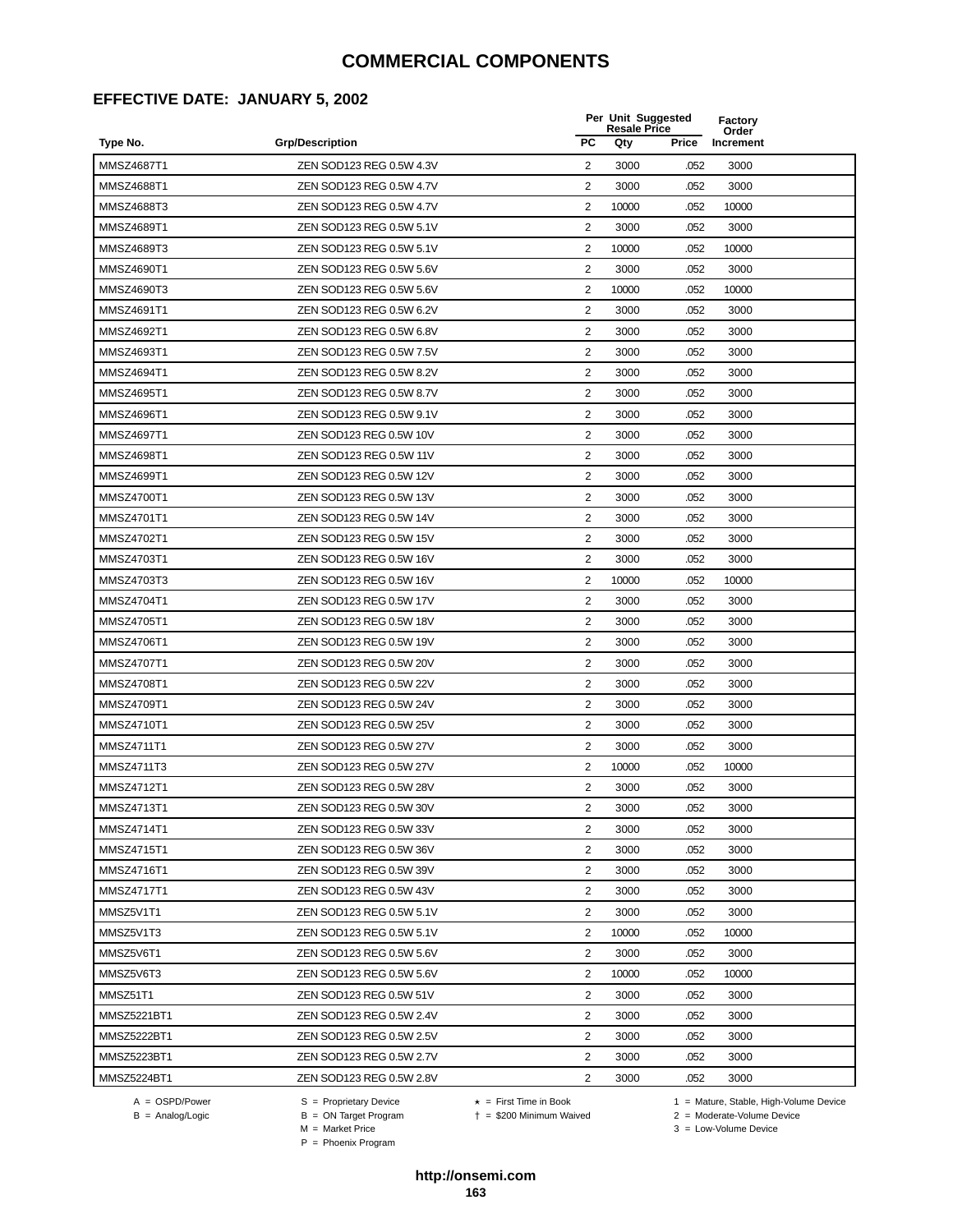#### **EFFECTIVE DATE: JANUARY 5, 2002**

|             |                          |                | Per Unit Suggested<br><b>Resale Price</b> |       | Factory<br>Order |
|-------------|--------------------------|----------------|-------------------------------------------|-------|------------------|
| Type No.    | <b>Grp/Description</b>   | PC             | Qty                                       | Price | <b>Increment</b> |
| MMSZ4687T1  | ZEN SOD123 REG 0.5W 4.3V | 2              | 3000                                      | .052  | 3000             |
| MMSZ4688T1  | ZEN SOD123 REG 0.5W 4.7V | 2              | 3000                                      | .052  | 3000             |
| MMSZ4688T3  | ZEN SOD123 REG 0.5W 4.7V | 2              | 10000                                     | .052  | 10000            |
| MMSZ4689T1  | ZEN SOD123 REG 0.5W 5.1V | 2              | 3000                                      | .052  | 3000             |
| MMSZ4689T3  | ZEN SOD123 REG 0.5W 5.1V | $\overline{2}$ | 10000                                     | .052  | 10000            |
| MMSZ4690T1  | ZEN SOD123 REG 0.5W 5.6V | 2              | 3000                                      | .052  | 3000             |
| MMSZ4690T3  | ZEN SOD123 REG 0.5W 5.6V | $\overline{2}$ | 10000                                     | .052  | 10000            |
| MMSZ4691T1  | ZEN SOD123 REG 0.5W 6.2V | 2              | 3000                                      | .052  | 3000             |
| MMSZ4692T1  | ZEN SOD123 REG 0.5W 6.8V | $\overline{2}$ | 3000                                      | .052  | 3000             |
| MMSZ4693T1  | ZEN SOD123 REG 0.5W 7.5V | $\overline{2}$ | 3000                                      | .052  | 3000             |
| MMSZ4694T1  | ZEN SOD123 REG 0.5W 8.2V | 2              | 3000                                      | .052  | 3000             |
| MMSZ4695T1  | ZEN SOD123 REG 0.5W 8.7V | $\overline{2}$ | 3000                                      | .052  | 3000             |
| MMSZ4696T1  | ZEN SOD123 REG 0.5W 9.1V | $\overline{2}$ | 3000                                      | .052  | 3000             |
| MMSZ4697T1  | ZEN SOD123 REG 0.5W 10V  | $\overline{2}$ | 3000                                      | .052  | 3000             |
| MMSZ4698T1  | ZEN SOD123 REG 0.5W 11V  | 2              | 3000                                      | .052  | 3000             |
| MMSZ4699T1  | ZEN SOD123 REG 0.5W 12V  | $\overline{2}$ | 3000                                      | .052  | 3000             |
| MMSZ4700T1  | ZEN SOD123 REG 0.5W 13V  | 2              | 3000                                      | .052  | 3000             |
| MMSZ4701T1  | ZEN SOD123 REG 0.5W 14V  | $\overline{2}$ | 3000                                      | .052  | 3000             |
| MMSZ4702T1  | ZEN SOD123 REG 0.5W 15V  | 2              | 3000                                      | .052  | 3000             |
| MMSZ4703T1  | ZEN SOD123 REG 0.5W 16V  | 2              | 3000                                      | .052  | 3000             |
| MMSZ4703T3  | ZEN SOD123 REG 0.5W 16V  | $\overline{2}$ | 10000                                     | .052  | 10000            |
| MMSZ4704T1  | ZEN SOD123 REG 0.5W 17V  | 2              | 3000                                      | .052  | 3000             |
| MMSZ4705T1  | ZEN SOD123 REG 0.5W 18V  | $\overline{2}$ | 3000                                      | .052  | 3000             |
| MMSZ4706T1  | ZEN SOD123 REG 0.5W 19V  | 2              | 3000                                      | .052  | 3000             |
| MMSZ4707T1  | ZEN SOD123 REG 0.5W 20V  | $\overline{2}$ | 3000                                      | .052  | 3000             |
| MMSZ4708T1  | ZEN SOD123 REG 0.5W 22V  | 2              | 3000                                      | .052  | 3000             |
| MMSZ4709T1  | ZEN SOD123 REG 0.5W 24V  | $\overline{2}$ | 3000                                      | .052  | 3000             |
| MMSZ4710T1  | ZEN SOD123 REG 0.5W 25V  | 2              | 3000                                      | .052  | 3000             |
| MMSZ4711T1  | ZEN SOD123 REG 0.5W 27V  | 2              | 3000                                      | .052  | 3000             |
| MMSZ4711T3  | ZEN SOD123 REG 0.5W 27V  | 2              | 10000                                     | .052  | 10000            |
| MMSZ4712T1  | ZEN SOD123 REG 0.5W 28V  | 2              | 3000                                      | .052  | 3000             |
| MMSZ4713T1  | ZEN SOD123 REG 0.5W 30V  | 2              | 3000                                      | .052  | 3000             |
| MMSZ4714T1  | ZEN SOD123 REG 0.5W 33V  | $\overline{2}$ | 3000                                      | .052  | 3000             |
| MMSZ4715T1  | ZEN SOD123 REG 0.5W 36V  | $\overline{2}$ | 3000                                      | .052  | 3000             |
| MMSZ4716T1  | ZEN SOD123 REG 0.5W 39V  | 2              | 3000                                      | .052  | 3000             |
| MMSZ4717T1  | ZEN SOD123 REG 0.5W 43V  | $\overline{2}$ | 3000                                      | .052  | 3000             |
| MMSZ5V1T1   | ZEN SOD123 REG 0.5W 5.1V | 2              | 3000                                      | .052  | 3000             |
| MMSZ5V1T3   | ZEN SOD123 REG 0.5W 5.1V | 2              | 10000                                     | .052  | 10000            |
| MMSZ5V6T1   | ZEN SOD123 REG 0.5W 5.6V | 2              | 3000                                      | .052  | 3000             |
| MMSZ5V6T3   | ZEN SOD123 REG 0.5W 5.6V | 2              | 10000                                     | .052  | 10000            |
| MMSZ51T1    | ZEN SOD123 REG 0.5W 51V  | $\overline{2}$ | 3000                                      | .052  | 3000             |
| MMSZ5221BT1 | ZEN SOD123 REG 0.5W 2.4V | 2              | 3000                                      | .052  | 3000             |
| MMSZ5222BT1 | ZEN SOD123 REG 0.5W 2.5V | 2              | 3000                                      | .052  | 3000             |
| MMSZ5223BT1 | ZEN SOD123 REG 0.5W 2.7V | 2              | 3000                                      | .052  | 3000             |
| MMSZ5224BT1 | ZEN SOD123 REG 0.5W 2.8V | 2              | 3000                                      | .052  | 3000             |

A = OSPD/Power S = Proprietary Device<br>
B = Analog/Logic B = ON Target Program<br>
M = Market Price

= \$200 Minimum Waived 2 = Moderate-Volume Device

A = OSPD/Power S = Proprietary Device  $\star$  = First Time in Book 1 = Mature, Stable, High-Volume Device  $2 =$  Moderate-Volume Device<br> $3 =$  Low-Volume Device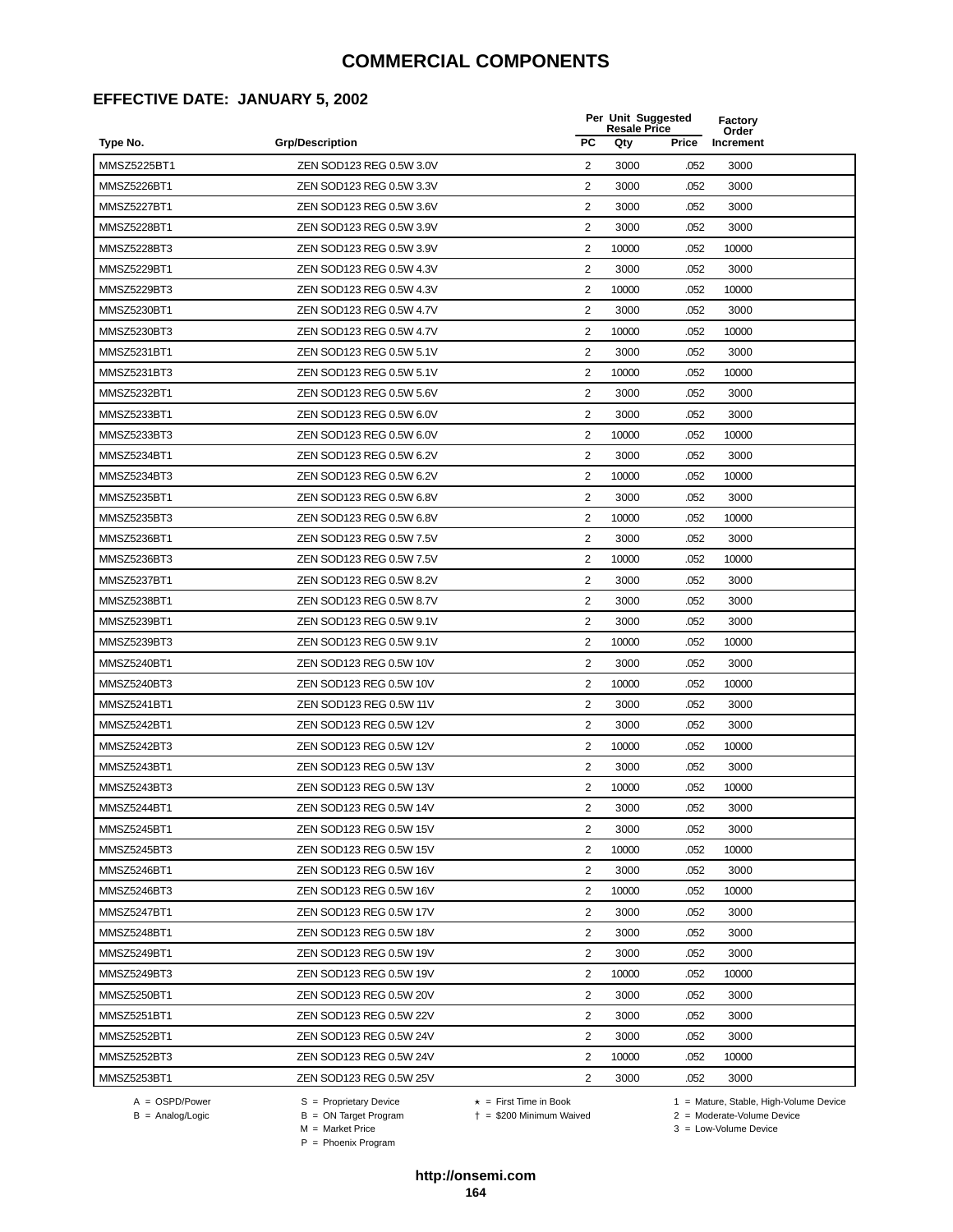#### **EFFECTIVE DATE: JANUARY 5, 2002**

|             |                          |                | Per Unit Suggested<br><b>Resale Price</b> | Factory<br>Order |           |
|-------------|--------------------------|----------------|-------------------------------------------|------------------|-----------|
| Type No.    | <b>Grp/Description</b>   | PC             | Qty                                       | <b>Price</b>     | Increment |
| MMSZ5225BT1 | ZEN SOD123 REG 0.5W 3.0V | 2              | 3000                                      | .052             | 3000      |
| MMSZ5226BT1 | ZEN SOD123 REG 0.5W 3.3V | 2              | 3000                                      | .052             | 3000      |
| MMSZ5227BT1 | ZEN SOD123 REG 0.5W 3.6V | $\overline{2}$ | 3000                                      | .052             | 3000      |
| MMSZ5228BT1 | ZEN SOD123 REG 0.5W 3.9V | 2              | 3000                                      | .052             | 3000      |
| MMSZ5228BT3 | ZEN SOD123 REG 0.5W 3.9V | $\sqrt{2}$     | 10000                                     | .052             | 10000     |
| MMSZ5229BT1 | ZEN SOD123 REG 0.5W 4.3V | 2              | 3000                                      | .052             | 3000      |
| MMSZ5229BT3 | ZEN SOD123 REG 0.5W 4.3V | $\overline{2}$ | 10000                                     | .052             | 10000     |
| MMSZ5230BT1 | ZEN SOD123 REG 0.5W 4.7V | 2              | 3000                                      | .052             | 3000      |
| MMSZ5230BT3 | ZEN SOD123 REG 0.5W 4.7V | $\overline{2}$ | 10000                                     | .052             | 10000     |
| MMSZ5231BT1 | ZEN SOD123 REG 0.5W 5.1V | $\overline{2}$ | 3000                                      | .052             | 3000      |
| MMSZ5231BT3 | ZEN SOD123 REG 0.5W 5.1V | 2              | 10000                                     | .052             | 10000     |
| MMSZ5232BT1 | ZEN SOD123 REG 0.5W 5.6V | $\overline{2}$ | 3000                                      | .052             | 3000      |
| MMSZ5233BT1 | ZEN SOD123 REG 0.5W 6.0V | 2              | 3000                                      | .052             | 3000      |
| MMSZ5233BT3 | ZEN SOD123 REG 0.5W 6.0V | $\overline{2}$ | 10000                                     | .052             | 10000     |
| MMSZ5234BT1 | ZEN SOD123 REG 0.5W 6.2V | 2              | 3000                                      | .052             | 3000      |
| MMSZ5234BT3 | ZEN SOD123 REG 0.5W 6.2V | $\overline{2}$ | 10000                                     | .052             | 10000     |
| MMSZ5235BT1 | ZEN SOD123 REG 0.5W 6.8V | 2              | 3000                                      | .052             | 3000      |
| MMSZ5235BT3 | ZEN SOD123 REG 0.5W 6.8V | $\overline{2}$ | 10000                                     | .052             | 10000     |
| MMSZ5236BT1 | ZEN SOD123 REG 0.5W 7.5V | $\overline{2}$ | 3000                                      | .052             | 3000      |
| MMSZ5236BT3 | ZEN SOD123 REG 0.5W 7.5V | 2              | 10000                                     | .052             | 10000     |
| MMSZ5237BT1 | ZEN SOD123 REG 0.5W 8.2V | $\overline{2}$ | 3000                                      | .052             | 3000      |
| MMSZ5238BT1 | ZEN SOD123 REG 0.5W 8.7V | $\overline{2}$ | 3000                                      | .052             | 3000      |
| MMSZ5239BT1 | ZEN SOD123 REG 0.5W 9.1V | $\overline{2}$ | 3000                                      | .052             | 3000      |
| MMSZ5239BT3 | ZEN SOD123 REG 0.5W 9.1V | 2              | 10000                                     | .052             | 10000     |
| MMSZ5240BT1 | ZEN SOD123 REG 0.5W 10V  | $\overline{2}$ | 3000                                      | .052             | 3000      |
| MMSZ5240BT3 | ZEN SOD123 REG 0.5W 10V  | 2              | 10000                                     | .052             | 10000     |
| MMSZ5241BT1 | ZEN SOD123 REG 0.5W 11V  | $\overline{2}$ | 3000                                      | .052             | 3000      |
| MMSZ5242BT1 | ZEN SOD123 REG 0.5W 12V  | $\overline{2}$ | 3000                                      | .052             | 3000      |
| MMSZ5242BT3 | ZEN SOD123 REG 0.5W 12V  | 2              | 10000                                     | .052             | 10000     |
| MMSZ5243BT1 | ZEN SOD123 REG 0.5W 13V  | $\overline{2}$ | 3000                                      | .052             | 3000      |
| MMSZ5243BT3 | ZEN SOD123 REG 0.5W 13V  | 2              | 10000                                     | .052             | 10000     |
| MMSZ5244BT1 | ZEN SOD123 REG 0.5W 14V  | 2              | 3000                                      | .052             | 3000      |
| MMSZ5245BT1 | ZEN SOD123 REG 0.5W 15V  | 2              | 3000                                      | .052             | 3000      |
| MMSZ5245BT3 | ZEN SOD123 REG 0.5W 15V  | 2              | 10000                                     | .052             | 10000     |
| MMSZ5246BT1 | ZEN SOD123 REG 0.5W 16V  | 2              | 3000                                      | .052             | 3000      |
| MMSZ5246BT3 | ZEN SOD123 REG 0.5W 16V  | 2              | 10000                                     | .052             | 10000     |
| MMSZ5247BT1 | ZEN SOD123 REG 0.5W 17V  | 2              | 3000                                      | .052             | 3000      |
| MMSZ5248BT1 | ZEN SOD123 REG 0.5W 18V  | 2              | 3000                                      | .052             | 3000      |
| MMSZ5249BT1 | ZEN SOD123 REG 0.5W 19V  | 2              | 3000                                      | .052             | 3000      |
| MMSZ5249BT3 | ZEN SOD123 REG 0.5W 19V  | 2              | 10000                                     | .052             | 10000     |
| MMSZ5250BT1 | ZEN SOD123 REG 0.5W 20V  | 2              | 3000                                      | .052             | 3000      |
| MMSZ5251BT1 | ZEN SOD123 REG 0.5W 22V  | $\overline{2}$ | 3000                                      | .052             | 3000      |
| MMSZ5252BT1 | ZEN SOD123 REG 0.5W 24V  | 2              | 3000                                      | .052             | 3000      |
| MMSZ5252BT3 | ZEN SOD123 REG 0.5W 24V  | 2              | 10000                                     | .052             | 10000     |
| MMSZ5253BT1 | ZEN SOD123 REG 0.5W 25V  | $\overline{c}$ | 3000                                      | .052             | 3000      |
|             |                          |                |                                           |                  |           |

 $B = \text{Analog/Logic}$ <br>B = ON Target Program<br> $M = \text{Market Price}$ 

= \$200 Minimum Waived 2 = Moderate-Volume Device

A = OSPD/Power S = Proprietary Device  $\star$  = First Time in Book 1 = Mature, Stable, High-Volume Device

P = Phoenix Program

 $3 =$  Low-Volume Device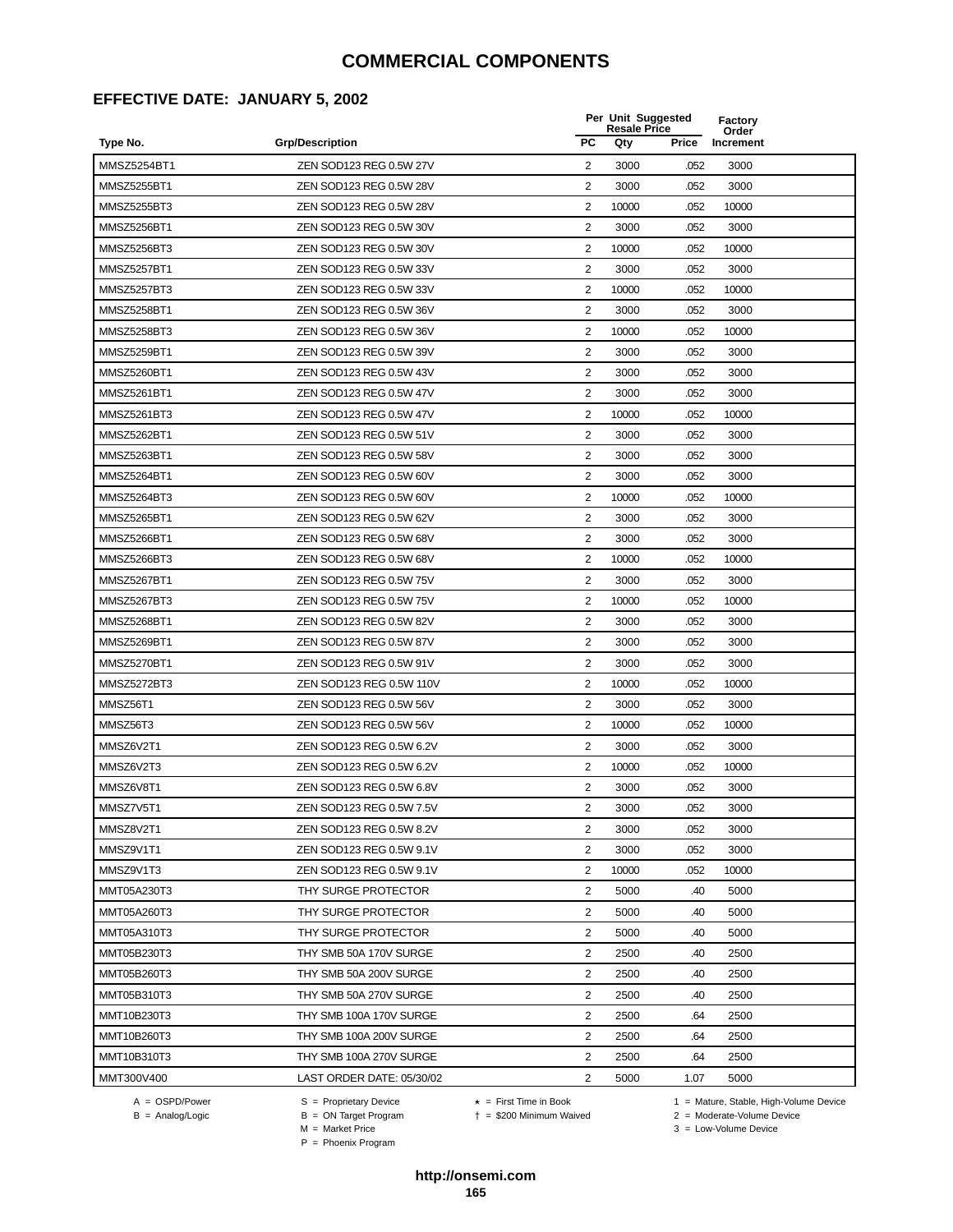# **EFFECTIVE DATE: JANUARY 5, 2002**

|                    |                           |                | Per Unit Suggested<br><b>Resale Price</b> |       | Factory<br>Order |  |
|--------------------|---------------------------|----------------|-------------------------------------------|-------|------------------|--|
| Type No.           | <b>Grp/Description</b>    | <b>PC</b>      | Qty                                       | Price | <b>Increment</b> |  |
| MMSZ5254BT1        | ZEN SOD123 REG 0.5W 27V   | 2              | 3000                                      | .052  | 3000             |  |
| MMSZ5255BT1        | ZEN SOD123 REG 0.5W 28V   | $\overline{2}$ | 3000                                      | .052  | 3000             |  |
| MMSZ5255BT3        | ZEN SOD123 REG 0.5W 28V   | $\overline{2}$ | 10000                                     | .052  | 10000            |  |
| MMSZ5256BT1        | ZEN SOD123 REG 0.5W 30V   | $\overline{2}$ | 3000                                      | .052  | 3000             |  |
| MMSZ5256BT3        | ZEN SOD123 REG 0.5W 30V   | 2              | 10000                                     | .052  | 10000            |  |
| MMSZ5257BT1        | ZEN SOD123 REG 0.5W 33V   | 2              | 3000                                      | .052  | 3000             |  |
| MMSZ5257BT3        | ZEN SOD123 REG 0.5W 33V   | 2              | 10000                                     | .052  | 10000            |  |
| MMSZ5258BT1        | ZEN SOD123 REG 0.5W 36V   | 2              | 3000                                      | .052  | 3000             |  |
| MMSZ5258BT3        | ZEN SOD123 REG 0.5W 36V   | 2              | 10000                                     | .052  | 10000            |  |
| MMSZ5259BT1        | ZEN SOD123 REG 0.5W 39V   | 2              | 3000                                      | .052  | 3000             |  |
| MMSZ5260BT1        | ZEN SOD123 REG 0.5W 43V   | $\overline{2}$ | 3000                                      | .052  | 3000             |  |
| MMSZ5261BT1        | ZEN SOD123 REG 0.5W 47V   | $\overline{2}$ | 3000                                      | .052  | 3000             |  |
| MMSZ5261BT3        | ZEN SOD123 REG 0.5W 47V   | $\overline{2}$ | 10000                                     | .052  | 10000            |  |
| MMSZ5262BT1        | ZEN SOD123 REG 0.5W 51V   | $\overline{2}$ | 3000                                      | .052  | 3000             |  |
| MMSZ5263BT1        | ZEN SOD123 REG 0.5W 58V   | 2              | 3000                                      | .052  | 3000             |  |
| MMSZ5264BT1        | ZEN SOD123 REG 0.5W 60V   | $\overline{2}$ | 3000                                      | .052  | 3000             |  |
| MMSZ5264BT3        | ZEN SOD123 REG 0.5W 60V   | $\overline{2}$ | 10000                                     | .052  | 10000            |  |
| MMSZ5265BT1        | ZEN SOD123 REG 0.5W 62V   | $\overline{2}$ | 3000                                      | .052  | 3000             |  |
| MMSZ5266BT1        | ZEN SOD123 REG 0.5W 68V   | $\overline{2}$ | 3000                                      | .052  | 3000             |  |
| MMSZ5266BT3        | ZEN SOD123 REG 0.5W 68V   | 2              | 10000                                     | .052  | 10000            |  |
| MMSZ5267BT1        | ZEN SOD123 REG 0.5W 75V   | $\overline{2}$ | 3000                                      | .052  | 3000             |  |
| MMSZ5267BT3        | ZEN SOD123 REG 0.5W 75V   | $\overline{2}$ | 10000                                     | .052  | 10000            |  |
| MMSZ5268BT1        | ZEN SOD123 REG 0.5W 82V   | 2              | 3000                                      | .052  | 3000             |  |
| MMSZ5269BT1        | ZEN SOD123 REG 0.5W 87V   | 2              | 3000                                      | .052  | 3000             |  |
| MMSZ5270BT1        | ZEN SOD123 REG 0.5W 91V   | 2              | 3000                                      | .052  | 3000             |  |
| <b>MMSZ5272BT3</b> | ZEN SOD123 REG 0.5W 110V  | 2              | 10000                                     | .052  | 10000            |  |
| MMSZ56T1           | ZEN SOD123 REG 0.5W 56V   | $\overline{2}$ | 3000                                      | .052  | 3000             |  |
| MMSZ56T3           | ZEN SOD123 REG 0.5W 56V   | 2              | 10000                                     | .052  | 10000            |  |
| MMSZ6V2T1          | ZEN SOD123 REG 0.5W 6.2V  | $\overline{2}$ | 3000                                      | .052  | 3000             |  |
| MMSZ6V2T3          | ZEN SOD123 REG 0.5W 6.2V  | $\overline{2}$ | 10000                                     | .052  | 10000            |  |
| MMSZ6V8T1          | ZEN SOD123 REG 0.5W 6.8V  | 2              | 3000                                      | .052  | 3000             |  |
| MMSZ7V5T1          | ZEN SOD123 REG 0.5W 7.5V  | 2              | 3000                                      | .052  | 3000             |  |
| MMSZ8V2T1          | ZEN SOD123 REG 0.5W 8.2V  | 2              | 3000                                      | .052  | 3000             |  |
| MMSZ9V1T1          | ZEN SOD123 REG 0.5W 9.1V  | 2              | 3000                                      | .052  | 3000             |  |
| MMSZ9V1T3          | ZEN SOD123 REG 0.5W 9.1V  | $\overline{2}$ | 10000                                     | .052  | 10000            |  |
| MMT05A230T3        | THY SURGE PROTECTOR       | $\overline{2}$ | 5000                                      | .40   | 5000             |  |
| MMT05A260T3        | THY SURGE PROTECTOR       | 2              | 5000                                      | .40   | 5000             |  |
| MMT05A310T3        | THY SURGE PROTECTOR       | 2              | 5000                                      | .40   | 5000             |  |
| MMT05B230T3        | THY SMB 50A 170V SURGE    | 2              | 2500                                      | .40   | 2500             |  |
| MMT05B260T3        | THY SMB 50A 200V SURGE    | 2              | 2500                                      | .40   | 2500             |  |
| MMT05B310T3        | THY SMB 50A 270V SURGE    | $\overline{2}$ | 2500                                      | .40   | 2500             |  |
| MMT10B230T3        | THY SMB 100A 170V SURGE   | 2              | 2500                                      | .64   | 2500             |  |
| MMT10B260T3        | THY SMB 100A 200V SURGE   | $\overline{2}$ | 2500                                      | .64   | 2500             |  |
| MMT10B310T3        | THY SMB 100A 270V SURGE   | $\overline{2}$ | 2500                                      | .64   | 2500             |  |
| MMT300V400         | LAST ORDER DATE: 05/30/02 | 2              | 5000                                      | 1.07  | 5000             |  |

A = OSPD/Power S = Proprietary Device<br>
B = Analog/Logic B = ON Target Program<br>
M = Market Price

= \$200 Minimum Waived 2 = Moderate-Volume Device

A = OSPD/Power S = Proprietary Device  $\star$  = First Time in Book 1 = Mature, Stable, High-Volume Device

P = Phoenix Program

 $2 =$  Moderate-Volume Device<br> $3 =$  Low-Volume Device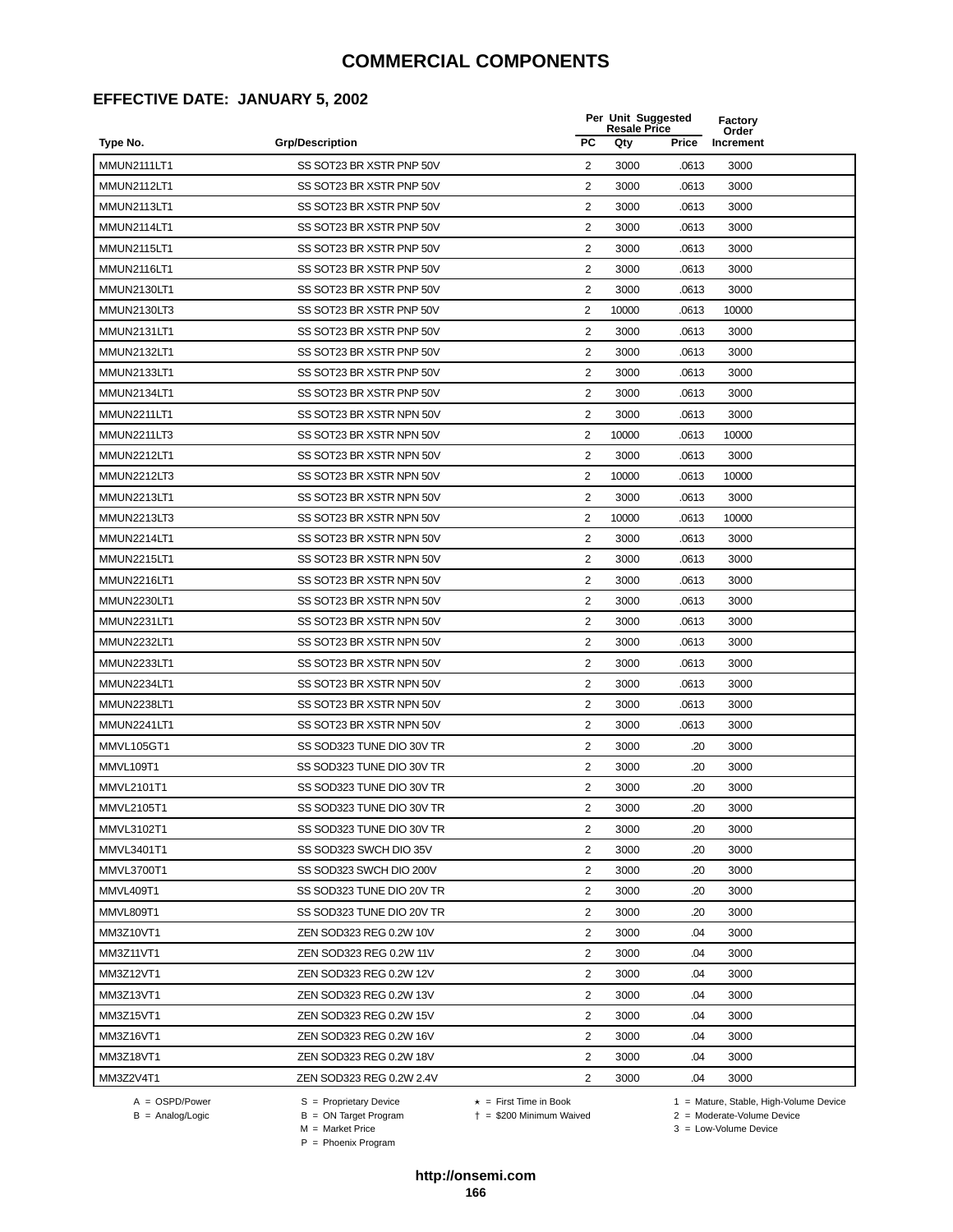#### **EFFECTIVE DATE: JANUARY 5, 2002**

|                    |                           |                         | Per Unit Suggested<br><b>Resale Price</b> |       | Factory<br>Order |
|--------------------|---------------------------|-------------------------|-------------------------------------------|-------|------------------|
| Type No.           | <b>Grp/Description</b>    | <b>PC</b>               | Qty                                       | Price | Increment        |
| MMUN2111LT1        | SS SOT23 BR XSTR PNP 50V  | 2                       | 3000                                      | .0613 | 3000             |
| MMUN2112LT1        | SS SOT23 BR XSTR PNP 50V  | 2                       | 3000                                      | .0613 | 3000             |
| MMUN2113LT1        | SS SOT23 BR XSTR PNP 50V  | 2                       | 3000                                      | .0613 | 3000             |
| MMUN2114LT1        | SS SOT23 BR XSTR PNP 50V  | $\overline{2}$          | 3000                                      | .0613 | 3000             |
| <b>MMUN2115LT1</b> | SS SOT23 BR XSTR PNP 50V  | $\sqrt{2}$              | 3000                                      | .0613 | 3000             |
| MMUN2116LT1        | SS SOT23 BR XSTR PNP 50V  | 2                       | 3000                                      | .0613 | 3000             |
| <b>MMUN2130LT1</b> | SS SOT23 BR XSTR PNP 50V  | $\overline{2}$          | 3000                                      | .0613 | 3000             |
| MMUN2130LT3        | SS SOT23 BR XSTR PNP 50V  | $\overline{2}$          | 10000                                     | .0613 | 10000            |
| MMUN2131LT1        | SS SOT23 BR XSTR PNP 50V  | $\overline{2}$          | 3000                                      | .0613 | 3000             |
| MMUN2132LT1        | SS SOT23 BR XSTR PNP 50V  | 2                       | 3000                                      | .0613 | 3000             |
| MMUN2133LT1        | SS SOT23 BR XSTR PNP 50V  | 2                       | 3000                                      | .0613 | 3000             |
| MMUN2134LT1        | SS SOT23 BR XSTR PNP 50V  | $\overline{2}$          | 3000                                      | .0613 | 3000             |
| MMUN2211LT1        | SS SOT23 BR XSTR NPN 50V  | 2                       | 3000                                      | .0613 | 3000             |
| <b>MMUN2211LT3</b> | SS SOT23 BR XSTR NPN 50V  | $\overline{2}$          | 10000                                     | .0613 | 10000            |
| MMUN2212LT1        | SS SOT23 BR XSTR NPN 50V  | 2                       | 3000                                      | .0613 | 3000             |
| <b>MMUN2212LT3</b> | SS SOT23 BR XSTR NPN 50V  | $\overline{2}$          | 10000                                     | .0613 | 10000            |
| MMUN2213LT1        | SS SOT23 BR XSTR NPN 50V  | $\overline{2}$          | 3000                                      | .0613 | 3000             |
| MMUN2213LT3        | SS SOT23 BR XSTR NPN 50V  | $\overline{c}$          | 10000                                     | .0613 | 10000            |
| MMUN2214LT1        | SS SOT23 BR XSTR NPN 50V  | $\overline{2}$          | 3000                                      | .0613 | 3000             |
| MMUN2215LT1        | SS SOT23 BR XSTR NPN 50V  | 2                       | 3000                                      | .0613 | 3000             |
| MMUN2216LT1        | SS SOT23 BR XSTR NPN 50V  | 2                       | 3000                                      | .0613 | 3000             |
| MMUN2230LT1        | SS SOT23 BR XSTR NPN 50V  | 2                       | 3000                                      | .0613 | 3000             |
| MMUN2231LT1        | SS SOT23 BR XSTR NPN 50V  | $\sqrt{2}$              | 3000                                      | .0613 | 3000             |
| MMUN2232LT1        | SS SOT23 BR XSTR NPN 50V  | 2                       | 3000                                      | .0613 | 3000             |
| <b>MMUN2233LT1</b> | SS SOT23 BR XSTR NPN 50V  | $\overline{2}$          | 3000                                      | .0613 | 3000             |
| MMUN2234LT1        | SS SOT23 BR XSTR NPN 50V  | 2                       | 3000                                      | .0613 | 3000             |
| MMUN2238LT1        | SS SOT23 BR XSTR NPN 50V  | 2                       | 3000                                      | .0613 | 3000             |
| <b>MMUN2241LT1</b> | SS SOT23 BR XSTR NPN 50V  | $\overline{2}$          | 3000                                      | .0613 | 3000             |
| MMVL105GT1         | SS SOD323 TUNE DIO 30V TR | 2                       | 3000                                      | .20   | 3000             |
| MMVL109T1          | SS SOD323 TUNE DIO 30V TR | $\overline{2}$          | 3000                                      | .20   | 3000             |
| MMVL2101T1         | SS SOD323 TUNE DIO 30V TR | 2                       | 3000                                      | .20   | 3000             |
| MMVL2105T1         | SS SOD323 TUNE DIO 30V TR | $\overline{\mathbf{c}}$ | 3000                                      | .20   | 3000             |
| MMVL3102T1         | SS SOD323 TUNE DIO 30V TR | 2                       | 3000                                      | .20   | 3000             |
| MMVL3401T1         | SS SOD323 SWCH DIO 35V    | $\overline{2}$          | 3000                                      | .20   | 3000             |
| MMVL3700T1         | SS SOD323 SWCH DIO 200V   | 2                       | 3000                                      | .20   | 3000             |
| MMVL409T1          | SS SOD323 TUNE DIO 20V TR | 2                       | 3000                                      | .20   | 3000             |
| MMVL809T1          | SS SOD323 TUNE DIO 20V TR | 2                       | 3000                                      | .20   | 3000             |
| MM3Z10VT1          | ZEN SOD323 REG 0.2W 10V   | 2                       | 3000                                      | .04   | 3000             |
| MM3Z11VT1          | ZEN SOD323 REG 0.2W 11V   | $\overline{2}$          | 3000                                      | .04   | 3000             |
| MM3Z12VT1          | ZEN SOD323 REG 0.2W 12V   | $\overline{2}$          | 3000                                      | .04   | 3000             |
| MM3Z13VT1          | ZEN SOD323 REG 0.2W 13V   | $\overline{2}$          | 3000                                      | .04   | 3000             |
| MM3Z15VT1          | ZEN SOD323 REG 0.2W 15V   | 2                       | 3000                                      | .04   | 3000             |
| MM3Z16VT1          | ZEN SOD323 REG 0.2W 16V   | 2                       | 3000                                      | .04   | 3000             |
| MM3Z18VT1          | ZEN SOD323 REG 0.2W 18V   | 2                       | 3000                                      | .04   | 3000             |
| MM3Z2V4T1          | ZEN SOD323 REG 0.2W 2.4V  | 2                       | 3000                                      | .04   | 3000             |

 $B = \text{Analog/Logic}$ <br>B = ON Target Program<br> $M = \text{Market Price}$ 

A = OSPD/Power S = Proprietary Device  $\star$  = First Time in Book 1 = Mature, Stable, High-Volume Device = \$200 Minimum Waived 2 = Moderate-Volume Device

P = Phoenix Program

 $3 =$  Low-Volume Device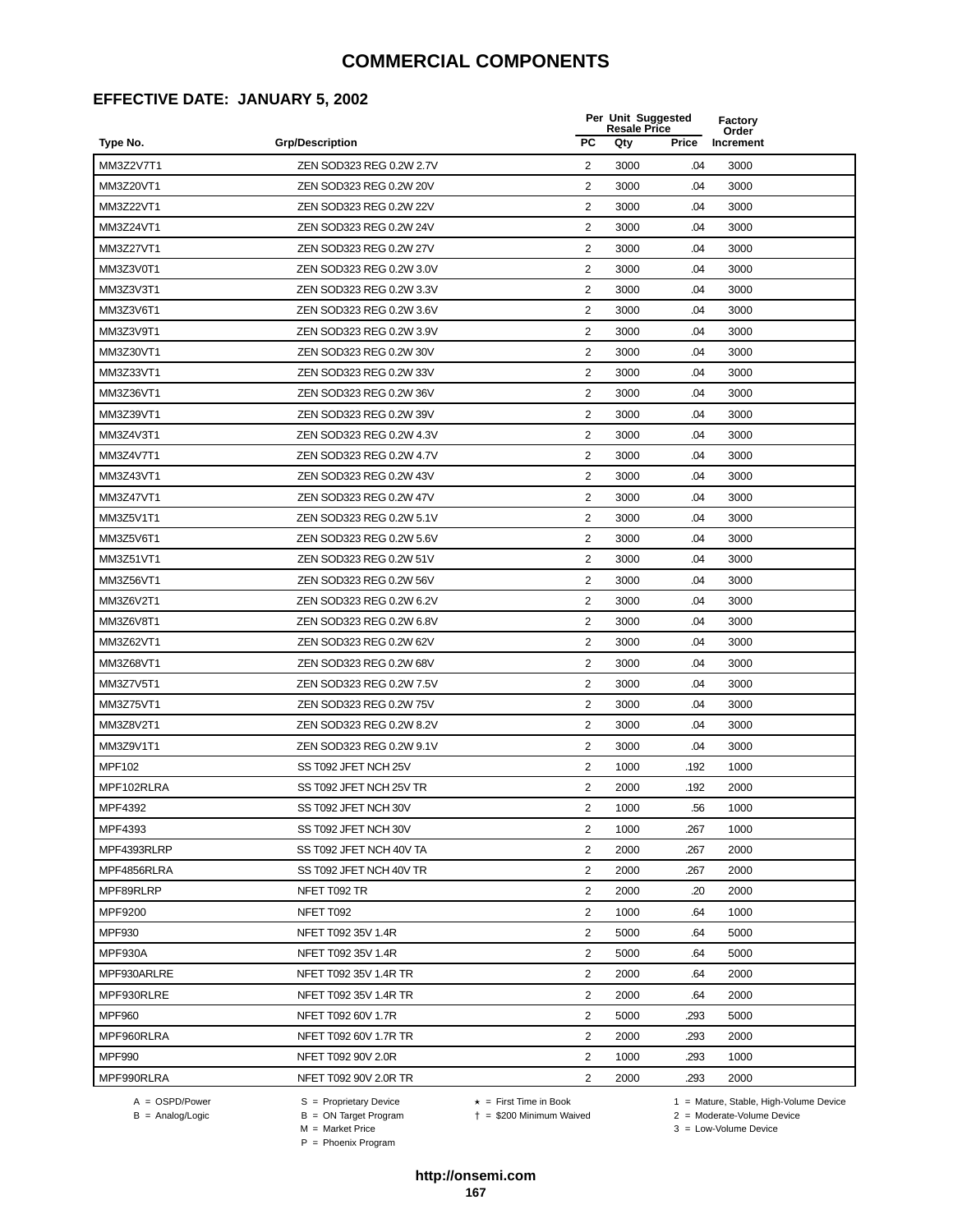#### **EFFECTIVE DATE: JANUARY 5, 2002**

|               |                          |                         | Per Unit Suggested<br><b>Resale Price</b> |       | Factory<br>Order |  |
|---------------|--------------------------|-------------------------|-------------------------------------------|-------|------------------|--|
| Type No.      | <b>Grp/Description</b>   | PC                      | Qty                                       | Price | Increment        |  |
| MM3Z2V7T1     | ZEN SOD323 REG 0.2W 2.7V | 2                       | 3000                                      | .04   | 3000             |  |
| MM3Z20VT1     | ZEN SOD323 REG 0.2W 20V  | 2                       | 3000                                      | .04   | 3000             |  |
| MM3Z22VT1     | ZEN SOD323 REG 0.2W 22V  | 2                       | 3000                                      | .04   | 3000             |  |
| MM3Z24VT1     | ZEN SOD323 REG 0.2W 24V  | 2                       | 3000                                      | .04   | 3000             |  |
| MM3Z27VT1     | ZEN SOD323 REG 0.2W 27V  | 2                       | 3000                                      | .04   | 3000             |  |
| MM3Z3V0T1     | ZEN SOD323 REG 0.2W 3.0V | 2                       | 3000                                      | .04   | 3000             |  |
| MM3Z3V3T1     | ZEN SOD323 REG 0.2W 3.3V | 2                       | 3000                                      | .04   | 3000             |  |
| MM3Z3V6T1     | ZEN SOD323 REG 0.2W 3.6V | $\overline{c}$          | 3000                                      | .04   | 3000             |  |
| MM3Z3V9T1     | ZEN SOD323 REG 0.2W 3.9V | $\overline{c}$          | 3000                                      | .04   | 3000             |  |
| MM3Z30VT1     | ZEN SOD323 REG 0.2W 30V  | 2                       | 3000                                      | .04   | 3000             |  |
| MM3Z33VT1     | ZEN SOD323 REG 0.2W 33V  | 2                       | 3000                                      | .04   | 3000             |  |
| MM3Z36VT1     | ZEN SOD323 REG 0.2W 36V  | 2                       | 3000                                      | .04   | 3000             |  |
| MM3Z39VT1     | ZEN SOD323 REG 0.2W 39V  | 2                       | 3000                                      | .04   | 3000             |  |
| MM3Z4V3T1     | ZEN SOD323 REG 0.2W 4.3V | 2                       | 3000                                      | .04   | 3000             |  |
| MM3Z4V7T1     | ZEN SOD323 REG 0.2W 4.7V | 2                       | 3000                                      | .04   | 3000             |  |
| MM3Z43VT1     | ZEN SOD323 REG 0.2W 43V  | 2                       | 3000                                      | .04   | 3000             |  |
| MM3Z47VT1     | ZEN SOD323 REG 0.2W 47V  | 2                       | 3000                                      | .04   | 3000             |  |
| MM3Z5V1T1     | ZEN SOD323 REG 0.2W 5.1V | $\overline{\mathbf{c}}$ | 3000                                      | .04   | 3000             |  |
| MM3Z5V6T1     | ZEN SOD323 REG 0.2W 5.6V | 2                       | 3000                                      | .04   | 3000             |  |
| MM3Z51VT1     | ZEN SOD323 REG 0.2W 51V  | 2                       | 3000                                      | .04   | 3000             |  |
| MM3Z56VT1     | ZEN SOD323 REG 0.2W 56V  | 2                       | 3000                                      | .04   | 3000             |  |
| MM3Z6V2T1     | ZEN SOD323 REG 0.2W 6.2V | 2                       | 3000                                      | .04   | 3000             |  |
| MM3Z6V8T1     | ZEN SOD323 REG 0.2W 6.8V | 2                       | 3000                                      | .04   | 3000             |  |
| MM3Z62VT1     | ZEN SOD323 REG 0.2W 62V  | 2                       | 3000                                      | .04   | 3000             |  |
| MM3Z68VT1     | ZEN SOD323 REG 0.2W 68V  | $\overline{2}$          | 3000                                      | .04   | 3000             |  |
| MM3Z7V5T1     | ZEN SOD323 REG 0.2W 7.5V | $\overline{2}$          | 3000                                      | .04   | 3000             |  |
| MM3Z75VT1     | ZEN SOD323 REG 0.2W 75V  | 2                       | 3000                                      | .04   | 3000             |  |
| MM3Z8V2T1     | ZEN SOD323 REG 0.2W 8.2V | $\overline{2}$          | 3000                                      | .04   | 3000             |  |
| MM3Z9V1T1     | ZEN SOD323 REG 0.2W 9.1V | 2                       | 3000                                      | .04   | 3000             |  |
| <b>MPF102</b> | SS T092 JFET NCH 25V     | 2                       | 1000                                      | .192  | 1000             |  |
| MPF102RLRA    | SS T092 JFET NCH 25V TR  | 2                       | 2000                                      | .192  | 2000             |  |
| MPF4392       | SS T092 JFET NCH 30V     | 2                       | 1000                                      | .56   | 1000             |  |
| MPF4393       | SS T092 JFET NCH 30V     | 2                       | 1000                                      | .267  | 1000             |  |
| MPF4393RLRP   | SS T092 JFET NCH 40V TA  | $\overline{2}$          | 2000                                      | .267  | 2000             |  |
| MPF4856RLRA   | SS T092 JFET NCH 40V TR  | $\overline{2}$          | 2000                                      | .267  | 2000             |  |
| MPF89RLRP     | NFET T092 TR             | $\overline{2}$          | 2000                                      | .20   | 2000             |  |
| MPF9200       | NFET T092                | 2                       | 1000                                      | .64   | 1000             |  |
| <b>MPF930</b> | NFET T092 35V 1.4R       | $\overline{2}$          | 5000                                      | .64   | 5000             |  |
| MPF930A       | NFET T092 35V 1.4R       | 2                       | 5000                                      | .64   | 5000             |  |
| MPF930ARLRE   | NFET T092 35V 1.4R TR    | 2                       | 2000                                      | .64   | 2000             |  |
| MPF930RLRE    | NFET T092 35V 1.4R TR    | 2                       | 2000                                      | .64   | 2000             |  |
| <b>MPF960</b> | NFET T092 60V 1.7R       | 2                       | 5000                                      | .293  | 5000             |  |
| MPF960RLRA    | NFET T092 60V 1.7R TR    | 2                       | 2000                                      | .293  | 2000             |  |
| <b>MPF990</b> | NFET T092 90V 2.0R       | $\overline{2}$          | 1000                                      | .293  | 1000             |  |
| MPF990RLRA    | NFET T092 90V 2.0R TR    | 2                       | 2000                                      | .293  | 2000             |  |

A = OSPD/Power S = Proprietary Device<br>
B = Analog/Logic B = ON Target Program<br>
M = Market Price

A = OSPD/Power S = Proprietary Device  $\star$  = First Time in Book 1 = Mature, Stable, High-Volume Device = \$200 Minimum Waived 2 = Moderate-Volume Device

 $2 =$  Moderate-Volume Device<br> $3 =$  Low-Volume Device

P = Phoenix Program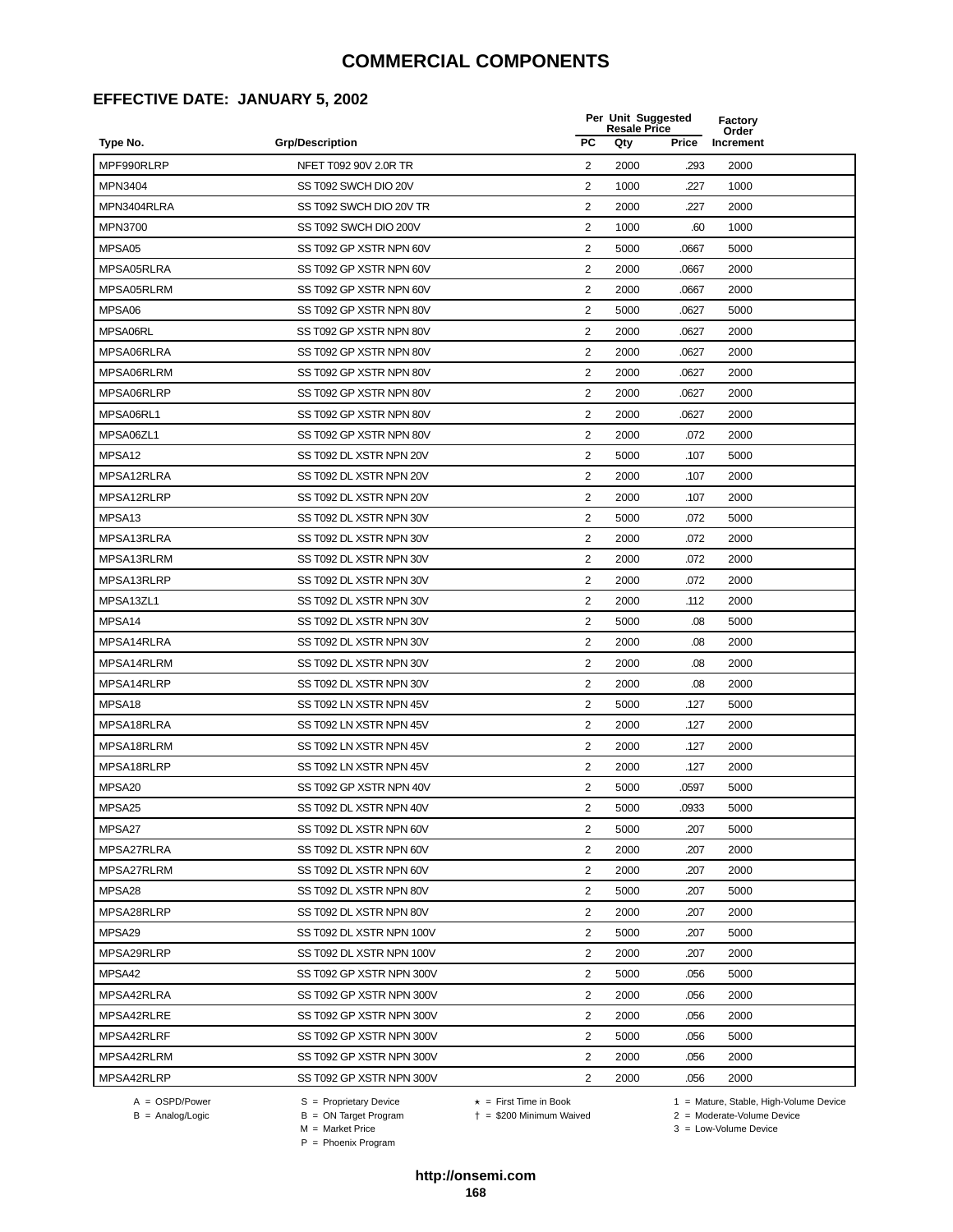# **EFFECTIVE DATE: JANUARY 5, 2002**

|                |                          |                | <b>Resale Price</b> | Per Unit Suggested | <b>Factory</b><br>Order |
|----------------|--------------------------|----------------|---------------------|--------------------|-------------------------|
| Type No.       | <b>Grp/Description</b>   | <b>PC</b>      | Qty                 | Price              | Increment               |
| MPF990RLRP     | NFET T092 90V 2.0R TR    | 2              | 2000                | .293               | 2000                    |
| MPN3404        | SS T092 SWCH DIO 20V     | 2              | 1000                | .227               | 1000                    |
| MPN3404RLRA    | SS T092 SWCH DIO 20V TR  | 2              | 2000                | .227               | 2000                    |
| <b>MPN3700</b> | SS T092 SWCH DIO 200V    | $\overline{2}$ | 1000                | .60                | 1000                    |
| MPSA05         | SS T092 GP XSTR NPN 60V  | $\overline{2}$ | 5000                | .0667              | 5000                    |
| MPSA05RLRA     | SS T092 GP XSTR NPN 60V  | 2              | 2000                | .0667              | 2000                    |
| MPSA05RLRM     | SS T092 GP XSTR NPN 60V  | $\overline{2}$ | 2000                | .0667              | 2000                    |
| MPSA06         | SS T092 GP XSTR NPN 80V  | 2              | 5000                | .0627              | 5000                    |
| MPSA06RL       | SS T092 GP XSTR NPN 80V  | $\overline{c}$ | 2000                | .0627              | 2000                    |
| MPSA06RLRA     | SS T092 GP XSTR NPN 80V  | $\overline{2}$ | 2000                | .0627              | 2000                    |
| MPSA06RLRM     | SS T092 GP XSTR NPN 80V  | 2              | 2000                | .0627              | 2000                    |
| MPSA06RLRP     | SS T092 GP XSTR NPN 80V  | $\overline{2}$ | 2000                | .0627              | 2000                    |
| MPSA06RL1      | SS T092 GP XSTR NPN 80V  | 2              | 2000                | .0627              | 2000                    |
| MPSA06ZL1      | SS T092 GP XSTR NPN 80V  | $\overline{2}$ | 2000                | .072               | 2000                    |
| MPSA12         | SS T092 DL XSTR NPN 20V  | 2              | 5000                | .107               | 5000                    |
| MPSA12RLRA     | SS T092 DL XSTR NPN 20V  | $\overline{2}$ | 2000                | .107               | 2000                    |
| MPSA12RLRP     | SS T092 DL XSTR NPN 20V  | 2              | 2000                | .107               | 2000                    |
| MPSA13         | SS T092 DL XSTR NPN 30V  | 2              | 5000                | .072               | 5000                    |
| MPSA13RLRA     | SS T092 DL XSTR NPN 30V  | $\overline{2}$ | 2000                | .072               | 2000                    |
| MPSA13RLRM     | SS T092 DL XSTR NPN 30V  | 2              | 2000                | .072               | 2000                    |
| MPSA13RLRP     | SS T092 DL XSTR NPN 30V  | 2              | 2000                | .072               | 2000                    |
| MPSA13ZL1      | SS T092 DL XSTR NPN 30V  | 2              | 2000                | .112               | 2000                    |
| MPSA14         | SS T092 DL XSTR NPN 30V  | $\overline{2}$ | 5000                | .08                | 5000                    |
| MPSA14RLRA     | SS T092 DL XSTR NPN 30V  | 2              | 2000                | .08                | 2000                    |
| MPSA14RLRM     | SS T092 DL XSTR NPN 30V  | $\overline{2}$ | 2000                | .08                | 2000                    |
| MPSA14RLRP     | SS T092 DL XSTR NPN 30V  | 2              | 2000                | .08                | 2000                    |
| MPSA18         | SS T092 LN XSTR NPN 45V  | 2              | 5000                | .127               | 5000                    |
| MPSA18RLRA     | SS T092 LN XSTR NPN 45V  | $\overline{2}$ | 2000                | .127               | 2000                    |
| MPSA18RLRM     | SS T092 LN XSTR NPN 45V  | 2              | 2000                | .127               | 2000                    |
| MPSA18RLRP     | SS T092 LN XSTR NPN 45V  | 2              | 2000                | .127               | 2000                    |
| MPSA20         | SS T092 GP XSTR NPN 40V  | $\overline{2}$ | 5000                | .0597              | 5000                    |
| MPSA25         | SS T092 DL XSTR NPN 40V  | 2              | 5000                | .0933              | 5000                    |
| MPSA27         | SS T092 DL XSTR NPN 60V  | 2              | 5000                | .207               | 5000                    |
| MPSA27RLRA     | SS T092 DL XSTR NPN 60V  | 2              | 2000                | .207               | 2000                    |
| MPSA27RLRM     | SS T092 DL XSTR NPN 60V  | 2              | 2000                | .207               | 2000                    |
| MPSA28         | SS T092 DL XSTR NPN 80V  | 2              | 5000                | .207               | 5000                    |
| MPSA28RLRP     | SS T092 DL XSTR NPN 80V  | $\overline{2}$ | 2000                | .207               | 2000                    |
| MPSA29         | SS T092 DL XSTR NPN 100V | 2              | 5000                | .207               | 5000                    |
| MPSA29RLRP     | SS T092 DL XSTR NPN 100V | 2              | 2000                | .207               | 2000                    |
| MPSA42         | SS T092 GP XSTR NPN 300V | $\overline{2}$ | 5000                | .056               | 5000                    |
| MPSA42RLRA     | SS T092 GP XSTR NPN 300V | $\overline{2}$ | 2000                | .056               | 2000                    |
| MPSA42RLRE     | SS T092 GP XSTR NPN 300V | 2              | 2000                | .056               | 2000                    |
| MPSA42RLRF     | SS T092 GP XSTR NPN 300V | 2              | 5000                | .056               | 5000                    |
| MPSA42RLRM     | SS T092 GP XSTR NPN 300V | 2              | 2000                | .056               | 2000                    |
| MPSA42RLRP     | SS T092 GP XSTR NPN 300V | 2              | 2000                | .056               | 2000                    |
|                |                          |                |                     |                    |                         |

 $B = \text{Analog/Logic}$ <br>B = ON Target Program<br> $M = \text{Market Price}$ 

A = OSPD/Power S = Proprietary Device  $\star$  = First Time in Book 1 = Mature, Stable, High-Volume Device

 = \$200 Minimum Waived 2 = Moderate-Volume Device  $3 =$  Low-Volume Device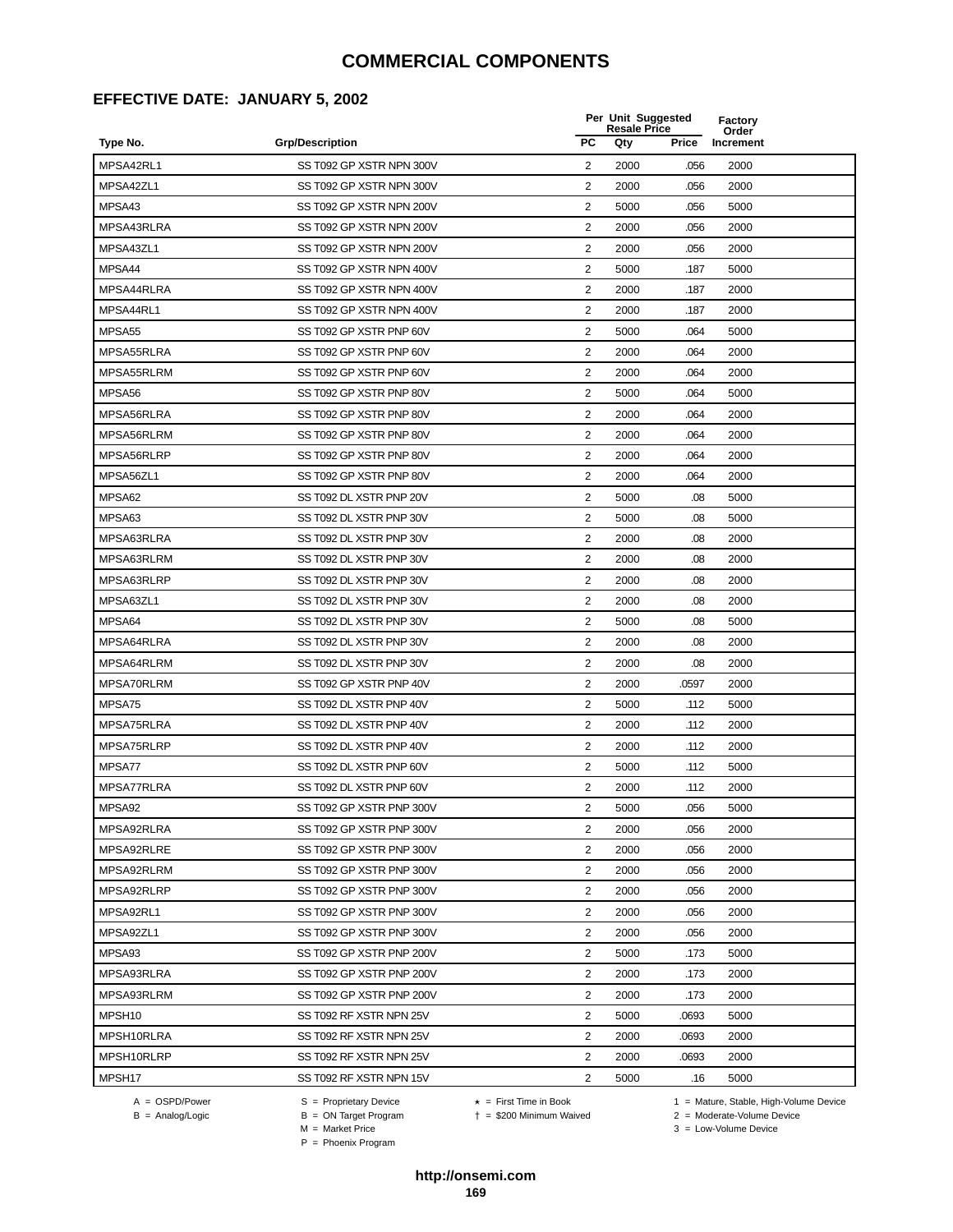# **EFFECTIVE DATE: JANUARY 5, 2002**

|                    |                          |                | Per Unit Suggested<br><b>Resale Price</b> |       | Factory<br>Order |  |
|--------------------|--------------------------|----------------|-------------------------------------------|-------|------------------|--|
| Type No.           | <b>Grp/Description</b>   | PC             | Qty                                       | Price | Increment        |  |
| MPSA42RL1          | SS T092 GP XSTR NPN 300V | 2              | 2000                                      | .056  | 2000             |  |
| MPSA42ZL1          | SS T092 GP XSTR NPN 300V | $\overline{2}$ | 2000                                      | .056  | 2000             |  |
| MPSA43             | SS T092 GP XSTR NPN 200V | 2              | 5000                                      | .056  | 5000             |  |
| MPSA43RLRA         | SS T092 GP XSTR NPN 200V | 2              | 2000                                      | .056  | 2000             |  |
| MPSA43ZL1          | SS T092 GP XSTR NPN 200V | 2              | 2000                                      | .056  | 2000             |  |
| MPSA44             | SS T092 GP XSTR NPN 400V | 2              | 5000                                      | .187  | 5000             |  |
| MPSA44RLRA         | SS T092 GP XSTR NPN 400V | 2              | 2000                                      | .187  | 2000             |  |
| MPSA44RL1          | SS T092 GP XSTR NPN 400V | $\overline{2}$ | 2000                                      | .187  | 2000             |  |
| MPSA <sub>55</sub> | SS T092 GP XSTR PNP 60V  | $\overline{2}$ | 5000                                      | .064  | 5000             |  |
| MPSA55RLRA         | SS T092 GP XSTR PNP 60V  | 2              | 2000                                      | .064  | 2000             |  |
| MPSA55RLRM         | SS T092 GP XSTR PNP 60V  | 2              | 2000                                      | .064  | 2000             |  |
| MPSA56             | SS T092 GP XSTR PNP 80V  | 2              | 5000                                      | .064  | 5000             |  |
| MPSA56RLRA         | SS T092 GP XSTR PNP 80V  | 2              | 2000                                      | .064  | 2000             |  |
| MPSA56RLRM         | SS T092 GP XSTR PNP 80V  | 2              | 2000                                      | .064  | 2000             |  |
| MPSA56RLRP         | SS T092 GP XSTR PNP 80V  | 2              | 2000                                      | .064  | 2000             |  |
| MPSA56ZL1          | SS T092 GP XSTR PNP 80V  | 2              | 2000                                      | .064  | 2000             |  |
| MPSA62             | SS T092 DL XSTR PNP 20V  | 2              | 5000                                      | .08   | 5000             |  |
| MPSA63             | SS T092 DL XSTR PNP 30V  | 2              | 5000                                      | .08   | 5000             |  |
| MPSA63RLRA         | SS T092 DL XSTR PNP 30V  | 2              | 2000                                      | .08   | 2000             |  |
| MPSA63RLRM         | SS T092 DL XSTR PNP 30V  | 2              | 2000                                      | .08   | 2000             |  |
| MPSA63RLRP         | SS T092 DL XSTR PNP 30V  | 2              | 2000                                      | .08   | 2000             |  |
| MPSA63ZL1          | SS T092 DL XSTR PNP 30V  | 2              | 2000                                      | .08   | 2000             |  |
| MPSA64             | SS T092 DL XSTR PNP 30V  | 2              | 5000                                      | .08   | 5000             |  |
| MPSA64RLRA         | SS T092 DL XSTR PNP 30V  | 2              | 2000                                      | .08   | 2000             |  |
| MPSA64RLRM         | SS T092 DL XSTR PNP 30V  | 2              | 2000                                      | .08   | 2000             |  |
| MPSA70RLRM         | SS T092 GP XSTR PNP 40V  | $\overline{2}$ | 2000                                      | .0597 | 2000             |  |
| MPSA75             | SS T092 DL XSTR PNP 40V  | 2              | 5000                                      | .112  | 5000             |  |
| MPSA75RLRA         | SS T092 DL XSTR PNP 40V  | 2              | 2000                                      | .112  | 2000             |  |
| MPSA75RLRP         | SS T092 DL XSTR PNP 40V  | 2              | 2000                                      | .112  | 2000             |  |
| MPSA77             | SS T092 DL XSTR PNP 60V  | 2              | 5000                                      | .112  | 5000             |  |
| MPSA77RLRA         | SS T092 DL XSTR PNP 60V  | 2              | 2000                                      | .112  | 2000             |  |
| MPSA92             | SS T092 GP XSTR PNP 300V | 2              | 5000                                      | .056  | 5000             |  |
| MPSA92RLRA         | SS T092 GP XSTR PNP 300V | 2              | 2000                                      | .056  | 2000             |  |
| MPSA92RLRE         | SS T092 GP XSTR PNP 300V | 2              | 2000                                      | .056  | 2000             |  |
| MPSA92RLRM         | SS T092 GP XSTR PNP 300V | $\overline{2}$ | 2000                                      | .056  | 2000             |  |
| MPSA92RLRP         | SS T092 GP XSTR PNP 300V | $\overline{2}$ | 2000                                      | .056  | 2000             |  |
| MPSA92RL1          | SS T092 GP XSTR PNP 300V | 2              | 2000                                      | .056  | 2000             |  |
| MPSA92ZL1          | SS T092 GP XSTR PNP 300V | 2              | 2000                                      | .056  | 2000             |  |
| MPSA93             | SS T092 GP XSTR PNP 200V | 2              | 5000                                      | .173  | 5000             |  |
| MPSA93RLRA         | SS T092 GP XSTR PNP 200V | 2              | 2000                                      | .173  | 2000             |  |
| MPSA93RLRM         | SS T092 GP XSTR PNP 200V | 2              | 2000                                      | .173  | 2000             |  |
| MPSH <sub>10</sub> | SS T092 RF XSTR NPN 25V  | 2              | 5000                                      | .0693 | 5000             |  |
| MPSH10RLRA         | SS T092 RF XSTR NPN 25V  | 2              | 2000                                      | .0693 | 2000             |  |
| MPSH10RLRP         | SS T092 RF XSTR NPN 25V  | 2              | 2000                                      | .0693 | 2000             |  |
| MPSH17             | SS T092 RF XSTR NPN 15V  | 2              | 5000                                      | .16   | 5000             |  |

A = OSPD/Power S = Proprietary Device<br>
B = Analog/Logic B = ON Target Program<br>
M = Market Price

A = OSPD/Power S = Proprietary Device  $\star$  = First Time in Book 1 = Mature, Stable, High-Volume Device

 = \$200 Minimum Waived 2 = Moderate-Volume Device  $2 =$  Moderate-Volume Device<br> $3 =$  Low-Volume Device

P = Phoenix Program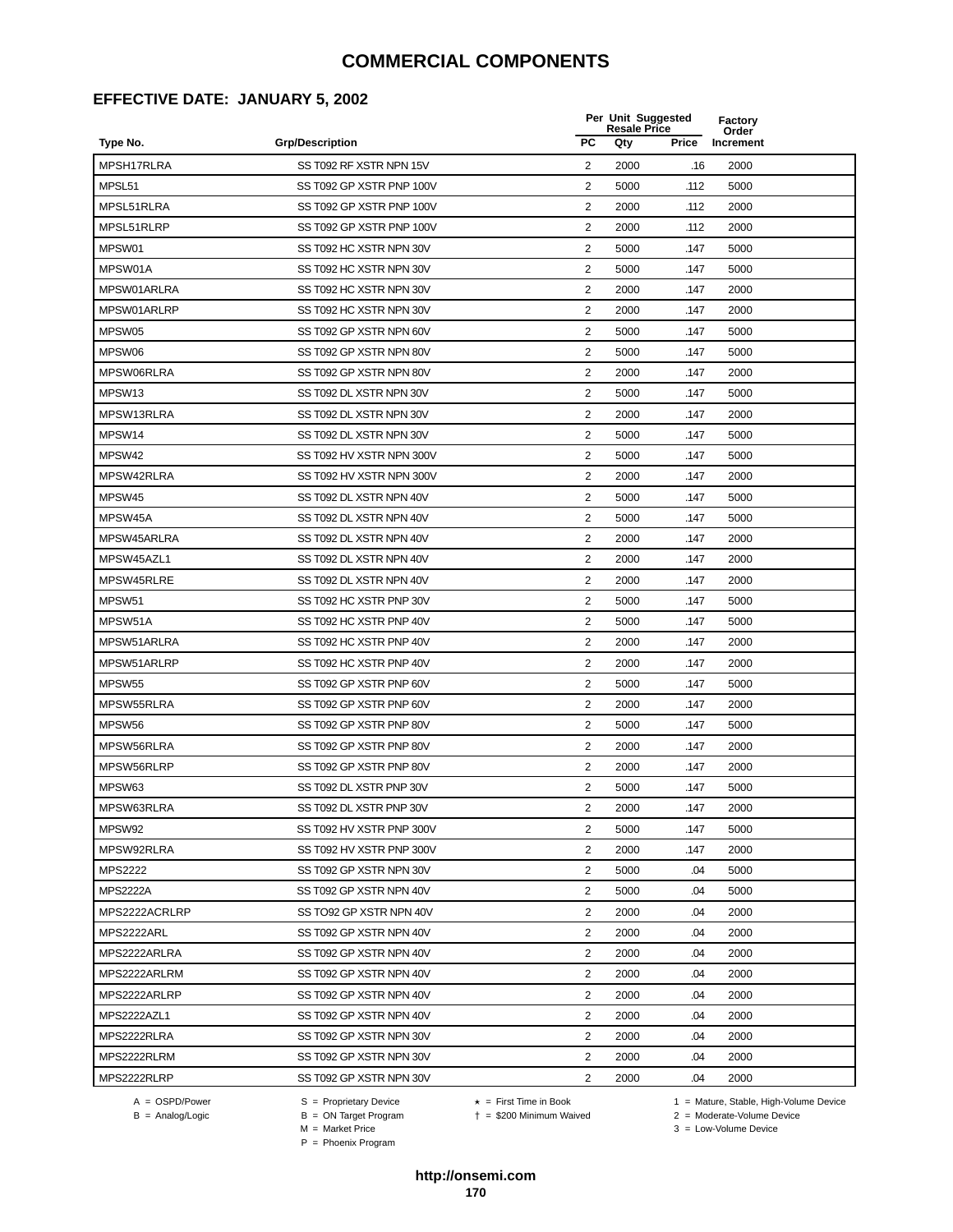#### **EFFECTIVE DATE: JANUARY 5, 2002**

|                 |                          |                | Per Unit Suggested<br><b>Resale Price</b> |       | <b>Factory</b><br>Order |
|-----------------|--------------------------|----------------|-------------------------------------------|-------|-------------------------|
| Type No.        | <b>Grp/Description</b>   | <b>PC</b>      | Qty                                       | Price | Increment               |
| MPSH17RLRA      | SS T092 RF XSTR NPN 15V  | 2              | 2000                                      | .16   | 2000                    |
| MPSL51          | SS T092 GP XSTR PNP 100V | 2              | 5000                                      | .112  | 5000                    |
| MPSL51RLRA      | SS T092 GP XSTR PNP 100V | 2              | 2000                                      | .112  | 2000                    |
| MPSL51RLRP      | SS T092 GP XSTR PNP 100V | $\overline{2}$ | 2000                                      | .112  | 2000                    |
| MPSW01          | SS T092 HC XSTR NPN 30V  | $\overline{c}$ | 5000                                      | .147  | 5000                    |
| MPSW01A         | SS T092 HC XSTR NPN 30V  | 2              | 5000                                      | .147  | 5000                    |
| MPSW01ARLRA     | SS T092 HC XSTR NPN 30V  | $\overline{2}$ | 2000                                      | .147  | 2000                    |
| MPSW01ARLRP     | SS T092 HC XSTR NPN 30V  | 2              | 2000                                      | .147  | 2000                    |
| MPSW05          | SS T092 GP XSTR NPN 60V  | 2              | 5000                                      | .147  | 5000                    |
| MPSW06          | SS T092 GP XSTR NPN 80V  | $\overline{2}$ | 5000                                      | .147  | 5000                    |
| MPSW06RLRA      | SS T092 GP XSTR NPN 80V  | 2              | 2000                                      | .147  | 2000                    |
| MPSW13          | SS T092 DL XSTR NPN 30V  | $\overline{2}$ | 5000                                      | .147  | 5000                    |
| MPSW13RLRA      | SS T092 DL XSTR NPN 30V  | $\overline{2}$ | 2000                                      | .147  | 2000                    |
| MPSW14          | SS T092 DL XSTR NPN 30V  | $\overline{c}$ | 5000                                      | .147  | 5000                    |
| MPSW42          | SS T092 HV XSTR NPN 300V | 2              | 5000                                      | .147  | 5000                    |
| MPSW42RLRA      | SS T092 HV XSTR NPN 300V | $\overline{2}$ | 2000                                      | .147  | 2000                    |
| MPSW45          | SS T092 DL XSTR NPN 40V  | 2              | 5000                                      | .147  | 5000                    |
| MPSW45A         | SS T092 DL XSTR NPN 40V  | 2              | 5000                                      | .147  | 5000                    |
| MPSW45ARLRA     | SS T092 DL XSTR NPN 40V  | $\overline{2}$ | 2000                                      | .147  | 2000                    |
| MPSW45AZL1      | SS T092 DL XSTR NPN 40V  | $\overline{2}$ | 2000                                      | .147  | 2000                    |
| MPSW45RLRE      | SS T092 DL XSTR NPN 40V  | 2              | 2000                                      | .147  | 2000                    |
| MPSW51          | SS T092 HC XSTR PNP 30V  | 2              | 5000                                      | .147  | 5000                    |
| MPSW51A         | SS T092 HC XSTR PNP 40V  | $\overline{2}$ | 5000                                      | .147  | 5000                    |
| MPSW51ARLRA     | SS T092 HC XSTR PNP 40V  | 2              | 2000                                      | .147  | 2000                    |
| MPSW51ARLRP     | SS T092 HC XSTR PNP 40V  | $\overline{2}$ | 2000                                      | .147  | 2000                    |
| MPSW55          | SS T092 GP XSTR PNP 60V  | 2              | 5000                                      | .147  | 5000                    |
| MPSW55RLRA      | SS T092 GP XSTR PNP 60V  | 2              | 2000                                      | .147  | 2000                    |
| MPSW56          | SS T092 GP XSTR PNP 80V  | $\overline{2}$ | 5000                                      | .147  | 5000                    |
| MPSW56RLRA      | SS T092 GP XSTR PNP 80V  | 2              | 2000                                      | .147  | 2000                    |
| MPSW56RLRP      | SS T092 GP XSTR PNP 80V  | 2              | 2000                                      | .147  | 2000                    |
| MPSW63          | SS T092 DL XSTR PNP 30V  | $\overline{2}$ | 5000                                      | .147  | 5000                    |
| MPSW63RLRA      | SS T092 DL XSTR PNP 30V  | 2              | 2000                                      | .147  | 2000                    |
| MPSW92          | SS T092 HV XSTR PNP 300V | 2              | 5000                                      | .147  | 5000                    |
| MPSW92RLRA      | SS T092 HV XSTR PNP 300V | 2              | 2000                                      | .147  | 2000                    |
| <b>MPS2222</b>  | SS T092 GP XSTR NPN 30V  | 2              | 5000                                      | .04   | 5000                    |
| <b>MPS2222A</b> | SS T092 GP XSTR NPN 40V  | 2              | 5000                                      | .04   | 5000                    |
| MPS2222ACRLRP   | SS TO92 GP XSTR NPN 40V  | $\overline{2}$ | 2000                                      | .04   | 2000                    |
| MPS2222ARL      | SS T092 GP XSTR NPN 40V  | 2              | 2000                                      | .04   | 2000                    |
| MPS2222ARLRA    | SS T092 GP XSTR NPN 40V  | $\overline{2}$ | 2000                                      | .04   | 2000                    |
| MPS2222ARLRM    | SS T092 GP XSTR NPN 40V  | $\overline{2}$ | 2000                                      | .04   | 2000                    |
| MPS2222ARLRP    | SS T092 GP XSTR NPN 40V  | $\overline{2}$ | 2000                                      | .04   | 2000                    |
| MPS2222AZL1     | SS T092 GP XSTR NPN 40V  | 2              | 2000                                      | .04   | 2000                    |
| MPS2222RLRA     | SS T092 GP XSTR NPN 30V  | 2              | 2000                                      | .04   | 2000                    |
| MPS2222RLRM     | SS T092 GP XSTR NPN 30V  | 2              | 2000                                      | .04   | 2000                    |
| MPS2222RLRP     | SS T092 GP XSTR NPN 30V  | 2              | 2000                                      | .04   | 2000                    |
|                 |                          |                |                                           |       |                         |

 $B = \text{Analog/Logic}$ <br>B = ON Target Program<br> $M = \text{Market Price}$ 

A = OSPD/Power S = Proprietary Device  $\star$  = First Time in Book 1 = Mature, Stable, High-Volume Device

 = \$200 Minimum Waived 2 = Moderate-Volume Device  $3 =$  Low-Volume Device

P = Phoenix Program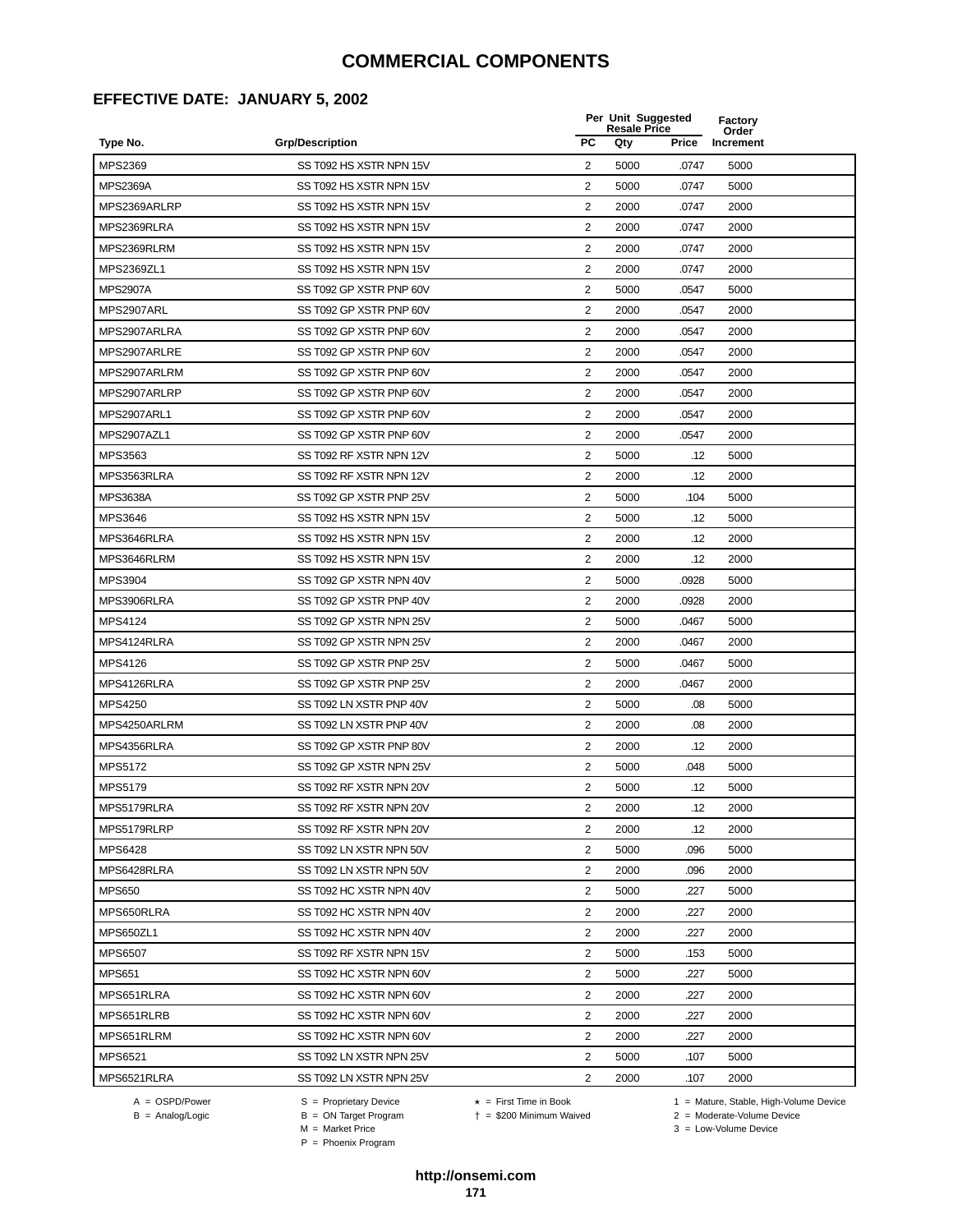#### **EFFECTIVE DATE: JANUARY 5, 2002**

|                 |                         |                | Per Unit Suggested<br><b>Resale Price</b> |       | Factory<br>Order |
|-----------------|-------------------------|----------------|-------------------------------------------|-------|------------------|
| Type No.        | <b>Grp/Description</b>  | <b>PC</b>      | Qty                                       | Price | Increment        |
| MPS2369         | SS T092 HS XSTR NPN 15V | 2              | 5000                                      | .0747 | 5000             |
| <b>MPS2369A</b> | SS T092 HS XSTR NPN 15V | 2              | 5000                                      | .0747 | 5000             |
| MPS2369ARLRP    | SS T092 HS XSTR NPN 15V | 2              | 2000                                      | .0747 | 2000             |
| MPS2369RLRA     | SS T092 HS XSTR NPN 15V | 2              | 2000                                      | .0747 | 2000             |
| MPS2369RLRM     | SS T092 HS XSTR NPN 15V | $\overline{c}$ | 2000                                      | .0747 | 2000             |
| MPS2369ZL1      | SS T092 HS XSTR NPN 15V | $\overline{2}$ | 2000                                      | .0747 | 2000             |
| <b>MPS2907A</b> | SS T092 GP XSTR PNP 60V | $\overline{2}$ | 5000                                      | .0547 | 5000             |
| MPS2907ARL      | SS T092 GP XSTR PNP 60V | $\overline{2}$ | 2000                                      | .0547 | 2000             |
| MPS2907ARLRA    | SS T092 GP XSTR PNP 60V | 2              | 2000                                      | .0547 | 2000             |
| MPS2907ARLRE    | SS T092 GP XSTR PNP 60V | 2              | 2000                                      | .0547 | 2000             |
| MPS2907ARLRM    | SS T092 GP XSTR PNP 60V | 2              | 2000                                      | .0547 | 2000             |
| MPS2907ARLRP    | SS T092 GP XSTR PNP 60V | 2              | 2000                                      | .0547 | 2000             |
| MPS2907ARL1     | SS T092 GP XSTR PNP 60V | $\overline{c}$ | 2000                                      | .0547 | 2000             |
| MPS2907AZL1     | SS T092 GP XSTR PNP 60V | $\overline{c}$ | 2000                                      | .0547 | 2000             |
| MPS3563         | SS T092 RF XSTR NPN 12V | $\overline{2}$ | 5000                                      | .12   | 5000             |
| MPS3563RLRA     | SS T092 RF XSTR NPN 12V | $\overline{2}$ | 2000                                      | .12   | 2000             |
| <b>MPS3638A</b> | SS T092 GP XSTR PNP 25V | $\overline{2}$ | 5000                                      | .104  | 5000             |
| MPS3646         | SS T092 HS XSTR NPN 15V | $\overline{2}$ | 5000                                      | .12   | 5000             |
| MPS3646RLRA     | SS T092 HS XSTR NPN 15V | 2              | 2000                                      | .12   | 2000             |
| MPS3646RLRM     | SS T092 HS XSTR NPN 15V | 2              | 2000                                      | .12   | 2000             |
| <b>MPS3904</b>  | SS T092 GP XSTR NPN 40V | 2              | 5000                                      | .0928 | 5000             |
| MPS3906RLRA     | SS T092 GP XSTR PNP 40V | 2              | 2000                                      | .0928 | 2000             |
| <b>MPS4124</b>  | SS T092 GP XSTR NPN 25V | 2              | 5000                                      | .0467 | 5000             |
| MPS4124RLRA     | SS T092 GP XSTR NPN 25V | 2              | 2000                                      | .0467 | 2000             |
| <b>MPS4126</b>  | SS T092 GP XSTR PNP 25V | $\overline{2}$ | 5000                                      | .0467 | 5000             |
| MPS4126RLRA     | SS T092 GP XSTR PNP 25V | $\overline{2}$ | 2000                                      | .0467 | 2000             |
| MPS4250         | SS T092 LN XSTR PNP 40V | $\overline{c}$ | 5000                                      | .08   | 5000             |
| MPS4250ARLRM    | SS T092 LN XSTR PNP 40V | 2              | 2000                                      | .08   | 2000             |
| MPS4356RLRA     | SS T092 GP XSTR PNP 80V | 2              | 2000                                      | .12   | 2000             |
| MPS5172         | SS T092 GP XSTR NPN 25V | 2              | 5000                                      | .048  | 5000             |
| MPS5179         | SS T092 RF XSTR NPN 20V | 2              | 5000                                      | .12   | 5000             |
| MPS5179RLRA     | SS T092 RF XSTR NPN 20V | 2              | 2000                                      | .12   | 2000             |
| MPS5179RLRP     | SS T092 RF XSTR NPN 20V | $\overline{2}$ | 2000                                      | .12   | 2000             |
| <b>MPS6428</b>  | SS T092 LN XSTR NPN 50V | $\overline{2}$ | 5000                                      | .096  | 5000             |
| MPS6428RLRA     | SS T092 LN XSTR NPN 50V | $\overline{2}$ | 2000                                      | .096  | 2000             |
| <b>MPS650</b>   | SS T092 HC XSTR NPN 40V | 2              | 5000                                      | .227  | 5000             |
| MPS650RLRA      | SS T092 HC XSTR NPN 40V | 2              | 2000                                      | .227  | 2000             |
| MPS650ZL1       | SS T092 HC XSTR NPN 40V | 2              | 2000                                      | .227  | 2000             |
| <b>MPS6507</b>  | SS T092 RF XSTR NPN 15V | 2              | 5000                                      | .153  | 5000             |
| <b>MPS651</b>   | SS T092 HC XSTR NPN 60V | 2              | 5000                                      | .227  | 5000             |
| MPS651RLRA      | SS T092 HC XSTR NPN 60V | 2              | 2000                                      | .227  | 2000             |
| MPS651RLRB      | SS T092 HC XSTR NPN 60V | 2              | 2000                                      | .227  | 2000             |
| MPS651RLRM      | SS T092 HC XSTR NPN 60V | $\overline{2}$ | 2000                                      | .227  | 2000             |
| <b>MPS6521</b>  | SS T092 LN XSTR NPN 25V | $\overline{2}$ | 5000                                      | .107  | 5000             |
| MPS6521RLRA     | SS T092 LN XSTR NPN 25V | $\overline{c}$ | 2000                                      | .107  | 2000             |

 $B = \text{Analog/Logic}$ <br>B = ON Target Program<br> $M = \text{Market Price}$ 

A = OSPD/Power S = Proprietary Device  $\star$  = First Time in Book 1 = Mature, Stable, High-Volume Device

 $3 =$  Low-Volume Device

= \$200 Minimum Waived 2 = Moderate-Volume Device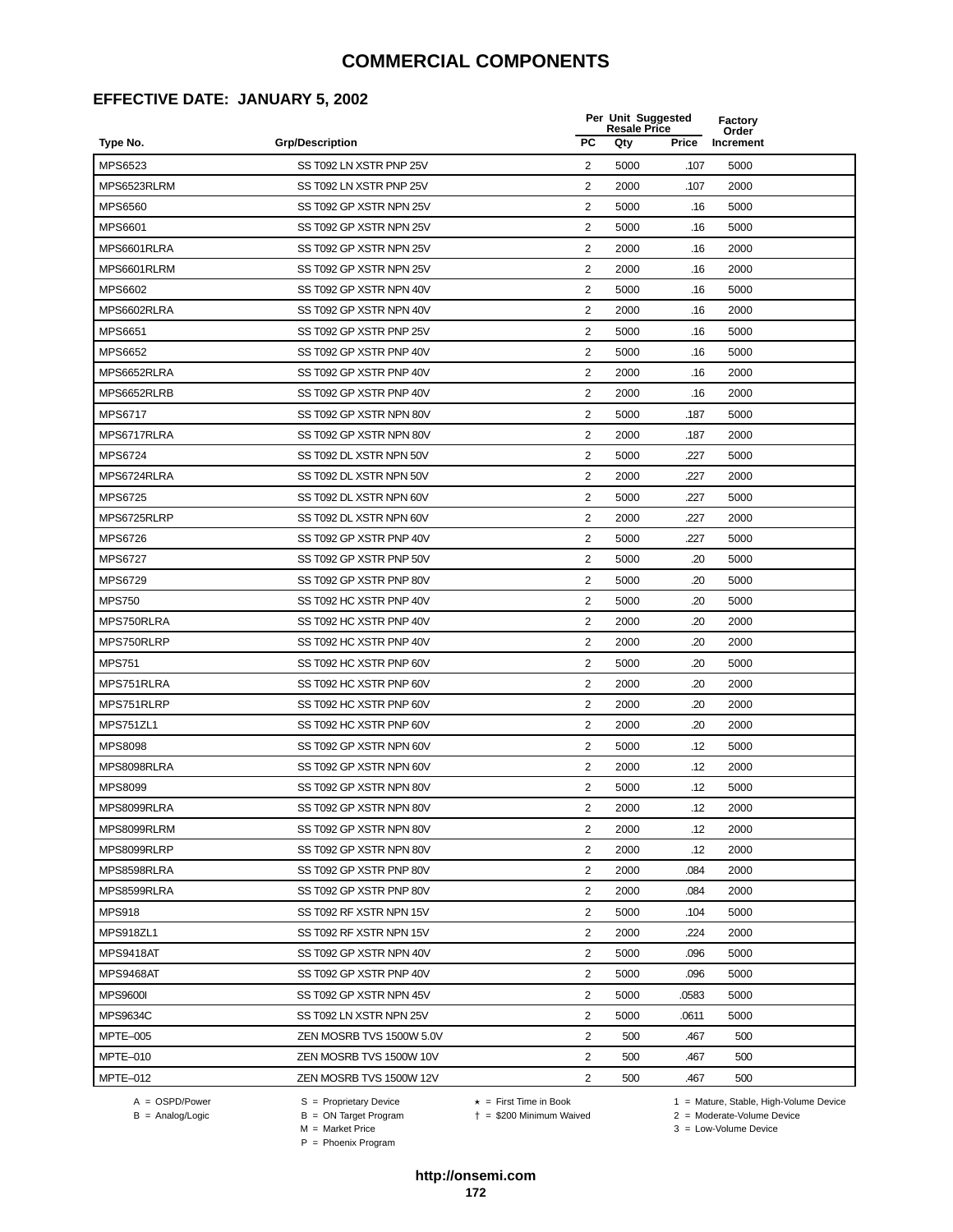# **EFFECTIVE DATE: JANUARY 5, 2002**

|                  |                          |                | Per Unit Suggested<br><b>Resale Price</b> |       | Factory<br>Order |  |
|------------------|--------------------------|----------------|-------------------------------------------|-------|------------------|--|
| Type No.         | <b>Grp/Description</b>   | <b>PC</b>      | Qty                                       | Price | Increment        |  |
| MPS6523          | SS T092 LN XSTR PNP 25V  | $\overline{2}$ | 5000                                      | .107  | 5000             |  |
| MPS6523RLRM      | SS T092 LN XSTR PNP 25V  | $\overline{2}$ | 2000                                      | .107  | 2000             |  |
| MPS6560          | SS T092 GP XSTR NPN 25V  | $\overline{2}$ | 5000                                      | .16   | 5000             |  |
| <b>MPS6601</b>   | SS T092 GP XSTR NPN 25V  | 2              | 5000                                      | .16   | 5000             |  |
| MPS6601RLRA      | SS T092 GP XSTR NPN 25V  | $\overline{2}$ | 2000                                      | .16   | 2000             |  |
| MPS6601RLRM      | SS T092 GP XSTR NPN 25V  | 2              | 2000                                      | .16   | 2000             |  |
| MPS6602          | SS T092 GP XSTR NPN 40V  | $\overline{2}$ | 5000                                      | .16   | 5000             |  |
| MPS6602RLRA      | SS T092 GP XSTR NPN 40V  | $\overline{2}$ | 2000                                      | .16   | 2000             |  |
| <b>MPS6651</b>   | SS T092 GP XSTR PNP 25V  | 2              | 5000                                      | .16   | 5000             |  |
| <b>MPS6652</b>   | SS T092 GP XSTR PNP 40V  | $\overline{2}$ | 5000                                      | .16   | 5000             |  |
| MPS6652RLRA      | SS T092 GP XSTR PNP 40V  | 2              | 2000                                      | .16   | 2000             |  |
| MPS6652RLRB      | SS T092 GP XSTR PNP 40V  | $\overline{2}$ | 2000                                      | .16   | 2000             |  |
| MPS6717          | SS T092 GP XSTR NPN 80V  | 2              | 5000                                      | .187  | 5000             |  |
| MPS6717RLRA      | SS T092 GP XSTR NPN 80V  | $\overline{2}$ | 2000                                      | .187  | 2000             |  |
| MPS6724          | SS T092 DL XSTR NPN 50V  | 2              | 5000                                      | .227  | 5000             |  |
| MPS6724RLRA      | SS T092 DL XSTR NPN 50V  | $\overline{2}$ | 2000                                      | .227  | 2000             |  |
| MPS6725          | SS T092 DL XSTR NPN 60V  | $\overline{2}$ | 5000                                      | .227  | 5000             |  |
| MPS6725RLRP      | SS T092 DL XSTR NPN 60V  | $\overline{2}$ | 2000                                      | .227  | 2000             |  |
| <b>MPS6726</b>   | SS T092 GP XSTR PNP 40V  | $\overline{2}$ | 5000                                      | .227  | 5000             |  |
| <b>MPS6727</b>   | SS T092 GP XSTR PNP 50V  | 2              | 5000                                      | .20   | 5000             |  |
| MPS6729          | SS T092 GP XSTR PNP 80V  | $\overline{2}$ | 5000                                      | .20   | 5000             |  |
| <b>MPS750</b>    | SS T092 HC XSTR PNP 40V  | 2              | 5000                                      | .20   | 5000             |  |
| MPS750RLRA       | SS T092 HC XSTR PNP 40V  | $\overline{2}$ | 2000                                      | .20   | 2000             |  |
| MPS750RLRP       | SS T092 HC XSTR PNP 40V  | 2              | 2000                                      | .20   | 2000             |  |
| <b>MPS751</b>    | SS T092 HC XSTR PNP 60V  | $\overline{2}$ | 5000                                      | .20   | 5000             |  |
| MPS751RLRA       | SS T092 HC XSTR PNP 60V  | $\overline{2}$ | 2000                                      | .20   | 2000             |  |
| MPS751RLRP       | SS T092 HC XSTR PNP 60V  | $\overline{2}$ | 2000                                      | .20   | 2000             |  |
| MPS751ZL1        | SS T092 HC XSTR PNP 60V  | $\overline{2}$ | 2000                                      | .20   | 2000             |  |
| <b>MPS8098</b>   | SS T092 GP XSTR NPN 60V  | $\overline{2}$ | 5000                                      | .12   | 5000             |  |
| MPS8098RLRA      | SS T092 GP XSTR NPN 60V  | 2              | 2000                                      | .12   | 2000             |  |
| MPS8099          | SS T092 GP XSTR NPN 80V  | 2              | 5000                                      | .12   | 5000             |  |
| MPS8099RLRA      | SS T092 GP XSTR NPN 80V  | 2              | 2000                                      | .12   | 2000             |  |
| MPS8099RLRM      | SS T092 GP XSTR NPN 80V  | $\overline{2}$ | 2000                                      | .12   | 2000             |  |
| MPS8099RLRP      | SS T092 GP XSTR NPN 80V  | $\overline{2}$ | 2000                                      | .12   | 2000             |  |
| MPS8598RLRA      | SS T092 GP XSTR PNP 80V  | 2              | 2000                                      | .084  | 2000             |  |
| MPS8599RLRA      | SS T092 GP XSTR PNP 80V  | $\overline{2}$ | 2000                                      | .084  | 2000             |  |
| <b>MPS918</b>    | SS T092 RF XSTR NPN 15V  | $\overline{2}$ | 5000                                      | .104  | 5000             |  |
| MPS918ZL1        | SS T092 RF XSTR NPN 15V  | 2              | 2000                                      | .224  | 2000             |  |
| <b>MPS9418AT</b> | SS T092 GP XSTR NPN 40V  | 2              | 5000                                      | .096  | 5000             |  |
| <b>MPS9468AT</b> | SS T092 GP XSTR PNP 40V  | 2              | 5000                                      | .096  | 5000             |  |
| <b>MPS9600I</b>  | SS T092 GP XSTR NPN 45V  | 2              | 5000                                      | .0583 | 5000             |  |
| MPS9634C         | SS T092 LN XSTR NPN 25V  | 2              | 5000                                      | .0611 | 5000             |  |
| MPTE-005         | ZEN MOSRB TVS 1500W 5.0V | $\overline{2}$ | 500                                       | .467  | 500              |  |
| MPTE-010         | ZEN MOSRB TVS 1500W 10V  | $\overline{2}$ | 500                                       | .467  | 500              |  |
| MPTE-012         | ZEN MOSRB TVS 1500W 12V  | $\overline{2}$ | 500                                       | .467  | 500              |  |

A = OSPD/Power S = Proprietary Device<br>
B = Analog/Logic B = ON Target Program<br>
M = Market Price

A = OSPD/Power S = Proprietary Device  $\star$  = First Time in Book 1 = Mature, Stable, High-Volume Device

 = \$200 Minimum Waived 2 = Moderate-Volume Device  $2 =$  Moderate-Volume Device<br> $3 =$  Low-Volume Device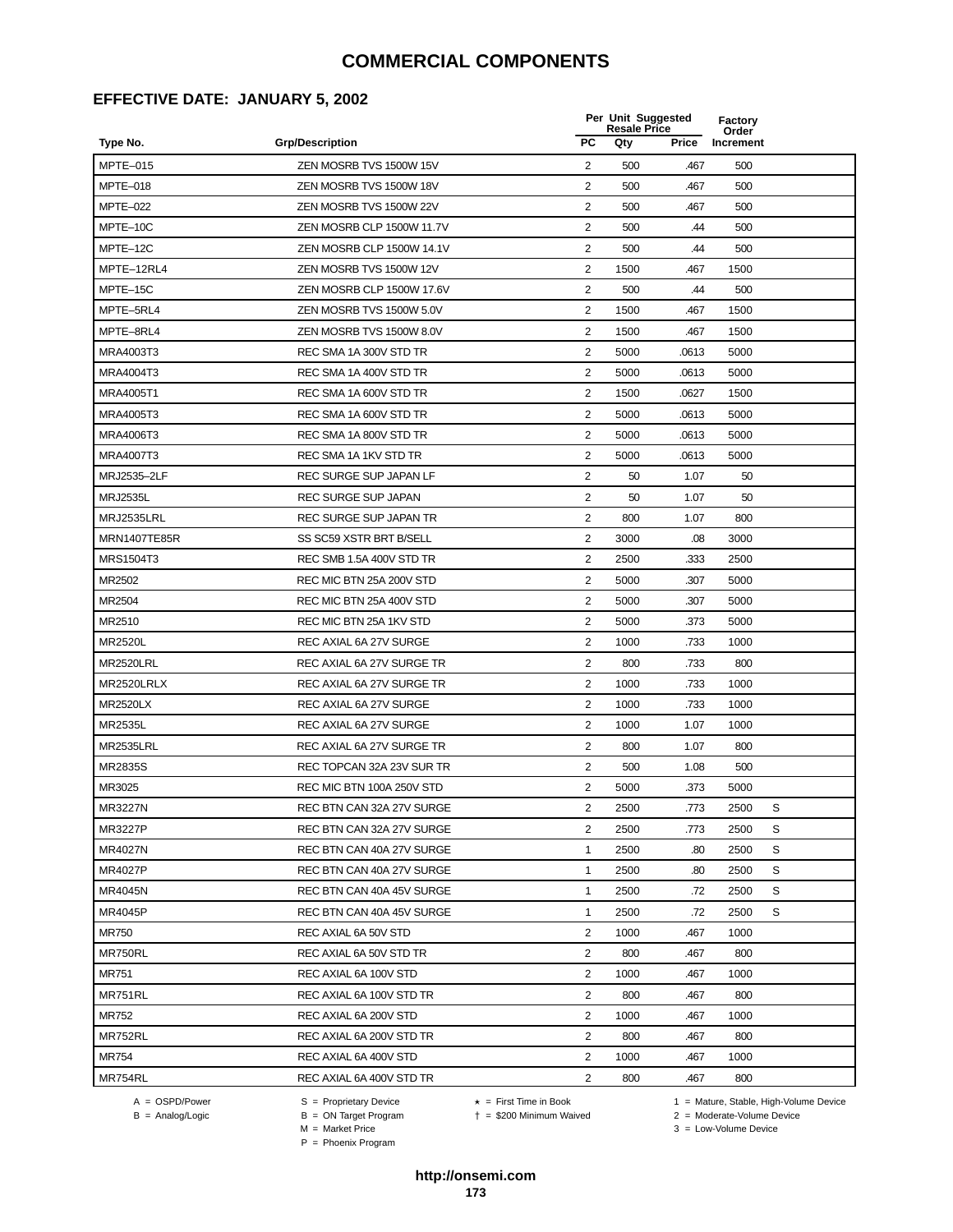#### **EFFECTIVE DATE: JANUARY 5, 2002**

|                     |                           |                         | Per Unit Suggested<br><b>Resale Price</b> |       | <b>Factory</b><br>Order |   |
|---------------------|---------------------------|-------------------------|-------------------------------------------|-------|-------------------------|---|
| Type No.            | <b>Grp/Description</b>    | <b>PC</b>               | Qty                                       | Price | Increment               |   |
| MPTE-015            | ZEN MOSRB TVS 1500W 15V   | 2                       | 500                                       | .467  | 500                     |   |
| MPTE-018            | ZEN MOSRB TVS 1500W 18V   | 2                       | 500                                       | .467  | 500                     |   |
| <b>MPTE-022</b>     | ZEN MOSRB TVS 1500W 22V   | 2                       | 500                                       | .467  | 500                     |   |
| MPTE-10C            | ZEN MOSRB CLP 1500W 11.7V | 2                       | 500                                       | .44   | 500                     |   |
| MPTE-12C            | ZEN MOSRB CLP 1500W 14.1V | 2                       | 500                                       | .44   | 500                     |   |
| MPTE-12RL4          | ZEN MOSRB TVS 1500W 12V   | 2                       | 1500                                      | .467  | 1500                    |   |
| MPTE-15C            | ZEN MOSRB CLP 1500W 17.6V | 2                       | 500                                       | .44   | 500                     |   |
| MPTE-5RL4           | ZEN MOSRB TVS 1500W 5.0V  | 2                       | 1500                                      | .467  | 1500                    |   |
| MPTE-8RL4           | ZEN MOSRB TVS 1500W 8.0V  | 2                       | 1500                                      | .467  | 1500                    |   |
| MRA4003T3           | REC SMA 1A 300V STD TR    | $\overline{2}$          | 5000                                      | .0613 | 5000                    |   |
| MRA4004T3           | REC SMA 1A 400V STD TR    | 2                       | 5000                                      | .0613 | 5000                    |   |
| MRA4005T1           | REC SMA 1A 600V STD TR    | $\overline{2}$          | 1500                                      | .0627 | 1500                    |   |
| MRA4005T3           | REC SMA 1A 600V STD TR    | $\overline{2}$          | 5000                                      | .0613 | 5000                    |   |
| MRA4006T3           | REC SMA 1A 800V STD TR    | $\overline{2}$          | 5000                                      | .0613 | 5000                    |   |
| MRA4007T3           | REC SMA 1A 1KV STD TR     | 2                       | 5000                                      | .0613 | 5000                    |   |
| MRJ2535-2LF         | REC SURGE SUP JAPAN LF    | $\overline{2}$          | 50                                        | 1.07  | 50                      |   |
| <b>MRJ2535L</b>     | REC SURGE SUP JAPAN       | 2                       | 50                                        | 1.07  | 50                      |   |
| MRJ2535LRL          | REC SURGE SUP JAPAN TR    | $\overline{2}$          | 800                                       | 1.07  | 800                     |   |
| <b>MRN1407TE85R</b> | SS SC59 XSTR BRT B/SELL   | $\overline{2}$          | 3000                                      | .08   | 3000                    |   |
| MRS1504T3           | REC SMB 1.5A 400V STD TR  | $\overline{2}$          | 2500                                      | .333  | 2500                    |   |
| MR2502              | REC MIC BTN 25A 200V STD  | 2                       | 5000                                      | .307  | 5000                    |   |
| MR2504              | REC MIC BTN 25A 400V STD  | 2                       | 5000                                      | .307  | 5000                    |   |
| MR2510              | REC MIC BTN 25A 1KV STD   | $\sqrt{2}$              | 5000                                      | .373  | 5000                    |   |
| <b>MR2520L</b>      | REC AXIAL 6A 27V SURGE    | 2                       | 1000                                      | .733  | 1000                    |   |
| <b>MR2520LRL</b>    | REC AXIAL 6A 27V SURGE TR | $\overline{2}$          | 800                                       | .733  | 800                     |   |
| MR2520LRLX          | REC AXIAL 6A 27V SURGE TR | 2                       | 1000                                      | .733  | 1000                    |   |
| <b>MR2520LX</b>     | REC AXIAL 6A 27V SURGE    | $\overline{\mathbf{c}}$ | 1000                                      | .733  | 1000                    |   |
| <b>MR2535L</b>      | REC AXIAL 6A 27V SURGE    | $\overline{2}$          | 1000                                      | 1.07  | 1000                    |   |
| <b>MR2535LRL</b>    | REC AXIAL 6A 27V SURGE TR | 2                       | 800                                       | 1.07  | 800                     |   |
| MR2835S             | REC TOPCAN 32A 23V SUR TR | $\overline{2}$          | 500                                       | 1.08  | 500                     |   |
| MR3025              | REC MIC BTN 100A 250V STD | 2                       | 5000                                      | .373  | 5000                    |   |
| MR3227N             | REC BTN CAN 32A 27V SURGE | 2                       | 2500                                      | .773  | 2500                    | S |
| <b>MR3227P</b>      | REC BTN CAN 32A 27V SURGE | 2                       | 2500                                      | .773  | 2500                    | S |
| MR4027N             | REC BTN CAN 40A 27V SURGE | 1                       | 2500                                      | .80   | 2500                    | S |
| MR4027P             | REC BTN CAN 40A 27V SURGE | 1                       | 2500                                      | .80   | 2500                    | S |
| MR4045N             | REC BTN CAN 40A 45V SURGE | 1                       | 2500                                      | .72   | 2500                    | S |
| MR4045P             | REC BTN CAN 40A 45V SURGE | 1                       | 2500                                      | .72   | 2500                    | S |
| <b>MR750</b>        | REC AXIAL 6A 50V STD      | 2                       | 1000                                      | .467  | 1000                    |   |
| MR750RL             | REC AXIAL 6A 50V STD TR   | $\overline{2}$          | 800                                       | .467  | 800                     |   |
| <b>MR751</b>        | REC AXIAL 6A 100V STD     | 2                       | 1000                                      | .467  | 1000                    |   |
| MR751RL             | REC AXIAL 6A 100V STD TR  | $\overline{2}$          | 800                                       | .467  | 800                     |   |
| <b>MR752</b>        | REC AXIAL 6A 200V STD     | 2                       | 1000                                      | .467  | 1000                    |   |
| MR752RL             | REC AXIAL 6A 200V STD TR  | 2                       | 800                                       | .467  | 800                     |   |
| MR754               | REC AXIAL 6A 400V STD     | 2                       | 1000                                      | .467  | 1000                    |   |
| MR754RL             | REC AXIAL 6A 400V STD TR  | $\overline{c}$          | 800                                       | .467  | 800                     |   |

 $B = \text{Analog/Logic}$ <br>B = ON Target Program<br> $M = \text{Market Price}$ 

A = OSPD/Power S = Proprietary Device  $\star$  = First Time in Book 1 = Mature, Stable, High-Volume Device

= \$200 Minimum Waived 2 = Moderate-Volume Device

 $3 =$  Low-Volume Device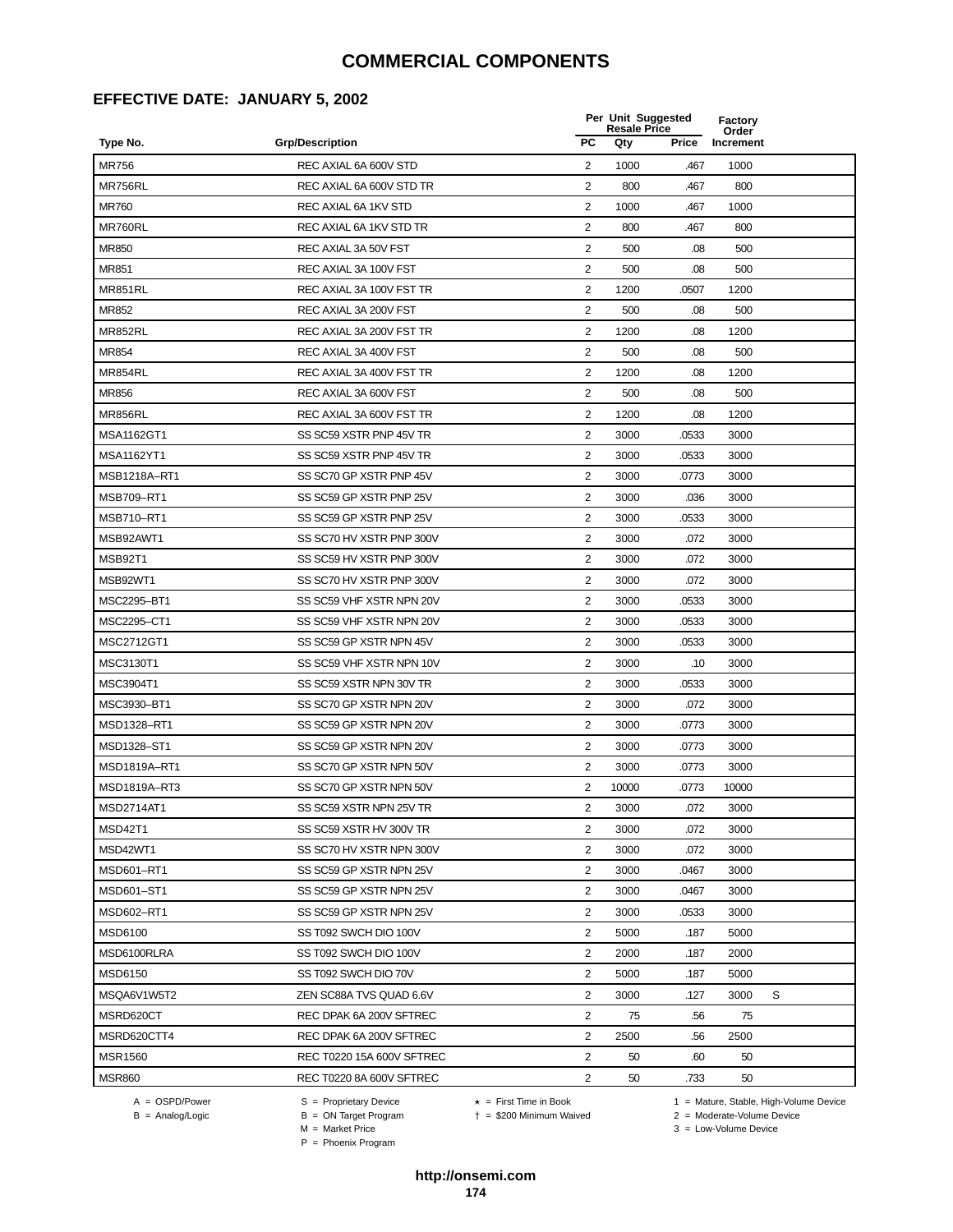# **EFFECTIVE DATE: JANUARY 5, 2002**

|                |                           |                | Per Unit Suggested<br><b>Resale Price</b> |       |                    |   |
|----------------|---------------------------|----------------|-------------------------------------------|-------|--------------------|---|
| Type No.       | <b>Grp/Description</b>    | <b>PC</b>      | Qty                                       | Price | Order<br>Increment |   |
| <b>MR756</b>   | REC AXIAL 6A 600V STD     | 2              | 1000                                      | .467  | 1000               |   |
| MR756RL        | REC AXIAL 6A 600V STD TR  | $\overline{2}$ | 800                                       | .467  | 800                |   |
| <b>MR760</b>   | REC AXIAL 6A 1KV STD      | 2              | 1000                                      | .467  | 1000               |   |
| MR760RL        | REC AXIAL 6A 1KV STD TR   | 2              | 800                                       | .467  | 800                |   |
| MR850          | REC AXIAL 3A 50V FST      | $\overline{2}$ | 500                                       | .08   | 500                |   |
| MR851          | REC AXIAL 3A 100V FST     | 2              | 500                                       | .08   | 500                |   |
| <b>MR851RL</b> | REC AXIAL 3A 100V FST TR  | 2              | 1200                                      | .0507 | 1200               |   |
| MR852          | REC AXIAL 3A 200V FST     | 2              | 500                                       | .08   | 500                |   |
| <b>MR852RL</b> | REC AXIAL 3A 200V FST TR  | 2              | 1200                                      | .08   | 1200               |   |
| MR854          | REC AXIAL 3A 400V FST     | 2              | 500                                       | .08   | 500                |   |
| MR854RL        | REC AXIAL 3A 400V FST TR  | $\overline{2}$ | 1200                                      | .08   | 1200               |   |
| MR856          | REC AXIAL 3A 600V FST     | 2              | 500                                       | .08   | 500                |   |
| <b>MR856RL</b> | REC AXIAL 3A 600V FST TR  | $\overline{2}$ | 1200                                      | .08   | 1200               |   |
| MSA1162GT1     | SS SC59 XSTR PNP 45V TR   | $\overline{2}$ | 3000                                      | .0533 | 3000               |   |
| MSA1162YT1     | SS SC59 XSTR PNP 45V TR   | 2              | 3000                                      | .0533 | 3000               |   |
| MSB1218A-RT1   | SS SC70 GP XSTR PNP 45V   | $\overline{2}$ | 3000                                      | .0773 | 3000               |   |
| MSB709-RT1     | SS SC59 GP XSTR PNP 25V   | $\mathbf{2}$   | 3000                                      | .036  | 3000               |   |
| MSB710-RT1     | SS SC59 GP XSTR PNP 25V   | $\mathbf{2}$   | 3000                                      | .0533 | 3000               |   |
| MSB92AWT1      | SS SC70 HV XSTR PNP 300V  | $\overline{2}$ | 3000                                      | .072  | 3000               |   |
| <b>MSB92T1</b> | SS SC59 HV XSTR PNP 300V  | 2              | 3000                                      | .072  | 3000               |   |
| MSB92WT1       | SS SC70 HV XSTR PNP 300V  | $\overline{2}$ | 3000                                      | .072  | 3000               |   |
| MSC2295-BT1    | SS SC59 VHF XSTR NPN 20V  | $\overline{2}$ | 3000                                      | .0533 | 3000               |   |
| MSC2295-CT1    | SS SC59 VHF XSTR NPN 20V  | $\overline{2}$ | 3000                                      | .0533 | 3000               |   |
| MSC2712GT1     | SS SC59 GP XSTR NPN 45V   | 2              | 3000                                      | .0533 | 3000               |   |
| MSC3130T1      | SS SC59 VHF XSTR NPN 10V  | 2              | 3000                                      | .10   | 3000               |   |
| MSC3904T1      | SS SC59 XSTR NPN 30V TR   | 2              | 3000                                      | .0533 | 3000               |   |
| MSC3930-BT1    | SS SC70 GP XSTR NPN 20V   | $\overline{2}$ | 3000                                      | .072  | 3000               |   |
| MSD1328-RT1    | SS SC59 GP XSTR NPN 20V   | 2              | 3000                                      | .0773 | 3000               |   |
| MSD1328-ST1    | SS SC59 GP XSTR NPN 20V   | 2              | 3000                                      | .0773 | 3000               |   |
| MSD1819A-RT1   | SS SC70 GP XSTR NPN 50V   | 2              | 3000                                      | .0773 | 3000               |   |
| MSD1819A-RT3   | SS SC70 GP XSTR NPN 50V   | 2              | 10000                                     | .0773 | 10000              |   |
| MSD2714AT1     | SS SC59 XSTR NPN 25V TR   | 2              | 3000                                      | .072  | 3000               |   |
| MSD42T1        | SS SC59 XSTR HV 300V TR   | $\overline{2}$ | 3000                                      | .072  | 3000               |   |
| MSD42WT1       | SS SC70 HV XSTR NPN 300V  | $\overline{2}$ | 3000                                      | .072  | 3000               |   |
| MSD601-RT1     | SS SC59 GP XSTR NPN 25V   | $\overline{2}$ | 3000                                      | .0467 | 3000               |   |
| MSD601-ST1     | SS SC59 GP XSTR NPN 25V   | $\overline{2}$ | 3000                                      | .0467 | 3000               |   |
| MSD602-RT1     | SS SC59 GP XSTR NPN 25V   | 2              | 3000                                      | .0533 | 3000               |   |
| <b>MSD6100</b> | SS T092 SWCH DIO 100V     | $\overline{2}$ | 5000                                      | .187  | 5000               |   |
| MSD6100RLRA    | SS T092 SWCH DIO 100V     | $\overline{2}$ | 2000                                      | .187  | 2000               |   |
| <b>MSD6150</b> | SS T092 SWCH DIO 70V      | $\overline{c}$ | 5000                                      | .187  | 5000               |   |
| MSQA6V1W5T2    | ZEN SC88A TVS QUAD 6.6V   | $\overline{2}$ | 3000                                      | .127  | 3000               | S |
| MSRD620CT      | REC DPAK 6A 200V SFTREC   | 2              | 75                                        | .56   | 75                 |   |
| MSRD620CTT4    | REC DPAK 6A 200V SFTREC   | $\overline{2}$ | 2500                                      | .56   | 2500               |   |
| <b>MSR1560</b> | REC T0220 15A 600V SFTREC | 2              | 50                                        | .60   | 50                 |   |
| <b>MSR860</b>  | REC T0220 8A 600V SFTREC  | 2              | 50                                        | .733  | 50                 |   |

A = OSPD/Power S = Proprietary Device<br>
B = Analog/Logic B = ON Target Program<br>
M = Market Price

= \$200 Minimum Waived 2 = Moderate-Volume Device

A = OSPD/Power S = Proprietary Device  $\star$  = First Time in Book 1 = Mature, Stable, High-Volume Device

 $2 =$  Moderate-Volume Device<br> $3 =$  Low-Volume Device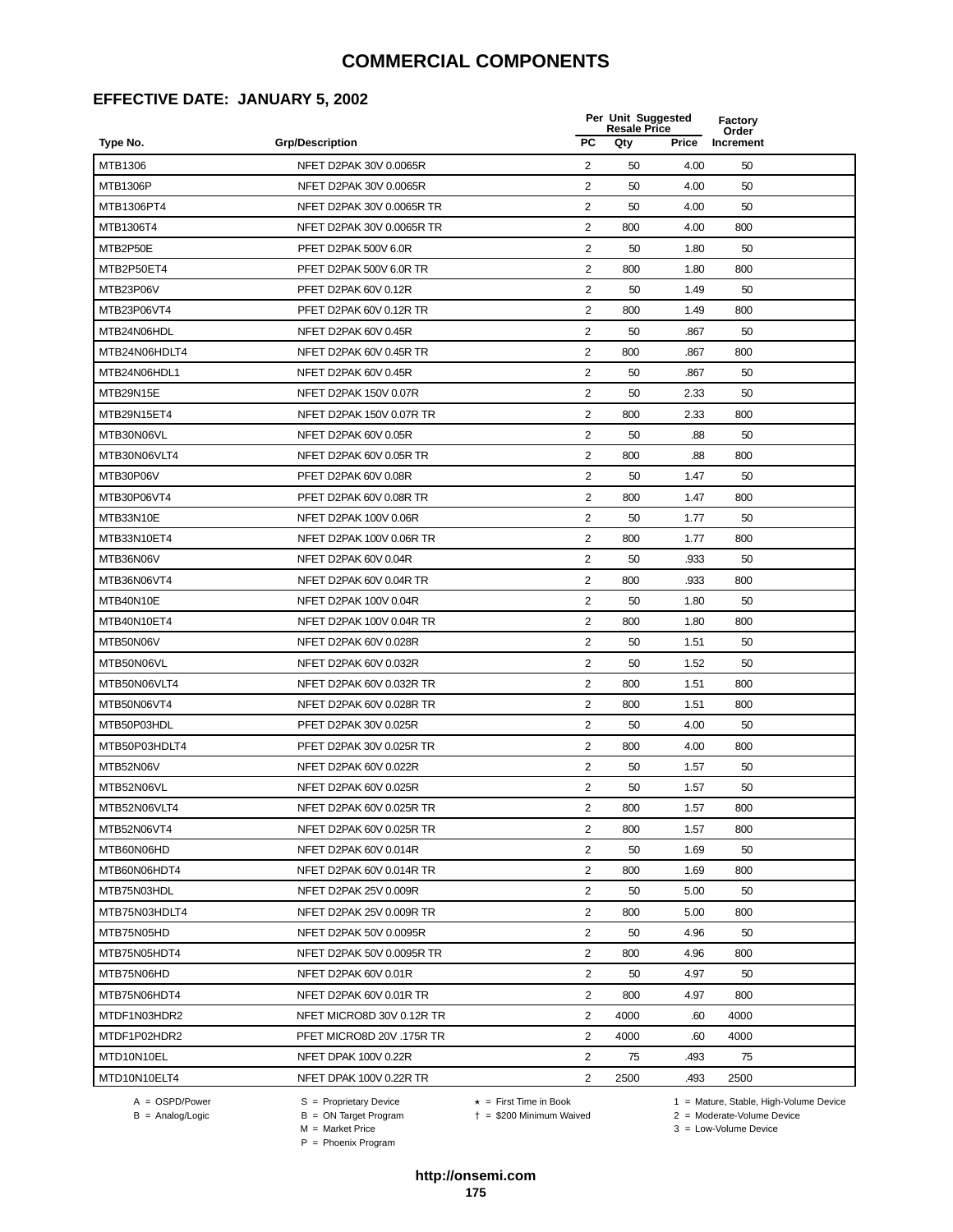#### **EFFECTIVE DATE: JANUARY 5, 2002**

| <b>PC</b><br><b>Grp/Description</b><br>Qty<br>Price<br>Increment<br>Type No.<br>MTB1306<br>NFET D2PAK 30V 0.0065R<br>2<br>50<br>4.00<br>50<br>$\overline{2}$<br><b>MTB1306P</b><br>NFET D2PAK 30V 0.0065R<br>50<br>4.00<br>50<br>$\overline{2}$<br>50<br>50<br>MTB1306PT4<br>NFET D2PAK 30V 0.0065R TR<br>4.00<br>2<br>MTB1306T4<br>NFET D2PAK 30V 0.0065R TR<br>800<br>4.00<br>800<br>$\overline{2}$<br>MTB2P50E<br>PFET D2PAK 500V 6.0R<br>50<br>1.80<br>50<br>MTB2P50ET4<br>PFET D2PAK 500V 6.0R TR<br>$\overline{2}$<br>800<br>1.80<br>800<br>$\overline{2}$<br>50<br>MTB23P06V<br>PFET D2PAK 60V 0.12R<br>1.49<br>50<br>2<br>MTB23P06VT4<br>PFET D2PAK 60V 0.12R TR<br>800<br>1.49<br>800<br>$\overline{2}$<br>MTB24N06HDL<br>NFET D2PAK 60V 0.45R<br>50<br>.867<br>50<br>$\overline{2}$<br>800<br>MTB24N06HDLT4<br>NFET D2PAK 60V 0.45R TR<br>800<br>.867<br>MTB24N06HDL1<br>NFET D2PAK 60V 0.45R<br>2<br>50<br>.867<br>50<br>$\overline{2}$<br>50<br>MTB29N15E<br>NFET D2PAK 150V 0.07R<br>2.33<br>50<br>2<br>MTB29N15ET4<br>NFET D2PAK 150V 0.07R TR<br>800<br>2.33<br>800<br>2<br>MTB30N06VL<br>NFET D2PAK 60V 0.05R<br>50<br>.88<br>50<br>$\overline{2}$<br>MTB30N06VLT4<br>NFET D2PAK 60V 0.05R TR<br>800<br>.88<br>800<br>$\overline{2}$<br>50<br>MTB30P06V<br>PFET D2PAK 60V 0.08R<br>1.47<br>50<br>2<br>MTB30P06VT4<br>PFET D2PAK 60V 0.08R TR<br>800<br>800<br>1.47<br>2<br>MTB33N10E<br>NFET D2PAK 100V 0.06R<br>50<br>50<br>1.77<br>$\overline{2}$<br>MTB33N10ET4<br>NFET D2PAK 100V 0.06R TR<br>800<br>1.77<br>800<br>MTB36N06V<br>NFET D2PAK 60V 0.04R<br>2<br>50<br>.933<br>50<br>2<br>MTB36N06VT4<br>NFET D2PAK 60V 0.04R TR<br>800<br>.933<br>800<br>2<br>MTB40N10E<br>NFET D2PAK 100V 0.04R<br>50<br>1.80<br>50<br>2<br>MTB40N10ET4<br>NFET D2PAK 100V 0.04R TR<br>800<br>1.80<br>800<br>2<br>MTB50N06V<br>NFET D2PAK 60V 0.028R<br>50<br>1.51<br>50<br>2<br>50<br>50<br>MTB50N06VL<br>NFET D2PAK 60V 0.032R<br>1.52<br>2<br>MTB50N06VLT4<br>NFET D2PAK 60V 0.032R TR<br>800<br>800<br>1.51<br>MTB50N06VT4<br>$\overline{2}$<br>800<br>NFET D2PAK 60V 0.028R TR<br>800<br>1.51<br>MTB50P03HDL<br>$\overline{2}$<br>PFET D2PAK 30V 0.025R<br>50<br>4.00<br>50<br>MTB50P03HDLT4<br>PFET D2PAK 30V 0.025R TR<br>2<br>800<br>4.00<br>800<br>$\overline{2}$<br>MTB52N06V<br>NFET D2PAK 60V 0.022R<br>50<br>50<br>1.57<br>$\overline{2}$<br>MTB52N06VL<br>NFET D2PAK 60V 0.025R<br>50<br>1.57<br>50<br>$\overline{c}$<br>800<br>MTB52N06VLT4<br>NFET D2PAK 60V 0.025R TR<br>1.57<br>800<br>$\overline{2}$<br>NFET D2PAK 60V 0.025R TR<br>1.57<br>800<br>MTB52N06VT4<br>800<br>2<br>50<br>1.69<br>50<br>MTB60N06HD<br>NFET D2PAK 60V 0.014R<br>$\overline{2}$<br>800<br>800<br>MTB60N06HDT4<br>NFET D2PAK 60V 0.014R TR<br>1.69<br>$\overline{2}$<br>50<br>5.00<br>50<br>MTB75N03HDL<br>NFET D2PAK 25V 0.009R<br>$\overline{2}$<br>NFET D2PAK 25V 0.009R TR<br>800<br>5.00<br>800<br>MTB75N03HDLT4 |            |                        |   | Per Unit Suggested<br><b>Resale Price</b> |      | <b>Factory</b><br>Order |  |
|--------------------------------------------------------------------------------------------------------------------------------------------------------------------------------------------------------------------------------------------------------------------------------------------------------------------------------------------------------------------------------------------------------------------------------------------------------------------------------------------------------------------------------------------------------------------------------------------------------------------------------------------------------------------------------------------------------------------------------------------------------------------------------------------------------------------------------------------------------------------------------------------------------------------------------------------------------------------------------------------------------------------------------------------------------------------------------------------------------------------------------------------------------------------------------------------------------------------------------------------------------------------------------------------------------------------------------------------------------------------------------------------------------------------------------------------------------------------------------------------------------------------------------------------------------------------------------------------------------------------------------------------------------------------------------------------------------------------------------------------------------------------------------------------------------------------------------------------------------------------------------------------------------------------------------------------------------------------------------------------------------------------------------------------------------------------------------------------------------------------------------------------------------------------------------------------------------------------------------------------------------------------------------------------------------------------------------------------------------------------------------------------------------------------------------------------------------------------------------------------------------------------------------------------------------------------------------------------------------------------------------------------------------------------------------------------------------------------------------------------------------------------------------------------------------------------------------------------------------------------------------------------------------------------|------------|------------------------|---|-------------------------------------------|------|-------------------------|--|
|                                                                                                                                                                                                                                                                                                                                                                                                                                                                                                                                                                                                                                                                                                                                                                                                                                                                                                                                                                                                                                                                                                                                                                                                                                                                                                                                                                                                                                                                                                                                                                                                                                                                                                                                                                                                                                                                                                                                                                                                                                                                                                                                                                                                                                                                                                                                                                                                                                                                                                                                                                                                                                                                                                                                                                                                                                                                                                                    |            |                        |   |                                           |      |                         |  |
|                                                                                                                                                                                                                                                                                                                                                                                                                                                                                                                                                                                                                                                                                                                                                                                                                                                                                                                                                                                                                                                                                                                                                                                                                                                                                                                                                                                                                                                                                                                                                                                                                                                                                                                                                                                                                                                                                                                                                                                                                                                                                                                                                                                                                                                                                                                                                                                                                                                                                                                                                                                                                                                                                                                                                                                                                                                                                                                    |            |                        |   |                                           |      |                         |  |
|                                                                                                                                                                                                                                                                                                                                                                                                                                                                                                                                                                                                                                                                                                                                                                                                                                                                                                                                                                                                                                                                                                                                                                                                                                                                                                                                                                                                                                                                                                                                                                                                                                                                                                                                                                                                                                                                                                                                                                                                                                                                                                                                                                                                                                                                                                                                                                                                                                                                                                                                                                                                                                                                                                                                                                                                                                                                                                                    |            |                        |   |                                           |      |                         |  |
|                                                                                                                                                                                                                                                                                                                                                                                                                                                                                                                                                                                                                                                                                                                                                                                                                                                                                                                                                                                                                                                                                                                                                                                                                                                                                                                                                                                                                                                                                                                                                                                                                                                                                                                                                                                                                                                                                                                                                                                                                                                                                                                                                                                                                                                                                                                                                                                                                                                                                                                                                                                                                                                                                                                                                                                                                                                                                                                    |            |                        |   |                                           |      |                         |  |
|                                                                                                                                                                                                                                                                                                                                                                                                                                                                                                                                                                                                                                                                                                                                                                                                                                                                                                                                                                                                                                                                                                                                                                                                                                                                                                                                                                                                                                                                                                                                                                                                                                                                                                                                                                                                                                                                                                                                                                                                                                                                                                                                                                                                                                                                                                                                                                                                                                                                                                                                                                                                                                                                                                                                                                                                                                                                                                                    |            |                        |   |                                           |      |                         |  |
|                                                                                                                                                                                                                                                                                                                                                                                                                                                                                                                                                                                                                                                                                                                                                                                                                                                                                                                                                                                                                                                                                                                                                                                                                                                                                                                                                                                                                                                                                                                                                                                                                                                                                                                                                                                                                                                                                                                                                                                                                                                                                                                                                                                                                                                                                                                                                                                                                                                                                                                                                                                                                                                                                                                                                                                                                                                                                                                    |            |                        |   |                                           |      |                         |  |
|                                                                                                                                                                                                                                                                                                                                                                                                                                                                                                                                                                                                                                                                                                                                                                                                                                                                                                                                                                                                                                                                                                                                                                                                                                                                                                                                                                                                                                                                                                                                                                                                                                                                                                                                                                                                                                                                                                                                                                                                                                                                                                                                                                                                                                                                                                                                                                                                                                                                                                                                                                                                                                                                                                                                                                                                                                                                                                                    |            |                        |   |                                           |      |                         |  |
|                                                                                                                                                                                                                                                                                                                                                                                                                                                                                                                                                                                                                                                                                                                                                                                                                                                                                                                                                                                                                                                                                                                                                                                                                                                                                                                                                                                                                                                                                                                                                                                                                                                                                                                                                                                                                                                                                                                                                                                                                                                                                                                                                                                                                                                                                                                                                                                                                                                                                                                                                                                                                                                                                                                                                                                                                                                                                                                    |            |                        |   |                                           |      |                         |  |
|                                                                                                                                                                                                                                                                                                                                                                                                                                                                                                                                                                                                                                                                                                                                                                                                                                                                                                                                                                                                                                                                                                                                                                                                                                                                                                                                                                                                                                                                                                                                                                                                                                                                                                                                                                                                                                                                                                                                                                                                                                                                                                                                                                                                                                                                                                                                                                                                                                                                                                                                                                                                                                                                                                                                                                                                                                                                                                                    |            |                        |   |                                           |      |                         |  |
|                                                                                                                                                                                                                                                                                                                                                                                                                                                                                                                                                                                                                                                                                                                                                                                                                                                                                                                                                                                                                                                                                                                                                                                                                                                                                                                                                                                                                                                                                                                                                                                                                                                                                                                                                                                                                                                                                                                                                                                                                                                                                                                                                                                                                                                                                                                                                                                                                                                                                                                                                                                                                                                                                                                                                                                                                                                                                                                    |            |                        |   |                                           |      |                         |  |
|                                                                                                                                                                                                                                                                                                                                                                                                                                                                                                                                                                                                                                                                                                                                                                                                                                                                                                                                                                                                                                                                                                                                                                                                                                                                                                                                                                                                                                                                                                                                                                                                                                                                                                                                                                                                                                                                                                                                                                                                                                                                                                                                                                                                                                                                                                                                                                                                                                                                                                                                                                                                                                                                                                                                                                                                                                                                                                                    |            |                        |   |                                           |      |                         |  |
|                                                                                                                                                                                                                                                                                                                                                                                                                                                                                                                                                                                                                                                                                                                                                                                                                                                                                                                                                                                                                                                                                                                                                                                                                                                                                                                                                                                                                                                                                                                                                                                                                                                                                                                                                                                                                                                                                                                                                                                                                                                                                                                                                                                                                                                                                                                                                                                                                                                                                                                                                                                                                                                                                                                                                                                                                                                                                                                    |            |                        |   |                                           |      |                         |  |
|                                                                                                                                                                                                                                                                                                                                                                                                                                                                                                                                                                                                                                                                                                                                                                                                                                                                                                                                                                                                                                                                                                                                                                                                                                                                                                                                                                                                                                                                                                                                                                                                                                                                                                                                                                                                                                                                                                                                                                                                                                                                                                                                                                                                                                                                                                                                                                                                                                                                                                                                                                                                                                                                                                                                                                                                                                                                                                                    |            |                        |   |                                           |      |                         |  |
|                                                                                                                                                                                                                                                                                                                                                                                                                                                                                                                                                                                                                                                                                                                                                                                                                                                                                                                                                                                                                                                                                                                                                                                                                                                                                                                                                                                                                                                                                                                                                                                                                                                                                                                                                                                                                                                                                                                                                                                                                                                                                                                                                                                                                                                                                                                                                                                                                                                                                                                                                                                                                                                                                                                                                                                                                                                                                                                    |            |                        |   |                                           |      |                         |  |
|                                                                                                                                                                                                                                                                                                                                                                                                                                                                                                                                                                                                                                                                                                                                                                                                                                                                                                                                                                                                                                                                                                                                                                                                                                                                                                                                                                                                                                                                                                                                                                                                                                                                                                                                                                                                                                                                                                                                                                                                                                                                                                                                                                                                                                                                                                                                                                                                                                                                                                                                                                                                                                                                                                                                                                                                                                                                                                                    |            |                        |   |                                           |      |                         |  |
|                                                                                                                                                                                                                                                                                                                                                                                                                                                                                                                                                                                                                                                                                                                                                                                                                                                                                                                                                                                                                                                                                                                                                                                                                                                                                                                                                                                                                                                                                                                                                                                                                                                                                                                                                                                                                                                                                                                                                                                                                                                                                                                                                                                                                                                                                                                                                                                                                                                                                                                                                                                                                                                                                                                                                                                                                                                                                                                    |            |                        |   |                                           |      |                         |  |
|                                                                                                                                                                                                                                                                                                                                                                                                                                                                                                                                                                                                                                                                                                                                                                                                                                                                                                                                                                                                                                                                                                                                                                                                                                                                                                                                                                                                                                                                                                                                                                                                                                                                                                                                                                                                                                                                                                                                                                                                                                                                                                                                                                                                                                                                                                                                                                                                                                                                                                                                                                                                                                                                                                                                                                                                                                                                                                                    |            |                        |   |                                           |      |                         |  |
|                                                                                                                                                                                                                                                                                                                                                                                                                                                                                                                                                                                                                                                                                                                                                                                                                                                                                                                                                                                                                                                                                                                                                                                                                                                                                                                                                                                                                                                                                                                                                                                                                                                                                                                                                                                                                                                                                                                                                                                                                                                                                                                                                                                                                                                                                                                                                                                                                                                                                                                                                                                                                                                                                                                                                                                                                                                                                                                    |            |                        |   |                                           |      |                         |  |
|                                                                                                                                                                                                                                                                                                                                                                                                                                                                                                                                                                                                                                                                                                                                                                                                                                                                                                                                                                                                                                                                                                                                                                                                                                                                                                                                                                                                                                                                                                                                                                                                                                                                                                                                                                                                                                                                                                                                                                                                                                                                                                                                                                                                                                                                                                                                                                                                                                                                                                                                                                                                                                                                                                                                                                                                                                                                                                                    |            |                        |   |                                           |      |                         |  |
|                                                                                                                                                                                                                                                                                                                                                                                                                                                                                                                                                                                                                                                                                                                                                                                                                                                                                                                                                                                                                                                                                                                                                                                                                                                                                                                                                                                                                                                                                                                                                                                                                                                                                                                                                                                                                                                                                                                                                                                                                                                                                                                                                                                                                                                                                                                                                                                                                                                                                                                                                                                                                                                                                                                                                                                                                                                                                                                    |            |                        |   |                                           |      |                         |  |
|                                                                                                                                                                                                                                                                                                                                                                                                                                                                                                                                                                                                                                                                                                                                                                                                                                                                                                                                                                                                                                                                                                                                                                                                                                                                                                                                                                                                                                                                                                                                                                                                                                                                                                                                                                                                                                                                                                                                                                                                                                                                                                                                                                                                                                                                                                                                                                                                                                                                                                                                                                                                                                                                                                                                                                                                                                                                                                                    |            |                        |   |                                           |      |                         |  |
|                                                                                                                                                                                                                                                                                                                                                                                                                                                                                                                                                                                                                                                                                                                                                                                                                                                                                                                                                                                                                                                                                                                                                                                                                                                                                                                                                                                                                                                                                                                                                                                                                                                                                                                                                                                                                                                                                                                                                                                                                                                                                                                                                                                                                                                                                                                                                                                                                                                                                                                                                                                                                                                                                                                                                                                                                                                                                                                    |            |                        |   |                                           |      |                         |  |
|                                                                                                                                                                                                                                                                                                                                                                                                                                                                                                                                                                                                                                                                                                                                                                                                                                                                                                                                                                                                                                                                                                                                                                                                                                                                                                                                                                                                                                                                                                                                                                                                                                                                                                                                                                                                                                                                                                                                                                                                                                                                                                                                                                                                                                                                                                                                                                                                                                                                                                                                                                                                                                                                                                                                                                                                                                                                                                                    |            |                        |   |                                           |      |                         |  |
|                                                                                                                                                                                                                                                                                                                                                                                                                                                                                                                                                                                                                                                                                                                                                                                                                                                                                                                                                                                                                                                                                                                                                                                                                                                                                                                                                                                                                                                                                                                                                                                                                                                                                                                                                                                                                                                                                                                                                                                                                                                                                                                                                                                                                                                                                                                                                                                                                                                                                                                                                                                                                                                                                                                                                                                                                                                                                                                    |            |                        |   |                                           |      |                         |  |
|                                                                                                                                                                                                                                                                                                                                                                                                                                                                                                                                                                                                                                                                                                                                                                                                                                                                                                                                                                                                                                                                                                                                                                                                                                                                                                                                                                                                                                                                                                                                                                                                                                                                                                                                                                                                                                                                                                                                                                                                                                                                                                                                                                                                                                                                                                                                                                                                                                                                                                                                                                                                                                                                                                                                                                                                                                                                                                                    |            |                        |   |                                           |      |                         |  |
|                                                                                                                                                                                                                                                                                                                                                                                                                                                                                                                                                                                                                                                                                                                                                                                                                                                                                                                                                                                                                                                                                                                                                                                                                                                                                                                                                                                                                                                                                                                                                                                                                                                                                                                                                                                                                                                                                                                                                                                                                                                                                                                                                                                                                                                                                                                                                                                                                                                                                                                                                                                                                                                                                                                                                                                                                                                                                                                    |            |                        |   |                                           |      |                         |  |
|                                                                                                                                                                                                                                                                                                                                                                                                                                                                                                                                                                                                                                                                                                                                                                                                                                                                                                                                                                                                                                                                                                                                                                                                                                                                                                                                                                                                                                                                                                                                                                                                                                                                                                                                                                                                                                                                                                                                                                                                                                                                                                                                                                                                                                                                                                                                                                                                                                                                                                                                                                                                                                                                                                                                                                                                                                                                                                                    |            |                        |   |                                           |      |                         |  |
|                                                                                                                                                                                                                                                                                                                                                                                                                                                                                                                                                                                                                                                                                                                                                                                                                                                                                                                                                                                                                                                                                                                                                                                                                                                                                                                                                                                                                                                                                                                                                                                                                                                                                                                                                                                                                                                                                                                                                                                                                                                                                                                                                                                                                                                                                                                                                                                                                                                                                                                                                                                                                                                                                                                                                                                                                                                                                                                    |            |                        |   |                                           |      |                         |  |
|                                                                                                                                                                                                                                                                                                                                                                                                                                                                                                                                                                                                                                                                                                                                                                                                                                                                                                                                                                                                                                                                                                                                                                                                                                                                                                                                                                                                                                                                                                                                                                                                                                                                                                                                                                                                                                                                                                                                                                                                                                                                                                                                                                                                                                                                                                                                                                                                                                                                                                                                                                                                                                                                                                                                                                                                                                                                                                                    |            |                        |   |                                           |      |                         |  |
|                                                                                                                                                                                                                                                                                                                                                                                                                                                                                                                                                                                                                                                                                                                                                                                                                                                                                                                                                                                                                                                                                                                                                                                                                                                                                                                                                                                                                                                                                                                                                                                                                                                                                                                                                                                                                                                                                                                                                                                                                                                                                                                                                                                                                                                                                                                                                                                                                                                                                                                                                                                                                                                                                                                                                                                                                                                                                                                    |            |                        |   |                                           |      |                         |  |
|                                                                                                                                                                                                                                                                                                                                                                                                                                                                                                                                                                                                                                                                                                                                                                                                                                                                                                                                                                                                                                                                                                                                                                                                                                                                                                                                                                                                                                                                                                                                                                                                                                                                                                                                                                                                                                                                                                                                                                                                                                                                                                                                                                                                                                                                                                                                                                                                                                                                                                                                                                                                                                                                                                                                                                                                                                                                                                                    |            |                        |   |                                           |      |                         |  |
|                                                                                                                                                                                                                                                                                                                                                                                                                                                                                                                                                                                                                                                                                                                                                                                                                                                                                                                                                                                                                                                                                                                                                                                                                                                                                                                                                                                                                                                                                                                                                                                                                                                                                                                                                                                                                                                                                                                                                                                                                                                                                                                                                                                                                                                                                                                                                                                                                                                                                                                                                                                                                                                                                                                                                                                                                                                                                                                    |            |                        |   |                                           |      |                         |  |
|                                                                                                                                                                                                                                                                                                                                                                                                                                                                                                                                                                                                                                                                                                                                                                                                                                                                                                                                                                                                                                                                                                                                                                                                                                                                                                                                                                                                                                                                                                                                                                                                                                                                                                                                                                                                                                                                                                                                                                                                                                                                                                                                                                                                                                                                                                                                                                                                                                                                                                                                                                                                                                                                                                                                                                                                                                                                                                                    |            |                        |   |                                           |      |                         |  |
|                                                                                                                                                                                                                                                                                                                                                                                                                                                                                                                                                                                                                                                                                                                                                                                                                                                                                                                                                                                                                                                                                                                                                                                                                                                                                                                                                                                                                                                                                                                                                                                                                                                                                                                                                                                                                                                                                                                                                                                                                                                                                                                                                                                                                                                                                                                                                                                                                                                                                                                                                                                                                                                                                                                                                                                                                                                                                                                    |            |                        |   |                                           |      |                         |  |
|                                                                                                                                                                                                                                                                                                                                                                                                                                                                                                                                                                                                                                                                                                                                                                                                                                                                                                                                                                                                                                                                                                                                                                                                                                                                                                                                                                                                                                                                                                                                                                                                                                                                                                                                                                                                                                                                                                                                                                                                                                                                                                                                                                                                                                                                                                                                                                                                                                                                                                                                                                                                                                                                                                                                                                                                                                                                                                                    |            |                        |   |                                           |      |                         |  |
|                                                                                                                                                                                                                                                                                                                                                                                                                                                                                                                                                                                                                                                                                                                                                                                                                                                                                                                                                                                                                                                                                                                                                                                                                                                                                                                                                                                                                                                                                                                                                                                                                                                                                                                                                                                                                                                                                                                                                                                                                                                                                                                                                                                                                                                                                                                                                                                                                                                                                                                                                                                                                                                                                                                                                                                                                                                                                                                    |            |                        |   |                                           |      |                         |  |
|                                                                                                                                                                                                                                                                                                                                                                                                                                                                                                                                                                                                                                                                                                                                                                                                                                                                                                                                                                                                                                                                                                                                                                                                                                                                                                                                                                                                                                                                                                                                                                                                                                                                                                                                                                                                                                                                                                                                                                                                                                                                                                                                                                                                                                                                                                                                                                                                                                                                                                                                                                                                                                                                                                                                                                                                                                                                                                                    |            |                        |   |                                           |      |                         |  |
|                                                                                                                                                                                                                                                                                                                                                                                                                                                                                                                                                                                                                                                                                                                                                                                                                                                                                                                                                                                                                                                                                                                                                                                                                                                                                                                                                                                                                                                                                                                                                                                                                                                                                                                                                                                                                                                                                                                                                                                                                                                                                                                                                                                                                                                                                                                                                                                                                                                                                                                                                                                                                                                                                                                                                                                                                                                                                                                    |            |                        |   |                                           |      |                         |  |
|                                                                                                                                                                                                                                                                                                                                                                                                                                                                                                                                                                                                                                                                                                                                                                                                                                                                                                                                                                                                                                                                                                                                                                                                                                                                                                                                                                                                                                                                                                                                                                                                                                                                                                                                                                                                                                                                                                                                                                                                                                                                                                                                                                                                                                                                                                                                                                                                                                                                                                                                                                                                                                                                                                                                                                                                                                                                                                                    | MTB75N05HD | NFET D2PAK 50V 0.0095R | 2 | 50                                        | 4.96 | 50                      |  |
| $\overline{2}$<br>800<br>4.96<br>800<br>MTB75N05HDT4<br>NFET D2PAK 50V 0.0095R TR                                                                                                                                                                                                                                                                                                                                                                                                                                                                                                                                                                                                                                                                                                                                                                                                                                                                                                                                                                                                                                                                                                                                                                                                                                                                                                                                                                                                                                                                                                                                                                                                                                                                                                                                                                                                                                                                                                                                                                                                                                                                                                                                                                                                                                                                                                                                                                                                                                                                                                                                                                                                                                                                                                                                                                                                                                  |            |                        |   |                                           |      |                         |  |
| $\overline{2}$<br>50<br>4.97<br>50<br>MTB75N06HD<br>NFET D2PAK 60V 0.01R                                                                                                                                                                                                                                                                                                                                                                                                                                                                                                                                                                                                                                                                                                                                                                                                                                                                                                                                                                                                                                                                                                                                                                                                                                                                                                                                                                                                                                                                                                                                                                                                                                                                                                                                                                                                                                                                                                                                                                                                                                                                                                                                                                                                                                                                                                                                                                                                                                                                                                                                                                                                                                                                                                                                                                                                                                           |            |                        |   |                                           |      |                         |  |
| $\overline{2}$<br>800<br>4.97<br>800<br>MTB75N06HDT4<br>NFET D2PAK 60V 0.01R TR                                                                                                                                                                                                                                                                                                                                                                                                                                                                                                                                                                                                                                                                                                                                                                                                                                                                                                                                                                                                                                                                                                                                                                                                                                                                                                                                                                                                                                                                                                                                                                                                                                                                                                                                                                                                                                                                                                                                                                                                                                                                                                                                                                                                                                                                                                                                                                                                                                                                                                                                                                                                                                                                                                                                                                                                                                    |            |                        |   |                                           |      |                         |  |
| 2<br>4000<br>4000<br>MTDF1N03HDR2<br>NFET MICRO8D 30V 0.12R TR<br>.60                                                                                                                                                                                                                                                                                                                                                                                                                                                                                                                                                                                                                                                                                                                                                                                                                                                                                                                                                                                                                                                                                                                                                                                                                                                                                                                                                                                                                                                                                                                                                                                                                                                                                                                                                                                                                                                                                                                                                                                                                                                                                                                                                                                                                                                                                                                                                                                                                                                                                                                                                                                                                                                                                                                                                                                                                                              |            |                        |   |                                           |      |                         |  |
| 2<br>4000<br>.60<br>4000<br>MTDF1P02HDR2<br>PFET MICRO8D 20V .175R TR                                                                                                                                                                                                                                                                                                                                                                                                                                                                                                                                                                                                                                                                                                                                                                                                                                                                                                                                                                                                                                                                                                                                                                                                                                                                                                                                                                                                                                                                                                                                                                                                                                                                                                                                                                                                                                                                                                                                                                                                                                                                                                                                                                                                                                                                                                                                                                                                                                                                                                                                                                                                                                                                                                                                                                                                                                              |            |                        |   |                                           |      |                         |  |
| 2<br>75<br>.493<br>MTD10N10EL<br>NFET DPAK 100V 0.22R<br>75                                                                                                                                                                                                                                                                                                                                                                                                                                                                                                                                                                                                                                                                                                                                                                                                                                                                                                                                                                                                                                                                                                                                                                                                                                                                                                                                                                                                                                                                                                                                                                                                                                                                                                                                                                                                                                                                                                                                                                                                                                                                                                                                                                                                                                                                                                                                                                                                                                                                                                                                                                                                                                                                                                                                                                                                                                                        |            |                        |   |                                           |      |                         |  |
| $\overline{2}$<br>MTD10N10ELT4<br>NFET DPAK 100V 0.22R TR<br>2500<br>.493<br>2500                                                                                                                                                                                                                                                                                                                                                                                                                                                                                                                                                                                                                                                                                                                                                                                                                                                                                                                                                                                                                                                                                                                                                                                                                                                                                                                                                                                                                                                                                                                                                                                                                                                                                                                                                                                                                                                                                                                                                                                                                                                                                                                                                                                                                                                                                                                                                                                                                                                                                                                                                                                                                                                                                                                                                                                                                                  |            |                        |   |                                           |      |                         |  |

B = Analog/Logic<br>B = Analog/Logic<br>M = Market Price

= \$200 Minimum Waived 2 = Moderate-Volume Device

A = OSPD/Power S = Proprietary Device  $\star$  = First Time in Book 1 = Mature, Stable, High-Volume Device

 $3 =$  Low-Volume Device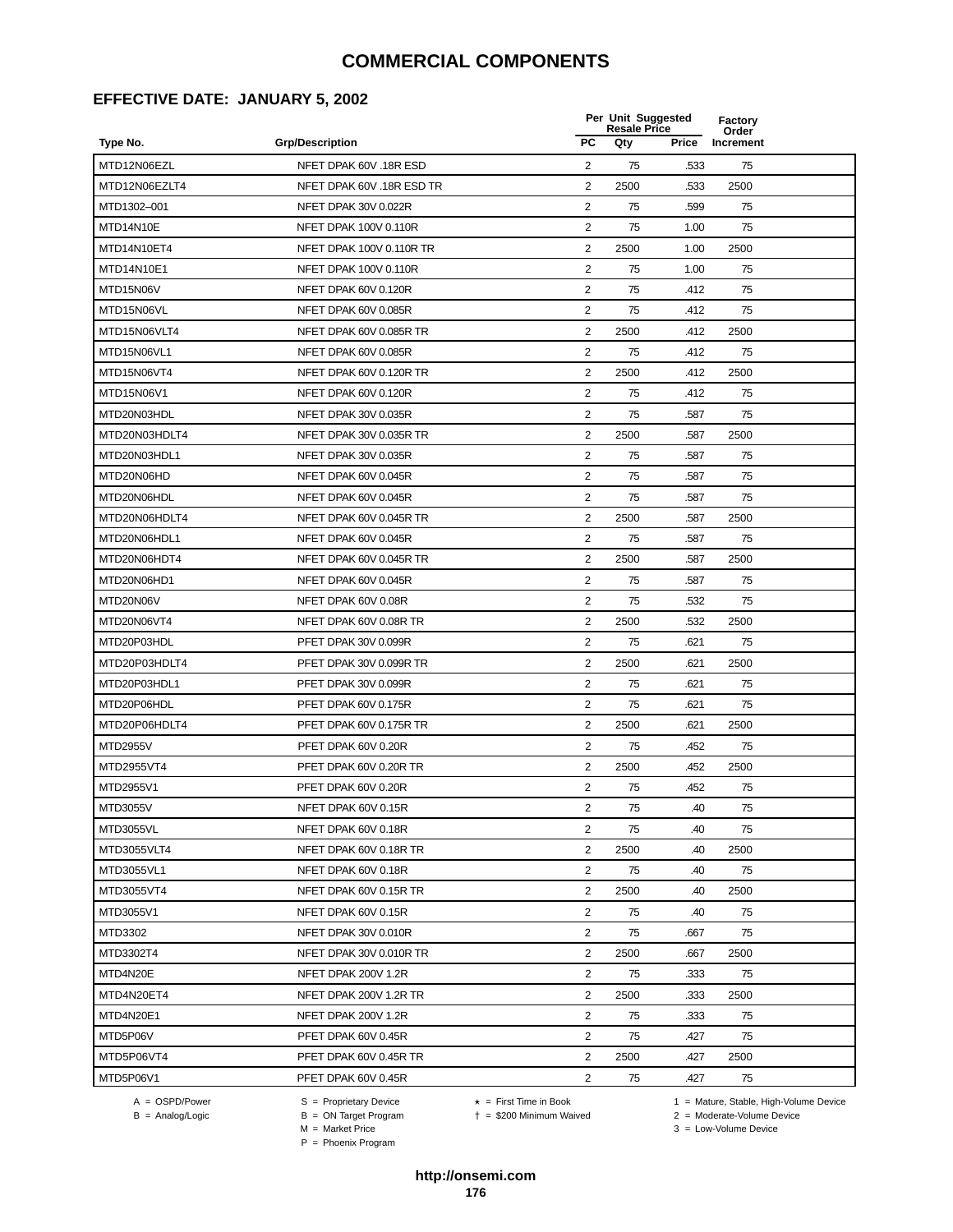#### **EFFECTIVE DATE: JANUARY 5, 2002**

| <b>PC</b><br>Increment<br>Type No.<br><b>Grp/Description</b><br>Qty<br>Price<br>MTD12N06EZL<br>NFET DPAK 60V .18R ESD<br>$\overline{2}$<br>75<br>.533<br>75<br>$\overline{2}$<br>2500<br>2500<br>MTD12N06EZLT4<br>NFET DPAK 60V .18R ESD TR<br>.533<br>$\overline{2}$<br>MTD1302-001<br>NFET DPAK 30V 0.022R<br>75<br>.599<br>75<br>2<br>MTD14N10E<br>NFET DPAK 100V 0.110R<br>75<br>1.00<br>75<br>$\overline{2}$<br>2500<br>MTD14N10ET4<br>NFET DPAK 100V 0.110R TR<br>2500<br>1.00<br>NFET DPAK 100V 0.110R<br>2<br>75<br>75<br>MTD14N10E1<br>1.00<br>2<br>75<br>.412<br>75<br>MTD15N06V<br>NFET DPAK 60V 0.120R<br>NFET DPAK 60V 0.085R<br>$\overline{2}$<br>75<br>.412<br>75<br>MTD15N06VL<br>2<br>2500<br>2500<br>MTD15N06VLT4<br>NFET DPAK 60V 0.085R TR<br>.412<br>MTD15N06VL1<br>$\overline{2}$<br>NFET DPAK 60V 0.085R<br>75<br>.412<br>75<br>MTD15N06VT4<br>NFET DPAK 60V 0.120R TR<br>2<br>2500<br>.412<br>2500<br>$\overline{2}$<br>MTD15N06V1<br>NFET DPAK 60V 0.120R<br>75<br>.412<br>75<br>$\overline{2}$<br>MTD20N03HDL<br>NFET DPAK 30V 0.035R<br>75<br>.587<br>75<br>$\overline{c}$<br>2500<br>2500<br>MTD20N03HDLT4<br>NFET DPAK 30V 0.035R TR<br>.587<br>2<br>MTD20N03HDL1<br>NFET DPAK 30V 0.035R<br>75<br>.587<br>75<br>2<br>75<br>.587<br>75<br>MTD20N06HD<br>NFET DPAK 60V 0.045R<br>NFET DPAK 60V 0.045R<br>$\overline{2}$<br>75<br>75<br>MTD20N06HDL<br>.587<br>MTD20N06HDLT4<br>$\overline{c}$<br>2500<br>NFET DPAK 60V 0.045R TR<br>2500<br>.587<br>$\overline{2}$<br>MTD20N06HDL1<br>NFET DPAK 60V 0.045R<br>75<br>.587<br>75<br>MTD20N06HDT4<br>NFET DPAK 60V 0.045R TR<br>2<br>2500<br>.587<br>2500<br>$\overline{2}$<br>MTD20N06HD1<br>NFET DPAK 60V 0.045R<br>75<br>.587<br>75<br>$\overline{c}$<br>MTD20N06V<br>NFET DPAK 60V 0.08R<br>75<br>.532<br>75<br>$\overline{c}$<br>MTD20N06VT4<br>2500<br>.532<br>2500<br>NFET DPAK 60V 0.08R TR<br>2<br>MTD20P03HDL<br>PFET DPAK 30V 0.099R<br>75<br>75<br>.621<br>2<br>2500<br>.621<br>2500<br>MTD20P03HDLT4<br>PFET DPAK 30V 0.099R TR<br>MTD20P03HDL1<br>2<br>PFET DPAK 30V 0.099R<br>75<br>.621<br>75<br>MTD20P06HDL<br>$\overline{c}$<br>PFET DPAK 60V 0.175R<br>75<br>.621<br>75<br>MTD20P06HDLT4<br>$\overline{2}$<br>2500<br>2500<br>PFET DPAK 60V 0.175R TR<br>.621<br><b>MTD2955V</b><br>PFET DPAK 60V 0.20R<br>2<br>75<br>.452<br>75<br>$\overline{2}$<br>2500<br>MTD2955VT4<br>PFET DPAK 60V 0.20R TR<br>2500<br>.452<br>2<br>MTD2955V1<br>PFET DPAK 60V 0.20R<br>75<br>.452<br>75<br>2<br>MTD3055V<br>75<br>75<br>NFET DPAK 60V 0.15R<br>.40<br>2<br>MTD3055VL<br>NFET DPAK 60V 0.18R<br>75<br>.40<br>75<br>2<br>2500<br>MTD3055VLT4<br>.40<br>2500<br>NFET DPAK 60V 0.18R TR<br>2<br>75<br>.40<br>75<br>MTD3055VL1<br>NFET DPAK 60V 0.18R<br>$\overline{c}$<br>NFET DPAK 60V 0.15R TR<br>2500<br>.40<br>2500<br>MTD3055VT4<br>$\overline{2}$<br>75<br>MTD3055V1<br>NFET DPAK 60V 0.15R<br>.40<br>75<br>$\overline{2}$<br>75<br>MTD3302<br>NFET DPAK 30V 0.010R<br>.667<br>75<br>$\overline{2}$<br>2500<br>MTD3302T4<br>NFET DPAK 30V 0.010R TR<br>.667<br>2500<br>$\overline{2}$<br>MTD4N20E<br>75<br>NFET DPAK 200V 1.2R<br>.333<br>75<br>2<br>MTD4N20ET4<br>2500<br>.333<br>2500<br>NFET DPAK 200V 1.2R TR<br>2<br>75<br>.333<br>75<br>MTD4N20E1<br>NFET DPAK 200V 1.2R<br>$\overline{2}$<br>75<br>MTD5P06V<br>PFET DPAK 60V 0.45R<br>.427<br>75<br>$\overline{2}$<br>2500<br>2500<br>.427<br>MTD5P06VT4<br>PFET DPAK 60V 0.45R TR<br>$\overline{2}$<br>MTD5P06V1<br>PFET DPAK 60V 0.45R<br>75<br>.427<br>75 |  | Per Unit Suggested<br><b>Resale Price</b> | Factory<br>Order |  |
|-----------------------------------------------------------------------------------------------------------------------------------------------------------------------------------------------------------------------------------------------------------------------------------------------------------------------------------------------------------------------------------------------------------------------------------------------------------------------------------------------------------------------------------------------------------------------------------------------------------------------------------------------------------------------------------------------------------------------------------------------------------------------------------------------------------------------------------------------------------------------------------------------------------------------------------------------------------------------------------------------------------------------------------------------------------------------------------------------------------------------------------------------------------------------------------------------------------------------------------------------------------------------------------------------------------------------------------------------------------------------------------------------------------------------------------------------------------------------------------------------------------------------------------------------------------------------------------------------------------------------------------------------------------------------------------------------------------------------------------------------------------------------------------------------------------------------------------------------------------------------------------------------------------------------------------------------------------------------------------------------------------------------------------------------------------------------------------------------------------------------------------------------------------------------------------------------------------------------------------------------------------------------------------------------------------------------------------------------------------------------------------------------------------------------------------------------------------------------------------------------------------------------------------------------------------------------------------------------------------------------------------------------------------------------------------------------------------------------------------------------------------------------------------------------------------------------------------------------------------------------------------------------------------------------------------------------------------------------------------------------------------------------------------------------------------------------------------------------------------------------------------------------------------------------------------------------------------------------------------------------------------------------------------------------------------------------------------------------------------------------------------------------------------------------------------------------------------------------------------------------------------|--|-------------------------------------------|------------------|--|
|                                                                                                                                                                                                                                                                                                                                                                                                                                                                                                                                                                                                                                                                                                                                                                                                                                                                                                                                                                                                                                                                                                                                                                                                                                                                                                                                                                                                                                                                                                                                                                                                                                                                                                                                                                                                                                                                                                                                                                                                                                                                                                                                                                                                                                                                                                                                                                                                                                                                                                                                                                                                                                                                                                                                                                                                                                                                                                                                                                                                                                                                                                                                                                                                                                                                                                                                                                                                                                                                                                           |  |                                           |                  |  |
|                                                                                                                                                                                                                                                                                                                                                                                                                                                                                                                                                                                                                                                                                                                                                                                                                                                                                                                                                                                                                                                                                                                                                                                                                                                                                                                                                                                                                                                                                                                                                                                                                                                                                                                                                                                                                                                                                                                                                                                                                                                                                                                                                                                                                                                                                                                                                                                                                                                                                                                                                                                                                                                                                                                                                                                                                                                                                                                                                                                                                                                                                                                                                                                                                                                                                                                                                                                                                                                                                                           |  |                                           |                  |  |
|                                                                                                                                                                                                                                                                                                                                                                                                                                                                                                                                                                                                                                                                                                                                                                                                                                                                                                                                                                                                                                                                                                                                                                                                                                                                                                                                                                                                                                                                                                                                                                                                                                                                                                                                                                                                                                                                                                                                                                                                                                                                                                                                                                                                                                                                                                                                                                                                                                                                                                                                                                                                                                                                                                                                                                                                                                                                                                                                                                                                                                                                                                                                                                                                                                                                                                                                                                                                                                                                                                           |  |                                           |                  |  |
|                                                                                                                                                                                                                                                                                                                                                                                                                                                                                                                                                                                                                                                                                                                                                                                                                                                                                                                                                                                                                                                                                                                                                                                                                                                                                                                                                                                                                                                                                                                                                                                                                                                                                                                                                                                                                                                                                                                                                                                                                                                                                                                                                                                                                                                                                                                                                                                                                                                                                                                                                                                                                                                                                                                                                                                                                                                                                                                                                                                                                                                                                                                                                                                                                                                                                                                                                                                                                                                                                                           |  |                                           |                  |  |
|                                                                                                                                                                                                                                                                                                                                                                                                                                                                                                                                                                                                                                                                                                                                                                                                                                                                                                                                                                                                                                                                                                                                                                                                                                                                                                                                                                                                                                                                                                                                                                                                                                                                                                                                                                                                                                                                                                                                                                                                                                                                                                                                                                                                                                                                                                                                                                                                                                                                                                                                                                                                                                                                                                                                                                                                                                                                                                                                                                                                                                                                                                                                                                                                                                                                                                                                                                                                                                                                                                           |  |                                           |                  |  |
|                                                                                                                                                                                                                                                                                                                                                                                                                                                                                                                                                                                                                                                                                                                                                                                                                                                                                                                                                                                                                                                                                                                                                                                                                                                                                                                                                                                                                                                                                                                                                                                                                                                                                                                                                                                                                                                                                                                                                                                                                                                                                                                                                                                                                                                                                                                                                                                                                                                                                                                                                                                                                                                                                                                                                                                                                                                                                                                                                                                                                                                                                                                                                                                                                                                                                                                                                                                                                                                                                                           |  |                                           |                  |  |
|                                                                                                                                                                                                                                                                                                                                                                                                                                                                                                                                                                                                                                                                                                                                                                                                                                                                                                                                                                                                                                                                                                                                                                                                                                                                                                                                                                                                                                                                                                                                                                                                                                                                                                                                                                                                                                                                                                                                                                                                                                                                                                                                                                                                                                                                                                                                                                                                                                                                                                                                                                                                                                                                                                                                                                                                                                                                                                                                                                                                                                                                                                                                                                                                                                                                                                                                                                                                                                                                                                           |  |                                           |                  |  |
|                                                                                                                                                                                                                                                                                                                                                                                                                                                                                                                                                                                                                                                                                                                                                                                                                                                                                                                                                                                                                                                                                                                                                                                                                                                                                                                                                                                                                                                                                                                                                                                                                                                                                                                                                                                                                                                                                                                                                                                                                                                                                                                                                                                                                                                                                                                                                                                                                                                                                                                                                                                                                                                                                                                                                                                                                                                                                                                                                                                                                                                                                                                                                                                                                                                                                                                                                                                                                                                                                                           |  |                                           |                  |  |
|                                                                                                                                                                                                                                                                                                                                                                                                                                                                                                                                                                                                                                                                                                                                                                                                                                                                                                                                                                                                                                                                                                                                                                                                                                                                                                                                                                                                                                                                                                                                                                                                                                                                                                                                                                                                                                                                                                                                                                                                                                                                                                                                                                                                                                                                                                                                                                                                                                                                                                                                                                                                                                                                                                                                                                                                                                                                                                                                                                                                                                                                                                                                                                                                                                                                                                                                                                                                                                                                                                           |  |                                           |                  |  |
|                                                                                                                                                                                                                                                                                                                                                                                                                                                                                                                                                                                                                                                                                                                                                                                                                                                                                                                                                                                                                                                                                                                                                                                                                                                                                                                                                                                                                                                                                                                                                                                                                                                                                                                                                                                                                                                                                                                                                                                                                                                                                                                                                                                                                                                                                                                                                                                                                                                                                                                                                                                                                                                                                                                                                                                                                                                                                                                                                                                                                                                                                                                                                                                                                                                                                                                                                                                                                                                                                                           |  |                                           |                  |  |
|                                                                                                                                                                                                                                                                                                                                                                                                                                                                                                                                                                                                                                                                                                                                                                                                                                                                                                                                                                                                                                                                                                                                                                                                                                                                                                                                                                                                                                                                                                                                                                                                                                                                                                                                                                                                                                                                                                                                                                                                                                                                                                                                                                                                                                                                                                                                                                                                                                                                                                                                                                                                                                                                                                                                                                                                                                                                                                                                                                                                                                                                                                                                                                                                                                                                                                                                                                                                                                                                                                           |  |                                           |                  |  |
|                                                                                                                                                                                                                                                                                                                                                                                                                                                                                                                                                                                                                                                                                                                                                                                                                                                                                                                                                                                                                                                                                                                                                                                                                                                                                                                                                                                                                                                                                                                                                                                                                                                                                                                                                                                                                                                                                                                                                                                                                                                                                                                                                                                                                                                                                                                                                                                                                                                                                                                                                                                                                                                                                                                                                                                                                                                                                                                                                                                                                                                                                                                                                                                                                                                                                                                                                                                                                                                                                                           |  |                                           |                  |  |
|                                                                                                                                                                                                                                                                                                                                                                                                                                                                                                                                                                                                                                                                                                                                                                                                                                                                                                                                                                                                                                                                                                                                                                                                                                                                                                                                                                                                                                                                                                                                                                                                                                                                                                                                                                                                                                                                                                                                                                                                                                                                                                                                                                                                                                                                                                                                                                                                                                                                                                                                                                                                                                                                                                                                                                                                                                                                                                                                                                                                                                                                                                                                                                                                                                                                                                                                                                                                                                                                                                           |  |                                           |                  |  |
|                                                                                                                                                                                                                                                                                                                                                                                                                                                                                                                                                                                                                                                                                                                                                                                                                                                                                                                                                                                                                                                                                                                                                                                                                                                                                                                                                                                                                                                                                                                                                                                                                                                                                                                                                                                                                                                                                                                                                                                                                                                                                                                                                                                                                                                                                                                                                                                                                                                                                                                                                                                                                                                                                                                                                                                                                                                                                                                                                                                                                                                                                                                                                                                                                                                                                                                                                                                                                                                                                                           |  |                                           |                  |  |
|                                                                                                                                                                                                                                                                                                                                                                                                                                                                                                                                                                                                                                                                                                                                                                                                                                                                                                                                                                                                                                                                                                                                                                                                                                                                                                                                                                                                                                                                                                                                                                                                                                                                                                                                                                                                                                                                                                                                                                                                                                                                                                                                                                                                                                                                                                                                                                                                                                                                                                                                                                                                                                                                                                                                                                                                                                                                                                                                                                                                                                                                                                                                                                                                                                                                                                                                                                                                                                                                                                           |  |                                           |                  |  |
|                                                                                                                                                                                                                                                                                                                                                                                                                                                                                                                                                                                                                                                                                                                                                                                                                                                                                                                                                                                                                                                                                                                                                                                                                                                                                                                                                                                                                                                                                                                                                                                                                                                                                                                                                                                                                                                                                                                                                                                                                                                                                                                                                                                                                                                                                                                                                                                                                                                                                                                                                                                                                                                                                                                                                                                                                                                                                                                                                                                                                                                                                                                                                                                                                                                                                                                                                                                                                                                                                                           |  |                                           |                  |  |
|                                                                                                                                                                                                                                                                                                                                                                                                                                                                                                                                                                                                                                                                                                                                                                                                                                                                                                                                                                                                                                                                                                                                                                                                                                                                                                                                                                                                                                                                                                                                                                                                                                                                                                                                                                                                                                                                                                                                                                                                                                                                                                                                                                                                                                                                                                                                                                                                                                                                                                                                                                                                                                                                                                                                                                                                                                                                                                                                                                                                                                                                                                                                                                                                                                                                                                                                                                                                                                                                                                           |  |                                           |                  |  |
|                                                                                                                                                                                                                                                                                                                                                                                                                                                                                                                                                                                                                                                                                                                                                                                                                                                                                                                                                                                                                                                                                                                                                                                                                                                                                                                                                                                                                                                                                                                                                                                                                                                                                                                                                                                                                                                                                                                                                                                                                                                                                                                                                                                                                                                                                                                                                                                                                                                                                                                                                                                                                                                                                                                                                                                                                                                                                                                                                                                                                                                                                                                                                                                                                                                                                                                                                                                                                                                                                                           |  |                                           |                  |  |
|                                                                                                                                                                                                                                                                                                                                                                                                                                                                                                                                                                                                                                                                                                                                                                                                                                                                                                                                                                                                                                                                                                                                                                                                                                                                                                                                                                                                                                                                                                                                                                                                                                                                                                                                                                                                                                                                                                                                                                                                                                                                                                                                                                                                                                                                                                                                                                                                                                                                                                                                                                                                                                                                                                                                                                                                                                                                                                                                                                                                                                                                                                                                                                                                                                                                                                                                                                                                                                                                                                           |  |                                           |                  |  |
|                                                                                                                                                                                                                                                                                                                                                                                                                                                                                                                                                                                                                                                                                                                                                                                                                                                                                                                                                                                                                                                                                                                                                                                                                                                                                                                                                                                                                                                                                                                                                                                                                                                                                                                                                                                                                                                                                                                                                                                                                                                                                                                                                                                                                                                                                                                                                                                                                                                                                                                                                                                                                                                                                                                                                                                                                                                                                                                                                                                                                                                                                                                                                                                                                                                                                                                                                                                                                                                                                                           |  |                                           |                  |  |
|                                                                                                                                                                                                                                                                                                                                                                                                                                                                                                                                                                                                                                                                                                                                                                                                                                                                                                                                                                                                                                                                                                                                                                                                                                                                                                                                                                                                                                                                                                                                                                                                                                                                                                                                                                                                                                                                                                                                                                                                                                                                                                                                                                                                                                                                                                                                                                                                                                                                                                                                                                                                                                                                                                                                                                                                                                                                                                                                                                                                                                                                                                                                                                                                                                                                                                                                                                                                                                                                                                           |  |                                           |                  |  |
|                                                                                                                                                                                                                                                                                                                                                                                                                                                                                                                                                                                                                                                                                                                                                                                                                                                                                                                                                                                                                                                                                                                                                                                                                                                                                                                                                                                                                                                                                                                                                                                                                                                                                                                                                                                                                                                                                                                                                                                                                                                                                                                                                                                                                                                                                                                                                                                                                                                                                                                                                                                                                                                                                                                                                                                                                                                                                                                                                                                                                                                                                                                                                                                                                                                                                                                                                                                                                                                                                                           |  |                                           |                  |  |
|                                                                                                                                                                                                                                                                                                                                                                                                                                                                                                                                                                                                                                                                                                                                                                                                                                                                                                                                                                                                                                                                                                                                                                                                                                                                                                                                                                                                                                                                                                                                                                                                                                                                                                                                                                                                                                                                                                                                                                                                                                                                                                                                                                                                                                                                                                                                                                                                                                                                                                                                                                                                                                                                                                                                                                                                                                                                                                                                                                                                                                                                                                                                                                                                                                                                                                                                                                                                                                                                                                           |  |                                           |                  |  |
|                                                                                                                                                                                                                                                                                                                                                                                                                                                                                                                                                                                                                                                                                                                                                                                                                                                                                                                                                                                                                                                                                                                                                                                                                                                                                                                                                                                                                                                                                                                                                                                                                                                                                                                                                                                                                                                                                                                                                                                                                                                                                                                                                                                                                                                                                                                                                                                                                                                                                                                                                                                                                                                                                                                                                                                                                                                                                                                                                                                                                                                                                                                                                                                                                                                                                                                                                                                                                                                                                                           |  |                                           |                  |  |
|                                                                                                                                                                                                                                                                                                                                                                                                                                                                                                                                                                                                                                                                                                                                                                                                                                                                                                                                                                                                                                                                                                                                                                                                                                                                                                                                                                                                                                                                                                                                                                                                                                                                                                                                                                                                                                                                                                                                                                                                                                                                                                                                                                                                                                                                                                                                                                                                                                                                                                                                                                                                                                                                                                                                                                                                                                                                                                                                                                                                                                                                                                                                                                                                                                                                                                                                                                                                                                                                                                           |  |                                           |                  |  |
|                                                                                                                                                                                                                                                                                                                                                                                                                                                                                                                                                                                                                                                                                                                                                                                                                                                                                                                                                                                                                                                                                                                                                                                                                                                                                                                                                                                                                                                                                                                                                                                                                                                                                                                                                                                                                                                                                                                                                                                                                                                                                                                                                                                                                                                                                                                                                                                                                                                                                                                                                                                                                                                                                                                                                                                                                                                                                                                                                                                                                                                                                                                                                                                                                                                                                                                                                                                                                                                                                                           |  |                                           |                  |  |
|                                                                                                                                                                                                                                                                                                                                                                                                                                                                                                                                                                                                                                                                                                                                                                                                                                                                                                                                                                                                                                                                                                                                                                                                                                                                                                                                                                                                                                                                                                                                                                                                                                                                                                                                                                                                                                                                                                                                                                                                                                                                                                                                                                                                                                                                                                                                                                                                                                                                                                                                                                                                                                                                                                                                                                                                                                                                                                                                                                                                                                                                                                                                                                                                                                                                                                                                                                                                                                                                                                           |  |                                           |                  |  |
|                                                                                                                                                                                                                                                                                                                                                                                                                                                                                                                                                                                                                                                                                                                                                                                                                                                                                                                                                                                                                                                                                                                                                                                                                                                                                                                                                                                                                                                                                                                                                                                                                                                                                                                                                                                                                                                                                                                                                                                                                                                                                                                                                                                                                                                                                                                                                                                                                                                                                                                                                                                                                                                                                                                                                                                                                                                                                                                                                                                                                                                                                                                                                                                                                                                                                                                                                                                                                                                                                                           |  |                                           |                  |  |
|                                                                                                                                                                                                                                                                                                                                                                                                                                                                                                                                                                                                                                                                                                                                                                                                                                                                                                                                                                                                                                                                                                                                                                                                                                                                                                                                                                                                                                                                                                                                                                                                                                                                                                                                                                                                                                                                                                                                                                                                                                                                                                                                                                                                                                                                                                                                                                                                                                                                                                                                                                                                                                                                                                                                                                                                                                                                                                                                                                                                                                                                                                                                                                                                                                                                                                                                                                                                                                                                                                           |  |                                           |                  |  |
|                                                                                                                                                                                                                                                                                                                                                                                                                                                                                                                                                                                                                                                                                                                                                                                                                                                                                                                                                                                                                                                                                                                                                                                                                                                                                                                                                                                                                                                                                                                                                                                                                                                                                                                                                                                                                                                                                                                                                                                                                                                                                                                                                                                                                                                                                                                                                                                                                                                                                                                                                                                                                                                                                                                                                                                                                                                                                                                                                                                                                                                                                                                                                                                                                                                                                                                                                                                                                                                                                                           |  |                                           |                  |  |
|                                                                                                                                                                                                                                                                                                                                                                                                                                                                                                                                                                                                                                                                                                                                                                                                                                                                                                                                                                                                                                                                                                                                                                                                                                                                                                                                                                                                                                                                                                                                                                                                                                                                                                                                                                                                                                                                                                                                                                                                                                                                                                                                                                                                                                                                                                                                                                                                                                                                                                                                                                                                                                                                                                                                                                                                                                                                                                                                                                                                                                                                                                                                                                                                                                                                                                                                                                                                                                                                                                           |  |                                           |                  |  |
|                                                                                                                                                                                                                                                                                                                                                                                                                                                                                                                                                                                                                                                                                                                                                                                                                                                                                                                                                                                                                                                                                                                                                                                                                                                                                                                                                                                                                                                                                                                                                                                                                                                                                                                                                                                                                                                                                                                                                                                                                                                                                                                                                                                                                                                                                                                                                                                                                                                                                                                                                                                                                                                                                                                                                                                                                                                                                                                                                                                                                                                                                                                                                                                                                                                                                                                                                                                                                                                                                                           |  |                                           |                  |  |
|                                                                                                                                                                                                                                                                                                                                                                                                                                                                                                                                                                                                                                                                                                                                                                                                                                                                                                                                                                                                                                                                                                                                                                                                                                                                                                                                                                                                                                                                                                                                                                                                                                                                                                                                                                                                                                                                                                                                                                                                                                                                                                                                                                                                                                                                                                                                                                                                                                                                                                                                                                                                                                                                                                                                                                                                                                                                                                                                                                                                                                                                                                                                                                                                                                                                                                                                                                                                                                                                                                           |  |                                           |                  |  |
|                                                                                                                                                                                                                                                                                                                                                                                                                                                                                                                                                                                                                                                                                                                                                                                                                                                                                                                                                                                                                                                                                                                                                                                                                                                                                                                                                                                                                                                                                                                                                                                                                                                                                                                                                                                                                                                                                                                                                                                                                                                                                                                                                                                                                                                                                                                                                                                                                                                                                                                                                                                                                                                                                                                                                                                                                                                                                                                                                                                                                                                                                                                                                                                                                                                                                                                                                                                                                                                                                                           |  |                                           |                  |  |
|                                                                                                                                                                                                                                                                                                                                                                                                                                                                                                                                                                                                                                                                                                                                                                                                                                                                                                                                                                                                                                                                                                                                                                                                                                                                                                                                                                                                                                                                                                                                                                                                                                                                                                                                                                                                                                                                                                                                                                                                                                                                                                                                                                                                                                                                                                                                                                                                                                                                                                                                                                                                                                                                                                                                                                                                                                                                                                                                                                                                                                                                                                                                                                                                                                                                                                                                                                                                                                                                                                           |  |                                           |                  |  |
|                                                                                                                                                                                                                                                                                                                                                                                                                                                                                                                                                                                                                                                                                                                                                                                                                                                                                                                                                                                                                                                                                                                                                                                                                                                                                                                                                                                                                                                                                                                                                                                                                                                                                                                                                                                                                                                                                                                                                                                                                                                                                                                                                                                                                                                                                                                                                                                                                                                                                                                                                                                                                                                                                                                                                                                                                                                                                                                                                                                                                                                                                                                                                                                                                                                                                                                                                                                                                                                                                                           |  |                                           |                  |  |
|                                                                                                                                                                                                                                                                                                                                                                                                                                                                                                                                                                                                                                                                                                                                                                                                                                                                                                                                                                                                                                                                                                                                                                                                                                                                                                                                                                                                                                                                                                                                                                                                                                                                                                                                                                                                                                                                                                                                                                                                                                                                                                                                                                                                                                                                                                                                                                                                                                                                                                                                                                                                                                                                                                                                                                                                                                                                                                                                                                                                                                                                                                                                                                                                                                                                                                                                                                                                                                                                                                           |  |                                           |                  |  |
|                                                                                                                                                                                                                                                                                                                                                                                                                                                                                                                                                                                                                                                                                                                                                                                                                                                                                                                                                                                                                                                                                                                                                                                                                                                                                                                                                                                                                                                                                                                                                                                                                                                                                                                                                                                                                                                                                                                                                                                                                                                                                                                                                                                                                                                                                                                                                                                                                                                                                                                                                                                                                                                                                                                                                                                                                                                                                                                                                                                                                                                                                                                                                                                                                                                                                                                                                                                                                                                                                                           |  |                                           |                  |  |
|                                                                                                                                                                                                                                                                                                                                                                                                                                                                                                                                                                                                                                                                                                                                                                                                                                                                                                                                                                                                                                                                                                                                                                                                                                                                                                                                                                                                                                                                                                                                                                                                                                                                                                                                                                                                                                                                                                                                                                                                                                                                                                                                                                                                                                                                                                                                                                                                                                                                                                                                                                                                                                                                                                                                                                                                                                                                                                                                                                                                                                                                                                                                                                                                                                                                                                                                                                                                                                                                                                           |  |                                           |                  |  |
|                                                                                                                                                                                                                                                                                                                                                                                                                                                                                                                                                                                                                                                                                                                                                                                                                                                                                                                                                                                                                                                                                                                                                                                                                                                                                                                                                                                                                                                                                                                                                                                                                                                                                                                                                                                                                                                                                                                                                                                                                                                                                                                                                                                                                                                                                                                                                                                                                                                                                                                                                                                                                                                                                                                                                                                                                                                                                                                                                                                                                                                                                                                                                                                                                                                                                                                                                                                                                                                                                                           |  |                                           |                  |  |
|                                                                                                                                                                                                                                                                                                                                                                                                                                                                                                                                                                                                                                                                                                                                                                                                                                                                                                                                                                                                                                                                                                                                                                                                                                                                                                                                                                                                                                                                                                                                                                                                                                                                                                                                                                                                                                                                                                                                                                                                                                                                                                                                                                                                                                                                                                                                                                                                                                                                                                                                                                                                                                                                                                                                                                                                                                                                                                                                                                                                                                                                                                                                                                                                                                                                                                                                                                                                                                                                                                           |  |                                           |                  |  |
|                                                                                                                                                                                                                                                                                                                                                                                                                                                                                                                                                                                                                                                                                                                                                                                                                                                                                                                                                                                                                                                                                                                                                                                                                                                                                                                                                                                                                                                                                                                                                                                                                                                                                                                                                                                                                                                                                                                                                                                                                                                                                                                                                                                                                                                                                                                                                                                                                                                                                                                                                                                                                                                                                                                                                                                                                                                                                                                                                                                                                                                                                                                                                                                                                                                                                                                                                                                                                                                                                                           |  |                                           |                  |  |
|                                                                                                                                                                                                                                                                                                                                                                                                                                                                                                                                                                                                                                                                                                                                                                                                                                                                                                                                                                                                                                                                                                                                                                                                                                                                                                                                                                                                                                                                                                                                                                                                                                                                                                                                                                                                                                                                                                                                                                                                                                                                                                                                                                                                                                                                                                                                                                                                                                                                                                                                                                                                                                                                                                                                                                                                                                                                                                                                                                                                                                                                                                                                                                                                                                                                                                                                                                                                                                                                                                           |  |                                           |                  |  |
|                                                                                                                                                                                                                                                                                                                                                                                                                                                                                                                                                                                                                                                                                                                                                                                                                                                                                                                                                                                                                                                                                                                                                                                                                                                                                                                                                                                                                                                                                                                                                                                                                                                                                                                                                                                                                                                                                                                                                                                                                                                                                                                                                                                                                                                                                                                                                                                                                                                                                                                                                                                                                                                                                                                                                                                                                                                                                                                                                                                                                                                                                                                                                                                                                                                                                                                                                                                                                                                                                                           |  |                                           |                  |  |
|                                                                                                                                                                                                                                                                                                                                                                                                                                                                                                                                                                                                                                                                                                                                                                                                                                                                                                                                                                                                                                                                                                                                                                                                                                                                                                                                                                                                                                                                                                                                                                                                                                                                                                                                                                                                                                                                                                                                                                                                                                                                                                                                                                                                                                                                                                                                                                                                                                                                                                                                                                                                                                                                                                                                                                                                                                                                                                                                                                                                                                                                                                                                                                                                                                                                                                                                                                                                                                                                                                           |  |                                           |                  |  |
|                                                                                                                                                                                                                                                                                                                                                                                                                                                                                                                                                                                                                                                                                                                                                                                                                                                                                                                                                                                                                                                                                                                                                                                                                                                                                                                                                                                                                                                                                                                                                                                                                                                                                                                                                                                                                                                                                                                                                                                                                                                                                                                                                                                                                                                                                                                                                                                                                                                                                                                                                                                                                                                                                                                                                                                                                                                                                                                                                                                                                                                                                                                                                                                                                                                                                                                                                                                                                                                                                                           |  |                                           |                  |  |

 $B = \text{Analog/Logic}$ <br>B = ON Target Program<br> $M = \text{Market Price}$ 

= \$200 Minimum Waived 2 = Moderate-Volume Device

A = OSPD/Power S = Proprietary Device  $\star$  = First Time in Book 1 = Mature, Stable, High-Volume Device

 $3 =$  Low-Volume Device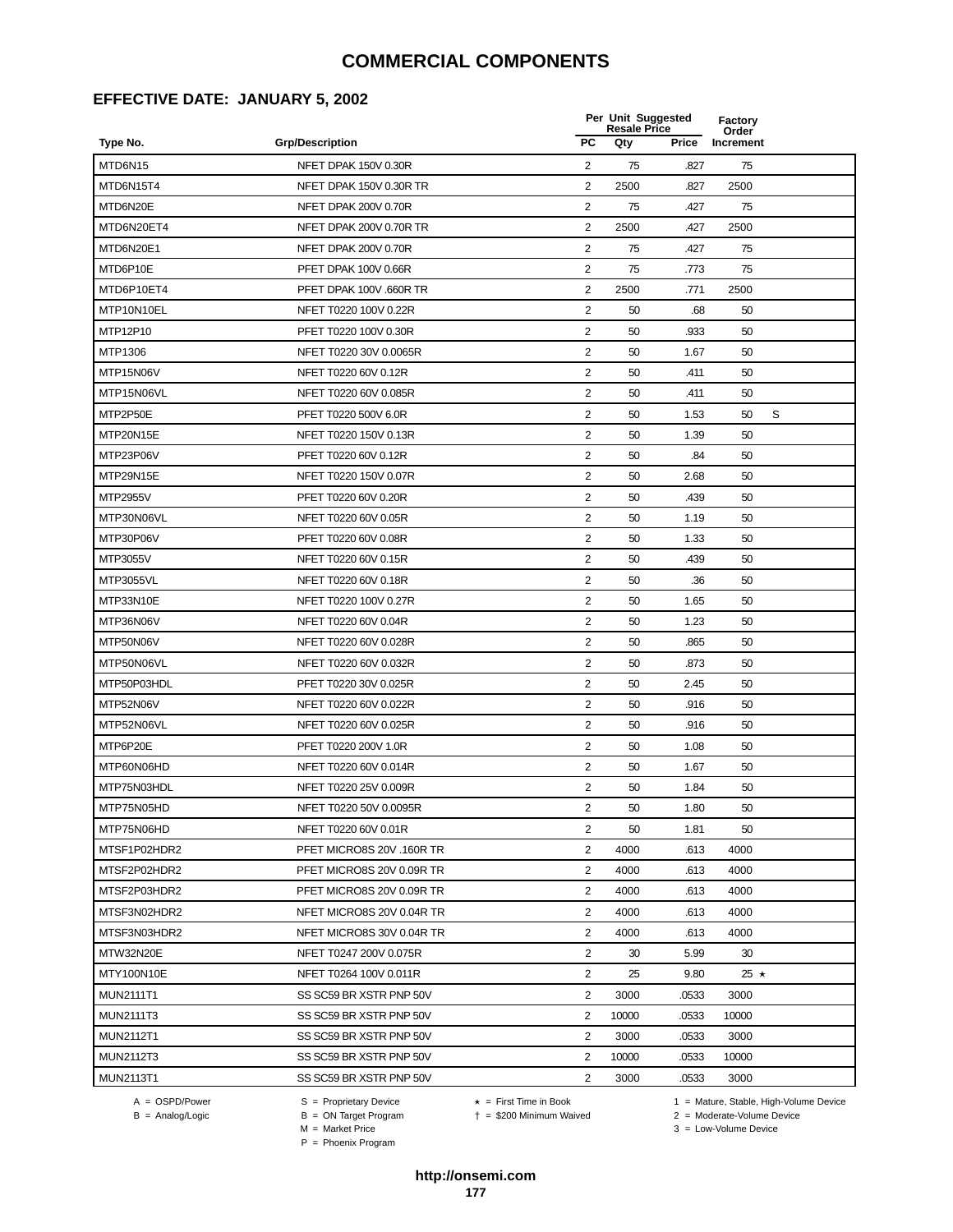# **EFFECTIVE DATE: JANUARY 5, 2002**

|                  |                           |                         | Per Unit Suggested<br><b>Resale Price</b> |              | Factory<br>Order |   |
|------------------|---------------------------|-------------------------|-------------------------------------------|--------------|------------------|---|
| Type No.         | <b>Grp/Description</b>    | <b>PC</b>               | Qty                                       | <b>Price</b> | Increment        |   |
| MTD6N15          | NFET DPAK 150V 0.30R      | 2                       | 75                                        | .827         | 75               |   |
| MTD6N15T4        | NFET DPAK 150V 0.30R TR   | 2                       | 2500                                      | .827         | 2500             |   |
| MTD6N20E         | NFET DPAK 200V 0.70R      | $\overline{2}$          | 75                                        | .427         | 75               |   |
| MTD6N20ET4       | NFET DPAK 200V 0.70R TR   | 2                       | 2500                                      | .427         | 2500             |   |
| MTD6N20E1        | NFET DPAK 200V 0.70R      | $\sqrt{2}$              | 75                                        | .427         | 75               |   |
| MTD6P10E         | PFET DPAK 100V 0.66R      | $\overline{2}$          | 75                                        | .773         | 75               |   |
| MTD6P10ET4       | PFET DPAK 100V 660R TR    | $\overline{2}$          | 2500                                      | .771         | 2500             |   |
| MTP10N10EL       | NFET T0220 100V 0.22R     | $\overline{2}$          | 50                                        | .68          | 50               |   |
| MTP12P10         | PFET T0220 100V 0.30R     | 2                       | 50                                        | .933         | 50               |   |
| MTP1306          | NFET T0220 30V 0.0065R    | $\overline{2}$          | 50                                        | 1.67         | 50               |   |
| MTP15N06V        | NFET T0220 60V 0.12R      | 2                       | 50                                        | .411         | 50               |   |
| MTP15N06VL       | NFET T0220 60V 0.085R     | 2                       | 50                                        | .411         | 50               |   |
| MTP2P50E         | PFET T0220 500V 6.0R      | $\overline{c}$          | 50                                        | 1.53         | 50               | S |
| MTP20N15E        | NFET T0220 150V 0.13R     | $\overline{2}$          | 50                                        | 1.39         | 50               |   |
| MTP23P06V        | PFET T0220 60V 0.12R      | $\overline{2}$          | 50                                        | .84          | 50               |   |
| MTP29N15E        | NFET T0220 150V 0.07R     | $\overline{2}$          | 50                                        | 2.68         | 50               |   |
| <b>MTP2955V</b>  | PFET T0220 60V 0.20R      | $\overline{2}$          | 50                                        | .439         | 50               |   |
| MTP30N06VL       | NFET T0220 60V 0.05R      | $\overline{2}$          | 50                                        | 1.19         | 50               |   |
| MTP30P06V        | PFET T0220 60V 0.08R      | $\overline{2}$          | 50                                        | 1.33         | 50               |   |
| MTP3055V         | NFET T0220 60V 0.15R      | 2                       | 50                                        | .439         | 50               |   |
| MTP3055VL        | NFET T0220 60V 0.18R      | 2                       | 50                                        | .36          | 50               |   |
| MTP33N10E        | NFET T0220 100V 0.27R     | $\overline{c}$          | 50                                        | 1.65         | 50               |   |
| MTP36N06V        | NFET T0220 60V 0.04R      | 2                       | 50                                        | 1.23         | 50               |   |
| MTP50N06V        | NFET T0220 60V 0.028R     | $\overline{c}$          | 50                                        | .865         | 50               |   |
| MTP50N06VL       | NFET T0220 60V 0.032R     | $\overline{2}$          | 50                                        | .873         | 50               |   |
| MTP50P03HDL      | PFET T0220 30V 0.025R     | $\overline{2}$          | 50                                        | 2.45         | 50               |   |
| MTP52N06V        | NFET T0220 60V 0.022R     | $\overline{c}$          | 50                                        | .916         | 50               |   |
| MTP52N06VL       | NFET T0220 60V 0.025R     | 2                       | 50                                        | .916         | 50               |   |
| MTP6P20E         | PFET T0220 200V 1.0R      | 2                       | 50                                        | 1.08         | 50               |   |
| MTP60N06HD       | NFET T0220 60V 0.014R     | $\overline{2}$          | 50                                        | 1.67         | 50               |   |
| MTP75N03HDL      | NFET T0220 25V 0.009R     | 2                       | 50                                        | 1.84         | 50               |   |
| MTP75N05HD       | NFET T0220 50V 0.0095R    | $\overline{\mathbf{c}}$ | 50                                        | 1.80         | 50               |   |
| MTP75N06HD       | NFET T0220 60V 0.01R      | $\overline{2}$          | 50                                        | 1.81         | 50               |   |
| MTSF1P02HDR2     | PFET MICRO8S 20V .160R TR | $\overline{2}$          | 4000                                      | .613         | 4000             |   |
| MTSF2P02HDR2     | PFET MICRO8S 20V 0.09R TR | $\overline{2}$          | 4000                                      | .613         | 4000             |   |
| MTSF2P03HDR2     | PFET MICRO8S 20V 0.09R TR | 2                       | 4000                                      | .613         | 4000             |   |
| MTSF3N02HDR2     | NFET MICRO8S 20V 0.04R TR | 2                       | 4000                                      | .613         | 4000             |   |
| MTSF3N03HDR2     | NFET MICRO8S 30V 0.04R TR | 2                       | 4000                                      | .613         | 4000             |   |
| MTW32N20E        | NFET T0247 200V 0.075R    | $\overline{2}$          | 30                                        | 5.99         | 30               |   |
| MTY100N10E       | NFET T0264 100V 0.011R    | $\overline{2}$          | 25                                        | 9.80         | 25 $\star$       |   |
| <b>MUN2111T1</b> | SS SC59 BR XSTR PNP 50V   | $\overline{2}$          | 3000                                      | .0533        | 3000             |   |
| <b>MUN2111T3</b> | SS SC59 BR XSTR PNP 50V   | 2                       | 10000                                     | .0533        | 10000            |   |
| <b>MUN2112T1</b> | SS SC59 BR XSTR PNP 50V   | $\overline{2}$          | 3000                                      | .0533        | 3000             |   |
| MUN2112T3        | SS SC59 BR XSTR PNP 50V   | 2                       | 10000                                     | .0533        | 10000            |   |
| <b>MUN2113T1</b> | SS SC59 BR XSTR PNP 50V   | $\overline{2}$          | 3000                                      | .0533        | 3000             |   |
|                  |                           |                         |                                           |              |                  |   |

 $B = \text{Analog/Logic}$ <br>B = ON Target Program<br> $M = \text{Market Price}$ 

A = OSPD/Power S = Proprietary Device  $\star$  = First Time in Book 1 = Mature, Stable, High-Volume Device

 = \$200 Minimum Waived 2 = Moderate-Volume Device  $3 =$  Low-Volume Device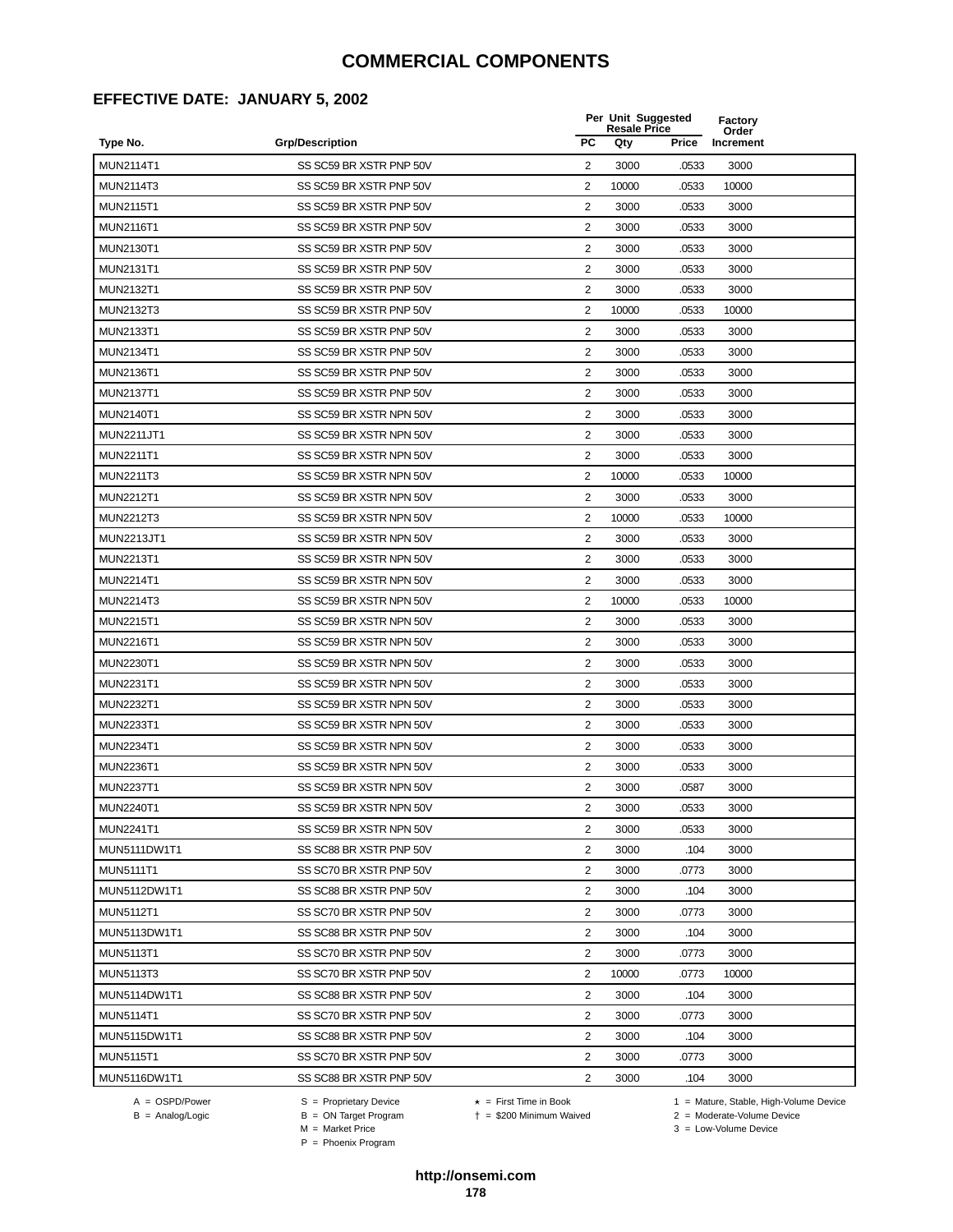#### **EFFECTIVE DATE: JANUARY 5, 2002**

|                     |                         |                | Per Unit Suggested<br><b>Resale Price</b> |       | Factory            |  |
|---------------------|-------------------------|----------------|-------------------------------------------|-------|--------------------|--|
| Type No.            | <b>Grp/Description</b>  | <b>PC</b>      | Qty                                       | Price | Order<br>Increment |  |
| <b>MUN2114T1</b>    | SS SC59 BR XSTR PNP 50V | $\overline{2}$ | 3000                                      | .0533 | 3000               |  |
| <b>MUN2114T3</b>    | SS SC59 BR XSTR PNP 50V | 2              | 10000                                     | .0533 | 10000              |  |
| <b>MUN2115T1</b>    | SS SC59 BR XSTR PNP 50V | 2              | 3000                                      | .0533 | 3000               |  |
| MUN2116T1           | SS SC59 BR XSTR PNP 50V | 2              | 3000                                      | .0533 | 3000               |  |
| MUN2130T1           | SS SC59 BR XSTR PNP 50V | $\overline{2}$ | 3000                                      | .0533 | 3000               |  |
| MUN2131T1           | SS SC59 BR XSTR PNP 50V | 2              | 3000                                      | .0533 | 3000               |  |
| MUN2132T1           | SS SC59 BR XSTR PNP 50V | $\overline{2}$ | 3000                                      | .0533 | 3000               |  |
| MUN2132T3           | SS SC59 BR XSTR PNP 50V | $\overline{2}$ | 10000                                     | .0533 | 10000              |  |
| MUN2133T1           | SS SC59 BR XSTR PNP 50V | 2              | 3000                                      | .0533 | 3000               |  |
| MUN2134T1           | SS SC59 BR XSTR PNP 50V | $\overline{2}$ | 3000                                      | .0533 | 3000               |  |
| MUN2136T1           | SS SC59 BR XSTR PNP 50V | 2              | 3000                                      | .0533 | 3000               |  |
| MUN2137T1           | SS SC59 BR XSTR PNP 50V | 2              | 3000                                      | .0533 | 3000               |  |
| MUN2140T1           | SS SC59 BR XSTR NPN 50V | 2              | 3000                                      | .0533 | 3000               |  |
| MUN2211JT1          | SS SC59 BR XSTR NPN 50V | $\overline{2}$ | 3000                                      | .0533 | 3000               |  |
| <b>MUN2211T1</b>    | SS SC59 BR XSTR NPN 50V | 2              | 3000                                      | .0533 | 3000               |  |
| <b>MUN2211T3</b>    | SS SC59 BR XSTR NPN 50V | $\overline{2}$ | 10000                                     | .0533 | 10000              |  |
| <b>MUN2212T1</b>    | SS SC59 BR XSTR NPN 50V | $\mathbf{2}$   | 3000                                      | .0533 | 3000               |  |
| <b>MUN2212T3</b>    | SS SC59 BR XSTR NPN 50V | $\overline{2}$ | 10000                                     | .0533 | 10000              |  |
| MUN2213JT1          | SS SC59 BR XSTR NPN 50V | 2              | 3000                                      | .0533 | 3000               |  |
| <b>MUN2213T1</b>    | SS SC59 BR XSTR NPN 50V | 2              | 3000                                      | .0533 | 3000               |  |
| MUN2214T1           | SS SC59 BR XSTR NPN 50V | 2              | 3000                                      | .0533 | 3000               |  |
| MUN2214T3           | SS SC59 BR XSTR NPN 50V | 2              | 10000                                     | .0533 | 10000              |  |
| MUN2215T1           | SS SC59 BR XSTR NPN 50V | 2              | 3000                                      | .0533 | 3000               |  |
| MUN2216T1           | SS SC59 BR XSTR NPN 50V | 2              | 3000                                      | .0533 | 3000               |  |
| MUN2230T1           | SS SC59 BR XSTR NPN 50V | $\overline{2}$ | 3000                                      | .0533 | 3000               |  |
| MUN2231T1           | SS SC59 BR XSTR NPN 50V | $\overline{2}$ | 3000                                      | .0533 | 3000               |  |
| <b>MUN2232T1</b>    | SS SC59 BR XSTR NPN 50V | 2              | 3000                                      | .0533 | 3000               |  |
| <b>MUN2233T1</b>    | SS SC59 BR XSTR NPN 50V | 2              | 3000                                      | .0533 | 3000               |  |
| MUN2234T1           | SS SC59 BR XSTR NPN 50V | 2              | 3000                                      | .0533 | 3000               |  |
| <b>MUN2236T1</b>    | SS SC59 BR XSTR NPN 50V | 2              | 3000                                      | .0533 | 3000               |  |
| MUN2237T1           | SS SC59 BR XSTR NPN 50V | 2              | 3000                                      | .0587 | 3000               |  |
| MUN2240T1           | SS SC59 BR XSTR NPN 50V | 2              | 3000                                      | .0533 | 3000               |  |
| MUN2241T1           | SS SC59 BR XSTR NPN 50V | 2              | 3000                                      | .0533 | 3000               |  |
| <b>MUN5111DW1T1</b> | SS SC88 BR XSTR PNP 50V | $\overline{2}$ | 3000                                      | .104  | 3000               |  |
| <b>MUN5111T1</b>    | SS SC70 BR XSTR PNP 50V | $\overline{2}$ | 3000                                      | .0773 | 3000               |  |
| MUN5112DW1T1        | SS SC88 BR XSTR PNP 50V | $\overline{2}$ | 3000                                      | .104  | 3000               |  |
| <b>MUN5112T1</b>    | SS SC70 BR XSTR PNP 50V | $\overline{2}$ | 3000                                      | .0773 | 3000               |  |
| MUN5113DW1T1        | SS SC88 BR XSTR PNP 50V | 2              | 3000                                      | .104  | 3000               |  |
| <b>MUN5113T1</b>    | SS SC70 BR XSTR PNP 50V | 2              | 3000                                      | .0773 | 3000               |  |
| <b>MUN5113T3</b>    | SS SC70 BR XSTR PNP 50V | 2              | 10000                                     | .0773 | 10000              |  |
| MUN5114DW1T1        | SS SC88 BR XSTR PNP 50V | 2              | 3000                                      | .104  | 3000               |  |
| <b>MUN5114T1</b>    | SS SC70 BR XSTR PNP 50V | 2              | 3000                                      | .0773 | 3000               |  |
| MUN5115DW1T1        | SS SC88 BR XSTR PNP 50V | $\overline{2}$ | 3000                                      | .104  | 3000               |  |
| <b>MUN5115T1</b>    | SS SC70 BR XSTR PNP 50V | $\overline{2}$ | 3000                                      | .0773 | 3000               |  |
| MUN5116DW1T1        | SS SC88 BR XSTR PNP 50V | $\overline{2}$ | 3000                                      | .104  | 3000               |  |

A = OSPD/Power S = Proprietary Device<br>
B = Analog/Logic B = ON Target Program<br>
M = Market Price

A = OSPD/Power S = Proprietary Device  $\star$  = First Time in Book 1 = Mature, Stable, High-Volume Device = \$200 Minimum Waived 2 = Moderate-Volume Device

 $2 =$  Moderate-Volume Device<br> $3 =$  Low-Volume Device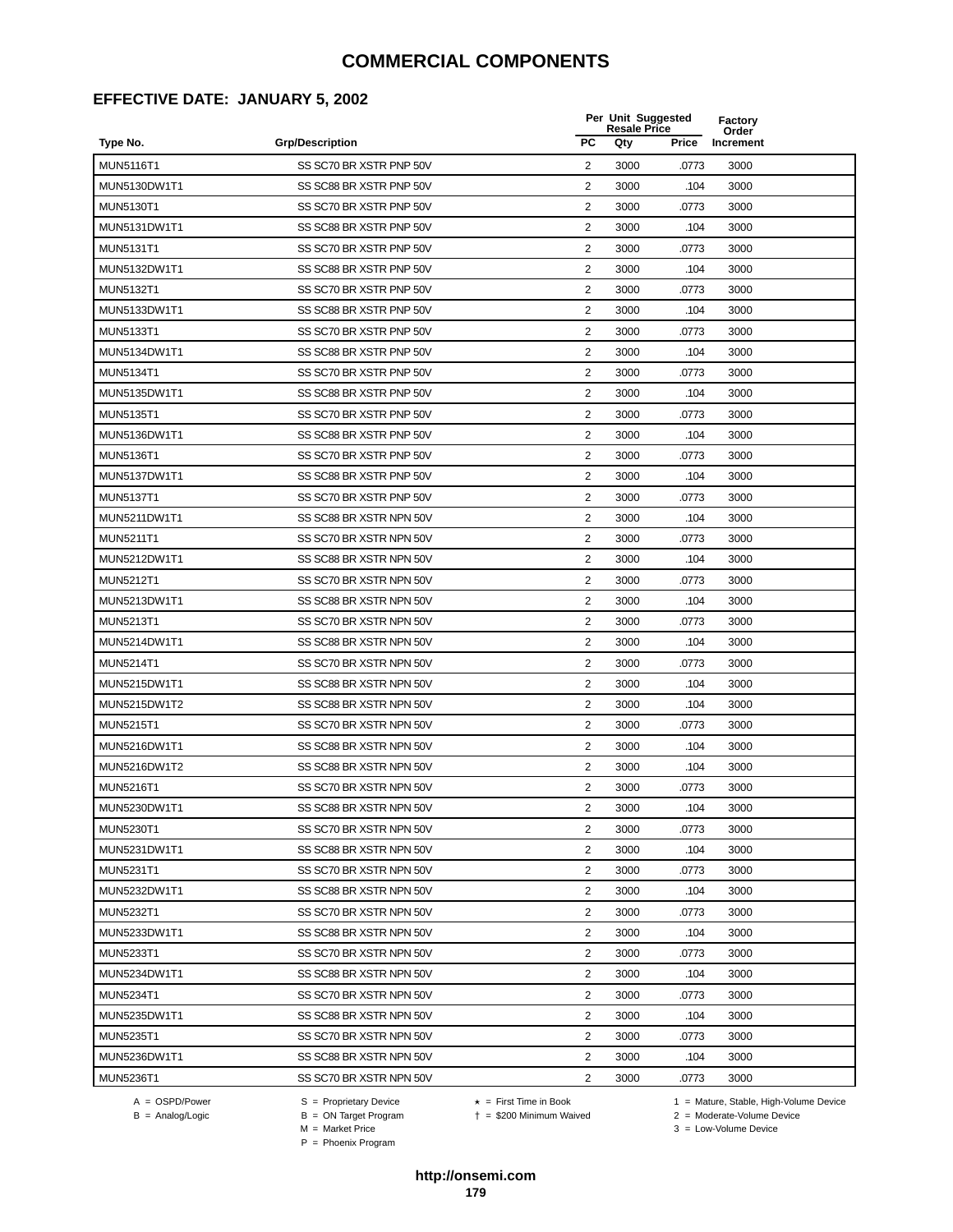#### **EFFECTIVE DATE: JANUARY 5, 2002**

|                  |                         |                         | Per Unit Suggested<br><b>Resale Price</b> | Factory<br>Order |           |  |
|------------------|-------------------------|-------------------------|-------------------------------------------|------------------|-----------|--|
| Type No.         | <b>Grp/Description</b>  | <b>PC</b>               | Qty                                       | <b>Price</b>     | Increment |  |
| MUN5116T1        | SS SC70 BR XSTR PNP 50V | 2                       | 3000                                      | .0773            | 3000      |  |
| MUN5130DW1T1     | SS SC88 BR XSTR PNP 50V | 2                       | 3000                                      | .104             | 3000      |  |
| <b>MUN5130T1</b> | SS SC70 BR XSTR PNP 50V | 2                       | 3000                                      | .0773            | 3000      |  |
| MUN5131DW1T1     | SS SC88 BR XSTR PNP 50V | 2                       | 3000                                      | .104             | 3000      |  |
| <b>MUN5131T1</b> | SS SC70 BR XSTR PNP 50V | $\overline{\mathbf{c}}$ | 3000                                      | .0773            | 3000      |  |
| MUN5132DW1T1     | SS SC88 BR XSTR PNP 50V | $\overline{2}$          | 3000                                      | .104             | 3000      |  |
| <b>MUN5132T1</b> | SS SC70 BR XSTR PNP 50V | $\overline{2}$          | 3000                                      | .0773            | 3000      |  |
| MUN5133DW1T1     | SS SC88 BR XSTR PNP 50V | $\overline{2}$          | 3000                                      | .104             | 3000      |  |
| <b>MUN5133T1</b> | SS SC70 BR XSTR PNP 50V | 2                       | 3000                                      | .0773            | 3000      |  |
| MUN5134DW1T1     | SS SC88 BR XSTR PNP 50V | 2                       | 3000                                      | .104             | 3000      |  |
| <b>MUN5134T1</b> | SS SC70 BR XSTR PNP 50V | 2                       | 3000                                      | .0773            | 3000      |  |
| MUN5135DW1T1     | SS SC88 BR XSTR PNP 50V | 2                       | 3000                                      | .104             | 3000      |  |
| <b>MUN5135T1</b> | SS SC70 BR XSTR PNP 50V | $\overline{c}$          | 3000                                      | .0773            | 3000      |  |
| MUN5136DW1T1     | SS SC88 BR XSTR PNP 50V | $\overline{\mathbf{c}}$ | 3000                                      | .104             | 3000      |  |
| <b>MUN5136T1</b> | SS SC70 BR XSTR PNP 50V | $\overline{2}$          | 3000                                      | .0773            | 3000      |  |
| MUN5137DW1T1     | SS SC88 BR XSTR PNP 50V | $\overline{2}$          | 3000                                      | .104             | 3000      |  |
| <b>MUN5137T1</b> | SS SC70 BR XSTR PNP 50V | $\overline{2}$          | 3000                                      | .0773            | 3000      |  |
| MUN5211DW1T1     | SS SC88 BR XSTR NPN 50V | $\overline{2}$          | 3000                                      | .104             | 3000      |  |
| MUN5211T1        | SS SC70 BR XSTR NPN 50V | 2                       | 3000                                      | .0773            | 3000      |  |
| MUN5212DW1T1     | SS SC88 BR XSTR NPN 50V | 2                       | 3000                                      | .104             | 3000      |  |
| <b>MUN5212T1</b> | SS SC70 BR XSTR NPN 50V | 2                       | 3000                                      | .0773            | 3000      |  |
| MUN5213DW1T1     | SS SC88 BR XSTR NPN 50V | $\overline{2}$          | 3000                                      | .104             | 3000      |  |
| <b>MUN5213T1</b> | SS SC70 BR XSTR NPN 50V | $\overline{\mathbf{c}}$ | 3000                                      | .0773            | 3000      |  |
| MUN5214DW1T1     | SS SC88 BR XSTR NPN 50V | 2                       | 3000                                      | .104             | 3000      |  |
| <b>MUN5214T1</b> | SS SC70 BR XSTR NPN 50V | $\overline{2}$          | 3000                                      | .0773            | 3000      |  |
| MUN5215DW1T1     | SS SC88 BR XSTR NPN 50V | $\overline{2}$          | 3000                                      | .104             | 3000      |  |
| MUN5215DW1T2     | SS SC88 BR XSTR NPN 50V | $\overline{c}$          | 3000                                      | .104             | 3000      |  |
| MUN5215T1        | SS SC70 BR XSTR NPN 50V | 2                       | 3000                                      | .0773            | 3000      |  |
| MUN5216DW1T1     | SS SC88 BR XSTR NPN 50V | 2                       | 3000                                      | .104             | 3000      |  |
| MUN5216DW1T2     | SS SC88 BR XSTR NPN 50V | $\overline{2}$          | 3000                                      | .104             | 3000      |  |
| <b>MUN5216T1</b> | SS SC70 BR XSTR NPN 50V | 2                       | 3000                                      | .0773            | 3000      |  |
| MUN5230DW1T1     | SS SC88 BR XSTR NPN 50V | $\overline{\mathbf{c}}$ | 3000                                      | .104             | 3000      |  |
| <b>MUN5230T1</b> | SS SC70 BR XSTR NPN 50V | 2                       | 3000                                      | .0773            | 3000      |  |
| MUN5231DW1T1     | SS SC88 BR XSTR NPN 50V | $\overline{2}$          | 3000                                      | .104             | 3000      |  |
| <b>MUN5231T1</b> | SS SC70 BR XSTR NPN 50V | $\overline{2}$          | 3000                                      | .0773            | 3000      |  |
| MUN5232DW1T1     | SS SC88 BR XSTR NPN 50V | 2                       | 3000                                      | .104             | 3000      |  |
| <b>MUN5232T1</b> | SS SC70 BR XSTR NPN 50V | $\overline{2}$          | 3000                                      | .0773            | 3000      |  |
| MUN5233DW1T1     | SS SC88 BR XSTR NPN 50V | 2                       | 3000                                      | .104             | 3000      |  |
| <b>MUN5233T1</b> | SS SC70 BR XSTR NPN 50V | 2                       | 3000                                      | .0773            | 3000      |  |
| MUN5234DW1T1     | SS SC88 BR XSTR NPN 50V | $\overline{2}$          | 3000                                      | .104             | 3000      |  |
| <b>MUN5234T1</b> | SS SC70 BR XSTR NPN 50V | 2                       | 3000                                      | .0773            | 3000      |  |
| MUN5235DW1T1     | SS SC88 BR XSTR NPN 50V | $\overline{2}$          | 3000                                      | .104             | 3000      |  |
| <b>MUN5235T1</b> | SS SC70 BR XSTR NPN 50V | $\overline{2}$          | 3000                                      | .0773            | 3000      |  |
| MUN5236DW1T1     | SS SC88 BR XSTR NPN 50V | $\overline{2}$          | 3000                                      | .104             | 3000      |  |
| <b>MUN5236T1</b> | SS SC70 BR XSTR NPN 50V | $\overline{2}$          | 3000                                      | .0773            | 3000      |  |
|                  |                         |                         |                                           |                  |           |  |

 $B = \text{Analog/Logic}$ <br>B = ON Target Program<br> $M = \text{Market Price}$ 

A = OSPD/Power S = Proprietary Device  $\star$  = First Time in Book 1 = Mature, Stable, High-Volume Device

 = \$200 Minimum Waived 2 = Moderate-Volume Device  $3 =$  Low-Volume Device

P = Phoenix Program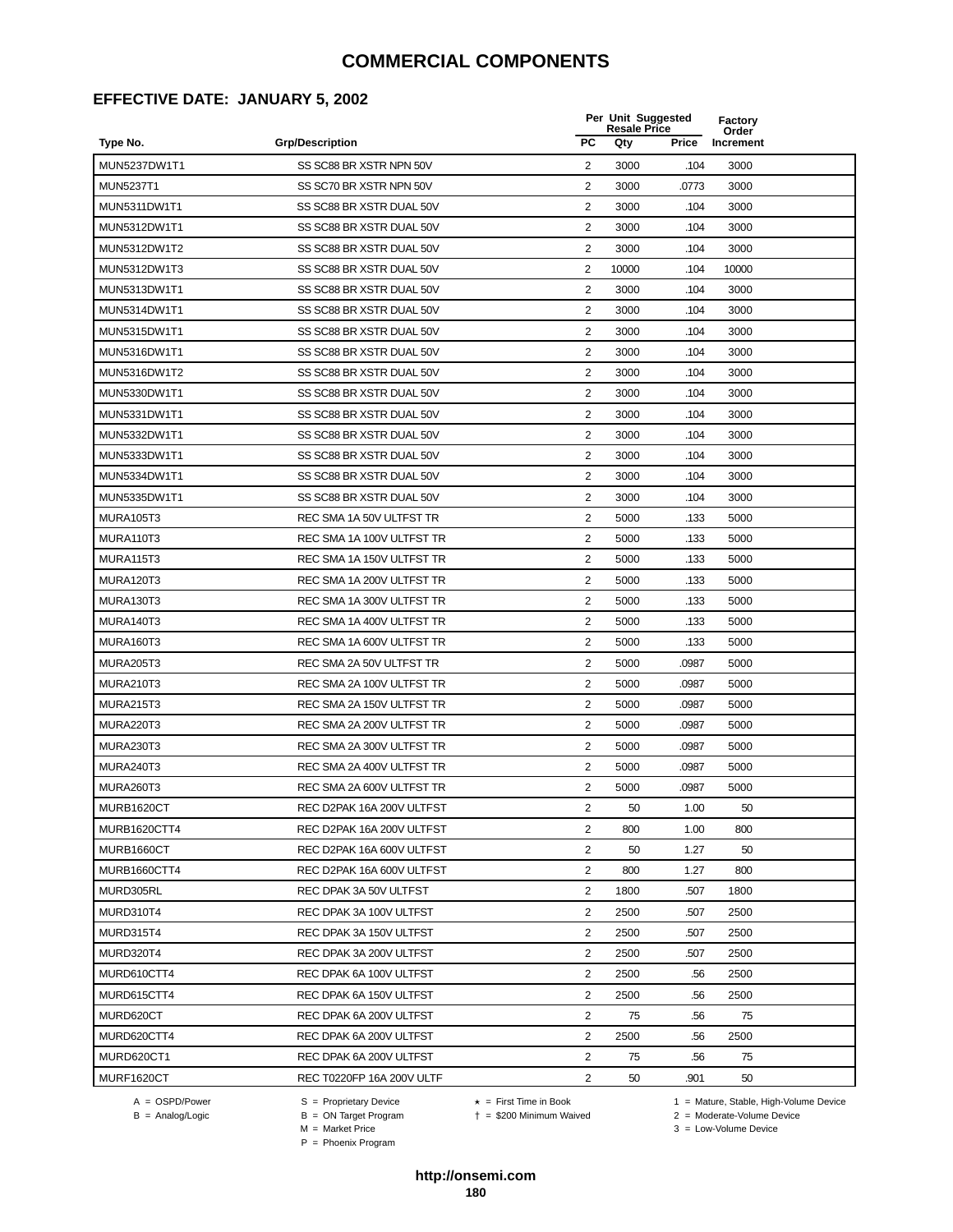#### **EFFECTIVE DATE: JANUARY 5, 2002**

|                  |                           |                         | Per Unit Suggested<br><b>Resale Price</b> |              | Factory<br>Order |  |
|------------------|---------------------------|-------------------------|-------------------------------------------|--------------|------------------|--|
| Type No.         | <b>Grp/Description</b>    | <b>PC</b>               | Qty                                       | <b>Price</b> | Increment        |  |
| MUN5237DW1T1     | SS SC88 BR XSTR NPN 50V   | $\overline{2}$          | 3000                                      | .104         | 3000             |  |
| <b>MUN5237T1</b> | SS SC70 BR XSTR NPN 50V   | 2                       | 3000                                      | .0773        | 3000             |  |
| MUN5311DW1T1     | SS SC88 BR XSTR DUAL 50V  | 2                       | 3000                                      | .104         | 3000             |  |
| MUN5312DW1T1     | SS SC88 BR XSTR DUAL 50V  | 2                       | 3000                                      | .104         | 3000             |  |
| MUN5312DW1T2     | SS SC88 BR XSTR DUAL 50V  | $\overline{2}$          | 3000                                      | .104         | 3000             |  |
| MUN5312DW1T3     | SS SC88 BR XSTR DUAL 50V  | $\overline{2}$          | 10000                                     | .104         | 10000            |  |
| MUN5313DW1T1     | SS SC88 BR XSTR DUAL 50V  | $\overline{2}$          | 3000                                      | .104         | 3000             |  |
| MUN5314DW1T1     | SS SC88 BR XSTR DUAL 50V  | $\overline{2}$          | 3000                                      | .104         | 3000             |  |
| MUN5315DW1T1     | SS SC88 BR XSTR DUAL 50V  | 2                       | 3000                                      | .104         | 3000             |  |
| MUN5316DW1T1     | SS SC88 BR XSTR DUAL 50V  | 2                       | 3000                                      | .104         | 3000             |  |
| MUN5316DW1T2     | SS SC88 BR XSTR DUAL 50V  | 2                       | 3000                                      | .104         | 3000             |  |
| MUN5330DW1T1     | SS SC88 BR XSTR DUAL 50V  | 2                       | 3000                                      | .104         | 3000             |  |
| MUN5331DW1T1     | SS SC88 BR XSTR DUAL 50V  | $\overline{c}$          | 3000                                      | .104         | 3000             |  |
| MUN5332DW1T1     | SS SC88 BR XSTR DUAL 50V  | $\overline{\mathbf{c}}$ | 3000                                      | .104         | 3000             |  |
| MUN5333DW1T1     | SS SC88 BR XSTR DUAL 50V  | $\overline{2}$          | 3000                                      | .104         | 3000             |  |
| MUN5334DW1T1     | SS SC88 BR XSTR DUAL 50V  | $\overline{2}$          | 3000                                      | .104         | 3000             |  |
| MUN5335DW1T1     | SS SC88 BR XSTR DUAL 50V  | $\overline{2}$          | 3000                                      | .104         | 3000             |  |
| <b>MURA105T3</b> | REC SMA 1A 50V ULTFST TR  | 2                       | 5000                                      | .133         | 5000             |  |
| MURA110T3        | REC SMA 1A 100V ULTFST TR | 2                       | 5000                                      | .133         | 5000             |  |
| MURA115T3        | REC SMA 1A 150V ULTFST TR | 2                       | 5000                                      | .133         | 5000             |  |
| MURA120T3        | REC SMA 1A 200V ULTFST TR | 2                       | 5000                                      | .133         | 5000             |  |
| MURA130T3        | REC SMA 1A 300V ULTFST TR | 2                       | 5000                                      | .133         | 5000             |  |
| MURA140T3        | REC SMA 1A 400V ULTFST TR | 2                       | 5000                                      | .133         | 5000             |  |
| MURA160T3        | REC SMA 1A 600V ULTFST TR | 2                       | 5000                                      | .133         | 5000             |  |
| <b>MURA205T3</b> | REC SMA 2A 50V ULTFST TR  | $\overline{2}$          | 5000                                      | .0987        | 5000             |  |
| <b>MURA210T3</b> | REC SMA 2A 100V ULTFST TR | $\overline{2}$          | 5000                                      | .0987        | 5000             |  |
| <b>MURA215T3</b> | REC SMA 2A 150V ULTFST TR | $\overline{2}$          | 5000                                      | .0987        | 5000             |  |
| <b>MURA220T3</b> | REC SMA 2A 200V ULTFST TR | 2                       | 5000                                      | .0987        | 5000             |  |
| <b>MURA230T3</b> | REC SMA 2A 300V ULTFST TR | 2                       | 5000                                      | .0987        | 5000             |  |
| <b>MURA240T3</b> | REC SMA 2A 400V ULTFST TR | 2                       | 5000                                      | .0987        | 5000             |  |
| <b>MURA260T3</b> | REC SMA 2A 600V ULTFST TR | 2                       | 5000                                      | .0987        | 5000             |  |
| MURB1620CT       | REC D2PAK 16A 200V ULTFST | 2                       | 50                                        | 1.00         | 50               |  |
| MURB1620CTT4     | REC D2PAK 16A 200V ULTFST | $\overline{2}$          | 800                                       | 1.00         | 800              |  |
| MURB1660CT       | REC D2PAK 16A 600V ULTFST | $\overline{2}$          | 50                                        | 1.27         | 50               |  |
| MURB1660CTT4     | REC D2PAK 16A 600V ULTFST | $\overline{2}$          | 800                                       | 1.27         | 800              |  |
| MURD305RL        | REC DPAK 3A 50V ULTFST    | 2                       | 1800                                      | .507         | 1800             |  |
| MURD310T4        | REC DPAK 3A 100V ULTFST   | 2                       | 2500                                      | .507         | 2500             |  |
| MURD315T4        | REC DPAK 3A 150V ULTFST   | 2                       | 2500                                      | .507         | 2500             |  |
| MURD320T4        | REC DPAK 3A 200V ULTFST   | 2                       | 2500                                      | .507         | 2500             |  |
| MURD610CTT4      | REC DPAK 6A 100V ULTFST   | 2                       | 2500                                      | .56          | 2500             |  |
| MURD615CTT4      | REC DPAK 6A 150V ULTFST   | 2                       | 2500                                      | .56          | 2500             |  |
| MURD620CT        | REC DPAK 6A 200V ULTFST   | 2                       | 75                                        | .56          | 75               |  |
| MURD620CTT4      | REC DPAK 6A 200V ULTFST   | $\overline{2}$          | 2500                                      | .56          | 2500             |  |
| MURD620CT1       | REC DPAK 6A 200V ULTFST   | $\overline{2}$          | 75                                        | .56          | 75               |  |
| MURF1620CT       | REC T0220FP 16A 200V ULTF | $\overline{2}$          | 50                                        | .901         | 50               |  |
|                  |                           |                         |                                           |              |                  |  |

 $B = \text{Analog/Logic}$ <br>B = ON Target Program<br> $M = \text{Market Price}$ 

A = OSPD/Power S = Proprietary Device  $\star$  = First Time in Book 1 = Mature, Stable, High-Volume Device = \$200 Minimum Waived 2 = Moderate-Volume Device

P = Phoenix Program

 $3 =$  Low-Volume Device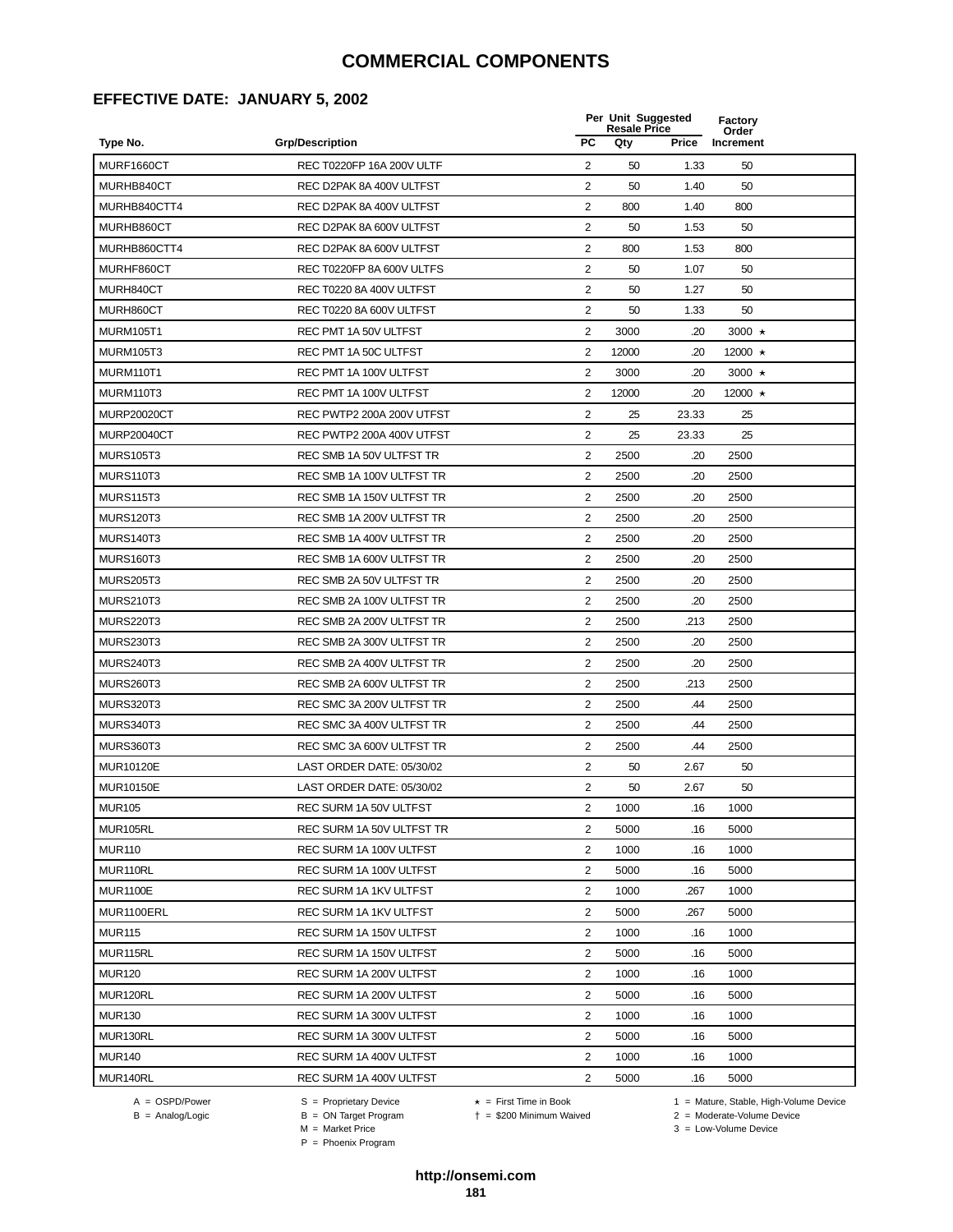### **EFFECTIVE DATE: JANUARY 5, 2002**

|                    |                           |                | Per Unit Suggested<br><b>Resale Price</b> |       | Factory<br>Order |
|--------------------|---------------------------|----------------|-------------------------------------------|-------|------------------|
| Type No.           | <b>Grp/Description</b>    | PC             | Qty                                       | Price | Increment        |
| <b>MURF1660CT</b>  | REC T0220FP 16A 200V ULTF | 2              | 50                                        | 1.33  | 50               |
| MURHB840CT         | REC D2PAK 8A 400V ULTFST  | 2              | 50                                        | 1.40  | 50               |
| MURHB840CTT4       | REC D2PAK 8A 400V ULTFST  | $\overline{2}$ | 800                                       | 1.40  | 800              |
| MURHB860CT         | REC D2PAK 8A 600V ULTFST  | 2              | 50                                        | 1.53  | 50               |
| MURHB860CTT4       | REC D2PAK 8A 600V ULTFST  | $\overline{c}$ | 800                                       | 1.53  | 800              |
| MURHF860CT         | REC T0220FP 8A 600V ULTFS | $\overline{2}$ | 50                                        | 1.07  | 50               |
| MURH840CT          | REC T0220 8A 400V ULTFST  | $\overline{2}$ | 50                                        | 1.27  | 50               |
| MURH860CT          | REC T0220 8A 600V ULTFST  | 2              | 50                                        | 1.33  | 50               |
| <b>MURM105T1</b>   | REC PMT 1A 50V ULTFST     | $\overline{2}$ | 3000                                      | .20   | 3000 $\star$     |
| <b>MURM105T3</b>   | REC PMT 1A 50C ULTFST     | 2              | 12000                                     | .20   | 12000 $\star$    |
| MURM110T1          | REC PMT 1A 100V ULTFST    | $\overline{2}$ | 3000                                      | .20   | 3000 $\star$     |
| MURM110T3          | REC PMT 1A 100V ULTFST    | $\overline{2}$ | 12000                                     | .20   | 12000 ★          |
| <b>MURP20020CT</b> | REC PWTP2 200A 200V UTFST | $\overline{2}$ | 25                                        | 23.33 | 25               |
| <b>MURP20040CT</b> | REC PWTP2 200A 400V UTFST | $\overline{c}$ | 25                                        | 23.33 | 25               |
| <b>MURS105T3</b>   | REC SMB 1A 50V ULTFST TR  | $\overline{2}$ | 2500                                      | .20   | 2500             |
| MURS110T3          | REC SMB 1A 100V ULTFST TR | $\overline{2}$ | 2500                                      | .20   | 2500             |
| <b>MURS115T3</b>   | REC SMB 1A 150V ULTFST TR | $\overline{2}$ | 2500                                      | .20   | 2500             |
| <b>MURS120T3</b>   | REC SMB 1A 200V ULTFST TR | $\overline{2}$ | 2500                                      | .20   | 2500             |
| <b>MURS140T3</b>   | REC SMB 1A 400V ULTFST TR | 2              | 2500                                      | .20   | 2500             |
| <b>MURS160T3</b>   | REC SMB 1A 600V ULTFST TR | $\overline{2}$ | 2500                                      | .20   | 2500             |
| <b>MURS205T3</b>   | REC SMB 2A 50V ULTFST TR  | $\overline{2}$ | 2500                                      | .20   | 2500             |
| <b>MURS210T3</b>   | REC SMB 2A 100V ULTFST TR | $\overline{c}$ | 2500                                      | .20   | 2500             |
| <b>MURS220T3</b>   | REC SMB 2A 200V ULTFST TR | $\overline{c}$ | 2500                                      | .213  | 2500             |
| <b>MURS230T3</b>   | REC SMB 2A 300V ULTFST TR | $\overline{2}$ | 2500                                      | .20   | 2500             |
| <b>MURS240T3</b>   | REC SMB 2A 400V ULTFST TR | $\overline{2}$ | 2500                                      | .20   | 2500             |
| <b>MURS260T3</b>   | REC SMB 2A 600V ULTFST TR | $\overline{2}$ | 2500                                      | .213  | 2500             |
| <b>MURS320T3</b>   | REC SMC 3A 200V ULTFST TR | $\overline{c}$ | 2500                                      | .44   | 2500             |
| <b>MURS340T3</b>   | REC SMC 3A 400V ULTFST TR | $\overline{2}$ | 2500                                      | .44   | 2500             |
| <b>MURS360T3</b>   | REC SMC 3A 600V ULTFST TR | $\overline{2}$ | 2500                                      | .44   | 2500             |
| MUR10120E          | LAST ORDER DATE: 05/30/02 | $\overline{2}$ | 50                                        | 2.67  | 50               |
| <b>MUR10150E</b>   | LAST ORDER DATE: 05/30/02 | 2              | 50                                        | 2.67  | 50               |
| <b>MUR105</b>      | REC SURM 1A 50V ULTFST    | 2              | 1000                                      | .16   | 1000             |
| MUR105RL           | REC SURM 1A 50V ULTFST TR | 2              | 5000                                      | .16   | 5000             |
| <b>MUR110</b>      | REC SURM 1A 100V ULTFST   | $\overline{2}$ | 1000                                      | .16   | 1000             |
| MUR110RL           | REC SURM 1A 100V ULTFST   | 2              | 5000                                      | .16   | 5000             |
| <b>MUR1100E</b>    | REC SURM 1A 1KV ULTFST    | $\overline{c}$ | 1000                                      | .267  | 1000             |
| MUR1100ERL         | REC SURM 1A 1KV ULTFST    | $\overline{c}$ | 5000                                      | .267  | 5000             |
| <b>MUR115</b>      | REC SURM 1A 150V ULTFST   | 2              | 1000                                      | .16   | 1000             |
| MUR115RL           | REC SURM 1A 150V ULTFST   | 2              | 5000                                      | .16   | 5000             |
| <b>MUR120</b>      | REC SURM 1A 200V ULTFST   | $\overline{c}$ | 1000                                      | .16   | 1000             |
| MUR120RL           | REC SURM 1A 200V ULTFST   | $\overline{c}$ | 5000                                      | .16   | 5000             |
| <b>MUR130</b>      | REC SURM 1A 300V ULTFST   | $\overline{2}$ | 1000                                      | .16   | 1000             |
| MUR130RL           | REC SURM 1A 300V ULTFST   | $\overline{2}$ | 5000                                      | .16   | 5000             |
| <b>MUR140</b>      | REC SURM 1A 400V ULTFST   | 2              | 1000                                      | .16   | 1000             |
| MUR140RL           | REC SURM 1A 400V ULTFST   | $\overline{c}$ | 5000                                      | .16   | 5000             |

 $B = \text{Analog/Logic}$ <br>B = ON Target Program<br> $M = \text{Market Price}$ 

= \$200 Minimum Waived 2 = Moderate-Volume Device

A = OSPD/Power S = Proprietary Device  $\star$  = First Time in Book 1 = Mature, Stable, High-Volume Device

 $3 =$  Low-Volume Device

P = Phoenix Program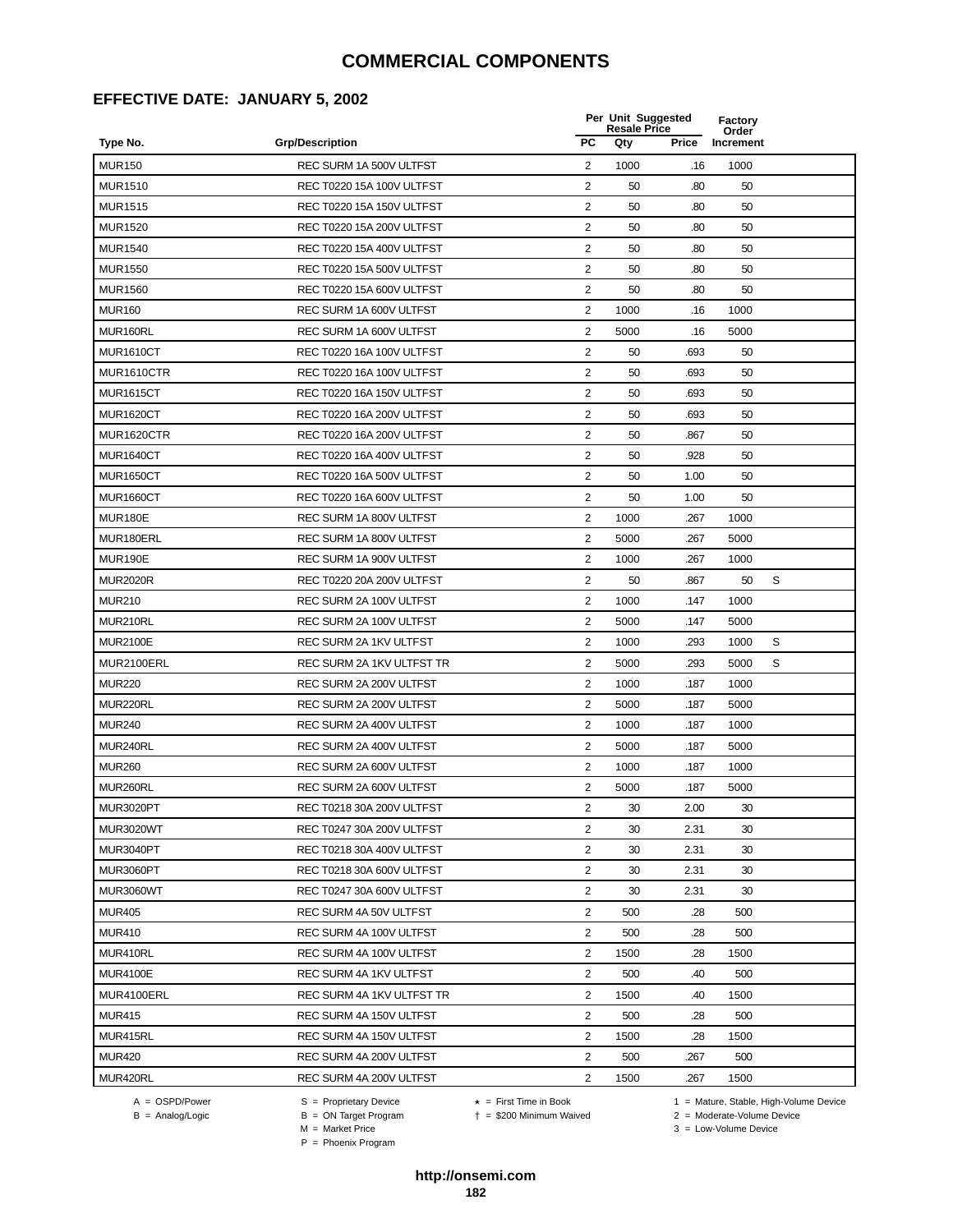## **EFFECTIVE DATE: JANUARY 5, 2002**

|                   |                           |                | Per Unit Suggested<br><b>Resale Price</b> |       | Factory<br>Order |   |
|-------------------|---------------------------|----------------|-------------------------------------------|-------|------------------|---|
| Type No.          | <b>Grp/Description</b>    | PC             | Qty                                       | Price | Increment        |   |
| <b>MUR150</b>     | REC SURM 1A 500V ULTFST   | 2              | 1000                                      | .16   | 1000             |   |
| <b>MUR1510</b>    | REC T0220 15A 100V ULTFST | $\overline{2}$ | 50                                        | .80   | 50               |   |
| <b>MUR1515</b>    | REC T0220 15A 150V ULTFST | 2              | 50                                        | .80   | 50               |   |
| <b>MUR1520</b>    | REC T0220 15A 200V ULTFST | $\overline{2}$ | 50                                        | .80   | 50               |   |
| <b>MUR1540</b>    | REC T0220 15A 400V ULTFST | 2              | 50                                        | .80   | 50               |   |
| <b>MUR1550</b>    | REC T0220 15A 500V ULTFST | 2              | 50                                        | .80   | 50               |   |
| <b>MUR1560</b>    | REC T0220 15A 600V ULTFST | $\overline{2}$ | 50                                        | .80   | 50               |   |
| <b>MUR160</b>     | REC SURM 1A 600V ULTFST   | 2              | 1000                                      | .16   | 1000             |   |
| MUR160RL          | REC SURM 1A 600V ULTFST   | $\overline{c}$ | 5000                                      | .16   | 5000             |   |
| <b>MUR1610CT</b>  | REC T0220 16A 100V ULTFST | 2              | 50                                        | .693  | 50               |   |
| MUR1610CTR        | REC T0220 16A 100V ULTFST | $\overline{c}$ | 50                                        | .693  | 50               |   |
| <b>MUR1615CT</b>  | REC T0220 16A 150V ULTFST | 2              | 50                                        | .693  | 50               |   |
| <b>MUR1620CT</b>  | REC T0220 16A 200V ULTFST | $\overline{c}$ | 50                                        | .693  | 50               |   |
| <b>MUR1620CTR</b> | REC T0220 16A 200V ULTFST | 2              | 50                                        | .867  | 50               |   |
| <b>MUR1640CT</b>  | REC T0220 16A 400V ULTFST | 2              | 50                                        | .928  | 50               |   |
| <b>MUR1650CT</b>  | REC T0220 16A 500V ULTFST | $\sqrt{2}$     | 50                                        | 1.00  | 50               |   |
| <b>MUR1660CT</b>  | REC T0220 16A 600V ULTFST | $\overline{2}$ | 50                                        | 1.00  | 50               |   |
| <b>MUR180E</b>    | REC SURM 1A 800V ULTFST   | $\overline{c}$ | 1000                                      | .267  | 1000             |   |
| MUR180ERL         | REC SURM 1A 800V ULTFST   | 2              | 5000                                      | .267  | 5000             |   |
| MUR190E           | REC SURM 1A 900V ULTFST   | 2              | 1000                                      | .267  | 1000             |   |
| <b>MUR2020R</b>   | REC T0220 20A 200V ULTFST | 2              | 50                                        | .867  | 50               | S |
| <b>MUR210</b>     | REC SURM 2A 100V ULTFST   | $\overline{2}$ | 1000                                      | .147  | 1000             |   |
| MUR210RL          | REC SURM 2A 100V ULTFST   | $\overline{2}$ | 5000                                      | .147  | 5000             |   |
| <b>MUR2100E</b>   | REC SURM 2A 1KV ULTFST    | 2              | 1000                                      | .293  | 1000             | S |
| MUR2100ERL        | REC SURM 2A 1KV ULTFST TR | $\overline{2}$ | 5000                                      | .293  | 5000             | S |
| <b>MUR220</b>     | REC SURM 2A 200V ULTFST   | 2              | 1000                                      | .187  | 1000             |   |
| MUR220RL          | REC SURM 2A 200V ULTFST   | 2              | 5000                                      | .187  | 5000             |   |
| <b>MUR240</b>     | REC SURM 2A 400V ULTFST   | 2              | 1000                                      | .187  | 1000             |   |
| MUR240RL          | REC SURM 2A 400V ULTFST   | 2              | 5000                                      | .187  | 5000             |   |
| <b>MUR260</b>     | REC SURM 2A 600V ULTFST   | 2              | 1000                                      | .187  | 1000             |   |
| MUR260RL          | REC SURM 2A 600V ULTFST   | $\overline{2}$ | 5000                                      | .187  | 5000             |   |
| MUR3020PT         | REC T0218 30A 200V ULTFST | 2              | 30                                        | 2.00  | 30               |   |
| <b>MUR3020WT</b>  | REC T0247 30A 200V ULTFST | $\overline{2}$ | 30                                        | 2.31  | 30               |   |
| <b>MUR3040PT</b>  | REC T0218 30A 400V ULTFST | $\overline{c}$ | 30                                        | 2.31  | 30               |   |
| MUR3060PT         | REC T0218 30A 600V ULTFST | $\overline{2}$ | 30                                        | 2.31  | 30               |   |
| MUR3060WT         | REC T0247 30A 600V ULTFST | $\overline{c}$ | 30                                        | 2.31  | 30               |   |
| <b>MUR405</b>     | REC SURM 4A 50V ULTFST    | $\overline{2}$ | 500                                       | .28   | 500              |   |
| <b>MUR410</b>     | REC SURM 4A 100V ULTFST   | $\overline{c}$ | 500                                       | .28   | 500              |   |
| MUR410RL          | REC SURM 4A 100V ULTFST   | 2              | 1500                                      | .28   | 1500             |   |
| <b>MUR4100E</b>   | REC SURM 4A 1KV ULTFST    | $\overline{2}$ | 500                                       | .40   | 500              |   |
| MUR4100ERL        | REC SURM 4A 1KV ULTFST TR | $\overline{2}$ | 1500                                      | .40   | 1500             |   |
| <b>MUR415</b>     | REC SURM 4A 150V ULTFST   | 2              | 500                                       | .28   | 500              |   |
| MUR415RL          | REC SURM 4A 150V ULTFST   | 2              | 1500                                      | .28   | 1500             |   |
| <b>MUR420</b>     | REC SURM 4A 200V ULTFST   | 2              | 500                                       | .267  | 500              |   |
| MUR420RL          | REC SURM 4A 200V ULTFST   | 2              | 1500                                      | .267  | 1500             |   |

A = OSPD/Power S = Proprietary Device<br>
B = Analog/Logic B = ON Target Program<br>
M = Market Price

A = OSPD/Power S = Proprietary Device  $\star$  = First Time in Book 1 = Mature, Stable, High-Volume Device

 = \$200 Minimum Waived 2 = Moderate-Volume Device  $2 =$  Moderate-Volume Device<br> $3 =$  Low-Volume Device

P = Phoenix Program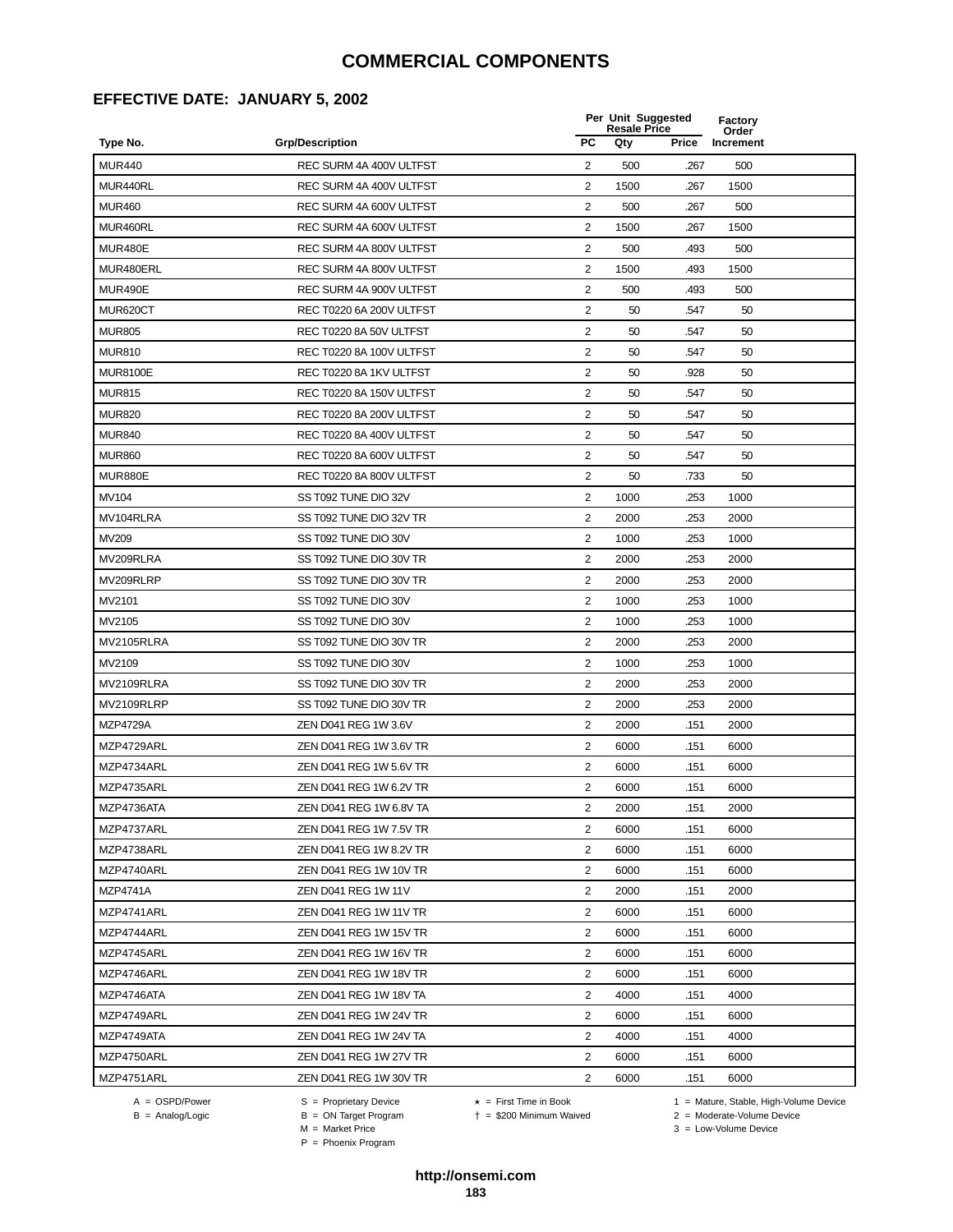## **EFFECTIVE DATE: JANUARY 5, 2002**

|                 |                            |                         | Per Unit Suggested<br><b>Resale Price</b> |       | Factory<br>Order |  |
|-----------------|----------------------------|-------------------------|-------------------------------------------|-------|------------------|--|
| Type No.        | <b>Grp/Description</b>     | <b>PC</b>               | Qty                                       | Price | Increment        |  |
| <b>MUR440</b>   | REC SURM 4A 400V ULTFST    | 2                       | 500                                       | .267  | 500              |  |
| MUR440RL        | REC SURM 4A 400V ULTFST    | 2                       | 1500                                      | .267  | 1500             |  |
| <b>MUR460</b>   | REC SURM 4A 600V ULTFST    | 2                       | 500                                       | .267  | 500              |  |
| MUR460RL        | REC SURM 4A 600V ULTFST    | 2                       | 1500                                      | .267  | 1500             |  |
| MUR480E         | REC SURM 4A 800V ULTFST    | $\overline{c}$          | 500                                       | .493  | 500              |  |
| MUR480ERL       | REC SURM 4A 800V ULTFST    | $\overline{2}$          | 1500                                      | .493  | 1500             |  |
| MUR490E         | REC SURM 4A 900V ULTFST    | $\overline{2}$          | 500                                       | .493  | 500              |  |
| MUR620CT        | REC T0220 6A 200V ULTFST   | 2                       | 50                                        | .547  | 50               |  |
| <b>MUR805</b>   | REC T0220 8A 50V ULTFST    | 2                       | 50                                        | .547  | 50               |  |
| <b>MUR810</b>   | REC T0220 8A 100V ULTFST   | 2                       | 50                                        | .547  | 50               |  |
| <b>MUR8100E</b> | REC T0220 8A 1KV ULTFST    | 2                       | 50                                        | .928  | 50               |  |
| <b>MUR815</b>   | REC T0220 8A 150V ULTFST   | 2                       | 50                                        | .547  | 50               |  |
| <b>MUR820</b>   | REC T0220 8A 200V ULTFST   | 2                       | 50                                        | .547  | 50               |  |
| <b>MUR840</b>   | REC T0220 8A 400V ULTFST   | $\overline{c}$          | 50                                        | .547  | 50               |  |
| <b>MUR860</b>   | REC T0220 8A 600V ULTFST   | 2                       | 50                                        | .547  | 50               |  |
| MUR880E         | REC T0220 8A 800V ULTFST   | $\overline{2}$          | 50                                        | .733  | 50               |  |
| <b>MV104</b>    | SS T092 TUNE DIO 32V       | 2                       | 1000                                      | .253  | 1000             |  |
| MV104RLRA       | SS T092 TUNE DIO 32V TR    | $\overline{c}$          | 2000                                      | .253  | 2000             |  |
| MV209           | SS T092 TUNE DIO 30V       | 2                       | 1000                                      | .253  | 1000             |  |
| MV209RLRA       | SS T092 TUNE DIO 30V TR    | 2                       | 2000                                      | .253  | 2000             |  |
| MV209RLRP       | SS T092 TUNE DIO 30V TR    | 2                       | 2000                                      | .253  | 2000             |  |
| MV2101          | SS T092 TUNE DIO 30V       | $\overline{c}$          | 1000                                      | .253  | 1000             |  |
| MV2105          | SS T092 TUNE DIO 30V       | $\overline{c}$          | 1000                                      | .253  | 1000             |  |
| MV2105RLRA      | SS T092 TUNE DIO 30V TR    | $\overline{2}$          | 2000                                      | .253  | 2000             |  |
| MV2109          | SS T092 TUNE DIO 30V       | $\overline{2}$          | 1000                                      | .253  | 1000             |  |
| MV2109RLRA      | SS T092 TUNE DIO 30V TR    | 2                       | 2000                                      | .253  | 2000             |  |
| MV2109RLRP      | SS T092 TUNE DIO 30V TR    | $\overline{c}$          | 2000                                      | .253  | 2000             |  |
| <b>MZP4729A</b> | ZEN D041 REG 1W 3.6V       | $\overline{2}$          | 2000                                      | .151  | 2000             |  |
| MZP4729ARL      | ZEN D041 REG 1W 3.6V TR    | 2                       | 6000                                      | .151  | 6000             |  |
| MZP4734ARL      | ZEN D041 REG 1W 5.6V TR    | 2                       | 6000                                      | .151  | 6000             |  |
| MZP4735ARL      | ZEN D041 REG 1W 6.2V TR    | $\overline{2}$          | 6000                                      | .151  | 6000             |  |
| MZP4736ATA      | ZEN D041 REG 1W 6.8V TA    | $\overline{\mathbf{c}}$ | 2000                                      | .151  | 2000             |  |
| MZP4737ARL      | ZEN D041 REG 1W 7.5V TR    | 2                       | 6000                                      | .151  | 6000             |  |
| MZP4738ARL      | ZEN D041 REG 1W 8.2V TR    | 2                       | 6000                                      | .151  | 6000             |  |
| MZP4740ARL      | ZEN D041 REG 1W 10V TR     | 2                       | 6000                                      | .151  | 6000             |  |
| MZP4741A        | <b>ZEN D041 REG 1W 11V</b> | 2                       | 2000                                      | .151  | 2000             |  |
| MZP4741ARL      | ZEN D041 REG 1W 11V TR     | 2                       | 6000                                      | .151  | 6000             |  |
| MZP4744ARL      | ZEN D041 REG 1W 15V TR     | 2                       | 6000                                      | .151  | 6000             |  |
| MZP4745ARL      | ZEN D041 REG 1W 16V TR     | $\overline{2}$          | 6000                                      | .151  | 6000             |  |
| MZP4746ARL      | ZEN D041 REG 1W 18V TR     | 2                       | 6000                                      | .151  | 6000             |  |
| MZP4746ATA      | ZEN D041 REG 1W 18V TA     | $\overline{c}$          | 4000                                      | .151  | 4000             |  |
| MZP4749ARL      | ZEN D041 REG 1W 24V TR     | 2                       | 6000                                      | .151  | 6000             |  |
| MZP4749ATA      | ZEN D041 REG 1W 24V TA     | 2                       | 4000                                      | .151  | 4000             |  |
| MZP4750ARL      | ZEN D041 REG 1W 27V TR     | 2                       | 6000                                      | .151  | 6000             |  |
| MZP4751ARL      | ZEN D041 REG 1W 30V TR     | $\overline{2}$          | 6000                                      | .151  | 6000             |  |
|                 |                            |                         |                                           |       |                  |  |

 $B = \text{Analog/Logic}$ <br>B = ON Target Program<br> $M = \text{Market Price}$ 

A = OSPD/Power S = Proprietary Device  $\star$  = First Time in Book 1 = Mature, Stable, High-Volume Device = \$200 Minimum Waived 2 = Moderate-Volume Device

P = Phoenix Program

 $3 =$  Low-Volume Device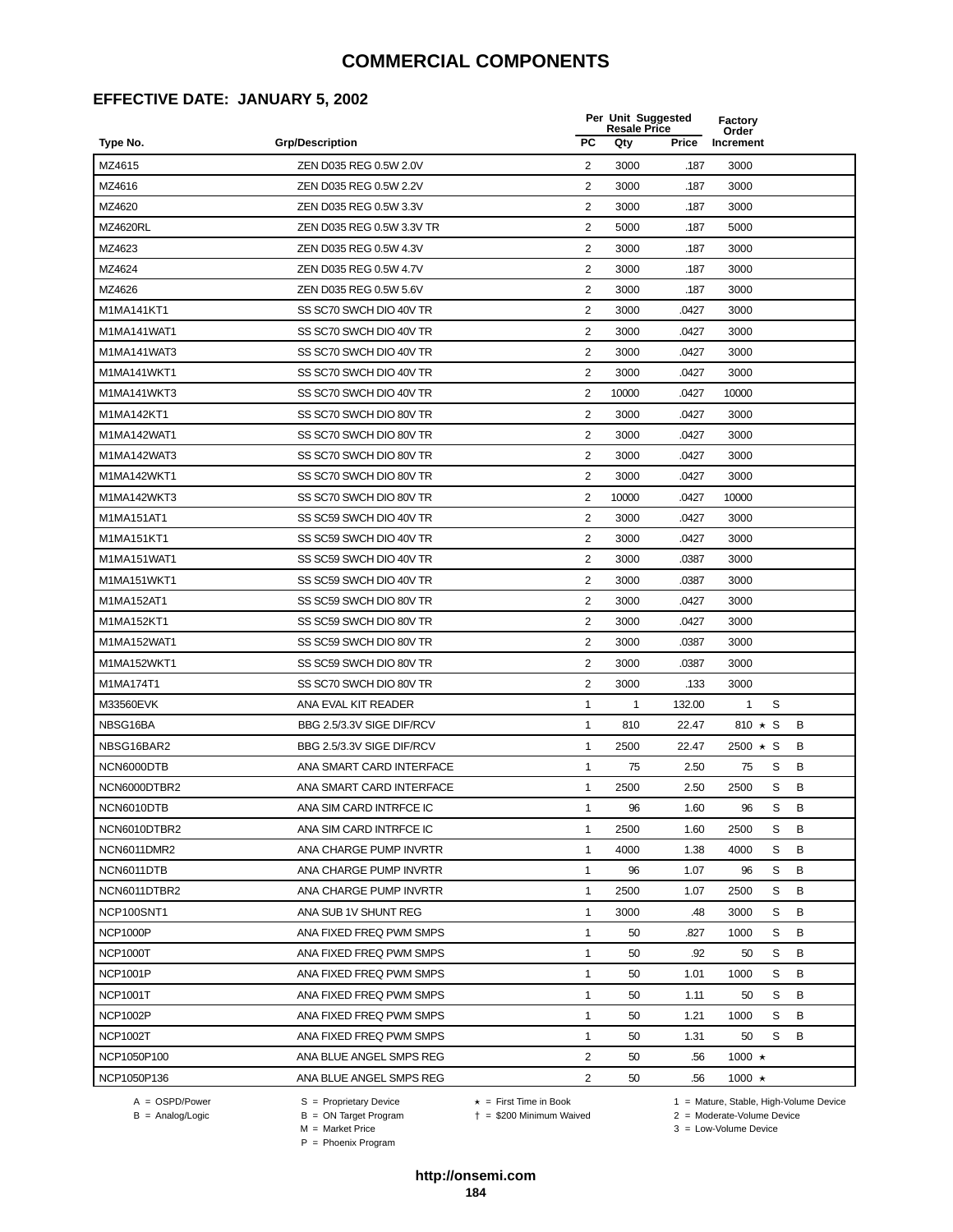## **EFFECTIVE DATE: JANUARY 5, 2002**

|                 |                           |                | Per Unit Suggested<br><b>Resale Price</b> |        | <b>Factory</b><br>Order |   |   |  |
|-----------------|---------------------------|----------------|-------------------------------------------|--------|-------------------------|---|---|--|
| Type No.        | <b>Grp/Description</b>    | <b>PC</b>      | Qty                                       | Price  | Increment               |   |   |  |
| MZ4615          | ZEN D035 REG 0.5W 2.0V    | $\overline{2}$ | 3000                                      | .187   | 3000                    |   |   |  |
| MZ4616          | ZEN D035 REG 0.5W 2.2V    | 2              | 3000                                      | .187   | 3000                    |   |   |  |
| MZ4620          | ZEN D035 REG 0.5W 3.3V    | 2              | 3000                                      | .187   | 3000                    |   |   |  |
| <b>MZ4620RL</b> | ZEN D035 REG 0.5W 3.3V TR | $\overline{2}$ | 5000                                      | .187   | 5000                    |   |   |  |
| MZ4623          | ZEN D035 REG 0.5W 4.3V    | $\overline{2}$ | 3000                                      | .187   | 3000                    |   |   |  |
| MZ4624          | ZEN D035 REG 0.5W 4.7V    | 2              | 3000                                      | .187   | 3000                    |   |   |  |
| MZ4626          | ZEN D035 REG 0.5W 5.6V    | 2              | 3000                                      | .187   | 3000                    |   |   |  |
| M1MA141KT1      | SS SC70 SWCH DIO 40V TR   | 2              | 3000                                      | .0427  | 3000                    |   |   |  |
| M1MA141WAT1     | SS SC70 SWCH DIO 40V TR   | 2              | 3000                                      | .0427  | 3000                    |   |   |  |
| M1MA141WAT3     | SS SC70 SWCH DIO 40V TR   | 2              | 3000                                      | .0427  | 3000                    |   |   |  |
| M1MA141WKT1     | SS SC70 SWCH DIO 40V TR   | 2              | 3000                                      | .0427  | 3000                    |   |   |  |
| M1MA141WKT3     | SS SC70 SWCH DIO 40V TR   | $\overline{2}$ | 10000                                     | .0427  | 10000                   |   |   |  |
| M1MA142KT1      | SS SC70 SWCH DIO 80V TR   | 2              | 3000                                      | .0427  | 3000                    |   |   |  |
| M1MA142WAT1     | SS SC70 SWCH DIO 80V TR   | $\sqrt{2}$     | 3000                                      | .0427  | 3000                    |   |   |  |
| M1MA142WAT3     | SS SC70 SWCH DIO 80V TR   | 2              | 3000                                      | .0427  | 3000                    |   |   |  |
| M1MA142WKT1     | SS SC70 SWCH DIO 80V TR   | 2              | 3000                                      | .0427  | 3000                    |   |   |  |
| M1MA142WKT3     | SS SC70 SWCH DIO 80V TR   | $\overline{2}$ | 10000                                     | .0427  | 10000                   |   |   |  |
| M1MA151AT1      | SS SC59 SWCH DIO 40V TR   | $\overline{c}$ | 3000                                      | .0427  | 3000                    |   |   |  |
| M1MA151KT1      | SS SC59 SWCH DIO 40V TR   | 2              | 3000                                      | .0427  | 3000                    |   |   |  |
| M1MA151WAT1     | SS SC59 SWCH DIO 40V TR   | 2              | 3000                                      | .0387  | 3000                    |   |   |  |
| M1MA151WKT1     | SS SC59 SWCH DIO 40V TR   | 2              | 3000                                      | .0387  | 3000                    |   |   |  |
| M1MA152AT1      | SS SC59 SWCH DIO 80V TR   | 2              | 3000                                      | .0427  | 3000                    |   |   |  |
| M1MA152KT1      | SS SC59 SWCH DIO 80V TR   | $\sqrt{2}$     | 3000                                      | .0427  | 3000                    |   |   |  |
| M1MA152WAT1     | SS SC59 SWCH DIO 80V TR   | 2              | 3000                                      | .0387  | 3000                    |   |   |  |
| M1MA152WKT1     | SS SC59 SWCH DIO 80V TR   | 2              | 3000                                      | .0387  | 3000                    |   |   |  |
| M1MA174T1       | SS SC70 SWCH DIO 80V TR   | 2              | 3000                                      | .133   | 3000                    |   |   |  |
| M33560EVK       | ANA EVAL KIT READER       | 1              | 1                                         | 132.00 | 1                       | S |   |  |
| NBSG16BA        | BBG 2.5/3.3V SIGE DIF/RCV | 1              | 810                                       | 22.47  | 810 $\star$ S           |   | B |  |
| NBSG16BAR2      | BBG 2.5/3.3V SIGE DIF/RCV | 1              | 2500                                      | 22.47  | 2500 $\star$ S          |   | B |  |
| NCN6000DTB      | ANA SMART CARD INTERFACE  | 1              | 75                                        | 2.50   | 75                      | S | В |  |
| NCN6000DTBR2    | ANA SMART CARD INTERFACE  | 1              | 2500                                      | 2.50   | 2500                    | S | B |  |
| NCN6010DTB      | ANA SIM CARD INTRFCE IC   | 1              | 96                                        | 1.60   | 96                      | S | B |  |
| NCN6010DTBR2    | ANA SIM CARD INTRFCE IC   | $\mathbf{1}$   | 2500                                      | 1.60   | 2500                    | S | В |  |
| NCN6011DMR2     | ANA CHARGE PUMP INVRTR    | 1              | 4000                                      | 1.38   | 4000                    | S | В |  |
| NCN6011DTB      | ANA CHARGE PUMP INVRTR    | $\mathbf{1}$   | 96                                        | 1.07   | 96                      | S | В |  |
| NCN6011DTBR2    | ANA CHARGE PUMP INVRTR    | 1              | 2500                                      | 1.07   | 2500                    | S | В |  |
| NCP100SNT1      | ANA SUB 1V SHUNT REG      | 1              | 3000                                      | .48    | 3000                    | S | В |  |
| <b>NCP1000P</b> | ANA FIXED FREQ PWM SMPS   | 1              | 50                                        | .827   | 1000                    | S | B |  |
| <b>NCP1000T</b> | ANA FIXED FREQ PWM SMPS   | 1              | 50                                        | .92    | 50                      | S | B |  |
| <b>NCP1001P</b> | ANA FIXED FREQ PWM SMPS   | 1              | 50                                        | 1.01   | 1000                    | S | B |  |
| <b>NCP1001T</b> | ANA FIXED FREQ PWM SMPS   | 1              | 50                                        | 1.11   | 50                      | S | В |  |
| <b>NCP1002P</b> | ANA FIXED FREQ PWM SMPS   | 1              | 50                                        | 1.21   | 1000                    | S | В |  |
| <b>NCP1002T</b> | ANA FIXED FREQ PWM SMPS   | 1              | 50                                        | 1.31   | 50                      | S | В |  |
| NCP1050P100     | ANA BLUE ANGEL SMPS REG   | $\overline{2}$ | 50                                        | .56    | 1000 $\star$            |   |   |  |
| NCP1050P136     | ANA BLUE ANGEL SMPS REG   | $\overline{2}$ | 50                                        | .56    | 1000 $\star$            |   |   |  |
|                 |                           |                |                                           |        |                         |   |   |  |

B = Analog/Logic<br>B = Analog/Logic<br>M = Market Price

A = OSPD/Power S = Proprietary Device  $\star$  = First Time in Book 1 = Mature, Stable, High-Volume Device

 $3 =$  Low-Volume Device

= \$200 Minimum Waived 2 = Moderate-Volume Device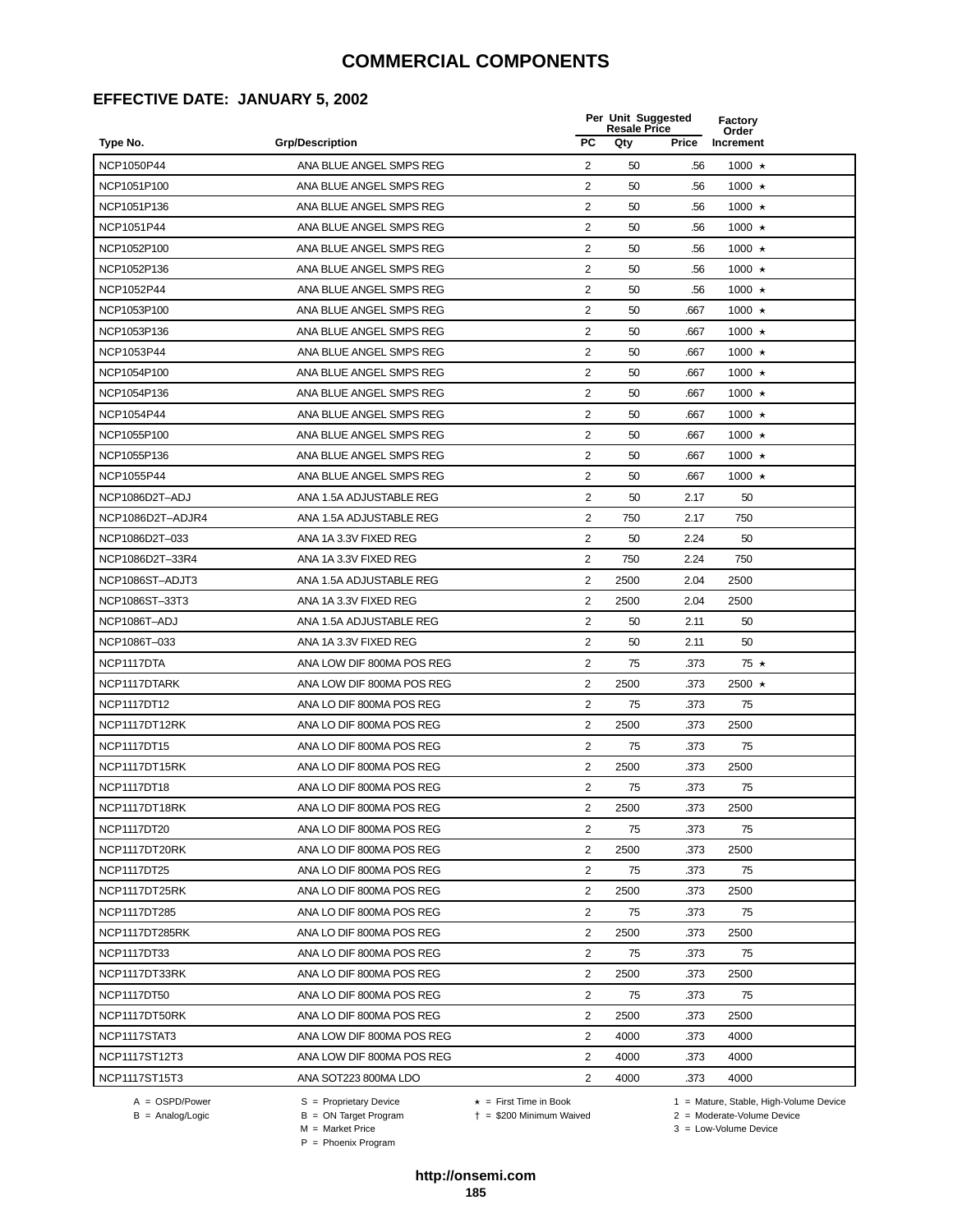### **EFFECTIVE DATE: JANUARY 5, 2002**

| <b>PC</b><br>Increment<br>Type No.<br><b>Grp/Description</b><br>Qty<br>Price<br>NCP1050P44<br>ANA BLUE ANGEL SMPS REG<br>2<br>1000 ★<br>50<br>.56<br>2<br>1000 ★<br>NCP1051P100<br>ANA BLUE ANGEL SMPS REG<br>50<br>.56<br>2<br>50<br>NCP1051P136<br>ANA BLUE ANGEL SMPS REG<br>.56<br>1000 $\star$<br>$\overline{2}$<br>NCP1051P44<br>ANA BLUE ANGEL SMPS REG<br>50<br>.56<br>1000 $\star$<br>$\sqrt{2}$<br>50<br>NCP1052P100<br>ANA BLUE ANGEL SMPS REG<br>.56<br>1000 $\star$<br>ANA BLUE ANGEL SMPS REG<br>2<br>50<br>NCP1052P136<br>.56<br>$1000 \star$<br>$\overline{2}$<br>50<br>NCP1052P44<br>ANA BLUE ANGEL SMPS REG<br>.56<br>1000 $\star$<br>2<br>1000 ★<br>NCP1053P100<br>ANA BLUE ANGEL SMPS REG<br>50<br>.667<br>2<br>NCP1053P136<br>ANA BLUE ANGEL SMPS REG<br>50<br>.667<br>1000 $\star$<br>NCP1053P44<br>$\overline{2}$<br>1000 ★<br>ANA BLUE ANGEL SMPS REG<br>50<br>.667<br>NCP1054P100<br>ANA BLUE ANGEL SMPS REG<br>2<br>50<br>.667<br>1000 $\star$<br>$\overline{2}$<br>50<br>NCP1054P136<br>ANA BLUE ANGEL SMPS REG<br>.667<br>1000 $\star$<br>$\overline{2}$<br>NCP1054P44<br>ANA BLUE ANGEL SMPS REG<br>50<br>.667<br>1000 $\star$<br>$\sqrt{2}$<br>NCP1055P100<br>ANA BLUE ANGEL SMPS REG<br>50<br>.667<br>1000 $\star$<br>ANA BLUE ANGEL SMPS REG<br>2<br>NCP1055P136<br>50<br>$1000 \star$<br>.667<br>$\overline{2}$<br>50<br>NCP1055P44<br>ANA BLUE ANGEL SMPS REG<br>.667<br>1000 $\star$<br>$\overline{2}$<br>NCP1086D2T-ADJ<br>ANA 1.5A ADJUSTABLE REG<br>50<br>2.17<br>50<br>$\overline{\mathbf{c}}$<br>NCP1086D2T-ADJR4<br>ANA 1.5A ADJUSTABLE REG<br>750<br>750<br>2.17<br>NCP1086D2T-033<br>ANA 1A 3.3V FIXED REG<br>$\overline{2}$<br>50<br>2.24<br>50<br>2<br>NCP1086D2T-33R4<br>ANA 1A 3.3V FIXED REG<br>750<br>2.24<br>750<br>2<br>NCP1086ST-ADJT3<br>ANA 1.5A ADJUSTABLE REG<br>2500<br>2.04<br>2500<br>2<br>NCP1086ST-33T3<br>ANA 1A 3.3V FIXED REG<br>2500<br>2.04<br>2500<br>NCP1086T-ADJ<br>$\overline{2}$<br>ANA 1.5A ADJUSTABLE REG<br>50<br>50<br>2.11<br>ANA 1A 3.3V FIXED REG<br>2<br>NCP1086T-033<br>50<br>2.11<br>50<br>2<br>75<br>$75 \star$<br>NCP1117DTA<br>ANA LOW DIF 800MA POS REG<br>.373<br>2<br>2500<br>2500 ★<br>NCP1117DTARK<br>ANA LOW DIF 800MA POS REG<br>.373<br>NCP1117DT12<br>$\overline{\mathbf{c}}$<br>ANA LO DIF 800MA POS REG<br>75<br>.373<br>75<br>NCP1117DT12RK<br>$\overline{2}$<br>2500<br>2500<br>ANA LO DIF 800MA POS REG<br>.373<br><b>NCP1117DT15</b><br>ANA LO DIF 800MA POS REG<br>2<br>75<br>.373<br>75<br>$\overline{2}$<br>NCP1117DT15RK<br>ANA LO DIF 800MA POS REG<br>2500<br>.373<br>2500<br>$\overline{2}$<br><b>NCP1117DT18</b><br>ANA LO DIF 800MA POS REG<br>75<br>.373<br>75<br>NCP1117DT18RK<br>2<br>2500<br>2500<br>ANA LO DIF 800MA POS REG<br>.373<br>$\overline{2}$<br><b>NCP1117DT20</b><br>ANA LO DIF 800MA POS REG<br>75<br>.373<br>75<br>2<br>NCP1117DT20RK<br>2500<br>.373<br>2500<br>ANA LO DIF 800MA POS REG<br>$\overline{2}$<br>75<br>NCP1117DT25<br>ANA LO DIF 800MA POS REG<br>.373<br>75<br>2<br>NCP1117DT25RK<br>2500<br>.373<br>2500<br>ANA LO DIF 800MA POS REG<br>2<br><b>NCP1117DT285</b><br>ANA LO DIF 800MA POS REG<br>75<br>.373<br>75<br>2<br>NCP1117DT285RK<br>ANA LO DIF 800MA POS REG<br>2500<br>.373<br>2500<br>$\overline{2}$<br>75<br><b>NCP1117DT33</b><br>ANA LO DIF 800MA POS REG<br>.373<br>75<br>2<br>NCP1117DT33RK<br>2500<br>.373<br>2500<br>ANA LO DIF 800MA POS REG<br>$\overline{2}$<br>NCP1117DT50<br>75<br>.373<br>ANA LO DIF 800MA POS REG<br>75<br>2<br>NCP1117DT50RK<br>2500<br>.373<br>2500<br>ANA LO DIF 800MA POS REG<br>2<br>4000<br>NCP1117STAT3<br>ANA LOW DIF 800MA POS REG<br>4000<br>.373<br>2<br>4000<br>4000<br>NCP1117ST12T3<br>ANA LOW DIF 800MA POS REG<br>.373<br>$\overline{2}$<br>NCP1117ST15T3<br>ANA SOT223 800MA LDO<br>4000<br>4000<br>.373 |  | Per Unit Suggested<br><b>Resale Price</b> | Factory<br>Order |  |
|----------------------------------------------------------------------------------------------------------------------------------------------------------------------------------------------------------------------------------------------------------------------------------------------------------------------------------------------------------------------------------------------------------------------------------------------------------------------------------------------------------------------------------------------------------------------------------------------------------------------------------------------------------------------------------------------------------------------------------------------------------------------------------------------------------------------------------------------------------------------------------------------------------------------------------------------------------------------------------------------------------------------------------------------------------------------------------------------------------------------------------------------------------------------------------------------------------------------------------------------------------------------------------------------------------------------------------------------------------------------------------------------------------------------------------------------------------------------------------------------------------------------------------------------------------------------------------------------------------------------------------------------------------------------------------------------------------------------------------------------------------------------------------------------------------------------------------------------------------------------------------------------------------------------------------------------------------------------------------------------------------------------------------------------------------------------------------------------------------------------------------------------------------------------------------------------------------------------------------------------------------------------------------------------------------------------------------------------------------------------------------------------------------------------------------------------------------------------------------------------------------------------------------------------------------------------------------------------------------------------------------------------------------------------------------------------------------------------------------------------------------------------------------------------------------------------------------------------------------------------------------------------------------------------------------------------------------------------------------------------------------------------------------------------------------------------------------------------------------------------------------------------------------------------------------------------------------------------------------------------------------------------------------------------------------------------------------------------------------------------------------------------------------------------------------------------------------------------------------------------------------------------------------------------------------------------------------------------------------------------------------------------------------------------------------------------------------------------------------------------------------------------------------------------------------------|--|-------------------------------------------|------------------|--|
|                                                                                                                                                                                                                                                                                                                                                                                                                                                                                                                                                                                                                                                                                                                                                                                                                                                                                                                                                                                                                                                                                                                                                                                                                                                                                                                                                                                                                                                                                                                                                                                                                                                                                                                                                                                                                                                                                                                                                                                                                                                                                                                                                                                                                                                                                                                                                                                                                                                                                                                                                                                                                                                                                                                                                                                                                                                                                                                                                                                                                                                                                                                                                                                                                                                                                                                                                                                                                                                                                                                                                                                                                                                                                                                                                                                                                |  |                                           |                  |  |
|                                                                                                                                                                                                                                                                                                                                                                                                                                                                                                                                                                                                                                                                                                                                                                                                                                                                                                                                                                                                                                                                                                                                                                                                                                                                                                                                                                                                                                                                                                                                                                                                                                                                                                                                                                                                                                                                                                                                                                                                                                                                                                                                                                                                                                                                                                                                                                                                                                                                                                                                                                                                                                                                                                                                                                                                                                                                                                                                                                                                                                                                                                                                                                                                                                                                                                                                                                                                                                                                                                                                                                                                                                                                                                                                                                                                                |  |                                           |                  |  |
|                                                                                                                                                                                                                                                                                                                                                                                                                                                                                                                                                                                                                                                                                                                                                                                                                                                                                                                                                                                                                                                                                                                                                                                                                                                                                                                                                                                                                                                                                                                                                                                                                                                                                                                                                                                                                                                                                                                                                                                                                                                                                                                                                                                                                                                                                                                                                                                                                                                                                                                                                                                                                                                                                                                                                                                                                                                                                                                                                                                                                                                                                                                                                                                                                                                                                                                                                                                                                                                                                                                                                                                                                                                                                                                                                                                                                |  |                                           |                  |  |
|                                                                                                                                                                                                                                                                                                                                                                                                                                                                                                                                                                                                                                                                                                                                                                                                                                                                                                                                                                                                                                                                                                                                                                                                                                                                                                                                                                                                                                                                                                                                                                                                                                                                                                                                                                                                                                                                                                                                                                                                                                                                                                                                                                                                                                                                                                                                                                                                                                                                                                                                                                                                                                                                                                                                                                                                                                                                                                                                                                                                                                                                                                                                                                                                                                                                                                                                                                                                                                                                                                                                                                                                                                                                                                                                                                                                                |  |                                           |                  |  |
|                                                                                                                                                                                                                                                                                                                                                                                                                                                                                                                                                                                                                                                                                                                                                                                                                                                                                                                                                                                                                                                                                                                                                                                                                                                                                                                                                                                                                                                                                                                                                                                                                                                                                                                                                                                                                                                                                                                                                                                                                                                                                                                                                                                                                                                                                                                                                                                                                                                                                                                                                                                                                                                                                                                                                                                                                                                                                                                                                                                                                                                                                                                                                                                                                                                                                                                                                                                                                                                                                                                                                                                                                                                                                                                                                                                                                |  |                                           |                  |  |
|                                                                                                                                                                                                                                                                                                                                                                                                                                                                                                                                                                                                                                                                                                                                                                                                                                                                                                                                                                                                                                                                                                                                                                                                                                                                                                                                                                                                                                                                                                                                                                                                                                                                                                                                                                                                                                                                                                                                                                                                                                                                                                                                                                                                                                                                                                                                                                                                                                                                                                                                                                                                                                                                                                                                                                                                                                                                                                                                                                                                                                                                                                                                                                                                                                                                                                                                                                                                                                                                                                                                                                                                                                                                                                                                                                                                                |  |                                           |                  |  |
|                                                                                                                                                                                                                                                                                                                                                                                                                                                                                                                                                                                                                                                                                                                                                                                                                                                                                                                                                                                                                                                                                                                                                                                                                                                                                                                                                                                                                                                                                                                                                                                                                                                                                                                                                                                                                                                                                                                                                                                                                                                                                                                                                                                                                                                                                                                                                                                                                                                                                                                                                                                                                                                                                                                                                                                                                                                                                                                                                                                                                                                                                                                                                                                                                                                                                                                                                                                                                                                                                                                                                                                                                                                                                                                                                                                                                |  |                                           |                  |  |
|                                                                                                                                                                                                                                                                                                                                                                                                                                                                                                                                                                                                                                                                                                                                                                                                                                                                                                                                                                                                                                                                                                                                                                                                                                                                                                                                                                                                                                                                                                                                                                                                                                                                                                                                                                                                                                                                                                                                                                                                                                                                                                                                                                                                                                                                                                                                                                                                                                                                                                                                                                                                                                                                                                                                                                                                                                                                                                                                                                                                                                                                                                                                                                                                                                                                                                                                                                                                                                                                                                                                                                                                                                                                                                                                                                                                                |  |                                           |                  |  |
|                                                                                                                                                                                                                                                                                                                                                                                                                                                                                                                                                                                                                                                                                                                                                                                                                                                                                                                                                                                                                                                                                                                                                                                                                                                                                                                                                                                                                                                                                                                                                                                                                                                                                                                                                                                                                                                                                                                                                                                                                                                                                                                                                                                                                                                                                                                                                                                                                                                                                                                                                                                                                                                                                                                                                                                                                                                                                                                                                                                                                                                                                                                                                                                                                                                                                                                                                                                                                                                                                                                                                                                                                                                                                                                                                                                                                |  |                                           |                  |  |
|                                                                                                                                                                                                                                                                                                                                                                                                                                                                                                                                                                                                                                                                                                                                                                                                                                                                                                                                                                                                                                                                                                                                                                                                                                                                                                                                                                                                                                                                                                                                                                                                                                                                                                                                                                                                                                                                                                                                                                                                                                                                                                                                                                                                                                                                                                                                                                                                                                                                                                                                                                                                                                                                                                                                                                                                                                                                                                                                                                                                                                                                                                                                                                                                                                                                                                                                                                                                                                                                                                                                                                                                                                                                                                                                                                                                                |  |                                           |                  |  |
|                                                                                                                                                                                                                                                                                                                                                                                                                                                                                                                                                                                                                                                                                                                                                                                                                                                                                                                                                                                                                                                                                                                                                                                                                                                                                                                                                                                                                                                                                                                                                                                                                                                                                                                                                                                                                                                                                                                                                                                                                                                                                                                                                                                                                                                                                                                                                                                                                                                                                                                                                                                                                                                                                                                                                                                                                                                                                                                                                                                                                                                                                                                                                                                                                                                                                                                                                                                                                                                                                                                                                                                                                                                                                                                                                                                                                |  |                                           |                  |  |
|                                                                                                                                                                                                                                                                                                                                                                                                                                                                                                                                                                                                                                                                                                                                                                                                                                                                                                                                                                                                                                                                                                                                                                                                                                                                                                                                                                                                                                                                                                                                                                                                                                                                                                                                                                                                                                                                                                                                                                                                                                                                                                                                                                                                                                                                                                                                                                                                                                                                                                                                                                                                                                                                                                                                                                                                                                                                                                                                                                                                                                                                                                                                                                                                                                                                                                                                                                                                                                                                                                                                                                                                                                                                                                                                                                                                                |  |                                           |                  |  |
|                                                                                                                                                                                                                                                                                                                                                                                                                                                                                                                                                                                                                                                                                                                                                                                                                                                                                                                                                                                                                                                                                                                                                                                                                                                                                                                                                                                                                                                                                                                                                                                                                                                                                                                                                                                                                                                                                                                                                                                                                                                                                                                                                                                                                                                                                                                                                                                                                                                                                                                                                                                                                                                                                                                                                                                                                                                                                                                                                                                                                                                                                                                                                                                                                                                                                                                                                                                                                                                                                                                                                                                                                                                                                                                                                                                                                |  |                                           |                  |  |
|                                                                                                                                                                                                                                                                                                                                                                                                                                                                                                                                                                                                                                                                                                                                                                                                                                                                                                                                                                                                                                                                                                                                                                                                                                                                                                                                                                                                                                                                                                                                                                                                                                                                                                                                                                                                                                                                                                                                                                                                                                                                                                                                                                                                                                                                                                                                                                                                                                                                                                                                                                                                                                                                                                                                                                                                                                                                                                                                                                                                                                                                                                                                                                                                                                                                                                                                                                                                                                                                                                                                                                                                                                                                                                                                                                                                                |  |                                           |                  |  |
|                                                                                                                                                                                                                                                                                                                                                                                                                                                                                                                                                                                                                                                                                                                                                                                                                                                                                                                                                                                                                                                                                                                                                                                                                                                                                                                                                                                                                                                                                                                                                                                                                                                                                                                                                                                                                                                                                                                                                                                                                                                                                                                                                                                                                                                                                                                                                                                                                                                                                                                                                                                                                                                                                                                                                                                                                                                                                                                                                                                                                                                                                                                                                                                                                                                                                                                                                                                                                                                                                                                                                                                                                                                                                                                                                                                                                |  |                                           |                  |  |
|                                                                                                                                                                                                                                                                                                                                                                                                                                                                                                                                                                                                                                                                                                                                                                                                                                                                                                                                                                                                                                                                                                                                                                                                                                                                                                                                                                                                                                                                                                                                                                                                                                                                                                                                                                                                                                                                                                                                                                                                                                                                                                                                                                                                                                                                                                                                                                                                                                                                                                                                                                                                                                                                                                                                                                                                                                                                                                                                                                                                                                                                                                                                                                                                                                                                                                                                                                                                                                                                                                                                                                                                                                                                                                                                                                                                                |  |                                           |                  |  |
|                                                                                                                                                                                                                                                                                                                                                                                                                                                                                                                                                                                                                                                                                                                                                                                                                                                                                                                                                                                                                                                                                                                                                                                                                                                                                                                                                                                                                                                                                                                                                                                                                                                                                                                                                                                                                                                                                                                                                                                                                                                                                                                                                                                                                                                                                                                                                                                                                                                                                                                                                                                                                                                                                                                                                                                                                                                                                                                                                                                                                                                                                                                                                                                                                                                                                                                                                                                                                                                                                                                                                                                                                                                                                                                                                                                                                |  |                                           |                  |  |
|                                                                                                                                                                                                                                                                                                                                                                                                                                                                                                                                                                                                                                                                                                                                                                                                                                                                                                                                                                                                                                                                                                                                                                                                                                                                                                                                                                                                                                                                                                                                                                                                                                                                                                                                                                                                                                                                                                                                                                                                                                                                                                                                                                                                                                                                                                                                                                                                                                                                                                                                                                                                                                                                                                                                                                                                                                                                                                                                                                                                                                                                                                                                                                                                                                                                                                                                                                                                                                                                                                                                                                                                                                                                                                                                                                                                                |  |                                           |                  |  |
|                                                                                                                                                                                                                                                                                                                                                                                                                                                                                                                                                                                                                                                                                                                                                                                                                                                                                                                                                                                                                                                                                                                                                                                                                                                                                                                                                                                                                                                                                                                                                                                                                                                                                                                                                                                                                                                                                                                                                                                                                                                                                                                                                                                                                                                                                                                                                                                                                                                                                                                                                                                                                                                                                                                                                                                                                                                                                                                                                                                                                                                                                                                                                                                                                                                                                                                                                                                                                                                                                                                                                                                                                                                                                                                                                                                                                |  |                                           |                  |  |
|                                                                                                                                                                                                                                                                                                                                                                                                                                                                                                                                                                                                                                                                                                                                                                                                                                                                                                                                                                                                                                                                                                                                                                                                                                                                                                                                                                                                                                                                                                                                                                                                                                                                                                                                                                                                                                                                                                                                                                                                                                                                                                                                                                                                                                                                                                                                                                                                                                                                                                                                                                                                                                                                                                                                                                                                                                                                                                                                                                                                                                                                                                                                                                                                                                                                                                                                                                                                                                                                                                                                                                                                                                                                                                                                                                                                                |  |                                           |                  |  |
|                                                                                                                                                                                                                                                                                                                                                                                                                                                                                                                                                                                                                                                                                                                                                                                                                                                                                                                                                                                                                                                                                                                                                                                                                                                                                                                                                                                                                                                                                                                                                                                                                                                                                                                                                                                                                                                                                                                                                                                                                                                                                                                                                                                                                                                                                                                                                                                                                                                                                                                                                                                                                                                                                                                                                                                                                                                                                                                                                                                                                                                                                                                                                                                                                                                                                                                                                                                                                                                                                                                                                                                                                                                                                                                                                                                                                |  |                                           |                  |  |
|                                                                                                                                                                                                                                                                                                                                                                                                                                                                                                                                                                                                                                                                                                                                                                                                                                                                                                                                                                                                                                                                                                                                                                                                                                                                                                                                                                                                                                                                                                                                                                                                                                                                                                                                                                                                                                                                                                                                                                                                                                                                                                                                                                                                                                                                                                                                                                                                                                                                                                                                                                                                                                                                                                                                                                                                                                                                                                                                                                                                                                                                                                                                                                                                                                                                                                                                                                                                                                                                                                                                                                                                                                                                                                                                                                                                                |  |                                           |                  |  |
|                                                                                                                                                                                                                                                                                                                                                                                                                                                                                                                                                                                                                                                                                                                                                                                                                                                                                                                                                                                                                                                                                                                                                                                                                                                                                                                                                                                                                                                                                                                                                                                                                                                                                                                                                                                                                                                                                                                                                                                                                                                                                                                                                                                                                                                                                                                                                                                                                                                                                                                                                                                                                                                                                                                                                                                                                                                                                                                                                                                                                                                                                                                                                                                                                                                                                                                                                                                                                                                                                                                                                                                                                                                                                                                                                                                                                |  |                                           |                  |  |
|                                                                                                                                                                                                                                                                                                                                                                                                                                                                                                                                                                                                                                                                                                                                                                                                                                                                                                                                                                                                                                                                                                                                                                                                                                                                                                                                                                                                                                                                                                                                                                                                                                                                                                                                                                                                                                                                                                                                                                                                                                                                                                                                                                                                                                                                                                                                                                                                                                                                                                                                                                                                                                                                                                                                                                                                                                                                                                                                                                                                                                                                                                                                                                                                                                                                                                                                                                                                                                                                                                                                                                                                                                                                                                                                                                                                                |  |                                           |                  |  |
|                                                                                                                                                                                                                                                                                                                                                                                                                                                                                                                                                                                                                                                                                                                                                                                                                                                                                                                                                                                                                                                                                                                                                                                                                                                                                                                                                                                                                                                                                                                                                                                                                                                                                                                                                                                                                                                                                                                                                                                                                                                                                                                                                                                                                                                                                                                                                                                                                                                                                                                                                                                                                                                                                                                                                                                                                                                                                                                                                                                                                                                                                                                                                                                                                                                                                                                                                                                                                                                                                                                                                                                                                                                                                                                                                                                                                |  |                                           |                  |  |
|                                                                                                                                                                                                                                                                                                                                                                                                                                                                                                                                                                                                                                                                                                                                                                                                                                                                                                                                                                                                                                                                                                                                                                                                                                                                                                                                                                                                                                                                                                                                                                                                                                                                                                                                                                                                                                                                                                                                                                                                                                                                                                                                                                                                                                                                                                                                                                                                                                                                                                                                                                                                                                                                                                                                                                                                                                                                                                                                                                                                                                                                                                                                                                                                                                                                                                                                                                                                                                                                                                                                                                                                                                                                                                                                                                                                                |  |                                           |                  |  |
|                                                                                                                                                                                                                                                                                                                                                                                                                                                                                                                                                                                                                                                                                                                                                                                                                                                                                                                                                                                                                                                                                                                                                                                                                                                                                                                                                                                                                                                                                                                                                                                                                                                                                                                                                                                                                                                                                                                                                                                                                                                                                                                                                                                                                                                                                                                                                                                                                                                                                                                                                                                                                                                                                                                                                                                                                                                                                                                                                                                                                                                                                                                                                                                                                                                                                                                                                                                                                                                                                                                                                                                                                                                                                                                                                                                                                |  |                                           |                  |  |
|                                                                                                                                                                                                                                                                                                                                                                                                                                                                                                                                                                                                                                                                                                                                                                                                                                                                                                                                                                                                                                                                                                                                                                                                                                                                                                                                                                                                                                                                                                                                                                                                                                                                                                                                                                                                                                                                                                                                                                                                                                                                                                                                                                                                                                                                                                                                                                                                                                                                                                                                                                                                                                                                                                                                                                                                                                                                                                                                                                                                                                                                                                                                                                                                                                                                                                                                                                                                                                                                                                                                                                                                                                                                                                                                                                                                                |  |                                           |                  |  |
|                                                                                                                                                                                                                                                                                                                                                                                                                                                                                                                                                                                                                                                                                                                                                                                                                                                                                                                                                                                                                                                                                                                                                                                                                                                                                                                                                                                                                                                                                                                                                                                                                                                                                                                                                                                                                                                                                                                                                                                                                                                                                                                                                                                                                                                                                                                                                                                                                                                                                                                                                                                                                                                                                                                                                                                                                                                                                                                                                                                                                                                                                                                                                                                                                                                                                                                                                                                                                                                                                                                                                                                                                                                                                                                                                                                                                |  |                                           |                  |  |
|                                                                                                                                                                                                                                                                                                                                                                                                                                                                                                                                                                                                                                                                                                                                                                                                                                                                                                                                                                                                                                                                                                                                                                                                                                                                                                                                                                                                                                                                                                                                                                                                                                                                                                                                                                                                                                                                                                                                                                                                                                                                                                                                                                                                                                                                                                                                                                                                                                                                                                                                                                                                                                                                                                                                                                                                                                                                                                                                                                                                                                                                                                                                                                                                                                                                                                                                                                                                                                                                                                                                                                                                                                                                                                                                                                                                                |  |                                           |                  |  |
|                                                                                                                                                                                                                                                                                                                                                                                                                                                                                                                                                                                                                                                                                                                                                                                                                                                                                                                                                                                                                                                                                                                                                                                                                                                                                                                                                                                                                                                                                                                                                                                                                                                                                                                                                                                                                                                                                                                                                                                                                                                                                                                                                                                                                                                                                                                                                                                                                                                                                                                                                                                                                                                                                                                                                                                                                                                                                                                                                                                                                                                                                                                                                                                                                                                                                                                                                                                                                                                                                                                                                                                                                                                                                                                                                                                                                |  |                                           |                  |  |
|                                                                                                                                                                                                                                                                                                                                                                                                                                                                                                                                                                                                                                                                                                                                                                                                                                                                                                                                                                                                                                                                                                                                                                                                                                                                                                                                                                                                                                                                                                                                                                                                                                                                                                                                                                                                                                                                                                                                                                                                                                                                                                                                                                                                                                                                                                                                                                                                                                                                                                                                                                                                                                                                                                                                                                                                                                                                                                                                                                                                                                                                                                                                                                                                                                                                                                                                                                                                                                                                                                                                                                                                                                                                                                                                                                                                                |  |                                           |                  |  |
|                                                                                                                                                                                                                                                                                                                                                                                                                                                                                                                                                                                                                                                                                                                                                                                                                                                                                                                                                                                                                                                                                                                                                                                                                                                                                                                                                                                                                                                                                                                                                                                                                                                                                                                                                                                                                                                                                                                                                                                                                                                                                                                                                                                                                                                                                                                                                                                                                                                                                                                                                                                                                                                                                                                                                                                                                                                                                                                                                                                                                                                                                                                                                                                                                                                                                                                                                                                                                                                                                                                                                                                                                                                                                                                                                                                                                |  |                                           |                  |  |
|                                                                                                                                                                                                                                                                                                                                                                                                                                                                                                                                                                                                                                                                                                                                                                                                                                                                                                                                                                                                                                                                                                                                                                                                                                                                                                                                                                                                                                                                                                                                                                                                                                                                                                                                                                                                                                                                                                                                                                                                                                                                                                                                                                                                                                                                                                                                                                                                                                                                                                                                                                                                                                                                                                                                                                                                                                                                                                                                                                                                                                                                                                                                                                                                                                                                                                                                                                                                                                                                                                                                                                                                                                                                                                                                                                                                                |  |                                           |                  |  |
|                                                                                                                                                                                                                                                                                                                                                                                                                                                                                                                                                                                                                                                                                                                                                                                                                                                                                                                                                                                                                                                                                                                                                                                                                                                                                                                                                                                                                                                                                                                                                                                                                                                                                                                                                                                                                                                                                                                                                                                                                                                                                                                                                                                                                                                                                                                                                                                                                                                                                                                                                                                                                                                                                                                                                                                                                                                                                                                                                                                                                                                                                                                                                                                                                                                                                                                                                                                                                                                                                                                                                                                                                                                                                                                                                                                                                |  |                                           |                  |  |
|                                                                                                                                                                                                                                                                                                                                                                                                                                                                                                                                                                                                                                                                                                                                                                                                                                                                                                                                                                                                                                                                                                                                                                                                                                                                                                                                                                                                                                                                                                                                                                                                                                                                                                                                                                                                                                                                                                                                                                                                                                                                                                                                                                                                                                                                                                                                                                                                                                                                                                                                                                                                                                                                                                                                                                                                                                                                                                                                                                                                                                                                                                                                                                                                                                                                                                                                                                                                                                                                                                                                                                                                                                                                                                                                                                                                                |  |                                           |                  |  |
|                                                                                                                                                                                                                                                                                                                                                                                                                                                                                                                                                                                                                                                                                                                                                                                                                                                                                                                                                                                                                                                                                                                                                                                                                                                                                                                                                                                                                                                                                                                                                                                                                                                                                                                                                                                                                                                                                                                                                                                                                                                                                                                                                                                                                                                                                                                                                                                                                                                                                                                                                                                                                                                                                                                                                                                                                                                                                                                                                                                                                                                                                                                                                                                                                                                                                                                                                                                                                                                                                                                                                                                                                                                                                                                                                                                                                |  |                                           |                  |  |
|                                                                                                                                                                                                                                                                                                                                                                                                                                                                                                                                                                                                                                                                                                                                                                                                                                                                                                                                                                                                                                                                                                                                                                                                                                                                                                                                                                                                                                                                                                                                                                                                                                                                                                                                                                                                                                                                                                                                                                                                                                                                                                                                                                                                                                                                                                                                                                                                                                                                                                                                                                                                                                                                                                                                                                                                                                                                                                                                                                                                                                                                                                                                                                                                                                                                                                                                                                                                                                                                                                                                                                                                                                                                                                                                                                                                                |  |                                           |                  |  |
|                                                                                                                                                                                                                                                                                                                                                                                                                                                                                                                                                                                                                                                                                                                                                                                                                                                                                                                                                                                                                                                                                                                                                                                                                                                                                                                                                                                                                                                                                                                                                                                                                                                                                                                                                                                                                                                                                                                                                                                                                                                                                                                                                                                                                                                                                                                                                                                                                                                                                                                                                                                                                                                                                                                                                                                                                                                                                                                                                                                                                                                                                                                                                                                                                                                                                                                                                                                                                                                                                                                                                                                                                                                                                                                                                                                                                |  |                                           |                  |  |
|                                                                                                                                                                                                                                                                                                                                                                                                                                                                                                                                                                                                                                                                                                                                                                                                                                                                                                                                                                                                                                                                                                                                                                                                                                                                                                                                                                                                                                                                                                                                                                                                                                                                                                                                                                                                                                                                                                                                                                                                                                                                                                                                                                                                                                                                                                                                                                                                                                                                                                                                                                                                                                                                                                                                                                                                                                                                                                                                                                                                                                                                                                                                                                                                                                                                                                                                                                                                                                                                                                                                                                                                                                                                                                                                                                                                                |  |                                           |                  |  |
|                                                                                                                                                                                                                                                                                                                                                                                                                                                                                                                                                                                                                                                                                                                                                                                                                                                                                                                                                                                                                                                                                                                                                                                                                                                                                                                                                                                                                                                                                                                                                                                                                                                                                                                                                                                                                                                                                                                                                                                                                                                                                                                                                                                                                                                                                                                                                                                                                                                                                                                                                                                                                                                                                                                                                                                                                                                                                                                                                                                                                                                                                                                                                                                                                                                                                                                                                                                                                                                                                                                                                                                                                                                                                                                                                                                                                |  |                                           |                  |  |
|                                                                                                                                                                                                                                                                                                                                                                                                                                                                                                                                                                                                                                                                                                                                                                                                                                                                                                                                                                                                                                                                                                                                                                                                                                                                                                                                                                                                                                                                                                                                                                                                                                                                                                                                                                                                                                                                                                                                                                                                                                                                                                                                                                                                                                                                                                                                                                                                                                                                                                                                                                                                                                                                                                                                                                                                                                                                                                                                                                                                                                                                                                                                                                                                                                                                                                                                                                                                                                                                                                                                                                                                                                                                                                                                                                                                                |  |                                           |                  |  |
|                                                                                                                                                                                                                                                                                                                                                                                                                                                                                                                                                                                                                                                                                                                                                                                                                                                                                                                                                                                                                                                                                                                                                                                                                                                                                                                                                                                                                                                                                                                                                                                                                                                                                                                                                                                                                                                                                                                                                                                                                                                                                                                                                                                                                                                                                                                                                                                                                                                                                                                                                                                                                                                                                                                                                                                                                                                                                                                                                                                                                                                                                                                                                                                                                                                                                                                                                                                                                                                                                                                                                                                                                                                                                                                                                                                                                |  |                                           |                  |  |
|                                                                                                                                                                                                                                                                                                                                                                                                                                                                                                                                                                                                                                                                                                                                                                                                                                                                                                                                                                                                                                                                                                                                                                                                                                                                                                                                                                                                                                                                                                                                                                                                                                                                                                                                                                                                                                                                                                                                                                                                                                                                                                                                                                                                                                                                                                                                                                                                                                                                                                                                                                                                                                                                                                                                                                                                                                                                                                                                                                                                                                                                                                                                                                                                                                                                                                                                                                                                                                                                                                                                                                                                                                                                                                                                                                                                                |  |                                           |                  |  |
|                                                                                                                                                                                                                                                                                                                                                                                                                                                                                                                                                                                                                                                                                                                                                                                                                                                                                                                                                                                                                                                                                                                                                                                                                                                                                                                                                                                                                                                                                                                                                                                                                                                                                                                                                                                                                                                                                                                                                                                                                                                                                                                                                                                                                                                                                                                                                                                                                                                                                                                                                                                                                                                                                                                                                                                                                                                                                                                                                                                                                                                                                                                                                                                                                                                                                                                                                                                                                                                                                                                                                                                                                                                                                                                                                                                                                |  |                                           |                  |  |
|                                                                                                                                                                                                                                                                                                                                                                                                                                                                                                                                                                                                                                                                                                                                                                                                                                                                                                                                                                                                                                                                                                                                                                                                                                                                                                                                                                                                                                                                                                                                                                                                                                                                                                                                                                                                                                                                                                                                                                                                                                                                                                                                                                                                                                                                                                                                                                                                                                                                                                                                                                                                                                                                                                                                                                                                                                                                                                                                                                                                                                                                                                                                                                                                                                                                                                                                                                                                                                                                                                                                                                                                                                                                                                                                                                                                                |  |                                           |                  |  |

 $B = \text{Analog/Logic}$ <br>B = ON Target Program<br> $M = \text{Market Price}$ 

A = OSPD/Power S = Proprietary Device  $\star$  = First Time in Book 1 = Mature, Stable, High-Volume Device

 = \$200 Minimum Waived 2 = Moderate-Volume Device  $3 =$  Low-Volume Device

P = Phoenix Program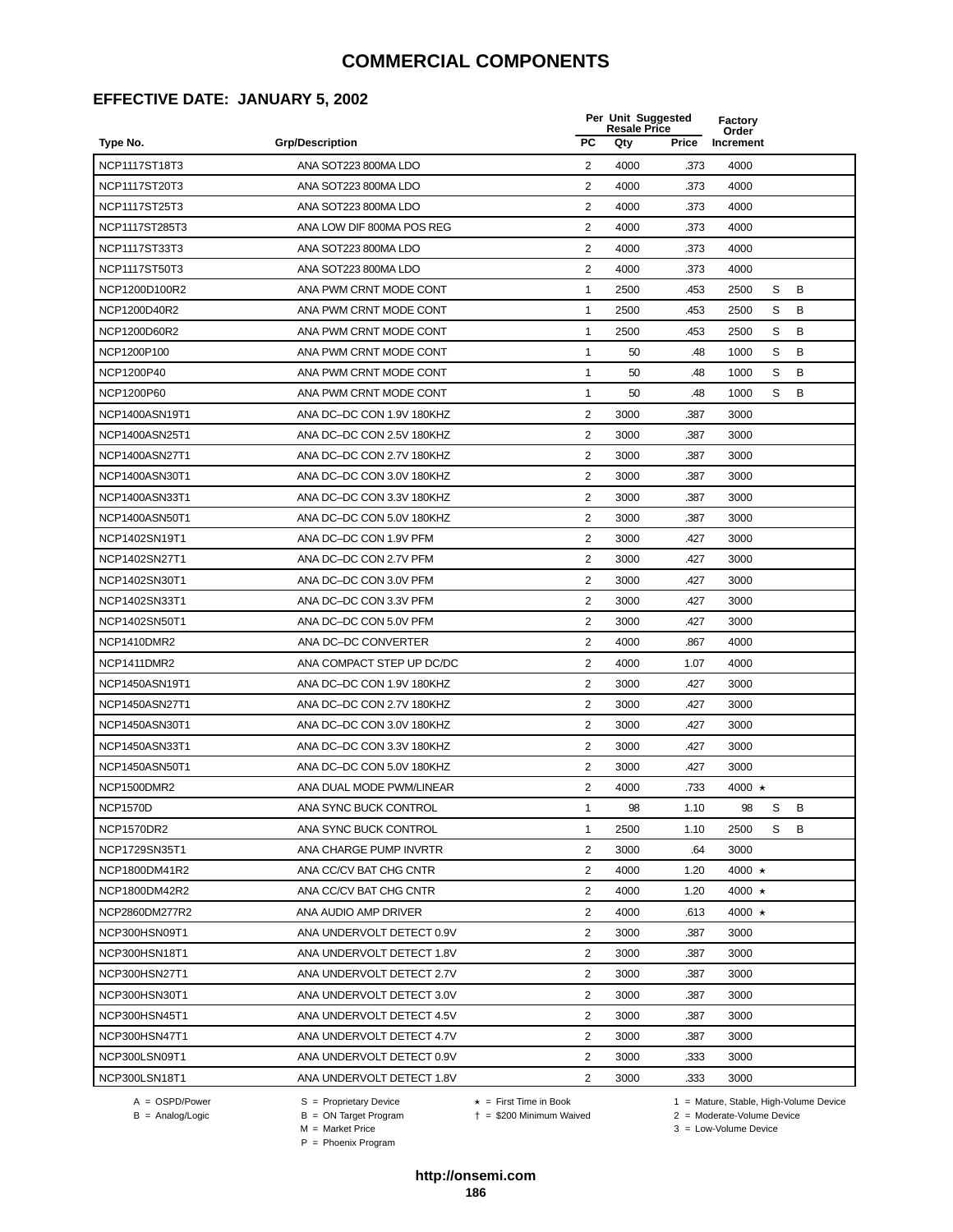## **EFFECTIVE DATE: JANUARY 5, 2002**

|                 |                           |                | Per Unit Suggested<br><b>Resale Price</b> |       | Factory<br>Order |   |   |
|-----------------|---------------------------|----------------|-------------------------------------------|-------|------------------|---|---|
| Type No.        | <b>Grp/Description</b>    | <b>PC</b>      | Qty                                       | Price | Increment        |   |   |
| NCP1117ST18T3   | ANA SOT223 800MA LDO      | $\overline{2}$ | 4000                                      | .373  | 4000             |   |   |
| NCP1117ST20T3   | ANA SOT223 800MA LDO      | 2              | 4000                                      | .373  | 4000             |   |   |
| NCP1117ST25T3   | ANA SOT223 800MA LDO      | 2              | 4000                                      | .373  | 4000             |   |   |
| NCP1117ST285T3  | ANA LOW DIF 800MA POS REG | 2              | 4000                                      | .373  | 4000             |   |   |
| NCP1117ST33T3   | ANA SOT223 800MA LDO      | $\overline{2}$ | 4000                                      | .373  | 4000             |   |   |
| NCP1117ST50T3   | ANA SOT223 800MA LDO      | 2              | 4000                                      | .373  | 4000             |   |   |
| NCP1200D100R2   | ANA PWM CRNT MODE CONT    | 1              | 2500                                      | .453  | 2500             | S | B |
| NCP1200D40R2    | ANA PWM CRNT MODE CONT    | $\mathbf{1}$   | 2500                                      | .453  | 2500             | S | B |
| NCP1200D60R2    | ANA PWM CRNT MODE CONT    | 1              | 2500                                      | .453  | 2500             | S | B |
| NCP1200P100     | ANA PWM CRNT MODE CONT    | $\mathbf{1}$   | 50                                        | .48   | 1000             | S | B |
| NCP1200P40      | ANA PWM CRNT MODE CONT    | 1              | 50                                        | .48   | 1000             | S | B |
| NCP1200P60      | ANA PWM CRNT MODE CONT    | 1              | 50                                        | .48   | 1000             | S | В |
| NCP1400ASN19T1  | ANA DC-DC CON 1.9V 180KHZ | 2              | 3000                                      | .387  | 3000             |   |   |
| NCP1400ASN25T1  | ANA DC-DC CON 2.5V 180KHZ | $\sqrt{2}$     | 3000                                      | .387  | 3000             |   |   |
| NCP1400ASN27T1  | ANA DC-DC CON 2.7V 180KHZ | $\overline{2}$ | 3000                                      | .387  | 3000             |   |   |
| NCP1400ASN30T1  | ANA DC-DC CON 3.0V 180KHZ | 2              | 3000                                      | .387  | 3000             |   |   |
| NCP1400ASN33T1  | ANA DC-DC CON 3.3V 180KHZ | 2              | 3000                                      | .387  | 3000             |   |   |
| NCP1400ASN50T1  | ANA DC-DC CON 5.0V 180KHZ | 2              | 3000                                      | .387  | 3000             |   |   |
| NCP1402SN19T1   | ANA DC-DC CON 1.9V PFM    | $\overline{2}$ | 3000                                      | .427  | 3000             |   |   |
| NCP1402SN27T1   | ANA DC-DC CON 2.7V PFM    | 2              | 3000                                      | .427  | 3000             |   |   |
| NCP1402SN30T1   | ANA DC-DC CON 3.0V PFM    | 2              | 3000                                      | .427  | 3000             |   |   |
| NCP1402SN33T1   | ANA DC-DC CON 3.3V PFM    | $\overline{2}$ | 3000                                      | .427  | 3000             |   |   |
| NCP1402SN50T1   | ANA DC-DC CON 5.0V PFM    | $\overline{2}$ | 3000                                      | .427  | 3000             |   |   |
| NCP1410DMR2     | ANA DC-DC CONVERTER       | $\overline{2}$ | 4000                                      | .867  | 4000             |   |   |
| NCP1411DMR2     | ANA COMPACT STEP UP DC/DC | $\overline{2}$ | 4000                                      | 1.07  | 4000             |   |   |
| NCP1450ASN19T1  | ANA DC-DC CON 1.9V 180KHZ | 2              | 3000                                      | .427  | 3000             |   |   |
| NCP1450ASN27T1  | ANA DC-DC CON 2.7V 180KHZ | 2              | 3000                                      | .427  | 3000             |   |   |
| NCP1450ASN30T1  | ANA DC-DC CON 3.0V 180KHZ | 2              | 3000                                      | .427  | 3000             |   |   |
| NCP1450ASN33T1  | ANA DC-DC CON 3.3V 180KHZ | 2              | 3000                                      | .427  | 3000             |   |   |
| NCP1450ASN50T1  | ANA DC-DC CON 5.0V 180KHZ | 2              | 3000                                      | .427  | 3000             |   |   |
| NCP1500DMR2     | ANA DUAL MODE PWM/LINEAR  | $\overline{2}$ | 4000                                      | .733  | 4000 $\star$     |   |   |
| <b>NCP1570D</b> | ANA SYNC BUCK CONTROL     | 1              | 98                                        | 1.10  | 98               | S | В |
| NCP1570DR2      | ANA SYNC BUCK CONTROL     | $\mathbf{1}$   | 2500                                      | 1.10  | 2500             | S | В |
| NCP1729SN35T1   | ANA CHARGE PUMP INVRTR    | 2              | 3000                                      | .64   | 3000             |   |   |
| NCP1800DM41R2   | ANA CC/CV BAT CHG CNTR    | 2              | 4000                                      | 1.20  | 4000 $\star$     |   |   |
| NCP1800DM42R2   | ANA CC/CV BAT CHG CNTR    | 2              | 4000                                      | 1.20  | 4000 $\star$     |   |   |
| NCP2860DM277R2  | ANA AUDIO AMP DRIVER      | 2              | 4000                                      | .613  | 4000 $\star$     |   |   |
| NCP300HSN09T1   | ANA UNDERVOLT DETECT 0.9V | 2              | 3000                                      | .387  | 3000             |   |   |
| NCP300HSN18T1   | ANA UNDERVOLT DETECT 1.8V | $\overline{2}$ | 3000                                      | .387  | 3000             |   |   |
| NCP300HSN27T1   | ANA UNDERVOLT DETECT 2.7V | 2              | 3000                                      | .387  | 3000             |   |   |
| NCP300HSN30T1   | ANA UNDERVOLT DETECT 3.0V | 2              | 3000                                      | .387  | 3000             |   |   |
| NCP300HSN45T1   | ANA UNDERVOLT DETECT 4.5V | 2              | 3000                                      | .387  | 3000             |   |   |
| NCP300HSN47T1   | ANA UNDERVOLT DETECT 4.7V | 2              | 3000                                      | .387  | 3000             |   |   |
| NCP300LSN09T1   | ANA UNDERVOLT DETECT 0.9V | 2              | 3000                                      | .333  | 3000             |   |   |
| NCP300LSN18T1   | ANA UNDERVOLT DETECT 1.8V | 2              | 3000                                      | .333  | 3000             |   |   |
|                 |                           |                |                                           |       |                  |   |   |

 $B = \text{Analog/Logic}$ <br>B = ON Target Program<br> $M = \text{Market Price}$ 

A = OSPD/Power S = Proprietary Device  $\star$  = First Time in Book 1 = Mature, Stable, High-Volume Device

 = \$200 Minimum Waived 2 = Moderate-Volume Device  $3 =$  Low-Volume Device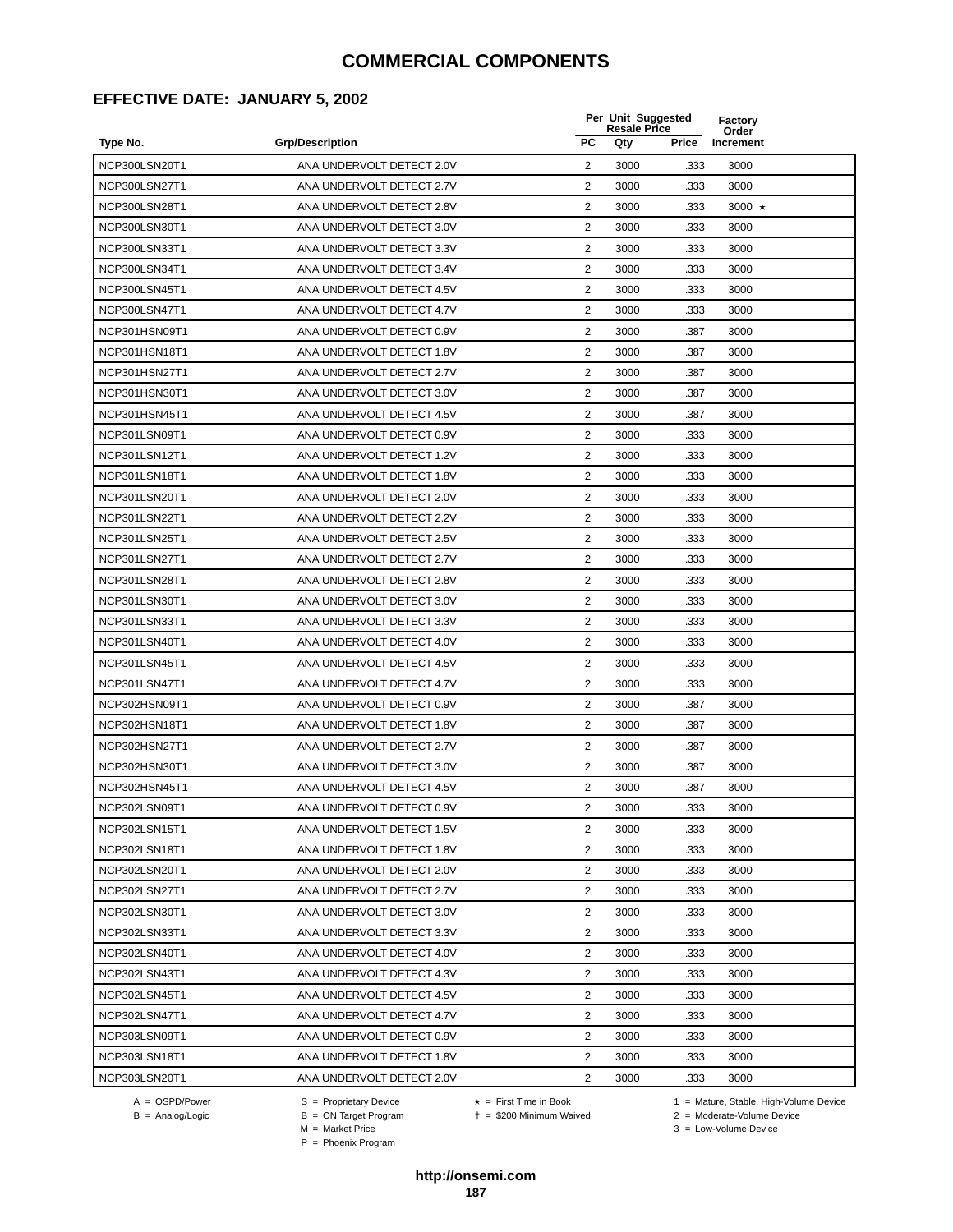### **EFFECTIVE DATE: JANUARY 5, 2002**

|               |                           |                         | Per Unit Suggested<br><b>Resale Price</b> |       | Factory<br>Order |
|---------------|---------------------------|-------------------------|-------------------------------------------|-------|------------------|
| Type No.      | <b>Grp/Description</b>    | <b>PC</b>               | Qty                                       | Price | Increment        |
| NCP300LSN20T1 | ANA UNDERVOLT DETECT 2.0V | 2                       | 3000                                      | .333  | 3000             |
| NCP300LSN27T1 | ANA UNDERVOLT DETECT 2.7V | 2                       | 3000                                      | .333  | 3000             |
| NCP300LSN28T1 | ANA UNDERVOLT DETECT 2.8V | 2                       | 3000                                      | .333  | 3000 $\star$     |
| NCP300LSN30T1 | ANA UNDERVOLT DETECT 3.0V | 2                       | 3000                                      | .333  | 3000             |
| NCP300LSN33T1 | ANA UNDERVOLT DETECT 3.3V | $\overline{\mathbf{c}}$ | 3000                                      | .333  | 3000             |
| NCP300LSN34T1 | ANA UNDERVOLT DETECT 3.4V | $\overline{\mathbf{c}}$ | 3000                                      | .333  | 3000             |
| NCP300LSN45T1 | ANA UNDERVOLT DETECT 4.5V | $\overline{2}$          | 3000                                      | .333  | 3000             |
| NCP300LSN47T1 | ANA UNDERVOLT DETECT 4.7V | $\overline{2}$          | 3000                                      | .333  | 3000             |
| NCP301HSN09T1 | ANA UNDERVOLT DETECT 0.9V | 2                       | 3000                                      | .387  | 3000             |
| NCP301HSN18T1 | ANA UNDERVOLT DETECT 1.8V | 2                       | 3000                                      | .387  | 3000             |
| NCP301HSN27T1 | ANA UNDERVOLT DETECT 2.7V | 2                       | 3000                                      | .387  | 3000             |
| NCP301HSN30T1 | ANA UNDERVOLT DETECT 3.0V | 2                       | 3000                                      | .387  | 3000             |
| NCP301HSN45T1 | ANA UNDERVOLT DETECT 4.5V | 2                       | 3000                                      | .387  | 3000             |
| NCP301LSN09T1 | ANA UNDERVOLT DETECT 0.9V | $\overline{\mathbf{c}}$ | 3000                                      | .333  | 3000             |
| NCP301LSN12T1 | ANA UNDERVOLT DETECT 1.2V | $\overline{2}$          | 3000                                      | .333  | 3000             |
| NCP301LSN18T1 | ANA UNDERVOLT DETECT 1.8V | $\overline{2}$          | 3000                                      | .333  | 3000             |
| NCP301LSN20T1 | ANA UNDERVOLT DETECT 2.0V | $\overline{2}$          | 3000                                      | .333  | 3000             |
| NCP301LSN22T1 | ANA UNDERVOLT DETECT 2.2V | $\overline{c}$          | 3000                                      | .333  | 3000             |
| NCP301LSN25T1 | ANA UNDERVOLT DETECT 2.5V | $\overline{2}$          | 3000                                      | .333  | 3000             |
| NCP301LSN27T1 | ANA UNDERVOLT DETECT 2.7V | 2                       | 3000                                      | .333  | 3000             |
| NCP301LSN28T1 | ANA UNDERVOLT DETECT 2.8V | 2                       | 3000                                      | .333  | 3000             |
| NCP301LSN30T1 | ANA UNDERVOLT DETECT 3.0V | 2                       | 3000                                      | .333  | 3000             |
| NCP301LSN33T1 | ANA UNDERVOLT DETECT 3.3V | $\overline{\mathbf{c}}$ | 3000                                      | .333  | 3000             |
| NCP301LSN40T1 | ANA UNDERVOLT DETECT 4.0V | $\overline{2}$          | 3000                                      | .333  | 3000             |
| NCP301LSN45T1 | ANA UNDERVOLT DETECT 4.5V | $\overline{2}$          | 3000                                      | .333  | 3000             |
| NCP301LSN47T1 | ANA UNDERVOLT DETECT 4.7V | $\overline{2}$          | 3000                                      | .333  | 3000             |
| NCP302HSN09T1 | ANA UNDERVOLT DETECT 0.9V | $\overline{2}$          | 3000                                      | .387  | 3000             |
| NCP302HSN18T1 | ANA UNDERVOLT DETECT 1.8V | $\overline{2}$          | 3000                                      | .387  | 3000             |
| NCP302HSN27T1 | ANA UNDERVOLT DETECT 2.7V | 2                       | 3000                                      | .387  | 3000             |
| NCP302HSN30T1 | ANA UNDERVOLT DETECT 3.0V | 2                       | 3000                                      | .387  | 3000             |
| NCP302HSN45T1 | ANA UNDERVOLT DETECT 4.5V | 2                       | 3000                                      | .387  | 3000             |
| NCP302LSN09T1 | ANA UNDERVOLT DETECT 0.9V | 2                       | 3000                                      | .333  | 3000             |
| NCP302LSN15T1 | ANA UNDERVOLT DETECT 1.5V | $\overline{2}$          | 3000                                      | .333  | 3000             |
| NCP302LSN18T1 | ANA UNDERVOLT DETECT 1.8V | 2                       | 3000                                      | .333  | 3000             |
| NCP302LSN20T1 | ANA UNDERVOLT DETECT 2.0V | 2                       | 3000                                      | .333  | 3000             |
| NCP302LSN27T1 | ANA UNDERVOLT DETECT 2.7V | 2                       | 3000                                      | .333  | 3000             |
| NCP302LSN30T1 | ANA UNDERVOLT DETECT 3.0V | 2                       | 3000                                      | .333  | 3000             |
| NCP302LSN33T1 | ANA UNDERVOLT DETECT 3.3V | 2                       | 3000                                      | .333  | 3000             |
| NCP302LSN40T1 | ANA UNDERVOLT DETECT 4.0V | 2                       | 3000                                      | .333  | 3000             |
| NCP302LSN43T1 | ANA UNDERVOLT DETECT 4.3V | 2                       | 3000                                      | .333  | 3000             |
| NCP302LSN45T1 | ANA UNDERVOLT DETECT 4.5V | $\overline{2}$          | 3000                                      | .333  | 3000             |
| NCP302LSN47T1 | ANA UNDERVOLT DETECT 4.7V | 2                       | 3000                                      | .333  | 3000             |
| NCP303LSN09T1 | ANA UNDERVOLT DETECT 0.9V | 2                       | 3000                                      | .333  | 3000             |
| NCP303LSN18T1 | ANA UNDERVOLT DETECT 1.8V | $\overline{2}$          | 3000                                      | .333  | 3000             |
| NCP303LSN20T1 | ANA UNDERVOLT DETECT 2.0V | 2                       | 3000                                      | .333  | 3000             |
|               |                           |                         |                                           |       |                  |

 $B = \text{Analog/Logic}$ <br>B = ON Target Program<br> $M = \text{Market Price}$ 

= \$200 Minimum Waived 2 = Moderate-Volume Device

A = OSPD/Power S = Proprietary Device  $\star$  = First Time in Book 1 = Mature, Stable, High-Volume Device

 $3 =$  Low-Volume Device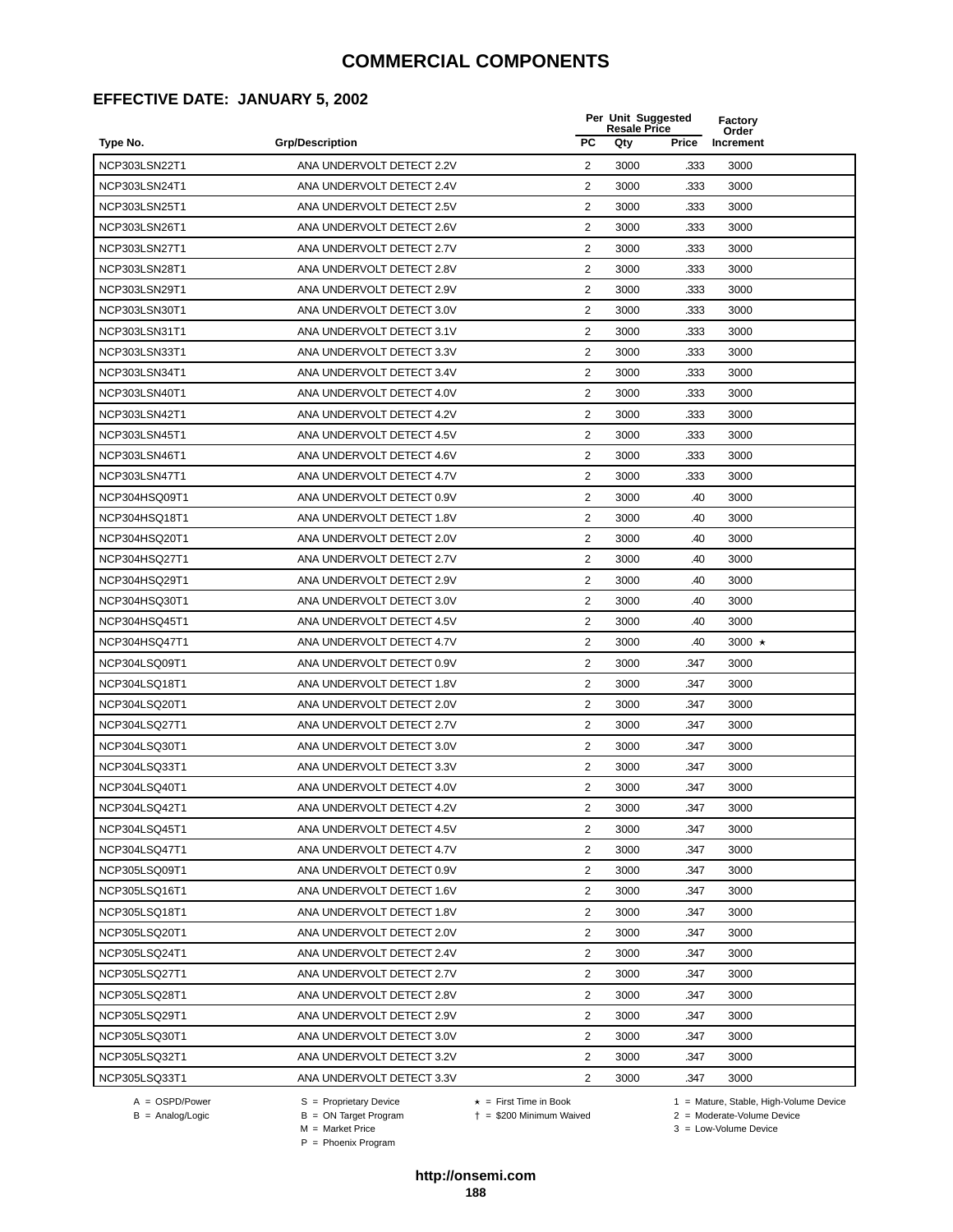# **EFFECTIVE DATE: JANUARY 5, 2002**

|               |                           |                | Per Unit Suggested<br><b>Resale Price</b> |       | Factory<br>Order |
|---------------|---------------------------|----------------|-------------------------------------------|-------|------------------|
| Type No.      | <b>Grp/Description</b>    | <b>PC</b>      | Qty                                       | Price | Increment        |
| NCP303LSN22T1 | ANA UNDERVOLT DETECT 2.2V | 2              | 3000                                      | .333  | 3000             |
| NCP303LSN24T1 | ANA UNDERVOLT DETECT 2.4V | 2              | 3000                                      | .333  | 3000             |
| NCP303LSN25T1 | ANA UNDERVOLT DETECT 2.5V | 2              | 3000                                      | .333  | 3000             |
| NCP303LSN26T1 | ANA UNDERVOLT DETECT 2.6V | $\overline{2}$ | 3000                                      | .333  | 3000             |
| NCP303LSN27T1 | ANA UNDERVOLT DETECT 2.7V | $\overline{2}$ | 3000                                      | .333  | 3000             |
| NCP303LSN28T1 | ANA UNDERVOLT DETECT 2.8V | 2              | 3000                                      | .333  | 3000             |
| NCP303LSN29T1 | ANA UNDERVOLT DETECT 2.9V | $\overline{2}$ | 3000                                      | .333  | 3000             |
| NCP303LSN30T1 | ANA UNDERVOLT DETECT 3.0V | 2              | 3000                                      | .333  | 3000             |
| NCP303LSN31T1 | ANA UNDERVOLT DETECT 3.1V | $\overline{2}$ | 3000                                      | .333  | 3000             |
| NCP303LSN33T1 | ANA UNDERVOLT DETECT 3.3V | 2              | 3000                                      | .333  | 3000             |
| NCP303LSN34T1 | ANA UNDERVOLT DETECT 3.4V | $\overline{2}$ | 3000                                      | .333  | 3000             |
| NCP303LSN40T1 | ANA UNDERVOLT DETECT 4.0V | 2              | 3000                                      | .333  | 3000             |
| NCP303LSN42T1 | ANA UNDERVOLT DETECT 4.2V | 2              | 3000                                      | .333  | 3000             |
| NCP303LSN45T1 | ANA UNDERVOLT DETECT 4.5V | $\overline{2}$ | 3000                                      | .333  | 3000             |
| NCP303LSN46T1 | ANA UNDERVOLT DETECT 4.6V | 2              | 3000                                      | .333  | 3000             |
| NCP303LSN47T1 | ANA UNDERVOLT DETECT 4.7V | $\overline{2}$ | 3000                                      | .333  | 3000             |
| NCP304HSQ09T1 | ANA UNDERVOLT DETECT 0.9V | 2              | 3000                                      | .40   | 3000             |
| NCP304HSQ18T1 | ANA UNDERVOLT DETECT 1.8V | $\mathbf{2}$   | 3000                                      | .40   | 3000             |
| NCP304HSQ20T1 | ANA UNDERVOLT DETECT 2.0V | 2              | 3000                                      | .40   | 3000             |
| NCP304HSQ27T1 | ANA UNDERVOLT DETECT 2.7V | $\overline{2}$ | 3000                                      | .40   | 3000             |
| NCP304HSQ29T1 | ANA UNDERVOLT DETECT 2.9V | 2              | 3000                                      | .40   | 3000             |
| NCP304HSQ30T1 | ANA UNDERVOLT DETECT 3.0V | $\overline{2}$ | 3000                                      | .40   | 3000             |
| NCP304HSQ45T1 | ANA UNDERVOLT DETECT 4.5V | $\overline{2}$ | 3000                                      | .40   | 3000             |
| NCP304HSQ47T1 | ANA UNDERVOLT DETECT 4.7V | 2              | 3000                                      | .40   | 3000 $\star$     |
| NCP304LSQ09T1 | ANA UNDERVOLT DETECT 0.9V | $\overline{2}$ | 3000                                      | .347  | 3000             |
| NCP304LSQ18T1 | ANA UNDERVOLT DETECT 1.8V | 2              | 3000                                      | .347  | 3000             |
| NCP304LSQ20T1 | ANA UNDERVOLT DETECT 2.0V | 2              | 3000                                      | .347  | 3000             |
| NCP304LSQ27T1 | ANA UNDERVOLT DETECT 2.7V | 2              | 3000                                      | .347  | 3000             |
| NCP304LSQ30T1 | ANA UNDERVOLT DETECT 3.0V | 2              | 3000                                      | .347  | 3000             |
| NCP304LSQ33T1 | ANA UNDERVOLT DETECT 3.3V | $\overline{2}$ | 3000                                      | .347  | 3000             |
| NCP304LSQ40T1 | ANA UNDERVOLT DETECT 4.0V | 2              | 3000                                      | .347  | 3000             |
| NCP304LSQ42T1 | ANA UNDERVOLT DETECT 4.2V | 2              | 3000                                      | .347  | 3000             |
| NCP304LSQ45T1 | ANA UNDERVOLT DETECT 4.5V | 2              | 3000                                      | .347  | 3000             |
| NCP304LSQ47T1 | ANA UNDERVOLT DETECT 4.7V | $\overline{2}$ | 3000                                      | .347  | 3000             |
| NCP305LSQ09T1 | ANA UNDERVOLT DETECT 0.9V | $\overline{2}$ | 3000                                      | .347  | 3000             |
| NCP305LSQ16T1 | ANA UNDERVOLT DETECT 1.6V | $\overline{2}$ | 3000                                      | .347  | 3000             |
| NCP305LSQ18T1 | ANA UNDERVOLT DETECT 1.8V | 2              | 3000                                      | .347  | 3000             |
| NCP305LSQ20T1 | ANA UNDERVOLT DETECT 2.0V | $\overline{2}$ | 3000                                      | .347  | 3000             |
| NCP305LSQ24T1 | ANA UNDERVOLT DETECT 2.4V | 2              | 3000                                      | .347  | 3000             |
| NCP305LSQ27T1 | ANA UNDERVOLT DETECT 2.7V | 2              | 3000                                      | .347  | 3000             |
| NCP305LSQ28T1 | ANA UNDERVOLT DETECT 2.8V | 2              | 3000                                      | .347  | 3000             |
| NCP305LSQ29T1 | ANA UNDERVOLT DETECT 2.9V | 2              | 3000                                      | .347  | 3000             |
| NCP305LSQ30T1 | ANA UNDERVOLT DETECT 3.0V | 2              | 3000                                      | .347  | 3000             |
| NCP305LSQ32T1 | ANA UNDERVOLT DETECT 3.2V | $\overline{2}$ | 3000                                      | .347  | 3000             |
| NCP305LSQ33T1 | ANA UNDERVOLT DETECT 3.3V | 2              | 3000                                      | .347  | 3000             |

A = OSPD/Power S = Proprietary Device<br>
B = Analog/Logic B = ON Target Program<br>
M = Market Price

A = OSPD/Power S = Proprietary Device  $\star$  = First Time in Book 1 = Mature, Stable, High-Volume Device

 = \$200 Minimum Waived 2 = Moderate-Volume Device  $2 =$  Moderate-Volume Device<br> $3 =$  Low-Volume Device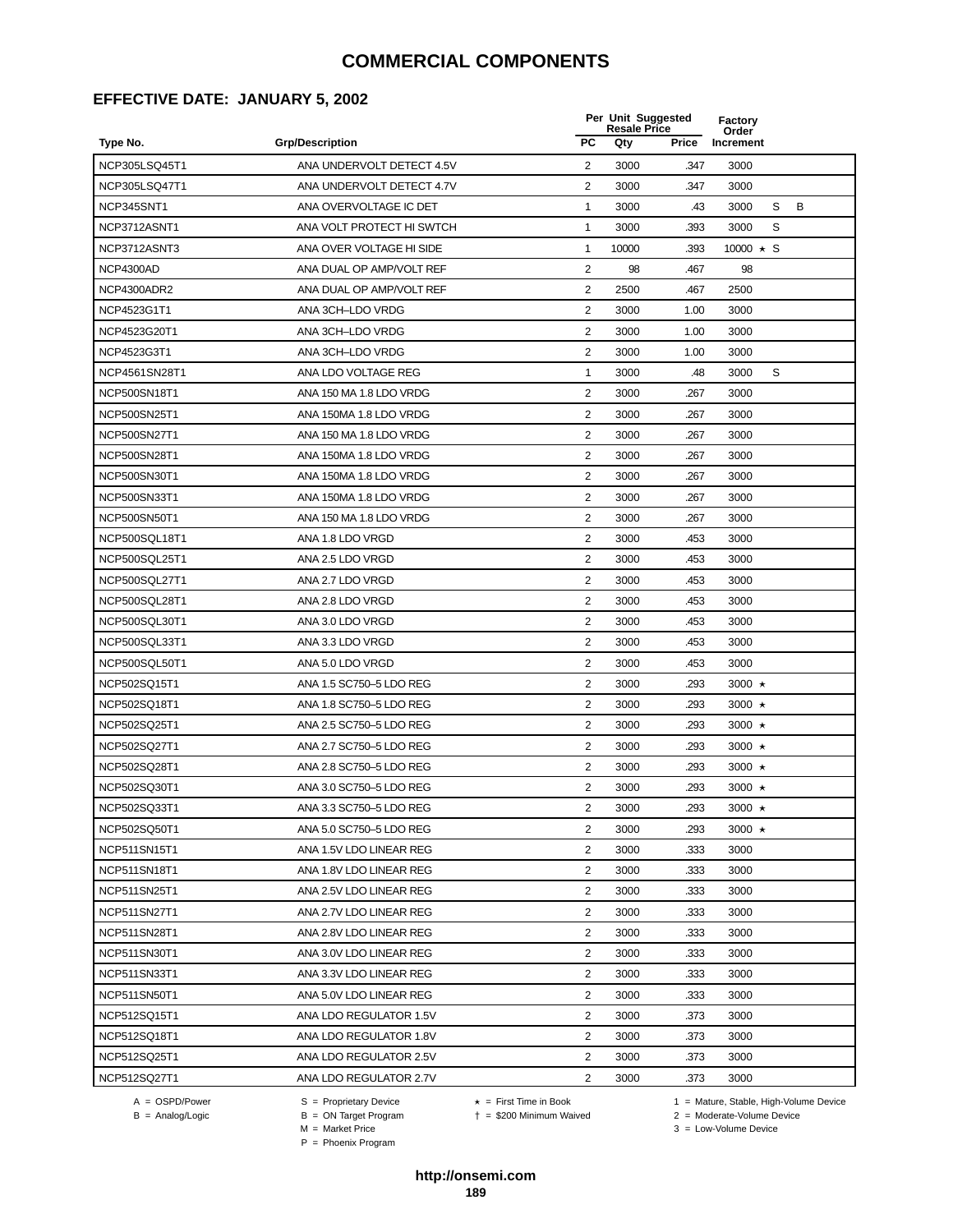## **EFFECTIVE DATE: JANUARY 5, 2002**

|                     |                           |                | Per Unit Suggested<br><b>Resale Price</b> |       | Factory<br>Order |   |   |  |
|---------------------|---------------------------|----------------|-------------------------------------------|-------|------------------|---|---|--|
| Type No.            | <b>Grp/Description</b>    | <b>PC</b>      | Qty                                       | Price | Increment        |   |   |  |
| NCP305LSQ45T1       | ANA UNDERVOLT DETECT 4.5V | 2              | 3000                                      | .347  | 3000             |   |   |  |
| NCP305LSQ47T1       | ANA UNDERVOLT DETECT 4.7V | $\overline{2}$ | 3000                                      | .347  | 3000             |   |   |  |
| NCP345SNT1          | ANA OVERVOLTAGE IC DET    | 1              | 3000                                      | .43   | 3000             | S | B |  |
| NCP3712ASNT1        | ANA VOLT PROTECT HI SWTCH | 1              | 3000                                      | .393  | 3000             | S |   |  |
| NCP3712ASNT3        | ANA OVER VOLTAGE HI SIDE  | $\mathbf{1}$   | 10000                                     | .393  | $10000 \star S$  |   |   |  |
| NCP4300AD           | ANA DUAL OP AMP/VOLT REF  | 2              | 98                                        | .467  | 98               |   |   |  |
| NCP4300ADR2         | ANA DUAL OP AMP/VOLT REF  | 2              | 2500                                      | .467  | 2500             |   |   |  |
| NCP4523G1T1         | ANA 3CH-LDO VRDG          | 2              | 3000                                      | 1.00  | 3000             |   |   |  |
| NCP4523G20T1        | ANA 3CH-LDO VRDG          | 2              | 3000                                      | 1.00  | 3000             |   |   |  |
| NCP4523G3T1         | ANA 3CH-LDO VRDG          | $\overline{2}$ | 3000                                      | 1.00  | 3000             |   |   |  |
| NCP4561SN28T1       | ANA LDO VOLTAGE REG       | 1              | 3000                                      | .48   | 3000             | S |   |  |
| NCP500SN18T1        | ANA 150 MA 1.8 LDO VRDG   | $\overline{2}$ | 3000                                      | .267  | 3000             |   |   |  |
| NCP500SN25T1        | ANA 150MA 1.8 LDO VRDG    | $\overline{2}$ | 3000                                      | .267  | 3000             |   |   |  |
| <b>NCP500SN27T1</b> | ANA 150 MA 1.8 LDO VRDG   | $\overline{2}$ | 3000                                      | .267  | 3000             |   |   |  |
| NCP500SN28T1        | ANA 150MA 1.8 LDO VRDG    | 2              | 3000                                      | .267  | 3000             |   |   |  |
| NCP500SN30T1        | ANA 150MA 1.8 LDO VRDG    | $\overline{2}$ | 3000                                      | .267  | 3000             |   |   |  |
| NCP500SN33T1        | ANA 150MA 1.8 LDO VRDG    | 2              | 3000                                      | .267  | 3000             |   |   |  |
| NCP500SN50T1        | ANA 150 MA 1.8 LDO VRDG   | 2              | 3000                                      | .267  | 3000             |   |   |  |
| NCP500SQL18T1       | ANA 1.8 LDO VRGD          | $\overline{2}$ | 3000                                      | .453  | 3000             |   |   |  |
| NCP500SQL25T1       | ANA 2.5 LDO VRGD          | 2              | 3000                                      | .453  | 3000             |   |   |  |
| NCP500SQL27T1       | ANA 2.7 LDO VRGD          | 2              | 3000                                      | .453  | 3000             |   |   |  |
| NCP500SQL28T1       | ANA 2.8 LDO VRGD          | $\overline{2}$ | 3000                                      | .453  | 3000             |   |   |  |
| NCP500SQL30T1       | ANA 3.0 LDO VRGD          | $\overline{2}$ | 3000                                      | .453  | 3000             |   |   |  |
| NCP500SQL33T1       | ANA 3.3 LDO VRGD          | 2              | 3000                                      | .453  | 3000             |   |   |  |
| NCP500SQL50T1       | ANA 5.0 LDO VRGD          | $\overline{2}$ | 3000                                      | .453  | 3000             |   |   |  |
| NCP502SQ15T1        | ANA 1.5 SC750-5 LDO REG   | 2              | 3000                                      | .293  | 3000 $\star$     |   |   |  |
| NCP502SQ18T1        | ANA 1.8 SC750-5 LDO REG   | 2              | 3000                                      | .293  | 3000 $\star$     |   |   |  |
| NCP502SQ25T1        | ANA 2.5 SC750-5 LDO REG   | $\overline{2}$ | 3000                                      | .293  | 3000 $\star$     |   |   |  |
| NCP502SQ27T1        | ANA 2.7 SC750-5 LDO REG   | 2              | 3000                                      | .293  | 3000 $\star$     |   |   |  |
| NCP502SQ28T1        | ANA 2.8 SC750-5 LDO REG   | $\overline{2}$ | 3000                                      | .293  | 3000 $\star$     |   |   |  |
| NCP502SQ30T1        | ANA 3.0 SC750-5 LDO REG   | $\overline{2}$ | 3000                                      | .293  | 3000 $\star$     |   |   |  |
| NCP502SQ33T1        | ANA 3.3 SC750-5 LDO REG   | $\overline{c}$ | 3000                                      | 293   | 3000 $\star$     |   |   |  |
| NCP502SQ50T1        | ANA 5.0 SC750-5 LDO REG   | 2              | 3000                                      | .293  | 3000 $\star$     |   |   |  |
| NCP511SN15T1        | ANA 1.5V LDO LINEAR REG   | 2              | 3000                                      | .333  | 3000             |   |   |  |
| NCP511SN18T1        | ANA 1.8V LDO LINEAR REG   | $\overline{2}$ | 3000                                      | .333  | 3000             |   |   |  |
| NCP511SN25T1        | ANA 2.5V LDO LINEAR REG   | 2              | 3000                                      | .333  | 3000             |   |   |  |
| NCP511SN27T1        | ANA 2.7V LDO LINEAR REG   | 2              | 3000                                      | .333  | 3000             |   |   |  |
| <b>NCP511SN28T1</b> | ANA 2.8V LDO LINEAR REG   | 2              | 3000                                      | .333  | 3000             |   |   |  |
| NCP511SN30T1        | ANA 3.0V LDO LINEAR REG   | $\overline{2}$ | 3000                                      | .333  | 3000             |   |   |  |
| NCP511SN33T1        | ANA 3.3V LDO LINEAR REG   | $\overline{2}$ | 3000                                      | .333  | 3000             |   |   |  |
| NCP511SN50T1        | ANA 5.0V LDO LINEAR REG   | $\overline{2}$ | 3000                                      | .333  | 3000             |   |   |  |
| NCP512SQ15T1        | ANA LDO REGULATOR 1.5V    | 2              | 3000                                      | .373  | 3000             |   |   |  |
| NCP512SQ18T1        | ANA LDO REGULATOR 1.8V    | 2              | 3000                                      | .373  | 3000             |   |   |  |
| NCP512SQ25T1        | ANA LDO REGULATOR 2.5V    | $\overline{2}$ | 3000                                      | .373  | 3000             |   |   |  |
| NCP512SQ27T1        | ANA LDO REGULATOR 2.7V    | 2              | 3000                                      | .373  | 3000             |   |   |  |
|                     |                           |                |                                           |       |                  |   |   |  |

 $B = \text{Analog/Logic}$ <br>B = ON Target Program<br> $M = \text{Market Price}$ 

= \$200 Minimum Waived 2 = Moderate-Volume Device

A = OSPD/Power S = Proprietary Device  $\star$  = First Time in Book 1 = Mature, Stable, High-Volume Device

 $3 =$  Low-Volume Device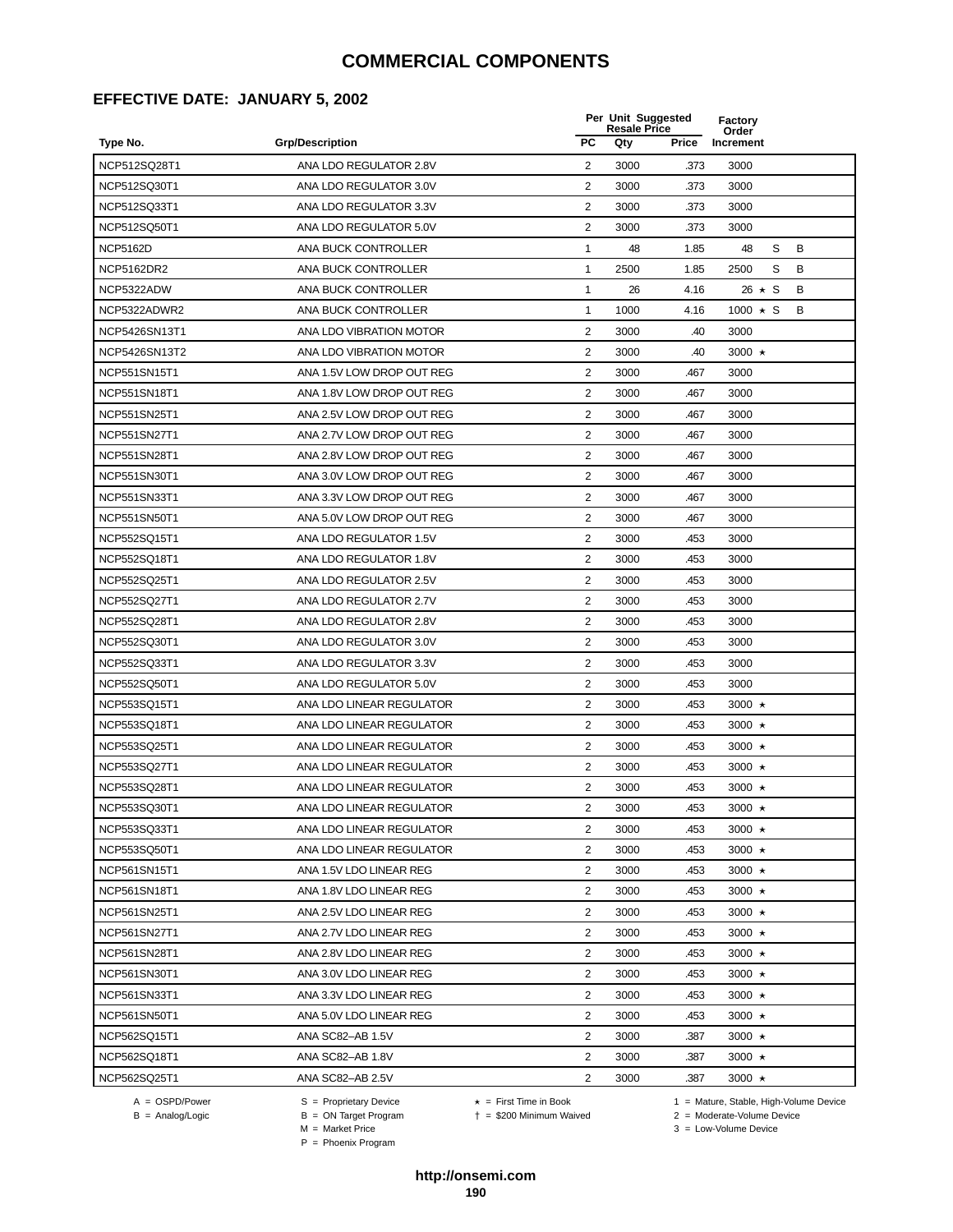## **EFFECTIVE DATE: JANUARY 5, 2002**

|                     |                           |                | Per Unit Suggested<br><b>Resale Price</b> |       | Factory<br>Order |   |   |  |
|---------------------|---------------------------|----------------|-------------------------------------------|-------|------------------|---|---|--|
| Type No.            | <b>Grp/Description</b>    | PC             | Qty                                       | Price | Increment        |   |   |  |
| NCP512SQ28T1        | ANA LDO REGULATOR 2.8V    | $\overline{2}$ | 3000                                      | .373  | 3000             |   |   |  |
| NCP512SQ30T1        | ANA LDO REGULATOR 3.0V    | $\overline{2}$ | 3000                                      | .373  | 3000             |   |   |  |
| NCP512SQ33T1        | ANA LDO REGULATOR 3.3V    | 2              | 3000                                      | .373  | 3000             |   |   |  |
| NCP512SQ50T1        | ANA LDO REGULATOR 5.0V    | $\overline{2}$ | 3000                                      | .373  | 3000             |   |   |  |
| <b>NCP5162D</b>     | ANA BUCK CONTROLLER       | 1              | 48                                        | 1.85  | 48               | S | В |  |
| <b>NCP5162DR2</b>   | ANA BUCK CONTROLLER       | 1              | 2500                                      | 1.85  | 2500             | S | B |  |
| NCP5322ADW          | ANA BUCK CONTROLLER       | 1              | 26                                        | 4.16  | $26 \star S$     |   | B |  |
| NCP5322ADWR2        | ANA BUCK CONTROLLER       | $\mathbf{1}$   | 1000                                      | 4.16  | $1000 \star S$   |   | B |  |
| NCP5426SN13T1       | ANA LDO VIBRATION MOTOR   | $\overline{2}$ | 3000                                      | .40   | 3000             |   |   |  |
| NCP5426SN13T2       | ANA LDO VIBRATION MOTOR   | 2              | 3000                                      | .40   | 3000 $\star$     |   |   |  |
| <b>NCP551SN15T1</b> | ANA 1.5V LOW DROP OUT REG | $\overline{2}$ | 3000                                      | .467  | 3000             |   |   |  |
| <b>NCP551SN18T1</b> | ANA 1.8V LOW DROP OUT REG | 2              | 3000                                      | .467  | 3000             |   |   |  |
| NCP551SN25T1        | ANA 2.5V LOW DROP OUT REG | $\overline{c}$ | 3000                                      | .467  | 3000             |   |   |  |
| NCP551SN27T1        | ANA 2.7V LOW DROP OUT REG | $\sqrt{2}$     | 3000                                      | .467  | 3000             |   |   |  |
| NCP551SN28T1        | ANA 2.8V LOW DROP OUT REG | $\overline{2}$ | 3000                                      | .467  | 3000             |   |   |  |
| NCP551SN30T1        | ANA 3.0V LOW DROP OUT REG | $\overline{2}$ | 3000                                      | .467  | 3000             |   |   |  |
| NCP551SN33T1        | ANA 3.3V LOW DROP OUT REG | $\overline{2}$ | 3000                                      | .467  | 3000             |   |   |  |
| NCP551SN50T1        | ANA 5.0V LOW DROP OUT REG | 2              | 3000                                      | .467  | 3000             |   |   |  |
| NCP552SQ15T1        | ANA LDO REGULATOR 1.5V    | 2              | 3000                                      | .453  | 3000             |   |   |  |
| NCP552SQ18T1        | ANA LDO REGULATOR 1.8V    | $\overline{2}$ | 3000                                      | .453  | 3000             |   |   |  |
| NCP552SQ25T1        | ANA LDO REGULATOR 2.5V    | 2              | 3000                                      | .453  | 3000             |   |   |  |
| NCP552SQ27T1        | ANA LDO REGULATOR 2.7V    | $\overline{c}$ | 3000                                      | .453  | 3000             |   |   |  |
| NCP552SQ28T1        | ANA LDO REGULATOR 2.8V    | $\overline{c}$ | 3000                                      | .453  | 3000             |   |   |  |
| NCP552SQ30T1        | ANA LDO REGULATOR 3.0V    | $\overline{c}$ | 3000                                      | .453  | 3000             |   |   |  |
| NCP552SQ33T1        | ANA LDO REGULATOR 3.3V    | $\overline{2}$ | 3000                                      | .453  | 3000             |   |   |  |
| NCP552SQ50T1        | ANA LDO REGULATOR 5.0V    | $\overline{2}$ | 3000                                      | .453  | 3000             |   |   |  |
| NCP553SQ15T1        | ANA LDO LINEAR REGULATOR  | 2              | 3000                                      | .453  | 3000 $\star$     |   |   |  |
| NCP553SQ18T1        | ANA LDO LINEAR REGULATOR  | $\overline{2}$ | 3000                                      | .453  | 3000 ★           |   |   |  |
| NCP553SQ25T1        | ANA LDO LINEAR REGULATOR  | $\overline{2}$ | 3000                                      | .453  | 3000 $\star$     |   |   |  |
| NCP553SQ27T1        | ANA LDO LINEAR REGULATOR  | 2              | 3000                                      | .453  | 3000 $\star$     |   |   |  |
| NCP553SQ28T1        | ANA LDO LINEAR REGULATOR  | 2              | 3000                                      | .453  | 3000 $\star$     |   |   |  |
| NCP553SQ30T1        | ANA LDO LINEAR REGULATOR  | $\overline{c}$ | 3000                                      | 453   | 3000 $\star$     |   |   |  |
| NCP553SQ33T1        | ANA LDO LINEAR REGULATOR  | 2              | 3000                                      | .453  | 3000 $\star$     |   |   |  |
| NCP553SQ50T1        | ANA LDO LINEAR REGULATOR  | 2              | 3000                                      | .453  | 3000 $\star$     |   |   |  |
| NCP561SN15T1        | ANA 1.5V LDO LINEAR REG   | 2              | 3000                                      | .453  | 3000 $\star$     |   |   |  |
| NCP561SN18T1        | ANA 1.8V LDO LINEAR REG   | 2              | 3000                                      | .453  | 3000 $\star$     |   |   |  |
| NCP561SN25T1        | ANA 2.5V LDO LINEAR REG   | 2              | 3000                                      | .453  | 3000 $\star$     |   |   |  |
| NCP561SN27T1        | ANA 2.7V LDO LINEAR REG   | 2              | 3000                                      | .453  | 3000 $\star$     |   |   |  |
| NCP561SN28T1        | ANA 2.8V LDO LINEAR REG   | $\overline{2}$ | 3000                                      | .453  | 3000 $\star$     |   |   |  |
| NCP561SN30T1        | ANA 3.0V LDO LINEAR REG   | 2              | 3000                                      | .453  | 3000 $\star$     |   |   |  |
| NCP561SN33T1        | ANA 3.3V LDO LINEAR REG   | $\overline{c}$ | 3000                                      | .453  | 3000 $\star$     |   |   |  |
| NCP561SN50T1        | ANA 5.0V LDO LINEAR REG   | 2              | 3000                                      | .453  | 3000 $\star$     |   |   |  |
| NCP562SQ15T1        | ANA SC82-AB 1.5V          | 2              | 3000                                      | .387  | 3000 $\star$     |   |   |  |
| NCP562SQ18T1        | ANA SC82-AB 1.8V          | 2              | 3000                                      | .387  | 3000 $\star$     |   |   |  |
| NCP562SQ25T1        | ANA SC82-AB 2.5V          | $\overline{c}$ | 3000                                      | .387  | 3000 $\star$     |   |   |  |

 $B = \text{Analog/Logic}$ <br>B = ON Target Program<br> $M = \text{Market Price}$ 

= \$200 Minimum Waived 2 = Moderate-Volume Device

A = OSPD/Power S = Proprietary Device  $\star$  = First Time in Book 1 = Mature, Stable, High-Volume Device

P = Phoenix Program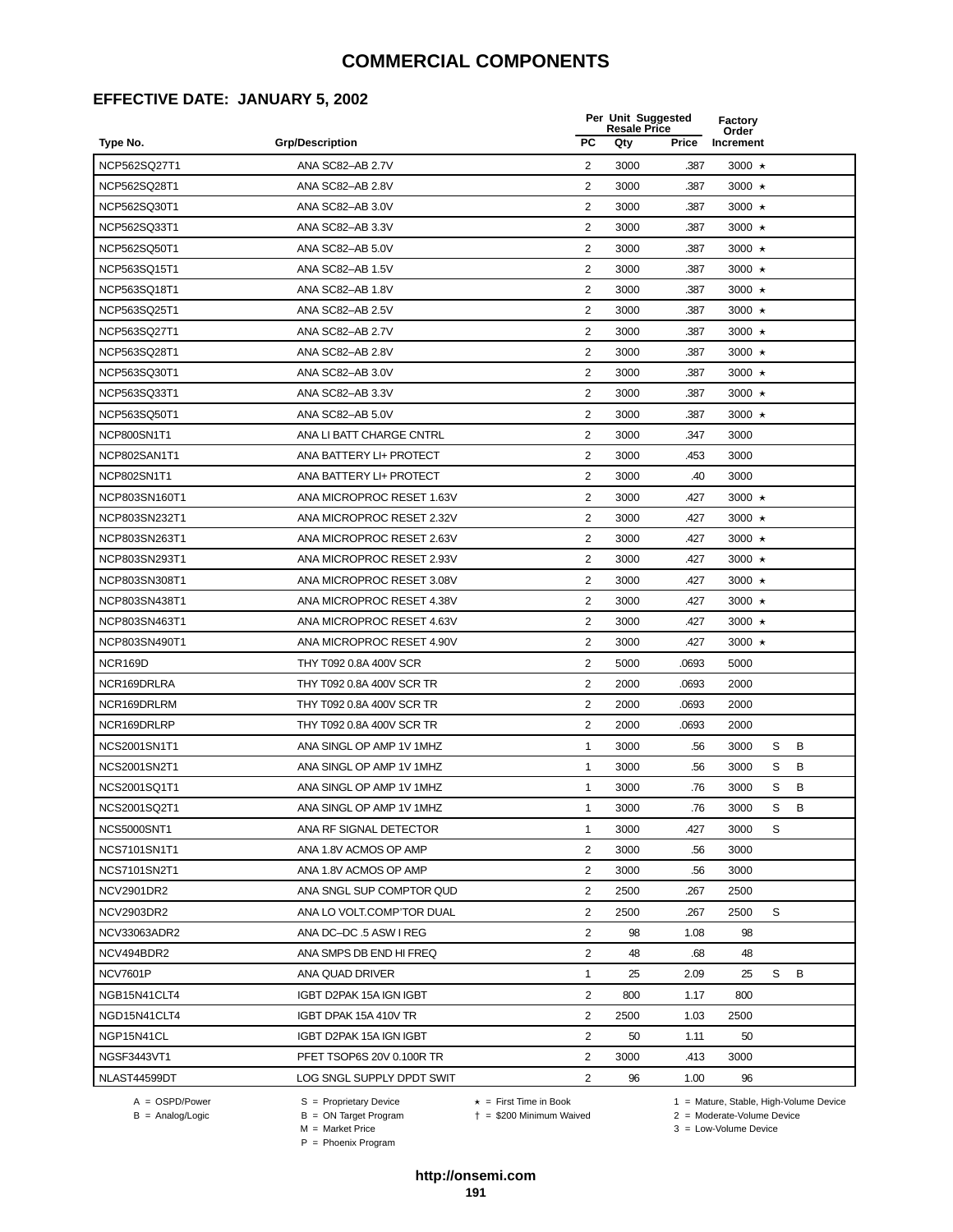## **EFFECTIVE DATE: JANUARY 5, 2002**

| <b>PC</b><br>Type No.<br><b>Grp/Description</b><br>Qty<br>Price<br>Increment<br>NCP562SQ27T1<br><b>ANA SC82-AB 2.7V</b><br>2<br>3000 ★<br>3000<br>.387<br>NCP562SQ28T1<br>ANA SC82-AB 2.8V<br>2<br>3000<br>.387<br>3000 $\star$<br>2<br>NCP562SQ30T1<br>ANA SC82-AB 3.0V<br>3000<br>.387<br>3000 $\star$<br>2<br>NCP562SQ33T1<br>ANA SC82-AB 3.3V<br>3000<br>.387<br>3000 $\star$<br>$\overline{2}$<br>NCP562SQ50T1<br>ANA SC82-AB 5.0V<br>3000<br>.387<br>3000 $\star$<br>$\overline{2}$<br>NCP563SQ15T1<br>.387<br>ANA SC82-AB 1.5V<br>3000<br>3000 $\star$<br>$\overline{2}$<br>3000<br>.387<br>3000 $\star$<br>NCP563SQ18T1<br>ANA SC82-AB 1.8V<br>ANA SC82-AB 2.5V<br>2<br>.387<br>3000 $\star$<br>NCP563SQ25T1<br>3000<br>$\overline{2}$<br>NCP563SQ27T1<br><b>ANA SC82-AB 2.7V</b><br>3000<br>.387<br>3000 $\star$<br>NCP563SQ28T1<br>ANA SC82-AB 2.8V<br>$\overline{2}$<br>3000<br>.387<br>3000 $\star$<br>NCP563SQ30T1<br>ANA SC82-AB 3.0V<br>2<br>3000<br>.387<br>3000 $\star$<br>2<br>NCP563SQ33T1<br>ANA SC82-AB 3.3V<br>3000<br>.387<br>3000 $\star$<br>$\overline{2}$<br>NCP563SQ50T1<br>ANA SC82-AB 5.0V<br>3000<br>.387<br>3000 $\star$<br>$\mathbf{2}$<br>NCP800SN1T1<br>ANA LI BATT CHARGE CNTRL<br>3000<br>.347<br>3000<br>NCP802SAN1T1<br>$\overline{2}$<br>ANA BATTERY LI+ PROTECT<br>3000<br>.453<br>3000<br>$\overline{2}$<br>3000<br>NCP802SN1T1<br>ANA BATTERY LI+ PROTECT<br>3000<br>.40<br>2<br>NCP803SN160T1<br>ANA MICROPROC RESET 1.63V<br>3000<br>.427<br>3000 $\star$<br>2<br>NCP803SN232T1<br>ANA MICROPROC RESET 2.32V<br>3000<br>.427<br>3000 $\star$<br>NCP803SN263T1<br>$\overline{2}$<br>ANA MICROPROC RESET 2.63V<br>3000<br>.427<br>3000 $\star$<br>NCP803SN293T1<br>ANA MICROPROC RESET 2.93V<br>2<br>3000<br>.427<br>3000 $\star$<br>2<br>NCP803SN308T1<br>ANA MICROPROC RESET 3.08V<br>3000<br>.427<br>3000 $\star$<br>2<br>NCP803SN438T1<br>ANA MICROPROC RESET 4.38V<br>3000<br>.427<br>3000 $\star$<br>$\overline{2}$<br>NCP803SN463T1<br>ANA MICROPROC RESET 4.63V<br>3000<br>.427<br>3000 $\star$<br>$\overline{2}$<br>NCP803SN490T1<br>.427<br>ANA MICROPROC RESET 4.90V<br>3000<br>3000 $\star$<br>$\overline{2}$<br>5000<br>.0693<br>5000<br>NCR169D<br>THY T092 0.8A 400V SCR<br>NCR169DRLRA<br>2<br>.0693<br>2000<br>THY T092 0.8A 400V SCR TR<br>2000<br>NCR169DRLRM<br>$\overline{c}$<br>2000<br>THY T092 0.8A 400V SCR TR<br>2000<br>.0693<br>NCR169DRLRP<br>$\overline{2}$<br>THY T092 0.8A 400V SCR TR<br>2000<br>.0693<br>2000<br>S<br>В<br><b>NCS2001SN1T1</b><br>ANA SINGL OP AMP 1V 1MHZ<br>1<br>3000<br>.56<br>3000<br>S<br>B<br>NCS2001SN2T1<br>ANA SINGL OP AMP 1V 1MHZ<br>1<br>3000<br>.56<br>3000<br>S<br>B<br>NCS2001SQ1T1<br>ANA SINGL OP AMP 1V 1MHZ<br>1<br>3000<br>.76<br>3000<br>S<br>NCS2001SQ2T1<br>3000<br>.76<br>3000<br>в<br>ANA SINGL OP AMP 1V 1MHZ<br>1<br>S<br>ANA RF SIGNAL DETECTOR<br>$\mathbf{1}$<br>.427<br>3000<br><b>NCS5000SNT1</b><br>3000<br>2<br>3000<br>3000<br>NCS7101SN1T1<br>ANA 1.8V ACMOS OP AMP<br>.56<br>2<br>3000<br>3000<br>NCS7101SN2T1<br>ANA 1.8V ACMOS OP AMP<br>.56<br>ANA SNGL SUP COMPTOR QUD<br>2<br>2500<br>.267<br>NCV2901DR2<br>2500<br>S<br><b>NCV2903DR2</b><br>2<br>2500<br>.267<br>2500<br>ANA LO VOLT.COMP'TOR DUAL<br>2<br>98<br>1.08<br>98<br>NCV33063ADR2<br>ANA DC-DC .5 ASW I REG<br>$\overline{2}$<br>48<br>.68<br>48<br>NCV494BDR2<br>ANA SMPS DB END HI FREQ<br>B<br>$\mathbf{1}$<br>S<br><b>NCV7601P</b><br>ANA QUAD DRIVER<br>25<br>2.09<br>25<br>$\overline{c}$<br>800<br>NGB15N41CLT4<br>IGBT D2PAK 15A IGN IGBT<br>1.17<br>800<br>$\overline{2}$<br>1.03<br>NGD15N41CLT4<br>IGBT DPAK 15A 410V TR<br>2500<br>2500<br>2<br>NGP15N41CL<br>50<br>50<br>IGBT D2PAK 15A IGN IGBT<br>1.11<br>2<br>3000<br>.413<br>3000<br>NGSF3443VT1<br>PFET TSOP6S 20V 0.100R TR<br>$\overline{2}$<br>NLAST44599DT<br>LOG SNGL SUPPLY DPDT SWIT<br>96<br>1.00<br>96 |  | Per Unit Suggested<br><b>Resale Price</b> | Factory<br>Order |  |  |
|-------------------------------------------------------------------------------------------------------------------------------------------------------------------------------------------------------------------------------------------------------------------------------------------------------------------------------------------------------------------------------------------------------------------------------------------------------------------------------------------------------------------------------------------------------------------------------------------------------------------------------------------------------------------------------------------------------------------------------------------------------------------------------------------------------------------------------------------------------------------------------------------------------------------------------------------------------------------------------------------------------------------------------------------------------------------------------------------------------------------------------------------------------------------------------------------------------------------------------------------------------------------------------------------------------------------------------------------------------------------------------------------------------------------------------------------------------------------------------------------------------------------------------------------------------------------------------------------------------------------------------------------------------------------------------------------------------------------------------------------------------------------------------------------------------------------------------------------------------------------------------------------------------------------------------------------------------------------------------------------------------------------------------------------------------------------------------------------------------------------------------------------------------------------------------------------------------------------------------------------------------------------------------------------------------------------------------------------------------------------------------------------------------------------------------------------------------------------------------------------------------------------------------------------------------------------------------------------------------------------------------------------------------------------------------------------------------------------------------------------------------------------------------------------------------------------------------------------------------------------------------------------------------------------------------------------------------------------------------------------------------------------------------------------------------------------------------------------------------------------------------------------------------------------------------------------------------------------------------------------------------------------------------------------------------------------------------------------------------------------------------------------------------------------------------------------------------------------------------------------------------------------------------------------------------------------------------------------------------------------------------------------------------------------------------------------------------------------------------------------------------------------------------------------------------------------------------------------------------------------------------------|--|-------------------------------------------|------------------|--|--|
|                                                                                                                                                                                                                                                                                                                                                                                                                                                                                                                                                                                                                                                                                                                                                                                                                                                                                                                                                                                                                                                                                                                                                                                                                                                                                                                                                                                                                                                                                                                                                                                                                                                                                                                                                                                                                                                                                                                                                                                                                                                                                                                                                                                                                                                                                                                                                                                                                                                                                                                                                                                                                                                                                                                                                                                                                                                                                                                                                                                                                                                                                                                                                                                                                                                                                                                                                                                                                                                                                                                                                                                                                                                                                                                                                                                                                                                                                     |  |                                           |                  |  |  |
|                                                                                                                                                                                                                                                                                                                                                                                                                                                                                                                                                                                                                                                                                                                                                                                                                                                                                                                                                                                                                                                                                                                                                                                                                                                                                                                                                                                                                                                                                                                                                                                                                                                                                                                                                                                                                                                                                                                                                                                                                                                                                                                                                                                                                                                                                                                                                                                                                                                                                                                                                                                                                                                                                                                                                                                                                                                                                                                                                                                                                                                                                                                                                                                                                                                                                                                                                                                                                                                                                                                                                                                                                                                                                                                                                                                                                                                                                     |  |                                           |                  |  |  |
|                                                                                                                                                                                                                                                                                                                                                                                                                                                                                                                                                                                                                                                                                                                                                                                                                                                                                                                                                                                                                                                                                                                                                                                                                                                                                                                                                                                                                                                                                                                                                                                                                                                                                                                                                                                                                                                                                                                                                                                                                                                                                                                                                                                                                                                                                                                                                                                                                                                                                                                                                                                                                                                                                                                                                                                                                                                                                                                                                                                                                                                                                                                                                                                                                                                                                                                                                                                                                                                                                                                                                                                                                                                                                                                                                                                                                                                                                     |  |                                           |                  |  |  |
|                                                                                                                                                                                                                                                                                                                                                                                                                                                                                                                                                                                                                                                                                                                                                                                                                                                                                                                                                                                                                                                                                                                                                                                                                                                                                                                                                                                                                                                                                                                                                                                                                                                                                                                                                                                                                                                                                                                                                                                                                                                                                                                                                                                                                                                                                                                                                                                                                                                                                                                                                                                                                                                                                                                                                                                                                                                                                                                                                                                                                                                                                                                                                                                                                                                                                                                                                                                                                                                                                                                                                                                                                                                                                                                                                                                                                                                                                     |  |                                           |                  |  |  |
|                                                                                                                                                                                                                                                                                                                                                                                                                                                                                                                                                                                                                                                                                                                                                                                                                                                                                                                                                                                                                                                                                                                                                                                                                                                                                                                                                                                                                                                                                                                                                                                                                                                                                                                                                                                                                                                                                                                                                                                                                                                                                                                                                                                                                                                                                                                                                                                                                                                                                                                                                                                                                                                                                                                                                                                                                                                                                                                                                                                                                                                                                                                                                                                                                                                                                                                                                                                                                                                                                                                                                                                                                                                                                                                                                                                                                                                                                     |  |                                           |                  |  |  |
|                                                                                                                                                                                                                                                                                                                                                                                                                                                                                                                                                                                                                                                                                                                                                                                                                                                                                                                                                                                                                                                                                                                                                                                                                                                                                                                                                                                                                                                                                                                                                                                                                                                                                                                                                                                                                                                                                                                                                                                                                                                                                                                                                                                                                                                                                                                                                                                                                                                                                                                                                                                                                                                                                                                                                                                                                                                                                                                                                                                                                                                                                                                                                                                                                                                                                                                                                                                                                                                                                                                                                                                                                                                                                                                                                                                                                                                                                     |  |                                           |                  |  |  |
|                                                                                                                                                                                                                                                                                                                                                                                                                                                                                                                                                                                                                                                                                                                                                                                                                                                                                                                                                                                                                                                                                                                                                                                                                                                                                                                                                                                                                                                                                                                                                                                                                                                                                                                                                                                                                                                                                                                                                                                                                                                                                                                                                                                                                                                                                                                                                                                                                                                                                                                                                                                                                                                                                                                                                                                                                                                                                                                                                                                                                                                                                                                                                                                                                                                                                                                                                                                                                                                                                                                                                                                                                                                                                                                                                                                                                                                                                     |  |                                           |                  |  |  |
|                                                                                                                                                                                                                                                                                                                                                                                                                                                                                                                                                                                                                                                                                                                                                                                                                                                                                                                                                                                                                                                                                                                                                                                                                                                                                                                                                                                                                                                                                                                                                                                                                                                                                                                                                                                                                                                                                                                                                                                                                                                                                                                                                                                                                                                                                                                                                                                                                                                                                                                                                                                                                                                                                                                                                                                                                                                                                                                                                                                                                                                                                                                                                                                                                                                                                                                                                                                                                                                                                                                                                                                                                                                                                                                                                                                                                                                                                     |  |                                           |                  |  |  |
|                                                                                                                                                                                                                                                                                                                                                                                                                                                                                                                                                                                                                                                                                                                                                                                                                                                                                                                                                                                                                                                                                                                                                                                                                                                                                                                                                                                                                                                                                                                                                                                                                                                                                                                                                                                                                                                                                                                                                                                                                                                                                                                                                                                                                                                                                                                                                                                                                                                                                                                                                                                                                                                                                                                                                                                                                                                                                                                                                                                                                                                                                                                                                                                                                                                                                                                                                                                                                                                                                                                                                                                                                                                                                                                                                                                                                                                                                     |  |                                           |                  |  |  |
|                                                                                                                                                                                                                                                                                                                                                                                                                                                                                                                                                                                                                                                                                                                                                                                                                                                                                                                                                                                                                                                                                                                                                                                                                                                                                                                                                                                                                                                                                                                                                                                                                                                                                                                                                                                                                                                                                                                                                                                                                                                                                                                                                                                                                                                                                                                                                                                                                                                                                                                                                                                                                                                                                                                                                                                                                                                                                                                                                                                                                                                                                                                                                                                                                                                                                                                                                                                                                                                                                                                                                                                                                                                                                                                                                                                                                                                                                     |  |                                           |                  |  |  |
|                                                                                                                                                                                                                                                                                                                                                                                                                                                                                                                                                                                                                                                                                                                                                                                                                                                                                                                                                                                                                                                                                                                                                                                                                                                                                                                                                                                                                                                                                                                                                                                                                                                                                                                                                                                                                                                                                                                                                                                                                                                                                                                                                                                                                                                                                                                                                                                                                                                                                                                                                                                                                                                                                                                                                                                                                                                                                                                                                                                                                                                                                                                                                                                                                                                                                                                                                                                                                                                                                                                                                                                                                                                                                                                                                                                                                                                                                     |  |                                           |                  |  |  |
|                                                                                                                                                                                                                                                                                                                                                                                                                                                                                                                                                                                                                                                                                                                                                                                                                                                                                                                                                                                                                                                                                                                                                                                                                                                                                                                                                                                                                                                                                                                                                                                                                                                                                                                                                                                                                                                                                                                                                                                                                                                                                                                                                                                                                                                                                                                                                                                                                                                                                                                                                                                                                                                                                                                                                                                                                                                                                                                                                                                                                                                                                                                                                                                                                                                                                                                                                                                                                                                                                                                                                                                                                                                                                                                                                                                                                                                                                     |  |                                           |                  |  |  |
|                                                                                                                                                                                                                                                                                                                                                                                                                                                                                                                                                                                                                                                                                                                                                                                                                                                                                                                                                                                                                                                                                                                                                                                                                                                                                                                                                                                                                                                                                                                                                                                                                                                                                                                                                                                                                                                                                                                                                                                                                                                                                                                                                                                                                                                                                                                                                                                                                                                                                                                                                                                                                                                                                                                                                                                                                                                                                                                                                                                                                                                                                                                                                                                                                                                                                                                                                                                                                                                                                                                                                                                                                                                                                                                                                                                                                                                                                     |  |                                           |                  |  |  |
|                                                                                                                                                                                                                                                                                                                                                                                                                                                                                                                                                                                                                                                                                                                                                                                                                                                                                                                                                                                                                                                                                                                                                                                                                                                                                                                                                                                                                                                                                                                                                                                                                                                                                                                                                                                                                                                                                                                                                                                                                                                                                                                                                                                                                                                                                                                                                                                                                                                                                                                                                                                                                                                                                                                                                                                                                                                                                                                                                                                                                                                                                                                                                                                                                                                                                                                                                                                                                                                                                                                                                                                                                                                                                                                                                                                                                                                                                     |  |                                           |                  |  |  |
|                                                                                                                                                                                                                                                                                                                                                                                                                                                                                                                                                                                                                                                                                                                                                                                                                                                                                                                                                                                                                                                                                                                                                                                                                                                                                                                                                                                                                                                                                                                                                                                                                                                                                                                                                                                                                                                                                                                                                                                                                                                                                                                                                                                                                                                                                                                                                                                                                                                                                                                                                                                                                                                                                                                                                                                                                                                                                                                                                                                                                                                                                                                                                                                                                                                                                                                                                                                                                                                                                                                                                                                                                                                                                                                                                                                                                                                                                     |  |                                           |                  |  |  |
|                                                                                                                                                                                                                                                                                                                                                                                                                                                                                                                                                                                                                                                                                                                                                                                                                                                                                                                                                                                                                                                                                                                                                                                                                                                                                                                                                                                                                                                                                                                                                                                                                                                                                                                                                                                                                                                                                                                                                                                                                                                                                                                                                                                                                                                                                                                                                                                                                                                                                                                                                                                                                                                                                                                                                                                                                                                                                                                                                                                                                                                                                                                                                                                                                                                                                                                                                                                                                                                                                                                                                                                                                                                                                                                                                                                                                                                                                     |  |                                           |                  |  |  |
|                                                                                                                                                                                                                                                                                                                                                                                                                                                                                                                                                                                                                                                                                                                                                                                                                                                                                                                                                                                                                                                                                                                                                                                                                                                                                                                                                                                                                                                                                                                                                                                                                                                                                                                                                                                                                                                                                                                                                                                                                                                                                                                                                                                                                                                                                                                                                                                                                                                                                                                                                                                                                                                                                                                                                                                                                                                                                                                                                                                                                                                                                                                                                                                                                                                                                                                                                                                                                                                                                                                                                                                                                                                                                                                                                                                                                                                                                     |  |                                           |                  |  |  |
|                                                                                                                                                                                                                                                                                                                                                                                                                                                                                                                                                                                                                                                                                                                                                                                                                                                                                                                                                                                                                                                                                                                                                                                                                                                                                                                                                                                                                                                                                                                                                                                                                                                                                                                                                                                                                                                                                                                                                                                                                                                                                                                                                                                                                                                                                                                                                                                                                                                                                                                                                                                                                                                                                                                                                                                                                                                                                                                                                                                                                                                                                                                                                                                                                                                                                                                                                                                                                                                                                                                                                                                                                                                                                                                                                                                                                                                                                     |  |                                           |                  |  |  |
|                                                                                                                                                                                                                                                                                                                                                                                                                                                                                                                                                                                                                                                                                                                                                                                                                                                                                                                                                                                                                                                                                                                                                                                                                                                                                                                                                                                                                                                                                                                                                                                                                                                                                                                                                                                                                                                                                                                                                                                                                                                                                                                                                                                                                                                                                                                                                                                                                                                                                                                                                                                                                                                                                                                                                                                                                                                                                                                                                                                                                                                                                                                                                                                                                                                                                                                                                                                                                                                                                                                                                                                                                                                                                                                                                                                                                                                                                     |  |                                           |                  |  |  |
|                                                                                                                                                                                                                                                                                                                                                                                                                                                                                                                                                                                                                                                                                                                                                                                                                                                                                                                                                                                                                                                                                                                                                                                                                                                                                                                                                                                                                                                                                                                                                                                                                                                                                                                                                                                                                                                                                                                                                                                                                                                                                                                                                                                                                                                                                                                                                                                                                                                                                                                                                                                                                                                                                                                                                                                                                                                                                                                                                                                                                                                                                                                                                                                                                                                                                                                                                                                                                                                                                                                                                                                                                                                                                                                                                                                                                                                                                     |  |                                           |                  |  |  |
|                                                                                                                                                                                                                                                                                                                                                                                                                                                                                                                                                                                                                                                                                                                                                                                                                                                                                                                                                                                                                                                                                                                                                                                                                                                                                                                                                                                                                                                                                                                                                                                                                                                                                                                                                                                                                                                                                                                                                                                                                                                                                                                                                                                                                                                                                                                                                                                                                                                                                                                                                                                                                                                                                                                                                                                                                                                                                                                                                                                                                                                                                                                                                                                                                                                                                                                                                                                                                                                                                                                                                                                                                                                                                                                                                                                                                                                                                     |  |                                           |                  |  |  |
|                                                                                                                                                                                                                                                                                                                                                                                                                                                                                                                                                                                                                                                                                                                                                                                                                                                                                                                                                                                                                                                                                                                                                                                                                                                                                                                                                                                                                                                                                                                                                                                                                                                                                                                                                                                                                                                                                                                                                                                                                                                                                                                                                                                                                                                                                                                                                                                                                                                                                                                                                                                                                                                                                                                                                                                                                                                                                                                                                                                                                                                                                                                                                                                                                                                                                                                                                                                                                                                                                                                                                                                                                                                                                                                                                                                                                                                                                     |  |                                           |                  |  |  |
|                                                                                                                                                                                                                                                                                                                                                                                                                                                                                                                                                                                                                                                                                                                                                                                                                                                                                                                                                                                                                                                                                                                                                                                                                                                                                                                                                                                                                                                                                                                                                                                                                                                                                                                                                                                                                                                                                                                                                                                                                                                                                                                                                                                                                                                                                                                                                                                                                                                                                                                                                                                                                                                                                                                                                                                                                                                                                                                                                                                                                                                                                                                                                                                                                                                                                                                                                                                                                                                                                                                                                                                                                                                                                                                                                                                                                                                                                     |  |                                           |                  |  |  |
|                                                                                                                                                                                                                                                                                                                                                                                                                                                                                                                                                                                                                                                                                                                                                                                                                                                                                                                                                                                                                                                                                                                                                                                                                                                                                                                                                                                                                                                                                                                                                                                                                                                                                                                                                                                                                                                                                                                                                                                                                                                                                                                                                                                                                                                                                                                                                                                                                                                                                                                                                                                                                                                                                                                                                                                                                                                                                                                                                                                                                                                                                                                                                                                                                                                                                                                                                                                                                                                                                                                                                                                                                                                                                                                                                                                                                                                                                     |  |                                           |                  |  |  |
|                                                                                                                                                                                                                                                                                                                                                                                                                                                                                                                                                                                                                                                                                                                                                                                                                                                                                                                                                                                                                                                                                                                                                                                                                                                                                                                                                                                                                                                                                                                                                                                                                                                                                                                                                                                                                                                                                                                                                                                                                                                                                                                                                                                                                                                                                                                                                                                                                                                                                                                                                                                                                                                                                                                                                                                                                                                                                                                                                                                                                                                                                                                                                                                                                                                                                                                                                                                                                                                                                                                                                                                                                                                                                                                                                                                                                                                                                     |  |                                           |                  |  |  |
|                                                                                                                                                                                                                                                                                                                                                                                                                                                                                                                                                                                                                                                                                                                                                                                                                                                                                                                                                                                                                                                                                                                                                                                                                                                                                                                                                                                                                                                                                                                                                                                                                                                                                                                                                                                                                                                                                                                                                                                                                                                                                                                                                                                                                                                                                                                                                                                                                                                                                                                                                                                                                                                                                                                                                                                                                                                                                                                                                                                                                                                                                                                                                                                                                                                                                                                                                                                                                                                                                                                                                                                                                                                                                                                                                                                                                                                                                     |  |                                           |                  |  |  |
|                                                                                                                                                                                                                                                                                                                                                                                                                                                                                                                                                                                                                                                                                                                                                                                                                                                                                                                                                                                                                                                                                                                                                                                                                                                                                                                                                                                                                                                                                                                                                                                                                                                                                                                                                                                                                                                                                                                                                                                                                                                                                                                                                                                                                                                                                                                                                                                                                                                                                                                                                                                                                                                                                                                                                                                                                                                                                                                                                                                                                                                                                                                                                                                                                                                                                                                                                                                                                                                                                                                                                                                                                                                                                                                                                                                                                                                                                     |  |                                           |                  |  |  |
|                                                                                                                                                                                                                                                                                                                                                                                                                                                                                                                                                                                                                                                                                                                                                                                                                                                                                                                                                                                                                                                                                                                                                                                                                                                                                                                                                                                                                                                                                                                                                                                                                                                                                                                                                                                                                                                                                                                                                                                                                                                                                                                                                                                                                                                                                                                                                                                                                                                                                                                                                                                                                                                                                                                                                                                                                                                                                                                                                                                                                                                                                                                                                                                                                                                                                                                                                                                                                                                                                                                                                                                                                                                                                                                                                                                                                                                                                     |  |                                           |                  |  |  |
|                                                                                                                                                                                                                                                                                                                                                                                                                                                                                                                                                                                                                                                                                                                                                                                                                                                                                                                                                                                                                                                                                                                                                                                                                                                                                                                                                                                                                                                                                                                                                                                                                                                                                                                                                                                                                                                                                                                                                                                                                                                                                                                                                                                                                                                                                                                                                                                                                                                                                                                                                                                                                                                                                                                                                                                                                                                                                                                                                                                                                                                                                                                                                                                                                                                                                                                                                                                                                                                                                                                                                                                                                                                                                                                                                                                                                                                                                     |  |                                           |                  |  |  |
|                                                                                                                                                                                                                                                                                                                                                                                                                                                                                                                                                                                                                                                                                                                                                                                                                                                                                                                                                                                                                                                                                                                                                                                                                                                                                                                                                                                                                                                                                                                                                                                                                                                                                                                                                                                                                                                                                                                                                                                                                                                                                                                                                                                                                                                                                                                                                                                                                                                                                                                                                                                                                                                                                                                                                                                                                                                                                                                                                                                                                                                                                                                                                                                                                                                                                                                                                                                                                                                                                                                                                                                                                                                                                                                                                                                                                                                                                     |  |                                           |                  |  |  |
|                                                                                                                                                                                                                                                                                                                                                                                                                                                                                                                                                                                                                                                                                                                                                                                                                                                                                                                                                                                                                                                                                                                                                                                                                                                                                                                                                                                                                                                                                                                                                                                                                                                                                                                                                                                                                                                                                                                                                                                                                                                                                                                                                                                                                                                                                                                                                                                                                                                                                                                                                                                                                                                                                                                                                                                                                                                                                                                                                                                                                                                                                                                                                                                                                                                                                                                                                                                                                                                                                                                                                                                                                                                                                                                                                                                                                                                                                     |  |                                           |                  |  |  |
|                                                                                                                                                                                                                                                                                                                                                                                                                                                                                                                                                                                                                                                                                                                                                                                                                                                                                                                                                                                                                                                                                                                                                                                                                                                                                                                                                                                                                                                                                                                                                                                                                                                                                                                                                                                                                                                                                                                                                                                                                                                                                                                                                                                                                                                                                                                                                                                                                                                                                                                                                                                                                                                                                                                                                                                                                                                                                                                                                                                                                                                                                                                                                                                                                                                                                                                                                                                                                                                                                                                                                                                                                                                                                                                                                                                                                                                                                     |  |                                           |                  |  |  |
|                                                                                                                                                                                                                                                                                                                                                                                                                                                                                                                                                                                                                                                                                                                                                                                                                                                                                                                                                                                                                                                                                                                                                                                                                                                                                                                                                                                                                                                                                                                                                                                                                                                                                                                                                                                                                                                                                                                                                                                                                                                                                                                                                                                                                                                                                                                                                                                                                                                                                                                                                                                                                                                                                                                                                                                                                                                                                                                                                                                                                                                                                                                                                                                                                                                                                                                                                                                                                                                                                                                                                                                                                                                                                                                                                                                                                                                                                     |  |                                           |                  |  |  |
|                                                                                                                                                                                                                                                                                                                                                                                                                                                                                                                                                                                                                                                                                                                                                                                                                                                                                                                                                                                                                                                                                                                                                                                                                                                                                                                                                                                                                                                                                                                                                                                                                                                                                                                                                                                                                                                                                                                                                                                                                                                                                                                                                                                                                                                                                                                                                                                                                                                                                                                                                                                                                                                                                                                                                                                                                                                                                                                                                                                                                                                                                                                                                                                                                                                                                                                                                                                                                                                                                                                                                                                                                                                                                                                                                                                                                                                                                     |  |                                           |                  |  |  |
|                                                                                                                                                                                                                                                                                                                                                                                                                                                                                                                                                                                                                                                                                                                                                                                                                                                                                                                                                                                                                                                                                                                                                                                                                                                                                                                                                                                                                                                                                                                                                                                                                                                                                                                                                                                                                                                                                                                                                                                                                                                                                                                                                                                                                                                                                                                                                                                                                                                                                                                                                                                                                                                                                                                                                                                                                                                                                                                                                                                                                                                                                                                                                                                                                                                                                                                                                                                                                                                                                                                                                                                                                                                                                                                                                                                                                                                                                     |  |                                           |                  |  |  |
|                                                                                                                                                                                                                                                                                                                                                                                                                                                                                                                                                                                                                                                                                                                                                                                                                                                                                                                                                                                                                                                                                                                                                                                                                                                                                                                                                                                                                                                                                                                                                                                                                                                                                                                                                                                                                                                                                                                                                                                                                                                                                                                                                                                                                                                                                                                                                                                                                                                                                                                                                                                                                                                                                                                                                                                                                                                                                                                                                                                                                                                                                                                                                                                                                                                                                                                                                                                                                                                                                                                                                                                                                                                                                                                                                                                                                                                                                     |  |                                           |                  |  |  |
|                                                                                                                                                                                                                                                                                                                                                                                                                                                                                                                                                                                                                                                                                                                                                                                                                                                                                                                                                                                                                                                                                                                                                                                                                                                                                                                                                                                                                                                                                                                                                                                                                                                                                                                                                                                                                                                                                                                                                                                                                                                                                                                                                                                                                                                                                                                                                                                                                                                                                                                                                                                                                                                                                                                                                                                                                                                                                                                                                                                                                                                                                                                                                                                                                                                                                                                                                                                                                                                                                                                                                                                                                                                                                                                                                                                                                                                                                     |  |                                           |                  |  |  |
|                                                                                                                                                                                                                                                                                                                                                                                                                                                                                                                                                                                                                                                                                                                                                                                                                                                                                                                                                                                                                                                                                                                                                                                                                                                                                                                                                                                                                                                                                                                                                                                                                                                                                                                                                                                                                                                                                                                                                                                                                                                                                                                                                                                                                                                                                                                                                                                                                                                                                                                                                                                                                                                                                                                                                                                                                                                                                                                                                                                                                                                                                                                                                                                                                                                                                                                                                                                                                                                                                                                                                                                                                                                                                                                                                                                                                                                                                     |  |                                           |                  |  |  |
|                                                                                                                                                                                                                                                                                                                                                                                                                                                                                                                                                                                                                                                                                                                                                                                                                                                                                                                                                                                                                                                                                                                                                                                                                                                                                                                                                                                                                                                                                                                                                                                                                                                                                                                                                                                                                                                                                                                                                                                                                                                                                                                                                                                                                                                                                                                                                                                                                                                                                                                                                                                                                                                                                                                                                                                                                                                                                                                                                                                                                                                                                                                                                                                                                                                                                                                                                                                                                                                                                                                                                                                                                                                                                                                                                                                                                                                                                     |  |                                           |                  |  |  |
|                                                                                                                                                                                                                                                                                                                                                                                                                                                                                                                                                                                                                                                                                                                                                                                                                                                                                                                                                                                                                                                                                                                                                                                                                                                                                                                                                                                                                                                                                                                                                                                                                                                                                                                                                                                                                                                                                                                                                                                                                                                                                                                                                                                                                                                                                                                                                                                                                                                                                                                                                                                                                                                                                                                                                                                                                                                                                                                                                                                                                                                                                                                                                                                                                                                                                                                                                                                                                                                                                                                                                                                                                                                                                                                                                                                                                                                                                     |  |                                           |                  |  |  |
|                                                                                                                                                                                                                                                                                                                                                                                                                                                                                                                                                                                                                                                                                                                                                                                                                                                                                                                                                                                                                                                                                                                                                                                                                                                                                                                                                                                                                                                                                                                                                                                                                                                                                                                                                                                                                                                                                                                                                                                                                                                                                                                                                                                                                                                                                                                                                                                                                                                                                                                                                                                                                                                                                                                                                                                                                                                                                                                                                                                                                                                                                                                                                                                                                                                                                                                                                                                                                                                                                                                                                                                                                                                                                                                                                                                                                                                                                     |  |                                           |                  |  |  |
|                                                                                                                                                                                                                                                                                                                                                                                                                                                                                                                                                                                                                                                                                                                                                                                                                                                                                                                                                                                                                                                                                                                                                                                                                                                                                                                                                                                                                                                                                                                                                                                                                                                                                                                                                                                                                                                                                                                                                                                                                                                                                                                                                                                                                                                                                                                                                                                                                                                                                                                                                                                                                                                                                                                                                                                                                                                                                                                                                                                                                                                                                                                                                                                                                                                                                                                                                                                                                                                                                                                                                                                                                                                                                                                                                                                                                                                                                     |  |                                           |                  |  |  |
|                                                                                                                                                                                                                                                                                                                                                                                                                                                                                                                                                                                                                                                                                                                                                                                                                                                                                                                                                                                                                                                                                                                                                                                                                                                                                                                                                                                                                                                                                                                                                                                                                                                                                                                                                                                                                                                                                                                                                                                                                                                                                                                                                                                                                                                                                                                                                                                                                                                                                                                                                                                                                                                                                                                                                                                                                                                                                                                                                                                                                                                                                                                                                                                                                                                                                                                                                                                                                                                                                                                                                                                                                                                                                                                                                                                                                                                                                     |  |                                           |                  |  |  |
|                                                                                                                                                                                                                                                                                                                                                                                                                                                                                                                                                                                                                                                                                                                                                                                                                                                                                                                                                                                                                                                                                                                                                                                                                                                                                                                                                                                                                                                                                                                                                                                                                                                                                                                                                                                                                                                                                                                                                                                                                                                                                                                                                                                                                                                                                                                                                                                                                                                                                                                                                                                                                                                                                                                                                                                                                                                                                                                                                                                                                                                                                                                                                                                                                                                                                                                                                                                                                                                                                                                                                                                                                                                                                                                                                                                                                                                                                     |  |                                           |                  |  |  |
|                                                                                                                                                                                                                                                                                                                                                                                                                                                                                                                                                                                                                                                                                                                                                                                                                                                                                                                                                                                                                                                                                                                                                                                                                                                                                                                                                                                                                                                                                                                                                                                                                                                                                                                                                                                                                                                                                                                                                                                                                                                                                                                                                                                                                                                                                                                                                                                                                                                                                                                                                                                                                                                                                                                                                                                                                                                                                                                                                                                                                                                                                                                                                                                                                                                                                                                                                                                                                                                                                                                                                                                                                                                                                                                                                                                                                                                                                     |  |                                           |                  |  |  |
|                                                                                                                                                                                                                                                                                                                                                                                                                                                                                                                                                                                                                                                                                                                                                                                                                                                                                                                                                                                                                                                                                                                                                                                                                                                                                                                                                                                                                                                                                                                                                                                                                                                                                                                                                                                                                                                                                                                                                                                                                                                                                                                                                                                                                                                                                                                                                                                                                                                                                                                                                                                                                                                                                                                                                                                                                                                                                                                                                                                                                                                                                                                                                                                                                                                                                                                                                                                                                                                                                                                                                                                                                                                                                                                                                                                                                                                                                     |  |                                           |                  |  |  |

 $B = \text{Analog/Logic}$ <br>B = ON Target Program<br> $M = \text{Market Price}$ 

= \$200 Minimum Waived 2 = Moderate-Volume Device

A = OSPD/Power S = Proprietary Device  $\star$  = First Time in Book 1 = Mature, Stable, High-Volume Device

 $3 =$  Low-Volume Device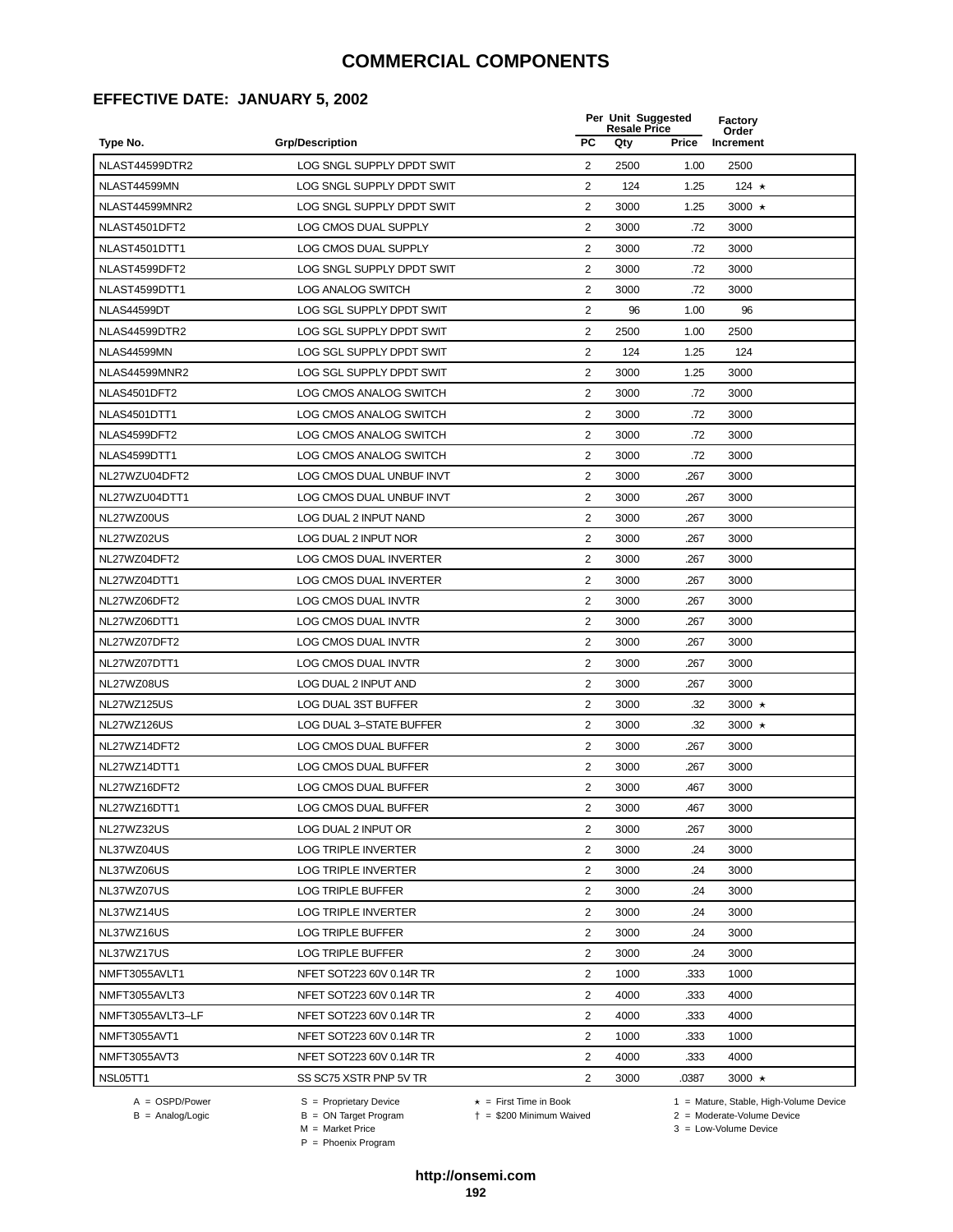## **EFFECTIVE DATE: JANUARY 5, 2002**

|                  |                                 |                         | Per Unit Suggested<br><b>Resale Price</b> |              | Factory<br>Order |  |
|------------------|---------------------------------|-------------------------|-------------------------------------------|--------------|------------------|--|
| Type No.         | <b>Grp/Description</b>          | <b>PC</b>               | Qty                                       | <b>Price</b> | Increment        |  |
| NLAST44599DTR2   | LOG SNGL SUPPLY DPDT SWIT       | 2                       | 2500                                      | 1.00         | 2500             |  |
| NLAST44599MN     | LOG SNGL SUPPLY DPDT SWIT       | 2                       | 124                                       | 1.25         | 124 $\star$      |  |
| NLAST44599MNR2   | LOG SNGL SUPPLY DPDT SWIT       | 2                       | 3000                                      | 1.25         | 3000 $\star$     |  |
| NLAST4501DFT2    | <b>LOG CMOS DUAL SUPPLY</b>     | 2                       | 3000                                      | .72          | 3000             |  |
| NLAST4501DTT1    | <b>LOG CMOS DUAL SUPPLY</b>     | $\overline{\mathbf{c}}$ | 3000                                      | .72          | 3000             |  |
| NLAST4599DFT2    | LOG SNGL SUPPLY DPDT SWIT       | $\overline{2}$          | 3000                                      | .72          | 3000             |  |
| NLAST4599DTT1    | <b>LOG ANALOG SWITCH</b>        | $\overline{2}$          | 3000                                      | .72          | 3000             |  |
| NLAS44599DT      | LOG SGL SUPPLY DPDT SWIT        | $\overline{2}$          | 96                                        | 1.00         | 96               |  |
| NLAS44599DTR2    | <b>LOG SGL SUPPLY DPDT SWIT</b> | 2                       | 2500                                      | 1.00         | 2500             |  |
| NLAS44599MN      | LOG SGL SUPPLY DPDT SWIT        | 2                       | 124                                       | 1.25         | 124              |  |
| NLAS44599MNR2    | LOG SGL SUPPLY DPDT SWIT        | 2                       | 3000                                      | 1.25         | 3000             |  |
| NLAS4501DFT2     | LOG CMOS ANALOG SWITCH          | 2                       | 3000                                      | .72          | 3000             |  |
| NLAS4501DTT1     | LOG CMOS ANALOG SWITCH          | $\overline{c}$          | 3000                                      | .72          | 3000             |  |
| NLAS4599DFT2     | LOG CMOS ANALOG SWITCH          | $\overline{\mathbf{c}}$ | 3000                                      | .72          | 3000             |  |
| NLAS4599DTT1     | LOG CMOS ANALOG SWITCH          | $\overline{2}$          | 3000                                      | .72          | 3000             |  |
| NL27WZU04DFT2    | LOG CMOS DUAL UNBUF INVT        | $\overline{2}$          | 3000                                      | .267         | 3000             |  |
| NL27WZU04DTT1    | LOG CMOS DUAL UNBUF INVT        | $\overline{2}$          | 3000                                      | .267         | 3000             |  |
| NL27WZ00US       | LOG DUAL 2 INPUT NAND           | 2                       | 3000                                      | .267         | 3000             |  |
| NL27WZ02US       | LOG DUAL 2 INPUT NOR            | 2                       | 3000                                      | .267         | 3000             |  |
| NL27WZ04DFT2     | LOG CMOS DUAL INVERTER          | 2                       | 3000                                      | .267         | 3000             |  |
| NL27WZ04DTT1     | LOG CMOS DUAL INVERTER          | 2                       | 3000                                      | .267         | 3000             |  |
| NL27WZ06DFT2     | LOG CMOS DUAL INVTR             | 2                       | 3000                                      | .267         | 3000             |  |
| NL27WZ06DTT1     | LOG CMOS DUAL INVTR             | 2                       | 3000                                      | .267         | 3000             |  |
| NL27WZ07DFT2     | LOG CMOS DUAL INVTR             | 2                       | 3000                                      | .267         | 3000             |  |
| NL27WZ07DTT1     | LOG CMOS DUAL INVTR             | $\overline{2}$          | 3000                                      | .267         | 3000             |  |
| NL27WZ08US       | LOG DUAL 2 INPUT AND            | $\overline{2}$          | 3000                                      | .267         | 3000             |  |
| NL27WZ125US      | LOG DUAL 3ST BUFFER             | $\overline{c}$          | 3000                                      | .32          | 3000 $\star$     |  |
| NL27WZ126US      | LOG DUAL 3-STATE BUFFER         | 2                       | 3000                                      | .32          | 3000 $\star$     |  |
| NL27WZ14DFT2     | <b>LOG CMOS DUAL BUFFER</b>     | 2                       | 3000                                      | .267         | 3000             |  |
| NL27WZ14DTT1     | LOG CMOS DUAL BUFFER            | 2                       | 3000                                      | .267         | 3000             |  |
| NL27WZ16DFT2     | LOG CMOS DUAL BUFFER            | 2                       | 3000                                      | .467         | 3000             |  |
| NL27WZ16DTT1     | LOG CMOS DUAL BUFFER            | 2                       | 3000                                      | .467         | 3000             |  |
| NL27WZ32US       | LOG DUAL 2 INPUT OR             | $\overline{2}$          | 3000                                      | .267         | 3000             |  |
| NL37WZ04US       | <b>LOG TRIPLE INVERTER</b>      | 2                       | 3000                                      | .24          | 3000             |  |
| NL37WZ06US       | LOG TRIPLE INVERTER             | $\overline{2}$          | 3000                                      | .24          | 3000             |  |
| NL37WZ07US       | <b>LOG TRIPLE BUFFER</b>        | 2                       | 3000                                      | .24          | 3000             |  |
| NL37WZ14US       | <b>LOG TRIPLE INVERTER</b>      | 2                       | 3000                                      | .24          | 3000             |  |
| NL37WZ16US       | LOG TRIPLE BUFFER               | 2                       | 3000                                      | .24          | 3000             |  |
| NL37WZ17US       | <b>LOG TRIPLE BUFFER</b>        | 2                       | 3000                                      | .24          | 3000             |  |
| NMFT3055AVLT1    | NFET SOT223 60V 0.14R TR        | 2                       | 1000                                      | .333         | 1000             |  |
| NMFT3055AVLT3    | NFET SOT223 60V 0.14R TR        | 2                       | 4000                                      | .333         | 4000             |  |
| NMFT3055AVLT3-LF | NFET SOT223 60V 0.14R TR        | 2                       | 4000                                      | .333         | 4000             |  |
| NMFT3055AVT1     | NFET SOT223 60V 0.14R TR        | $\overline{2}$          | 1000                                      | .333         | 1000             |  |
| NMFT3055AVT3     | NFET SOT223 60V 0.14R TR        | $\overline{2}$          | 4000                                      | .333         | 4000             |  |
| NSL05TT1         | SS SC75 XSTR PNP 5V TR          | $\overline{c}$          | 3000                                      | .0387        | 3000 $\star$     |  |
|                  |                                 |                         |                                           |              |                  |  |

 $B = \text{Analog/Logic}$ <br>B = ON Target Program<br> $M = \text{Market Price}$ 

A = OSPD/Power S = Proprietary Device  $\star$  = First Time in Book 1 = Mature, Stable, High-Volume Device

 = \$200 Minimum Waived 2 = Moderate-Volume Device  $3 =$  Low-Volume Device

P = Phoenix Program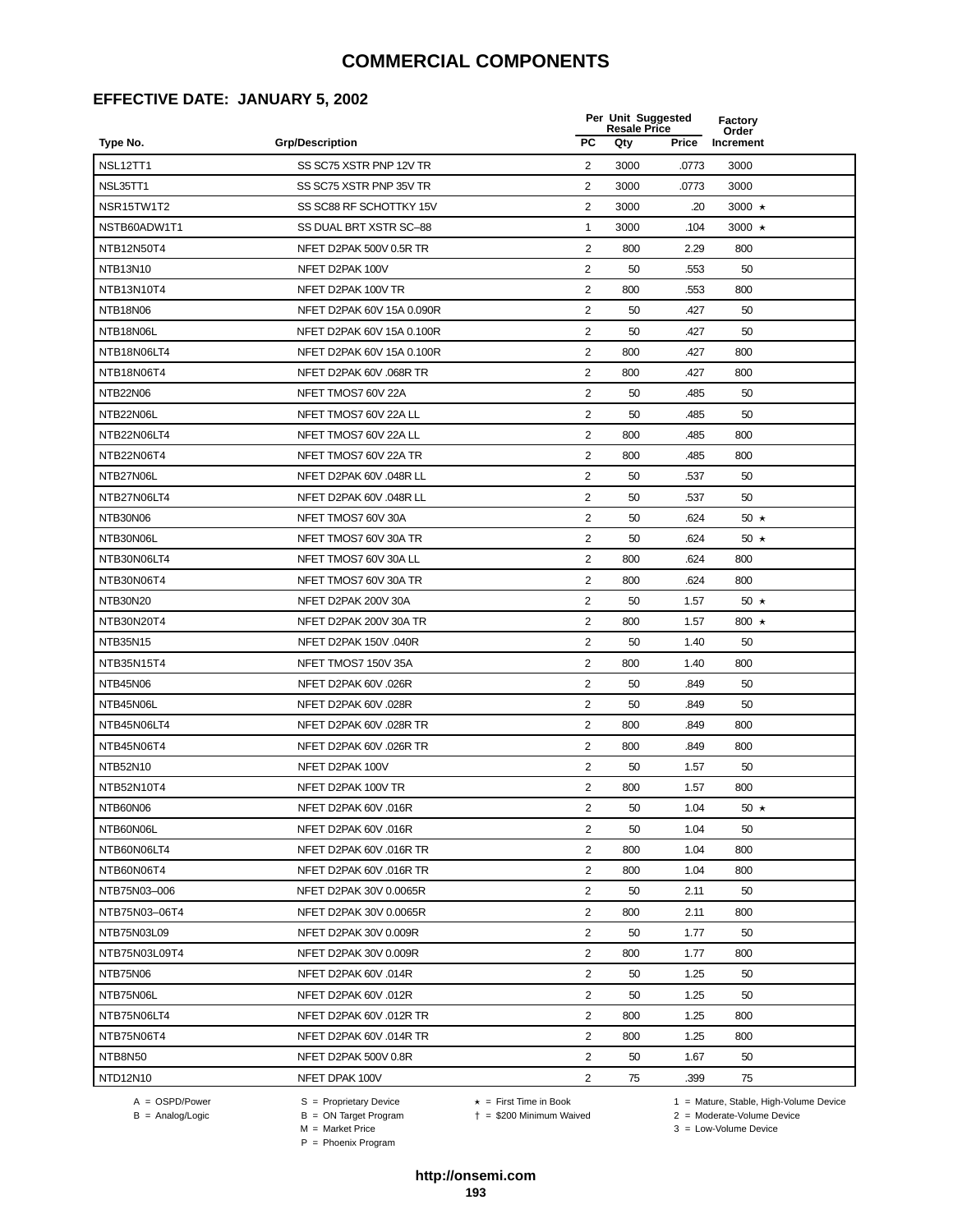## **EFFECTIVE DATE: JANUARY 5, 2002**

|                 |                           |                | Per Unit Suggested<br><b>Resale Price</b> |              | Factory<br>Order |  |
|-----------------|---------------------------|----------------|-------------------------------------------|--------------|------------------|--|
| Type No.        | <b>Grp/Description</b>    | <b>PC</b>      | Qty                                       | <b>Price</b> | Increment        |  |
| NSL12TT1        | SS SC75 XSTR PNP 12V TR   | $\overline{2}$ | 3000                                      | .0773        | 3000             |  |
| NSL35TT1        | SS SC75 XSTR PNP 35V TR   | 2              | 3000                                      | .0773        | 3000             |  |
| NSR15TW1T2      | SS SC88 RF SCHOTTKY 15V   | $\overline{2}$ | 3000                                      | .20          | 3000 $\star$     |  |
| NSTB60ADW1T1    | SS DUAL BRT XSTR SC-88    | $\mathbf{1}$   | 3000                                      | .104         | 3000 $\star$     |  |
| NTB12N50T4      | NFET D2PAK 500V 0.5R TR   | $\overline{c}$ | 800                                       | 2.29         | 800              |  |
| NTB13N10        | NFET D2PAK 100V           | 2              | 50                                        | .553         | 50               |  |
| NTB13N10T4      | NFET D2PAK 100V TR        | $\overline{2}$ | 800                                       | .553         | 800              |  |
| NTB18N06        | NFET D2PAK 60V 15A 0.090R | 2              | 50                                        | .427         | 50               |  |
| NTB18N06L       | NFET D2PAK 60V 15A 0.100R | 2              | 50                                        | .427         | 50               |  |
| NTB18N06LT4     | NFET D2PAK 60V 15A 0.100R | $\overline{2}$ | 800                                       | .427         | 800              |  |
| NTB18N06T4      | NFET D2PAK 60V .068R TR   | 2              | 800                                       | .427         | 800              |  |
| <b>NTB22N06</b> | NFET TMOS7 60V 22A        | $\overline{2}$ | 50                                        | .485         | 50               |  |
| NTB22N06L       | NFET TMOS7 60V 22A LL     | $\overline{2}$ | 50                                        | .485         | 50               |  |
| NTB22N06LT4     | NFET TMOS7 60V 22A LL     | $\overline{2}$ | 800                                       | .485         | 800              |  |
| NTB22N06T4      | NFET TMOS7 60V 22A TR     | $\overline{2}$ | 800                                       | .485         | 800              |  |
| NTB27N06L       | NFET D2PAK 60V .048R LL   | $\overline{2}$ | 50                                        | .537         | 50               |  |
| NTB27N06LT4     | NFET D2PAK 60V .048R LL   | 2              | 50                                        | .537         | 50               |  |
| NTB30N06        | NFET TMOS7 60V 30A        | 2              | 50                                        | .624         | 50 $\star$       |  |
| NTB30N06L       | NFET TMOS7 60V 30A TR     | $\overline{2}$ | 50                                        | .624         | 50 $\star$       |  |
| NTB30N06LT4     | NFET TMOS7 60V 30A LL     | 2              | 800                                       | .624         | 800              |  |
| NTB30N06T4      | NFET TMOS7 60V 30A TR     | 2              | 800                                       | .624         | 800              |  |
| NTB30N20        | NFET D2PAK 200V 30A       | 2              | 50                                        | 1.57         | 50 $\star$       |  |
| NTB30N20T4      | NFET D2PAK 200V 30A TR    | $\overline{2}$ | 800                                       | 1.57         | 800 $\star$      |  |
| NTB35N15        | NFET D2PAK 150V .040R     | $\overline{2}$ | 50                                        | 1.40         | 50               |  |
| NTB35N15T4      | NFET TMOS7 150V 35A       | $\overline{2}$ | 800                                       | 1.40         | 800              |  |
| NTB45N06        | NFET D2PAK 60V .026R      | 2              | 50                                        | .849         | 50               |  |
| NTB45N06L       | NFET D2PAK 60V .028R      | $\overline{2}$ | 50                                        | .849         | 50               |  |
| NTB45N06LT4     | NFET D2PAK 60V .028R TR   | $\overline{2}$ | 800                                       | .849         | 800              |  |
| NTB45N06T4      | NFET D2PAK 60V .026R TR   | 2              | 800                                       | .849         | 800              |  |
| NTB52N10        | NFET D2PAK 100V           | $\overline{2}$ | 50                                        | 1.57         | 50               |  |
| NTB52N10T4      | NFET D2PAK 100V TR        | 2              | 800                                       | 1.57         | 800              |  |
| NTB60N06        | NFET D2PAK 60V .016R      | 2              | 50                                        | 1.04         | 50 $\star$       |  |
| NTB60N06L       | NFET D2PAK 60V .016R      | $\overline{2}$ | 50                                        | 1.04         | 50               |  |
| NTB60N06LT4     | NFET D2PAK 60V .016R TR   | 2              | 800                                       | 1.04         | 800              |  |
| NTB60N06T4      | NFET D2PAK 60V .016R TR   | $\overline{2}$ | 800                                       | 1.04         | 800              |  |
| NTB75N03-006    | NFET D2PAK 30V 0.0065R    | 2              | 50                                        | 2.11         | 50               |  |
| NTB75N03-06T4   | NFET D2PAK 30V 0.0065R    | 2              | 800                                       | 2.11         | 800              |  |
| NTB75N03L09     | NFET D2PAK 30V 0.009R     | 2              | 50                                        | 1.77         | 50               |  |
| NTB75N03L09T4   | NFET D2PAK 30V 0.009R     | $\overline{2}$ | 800                                       | 1.77         | 800              |  |
| NTB75N06        | NFET D2PAK 60V .014R      | $\overline{2}$ | 50                                        | 1.25         | 50               |  |
| NTB75N06L       | NFET D2PAK 60V .012R      | 2              | 50                                        | 1.25         | 50               |  |
| NTB75N06LT4     | NFET D2PAK 60V .012R TR   | $\overline{2}$ | 800                                       | 1.25         | 800              |  |
| NTB75N06T4      | NFET D2PAK 60V .014R TR   | 2              | 800                                       | 1.25         | 800              |  |
| NTB8N50         | NFET D2PAK 500V 0.8R      | $\overline{2}$ | 50                                        | 1.67         | 50               |  |
| NTD12N10        | NFET DPAK 100V            | 2              | 75                                        | .399         | 75               |  |
|                 |                           |                |                                           |              |                  |  |

 $B = \text{Analog/Logic}$ <br>B = ON Target Program<br> $M = \text{Market Price}$ 

= \$200 Minimum Waived 2 = Moderate-Volume Device

A = OSPD/Power S = Proprietary Device  $\star$  = First Time in Book 1 = Mature, Stable, High-Volume Device

 $3 =$  Low-Volume Device

P = Phoenix Program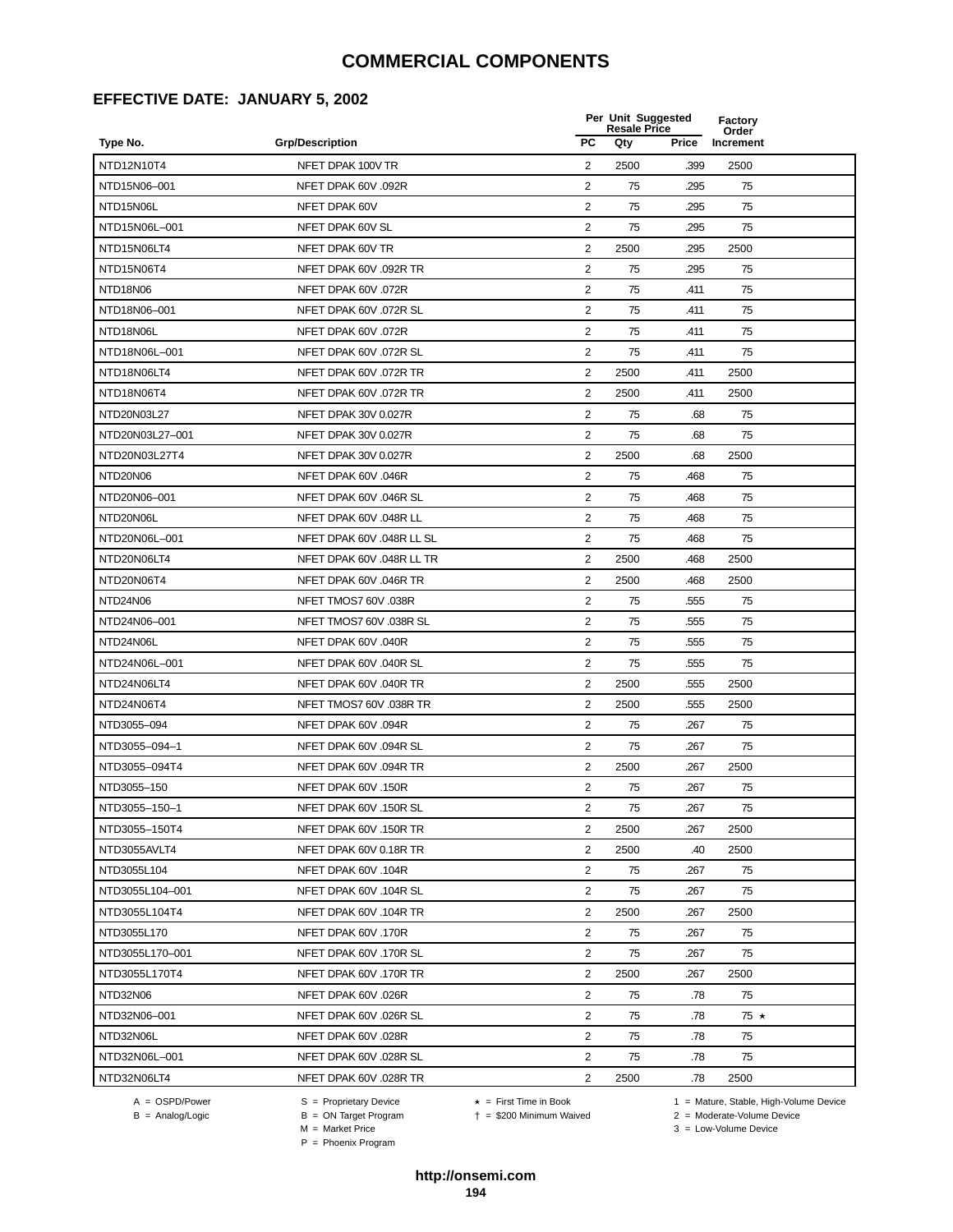## **EFFECTIVE DATE: JANUARY 5, 2002**

|                 |                           |                | Per Unit Suggested<br><b>Resale Price</b> |              | Factory<br>Order |  |
|-----------------|---------------------------|----------------|-------------------------------------------|--------------|------------------|--|
| Type No.        | <b>Grp/Description</b>    | <b>PC</b>      | Qty                                       | <b>Price</b> | Increment        |  |
| NTD12N10T4      | NFET DPAK 100V TR         | $\overline{2}$ | 2500                                      | .399         | 2500             |  |
| NTD15N06-001    | NFET DPAK 60V .092R       | 2              | 75                                        | .295         | 75               |  |
| NTD15N06L       | NFET DPAK 60V             | $\mathbf{2}$   | 75                                        | .295         | 75               |  |
| NTD15N06L-001   | NFET DPAK 60V SL          | 2              | 75                                        | .295         | 75               |  |
| NTD15N06LT4     | NFET DPAK 60V TR          | $\overline{2}$ | 2500                                      | .295         | 2500             |  |
| NTD15N06T4      | NFET DPAK 60V .092R TR    | 2              | 75                                        | .295         | 75               |  |
| NTD18N06        | NFET DPAK 60V .072R       | 2              | 75                                        | .411         | 75               |  |
| NTD18N06-001    | NFET DPAK 60V .072R SL    | 2              | 75                                        | .411         | 75               |  |
| NTD18N06L       | NFET DPAK 60V .072R       | 2              | 75                                        | .411         | 75               |  |
| NTD18N06L-001   | NFET DPAK 60V .072R SL    | $\overline{2}$ | 75                                        | .411         | 75               |  |
| NTD18N06LT4     | NFET DPAK 60V .072R TR    | 2              | 2500                                      | .411         | 2500             |  |
| NTD18N06T4      | NFET DPAK 60V .072R TR    | $\overline{2}$ | 2500                                      | .411         | 2500             |  |
| NTD20N03L27     | NFET DPAK 30V 0.027R      | $\overline{c}$ | 75                                        | .68          | 75               |  |
| NTD20N03L27-001 | NFET DPAK 30V 0.027R      | $\overline{c}$ | 75                                        | .68          | 75               |  |
| NTD20N03L27T4   | NFET DPAK 30V 0.027R      | $\overline{2}$ | 2500                                      | .68          | 2500             |  |
| NTD20N06        | NFET DPAK 60V .046R       | 2              | 75                                        | .468         | 75               |  |
| NTD20N06-001    | NFET DPAK 60V .046R SL    | 2              | 75                                        | .468         | 75               |  |
| NTD20N06L       | NFET DPAK 60V .048R LL    | $\overline{2}$ | 75                                        | .468         | 75               |  |
| NTD20N06L-001   | NFET DPAK 60V .048R LL SL | 2              | 75                                        | .468         | 75               |  |
| NTD20N06LT4     | NFET DPAK 60V .048R LL TR | 2              | 2500                                      | .468         | 2500             |  |
| NTD20N06T4      | NFET DPAK 60V .046R TR    | 2              | 2500                                      | .468         | 2500             |  |
| NTD24N06        | NFET TMOS7 60V .038R      | $\overline{c}$ | 75                                        | .555         | 75               |  |
| NTD24N06-001    | NFET TMOS7 60V .038R SL   | $\overline{2}$ | 75                                        | .555         | 75               |  |
| NTD24N06L       | NFET DPAK 60V .040R       | $\overline{2}$ | 75                                        | .555         | 75               |  |
| NTD24N06L-001   | NFET DPAK 60V .040R SL    | 2              | 75                                        | .555         | 75               |  |
| NTD24N06LT4     | NFET DPAK 60V .040R TR    | 2              | 2500                                      | .555         | 2500             |  |
| NTD24N06T4      | NFET TMOS7 60V .038R TR   | $\overline{2}$ | 2500                                      | .555         | 2500             |  |
| NTD3055-094     | NFET DPAK 60V .094R       | 2              | 75                                        | .267         | 75               |  |
| NTD3055-094-1   | NFET DPAK 60V .094R SL    | 2              | 75                                        | .267         | 75               |  |
| NTD3055-094T4   | NFET DPAK 60V .094R TR    | $\overline{2}$ | 2500                                      | .267         | 2500             |  |
| NTD3055-150     | NFET DPAK 60V .150R       | 2              | 75                                        | .267         | 75               |  |
| NTD3055-150-1   | NFET DPAK 60V .150R SL    | 2              | 75                                        | 267          | 75               |  |
| NTD3055-150T4   | NFET DPAK 60V .150R TR    | $\overline{2}$ | 2500                                      | .267         | 2500             |  |
| NTD3055AVLT4    | NFET DPAK 60V 0.18R TR    | 2              | 2500                                      | .40          | 2500             |  |
| NTD3055L104     | NFET DPAK 60V .104R       | $\overline{2}$ | 75                                        | .267         | 75               |  |
| NTD3055L104-001 | NFET DPAK 60V .104R SL    | $\overline{2}$ | 75                                        | .267         | 75               |  |
| NTD3055L104T4   | NFET DPAK 60V .104R TR    | 2              | 2500                                      | .267         | 2500             |  |
| NTD3055L170     | NFET DPAK 60V .170R       | 2              | 75                                        | .267         | 75               |  |
| NTD3055L170-001 | NFET DPAK 60V .170R SL    | $\overline{2}$ | 75                                        | .267         | 75               |  |
| NTD3055L170T4   | NFET DPAK 60V .170R TR    | 2              | 2500                                      | .267         | 2500             |  |
| NTD32N06        | NFET DPAK 60V .026R       | 2              | 75                                        | .78          | 75               |  |
| NTD32N06-001    | NFET DPAK 60V .026R SL    | 2              | 75                                        | .78          | 75 $\star$       |  |
| NTD32N06L       | NFET DPAK 60V .028R       | 2              | 75                                        | .78          | 75               |  |
| NTD32N06L-001   | NFET DPAK 60V .028R SL    | $\overline{2}$ | 75                                        | .78          | 75               |  |
| NTD32N06LT4     | NFET DPAK 60V .028R TR    | $\overline{2}$ | 2500                                      | .78          | 2500             |  |
|                 |                           |                |                                           |              |                  |  |

 $B = \text{Analog/Logic}$ <br>B = ON Target Program<br> $M = \text{Market Price}$ 

A = OSPD/Power S = Proprietary Device  $\star$  = First Time in Book 1 = Mature, Stable, High-Volume Device

= \$200 Minimum Waived 2 = Moderate-Volume Device

 $3 =$  Low-Volume Device

P = Phoenix Program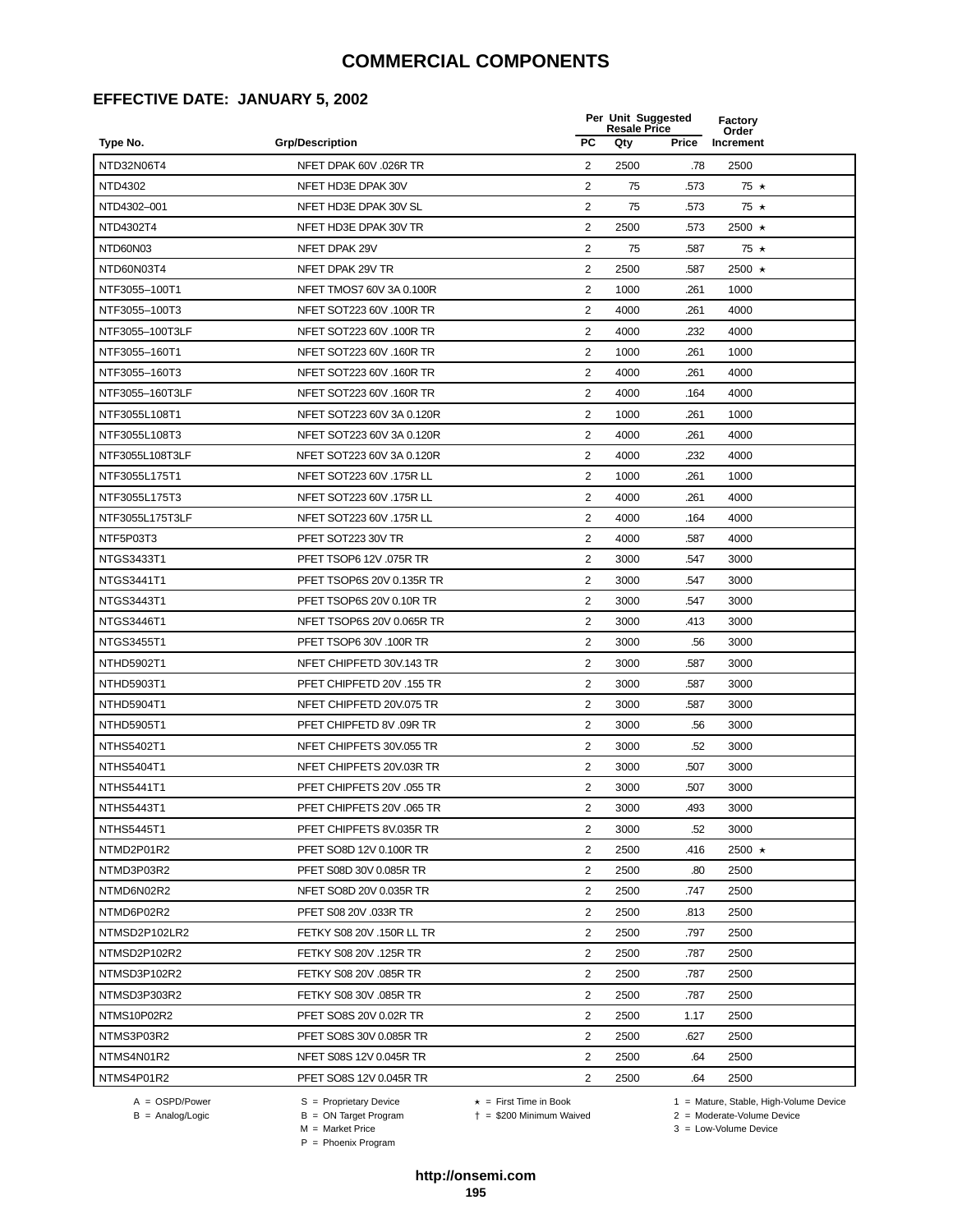## **EFFECTIVE DATE: JANUARY 5, 2002**

|                   |                           |                | Per Unit Suggested<br><b>Resale Price</b> |       | Factory<br>Order |  |
|-------------------|---------------------------|----------------|-------------------------------------------|-------|------------------|--|
| Type No.          | <b>Grp/Description</b>    | <b>PC</b>      | Qty                                       | Price | Increment        |  |
| NTD32N06T4        | NFET DPAK 60V .026R TR    | $\overline{2}$ | 2500                                      | .78   | 2500             |  |
| NTD4302           | NFET HD3E DPAK 30V        | 2              | 75                                        | .573  | $75 \star$       |  |
| NTD4302-001       | NFET HD3E DPAK 30V SL     | $\overline{2}$ | 75                                        | .573  | 75 ★             |  |
| NTD4302T4         | NFET HD3E DPAK 30V TR     | $\overline{2}$ | 2500                                      | .573  | 2500 $\star$     |  |
| NTD60N03          | NFET DPAK 29V             | $\overline{2}$ | 75                                        | .587  | $75 \star$       |  |
| NTD60N03T4        | NFET DPAK 29V TR          | 2              | 2500                                      | .587  | 2500 $\star$     |  |
| NTF3055-100T1     | NFET TMOS7 60V 3A 0.100R  | $\overline{2}$ | 1000                                      | .261  | 1000             |  |
| NTF3055-100T3     | NFET SOT223 60V .100R TR  | $\overline{2}$ | 4000                                      | .261  | 4000             |  |
| NTF3055-100T3LF   | NFET SOT223 60V .100R TR  | $\overline{2}$ | 4000                                      | .232  | 4000             |  |
| NTF3055-160T1     | NFET SOT223 60V .160R TR  | $\overline{2}$ | 1000                                      | .261  | 1000             |  |
| NTF3055-160T3     | NFET SOT223 60V .160R TR  | 2              | 4000                                      | .261  | 4000             |  |
| NTF3055-160T3LF   | NFET SOT223 60V .160R TR  | $\overline{2}$ | 4000                                      | .164  | 4000             |  |
| NTF3055L108T1     | NFET SOT223 60V 3A 0.120R | $\overline{2}$ | 1000                                      | .261  | 1000             |  |
| NTF3055L108T3     | NFET SOT223 60V 3A 0.120R | $\overline{2}$ | 4000                                      | .261  | 4000             |  |
| NTF3055L108T3LF   | NFET SOT223 60V 3A 0.120R | 2              | 4000                                      | .232  | 4000             |  |
| NTF3055L175T1     | NFET SOT223 60V .175R LL  | $\overline{2}$ | 1000                                      | .261  | 1000             |  |
| NTF3055L175T3     | NFET SOT223 60V .175R LL  | $\overline{2}$ | 4000                                      | .261  | 4000             |  |
| NTF3055L175T3LF   | NFET SOT223 60V .175R LL  | 2              | 4000                                      | .164  | 4000             |  |
| NTF5P03T3         | PFET SOT223 30V TR        | $\overline{2}$ | 4000                                      | .587  | 4000             |  |
| NTGS3433T1        | PFET TSOP6 12V .075R TR   | 2              | 3000                                      | .547  | 3000             |  |
| NTGS3441T1        | PFET TSOP6S 20V 0.135R TR | 2              | 3000                                      | .547  | 3000             |  |
| NTGS3443T1        | PFET TSOP6S 20V 0.10R TR  | $\overline{2}$ | 3000                                      | .547  | 3000             |  |
| NTGS3446T1        | NFET TSOP6S 20V 0.065R TR | $\overline{2}$ | 3000                                      | .413  | 3000             |  |
| NTGS3455T1        | PFET TSOP6 30V .100R TR   | $\overline{2}$ | 3000                                      | .56   | 3000             |  |
| NTHD5902T1        | NFET CHIPFETD 30V.143 TR  | $\overline{2}$ | 3000                                      | .587  | 3000             |  |
| NTHD5903T1        | PFET CHIPFETD 20V .155 TR | $\overline{2}$ | 3000                                      | .587  | 3000             |  |
| NTHD5904T1        | NFET CHIPFETD 20V.075 TR  | 2              | 3000                                      | .587  | 3000             |  |
| NTHD5905T1        | PFET CHIPFETD 8V .09R TR  | $\overline{2}$ | 3000                                      | .56   | 3000             |  |
| <b>NTHS5402T1</b> | NFET CHIPFETS 30V.055 TR  | 2              | 3000                                      | .52   | 3000             |  |
| <b>NTHS5404T1</b> | NFET CHIPFETS 20V.03R TR  | $\overline{2}$ | 3000                                      | .507  | 3000             |  |
| <b>NTHS5441T1</b> | PFET CHIPFETS 20V .055 TR | $\overline{2}$ | 3000                                      | .507  | 3000             |  |
| <b>NTHS5443T1</b> | PFET CHIPFETS 20V .065 TR | 2              | 3000                                      | 493   | 3000             |  |
| <b>NTHS5445T1</b> | PFET CHIPFETS 8V.035R TR  | 2              | 3000                                      | .52   | 3000             |  |
| NTMD2P01R2        | PFET SO8D 12V 0.100R TR   | 2              | 2500                                      | .416  | 2500 $\star$     |  |
| NTMD3P03R2        | PFET S08D 30V 0.085R TR   | 2              | 2500                                      | .80   | 2500             |  |
| NTMD6N02R2        | NFET SO8D 20V 0.035R TR   | 2              | 2500                                      | .747  | 2500             |  |
| NTMD6P02R2        | PFET S08 20V .033R TR     | $\overline{2}$ | 2500                                      | .813  | 2500             |  |
| NTMSD2P102LR2     | FETKY S08 20V .150R LL TR | 2              | 2500                                      | .797  | 2500             |  |
| NTMSD2P102R2      | FETKY S08 20V .125R TR    | $\overline{2}$ | 2500                                      | .787  | 2500             |  |
| NTMSD3P102R2      | FETKY S08 20V .085R TR    | $\overline{2}$ | 2500                                      | .787  | 2500             |  |
| NTMSD3P303R2      | FETKY S08 30V .085R TR    | $\overline{2}$ | 2500                                      | .787  | 2500             |  |
| NTMS10P02R2       | PFET SO8S 20V 0.02R TR    | 2              | 2500                                      | 1.17  | 2500             |  |
| NTMS3P03R2        | PFET SO8S 30V 0.085R TR   | 2              | 2500                                      | .627  | 2500             |  |
| NTMS4N01R2        | NFET S08S 12V 0.045R TR   | 2              | 2500                                      | .64   | 2500             |  |
| NTMS4P01R2        | PFET SO8S 12V 0.045R TR   | 2              | 2500                                      | .64   | 2500             |  |
|                   |                           |                |                                           |       |                  |  |

 $B = \text{Analog/Logic}$ <br>B = ON Target Program<br> $M = \text{Market Price}$ 

= \$200 Minimum Waived 2 = Moderate-Volume Device

A = OSPD/Power S = Proprietary Device  $\star$  = First Time in Book 1 = Mature, Stable, High-Volume Device

 $3 =$  Low-Volume Device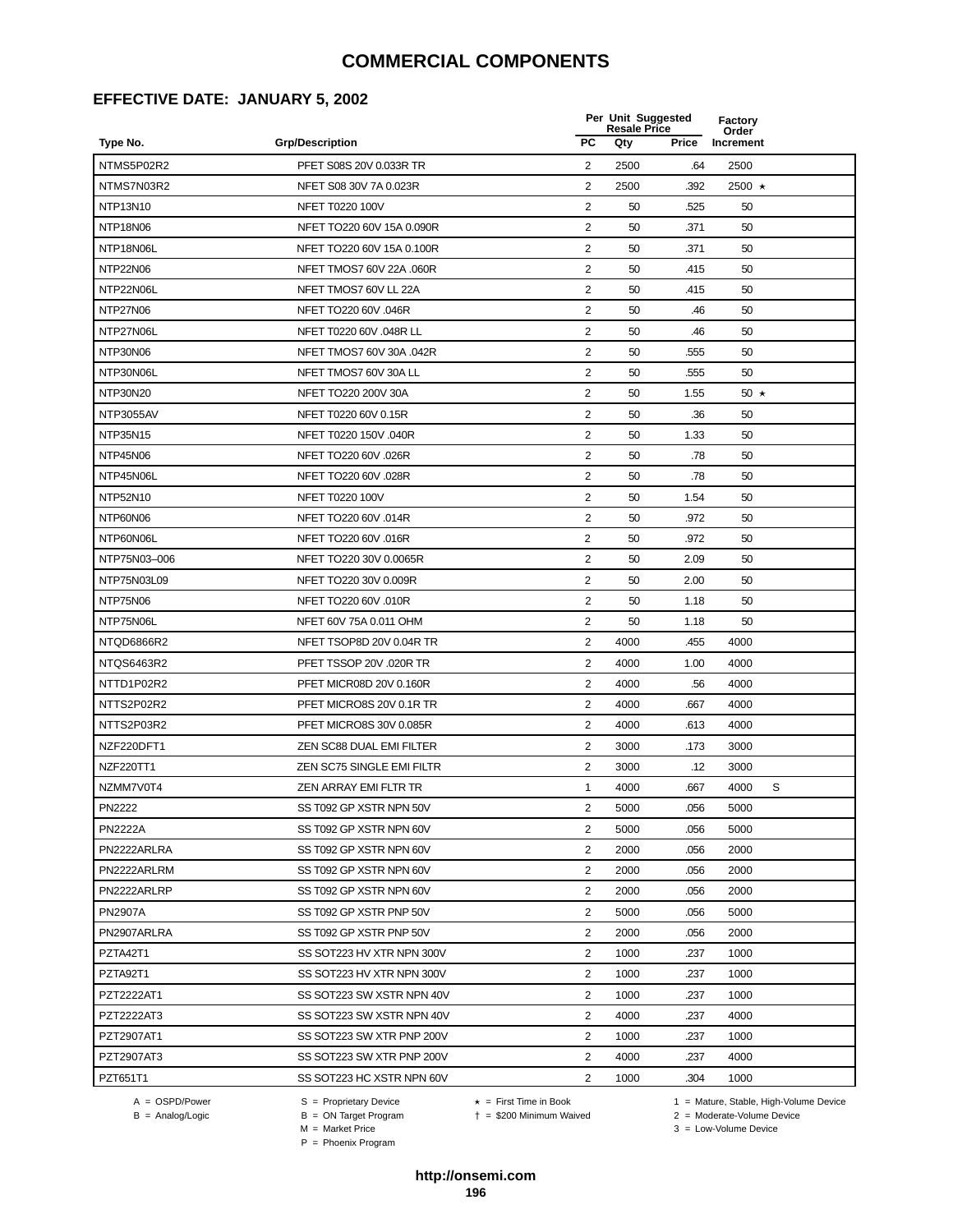### **EFFECTIVE DATE: JANUARY 5, 2002**

|                  |                              | Per Unit Suggested<br><b>Resale Price</b> |      |       | Factory<br>Order |   |
|------------------|------------------------------|-------------------------------------------|------|-------|------------------|---|
| Type No.         | <b>Grp/Description</b>       | <b>PC</b>                                 | Qty  | Price | Increment        |   |
| NTMS5P02R2       | PFET S08S 20V 0.033R TR      | 2                                         | 2500 | .64   | 2500             |   |
| NTMS7N03R2       | NFET S08 30V 7A 0.023R       | 2                                         | 2500 | .392  | 2500 ★           |   |
| NTP13N10         | NFET T0220 100V              | $\overline{2}$                            | 50   | .525  | 50               |   |
| NTP18N06         | NFET TO220 60V 15A 0.090R    | 2                                         | 50   | .371  | 50               |   |
| NTP18N06L        | NFET TO220 60V 15A 0.100R    | $\sqrt{2}$                                | 50   | .371  | 50               |   |
| <b>NTP22N06</b>  | NFET TMOS7 60V 22A .060R     | 2                                         | 50   | .415  | 50               |   |
| NTP22N06L        | NFET TMOS7 60V LL 22A        | $\overline{2}$                            | 50   | .415  | 50               |   |
| NTP27N06         | NFET TO220 60V .046R         | 2                                         | 50   | .46   | 50               |   |
| NTP27N06L        | NFET T0220 60V .048R LL      | 2                                         | 50   | .46   | 50               |   |
| NTP30N06         | NFET TMOS7 60V 30A .042R     | $\overline{2}$                            | 50   | .555  | 50               |   |
| NTP30N06L        | NFET TMOS7 60V 30A LL        | 2                                         | 50   | .555  | 50               |   |
| NTP30N20         | NFET TO220 200V 30A          | $\overline{2}$                            | 50   | 1.55  | 50 $\star$       |   |
| <b>NTP3055AV</b> | NFET T0220 60V 0.15R         | 2                                         | 50   | .36   | 50               |   |
| NTP35N15         | NFET T0220 150V .040R        | $\overline{2}$                            | 50   | 1.33  | 50               |   |
| NTP45N06         | NFET TO220 60V .026R         | 2                                         | 50   | .78   | 50               |   |
| NTP45N06L        | NFET TO220 60V .028R         | $\overline{2}$                            | 50   | .78   | 50               |   |
| NTP52N10         | NFET T0220 100V              | 2                                         | 50   | 1.54  | 50               |   |
| NTP60N06         | NFET TO220 60V .014R         | $\overline{2}$                            | 50   | .972  | 50               |   |
| NTP60N06L        | NFET TO220 60V .016R         | 2                                         | 50   | .972  | 50               |   |
| NTP75N03-006     | NFET TO220 30V 0.0065R       | $\overline{2}$                            | 50   | 2.09  | 50               |   |
| NTP75N03L09      | NFET TO220 30V 0.009R        | $\overline{2}$                            | 50   | 2.00  | 50               |   |
| NTP75N06         | NFET TO220 60V .010R         | 2                                         | 50   | 1.18  | 50               |   |
| NTP75N06L        | NFET 60V 75A 0.011 OHM       | $\sqrt{2}$                                | 50   | 1.18  | 50               |   |
| NTQD6866R2       | NFET TSOP8D 20V 0.04R TR     | 2                                         | 4000 | .455  | 4000             |   |
| NTQS6463R2       | PFET TSSOP 20V .020R TR      | $\overline{2}$                            | 4000 | 1.00  | 4000             |   |
| NTTD1P02R2       | PFET MICR08D 20V 0.160R      | 2                                         | 4000 | .56   | 4000             |   |
| NTTS2P02R2       | PFET MICRO8S 20V 0.1R TR     | 2                                         | 4000 | .667  | 4000             |   |
| NTTS2P03R2       | PFET MICRO8S 30V 0.085R      | $\overline{2}$                            | 4000 | .613  | 4000             |   |
| NZF220DFT1       | ZEN SC88 DUAL EMI FILTER     | 2                                         | 3000 | .173  | 3000             |   |
| NZF220TT1        | ZEN SC75 SINGLE EMI FILTR    | $\overline{2}$                            | 3000 | .12   | 3000             |   |
| NZMM7V0T4        | <b>ZEN ARRAY EMI FLTR TR</b> | 1                                         | 4000 | .667  | 4000             | S |
| PN2222           | SS T092 GP XSTR NPN 50V      | 2                                         | 5000 | .056  | 5000             |   |
| <b>PN2222A</b>   | SS T092 GP XSTR NPN 60V      | 2                                         | 5000 | .056  | 5000             |   |
| PN2222ARLRA      | SS T092 GP XSTR NPN 60V      | 2                                         | 2000 | .056  | 2000             |   |
| PN2222ARLRM      | SS T092 GP XSTR NPN 60V      | 2                                         | 2000 | .056  | 2000             |   |
| PN2222ARLRP      | SS T092 GP XSTR NPN 60V      | 2                                         | 2000 | .056  | 2000             |   |
| <b>PN2907A</b>   | SS T092 GP XSTR PNP 50V      | $\overline{2}$                            | 5000 | .056  | 5000             |   |
| PN2907ARLRA      | SS T092 GP XSTR PNP 50V      | 2                                         | 2000 | .056  | 2000             |   |
| PZTA42T1         | SS SOT223 HV XTR NPN 300V    | $\overline{2}$                            | 1000 | .237  | 1000             |   |
| PZTA92T1         | SS SOT223 HV XTR NPN 300V    | 2                                         | 1000 | .237  | 1000             |   |
| PZT2222AT1       | SS SOT223 SW XSTR NPN 40V    | 2                                         | 1000 | .237  | 1000             |   |
| PZT2222AT3       | SS SOT223 SW XSTR NPN 40V    | 2                                         | 4000 | .237  | 4000             |   |
| PZT2907AT1       | SS SOT223 SW XTR PNP 200V    | 2                                         | 1000 | .237  | 1000             |   |
| PZT2907AT3       | SS SOT223 SW XTR PNP 200V    | 2                                         | 4000 | .237  | 4000             |   |
| PZT651T1         | SS SOT223 HC XSTR NPN 60V    | $\overline{c}$                            | 1000 | .304  | 1000             |   |

 $B = \text{Analog/Logic}$ <br>B = ON Target Program<br> $M = \text{Market Price}$ 

= \$200 Minimum Waived 2 = Moderate-Volume Device

A = OSPD/Power S = Proprietary Device  $\star$  = First Time in Book 1 = Mature, Stable, High-Volume Device

 $3 =$  Low-Volume Device

P = Phoenix Program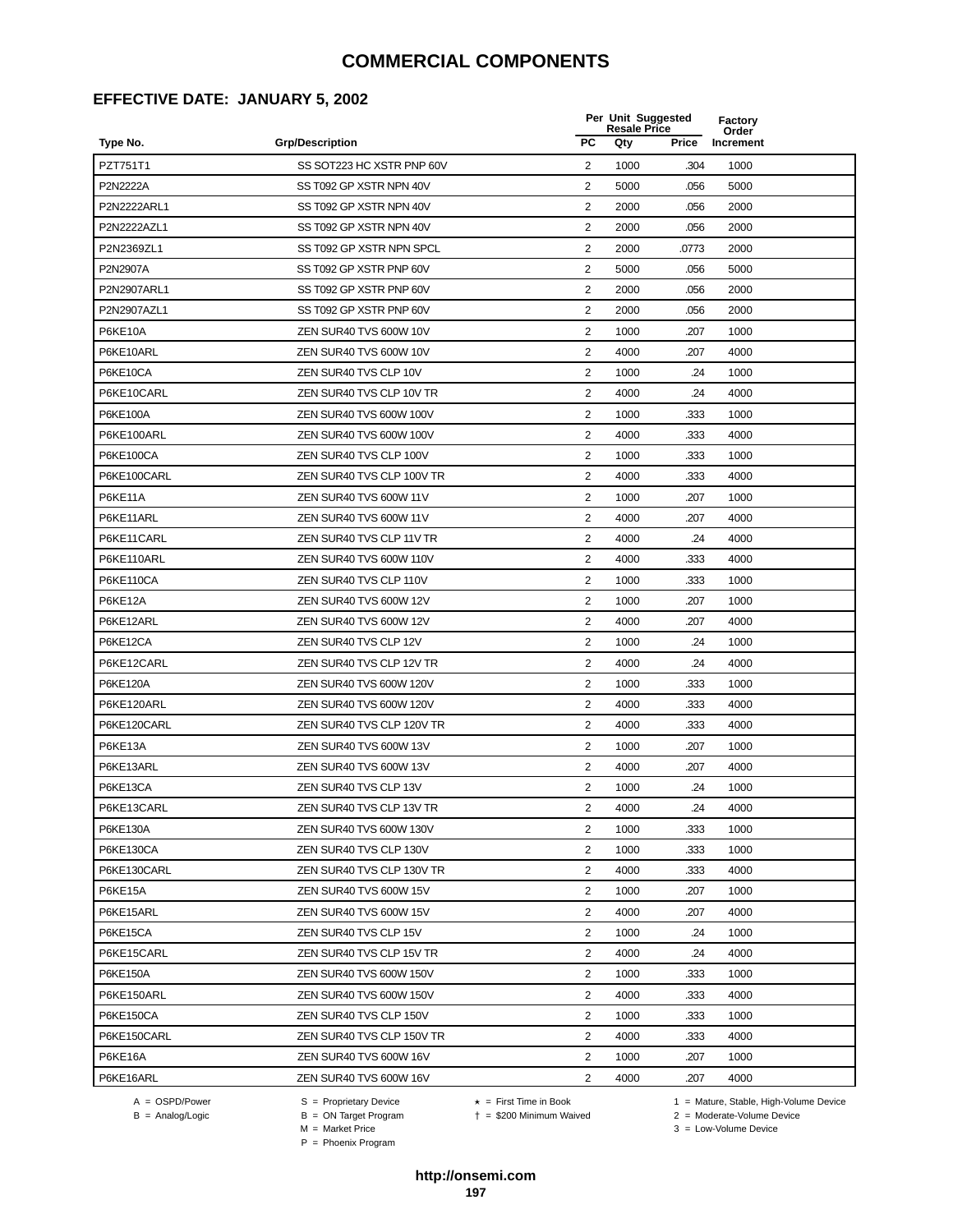## **EFFECTIVE DATE: JANUARY 5, 2002**

|                  |                           |                       | Per Unit Suggested<br><b>Resale Price</b> |       |                    |  |
|------------------|---------------------------|-----------------------|-------------------------------------------|-------|--------------------|--|
| Type No.         | <b>Grp/Description</b>    | PC                    | Qty                                       | Price | Order<br>Increment |  |
| PZT751T1         | SS SOT223 HC XSTR PNP 60V | $\overline{2}$        | 1000                                      | .304  | 1000               |  |
| P2N2222A         | SS T092 GP XSTR NPN 40V   | 2                     | 5000                                      | .056  | 5000               |  |
| P2N2222ARL1      | SS T092 GP XSTR NPN 40V   | 2                     | 2000                                      | .056  | 2000               |  |
| P2N2222AZL1      | SS T092 GP XSTR NPN 40V   | 2                     | 2000                                      | .056  | 2000               |  |
| P2N2369ZL1       | SS T092 GP XSTR NPN SPCL  | 2                     | 2000                                      | .0773 | 2000               |  |
| P2N2907A         | SS T092 GP XSTR PNP 60V   | 2                     | 5000                                      | .056  | 5000               |  |
| P2N2907ARL1      | SS T092 GP XSTR PNP 60V   | 2                     | 2000                                      | .056  | 2000               |  |
| P2N2907AZL1      | SS T092 GP XSTR PNP 60V   | $\overline{2}$        | 2000                                      | .056  | 2000               |  |
| <b>P6KE10A</b>   | ZEN SUR40 TVS 600W 10V    | $\overline{2}$        | 1000                                      | .207  | 1000               |  |
| P6KE10ARL        | ZEN SUR40 TVS 600W 10V    | 2                     | 4000                                      | .207  | 4000               |  |
| P6KE10CA         | ZEN SUR40 TVS CLP 10V     | 2                     | 1000                                      | .24   | 1000               |  |
| P6KE10CARL       | ZEN SUR40 TVS CLP 10V TR  | $\overline{2}$        | 4000                                      | .24   | 4000               |  |
| P6KE100A         | ZEN SUR40 TVS 600W 100V   | 2                     | 1000                                      | .333  | 1000               |  |
| P6KE100ARL       | ZEN SUR40 TVS 600W 100V   | 2                     | 4000                                      | .333  | 4000               |  |
| <b>P6KE100CA</b> | ZEN SUR40 TVS CLP 100V    | 2                     | 1000                                      | .333  | 1000               |  |
| P6KE100CARL      | ZEN SUR40 TVS CLP 100V TR | 2                     | 4000                                      | .333  | 4000               |  |
| P6KE11A          | ZEN SUR40 TVS 600W 11V    | 2                     | 1000                                      | .207  | 1000               |  |
| P6KE11ARL        | ZEN SUR40 TVS 600W 11V    | 2                     | 4000                                      | .207  | 4000               |  |
| P6KE11CARL       | ZEN SUR40 TVS CLP 11V TR  | 2                     | 4000                                      | .24   | 4000               |  |
| P6KE110ARL       | ZEN SUR40 TVS 600W 110V   | 2                     | 4000                                      | .333  | 4000               |  |
| <b>P6KE110CA</b> | ZEN SUR40 TVS CLP 110V    | 2                     | 1000                                      | .333  | 1000               |  |
| P6KE12A          | ZEN SUR40 TVS 600W 12V    | 2                     | 1000                                      | .207  | 1000               |  |
| P6KE12ARL        | ZEN SUR40 TVS 600W 12V    | 2                     | 4000                                      | .207  | 4000               |  |
| P6KE12CA         | ZEN SUR40 TVS CLP 12V     | 2                     | 1000                                      | .24   | 1000               |  |
| P6KE12CARL       | ZEN SUR40 TVS CLP 12V TR  | $\overline{2}$        | 4000                                      | .24   | 4000               |  |
| <b>P6KE120A</b>  | ZEN SUR40 TVS 600W 120V   | $\overline{2}$        | 1000                                      | .333  | 1000               |  |
| P6KE120ARL       | ZEN SUR40 TVS 600W 120V   | 2                     | 4000                                      | .333  | 4000               |  |
| P6KE120CARL      | ZEN SUR40 TVS CLP 120V TR | 2                     | 4000                                      | .333  | 4000               |  |
| P6KE13A          | ZEN SUR40 TVS 600W 13V    | 2                     | 1000                                      | .207  | 1000               |  |
| P6KE13ARL        | ZEN SUR40 TVS 600W 13V    | 2                     | 4000                                      | .207  | 4000               |  |
| P6KE13CA         | ZEN SUR40 TVS CLP 13V     | 2                     | 1000                                      | .24   | 1000               |  |
| P6KE13CARL       | ZEN SUR40 TVS CLP 13V TR  | 2                     | 4000                                      | .24   | 4000               |  |
| P6KE130A         | ZEN SUR40 TVS 600W 130V   | 2                     | 1000                                      | .333  | 1000               |  |
| P6KE130CA        | ZEN SUR40 TVS CLP 130V    | $\overline{2}$        | 1000                                      | .333  | 1000               |  |
| P6KE130CARL      | ZEN SUR40 TVS CLP 130V TR | $\mathbf{2}^{\prime}$ | 4000                                      | .333  | 4000               |  |
| P6KE15A          | ZEN SUR40 TVS 600W 15V    | $\overline{2}$        | 1000                                      | .207  | 1000               |  |
| P6KE15ARL        | ZEN SUR40 TVS 600W 15V    | 2                     | 4000                                      | .207  | 4000               |  |
| P6KE15CA         | ZEN SUR40 TVS CLP 15V     | 2                     | 1000                                      | .24   | 1000               |  |
| P6KE15CARL       | ZEN SUR40 TVS CLP 15V TR  | 2                     | 4000                                      | .24   | 4000               |  |
| <b>P6KE150A</b>  | ZEN SUR40 TVS 600W 150V   | 2                     | 1000                                      | .333  | 1000               |  |
| P6KE150ARL       | ZEN SUR40 TVS 600W 150V   | $\overline{2}$        | 4000                                      | .333  | 4000               |  |
| <b>P6KE150CA</b> | ZEN SUR40 TVS CLP 150V    | 2                     | 1000                                      | .333  | 1000               |  |
| P6KE150CARL      | ZEN SUR40 TVS CLP 150V TR | 2                     | 4000                                      | .333  | 4000               |  |
| P6KE16A          | ZEN SUR40 TVS 600W 16V    | $\overline{2}$        | 1000                                      | .207  | 1000               |  |
| P6KE16ARL        | ZEN SUR40 TVS 600W 16V    | 2                     | 4000                                      | .207  | 4000               |  |

A = OSPD/Power S = Proprietary Device<br>
B = Analog/Logic B = ON Target Program<br>
M = Market Price

A = OSPD/Power S = Proprietary Device  $\star$  = First Time in Book 1 = Mature, Stable, High-Volume Device = \$200 Minimum Waived 2 = Moderate-Volume Device

 $2 =$  Moderate-Volume Device<br> $3 =$  Low-Volume Device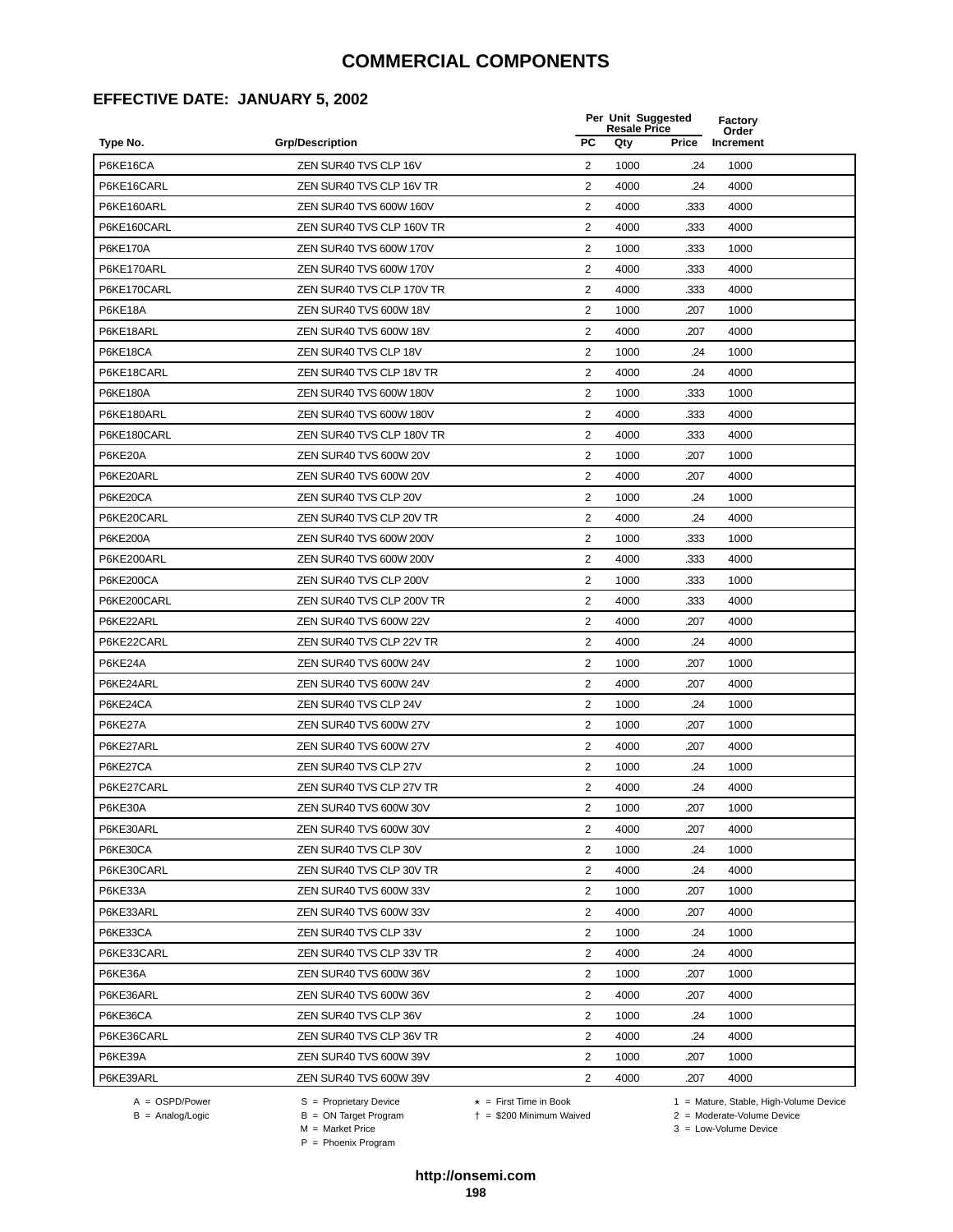## **EFFECTIVE DATE: JANUARY 5, 2002**

|                  |                           |                         | Per Unit Suggested<br><b>Resale Price</b> |              | Factory<br>Order |
|------------------|---------------------------|-------------------------|-------------------------------------------|--------------|------------------|
| Type No.         | <b>Grp/Description</b>    | <b>PC</b>               | Qty                                       | <b>Price</b> | Increment        |
| P6KE16CA         | ZEN SUR40 TVS CLP 16V     | 2                       | 1000                                      | .24          | 1000             |
| P6KE16CARL       | ZEN SUR40 TVS CLP 16V TR  | 2                       | 4000                                      | .24          | 4000             |
| P6KE160ARL       | ZEN SUR40 TVS 600W 160V   | $\overline{2}$          | 4000                                      | .333         | 4000             |
| P6KE160CARL      | ZEN SUR40 TVS CLP 160V TR | 2                       | 4000                                      | .333         | 4000             |
| <b>P6KE170A</b>  | ZEN SUR40 TVS 600W 170V   | $\overline{c}$          | 1000                                      | .333         | 1000             |
| P6KE170ARL       | ZEN SUR40 TVS 600W 170V   | $\overline{2}$          | 4000                                      | .333         | 4000             |
| P6KE170CARL      | ZEN SUR40 TVS CLP 170V TR | $\overline{2}$          | 4000                                      | .333         | 4000             |
| P6KE18A          | ZEN SUR40 TVS 600W 18V    | $\overline{2}$          | 1000                                      | .207         | 1000             |
| P6KE18ARL        | ZEN SUR40 TVS 600W 18V    | 2                       | 4000                                      | .207         | 4000             |
| P6KE18CA         | ZEN SUR40 TVS CLP 18V     | 2                       | 1000                                      | .24          | 1000             |
| P6KE18CARL       | ZEN SUR40 TVS CLP 18V TR  | 2                       | 4000                                      | .24          | 4000             |
| <b>P6KE180A</b>  | ZEN SUR40 TVS 600W 180V   | 2                       | 1000                                      | .333         | 1000             |
| P6KE180ARL       | ZEN SUR40 TVS 600W 180V   | $\overline{c}$          | 4000                                      | .333         | 4000             |
| P6KE180CARL      | ZEN SUR40 TVS CLP 180V TR | $\overline{\mathbf{c}}$ | 4000                                      | .333         | 4000             |
| P6KE20A          | ZEN SUR40 TVS 600W 20V    | $\overline{2}$          | 1000                                      | .207         | 1000             |
| P6KE20ARL        | ZEN SUR40 TVS 600W 20V    | $\overline{2}$          | 4000                                      | .207         | 4000             |
| P6KE20CA         | ZEN SUR40 TVS CLP 20V     | $\overline{2}$          | 1000                                      | .24          | 1000             |
| P6KE20CARL       | ZEN SUR40 TVS CLP 20V TR  | $\overline{2}$          | 4000                                      | .24          | 4000             |
| <b>P6KE200A</b>  | ZEN SUR40 TVS 600W 200V   | $\overline{2}$          | 1000                                      | .333         | 1000             |
| P6KE200ARL       | ZEN SUR40 TVS 600W 200V   | 2                       | 4000                                      | .333         | 4000             |
| <b>P6KE200CA</b> | ZEN SUR40 TVS CLP 200V    | 2                       | 1000                                      | .333         | 1000             |
| P6KE200CARL      | ZEN SUR40 TVS CLP 200V TR | 2                       | 4000                                      | .333         | 4000             |
| P6KE22ARL        | ZEN SUR40 TVS 600W 22V    | $\overline{\mathbf{c}}$ | 4000                                      | .207         | 4000             |
| P6KE22CARL       | ZEN SUR40 TVS CLP 22V TR  | 2                       | 4000                                      | .24          | 4000             |
| P6KE24A          | ZEN SUR40 TVS 600W 24V    | $\overline{2}$          | 1000                                      | .207         | 1000             |
| P6KE24ARL        | ZEN SUR40 TVS 600W 24V    | $\overline{2}$          | 4000                                      | .207         | 4000             |
| P6KE24CA         | ZEN SUR40 TVS CLP 24V     | $\overline{2}$          | 1000                                      | .24          | 1000             |
| P6KE27A          | ZEN SUR40 TVS 600W 27V    | 2                       | 1000                                      | .207         | 1000             |
| P6KE27ARL        | ZEN SUR40 TVS 600W 27V    | 2                       | 4000                                      | .207         | 4000             |
| P6KE27CA         | ZEN SUR40 TVS CLP 27V     | $\overline{2}$          | 1000                                      | .24          | 1000             |
| P6KE27CARL       | ZEN SUR40 TVS CLP 27V TR  | 2                       | 4000                                      | .24          | 4000             |
| P6KE30A          | ZEN SUR40 TVS 600W 30V    | 2                       | 1000                                      | .207         | 1000             |
| P6KE30ARL        | ZEN SUR40 TVS 600W 30V    | $\overline{2}$          | 4000                                      | .207         | 4000             |
| P6KE30CA         | ZEN SUR40 TVS CLP 30V     | $\overline{2}$          | 1000                                      | .24          | 1000             |
| P6KE30CARL       | ZEN SUR40 TVS CLP 30V TR  | $\overline{2}$          | 4000                                      | .24          | 4000             |
| P6KE33A          | ZEN SUR40 TVS 600W 33V    | 2                       | 1000                                      | .207         | 1000             |
| P6KE33ARL        | ZEN SUR40 TVS 600W 33V    | 2                       | 4000                                      | .207         | 4000             |
| P6KE33CA         | ZEN SUR40 TVS CLP 33V     | 2                       | 1000                                      | .24          | 1000             |
| P6KE33CARL       | ZEN SUR40 TVS CLP 33V TR  | 2                       | 4000                                      | .24          | 4000             |
| P6KE36A          | ZEN SUR40 TVS 600W 36V    | 2                       | 1000                                      | .207         | 1000             |
| P6KE36ARL        | ZEN SUR40 TVS 600W 36V    | $\overline{2}$          | 4000                                      | .207         | 4000             |
| P6KE36CA         | ZEN SUR40 TVS CLP 36V     | 2                       | 1000                                      | .24          | 1000             |
| P6KE36CARL       | ZEN SUR40 TVS CLP 36V TR  | $\overline{2}$          | 4000                                      | .24          | 4000             |
| P6KE39A          | ZEN SUR40 TVS 600W 39V    | $\overline{2}$          | 1000                                      | .207         | 1000             |
| P6KE39ARL        | ZEN SUR40 TVS 600W 39V    | $\overline{c}$          | 4000                                      | .207         | 4000             |

 $B = \text{Analog/Logic}$ <br>B = ON Target Program<br> $M = \text{Market Price}$ 

A = OSPD/Power S = Proprietary Device  $\star$  = First Time in Book 1 = Mature, Stable, High-Volume Device = \$200 Minimum Waived 2 = Moderate-Volume Device

 $3 =$  Low-Volume Device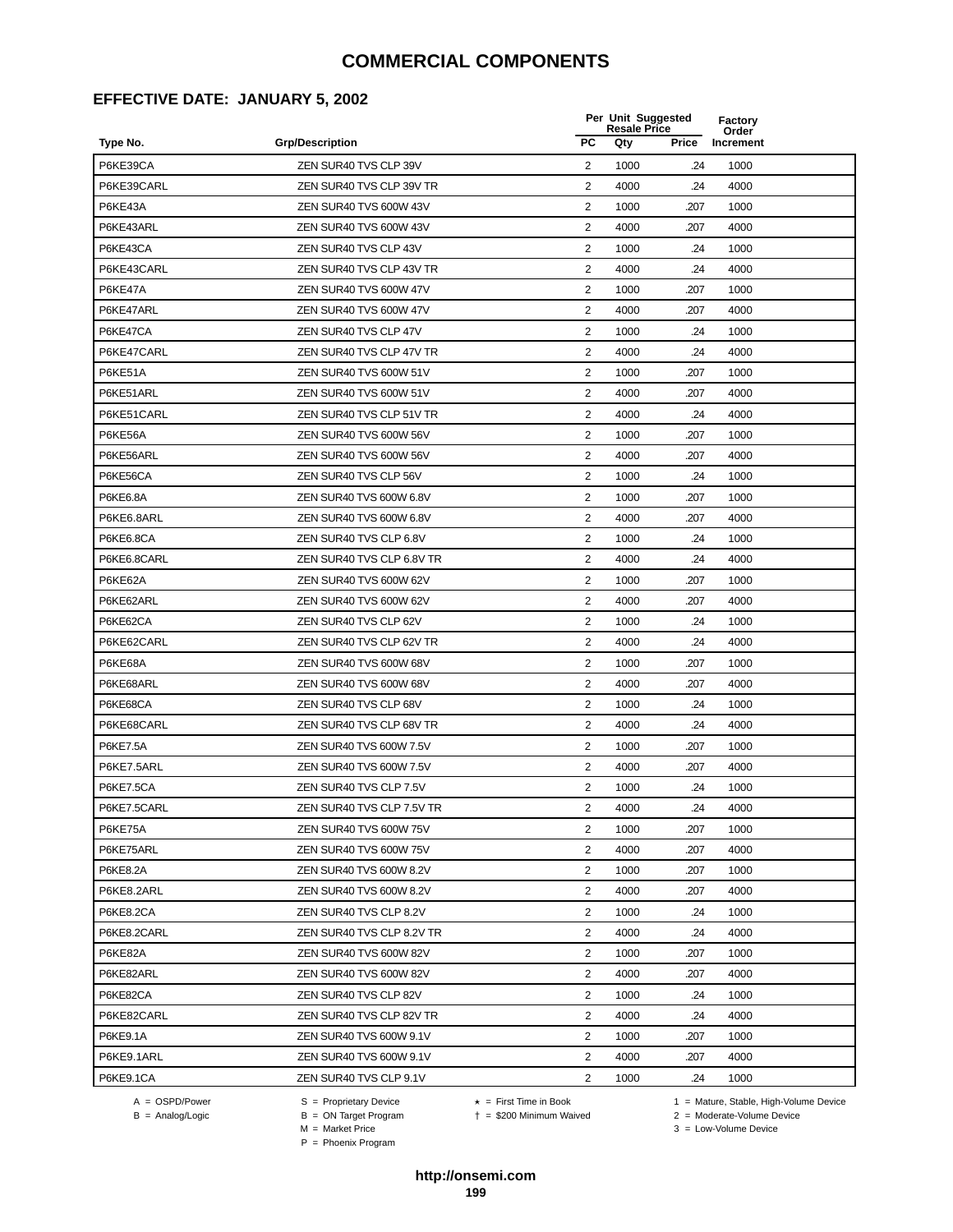### **EFFECTIVE DATE: JANUARY 5, 2002**

|                 |                                |                | Per Unit Suggested<br><b>Resale Price</b> |       | Factory<br>Order |  |
|-----------------|--------------------------------|----------------|-------------------------------------------|-------|------------------|--|
| Type No.        | <b>Grp/Description</b>         | <b>PC</b>      | Qty                                       | Price | Increment        |  |
| P6KE39CA        | ZEN SUR40 TVS CLP 39V          | 2              | 1000                                      | .24   | 1000             |  |
| P6KE39CARL      | ZEN SUR40 TVS CLP 39V TR       | 2              | 4000                                      | .24   | 4000             |  |
| P6KE43A         | ZEN SUR40 TVS 600W 43V         | 2              | 1000                                      | .207  | 1000             |  |
| P6KE43ARL       | ZEN SUR40 TVS 600W 43V         | 2              | 4000                                      | .207  | 4000             |  |
| P6KE43CA        | ZEN SUR40 TVS CLP 43V          | $\overline{c}$ | 1000                                      | .24   | 1000             |  |
| P6KE43CARL      | ZEN SUR40 TVS CLP 43V TR       | $\overline{2}$ | 4000                                      | .24   | 4000             |  |
| P6KE47A         | ZEN SUR40 TVS 600W 47V         | $\overline{2}$ | 1000                                      | .207  | 1000             |  |
| P6KE47ARL       | ZEN SUR40 TVS 600W 47V         | $\overline{2}$ | 4000                                      | .207  | 4000             |  |
| P6KE47CA        | ZEN SUR40 TVS CLP 47V          | 2              | 1000                                      | .24   | 1000             |  |
| P6KE47CARL      | ZEN SUR40 TVS CLP 47V TR       | 2              | 4000                                      | .24   | 4000             |  |
| P6KE51A         | ZEN SUR40 TVS 600W 51V         | 2              | 1000                                      | .207  | 1000             |  |
| P6KE51ARL       | ZEN SUR40 TVS 600W 51V         | 2              | 4000                                      | .207  | 4000             |  |
| P6KE51CARL      | ZEN SUR40 TVS CLP 51V TR       | $\overline{c}$ | 4000                                      | .24   | 4000             |  |
| P6KE56A         | ZEN SUR40 TVS 600W 56V         | $\overline{c}$ | 1000                                      | .207  | 1000             |  |
| P6KE56ARL       | ZEN SUR40 TVS 600W 56V         | $\overline{2}$ | 4000                                      | .207  | 4000             |  |
| P6KE56CA        | ZEN SUR40 TVS CLP 56V          | $\overline{2}$ | 1000                                      | .24   | 1000             |  |
| <b>P6KE6.8A</b> | ZEN SUR40 TVS 600W 6.8V        | $\overline{2}$ | 1000                                      | .207  | 1000             |  |
| P6KE6.8ARL      | ZEN SUR40 TVS 600W 6.8V        | $\overline{2}$ | 4000                                      | .207  | 4000             |  |
| P6KE6.8CA       | ZEN SUR40 TVS CLP 6.8V         | $\overline{2}$ | 1000                                      | .24   | 1000             |  |
| P6KE6.8CARL     | ZEN SUR40 TVS CLP 6.8V TR      | 2              | 4000                                      | .24   | 4000             |  |
| P6KE62A         | ZEN SUR40 TVS 600W 62V         | 2              | 1000                                      | .207  | 1000             |  |
| P6KE62ARL       | ZEN SUR40 TVS 600W 62V         | 2              | 4000                                      | .207  | 4000             |  |
| P6KE62CA        | ZEN SUR40 TVS CLP 62V          | $\overline{c}$ | 1000                                      | .24   | 1000             |  |
| P6KE62CARL      | ZEN SUR40 TVS CLP 62V TR       | 2              | 4000                                      | .24   | 4000             |  |
| P6KE68A         | ZEN SUR40 TVS 600W 68V         | $\overline{2}$ | 1000                                      | .207  | 1000             |  |
| P6KE68ARL       | ZEN SUR40 TVS 600W 68V         | $\overline{2}$ | 4000                                      | .207  | 4000             |  |
| P6KE68CA        | ZEN SUR40 TVS CLP 68V          | $\overline{2}$ | 1000                                      | .24   | 1000             |  |
| P6KE68CARL      | ZEN SUR40 TVS CLP 68V TR       | 2              | 4000                                      | .24   | 4000             |  |
| <b>P6KE7.5A</b> | ZEN SUR40 TVS 600W 7.5V        | 2              | 1000                                      | .207  | 1000             |  |
| P6KE7.5ARL      | ZEN SUR40 TVS 600W 7.5V        | $\overline{2}$ | 4000                                      | .207  | 4000             |  |
| P6KE7.5CA       | ZEN SUR40 TVS CLP 7.5V         | $\overline{2}$ | 1000                                      | .24   | 1000             |  |
| P6KE7.5CARL     | ZEN SUR40 TVS CLP 7.5V TR      | 2              | 4000                                      | .24   | 4000             |  |
| P6KE75A         | ZEN SUR40 TVS 600W 75V         | $\overline{2}$ | 1000                                      | .207  | 1000             |  |
| P6KE75ARL       | ZEN SUR40 TVS 600W 75V         | $\overline{2}$ | 4000                                      | .207  | 4000             |  |
| <b>P6KE8.2A</b> | <b>ZEN SUR40 TVS 600W 8.2V</b> | $\overline{2}$ | 1000                                      | .207  | 1000             |  |
| P6KE8.2ARL      | ZEN SUR40 TVS 600W 8.2V        | $\overline{a}$ | 4000                                      | .207  | 4000             |  |
| P6KE8.2CA       | ZEN SUR40 TVS CLP 8.2V         | $\overline{2}$ | 1000                                      | .24   | 1000             |  |
| P6KE8.2CARL     | ZEN SUR40 TVS CLP 8.2V TR      | 2              | 4000                                      | .24   | 4000             |  |
| P6KE82A         | ZEN SUR40 TVS 600W 82V         | 2              | 1000                                      | .207  | 1000             |  |
| P6KE82ARL       | ZEN SUR40 TVS 600W 82V         | 2              | 4000                                      | .207  | 4000             |  |
| P6KE82CA        | ZEN SUR40 TVS CLP 82V          | $\overline{2}$ | 1000                                      | .24   | 1000             |  |
| P6KE82CARL      | ZEN SUR40 TVS CLP 82V TR       | 2              | 4000                                      | .24   | 4000             |  |
| <b>P6KE9.1A</b> | ZEN SUR40 TVS 600W 9.1V        | $\overline{2}$ | 1000                                      | .207  | 1000             |  |
| P6KE9.1ARL      | ZEN SUR40 TVS 600W 9.1V        | $\overline{2}$ | 4000                                      | .207  | 4000             |  |
| P6KE9.1CA       | ZEN SUR40 TVS CLP 9.1V         | $\overline{2}$ | 1000                                      | .24   | 1000             |  |
|                 |                                |                |                                           |       |                  |  |

 $B = \text{Analog/Logic}$ <br>B = ON Target Program<br> $M = \text{Market Price}$ 

A = OSPD/Power S = Proprietary Device  $\star$  = First Time in Book 1 = Mature, Stable, High-Volume Device = \$200 Minimum Waived 2 = Moderate-Volume Device

 $3 =$  Low-Volume Device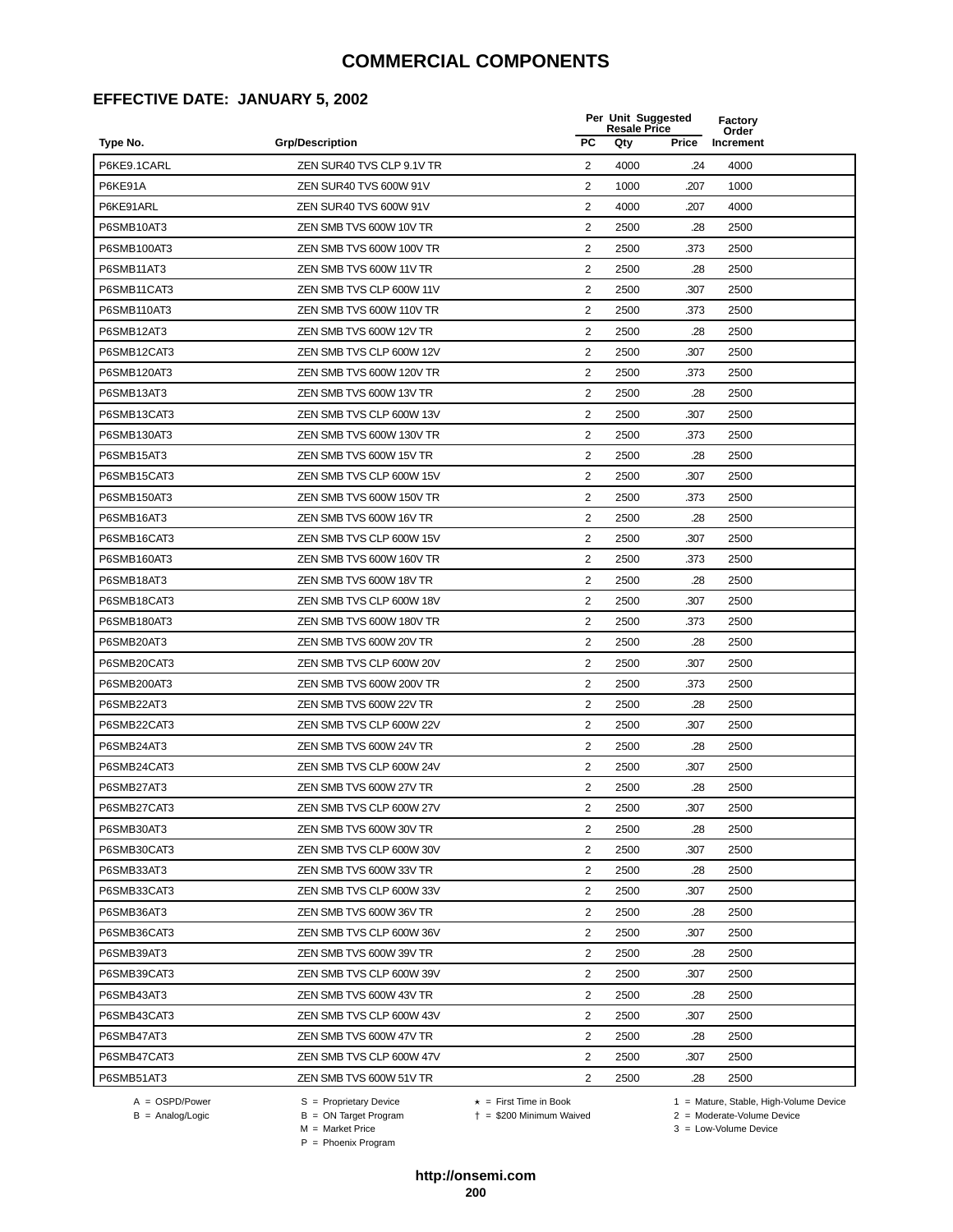### **EFFECTIVE DATE: JANUARY 5, 2002**

|             |                           |                | Per Unit Suggested<br><b>Resale Price</b> |              | Factory<br>Order |
|-------------|---------------------------|----------------|-------------------------------------------|--------------|------------------|
| Type No.    | <b>Grp/Description</b>    | PC             | Qty                                       | <b>Price</b> | Increment        |
| P6KE9.1CARL | ZEN SUR40 TVS CLP 9.1V TR | 2              | 4000                                      | .24          | 4000             |
| P6KE91A     | ZEN SUR40 TVS 600W 91V    | $\overline{2}$ | 1000                                      | .207         | 1000             |
| P6KE91ARL   | ZEN SUR40 TVS 600W 91V    | 2              | 4000                                      | .207         | 4000             |
| P6SMB10AT3  | ZEN SMB TVS 600W 10V TR   | 2              | 2500                                      | .28          | 2500             |
| P6SMB100AT3 | ZEN SMB TVS 600W 100V TR  | $\sqrt{2}$     | 2500                                      | .373         | 2500             |
| P6SMB11AT3  | ZEN SMB TVS 600W 11V TR   | $\overline{2}$ | 2500                                      | .28          | 2500             |
| P6SMB11CAT3 | ZEN SMB TVS CLP 600W 11V  | $\overline{2}$ | 2500                                      | .307         | 2500             |
| P6SMB110AT3 | ZEN SMB TVS 600W 110V TR  | $\overline{2}$ | 2500                                      | .373         | 2500             |
| P6SMB12AT3  | ZEN SMB TVS 600W 12V TR   | 2              | 2500                                      | .28          | 2500             |
| P6SMB12CAT3 | ZEN SMB TVS CLP 600W 12V  | 2              | 2500                                      | .307         | 2500             |
| P6SMB120AT3 | ZEN SMB TVS 600W 120V TR  | 2              | 2500                                      | .373         | 2500             |
| P6SMB13AT3  | ZEN SMB TVS 600W 13V TR   | 2              | 2500                                      | .28          | 2500             |
| P6SMB13CAT3 | ZEN SMB TVS CLP 600W 13V  | $\overline{c}$ | 2500                                      | .307         | 2500             |
| P6SMB130AT3 | ZEN SMB TVS 600W 130V TR  | $\sqrt{2}$     | 2500                                      | .373         | 2500             |
| P6SMB15AT3  | ZEN SMB TVS 600W 15V TR   | $\overline{2}$ | 2500                                      | .28          | 2500             |
| P6SMB15CAT3 | ZEN SMB TVS CLP 600W 15V  | $\overline{2}$ | 2500                                      | .307         | 2500             |
| P6SMB150AT3 | ZEN SMB TVS 600W 150V TR  | $\overline{2}$ | 2500                                      | .373         | 2500             |
| P6SMB16AT3  | ZEN SMB TVS 600W 16V TR   | $\overline{2}$ | 2500                                      | .28          | 2500             |
| P6SMB16CAT3 | ZEN SMB TVS CLP 600W 15V  | 2              | 2500                                      | .307         | 2500             |
| P6SMB160AT3 | ZEN SMB TVS 600W 160V TR  | $\overline{2}$ | 2500                                      | .373         | 2500             |
| P6SMB18AT3  | ZEN SMB TVS 600W 18V TR   | $\overline{2}$ | 2500                                      | .28          | 2500             |
| P6SMB18CAT3 | ZEN SMB TVS CLP 600W 18V  | $\overline{c}$ | 2500                                      | .307         | 2500             |
| P6SMB180AT3 | ZEN SMB TVS 600W 180V TR  | $\overline{c}$ | 2500                                      | .373         | 2500             |
| P6SMB20AT3  | ZEN SMB TVS 600W 20V TR   | $\overline{c}$ | 2500                                      | .28          | 2500             |
| P6SMB20CAT3 | ZEN SMB TVS CLP 600W 20V  | $\overline{2}$ | 2500                                      | .307         | 2500             |
| P6SMB200AT3 | ZEN SMB TVS 600W 200V TR  | $\overline{2}$ | 2500                                      | .373         | 2500             |
| P6SMB22AT3  | ZEN SMB TVS 600W 22V TR   | $\overline{c}$ | 2500                                      | .28          | 2500             |
| P6SMB22CAT3 | ZEN SMB TVS CLP 600W 22V  | 2              | 2500                                      | .307         | 2500             |
| P6SMB24AT3  | ZEN SMB TVS 600W 24V TR   | $\overline{2}$ | 2500                                      | .28          | 2500             |
| P6SMB24CAT3 | ZEN SMB TVS CLP 600W 24V  | $\overline{2}$ | 2500                                      | .307         | 2500             |
| P6SMB27AT3  | ZEN SMB TVS 600W 27V TR   | 2              | 2500                                      | .28          | 2500             |
| P6SMB27CAT3 | ZEN SMB TVS CLP 600W 27V  | 2              | 2500                                      | 307          | 2500             |
| P6SMB30AT3  | ZEN SMB TVS 600W 30V TR   | 2              | 2500                                      | .28          | 2500             |
| P6SMB30CAT3 | ZEN SMB TVS CLP 600W 30V  | $\overline{2}$ | 2500                                      | .307         | 2500             |
| P6SMB33AT3  | ZEN SMB TVS 600W 33V TR   | 2              | 2500                                      | .28          | 2500             |
| P6SMB33CAT3 | ZEN SMB TVS CLP 600W 33V  | 2              | 2500                                      | .307         | 2500             |
| P6SMB36AT3  | ZEN SMB TVS 600W 36V TR   | 2              | 2500                                      | .28          | 2500             |
| P6SMB36CAT3 | ZEN SMB TVS CLP 600W 36V  | 2              | 2500                                      | .307         | 2500             |
| P6SMB39AT3  | ZEN SMB TVS 600W 39V TR   | $\overline{2}$ | 2500                                      | .28          | 2500             |
| P6SMB39CAT3 | ZEN SMB TVS CLP 600W 39V  | 2              | 2500                                      | .307         | 2500             |
| P6SMB43AT3  | ZEN SMB TVS 600W 43V TR   | $\overline{c}$ | 2500                                      | .28          | 2500             |
| P6SMB43CAT3 | ZEN SMB TVS CLP 600W 43V  | 2              | 2500                                      | .307         | 2500             |
| P6SMB47AT3  | ZEN SMB TVS 600W 47V TR   | $\overline{2}$ | 2500                                      | .28          | 2500             |
| P6SMB47CAT3 | ZEN SMB TVS CLP 600W 47V  | 2              | 2500                                      | .307         | 2500             |
| P6SMB51AT3  | ZEN SMB TVS 600W 51V TR   | $\overline{c}$ | 2500                                      | .28          | 2500             |
|             |                           |                |                                           |              |                  |

 $B = \text{Analog/Logic}$ <br>B = ON Target Program<br> $M = \text{Market Price}$ 

A = OSPD/Power S = Proprietary Device  $\star$  = First Time in Book 1 = Mature, Stable, High-Volume Device = \$200 Minimum Waived 2 = Moderate-Volume Device

 $3 =$  Low-Volume Device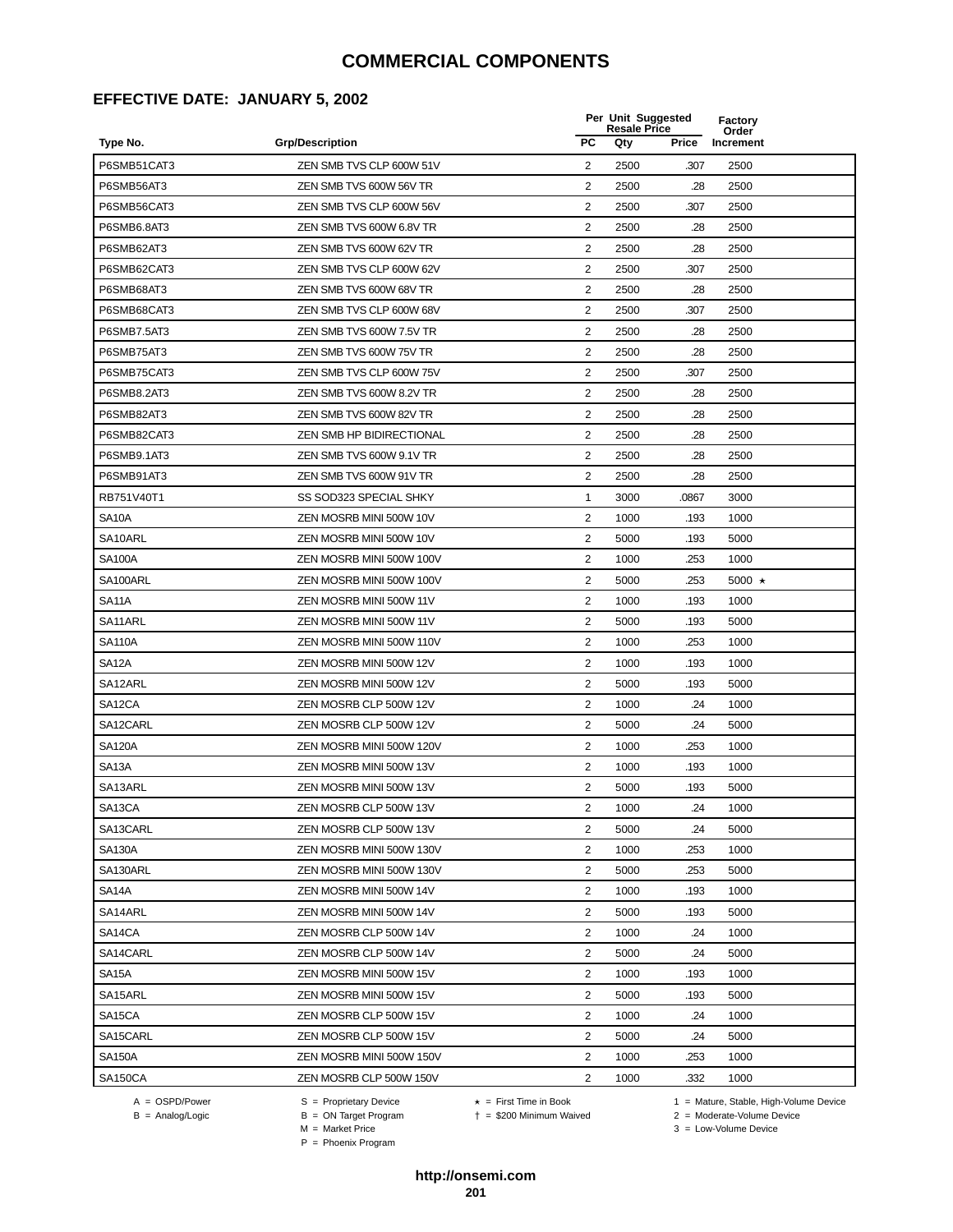# **EFFECTIVE DATE: JANUARY 5, 2002**

|                     |                                 |                | Per Unit Suggested<br><b>Resale Price</b> | Factory<br>Order |           |
|---------------------|---------------------------------|----------------|-------------------------------------------|------------------|-----------|
| Type No.            | <b>Grp/Description</b>          | <b>PC</b>      | Qty                                       | Price            | Increment |
| P6SMB51CAT3         | ZEN SMB TVS CLP 600W 51V        | 2              | 2500                                      | .307             | 2500      |
| P6SMB56AT3          | ZEN SMB TVS 600W 56V TR         | 2              | 2500                                      | .28              | 2500      |
| P6SMB56CAT3         | ZEN SMB TVS CLP 600W 56V        | 2              | 2500                                      | .307             | 2500      |
| P6SMB6.8AT3         | ZEN SMB TVS 600W 6.8V TR        | 2              | 2500                                      | .28              | 2500      |
| P6SMB62AT3          | ZEN SMB TVS 600W 62V TR         | $\overline{2}$ | 2500                                      | .28              | 2500      |
| P6SMB62CAT3         | ZEN SMB TVS CLP 600W 62V        | 2              | 2500                                      | .307             | 2500      |
| P6SMB68AT3          | ZEN SMB TVS 600W 68V TR         | $\overline{c}$ | 2500                                      | .28              | 2500      |
| P6SMB68CAT3         | ZEN SMB TVS CLP 600W 68V        | $\overline{c}$ | 2500                                      | .307             | 2500      |
| <b>P6SMB7.5AT3</b>  | ZEN SMB TVS 600W 7.5V TR        | $\overline{c}$ | 2500                                      | .28              | 2500      |
| P6SMB75AT3          | ZEN SMB TVS 600W 75V TR         | 2              | 2500                                      | .28              | 2500      |
| P6SMB75CAT3         | ZEN SMB TVS CLP 600W 75V        | 2              | 2500                                      | .307             | 2500      |
| P6SMB8.2AT3         | ZEN SMB TVS 600W 8.2V TR        | $\overline{2}$ | 2500                                      | .28              | 2500      |
| P6SMB82AT3          | ZEN SMB TVS 600W 82V TR         | 2              | 2500                                      | .28              | 2500      |
| P6SMB82CAT3         | <b>ZEN SMB HP BIDIRECTIONAL</b> | 2              | 2500                                      | .28              | 2500      |
| P6SMB9.1AT3         | ZEN SMB TVS 600W 9.1V TR        | 2              | 2500                                      | .28              | 2500      |
| P6SMB91AT3          | ZEN SMB TVS 600W 91V TR         | $\overline{2}$ | 2500                                      | .28              | 2500      |
| RB751V40T1          | SS SOD323 SPECIAL SHKY          | 1              | 3000                                      | .0867            | 3000      |
| <b>SA10A</b>        | ZEN MOSRB MINI 500W 10V         | $\overline{c}$ | 1000                                      | .193             | 1000      |
| SA10ARL             | ZEN MOSRB MINI 500W 10V         | $\overline{2}$ | 5000                                      | .193             | 5000      |
| <b>SA100A</b>       | ZEN MOSRB MINI 500W 100V        | 2              | 1000                                      | .253             | 1000      |
| SA100ARL            | ZEN MOSRB MINI 500W 100V        | $\overline{2}$ | 5000                                      | .253             | 5000 ★    |
| SA <sub>11</sub> A  | ZEN MOSRB MINI 500W 11V         | 2              | 1000                                      | .193             | 1000      |
| SA11ARL             | ZEN MOSRB MINI 500W 11V         | 2              | 5000                                      | .193             | 5000      |
| <b>SA110A</b>       | ZEN MOSRB MINI 500W 110V        | 2              | 1000                                      | .253             | 1000      |
| SA <sub>12</sub> A  | ZEN MOSRB MINI 500W 12V         | $\overline{2}$ | 1000                                      | .193             | 1000      |
| SA12ARL             | ZEN MOSRB MINI 500W 12V         | $\overline{2}$ | 5000                                      | .193             | 5000      |
| SA12CA              | ZEN MOSRB CLP 500W 12V          | $\overline{c}$ | 1000                                      | .24              | 1000      |
| SA12CARL            | ZEN MOSRB CLP 500W 12V          | $\overline{2}$ | 5000                                      | .24              | 5000      |
| <b>SA120A</b>       | ZEN MOSRB MINI 500W 120V        | 2              | 1000                                      | .253             | 1000      |
| SA <sub>13</sub> A  | ZEN MOSRB MINI 500W 13V         | $\overline{2}$ | 1000                                      | .193             | 1000      |
| SA13ARL             | ZEN MOSRB MINI 500W 13V         | 2              | 5000                                      | .193             | 5000      |
| SA13CA              | ZEN MOSRB CLP 500W 13V          | 2              | 1000                                      | .24              | 1000      |
| SA13CARL            | ZEN MOSRB CLP 500W 13V          | $\overline{2}$ | 5000                                      | .24              | 5000      |
| <b>SA130A</b>       | ZEN MOSRB MINI 500W 130V        | $\overline{c}$ | 1000                                      | .253             | 1000      |
| SA130ARL            | ZEN MOSRB MINI 500W 130V        | $\overline{2}$ | 5000                                      | .253             | 5000      |
| SA <sub>14</sub> A  | ZEN MOSRB MINI 500W 14V         | $\overline{c}$ | 1000                                      | .193             | 1000      |
| SA14ARL             | ZEN MOSRB MINI 500W 14V         | 2              | 5000                                      | .193             | 5000      |
| SA14CA              | ZEN MOSRB CLP 500W 14V          | $\overline{2}$ | 1000                                      | .24              | 1000      |
| SA14CARL            | ZEN MOSRB CLP 500W 14V          | 2              | 5000                                      | .24              | 5000      |
| SA <sub>15</sub> A  | ZEN MOSRB MINI 500W 15V         | 2              | 1000                                      | .193             | 1000      |
| SA15ARL             | ZEN MOSRB MINI 500W 15V         | 2              | 5000                                      | .193             | 5000      |
| SA <sub>15</sub> CA | ZEN MOSRB CLP 500W 15V          | 2              | 1000                                      | .24              | 1000      |
| SA15CARL            | ZEN MOSRB CLP 500W 15V          | 2              | 5000                                      | .24              | 5000      |
| <b>SA150A</b>       | ZEN MOSRB MINI 500W 150V        | $\overline{2}$ | 1000                                      | .253             | 1000      |
| SA150CA             | ZEN MOSRB CLP 500W 150V         | $\overline{2}$ | 1000                                      | .332             | 1000      |

A = OSPD/Power S = Proprietary Device<br>
B = Analog/Logic B = ON Target Program<br>
M = Market Price

= \$200 Minimum Waived 2 = Moderate-Volume Device

A = OSPD/Power S = Proprietary Device  $\star$  = First Time in Book 1 = Mature, Stable, High-Volume Device

 $2 =$  Moderate-Volume Device<br> $3 =$  Low-Volume Device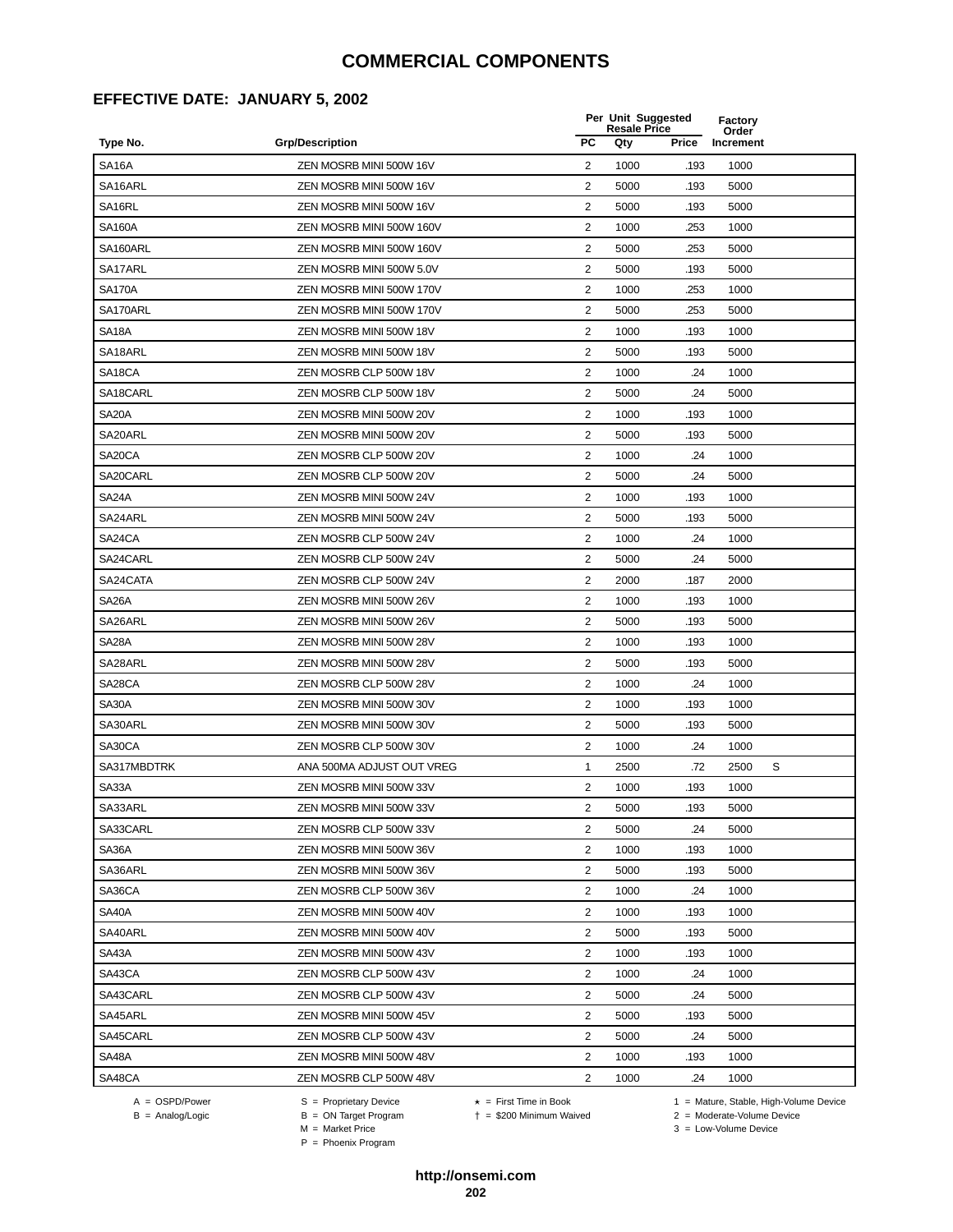# **EFFECTIVE DATE: JANUARY 5, 2002**

| Order<br>PC<br><b>Grp/Description</b><br>Qty<br>Price<br>Type No.<br>Increment<br><b>SA16A</b><br>ZEN MOSRB MINI 500W 16V<br>2<br>1000<br>.193<br>1000<br>2<br>5000<br>.193<br>5000<br>SA16ARL<br>ZEN MOSRB MINI 500W 16V<br>SA16RL<br>2<br>5000<br>5000<br>ZEN MOSRB MINI 500W 16V<br>.193<br><b>SA160A</b><br>$\overline{2}$<br>ZEN MOSRB MINI 500W 160V<br>1000<br>.253<br>1000<br>SA160ARL<br>2<br>ZEN MOSRB MINI 500W 160V<br>5000<br>.253<br>5000<br>2<br>SA17ARL<br>ZEN MOSRB MINI 500W 5.0V<br>5000<br>.193<br>5000<br>2<br>.253<br><b>SA170A</b><br>ZEN MOSRB MINI 500W 170V<br>1000<br>1000<br>$\overline{2}$<br>SA170ARL<br>ZEN MOSRB MINI 500W 170V<br>5000<br>.253<br>5000<br>SA <sub>18</sub> A<br>$\overline{2}$<br>1000<br>1000<br>ZEN MOSRB MINI 500W 18V<br>.193<br>SA18ARL<br>ZEN MOSRB MINI 500W 18V<br>2<br>5000<br>5000<br>.193<br>SA18CA<br>2<br>.24<br>ZEN MOSRB CLP 500W 18V<br>1000<br>1000<br>SA18CARL<br>$\overline{2}$<br>5000<br>.24<br>5000<br>ZEN MOSRB CLP 500W 18V<br>SA <sub>20</sub> A<br>$\overline{2}$<br>ZEN MOSRB MINI 500W 20V<br>1000<br>.193<br>1000<br>SA20ARL<br>ZEN MOSRB MINI 500W 20V<br>2<br>5000<br>.193<br>5000<br>SA20CA<br>ZEN MOSRB CLP 500W 20V<br>2<br>1000<br>.24<br>1000<br>SA20CARL<br>2<br>.24<br>ZEN MOSRB CLP 500W 20V<br>5000<br>5000<br>$\overline{2}$<br>SA24A<br>ZEN MOSRB MINI 500W 24V<br>1000<br>.193<br>1000<br>SA24ARL<br>2<br>5000<br>ZEN MOSRB MINI 500W 24V<br>5000<br>.193<br>SA24CA<br>ZEN MOSRB CLP 500W 24V<br>2<br>1000<br>.24<br>1000<br>SA24CARL<br>2<br>.24<br>5000<br>ZEN MOSRB CLP 500W 24V<br>5000<br>SA24CATA<br>$\overline{2}$<br>ZEN MOSRB CLP 500W 24V<br>2000<br>.187<br>2000<br>SA <sub>26</sub> A<br>$\overline{2}$<br>ZEN MOSRB MINI 500W 26V<br>1000<br>.193<br>1000<br>SA26ARL<br>2<br>ZEN MOSRB MINI 500W 26V<br>5000<br>.193<br>5000<br>SA <sub>2</sub> 8A<br>ZEN MOSRB MINI 500W 28V<br>2<br>1000<br>.193<br>1000<br>2<br>SA28ARL<br>ZEN MOSRB MINI 500W 28V<br>5000<br>.193<br>5000<br>$\overline{c}$<br>SA28CA<br>ZEN MOSRB CLP 500W 28V<br>1000<br>.24<br>1000<br>SA30A<br>2<br>1000<br>ZEN MOSRB MINI 500W 30V<br>1000<br>.193<br>SA30ARL<br>ZEN MOSRB MINI 500W 30V<br>$\overline{2}$<br>5000<br>5000<br>.193<br>SA30CA<br>$\overline{2}$<br>.24<br>ZEN MOSRB CLP 500W 30V<br>1000<br>1000<br>SA317MBDTRK<br>S<br>ANA 500MA ADJUST OUT VREG<br>1<br>2500<br>.72<br>2500<br>SA33A<br>2<br>ZEN MOSRB MINI 500W 33V<br>1000<br>.193<br>1000<br>2<br>5000<br>.193<br>5000<br>SA33ARL<br>ZEN MOSRB MINI 500W 33V<br>$\overline{2}$<br>SA33CARL<br>ZEN MOSRB CLP 500W 33V<br>5000<br>.24<br>5000<br>2<br>SA36A<br>1000<br>.193<br>1000<br>ZEN MOSRB MINI 500W 36V<br>2<br>SA36ARL<br>ZEN MOSRB MINI 500W 36V<br>5000<br>.193<br>5000<br>SA36CA<br>$\overline{c}$<br>ZEN MOSRB CLP 500W 36V<br>1000<br>.24<br>1000<br><b>SA40A</b><br>$\overline{2}$<br>1000<br>ZEN MOSRB MINI 500W 40V<br>.193<br>1000<br>2<br>SA40ARL<br>ZEN MOSRB MINI 500W 40V<br>5000<br>.193<br>5000<br>2<br>SA43A<br>ZEN MOSRB MINI 500W 43V<br>1000<br>.193<br>1000<br>2<br>SA43CA<br>ZEN MOSRB CLP 500W 43V<br>1000<br>.24<br>1000<br>$\overline{2}$<br>SA43CARL<br>ZEN MOSRB CLP 500W 43V<br>5000<br>.24<br>5000<br>2<br>SA45ARL<br>ZEN MOSRB MINI 500W 45V<br>5000<br>.193<br>5000<br>$\mathbf{2}$<br>5000<br>.24<br>5000<br>SA45CARL<br>ZEN MOSRB CLP 500W 43V<br>2<br>SA48A<br>ZEN MOSRB MINI 500W 48V<br>1000<br>.193<br>1000<br>2 |        |                        | Per Unit Suggested<br><b>Resale Price</b> |     |      |  |
|------------------------------------------------------------------------------------------------------------------------------------------------------------------------------------------------------------------------------------------------------------------------------------------------------------------------------------------------------------------------------------------------------------------------------------------------------------------------------------------------------------------------------------------------------------------------------------------------------------------------------------------------------------------------------------------------------------------------------------------------------------------------------------------------------------------------------------------------------------------------------------------------------------------------------------------------------------------------------------------------------------------------------------------------------------------------------------------------------------------------------------------------------------------------------------------------------------------------------------------------------------------------------------------------------------------------------------------------------------------------------------------------------------------------------------------------------------------------------------------------------------------------------------------------------------------------------------------------------------------------------------------------------------------------------------------------------------------------------------------------------------------------------------------------------------------------------------------------------------------------------------------------------------------------------------------------------------------------------------------------------------------------------------------------------------------------------------------------------------------------------------------------------------------------------------------------------------------------------------------------------------------------------------------------------------------------------------------------------------------------------------------------------------------------------------------------------------------------------------------------------------------------------------------------------------------------------------------------------------------------------------------------------------------------------------------------------------------------------------------------------------------------------------------------------------------------------------------------------------------------------------------------------------------------------------------------------------------------------------------------------------------------------------------------------------------------------------------------------------------------------------------------------------------------------------------------------------------------------------------------------------------------------------------------------------------------------------------------------------------------------------------------------------------|--------|------------------------|-------------------------------------------|-----|------|--|
|                                                                                                                                                                                                                                                                                                                                                                                                                                                                                                                                                                                                                                                                                                                                                                                                                                                                                                                                                                                                                                                                                                                                                                                                                                                                                                                                                                                                                                                                                                                                                                                                                                                                                                                                                                                                                                                                                                                                                                                                                                                                                                                                                                                                                                                                                                                                                                                                                                                                                                                                                                                                                                                                                                                                                                                                                                                                                                                                                                                                                                                                                                                                                                                                                                                                                                                                                                                                                  |        |                        |                                           |     |      |  |
|                                                                                                                                                                                                                                                                                                                                                                                                                                                                                                                                                                                                                                                                                                                                                                                                                                                                                                                                                                                                                                                                                                                                                                                                                                                                                                                                                                                                                                                                                                                                                                                                                                                                                                                                                                                                                                                                                                                                                                                                                                                                                                                                                                                                                                                                                                                                                                                                                                                                                                                                                                                                                                                                                                                                                                                                                                                                                                                                                                                                                                                                                                                                                                                                                                                                                                                                                                                                                  |        |                        |                                           |     |      |  |
|                                                                                                                                                                                                                                                                                                                                                                                                                                                                                                                                                                                                                                                                                                                                                                                                                                                                                                                                                                                                                                                                                                                                                                                                                                                                                                                                                                                                                                                                                                                                                                                                                                                                                                                                                                                                                                                                                                                                                                                                                                                                                                                                                                                                                                                                                                                                                                                                                                                                                                                                                                                                                                                                                                                                                                                                                                                                                                                                                                                                                                                                                                                                                                                                                                                                                                                                                                                                                  |        |                        |                                           |     |      |  |
|                                                                                                                                                                                                                                                                                                                                                                                                                                                                                                                                                                                                                                                                                                                                                                                                                                                                                                                                                                                                                                                                                                                                                                                                                                                                                                                                                                                                                                                                                                                                                                                                                                                                                                                                                                                                                                                                                                                                                                                                                                                                                                                                                                                                                                                                                                                                                                                                                                                                                                                                                                                                                                                                                                                                                                                                                                                                                                                                                                                                                                                                                                                                                                                                                                                                                                                                                                                                                  |        |                        |                                           |     |      |  |
|                                                                                                                                                                                                                                                                                                                                                                                                                                                                                                                                                                                                                                                                                                                                                                                                                                                                                                                                                                                                                                                                                                                                                                                                                                                                                                                                                                                                                                                                                                                                                                                                                                                                                                                                                                                                                                                                                                                                                                                                                                                                                                                                                                                                                                                                                                                                                                                                                                                                                                                                                                                                                                                                                                                                                                                                                                                                                                                                                                                                                                                                                                                                                                                                                                                                                                                                                                                                                  |        |                        |                                           |     |      |  |
|                                                                                                                                                                                                                                                                                                                                                                                                                                                                                                                                                                                                                                                                                                                                                                                                                                                                                                                                                                                                                                                                                                                                                                                                                                                                                                                                                                                                                                                                                                                                                                                                                                                                                                                                                                                                                                                                                                                                                                                                                                                                                                                                                                                                                                                                                                                                                                                                                                                                                                                                                                                                                                                                                                                                                                                                                                                                                                                                                                                                                                                                                                                                                                                                                                                                                                                                                                                                                  |        |                        |                                           |     |      |  |
|                                                                                                                                                                                                                                                                                                                                                                                                                                                                                                                                                                                                                                                                                                                                                                                                                                                                                                                                                                                                                                                                                                                                                                                                                                                                                                                                                                                                                                                                                                                                                                                                                                                                                                                                                                                                                                                                                                                                                                                                                                                                                                                                                                                                                                                                                                                                                                                                                                                                                                                                                                                                                                                                                                                                                                                                                                                                                                                                                                                                                                                                                                                                                                                                                                                                                                                                                                                                                  |        |                        |                                           |     |      |  |
|                                                                                                                                                                                                                                                                                                                                                                                                                                                                                                                                                                                                                                                                                                                                                                                                                                                                                                                                                                                                                                                                                                                                                                                                                                                                                                                                                                                                                                                                                                                                                                                                                                                                                                                                                                                                                                                                                                                                                                                                                                                                                                                                                                                                                                                                                                                                                                                                                                                                                                                                                                                                                                                                                                                                                                                                                                                                                                                                                                                                                                                                                                                                                                                                                                                                                                                                                                                                                  |        |                        |                                           |     |      |  |
|                                                                                                                                                                                                                                                                                                                                                                                                                                                                                                                                                                                                                                                                                                                                                                                                                                                                                                                                                                                                                                                                                                                                                                                                                                                                                                                                                                                                                                                                                                                                                                                                                                                                                                                                                                                                                                                                                                                                                                                                                                                                                                                                                                                                                                                                                                                                                                                                                                                                                                                                                                                                                                                                                                                                                                                                                                                                                                                                                                                                                                                                                                                                                                                                                                                                                                                                                                                                                  |        |                        |                                           |     |      |  |
|                                                                                                                                                                                                                                                                                                                                                                                                                                                                                                                                                                                                                                                                                                                                                                                                                                                                                                                                                                                                                                                                                                                                                                                                                                                                                                                                                                                                                                                                                                                                                                                                                                                                                                                                                                                                                                                                                                                                                                                                                                                                                                                                                                                                                                                                                                                                                                                                                                                                                                                                                                                                                                                                                                                                                                                                                                                                                                                                                                                                                                                                                                                                                                                                                                                                                                                                                                                                                  |        |                        |                                           |     |      |  |
|                                                                                                                                                                                                                                                                                                                                                                                                                                                                                                                                                                                                                                                                                                                                                                                                                                                                                                                                                                                                                                                                                                                                                                                                                                                                                                                                                                                                                                                                                                                                                                                                                                                                                                                                                                                                                                                                                                                                                                                                                                                                                                                                                                                                                                                                                                                                                                                                                                                                                                                                                                                                                                                                                                                                                                                                                                                                                                                                                                                                                                                                                                                                                                                                                                                                                                                                                                                                                  |        |                        |                                           |     |      |  |
|                                                                                                                                                                                                                                                                                                                                                                                                                                                                                                                                                                                                                                                                                                                                                                                                                                                                                                                                                                                                                                                                                                                                                                                                                                                                                                                                                                                                                                                                                                                                                                                                                                                                                                                                                                                                                                                                                                                                                                                                                                                                                                                                                                                                                                                                                                                                                                                                                                                                                                                                                                                                                                                                                                                                                                                                                                                                                                                                                                                                                                                                                                                                                                                                                                                                                                                                                                                                                  |        |                        |                                           |     |      |  |
|                                                                                                                                                                                                                                                                                                                                                                                                                                                                                                                                                                                                                                                                                                                                                                                                                                                                                                                                                                                                                                                                                                                                                                                                                                                                                                                                                                                                                                                                                                                                                                                                                                                                                                                                                                                                                                                                                                                                                                                                                                                                                                                                                                                                                                                                                                                                                                                                                                                                                                                                                                                                                                                                                                                                                                                                                                                                                                                                                                                                                                                                                                                                                                                                                                                                                                                                                                                                                  |        |                        |                                           |     |      |  |
|                                                                                                                                                                                                                                                                                                                                                                                                                                                                                                                                                                                                                                                                                                                                                                                                                                                                                                                                                                                                                                                                                                                                                                                                                                                                                                                                                                                                                                                                                                                                                                                                                                                                                                                                                                                                                                                                                                                                                                                                                                                                                                                                                                                                                                                                                                                                                                                                                                                                                                                                                                                                                                                                                                                                                                                                                                                                                                                                                                                                                                                                                                                                                                                                                                                                                                                                                                                                                  |        |                        |                                           |     |      |  |
|                                                                                                                                                                                                                                                                                                                                                                                                                                                                                                                                                                                                                                                                                                                                                                                                                                                                                                                                                                                                                                                                                                                                                                                                                                                                                                                                                                                                                                                                                                                                                                                                                                                                                                                                                                                                                                                                                                                                                                                                                                                                                                                                                                                                                                                                                                                                                                                                                                                                                                                                                                                                                                                                                                                                                                                                                                                                                                                                                                                                                                                                                                                                                                                                                                                                                                                                                                                                                  |        |                        |                                           |     |      |  |
|                                                                                                                                                                                                                                                                                                                                                                                                                                                                                                                                                                                                                                                                                                                                                                                                                                                                                                                                                                                                                                                                                                                                                                                                                                                                                                                                                                                                                                                                                                                                                                                                                                                                                                                                                                                                                                                                                                                                                                                                                                                                                                                                                                                                                                                                                                                                                                                                                                                                                                                                                                                                                                                                                                                                                                                                                                                                                                                                                                                                                                                                                                                                                                                                                                                                                                                                                                                                                  |        |                        |                                           |     |      |  |
|                                                                                                                                                                                                                                                                                                                                                                                                                                                                                                                                                                                                                                                                                                                                                                                                                                                                                                                                                                                                                                                                                                                                                                                                                                                                                                                                                                                                                                                                                                                                                                                                                                                                                                                                                                                                                                                                                                                                                                                                                                                                                                                                                                                                                                                                                                                                                                                                                                                                                                                                                                                                                                                                                                                                                                                                                                                                                                                                                                                                                                                                                                                                                                                                                                                                                                                                                                                                                  |        |                        |                                           |     |      |  |
|                                                                                                                                                                                                                                                                                                                                                                                                                                                                                                                                                                                                                                                                                                                                                                                                                                                                                                                                                                                                                                                                                                                                                                                                                                                                                                                                                                                                                                                                                                                                                                                                                                                                                                                                                                                                                                                                                                                                                                                                                                                                                                                                                                                                                                                                                                                                                                                                                                                                                                                                                                                                                                                                                                                                                                                                                                                                                                                                                                                                                                                                                                                                                                                                                                                                                                                                                                                                                  |        |                        |                                           |     |      |  |
|                                                                                                                                                                                                                                                                                                                                                                                                                                                                                                                                                                                                                                                                                                                                                                                                                                                                                                                                                                                                                                                                                                                                                                                                                                                                                                                                                                                                                                                                                                                                                                                                                                                                                                                                                                                                                                                                                                                                                                                                                                                                                                                                                                                                                                                                                                                                                                                                                                                                                                                                                                                                                                                                                                                                                                                                                                                                                                                                                                                                                                                                                                                                                                                                                                                                                                                                                                                                                  |        |                        |                                           |     |      |  |
|                                                                                                                                                                                                                                                                                                                                                                                                                                                                                                                                                                                                                                                                                                                                                                                                                                                                                                                                                                                                                                                                                                                                                                                                                                                                                                                                                                                                                                                                                                                                                                                                                                                                                                                                                                                                                                                                                                                                                                                                                                                                                                                                                                                                                                                                                                                                                                                                                                                                                                                                                                                                                                                                                                                                                                                                                                                                                                                                                                                                                                                                                                                                                                                                                                                                                                                                                                                                                  |        |                        |                                           |     |      |  |
|                                                                                                                                                                                                                                                                                                                                                                                                                                                                                                                                                                                                                                                                                                                                                                                                                                                                                                                                                                                                                                                                                                                                                                                                                                                                                                                                                                                                                                                                                                                                                                                                                                                                                                                                                                                                                                                                                                                                                                                                                                                                                                                                                                                                                                                                                                                                                                                                                                                                                                                                                                                                                                                                                                                                                                                                                                                                                                                                                                                                                                                                                                                                                                                                                                                                                                                                                                                                                  |        |                        |                                           |     |      |  |
|                                                                                                                                                                                                                                                                                                                                                                                                                                                                                                                                                                                                                                                                                                                                                                                                                                                                                                                                                                                                                                                                                                                                                                                                                                                                                                                                                                                                                                                                                                                                                                                                                                                                                                                                                                                                                                                                                                                                                                                                                                                                                                                                                                                                                                                                                                                                                                                                                                                                                                                                                                                                                                                                                                                                                                                                                                                                                                                                                                                                                                                                                                                                                                                                                                                                                                                                                                                                                  |        |                        |                                           |     |      |  |
|                                                                                                                                                                                                                                                                                                                                                                                                                                                                                                                                                                                                                                                                                                                                                                                                                                                                                                                                                                                                                                                                                                                                                                                                                                                                                                                                                                                                                                                                                                                                                                                                                                                                                                                                                                                                                                                                                                                                                                                                                                                                                                                                                                                                                                                                                                                                                                                                                                                                                                                                                                                                                                                                                                                                                                                                                                                                                                                                                                                                                                                                                                                                                                                                                                                                                                                                                                                                                  |        |                        |                                           |     |      |  |
|                                                                                                                                                                                                                                                                                                                                                                                                                                                                                                                                                                                                                                                                                                                                                                                                                                                                                                                                                                                                                                                                                                                                                                                                                                                                                                                                                                                                                                                                                                                                                                                                                                                                                                                                                                                                                                                                                                                                                                                                                                                                                                                                                                                                                                                                                                                                                                                                                                                                                                                                                                                                                                                                                                                                                                                                                                                                                                                                                                                                                                                                                                                                                                                                                                                                                                                                                                                                                  |        |                        |                                           |     |      |  |
|                                                                                                                                                                                                                                                                                                                                                                                                                                                                                                                                                                                                                                                                                                                                                                                                                                                                                                                                                                                                                                                                                                                                                                                                                                                                                                                                                                                                                                                                                                                                                                                                                                                                                                                                                                                                                                                                                                                                                                                                                                                                                                                                                                                                                                                                                                                                                                                                                                                                                                                                                                                                                                                                                                                                                                                                                                                                                                                                                                                                                                                                                                                                                                                                                                                                                                                                                                                                                  |        |                        |                                           |     |      |  |
|                                                                                                                                                                                                                                                                                                                                                                                                                                                                                                                                                                                                                                                                                                                                                                                                                                                                                                                                                                                                                                                                                                                                                                                                                                                                                                                                                                                                                                                                                                                                                                                                                                                                                                                                                                                                                                                                                                                                                                                                                                                                                                                                                                                                                                                                                                                                                                                                                                                                                                                                                                                                                                                                                                                                                                                                                                                                                                                                                                                                                                                                                                                                                                                                                                                                                                                                                                                                                  |        |                        |                                           |     |      |  |
|                                                                                                                                                                                                                                                                                                                                                                                                                                                                                                                                                                                                                                                                                                                                                                                                                                                                                                                                                                                                                                                                                                                                                                                                                                                                                                                                                                                                                                                                                                                                                                                                                                                                                                                                                                                                                                                                                                                                                                                                                                                                                                                                                                                                                                                                                                                                                                                                                                                                                                                                                                                                                                                                                                                                                                                                                                                                                                                                                                                                                                                                                                                                                                                                                                                                                                                                                                                                                  |        |                        |                                           |     |      |  |
|                                                                                                                                                                                                                                                                                                                                                                                                                                                                                                                                                                                                                                                                                                                                                                                                                                                                                                                                                                                                                                                                                                                                                                                                                                                                                                                                                                                                                                                                                                                                                                                                                                                                                                                                                                                                                                                                                                                                                                                                                                                                                                                                                                                                                                                                                                                                                                                                                                                                                                                                                                                                                                                                                                                                                                                                                                                                                                                                                                                                                                                                                                                                                                                                                                                                                                                                                                                                                  |        |                        |                                           |     |      |  |
|                                                                                                                                                                                                                                                                                                                                                                                                                                                                                                                                                                                                                                                                                                                                                                                                                                                                                                                                                                                                                                                                                                                                                                                                                                                                                                                                                                                                                                                                                                                                                                                                                                                                                                                                                                                                                                                                                                                                                                                                                                                                                                                                                                                                                                                                                                                                                                                                                                                                                                                                                                                                                                                                                                                                                                                                                                                                                                                                                                                                                                                                                                                                                                                                                                                                                                                                                                                                                  |        |                        |                                           |     |      |  |
|                                                                                                                                                                                                                                                                                                                                                                                                                                                                                                                                                                                                                                                                                                                                                                                                                                                                                                                                                                                                                                                                                                                                                                                                                                                                                                                                                                                                                                                                                                                                                                                                                                                                                                                                                                                                                                                                                                                                                                                                                                                                                                                                                                                                                                                                                                                                                                                                                                                                                                                                                                                                                                                                                                                                                                                                                                                                                                                                                                                                                                                                                                                                                                                                                                                                                                                                                                                                                  |        |                        |                                           |     |      |  |
|                                                                                                                                                                                                                                                                                                                                                                                                                                                                                                                                                                                                                                                                                                                                                                                                                                                                                                                                                                                                                                                                                                                                                                                                                                                                                                                                                                                                                                                                                                                                                                                                                                                                                                                                                                                                                                                                                                                                                                                                                                                                                                                                                                                                                                                                                                                                                                                                                                                                                                                                                                                                                                                                                                                                                                                                                                                                                                                                                                                                                                                                                                                                                                                                                                                                                                                                                                                                                  |        |                        |                                           |     |      |  |
|                                                                                                                                                                                                                                                                                                                                                                                                                                                                                                                                                                                                                                                                                                                                                                                                                                                                                                                                                                                                                                                                                                                                                                                                                                                                                                                                                                                                                                                                                                                                                                                                                                                                                                                                                                                                                                                                                                                                                                                                                                                                                                                                                                                                                                                                                                                                                                                                                                                                                                                                                                                                                                                                                                                                                                                                                                                                                                                                                                                                                                                                                                                                                                                                                                                                                                                                                                                                                  |        |                        |                                           |     |      |  |
|                                                                                                                                                                                                                                                                                                                                                                                                                                                                                                                                                                                                                                                                                                                                                                                                                                                                                                                                                                                                                                                                                                                                                                                                                                                                                                                                                                                                                                                                                                                                                                                                                                                                                                                                                                                                                                                                                                                                                                                                                                                                                                                                                                                                                                                                                                                                                                                                                                                                                                                                                                                                                                                                                                                                                                                                                                                                                                                                                                                                                                                                                                                                                                                                                                                                                                                                                                                                                  |        |                        |                                           |     |      |  |
|                                                                                                                                                                                                                                                                                                                                                                                                                                                                                                                                                                                                                                                                                                                                                                                                                                                                                                                                                                                                                                                                                                                                                                                                                                                                                                                                                                                                                                                                                                                                                                                                                                                                                                                                                                                                                                                                                                                                                                                                                                                                                                                                                                                                                                                                                                                                                                                                                                                                                                                                                                                                                                                                                                                                                                                                                                                                                                                                                                                                                                                                                                                                                                                                                                                                                                                                                                                                                  |        |                        |                                           |     |      |  |
|                                                                                                                                                                                                                                                                                                                                                                                                                                                                                                                                                                                                                                                                                                                                                                                                                                                                                                                                                                                                                                                                                                                                                                                                                                                                                                                                                                                                                                                                                                                                                                                                                                                                                                                                                                                                                                                                                                                                                                                                                                                                                                                                                                                                                                                                                                                                                                                                                                                                                                                                                                                                                                                                                                                                                                                                                                                                                                                                                                                                                                                                                                                                                                                                                                                                                                                                                                                                                  |        |                        |                                           |     |      |  |
|                                                                                                                                                                                                                                                                                                                                                                                                                                                                                                                                                                                                                                                                                                                                                                                                                                                                                                                                                                                                                                                                                                                                                                                                                                                                                                                                                                                                                                                                                                                                                                                                                                                                                                                                                                                                                                                                                                                                                                                                                                                                                                                                                                                                                                                                                                                                                                                                                                                                                                                                                                                                                                                                                                                                                                                                                                                                                                                                                                                                                                                                                                                                                                                                                                                                                                                                                                                                                  |        |                        |                                           |     |      |  |
|                                                                                                                                                                                                                                                                                                                                                                                                                                                                                                                                                                                                                                                                                                                                                                                                                                                                                                                                                                                                                                                                                                                                                                                                                                                                                                                                                                                                                                                                                                                                                                                                                                                                                                                                                                                                                                                                                                                                                                                                                                                                                                                                                                                                                                                                                                                                                                                                                                                                                                                                                                                                                                                                                                                                                                                                                                                                                                                                                                                                                                                                                                                                                                                                                                                                                                                                                                                                                  |        |                        |                                           |     |      |  |
|                                                                                                                                                                                                                                                                                                                                                                                                                                                                                                                                                                                                                                                                                                                                                                                                                                                                                                                                                                                                                                                                                                                                                                                                                                                                                                                                                                                                                                                                                                                                                                                                                                                                                                                                                                                                                                                                                                                                                                                                                                                                                                                                                                                                                                                                                                                                                                                                                                                                                                                                                                                                                                                                                                                                                                                                                                                                                                                                                                                                                                                                                                                                                                                                                                                                                                                                                                                                                  |        |                        |                                           |     |      |  |
|                                                                                                                                                                                                                                                                                                                                                                                                                                                                                                                                                                                                                                                                                                                                                                                                                                                                                                                                                                                                                                                                                                                                                                                                                                                                                                                                                                                                                                                                                                                                                                                                                                                                                                                                                                                                                                                                                                                                                                                                                                                                                                                                                                                                                                                                                                                                                                                                                                                                                                                                                                                                                                                                                                                                                                                                                                                                                                                                                                                                                                                                                                                                                                                                                                                                                                                                                                                                                  |        |                        |                                           |     |      |  |
|                                                                                                                                                                                                                                                                                                                                                                                                                                                                                                                                                                                                                                                                                                                                                                                                                                                                                                                                                                                                                                                                                                                                                                                                                                                                                                                                                                                                                                                                                                                                                                                                                                                                                                                                                                                                                                                                                                                                                                                                                                                                                                                                                                                                                                                                                                                                                                                                                                                                                                                                                                                                                                                                                                                                                                                                                                                                                                                                                                                                                                                                                                                                                                                                                                                                                                                                                                                                                  |        |                        |                                           |     |      |  |
|                                                                                                                                                                                                                                                                                                                                                                                                                                                                                                                                                                                                                                                                                                                                                                                                                                                                                                                                                                                                                                                                                                                                                                                                                                                                                                                                                                                                                                                                                                                                                                                                                                                                                                                                                                                                                                                                                                                                                                                                                                                                                                                                                                                                                                                                                                                                                                                                                                                                                                                                                                                                                                                                                                                                                                                                                                                                                                                                                                                                                                                                                                                                                                                                                                                                                                                                                                                                                  |        |                        |                                           |     |      |  |
|                                                                                                                                                                                                                                                                                                                                                                                                                                                                                                                                                                                                                                                                                                                                                                                                                                                                                                                                                                                                                                                                                                                                                                                                                                                                                                                                                                                                                                                                                                                                                                                                                                                                                                                                                                                                                                                                                                                                                                                                                                                                                                                                                                                                                                                                                                                                                                                                                                                                                                                                                                                                                                                                                                                                                                                                                                                                                                                                                                                                                                                                                                                                                                                                                                                                                                                                                                                                                  |        |                        |                                           |     |      |  |
|                                                                                                                                                                                                                                                                                                                                                                                                                                                                                                                                                                                                                                                                                                                                                                                                                                                                                                                                                                                                                                                                                                                                                                                                                                                                                                                                                                                                                                                                                                                                                                                                                                                                                                                                                                                                                                                                                                                                                                                                                                                                                                                                                                                                                                                                                                                                                                                                                                                                                                                                                                                                                                                                                                                                                                                                                                                                                                                                                                                                                                                                                                                                                                                                                                                                                                                                                                                                                  |        |                        |                                           |     |      |  |
|                                                                                                                                                                                                                                                                                                                                                                                                                                                                                                                                                                                                                                                                                                                                                                                                                                                                                                                                                                                                                                                                                                                                                                                                                                                                                                                                                                                                                                                                                                                                                                                                                                                                                                                                                                                                                                                                                                                                                                                                                                                                                                                                                                                                                                                                                                                                                                                                                                                                                                                                                                                                                                                                                                                                                                                                                                                                                                                                                                                                                                                                                                                                                                                                                                                                                                                                                                                                                  |        |                        |                                           |     |      |  |
|                                                                                                                                                                                                                                                                                                                                                                                                                                                                                                                                                                                                                                                                                                                                                                                                                                                                                                                                                                                                                                                                                                                                                                                                                                                                                                                                                                                                                                                                                                                                                                                                                                                                                                                                                                                                                                                                                                                                                                                                                                                                                                                                                                                                                                                                                                                                                                                                                                                                                                                                                                                                                                                                                                                                                                                                                                                                                                                                                                                                                                                                                                                                                                                                                                                                                                                                                                                                                  |        |                        |                                           |     |      |  |
|                                                                                                                                                                                                                                                                                                                                                                                                                                                                                                                                                                                                                                                                                                                                                                                                                                                                                                                                                                                                                                                                                                                                                                                                                                                                                                                                                                                                                                                                                                                                                                                                                                                                                                                                                                                                                                                                                                                                                                                                                                                                                                                                                                                                                                                                                                                                                                                                                                                                                                                                                                                                                                                                                                                                                                                                                                                                                                                                                                                                                                                                                                                                                                                                                                                                                                                                                                                                                  | SA48CA | ZEN MOSRB CLP 500W 48V | 1000                                      | .24 | 1000 |  |

A = OSPD/Power S = Proprietary Device<br>
B = Analog/Logic B = ON Target Program<br>
M = Market Price

A = OSPD/Power S = Proprietary Device  $\star$  = First Time in Book 1 = Mature, Stable, High-Volume Device

 = \$200 Minimum Waived 2 = Moderate-Volume Device  $2 =$  Moderate-Volume Device<br> $3 =$  Low-Volume Device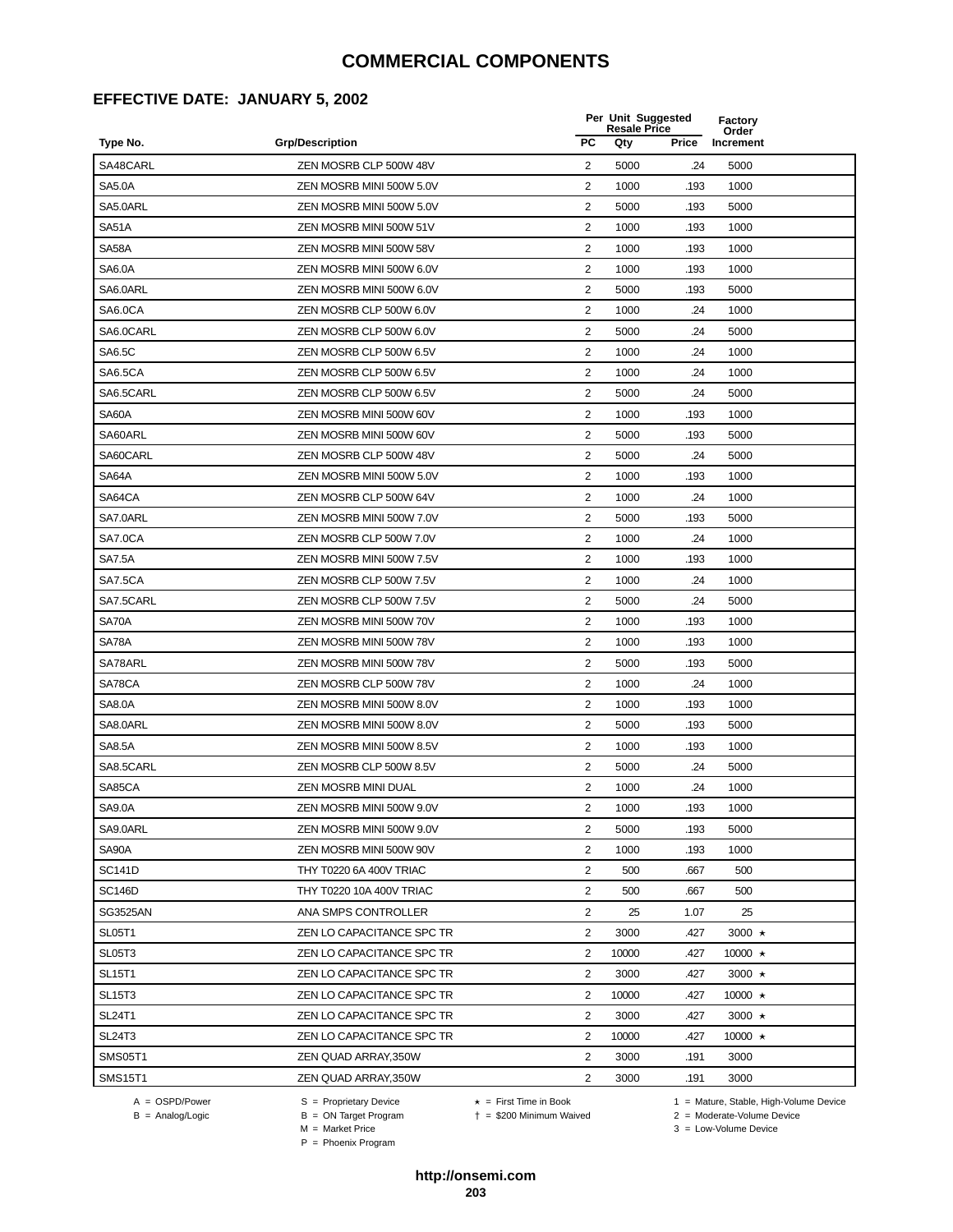#### **EFFECTIVE DATE: JANUARY 5, 2002**

|                 | <b>Grp/Description</b>    |                | Per Unit Suggested<br><b>Resale Price</b> |       |                    |  |
|-----------------|---------------------------|----------------|-------------------------------------------|-------|--------------------|--|
| Type No.        |                           | PC             | Qty                                       | Price | Order<br>Increment |  |
| SA48CARL        | ZEN MOSRB CLP 500W 48V    | 2              | 5000                                      | .24   | 5000               |  |
| <b>SA5.0A</b>   | ZEN MOSRB MINI 500W 5.0V  | 2              | 1000                                      | .193  | 1000               |  |
| SA5.0ARL        | ZEN MOSRB MINI 500W 5.0V  | $\overline{2}$ | 5000                                      | .193  | 5000               |  |
| SA51A           | ZEN MOSRB MINI 500W 51V   | $\overline{2}$ | 1000                                      | .193  | 1000               |  |
| SA58A           | ZEN MOSRB MINI 500W 58V   | $\overline{2}$ | 1000                                      | .193  | 1000               |  |
| <b>SA6.0A</b>   | ZEN MOSRB MINI 500W 6.0V  | 2              | 1000                                      | .193  | 1000               |  |
| SA6.0ARL        | ZEN MOSRB MINI 500W 6.0V  | $\overline{2}$ | 5000                                      | .193  | 5000               |  |
| SA6.0CA         | ZEN MOSRB CLP 500W 6.0V   | 2              | 1000                                      | .24   | 1000               |  |
| SA6.0CARL       | ZEN MOSRB CLP 500W 6.0V   | $\overline{2}$ | 5000                                      | .24   | 5000               |  |
| <b>SA6.5C</b>   | ZEN MOSRB CLP 500W 6.5V   | 2              | 1000                                      | .24   | 1000               |  |
| SA6.5CA         | ZEN MOSRB CLP 500W 6.5V   | $\overline{2}$ | 1000                                      | .24   | 1000               |  |
| SA6.5CARL       | ZEN MOSRB CLP 500W 6.5V   | 2              | 5000                                      | .24   | 5000               |  |
| SA60A           | ZEN MOSRB MINI 500W 60V   | $\overline{2}$ | 1000                                      | .193  | 1000               |  |
| SA60ARL         | ZEN MOSRB MINI 500W 60V   | $\overline{2}$ | 5000                                      | .193  | 5000               |  |
| SA60CARL        | ZEN MOSRB CLP 500W 48V    | 2              | 5000                                      | .24   | 5000               |  |
| SA64A           | ZEN MOSRB MINI 500W 5.0V  | $\overline{2}$ | 1000                                      | .193  | 1000               |  |
| SA64CA          | ZEN MOSRB CLP 500W 64V    | 2              | 1000                                      | .24   | 1000               |  |
| SA7.0ARL        | ZEN MOSRB MINI 500W 7.0V  | $\overline{2}$ | 5000                                      | .193  | 5000               |  |
| SA7.0CA         | ZEN MOSRB CLP 500W 7.0V   | 2              | 1000                                      | .24   | 1000               |  |
| <b>SA7.5A</b>   | ZEN MOSRB MINI 500W 7.5V  | $\overline{2}$ | 1000                                      | .193  | 1000               |  |
| <b>SA7.5CA</b>  | ZEN MOSRB CLP 500W 7.5V   | 2              | 1000                                      | .24   | 1000               |  |
| SA7.5CARL       | ZEN MOSRB CLP 500W 7.5V   | $\overline{2}$ | 5000                                      | .24   | 5000               |  |
| SA70A           | ZEN MOSRB MINI 500W 70V   | $\overline{2}$ | 1000                                      | .193  | 1000               |  |
| SA78A           | ZEN MOSRB MINI 500W 78V   | 2              | 1000                                      | .193  | 1000               |  |
| SA78ARL         | ZEN MOSRB MINI 500W 78V   | $\overline{2}$ | 5000                                      | .193  | 5000               |  |
| SA78CA          | ZEN MOSRB CLP 500W 78V    | $\overline{2}$ | 1000                                      | .24   | 1000               |  |
| <b>SA8.0A</b>   | ZEN MOSRB MINI 500W 8.0V  | $\overline{2}$ | 1000                                      | .193  | 1000               |  |
| SA8.0ARL        | ZEN MOSRB MINI 500W 8.0V  | 2              | 5000                                      | .193  | 5000               |  |
| <b>SA8.5A</b>   | ZEN MOSRB MINI 500W 8.5V  | 2              | 1000                                      | .193  | 1000               |  |
| SA8.5CARL       | ZEN MOSRB CLP 500W 8.5V   | 2              | 5000                                      | .24   | 5000               |  |
| SA85CA          | ZEN MOSRB MINI DUAL       | $\overline{2}$ | 1000                                      | .24   | 1000               |  |
| SA9.0A          | ZEN MOSRB MINI 500W 9.0V  | 2              | 1000                                      | .193  | 1000               |  |
| SA9.0ARL        | ZEN MOSRB MINI 500W 9.0V  | $\overline{2}$ | 5000                                      | .193  | 5000               |  |
| SA90A           | ZEN MOSRB MINI 500W 90V   | $\overline{2}$ | 1000                                      | .193  | 1000               |  |
| <b>SC141D</b>   | THY T0220 6A 400V TRIAC   | $\overline{2}$ | 500                                       | .667  | 500                |  |
| <b>SC146D</b>   | THY T0220 10A 400V TRIAC  | $\overline{2}$ | 500                                       | .667  | 500                |  |
| <b>SG3525AN</b> | ANA SMPS CONTROLLER       | 2              | 25                                        | 1.07  | 25                 |  |
| <b>SL05T1</b>   | ZEN LO CAPACITANCE SPC TR | 2              | 3000                                      | .427  | 3000 $\star$       |  |
| SL05T3          | ZEN LO CAPACITANCE SPC TR | 2              | 10000                                     | .427  | 10000 $\star$      |  |
| <b>SL15T1</b>   | ZEN LO CAPACITANCE SPC TR | $\overline{c}$ | 3000                                      | .427  | 3000 $\star$       |  |
| <b>SL15T3</b>   | ZEN LO CAPACITANCE SPC TR | $\overline{2}$ | 10000                                     | .427  | 10000 $\star$      |  |
| <b>SL24T1</b>   | ZEN LO CAPACITANCE SPC TR | 2              | 3000                                      | .427  | 3000 $\star$       |  |
| <b>SL24T3</b>   | ZEN LO CAPACITANCE SPC TR | 2              | 10000                                     | .427  | 10000 $\star$      |  |
| <b>SMS05T1</b>  | ZEN QUAD ARRAY,350W       | $\overline{2}$ | 3000                                      | .191  | 3000               |  |
| <b>SMS15T1</b>  | ZEN QUAD ARRAY,350W       | $\overline{2}$ | 3000                                      | .191  | 3000               |  |

A = OSPD/Power S = Proprietary Device  $\star$  = First Time in Book 1 = Mature, Stable, High-Volume Device

A = OSPD/Power S = Proprietary Device<br>
B = Analog/Logic B = ON Target Program<br>
M = Market Price

= \$200 Minimum Waived 2 = Moderate-Volume Device

P = Phoenix Program

 $2 =$  Moderate-Volume Device<br> $3 =$  Low-Volume Device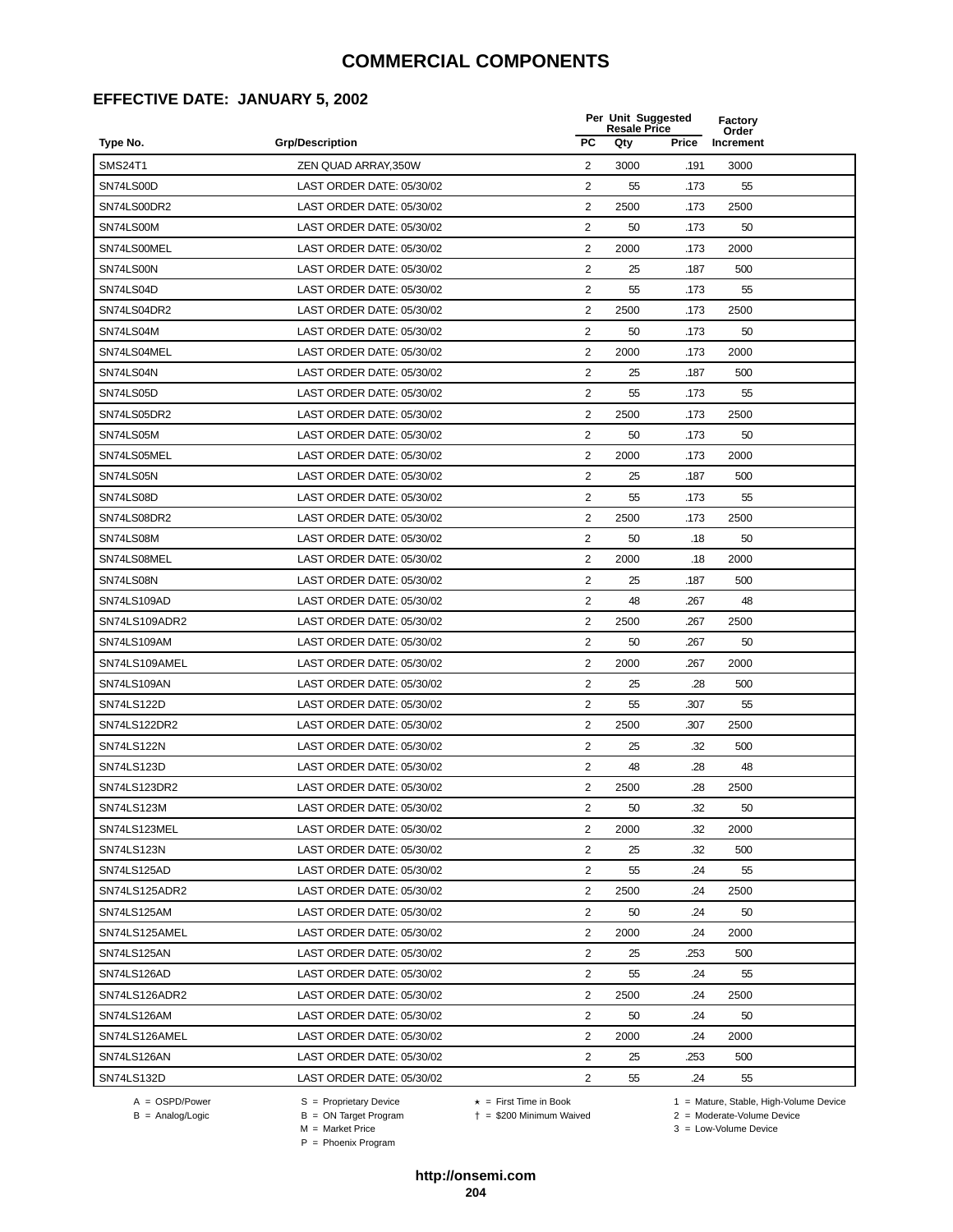## **EFFECTIVE DATE: JANUARY 5, 2002**

|                   |                           |                | Per Unit Suggested<br><b>Resale Price</b> |       | Factory<br>Order |  |
|-------------------|---------------------------|----------------|-------------------------------------------|-------|------------------|--|
| Type No.          | <b>Grp/Description</b>    | PC             | Qty                                       | Price | Increment        |  |
| <b>SMS24T1</b>    | ZEN QUAD ARRAY.350W       | $\overline{2}$ | 3000                                      | .191  | 3000             |  |
| SN74LS00D         | LAST ORDER DATE: 05/30/02 | $\overline{2}$ | 55                                        | .173  | 55               |  |
| SN74LS00DR2       | LAST ORDER DATE: 05/30/02 | 2              | 2500                                      | .173  | 2500             |  |
| SN74LS00M         | LAST ORDER DATE: 05/30/02 | $\overline{c}$ | 50                                        | .173  | 50               |  |
| SN74LS00MEL       | LAST ORDER DATE: 05/30/02 | $\sqrt{2}$     | 2000                                      | .173  | 2000             |  |
| SN74LS00N         | LAST ORDER DATE: 05/30/02 | $\overline{2}$ | 25                                        | .187  | 500              |  |
| SN74LS04D         | LAST ORDER DATE: 05/30/02 | $\overline{2}$ | 55                                        | .173  | 55               |  |
| SN74LS04DR2       | LAST ORDER DATE: 05/30/02 | $\overline{2}$ | 2500                                      | .173  | 2500             |  |
| SN74LS04M         | LAST ORDER DATE: 05/30/02 | $\overline{2}$ | 50                                        | .173  | 50               |  |
| SN74LS04MEL       | LAST ORDER DATE: 05/30/02 | 2              | 2000                                      | .173  | 2000             |  |
| SN74LS04N         | LAST ORDER DATE: 05/30/02 | 2              | 25                                        | .187  | 500              |  |
| SN74LS05D         | LAST ORDER DATE: 05/30/02 | $\overline{2}$ | 55                                        | .173  | 55               |  |
| SN74LS05DR2       | LAST ORDER DATE: 05/30/02 | $\overline{c}$ | 2500                                      | .173  | 2500             |  |
| SN74LS05M         | LAST ORDER DATE: 05/30/02 | $\overline{c}$ | 50                                        | .173  | 50               |  |
| SN74LS05MEL       | LAST ORDER DATE: 05/30/02 | $\overline{2}$ | 2000                                      | .173  | 2000             |  |
| SN74LS05N         | LAST ORDER DATE: 05/30/02 | $\overline{2}$ | 25                                        | .187  | 500              |  |
| SN74LS08D         | LAST ORDER DATE: 05/30/02 | $\overline{2}$ | 55                                        | .173  | 55               |  |
| SN74LS08DR2       | LAST ORDER DATE: 05/30/02 | $\overline{c}$ | 2500                                      | .173  | 2500             |  |
| SN74LS08M         | LAST ORDER DATE: 05/30/02 | 2              | 50                                        | .18   | 50               |  |
| SN74LS08MEL       | LAST ORDER DATE: 05/30/02 | 2              | 2000                                      | .18   | 2000             |  |
| SN74LS08N         | LAST ORDER DATE: 05/30/02 | 2              | 25                                        | .187  | 500              |  |
| SN74LS109AD       | LAST ORDER DATE: 05/30/02 | $\overline{c}$ | 48                                        | .267  | 48               |  |
| SN74LS109ADR2     | LAST ORDER DATE: 05/30/02 | $\overline{c}$ | 2500                                      | .267  | 2500             |  |
| SN74LS109AM       | LAST ORDER DATE: 05/30/02 | 2              | 50                                        | .267  | 50               |  |
| SN74LS109AMEL     | LAST ORDER DATE: 05/30/02 | $\overline{2}$ | 2000                                      | .267  | 2000             |  |
| SN74LS109AN       | LAST ORDER DATE: 05/30/02 | $\overline{2}$ | 25                                        | .28   | 500              |  |
| SN74LS122D        | LAST ORDER DATE: 05/30/02 | $\overline{c}$ | 55                                        | .307  | 55               |  |
| SN74LS122DR2      | LAST ORDER DATE: 05/30/02 | $\overline{2}$ | 2500                                      | .307  | 2500             |  |
| SN74LS122N        | LAST ORDER DATE: 05/30/02 | 2              | 25                                        | .32   | 500              |  |
| SN74LS123D        | LAST ORDER DATE: 05/30/02 | $\overline{2}$ | 48                                        | .28   | 48               |  |
| SN74LS123DR2      | LAST ORDER DATE: 05/30/02 | 2              | 2500                                      | .28   | 2500             |  |
| SN74LS123M        | LAST ORDER DATE: 05/30/02 | 2              | 50                                        | 32    | 50               |  |
| SN74LS123MEL      | LAST ORDER DATE: 05/30/02 | 2              | 2000                                      | .32   | 2000             |  |
| <b>SN74LS123N</b> | LAST ORDER DATE: 05/30/02 | 2              | 25                                        | .32   | 500              |  |
| SN74LS125AD       | LAST ORDER DATE: 05/30/02 | 2              | 55                                        | .24   | 55               |  |
| SN74LS125ADR2     | LAST ORDER DATE: 05/30/02 | $\overline{c}$ | 2500                                      | .24   | 2500             |  |
| SN74LS125AM       | LAST ORDER DATE: 05/30/02 | $\overline{2}$ | 50                                        | .24   | 50               |  |
| SN74LS125AMEL     | LAST ORDER DATE: 05/30/02 | 2              | 2000                                      | .24   | 2000             |  |
| SN74LS125AN       | LAST ORDER DATE: 05/30/02 | $\overline{2}$ | 25                                        | .253  | 500              |  |
| SN74LS126AD       | LAST ORDER DATE: 05/30/02 | $\overline{c}$ | 55                                        | .24   | 55               |  |
| SN74LS126ADR2     | LAST ORDER DATE: 05/30/02 | 2              | 2500                                      | .24   | 2500             |  |
| SN74LS126AM       | LAST ORDER DATE: 05/30/02 | 2              | 50                                        | .24   | 50               |  |
| SN74LS126AMEL     | LAST ORDER DATE: 05/30/02 | $\overline{2}$ | 2000                                      | .24   | 2000             |  |
| SN74LS126AN       | LAST ORDER DATE: 05/30/02 | 2              | 25                                        | .253  | 500              |  |
| SN74LS132D        | LAST ORDER DATE: 05/30/02 | $\overline{c}$ | 55                                        | .24   | 55               |  |

B = Analog/Logic<br>B = Analog/Logic<br>M = Market Price

= \$200 Minimum Waived 2 = Moderate-Volume Device

A = OSPD/Power S = Proprietary Device  $\star$  = First Time in Book 1 = Mature, Stable, High-Volume Device

P = Phoenix Program

 $3 =$  Low-Volume Device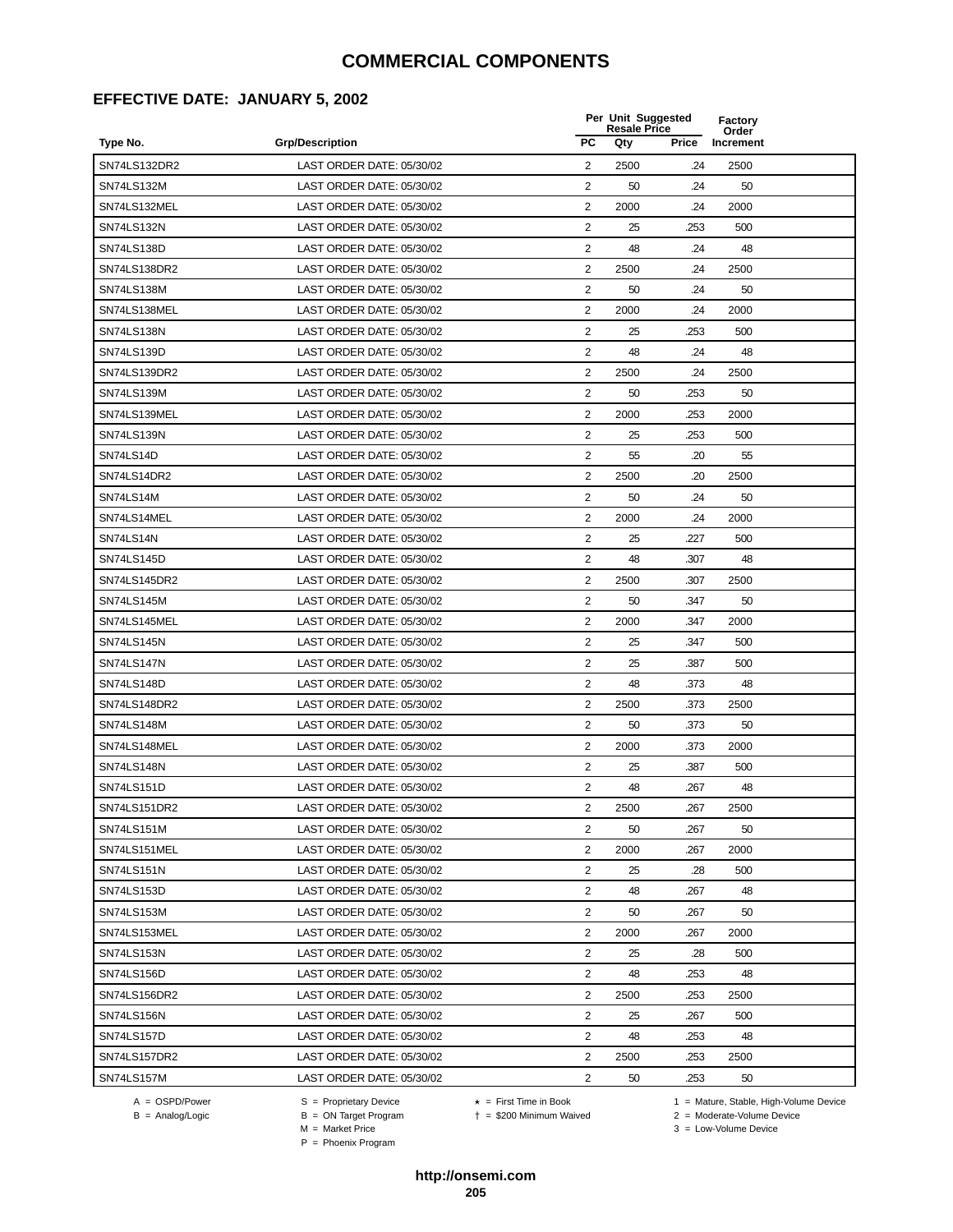## **EFFECTIVE DATE: JANUARY 5, 2002**

|                   |                           | Per Unit Suggested<br><b>Resale Price</b> |      |       | Factory<br>Order |  |
|-------------------|---------------------------|-------------------------------------------|------|-------|------------------|--|
| Type No.          | <b>Grp/Description</b>    | PC                                        | Qty  | Price | Increment        |  |
| SN74LS132DR2      | LAST ORDER DATE: 05/30/02 | 2                                         | 2500 | .24   | 2500             |  |
| SN74LS132M        | LAST ORDER DATE: 05/30/02 | 2                                         | 50   | .24   | 50               |  |
| SN74LS132MEL      | LAST ORDER DATE: 05/30/02 | $\overline{2}$                            | 2000 | .24   | 2000             |  |
| SN74LS132N        | LAST ORDER DATE: 05/30/02 | 2                                         | 25   | .253  | 500              |  |
| SN74LS138D        | LAST ORDER DATE: 05/30/02 | 2                                         | 48   | .24   | 48               |  |
| SN74LS138DR2      | LAST ORDER DATE: 05/30/02 | 2                                         | 2500 | .24   | 2500             |  |
| SN74LS138M        | LAST ORDER DATE: 05/30/02 | $\overline{2}$                            | 50   | .24   | 50               |  |
| SN74LS138MEL      | LAST ORDER DATE: 05/30/02 | 2                                         | 2000 | .24   | 2000             |  |
| SN74LS138N        | LAST ORDER DATE: 05/30/02 | 2                                         | 25   | .253  | 500              |  |
| SN74LS139D        | LAST ORDER DATE: 05/30/02 | $\overline{2}$                            | 48   | .24   | 48               |  |
| SN74LS139DR2      | LAST ORDER DATE: 05/30/02 | 2                                         | 2500 | .24   | 2500             |  |
| SN74LS139M        | LAST ORDER DATE: 05/30/02 | $\overline{2}$                            | 50   | .253  | 50               |  |
| SN74LS139MEL      | LAST ORDER DATE: 05/30/02 | 2                                         | 2000 | .253  | 2000             |  |
| SN74LS139N        | LAST ORDER DATE: 05/30/02 | $\overline{2}$                            | 25   | .253  | 500              |  |
| SN74LS14D         | LAST ORDER DATE: 05/30/02 | 2                                         | 55   | .20   | 55               |  |
| SN74LS14DR2       | LAST ORDER DATE: 05/30/02 | $\overline{2}$                            | 2500 | .20   | 2500             |  |
| SN74LS14M         | LAST ORDER DATE: 05/30/02 | 2                                         | 50   | .24   | 50               |  |
| SN74LS14MEL       | LAST ORDER DATE: 05/30/02 | 2                                         | 2000 | .24   | 2000             |  |
| SN74LS14N         | LAST ORDER DATE: 05/30/02 | $\overline{2}$                            | 25   | .227  | 500              |  |
| SN74LS145D        | LAST ORDER DATE: 05/30/02 | 2                                         | 48   | .307  | 48               |  |
| SN74LS145DR2      | LAST ORDER DATE: 05/30/02 | 2                                         | 2500 | .307  | 2500             |  |
| SN74LS145M        | LAST ORDER DATE: 05/30/02 | 2                                         | 50   | .347  | 50               |  |
| SN74LS145MEL      | LAST ORDER DATE: 05/30/02 | $\overline{2}$                            | 2000 | .347  | 2000             |  |
| SN74LS145N        | LAST ORDER DATE: 05/30/02 | 2                                         | 25   | .347  | 500              |  |
| SN74LS147N        | LAST ORDER DATE: 05/30/02 | $\overline{2}$                            | 25   | .387  | 500              |  |
| SN74LS148D        | LAST ORDER DATE: 05/30/02 | 2                                         | 48   | .373  | 48               |  |
| SN74LS148DR2      | LAST ORDER DATE: 05/30/02 | 2                                         | 2500 | .373  | 2500             |  |
| SN74LS148M        | LAST ORDER DATE: 05/30/02 | 2                                         | 50   | .373  | 50               |  |
| SN74LS148MEL      | LAST ORDER DATE: 05/30/02 | $\overline{2}$                            | 2000 | .373  | 2000             |  |
| <b>SN74LS148N</b> | LAST ORDER DATE: 05/30/02 | $\overline{2}$                            | 25   | .387  | 500              |  |
| SN74LS151D        | LAST ORDER DATE: 05/30/02 | $\overline{2}$                            | 48   | .267  | 48               |  |
| SN74LS151DR2      | LAST ORDER DATE: 05/30/02 | 2                                         | 2500 | 267   | 2500             |  |
| SN74LS151M        | LAST ORDER DATE: 05/30/02 | 2                                         | 50   | .267  | 50               |  |
| SN74LS151MEL      | LAST ORDER DATE: 05/30/02 | $\overline{2}$                            | 2000 | .267  | 2000             |  |
| SN74LS151N        | LAST ORDER DATE: 05/30/02 | 2                                         | 25   | .28   | 500              |  |
| SN74LS153D        | LAST ORDER DATE: 05/30/02 | $\overline{2}$                            | 48   | .267  | 48               |  |
| SN74LS153M        | LAST ORDER DATE: 05/30/02 | 2                                         | 50   | .267  | 50               |  |
| SN74LS153MEL      | LAST ORDER DATE: 05/30/02 | $\overline{2}$                            | 2000 | .267  | 2000             |  |
| SN74LS153N        | LAST ORDER DATE: 05/30/02 | $\overline{2}$                            | 25   | .28   | 500              |  |
| SN74LS156D        | LAST ORDER DATE: 05/30/02 | 2                                         | 48   | .253  | 48               |  |
| SN74LS156DR2      | LAST ORDER DATE: 05/30/02 | 2                                         | 2500 | .253  | 2500             |  |
| SN74LS156N        | LAST ORDER DATE: 05/30/02 | 2                                         | 25   | .267  | 500              |  |
| SN74LS157D        | LAST ORDER DATE: 05/30/02 | 2                                         | 48   | .253  | 48               |  |
| SN74LS157DR2      | LAST ORDER DATE: 05/30/02 | $\overline{2}$                            | 2500 | .253  | 2500             |  |
| SN74LS157M        | LAST ORDER DATE: 05/30/02 | $\overline{2}$                            | 50   | .253  | 50               |  |
|                   |                           |                                           |      |       |                  |  |

 $B = \text{Analog/Logic}$ <br>B = ON Target Program<br> $M = \text{Market Price}$ 

= \$200 Minimum Waived 2 = Moderate-Volume Device

A = OSPD/Power S = Proprietary Device  $\star$  = First Time in Book 1 = Mature, Stable, High-Volume Device

 $3 =$  Low-Volume Device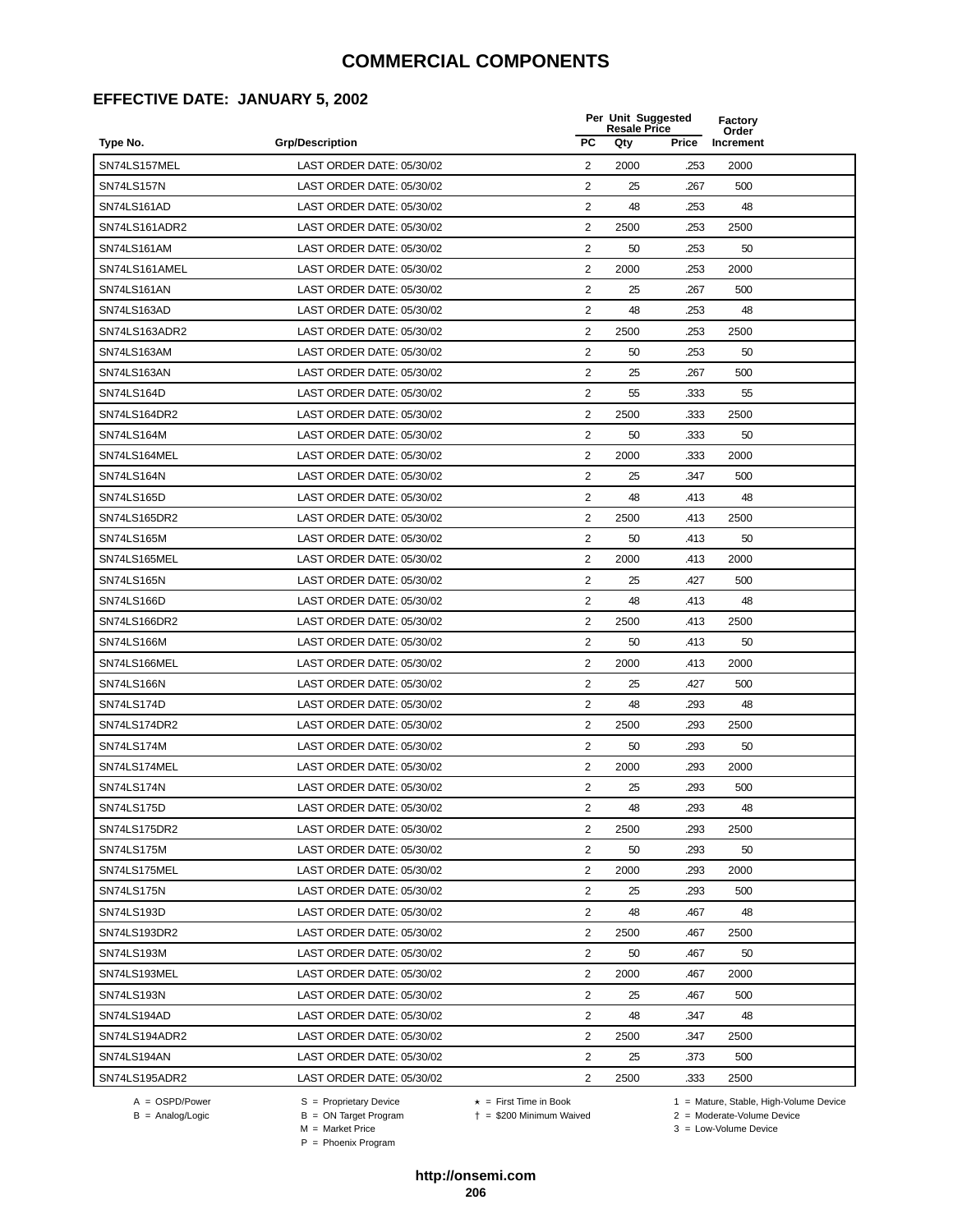## **EFFECTIVE DATE: JANUARY 5, 2002**

|               |                           |                | Per Unit Suggested<br><b>Resale Price</b> |       | Factory<br>Order |  |
|---------------|---------------------------|----------------|-------------------------------------------|-------|------------------|--|
| Type No.      | <b>Grp/Description</b>    | PC             | Qty                                       | Price | Increment        |  |
| SN74LS157MEL  | LAST ORDER DATE: 05/30/02 | 2              | 2000                                      | .253  | 2000             |  |
| SN74LS157N    | LAST ORDER DATE: 05/30/02 | 2              | 25                                        | .267  | 500              |  |
| SN74LS161AD   | LAST ORDER DATE: 05/30/02 | 2              | 48                                        | .253  | 48               |  |
| SN74LS161ADR2 | LAST ORDER DATE: 05/30/02 | 2              | 2500                                      | .253  | 2500             |  |
| SN74LS161AM   | LAST ORDER DATE: 05/30/02 | $\overline{2}$ | 50                                        | .253  | 50               |  |
| SN74LS161AMEL | LAST ORDER DATE: 05/30/02 | 2              | 2000                                      | .253  | 2000             |  |
| SN74LS161AN   | LAST ORDER DATE: 05/30/02 | $\overline{2}$ | 25                                        | .267  | 500              |  |
| SN74LS163AD   | LAST ORDER DATE: 05/30/02 | 2              | 48                                        | .253  | 48               |  |
| SN74LS163ADR2 | LAST ORDER DATE: 05/30/02 | 2              | 2500                                      | .253  | 2500             |  |
| SN74LS163AM   | LAST ORDER DATE: 05/30/02 | $\overline{2}$ | 50                                        | .253  | 50               |  |
| SN74LS163AN   | LAST ORDER DATE: 05/30/02 | 2              | 25                                        | .267  | 500              |  |
| SN74LS164D    | LAST ORDER DATE: 05/30/02 | 2              | 55                                        | .333  | 55               |  |
| SN74LS164DR2  | LAST ORDER DATE: 05/30/02 | 2              | 2500                                      | .333  | 2500             |  |
| SN74LS164M    | LAST ORDER DATE: 05/30/02 | $\overline{2}$ | 50                                        | .333  | 50               |  |
| SN74LS164MEL  | LAST ORDER DATE: 05/30/02 | $\overline{2}$ | 2000                                      | .333  | 2000             |  |
| SN74LS164N    | LAST ORDER DATE: 05/30/02 | $\overline{2}$ | 25                                        | .347  | 500              |  |
| SN74LS165D    | LAST ORDER DATE: 05/30/02 | 2              | 48                                        | .413  | 48               |  |
| SN74LS165DR2  | LAST ORDER DATE: 05/30/02 | 2              | 2500                                      | .413  | 2500             |  |
| SN74LS165M    | LAST ORDER DATE: 05/30/02 | 2              | 50                                        | .413  | 50               |  |
| SN74LS165MEL  | LAST ORDER DATE: 05/30/02 | $\overline{2}$ | 2000                                      | .413  | 2000             |  |
| SN74LS165N    | LAST ORDER DATE: 05/30/02 | $\overline{2}$ | 25                                        | .427  | 500              |  |
| SN74LS166D    | LAST ORDER DATE: 05/30/02 | 2              | 48                                        | .413  | 48               |  |
| SN74LS166DR2  | LAST ORDER DATE: 05/30/02 | $\overline{2}$ | 2500                                      | .413  | 2500             |  |
| SN74LS166M    | LAST ORDER DATE: 05/30/02 | 2              | 50                                        | .413  | 50               |  |
| SN74LS166MEL  | LAST ORDER DATE: 05/30/02 | $\overline{2}$ | 2000                                      | .413  | 2000             |  |
| SN74LS166N    | LAST ORDER DATE: 05/30/02 | 2              | 25                                        | .427  | 500              |  |
| SN74LS174D    | LAST ORDER DATE: 05/30/02 | $\overline{2}$ | 48                                        | .293  | 48               |  |
| SN74LS174DR2  | LAST ORDER DATE: 05/30/02 | $\overline{2}$ | 2500                                      | .293  | 2500             |  |
| SN74LS174M    | LAST ORDER DATE: 05/30/02 | 2              | 50                                        | .293  | 50               |  |
| SN74LS174MEL  | LAST ORDER DATE: 05/30/02 | $\overline{2}$ | 2000                                      | .293  | 2000             |  |
| SN74LS174N    | LAST ORDER DATE: 05/30/02 | $\overline{2}$ | 25                                        | .293  | 500              |  |
| SN74LS175D    | LAST ORDER DATE: 05/30/02 | 2              | 48                                        | 293   | 48               |  |
| SN74LS175DR2  | LAST ORDER DATE: 05/30/02 | 2              | 2500                                      | .293  | 2500             |  |
| SN74LS175M    | LAST ORDER DATE: 05/30/02 | 2              | 50                                        | .293  | 50               |  |
| SN74LS175MEL  | LAST ORDER DATE: 05/30/02 | 2              | 2000                                      | .293  | 2000             |  |
| SN74LS175N    | LAST ORDER DATE: 05/30/02 | $\overline{2}$ | 25                                        | .293  | 500              |  |
| SN74LS193D    | LAST ORDER DATE: 05/30/02 | 2              | 48                                        | .467  | 48               |  |
| SN74LS193DR2  | LAST ORDER DATE: 05/30/02 | 2              | 2500                                      | .467  | 2500             |  |
| SN74LS193M    | LAST ORDER DATE: 05/30/02 | $\overline{2}$ | 50                                        | .467  | 50               |  |
| SN74LS193MEL  | LAST ORDER DATE: 05/30/02 | 2              | 2000                                      | .467  | 2000             |  |
| SN74LS193N    | LAST ORDER DATE: 05/30/02 | 2              | 25                                        | .467  | 500              |  |
| SN74LS194AD   | LAST ORDER DATE: 05/30/02 | 2              | 48                                        | .347  | 48               |  |
| SN74LS194ADR2 | LAST ORDER DATE: 05/30/02 | 2              | 2500                                      | .347  | 2500             |  |
| SN74LS194AN   | LAST ORDER DATE: 05/30/02 | 2              | 25                                        | .373  | 500              |  |
| SN74LS195ADR2 | LAST ORDER DATE: 05/30/02 | $\overline{2}$ | 2500                                      | .333  | 2500             |  |
|               |                           |                |                                           |       |                  |  |

 $B = \text{Analog/Logic}$ <br>B = ON Target Program<br> $M = \text{Market Price}$ 

A = OSPD/Power S = Proprietary Device  $\star$  = First Time in Book 1 = Mature, Stable, High-Volume Device

 = \$200 Minimum Waived 2 = Moderate-Volume Device  $3 =$  Low-Volume Device

```
http://onsemi.com
```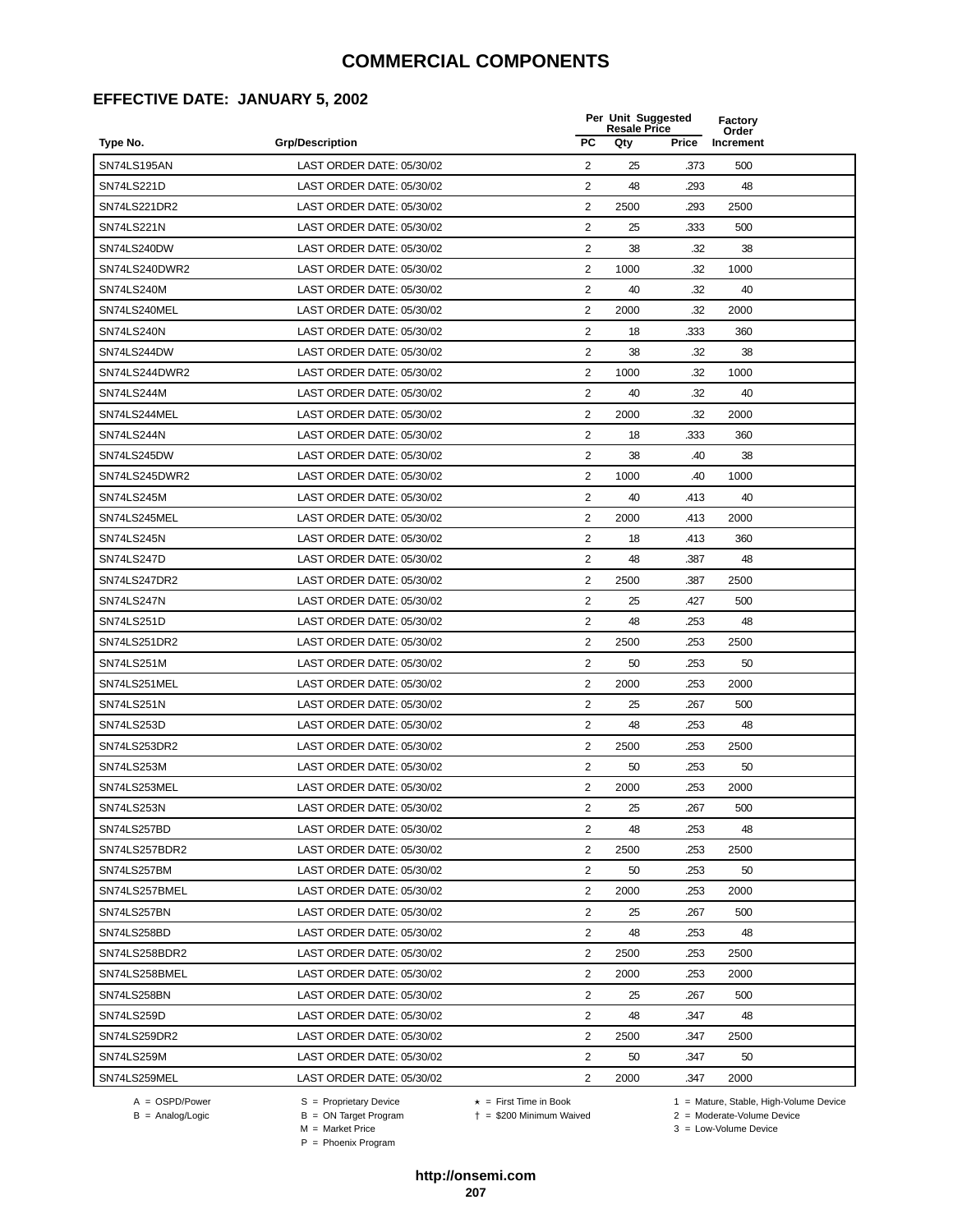### **EFFECTIVE DATE: JANUARY 5, 2002**

|               |                           |                | Per Unit Suggested<br><b>Resale Price</b> |       | Factory<br>Order |  |
|---------------|---------------------------|----------------|-------------------------------------------|-------|------------------|--|
| Type No.      | <b>Grp/Description</b>    | <b>PC</b>      | Qty                                       | Price | Increment        |  |
| SN74LS195AN   | LAST ORDER DATE: 05/30/02 | 2              | 25                                        | .373  | 500              |  |
| SN74LS221D    | LAST ORDER DATE: 05/30/02 | 2              | 48                                        | .293  | 48               |  |
| SN74LS221DR2  | LAST ORDER DATE: 05/30/02 | $\overline{2}$ | 2500                                      | .293  | 2500             |  |
| SN74LS221N    | LAST ORDER DATE: 05/30/02 | 2              | 25                                        | .333  | 500              |  |
| SN74LS240DW   | LAST ORDER DATE: 05/30/02 | 2              | 38                                        | .32   | 38               |  |
| SN74LS240DWR2 | LAST ORDER DATE: 05/30/02 | 2              | 1000                                      | .32   | 1000             |  |
| SN74LS240M    | LAST ORDER DATE: 05/30/02 | $\overline{2}$ | 40                                        | .32   | 40               |  |
| SN74LS240MEL  | LAST ORDER DATE: 05/30/02 | 2              | 2000                                      | .32   | 2000             |  |
| SN74LS240N    | LAST ORDER DATE: 05/30/02 | 2              | 18                                        | .333  | 360              |  |
| SN74LS244DW   | LAST ORDER DATE: 05/30/02 | $\overline{2}$ | 38                                        | .32   | 38               |  |
| SN74LS244DWR2 | LAST ORDER DATE: 05/30/02 | 2              | 1000                                      | .32   | 1000             |  |
| SN74LS244M    | LAST ORDER DATE: 05/30/02 | $\overline{2}$ | 40                                        | .32   | 40               |  |
| SN74LS244MEL  | LAST ORDER DATE: 05/30/02 | 2              | 2000                                      | .32   | 2000             |  |
| SN74LS244N    | LAST ORDER DATE: 05/30/02 | 2              | 18                                        | .333  | 360              |  |
| SN74LS245DW   | LAST ORDER DATE: 05/30/02 | 2              | 38                                        | .40   | 38               |  |
| SN74LS245DWR2 | LAST ORDER DATE: 05/30/02 | $\overline{2}$ | 1000                                      | .40   | 1000             |  |
| SN74LS245M    | LAST ORDER DATE: 05/30/02 | 2              | 40                                        | .413  | 40               |  |
| SN74LS245MEL  | LAST ORDER DATE: 05/30/02 | 2              | 2000                                      | .413  | 2000             |  |
| SN74LS245N    | LAST ORDER DATE: 05/30/02 | $\overline{2}$ | 18                                        | .413  | 360              |  |
| SN74LS247D    | LAST ORDER DATE: 05/30/02 | 2              | 48                                        | .387  | 48               |  |
| SN74LS247DR2  | LAST ORDER DATE: 05/30/02 | 2              | 2500                                      | .387  | 2500             |  |
| SN74LS247N    | LAST ORDER DATE: 05/30/02 | $\overline{2}$ | 25                                        | .427  | 500              |  |
| SN74LS251D    | LAST ORDER DATE: 05/30/02 | $\overline{2}$ | 48                                        | .253  | 48               |  |
| SN74LS251DR2  | LAST ORDER DATE: 05/30/02 | 2              | 2500                                      | .253  | 2500             |  |
| SN74LS251M    | LAST ORDER DATE: 05/30/02 | $\overline{2}$ | 50                                        | .253  | 50               |  |
| SN74LS251MEL  | LAST ORDER DATE: 05/30/02 | 2              | 2000                                      | .253  | 2000             |  |
| SN74LS251N    | LAST ORDER DATE: 05/30/02 | 2              | 25                                        | .267  | 500              |  |
| SN74LS253D    | LAST ORDER DATE: 05/30/02 | $\overline{2}$ | 48                                        | .253  | 48               |  |
| SN74LS253DR2  | LAST ORDER DATE: 05/30/02 | 2              | 2500                                      | .253  | 2500             |  |
| SN74LS253M    | LAST ORDER DATE: 05/30/02 | 2              | 50                                        | .253  | 50               |  |
| SN74LS253MEL  | LAST ORDER DATE: 05/30/02 | $\overline{2}$ | 2000                                      | .253  | 2000             |  |
| SN74LS253N    | LAST ORDER DATE: 05/30/02 | 2              | 25                                        | 267   | 500              |  |
| SN74LS257BD   | LAST ORDER DATE: 05/30/02 | 2              | 48                                        | .253  | 48               |  |
| SN74LS257BDR2 | LAST ORDER DATE: 05/30/02 | 2              | 2500                                      | .253  | 2500             |  |
| SN74LS257BM   | LAST ORDER DATE: 05/30/02 | 2              | 50                                        | .253  | 50               |  |
| SN74LS257BMEL | LAST ORDER DATE: 05/30/02 | 2              | 2000                                      | .253  | 2000             |  |
| SN74LS257BN   | LAST ORDER DATE: 05/30/02 | $\overline{2}$ | 25                                        | .267  | 500              |  |
| SN74LS258BD   | LAST ORDER DATE: 05/30/02 | 2              | 48                                        | .253  | 48               |  |
| SN74LS258BDR2 | LAST ORDER DATE: 05/30/02 | $\overline{2}$ | 2500                                      | .253  | 2500             |  |
| SN74LS258BMEL | LAST ORDER DATE: 05/30/02 | $\overline{2}$ | 2000                                      | .253  | 2000             |  |
| SN74LS258BN   | LAST ORDER DATE: 05/30/02 | $\overline{2}$ | 25                                        | .267  | 500              |  |
| SN74LS259D    | LAST ORDER DATE: 05/30/02 | 2              | 48                                        | .347  | 48               |  |
| SN74LS259DR2  | LAST ORDER DATE: 05/30/02 | 2              | 2500                                      | .347  | 2500             |  |
| SN74LS259M    | LAST ORDER DATE: 05/30/02 | 2              | 50                                        | .347  | 50               |  |
| SN74LS259MEL  | LAST ORDER DATE: 05/30/02 | $\overline{2}$ | 2000                                      | .347  | 2000             |  |
|               |                           |                |                                           |       |                  |  |

B = Analog/Logic<br>B = Analog/Logic<br>M = Market Price

A = OSPD/Power S = Proprietary Device  $\star$  = First Time in Book 1 = Mature, Stable, High-Volume Device

 = \$200 Minimum Waived 2 = Moderate-Volume Device  $3 =$  Low-Volume Device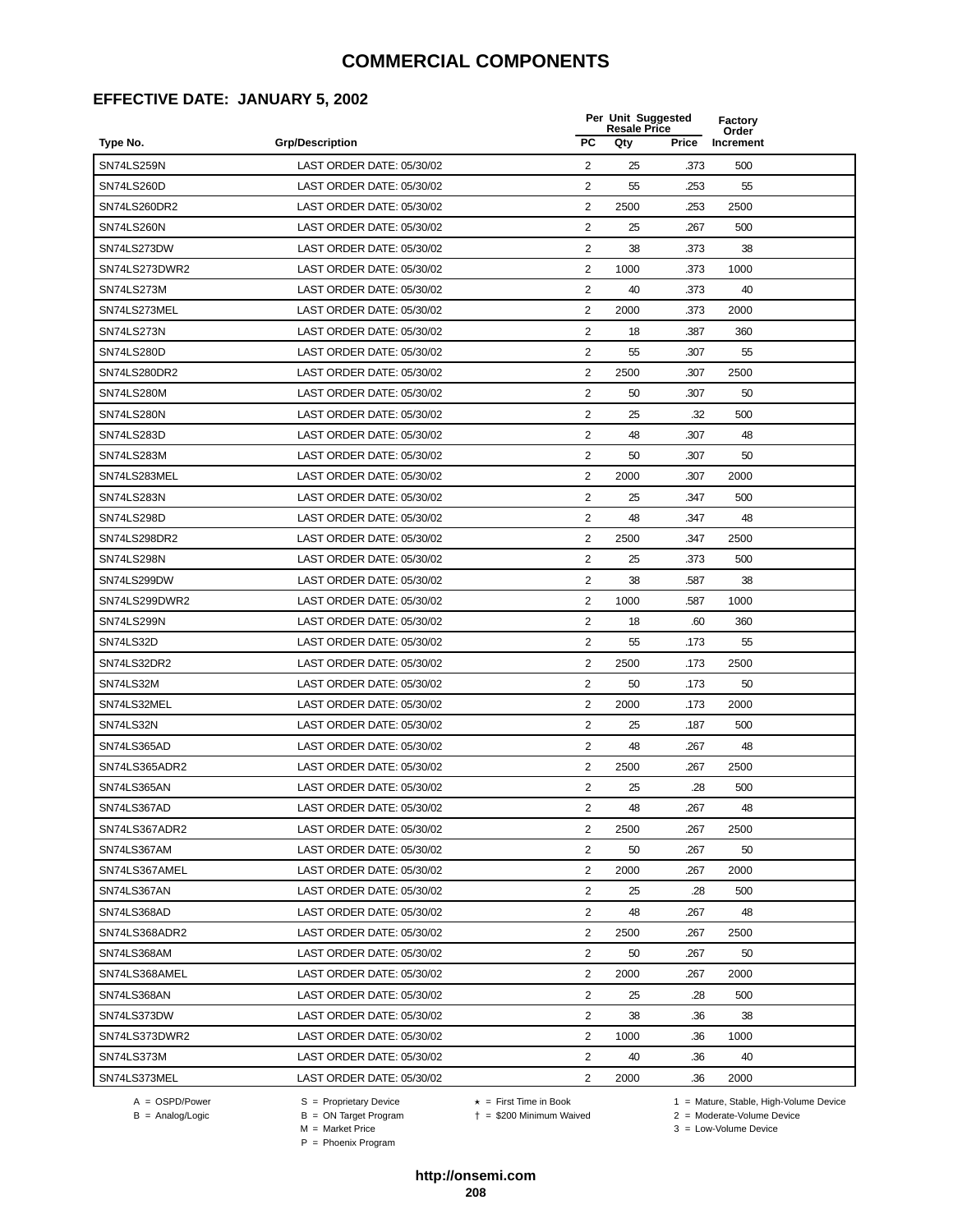## **EFFECTIVE DATE: JANUARY 5, 2002**

|                   |                           |                | Per Unit Suggested<br><b>Resale Price</b> | Factory<br>Order |           |  |
|-------------------|---------------------------|----------------|-------------------------------------------|------------------|-----------|--|
| Type No.          | <b>Grp/Description</b>    | PC             | Qty                                       | Price            | Increment |  |
| <b>SN74LS259N</b> | LAST ORDER DATE: 05/30/02 | 2              | 25                                        | .373             | 500       |  |
| SN74LS260D        | LAST ORDER DATE: 05/30/02 | 2              | 55                                        | .253             | 55        |  |
| SN74LS260DR2      | LAST ORDER DATE: 05/30/02 | $\overline{2}$ | 2500                                      | .253             | 2500      |  |
| SN74LS260N        | LAST ORDER DATE: 05/30/02 | 2              | 25                                        | .267             | 500       |  |
| SN74LS273DW       | LAST ORDER DATE: 05/30/02 | $\sqrt{2}$     | 38                                        | .373             | 38        |  |
| SN74LS273DWR2     | LAST ORDER DATE: 05/30/02 | $\overline{2}$ | 1000                                      | .373             | 1000      |  |
| <b>SN74LS273M</b> | LAST ORDER DATE: 05/30/02 | $\overline{2}$ | 40                                        | .373             | 40        |  |
| SN74LS273MEL      | LAST ORDER DATE: 05/30/02 | $\overline{2}$ | 2000                                      | .373             | 2000      |  |
| SN74LS273N        | LAST ORDER DATE: 05/30/02 | $\overline{2}$ | 18                                        | .387             | 360       |  |
| SN74LS280D        | LAST ORDER DATE: 05/30/02 | 2              | 55                                        | .307             | 55        |  |
| SN74LS280DR2      | LAST ORDER DATE: 05/30/02 | $\overline{2}$ | 2500                                      | .307             | 2500      |  |
| SN74LS280M        | LAST ORDER DATE: 05/30/02 | 2              | 50                                        | .307             | 50        |  |
| SN74LS280N        | LAST ORDER DATE: 05/30/02 | $\overline{c}$ | 25                                        | .32              | 500       |  |
| SN74LS283D        | LAST ORDER DATE: 05/30/02 | $\sqrt{2}$     | 48                                        | .307             | 48        |  |
| SN74LS283M        | LAST ORDER DATE: 05/30/02 | $\overline{2}$ | 50                                        | .307             | 50        |  |
| SN74LS283MEL      | LAST ORDER DATE: 05/30/02 | $\overline{2}$ | 2000                                      | .307             | 2000      |  |
| SN74LS283N        | LAST ORDER DATE: 05/30/02 | $\overline{2}$ | 25                                        | .347             | 500       |  |
| SN74LS298D        | LAST ORDER DATE: 05/30/02 | $\overline{2}$ | 48                                        | .347             | 48        |  |
| SN74LS298DR2      | LAST ORDER DATE: 05/30/02 | $\overline{2}$ | 2500                                      | .347             | 2500      |  |
| <b>SN74LS298N</b> | LAST ORDER DATE: 05/30/02 | 2              | 25                                        | .373             | 500       |  |
| SN74LS299DW       | LAST ORDER DATE: 05/30/02 | 2              | 38                                        | .587             | 38        |  |
| SN74LS299DWR2     | LAST ORDER DATE: 05/30/02 | $\overline{2}$ | 1000                                      | .587             | 1000      |  |
| SN74LS299N        | LAST ORDER DATE: 05/30/02 | $\overline{c}$ | 18                                        | .60              | 360       |  |
| SN74LS32D         | LAST ORDER DATE: 05/30/02 | 2              | 55                                        | .173             | 55        |  |
| SN74LS32DR2       | LAST ORDER DATE: 05/30/02 | $\overline{2}$ | 2500                                      | .173             | 2500      |  |
| SN74LS32M         | LAST ORDER DATE: 05/30/02 | $\overline{2}$ | 50                                        | .173             | 50        |  |
| SN74LS32MEL       | LAST ORDER DATE: 05/30/02 | 2              | 2000                                      | .173             | 2000      |  |
| SN74LS32N         | LAST ORDER DATE: 05/30/02 | 2              | 25                                        | .187             | 500       |  |
| SN74LS365AD       | LAST ORDER DATE: 05/30/02 | 2              | 48                                        | .267             | 48        |  |
| SN74LS365ADR2     | LAST ORDER DATE: 05/30/02 | $\overline{2}$ | 2500                                      | .267             | 2500      |  |
| SN74LS365AN       | LAST ORDER DATE: 05/30/02 | $\overline{2}$ | 25                                        | .28              | 500       |  |
| SN74LS367AD       | LAST ORDER DATE: 05/30/02 | $\overline{c}$ | 48                                        | 267              | 48        |  |
| SN74LS367ADR2     | LAST ORDER DATE: 05/30/02 | 2              | 2500                                      | .267             | 2500      |  |
| SN74LS367AM       | LAST ORDER DATE: 05/30/02 | $\overline{2}$ | 50                                        | .267             | 50        |  |
| SN74LS367AMEL     | LAST ORDER DATE: 05/30/02 | 2              | 2000                                      | .267             | 2000      |  |
| SN74LS367AN       | LAST ORDER DATE: 05/30/02 | $\overline{c}$ | 25                                        | .28              | 500       |  |
| SN74LS368AD       | LAST ORDER DATE: 05/30/02 | 2              | 48                                        | .267             | 48        |  |
| SN74LS368ADR2     | LAST ORDER DATE: 05/30/02 | 2              | 2500                                      | .267             | 2500      |  |
| SN74LS368AM       | LAST ORDER DATE: 05/30/02 | $\overline{2}$ | 50                                        | .267             | 50        |  |
| SN74LS368AMEL     | LAST ORDER DATE: 05/30/02 | 2              | 2000                                      | .267             | 2000      |  |
| SN74LS368AN       | LAST ORDER DATE: 05/30/02 | 2              | 25                                        | .28              | 500       |  |
| SN74LS373DW       | LAST ORDER DATE: 05/30/02 | 2              | 38                                        | .36              | 38        |  |
| SN74LS373DWR2     | LAST ORDER DATE: 05/30/02 | $\overline{2}$ | 1000                                      | .36              | 1000      |  |
| SN74LS373M        | LAST ORDER DATE: 05/30/02 | 2              | 40                                        | .36              | 40        |  |
| SN74LS373MEL      | LAST ORDER DATE: 05/30/02 | $\overline{2}$ | 2000                                      | .36              | 2000      |  |
|                   |                           |                |                                           |                  |           |  |

 $B = \text{Analog/Logic}$ <br>B = ON Target Program<br> $M = \text{Market Price}$ 

A = OSPD/Power S = Proprietary Device  $\star$  = First Time in Book 1 = Mature, Stable, High-Volume Device

= \$200 Minimum Waived 2 = Moderate-Volume Device

 $3 =$  Low-Volume Device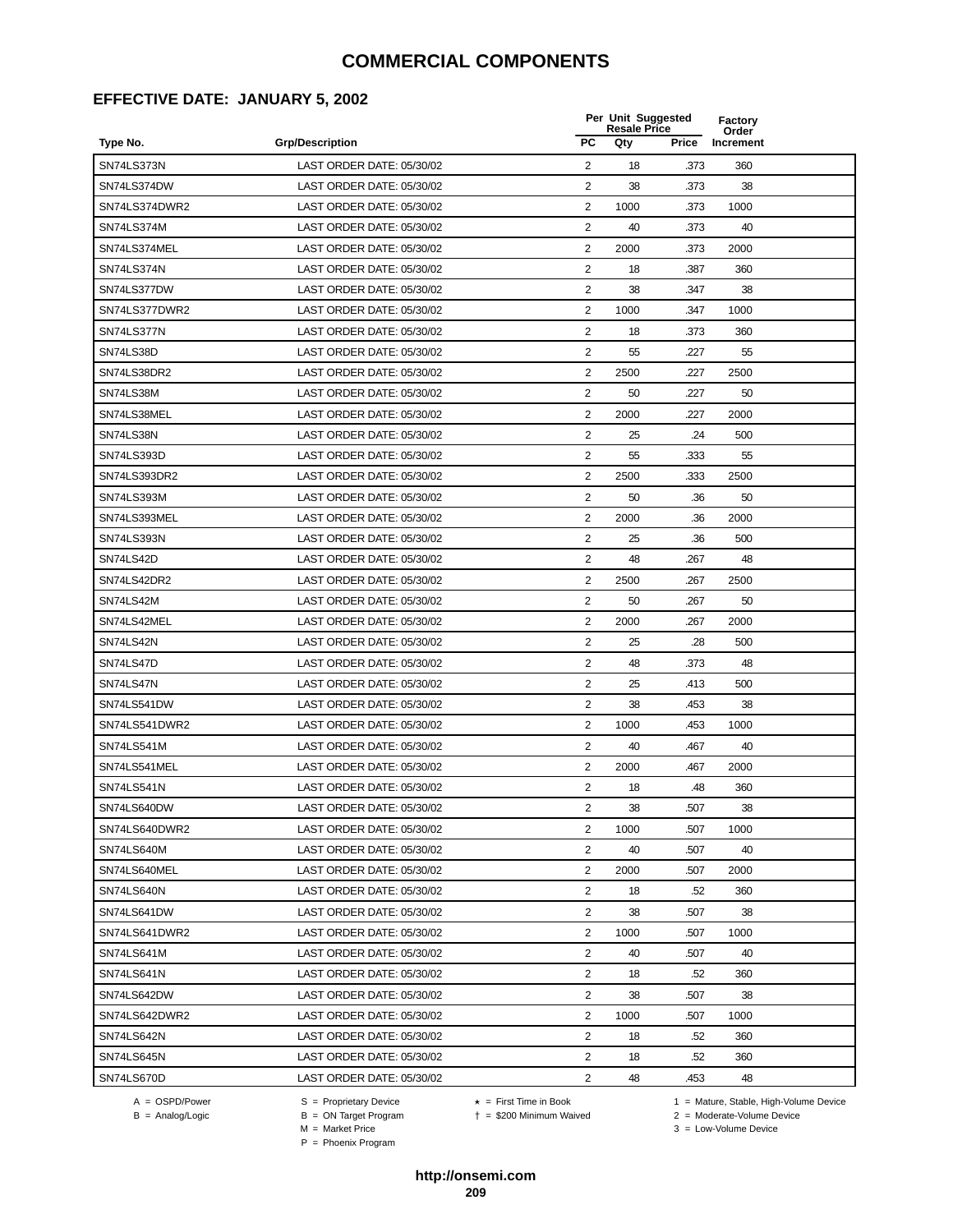## **EFFECTIVE DATE: JANUARY 5, 2002**

|                   |                           | Per Unit Suggested<br><b>Resale Price</b> |      |       | Factory<br>Order |  |
|-------------------|---------------------------|-------------------------------------------|------|-------|------------------|--|
| Type No.          | <b>Grp/Description</b>    | PC                                        | Qty  | Price | Increment        |  |
| SN74LS373N        | LAST ORDER DATE: 05/30/02 | 2                                         | 18   | .373  | 360              |  |
| SN74LS374DW       | LAST ORDER DATE: 05/30/02 | 2                                         | 38   | .373  | 38               |  |
| SN74LS374DWR2     | LAST ORDER DATE: 05/30/02 | 2                                         | 1000 | .373  | 1000             |  |
| SN74LS374M        | LAST ORDER DATE: 05/30/02 | 2                                         | 40   | .373  | 40               |  |
| SN74LS374MEL      | LAST ORDER DATE: 05/30/02 | $\overline{c}$                            | 2000 | .373  | 2000             |  |
| SN74LS374N        | LAST ORDER DATE: 05/30/02 | $\overline{2}$                            | 18   | .387  | 360              |  |
| SN74LS377DW       | LAST ORDER DATE: 05/30/02 | $\overline{2}$                            | 38   | .347  | 38               |  |
| SN74LS377DWR2     | LAST ORDER DATE: 05/30/02 | $\overline{2}$                            | 1000 | .347  | 1000             |  |
| SN74LS377N        | LAST ORDER DATE: 05/30/02 | $\overline{2}$                            | 18   | .373  | 360              |  |
| SN74LS38D         | LAST ORDER DATE: 05/30/02 | 2                                         | 55   | .227  | 55               |  |
| SN74LS38DR2       | LAST ORDER DATE: 05/30/02 | 2                                         | 2500 | .227  | 2500             |  |
| SN74LS38M         | LAST ORDER DATE: 05/30/02 | $\overline{2}$                            | 50   | .227  | 50               |  |
| SN74LS38MEL       | LAST ORDER DATE: 05/30/02 | $\overline{c}$                            | 2000 | .227  | 2000             |  |
| SN74LS38N         | LAST ORDER DATE: 05/30/02 | $\sqrt{2}$                                | 25   | .24   | 500              |  |
| SN74LS393D        | LAST ORDER DATE: 05/30/02 | $\overline{2}$                            | 55   | .333  | 55               |  |
| SN74LS393DR2      | LAST ORDER DATE: 05/30/02 | $\overline{2}$                            | 2500 | .333  | 2500             |  |
| SN74LS393M        | LAST ORDER DATE: 05/30/02 | $\overline{2}$                            | 50   | .36   | 50               |  |
| SN74LS393MEL      | LAST ORDER DATE: 05/30/02 | $\overline{c}$                            | 2000 | .36   | 2000             |  |
| SN74LS393N        | LAST ORDER DATE: 05/30/02 | 2                                         | 25   | .36   | 500              |  |
| SN74LS42D         | LAST ORDER DATE: 05/30/02 | 2                                         | 48   | .267  | 48               |  |
| SN74LS42DR2       | LAST ORDER DATE: 05/30/02 | 2                                         | 2500 | .267  | 2500             |  |
| SN74LS42M         | LAST ORDER DATE: 05/30/02 | $\overline{c}$                            | 50   | .267  | 50               |  |
| SN74LS42MEL       | LAST ORDER DATE: 05/30/02 | $\overline{c}$                            | 2000 | .267  | 2000             |  |
| SN74LS42N         | LAST ORDER DATE: 05/30/02 | $\overline{c}$                            | 25   | .28   | 500              |  |
| SN74LS47D         | LAST ORDER DATE: 05/30/02 | $\overline{2}$                            | 48   | .373  | 48               |  |
| SN74LS47N         | LAST ORDER DATE: 05/30/02 | $\overline{2}$                            | 25   | .413  | 500              |  |
| SN74LS541DW       | LAST ORDER DATE: 05/30/02 | $\overline{c}$                            | 38   | .453  | 38               |  |
| SN74LS541DWR2     | LAST ORDER DATE: 05/30/02 | $\overline{2}$                            | 1000 | .453  | 1000             |  |
| <b>SN74LS541M</b> | LAST ORDER DATE: 05/30/02 | 2                                         | 40   | .467  | 40               |  |
| SN74LS541MEL      | LAST ORDER DATE: 05/30/02 | $\overline{2}$                            | 2000 | .467  | 2000             |  |
| <b>SN74LS541N</b> | LAST ORDER DATE: 05/30/02 | 2                                         | 18   | .48   | 360              |  |
| SN74LS640DW       | LAST ORDER DATE: 05/30/02 | 2                                         | 38   | 507   | 38               |  |
| SN74LS640DWR2     | LAST ORDER DATE: 05/30/02 | 2                                         | 1000 | .507  | 1000             |  |
| SN74LS640M        | LAST ORDER DATE: 05/30/02 | $\overline{2}$                            | 40   | .507  | 40               |  |
| SN74LS640MEL      | LAST ORDER DATE: 05/30/02 | 2                                         | 2000 | .507  | 2000             |  |
| SN74LS640N        | LAST ORDER DATE: 05/30/02 | $\overline{c}$                            | 18   | .52   | 360              |  |
| SN74LS641DW       | LAST ORDER DATE: 05/30/02 | 2                                         | 38   | .507  | 38               |  |
| SN74LS641DWR2     | LAST ORDER DATE: 05/30/02 | 2                                         | 1000 | .507  | 1000             |  |
| SN74LS641M        | LAST ORDER DATE: 05/30/02 | $\overline{2}$                            | 40   | .507  | 40               |  |
| SN74LS641N        | LAST ORDER DATE: 05/30/02 | $\overline{c}$                            | 18   | .52   | 360              |  |
| SN74LS642DW       | LAST ORDER DATE: 05/30/02 | $\overline{c}$                            | 38   | .507  | 38               |  |
| SN74LS642DWR2     | LAST ORDER DATE: 05/30/02 | 2                                         | 1000 | .507  | 1000             |  |
| SN74LS642N        | LAST ORDER DATE: 05/30/02 | $\overline{2}$                            | 18   | .52   | 360              |  |
| SN74LS645N        | LAST ORDER DATE: 05/30/02 | 2                                         | 18   | .52   | 360              |  |
| SN74LS670D        | LAST ORDER DATE: 05/30/02 | $\overline{c}$                            | 48   | .453  | 48               |  |
|                   |                           |                                           |      |       |                  |  |

 $B = \text{Analog/Logic}$ <br>B = ON Target Program<br> $M = \text{Market Price}$ 

= \$200 Minimum Waived 2 = Moderate-Volume Device

A = OSPD/Power S = Proprietary Device  $\star$  = First Time in Book 1 = Mature, Stable, High-Volume Device

 $3 =$  Low-Volume Device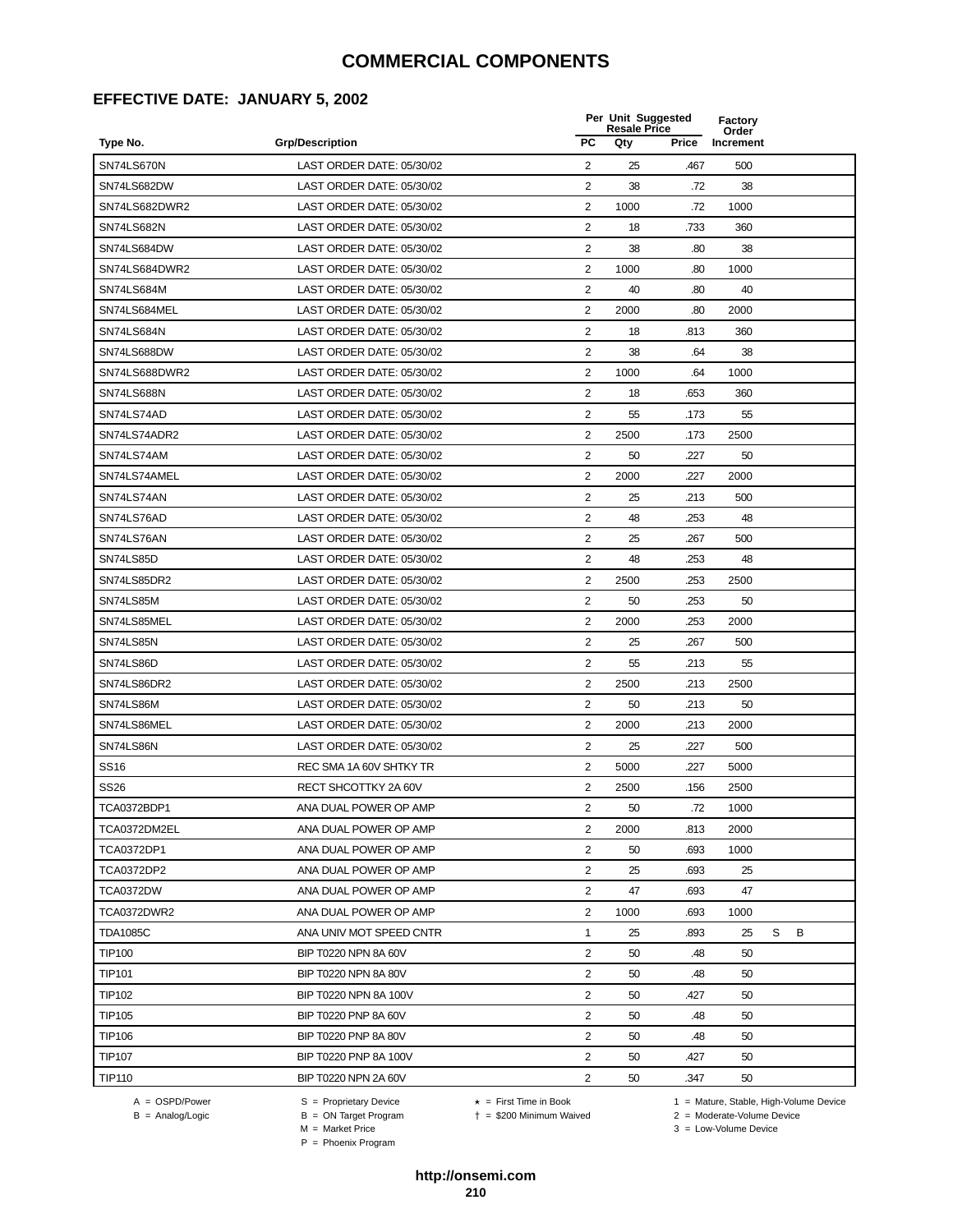### **EFFECTIVE DATE: JANUARY 5, 2002**

|                 | <b>Resale Price</b>       |                         | Per Unit Suggested<br>Factory |       | Order     |   |   |  |
|-----------------|---------------------------|-------------------------|-------------------------------|-------|-----------|---|---|--|
| Type No.        | <b>Grp/Description</b>    | PC                      | Qty                           | Price | Increment |   |   |  |
| SN74LS670N      | LAST ORDER DATE: 05/30/02 | 2                       | 25                            | .467  | 500       |   |   |  |
| SN74LS682DW     | LAST ORDER DATE: 05/30/02 | 2                       | 38                            | .72   | 38        |   |   |  |
| SN74LS682DWR2   | LAST ORDER DATE: 05/30/02 | $\overline{2}$          | 1000                          | .72   | 1000      |   |   |  |
| SN74LS682N      | LAST ORDER DATE: 05/30/02 | 2                       | 18                            | .733  | 360       |   |   |  |
| SN74LS684DW     | LAST ORDER DATE: 05/30/02 | $\sqrt{2}$              | 38                            | .80   | 38        |   |   |  |
| SN74LS684DWR2   | LAST ORDER DATE: 05/30/02 | $\overline{2}$          | 1000                          | .80   | 1000      |   |   |  |
| SN74LS684M      | LAST ORDER DATE: 05/30/02 | $\overline{2}$          | 40                            | .80   | 40        |   |   |  |
| SN74LS684MEL    | LAST ORDER DATE: 05/30/02 | $\overline{2}$          | 2000                          | .80   | 2000      |   |   |  |
| SN74LS684N      | LAST ORDER DATE: 05/30/02 | $\overline{2}$          | 18                            | .813  | 360       |   |   |  |
| SN74LS688DW     | LAST ORDER DATE: 05/30/02 | 2                       | 38                            | .64   | 38        |   |   |  |
| SN74LS688DWR2   | LAST ORDER DATE: 05/30/02 | 2                       | 1000                          | .64   | 1000      |   |   |  |
| SN74LS688N      | LAST ORDER DATE: 05/30/02 | 2                       | 18                            | .653  | 360       |   |   |  |
| SN74LS74AD      | LAST ORDER DATE: 05/30/02 | $\overline{c}$          | 55                            | .173  | 55        |   |   |  |
| SN74LS74ADR2    | LAST ORDER DATE: 05/30/02 | $\sqrt{2}$              | 2500                          | .173  | 2500      |   |   |  |
| SN74LS74AM      | LAST ORDER DATE: 05/30/02 | $\overline{2}$          | 50                            | .227  | 50        |   |   |  |
| SN74LS74AMEL    | LAST ORDER DATE: 05/30/02 | $\overline{2}$          | 2000                          | .227  | 2000      |   |   |  |
| SN74LS74AN      | LAST ORDER DATE: 05/30/02 | $\overline{2}$          | 25                            | .213  | 500       |   |   |  |
| SN74LS76AD      | LAST ORDER DATE: 05/30/02 | 2                       | 48                            | .253  | 48        |   |   |  |
| SN74LS76AN      | LAST ORDER DATE: 05/30/02 | 2                       | 25                            | .267  | 500       |   |   |  |
| SN74LS85D       | LAST ORDER DATE: 05/30/02 | 2                       | 48                            | .253  | 48        |   |   |  |
| SN74LS85DR2     | LAST ORDER DATE: 05/30/02 | $\overline{2}$          | 2500                          | .253  | 2500      |   |   |  |
| SN74LS85M       | LAST ORDER DATE: 05/30/02 | $\overline{c}$          | 50                            | .253  | 50        |   |   |  |
| SN74LS85MEL     | LAST ORDER DATE: 05/30/02 | $\overline{c}$          | 2000                          | .253  | 2000      |   |   |  |
| SN74LS85N       | LAST ORDER DATE: 05/30/02 | $\overline{c}$          | 25                            | .267  | 500       |   |   |  |
| SN74LS86D       | LAST ORDER DATE: 05/30/02 | $\overline{2}$          | 55                            | .213  | 55        |   |   |  |
| SN74LS86DR2     | LAST ORDER DATE: 05/30/02 | $\overline{2}$          | 2500                          | .213  | 2500      |   |   |  |
| SN74LS86M       | LAST ORDER DATE: 05/30/02 | $\overline{c}$          | 50                            | .213  | 50        |   |   |  |
| SN74LS86MEL     | LAST ORDER DATE: 05/30/02 | $\overline{2}$          | 2000                          | .213  | 2000      |   |   |  |
| SN74LS86N       | LAST ORDER DATE: 05/30/02 | 2                       | 25                            | .227  | 500       |   |   |  |
| <b>SS16</b>     | REC SMA 1A 60V SHTKY TR   | $\overline{2}$          | 5000                          | .227  | 5000      |   |   |  |
| <b>SS26</b>     | RECT SHCOTTKY 2A 60V      | $\overline{2}$          | 2500                          | .156  | 2500      |   |   |  |
| TCA0372BDP1     | ANA DUAL POWER OP AMP     | $\overline{\mathbf{c}}$ | 50                            | .72   | 1000      |   |   |  |
| TCA0372DM2EL    | ANA DUAL POWER OP AMP     | 2                       | 2000                          | .813  | 2000      |   |   |  |
| TCA0372DP1      | ANA DUAL POWER OP AMP     | $\overline{2}$          | 50                            | .693  | 1000      |   |   |  |
| TCA0372DP2      | ANA DUAL POWER OP AMP     | $\overline{2}$          | 25                            | .693  | 25        |   |   |  |
| TCA0372DW       | ANA DUAL POWER OP AMP     | $\overline{c}$          | 47                            | .693  | 47        |   |   |  |
| TCA0372DWR2     | ANA DUAL POWER OP AMP     | $\overline{2}$          | 1000                          | .693  | 1000      |   |   |  |
| <b>TDA1085C</b> | ANA UNIV MOT SPEED CNTR   | 1                       | 25                            | .893  | 25        | S | В |  |
| <b>TIP100</b>   | BIP T0220 NPN 8A 60V      | $\overline{2}$          | 50                            | .48   | 50        |   |   |  |
| <b>TIP101</b>   | BIP T0220 NPN 8A 80V      | $\overline{c}$          | 50                            | .48   | 50        |   |   |  |
| <b>TIP102</b>   | BIP T0220 NPN 8A 100V     | $\overline{c}$          | 50                            | .427  | 50        |   |   |  |
| <b>TIP105</b>   | BIP T0220 PNP 8A 60V      | 2                       | 50                            | .48   | 50        |   |   |  |
| <b>TIP106</b>   | BIP T0220 PNP 8A 80V      | $\overline{2}$          | 50                            | .48   | 50        |   |   |  |
| <b>TIP107</b>   | BIP T0220 PNP 8A 100V     | 2                       | 50                            | .427  | 50        |   |   |  |
| <b>TIP110</b>   | BIP T0220 NPN 2A 60V      | $\overline{c}$          | 50                            | .347  | 50        |   |   |  |

B = Analog/Logic<br>B = Analog/Logic<br>M = Market Price

A = OSPD/Power S = Proprietary Device  $\star$  = First Time in Book 1 = Mature, Stable, High-Volume Device

= \$200 Minimum Waived 2 = Moderate-Volume Device

P = Phoenix Program

 $3 =$  Low-Volume Device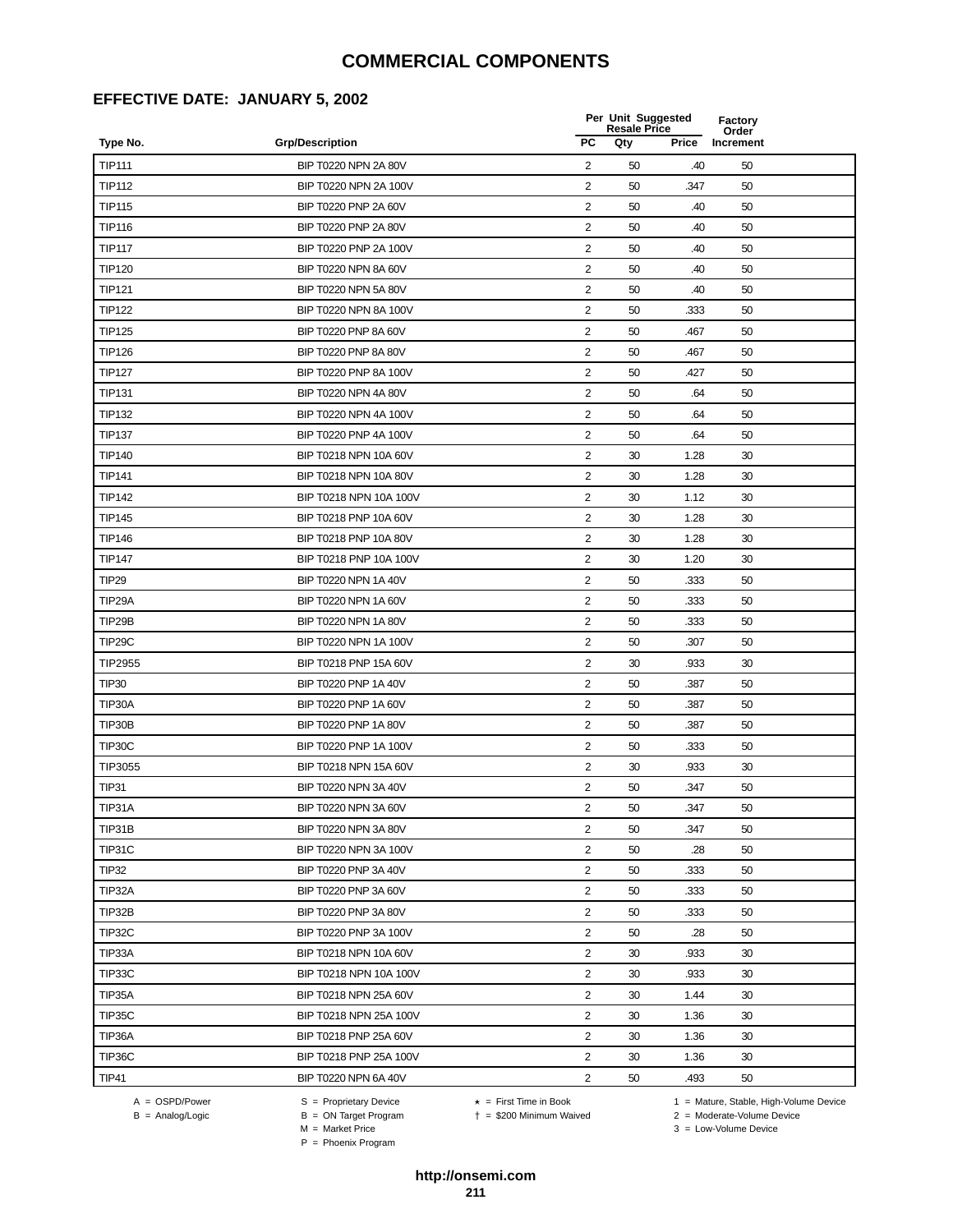## **EFFECTIVE DATE: JANUARY 5, 2002**

|               |                        |                         | Per Unit Suggested<br><b>Resale Price</b> |       | Factory<br>Order |
|---------------|------------------------|-------------------------|-------------------------------------------|-------|------------------|
| Type No.      | <b>Grp/Description</b> | <b>PC</b>               | Qty                                       | Price | Increment        |
| <b>TIP111</b> | BIP T0220 NPN 2A 80V   | 2                       | 50                                        | .40   | 50               |
| <b>TIP112</b> | BIP T0220 NPN 2A 100V  | $\overline{2}$          | 50                                        | .347  | 50               |
| <b>TIP115</b> | BIP T0220 PNP 2A 60V   | $\overline{2}$          | 50                                        | .40   | 50               |
| <b>TIP116</b> | BIP T0220 PNP 2A 80V   | $\overline{c}$          | 50                                        | .40   | 50               |
| <b>TIP117</b> | BIP T0220 PNP 2A 100V  | $\overline{c}$          | 50                                        | .40   | 50               |
| <b>TIP120</b> | BIP T0220 NPN 8A 60V   | $\overline{2}$          | 50                                        | .40   | 50               |
| <b>TIP121</b> | BIP T0220 NPN 5A 80V   | $\overline{c}$          | 50                                        | .40   | 50               |
| <b>TIP122</b> | BIP T0220 NPN 8A 100V  | 2                       | 50                                        | .333  | 50               |
| <b>TIP125</b> | BIP T0220 PNP 8A 60V   | $\overline{c}$          | 50                                        | .467  | 50               |
| <b>TIP126</b> | BIP T0220 PNP 8A 80V   | $\overline{2}$          | 50                                        | .467  | 50               |
| <b>TIP127</b> | BIP T0220 PNP 8A 100V  | 2                       | 50                                        | .427  | 50               |
| <b>TIP131</b> | BIP T0220 NPN 4A 80V   | $\overline{2}$          | 50                                        | .64   | 50               |
| <b>TIP132</b> | BIP T0220 NPN 4A 100V  | $\overline{c}$          | 50                                        | .64   | 50               |
| <b>TIP137</b> | BIP T0220 PNP 4A 100V  | $\overline{c}$          | 50                                        | .64   | 50               |
| <b>TIP140</b> | BIP T0218 NPN 10A 60V  | 2                       | 30                                        | 1.28  | 30               |
| <b>TIP141</b> | BIP T0218 NPN 10A 80V  | $\overline{2}$          | 30                                        | 1.28  | 30               |
| <b>TIP142</b> | BIP T0218 NPN 10A 100V | $\overline{c}$          | 30                                        | 1.12  | 30               |
| <b>TIP145</b> | BIP T0218 PNP 10A 60V  | $\overline{c}$          | 30                                        | 1.28  | 30               |
| <b>TIP146</b> | BIP T0218 PNP 10A 80V  | 2                       | 30                                        | 1.28  | 30               |
| <b>TIP147</b> | BIP T0218 PNP 10A 100V | 2                       | 30                                        | 1.20  | 30               |
| <b>TIP29</b>  | BIP T0220 NPN 1A 40V   | 2                       | 50                                        | .333  | 50               |
| TIP29A        | BIP T0220 NPN 1A 60V   | $\overline{2}$          | 50                                        | .333  | 50               |
| TIP29B        | BIP T0220 NPN 1A 80V   | $\sqrt{2}$              | 50                                        | .333  | 50               |
| TIP29C        | BIP T0220 NPN 1A 100V  | $\overline{2}$          | 50                                        | .307  | 50               |
| TIP2955       | BIP T0218 PNP 15A 60V  | $\overline{c}$          | 30                                        | .933  | 30               |
| <b>TIP30</b>  | BIP T0220 PNP 1A 40V   | 2                       | 50                                        | .387  | 50               |
| <b>TIP30A</b> | BIP T0220 PNP 1A 60V   | $\overline{\mathbf{c}}$ | 50                                        | .387  | 50               |
| TIP30B        | BIP T0220 PNP 1A 80V   | $\overline{2}$          | 50                                        | .387  | 50               |
| TIP30C        | BIP T0220 PNP 1A 100V  | 2                       | 50                                        | .333  | 50               |
| TIP3055       | BIP T0218 NPN 15A 60V  | $\overline{2}$          | 30                                        | .933  | 30               |
| <b>TIP31</b>  | BIP T0220 NPN 3A 40V   | $\overline{2}$          | 50                                        | .347  | 50               |
| TIP31A        | BIP T0220 NPN 3A 60V   | $\overline{\mathbf{c}}$ | 50                                        | 347   | 50               |
| TIP31B        | BIP T0220 NPN 3A 80V   | $\overline{2}$          | 50                                        | .347  | 50               |
| TIP31C        | BIP T0220 NPN 3A 100V  | $\overline{c}$          | 50                                        | .28   | 50               |
| <b>TIP32</b>  | BIP T0220 PNP 3A 40V   | $\overline{2}$          | 50                                        | .333  | 50               |
| TIP32A        | BIP T0220 PNP 3A 60V   | $\overline{2}$          | 50                                        | .333  | 50               |
| TIP32B        | BIP T0220 PNP 3A 80V   | 2                       | 50                                        | .333  | 50               |
| <b>TIP32C</b> | BIP T0220 PNP 3A 100V  | $\overline{2}$          | 50                                        | .28   | 50               |
| TIP33A        | BIP T0218 NPN 10A 60V  | 2                       | 30                                        | .933  | 30               |
| TIP33C        | BIP T0218 NPN 10A 100V | $\overline{c}$          | 30                                        | .933  | 30               |
| TIP35A        | BIP T0218 NPN 25A 60V  | $\overline{c}$          | 30                                        | 1.44  | 30               |
| TIP35C        | BIP T0218 NPN 25A 100V | 2                       | 30                                        | 1.36  | 30               |
| TIP36A        | BIP T0218 PNP 25A 60V  | $\overline{2}$          | 30                                        | 1.36  | 30               |
| TIP36C        | BIP T0218 PNP 25A 100V | 2                       | 30                                        | 1.36  | 30               |
| <b>TIP41</b>  | BIP T0220 NPN 6A 40V   | $\overline{\mathbf{c}}$ | 50                                        | .493  | 50               |

 $B = \text{Analog/Logic}$ <br>B = ON Target Program<br> $M = \text{Market Price}$ 

A = OSPD/Power S = Proprietary Device  $\star$  = First Time in Book 1 = Mature, Stable, High-Volume Device

 = \$200 Minimum Waived 2 = Moderate-Volume Device  $3 =$  Low-Volume Device

P = Phoenix Program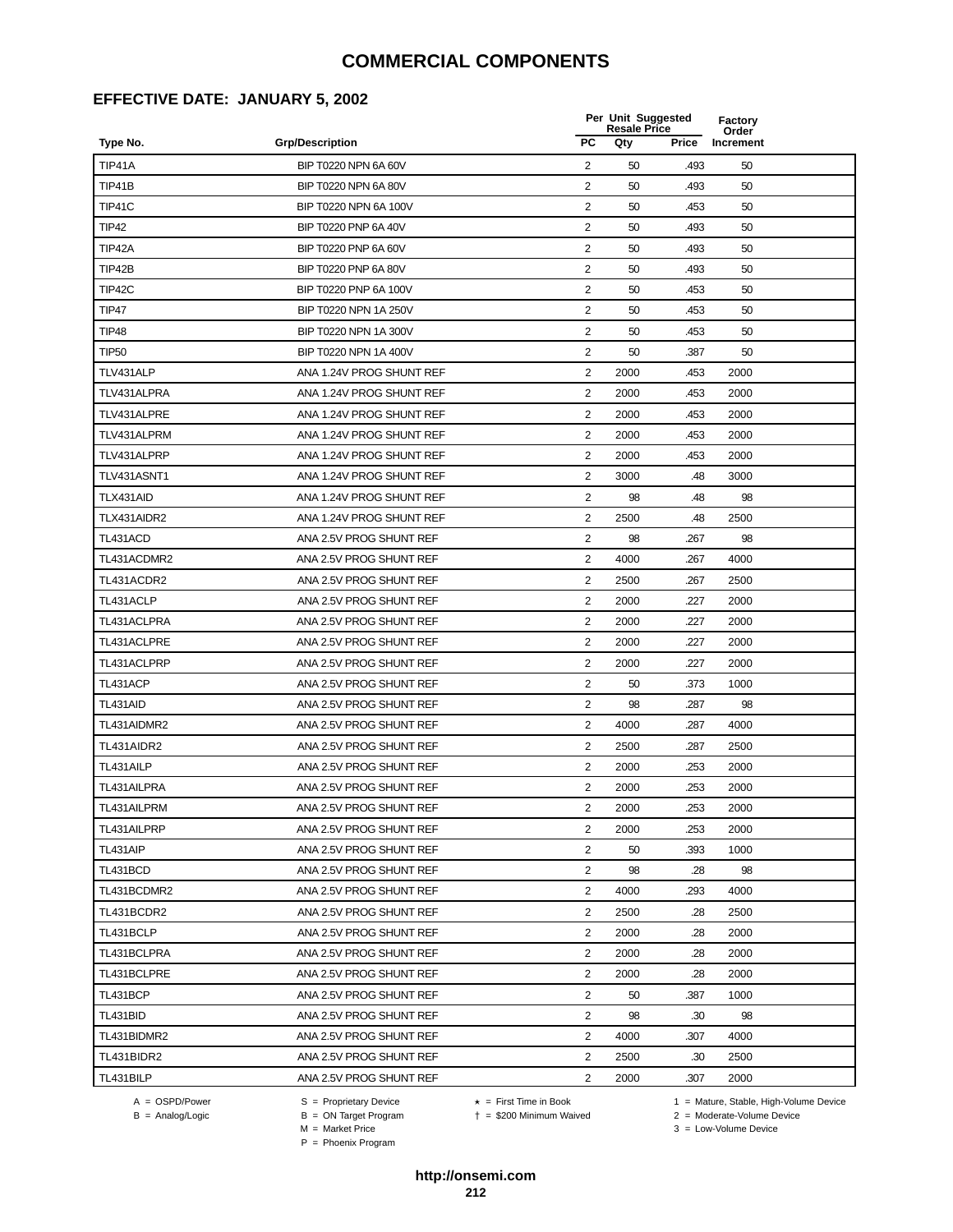## **EFFECTIVE DATE: JANUARY 5, 2002**

| Order<br><b>PC</b><br>Qty<br>Increment<br>Type No.<br><b>Grp/Description</b><br>Price<br><b>TIP41A</b><br>BIP T0220 NPN 6A 60V<br>$\overline{2}$<br>50<br>.493<br>50<br>TIP41B<br>BIP T0220 NPN 6A 80V<br>2<br>50<br>.493<br>50<br>TIP41C<br>2<br>50<br>BIP T0220 NPN 6A 100V<br>.453<br>50<br>2<br><b>TIP42</b><br>BIP T0220 PNP 6A 40V<br>50<br>.493<br>50<br>TIP42A<br>$\overline{c}$<br>BIP T0220 PNP 6A 60V<br>50<br>.493<br>50<br>$\overline{2}$<br>TIP42B<br>BIP T0220 PNP 6A 80V<br>50<br>.493<br>50<br>TIP42C<br>2<br>50<br>.453<br>50<br>BIP T0220 PNP 6A 100V<br><b>TIP47</b><br>BIP T0220 NPN 1A 250V<br>2<br>50<br>.453<br>50<br><b>TIP48</b><br>BIP T0220 NPN 1A 300V<br>$\overline{c}$<br>50<br>.453<br>50<br><b>TIP50</b><br>BIP T0220 NPN 1A 400V<br>$\overline{2}$<br>50<br>.387<br>50<br>TLV431ALP<br>ANA 1.24V PROG SHUNT REF<br>2<br>2000<br>.453<br>2000<br>TLV431ALPRA<br>ANA 1.24V PROG SHUNT REF<br>2<br>2000<br>.453<br>2000<br>TLV431ALPRE<br>ANA 1.24V PROG SHUNT REF<br>2<br>2000<br>.453<br>2000<br>$\overline{c}$<br>TLV431ALPRM<br>ANA 1.24V PROG SHUNT REF<br>2000<br>.453<br>2000<br>$\overline{2}$<br>TLV431ALPRP<br>ANA 1.24V PROG SHUNT REF<br>2000<br>.453<br>2000<br>2<br>3000<br>.48<br>3000<br>TLV431ASNT1<br>ANA 1.24V PROG SHUNT REF<br>ANA 1.24V PROG SHUNT REF<br>2<br>98<br>98<br>TLX431AID<br>.48<br>TLX431AIDR2<br>$\overline{c}$<br>2500<br>ANA 1.24V PROG SHUNT REF<br>2500<br>.48<br>TL431ACD<br>ANA 2.5V PROG SHUNT REF<br>2<br>98<br>.267<br>98<br>TL431ACDMR2<br>ANA 2.5V PROG SHUNT REF<br>2<br>4000<br>.267<br>4000<br>2<br>TL431ACDR2<br>ANA 2.5V PROG SHUNT REF<br>2500<br>.267<br>2500<br>$\overline{c}$<br>TL431ACLP<br>ANA 2.5V PROG SHUNT REF<br>2000<br>.227<br>2000<br>$\overline{2}$<br>TL431ACLPRA<br>2000<br>ANA 2.5V PROG SHUNT REF<br>2000<br>.227<br>2<br>TL431ACLPRE<br>ANA 2.5V PROG SHUNT REF<br>2000<br>.227<br>2000<br>TL431ACLPRP<br>2<br>2000<br>.227<br>2000<br>ANA 2.5V PROG SHUNT REF<br>TL431ACP<br>2<br>ANA 2.5V PROG SHUNT REF<br>50<br>.373<br>1000<br>$\overline{c}$<br>TL431AID<br>ANA 2.5V PROG SHUNT REF<br>98<br>.287<br>98<br>TL431AIDMR2<br>2<br>4000<br>ANA 2.5V PROG SHUNT REF<br>4000<br>.287<br>TL431AIDR2<br>ANA 2.5V PROG SHUNT REF<br>2<br>2500<br>.287<br>2500<br>$\overline{2}$<br>TL431AILP<br>ANA 2.5V PROG SHUNT REF<br>2000<br>.253<br>2000<br>2<br>TL431AILPRA<br>ANA 2.5V PROG SHUNT REF<br>2000<br>.253<br>2000<br>$\overline{c}$<br>253<br>TL431AILPRM<br>ANA 2.5V PROG SHUNT REF<br>2000<br>2000<br>TL431AILPRP<br>2<br>ANA 2.5V PROG SHUNT REF<br>2000<br>.253<br>2000<br>2<br>TL431AIP<br>ANA 2.5V PROG SHUNT REF<br>50<br>.393<br>1000<br>2<br>98<br>.28<br>98<br>TL431BCD<br>ANA 2.5V PROG SHUNT REF<br>$\overline{c}$<br>TL431BCDMR2<br>ANA 2.5V PROG SHUNT REF<br>4000<br>.293<br>4000<br>2<br>2500<br>TL431BCDR2<br>ANA 2.5V PROG SHUNT REF<br>2500<br>.28<br>TL431BCLP<br>ANA 2.5V PROG SHUNT REF<br>2<br>2000<br>.28<br>2000<br>2<br>TL431BCLPRA<br>ANA 2.5V PROG SHUNT REF<br>2000<br>.28<br>2000<br>$\overline{c}$<br>TL431BCLPRE<br>ANA 2.5V PROG SHUNT REF<br>2000<br>.28<br>2000<br>$\overline{c}$<br>TL431BCP<br>50<br>.387<br>1000<br>ANA 2.5V PROG SHUNT REF<br>2<br>TL431BID<br>98<br>.30<br>98<br>ANA 2.5V PROG SHUNT REF<br>2<br>TL431BIDMR2<br>4000<br>.307<br>4000<br>ANA 2.5V PROG SHUNT REF<br>2<br>2500<br>2500<br>.30<br>TL431BIDR2<br>ANA 2.5V PROG SHUNT REF<br>$\overline{c}$<br>TL431BILP<br>ANA 2.5V PROG SHUNT REF<br>2000<br>.307<br>2000 |  | Per Unit Suggested<br><b>Resale Price</b> |  |  |  |
|-----------------------------------------------------------------------------------------------------------------------------------------------------------------------------------------------------------------------------------------------------------------------------------------------------------------------------------------------------------------------------------------------------------------------------------------------------------------------------------------------------------------------------------------------------------------------------------------------------------------------------------------------------------------------------------------------------------------------------------------------------------------------------------------------------------------------------------------------------------------------------------------------------------------------------------------------------------------------------------------------------------------------------------------------------------------------------------------------------------------------------------------------------------------------------------------------------------------------------------------------------------------------------------------------------------------------------------------------------------------------------------------------------------------------------------------------------------------------------------------------------------------------------------------------------------------------------------------------------------------------------------------------------------------------------------------------------------------------------------------------------------------------------------------------------------------------------------------------------------------------------------------------------------------------------------------------------------------------------------------------------------------------------------------------------------------------------------------------------------------------------------------------------------------------------------------------------------------------------------------------------------------------------------------------------------------------------------------------------------------------------------------------------------------------------------------------------------------------------------------------------------------------------------------------------------------------------------------------------------------------------------------------------------------------------------------------------------------------------------------------------------------------------------------------------------------------------------------------------------------------------------------------------------------------------------------------------------------------------------------------------------------------------------------------------------------------------------------------------------------------------------------------------------------------------------------------------------------------------------------------------------------------------------------------------------------------------------------------------------------------------------------------------------------------------------------------------------------------------------------|--|-------------------------------------------|--|--|--|
|                                                                                                                                                                                                                                                                                                                                                                                                                                                                                                                                                                                                                                                                                                                                                                                                                                                                                                                                                                                                                                                                                                                                                                                                                                                                                                                                                                                                                                                                                                                                                                                                                                                                                                                                                                                                                                                                                                                                                                                                                                                                                                                                                                                                                                                                                                                                                                                                                                                                                                                                                                                                                                                                                                                                                                                                                                                                                                                                                                                                                                                                                                                                                                                                                                                                                                                                                                                                                                                                                         |  |                                           |  |  |  |
|                                                                                                                                                                                                                                                                                                                                                                                                                                                                                                                                                                                                                                                                                                                                                                                                                                                                                                                                                                                                                                                                                                                                                                                                                                                                                                                                                                                                                                                                                                                                                                                                                                                                                                                                                                                                                                                                                                                                                                                                                                                                                                                                                                                                                                                                                                                                                                                                                                                                                                                                                                                                                                                                                                                                                                                                                                                                                                                                                                                                                                                                                                                                                                                                                                                                                                                                                                                                                                                                                         |  |                                           |  |  |  |
|                                                                                                                                                                                                                                                                                                                                                                                                                                                                                                                                                                                                                                                                                                                                                                                                                                                                                                                                                                                                                                                                                                                                                                                                                                                                                                                                                                                                                                                                                                                                                                                                                                                                                                                                                                                                                                                                                                                                                                                                                                                                                                                                                                                                                                                                                                                                                                                                                                                                                                                                                                                                                                                                                                                                                                                                                                                                                                                                                                                                                                                                                                                                                                                                                                                                                                                                                                                                                                                                                         |  |                                           |  |  |  |
|                                                                                                                                                                                                                                                                                                                                                                                                                                                                                                                                                                                                                                                                                                                                                                                                                                                                                                                                                                                                                                                                                                                                                                                                                                                                                                                                                                                                                                                                                                                                                                                                                                                                                                                                                                                                                                                                                                                                                                                                                                                                                                                                                                                                                                                                                                                                                                                                                                                                                                                                                                                                                                                                                                                                                                                                                                                                                                                                                                                                                                                                                                                                                                                                                                                                                                                                                                                                                                                                                         |  |                                           |  |  |  |
|                                                                                                                                                                                                                                                                                                                                                                                                                                                                                                                                                                                                                                                                                                                                                                                                                                                                                                                                                                                                                                                                                                                                                                                                                                                                                                                                                                                                                                                                                                                                                                                                                                                                                                                                                                                                                                                                                                                                                                                                                                                                                                                                                                                                                                                                                                                                                                                                                                                                                                                                                                                                                                                                                                                                                                                                                                                                                                                                                                                                                                                                                                                                                                                                                                                                                                                                                                                                                                                                                         |  |                                           |  |  |  |
|                                                                                                                                                                                                                                                                                                                                                                                                                                                                                                                                                                                                                                                                                                                                                                                                                                                                                                                                                                                                                                                                                                                                                                                                                                                                                                                                                                                                                                                                                                                                                                                                                                                                                                                                                                                                                                                                                                                                                                                                                                                                                                                                                                                                                                                                                                                                                                                                                                                                                                                                                                                                                                                                                                                                                                                                                                                                                                                                                                                                                                                                                                                                                                                                                                                                                                                                                                                                                                                                                         |  |                                           |  |  |  |
|                                                                                                                                                                                                                                                                                                                                                                                                                                                                                                                                                                                                                                                                                                                                                                                                                                                                                                                                                                                                                                                                                                                                                                                                                                                                                                                                                                                                                                                                                                                                                                                                                                                                                                                                                                                                                                                                                                                                                                                                                                                                                                                                                                                                                                                                                                                                                                                                                                                                                                                                                                                                                                                                                                                                                                                                                                                                                                                                                                                                                                                                                                                                                                                                                                                                                                                                                                                                                                                                                         |  |                                           |  |  |  |
|                                                                                                                                                                                                                                                                                                                                                                                                                                                                                                                                                                                                                                                                                                                                                                                                                                                                                                                                                                                                                                                                                                                                                                                                                                                                                                                                                                                                                                                                                                                                                                                                                                                                                                                                                                                                                                                                                                                                                                                                                                                                                                                                                                                                                                                                                                                                                                                                                                                                                                                                                                                                                                                                                                                                                                                                                                                                                                                                                                                                                                                                                                                                                                                                                                                                                                                                                                                                                                                                                         |  |                                           |  |  |  |
|                                                                                                                                                                                                                                                                                                                                                                                                                                                                                                                                                                                                                                                                                                                                                                                                                                                                                                                                                                                                                                                                                                                                                                                                                                                                                                                                                                                                                                                                                                                                                                                                                                                                                                                                                                                                                                                                                                                                                                                                                                                                                                                                                                                                                                                                                                                                                                                                                                                                                                                                                                                                                                                                                                                                                                                                                                                                                                                                                                                                                                                                                                                                                                                                                                                                                                                                                                                                                                                                                         |  |                                           |  |  |  |
|                                                                                                                                                                                                                                                                                                                                                                                                                                                                                                                                                                                                                                                                                                                                                                                                                                                                                                                                                                                                                                                                                                                                                                                                                                                                                                                                                                                                                                                                                                                                                                                                                                                                                                                                                                                                                                                                                                                                                                                                                                                                                                                                                                                                                                                                                                                                                                                                                                                                                                                                                                                                                                                                                                                                                                                                                                                                                                                                                                                                                                                                                                                                                                                                                                                                                                                                                                                                                                                                                         |  |                                           |  |  |  |
|                                                                                                                                                                                                                                                                                                                                                                                                                                                                                                                                                                                                                                                                                                                                                                                                                                                                                                                                                                                                                                                                                                                                                                                                                                                                                                                                                                                                                                                                                                                                                                                                                                                                                                                                                                                                                                                                                                                                                                                                                                                                                                                                                                                                                                                                                                                                                                                                                                                                                                                                                                                                                                                                                                                                                                                                                                                                                                                                                                                                                                                                                                                                                                                                                                                                                                                                                                                                                                                                                         |  |                                           |  |  |  |
|                                                                                                                                                                                                                                                                                                                                                                                                                                                                                                                                                                                                                                                                                                                                                                                                                                                                                                                                                                                                                                                                                                                                                                                                                                                                                                                                                                                                                                                                                                                                                                                                                                                                                                                                                                                                                                                                                                                                                                                                                                                                                                                                                                                                                                                                                                                                                                                                                                                                                                                                                                                                                                                                                                                                                                                                                                                                                                                                                                                                                                                                                                                                                                                                                                                                                                                                                                                                                                                                                         |  |                                           |  |  |  |
|                                                                                                                                                                                                                                                                                                                                                                                                                                                                                                                                                                                                                                                                                                                                                                                                                                                                                                                                                                                                                                                                                                                                                                                                                                                                                                                                                                                                                                                                                                                                                                                                                                                                                                                                                                                                                                                                                                                                                                                                                                                                                                                                                                                                                                                                                                                                                                                                                                                                                                                                                                                                                                                                                                                                                                                                                                                                                                                                                                                                                                                                                                                                                                                                                                                                                                                                                                                                                                                                                         |  |                                           |  |  |  |
|                                                                                                                                                                                                                                                                                                                                                                                                                                                                                                                                                                                                                                                                                                                                                                                                                                                                                                                                                                                                                                                                                                                                                                                                                                                                                                                                                                                                                                                                                                                                                                                                                                                                                                                                                                                                                                                                                                                                                                                                                                                                                                                                                                                                                                                                                                                                                                                                                                                                                                                                                                                                                                                                                                                                                                                                                                                                                                                                                                                                                                                                                                                                                                                                                                                                                                                                                                                                                                                                                         |  |                                           |  |  |  |
|                                                                                                                                                                                                                                                                                                                                                                                                                                                                                                                                                                                                                                                                                                                                                                                                                                                                                                                                                                                                                                                                                                                                                                                                                                                                                                                                                                                                                                                                                                                                                                                                                                                                                                                                                                                                                                                                                                                                                                                                                                                                                                                                                                                                                                                                                                                                                                                                                                                                                                                                                                                                                                                                                                                                                                                                                                                                                                                                                                                                                                                                                                                                                                                                                                                                                                                                                                                                                                                                                         |  |                                           |  |  |  |
|                                                                                                                                                                                                                                                                                                                                                                                                                                                                                                                                                                                                                                                                                                                                                                                                                                                                                                                                                                                                                                                                                                                                                                                                                                                                                                                                                                                                                                                                                                                                                                                                                                                                                                                                                                                                                                                                                                                                                                                                                                                                                                                                                                                                                                                                                                                                                                                                                                                                                                                                                                                                                                                                                                                                                                                                                                                                                                                                                                                                                                                                                                                                                                                                                                                                                                                                                                                                                                                                                         |  |                                           |  |  |  |
|                                                                                                                                                                                                                                                                                                                                                                                                                                                                                                                                                                                                                                                                                                                                                                                                                                                                                                                                                                                                                                                                                                                                                                                                                                                                                                                                                                                                                                                                                                                                                                                                                                                                                                                                                                                                                                                                                                                                                                                                                                                                                                                                                                                                                                                                                                                                                                                                                                                                                                                                                                                                                                                                                                                                                                                                                                                                                                                                                                                                                                                                                                                                                                                                                                                                                                                                                                                                                                                                                         |  |                                           |  |  |  |
|                                                                                                                                                                                                                                                                                                                                                                                                                                                                                                                                                                                                                                                                                                                                                                                                                                                                                                                                                                                                                                                                                                                                                                                                                                                                                                                                                                                                                                                                                                                                                                                                                                                                                                                                                                                                                                                                                                                                                                                                                                                                                                                                                                                                                                                                                                                                                                                                                                                                                                                                                                                                                                                                                                                                                                                                                                                                                                                                                                                                                                                                                                                                                                                                                                                                                                                                                                                                                                                                                         |  |                                           |  |  |  |
|                                                                                                                                                                                                                                                                                                                                                                                                                                                                                                                                                                                                                                                                                                                                                                                                                                                                                                                                                                                                                                                                                                                                                                                                                                                                                                                                                                                                                                                                                                                                                                                                                                                                                                                                                                                                                                                                                                                                                                                                                                                                                                                                                                                                                                                                                                                                                                                                                                                                                                                                                                                                                                                                                                                                                                                                                                                                                                                                                                                                                                                                                                                                                                                                                                                                                                                                                                                                                                                                                         |  |                                           |  |  |  |
|                                                                                                                                                                                                                                                                                                                                                                                                                                                                                                                                                                                                                                                                                                                                                                                                                                                                                                                                                                                                                                                                                                                                                                                                                                                                                                                                                                                                                                                                                                                                                                                                                                                                                                                                                                                                                                                                                                                                                                                                                                                                                                                                                                                                                                                                                                                                                                                                                                                                                                                                                                                                                                                                                                                                                                                                                                                                                                                                                                                                                                                                                                                                                                                                                                                                                                                                                                                                                                                                                         |  |                                           |  |  |  |
|                                                                                                                                                                                                                                                                                                                                                                                                                                                                                                                                                                                                                                                                                                                                                                                                                                                                                                                                                                                                                                                                                                                                                                                                                                                                                                                                                                                                                                                                                                                                                                                                                                                                                                                                                                                                                                                                                                                                                                                                                                                                                                                                                                                                                                                                                                                                                                                                                                                                                                                                                                                                                                                                                                                                                                                                                                                                                                                                                                                                                                                                                                                                                                                                                                                                                                                                                                                                                                                                                         |  |                                           |  |  |  |
|                                                                                                                                                                                                                                                                                                                                                                                                                                                                                                                                                                                                                                                                                                                                                                                                                                                                                                                                                                                                                                                                                                                                                                                                                                                                                                                                                                                                                                                                                                                                                                                                                                                                                                                                                                                                                                                                                                                                                                                                                                                                                                                                                                                                                                                                                                                                                                                                                                                                                                                                                                                                                                                                                                                                                                                                                                                                                                                                                                                                                                                                                                                                                                                                                                                                                                                                                                                                                                                                                         |  |                                           |  |  |  |
|                                                                                                                                                                                                                                                                                                                                                                                                                                                                                                                                                                                                                                                                                                                                                                                                                                                                                                                                                                                                                                                                                                                                                                                                                                                                                                                                                                                                                                                                                                                                                                                                                                                                                                                                                                                                                                                                                                                                                                                                                                                                                                                                                                                                                                                                                                                                                                                                                                                                                                                                                                                                                                                                                                                                                                                                                                                                                                                                                                                                                                                                                                                                                                                                                                                                                                                                                                                                                                                                                         |  |                                           |  |  |  |
|                                                                                                                                                                                                                                                                                                                                                                                                                                                                                                                                                                                                                                                                                                                                                                                                                                                                                                                                                                                                                                                                                                                                                                                                                                                                                                                                                                                                                                                                                                                                                                                                                                                                                                                                                                                                                                                                                                                                                                                                                                                                                                                                                                                                                                                                                                                                                                                                                                                                                                                                                                                                                                                                                                                                                                                                                                                                                                                                                                                                                                                                                                                                                                                                                                                                                                                                                                                                                                                                                         |  |                                           |  |  |  |
|                                                                                                                                                                                                                                                                                                                                                                                                                                                                                                                                                                                                                                                                                                                                                                                                                                                                                                                                                                                                                                                                                                                                                                                                                                                                                                                                                                                                                                                                                                                                                                                                                                                                                                                                                                                                                                                                                                                                                                                                                                                                                                                                                                                                                                                                                                                                                                                                                                                                                                                                                                                                                                                                                                                                                                                                                                                                                                                                                                                                                                                                                                                                                                                                                                                                                                                                                                                                                                                                                         |  |                                           |  |  |  |
|                                                                                                                                                                                                                                                                                                                                                                                                                                                                                                                                                                                                                                                                                                                                                                                                                                                                                                                                                                                                                                                                                                                                                                                                                                                                                                                                                                                                                                                                                                                                                                                                                                                                                                                                                                                                                                                                                                                                                                                                                                                                                                                                                                                                                                                                                                                                                                                                                                                                                                                                                                                                                                                                                                                                                                                                                                                                                                                                                                                                                                                                                                                                                                                                                                                                                                                                                                                                                                                                                         |  |                                           |  |  |  |
|                                                                                                                                                                                                                                                                                                                                                                                                                                                                                                                                                                                                                                                                                                                                                                                                                                                                                                                                                                                                                                                                                                                                                                                                                                                                                                                                                                                                                                                                                                                                                                                                                                                                                                                                                                                                                                                                                                                                                                                                                                                                                                                                                                                                                                                                                                                                                                                                                                                                                                                                                                                                                                                                                                                                                                                                                                                                                                                                                                                                                                                                                                                                                                                                                                                                                                                                                                                                                                                                                         |  |                                           |  |  |  |
|                                                                                                                                                                                                                                                                                                                                                                                                                                                                                                                                                                                                                                                                                                                                                                                                                                                                                                                                                                                                                                                                                                                                                                                                                                                                                                                                                                                                                                                                                                                                                                                                                                                                                                                                                                                                                                                                                                                                                                                                                                                                                                                                                                                                                                                                                                                                                                                                                                                                                                                                                                                                                                                                                                                                                                                                                                                                                                                                                                                                                                                                                                                                                                                                                                                                                                                                                                                                                                                                                         |  |                                           |  |  |  |
|                                                                                                                                                                                                                                                                                                                                                                                                                                                                                                                                                                                                                                                                                                                                                                                                                                                                                                                                                                                                                                                                                                                                                                                                                                                                                                                                                                                                                                                                                                                                                                                                                                                                                                                                                                                                                                                                                                                                                                                                                                                                                                                                                                                                                                                                                                                                                                                                                                                                                                                                                                                                                                                                                                                                                                                                                                                                                                                                                                                                                                                                                                                                                                                                                                                                                                                                                                                                                                                                                         |  |                                           |  |  |  |
|                                                                                                                                                                                                                                                                                                                                                                                                                                                                                                                                                                                                                                                                                                                                                                                                                                                                                                                                                                                                                                                                                                                                                                                                                                                                                                                                                                                                                                                                                                                                                                                                                                                                                                                                                                                                                                                                                                                                                                                                                                                                                                                                                                                                                                                                                                                                                                                                                                                                                                                                                                                                                                                                                                                                                                                                                                                                                                                                                                                                                                                                                                                                                                                                                                                                                                                                                                                                                                                                                         |  |                                           |  |  |  |
|                                                                                                                                                                                                                                                                                                                                                                                                                                                                                                                                                                                                                                                                                                                                                                                                                                                                                                                                                                                                                                                                                                                                                                                                                                                                                                                                                                                                                                                                                                                                                                                                                                                                                                                                                                                                                                                                                                                                                                                                                                                                                                                                                                                                                                                                                                                                                                                                                                                                                                                                                                                                                                                                                                                                                                                                                                                                                                                                                                                                                                                                                                                                                                                                                                                                                                                                                                                                                                                                                         |  |                                           |  |  |  |
|                                                                                                                                                                                                                                                                                                                                                                                                                                                                                                                                                                                                                                                                                                                                                                                                                                                                                                                                                                                                                                                                                                                                                                                                                                                                                                                                                                                                                                                                                                                                                                                                                                                                                                                                                                                                                                                                                                                                                                                                                                                                                                                                                                                                                                                                                                                                                                                                                                                                                                                                                                                                                                                                                                                                                                                                                                                                                                                                                                                                                                                                                                                                                                                                                                                                                                                                                                                                                                                                                         |  |                                           |  |  |  |
|                                                                                                                                                                                                                                                                                                                                                                                                                                                                                                                                                                                                                                                                                                                                                                                                                                                                                                                                                                                                                                                                                                                                                                                                                                                                                                                                                                                                                                                                                                                                                                                                                                                                                                                                                                                                                                                                                                                                                                                                                                                                                                                                                                                                                                                                                                                                                                                                                                                                                                                                                                                                                                                                                                                                                                                                                                                                                                                                                                                                                                                                                                                                                                                                                                                                                                                                                                                                                                                                                         |  |                                           |  |  |  |
|                                                                                                                                                                                                                                                                                                                                                                                                                                                                                                                                                                                                                                                                                                                                                                                                                                                                                                                                                                                                                                                                                                                                                                                                                                                                                                                                                                                                                                                                                                                                                                                                                                                                                                                                                                                                                                                                                                                                                                                                                                                                                                                                                                                                                                                                                                                                                                                                                                                                                                                                                                                                                                                                                                                                                                                                                                                                                                                                                                                                                                                                                                                                                                                                                                                                                                                                                                                                                                                                                         |  |                                           |  |  |  |
|                                                                                                                                                                                                                                                                                                                                                                                                                                                                                                                                                                                                                                                                                                                                                                                                                                                                                                                                                                                                                                                                                                                                                                                                                                                                                                                                                                                                                                                                                                                                                                                                                                                                                                                                                                                                                                                                                                                                                                                                                                                                                                                                                                                                                                                                                                                                                                                                                                                                                                                                                                                                                                                                                                                                                                                                                                                                                                                                                                                                                                                                                                                                                                                                                                                                                                                                                                                                                                                                                         |  |                                           |  |  |  |
|                                                                                                                                                                                                                                                                                                                                                                                                                                                                                                                                                                                                                                                                                                                                                                                                                                                                                                                                                                                                                                                                                                                                                                                                                                                                                                                                                                                                                                                                                                                                                                                                                                                                                                                                                                                                                                                                                                                                                                                                                                                                                                                                                                                                                                                                                                                                                                                                                                                                                                                                                                                                                                                                                                                                                                                                                                                                                                                                                                                                                                                                                                                                                                                                                                                                                                                                                                                                                                                                                         |  |                                           |  |  |  |
|                                                                                                                                                                                                                                                                                                                                                                                                                                                                                                                                                                                                                                                                                                                                                                                                                                                                                                                                                                                                                                                                                                                                                                                                                                                                                                                                                                                                                                                                                                                                                                                                                                                                                                                                                                                                                                                                                                                                                                                                                                                                                                                                                                                                                                                                                                                                                                                                                                                                                                                                                                                                                                                                                                                                                                                                                                                                                                                                                                                                                                                                                                                                                                                                                                                                                                                                                                                                                                                                                         |  |                                           |  |  |  |
|                                                                                                                                                                                                                                                                                                                                                                                                                                                                                                                                                                                                                                                                                                                                                                                                                                                                                                                                                                                                                                                                                                                                                                                                                                                                                                                                                                                                                                                                                                                                                                                                                                                                                                                                                                                                                                                                                                                                                                                                                                                                                                                                                                                                                                                                                                                                                                                                                                                                                                                                                                                                                                                                                                                                                                                                                                                                                                                                                                                                                                                                                                                                                                                                                                                                                                                                                                                                                                                                                         |  |                                           |  |  |  |
|                                                                                                                                                                                                                                                                                                                                                                                                                                                                                                                                                                                                                                                                                                                                                                                                                                                                                                                                                                                                                                                                                                                                                                                                                                                                                                                                                                                                                                                                                                                                                                                                                                                                                                                                                                                                                                                                                                                                                                                                                                                                                                                                                                                                                                                                                                                                                                                                                                                                                                                                                                                                                                                                                                                                                                                                                                                                                                                                                                                                                                                                                                                                                                                                                                                                                                                                                                                                                                                                                         |  |                                           |  |  |  |
|                                                                                                                                                                                                                                                                                                                                                                                                                                                                                                                                                                                                                                                                                                                                                                                                                                                                                                                                                                                                                                                                                                                                                                                                                                                                                                                                                                                                                                                                                                                                                                                                                                                                                                                                                                                                                                                                                                                                                                                                                                                                                                                                                                                                                                                                                                                                                                                                                                                                                                                                                                                                                                                                                                                                                                                                                                                                                                                                                                                                                                                                                                                                                                                                                                                                                                                                                                                                                                                                                         |  |                                           |  |  |  |
|                                                                                                                                                                                                                                                                                                                                                                                                                                                                                                                                                                                                                                                                                                                                                                                                                                                                                                                                                                                                                                                                                                                                                                                                                                                                                                                                                                                                                                                                                                                                                                                                                                                                                                                                                                                                                                                                                                                                                                                                                                                                                                                                                                                                                                                                                                                                                                                                                                                                                                                                                                                                                                                                                                                                                                                                                                                                                                                                                                                                                                                                                                                                                                                                                                                                                                                                                                                                                                                                                         |  |                                           |  |  |  |
|                                                                                                                                                                                                                                                                                                                                                                                                                                                                                                                                                                                                                                                                                                                                                                                                                                                                                                                                                                                                                                                                                                                                                                                                                                                                                                                                                                                                                                                                                                                                                                                                                                                                                                                                                                                                                                                                                                                                                                                                                                                                                                                                                                                                                                                                                                                                                                                                                                                                                                                                                                                                                                                                                                                                                                                                                                                                                                                                                                                                                                                                                                                                                                                                                                                                                                                                                                                                                                                                                         |  |                                           |  |  |  |
|                                                                                                                                                                                                                                                                                                                                                                                                                                                                                                                                                                                                                                                                                                                                                                                                                                                                                                                                                                                                                                                                                                                                                                                                                                                                                                                                                                                                                                                                                                                                                                                                                                                                                                                                                                                                                                                                                                                                                                                                                                                                                                                                                                                                                                                                                                                                                                                                                                                                                                                                                                                                                                                                                                                                                                                                                                                                                                                                                                                                                                                                                                                                                                                                                                                                                                                                                                                                                                                                                         |  |                                           |  |  |  |
|                                                                                                                                                                                                                                                                                                                                                                                                                                                                                                                                                                                                                                                                                                                                                                                                                                                                                                                                                                                                                                                                                                                                                                                                                                                                                                                                                                                                                                                                                                                                                                                                                                                                                                                                                                                                                                                                                                                                                                                                                                                                                                                                                                                                                                                                                                                                                                                                                                                                                                                                                                                                                                                                                                                                                                                                                                                                                                                                                                                                                                                                                                                                                                                                                                                                                                                                                                                                                                                                                         |  |                                           |  |  |  |
|                                                                                                                                                                                                                                                                                                                                                                                                                                                                                                                                                                                                                                                                                                                                                                                                                                                                                                                                                                                                                                                                                                                                                                                                                                                                                                                                                                                                                                                                                                                                                                                                                                                                                                                                                                                                                                                                                                                                                                                                                                                                                                                                                                                                                                                                                                                                                                                                                                                                                                                                                                                                                                                                                                                                                                                                                                                                                                                                                                                                                                                                                                                                                                                                                                                                                                                                                                                                                                                                                         |  |                                           |  |  |  |
|                                                                                                                                                                                                                                                                                                                                                                                                                                                                                                                                                                                                                                                                                                                                                                                                                                                                                                                                                                                                                                                                                                                                                                                                                                                                                                                                                                                                                                                                                                                                                                                                                                                                                                                                                                                                                                                                                                                                                                                                                                                                                                                                                                                                                                                                                                                                                                                                                                                                                                                                                                                                                                                                                                                                                                                                                                                                                                                                                                                                                                                                                                                                                                                                                                                                                                                                                                                                                                                                                         |  |                                           |  |  |  |

B = Analog/Logic<br>B = Analog/Logic<br>M = Market Price

A = OSPD/Power S = Proprietary Device  $\star$  = First Time in Book 1 = Mature, Stable, High-Volume Device

= \$200 Minimum Waived 2 = Moderate-Volume Device

P = Phoenix Program

 $3 =$  Low-Volume Device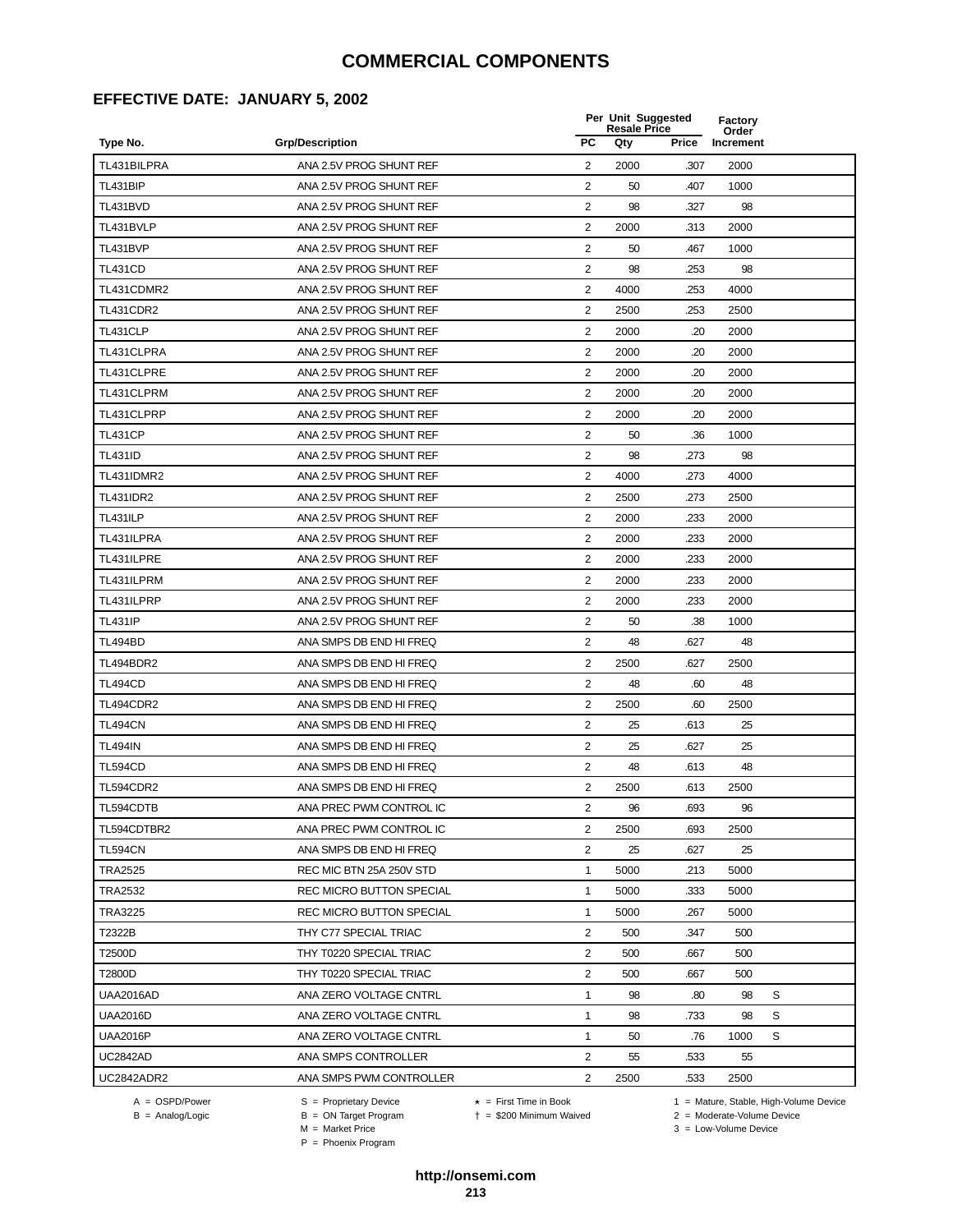## **EFFECTIVE DATE: JANUARY 5, 2002**

|                   |                                 |                         | Per Unit Suggested<br><b>Resale Price</b> |       |                    |   |
|-------------------|---------------------------------|-------------------------|-------------------------------------------|-------|--------------------|---|
| Type No.          | <b>Grp/Description</b>          | <b>PC</b>               | Qty                                       | Price | Order<br>Increment |   |
| TL431BILPRA       | ANA 2.5V PROG SHUNT REF         | 2                       | 2000                                      | .307  | 2000               |   |
| TL431BIP          | ANA 2.5V PROG SHUNT REF         | 2                       | 50                                        | .407  | 1000               |   |
| TL431BVD          | ANA 2.5V PROG SHUNT REF         | 2                       | 98                                        | .327  | 98                 |   |
| TL431BVLP         | ANA 2.5V PROG SHUNT REF         | 2                       | 2000                                      | .313  | 2000               |   |
| TL431BVP          | ANA 2.5V PROG SHUNT REF         | $\overline{c}$          | 50                                        | .467  | 1000               |   |
| <b>TL431CD</b>    | ANA 2.5V PROG SHUNT REF         | $\overline{2}$          | 98                                        | .253  | 98                 |   |
| TL431CDMR2        | ANA 2.5V PROG SHUNT REF         | 2                       | 4000                                      | .253  | 4000               |   |
| <b>TL431CDR2</b>  | ANA 2.5V PROG SHUNT REF         | 2                       | 2500                                      | .253  | 2500               |   |
| <b>TL431CLP</b>   | ANA 2.5V PROG SHUNT REF         | 2                       | 2000                                      | .20   | 2000               |   |
| TL431CLPRA        | ANA 2.5V PROG SHUNT REF         | 2                       | 2000                                      | .20   | 2000               |   |
| TL431CLPRE        | ANA 2.5V PROG SHUNT REF         | $\overline{2}$          | 2000                                      | .20   | 2000               |   |
| TL431CLPRM        | ANA 2.5V PROG SHUNT REF         | 2                       | 2000                                      | .20   | 2000               |   |
| TL431CLPRP        | ANA 2.5V PROG SHUNT REF         | 2                       | 2000                                      | .20   | 2000               |   |
| <b>TL431CP</b>    | ANA 2.5V PROG SHUNT REF         | $\overline{c}$          | 50                                        | .36   | 1000               |   |
| <b>TL431ID</b>    | ANA 2.5V PROG SHUNT REF         | 2                       | 98                                        | .273  | 98                 |   |
| <b>TL431IDMR2</b> | ANA 2.5V PROG SHUNT REF         | 2                       | 4000                                      | .273  | 4000               |   |
| <b>TL431IDR2</b>  | ANA 2.5V PROG SHUNT REF         | 2                       | 2500                                      | .273  | 2500               |   |
| TL431ILP          | ANA 2.5V PROG SHUNT REF         | 2                       | 2000                                      | .233  | 2000               |   |
| TL431ILPRA        | ANA 2.5V PROG SHUNT REF         | $\overline{2}$          | 2000                                      | .233  | 2000               |   |
| TL431ILPRE        | ANA 2.5V PROG SHUNT REF         | $\overline{2}$          | 2000                                      | .233  | 2000               |   |
| TL431ILPRM        | ANA 2.5V PROG SHUNT REF         | $\overline{2}$          | 2000                                      | .233  | 2000               |   |
| TL431ILPRP        | ANA 2.5V PROG SHUNT REF         | 2                       | 2000                                      | .233  | 2000               |   |
| <b>TL431IP</b>    | ANA 2.5V PROG SHUNT REF         | $\overline{c}$          | 50                                        | .38   | 1000               |   |
| <b>TL494BD</b>    | ANA SMPS DB END HI FREQ         | $\overline{2}$          | 48                                        | .627  | 48                 |   |
| TL494BDR2         | ANA SMPS DB END HI FREQ         | $\overline{2}$          | 2500                                      | .627  | 2500               |   |
| <b>TL494CD</b>    | ANA SMPS DB END HI FREQ         | 2                       | 48                                        | .60   | 48                 |   |
| TL494CDR2         | ANA SMPS DB END HI FREQ         | 2                       | 2500                                      | .60   | 2500               |   |
| <b>TL494CN</b>    | ANA SMPS DB END HI FREQ         | $\overline{2}$          | 25                                        | .613  | 25                 |   |
| <b>TL494IN</b>    | ANA SMPS DB END HI FREQ         | 2                       | 25                                        | .627  | 25                 |   |
| <b>TL594CD</b>    | ANA SMPS DB END HI FREQ         | $\overline{2}$          | 48                                        | .613  | 48                 |   |
| TL594CDR2         | ANA SMPS DB END HI FREQ         | $\overline{2}$          | 2500                                      | .613  | 2500               |   |
| TL594CDTB         | ANA PREC PWM CONTROL IC         | $\overline{\mathbf{c}}$ | 96                                        | 693   | 96                 |   |
| TL594CDTBR2       | ANA PREC PWM CONTROL IC         | 2                       | 2500                                      | .693  | 2500               |   |
| <b>TL594CN</b>    | ANA SMPS DB END HI FREQ         | 2                       | 25                                        | .627  | 25                 |   |
| <b>TRA2525</b>    | REC MIC BTN 25A 250V STD        | $\mathbf{1}$            | 5000                                      | .213  | 5000               |   |
| <b>TRA2532</b>    | <b>REC MICRO BUTTON SPECIAL</b> | 1                       | 5000                                      | .333  | 5000               |   |
| <b>TRA3225</b>    | <b>REC MICRO BUTTON SPECIAL</b> | 1                       | 5000                                      | .267  | 5000               |   |
| T2322B            | THY C77 SPECIAL TRIAC           | 2                       | 500                                       | .347  | 500                |   |
| T2500D            | THY T0220 SPECIAL TRIAC         | $\overline{2}$          | 500                                       | .667  | 500                |   |
| T2800D            | THY T0220 SPECIAL TRIAC         | 2                       | 500                                       | .667  | 500                |   |
| UAA2016AD         | ANA ZERO VOLTAGE CNTRL          | 1                       | 98                                        | .80   | 98                 | S |
| <b>UAA2016D</b>   | ANA ZERO VOLTAGE CNTRL          | 1                       | 98                                        | .733  | 98                 | S |
| <b>UAA2016P</b>   | ANA ZERO VOLTAGE CNTRL          | $\mathbf{1}$            | 50                                        | .76   | 1000               | S |
| <b>UC2842AD</b>   | ANA SMPS CONTROLLER             | $\overline{2}$          | 55                                        | .533  | 55                 |   |
| <b>UC2842ADR2</b> | ANA SMPS PWM CONTROLLER         | $\overline{2}$          | 2500                                      | .533  | 2500               |   |

B = Analog/Logic<br>B = Analog/Logic<br>M = Market Price

A = OSPD/Power S = Proprietary Device  $\star$  = First Time in Book 1 = Mature, Stable, High-Volume Device

 = \$200 Minimum Waived 2 = Moderate-Volume Device  $3 =$  Low-Volume Device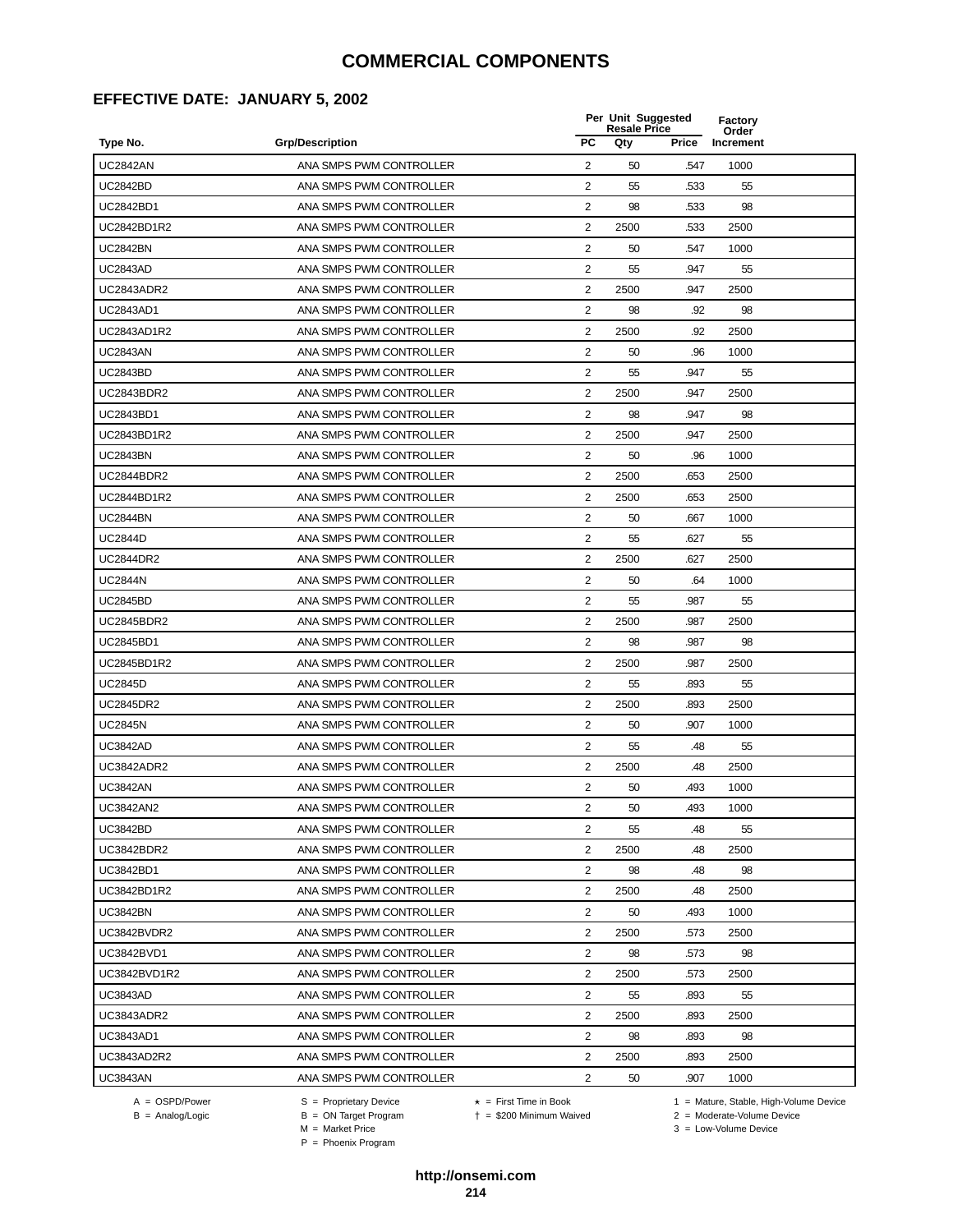## **EFFECTIVE DATE: JANUARY 5, 2002**

|                    |                         |                | Per Unit Suggested<br><b>Resale Price</b> |       |                    |  |
|--------------------|-------------------------|----------------|-------------------------------------------|-------|--------------------|--|
| Type No.           | <b>Grp/Description</b>  | <b>PC</b>      | Qty                                       | Price | Order<br>Increment |  |
| <b>UC2842AN</b>    | ANA SMPS PWM CONTROLLER | $\overline{2}$ | 50                                        | .547  | 1000               |  |
| <b>UC2842BD</b>    | ANA SMPS PWM CONTROLLER | 2              | 55                                        | .533  | 55                 |  |
| <b>UC2842BD1</b>   | ANA SMPS PWM CONTROLLER | $\overline{2}$ | 98                                        | .533  | 98                 |  |
| UC2842BD1R2        | ANA SMPS PWM CONTROLLER | 2              | 2500                                      | .533  | 2500               |  |
| <b>UC2842BN</b>    | ANA SMPS PWM CONTROLLER | 2              | 50                                        | .547  | 1000               |  |
| <b>UC2843AD</b>    | ANA SMPS PWM CONTROLLER | 2              | 55                                        | .947  | 55                 |  |
| <b>UC2843ADR2</b>  | ANA SMPS PWM CONTROLLER | 2              | 2500                                      | .947  | 2500               |  |
| <b>UC2843AD1</b>   | ANA SMPS PWM CONTROLLER | $\overline{c}$ | 98                                        | .92   | 98                 |  |
| <b>UC2843AD1R2</b> | ANA SMPS PWM CONTROLLER | $\overline{2}$ | 2500                                      | .92   | 2500               |  |
| <b>UC2843AN</b>    | ANA SMPS PWM CONTROLLER | 2              | 50                                        | .96   | 1000               |  |
| <b>UC2843BD</b>    | ANA SMPS PWM CONTROLLER | 2              | 55                                        | .947  | 55                 |  |
| <b>UC2843BDR2</b>  | ANA SMPS PWM CONTROLLER | 2              | 2500                                      | .947  | 2500               |  |
| UC2843BD1          | ANA SMPS PWM CONTROLLER | 2              | 98                                        | .947  | 98                 |  |
| UC2843BD1R2        | ANA SMPS PWM CONTROLLER | 2              | 2500                                      | .947  | 2500               |  |
| <b>UC2843BN</b>    | ANA SMPS PWM CONTROLLER | 2              | 50                                        | .96   | 1000               |  |
| <b>UC2844BDR2</b>  | ANA SMPS PWM CONTROLLER | 2              | 2500                                      | .653  | 2500               |  |
| UC2844BD1R2        | ANA SMPS PWM CONTROLLER | 2              | 2500                                      | .653  | 2500               |  |
| <b>UC2844BN</b>    | ANA SMPS PWM CONTROLLER | 2              | 50                                        | .667  | 1000               |  |
| <b>UC2844D</b>     | ANA SMPS PWM CONTROLLER | $\overline{2}$ | 55                                        | .627  | 55                 |  |
| <b>UC2844DR2</b>   | ANA SMPS PWM CONTROLLER | $\overline{2}$ | 2500                                      | .627  | 2500               |  |
| <b>UC2844N</b>     | ANA SMPS PWM CONTROLLER | 2              | 50                                        | .64   | 1000               |  |
| <b>UC2845BD</b>    | ANA SMPS PWM CONTROLLER | 2              | 55                                        | .987  | 55                 |  |
| <b>UC2845BDR2</b>  | ANA SMPS PWM CONTROLLER | 2              | 2500                                      | .987  | 2500               |  |
| <b>UC2845BD1</b>   | ANA SMPS PWM CONTROLLER | 2              | 98                                        | .987  | 98                 |  |
| UC2845BD1R2        | ANA SMPS PWM CONTROLLER | $\overline{2}$ | 2500                                      | .987  | 2500               |  |
| <b>UC2845D</b>     | ANA SMPS PWM CONTROLLER | $\overline{2}$ | 55                                        | .893  | 55                 |  |
| <b>UC2845DR2</b>   | ANA SMPS PWM CONTROLLER | 2              | 2500                                      | .893  | 2500               |  |
| <b>UC2845N</b>     | ANA SMPS PWM CONTROLLER | $\overline{2}$ | 50                                        | .907  | 1000               |  |
| <b>UC3842AD</b>    | ANA SMPS PWM CONTROLLER | 2              | 55                                        | .48   | 55                 |  |
| <b>UC3842ADR2</b>  | ANA SMPS PWM CONTROLLER | 2              | 2500                                      | .48   | 2500               |  |
| <b>UC3842AN</b>    | ANA SMPS PWM CONTROLLER | 2              | 50                                        | .493  | 1000               |  |
| UC3842AN2          | ANA SMPS PWM CONTROLLER | 2              | 50                                        | .493  | 1000               |  |
| <b>UC3842BD</b>    | ANA SMPS PWM CONTROLLER | 2              | 55                                        | .48   | 55                 |  |
| <b>UC3842BDR2</b>  | ANA SMPS PWM CONTROLLER | $\overline{c}$ | 2500                                      | .48   | 2500               |  |
| UC3842BD1          | ANA SMPS PWM CONTROLLER | $\overline{2}$ | 98                                        | .48   | 98                 |  |
| UC3842BD1R2        | ANA SMPS PWM CONTROLLER | $\overline{2}$ | 2500                                      | .48   | 2500               |  |
| <b>UC3842BN</b>    | ANA SMPS PWM CONTROLLER | $\overline{2}$ | 50                                        | .493  | 1000               |  |
| UC3842BVDR2        | ANA SMPS PWM CONTROLLER | $\overline{c}$ | 2500                                      | .573  | 2500               |  |
| UC3842BVD1         | ANA SMPS PWM CONTROLLER | 2              | 98                                        | .573  | 98                 |  |
| UC3842BVD1R2       | ANA SMPS PWM CONTROLLER | 2              | 2500                                      | .573  | 2500               |  |
| <b>UC3843AD</b>    | ANA SMPS PWM CONTROLLER | 2              | 55                                        | .893  | 55                 |  |
| UC3843ADR2         | ANA SMPS PWM CONTROLLER | 2              | 2500                                      | .893  | 2500               |  |
| UC3843AD1          | ANA SMPS PWM CONTROLLER | 2              | 98                                        | .893  | 98                 |  |
| UC3843AD2R2        | ANA SMPS PWM CONTROLLER | $\overline{c}$ | 2500                                      | .893  | 2500               |  |
| <b>UC3843AN</b>    | ANA SMPS PWM CONTROLLER | $\overline{a}$ | 50                                        | .907  | 1000               |  |
|                    |                         |                |                                           |       |                    |  |

A = OSPD/Power S = Proprietary Device<br>
B = Analog/Logic B = ON Target Program<br>
M = Market Price

A = OSPD/Power S = Proprietary Device  $\star$  = First Time in Book 1 = Mature, Stable, High-Volume Device = \$200 Minimum Waived 2 = Moderate-Volume Device

 $2 =$  Moderate-Volume Device<br> $3 =$  Low-Volume Device

P = Phoenix Program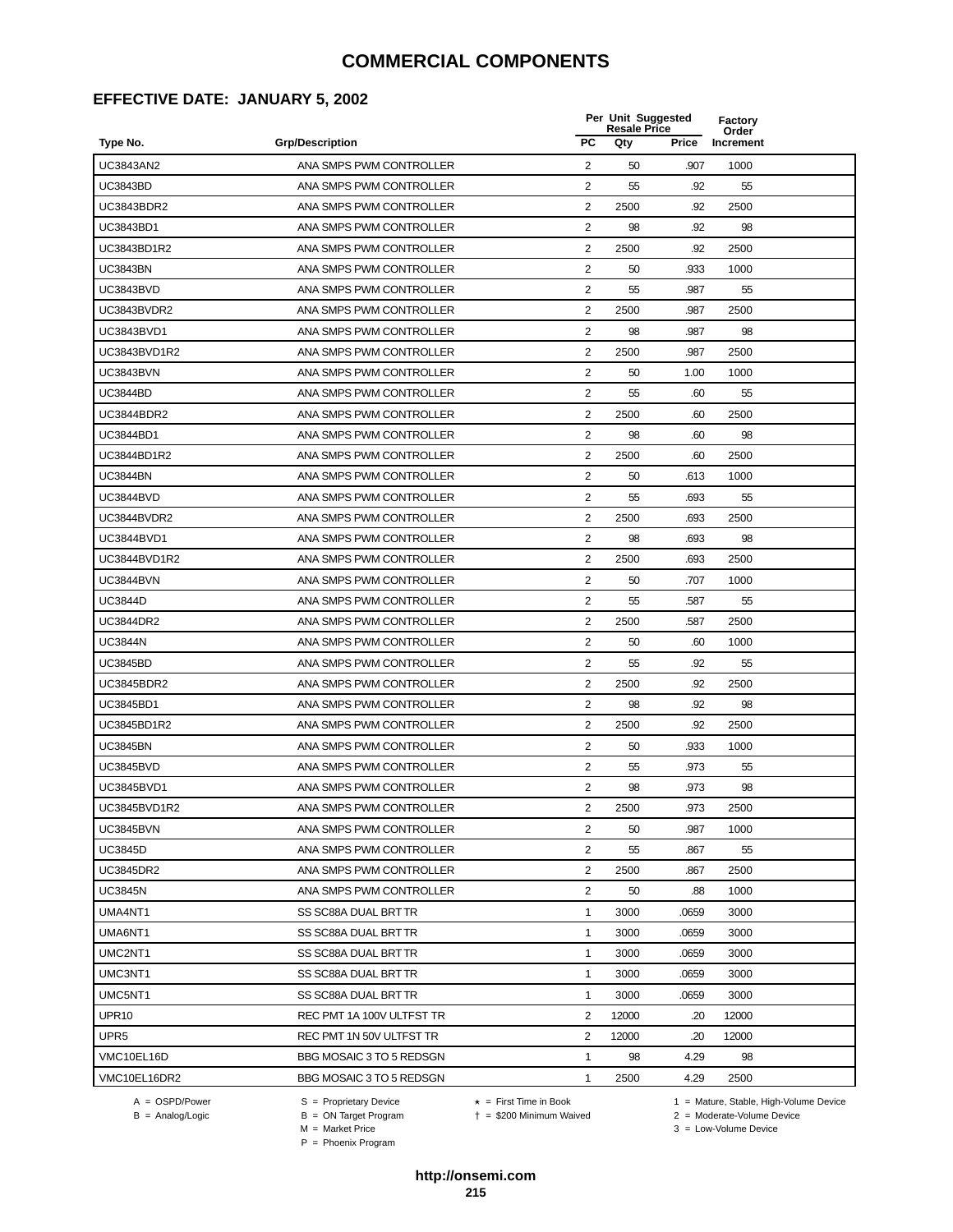## **EFFECTIVE DATE: JANUARY 5, 2002**

|                     |                           |                         | Per Unit Suggested<br><b>Resale Price</b> |       |                    |  |
|---------------------|---------------------------|-------------------------|-------------------------------------------|-------|--------------------|--|
| Type No.            | <b>Grp/Description</b>    | <b>PC</b>               | Qty                                       | Price | Order<br>Increment |  |
| UC3843AN2           | ANA SMPS PWM CONTROLLER   | $\overline{2}$          | 50                                        | .907  | 1000               |  |
| <b>UC3843BD</b>     | ANA SMPS PWM CONTROLLER   | 2                       | 55                                        | .92   | 55                 |  |
| <b>UC3843BDR2</b>   | ANA SMPS PWM CONTROLLER   | 2                       | 2500                                      | .92   | 2500               |  |
| UC3843BD1           | ANA SMPS PWM CONTROLLER   | 2                       | 98                                        | .92   | 98                 |  |
| UC3843BD1R2         | ANA SMPS PWM CONTROLLER   | 2                       | 2500                                      | .92   | 2500               |  |
| <b>UC3843BN</b>     | ANA SMPS PWM CONTROLLER   | 2                       | 50                                        | .933  | 1000               |  |
| UC3843BVD           | ANA SMPS PWM CONTROLLER   | 2                       | 55                                        | .987  | 55                 |  |
| UC3843BVDR2         | ANA SMPS PWM CONTROLLER   | $\overline{c}$          | 2500                                      | .987  | 2500               |  |
| UC3843BVD1          | ANA SMPS PWM CONTROLLER   | $\overline{2}$          | 98                                        | .987  | 98                 |  |
| UC3843BVD1R2        | ANA SMPS PWM CONTROLLER   | 2                       | 2500                                      | .987  | 2500               |  |
| <b>UC3843BVN</b>    | ANA SMPS PWM CONTROLLER   | 2                       | 50                                        | 1.00  | 1000               |  |
| <b>UC3844BD</b>     | ANA SMPS PWM CONTROLLER   | $\overline{2}$          | 55                                        | .60   | 55                 |  |
| <b>UC3844BDR2</b>   | ANA SMPS PWM CONTROLLER   | 2                       | 2500                                      | .60   | 2500               |  |
| UC3844BD1           | ANA SMPS PWM CONTROLLER   | 2                       | 98                                        | .60   | 98                 |  |
| UC3844BD1R2         | ANA SMPS PWM CONTROLLER   | 2                       | 2500                                      | .60   | 2500               |  |
| <b>UC3844BN</b>     | ANA SMPS PWM CONTROLLER   | 2                       | 50                                        | .613  | 1000               |  |
| <b>UC3844BVD</b>    | ANA SMPS PWM CONTROLLER   | $\overline{2}$          | 55                                        | .693  | 55                 |  |
| UC3844BVDR2         | ANA SMPS PWM CONTROLLER   | $\overline{\mathbf{c}}$ | 2500                                      | .693  | 2500               |  |
| UC3844BVD1          | ANA SMPS PWM CONTROLLER   | $\overline{2}$          | 98                                        | .693  | 98                 |  |
| <b>UC3844BVD1R2</b> | ANA SMPS PWM CONTROLLER   | 2                       | 2500                                      | .693  | 2500               |  |
| <b>UC3844BVN</b>    | ANA SMPS PWM CONTROLLER   | 2                       | 50                                        | .707  | 1000               |  |
| <b>UC3844D</b>      | ANA SMPS PWM CONTROLLER   | 2                       | 55                                        | .587  | 55                 |  |
| <b>UC3844DR2</b>    | ANA SMPS PWM CONTROLLER   | 2                       | 2500                                      | .587  | 2500               |  |
| <b>UC3844N</b>      | ANA SMPS PWM CONTROLLER   | 2                       | 50                                        | .60   | 1000               |  |
| <b>UC3845BD</b>     | ANA SMPS PWM CONTROLLER   | $\overline{2}$          | 55                                        | .92   | 55                 |  |
| <b>UC3845BDR2</b>   | ANA SMPS PWM CONTROLLER   | $\overline{2}$          | 2500                                      | .92   | 2500               |  |
| <b>UC3845BD1</b>    | ANA SMPS PWM CONTROLLER   | 2                       | 98                                        | .92   | 98                 |  |
| UC3845BD1R2         | ANA SMPS PWM CONTROLLER   | 2                       | 2500                                      | .92   | 2500               |  |
| <b>UC3845BN</b>     | ANA SMPS PWM CONTROLLER   | 2                       | 50                                        | .933  | 1000               |  |
| <b>UC3845BVD</b>    | ANA SMPS PWM CONTROLLER   | 2                       | 55                                        | .973  | 55                 |  |
| <b>UC3845BVD1</b>   | ANA SMPS PWM CONTROLLER   | 2                       | 98                                        | .973  | 98                 |  |
| UC3845BVD1R2        | ANA SMPS PWM CONTROLLER   | 2                       | 2500                                      | .973  | 2500               |  |
| <b>UC3845BVN</b>    | ANA SMPS PWM CONTROLLER   | 2                       | 50                                        | .987  | 1000               |  |
| <b>UC3845D</b>      | ANA SMPS PWM CONTROLLER   | $\overline{2}$          | 55                                        | .867  | 55                 |  |
| <b>UC3845DR2</b>    | ANA SMPS PWM CONTROLLER   | 2                       | 2500                                      | .867  | 2500               |  |
| <b>UC3845N</b>      | ANA SMPS PWM CONTROLLER   | $\overline{2}$          | 50                                        | .88   | 1000               |  |
| UMA4NT1             | SS SC88A DUAL BRT TR      | 1                       | 3000                                      | .0659 | 3000               |  |
| UMA6NT1             | SS SC88A DUAL BRT TR      | $\mathbf{1}$            | 3000                                      | .0659 | 3000               |  |
| UMC2NT1             | SS SC88A DUAL BRT TR      | 1                       | 3000                                      | .0659 | 3000               |  |
| UMC3NT1             | SS SC88A DUAL BRT TR      | $\mathbf{1}$            | 3000                                      | .0659 | 3000               |  |
| UMC5NT1             | SS SC88A DUAL BRT TR      | $\mathbf{1}$            | 3000                                      | .0659 | 3000               |  |
| UPR <sub>10</sub>   | REC PMT 1A 100V ULTFST TR | 2                       | 12000                                     | .20   | 12000              |  |
| UPR <sub>5</sub>    | REC PMT 1N 50V ULTFST TR  | $\overline{2}$          | 12000                                     | .20   | 12000              |  |
| VMC10EL16D          | BBG MOSAIC 3 TO 5 REDSGN  | $\mathbf{1}$            | 98                                        | 4.29  | 98                 |  |
| VMC10EL16DR2        | BBG MOSAIC 3 TO 5 REDSGN  | 1                       | 2500                                      | 4.29  | 2500               |  |

A = OSPD/Power S = Proprietary Device<br>
B = Analog/Logic B = ON Target Program<br>
M = Market Price

= \$200 Minimum Waived 2 = Moderate-Volume Device

A = OSPD/Power S = Proprietary Device  $\star$  = First Time in Book 1 = Mature, Stable, High-Volume Device

 $2 =$  Moderate-Volume Device<br> $3 =$  Low-Volume Device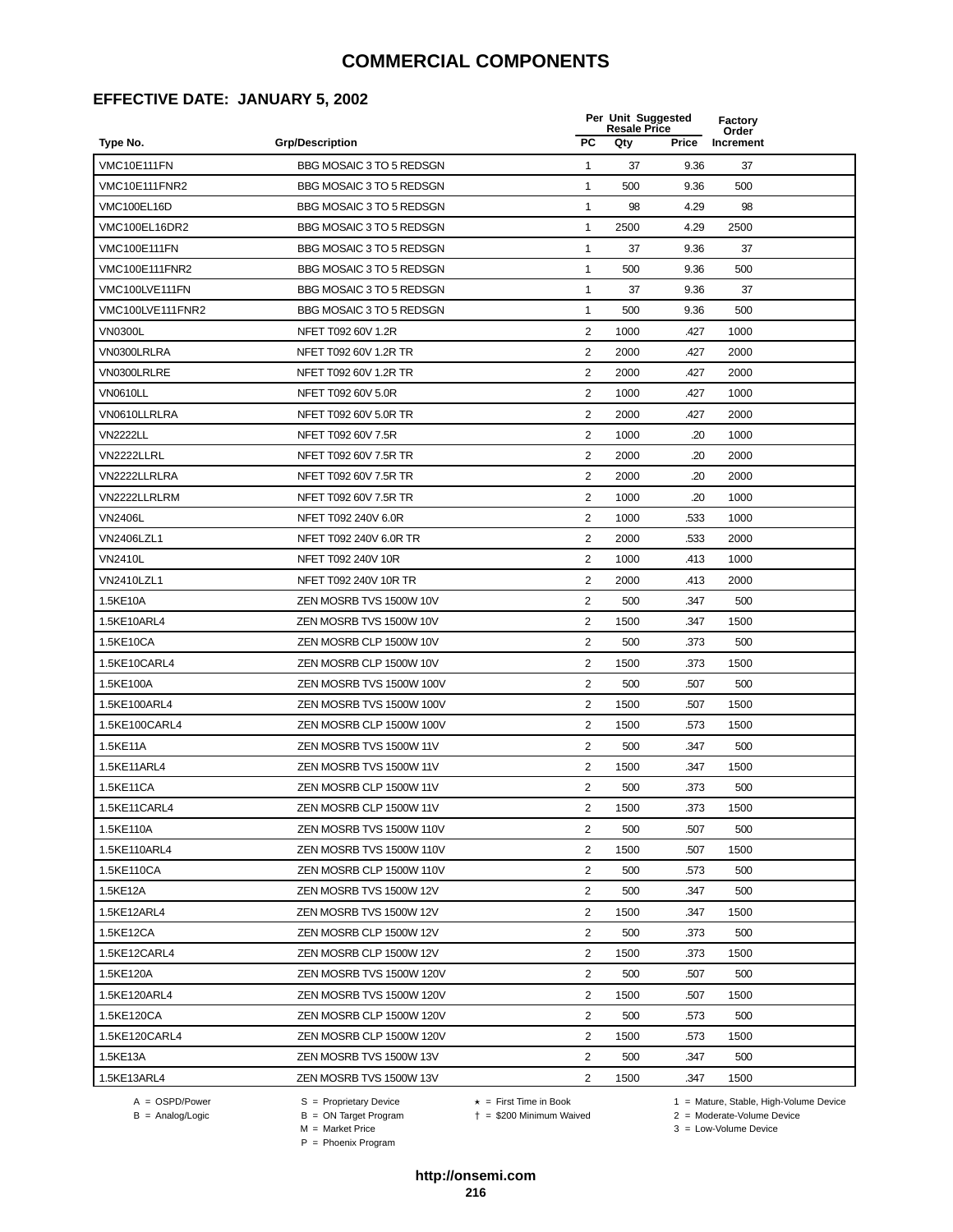### **EFFECTIVE DATE: JANUARY 5, 2002**

|                       |                          | Per Unit Suggested<br><b>Resale Price</b> |      |       | Factory<br>Order |  |
|-----------------------|--------------------------|-------------------------------------------|------|-------|------------------|--|
| Type No.              | <b>Grp/Description</b>   | <b>PC</b>                                 | Qty  | Price | Increment        |  |
| VMC10E111FN           | BBG MOSAIC 3 TO 5 REDSGN | $\mathbf{1}$                              | 37   | 9.36  | 37               |  |
| VMC10E111FNR2         | BBG MOSAIC 3 TO 5 REDSGN | 1                                         | 500  | 9.36  | 500              |  |
| VMC100EL16D           | BBG MOSAIC 3 TO 5 REDSGN | 1                                         | 98   | 4.29  | 98               |  |
| VMC100EL16DR2         | BBG MOSAIC 3 TO 5 REDSGN | 1                                         | 2500 | 4.29  | 2500             |  |
| <b>VMC100E111FN</b>   | BBG MOSAIC 3 TO 5 REDSGN | 1                                         | 37   | 9.36  | 37               |  |
| <b>VMC100E111FNR2</b> | BBG MOSAIC 3 TO 5 REDSGN | 1                                         | 500  | 9.36  | 500              |  |
| VMC100LVE111FN        | BBG MOSAIC 3 TO 5 REDSGN | 1                                         | 37   | 9.36  | 37               |  |
| VMC100LVE111FNR2      | BBG MOSAIC 3 TO 5 REDSGN | $\mathbf{1}$                              | 500  | 9.36  | 500              |  |
| <b>VN0300L</b>        | NFET T092 60V 1.2R       | $\overline{2}$                            | 1000 | .427  | 1000             |  |
| VN0300LRLRA           | NFET T092 60V 1.2R TR    | $\overline{2}$                            | 2000 | .427  | 2000             |  |
| VN0300LRLRE           | NFET T092 60V 1.2R TR    | $\overline{2}$                            | 2000 | .427  | 2000             |  |
| <b>VN0610LL</b>       | NFET T092 60V 5.0R       | $\overline{2}$                            | 1000 | .427  | 1000             |  |
| VN0610LLRLRA          | NFET T092 60V 5.0R TR    | 2                                         | 2000 | .427  | 2000             |  |
| <b>VN2222LL</b>       | NFET T092 60V 7.5R       | 2                                         | 1000 | .20   | 1000             |  |
| VN2222LLRL            | NFET T092 60V 7.5R TR    | 2                                         | 2000 | .20   | 2000             |  |
| VN2222LLRLRA          | NFET T092 60V 7.5R TR    | 2                                         | 2000 | .20   | 2000             |  |
| VN2222LLRLRM          | NFET T092 60V 7.5R TR    | 2                                         | 1000 | .20   | 1000             |  |
| <b>VN2406L</b>        | NFET T092 240V 6.0R      | 2                                         | 1000 | .533  | 1000             |  |
| VN2406LZL1            | NFET T092 240V 6.0R TR   | $\overline{2}$                            | 2000 | .533  | 2000             |  |
| <b>VN2410L</b>        | NFET T092 240V 10R       | $\overline{2}$                            | 1000 | .413  | 1000             |  |
| <b>VN2410LZL1</b>     | NFET T092 240V 10R TR    | $\overline{2}$                            | 2000 | .413  | 2000             |  |
| 1.5KE10A              | ZEN MOSRB TVS 1500W 10V  | 2                                         | 500  | .347  | 500              |  |
| 1.5KE10ARL4           | ZEN MOSRB TVS 1500W 10V  | $\sqrt{2}$                                | 1500 | .347  | 1500             |  |
| 1.5KE10CA             | ZEN MOSRB CLP 1500W 10V  | 2                                         | 500  | .373  | 500              |  |
| 1.5KE10CARL4          | ZEN MOSRB CLP 1500W 10V  | 2                                         | 1500 | .373  | 1500             |  |
| 1.5KE100A             | ZEN MOSRB TVS 1500W 100V | 2                                         | 500  | .507  | 500              |  |
| 1.5KE100ARL4          | ZEN MOSRB TVS 1500W 100V | $\overline{2}$                            | 1500 | .507  | 1500             |  |
| 1.5KE100CARL4         | ZEN MOSRB CLP 1500W 100V | $\overline{2}$                            | 1500 | .573  | 1500             |  |
| 1.5KE11A              | ZEN MOSRB TVS 1500W 11V  | 2                                         | 500  | .347  | 500              |  |
| 1.5KE11ARL4           | ZEN MOSRB TVS 1500W 11V  | $\overline{2}$                            | 1500 | .347  | 1500             |  |
| 1.5KE11CA             | ZEN MOSRB CLP 1500W 11V  | 2                                         | 500  | .373  | 500              |  |
| 1.5KE11CARL4          | ZEN MOSRB CLP 1500W 11V  | $\overline{\mathbf{c}}$                   | 1500 | .373  | 1500             |  |
| 1.5KE110A             | ZEN MOSRB TVS 1500W 110V | 2                                         | 500  | .507  | 500              |  |
| 1.5KE110ARL4          | ZEN MOSRB TVS 1500W 110V | 2                                         | 1500 | .507  | 1500             |  |
| 1.5KE110CA            | ZEN MOSRB CLP 1500W 110V | 2                                         | 500  | .573  | 500              |  |
| 1.5KE12A              | ZEN MOSRB TVS 1500W 12V  | $\overline{2}$                            | 500  | .347  | 500              |  |
| 1.5KE12ARL4           | ZEN MOSRB TVS 1500W 12V  | $\overline{2}$                            | 1500 | .347  | 1500             |  |
| 1.5KE12CA             | ZEN MOSRB CLP 1500W 12V  | 2                                         | 500  | .373  | 500              |  |
| 1.5KE12CARL4          | ZEN MOSRB CLP 1500W 12V  | $\overline{2}$                            | 1500 | .373  | 1500             |  |
| 1.5KE120A             | ZEN MOSRB TVS 1500W 120V | 2                                         | 500  | .507  | 500              |  |
| 1.5KE120ARL4          | ZEN MOSRB TVS 1500W 120V | 2                                         | 1500 | .507  | 1500             |  |
| 1.5KE120CA            | ZEN MOSRB CLP 1500W 120V | 2                                         | 500  | .573  | 500              |  |
| 1.5KE120CARL4         | ZEN MOSRB CLP 1500W 120V | 2                                         | 1500 | .573  | 1500             |  |
| 1.5KE13A              | ZEN MOSRB TVS 1500W 13V  | 2                                         | 500  | .347  | 500              |  |
| 1.5KE13ARL4           | ZEN MOSRB TVS 1500W 13V  | $\overline{2}$                            | 1500 | .347  | 1500             |  |
|                       |                          |                                           |      |       |                  |  |

B = Analog/Logic<br>B = Analog/Logic<br>M = Market Price P = Phoenix Program

A = OSPD/Power S = Proprietary Device  $\star$  = First Time in Book 1 = Mature, Stable, High-Volume Device = \$200 Minimum Waived 2 = Moderate-Volume Device

 $3 =$  Low-Volume Device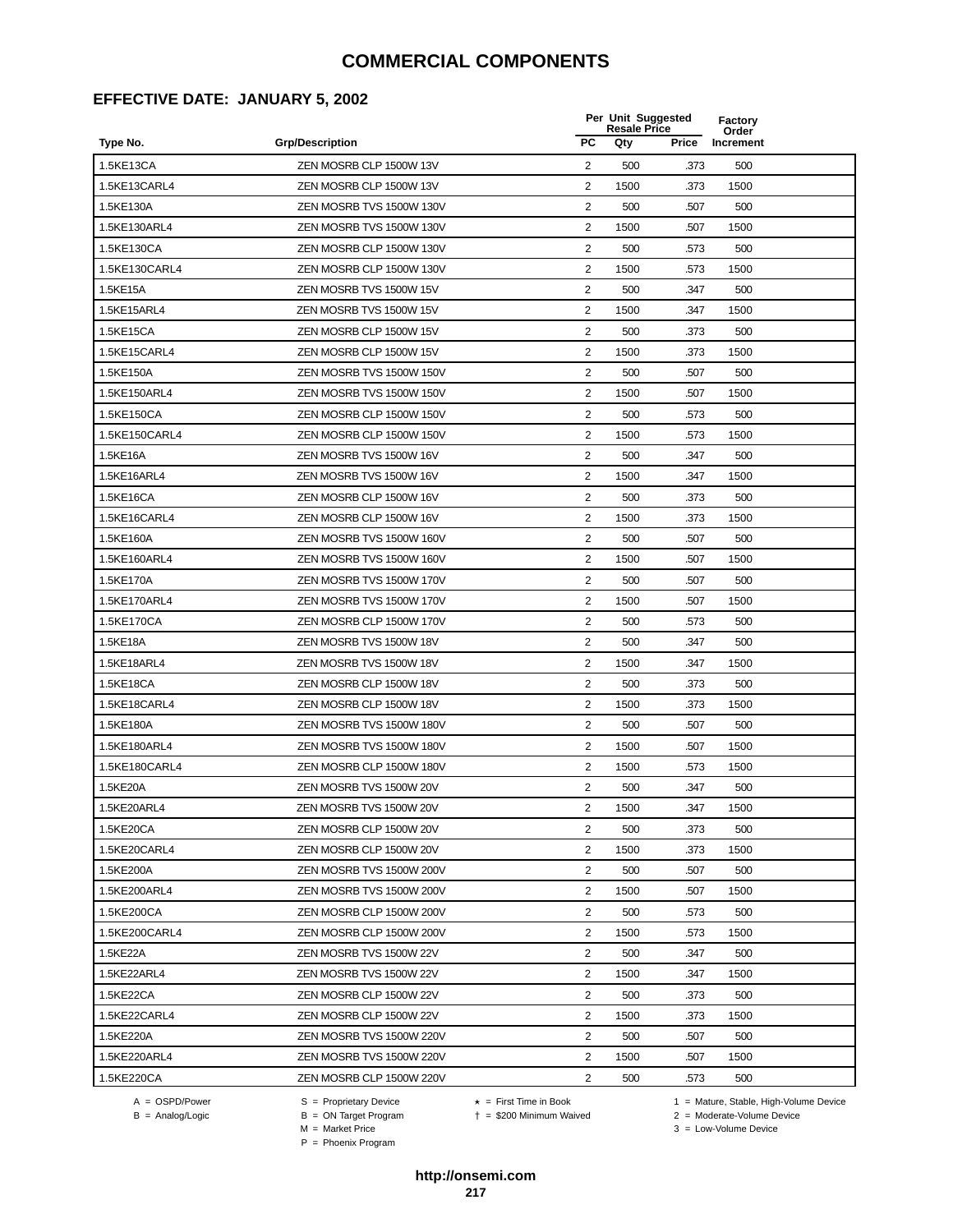#### **EFFECTIVE DATE: JANUARY 5, 2002**

|               |                          |                | Per Unit Suggested<br><b>Resale Price</b> |       | Factory<br>Order |  |
|---------------|--------------------------|----------------|-------------------------------------------|-------|------------------|--|
| Type No.      | <b>Grp/Description</b>   | <b>PC</b>      | Qty                                       | Price | Increment        |  |
| 1.5KE13CA     | ZEN MOSRB CLP 1500W 13V  | 2              | 500                                       | .373  | 500              |  |
| 1.5KE13CARL4  | ZEN MOSRB CLP 1500W 13V  | $\overline{2}$ | 1500                                      | .373  | 1500             |  |
| 1.5KE130A     | ZEN MOSRB TVS 1500W 130V | $\overline{2}$ | 500                                       | .507  | 500              |  |
| 1.5KE130ARL4  | ZEN MOSRB TVS 1500W 130V | 2              | 1500                                      | .507  | 1500             |  |
| 1.5KE130CA    | ZEN MOSRB CLP 1500W 130V | $\overline{2}$ | 500                                       | .573  | 500              |  |
| 1.5KE130CARL4 | ZEN MOSRB CLP 1500W 130V | $\overline{2}$ | 1500                                      | .573  | 1500             |  |
| 1.5KE15A      | ZEN MOSRB TVS 1500W 15V  | 2              | 500                                       | .347  | 500              |  |
| 1.5KE15ARL4   | ZEN MOSRB TVS 1500W 15V  | $\overline{2}$ | 1500                                      | .347  | 1500             |  |
| 1.5KE15CA     | ZEN MOSRB CLP 1500W 15V  | 2              | 500                                       | .373  | 500              |  |
| 1.5KE15CARL4  | ZEN MOSRB CLP 1500W 15V  | 2              | 1500                                      | .373  | 1500             |  |
| 1.5KE150A     | ZEN MOSRB TVS 1500W 150V | 2              | 500                                       | .507  | 500              |  |
| 1.5KE150ARL4  | ZEN MOSRB TVS 1500W 150V | $\overline{2}$ | 1500                                      | .507  | 1500             |  |
| 1.5KE150CA    | ZEN MOSRB CLP 1500W 150V | 2              | 500                                       | .573  | 500              |  |
| 1.5KE150CARL4 | ZEN MOSRB CLP 1500W 150V | $\overline{2}$ | 1500                                      | .573  | 1500             |  |
| 1.5KE16A      | ZEN MOSRB TVS 1500W 16V  | $\mathbf{2}$   | 500                                       | .347  | 500              |  |
| 1.5KE16ARL4   | ZEN MOSRB TVS 1500W 16V  | 2              | 1500                                      | .347  | 1500             |  |
| 1.5KE16CA     | ZEN MOSRB CLP 1500W 16V  | 2              | 500                                       | .373  | 500              |  |
| 1.5KE16CARL4  | ZEN MOSRB CLP 1500W 16V  | $\overline{c}$ | 1500                                      | .373  | 1500             |  |
| 1.5KE160A     | ZEN MOSRB TVS 1500W 160V | 2              | 500                                       | .507  | 500              |  |
| 1.5KE160ARL4  | ZEN MOSRB TVS 1500W 160V | 2              | 1500                                      | .507  | 1500             |  |
| 1.5KE170A     | ZEN MOSRB TVS 1500W 170V | 2              | 500                                       | .507  | 500              |  |
| 1.5KE170ARL4  | ZEN MOSRB TVS 1500W 170V | 2              | 1500                                      | .507  | 1500             |  |
| 1.5KE170CA    | ZEN MOSRB CLP 1500W 170V | $\overline{c}$ | 500                                       | .573  | 500              |  |
| 1.5KE18A      | ZEN MOSRB TVS 1500W 18V  | 2              | 500                                       | .347  | 500              |  |
| 1.5KE18ARL4   | ZEN MOSRB TVS 1500W 18V  | 2              | 1500                                      | .347  | 1500             |  |
| 1.5KE18CA     | ZEN MOSRB CLP 1500W 18V  | 2              | 500                                       | .373  | 500              |  |
| 1.5KE18CARL4  | ZEN MOSRB CLP 1500W 18V  | $\overline{c}$ | 1500                                      | .373  | 1500             |  |
| 1.5KE180A     | ZEN MOSRB TVS 1500W 180V | 2              | 500                                       | .507  | 500              |  |
| 1.5KE180ARL4  | ZEN MOSRB TVS 1500W 180V | 2              | 1500                                      | .507  | 1500             |  |
| 1.5KE180CARL4 | ZEN MOSRB CLP 1500W 180V | $\overline{2}$ | 1500                                      | .573  | 1500             |  |
| 1.5KE20A      | ZEN MOSRB TVS 1500W 20V  | 2              | 500                                       | .347  | 500              |  |
| 1.5KE20ARL4   | ZEN MOSRB TVS 1500W 20V  | 2              | 1500                                      | .347  | 1500             |  |
| 1.5KE20CA     | ZEN MOSRB CLP 1500W 20V  | 2              | 500                                       | .373  | 500              |  |
| 1.5KE20CARL4  | ZEN MOSRB CLP 1500W 20V  | 2              | 1500                                      | .373  | 1500             |  |
| 1.5KE200A     | ZEN MOSRB TVS 1500W 200V | $\overline{2}$ | 500                                       | .507  | 500              |  |
| 1.5KE200ARL4  | ZEN MOSRB TVS 1500W 200V | $\overline{c}$ | 1500                                      | .507  | 1500             |  |
| 1.5KE200CA    | ZEN MOSRB CLP 1500W 200V | 2              | 500                                       | .573  | 500              |  |
| 1.5KE200CARL4 | ZEN MOSRB CLP 1500W 200V | 2              | 1500                                      | .573  | 1500             |  |
| 1.5KE22A      | ZEN MOSRB TVS 1500W 22V  | 2              | 500                                       | .347  | 500              |  |
| 1.5KE22ARL4   | ZEN MOSRB TVS 1500W 22V  | 2              | 1500                                      | .347  | 1500             |  |
| 1.5KE22CA     | ZEN MOSRB CLP 1500W 22V  | 2              | 500                                       | .373  | 500              |  |
| 1.5KE22CARL4  | ZEN MOSRB CLP 1500W 22V  | 2              | 1500                                      | .373  | 1500             |  |
| 1.5KE220A     | ZEN MOSRB TVS 1500W 220V | 2              | 500                                       | .507  | 500              |  |
| 1.5KE220ARL4  | ZEN MOSRB TVS 1500W 220V | $\overline{2}$ | 1500                                      | .507  | 1500             |  |
| 1.5KE220CA    | ZEN MOSRB CLP 1500W 220V | $\overline{2}$ | 500                                       | .573  | 500              |  |
|               |                          |                |                                           |       |                  |  |

 $B = \text{Analog/Logic}$ <br>B = ON Target Program<br> $M = \text{Market Price}$ 

= \$200 Minimum Waived 2 = Moderate-Volume Device

A = OSPD/Power S = Proprietary Device  $\star$  = First Time in Book 1 = Mature, Stable, High-Volume Device

P = Phoenix Program

 $3 =$  Low-Volume Device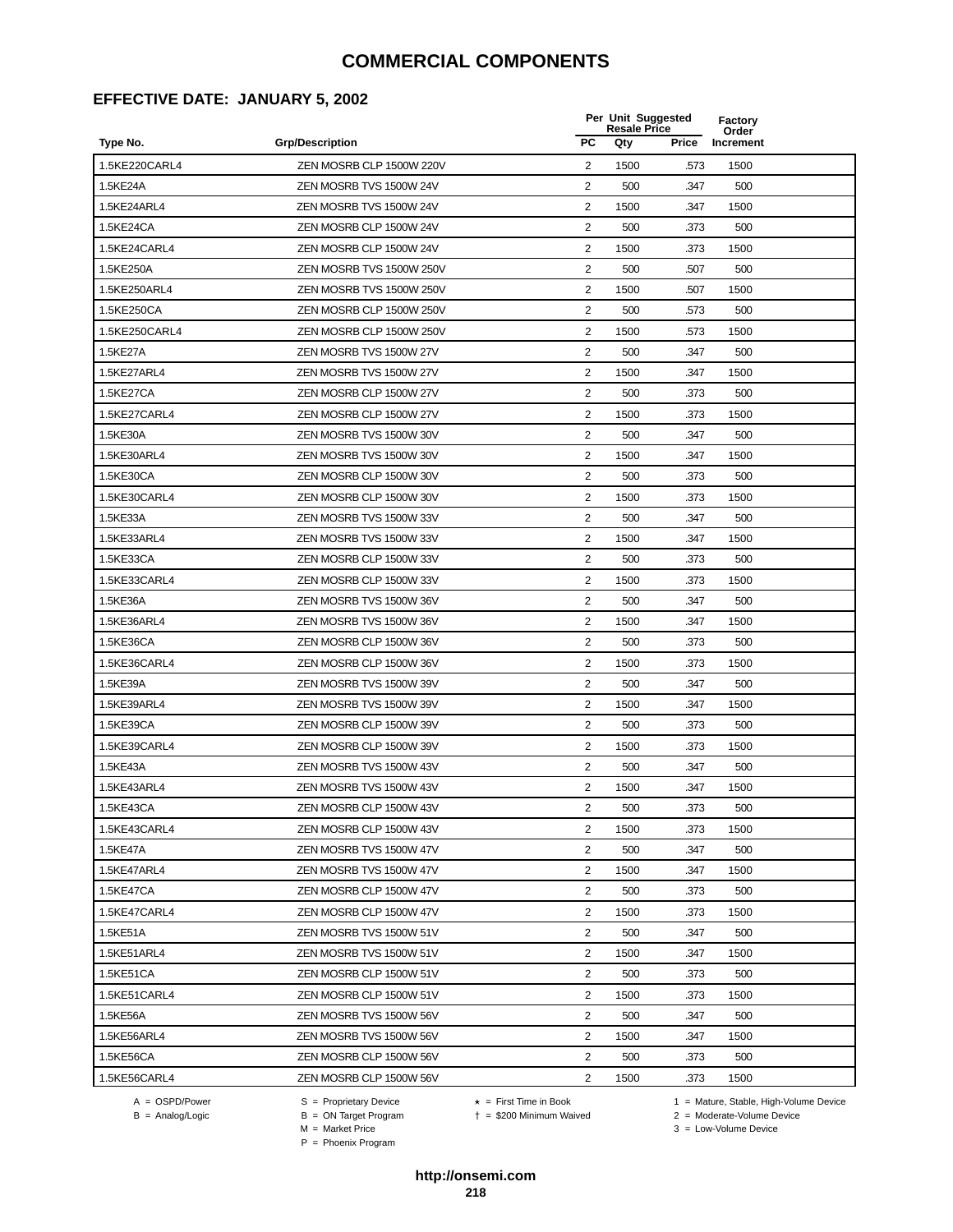#### **EFFECTIVE DATE: JANUARY 5, 2002**

|               |                          |                         | Per Unit Suggested<br><b>Resale Price</b> |       |           | Factory<br>Order |  |
|---------------|--------------------------|-------------------------|-------------------------------------------|-------|-----------|------------------|--|
| Type No.      | <b>Grp/Description</b>   | <b>PC</b>               | Qty                                       | Price | Increment |                  |  |
| 1.5KE220CARL4 | ZEN MOSRB CLP 1500W 220V | $\overline{2}$          | 1500                                      | .573  | 1500      |                  |  |
| 1.5KE24A      | ZEN MOSRB TVS 1500W 24V  | 2                       | 500                                       | .347  | 500       |                  |  |
| 1.5KE24ARL4   | ZEN MOSRB TVS 1500W 24V  | $\overline{2}$          | 1500                                      | .347  | 1500      |                  |  |
| 1.5KE24CA     | ZEN MOSRB CLP 1500W 24V  | 2                       | 500                                       | .373  | 500       |                  |  |
| 1.5KE24CARL4  | ZEN MOSRB CLP 1500W 24V  | $\overline{2}$          | 1500                                      | .373  | 1500      |                  |  |
| 1.5KE250A     | ZEN MOSRB TVS 1500W 250V | $\overline{2}$          | 500                                       | .507  | 500       |                  |  |
| 1.5KE250ARL4  | ZEN MOSRB TVS 1500W 250V | 2                       | 1500                                      | .507  | 1500      |                  |  |
| 1.5KE250CA    | ZEN MOSRB CLP 1500W 250V | 2                       | 500                                       | .573  | 500       |                  |  |
| 1.5KE250CARL4 | ZEN MOSRB CLP 1500W 250V | 2                       | 1500                                      | .573  | 1500      |                  |  |
| 1.5KE27A      | ZEN MOSRB TVS 1500W 27V  | $\overline{2}$          | 500                                       | .347  | 500       |                  |  |
| 1.5KE27ARL4   | ZEN MOSRB TVS 1500W 27V  | 2                       | 1500                                      | .347  | 1500      |                  |  |
| 1.5KE27CA     | ZEN MOSRB CLP 1500W 27V  | $\overline{2}$          | 500                                       | .373  | 500       |                  |  |
| 1.5KE27CARL4  | ZEN MOSRB CLP 1500W 27V  | 2                       | 1500                                      | .373  | 1500      |                  |  |
| 1.5KE30A      | ZEN MOSRB TVS 1500W 30V  | $\overline{2}$          | 500                                       | .347  | 500       |                  |  |
| 1.5KE30ARL4   | ZEN MOSRB TVS 1500W 30V  | $\overline{2}$          | 1500                                      | .347  | 1500      |                  |  |
| 1.5KE30CA     | ZEN MOSRB CLP 1500W 30V  | $\overline{2}$          | 500                                       | .373  | 500       |                  |  |
| 1.5KE30CARL4  | ZEN MOSRB CLP 1500W 30V  | 2                       | 1500                                      | .373  | 1500      |                  |  |
| 1.5KE33A      | ZEN MOSRB TVS 1500W 33V  | $\overline{c}$          | 500                                       | .347  | 500       |                  |  |
| 1.5KE33ARL4   | ZEN MOSRB TVS 1500W 33V  | 2                       | 1500                                      | .347  | 1500      |                  |  |
| 1.5KE33CA     | ZEN MOSRB CLP 1500W 33V  | 2                       | 500                                       | .373  | 500       |                  |  |
| 1.5KE33CARL4  | ZEN MOSRB CLP 1500W 33V  | 2                       | 1500                                      | .373  | 1500      |                  |  |
| 1.5KE36A      | ZEN MOSRB TVS 1500W 36V  | 2                       | 500                                       | .347  | 500       |                  |  |
| 1.5KE36ARL4   | ZEN MOSRB TVS 1500W 36V  | $\overline{2}$          | 1500                                      | .347  | 1500      |                  |  |
| 1.5KE36CA     | ZEN MOSRB CLP 1500W 36V  | $\overline{2}$          | 500                                       | .373  | 500       |                  |  |
| 1.5KE36CARL4  | ZEN MOSRB CLP 1500W 36V  | $\overline{2}$          | 1500                                      | .373  | 1500      |                  |  |
| 1.5KE39A      | ZEN MOSRB TVS 1500W 39V  | $\overline{2}$          | 500                                       | .347  | 500       |                  |  |
| 1.5KE39ARL4   | ZEN MOSRB TVS 1500W 39V  | $\overline{\mathbf{c}}$ | 1500                                      | .347  | 1500      |                  |  |
| 1.5KE39CA     | ZEN MOSRB CLP 1500W 39V  | $\overline{2}$          | 500                                       | .373  | 500       |                  |  |
| 1.5KE39CARL4  | ZEN MOSRB CLP 1500W 39V  | 2                       | 1500                                      | .373  | 1500      |                  |  |
| 1.5KE43A      | ZEN MOSRB TVS 1500W 43V  | $\overline{2}$          | 500                                       | .347  | 500       |                  |  |
| 1.5KE43ARL4   | ZEN MOSRB TVS 1500W 43V  | $\overline{2}$          | 1500                                      | .347  | 1500      |                  |  |
| 1.5KE43CA     | ZEN MOSRB CLP 1500W 43V  | 2                       | 500                                       | 373   | 500       |                  |  |
| 1.5KE43CARL4  | ZEN MOSRB CLP 1500W 43V  | 2                       | 1500                                      | .373  | 1500      |                  |  |
| 1.5KE47A      | ZEN MOSRB TVS 1500W 47V  | $\overline{2}$          | 500                                       | .347  | 500       |                  |  |
| 1.5KE47ARL4   | ZEN MOSRB TVS 1500W 47V  | 2                       | 1500                                      | .347  | 1500      |                  |  |
| 1.5KE47CA     | ZEN MOSRB CLP 1500W 47V  | 2                       | 500                                       | .373  | 500       |                  |  |
| 1.5KE47CARL4  | ZEN MOSRB CLP 1500W 47V  | $\overline{2}$          | 1500                                      | .373  | 1500      |                  |  |
| 1.5KE51A      | ZEN MOSRB TVS 1500W 51V  | 2                       | 500                                       | .347  | 500       |                  |  |
| 1.5KE51ARL4   | ZEN MOSRB TVS 1500W 51V  | $\overline{2}$          | 1500                                      | .347  | 1500      |                  |  |
| 1.5KE51CA     | ZEN MOSRB CLP 1500W 51V  | $\overline{2}$          | 500                                       | .373  | 500       |                  |  |
| 1.5KE51CARL4  | ZEN MOSRB CLP 1500W 51V  | $\overline{2}$          | 1500                                      | .373  | 1500      |                  |  |
| 1.5KE56A      | ZEN MOSRB TVS 1500W 56V  | $\overline{2}$          | 500                                       | .347  | 500       |                  |  |
| 1.5KE56ARL4   | ZEN MOSRB TVS 1500W 56V  | $\overline{2}$          | 1500                                      | .347  | 1500      |                  |  |
| 1.5KE56CA     | ZEN MOSRB CLP 1500W 56V  | 2                       | 500                                       | .373  | 500       |                  |  |
| 1.5KE56CARL4  | ZEN MOSRB CLP 1500W 56V  | $\overline{c}$          | 1500                                      | .373  | 1500      |                  |  |
|               |                          |                         |                                           |       |           |                  |  |

 $B = \text{Analog/Logic}$ <br>B = ON Target Program<br> $M = \text{Market Price}$ 

A = OSPD/Power S = Proprietary Device  $\star$  = First Time in Book 1 = Mature, Stable, High-Volume Device = \$200 Minimum Waived 2 = Moderate-Volume Device

 $3 =$  Low-Volume Device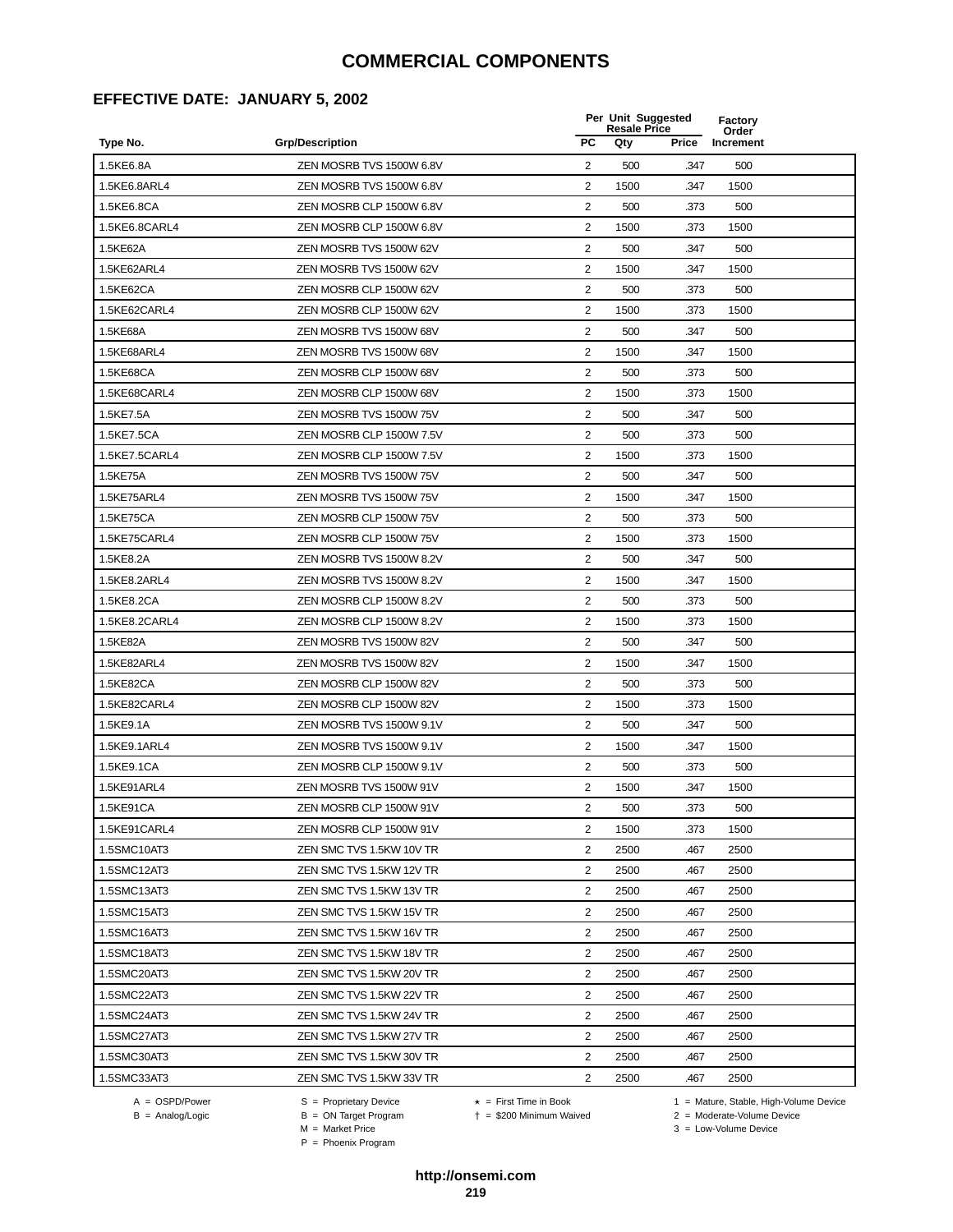#### **EFFECTIVE DATE: JANUARY 5, 2002**

|               |                          |                         | Per Unit Suggested<br><b>Resale Price</b> |       | Factory<br>Order |
|---------------|--------------------------|-------------------------|-------------------------------------------|-------|------------------|
| Type No.      | <b>Grp/Description</b>   | <b>PC</b>               | Qty                                       | Price | Increment        |
| 1.5KE6.8A     | ZEN MOSRB TVS 1500W 6.8V | 2                       | 500                                       | .347  | 500              |
| 1.5KE6.8ARL4  | ZEN MOSRB TVS 1500W 6.8V | 2                       | 1500                                      | .347  | 1500             |
| 1.5KE6.8CA    | ZEN MOSRB CLP 1500W 6.8V | 2                       | 500                                       | .373  | 500              |
| 1.5KE6.8CARL4 | ZEN MOSRB CLP 1500W 6.8V | 2                       | 1500                                      | .373  | 1500             |
| 1.5KE62A      | ZEN MOSRB TVS 1500W 62V  | $\sqrt{2}$              | 500                                       | .347  | 500              |
| 1.5KE62ARL4   | ZEN MOSRB TVS 1500W 62V  | $\overline{2}$          | 1500                                      | .347  | 1500             |
| 1.5KE62CA     | ZEN MOSRB CLP 1500W 62V  | $\overline{2}$          | 500                                       | .373  | 500              |
| 1.5KE62CARL4  | ZEN MOSRB CLP 1500W 62V  | 2                       | 1500                                      | .373  | 1500             |
| 1.5KE68A      | ZEN MOSRB TVS 1500W 68V  | $\overline{2}$          | 500                                       | .347  | 500              |
| 1.5KE68ARL4   | ZEN MOSRB TVS 1500W 68V  | 2                       | 1500                                      | .347  | 1500             |
| 1.5KE68CA     | ZEN MOSRB CLP 1500W 68V  | $\overline{2}$          | 500                                       | .373  | 500              |
| 1.5KE68CARL4  | ZEN MOSRB CLP 1500W 68V  | $\overline{2}$          | 1500                                      | .373  | 1500             |
| 1.5KE7.5A     | ZEN MOSRB TVS 1500W 75V  | 2                       | 500                                       | .347  | 500              |
| 1.5KE7.5CA    | ZEN MOSRB CLP 1500W 7.5V | 2                       | 500                                       | .373  | 500              |
| 1.5KE7.5CARL4 | ZEN MOSRB CLP 1500W 7.5V | 2                       | 1500                                      | .373  | 1500             |
| 1.5KE75A      | ZEN MOSRB TVS 1500W 75V  | $\overline{2}$          | 500                                       | .347  | 500              |
| 1.5KE75ARL4   | ZEN MOSRB TVS 1500W 75V  | $\overline{2}$          | 1500                                      | .347  | 1500             |
| 1.5KE75CA     | ZEN MOSRB CLP 1500W 75V  | $\overline{2}$          | 500                                       | .373  | 500              |
| 1.5KE75CARL4  | ZEN MOSRB CLP 1500W 75V  | 2                       | 1500                                      | .373  | 1500             |
| 1.5KE8.2A     | ZEN MOSRB TVS 1500W 8.2V | 2                       | 500                                       | .347  | 500              |
| 1.5KE8.2ARL4  | ZEN MOSRB TVS 1500W 8.2V | $\overline{2}$          | 1500                                      | .347  | 1500             |
| 1.5KE8.2CA    | ZEN MOSRB CLP 1500W 8.2V | 2                       | 500                                       | .373  | 500              |
| 1.5KE8.2CARL4 | ZEN MOSRB CLP 1500W 8.2V | 2                       | 1500                                      | .373  | 1500             |
| 1.5KE82A      | ZEN MOSRB TVS 1500W 82V  | 2                       | 500                                       | .347  | 500              |
| 1.5KE82ARL4   | ZEN MOSRB TVS 1500W 82V  | $\overline{2}$          | 1500                                      | .347  | 1500             |
| 1.5KE82CA     | ZEN MOSRB CLP 1500W 82V  | 2                       | 500                                       | .373  | 500              |
| 1.5KE82CARL4  | ZEN MOSRB CLP 1500W 82V  | $\overline{2}$          | 1500                                      | .373  | 1500             |
| 1.5KE9.1A     | ZEN MOSRB TVS 1500W 9.1V | 2                       | 500                                       | .347  | 500              |
| 1.5KE9.1ARL4  | ZEN MOSRB TVS 1500W 9.1V | 2                       | 1500                                      | .347  | 1500             |
| 1.5KE9.1CA    | ZEN MOSRB CLP 1500W 9.1V | $\overline{2}$          | 500                                       | .373  | 500              |
| 1.5KE91ARL4   | ZEN MOSRB TVS 1500W 91V  | 2                       | 1500                                      | .347  | 1500             |
| 1.5KE91CA     | ZEN MOSRB CLP 1500W 91V  | $\overline{\mathbf{c}}$ | 500                                       | 373   | 500              |
| 1.5KE91CARL4  | ZEN MOSRB CLP 1500W 91V  | 2                       | 1500                                      | .373  | 1500             |
| 1.5SMC10AT3   | ZEN SMC TVS 1.5KW 10V TR | $\overline{2}$          | 2500                                      | .467  | 2500             |
| 1.5SMC12AT3   | ZEN SMC TVS 1.5KW 12V TR | $\overline{2}$          | 2500                                      | .467  | 2500             |
| 1.5SMC13AT3   | ZEN SMC TVS 1.5KW 13V TR | $\overline{2}$          | 2500                                      | .467  | 2500             |
| 1.5SMC15AT3   | ZEN SMC TVS 1.5KW 15V TR | 2                       | 2500                                      | .467  | 2500             |
| 1.5SMC16AT3   | ZEN SMC TVS 1.5KW 16V TR | 2                       | 2500                                      | .467  | 2500             |
| 1.5SMC18AT3   | ZEN SMC TVS 1.5KW 18V TR | 2                       | 2500                                      | .467  | 2500             |
| 1.5SMC20AT3   | ZEN SMC TVS 1.5KW 20V TR | 2                       | 2500                                      | .467  | 2500             |
| 1.5SMC22AT3   | ZEN SMC TVS 1.5KW 22V TR | $\overline{2}$          | 2500                                      | .467  | 2500             |
| 1.5SMC24AT3   | ZEN SMC TVS 1.5KW 24V TR | 2                       | 2500                                      | .467  | 2500             |
| 1.5SMC27AT3   | ZEN SMC TVS 1.5KW 27V TR | $\overline{2}$          | 2500                                      | .467  | 2500             |
| 1.5SMC30AT3   | ZEN SMC TVS 1.5KW 30V TR | $\overline{2}$          | 2500                                      | .467  | 2500             |
| 1.5SMC33AT3   | ZEN SMC TVS 1.5KW 33V TR | $\overline{2}$          | 2500                                      | .467  | 2500             |

 $B = \text{Analog/Logic}$ <br>B = ON Target Program<br> $M = \text{Market Price}$ 

= \$200 Minimum Waived 2 = Moderate-Volume Device

A = OSPD/Power S = Proprietary Device  $\star$  = First Time in Book 1 = Mature, Stable, High-Volume Device

 $3 =$  Low-Volume Device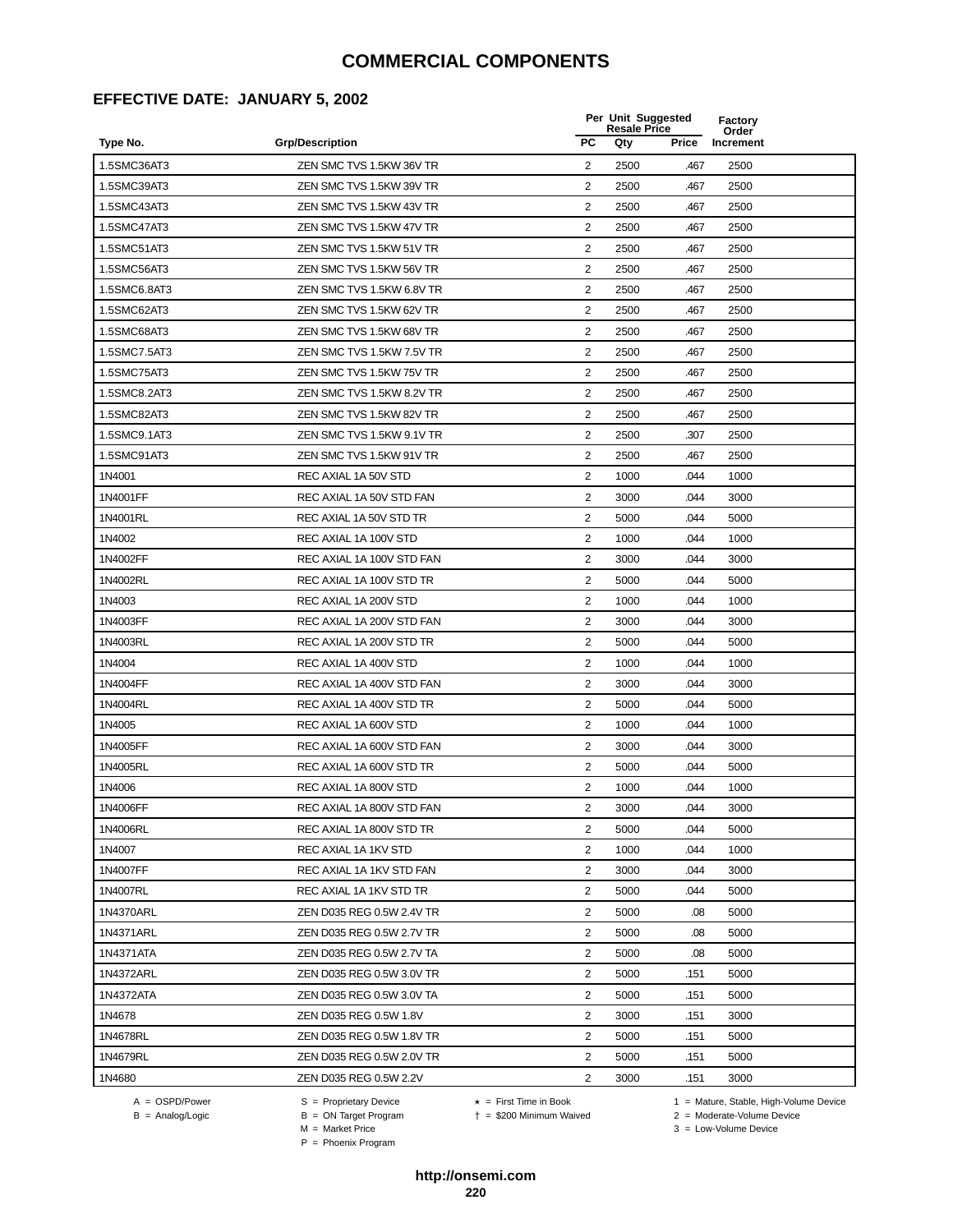#### **EFFECTIVE DATE: JANUARY 5, 2002**

|              |                           |                         | Per Unit Suggested<br><b>Resale Price</b> |       | <b>Factory</b><br>Order |
|--------------|---------------------------|-------------------------|-------------------------------------------|-------|-------------------------|
| Type No.     | <b>Grp/Description</b>    | <b>PC</b>               | Qty                                       | Price | Increment               |
| 1.5SMC36AT3  | ZEN SMC TVS 1.5KW 36V TR  | $\overline{2}$          | 2500                                      | .467  | 2500                    |
| 1.5SMC39AT3  | ZEN SMC TVS 1.5KW 39V TR  | $\overline{2}$          | 2500                                      | .467  | 2500                    |
| 1.5SMC43AT3  | ZEN SMC TVS 1.5KW 43V TR  | 2                       | 2500                                      | .467  | 2500                    |
| 1.5SMC47AT3  | ZEN SMC TVS 1.5KW 47V TR  | $\overline{2}$          | 2500                                      | .467  | 2500                    |
| 1.5SMC51AT3  | ZEN SMC TVS 1.5KW 51V TR  | $\sqrt{2}$              | 2500                                      | .467  | 2500                    |
| 1.5SMC56AT3  | ZEN SMC TVS 1.5KW 56V TR  | $\overline{2}$          | 2500                                      | .467  | 2500                    |
| 1.5SMC6.8AT3 | ZEN SMC TVS 1.5KW 6.8V TR | $\overline{2}$          | 2500                                      | .467  | 2500                    |
| 1.5SMC62AT3  | ZEN SMC TVS 1.5KW 62V TR  | 2                       | 2500                                      | .467  | 2500                    |
| 1.5SMC68AT3  | ZEN SMC TVS 1.5KW 68V TR  | 2                       | 2500                                      | .467  | 2500                    |
| 1.5SMC7.5AT3 | ZEN SMC TVS 1.5KW 7.5V TR | $\overline{2}$          | 2500                                      | .467  | 2500                    |
| 1.5SMC75AT3  | ZEN SMC TVS 1.5KW 75V TR  | $\overline{2}$          | 2500                                      | .467  | 2500                    |
| 1.5SMC8.2AT3 | ZEN SMC TVS 1.5KW 8.2V TR | $\overline{2}$          | 2500                                      | .467  | 2500                    |
| 1.5SMC82AT3  | ZEN SMC TVS 1.5KW 82V TR  | 2                       | 2500                                      | .467  | 2500                    |
| 1.5SMC9.1AT3 | ZEN SMC TVS 1.5KW 9.1V TR | $\overline{c}$          | 2500                                      | .307  | 2500                    |
| 1.5SMC91AT3  | ZEN SMC TVS 1.5KW 91V TR  | $\overline{2}$          | 2500                                      | .467  | 2500                    |
| 1N4001       | REC AXIAL 1A 50V STD      | $\overline{2}$          | 1000                                      | .044  | 1000                    |
| 1N4001FF     | REC AXIAL 1A 50V STD FAN  | 2                       | 3000                                      | .044  | 3000                    |
| 1N4001RL     | REC AXIAL 1A 50V STD TR   | 2                       | 5000                                      | .044  | 5000                    |
| 1N4002       | REC AXIAL 1A 100V STD     | $\overline{2}$          | 1000                                      | .044  | 1000                    |
| 1N4002FF     | REC AXIAL 1A 100V STD FAN | $\overline{2}$          | 3000                                      | .044  | 3000                    |
| 1N4002RL     | REC AXIAL 1A 100V STD TR  | 2                       | 5000                                      | .044  | 5000                    |
| 1N4003       | REC AXIAL 1A 200V STD     | 2                       | 1000                                      | .044  | 1000                    |
| 1N4003FF     | REC AXIAL 1A 200V STD FAN | $\sqrt{2}$              | 3000                                      | .044  | 3000                    |
| 1N4003RL     | REC AXIAL 1A 200V STD TR  | 2                       | 5000                                      | .044  | 5000                    |
| 1N4004       | REC AXIAL 1A 400V STD     | $\overline{2}$          | 1000                                      | .044  | 1000                    |
| 1N4004FF     | REC AXIAL 1A 400V STD FAN | 2                       | 3000                                      | .044  | 3000                    |
| 1N4004RL     | REC AXIAL 1A 400V STD TR  | 2                       | 5000                                      | .044  | 5000                    |
| 1N4005       | REC AXIAL 1A 600V STD     | $\overline{2}$          | 1000                                      | .044  | 1000                    |
| 1N4005FF     | REC AXIAL 1A 600V STD FAN | $\overline{2}$          | 3000                                      | .044  | 3000                    |
| 1N4005RL     | REC AXIAL 1A 600V STD TR  | $\overline{2}$          | 5000                                      | .044  | 5000                    |
| 1N4006       | REC AXIAL 1A 800V STD     | $\overline{2}$          | 1000                                      | .044  | 1000                    |
| 1N4006FF     | REC AXIAL 1A 800V STD FAN | $\overline{\mathbf{c}}$ | 3000                                      | .044  | 3000                    |
| 1N4006RL     | REC AXIAL 1A 800V STD TR  | 2                       | 5000                                      | .044  | 5000                    |
| 1N4007       | REC AXIAL 1A 1KV STD      | 2                       | 1000                                      | .044  | 1000                    |
| 1N4007FF     | REC AXIAL 1A 1KV STD FAN  | 2                       | 3000                                      | .044  | 3000                    |
| 1N4007RL     | REC AXIAL 1A 1KV STD TR   | $\overline{2}$          | 5000                                      | .044  | 5000                    |
| 1N4370ARL    | ZEN D035 REG 0.5W 2.4V TR | $\overline{2}$          | 5000                                      | .08   | 5000                    |
| 1N4371ARL    | ZEN D035 REG 0.5W 2.7V TR | 2                       | 5000                                      | .08   | 5000                    |
| 1N4371ATA    | ZEN D035 REG 0.5W 2.7V TA | $\overline{2}$          | 5000                                      | .08   | 5000                    |
| 1N4372ARL    | ZEN D035 REG 0.5W 3.0V TR | $\overline{2}$          | 5000                                      | .151  | 5000                    |
| 1N4372ATA    | ZEN D035 REG 0.5W 3.0V TA | $\overline{2}$          | 5000                                      | .151  | 5000                    |
| 1N4678       | ZEN D035 REG 0.5W 1.8V    | 2                       | 3000                                      | .151  | 3000                    |
| 1N4678RL     | ZEN D035 REG 0.5W 1.8V TR | 2                       | 5000                                      | .151  | 5000                    |
| 1N4679RL     | ZEN D035 REG 0.5W 2.0V TR | 2                       | 5000                                      | .151  | 5000                    |
| 1N4680       | ZEN D035 REG 0.5W 2.2V    | 2                       | 3000                                      | .151  | 3000                    |

B = Analog/Logic<br>B = Analog/Logic<br>M = Market Price

A = OSPD/Power S = Proprietary Device  $\star$  = First Time in Book 1 = Mature, Stable, High-Volume Device

= \$200 Minimum Waived 2 = Moderate-Volume Device

P = Phoenix Program

 $3 =$  Low-Volume Device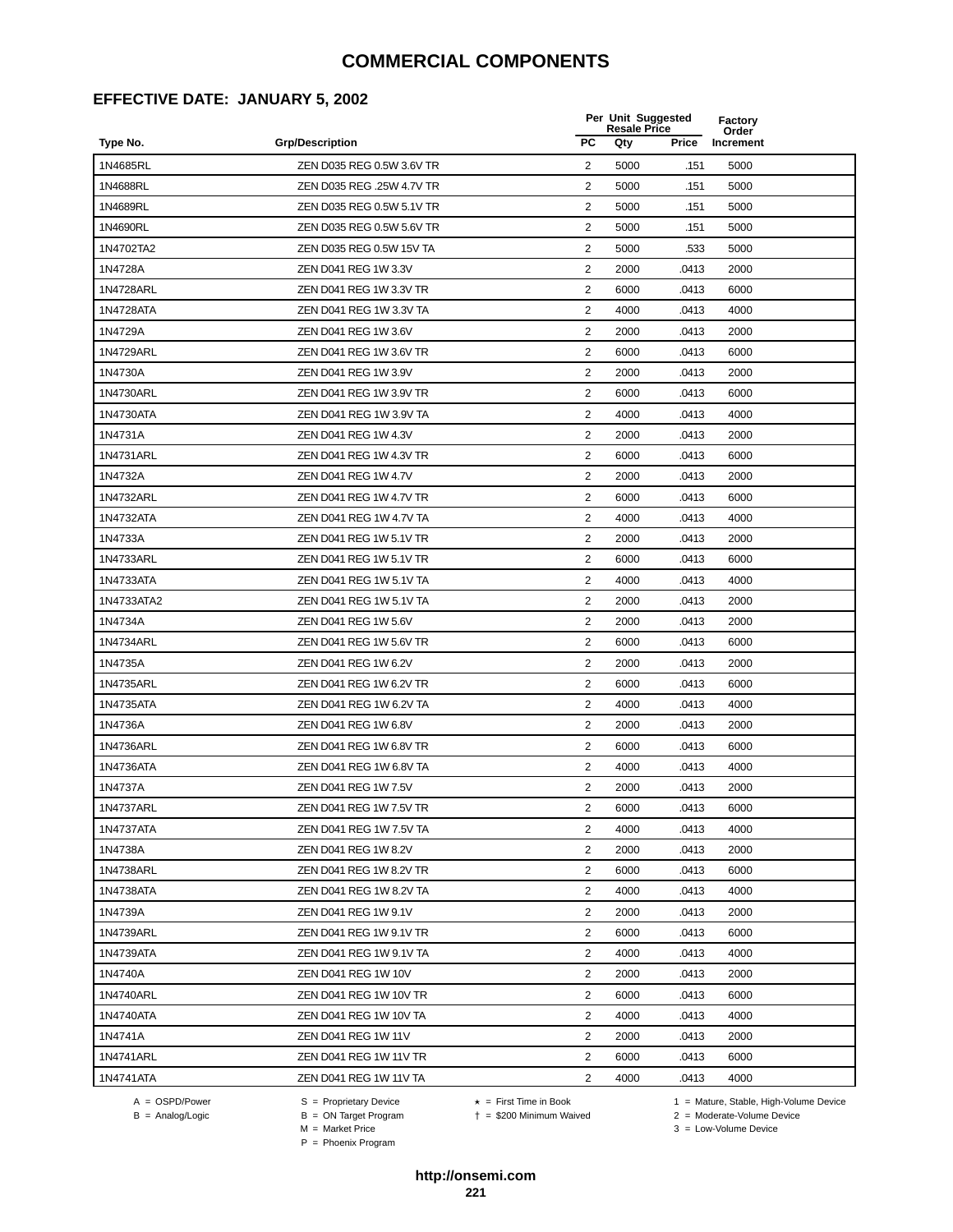#### **EFFECTIVE DATE: JANUARY 5, 2002**

|            |                           |                | Per Unit Suggested<br><b>Resale Price</b> |       | Factory<br>Order |
|------------|---------------------------|----------------|-------------------------------------------|-------|------------------|
| Type No.   | <b>Grp/Description</b>    | PC             | Qty                                       | Price | Increment        |
| 1N4685RL   | ZEN D035 REG 0.5W 3.6V TR | 2              | 5000                                      | .151  | 5000             |
| 1N4688RL   | ZEN D035 REG .25W 4.7V TR | 2              | 5000                                      | .151  | 5000             |
| 1N4689RL   | ZEN D035 REG 0.5W 5.1V TR | 2              | 5000                                      | .151  | 5000             |
| 1N4690RL   | ZEN D035 REG 0.5W 5.6V TR | 2              | 5000                                      | .151  | 5000             |
| 1N4702TA2  | ZEN D035 REG 0.5W 15V TA  | 2              | 5000                                      | .533  | 5000             |
| 1N4728A    | ZEN D041 REG 1W 3.3V      | 2              | 2000                                      | .0413 | 2000             |
| 1N4728ARL  | ZEN D041 REG 1W 3.3V TR   | 2              | 6000                                      | .0413 | 6000             |
| 1N4728ATA  | ZEN D041 REG 1W 3.3V TA   | $\overline{2}$ | 4000                                      | .0413 | 4000             |
| 1N4729A    | ZEN D041 REG 1W 3.6V      | 2              | 2000                                      | .0413 | 2000             |
| 1N4729ARL  | ZEN D041 REG 1W 3.6V TR   | 2              | 6000                                      | .0413 | 6000             |
| 1N4730A    | ZEN D041 REG 1W 3.9V      | 2              | 2000                                      | .0413 | 2000             |
| 1N4730ARL  | ZEN D041 REG 1W 3.9V TR   | 2              | 6000                                      | .0413 | 6000             |
| 1N4730ATA  | ZEN D041 REG 1W 3.9V TA   | 2              | 4000                                      | .0413 | 4000             |
| 1N4731A    | ZEN D041 REG 1W 4.3V      | 2              | 2000                                      | .0413 | 2000             |
| 1N4731ARL  | ZEN D041 REG 1W 4.3V TR   | 2              | 6000                                      | .0413 | 6000             |
| 1N4732A    | ZEN D041 REG 1W 4.7V      | 2              | 2000                                      | .0413 | 2000             |
| 1N4732ARL  | ZEN D041 REG 1W 4.7V TR   | 2              | 6000                                      | .0413 | 6000             |
| 1N4732ATA  | ZEN D041 REG 1W 4.7V TA   | 2              | 4000                                      | .0413 | 4000             |
| 1N4733A    | ZEN D041 REG 1W 5.1V TR   | 2              | 2000                                      | .0413 | 2000             |
| 1N4733ARL  | ZEN D041 REG 1W 5.1V TR   | 2              | 6000                                      | .0413 | 6000             |
| 1N4733ATA  | ZEN D041 REG 1W 5.1V TA   | 2              | 4000                                      | .0413 | 4000             |
| 1N4733ATA2 | ZEN D041 REG 1W 5.1V TA   | 2              | 2000                                      | .0413 | 2000             |
| 1N4734A    | ZEN D041 REG 1W 5.6V      | 2              | 2000                                      | .0413 | 2000             |
| 1N4734ARL  | ZEN D041 REG 1W 5.6V TR   | 2              | 6000                                      | .0413 | 6000             |
| 1N4735A    | ZEN D041 REG 1W 6.2V      | $\overline{2}$ | 2000                                      | .0413 | 2000             |
| 1N4735ARL  | ZEN D041 REG 1W 6.2V TR   | $\overline{2}$ | 6000                                      | .0413 | 6000             |
| 1N4735ATA  | ZEN D041 REG 1W 6.2V TA   | 2              | 4000                                      | .0413 | 4000             |
| 1N4736A    | ZEN D041 REG 1W 6.8V      | 2              | 2000                                      | .0413 | 2000             |
| 1N4736ARL  | ZEN D041 REG 1W 6.8V TR   | 2              | 6000                                      | .0413 | 6000             |
| 1N4736ATA  | ZEN D041 REG 1W 6.8V TA   | 2              | 4000                                      | .0413 | 4000             |
| 1N4737A    | ZEN D041 REG 1W 7.5V      | 2              | 2000                                      | .0413 | 2000             |
| 1N4737ARL  | ZEN D041 REG 1W 7.5V TR   | 2              | 6000                                      | .0413 | 6000             |
| 1N4737ATA  | ZEN D041 REG 1W 7.5V TA   | 2              | 4000                                      | .0413 | 4000             |
| 1N4738A    | ZEN D041 REG 1W 8.2V      | $\overline{2}$ | 2000                                      | .0413 | 2000             |
| 1N4738ARL  | ZEN D041 REG 1W 8.2V TR   | $\overline{2}$ | 6000                                      | .0413 | 6000             |
| 1N4738ATA  | ZEN D041 REG 1W 8.2V TA   | $\overline{2}$ | 4000                                      | .0413 | 4000             |
| 1N4739A    | ZEN D041 REG 1W 9.1V      | 2              | 2000                                      | .0413 | 2000             |
| 1N4739ARL  | ZEN D041 REG 1W 9.1V TR   | 2              | 6000                                      | .0413 | 6000             |
| 1N4739ATA  | ZEN D041 REG 1W 9.1V TA   | 2              | 4000                                      | .0413 | 4000             |
| 1N4740A    | ZEN D041 REG 1W 10V       | 2              | 2000                                      | .0413 | 2000             |
| 1N4740ARL  | ZEN D041 REG 1W 10V TR    | 2              | 6000                                      | .0413 | 6000             |
| 1N4740ATA  | ZEN D041 REG 1W 10V TA    | 2              | 4000                                      | .0413 | 4000             |
| 1N4741A    | ZEN D041 REG 1W 11V       | 2              | 2000                                      | .0413 | 2000             |
| 1N4741ARL  | ZEN D041 REG 1W 11V TR    | $\overline{2}$ | 6000                                      | .0413 | 6000             |
| 1N4741ATA  | ZEN D041 REG 1W 11V TA    | 2              | 4000                                      | .0413 | 4000             |

A = OSPD/Power S = Proprietary Device<br>
B = Analog/Logic B = ON Target Program<br>
M = Market Price

= \$200 Minimum Waived 2 = Moderate-Volume Device

A = OSPD/Power S = Proprietary Device  $\star$  = First Time in Book 1 = Mature, Stable, High-Volume Device

 $2 =$  Moderate-Volume Device<br> $3 =$  Low-Volume Device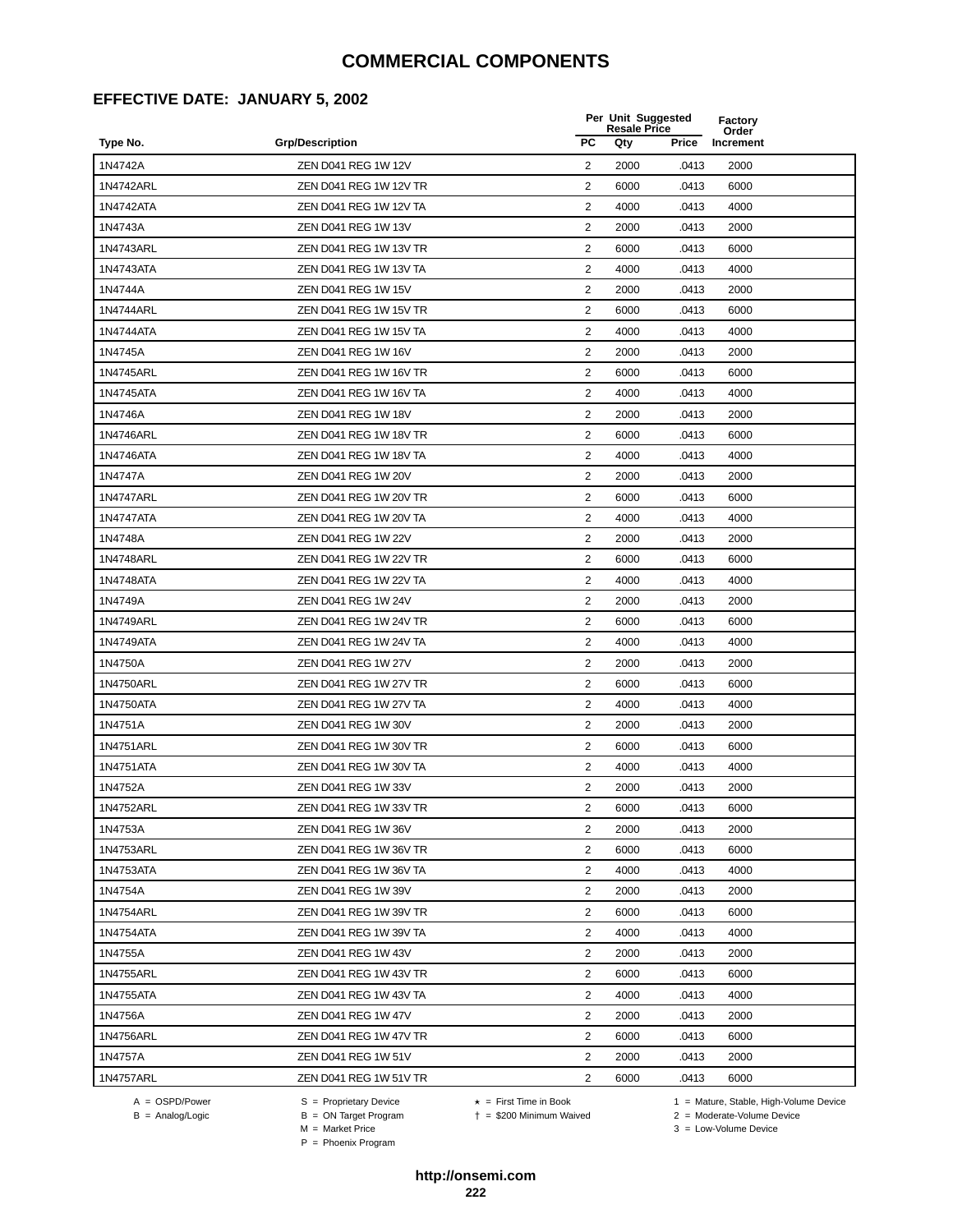#### **EFFECTIVE DATE: JANUARY 5, 2002**

|           |                        |                | Per Unit Suggested<br><b>Resale Price</b> |       | Factory<br>Order |
|-----------|------------------------|----------------|-------------------------------------------|-------|------------------|
| Type No.  | <b>Grp/Description</b> | <b>PC</b>      | Qty                                       | Price | Increment        |
| 1N4742A   | ZEN D041 REG 1W 12V    | 2              | 2000                                      | .0413 | 2000             |
| 1N4742ARL | ZEN D041 REG 1W 12V TR | $\overline{2}$ | 6000                                      | .0413 | 6000             |
| 1N4742ATA | ZEN D041 REG 1W 12V TA | $\overline{2}$ | 4000                                      | .0413 | 4000             |
| 1N4743A   | ZEN D041 REG 1W 13V    | 2              | 2000                                      | .0413 | 2000             |
| 1N4743ARL | ZEN D041 REG 1W 13V TR | $\overline{2}$ | 6000                                      | .0413 | 6000             |
| 1N4743ATA | ZEN D041 REG 1W 13V TA | 2              | 4000                                      | .0413 | 4000             |
| 1N4744A   | ZEN D041 REG 1W 15V    | $\overline{2}$ | 2000                                      | .0413 | 2000             |
| 1N4744ARL | ZEN D041 REG 1W 15V TR | 2              | 6000                                      | .0413 | 6000             |
| 1N4744ATA | ZEN D041 REG 1W 15V TA | $\overline{c}$ | 4000                                      | .0413 | 4000             |
| 1N4745A   | ZEN D041 REG 1W 16V    | 2              | 2000                                      | .0413 | 2000             |
| 1N4745ARL | ZEN D041 REG 1W 16V TR | $\overline{2}$ | 6000                                      | .0413 | 6000             |
| 1N4745ATA | ZEN D041 REG 1W 16V TA | $\overline{2}$ | 4000                                      | .0413 | 4000             |
| 1N4746A   | ZEN D041 REG 1W 18V    | $\overline{2}$ | 2000                                      | .0413 | 2000             |
| 1N4746ARL | ZEN D041 REG 1W 18V TR | $\overline{2}$ | 6000                                      | .0413 | 6000             |
| 1N4746ATA | ZEN D041 REG 1W 18V TA | 2              | 4000                                      | .0413 | 4000             |
| 1N4747A   | ZEN D041 REG 1W 20V    | $\overline{2}$ | 2000                                      | .0413 | 2000             |
| 1N4747ARL | ZEN D041 REG 1W 20V TR | $\overline{2}$ | 6000                                      | .0413 | 6000             |
| 1N4747ATA | ZEN D041 REG 1W 20V TA | $\overline{2}$ | 4000                                      | .0413 | 4000             |
| 1N4748A   | ZEN D041 REG 1W 22V    | $\overline{2}$ | 2000                                      | .0413 | 2000             |
| 1N4748ARL | ZEN D041 REG 1W 22V TR | $\overline{2}$ | 6000                                      | .0413 | 6000             |
| 1N4748ATA | ZEN D041 REG 1W 22V TA | $\overline{2}$ | 4000                                      | .0413 | 4000             |
| 1N4749A   | ZEN D041 REG 1W 24V    | $\overline{2}$ | 2000                                      | .0413 | 2000             |
| 1N4749ARL | ZEN D041 REG 1W 24V TR | $\overline{2}$ | 6000                                      | .0413 | 6000             |
| 1N4749ATA | ZEN D041 REG 1W 24V TA | 2              | 4000                                      | .0413 | 4000             |
| 1N4750A   | ZEN D041 REG 1W 27V    | 2              | 2000                                      | .0413 | 2000             |
| 1N4750ARL | ZEN D041 REG 1W 27V TR | 2              | 6000                                      | .0413 | 6000             |
| 1N4750ATA | ZEN D041 REG 1W 27V TA | 2              | 4000                                      | .0413 | 4000             |
| 1N4751A   | ZEN D041 REG 1W 30V    | 2              | 2000                                      | .0413 | 2000             |
| 1N4751ARL | ZEN D041 REG 1W 30V TR | $\overline{2}$ | 6000                                      | .0413 | 6000             |
| 1N4751ATA | ZEN D041 REG 1W 30V TA | $\overline{2}$ | 4000                                      | .0413 | 4000             |
| 1N4752A   | ZEN D041 REG 1W 33V    | $\overline{2}$ | 2000                                      | .0413 | 2000             |
| 1N4752ARL | ZEN D041 REG 1W 33V TR | 2              | 6000                                      | .0413 | 6000             |
| 1N4753A   | ZEN D041 REG 1W 36V    | 2              | 2000                                      | .0413 | 2000             |
| 1N4753ARL | ZEN D041 REG 1W 36V TR | $\overline{2}$ | 6000                                      | .0413 | 6000             |
| 1N4753ATA | ZEN D041 REG 1W 36V TA | $\overline{2}$ | 4000                                      | .0413 | 4000             |
| 1N4754A   | ZEN D041 REG 1W 39V    | $\overline{2}$ | 2000                                      | .0413 | 2000             |
| 1N4754ARL | ZEN D041 REG 1W 39V TR | 2              | 6000                                      | .0413 | 6000             |
| 1N4754ATA | ZEN D041 REG 1W 39V TA | $\overline{2}$ | 4000                                      | .0413 | 4000             |
| 1N4755A   | ZEN D041 REG 1W 43V    | 2              | 2000                                      | .0413 | 2000             |
| 1N4755ARL | ZEN D041 REG 1W 43V TR | $\overline{2}$ | 6000                                      | .0413 | 6000             |
| 1N4755ATA | ZEN D041 REG 1W 43V TA | 2              | 4000                                      | .0413 | 4000             |
| 1N4756A   | ZEN D041 REG 1W 47V    | 2              | 2000                                      | .0413 | 2000             |
| 1N4756ARL | ZEN D041 REG 1W 47V TR | $\overline{2}$ | 6000                                      | .0413 | 6000             |
| 1N4757A   | ZEN D041 REG 1W 51V    | $\overline{2}$ | 2000                                      | .0413 | 2000             |
| 1N4757ARL | ZEN D041 REG 1W 51V TR | 2              | 6000                                      | .0413 | 6000             |

A = OSPD/Power S = Proprietary Device<br>
B = Analog/Logic B = ON Target Program<br>
M = Market Price

A = OSPD/Power S = Proprietary Device  $\star$  = First Time in Book 1 = Mature, Stable, High-Volume Device

= \$200 Minimum Waived 2 = Moderate-Volume Device

P = Phoenix Program

 $2 =$  Moderate-Volume Device<br> $3 =$  Low-Volume Device

**http://onsemi.com**

**222**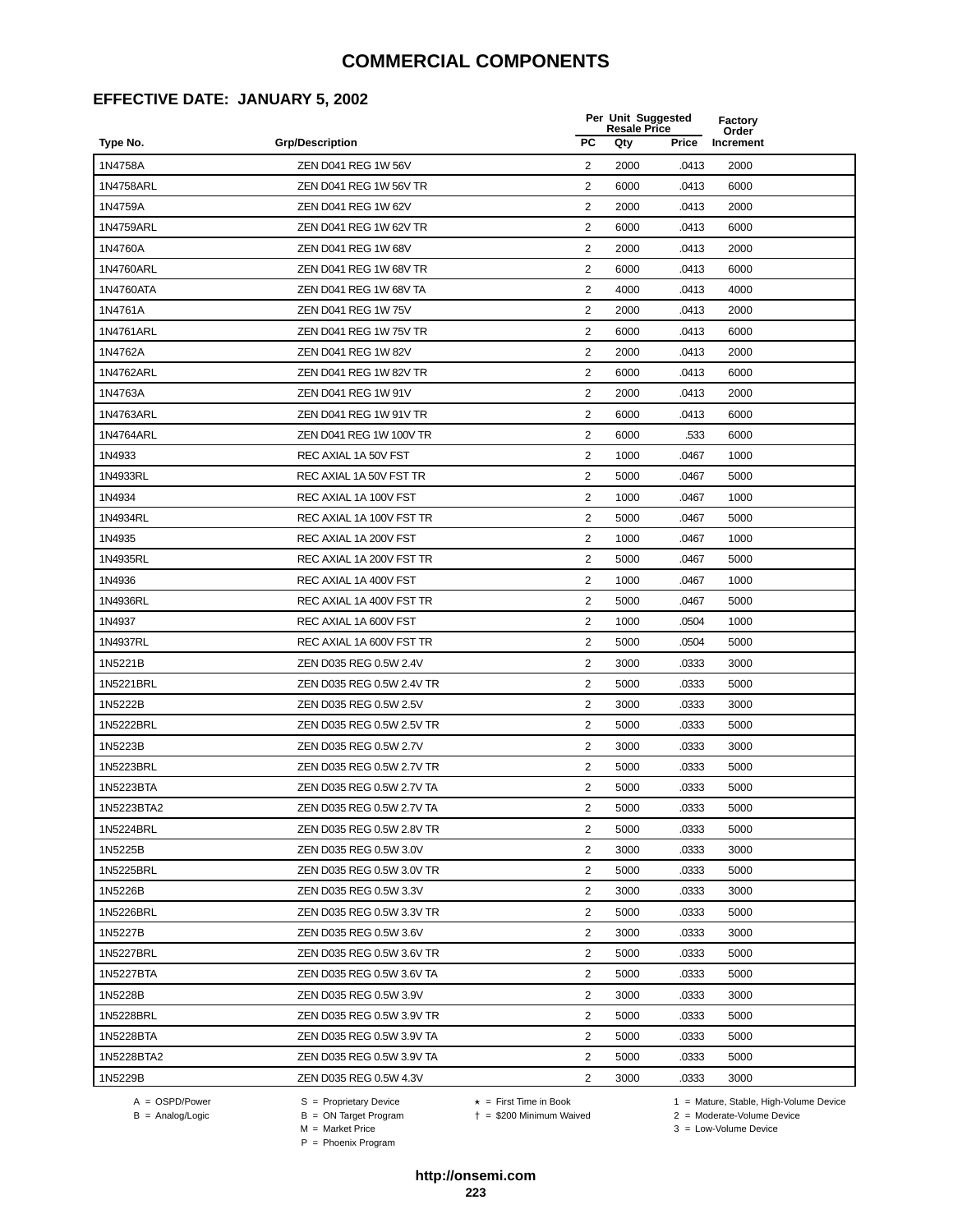#### **EFFECTIVE DATE: JANUARY 5, 2002**

|            |                               |                | Per Unit Suggested<br><b>Resale Price</b> |       | Factory<br>Order |
|------------|-------------------------------|----------------|-------------------------------------------|-------|------------------|
| Type No.   | <b>Grp/Description</b>        | <b>PC</b>      | Qty                                       | Price | Increment        |
| 1N4758A    | ZEN D041 REG 1W 56V           | 2              | 2000                                      | .0413 | 2000             |
| 1N4758ARL  | ZEN D041 REG 1W 56V TR        | $\overline{2}$ | 6000                                      | .0413 | 6000             |
| 1N4759A    | ZEN D041 REG 1W 62V           | $\overline{2}$ | 2000                                      | .0413 | 2000             |
| 1N4759ARL  | ZEN D041 REG 1W 62V TR        | $\overline{2}$ | 6000                                      | .0413 | 6000             |
| 1N4760A    | ZEN D041 REG 1W 68V           | $\overline{2}$ | 2000                                      | .0413 | 2000             |
| 1N4760ARL  | ZEN D041 REG 1W 68V TR        | 2              | 6000                                      | .0413 | 6000             |
| 1N4760ATA  | ZEN D041 REG 1W 68V TA        | 2              | 4000                                      | .0413 | 4000             |
| 1N4761A    | ZEN D041 REG 1W 75V           | 2              | 2000                                      | .0413 | 2000             |
| 1N4761ARL  | <b>ZEN D041 REG 1W 75V TR</b> | $\overline{c}$ | 6000                                      | .0413 | 6000             |
| 1N4762A    | <b>ZEN D041 REG 1W 82V</b>    | 2              | 2000                                      | .0413 | 2000             |
| 1N4762ARL  | ZEN D041 REG 1W 82V TR        | $\overline{2}$ | 6000                                      | .0413 | 6000             |
| 1N4763A    | ZEN D041 REG 1W 91V           | $\overline{2}$ | 2000                                      | .0413 | 2000             |
| 1N4763ARL  | ZEN D041 REG 1W 91V TR        | $\overline{2}$ | 6000                                      | .0413 | 6000             |
| 1N4764ARL  | ZEN D041 REG 1W 100V TR       | $\overline{2}$ | 6000                                      | .533  | 6000             |
| 1N4933     | REC AXIAL 1A 50V FST          | 2              | 1000                                      | .0467 | 1000             |
| 1N4933RL   | REC AXIAL 1A 50V FST TR       | $\overline{2}$ | 5000                                      | .0467 | 5000             |
| 1N4934     | REC AXIAL 1A 100V FST         | $\mathbf{2}$   | 1000                                      | .0467 | 1000             |
| 1N4934RL   | REC AXIAL 1A 100V FST TR      | $\overline{2}$ | 5000                                      | .0467 | 5000             |
| 1N4935     | REC AXIAL 1A 200V FST         | $\overline{2}$ | 1000                                      | .0467 | 1000             |
| 1N4935RL   | REC AXIAL 1A 200V FST TR      | 2              | 5000                                      | .0467 | 5000             |
| 1N4936     | REC AXIAL 1A 400V FST         | $\overline{2}$ | 1000                                      | .0467 | 1000             |
| 1N4936RL   | REC AXIAL 1A 400V FST TR      | $\overline{2}$ | 5000                                      | .0467 | 5000             |
| 1N4937     | REC AXIAL 1A 600V FST         | $\overline{2}$ | 1000                                      | .0504 | 1000             |
| 1N4937RL   | REC AXIAL 1A 600V FST TR      | 2              | 5000                                      | .0504 | 5000             |
| 1N5221B    | ZEN D035 REG 0.5W 2.4V        | 2              | 3000                                      | .0333 | 3000             |
| 1N5221BRL  | ZEN D035 REG 0.5W 2.4V TR     | 2              | 5000                                      | .0333 | 5000             |
| 1N5222B    | ZEN D035 REG 0.5W 2.5V        | 2              | 3000                                      | .0333 | 3000             |
| 1N5222BRL  | ZEN D035 REG 0.5W 2.5V TR     | 2              | 5000                                      | .0333 | 5000             |
| 1N5223B    | ZEN D035 REG 0.5W 2.7V        | $\overline{2}$ | 3000                                      | .0333 | 3000             |
| 1N5223BRL  | ZEN D035 REG 0.5W 2.7V TR     | $\overline{2}$ | 5000                                      | .0333 | 5000             |
| 1N5223BTA  | ZEN D035 REG 0.5W 2.7V TA     | $\overline{2}$ | 5000                                      | .0333 | 5000             |
| 1N5223BTA2 | ZEN D035 REG 0.5W 2.7V TA     | 2              | 5000                                      | .0333 | 5000             |
| 1N5224BRL  | ZEN D035 REG 0.5W 2.8V TR     | $\overline{2}$ | 5000                                      | .0333 | 5000             |
| 1N5225B    | ZEN D035 REG 0.5W 3.0V        | $\overline{2}$ | 3000                                      | .0333 | 3000             |
| 1N5225BRL  | ZEN D035 REG 0.5W 3.0V TR     | $\overline{2}$ | 5000                                      | .0333 | 5000             |
| 1N5226B    | ZEN D035 REG 0.5W 3.3V        | $\overline{2}$ | 3000                                      | .0333 | 3000             |
| 1N5226BRL  | ZEN D035 REG 0.5W 3.3V TR     | 2              | 5000                                      | .0333 | 5000             |
| 1N5227B    | ZEN D035 REG 0.5W 3.6V        | $\overline{2}$ | 3000                                      | .0333 | 3000             |
| 1N5227BRL  | ZEN D035 REG 0.5W 3.6V TR     | 2              | 5000                                      | .0333 | 5000             |
| 1N5227BTA  | ZEN D035 REG 0.5W 3.6V TA     | 2              | 5000                                      | .0333 | 5000             |
| 1N5228B    | ZEN D035 REG 0.5W 3.9V        | 2              | 3000                                      | .0333 | 3000             |
| 1N5228BRL  | ZEN D035 REG 0.5W 3.9V TR     | 2              | 5000                                      | .0333 | 5000             |
| 1N5228BTA  | ZEN D035 REG 0.5W 3.9V TA     | $\overline{2}$ | 5000                                      | .0333 | 5000             |
| 1N5228BTA2 | ZEN D035 REG 0.5W 3.9V TA     | $\overline{2}$ | 5000                                      | .0333 | 5000             |
| 1N5229B    | ZEN D035 REG 0.5W 4.3V        | 2              | 3000                                      | .0333 | 3000             |

A = OSPD/Power S = Proprietary Device<br>
B = Analog/Logic B = ON Target Program<br>
M = Market Price

= \$200 Minimum Waived 2 = Moderate-Volume Device

A = OSPD/Power S = Proprietary Device  $\star$  = First Time in Book 1 = Mature, Stable, High-Volume Device

 $2 =$  Moderate-Volume Device<br> $3 =$  Low-Volume Device

P = Phoenix Program

**http://onsemi.com 223**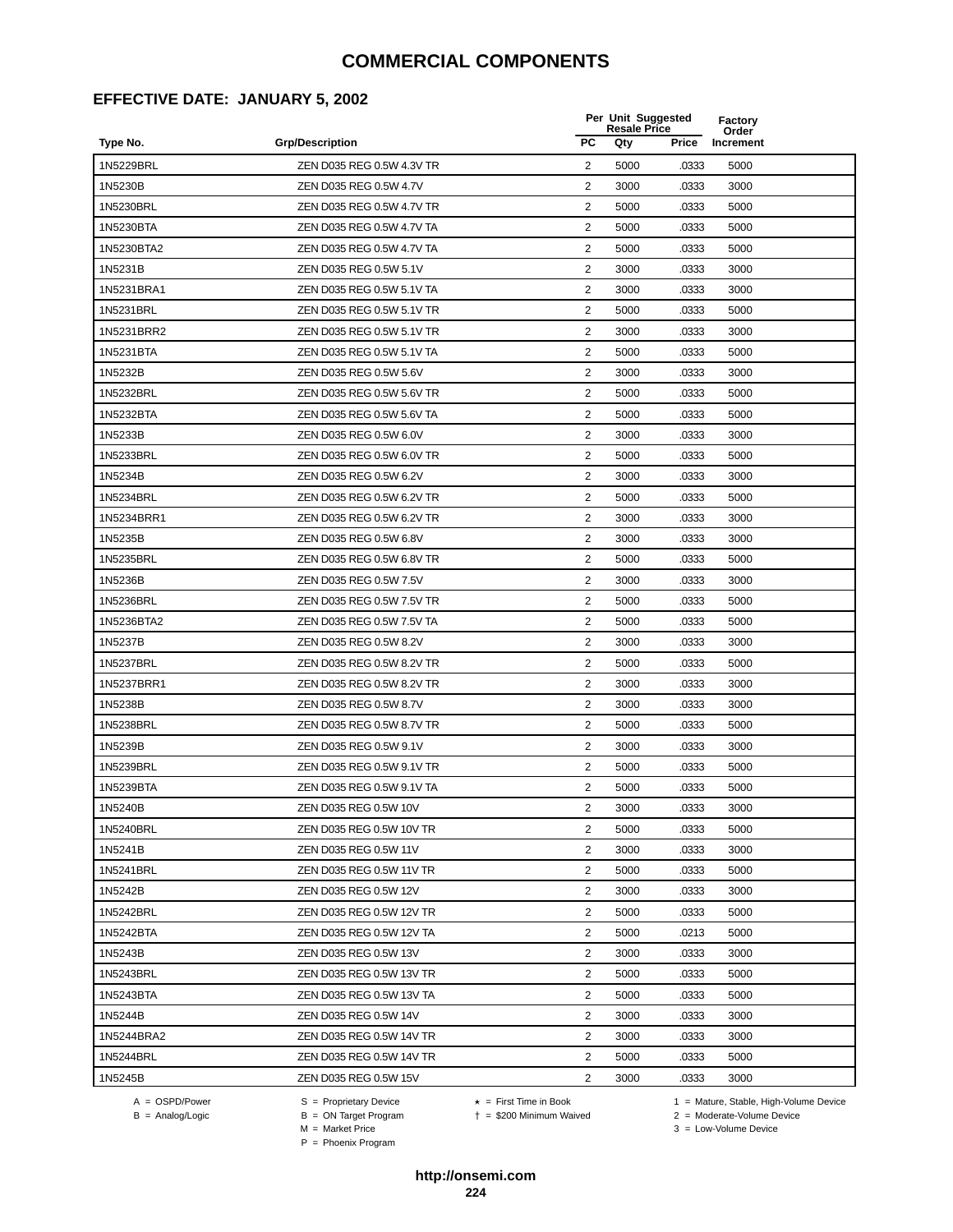#### **EFFECTIVE DATE: JANUARY 5, 2002**

|            |                           |                | Per Unit Suggested<br><b>Resale Price</b> |       | Factory<br>Order |
|------------|---------------------------|----------------|-------------------------------------------|-------|------------------|
| Type No.   | <b>Grp/Description</b>    | PC             | Qty                                       | Price | Increment        |
| 1N5229BRL  | ZEN D035 REG 0.5W 4.3V TR | 2              | 5000                                      | .0333 | 5000             |
| 1N5230B    | ZEN D035 REG 0.5W 4.7V    | $\overline{2}$ | 3000                                      | .0333 | 3000             |
| 1N5230BRL  | ZEN D035 REG 0.5W 4.7V TR | $\overline{2}$ | 5000                                      | .0333 | 5000             |
| 1N5230BTA  | ZEN D035 REG 0.5W 4.7V TA | $\overline{2}$ | 5000                                      | .0333 | 5000             |
| 1N5230BTA2 | ZEN D035 REG 0.5W 4.7V TA | $\overline{2}$ | 5000                                      | .0333 | 5000             |
| 1N5231B    | ZEN D035 REG 0.5W 5.1V    | 2              | 3000                                      | .0333 | 3000             |
| 1N5231BRA1 | ZEN D035 REG 0.5W 5.1V TA | 2              | 3000                                      | .0333 | 3000             |
| 1N5231BRL  | ZEN D035 REG 0.5W 5.1V TR | 2              | 5000                                      | .0333 | 5000             |
| 1N5231BRR2 | ZEN D035 REG 0.5W 5.1V TR | 2              | 3000                                      | .0333 | 3000             |
| 1N5231BTA  | ZEN D035 REG 0.5W 5.1V TA | 2              | 5000                                      | .0333 | 5000             |
| 1N5232B    | ZEN D035 REG 0.5W 5.6V    | $\overline{2}$ | 3000                                      | .0333 | 3000             |
| 1N5232BRL  | ZEN D035 REG 0.5W 5.6V TR | $\overline{2}$ | 5000                                      | .0333 | 5000             |
| 1N5232BTA  | ZEN D035 REG 0.5W 5.6V TA | $\overline{2}$ | 5000                                      | .0333 | 5000             |
| 1N5233B    | ZEN D035 REG 0.5W 6.0V    | $\overline{2}$ | 3000                                      | .0333 | 3000             |
| 1N5233BRL  | ZEN D035 REG 0.5W 6.0V TR | 2              | 5000                                      | .0333 | 5000             |
| 1N5234B    | ZEN D035 REG 0.5W 6.2V    | $\overline{2}$ | 3000                                      | .0333 | 3000             |
| 1N5234BRL  | ZEN D035 REG 0.5W 6.2V TR | $\mathbf{2}$   | 5000                                      | .0333 | 5000             |
| 1N5234BRR1 | ZEN D035 REG 0.5W 6.2V TR | $\overline{2}$ | 3000                                      | .0333 | 3000             |
| 1N5235B    | ZEN D035 REG 0.5W 6.8V    | $\overline{2}$ | 3000                                      | .0333 | 3000             |
| 1N5235BRL  | ZEN D035 REG 0.5W 6.8V TR | 2              | 5000                                      | .0333 | 5000             |
| 1N5236B    | ZEN D035 REG 0.5W 7.5V    | $\overline{2}$ | 3000                                      | .0333 | 3000             |
| 1N5236BRL  | ZEN D035 REG 0.5W 7.5V TR | $\overline{2}$ | 5000                                      | .0333 | 5000             |
| 1N5236BTA2 | ZEN D035 REG 0.5W 7.5V TA | $\overline{2}$ | 5000                                      | .0333 | 5000             |
| 1N5237B    | ZEN D035 REG 0.5W 8.2V    | $\overline{2}$ | 3000                                      | .0333 | 3000             |
| 1N5237BRL  | ZEN D035 REG 0.5W 8.2V TR | 2              | 5000                                      | .0333 | 5000             |
| 1N5237BRR1 | ZEN D035 REG 0.5W 8.2V TR | 2              | 3000                                      | .0333 | 3000             |
| 1N5238B    | ZEN D035 REG 0.5W 8.7V    | 2              | 3000                                      | .0333 | 3000             |
| 1N5238BRL  | ZEN D035 REG 0.5W 8.7V TR | 2              | 5000                                      | .0333 | 5000             |
| 1N5239B    | ZEN D035 REG 0.5W 9.1V    | $\overline{2}$ | 3000                                      | .0333 | 3000             |
| 1N5239BRL  | ZEN D035 REG 0.5W 9.1V TR | $\overline{2}$ | 5000                                      | .0333 | 5000             |
| 1N5239BTA  | ZEN D035 REG 0.5W 9.1V TA | $\overline{2}$ | 5000                                      | .0333 | 5000             |
| 1N5240B    | ZEN D035 REG 0.5W 10V     | 2              | 3000                                      | .0333 | 3000             |
| 1N5240BRL  | ZEN D035 REG 0.5W 10V TR  | 2              | 5000                                      | .0333 | 5000             |
| 1N5241B    | ZEN D035 REG 0.5W 11V     | $\overline{2}$ | 3000                                      | .0333 | 3000             |
| 1N5241BRL  | ZEN D035 REG 0.5W 11V TR  | $\overline{2}$ | 5000                                      | .0333 | 5000             |
| 1N5242B    | ZEN D035 REG 0.5W 12V     | $\overline{2}$ | 3000                                      | .0333 | 3000             |
| 1N5242BRL  | ZEN D035 REG 0.5W 12V TR  | 2              | 5000                                      | .0333 | 5000             |
| 1N5242BTA  | ZEN D035 REG 0.5W 12V TA  | $\overline{2}$ | 5000                                      | .0213 | 5000             |
| 1N5243B    | ZEN D035 REG 0.5W 13V     | 2              | 3000                                      | .0333 | 3000             |
| 1N5243BRL  | ZEN D035 REG 0.5W 13V TR  | 2              | 5000                                      | .0333 | 5000             |
| 1N5243BTA  | ZEN D035 REG 0.5W 13V TA  | 2              | 5000                                      | .0333 | 5000             |
| 1N5244B    | ZEN D035 REG 0.5W 14V     | 2              | 3000                                      | .0333 | 3000             |
| 1N5244BRA2 | ZEN D035 REG 0.5W 14V TR  | $\overline{2}$ | 3000                                      | .0333 | 3000             |
| 1N5244BRL  | ZEN D035 REG 0.5W 14V TR  | 2              | 5000                                      | .0333 | 5000             |
| 1N5245B    | ZEN D035 REG 0.5W 15V     | 2              | 3000                                      | .0333 | 3000             |

A = OSPD/Power S = Proprietary Device<br>
B = Analog/Logic B = ON Target Program<br>
M = Market Price

= \$200 Minimum Waived 2 = Moderate-Volume Device

A = OSPD/Power S = Proprietary Device  $\star$  = First Time in Book 1 = Mature, Stable, High-Volume Device  $2 =$  Moderate-Volume Device<br> $3 =$  Low-Volume Device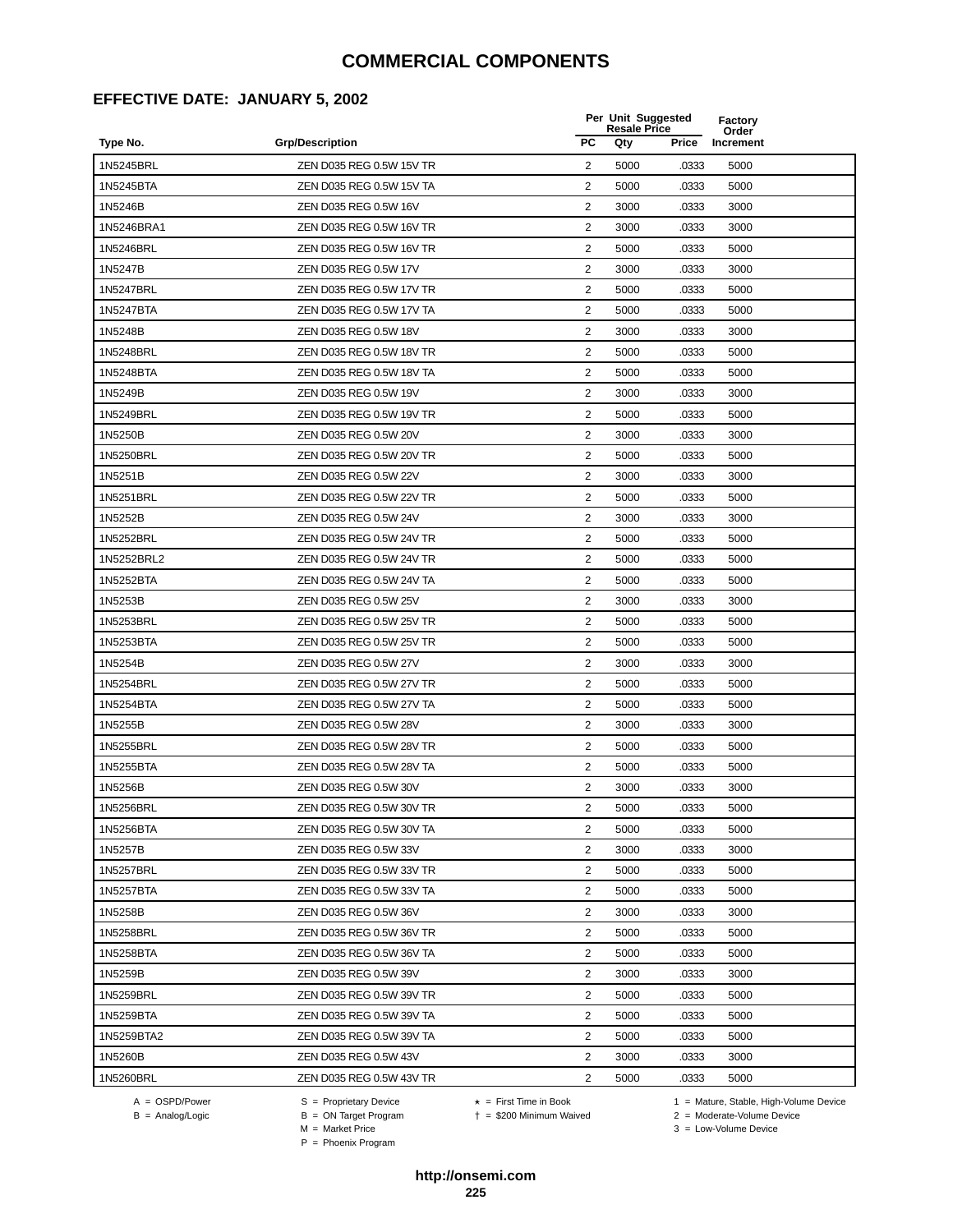#### **EFFECTIVE DATE: JANUARY 5, 2002**

|            |                          |                         | <b>Resale Price</b> | Per Unit Suggested | Factory<br>Order |
|------------|--------------------------|-------------------------|---------------------|--------------------|------------------|
| Type No.   | <b>Grp/Description</b>   | <b>PC</b>               | Qty                 | Price              | Increment        |
| 1N5245BRL  | ZEN D035 REG 0.5W 15V TR | 2                       | 5000                | .0333              | 5000             |
| 1N5245BTA  | ZEN D035 REG 0.5W 15V TA | 2                       | 5000                | .0333              | 5000             |
| 1N5246B    | ZEN D035 REG 0.5W 16V    | 2                       | 3000                | .0333              | 3000             |
| 1N5246BRA1 | ZEN D035 REG 0.5W 16V TR | 2                       | 3000                | .0333              | 3000             |
| 1N5246BRL  | ZEN D035 REG 0.5W 16V TR | $\overline{2}$          | 5000                | .0333              | 5000             |
| 1N5247B    | ZEN D035 REG 0.5W 17V    | $\overline{2}$          | 3000                | .0333              | 3000             |
| 1N5247BRL  | ZEN D035 REG 0.5W 17V TR | $\overline{2}$          | 5000                | .0333              | 5000             |
| 1N5247BTA  | ZEN D035 REG 0.5W 17V TA | 2                       | 5000                | .0333              | 5000             |
| 1N5248B    | ZEN D035 REG 0.5W 18V    | $\overline{2}$          | 3000                | .0333              | 3000             |
| 1N5248BRL  | ZEN D035 REG 0.5W 18V TR | $\overline{2}$          | 5000                | .0333              | 5000             |
| 1N5248BTA  | ZEN D035 REG 0.5W 18V TA | 2                       | 5000                | .0333              | 5000             |
| 1N5249B    | ZEN D035 REG 0.5W 19V    | 2                       | 3000                | .0333              | 3000             |
| 1N5249BRL  | ZEN D035 REG 0.5W 19V TR | $\overline{2}$          | 5000                | .0333              | 5000             |
| 1N5250B    | ZEN D035 REG 0.5W 20V    | $\overline{2}$          | 3000                | .0333              | 3000             |
| 1N5250BRL  | ZEN D035 REG 0.5W 20V TR | 2                       | 5000                | .0333              | 5000             |
| 1N5251B    | ZEN D035 REG 0.5W 22V    | $\overline{2}$          | 3000                | .0333              | 3000             |
| 1N5251BRL  | ZEN D035 REG 0.5W 22V TR | 2                       | 5000                | .0333              | 5000             |
| 1N5252B    | ZEN D035 REG 0.5W 24V    | $\overline{c}$          | 3000                | .0333              | 3000             |
| 1N5252BRL  | ZEN D035 REG 0.5W 24V TR | $\overline{2}$          | 5000                | .0333              | 5000             |
| 1N5252BRL2 | ZEN D035 REG 0.5W 24V TR | 2                       | 5000                | .0333              | 5000             |
| 1N5252BTA  | ZEN D035 REG 0.5W 24V TA | $\overline{2}$          | 5000                | .0333              | 5000             |
| 1N5253B    | ZEN D035 REG 0.5W 25V    | 2                       | 3000                | .0333              | 3000             |
| 1N5253BRL  | ZEN D035 REG 0.5W 25V TR | $\overline{2}$          | 5000                | .0333              | 5000             |
| 1N5253BTA  | ZEN D035 REG 0.5W 25V TR | $\overline{2}$          | 5000                | .0333              | 5000             |
| 1N5254B    | ZEN D035 REG 0.5W 27V    | $\overline{2}$          | 3000                | .0333              | 3000             |
| 1N5254BRL  | ZEN D035 REG 0.5W 27V TR | 2                       | 5000                | .0333              | 5000             |
| 1N5254BTA  | ZEN D035 REG 0.5W 27V TA | $\overline{c}$          | 5000                | .0333              | 5000             |
| 1N5255B    | ZEN D035 REG 0.5W 28V    | $\overline{2}$          | 3000                | .0333              | 3000             |
| 1N5255BRL  | ZEN D035 REG 0.5W 28V TR | 2                       | 5000                | .0333              | 5000             |
| 1N5255BTA  | ZEN D035 REG 0.5W 28V TA | 2                       | 5000                | .0333              | 5000             |
| 1N5256B    | ZEN D035 REG 0.5W 30V    | $\overline{2}$          | 3000                | .0333              | 3000             |
| 1N5256BRL  | ZEN D035 REG 0.5W 30V TR | $\overline{\mathbf{c}}$ | 5000                | 0333               | 5000             |
| 1N5256BTA  | ZEN D035 REG 0.5W 30V TA | 2                       | 5000                | .0333              | 5000             |
| 1N5257B    | ZEN D035 REG 0.5W 33V    | $\overline{2}$          | 3000                | .0333              | 3000             |
| 1N5257BRL  | ZEN D035 REG 0.5W 33V TR | 2                       | 5000                | .0333              | 5000             |
| 1N5257BTA  | ZEN D035 REG 0.5W 33V TA | 2                       | 5000                | .0333              | 5000             |
| 1N5258B    | ZEN D035 REG 0.5W 36V    | 2                       | 3000                | .0333              | 3000             |
| 1N5258BRL  | ZEN D035 REG 0.5W 36V TR | 2                       | 5000                | .0333              | 5000             |
| 1N5258BTA  | ZEN D035 REG 0.5W 36V TA | $\overline{2}$          | 5000                | .0333              | 5000             |
| 1N5259B    | ZEN D035 REG 0.5W 39V    | 2                       | 3000                | .0333              | 3000             |
| 1N5259BRL  | ZEN D035 REG 0.5W 39V TR | 2                       | 5000                | .0333              | 5000             |
| 1N5259BTA  | ZEN D035 REG 0.5W 39V TA | 2                       | 5000                | .0333              | 5000             |
| 1N5259BTA2 | ZEN D035 REG 0.5W 39V TA | 2                       | 5000                | .0333              | 5000             |
| 1N5260B    | ZEN D035 REG 0.5W 43V    | 2                       | 3000                | .0333              | 3000             |
| 1N5260BRL  | ZEN D035 REG 0.5W 43V TR | $\overline{c}$          | 5000                | .0333              | 5000             |
|            |                          |                         |                     |                    |                  |

A = OSPD/Power S = Proprietary Device  $\star$  = First Time in Book 1 = Mature, Stable, High-Volume Device

B = Analog/Logic<br>B = Analog/Logic<br>M = Market Price

= \$200 Minimum Waived 2 = Moderate-Volume Device

 $3 =$  Low-Volume Device

P = Phoenix Program

**http://onsemi.com**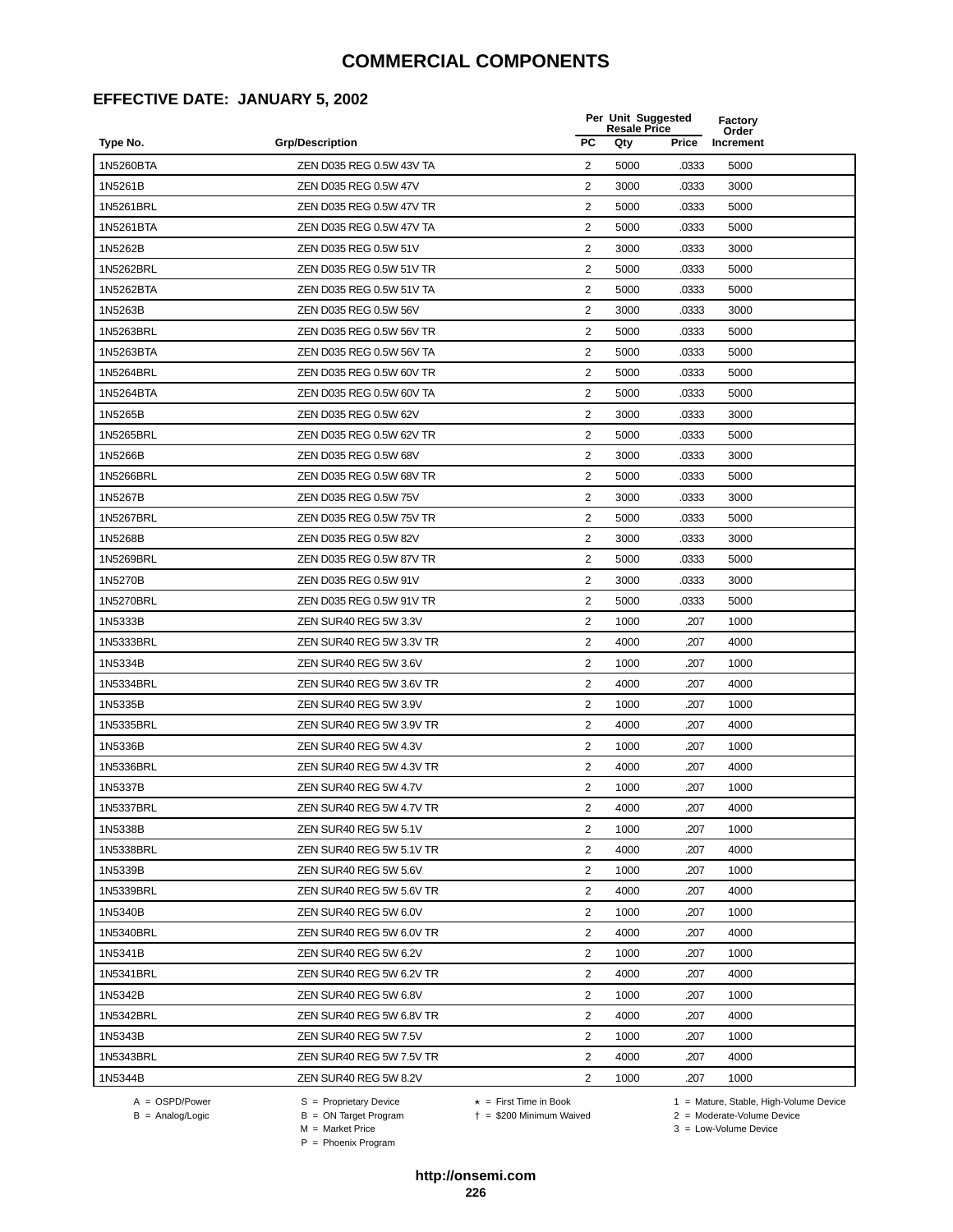#### **EFFECTIVE DATE: JANUARY 5, 2002**

|           |                          |                | Per Unit Suggested<br><b>Resale Price</b> |       | Factory<br>Order |
|-----------|--------------------------|----------------|-------------------------------------------|-------|------------------|
| Type No.  | <b>Grp/Description</b>   | PC             | Qty                                       | Price | Increment        |
| 1N5260BTA | ZEN D035 REG 0.5W 43V TA | 2              | 5000                                      | .0333 | 5000             |
| 1N5261B   | ZEN D035 REG 0.5W 47V    | $\overline{2}$ | 3000                                      | .0333 | 3000             |
| 1N5261BRL | ZEN D035 REG 0.5W 47V TR | 2              | 5000                                      | .0333 | 5000             |
| 1N5261BTA | ZEN D035 REG 0.5W 47V TA | 2              | 5000                                      | .0333 | 5000             |
| 1N5262B   | ZEN D035 REG 0.5W 51V    | 2              | 3000                                      | .0333 | 3000             |
| 1N5262BRL | ZEN D035 REG 0.5W 51V TR | 2              | 5000                                      | .0333 | 5000             |
| 1N5262BTA | ZEN D035 REG 0.5W 51V TA | 2              | 5000                                      | .0333 | 5000             |
| 1N5263B   | ZEN D035 REG 0.5W 56V    | $\overline{2}$ | 3000                                      | .0333 | 3000             |
| 1N5263BRL | ZEN D035 REG 0.5W 56V TR | $\overline{2}$ | 5000                                      | .0333 | 5000             |
| 1N5263BTA | ZEN D035 REG 0.5W 56V TA | 2              | 5000                                      | .0333 | 5000             |
| 1N5264BRL | ZEN D035 REG 0.5W 60V TR | 2              | 5000                                      | .0333 | 5000             |
| 1N5264BTA | ZEN D035 REG 0.5W 60V TA | 2              | 5000                                      | .0333 | 5000             |
| 1N5265B   | ZEN D035 REG 0.5W 62V    | 2              | 3000                                      | .0333 | 3000             |
| 1N5265BRL | ZEN D035 REG 0.5W 62V TR | 2              | 5000                                      | .0333 | 5000             |
| 1N5266B   | ZEN D035 REG 0.5W 68V    | 2              | 3000                                      | .0333 | 3000             |
| 1N5266BRL | ZEN D035 REG 0.5W 68V TR | 2              | 5000                                      | .0333 | 5000             |
| 1N5267B   | ZEN D035 REG 0.5W 75V    | 2              | 3000                                      | .0333 | 3000             |
| 1N5267BRL | ZEN D035 REG 0.5W 75V TR | 2              | 5000                                      | .0333 | 5000             |
| 1N5268B   | ZEN D035 REG 0.5W 82V    | 2              | 3000                                      | .0333 | 3000             |
| 1N5269BRL | ZEN D035 REG 0.5W 87V TR | 2              | 5000                                      | .0333 | 5000             |
| 1N5270B   | ZEN D035 REG 0.5W 91V    | 2              | 3000                                      | .0333 | 3000             |
| 1N5270BRL | ZEN D035 REG 0.5W 91V TR | 2              | 5000                                      | .0333 | 5000             |
| 1N5333B   | ZEN SUR40 REG 5W 3.3V    | 2              | 1000                                      | .207  | 1000             |
| 1N5333BRL | ZEN SUR40 REG 5W 3.3V TR | 2              | 4000                                      | .207  | 4000             |
| 1N5334B   | ZEN SUR40 REG 5W 3.6V    | $\overline{2}$ | 1000                                      | .207  | 1000             |
| 1N5334BRL | ZEN SUR40 REG 5W 3.6V TR | $\overline{2}$ | 4000                                      | .207  | 4000             |
| 1N5335B   | ZEN SUR40 REG 5W 3.9V    | 2              | 1000                                      | .207  | 1000             |
| 1N5335BRL | ZEN SUR40 REG 5W 3.9V TR | 2              | 4000                                      | .207  | 4000             |
| 1N5336B   | ZEN SUR40 REG 5W 4.3V    | 2              | 1000                                      | .207  | 1000             |
| 1N5336BRL | ZEN SUR40 REG 5W 4.3V TR | 2              | 4000                                      | .207  | 4000             |
| 1N5337B   | ZEN SUR40 REG 5W 4.7V    | 2              | 1000                                      | .207  | 1000             |
| 1N5337BRL | ZEN SUR40 REG 5W 4.7V TR | 2              | 4000                                      | .207  | 4000             |
| 1N5338B   | ZEN SUR40 REG 5W 5.1V    | 2              | 1000                                      | .207  | 1000             |
| 1N5338BRL | ZEN SUR40 REG 5W 5.1V TR | $\overline{2}$ | 4000                                      | .207  | 4000             |
| 1N5339B   | ZEN SUR40 REG 5W 5.6V    | $\overline{2}$ | 1000                                      | .207  | 1000             |
| 1N5339BRL | ZEN SUR40 REG 5W 5.6V TR | $\overline{2}$ | 4000                                      | .207  | 4000             |
| 1N5340B   | ZEN SUR40 REG 5W 6.0V    | 2              | 1000                                      | .207  | 1000             |
| 1N5340BRL | ZEN SUR40 REG 5W 6.0V TR | 2              | 4000                                      | .207  | 4000             |
| 1N5341B   | ZEN SUR40 REG 5W 6.2V    | 2              | 1000                                      | .207  | 1000             |
| 1N5341BRL | ZEN SUR40 REG 5W 6.2V TR | 2              | 4000                                      | .207  | 4000             |
| 1N5342B   | ZEN SUR40 REG 5W 6.8V    | 2              | 1000                                      | .207  | 1000             |
| 1N5342BRL | ZEN SUR40 REG 5W 6.8V TR | 2              | 4000                                      | .207  | 4000             |
| 1N5343B   | ZEN SUR40 REG 5W 7.5V    | 2              | 1000                                      | .207  | 1000             |
| 1N5343BRL | ZEN SUR40 REG 5W 7.5V TR | $\overline{2}$ | 4000                                      | .207  | 4000             |
| 1N5344B   | ZEN SUR40 REG 5W 8.2V    | 2              | 1000                                      | .207  | 1000             |

A = OSPD/Power S = Proprietary Device<br>
B = Analog/Logic B = ON Target Program<br>
M = Market Price P = Phoenix Program

A = OSPD/Power S = Proprietary Device  $\star$  = First Time in Book 1 = Mature, Stable, High-Volume Device = \$200 Minimum Waived 2 = Moderate-Volume Device

 $2 =$  Moderate-Volume Device<br> $3 =$  Low-Volume Device

**http://onsemi.com**

**226**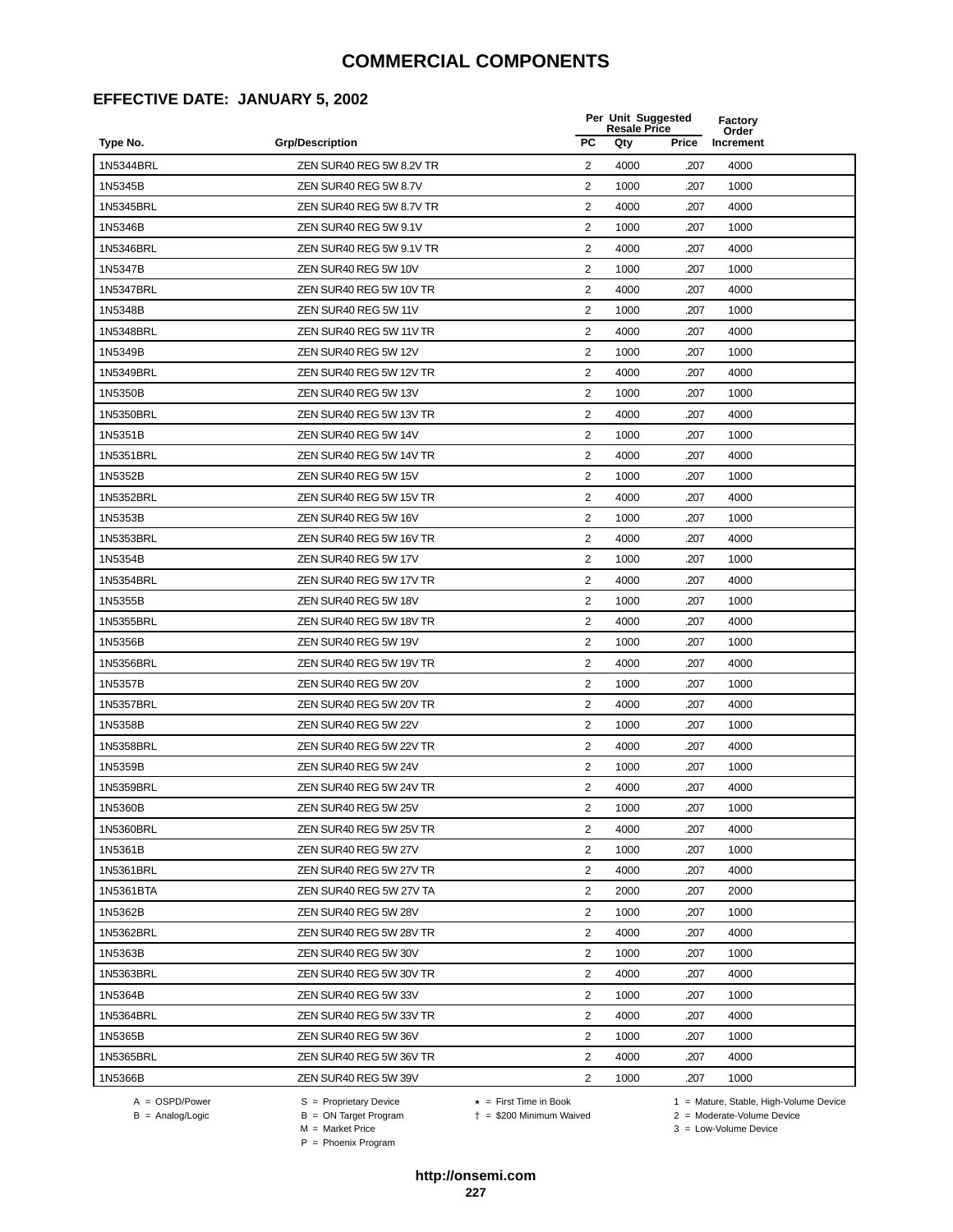#### **EFFECTIVE DATE: JANUARY 5, 2002**

|           |                          |                | Per Unit Suggested<br><b>Resale Price</b> |       | Factory<br>Order |
|-----------|--------------------------|----------------|-------------------------------------------|-------|------------------|
| Type No.  | <b>Grp/Description</b>   | <b>PC</b>      | Qty                                       | Price | Increment        |
| 1N5344BRL | ZEN SUR40 REG 5W 8.2V TR | $\overline{2}$ | 4000                                      | .207  | 4000             |
| 1N5345B   | ZEN SUR40 REG 5W 8.7V    | 2              | 1000                                      | .207  | 1000             |
| 1N5345BRL | ZEN SUR40 REG 5W 8.7V TR | $\overline{2}$ | 4000                                      | .207  | 4000             |
| 1N5346B   | ZEN SUR40 REG 5W 9.1V    | $\overline{2}$ | 1000                                      | .207  | 1000             |
| 1N5346BRL | ZEN SUR40 REG 5W 9.1V TR | $\overline{2}$ | 4000                                      | .207  | 4000             |
| 1N5347B   | ZEN SUR40 REG 5W 10V     | 2              | 1000                                      | .207  | 1000             |
| 1N5347BRL | ZEN SUR40 REG 5W 10V TR  | $\overline{2}$ | 4000                                      | .207  | 4000             |
| 1N5348B   | ZEN SUR40 REG 5W 11V     | 2              | 1000                                      | .207  | 1000             |
| 1N5348BRL | ZEN SUR40 REG 5W 11V TR  | 2              | 4000                                      | .207  | 4000             |
| 1N5349B   | ZEN SUR40 REG 5W 12V     | $\overline{2}$ | 1000                                      | .207  | 1000             |
| 1N5349BRL | ZEN SUR40 REG 5W 12V TR  | $\overline{2}$ | 4000                                      | .207  | 4000             |
| 1N5350B   | ZEN SUR40 REG 5W 13V     | $\overline{2}$ | 1000                                      | .207  | 1000             |
| 1N5350BRL | ZEN SUR40 REG 5W 13V TR  | 2              | 4000                                      | .207  | 4000             |
| 1N5351B   | ZEN SUR40 REG 5W 14V     | $\overline{2}$ | 1000                                      | .207  | 1000             |
| 1N5351BRL | ZEN SUR40 REG 5W 14V TR  | 2              | 4000                                      | .207  | 4000             |
| 1N5352B   | ZEN SUR40 REG 5W 15V     | 2              | 1000                                      | .207  | 1000             |
| 1N5352BRL | ZEN SUR40 REG 5W 15V TR  | 2              | 4000                                      | .207  | 4000             |
| 1N5353B   | ZEN SUR40 REG 5W 16V     | 2              | 1000                                      | .207  | 1000             |
| 1N5353BRL | ZEN SUR40 REG 5W 16V TR  | 2              | 4000                                      | .207  | 4000             |
| 1N5354B   | ZEN SUR40 REG 5W 17V     | 2              | 1000                                      | .207  | 1000             |
| 1N5354BRL | ZEN SUR40 REG 5W 17V TR  | 2              | 4000                                      | .207  | 4000             |
| 1N5355B   | ZEN SUR40 REG 5W 18V     | $\overline{2}$ | 1000                                      | .207  | 1000             |
| 1N5355BRL | ZEN SUR40 REG 5W 18V TR  | $\sqrt{2}$     | 4000                                      | .207  | 4000             |
| 1N5356B   | ZEN SUR40 REG 5W 19V     | 2              | 1000                                      | .207  | 1000             |
| 1N5356BRL | ZEN SUR40 REG 5W 19V TR  | $\overline{2}$ | 4000                                      | .207  | 4000             |
| 1N5357B   | ZEN SUR40 REG 5W 20V     | 2              | 1000                                      | .207  | 1000             |
| 1N5357BRL | ZEN SUR40 REG 5W 20V TR  | 2              | 4000                                      | .207  | 4000             |
| 1N5358B   | ZEN SUR40 REG 5W 22V     | $\overline{2}$ | 1000                                      | .207  | 1000             |
| 1N5358BRL | ZEN SUR40 REG 5W 22V TR  | $\overline{2}$ | 4000                                      | .207  | 4000             |
| 1N5359B   | ZEN SUR40 REG 5W 24V     | $\overline{2}$ | 1000                                      | .207  | 1000             |
| 1N5359BRL | ZEN SUR40 REG 5W 24V TR  | $\overline{2}$ | 4000                                      | .207  | 4000             |
| 1N5360B   | ZEN SUR40 REG 5W 25V     | $\overline{c}$ | 1000                                      | 207   | 1000             |
| 1N5360BRL | ZEN SUR40 REG 5W 25V TR  | 2              | 4000                                      | .207  | 4000             |
| 1N5361B   | ZEN SUR40 REG 5W 27V     | 2              | 1000                                      | .207  | 1000             |
| 1N5361BRL | ZEN SUR40 REG 5W 27V TR  | 2              | 4000                                      | .207  | 4000             |
| 1N5361BTA | ZEN SUR40 REG 5W 27V TA  | 2              | 2000                                      | .207  | 2000             |
| 1N5362B   | ZEN SUR40 REG 5W 28V     | $\overline{2}$ | 1000                                      | .207  | 1000             |
| 1N5362BRL | ZEN SUR40 REG 5W 28V TR  | 2              | 4000                                      | .207  | 4000             |
| 1N5363B   | ZEN SUR40 REG 5W 30V     | $\overline{2}$ | 1000                                      | .207  | 1000             |
| 1N5363BRL | ZEN SUR40 REG 5W 30V TR  | $\overline{2}$ | 4000                                      | .207  | 4000             |
| 1N5364B   | ZEN SUR40 REG 5W 33V     | $\overline{2}$ | 1000                                      | .207  | 1000             |
| 1N5364BRL | ZEN SUR40 REG 5W 33V TR  | 2              | 4000                                      | .207  | 4000             |
| 1N5365B   | ZEN SUR40 REG 5W 36V     | 2              | 1000                                      | .207  | 1000             |
| 1N5365BRL | ZEN SUR40 REG 5W 36V TR  | 2              | 4000                                      | .207  | 4000             |
| 1N5366B   | ZEN SUR40 REG 5W 39V     | $\overline{c}$ | 1000                                      | .207  | 1000             |
|           |                          |                |                                           |       |                  |

B = Analog/Logic<br>B = Analog/Logic<br>M = Market Price

= \$200 Minimum Waived 2 = Moderate-Volume Device

A = OSPD/Power S = Proprietary Device  $\star$  = First Time in Book 1 = Mature, Stable, High-Volume Device

 $3 =$  Low-Volume Device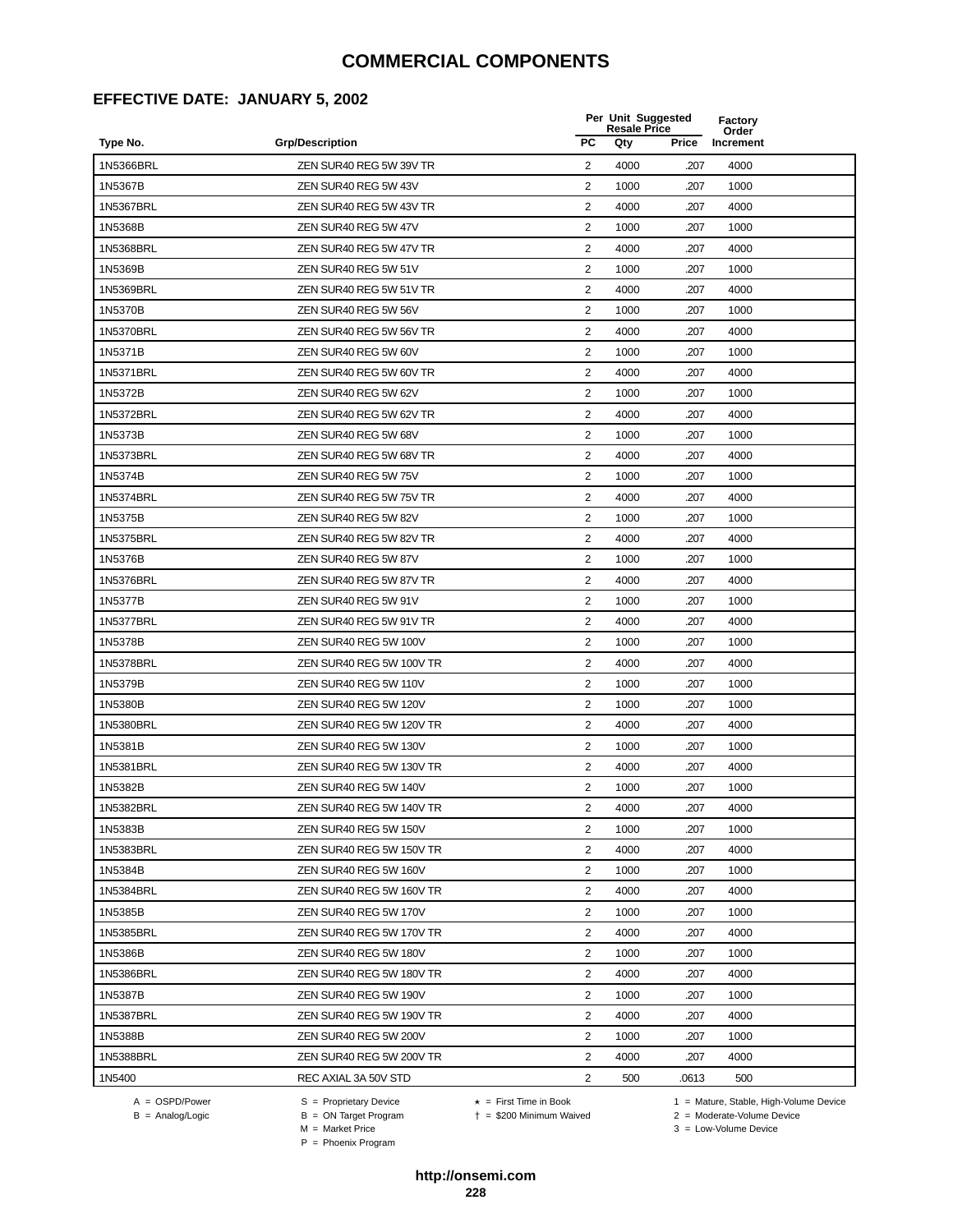#### **EFFECTIVE DATE: JANUARY 5, 2002**

|           |                          |                | Per Unit Suggested<br><b>Resale Price</b> |       | Factory<br>Order |  |
|-----------|--------------------------|----------------|-------------------------------------------|-------|------------------|--|
| Type No.  | <b>Grp/Description</b>   | PC             | Qty                                       | Price | Increment        |  |
| 1N5366BRL | ZEN SUR40 REG 5W 39V TR  | 2              | 4000                                      | .207  | 4000             |  |
| 1N5367B   | ZEN SUR40 REG 5W 43V     | $\overline{2}$ | 1000                                      | .207  | 1000             |  |
| 1N5367BRL | ZEN SUR40 REG 5W 43V TR  | 2              | 4000                                      | .207  | 4000             |  |
| 1N5368B   | ZEN SUR40 REG 5W 47V     | 2              | 1000                                      | .207  | 1000             |  |
| 1N5368BRL | ZEN SUR40 REG 5W 47V TR  | $\overline{2}$ | 4000                                      | .207  | 4000             |  |
| 1N5369B   | ZEN SUR40 REG 5W 51V     | $\overline{2}$ | 1000                                      | .207  | 1000             |  |
| 1N5369BRL | ZEN SUR40 REG 5W 51V TR  | $\overline{2}$ | 4000                                      | .207  | 4000             |  |
| 1N5370B   | ZEN SUR40 REG 5W 56V     | 2              | 1000                                      | .207  | 1000             |  |
| 1N5370BRL | ZEN SUR40 REG 5W 56V TR  | $\overline{2}$ | 4000                                      | .207  | 4000             |  |
| 1N5371B   | ZEN SUR40 REG 5W 60V     | 2              | 1000                                      | .207  | 1000             |  |
| 1N5371BRL | ZEN SUR40 REG 5W 60V TR  | 2              | 4000                                      | .207  | 4000             |  |
| 1N5372B   | ZEN SUR40 REG 5W 62V     | $\overline{2}$ | 1000                                      | .207  | 1000             |  |
| 1N5372BRL | ZEN SUR40 REG 5W 62V TR  | $\overline{2}$ | 4000                                      | .207  | 4000             |  |
| 1N5373B   | ZEN SUR40 REG 5W 68V     | $\overline{2}$ | 1000                                      | .207  | 1000             |  |
| 1N5373BRL | ZEN SUR40 REG 5W 68V TR  | 2              | 4000                                      | .207  | 4000             |  |
| 1N5374B   | ZEN SUR40 REG 5W 75V     | $\overline{2}$ | 1000                                      | .207  | 1000             |  |
| 1N5374BRL | ZEN SUR40 REG 5W 75V TR  | 2              | 4000                                      | .207  | 4000             |  |
| 1N5375B   | ZEN SUR40 REG 5W 82V     | $\overline{2}$ | 1000                                      | .207  | 1000             |  |
| 1N5375BRL | ZEN SUR40 REG 5W 82V TR  | 2              | 4000                                      | .207  | 4000             |  |
| 1N5376B   | ZEN SUR40 REG 5W 87V     | $\overline{2}$ | 1000                                      | .207  | 1000             |  |
| 1N5376BRL | ZEN SUR40 REG 5W 87V TR  | 2              | 4000                                      | .207  | 4000             |  |
| 1N5377B   | ZEN SUR40 REG 5W 91V     | 2              | 1000                                      | .207  | 1000             |  |
| 1N5377BRL | ZEN SUR40 REG 5W 91V TR  | $\overline{2}$ | 4000                                      | .207  | 4000             |  |
| 1N5378B   | ZEN SUR40 REG 5W 100V    | 2              | 1000                                      | .207  | 1000             |  |
| 1N5378BRL | ZEN SUR40 REG 5W 100V TR | $\overline{2}$ | 4000                                      | .207  | 4000             |  |
| 1N5379B   | ZEN SUR40 REG 5W 110V    | 2              | 1000                                      | .207  | 1000             |  |
| 1N5380B   | ZEN SUR40 REG 5W 120V    | $\overline{2}$ | 1000                                      | .207  | 1000             |  |
| 1N5380BRL | ZEN SUR40 REG 5W 120V TR | 2              | 4000                                      | .207  | 4000             |  |
| 1N5381B   | ZEN SUR40 REG 5W 130V    | $\overline{2}$ | 1000                                      | .207  | 1000             |  |
| 1N5381BRL | ZEN SUR40 REG 5W 130V TR | $\overline{2}$ | 4000                                      | .207  | 4000             |  |
| 1N5382B   | ZEN SUR40 REG 5W 140V    | 2              | 1000                                      | .207  | 1000             |  |
| 1N5382BRL | ZEN SUR40 REG 5W 140V TR | 2              | 4000                                      | .207  | 4000             |  |
| 1N5383B   | ZEN SUR40 REG 5W 150V    | $\overline{2}$ | 1000                                      | .207  | 1000             |  |
| 1N5383BRL | ZEN SUR40 REG 5W 150V TR | $\overline{2}$ | 4000                                      | .207  | 4000             |  |
| 1N5384B   | ZEN SUR40 REG 5W 160V    | 2              | 1000                                      | .207  | 1000             |  |
| 1N5384BRL | ZEN SUR40 REG 5W 160V TR | 2              | 4000                                      | .207  | 4000             |  |
| 1N5385B   | ZEN SUR40 REG 5W 170V    | 2              | 1000                                      | .207  | 1000             |  |
| 1N5385BRL | ZEN SUR40 REG 5W 170V TR | $\overline{2}$ | 4000                                      | .207  | 4000             |  |
| 1N5386B   | ZEN SUR40 REG 5W 180V    | 2              | 1000                                      | .207  | 1000             |  |
| 1N5386BRL | ZEN SUR40 REG 5W 180V TR | 2              | 4000                                      | .207  | 4000             |  |
| 1N5387B   | ZEN SUR40 REG 5W 190V    | 2              | 1000                                      | .207  | 1000             |  |
| 1N5387BRL | ZEN SUR40 REG 5W 190V TR | $\overline{2}$ | 4000                                      | .207  | 4000             |  |
| 1N5388B   | ZEN SUR40 REG 5W 200V    | $\overline{2}$ | 1000                                      | .207  | 1000             |  |
| 1N5388BRL | ZEN SUR40 REG 5W 200V TR | 2              | 4000                                      | .207  | 4000             |  |
| 1N5400    | REC AXIAL 3A 50V STD     | $\overline{2}$ | 500                                       | .0613 | 500              |  |

A = OSPD/Power S = Proprietary Device<br>
B = Analog/Logic B = ON Target Program<br>
M = Market Price

= \$200 Minimum Waived 2 = Moderate-Volume Device

A = OSPD/Power S = Proprietary Device  $\star$  = First Time in Book 1 = Mature, Stable, High-Volume Device

 $2 =$  Moderate-Volume Device<br> $3 =$  Low-Volume Device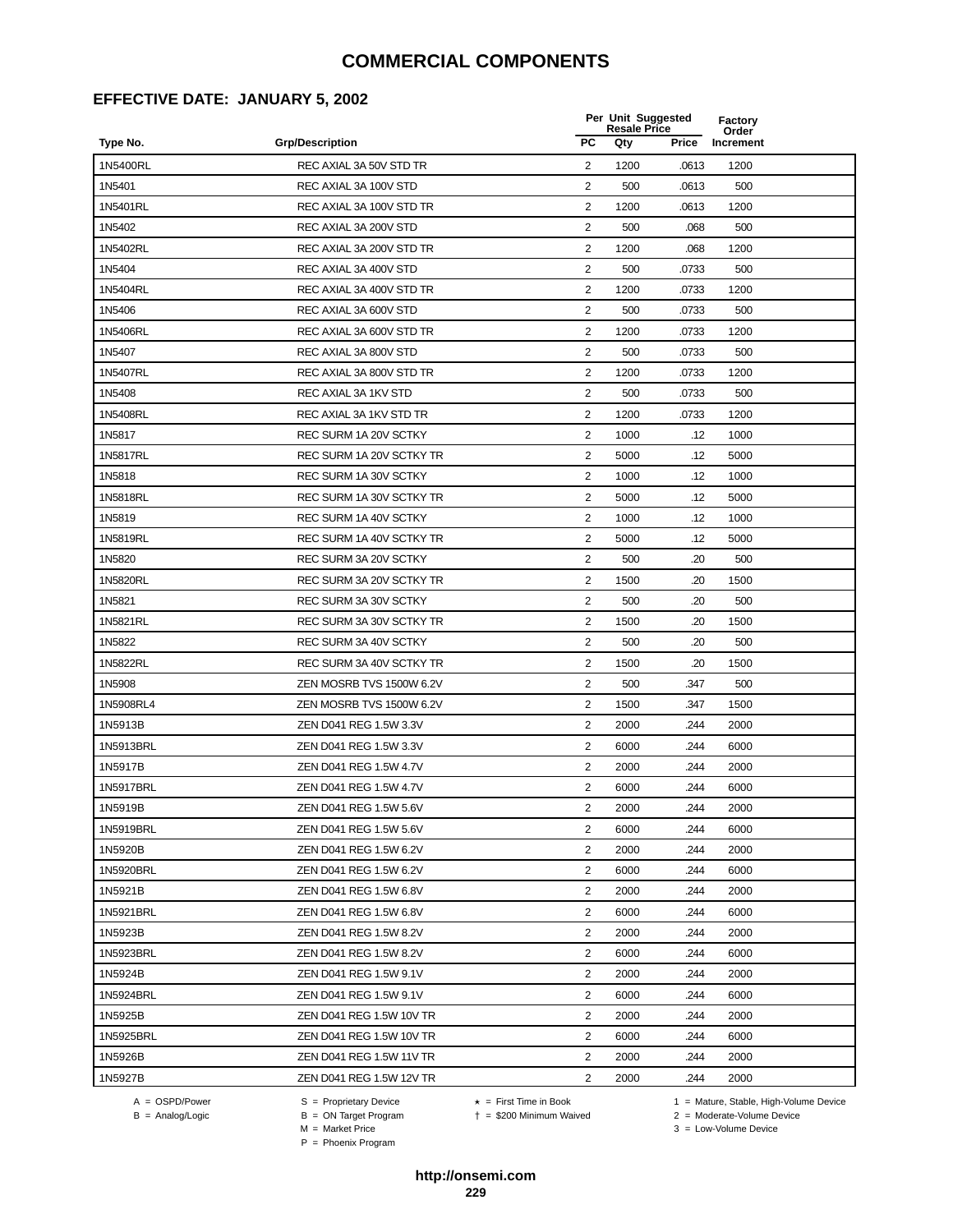#### **EFFECTIVE DATE: JANUARY 5, 2002**

|           |                          |                         | Per Unit Suggested<br><b>Resale Price</b> |       | Factory<br>Order |
|-----------|--------------------------|-------------------------|-------------------------------------------|-------|------------------|
| Type No.  | <b>Grp/Description</b>   | <b>PC</b>               | Qty                                       | Price | Increment        |
| 1N5400RL  | REC AXIAL 3A 50V STD TR  | $\overline{2}$          | 1200                                      | .0613 | 1200             |
| 1N5401    | REC AXIAL 3A 100V STD    | 2                       | 500                                       | .0613 | 500              |
| 1N5401RL  | REC AXIAL 3A 100V STD TR | 2                       | 1200                                      | .0613 | 1200             |
| 1N5402    | REC AXIAL 3A 200V STD    | $\overline{2}$          | 500                                       | .068  | 500              |
| 1N5402RL  | REC AXIAL 3A 200V STD TR | $\overline{\mathbf{c}}$ | 1200                                      | .068  | 1200             |
| 1N5404    | REC AXIAL 3A 400V STD    | $\overline{2}$          | 500                                       | .0733 | 500              |
| 1N5404RL  | REC AXIAL 3A 400V STD TR | $\overline{2}$          | 1200                                      | .0733 | 1200             |
| 1N5406    | REC AXIAL 3A 600V STD    | $\overline{2}$          | 500                                       | .0733 | 500              |
| 1N5406RL  | REC AXIAL 3A 600V STD TR | 2                       | 1200                                      | .0733 | 1200             |
| 1N5407    | REC AXIAL 3A 800V STD    | 2                       | 500                                       | .0733 | 500              |
| 1N5407RL  | REC AXIAL 3A 800V STD TR | 2                       | 1200                                      | .0733 | 1200             |
| 1N5408    | REC AXIAL 3A 1KV STD     | 2                       | 500                                       | .0733 | 500              |
| 1N5408RL  | REC AXIAL 3A 1KV STD TR  | $\overline{2}$          | 1200                                      | .0733 | 1200             |
| 1N5817    | REC SURM 1A 20V SCTKY    | $\overline{c}$          | 1000                                      | .12   | 1000             |
| 1N5817RL  | REC SURM 1A 20V SCTKY TR | $\overline{2}$          | 5000                                      | .12   | 5000             |
| 1N5818    | REC SURM 1A 30V SCTKY    | $\overline{2}$          | 1000                                      | .12   | 1000             |
| 1N5818RL  | REC SURM 1A 30V SCTKY TR | $\overline{2}$          | 5000                                      | .12   | 5000             |
| 1N5819    | REC SURM 1A 40V SCTKY    | $\overline{c}$          | 1000                                      | .12   | 1000             |
| 1N5819RL  | REC SURM 1A 40V SCTKY TR | 2                       | 5000                                      | .12   | 5000             |
| 1N5820    | REC SURM 3A 20V SCTKY    | 2                       | 500                                       | .20   | 500              |
| 1N5820RL  | REC SURM 3A 20V SCTKY TR | 2                       | 1500                                      | .20   | 1500             |
| 1N5821    | REC SURM 3A 30V SCTKY    | $\overline{c}$          | 500                                       | .20   | 500              |
| 1N5821RL  | REC SURM 3A 30V SCTKY TR | 2                       | 1500                                      | .20   | 1500             |
| 1N5822    | REC SURM 3A 40V SCTKY    | $\overline{2}$          | 500                                       | .20   | 500              |
| 1N5822RL  | REC SURM 3A 40V SCTKY TR | $\overline{2}$          | 1500                                      | .20   | 1500             |
| 1N5908    | ZEN MOSRB TVS 1500W 6.2V | $\overline{2}$          | 500                                       | .347  | 500              |
| 1N5908RL4 | ZEN MOSRB TVS 1500W 6.2V | $\overline{c}$          | 1500                                      | .347  | 1500             |
| 1N5913B   | ZEN D041 REG 1.5W 3.3V   | 2                       | 2000                                      | .244  | 2000             |
| 1N5913BRL | ZEN D041 REG 1.5W 3.3V   | 2                       | 6000                                      | .244  | 6000             |
| 1N5917B   | ZEN D041 REG 1.5W 4.7V   | 2                       | 2000                                      | .244  | 2000             |
| 1N5917BRL | ZEN D041 REG 1.5W 4.7V   | 2                       | 6000                                      | .244  | 6000             |
| 1N5919B   | ZEN D041 REG 1.5W 5.6V   | 2                       | 2000                                      | .244  | 2000             |
| 1N5919BRL | ZEN D041 REG 1.5W 5.6V   | 2                       | 6000                                      | .244  | 6000             |
| 1N5920B   | ZEN D041 REG 1.5W 6.2V   | 2                       | 2000                                      | .244  | 2000             |
| 1N5920BRL | ZEN D041 REG 1.5W 6.2V   | 2                       | 6000                                      | .244  | 6000             |
| 1N5921B   | ZEN D041 REG 1.5W 6.8V   | 2                       | 2000                                      | .244  | 2000             |
| 1N5921BRL | ZEN D041 REG 1.5W 6.8V   | 2                       | 6000                                      | .244  | 6000             |
| 1N5923B   | ZEN D041 REG 1.5W 8.2V   | 2                       | 2000                                      | .244  | 2000             |
| 1N5923BRL | ZEN D041 REG 1.5W 8.2V   | 2                       | 6000                                      | .244  | 6000             |
| 1N5924B   | ZEN D041 REG 1.5W 9.1V   | 2                       | 2000                                      | .244  | 2000             |
| 1N5924BRL | ZEN D041 REG 1.5W 9.1V   | $\overline{c}$          | 6000                                      | .244  | 6000             |
| 1N5925B   | ZEN D041 REG 1.5W 10V TR | 2                       | 2000                                      | .244  | 2000             |
| 1N5925BRL | ZEN D041 REG 1.5W 10V TR | $\overline{2}$          | 6000                                      | .244  | 6000             |
| 1N5926B   | ZEN D041 REG 1.5W 11V TR | $\overline{2}$          | 2000                                      | .244  | 2000             |
| 1N5927B   | ZEN D041 REG 1.5W 12V TR | 2                       | 2000                                      | .244  | 2000             |
|           |                          |                         |                                           |       |                  |

B = Analog/Logic<br>B = Analog/Logic<br>M = Market Price

= \$200 Minimum Waived 2 = Moderate-Volume Device

A = OSPD/Power S = Proprietary Device  $\star$  = First Time in Book 1 = Mature, Stable, High-Volume Device

P = Phoenix Program

 $3 =$  Low-Volume Device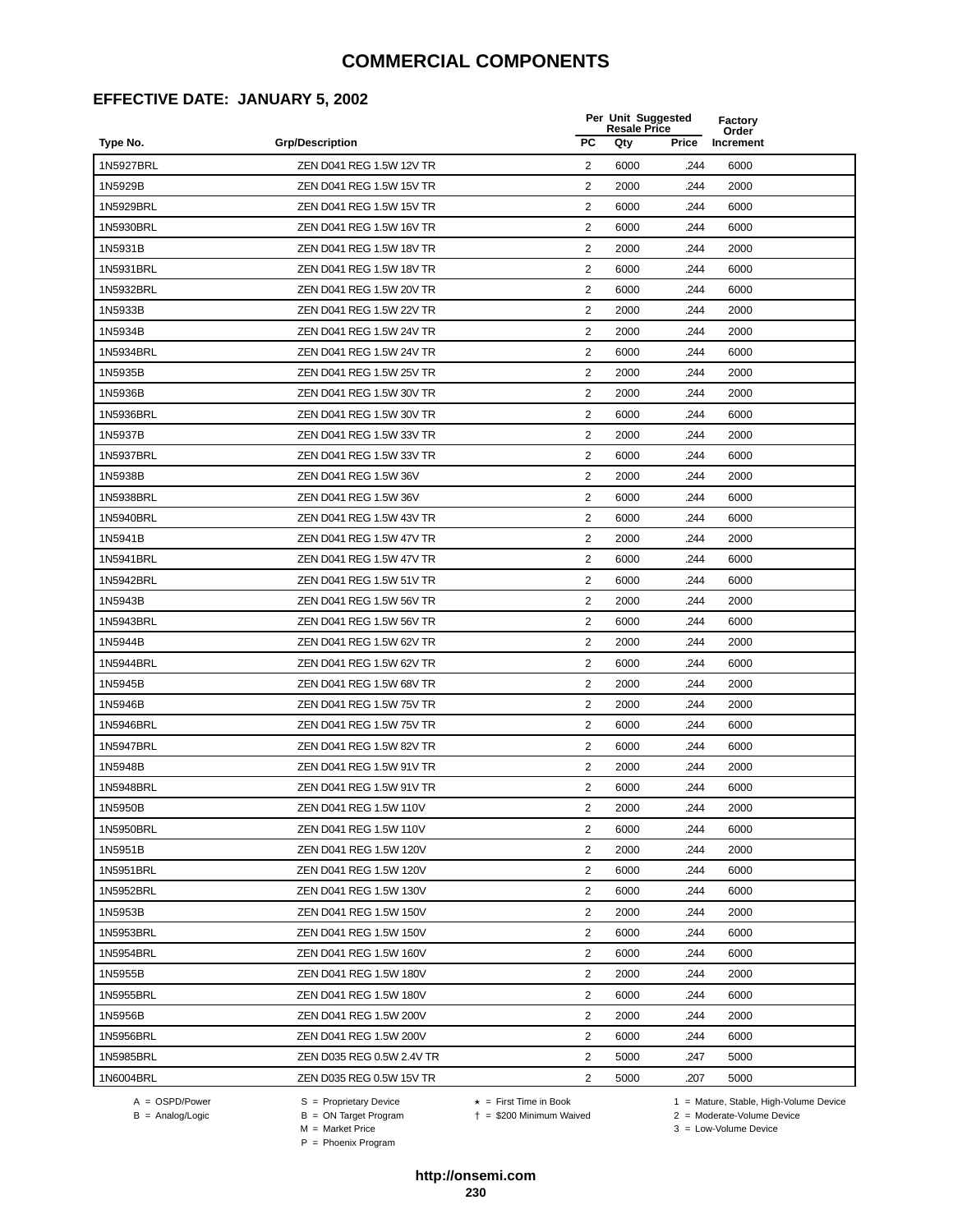#### **EFFECTIVE DATE: JANUARY 5, 2002**

|           |                           |                | Per Unit Suggested<br><b>Resale Price</b> |       | Factory<br>Order |
|-----------|---------------------------|----------------|-------------------------------------------|-------|------------------|
| Type No.  | <b>Grp/Description</b>    | PC             | Qty                                       | Price | Increment        |
| 1N5927BRL | ZEN D041 REG 1.5W 12V TR  | 2              | 6000                                      | .244  | 6000             |
| 1N5929B   | ZEN D041 REG 1.5W 15V TR  | $\overline{2}$ | 2000                                      | .244  | 2000             |
| 1N5929BRL | ZEN D041 REG 1.5W 15V TR  | $\overline{2}$ | 6000                                      | .244  | 6000             |
| 1N5930BRL | ZEN D041 REG 1.5W 16V TR  | $\overline{2}$ | 6000                                      | .244  | 6000             |
| 1N5931B   | ZEN D041 REG 1.5W 18V TR  | $\overline{2}$ | 2000                                      | .244  | 2000             |
| 1N5931BRL | ZEN D041 REG 1.5W 18V TR  | $\overline{2}$ | 6000                                      | .244  | 6000             |
| 1N5932BRL | ZEN D041 REG 1.5W 20V TR  | $\overline{2}$ | 6000                                      | .244  | 6000             |
| 1N5933B   | ZEN D041 REG 1.5W 22V TR  | 2              | 2000                                      | .244  | 2000             |
| 1N5934B   | ZEN D041 REG 1.5W 24V TR  | $\overline{2}$ | 2000                                      | .244  | 2000             |
| 1N5934BRL | ZEN D041 REG 1.5W 24V TR  | 2              | 6000                                      | .244  | 6000             |
| 1N5935B   | ZEN D041 REG 1.5W 25V TR  | $\overline{2}$ | 2000                                      | .244  | 2000             |
| 1N5936B   | ZEN D041 REG 1.5W 30V TR  | $\overline{2}$ | 2000                                      | .244  | 2000             |
| 1N5936BRL | ZEN D041 REG 1.5W 30V TR  | $\overline{2}$ | 6000                                      | .244  | 6000             |
| 1N5937B   | ZEN D041 REG 1.5W 33V TR  | $\overline{2}$ | 2000                                      | .244  | 2000             |
| 1N5937BRL | ZEN D041 REG 1.5W 33V TR  | 2              | 6000                                      | .244  | 6000             |
| 1N5938B   | ZEN D041 REG 1.5W 36V     | $\overline{2}$ | 2000                                      | .244  | 2000             |
| 1N5938BRL | ZEN D041 REG 1.5W 36V     | 2              | 6000                                      | .244  | 6000             |
| 1N5940BRL | ZEN D041 REG 1.5W 43V TR  | $\overline{2}$ | 6000                                      | .244  | 6000             |
| 1N5941B   | ZEN D041 REG 1.5W 47V TR  | 2              | 2000                                      | .244  | 2000             |
| 1N5941BRL | ZEN D041 REG 1.5W 47V TR  | $\overline{2}$ | 6000                                      | .244  | 6000             |
| 1N5942BRL | ZEN D041 REG 1.5W 51V TR  | $\overline{2}$ | 6000                                      | .244  | 6000             |
| 1N5943B   | ZEN D041 REG 1.5W 56V TR  | $\overline{2}$ | 2000                                      | .244  | 2000             |
| 1N5943BRL | ZEN D041 REG 1.5W 56V TR  | $\overline{2}$ | 6000                                      | .244  | 6000             |
| 1N5944B   | ZEN D041 REG 1.5W 62V TR  | 2              | 2000                                      | .244  | 2000             |
| 1N5944BRL | ZEN D041 REG 1.5W 62V TR  | $\overline{2}$ | 6000                                      | .244  | 6000             |
| 1N5945B   | ZEN D041 REG 1.5W 68V TR  | 2              | 2000                                      | .244  | 2000             |
| 1N5946B   | ZEN D041 REG 1.5W 75V TR  | $\overline{2}$ | 2000                                      | .244  | 2000             |
| 1N5946BRL | ZEN D041 REG 1.5W 75V TR  | 2              | 6000                                      | .244  | 6000             |
| 1N5947BRL | ZEN D041 REG 1.5W 82V TR  | $\overline{2}$ | 6000                                      | .244  | 6000             |
| 1N5948B   | ZEN D041 REG 1.5W 91V TR  | $\overline{2}$ | 2000                                      | .244  | 2000             |
| 1N5948BRL | ZEN D041 REG 1.5W 91V TR  | 2              | 6000                                      | .244  | 6000             |
| 1N5950B   | ZEN D041 REG 1.5W 110V    | 2              | 2000                                      | .244  | 2000             |
| 1N5950BRL | ZEN D041 REG 1.5W 110V    | 2              | 6000                                      | .244  | 6000             |
| 1N5951B   | ZEN D041 REG 1.5W 120V    | $\overline{2}$ | 2000                                      | .244  | 2000             |
| 1N5951BRL | ZEN D041 REG 1.5W 120V    | 2              | 6000                                      | .244  | 6000             |
| 1N5952BRL | ZEN D041 REG 1.5W 130V    | 2              | 6000                                      | .244  | 6000             |
| 1N5953B   | ZEN D041 REG 1.5W 150V    | $\overline{2}$ | 2000                                      | .244  | 2000             |
| 1N5953BRL | ZEN D041 REG 1.5W 150V    | 2              | 6000                                      | .244  | 6000             |
| 1N5954BRL | ZEN D041 REG 1.5W 160V    | 2              | 6000                                      | .244  | 6000             |
| 1N5955B   | ZEN D041 REG 1.5W 180V    | 2              | 2000                                      | .244  | 2000             |
| 1N5955BRL | ZEN D041 REG 1.5W 180V    | 2              | 6000                                      | .244  | 6000             |
| 1N5956B   | ZEN D041 REG 1.5W 200V    | 2              | 2000                                      | .244  | 2000             |
| 1N5956BRL | ZEN D041 REG 1.5W 200V    | $\overline{2}$ | 6000                                      | .244  | 6000             |
| 1N5985BRL | ZEN D035 REG 0.5W 2.4V TR | $\overline{2}$ | 5000                                      | .247  | 5000             |
| 1N6004BRL | ZEN D035 REG 0.5W 15V TR  | $\overline{2}$ | 5000                                      | .207  | 5000             |

A = OSPD/Power S = Proprietary Device<br>
B = Analog/Logic B = ON Target Program<br>
M = Market Price

= \$200 Minimum Waived 2 = Moderate-Volume Device

A = OSPD/Power S = Proprietary Device  $\star$  = First Time in Book 1 = Mature, Stable, High-Volume Device

 $2 =$  Moderate-Volume Device<br> $3 =$  Low-Volume Device

P = Phoenix Program

**http://onsemi.com**

**230**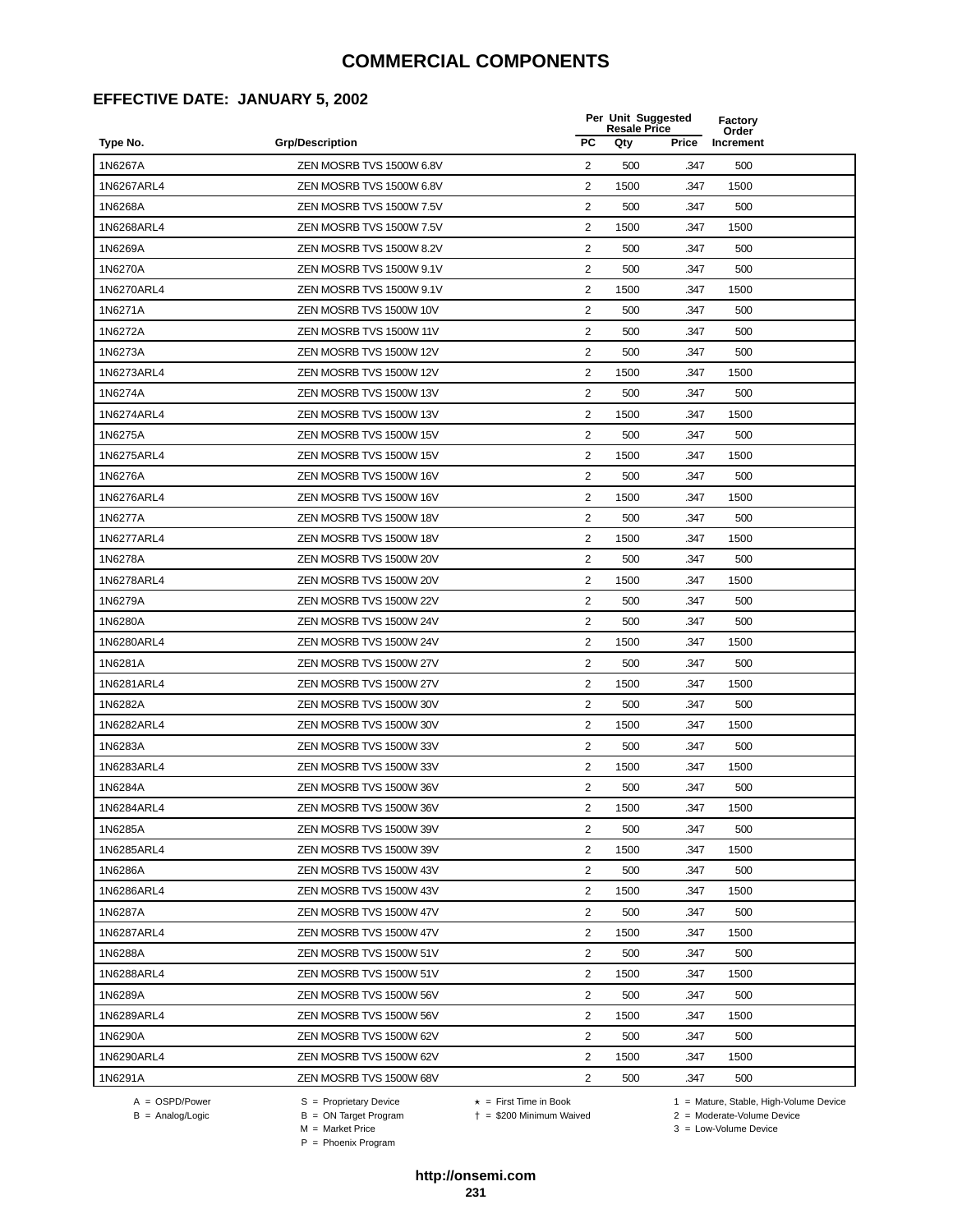#### **EFFECTIVE DATE: JANUARY 5, 2002**

|            |                          |                | Per Unit Suggested<br><b>Resale Price</b> |       | <b>Factory</b><br>Order |  |
|------------|--------------------------|----------------|-------------------------------------------|-------|-------------------------|--|
| Type No.   | <b>Grp/Description</b>   | <b>PC</b>      | Qty                                       | Price | Increment               |  |
| 1N6267A    | ZEN MOSRB TVS 1500W 6.8V | 2              | 500                                       | .347  | 500                     |  |
| 1N6267ARL4 | ZEN MOSRB TVS 1500W 6.8V | 2              | 1500                                      | .347  | 1500                    |  |
| 1N6268A    | ZEN MOSRB TVS 1500W 7.5V | $\overline{2}$ | 500                                       | .347  | 500                     |  |
| 1N6268ARL4 | ZEN MOSRB TVS 1500W 7.5V | $\overline{2}$ | 1500                                      | .347  | 1500                    |  |
| 1N6269A    | ZEN MOSRB TVS 1500W 8.2V | $\overline{2}$ | 500                                       | .347  | 500                     |  |
| 1N6270A    | ZEN MOSRB TVS 1500W 9.1V | 2              | 500                                       | .347  | 500                     |  |
| 1N6270ARL4 | ZEN MOSRB TVS 1500W 9.1V | $\overline{2}$ | 1500                                      | .347  | 1500                    |  |
| 1N6271A    | ZEN MOSRB TVS 1500W 10V  | 2              | 500                                       | .347  | 500                     |  |
| 1N6272A    | ZEN MOSRB TVS 1500W 11V  | 2              | 500                                       | .347  | 500                     |  |
| 1N6273A    | ZEN MOSRB TVS 1500W 12V  | 2              | 500                                       | .347  | 500                     |  |
| 1N6273ARL4 | ZEN MOSRB TVS 1500W 12V  | $\overline{2}$ | 1500                                      | .347  | 1500                    |  |
| 1N6274A    | ZEN MOSRB TVS 1500W 13V  | $\overline{2}$ | 500                                       | .347  | 500                     |  |
| 1N6274ARL4 | ZEN MOSRB TVS 1500W 13V  | 2              | 1500                                      | .347  | 1500                    |  |
| 1N6275A    | ZEN MOSRB TVS 1500W 15V  | $\sqrt{2}$     | 500                                       | .347  | 500                     |  |
| 1N6275ARL4 | ZEN MOSRB TVS 1500W 15V  | 2              | 1500                                      | .347  | 1500                    |  |
| 1N6276A    | ZEN MOSRB TVS 1500W 16V  | $\overline{2}$ | 500                                       | .347  | 500                     |  |
| 1N6276ARL4 | ZEN MOSRB TVS 1500W 16V  | 2              | 1500                                      | .347  | 1500                    |  |
| 1N6277A    | ZEN MOSRB TVS 1500W 18V  | $\overline{2}$ | 500                                       | .347  | 500                     |  |
| 1N6277ARL4 | ZEN MOSRB TVS 1500W 18V  | $\overline{2}$ | 1500                                      | .347  | 1500                    |  |
| 1N6278A    | ZEN MOSRB TVS 1500W 20V  | $\overline{2}$ | 500                                       | .347  | 500                     |  |
| 1N6278ARL4 | ZEN MOSRB TVS 1500W 20V  | $\overline{2}$ | 1500                                      | .347  | 1500                    |  |
| 1N6279A    | ZEN MOSRB TVS 1500W 22V  | 2              | 500                                       | .347  | 500                     |  |
| 1N6280A    | ZEN MOSRB TVS 1500W 24V  | $\sqrt{2}$     | 500                                       | .347  | 500                     |  |
| 1N6280ARL4 | ZEN MOSRB TVS 1500W 24V  | 2              | 1500                                      | .347  | 1500                    |  |
| 1N6281A    | ZEN MOSRB TVS 1500W 27V  | $\overline{2}$ | 500                                       | .347  | 500                     |  |
| 1N6281ARL4 | ZEN MOSRB TVS 1500W 27V  | 2              | 1500                                      | .347  | 1500                    |  |
| 1N6282A    | ZEN MOSRB TVS 1500W 30V  | $\overline{2}$ | 500                                       | .347  | 500                     |  |
| 1N6282ARL4 | ZEN MOSRB TVS 1500W 30V  | $\overline{2}$ | 1500                                      | .347  | 1500                    |  |
| 1N6283A    | ZEN MOSRB TVS 1500W 33V  | $\overline{2}$ | 500                                       | .347  | 500                     |  |
| 1N6283ARL4 | ZEN MOSRB TVS 1500W 33V  | $\overline{2}$ | 1500                                      | .347  | 1500                    |  |
| 1N6284A    | ZEN MOSRB TVS 1500W 36V  | 2              | 500                                       | .347  | 500                     |  |
| 1N6284ARL4 | ZEN MOSRB TVS 1500W 36V  | 2              | 1500                                      | .347  | 1500                    |  |
| 1N6285A    | ZEN MOSRB TVS 1500W 39V  | 2              | 500                                       | .347  | 500                     |  |
| 1N6285ARL4 | ZEN MOSRB TVS 1500W 39V  | 2              | 1500                                      | .347  | 1500                    |  |
| 1N6286A    | ZEN MOSRB TVS 1500W 43V  | 2              | 500                                       | .347  | 500                     |  |
| 1N6286ARL4 | ZEN MOSRB TVS 1500W 43V  | $\overline{2}$ | 1500                                      | .347  | 1500                    |  |
| 1N6287A    | ZEN MOSRB TVS 1500W 47V  | 2              | 500                                       | .347  | 500                     |  |
| 1N6287ARL4 | ZEN MOSRB TVS 1500W 47V  | 2              | 1500                                      | .347  | 1500                    |  |
| 1N6288A    | ZEN MOSRB TVS 1500W 51V  | $\overline{2}$ | 500                                       | .347  | 500                     |  |
| 1N6288ARL4 | ZEN MOSRB TVS 1500W 51V  | $\overline{2}$ | 1500                                      | .347  | 1500                    |  |
| 1N6289A    | ZEN MOSRB TVS 1500W 56V  | 2              | 500                                       | .347  | 500                     |  |
| 1N6289ARL4 | ZEN MOSRB TVS 1500W 56V  | 2              | 1500                                      | .347  | 1500                    |  |
| 1N6290A    | ZEN MOSRB TVS 1500W 62V  | 2              | 500                                       | .347  | 500                     |  |
| 1N6290ARL4 | ZEN MOSRB TVS 1500W 62V  | 2              | 1500                                      | .347  | 1500                    |  |
| 1N6291A    | ZEN MOSRB TVS 1500W 68V  | $\overline{2}$ | 500                                       | .347  | 500                     |  |
|            |                          |                |                                           |       |                         |  |

B = Analog/Logic<br>B = Analog/Logic<br>M = Market Price

= \$200 Minimum Waived 2 = Moderate-Volume Device

A = OSPD/Power S = Proprietary Device  $\star$  = First Time in Book 1 = Mature, Stable, High-Volume Device

P = Phoenix Program

 $3 =$  Low-Volume Device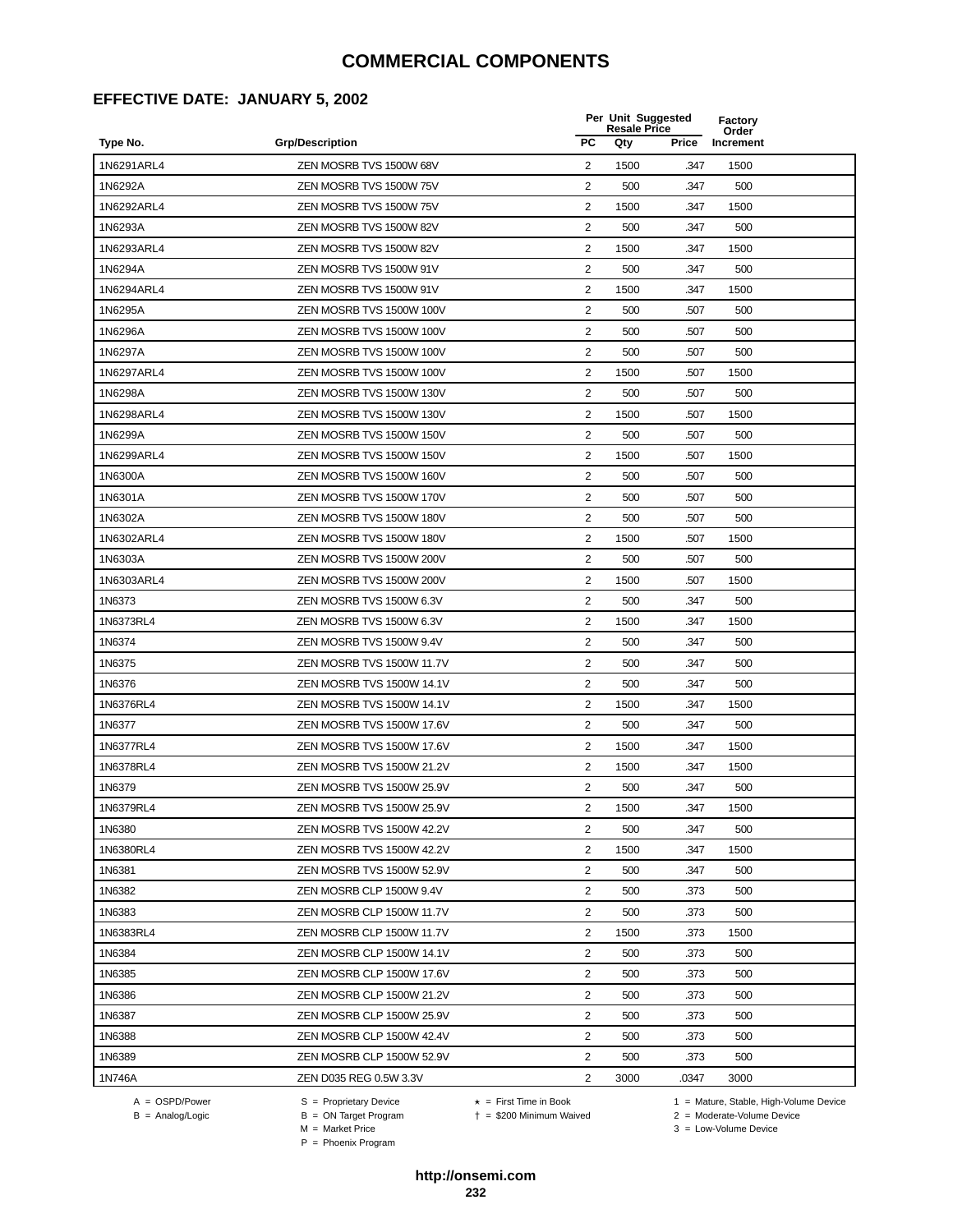#### **EFFECTIVE DATE: JANUARY 5, 2002**

|            |                           |                | Per Unit Suggested<br>Factory<br><b>Resale Price</b><br>Order |       |           |  |
|------------|---------------------------|----------------|---------------------------------------------------------------|-------|-----------|--|
| Type No.   | <b>Grp/Description</b>    | PC             | Qty                                                           | Price | Increment |  |
| 1N6291ARL4 | ZEN MOSRB TVS 1500W 68V   | 2              | 1500                                                          | .347  | 1500      |  |
| 1N6292A    | ZEN MOSRB TVS 1500W 75V   | 2              | 500                                                           | .347  | 500       |  |
| 1N6292ARL4 | ZEN MOSRB TVS 1500W 75V   | 2              | 1500                                                          | .347  | 1500      |  |
| 1N6293A    | ZEN MOSRB TVS 1500W 82V   | 2              | 500                                                           | .347  | 500       |  |
| 1N6293ARL4 | ZEN MOSRB TVS 1500W 82V   | 2              | 1500                                                          | .347  | 1500      |  |
| 1N6294A    | ZEN MOSRB TVS 1500W 91V   | 2              | 500                                                           | .347  | 500       |  |
| 1N6294ARL4 | ZEN MOSRB TVS 1500W 91V   | $\overline{2}$ | 1500                                                          | .347  | 1500      |  |
| 1N6295A    | ZEN MOSRB TVS 1500W 100V  | 2              | 500                                                           | .507  | 500       |  |
| 1N6296A    | ZEN MOSRB TVS 1500W 100V  | $\overline{c}$ | 500                                                           | .507  | 500       |  |
| 1N6297A    | ZEN MOSRB TVS 1500W 100V  | 2              | 500                                                           | .507  | 500       |  |
| 1N6297ARL4 | ZEN MOSRB TVS 1500W 100V  | 2              | 1500                                                          | .507  | 1500      |  |
| 1N6298A    | ZEN MOSRB TVS 1500W 130V  | 2              | 500                                                           | .507  | 500       |  |
| 1N6298ARL4 | ZEN MOSRB TVS 1500W 130V  | $\overline{2}$ | 1500                                                          | .507  | 1500      |  |
| 1N6299A    | ZEN MOSRB TVS 1500W 150V  | $\overline{2}$ | 500                                                           | .507  | 500       |  |
| 1N6299ARL4 | ZEN MOSRB TVS 1500W 150V  | 2              | 1500                                                          | .507  | 1500      |  |
| 1N6300A    | ZEN MOSRB TVS 1500W 160V  | $\overline{2}$ | 500                                                           | .507  | 500       |  |
| 1N6301A    | ZEN MOSRB TVS 1500W 170V  | $\overline{2}$ | 500                                                           | .507  | 500       |  |
| 1N6302A    | ZEN MOSRB TVS 1500W 180V  | $\overline{c}$ | 500                                                           | .507  | 500       |  |
| 1N6302ARL4 | ZEN MOSRB TVS 1500W 180V  | 2              | 1500                                                          | .507  | 1500      |  |
| 1N6303A    | ZEN MOSRB TVS 1500W 200V  | 2              | 500                                                           | .507  | 500       |  |
| 1N6303ARL4 | ZEN MOSRB TVS 1500W 200V  | 2              | 1500                                                          | .507  | 1500      |  |
| 1N6373     | ZEN MOSRB TVS 1500W 6.3V  | $\overline{2}$ | 500                                                           | .347  | 500       |  |
| 1N6373RL4  | ZEN MOSRB TVS 1500W 6.3V  | $\overline{2}$ | 1500                                                          | .347  | 1500      |  |
| 1N6374     | ZEN MOSRB TVS 1500W 9.4V  | 2              | 500                                                           | .347  | 500       |  |
| 1N6375     | ZEN MOSRB TVS 1500W 11.7V | 2              | 500                                                           | .347  | 500       |  |
| 1N6376     | ZEN MOSRB TVS 1500W 14.1V | 2              | 500                                                           | .347  | 500       |  |
| 1N6376RL4  | ZEN MOSRB TVS 1500W 14.1V | $\overline{c}$ | 1500                                                          | .347  | 1500      |  |
| 1N6377     | ZEN MOSRB TVS 1500W 17.6V | 2              | 500                                                           | .347  | 500       |  |
| 1N6377RL4  | ZEN MOSRB TVS 1500W 17.6V | 2              | 1500                                                          | .347  | 1500      |  |
| 1N6378RL4  | ZEN MOSRB TVS 1500W 21.2V | 2              | 1500                                                          | .347  | 1500      |  |
| 1N6379     | ZEN MOSRB TVS 1500W 25.9V | 2              | 500                                                           | .347  | 500       |  |
| 1N6379RL4  | ZEN MOSRB TVS 1500W 25.9V | 2              | 1500                                                          | .347  | 1500      |  |
| 1N6380     | ZEN MOSRB TVS 1500W 42.2V | 2              | 500                                                           | .347  | 500       |  |
| 1N6380RL4  | ZEN MOSRB TVS 1500W 42.2V | $\mathbf{2}$   | 1500                                                          | .347  | 1500      |  |
| 1N6381     | ZEN MOSRB TVS 1500W 52.9V | 2              | 500                                                           | .347  | 500       |  |
| 1N6382     | ZEN MOSRB CLP 1500W 9.4V  | $\overline{2}$ | 500                                                           | .373  | 500       |  |
| 1N6383     | ZEN MOSRB CLP 1500W 11.7V | $\overline{2}$ | 500                                                           | .373  | 500       |  |
| 1N6383RL4  | ZEN MOSRB CLP 1500W 11.7V | $\overline{2}$ | 1500                                                          | .373  | 1500      |  |
| 1N6384     | ZEN MOSRB CLP 1500W 14.1V | 2              | 500                                                           | .373  | 500       |  |
| 1N6385     | ZEN MOSRB CLP 1500W 17.6V | $\overline{2}$ | 500                                                           | .373  | 500       |  |
| 1N6386     | ZEN MOSRB CLP 1500W 21.2V | 2              | 500                                                           | .373  | 500       |  |
| 1N6387     | ZEN MOSRB CLP 1500W 25.9V | 2              | 500                                                           | .373  | 500       |  |
| 1N6388     | ZEN MOSRB CLP 1500W 42.4V | 2              | 500                                                           | .373  | 500       |  |
| 1N6389     | ZEN MOSRB CLP 1500W 52.9V | 2              | 500                                                           | .373  | 500       |  |
| 1N746A     | ZEN D035 REG 0.5W 3.3V    | 2              | 3000                                                          | .0347 | 3000      |  |
|            |                           |                |                                                               |       |           |  |

A = OSPD/Power S = Proprietary Device<br>
B = Analog/Logic B = ON Target Program<br>
M = Market Price

A = OSPD/Power S = Proprietary Device  $\star$  = First Time in Book 1 = Mature, Stable, High-Volume Device

 = \$200 Minimum Waived 2 = Moderate-Volume Device  $2 =$  Moderate-Volume Device<br> $3 =$  Low-Volume Device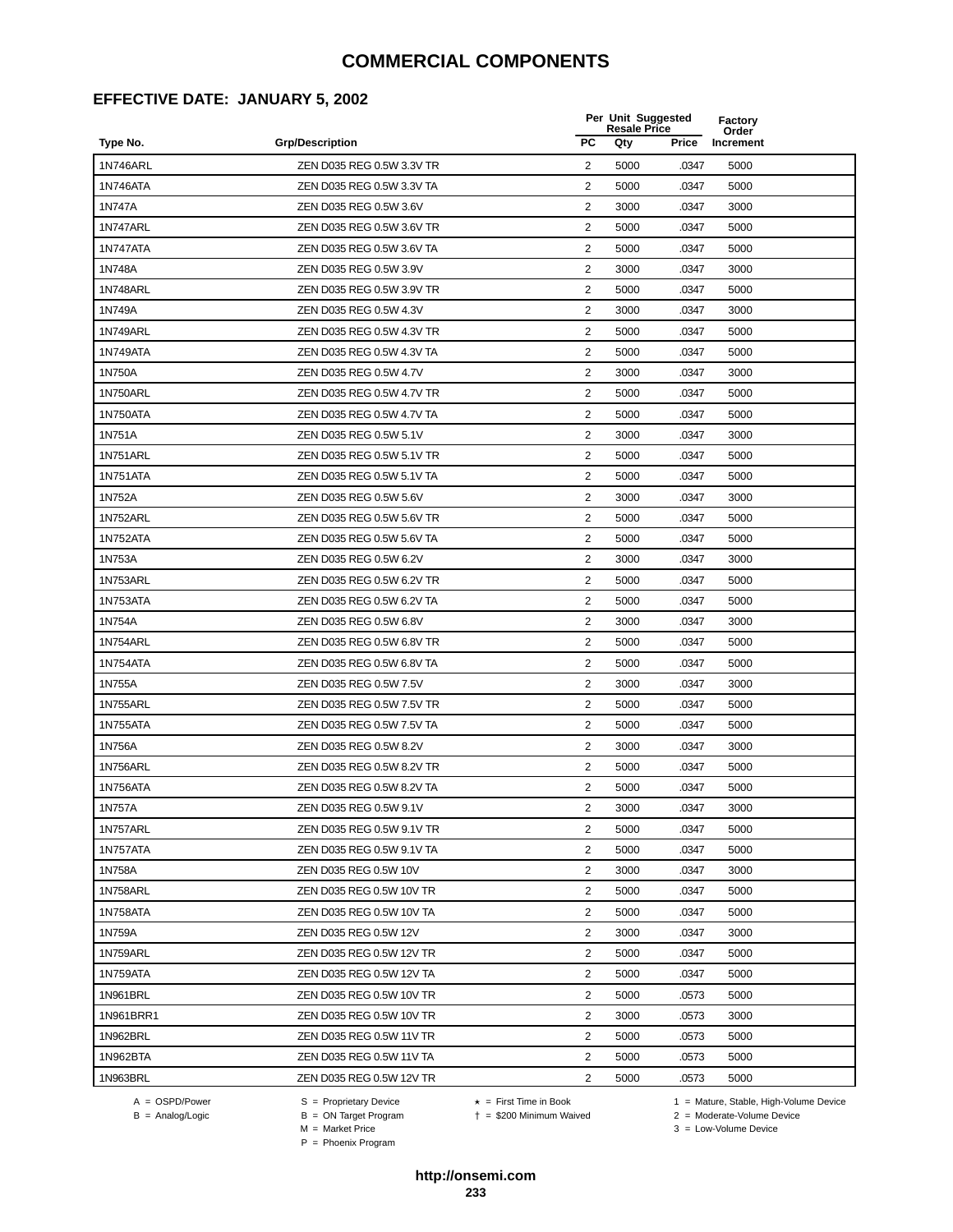#### **EFFECTIVE DATE: JANUARY 5, 2002**

|                 |                           |                | Per Unit Suggested<br><b>Resale Price</b> |       | Factory<br>Order |
|-----------------|---------------------------|----------------|-------------------------------------------|-------|------------------|
| Type No.        | <b>Grp/Description</b>    | <b>PC</b>      | Qty                                       | Price | Increment        |
| 1N746ARL        | ZEN D035 REG 0.5W 3.3V TR | 2              | 5000                                      | .0347 | 5000             |
| 1N746ATA        | ZEN D035 REG 0.5W 3.3V TA | 2              | 5000                                      | .0347 | 5000             |
| 1N747A          | ZEN D035 REG 0.5W 3.6V    | 2              | 3000                                      | .0347 | 3000             |
| <b>1N747ARL</b> | ZEN D035 REG 0.5W 3.6V TR | 2              | 5000                                      | .0347 | 5000             |
| <b>1N747ATA</b> | ZEN D035 REG 0.5W 3.6V TA | $\overline{c}$ | 5000                                      | .0347 | 5000             |
| 1N748A          | ZEN D035 REG 0.5W 3.9V    | $\overline{2}$ | 3000                                      | .0347 | 3000             |
| 1N748ARL        | ZEN D035 REG 0.5W 3.9V TR | $\overline{2}$ | 5000                                      | .0347 | 5000             |
| 1N749A          | ZEN D035 REG 0.5W 4.3V    | $\overline{2}$ | 3000                                      | .0347 | 3000             |
| 1N749ARL        | ZEN D035 REG 0.5W 4.3V TR | 2              | 5000                                      | .0347 | 5000             |
| 1N749ATA        | ZEN D035 REG 0.5W 4.3V TA | 2              | 5000                                      | .0347 | 5000             |
| 1N750A          | ZEN D035 REG 0.5W 4.7V    | 2              | 3000                                      | .0347 | 3000             |
| 1N750ARL        | ZEN D035 REG 0.5W 4.7V TR | 2              | 5000                                      | .0347 | 5000             |
| 1N750ATA        | ZEN D035 REG 0.5W 4.7V TA | $\overline{c}$ | 5000                                      | .0347 | 5000             |
| 1N751A          | ZEN D035 REG 0.5W 5.1V    | $\overline{c}$ | 3000                                      | .0347 | 3000             |
| 1N751ARL        | ZEN D035 REG 0.5W 5.1V TR | $\overline{2}$ | 5000                                      | .0347 | 5000             |
| 1N751ATA        | ZEN D035 REG 0.5W 5.1V TA | $\overline{2}$ | 5000                                      | .0347 | 5000             |
| 1N752A          | ZEN D035 REG 0.5W 5.6V    | 2              | 3000                                      | .0347 | 3000             |
| 1N752ARL        | ZEN D035 REG 0.5W 5.6V TR | 2              | 5000                                      | .0347 | 5000             |
| 1N752ATA        | ZEN D035 REG 0.5W 5.6V TA | 2              | 5000                                      | .0347 | 5000             |
| 1N753A          | ZEN D035 REG 0.5W 6.2V    | 2              | 3000                                      | .0347 | 3000             |
| 1N753ARL        | ZEN D035 REG 0.5W 6.2V TR | 2              | 5000                                      | .0347 | 5000             |
| 1N753ATA        | ZEN D035 REG 0.5W 6.2V TA | $\overline{c}$ | 5000                                      | .0347 | 5000             |
| 1N754A          | ZEN D035 REG 0.5W 6.8V    | 2              | 3000                                      | .0347 | 3000             |
| 1N754ARL        | ZEN D035 REG 0.5W 6.8V TR | 2              | 5000                                      | .0347 | 5000             |
| 1N754ATA        | ZEN D035 REG 0.5W 6.8V TA | $\overline{2}$ | 5000                                      | .0347 | 5000             |
| 1N755A          | ZEN D035 REG 0.5W 7.5V    | $\overline{2}$ | 3000                                      | .0347 | 3000             |
| 1N755ARL        | ZEN D035 REG 0.5W 7.5V TR | $\overline{c}$ | 5000                                      | .0347 | 5000             |
| 1N755ATA        | ZEN D035 REG 0.5W 7.5V TA | 2              | 5000                                      | .0347 | 5000             |
| 1N756A          | ZEN D035 REG 0.5W 8.2V    | 2              | 3000                                      | .0347 | 3000             |
| 1N756ARL        | ZEN D035 REG 0.5W 8.2V TR | 2              | 5000                                      | .0347 | 5000             |
| 1N756ATA        | ZEN D035 REG 0.5W 8.2V TA | 2              | 5000                                      | .0347 | 5000             |
| 1N757A          | ZEN D035 REG 0.5W 9.1V    | 2              | 3000                                      | .0347 | 3000             |
| <b>1N757ARL</b> | ZEN D035 REG 0.5W 9.1V TR | $\overline{2}$ | 5000                                      | .0347 | 5000             |
| 1N757ATA        | ZEN D035 REG 0.5W 9.1V TA | $\overline{2}$ | 5000                                      | .0347 | 5000             |
| 1N758A          | ZEN D035 REG 0.5W 10V     | $\overline{2}$ | 3000                                      | .0347 | 3000             |
| 1N758ARL        | ZEN D035 REG 0.5W 10V TR  | 2              | 5000                                      | .0347 | 5000             |
| 1N758ATA        | ZEN D035 REG 0.5W 10V TA  | 2              | 5000                                      | .0347 | 5000             |
| 1N759A          | ZEN D035 REG 0.5W 12V     | 2              | 3000                                      | .0347 | 3000             |
| 1N759ARL        | ZEN D035 REG 0.5W 12V TR  | $\overline{2}$ | 5000                                      | .0347 | 5000             |
| 1N759ATA        | ZEN D035 REG 0.5W 12V TA  | 2              | 5000                                      | .0347 | 5000             |
| 1N961BRL        | ZEN D035 REG 0.5W 10V TR  | $\overline{2}$ | 5000                                      | .0573 | 5000             |
| 1N961BRR1       | ZEN D035 REG 0.5W 10V TR  | 2              | 3000                                      | .0573 | 3000             |
| 1N962BRL        | ZEN D035 REG 0.5W 11V TR  | $\overline{2}$ | 5000                                      | .0573 | 5000             |
| 1N962BTA        | ZEN D035 REG 0.5W 11V TA  | $\overline{2}$ | 5000                                      | .0573 | 5000             |
| 1N963BRL        | ZEN D035 REG 0.5W 12V TR  | 2              | 5000                                      | .0573 | 5000             |

B = Analog/Logic<br>B = Analog/Logic<br>M = Market Price

= \$200 Minimum Waived 2 = Moderate-Volume Device

A = OSPD/Power S = Proprietary Device  $\star$  = First Time in Book 1 = Mature, Stable, High-Volume Device

 $3 =$  Low-Volume Device

P = Phoenix Program

**http://onsemi.com 233**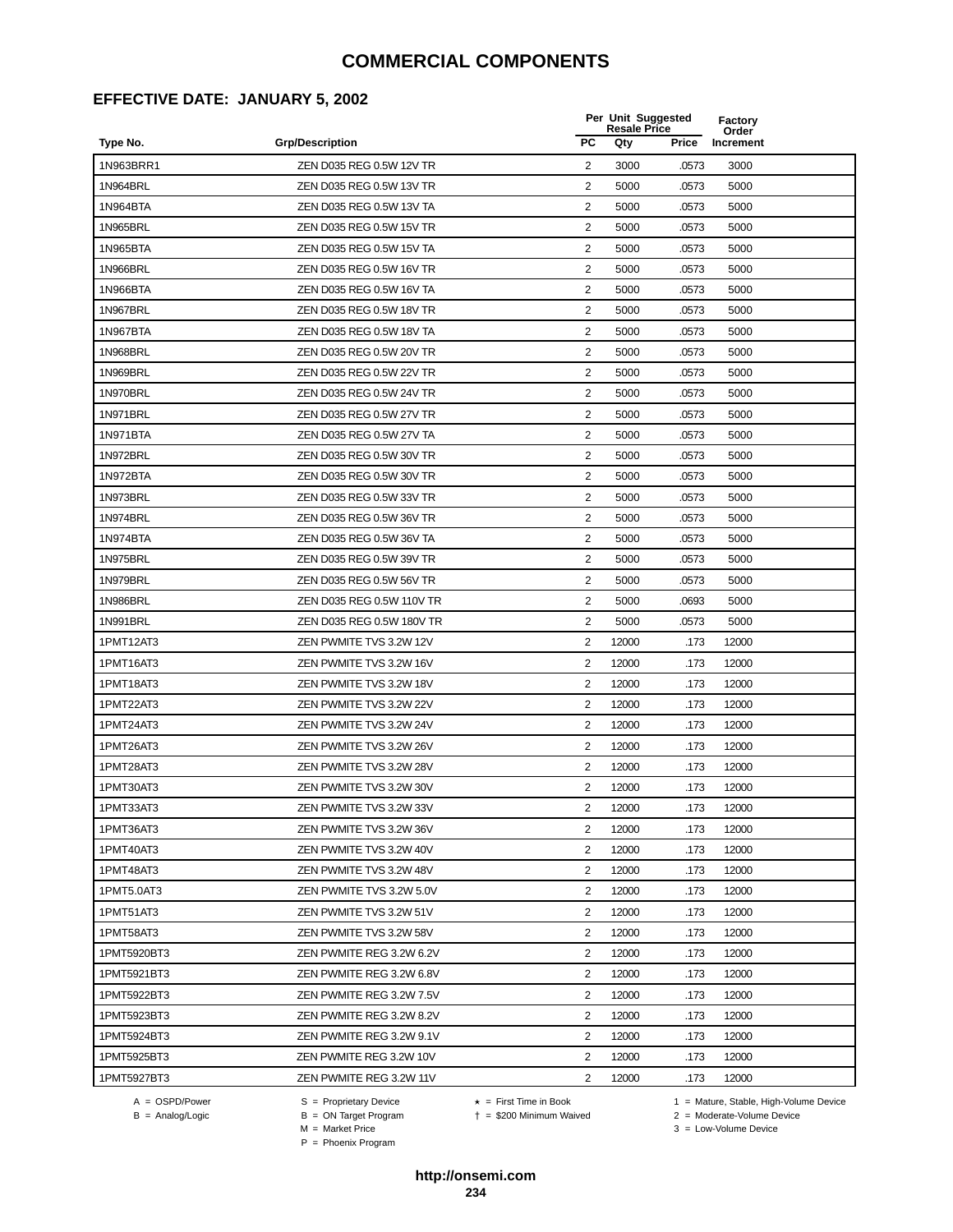#### **EFFECTIVE DATE: JANUARY 5, 2002**

|                 |                           |                | Per Unit Suggested<br><b>Resale Price</b> |       | Factory<br>Order |
|-----------------|---------------------------|----------------|-------------------------------------------|-------|------------------|
| Type No.        | <b>Grp/Description</b>    | PC             | Qty                                       | Price | Increment        |
| 1N963BRR1       | ZEN D035 REG 0.5W 12V TR  | 2              | 3000                                      | .0573 | 3000             |
| 1N964BRL        | ZEN D035 REG 0.5W 13V TR  | $\overline{2}$ | 5000                                      | .0573 | 5000             |
| 1N964BTA        | ZEN D035 REG 0.5W 13V TA  | 2              | 5000                                      | .0573 | 5000             |
| 1N965BRL        | ZEN D035 REG 0.5W 15V TR  | 2              | 5000                                      | .0573 | 5000             |
| 1N965BTA        | ZEN D035 REG 0.5W 15V TA  | 2              | 5000                                      | .0573 | 5000             |
| 1N966BRL        | ZEN D035 REG 0.5W 16V TR  | 2              | 5000                                      | .0573 | 5000             |
| 1N966BTA        | ZEN D035 REG 0.5W 16V TA  | 2              | 5000                                      | .0573 | 5000             |
| 1N967BRL        | ZEN D035 REG 0.5W 18V TR  | $\mathbf{2}$   | 5000                                      | .0573 | 5000             |
| 1N967BTA        | ZEN D035 REG 0.5W 18V TA  | $\overline{2}$ | 5000                                      | .0573 | 5000             |
| <b>1N968BRL</b> | ZEN D035 REG 0.5W 20V TR  | $\overline{2}$ | 5000                                      | .0573 | 5000             |
| 1N969BRL        | ZEN D035 REG 0.5W 22V TR  | $\overline{2}$ | 5000                                      | .0573 | 5000             |
| 1N970BRL        | ZEN D035 REG 0.5W 24V TR  | $\overline{2}$ | 5000                                      | .0573 | 5000             |
| 1N971BRL        | ZEN D035 REG 0.5W 27V TR  | $\overline{2}$ | 5000                                      | .0573 | 5000             |
| 1N971BTA        | ZEN D035 REG 0.5W 27V TA  | 2              | 5000                                      | .0573 | 5000             |
| 1N972BRL        | ZEN D035 REG 0.5W 30V TR  | 2              | 5000                                      | .0573 | 5000             |
| 1N972BTA        | ZEN D035 REG 0.5W 30V TR  | 2              | 5000                                      | .0573 | 5000             |
| 1N973BRL        | ZEN D035 REG 0.5W 33V TR  | $\overline{2}$ | 5000                                      | .0573 | 5000             |
| 1N974BRL        | ZEN D035 REG 0.5W 36V TR  | $\overline{c}$ | 5000                                      | .0573 | 5000             |
| 1N974BTA        | ZEN D035 REG 0.5W 36V TA  | 2              | 5000                                      | .0573 | 5000             |
| 1N975BRL        | ZEN D035 REG 0.5W 39V TR  | $\overline{2}$ | 5000                                      | .0573 | 5000             |
| 1N979BRL        | ZEN D035 REG 0.5W 56V TR  | $\overline{2}$ | 5000                                      | .0573 | 5000             |
| 1N986BRL        | ZEN D035 REG 0.5W 110V TR | 2              | 5000                                      | .0693 | 5000             |
| 1N991BRL        | ZEN D035 REG 0.5W 180V TR | 2              | 5000                                      | .0573 | 5000             |
| 1PMT12AT3       | ZEN PWMITE TVS 3.2W 12V   | $\overline{2}$ | 12000                                     | .173  | 12000            |
| 1PMT16AT3       | ZEN PWMITE TVS 3.2W 16V   | $\overline{2}$ | 12000                                     | .173  | 12000            |
| 1PMT18AT3       | ZEN PWMITE TVS 3.2W 18V   | $\overline{2}$ | 12000                                     | .173  | 12000            |
| 1PMT22AT3       | ZEN PWMITE TVS 3.2W 22V   | $\overline{2}$ | 12000                                     | .173  | 12000            |
| 1PMT24AT3       | ZEN PWMITE TVS 3.2W 24V   | 2              | 12000                                     | .173  | 12000            |
| 1PMT26AT3       | ZEN PWMITE TVS 3.2W 26V   | $\overline{2}$ | 12000                                     | .173  | 12000            |
| 1PMT28AT3       | ZEN PWMITE TVS 3.2W 28V   | 2              | 12000                                     | .173  | 12000            |
| 1PMT30AT3       | ZEN PWMITE TVS 3.2W 30V   | 2              | 12000                                     | .173  | 12000            |
| 1PMT33AT3       | ZEN PWMITE TVS 3.2W 33V   | 2              | 12000                                     | .173  | 12000            |
| 1PMT36AT3       | ZEN PWMITE TVS 3.2W 36V   | 2              | 12000                                     | .173  | 12000            |
| 1PMT40AT3       | ZEN PWMITE TVS 3.2W 40V   | 2              | 12000                                     | .173  | 12000            |
| 1PMT48AT3       | ZEN PWMITE TVS 3.2W 48V   | $\overline{2}$ | 12000                                     | .173  | 12000            |
| 1PMT5.0AT3      | ZEN PWMITE TVS 3.2W 5.0V  | $\overline{2}$ | 12000                                     | .173  | 12000            |
| 1PMT51AT3       | ZEN PWMITE TVS 3.2W 51V   | 2              | 12000                                     | .173  | 12000            |
| 1PMT58AT3       | ZEN PWMITE TVS 3.2W 58V   | 2              | 12000                                     | .173  | 12000            |
| 1PMT5920BT3     | ZEN PWMITE REG 3.2W 6.2V  | 2              | 12000                                     | .173  | 12000            |
| 1PMT5921BT3     | ZEN PWMITE REG 3.2W 6.8V  | 2              | 12000                                     | .173  | 12000            |
| 1PMT5922BT3     | ZEN PWMITE REG 3.2W 7.5V  | 2              | 12000                                     | .173  | 12000            |
| 1PMT5923BT3     | ZEN PWMITE REG 3.2W 8.2V  | 2              | 12000                                     | .173  | 12000            |
| 1PMT5924BT3     | ZEN PWMITE REG 3.2W 9.1V  | $\overline{2}$ | 12000                                     | .173  | 12000            |
| 1PMT5925BT3     | ZEN PWMITE REG 3.2W 10V   | $\overline{2}$ | 12000                                     | .173  | 12000            |
| 1PMT5927BT3     | ZEN PWMITE REG 3.2W 11V   | $\overline{2}$ | 12000                                     | .173  | 12000            |

A = OSPD/Power S = Proprietary Device  $\star$  = First Time in Book 1 = Mature, Stable, High-Volume Device

A = OSPD/Power S = Proprietary Device<br>
B = Analog/Logic B = ON Target Program<br>
M = Market Price

= \$200 Minimum Waived 2 = Moderate-Volume Device

 $2 =$  Moderate-Volume Device<br> $3 =$  Low-Volume Device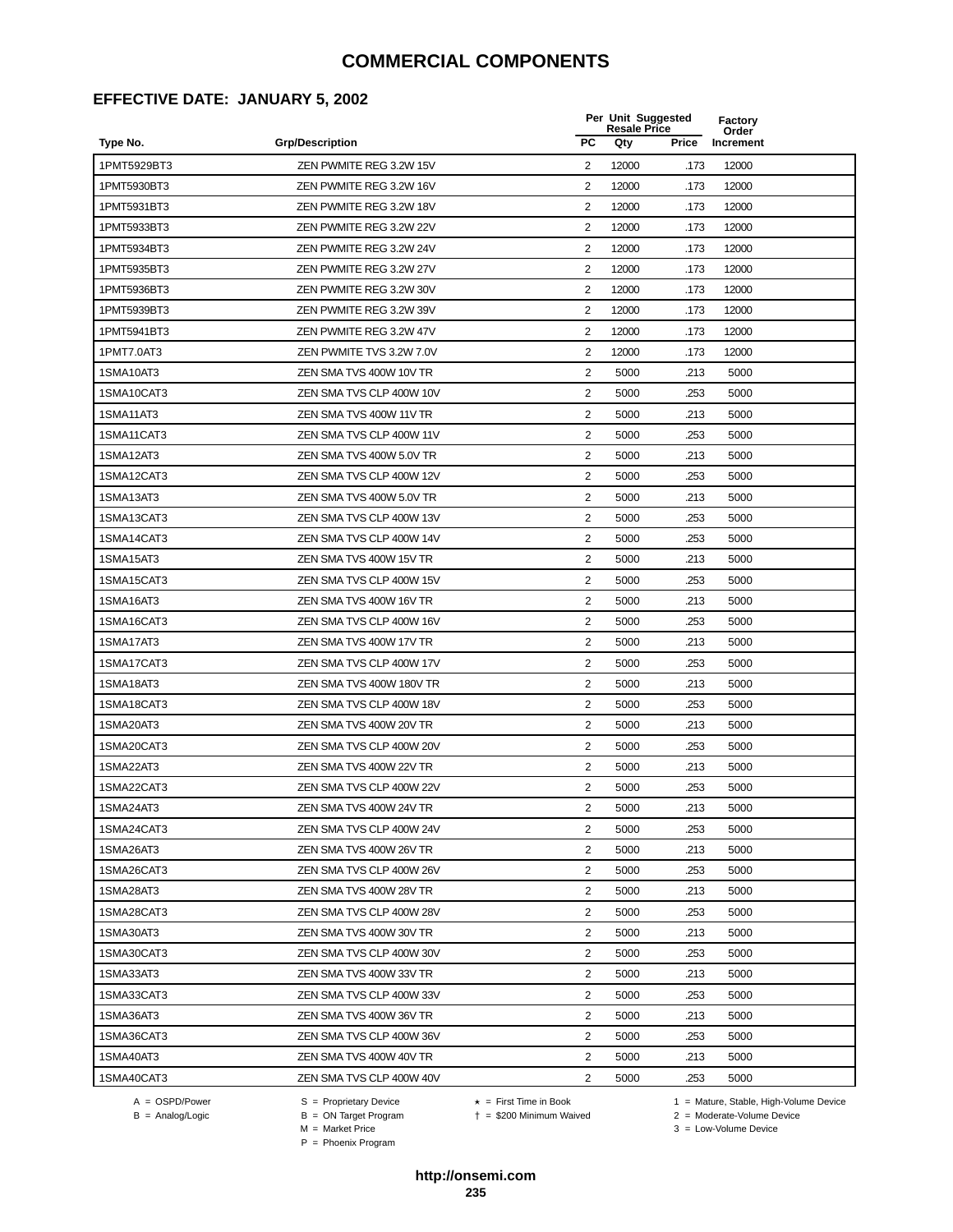#### **EFFECTIVE DATE: JANUARY 5, 2002**

|             |                          |                | Per Unit Suggested<br><b>Resale Price</b> |       | <b>Factory</b><br>Order |
|-------------|--------------------------|----------------|-------------------------------------------|-------|-------------------------|
| Type No.    | <b>Grp/Description</b>   | <b>PC</b>      | Qty                                       | Price | Increment               |
| 1PMT5929BT3 | ZEN PWMITE REG 3.2W 15V  | $\overline{2}$ | 12000                                     | .173  | 12000                   |
| 1PMT5930BT3 | ZEN PWMITE REG 3.2W 16V  | $\overline{2}$ | 12000                                     | .173  | 12000                   |
| 1PMT5931BT3 | ZEN PWMITE REG 3.2W 18V  | 2              | 12000                                     | .173  | 12000                   |
| 1PMT5933BT3 | ZEN PWMITE REG 3.2W 22V  | $\overline{2}$ | 12000                                     | .173  | 12000                   |
| 1PMT5934BT3 | ZEN PWMITE REG 3.2W 24V  | $\overline{2}$ | 12000                                     | .173  | 12000                   |
| 1PMT5935BT3 | ZEN PWMITE REG 3.2W 27V  | $\overline{2}$ | 12000                                     | .173  | 12000                   |
| 1PMT5936BT3 | ZEN PWMITE REG 3.2W 30V  | $\overline{2}$ | 12000                                     | .173  | 12000                   |
| 1PMT5939BT3 | ZEN PWMITE REG 3.2W 39V  | $\overline{2}$ | 12000                                     | .173  | 12000                   |
| 1PMT5941BT3 | ZEN PWMITE REG 3.2W 47V  | $\overline{c}$ | 12000                                     | .173  | 12000                   |
| 1PMT7.0AT3  | ZEN PWMITE TVS 3.2W 7.0V | $\overline{2}$ | 12000                                     | .173  | 12000                   |
| 1SMA10AT3   | ZEN SMA TVS 400W 10V TR  | 2              | 5000                                      | .213  | 5000                    |
| 1SMA10CAT3  | ZEN SMA TVS CLP 400W 10V | 2              | 5000                                      | .253  | 5000                    |
| 1SMA11AT3   | ZEN SMA TVS 400W 11V TR  | $\overline{2}$ | 5000                                      | .213  | 5000                    |
| 1SMA11CAT3  | ZEN SMA TVS CLP 400W 11V | $\overline{2}$ | 5000                                      | .253  | 5000                    |
| 1SMA12AT3   | ZEN SMA TVS 400W 5.0V TR | 2              | 5000                                      | .213  | 5000                    |
| 1SMA12CAT3  | ZEN SMA TVS CLP 400W 12V | 2              | 5000                                      | .253  | 5000                    |
| 1SMA13AT3   | ZEN SMA TVS 400W 5.0V TR | 2              | 5000                                      | .213  | 5000                    |
| 1SMA13CAT3  | ZEN SMA TVS CLP 400W 13V | 2              | 5000                                      | .253  | 5000                    |
| 1SMA14CAT3  | ZEN SMA TVS CLP 400W 14V | $\overline{2}$ | 5000                                      | .253  | 5000                    |
| 1SMA15AT3   | ZEN SMA TVS 400W 15V TR  | 2              | 5000                                      | .213  | 5000                    |
| 1SMA15CAT3  | ZEN SMA TVS CLP 400W 15V | 2              | 5000                                      | .253  | 5000                    |
| 1SMA16AT3   | ZEN SMA TVS 400W 16V TR  | $\overline{2}$ | 5000                                      | .213  | 5000                    |
| 1SMA16CAT3  | ZEN SMA TVS CLP 400W 16V | $\overline{2}$ | 5000                                      | .253  | 5000                    |
| 1SMA17AT3   | ZEN SMA TVS 400W 17V TR  | 2              | 5000                                      | .213  | 5000                    |
| 1SMA17CAT3  | ZEN SMA TVS CLP 400W 17V | 2              | 5000                                      | .253  | 5000                    |
| 1SMA18AT3   | ZEN SMA TVS 400W 180V TR | 2              | 5000                                      | .213  | 5000                    |
| 1SMA18CAT3  | ZEN SMA TVS CLP 400W 18V | 2              | 5000                                      | .253  | 5000                    |
| 1SMA20AT3   | ZEN SMA TVS 400W 20V TR  | $\overline{2}$ | 5000                                      | .213  | 5000                    |
| 1SMA20CAT3  | ZEN SMA TVS CLP 400W 20V | 2              | 5000                                      | .253  | 5000                    |
| 1SMA22AT3   | ZEN SMA TVS 400W 22V TR  | 2              | 5000                                      | .213  | 5000                    |
| 1SMA22CAT3  | ZEN SMA TVS CLP 400W 22V | $\overline{2}$ | 5000                                      | .253  | 5000                    |
| 1SMA24AT3   | ZEN SMA TVS 400W 24V TR  | 2              | 5000                                      | .213  | 5000                    |
| 1SMA24CAT3  | ZEN SMA TVS CLP 400W 24V | 2              | 5000                                      | .253  | 5000                    |
| 1SMA26AT3   | ZEN SMA TVS 400W 26V TR  | 2              | 5000                                      | .213  | 5000                    |
| 1SMA26CAT3  | ZEN SMA TVS CLP 400W 26V | $\overline{2}$ | 5000                                      | .253  | 5000                    |
| 1SMA28AT3   | ZEN SMA TVS 400W 28V TR  | 2              | 5000                                      | .213  | 5000                    |
| 1SMA28CAT3  | ZEN SMA TVS CLP 400W 28V | 2              | 5000                                      | .253  | 5000                    |
| 1SMA30AT3   | ZEN SMA TVS 400W 30V TR  | 2              | 5000                                      | .213  | 5000                    |
| 1SMA30CAT3  | ZEN SMA TVS CLP 400W 30V | $\overline{2}$ | 5000                                      | .253  | 5000                    |
| 1SMA33AT3   | ZEN SMA TVS 400W 33V TR  | $\overline{2}$ | 5000                                      | .213  | 5000                    |
| 1SMA33CAT3  | ZEN SMA TVS CLP 400W 33V | $\overline{2}$ | 5000                                      | .253  | 5000                    |
| 1SMA36AT3   | ZEN SMA TVS 400W 36V TR  | 2              | 5000                                      | .213  | 5000                    |
| 1SMA36CAT3  | ZEN SMA TVS CLP 400W 36V | 2              | 5000                                      | .253  | 5000                    |
| 1SMA40AT3   | ZEN SMA TVS 400W 40V TR  | $\overline{2}$ | 5000                                      | .213  | 5000                    |
| 1SMA40CAT3  | ZEN SMA TVS CLP 400W 40V | 2              | 5000                                      | .253  | 5000                    |
|             |                          |                |                                           |       |                         |

B = Analog/Logic<br>B = Analog/Logic<br>M = Market Price

A = OSPD/Power S = Proprietary Device  $\star$  = First Time in Book 1 = Mature, Stable, High-Volume Device = \$200 Minimum Waived 2 = Moderate-Volume Device

P = Phoenix Program

 $3 =$  Low-Volume Device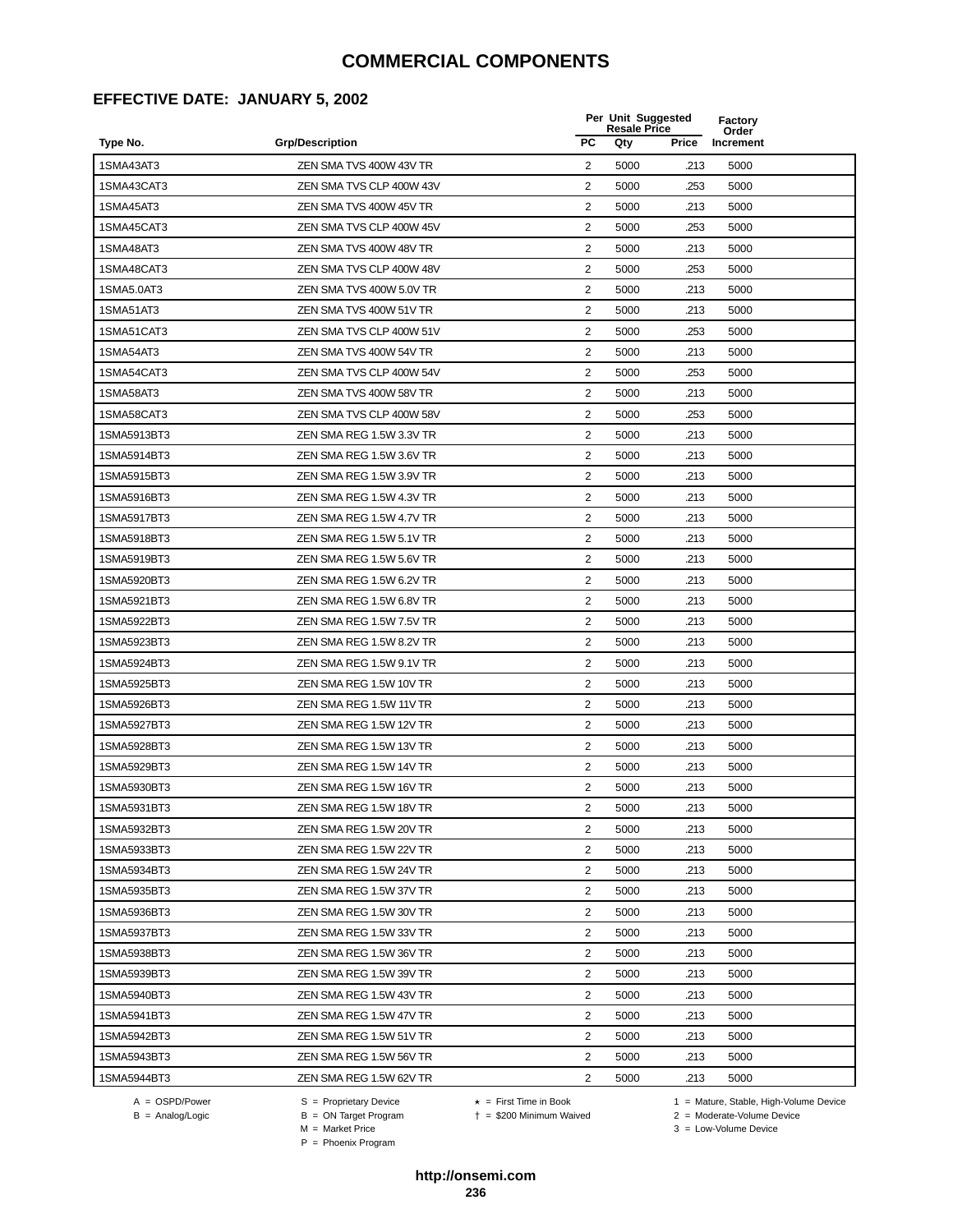## **EFFECTIVE DATE: JANUARY 5, 2002**

|             |                          |                | Per Unit Suggested<br><b>Resale Price</b> |       | Factory<br>Order |
|-------------|--------------------------|----------------|-------------------------------------------|-------|------------------|
| Type No.    | <b>Grp/Description</b>   | PC             | Qty                                       | Price | Increment        |
| 1SMA43AT3   | ZEN SMA TVS 400W 43V TR  | 2              | 5000                                      | .213  | 5000             |
| 1SMA43CAT3  | ZEN SMA TVS CLP 400W 43V | 2              | 5000                                      | .253  | 5000             |
| 1SMA45AT3   | ZEN SMA TVS 400W 45V TR  | 2              | 5000                                      | .213  | 5000             |
| 1SMA45CAT3  | ZEN SMA TVS CLP 400W 45V | 2              | 5000                                      | .253  | 5000             |
| 1SMA48AT3   | ZEN SMA TVS 400W 48V TR  | 2              | 5000                                      | .213  | 5000             |
| 1SMA48CAT3  | ZEN SMA TVS CLP 400W 48V | 2              | 5000                                      | .253  | 5000             |
| 1SMA5.0AT3  | ZEN SMA TVS 400W 5.0V TR | 2              | 5000                                      | .213  | 5000             |
| 1SMA51AT3   | ZEN SMA TVS 400W 51V TR  | $\overline{2}$ | 5000                                      | .213  | 5000             |
| 1SMA51CAT3  | ZEN SMA TVS CLP 400W 51V | 2              | 5000                                      | .253  | 5000             |
| 1SMA54AT3   | ZEN SMA TVS 400W 54V TR  | 2              | 5000                                      | .213  | 5000             |
| 1SMA54CAT3  | ZEN SMA TVS CLP 400W 54V | 2              | 5000                                      | .253  | 5000             |
| 1SMA58AT3   | ZEN SMA TVS 400W 58V TR  | 2              | 5000                                      | .213  | 5000             |
| 1SMA58CAT3  | ZEN SMA TVS CLP 400W 58V | 2              | 5000                                      | .253  | 5000             |
| 1SMA5913BT3 | ZEN SMA REG 1.5W 3.3V TR | 2              | 5000                                      | .213  | 5000             |
| 1SMA5914BT3 | ZEN SMA REG 1.5W 3.6V TR | 2              | 5000                                      | .213  | 5000             |
| 1SMA5915BT3 | ZEN SMA REG 1.5W 3.9V TR | 2              | 5000                                      | .213  | 5000             |
| 1SMA5916BT3 | ZEN SMA REG 1.5W 4.3V TR | 2              | 5000                                      | .213  | 5000             |
| 1SMA5917BT3 | ZEN SMA REG 1.5W 4.7V TR | 2              | 5000                                      | .213  | 5000             |
| 1SMA5918BT3 | ZEN SMA REG 1.5W 5.1V TR | 2              | 5000                                      | .213  | 5000             |
| 1SMA5919BT3 | ZEN SMA REG 1.5W 5.6V TR | 2              | 5000                                      | .213  | 5000             |
| 1SMA5920BT3 | ZEN SMA REG 1.5W 6.2V TR | 2              | 5000                                      | .213  | 5000             |
| 1SMA5921BT3 | ZEN SMA REG 1.5W 6.8V TR | 2              | 5000                                      | .213  | 5000             |
| 1SMA5922BT3 | ZEN SMA REG 1.5W 7.5V TR | 2              | 5000                                      | .213  | 5000             |
| 1SMA5923BT3 | ZEN SMA REG 1.5W 8.2V TR | 2              | 5000                                      | .213  | 5000             |
| 1SMA5924BT3 | ZEN SMA REG 1.5W 9.1V TR | 2              | 5000                                      | .213  | 5000             |
| 1SMA5925BT3 | ZEN SMA REG 1.5W 10V TR  | $\overline{2}$ | 5000                                      | .213  | 5000             |
| 1SMA5926BT3 | ZEN SMA REG 1.5W 11V TR  | 2              | 5000                                      | .213  | 5000             |
| 1SMA5927BT3 | ZEN SMA REG 1.5W 12V TR  | 2              | 5000                                      | .213  | 5000             |
| 1SMA5928BT3 | ZEN SMA REG 1.5W 13V TR  | 2              | 5000                                      | .213  | 5000             |
| 1SMA5929BT3 | ZEN SMA REG 1.5W 14V TR  | 2              | 5000                                      | .213  | 5000             |
| 1SMA5930BT3 | ZEN SMA REG 1.5W 16V TR  | 2              | 5000                                      | .213  | 5000             |
| 1SMA5931BT3 | ZEN SMA REG 1.5W 18V TR  | 2              | 5000                                      | .213  | 5000             |
| 1SMA5932BT3 | ZEN SMA REG 1.5W 20V TR  | 2              | 5000                                      | .213  | 5000             |
| 1SMA5933BT3 | ZEN SMA REG 1.5W 22V TR  | 2              | 5000                                      | .213  | 5000             |
| 1SMA5934BT3 | ZEN SMA REG 1.5W 24V TR  | $\overline{2}$ | 5000                                      | .213  | 5000             |
| 1SMA5935BT3 | ZEN SMA REG 1.5W 37V TR  | $\overline{2}$ | 5000                                      | .213  | 5000             |
| 1SMA5936BT3 | ZEN SMA REG 1.5W 30V TR  | 2              | 5000                                      | .213  | 5000             |
| 1SMA5937BT3 | ZEN SMA REG 1.5W 33V TR  | 2              | 5000                                      | .213  | 5000             |
| 1SMA5938BT3 | ZEN SMA REG 1.5W 36V TR  | 2              | 5000                                      | .213  | 5000             |
| 1SMA5939BT3 | ZEN SMA REG 1.5W 39V TR  | 2              | 5000                                      | .213  | 5000             |
| 1SMA5940BT3 | ZEN SMA REG 1.5W 43V TR  | 2              | 5000                                      | .213  | 5000             |
| 1SMA5941BT3 | ZEN SMA REG 1.5W 47V TR  | 2              | 5000                                      | .213  | 5000             |
| 1SMA5942BT3 | ZEN SMA REG 1.5W 51V TR  | 2              | 5000                                      | .213  | 5000             |
| 1SMA5943BT3 | ZEN SMA REG 1.5W 56V TR  | $\overline{c}$ | 5000                                      | .213  | 5000             |
| 1SMA5944BT3 | ZEN SMA REG 1.5W 62V TR  | 2              | 5000                                      | .213  | 5000             |

A = OSPD/Power S = Proprietary Device<br>
B = Analog/Logic B = ON Target Program<br>
M = Market Price

A = OSPD/Power S = Proprietary Device  $\star$  = First Time in Book 1 = Mature, Stable, High-Volume Device

 = \$200 Minimum Waived 2 = Moderate-Volume Device  $2 =$  Moderate-Volume Device<br> $3 =$  Low-Volume Device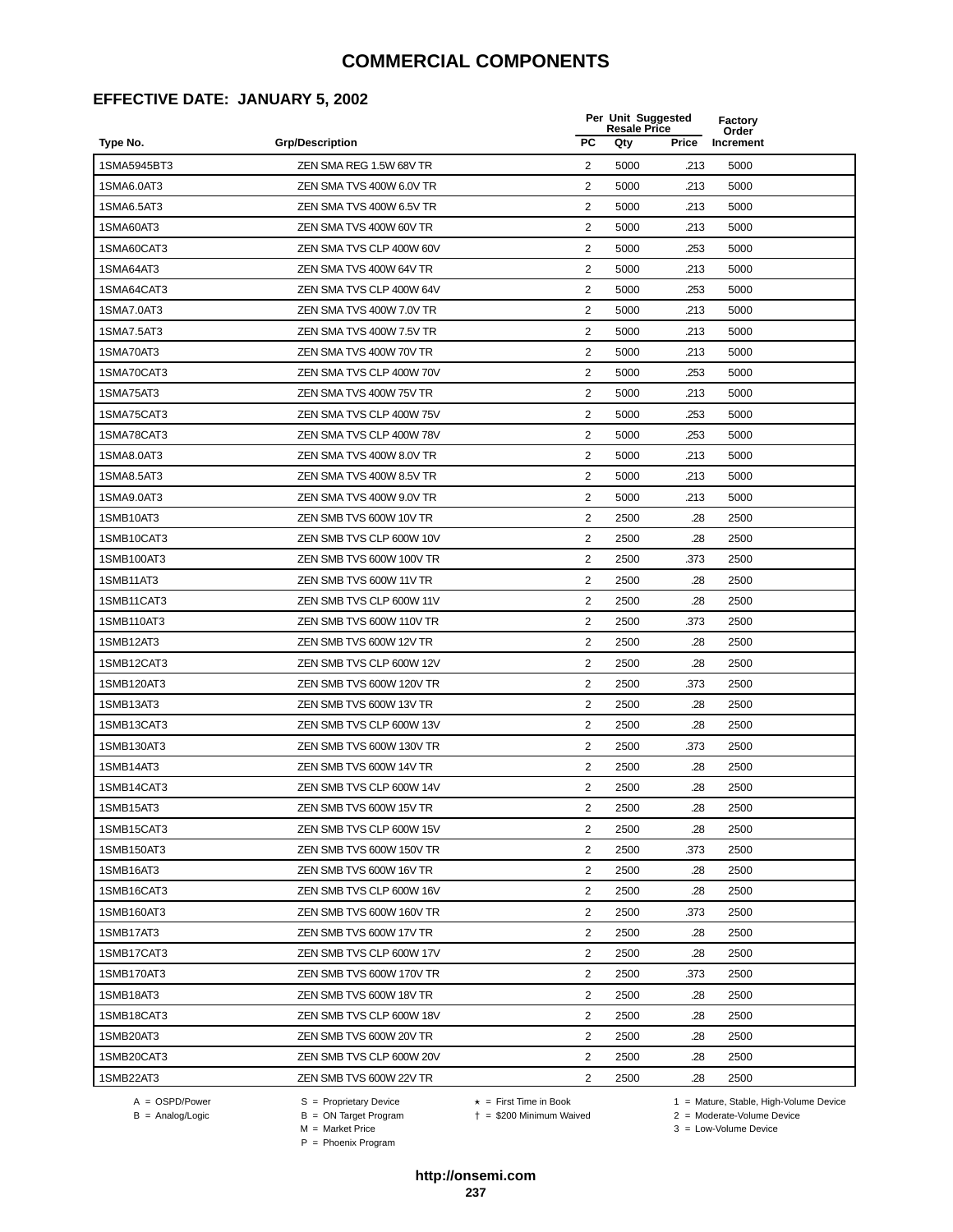#### **EFFECTIVE DATE: JANUARY 5, 2002**

| <b>PC</b><br>Qty<br>Increment<br>Type No.<br><b>Grp/Description</b><br>Price<br>1SMA5945BT3<br>$\overline{2}$<br>5000<br>5000<br>ZEN SMA REG 1.5W 68V TR<br>.213<br>$\overline{2}$<br>1SMA6.0AT3<br>ZEN SMA TVS 400W 6.0V TR<br>5000<br>.213<br>5000<br>2<br>1SMA6.5AT3<br>ZEN SMA TVS 400W 6.5V TR<br>5000<br>.213<br>5000<br>$\overline{2}$<br>1SMA60AT3<br>ZEN SMA TVS 400W 60V TR<br>5000<br>.213<br>5000<br>$\overline{2}$<br>1SMA60CAT3<br>.253<br>5000<br>ZEN SMA TVS CLP 400W 60V<br>5000<br>2<br>1SMA64AT3<br>ZEN SMA TVS 400W 64V TR<br>5000<br>.213<br>5000<br>$\overline{2}$<br>1SMA64CAT3<br>ZEN SMA TVS CLP 400W 64V<br>5000<br>.253<br>5000<br>2<br>1SMA7.0AT3<br>ZEN SMA TVS 400W 7.0V TR<br>5000<br>.213<br>5000<br>2<br>1SMA7.5AT3<br>ZEN SMA TVS 400W 7.5V TR<br>5000<br>.213<br>5000<br>1SMA70AT3<br>ZEN SMA TVS 400W 70V TR<br>$\overline{2}$<br>5000<br>5000<br>.213<br>1SMA70CAT3<br>ZEN SMA TVS CLP 400W 70V<br>2<br>5000<br>.253<br>5000<br>$\overline{2}$<br>1SMA75AT3<br>ZEN SMA TVS 400W 75V TR<br>5000<br>.213<br>5000<br>$\overline{2}$<br>1SMA75CAT3<br>ZEN SMA TVS CLP 400W 75V<br>5000<br>.253<br>5000<br>$\overline{2}$<br>1SMA78CAT3<br>.253<br>ZEN SMA TVS CLP 400W 78V<br>5000<br>5000<br>2<br>1SMA8.0AT3<br>ZEN SMA TVS 400W 8.0V TR<br>5000<br>.213<br>5000<br>$\overline{2}$<br>1SMA8.5AT3<br>ZEN SMA TVS 400W 8.5V TR<br>5000<br>.213<br>5000<br>2<br>1SMA9.0AT3<br>ZEN SMA TVS 400W 9.0V TR<br>5000<br>.213<br>5000<br>1SMB10AT3<br>2<br>2500<br>ZEN SMB TVS 600W 10V TR<br>2500<br>.28<br>1SMB10CAT3<br>ZEN SMB TVS CLP 600W 10V<br>$\overline{2}$<br>2500<br>2500<br>.28<br>1SMB100AT3<br>ZEN SMB TVS 600W 100V TR<br>2<br>2500<br>.373<br>2500<br>2<br>1SMB11AT3<br>ZEN SMB TVS 600W 11V TR<br>2500<br>.28<br>2500<br>$\overline{2}$<br>1SMB11CAT3<br>ZEN SMB TVS CLP 600W 11V<br>2500<br>.28<br>2500<br>$\overline{2}$<br>1SMB110AT3<br>ZEN SMB TVS 600W 110V TR<br>2500<br>.373<br>2500<br>1SMB12AT3<br>2<br>ZEN SMB TVS 600W 12V TR<br>2500<br>.28<br>2500<br>1SMB12CAT3<br>$\overline{2}$<br>.28<br>2500<br>ZEN SMB TVS CLP 600W 12V<br>2500<br>2<br>2500<br>1SMB120AT3<br>ZEN SMB TVS 600W 120V TR<br>2500<br>.373<br>1SMB13AT3<br>2<br>2500<br>ZEN SMB TVS 600W 13V TR<br>2500<br>.28<br>1SMB13CAT3<br>ZEN SMB TVS CLP 600W 13V<br>$\overline{2}$<br>2500<br>2500<br>.28<br>1SMB130AT3<br>ZEN SMB TVS 600W 130V TR<br>2<br>2500<br>.373<br>2500<br>2<br>1SMB14AT3<br>ZEN SMB TVS 600W 14V TR<br>2500<br>.28<br>2500<br>$\overline{2}$<br>1SMB14CAT3<br>ZEN SMB TVS CLP 600W 14V<br>2500<br>.28<br>2500<br>2<br>1SMB15AT3<br>ZEN SMB TVS 600W 15V TR<br>2500<br>.28<br>2500<br>2<br>1SMB15CAT3<br>ZEN SMB TVS CLP 600W 15V<br>.28<br>2500<br>2500<br>2<br>2500<br>.373<br>2500<br>1SMB150AT3<br>ZEN SMB TVS 600W 150V TR<br>$\overline{2}$<br>2500<br>.28<br>2500<br>1SMB16AT3<br>ZEN SMB TVS 600W 16V TR<br>2<br>ZEN SMB TVS CLP 600W 16V<br>2500<br>.28<br>2500<br>1SMB16CAT3<br>$\overline{2}$<br>ZEN SMB TVS 600W 160V TR<br>2500<br>.373<br>2500<br>1SMB160AT3<br>2<br>2500<br>.28<br>2500<br>1SMB17AT3<br>ZEN SMB TVS 600W 17V TR<br>$\overline{2}$<br>1SMB17CAT3<br>ZEN SMB TVS CLP 600W 17V<br>2500<br>.28<br>2500<br>$\overline{2}$<br>2500<br>2500<br>1SMB170AT3<br>ZEN SMB TVS 600W 170V TR<br>.373<br>$\overline{2}$<br>2500<br>.28<br>2500<br>1SMB18AT3<br>ZEN SMB TVS 600W 18V TR<br>2<br>1SMB18CAT3<br>2500<br>ZEN SMB TVS CLP 600W 18V<br>2500<br>.28<br>2<br>.28<br>2500<br>1SMB20AT3<br>ZEN SMB TVS 600W 20V TR<br>2500<br>$\overline{2}$<br>2500<br>2500<br>1SMB20CAT3<br>ZEN SMB TVS CLP 600W 20V<br>.28<br>2<br>1SMB22AT3<br>2500<br>ZEN SMB TVS 600W 22V TR<br>2500<br>.28 |  | Per Unit Suggested<br><b>Resale Price</b> | <b>Factory</b><br>Order |
|----------------------------------------------------------------------------------------------------------------------------------------------------------------------------------------------------------------------------------------------------------------------------------------------------------------------------------------------------------------------------------------------------------------------------------------------------------------------------------------------------------------------------------------------------------------------------------------------------------------------------------------------------------------------------------------------------------------------------------------------------------------------------------------------------------------------------------------------------------------------------------------------------------------------------------------------------------------------------------------------------------------------------------------------------------------------------------------------------------------------------------------------------------------------------------------------------------------------------------------------------------------------------------------------------------------------------------------------------------------------------------------------------------------------------------------------------------------------------------------------------------------------------------------------------------------------------------------------------------------------------------------------------------------------------------------------------------------------------------------------------------------------------------------------------------------------------------------------------------------------------------------------------------------------------------------------------------------------------------------------------------------------------------------------------------------------------------------------------------------------------------------------------------------------------------------------------------------------------------------------------------------------------------------------------------------------------------------------------------------------------------------------------------------------------------------------------------------------------------------------------------------------------------------------------------------------------------------------------------------------------------------------------------------------------------------------------------------------------------------------------------------------------------------------------------------------------------------------------------------------------------------------------------------------------------------------------------------------------------------------------------------------------------------------------------------------------------------------------------------------------------------------------------------------------------------------------------------------------------------------------------------------------------------------------------------------------------------------------------------------------------------------------------------------------------------------------------------------------------------------------------------------------------------------------------------------------------------------------------------------------------------------------|--|-------------------------------------------|-------------------------|
|                                                                                                                                                                                                                                                                                                                                                                                                                                                                                                                                                                                                                                                                                                                                                                                                                                                                                                                                                                                                                                                                                                                                                                                                                                                                                                                                                                                                                                                                                                                                                                                                                                                                                                                                                                                                                                                                                                                                                                                                                                                                                                                                                                                                                                                                                                                                                                                                                                                                                                                                                                                                                                                                                                                                                                                                                                                                                                                                                                                                                                                                                                                                                                                                                                                                                                                                                                                                                                                                                                                                                                                                                                                    |  |                                           |                         |
|                                                                                                                                                                                                                                                                                                                                                                                                                                                                                                                                                                                                                                                                                                                                                                                                                                                                                                                                                                                                                                                                                                                                                                                                                                                                                                                                                                                                                                                                                                                                                                                                                                                                                                                                                                                                                                                                                                                                                                                                                                                                                                                                                                                                                                                                                                                                                                                                                                                                                                                                                                                                                                                                                                                                                                                                                                                                                                                                                                                                                                                                                                                                                                                                                                                                                                                                                                                                                                                                                                                                                                                                                                                    |  |                                           |                         |
|                                                                                                                                                                                                                                                                                                                                                                                                                                                                                                                                                                                                                                                                                                                                                                                                                                                                                                                                                                                                                                                                                                                                                                                                                                                                                                                                                                                                                                                                                                                                                                                                                                                                                                                                                                                                                                                                                                                                                                                                                                                                                                                                                                                                                                                                                                                                                                                                                                                                                                                                                                                                                                                                                                                                                                                                                                                                                                                                                                                                                                                                                                                                                                                                                                                                                                                                                                                                                                                                                                                                                                                                                                                    |  |                                           |                         |
|                                                                                                                                                                                                                                                                                                                                                                                                                                                                                                                                                                                                                                                                                                                                                                                                                                                                                                                                                                                                                                                                                                                                                                                                                                                                                                                                                                                                                                                                                                                                                                                                                                                                                                                                                                                                                                                                                                                                                                                                                                                                                                                                                                                                                                                                                                                                                                                                                                                                                                                                                                                                                                                                                                                                                                                                                                                                                                                                                                                                                                                                                                                                                                                                                                                                                                                                                                                                                                                                                                                                                                                                                                                    |  |                                           |                         |
|                                                                                                                                                                                                                                                                                                                                                                                                                                                                                                                                                                                                                                                                                                                                                                                                                                                                                                                                                                                                                                                                                                                                                                                                                                                                                                                                                                                                                                                                                                                                                                                                                                                                                                                                                                                                                                                                                                                                                                                                                                                                                                                                                                                                                                                                                                                                                                                                                                                                                                                                                                                                                                                                                                                                                                                                                                                                                                                                                                                                                                                                                                                                                                                                                                                                                                                                                                                                                                                                                                                                                                                                                                                    |  |                                           |                         |
|                                                                                                                                                                                                                                                                                                                                                                                                                                                                                                                                                                                                                                                                                                                                                                                                                                                                                                                                                                                                                                                                                                                                                                                                                                                                                                                                                                                                                                                                                                                                                                                                                                                                                                                                                                                                                                                                                                                                                                                                                                                                                                                                                                                                                                                                                                                                                                                                                                                                                                                                                                                                                                                                                                                                                                                                                                                                                                                                                                                                                                                                                                                                                                                                                                                                                                                                                                                                                                                                                                                                                                                                                                                    |  |                                           |                         |
|                                                                                                                                                                                                                                                                                                                                                                                                                                                                                                                                                                                                                                                                                                                                                                                                                                                                                                                                                                                                                                                                                                                                                                                                                                                                                                                                                                                                                                                                                                                                                                                                                                                                                                                                                                                                                                                                                                                                                                                                                                                                                                                                                                                                                                                                                                                                                                                                                                                                                                                                                                                                                                                                                                                                                                                                                                                                                                                                                                                                                                                                                                                                                                                                                                                                                                                                                                                                                                                                                                                                                                                                                                                    |  |                                           |                         |
|                                                                                                                                                                                                                                                                                                                                                                                                                                                                                                                                                                                                                                                                                                                                                                                                                                                                                                                                                                                                                                                                                                                                                                                                                                                                                                                                                                                                                                                                                                                                                                                                                                                                                                                                                                                                                                                                                                                                                                                                                                                                                                                                                                                                                                                                                                                                                                                                                                                                                                                                                                                                                                                                                                                                                                                                                                                                                                                                                                                                                                                                                                                                                                                                                                                                                                                                                                                                                                                                                                                                                                                                                                                    |  |                                           |                         |
|                                                                                                                                                                                                                                                                                                                                                                                                                                                                                                                                                                                                                                                                                                                                                                                                                                                                                                                                                                                                                                                                                                                                                                                                                                                                                                                                                                                                                                                                                                                                                                                                                                                                                                                                                                                                                                                                                                                                                                                                                                                                                                                                                                                                                                                                                                                                                                                                                                                                                                                                                                                                                                                                                                                                                                                                                                                                                                                                                                                                                                                                                                                                                                                                                                                                                                                                                                                                                                                                                                                                                                                                                                                    |  |                                           |                         |
|                                                                                                                                                                                                                                                                                                                                                                                                                                                                                                                                                                                                                                                                                                                                                                                                                                                                                                                                                                                                                                                                                                                                                                                                                                                                                                                                                                                                                                                                                                                                                                                                                                                                                                                                                                                                                                                                                                                                                                                                                                                                                                                                                                                                                                                                                                                                                                                                                                                                                                                                                                                                                                                                                                                                                                                                                                                                                                                                                                                                                                                                                                                                                                                                                                                                                                                                                                                                                                                                                                                                                                                                                                                    |  |                                           |                         |
|                                                                                                                                                                                                                                                                                                                                                                                                                                                                                                                                                                                                                                                                                                                                                                                                                                                                                                                                                                                                                                                                                                                                                                                                                                                                                                                                                                                                                                                                                                                                                                                                                                                                                                                                                                                                                                                                                                                                                                                                                                                                                                                                                                                                                                                                                                                                                                                                                                                                                                                                                                                                                                                                                                                                                                                                                                                                                                                                                                                                                                                                                                                                                                                                                                                                                                                                                                                                                                                                                                                                                                                                                                                    |  |                                           |                         |
|                                                                                                                                                                                                                                                                                                                                                                                                                                                                                                                                                                                                                                                                                                                                                                                                                                                                                                                                                                                                                                                                                                                                                                                                                                                                                                                                                                                                                                                                                                                                                                                                                                                                                                                                                                                                                                                                                                                                                                                                                                                                                                                                                                                                                                                                                                                                                                                                                                                                                                                                                                                                                                                                                                                                                                                                                                                                                                                                                                                                                                                                                                                                                                                                                                                                                                                                                                                                                                                                                                                                                                                                                                                    |  |                                           |                         |
|                                                                                                                                                                                                                                                                                                                                                                                                                                                                                                                                                                                                                                                                                                                                                                                                                                                                                                                                                                                                                                                                                                                                                                                                                                                                                                                                                                                                                                                                                                                                                                                                                                                                                                                                                                                                                                                                                                                                                                                                                                                                                                                                                                                                                                                                                                                                                                                                                                                                                                                                                                                                                                                                                                                                                                                                                                                                                                                                                                                                                                                                                                                                                                                                                                                                                                                                                                                                                                                                                                                                                                                                                                                    |  |                                           |                         |
|                                                                                                                                                                                                                                                                                                                                                                                                                                                                                                                                                                                                                                                                                                                                                                                                                                                                                                                                                                                                                                                                                                                                                                                                                                                                                                                                                                                                                                                                                                                                                                                                                                                                                                                                                                                                                                                                                                                                                                                                                                                                                                                                                                                                                                                                                                                                                                                                                                                                                                                                                                                                                                                                                                                                                                                                                                                                                                                                                                                                                                                                                                                                                                                                                                                                                                                                                                                                                                                                                                                                                                                                                                                    |  |                                           |                         |
|                                                                                                                                                                                                                                                                                                                                                                                                                                                                                                                                                                                                                                                                                                                                                                                                                                                                                                                                                                                                                                                                                                                                                                                                                                                                                                                                                                                                                                                                                                                                                                                                                                                                                                                                                                                                                                                                                                                                                                                                                                                                                                                                                                                                                                                                                                                                                                                                                                                                                                                                                                                                                                                                                                                                                                                                                                                                                                                                                                                                                                                                                                                                                                                                                                                                                                                                                                                                                                                                                                                                                                                                                                                    |  |                                           |                         |
|                                                                                                                                                                                                                                                                                                                                                                                                                                                                                                                                                                                                                                                                                                                                                                                                                                                                                                                                                                                                                                                                                                                                                                                                                                                                                                                                                                                                                                                                                                                                                                                                                                                                                                                                                                                                                                                                                                                                                                                                                                                                                                                                                                                                                                                                                                                                                                                                                                                                                                                                                                                                                                                                                                                                                                                                                                                                                                                                                                                                                                                                                                                                                                                                                                                                                                                                                                                                                                                                                                                                                                                                                                                    |  |                                           |                         |
|                                                                                                                                                                                                                                                                                                                                                                                                                                                                                                                                                                                                                                                                                                                                                                                                                                                                                                                                                                                                                                                                                                                                                                                                                                                                                                                                                                                                                                                                                                                                                                                                                                                                                                                                                                                                                                                                                                                                                                                                                                                                                                                                                                                                                                                                                                                                                                                                                                                                                                                                                                                                                                                                                                                                                                                                                                                                                                                                                                                                                                                                                                                                                                                                                                                                                                                                                                                                                                                                                                                                                                                                                                                    |  |                                           |                         |
|                                                                                                                                                                                                                                                                                                                                                                                                                                                                                                                                                                                                                                                                                                                                                                                                                                                                                                                                                                                                                                                                                                                                                                                                                                                                                                                                                                                                                                                                                                                                                                                                                                                                                                                                                                                                                                                                                                                                                                                                                                                                                                                                                                                                                                                                                                                                                                                                                                                                                                                                                                                                                                                                                                                                                                                                                                                                                                                                                                                                                                                                                                                                                                                                                                                                                                                                                                                                                                                                                                                                                                                                                                                    |  |                                           |                         |
|                                                                                                                                                                                                                                                                                                                                                                                                                                                                                                                                                                                                                                                                                                                                                                                                                                                                                                                                                                                                                                                                                                                                                                                                                                                                                                                                                                                                                                                                                                                                                                                                                                                                                                                                                                                                                                                                                                                                                                                                                                                                                                                                                                                                                                                                                                                                                                                                                                                                                                                                                                                                                                                                                                                                                                                                                                                                                                                                                                                                                                                                                                                                                                                                                                                                                                                                                                                                                                                                                                                                                                                                                                                    |  |                                           |                         |
|                                                                                                                                                                                                                                                                                                                                                                                                                                                                                                                                                                                                                                                                                                                                                                                                                                                                                                                                                                                                                                                                                                                                                                                                                                                                                                                                                                                                                                                                                                                                                                                                                                                                                                                                                                                                                                                                                                                                                                                                                                                                                                                                                                                                                                                                                                                                                                                                                                                                                                                                                                                                                                                                                                                                                                                                                                                                                                                                                                                                                                                                                                                                                                                                                                                                                                                                                                                                                                                                                                                                                                                                                                                    |  |                                           |                         |
|                                                                                                                                                                                                                                                                                                                                                                                                                                                                                                                                                                                                                                                                                                                                                                                                                                                                                                                                                                                                                                                                                                                                                                                                                                                                                                                                                                                                                                                                                                                                                                                                                                                                                                                                                                                                                                                                                                                                                                                                                                                                                                                                                                                                                                                                                                                                                                                                                                                                                                                                                                                                                                                                                                                                                                                                                                                                                                                                                                                                                                                                                                                                                                                                                                                                                                                                                                                                                                                                                                                                                                                                                                                    |  |                                           |                         |
|                                                                                                                                                                                                                                                                                                                                                                                                                                                                                                                                                                                                                                                                                                                                                                                                                                                                                                                                                                                                                                                                                                                                                                                                                                                                                                                                                                                                                                                                                                                                                                                                                                                                                                                                                                                                                                                                                                                                                                                                                                                                                                                                                                                                                                                                                                                                                                                                                                                                                                                                                                                                                                                                                                                                                                                                                                                                                                                                                                                                                                                                                                                                                                                                                                                                                                                                                                                                                                                                                                                                                                                                                                                    |  |                                           |                         |
|                                                                                                                                                                                                                                                                                                                                                                                                                                                                                                                                                                                                                                                                                                                                                                                                                                                                                                                                                                                                                                                                                                                                                                                                                                                                                                                                                                                                                                                                                                                                                                                                                                                                                                                                                                                                                                                                                                                                                                                                                                                                                                                                                                                                                                                                                                                                                                                                                                                                                                                                                                                                                                                                                                                                                                                                                                                                                                                                                                                                                                                                                                                                                                                                                                                                                                                                                                                                                                                                                                                                                                                                                                                    |  |                                           |                         |
|                                                                                                                                                                                                                                                                                                                                                                                                                                                                                                                                                                                                                                                                                                                                                                                                                                                                                                                                                                                                                                                                                                                                                                                                                                                                                                                                                                                                                                                                                                                                                                                                                                                                                                                                                                                                                                                                                                                                                                                                                                                                                                                                                                                                                                                                                                                                                                                                                                                                                                                                                                                                                                                                                                                                                                                                                                                                                                                                                                                                                                                                                                                                                                                                                                                                                                                                                                                                                                                                                                                                                                                                                                                    |  |                                           |                         |
|                                                                                                                                                                                                                                                                                                                                                                                                                                                                                                                                                                                                                                                                                                                                                                                                                                                                                                                                                                                                                                                                                                                                                                                                                                                                                                                                                                                                                                                                                                                                                                                                                                                                                                                                                                                                                                                                                                                                                                                                                                                                                                                                                                                                                                                                                                                                                                                                                                                                                                                                                                                                                                                                                                                                                                                                                                                                                                                                                                                                                                                                                                                                                                                                                                                                                                                                                                                                                                                                                                                                                                                                                                                    |  |                                           |                         |
|                                                                                                                                                                                                                                                                                                                                                                                                                                                                                                                                                                                                                                                                                                                                                                                                                                                                                                                                                                                                                                                                                                                                                                                                                                                                                                                                                                                                                                                                                                                                                                                                                                                                                                                                                                                                                                                                                                                                                                                                                                                                                                                                                                                                                                                                                                                                                                                                                                                                                                                                                                                                                                                                                                                                                                                                                                                                                                                                                                                                                                                                                                                                                                                                                                                                                                                                                                                                                                                                                                                                                                                                                                                    |  |                                           |                         |
|                                                                                                                                                                                                                                                                                                                                                                                                                                                                                                                                                                                                                                                                                                                                                                                                                                                                                                                                                                                                                                                                                                                                                                                                                                                                                                                                                                                                                                                                                                                                                                                                                                                                                                                                                                                                                                                                                                                                                                                                                                                                                                                                                                                                                                                                                                                                                                                                                                                                                                                                                                                                                                                                                                                                                                                                                                                                                                                                                                                                                                                                                                                                                                                                                                                                                                                                                                                                                                                                                                                                                                                                                                                    |  |                                           |                         |
|                                                                                                                                                                                                                                                                                                                                                                                                                                                                                                                                                                                                                                                                                                                                                                                                                                                                                                                                                                                                                                                                                                                                                                                                                                                                                                                                                                                                                                                                                                                                                                                                                                                                                                                                                                                                                                                                                                                                                                                                                                                                                                                                                                                                                                                                                                                                                                                                                                                                                                                                                                                                                                                                                                                                                                                                                                                                                                                                                                                                                                                                                                                                                                                                                                                                                                                                                                                                                                                                                                                                                                                                                                                    |  |                                           |                         |
|                                                                                                                                                                                                                                                                                                                                                                                                                                                                                                                                                                                                                                                                                                                                                                                                                                                                                                                                                                                                                                                                                                                                                                                                                                                                                                                                                                                                                                                                                                                                                                                                                                                                                                                                                                                                                                                                                                                                                                                                                                                                                                                                                                                                                                                                                                                                                                                                                                                                                                                                                                                                                                                                                                                                                                                                                                                                                                                                                                                                                                                                                                                                                                                                                                                                                                                                                                                                                                                                                                                                                                                                                                                    |  |                                           |                         |
|                                                                                                                                                                                                                                                                                                                                                                                                                                                                                                                                                                                                                                                                                                                                                                                                                                                                                                                                                                                                                                                                                                                                                                                                                                                                                                                                                                                                                                                                                                                                                                                                                                                                                                                                                                                                                                                                                                                                                                                                                                                                                                                                                                                                                                                                                                                                                                                                                                                                                                                                                                                                                                                                                                                                                                                                                                                                                                                                                                                                                                                                                                                                                                                                                                                                                                                                                                                                                                                                                                                                                                                                                                                    |  |                                           |                         |
|                                                                                                                                                                                                                                                                                                                                                                                                                                                                                                                                                                                                                                                                                                                                                                                                                                                                                                                                                                                                                                                                                                                                                                                                                                                                                                                                                                                                                                                                                                                                                                                                                                                                                                                                                                                                                                                                                                                                                                                                                                                                                                                                                                                                                                                                                                                                                                                                                                                                                                                                                                                                                                                                                                                                                                                                                                                                                                                                                                                                                                                                                                                                                                                                                                                                                                                                                                                                                                                                                                                                                                                                                                                    |  |                                           |                         |
|                                                                                                                                                                                                                                                                                                                                                                                                                                                                                                                                                                                                                                                                                                                                                                                                                                                                                                                                                                                                                                                                                                                                                                                                                                                                                                                                                                                                                                                                                                                                                                                                                                                                                                                                                                                                                                                                                                                                                                                                                                                                                                                                                                                                                                                                                                                                                                                                                                                                                                                                                                                                                                                                                                                                                                                                                                                                                                                                                                                                                                                                                                                                                                                                                                                                                                                                                                                                                                                                                                                                                                                                                                                    |  |                                           |                         |
|                                                                                                                                                                                                                                                                                                                                                                                                                                                                                                                                                                                                                                                                                                                                                                                                                                                                                                                                                                                                                                                                                                                                                                                                                                                                                                                                                                                                                                                                                                                                                                                                                                                                                                                                                                                                                                                                                                                                                                                                                                                                                                                                                                                                                                                                                                                                                                                                                                                                                                                                                                                                                                                                                                                                                                                                                                                                                                                                                                                                                                                                                                                                                                                                                                                                                                                                                                                                                                                                                                                                                                                                                                                    |  |                                           |                         |
|                                                                                                                                                                                                                                                                                                                                                                                                                                                                                                                                                                                                                                                                                                                                                                                                                                                                                                                                                                                                                                                                                                                                                                                                                                                                                                                                                                                                                                                                                                                                                                                                                                                                                                                                                                                                                                                                                                                                                                                                                                                                                                                                                                                                                                                                                                                                                                                                                                                                                                                                                                                                                                                                                                                                                                                                                                                                                                                                                                                                                                                                                                                                                                                                                                                                                                                                                                                                                                                                                                                                                                                                                                                    |  |                                           |                         |
|                                                                                                                                                                                                                                                                                                                                                                                                                                                                                                                                                                                                                                                                                                                                                                                                                                                                                                                                                                                                                                                                                                                                                                                                                                                                                                                                                                                                                                                                                                                                                                                                                                                                                                                                                                                                                                                                                                                                                                                                                                                                                                                                                                                                                                                                                                                                                                                                                                                                                                                                                                                                                                                                                                                                                                                                                                                                                                                                                                                                                                                                                                                                                                                                                                                                                                                                                                                                                                                                                                                                                                                                                                                    |  |                                           |                         |
|                                                                                                                                                                                                                                                                                                                                                                                                                                                                                                                                                                                                                                                                                                                                                                                                                                                                                                                                                                                                                                                                                                                                                                                                                                                                                                                                                                                                                                                                                                                                                                                                                                                                                                                                                                                                                                                                                                                                                                                                                                                                                                                                                                                                                                                                                                                                                                                                                                                                                                                                                                                                                                                                                                                                                                                                                                                                                                                                                                                                                                                                                                                                                                                                                                                                                                                                                                                                                                                                                                                                                                                                                                                    |  |                                           |                         |
|                                                                                                                                                                                                                                                                                                                                                                                                                                                                                                                                                                                                                                                                                                                                                                                                                                                                                                                                                                                                                                                                                                                                                                                                                                                                                                                                                                                                                                                                                                                                                                                                                                                                                                                                                                                                                                                                                                                                                                                                                                                                                                                                                                                                                                                                                                                                                                                                                                                                                                                                                                                                                                                                                                                                                                                                                                                                                                                                                                                                                                                                                                                                                                                                                                                                                                                                                                                                                                                                                                                                                                                                                                                    |  |                                           |                         |
|                                                                                                                                                                                                                                                                                                                                                                                                                                                                                                                                                                                                                                                                                                                                                                                                                                                                                                                                                                                                                                                                                                                                                                                                                                                                                                                                                                                                                                                                                                                                                                                                                                                                                                                                                                                                                                                                                                                                                                                                                                                                                                                                                                                                                                                                                                                                                                                                                                                                                                                                                                                                                                                                                                                                                                                                                                                                                                                                                                                                                                                                                                                                                                                                                                                                                                                                                                                                                                                                                                                                                                                                                                                    |  |                                           |                         |
|                                                                                                                                                                                                                                                                                                                                                                                                                                                                                                                                                                                                                                                                                                                                                                                                                                                                                                                                                                                                                                                                                                                                                                                                                                                                                                                                                                                                                                                                                                                                                                                                                                                                                                                                                                                                                                                                                                                                                                                                                                                                                                                                                                                                                                                                                                                                                                                                                                                                                                                                                                                                                                                                                                                                                                                                                                                                                                                                                                                                                                                                                                                                                                                                                                                                                                                                                                                                                                                                                                                                                                                                                                                    |  |                                           |                         |
|                                                                                                                                                                                                                                                                                                                                                                                                                                                                                                                                                                                                                                                                                                                                                                                                                                                                                                                                                                                                                                                                                                                                                                                                                                                                                                                                                                                                                                                                                                                                                                                                                                                                                                                                                                                                                                                                                                                                                                                                                                                                                                                                                                                                                                                                                                                                                                                                                                                                                                                                                                                                                                                                                                                                                                                                                                                                                                                                                                                                                                                                                                                                                                                                                                                                                                                                                                                                                                                                                                                                                                                                                                                    |  |                                           |                         |
|                                                                                                                                                                                                                                                                                                                                                                                                                                                                                                                                                                                                                                                                                                                                                                                                                                                                                                                                                                                                                                                                                                                                                                                                                                                                                                                                                                                                                                                                                                                                                                                                                                                                                                                                                                                                                                                                                                                                                                                                                                                                                                                                                                                                                                                                                                                                                                                                                                                                                                                                                                                                                                                                                                                                                                                                                                                                                                                                                                                                                                                                                                                                                                                                                                                                                                                                                                                                                                                                                                                                                                                                                                                    |  |                                           |                         |
|                                                                                                                                                                                                                                                                                                                                                                                                                                                                                                                                                                                                                                                                                                                                                                                                                                                                                                                                                                                                                                                                                                                                                                                                                                                                                                                                                                                                                                                                                                                                                                                                                                                                                                                                                                                                                                                                                                                                                                                                                                                                                                                                                                                                                                                                                                                                                                                                                                                                                                                                                                                                                                                                                                                                                                                                                                                                                                                                                                                                                                                                                                                                                                                                                                                                                                                                                                                                                                                                                                                                                                                                                                                    |  |                                           |                         |
|                                                                                                                                                                                                                                                                                                                                                                                                                                                                                                                                                                                                                                                                                                                                                                                                                                                                                                                                                                                                                                                                                                                                                                                                                                                                                                                                                                                                                                                                                                                                                                                                                                                                                                                                                                                                                                                                                                                                                                                                                                                                                                                                                                                                                                                                                                                                                                                                                                                                                                                                                                                                                                                                                                                                                                                                                                                                                                                                                                                                                                                                                                                                                                                                                                                                                                                                                                                                                                                                                                                                                                                                                                                    |  |                                           |                         |
|                                                                                                                                                                                                                                                                                                                                                                                                                                                                                                                                                                                                                                                                                                                                                                                                                                                                                                                                                                                                                                                                                                                                                                                                                                                                                                                                                                                                                                                                                                                                                                                                                                                                                                                                                                                                                                                                                                                                                                                                                                                                                                                                                                                                                                                                                                                                                                                                                                                                                                                                                                                                                                                                                                                                                                                                                                                                                                                                                                                                                                                                                                                                                                                                                                                                                                                                                                                                                                                                                                                                                                                                                                                    |  |                                           |                         |
|                                                                                                                                                                                                                                                                                                                                                                                                                                                                                                                                                                                                                                                                                                                                                                                                                                                                                                                                                                                                                                                                                                                                                                                                                                                                                                                                                                                                                                                                                                                                                                                                                                                                                                                                                                                                                                                                                                                                                                                                                                                                                                                                                                                                                                                                                                                                                                                                                                                                                                                                                                                                                                                                                                                                                                                                                                                                                                                                                                                                                                                                                                                                                                                                                                                                                                                                                                                                                                                                                                                                                                                                                                                    |  |                                           |                         |
|                                                                                                                                                                                                                                                                                                                                                                                                                                                                                                                                                                                                                                                                                                                                                                                                                                                                                                                                                                                                                                                                                                                                                                                                                                                                                                                                                                                                                                                                                                                                                                                                                                                                                                                                                                                                                                                                                                                                                                                                                                                                                                                                                                                                                                                                                                                                                                                                                                                                                                                                                                                                                                                                                                                                                                                                                                                                                                                                                                                                                                                                                                                                                                                                                                                                                                                                                                                                                                                                                                                                                                                                                                                    |  |                                           |                         |

B = Analog/Logic<br>B = Analog/Logic<br>M = Market Price

A = OSPD/Power S = Proprietary Device  $\star$  = First Time in Book 1 = Mature, Stable, High-Volume Device

= \$200 Minimum Waived 2 = Moderate-Volume Device

 $3 =$  Low-Volume Device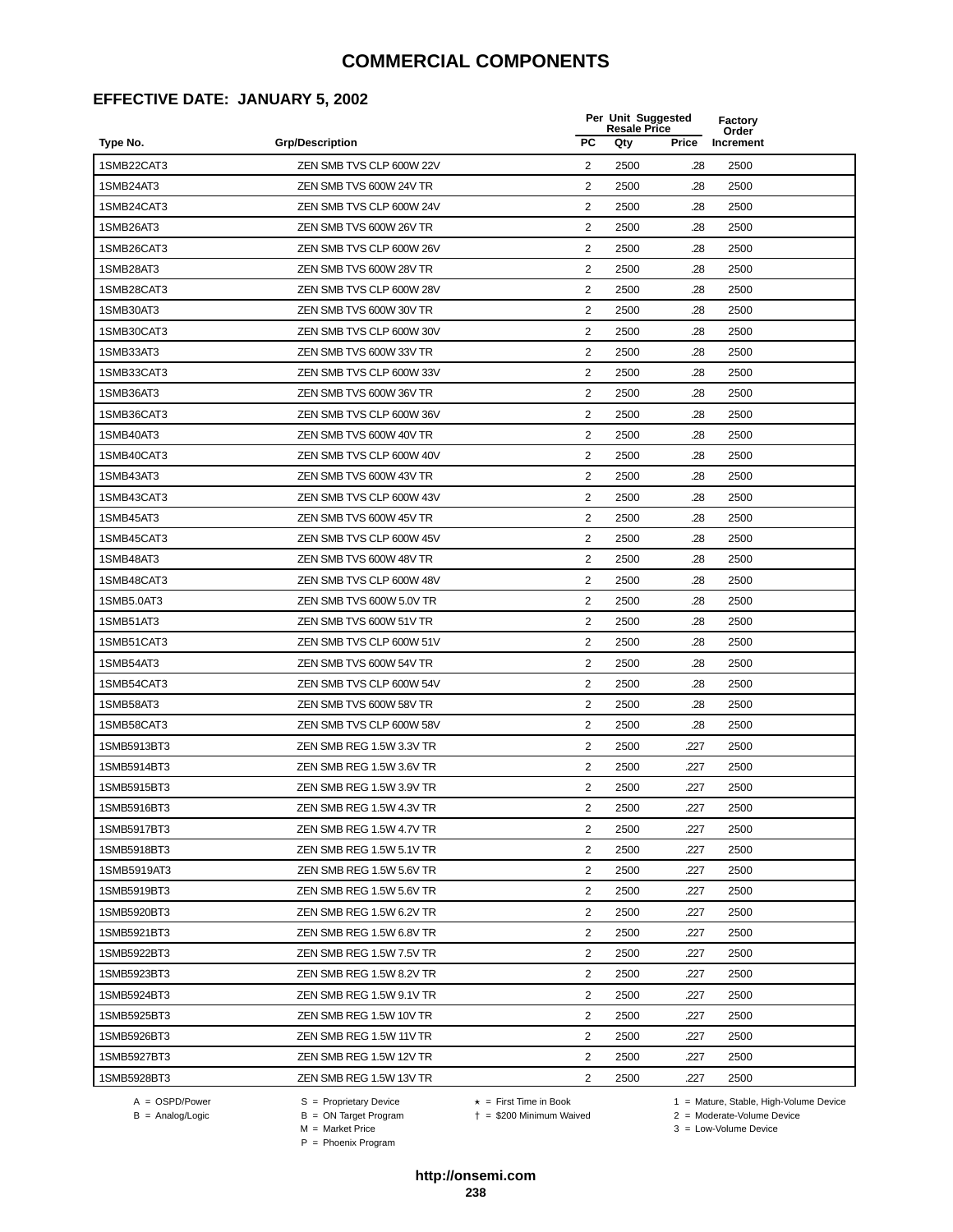#### **EFFECTIVE DATE: JANUARY 5, 2002**

|             |                          |                | Per Unit Suggested<br><b>Resale Price</b> |       | <b>Factory</b><br>Order |
|-------------|--------------------------|----------------|-------------------------------------------|-------|-------------------------|
| Type No.    | <b>Grp/Description</b>   | <b>PC</b>      | Qty                                       | Price | Increment               |
| 1SMB22CAT3  | ZEN SMB TVS CLP 600W 22V | $\overline{2}$ | 2500                                      | .28   | 2500                    |
| 1SMB24AT3   | ZEN SMB TVS 600W 24V TR  | 2              | 2500                                      | .28   | 2500                    |
| 1SMB24CAT3  | ZEN SMB TVS CLP 600W 24V | 2              | 2500                                      | .28   | 2500                    |
| 1SMB26AT3   | ZEN SMB TVS 600W 26V TR  | $\overline{2}$ | 2500                                      | .28   | 2500                    |
| 1SMB26CAT3  | ZEN SMB TVS CLP 600W 26V | $\overline{2}$ | 2500                                      | .28   | 2500                    |
| 1SMB28AT3   | ZEN SMB TVS 600W 28V TR  | 2              | 2500                                      | .28   | 2500                    |
| 1SMB28CAT3  | ZEN SMB TVS CLP 600W 28V | 2              | 2500                                      | .28   | 2500                    |
| 1SMB30AT3   | ZEN SMB TVS 600W 30V TR  | 2              | 2500                                      | .28   | 2500                    |
| 1SMB30CAT3  | ZEN SMB TVS CLP 600W 30V | 2              | 2500                                      | .28   | 2500                    |
| 1SMB33AT3   | ZEN SMB TVS 600W 33V TR  | $\overline{2}$ | 2500                                      | .28   | 2500                    |
| 1SMB33CAT3  | ZEN SMB TVS CLP 600W 33V | 2              | 2500                                      | .28   | 2500                    |
| 1SMB36AT3   | ZEN SMB TVS 600W 36V TR  | $\overline{2}$ | 2500                                      | .28   | 2500                    |
| 1SMB36CAT3  | ZEN SMB TVS CLP 600W 36V | $\overline{2}$ | 2500                                      | .28   | 2500                    |
| 1SMB40AT3   | ZEN SMB TVS 600W 40V TR  | $\overline{2}$ | 2500                                      | .28   | 2500                    |
| 1SMB40CAT3  | ZEN SMB TVS CLP 600W 40V | 2              | 2500                                      | .28   | 2500                    |
| 1SMB43AT3   | ZEN SMB TVS 600W 43V TR  | $\overline{2}$ | 2500                                      | .28   | 2500                    |
| 1SMB43CAT3  | ZEN SMB TVS CLP 600W 43V | 2              | 2500                                      | .28   | 2500                    |
| 1SMB45AT3   | ZEN SMB TVS 600W 45V TR  | 2              | 2500                                      | .28   | 2500                    |
| 1SMB45CAT3  | ZEN SMB TVS CLP 600W 45V | $\overline{2}$ | 2500                                      | .28   | 2500                    |
| 1SMB48AT3   | ZEN SMB TVS 600W 48V TR  | 2              | 2500                                      | .28   | 2500                    |
| 1SMB48CAT3  | ZEN SMB TVS CLP 600W 48V | 2              | 2500                                      | .28   | 2500                    |
| 1SMB5.0AT3  | ZEN SMB TVS 600W 5.0V TR | 2              | 2500                                      | .28   | 2500                    |
| 1SMB51AT3   | ZEN SMB TVS 600W 51V TR  | $\overline{2}$ | 2500                                      | .28   | 2500                    |
| 1SMB51CAT3  | ZEN SMB TVS CLP 600W 51V | 2              | 2500                                      | .28   | 2500                    |
| 1SMB54AT3   | ZEN SMB TVS 600W 54V TR  | $\overline{2}$ | 2500                                      | .28   | 2500                    |
| 1SMB54CAT3  | ZEN SMB TVS CLP 600W 54V | 2              | 2500                                      | .28   | 2500                    |
| 1SMB58AT3   | ZEN SMB TVS 600W 58V TR  | 2              | 2500                                      | .28   | 2500                    |
| 1SMB58CAT3  | ZEN SMB TVS CLP 600W 58V | $\overline{2}$ | 2500                                      | .28   | 2500                    |
| 1SMB5913BT3 | ZEN SMB REG 1.5W 3.3V TR | 2              | 2500                                      | .227  | 2500                    |
| 1SMB5914BT3 | ZEN SMB REG 1.5W 3.6V TR | 2              | 2500                                      | .227  | 2500                    |
| 1SMB5915BT3 | ZEN SMB REG 1.5W 3.9V TR | $\overline{2}$ | 2500                                      | .227  | 2500                    |
| 1SMB5916BT3 | ZEN SMB REG 1.5W 4.3V TR | $\overline{c}$ | 2500                                      | 227   | 2500                    |
| 1SMB5917BT3 | ZEN SMB REG 1.5W 4.7V TR | 2              | 2500                                      | .227  | 2500                    |
| 1SMB5918BT3 | ZEN SMB REG 1.5W 5.1V TR | 2              | 2500                                      | .227  | 2500                    |
| 1SMB5919AT3 | ZEN SMB REG 1.5W 5.6V TR | $\overline{2}$ | 2500                                      | .227  | 2500                    |
| 1SMB5919BT3 | ZEN SMB REG 1.5W 5.6V TR | 2              | 2500                                      | .227  | 2500                    |
| 1SMB5920BT3 | ZEN SMB REG 1.5W 6.2V TR | $\overline{2}$ | 2500                                      | .227  | 2500                    |
| 1SMB5921BT3 | ZEN SMB REG 1.5W 6.8V TR | 2              | 2500                                      | .227  | 2500                    |
| 1SMB5922BT3 | ZEN SMB REG 1.5W 7.5V TR | $\overline{2}$ | 2500                                      | .227  | 2500                    |
| 1SMB5923BT3 | ZEN SMB REG 1.5W 8.2V TR | 2              | 2500                                      | .227  | 2500                    |
| 1SMB5924BT3 | ZEN SMB REG 1.5W 9.1V TR | $\overline{2}$ | 2500                                      | .227  | 2500                    |
| 1SMB5925BT3 | ZEN SMB REG 1.5W 10V TR  | 2              | 2500                                      | .227  | 2500                    |
| 1SMB5926BT3 | ZEN SMB REG 1.5W 11V TR  | 2              | 2500                                      | .227  | 2500                    |
| 1SMB5927BT3 | ZEN SMB REG 1.5W 12V TR  | $\overline{2}$ | 2500                                      | .227  | 2500                    |
| 1SMB5928BT3 | ZEN SMB REG 1.5W 13V TR  | 2              | 2500                                      | .227  | 2500                    |
|             |                          |                |                                           |       |                         |

B = Analog/Logic<br>B = Analog/Logic<br>M = Market Price

A = OSPD/Power S = Proprietary Device  $\star$  = First Time in Book 1 = Mature, Stable, High-Volume Device

= \$200 Minimum Waived 2 = Moderate-Volume Device

 $3 =$  Low-Volume Device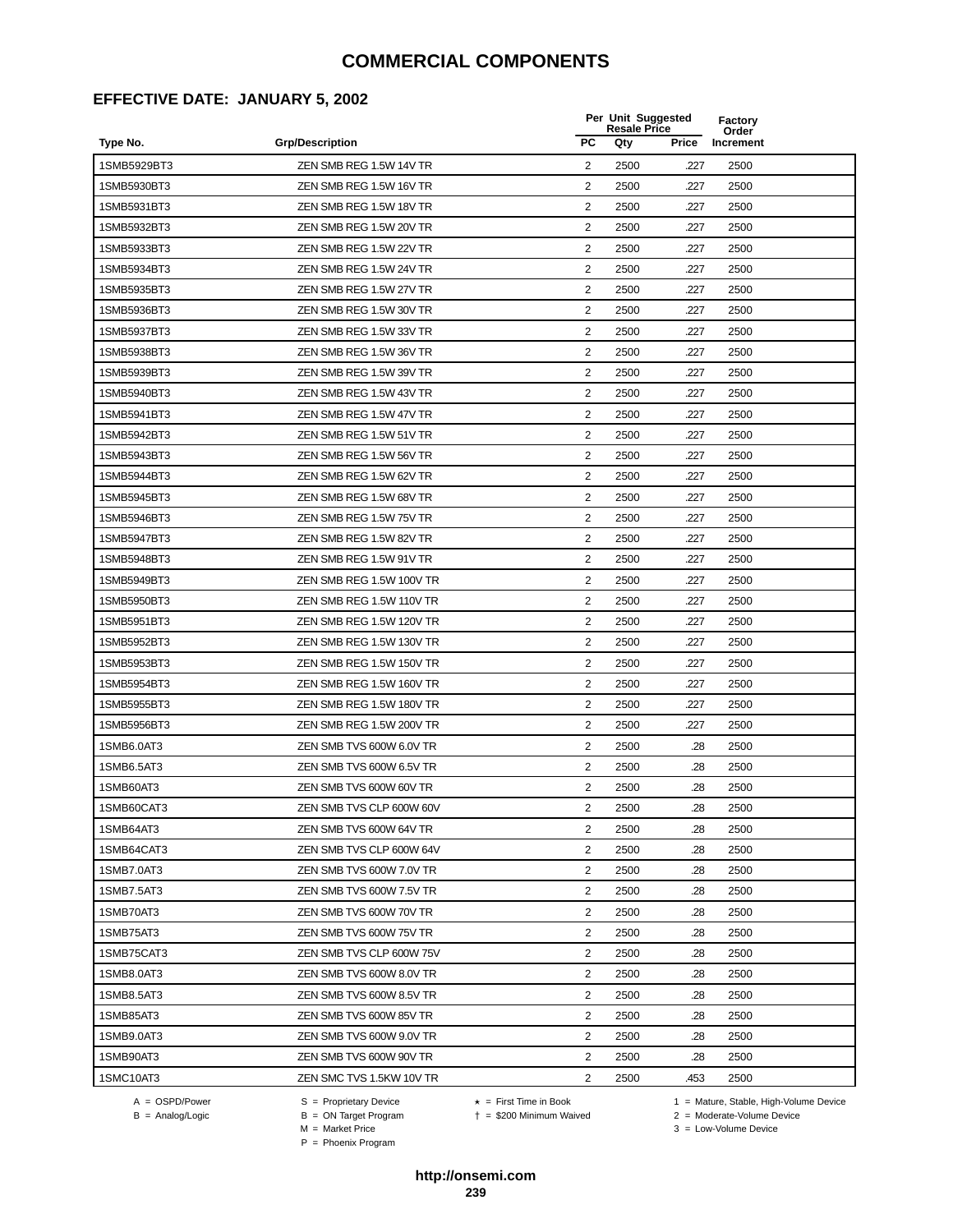## **EFFECTIVE DATE: JANUARY 5, 2002**

|             |                          |                | Per Unit Suggested<br><b>Resale Price</b> |       | Factory<br>Order |
|-------------|--------------------------|----------------|-------------------------------------------|-------|------------------|
| Type No.    | <b>Grp/Description</b>   | PC             | Qty                                       | Price | Increment        |
| 1SMB5929BT3 | ZEN SMB REG 1.5W 14V TR  | 2              | 2500                                      | .227  | 2500             |
| 1SMB5930BT3 | ZEN SMB REG 1.5W 16V TR  | 2              | 2500                                      | .227  | 2500             |
| 1SMB5931BT3 | ZEN SMB REG 1.5W 18V TR  | $\overline{2}$ | 2500                                      | .227  | 2500             |
| 1SMB5932BT3 | ZEN SMB REG 1.5W 20V TR  | $\overline{2}$ | 2500                                      | .227  | 2500             |
| 1SMB5933BT3 | ZEN SMB REG 1.5W 22V TR  | $\overline{2}$ | 2500                                      | .227  | 2500             |
| 1SMB5934BT3 | ZEN SMB REG 1.5W 24V TR  | 2              | 2500                                      | .227  | 2500             |
| 1SMB5935BT3 | ZEN SMB REG 1.5W 27V TR  | $\overline{2}$ | 2500                                      | .227  | 2500             |
| 1SMB5936BT3 | ZEN SMB REG 1.5W 30V TR  | 2              | 2500                                      | .227  | 2500             |
| 1SMB5937BT3 | ZEN SMB REG 1.5W 33V TR  | 2              | 2500                                      | .227  | 2500             |
| 1SMB5938BT3 | ZEN SMB REG 1.5W 36V TR  | $\overline{2}$ | 2500                                      | .227  | 2500             |
| 1SMB5939BT3 | ZEN SMB REG 1.5W 39V TR  | 2              | 2500                                      | .227  | 2500             |
| 1SMB5940BT3 | ZEN SMB REG 1.5W 43V TR  | $\overline{2}$ | 2500                                      | .227  | 2500             |
| 1SMB5941BT3 | ZEN SMB REG 1.5W 47V TR  | $\overline{2}$ | 2500                                      | .227  | 2500             |
| 1SMB5942BT3 | ZEN SMB REG 1.5W 51V TR  | $\overline{2}$ | 2500                                      | .227  | 2500             |
| 1SMB5943BT3 | ZEN SMB REG 1.5W 56V TR  | 2              | 2500                                      | .227  | 2500             |
| 1SMB5944BT3 | ZEN SMB REG 1.5W 62V TR  | $\overline{2}$ | 2500                                      | .227  | 2500             |
| 1SMB5945BT3 | ZEN SMB REG 1.5W 68V TR  | 2              | 2500                                      | .227  | 2500             |
| 1SMB5946BT3 | ZEN SMB REG 1.5W 75V TR  | $\overline{2}$ | 2500                                      | .227  | 2500             |
| 1SMB5947BT3 | ZEN SMB REG 1.5W 82V TR  | $\overline{2}$ | 2500                                      | .227  | 2500             |
| 1SMB5948BT3 | ZEN SMB REG 1.5W 91V TR  | 2              | 2500                                      | .227  | 2500             |
| 1SMB5949BT3 | ZEN SMB REG 1.5W 100V TR | $\overline{2}$ | 2500                                      | .227  | 2500             |
| 1SMB5950BT3 | ZEN SMB REG 1.5W 110V TR | $\overline{2}$ | 2500                                      | .227  | 2500             |
| 1SMB5951BT3 | ZEN SMB REG 1.5W 120V TR | $\overline{2}$ | 2500                                      | .227  | 2500             |
| 1SMB5952BT3 | ZEN SMB REG 1.5W 130V TR | 2              | 2500                                      | .227  | 2500             |
| 1SMB5953BT3 | ZEN SMB REG 1.5W 150V TR | $\overline{2}$ | 2500                                      | .227  | 2500             |
| 1SMB5954BT3 | ZEN SMB REG 1.5W 160V TR | 2              | 2500                                      | .227  | 2500             |
| 1SMB5955BT3 | ZEN SMB REG 1.5W 180V TR | $\overline{2}$ | 2500                                      | .227  | 2500             |
| 1SMB5956BT3 | ZEN SMB REG 1.5W 200V TR | 2              | 2500                                      | .227  | 2500             |
| 1SMB6.0AT3  | ZEN SMB TVS 600W 6.0V TR | 2              | 2500                                      | .28   | 2500             |
| 1SMB6.5AT3  | ZEN SMB TVS 600W 6.5V TR | 2              | 2500                                      | .28   | 2500             |
| 1SMB60AT3   | ZEN SMB TVS 600W 60V TR  | 2              | 2500                                      | .28   | 2500             |
| 1SMB60CAT3  | ZEN SMB TVS CLP 600W 60V | 2              | 2500                                      | .28   | 2500             |
| 1SMB64AT3   | ZEN SMB TVS 600W 64V TR  | $\overline{2}$ | 2500                                      | .28   | 2500             |
| 1SMB64CAT3  | ZEN SMB TVS CLP 600W 64V | $\overline{2}$ | 2500                                      | .28   | 2500             |
| 1SMB7.0AT3  | ZEN SMB TVS 600W 7.0V TR | $\overline{2}$ | 2500                                      | .28   | 2500             |
| 1SMB7.5AT3  | ZEN SMB TVS 600W 7.5V TR | $\overline{2}$ | 2500                                      | .28   | 2500             |
| 1SMB70AT3   | ZEN SMB TVS 600W 70V TR  | 2              | 2500                                      | .28   | 2500             |
| 1SMB75AT3   | ZEN SMB TVS 600W 75V TR  | 2              | 2500                                      | .28   | 2500             |
| 1SMB75CAT3  | ZEN SMB TVS CLP 600W 75V | 2              | 2500                                      | .28   | 2500             |
| 1SMB8.0AT3  | ZEN SMB TVS 600W 8.0V TR | 2              | 2500                                      | .28   | 2500             |
| 1SMB8.5AT3  | ZEN SMB TVS 600W 8.5V TR | 2              | 2500                                      | .28   | 2500             |
| 1SMB85AT3   | ZEN SMB TVS 600W 85V TR  | 2              | 2500                                      | .28   | 2500             |
| 1SMB9.0AT3  | ZEN SMB TVS 600W 9.0V TR | 2              | 2500                                      | .28   | 2500             |
| 1SMB90AT3   | ZEN SMB TVS 600W 90V TR  | $\overline{2}$ | 2500                                      | .28   | 2500             |
| 1SMC10AT3   | ZEN SMC TVS 1.5KW 10V TR | 2              | 2500                                      | .453  | 2500             |

= \$200 Minimum Waived 2 = Moderate-Volume Device

A = OSPD/Power S = Proprietary Device  $\star$  = First Time in Book 1 = Mature, Stable, High-Volume Device  $2 =$  Moderate-Volume Device<br> $3 =$  Low-Volume Device

A = OSPD/Power S = Proprietary Device<br>
B = Analog/Logic B = ON Target Program<br>
M = Market Price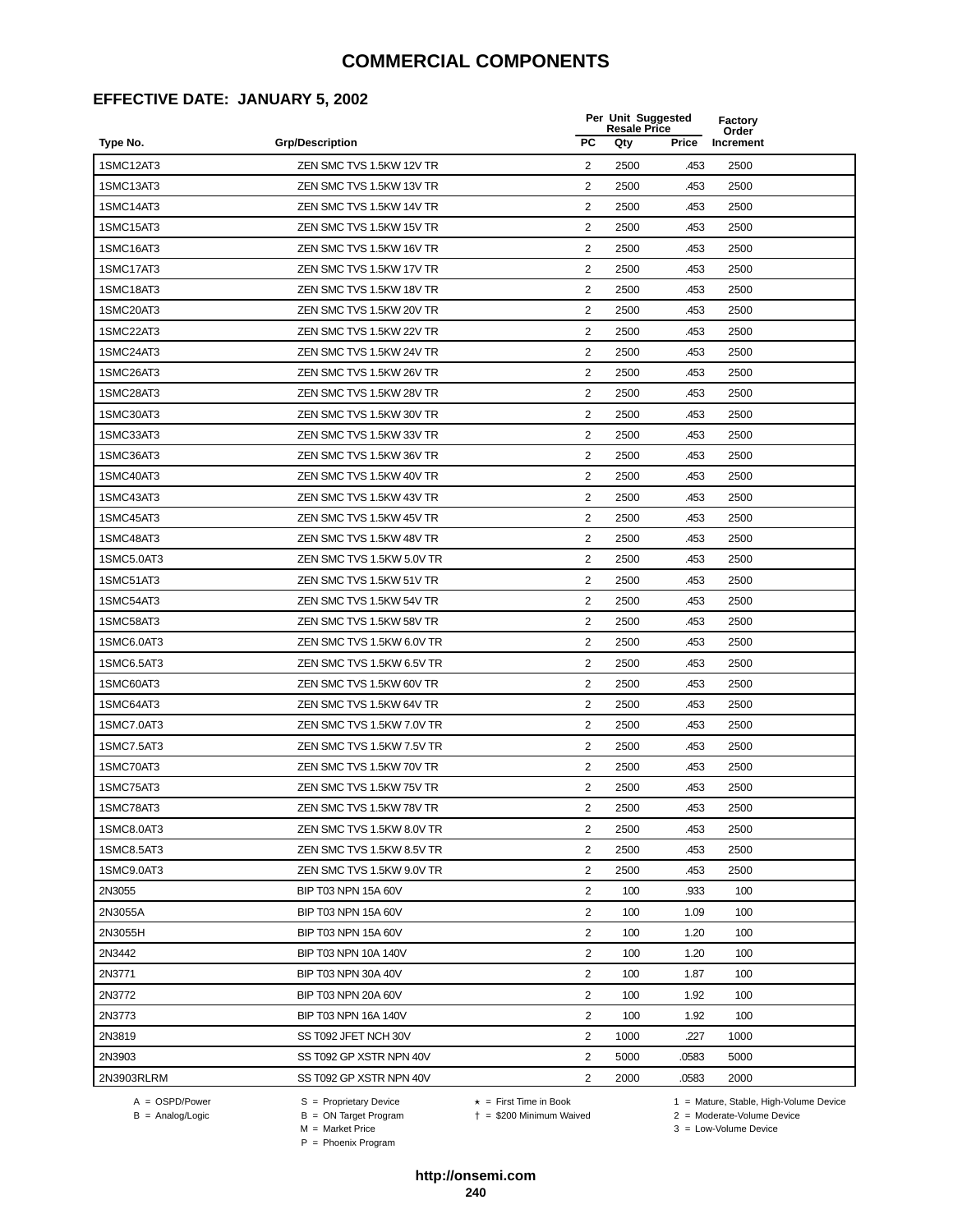## **EFFECTIVE DATE: JANUARY 5, 2002**

|            |                           |                | Per Unit Suggested<br><b>Resale Price</b> |       |                    |  |
|------------|---------------------------|----------------|-------------------------------------------|-------|--------------------|--|
| Type No.   | <b>Grp/Description</b>    | <b>PC</b>      | Qty                                       | Price | Order<br>Increment |  |
| 1SMC12AT3  | ZEN SMC TVS 1.5KW 12V TR  | $\overline{2}$ | 2500                                      | .453  | 2500               |  |
| 1SMC13AT3  | ZEN SMC TVS 1.5KW 13V TR  | 2              | 2500                                      | .453  | 2500               |  |
| 1SMC14AT3  | ZEN SMC TVS 1.5KW 14V TR  | 2              | 2500                                      | .453  | 2500               |  |
| 1SMC15AT3  | ZEN SMC TVS 1.5KW 15V TR  | 2              | 2500                                      | .453  | 2500               |  |
| 1SMC16AT3  | ZEN SMC TVS 1.5KW 16V TR  | 2              | 2500                                      | .453  | 2500               |  |
| 1SMC17AT3  | ZEN SMC TVS 1.5KW 17V TR  | 2              | 2500                                      | .453  | 2500               |  |
| 1SMC18AT3  | ZEN SMC TVS 1.5KW 18V TR  | 2              | 2500                                      | .453  | 2500               |  |
| 1SMC20AT3  | ZEN SMC TVS 1.5KW 20V TR  | $\overline{2}$ | 2500                                      | .453  | 2500               |  |
| 1SMC22AT3  | ZEN SMC TVS 1.5KW 22V TR  | $\overline{2}$ | 2500                                      | .453  | 2500               |  |
| 1SMC24AT3  | ZEN SMC TVS 1.5KW 24V TR  | 2              | 2500                                      | .453  | 2500               |  |
| 1SMC26AT3  | ZEN SMC TVS 1.5KW 26V TR  | $\overline{2}$ | 2500                                      | .453  | 2500               |  |
| 1SMC28AT3  | ZEN SMC TVS 1.5KW 28V TR  | 2              | 2500                                      | .453  | 2500               |  |
| 1SMC30AT3  | ZEN SMC TVS 1.5KW 30V TR  | 2              | 2500                                      | .453  | 2500               |  |
| 1SMC33AT3  | ZEN SMC TVS 1.5KW 33V TR  | 2              | 2500                                      | .453  | 2500               |  |
| 1SMC36AT3  | ZEN SMC TVS 1.5KW 36V TR  | 2              | 2500                                      | .453  | 2500               |  |
| 1SMC40AT3  | ZEN SMC TVS 1.5KW 40V TR  | 2              | 2500                                      | .453  | 2500               |  |
| 1SMC43AT3  | ZEN SMC TVS 1.5KW 43V TR  | $\overline{2}$ | 2500                                      | .453  | 2500               |  |
| 1SMC45AT3  | ZEN SMC TVS 1.5KW 45V TR  | 2              | 2500                                      | .453  | 2500               |  |
| 1SMC48AT3  | ZEN SMC TVS 1.5KW 48V TR  | $\overline{2}$ | 2500                                      | .453  | 2500               |  |
| 1SMC5.0AT3 | ZEN SMC TVS 1.5KW 5.0V TR | 2              | 2500                                      | .453  | 2500               |  |
| 1SMC51AT3  | ZEN SMC TVS 1.5KW 51V TR  | 2              | 2500                                      | .453  | 2500               |  |
| 1SMC54AT3  | ZEN SMC TVS 1.5KW 54V TR  | 2              | 2500                                      | .453  | 2500               |  |
| 1SMC58AT3  | ZEN SMC TVS 1.5KW 58V TR  | 2              | 2500                                      | .453  | 2500               |  |
| 1SMC6.0AT3 | ZEN SMC TVS 1.5KW 6.0V TR | 2              | 2500                                      | .453  | 2500               |  |
| 1SMC6.5AT3 | ZEN SMC TVS 1.5KW 6.5V TR | 2              | 2500                                      | .453  | 2500               |  |
| 1SMC60AT3  | ZEN SMC TVS 1.5KW 60V TR  | $\overline{2}$ | 2500                                      | .453  | 2500               |  |
| 1SMC64AT3  | ZEN SMC TVS 1.5KW 64V TR  | 2              | 2500                                      | .453  | 2500               |  |
| 1SMC7.0AT3 | ZEN SMC TVS 1.5KW 7.0V TR | 2              | 2500                                      | .453  | 2500               |  |
| 1SMC7.5AT3 | ZEN SMC TVS 1.5KW 7.5V TR | 2              | 2500                                      | .453  | 2500               |  |
| 1SMC70AT3  | ZEN SMC TVS 1.5KW 70V TR  | 2              | 2500                                      | .453  | 2500               |  |
| 1SMC75AT3  | ZEN SMC TVS 1.5KW 75V TR  | 2              | 2500                                      | .453  | 2500               |  |
| 1SMC78AT3  | ZEN SMC TVS 1.5KW 78V TR  | 2              | 2500                                      | .453  | 2500               |  |
| 1SMC8.0AT3 | ZEN SMC TVS 1.5KW 8.0V TR | 2              | 2500                                      | .453  | 2500               |  |
| 1SMC8.5AT3 | ZEN SMC TVS 1.5KW 8.5V TR | 2              | 2500                                      | .453  | 2500               |  |
| 1SMC9.0AT3 | ZEN SMC TVS 1.5KW 9.0V TR | 2              | 2500                                      | .453  | 2500               |  |
| 2N3055     | BIP T03 NPN 15A 60V       | $\overline{2}$ | 100                                       | .933  | 100                |  |
| 2N3055A    | BIP T03 NPN 15A 60V       | $\overline{c}$ | 100                                       | 1.09  | 100                |  |
| 2N3055H    | BIP T03 NPN 15A 60V       | $\overline{c}$ | 100                                       | 1.20  | 100                |  |
| 2N3442     | BIP T03 NPN 10A 140V      | $\overline{2}$ | 100                                       | 1.20  | 100                |  |
| 2N3771     | BIP T03 NPN 30A 40V       | 2              | 100                                       | 1.87  | 100                |  |
| 2N3772     | BIP T03 NPN 20A 60V       | $\overline{2}$ | 100                                       | 1.92  | 100                |  |
| 2N3773     | BIP T03 NPN 16A 140V      | 2              | 100                                       | 1.92  | 100                |  |
| 2N3819     | SS T092 JFET NCH 30V      | 2              | 1000                                      | .227  | 1000               |  |
| 2N3903     | SS T092 GP XSTR NPN 40V   | 2              | 5000                                      | .0583 | 5000               |  |
| 2N3903RLRM | SS T092 GP XSTR NPN 40V   | $\overline{c}$ | 2000                                      | .0583 | 2000               |  |

A = OSPD/Power S = Proprietary Device<br>
B = Analog/Logic B = ON Target Program<br>
M = Market Price

A = OSPD/Power S = Proprietary Device  $\star$  = First Time in Book 1 = Mature, Stable, High-Volume Device  $2 =$  Moderate-Volume Device<br> $3 =$  Low-Volume Device

= \$200 Minimum Waived 2 = Moderate-Volume Device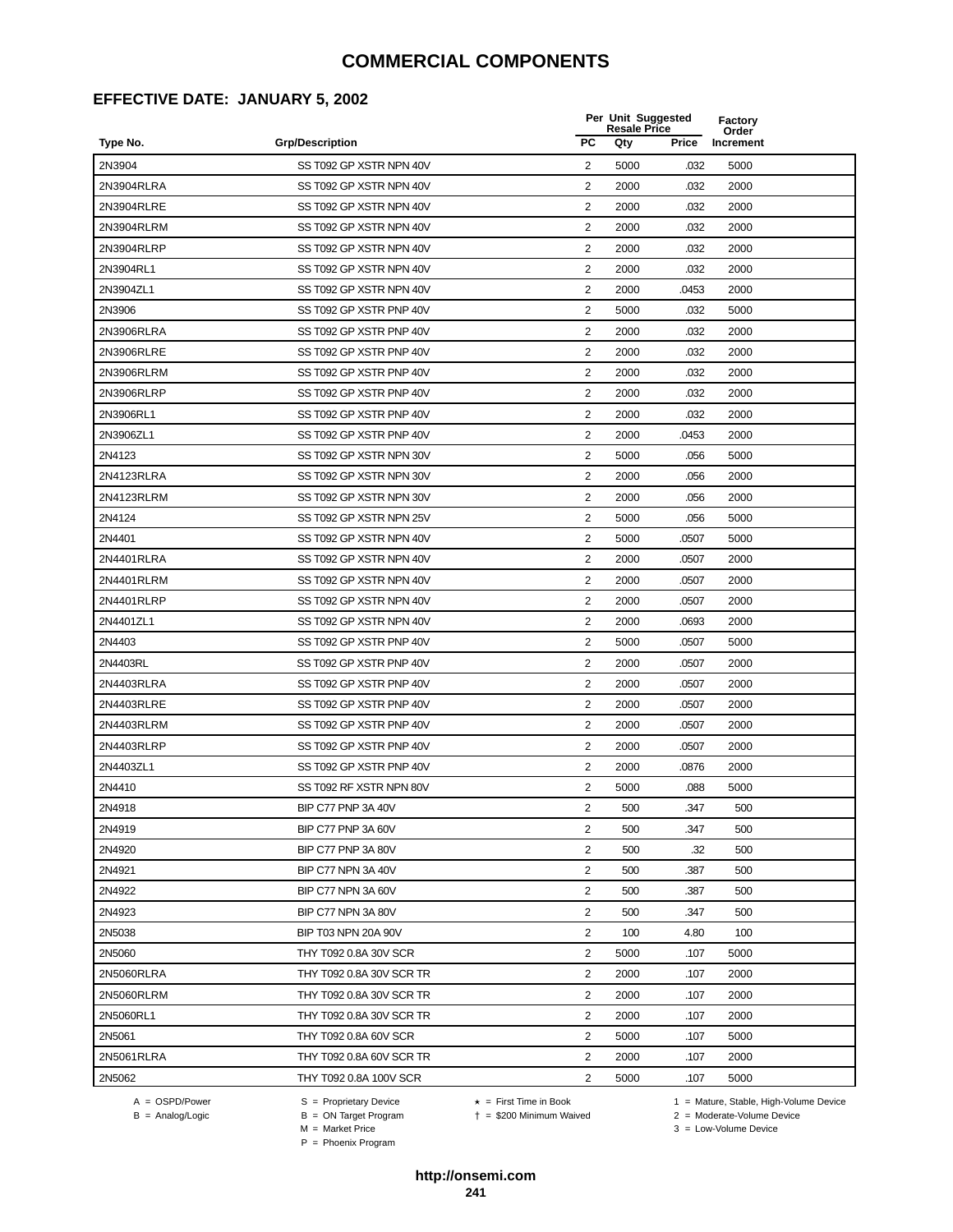#### **EFFECTIVE DATE: JANUARY 5, 2002**

|            |                          |                | Per Unit Suggested<br><b>Resale Price</b> |       | Factory<br>Order |  |
|------------|--------------------------|----------------|-------------------------------------------|-------|------------------|--|
| Type No.   | <b>Grp/Description</b>   | <b>PC</b>      | Qty                                       | Price | Increment        |  |
| 2N3904     | SS T092 GP XSTR NPN 40V  | 2              | 5000                                      | .032  | 5000             |  |
| 2N3904RLRA | SS T092 GP XSTR NPN 40V  | $\overline{2}$ | 2000                                      | .032  | 2000             |  |
| 2N3904RLRE | SS T092 GP XSTR NPN 40V  | $\overline{2}$ | 2000                                      | .032  | 2000             |  |
| 2N3904RLRM | SS T092 GP XSTR NPN 40V  | $\overline{2}$ | 2000                                      | .032  | 2000             |  |
| 2N3904RLRP | SS T092 GP XSTR NPN 40V  | 2              | 2000                                      | .032  | 2000             |  |
| 2N3904RL1  | SS T092 GP XSTR NPN 40V  | 2              | 2000                                      | .032  | 2000             |  |
| 2N3904ZL1  | SS T092 GP XSTR NPN 40V  | $\overline{2}$ | 2000                                      | .0453 | 2000             |  |
| 2N3906     | SS T092 GP XSTR PNP 40V  | 2              | 5000                                      | .032  | 5000             |  |
| 2N3906RLRA | SS T092 GP XSTR PNP 40V  | 2              | 2000                                      | .032  | 2000             |  |
| 2N3906RLRE | SS T092 GP XSTR PNP 40V  | 2              | 2000                                      | .032  | 2000             |  |
| 2N3906RLRM | SS T092 GP XSTR PNP 40V  | $\overline{2}$ | 2000                                      | .032  | 2000             |  |
| 2N3906RLRP | SS T092 GP XSTR PNP 40V  | $\overline{2}$ | 2000                                      | .032  | 2000             |  |
| 2N3906RL1  | SS T092 GP XSTR PNP 40V  | $\overline{2}$ | 2000                                      | .032  | 2000             |  |
| 2N3906ZL1  | SS T092 GP XSTR PNP 40V  | $\overline{2}$ | 2000                                      | .0453 | 2000             |  |
| 2N4123     | SS T092 GP XSTR NPN 30V  | 2              | 5000                                      | .056  | 5000             |  |
| 2N4123RLRA | SS T092 GP XSTR NPN 30V  | $\overline{2}$ | 2000                                      | .056  | 2000             |  |
| 2N4123RLRM | SS T092 GP XSTR NPN 30V  | 2              | 2000                                      | .056  | 2000             |  |
| 2N4124     | SS T092 GP XSTR NPN 25V  | $\overline{2}$ | 5000                                      | .056  | 5000             |  |
| 2N4401     | SS T092 GP XSTR NPN 40V  | $\overline{2}$ | 5000                                      | .0507 | 5000             |  |
| 2N4401RLRA | SS T092 GP XSTR NPN 40V  | 2              | 2000                                      | .0507 | 2000             |  |
| 2N4401RLRM | SS T092 GP XSTR NPN 40V  | $\overline{2}$ | 2000                                      | .0507 | 2000             |  |
| 2N4401RLRP | SS T092 GP XSTR NPN 40V  | $\overline{2}$ | 2000                                      | .0507 | 2000             |  |
| 2N4401ZL1  | SS T092 GP XSTR NPN 40V  | 2              | 2000                                      | .0693 | 2000             |  |
| 2N4403     | SS T092 GP XSTR PNP 40V  | 2              | 5000                                      | .0507 | 5000             |  |
| 2N4403RL   | SS T092 GP XSTR PNP 40V  | $\overline{2}$ | 2000                                      | .0507 | 2000             |  |
| 2N4403RLRA | SS T092 GP XSTR PNP 40V  | 2              | 2000                                      | .0507 | 2000             |  |
| 2N4403RLRE | SS T092 GP XSTR PNP 40V  | 2              | 2000                                      | .0507 | 2000             |  |
| 2N4403RLRM | SS T092 GP XSTR PNP 40V  | 2              | 2000                                      | .0507 | 2000             |  |
| 2N4403RLRP | SS T092 GP XSTR PNP 40V  | 2              | 2000                                      | .0507 | 2000             |  |
| 2N4403ZL1  | SS T092 GP XSTR PNP 40V  | 2              | 2000                                      | .0876 | 2000             |  |
| 2N4410     | SS T092 RF XSTR NPN 80V  | 2              | 5000                                      | .088  | 5000             |  |
| 2N4918     | BIP C77 PNP 3A 40V       | 2              | 500                                       | .347  | 500              |  |
| 2N4919     | BIP C77 PNP 3A 60V       | $\overline{2}$ | 500                                       | .347  | 500              |  |
| 2N4920     | BIP C77 PNP 3A 80V       | $\overline{2}$ | 500                                       | .32   | 500              |  |
| 2N4921     | BIP C77 NPN 3A 40V       | 2              | 500                                       | .387  | 500              |  |
| 2N4922     | BIP C77 NPN 3A 60V       | $\overline{2}$ | 500                                       | .387  | 500              |  |
| 2N4923     | BIP C77 NPN 3A 80V       | $\overline{2}$ | 500                                       | .347  | 500              |  |
| 2N5038     | BIP T03 NPN 20A 90V      | 2              | 100                                       | 4.80  | 100              |  |
| 2N5060     | THY T092 0.8A 30V SCR    | $\overline{2}$ | 5000                                      | .107  | 5000             |  |
| 2N5060RLRA | THY T092 0.8A 30V SCR TR | 2              | 2000                                      | .107  | 2000             |  |
| 2N5060RLRM | THY T092 0.8A 30V SCR TR | 2              | 2000                                      | .107  | 2000             |  |
| 2N5060RL1  | THY T092 0.8A 30V SCR TR | 2              | 2000                                      | .107  | 2000             |  |
| 2N5061     | THY T092 0.8A 60V SCR    | $\overline{2}$ | 5000                                      | .107  | 5000             |  |
| 2N5061RLRA | THY T092 0.8A 60V SCR TR | $\overline{2}$ | 2000                                      | .107  | 2000             |  |
| 2N5062     | THY T092 0.8A 100V SCR   | 2              | 5000                                      | .107  | 5000             |  |

A = OSPD/Power S = Proprietary Device<br>
B = Analog/Logic B = ON Target Program<br>
M = Market Price

= \$200 Minimum Waived 2 = Moderate-Volume Device

A = OSPD/Power S = Proprietary Device  $\star$  = First Time in Book 1 = Mature, Stable, High-Volume Device

 $2 =$  Moderate-Volume Device<br> $3 =$  Low-Volume Device

P = Phoenix Program

**http://onsemi.com**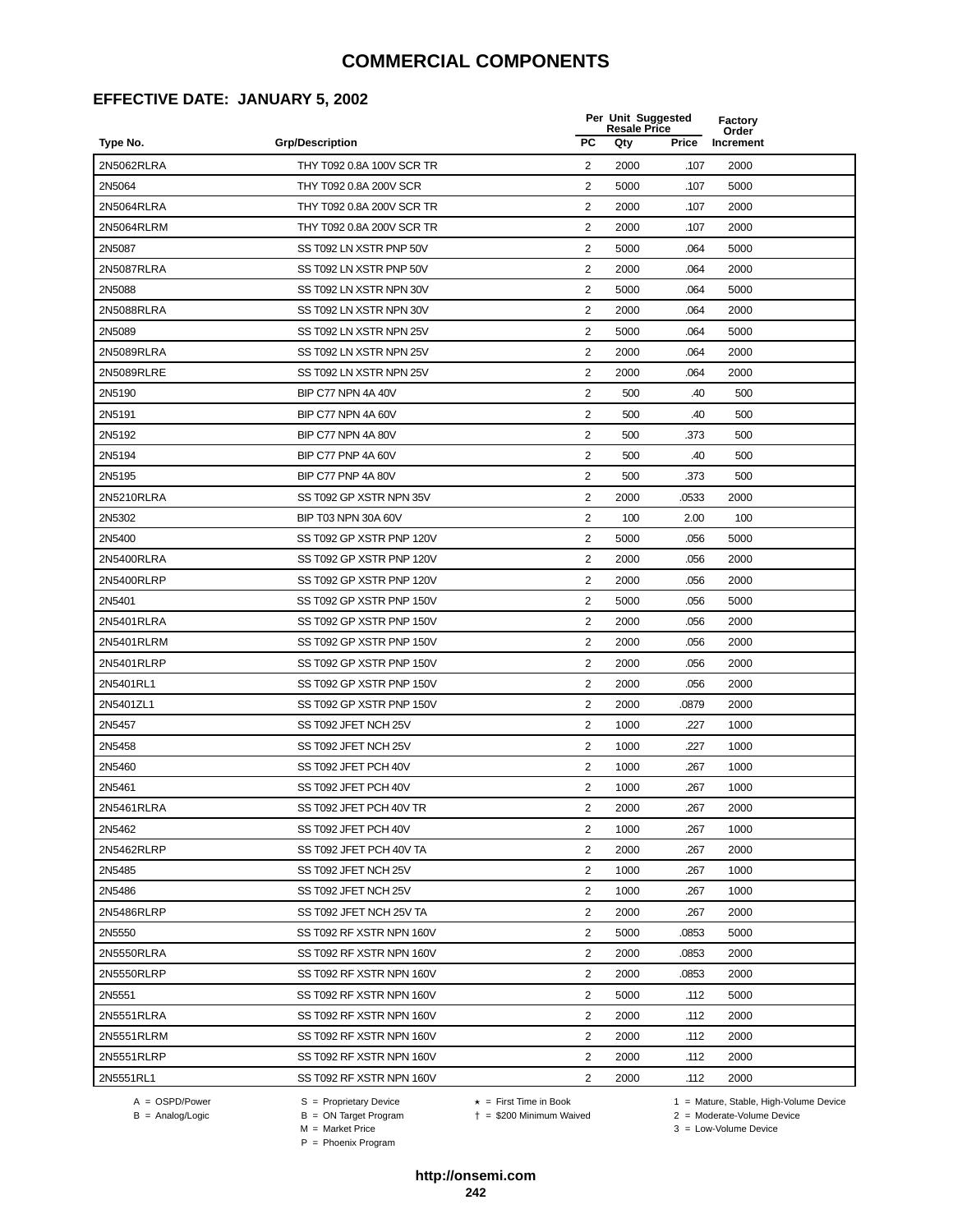#### **EFFECTIVE DATE: JANUARY 5, 2002**

|            |                           |                | Per Unit Suggested<br><b>Resale Price</b> |       | Factory<br>Order |  |
|------------|---------------------------|----------------|-------------------------------------------|-------|------------------|--|
| Type No.   | <b>Grp/Description</b>    | <b>PC</b>      | Qty                                       | Price | Increment        |  |
| 2N5062RLRA | THY T092 0.8A 100V SCR TR | 2              | 2000                                      | .107  | 2000             |  |
| 2N5064     | THY T092 0.8A 200V SCR    | $\overline{2}$ | 5000                                      | .107  | 5000             |  |
| 2N5064RLRA | THY T092 0.8A 200V SCR TR | $\overline{2}$ | 2000                                      | .107  | 2000             |  |
| 2N5064RLRM | THY T092 0.8A 200V SCR TR | $\overline{2}$ | 2000                                      | .107  | 2000             |  |
| 2N5087     | SS T092 LN XSTR PNP 50V   | 2              | 5000                                      | .064  | 5000             |  |
| 2N5087RLRA | SS T092 LN XSTR PNP 50V   | 2              | 2000                                      | .064  | 2000             |  |
| 2N5088     | SS T092 LN XSTR NPN 30V   | $\overline{2}$ | 5000                                      | .064  | 5000             |  |
| 2N5088RLRA | SS T092 LN XSTR NPN 30V   | 2              | 2000                                      | .064  | 2000             |  |
| 2N5089     | SS T092 LN XSTR NPN 25V   | 2              | 5000                                      | .064  | 5000             |  |
| 2N5089RLRA | SS T092 LN XSTR NPN 25V   | 2              | 2000                                      | .064  | 2000             |  |
| 2N5089RLRE | SS T092 LN XSTR NPN 25V   | $\overline{2}$ | 2000                                      | .064  | 2000             |  |
| 2N5190     | BIP C77 NPN 4A 40V        | $\overline{2}$ | 500                                       | .40   | 500              |  |
| 2N5191     | BIP C77 NPN 4A 60V        | $\overline{2}$ | 500                                       | .40   | 500              |  |
| 2N5192     | BIP C77 NPN 4A 80V        | $\overline{2}$ | 500                                       | .373  | 500              |  |
| 2N5194     | BIP C77 PNP 4A 60V        | 2              | 500                                       | .40   | 500              |  |
| 2N5195     | BIP C77 PNP 4A 80V        | $\sqrt{2}$     | 500                                       | .373  | 500              |  |
| 2N5210RLRA | SS T092 GP XSTR NPN 35V   | $\overline{2}$ | 2000                                      | .0533 | 2000             |  |
| 2N5302     | BIP T03 NPN 30A 60V       | $\mathbf{2}$   | 100                                       | 2.00  | 100              |  |
| 2N5400     | SS T092 GP XSTR PNP 120V  | $\overline{2}$ | 5000                                      | .056  | 5000             |  |
| 2N5400RLRA | SS T092 GP XSTR PNP 120V  | 2              | 2000                                      | .056  | 2000             |  |
| 2N5400RLRP | SS T092 GP XSTR PNP 120V  | $\overline{2}$ | 2000                                      | .056  | 2000             |  |
| 2N5401     | SS T092 GP XSTR PNP 150V  | $\overline{2}$ | 5000                                      | .056  | 5000             |  |
| 2N5401RLRA | SS T092 GP XSTR PNP 150V  | $\overline{2}$ | 2000                                      | .056  | 2000             |  |
| 2N5401RLRM | SS T092 GP XSTR PNP 150V  | 2              | 2000                                      | .056  | 2000             |  |
| 2N5401RLRP | SS T092 GP XSTR PNP 150V  | $\overline{2}$ | 2000                                      | .056  | 2000             |  |
| 2N5401RL1  | SS T092 GP XSTR PNP 150V  | 2              | 2000                                      | .056  | 2000             |  |
| 2N5401ZL1  | SS T092 GP XSTR PNP 150V  | 2              | 2000                                      | .0879 | 2000             |  |
| 2N5457     | SS T092 JFET NCH 25V      | $\overline{2}$ | 1000                                      | .227  | 1000             |  |
| 2N5458     | SS T092 JFET NCH 25V      | $\overline{2}$ | 1000                                      | .227  | 1000             |  |
| 2N5460     | SS T092 JFET PCH 40V      | 2              | 1000                                      | .267  | 1000             |  |
| 2N5461     | SS T092 JFET PCH 40V      | 2              | 1000                                      | .267  | 1000             |  |
| 2N5461RLRA | SS T092 JFET PCH 40V TR   | 2              | 2000                                      | .267  | 2000             |  |
| 2N5462     | SS T092 JFET PCH 40V      | 2              | 1000                                      | .267  | 1000             |  |
| 2N5462RLRP | SS T092 JFET PCH 40V TA   | $\overline{2}$ | 2000                                      | .267  | 2000             |  |
| 2N5485     | SS T092 JFET NCH 25V      | $\overline{2}$ | 1000                                      | .267  | 1000             |  |
| 2N5486     | SS T092 JFET NCH 25V      | $\overline{2}$ | 1000                                      | .267  | 1000             |  |
| 2N5486RLRP | SS T092 JFET NCH 25V TA   | 2              | 2000                                      | .267  | 2000             |  |
| 2N5550     | SS T092 RF XSTR NPN 160V  | 2              | 5000                                      | .0853 | 5000             |  |
| 2N5550RLRA | SS T092 RF XSTR NPN 160V  | 2              | 2000                                      | .0853 | 2000             |  |
| 2N5550RLRP | SS T092 RF XSTR NPN 160V  | 2              | 2000                                      | .0853 | 2000             |  |
| 2N5551     | SS T092 RF XSTR NPN 160V  | 2              | 5000                                      | .112  | 5000             |  |
| 2N5551RLRA | SS T092 RF XSTR NPN 160V  | 2              | 2000                                      | .112  | 2000             |  |
| 2N5551RLRM | SS T092 RF XSTR NPN 160V  | $\overline{2}$ | 2000                                      | .112  | 2000             |  |
| 2N5551RLRP | SS T092 RF XSTR NPN 160V  | $\overline{2}$ | 2000                                      | .112  | 2000             |  |
| 2N5551RL1  | SS T092 RF XSTR NPN 160V  | 2              | 2000                                      | .112  | 2000             |  |

A = OSPD/Power S = Proprietary Device<br>
B = Analog/Logic B = ON Target Program<br>
M = Market Price

A = OSPD/Power S = Proprietary Device  $\star$  = First Time in Book 1 = Mature, Stable, High-Volume Device

 = \$200 Minimum Waived 2 = Moderate-Volume Device  $2 =$  Moderate-Volume Device<br> $3 =$  Low-Volume Device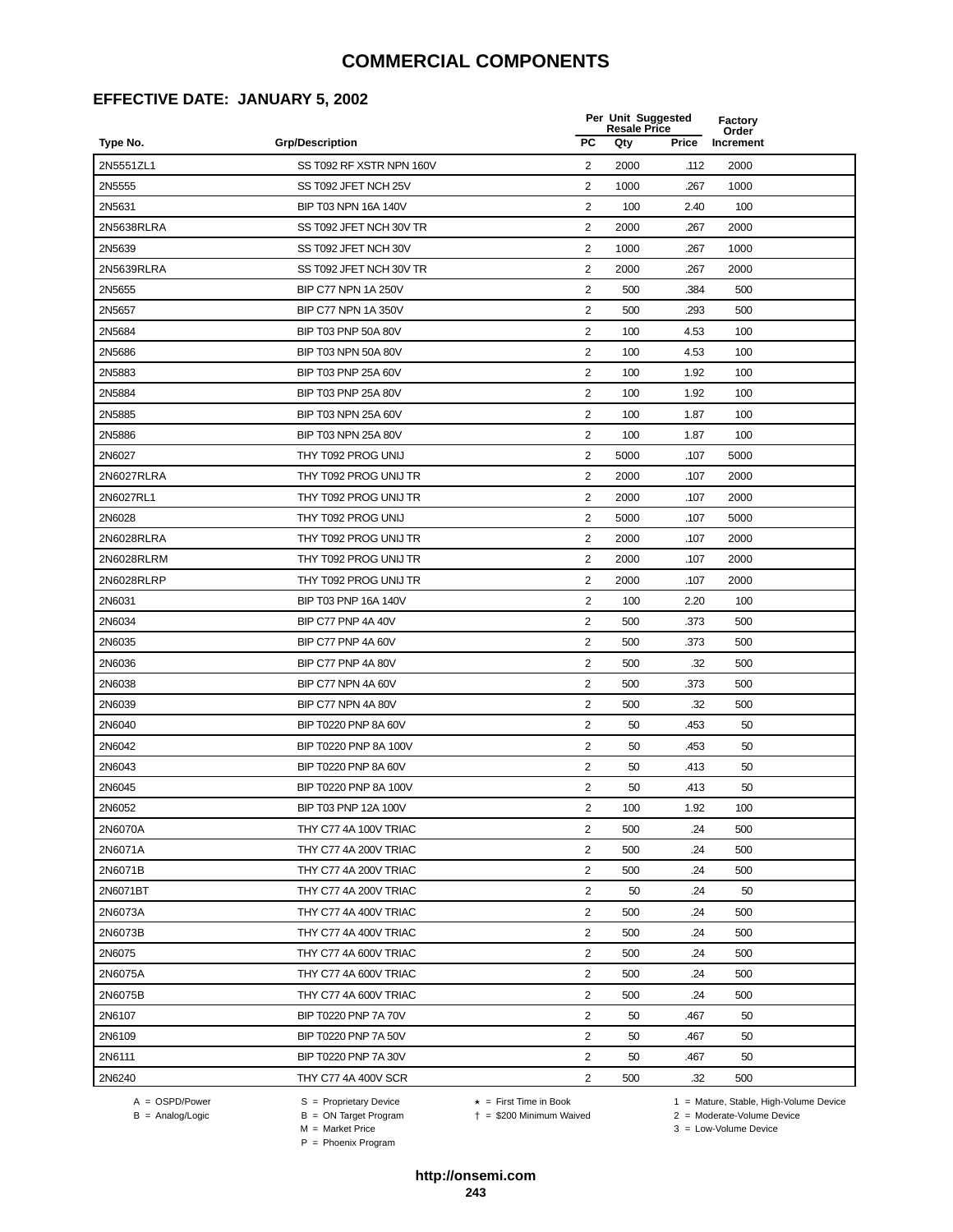#### **EFFECTIVE DATE: JANUARY 5, 2002**

|            |                          |                | Per Unit Suggested<br><b>Resale Price</b> |       | Factory<br>Order |  |
|------------|--------------------------|----------------|-------------------------------------------|-------|------------------|--|
| Type No.   | <b>Grp/Description</b>   | <b>PC</b>      | Qty                                       | Price | Increment        |  |
| 2N5551ZL1  | SS T092 RF XSTR NPN 160V | 2              | 2000                                      | .112  | 2000             |  |
| 2N5555     | SS T092 JFET NCH 25V     | 2              | 1000                                      | .267  | 1000             |  |
| 2N5631     | BIP T03 NPN 16A 140V     | $\overline{2}$ | 100                                       | 2.40  | 100              |  |
| 2N5638RLRA | SS T092 JFET NCH 30V TR  | $\overline{2}$ | 2000                                      | .267  | 2000             |  |
| 2N5639     | SS T092 JFET NCH 30V     | $\overline{c}$ | 1000                                      | .267  | 1000             |  |
| 2N5639RLRA | SS T092 JFET NCH 30V TR  | $\mathbf{2}$   | 2000                                      | .267  | 2000             |  |
| 2N5655     | BIP C77 NPN 1A 250V      | 2              | 500                                       | .384  | 500              |  |
| 2N5657     | BIP C77 NPN 1A 350V      | 2              | 500                                       | .293  | 500              |  |
| 2N5684     | BIP T03 PNP 50A 80V      | $\overline{2}$ | 100                                       | 4.53  | 100              |  |
| 2N5686     | BIP T03 NPN 50A 80V      | 2              | 100                                       | 4.53  | 100              |  |
| 2N5883     | BIP T03 PNP 25A 60V      | 2              | 100                                       | 1.92  | 100              |  |
| 2N5884     | BIP T03 PNP 25A 80V      | $\overline{2}$ | 100                                       | 1.92  | 100              |  |
| 2N5885     | BIP T03 NPN 25A 60V      | $\overline{2}$ | 100                                       | 1.87  | 100              |  |
| 2N5886     | BIP T03 NPN 25A 80V      | $\overline{2}$ | 100                                       | 1.87  | 100              |  |
| 2N6027     | THY T092 PROG UNIJ       | 2              | 5000                                      | .107  | 5000             |  |
| 2N6027RLRA | THY T092 PROG UNIJ TR    | 2              | 2000                                      | .107  | 2000             |  |
| 2N6027RL1  | THY T092 PROG UNIJ TR    | 2              | 2000                                      | .107  | 2000             |  |
| 2N6028     | THY T092 PROG UNIJ       | $\overline{2}$ | 5000                                      | .107  | 5000             |  |
| 2N6028RLRA | THY T092 PROG UNIJ TR    | $\overline{2}$ | 2000                                      | .107  | 2000             |  |
| 2N6028RLRM | THY T092 PROG UNIJ TR    | 2              | 2000                                      | .107  | 2000             |  |
| 2N6028RLRP | THY T092 PROG UNIJ TR    | $\overline{2}$ | 2000                                      | .107  | 2000             |  |
| 2N6031     | BIP T03 PNP 16A 140V     | $\overline{2}$ | 100                                       | 2.20  | 100              |  |
| 2N6034     | BIP C77 PNP 4A 40V       | $\overline{2}$ | 500                                       | .373  | 500              |  |
| 2N6035     | BIP C77 PNP 4A 60V       | $\overline{2}$ | 500                                       | .373  | 500              |  |
| 2N6036     | BIP C77 PNP 4A 80V       | $\overline{c}$ | 500                                       | .32   | 500              |  |
| 2N6038     | BIP C77 NPN 4A 60V       | $\overline{2}$ | 500                                       | .373  | 500              |  |
| 2N6039     | BIP C77 NPN 4A 80V       | $\overline{c}$ | 500                                       | .32   | 500              |  |
| 2N6040     | BIP T0220 PNP 8A 60V     | 2              | 50                                        | .453  | 50               |  |
| 2N6042     | BIP T0220 PNP 8A 100V    | 2              | 50                                        | .453  | 50               |  |
| 2N6043     | BIP T0220 PNP 8A 60V     | $\overline{2}$ | 50                                        | .413  | 50               |  |
| 2N6045     | BIP T0220 PNP 8A 100V    | 2              | 50                                        | .413  | 50               |  |
| 2N6052     | BIP T03 PNP 12A 100V     | 2              | 100                                       | 1.92  | 100              |  |
| 2N6070A    | THY C77 4A 100V TRIAC    | 2              | 500                                       | .24   | 500              |  |
| 2N6071A    | THY C77 4A 200V TRIAC    | 2              | 500                                       | .24   | 500              |  |
| 2N6071B    | THY C77 4A 200V TRIAC    | $\overline{2}$ | 500                                       | .24   | 500              |  |
| 2N6071BT   | THY C77 4A 200V TRIAC    | $\overline{c}$ | 50                                        | .24   | 50               |  |
| 2N6073A    | THY C77 4A 400V TRIAC    | $\overline{2}$ | 500                                       | .24   | 500              |  |
| 2N6073B    | THY C77 4A 400V TRIAC    | 2              | 500                                       | .24   | 500              |  |
| 2N6075     | THY C77 4A 600V TRIAC    | 2              | 500                                       | .24   | 500              |  |
| 2N6075A    | THY C77 4A 600V TRIAC    | $\overline{c}$ | 500                                       | .24   | 500              |  |
| 2N6075B    | THY C77 4A 600V TRIAC    | $\overline{c}$ | 500                                       | .24   | 500              |  |
| 2N6107     | BIP T0220 PNP 7A 70V     | 2              | 50                                        | .467  | 50               |  |
| 2N6109     | BIP T0220 PNP 7A 50V     | $\overline{2}$ | 50                                        | .467  | 50               |  |
| 2N6111     | BIP T0220 PNP 7A 30V     | 2              | 50                                        | .467  | 50               |  |
| 2N6240     | THY C77 4A 400V SCR      | $\overline{2}$ | 500                                       | .32   | 500              |  |

B = Analog/Logic<br>B = Analog/Logic<br>M = Market Price

= \$200 Minimum Waived 2 = Moderate-Volume Device

A = OSPD/Power S = Proprietary Device  $\star$  = First Time in Book 1 = Mature, Stable, High-Volume Device

 $3 =$  Low-Volume Device

P = Phoenix Program

**http://onsemi.com 243**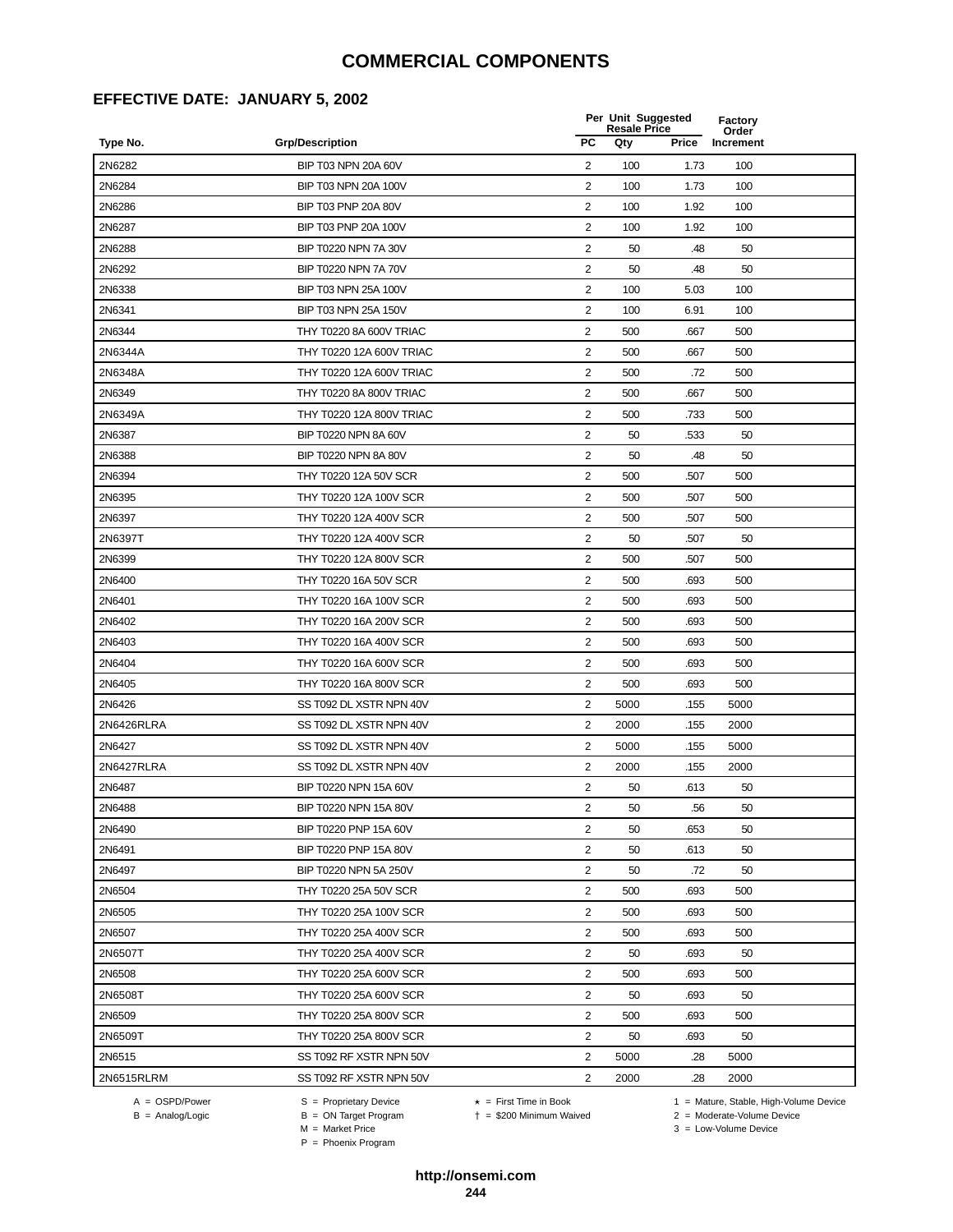### **EFFECTIVE DATE: JANUARY 5, 2002**

|            |                          |                | Per Unit Suggested<br><b>Resale Price</b> |       | Factory<br>Order |  |
|------------|--------------------------|----------------|-------------------------------------------|-------|------------------|--|
| Type No.   | <b>Grp/Description</b>   | <b>PC</b>      | Qty                                       | Price | Increment        |  |
| 2N6282     | BIP T03 NPN 20A 60V      | 2              | 100                                       | 1.73  | 100              |  |
| 2N6284     | BIP T03 NPN 20A 100V     | 2              | 100                                       | 1.73  | 100              |  |
| 2N6286     | BIP T03 PNP 20A 80V      | $\overline{2}$ | 100                                       | 1.92  | 100              |  |
| 2N6287     | BIP T03 PNP 20A 100V     | 2              | 100                                       | 1.92  | 100              |  |
| 2N6288     | BIP T0220 NPN 7A 30V     | $\overline{2}$ | 50                                        | .48   | 50               |  |
| 2N6292     | BIP T0220 NPN 7A 70V     | 2              | 50                                        | .48   | 50               |  |
| 2N6338     | BIP T03 NPN 25A 100V     | $\overline{2}$ | 100                                       | 5.03  | 100              |  |
| 2N6341     | BIP T03 NPN 25A 150V     | $\overline{2}$ | 100                                       | 6.91  | 100              |  |
| 2N6344     | THY T0220 8A 600V TRIAC  | 2              | 500                                       | .667  | 500              |  |
| 2N6344A    | THY T0220 12A 600V TRIAC | $\overline{2}$ | 500                                       | .667  | 500              |  |
| 2N6348A    | THY T0220 12A 600V TRIAC | 2              | 500                                       | .72   | 500              |  |
| 2N6349     | THY T0220 8A 800V TRIAC  | $\overline{2}$ | 500                                       | .667  | 500              |  |
| 2N6349A    | THY T0220 12A 800V TRIAC | 2              | 500                                       | .733  | 500              |  |
| 2N6387     | BIP T0220 NPN 8A 60V     | $\sqrt{2}$     | 50                                        | .533  | 50               |  |
| 2N6388     | BIP T0220 NPN 8A 80V     | 2              | 50                                        | .48   | 50               |  |
| 2N6394     | THY T0220 12A 50V SCR    | 2              | 500                                       | .507  | 500              |  |
| 2N6395     | THY T0220 12A 100V SCR   | 2              | 500                                       | .507  | 500              |  |
| 2N6397     | THY T0220 12A 400V SCR   | 2              | 500                                       | .507  | 500              |  |
| 2N6397T    | THY T0220 12A 400V SCR   | $\overline{2}$ | 50                                        | .507  | 50               |  |
| 2N6399     | THY T0220 12A 800V SCR   | 2              | 500                                       | .507  | 500              |  |
| 2N6400     | THY T0220 16A 50V SCR    | $\overline{2}$ | 500                                       | .693  | 500              |  |
| 2N6401     | THY T0220 16A 100V SCR   | $\overline{2}$ | 500                                       | .693  | 500              |  |
| 2N6402     | THY T0220 16A 200V SCR   | $\overline{2}$ | 500                                       | .693  | 500              |  |
| 2N6403     | THY T0220 16A 400V SCR   | 2              | 500                                       | .693  | 500              |  |
| 2N6404     | THY T0220 16A 600V SCR   | 2              | 500                                       | .693  | 500              |  |
| 2N6405     | THY T0220 16A 800V SCR   | 2              | 500                                       | .693  | 500              |  |
| 2N6426     | SS T092 DL XSTR NPN 40V  | $\overline{2}$ | 5000                                      | .155  | 5000             |  |
| 2N6426RLRA | SS T092 DL XSTR NPN 40V  | $\overline{2}$ | 2000                                      | .155  | 2000             |  |
| 2N6427     | SS T092 DL XSTR NPN 40V  | $\overline{2}$ | 5000                                      | .155  | 5000             |  |
| 2N6427RLRA | SS T092 DL XSTR NPN 40V  | $\overline{2}$ | 2000                                      | .155  | 2000             |  |
| 2N6487     | BIP T0220 NPN 15A 60V    | $\overline{2}$ | 50                                        | .613  | 50               |  |
| 2N6488     | BIP T0220 NPN 15A 80V    | 2              | 50                                        | .56   | 50               |  |
| 2N6490     | BIP T0220 PNP 15A 60V    | $\overline{2}$ | 50                                        | .653  | 50               |  |
| 2N6491     | BIP T0220 PNP 15A 80V    | 2              | 50                                        | .613  | 50               |  |
| 2N6497     | BIP T0220 NPN 5A 250V    | $\overline{2}$ | 50                                        | .72   | 50               |  |
| 2N6504     | THY T0220 25A 50V SCR    | $\overline{2}$ | 500                                       | .693  | 500              |  |
| 2N6505     | THY T0220 25A 100V SCR   | 2              | 500                                       | .693  | 500              |  |
| 2N6507     | THY T0220 25A 400V SCR   | 2              | 500                                       | .693  | 500              |  |
| 2N6507T    | THY T0220 25A 400V SCR   | $\overline{2}$ | 50                                        | .693  | 50               |  |
| 2N6508     | THY T0220 25A 600V SCR   | $\overline{2}$ | 500                                       | .693  | 500              |  |
| 2N6508T    | THY T0220 25A 600V SCR   | 2              | 50                                        | .693  | 50               |  |
| 2N6509     | THY T0220 25A 800V SCR   | 2              | 500                                       | .693  | 500              |  |
| 2N6509T    | THY T0220 25A 800V SCR   | 2              | 50                                        | .693  | 50               |  |
| 2N6515     | SS T092 RF XSTR NPN 50V  | 2              | 5000                                      | .28   | 5000             |  |
| 2N6515RLRM | SS T092 RF XSTR NPN 50V  | 2              | 2000                                      | .28   | 2000             |  |

 $B = \text{Analog/Logic}$ <br>  $B = \text{Analog/Logic}$ <br>  $M = \text{Market Price}$ 

A = OSPD/Power S = Proprietary Device  $\star$  = First Time in Book 1 = Mature, Stable, High-Volume Device = \$200 Minimum Waived 2 = Moderate-Volume Device

 $3 =$  Low-Volume Device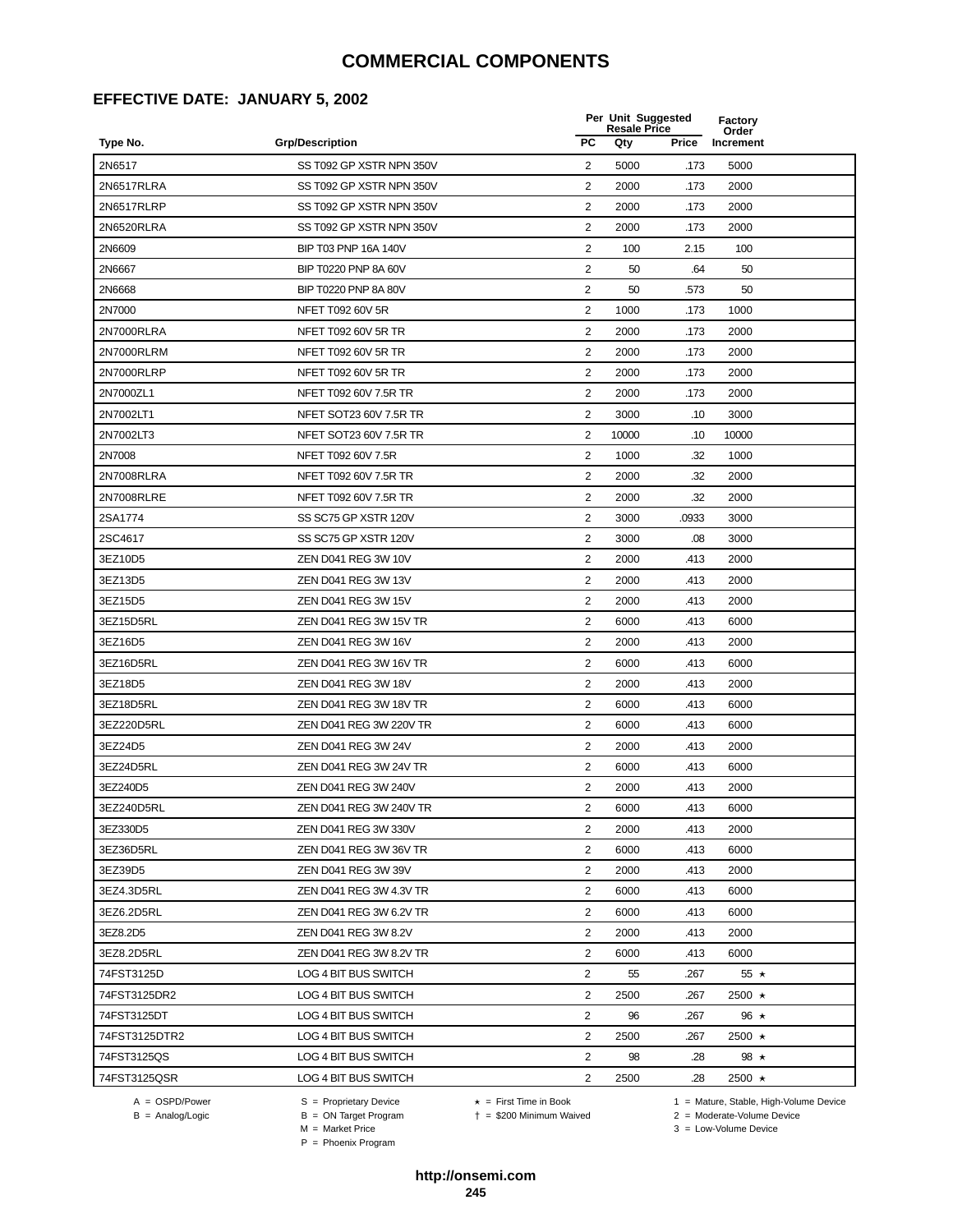#### **EFFECTIVE DATE: JANUARY 5, 2002**

|                                        |                         | <b>Resale Price</b> | Per Unit Suggested | Factory<br>Order |  |
|----------------------------------------|-------------------------|---------------------|--------------------|------------------|--|
| Type No.<br><b>Grp/Description</b>     | <b>PC</b>               | Qty                 | Price              | Increment        |  |
| 2N6517<br>SS T092 GP XSTR NPN 350V     | 2                       | 5000                | .173               | 5000             |  |
| 2N6517RLRA<br>SS T092 GP XSTR NPN 350V | 2                       | 2000                | .173               | 2000             |  |
| 2N6517RLRP<br>SS T092 GP XSTR NPN 350V | 2                       | 2000                | .173               | 2000             |  |
| 2N6520RLRA<br>SS T092 GP XSTR NPN 350V | 2                       | 2000                | .173               | 2000             |  |
| 2N6609<br>BIP T03 PNP 16A 140V         | $\overline{c}$          | 100                 | 2.15               | 100              |  |
| 2N6667<br>BIP T0220 PNP 8A 60V         | $\overline{2}$          | 50                  | .64                | 50               |  |
| 2N6668<br>BIP T0220 PNP 8A 80V         | $\overline{2}$          | 50                  | .573               | 50               |  |
| 2N7000<br>NFET T092 60V 5R             | 2                       | 1000                | .173               | 1000             |  |
| 2N7000RLRA<br>NFET T092 60V 5R TR      | 2                       | 2000                | .173               | 2000             |  |
| 2N7000RLRM<br>NFET T092 60V 5R TR      | $\overline{2}$          | 2000                | .173               | 2000             |  |
| 2N7000RLRP<br>NFET T092 60V 5R TR      | 2                       | 2000                | .173               | 2000             |  |
| 2N7000ZL1<br>NFET T092 60V 7.5R TR     | 2                       | 2000                | .173               | 2000             |  |
| 2N7002LT1<br>NFET SOT23 60V 7.5R TR    | 2                       | 3000                | .10                | 3000             |  |
| 2N7002LT3<br>NFET SOT23 60V 7.5R TR    | $\overline{c}$          | 10000               | .10                | 10000            |  |
| 2N7008<br>NFET T092 60V 7.5R           | 2                       | 1000                | .32                | 1000             |  |
| 2N7008RLRA<br>NFET T092 60V 7.5R TR    | $\overline{2}$          | 2000                | .32                | 2000             |  |
| 2N7008RLRE<br>NFET T092 60V 7.5R TR    | 2                       | 2000                | .32                | 2000             |  |
| 2SA1774<br>SS SC75 GP XSTR 120V        | $\overline{c}$          | 3000                | .0933              | 3000             |  |
| 2SC4617<br>SS SC75 GP XSTR 120V        | 2                       | 3000                | .08                | 3000             |  |
| 3EZ10D5<br>ZEN D041 REG 3W 10V         | 2                       | 2000                | .413               | 2000             |  |
| 3EZ13D5<br>ZEN D041 REG 3W 13V         | 2                       | 2000                | .413               | 2000             |  |
| 3EZ15D5<br>ZEN D041 REG 3W 15V         | $\overline{c}$          | 2000                | .413               | 2000             |  |
| 3EZ15D5RL<br>ZEN D041 REG 3W 15V TR    | $\overline{2}$          | 6000                | .413               | 6000             |  |
| 3EZ16D5<br>ZEN D041 REG 3W 16V         | $\overline{2}$          | 2000                | .413               | 2000             |  |
| 3EZ16D5RL<br>ZEN D041 REG 3W 16V TR    | $\overline{2}$          | 6000                | .413               | 6000             |  |
| 3EZ18D5<br>ZEN D041 REG 3W 18V         | 2                       | 2000                | .413               | 2000             |  |
| 3EZ18D5RL<br>ZEN D041 REG 3W 18V TR    | $\overline{c}$          | 6000                | .413               | 6000             |  |
| 3EZ220D5RL<br>ZEN D041 REG 3W 220V TR  | $\overline{2}$          | 6000                | .413               | 6000             |  |
| 3EZ24D5<br>ZEN D041 REG 3W 24V         | 2                       | 2000                | .413               | 2000             |  |
| 3EZ24D5RL<br>ZEN D041 REG 3W 24V TR    | 2                       | 6000                | .413               | 6000             |  |
| 3EZ240D5<br>ZEN D041 REG 3W 240V       | 2                       | 2000                | .413               | 2000             |  |
| 3EZ240D5RL<br>ZEN D041 REG 3W 240V TR  | $\overline{\mathbf{c}}$ | 6000                | .413               | 6000             |  |
| 3EZ330D5<br>ZEN D041 REG 3W 330V       | 2                       | 2000                | .413               | 2000             |  |
| 3EZ36D5RL<br>ZEN D041 REG 3W 36V TR    | 2                       | 6000                | .413               | 6000             |  |
| 3EZ39D5<br>ZEN D041 REG 3W 39V         | $\overline{2}$          | 2000                | .413               | 2000             |  |
| 3EZ4.3D5RL<br>ZEN D041 REG 3W 4.3V TR  | 2                       | 6000                | .413               | 6000             |  |
| 3EZ6.2D5RL<br>ZEN D041 REG 3W 6.2V TR  | 2                       | 6000                | .413               | 6000             |  |
| 3EZ8.2D5<br>ZEN D041 REG 3W 8.2V       | 2                       | 2000                | .413               | 2000             |  |
| 3EZ8.2D5RL<br>ZEN D041 REG 3W 8.2V TR  | $\overline{2}$          | 6000                | .413               | 6000             |  |
| 74FST3125D<br>LOG 4 BIT BUS SWITCH     | 2                       | 55                  | .267               | $55 \star$       |  |
| 74FST3125DR2<br>LOG 4 BIT BUS SWITCH   | $\overline{c}$          | 2500                | .267               | 2500 $\star$     |  |
| 74FST3125DT<br>LOG 4 BIT BUS SWITCH    | $\overline{2}$          | 96                  | .267               | $96 \star$       |  |
| 74FST3125DTR2<br>LOG 4 BIT BUS SWITCH  | 2                       | 2500                | .267               | $2500 \star$     |  |
| 74FST3125QS<br>LOG 4 BIT BUS SWITCH    | 2                       | 98                  | .28                | 98 $\star$       |  |
| 74FST3125QSR<br>LOG 4 BIT BUS SWITCH   | $\overline{2}$          | 2500                | .28                | 2500 $\star$     |  |

B = Analog/Logic<br>B = Analog/Logic<br>M = Market Price

A = OSPD/Power S = Proprietary Device  $\star$  = First Time in Book 1 = Mature, Stable, High-Volume Device = \$200 Minimum Waived 2 = Moderate-Volume Device

 $3 =$  Low-Volume Device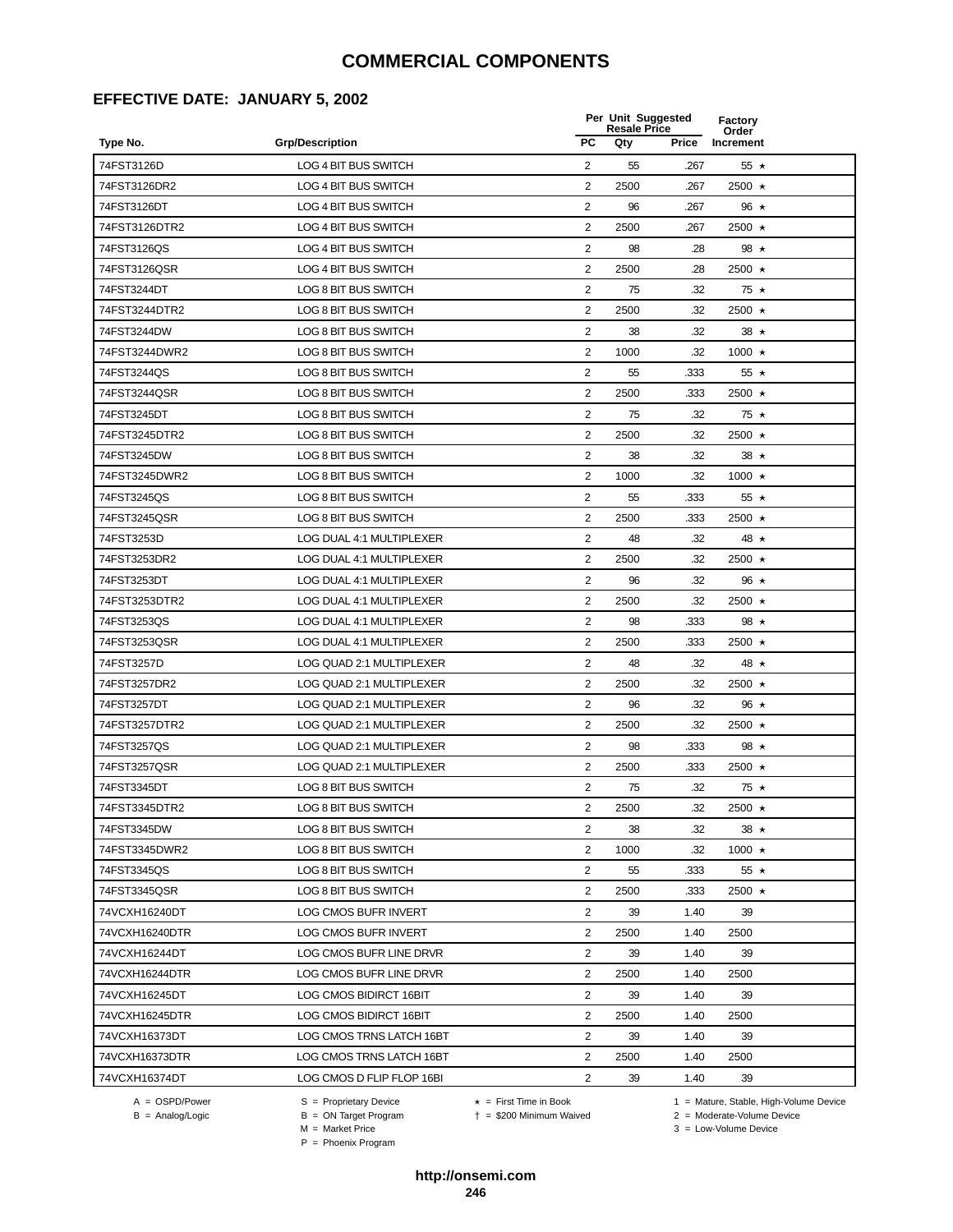#### **EFFECTIVE DATE: JANUARY 5, 2002**

|                |                           |                | Per Unit Suggested<br><b>Resale Price</b> |              | Factory<br>Order |  |
|----------------|---------------------------|----------------|-------------------------------------------|--------------|------------------|--|
| Type No.       | <b>Grp/Description</b>    | <b>PC</b>      | Qty                                       | <b>Price</b> | Increment        |  |
| 74FST3126D     | LOG 4 BIT BUS SWITCH      | $\overline{2}$ | 55                                        | .267         | 55 $\star$       |  |
| 74FST3126DR2   | LOG 4 BIT BUS SWITCH      | 2              | 2500                                      | .267         | 2500 $\star$     |  |
| 74FST3126DT    | LOG 4 BIT BUS SWITCH      | 2              | 96                                        | .267         | 96 $\star$       |  |
| 74FST3126DTR2  | LOG 4 BIT BUS SWITCH      | $\overline{2}$ | 2500                                      | .267         | 2500 $\star$     |  |
| 74FST3126QS    | LOG 4 BIT BUS SWITCH      | $\overline{2}$ | 98                                        | .28          | 98 $\star$       |  |
| 74FST3126QSR   | LOG 4 BIT BUS SWITCH      | 2              | 2500                                      | .28          | 2500 $\star$     |  |
| 74FST3244DT    | LOG 8 BIT BUS SWITCH      | $\overline{2}$ | 75                                        | .32          | $75 \star$       |  |
| 74FST3244DTR2  | LOG 8 BIT BUS SWITCH      | 2              | 2500                                      | .32          | 2500 ★           |  |
| 74FST3244DW    | LOG 8 BIT BUS SWITCH      | 2              | 38                                        | .32          | 38 $\star$       |  |
| 74FST3244DWR2  | LOG 8 BIT BUS SWITCH      | $\overline{2}$ | 1000                                      | .32          | 1000 $\star$     |  |
| 74FST3244QS    | LOG 8 BIT BUS SWITCH      | 2              | 55                                        | .333         | 55 $\star$       |  |
| 74FST3244QSR   | LOG 8 BIT BUS SWITCH      | $\overline{2}$ | 2500                                      | .333         | 2500 $\star$     |  |
| 74FST3245DT    | LOG 8 BIT BUS SWITCH      | $\overline{2}$ | 75                                        | .32          | 75 $\star$       |  |
| 74FST3245DTR2  | LOG 8 BIT BUS SWITCH      | $\overline{2}$ | 2500                                      | .32          | 2500 $\star$     |  |
| 74FST3245DW    | LOG 8 BIT BUS SWITCH      | $\overline{2}$ | 38                                        | .32          | 38 $\star$       |  |
| 74FST3245DWR2  | LOG 8 BIT BUS SWITCH      | $\overline{2}$ | 1000                                      | .32          | $1000 \star$     |  |
| 74FST3245QS    | LOG 8 BIT BUS SWITCH      | 2              | 55                                        | .333         | 55 $\star$       |  |
| 74FST3245QSR   | LOG 8 BIT BUS SWITCH      | 2              | 2500                                      | .333         | 2500 $\star$     |  |
| 74FST3253D     | LOG DUAL 4:1 MULTIPLEXER  | $\overline{2}$ | 48                                        | .32          | 48 $\star$       |  |
| 74FST3253DR2   | LOG DUAL 4:1 MULTIPLEXER  | 2              | 2500                                      | .32          | 2500 $\star$     |  |
| 74FST3253DT    | LOG DUAL 4:1 MULTIPLEXER  | 2              | 96                                        | .32          | 96 $\star$       |  |
| 74FST3253DTR2  | LOG DUAL 4:1 MULTIPLEXER  | $\overline{2}$ | 2500                                      | .32          | 2500 $\star$     |  |
| 74FST3253QS    | LOG DUAL 4:1 MULTIPLEXER  | $\overline{2}$ | 98                                        | .333         | 98 $\star$       |  |
| 74FST3253QSR   | LOG DUAL 4:1 MULTIPLEXER  | $\overline{2}$ | 2500                                      | .333         | 2500 $\star$     |  |
| 74FST3257D     | LOG QUAD 2:1 MULTIPLEXER  | 2              | 48                                        | .32          | 48 $\star$       |  |
| 74FST3257DR2   | LOG QUAD 2:1 MULTIPLEXER  | $\overline{2}$ | 2500                                      | .32          | 2500 ★           |  |
| 74FST3257DT    | LOG QUAD 2:1 MULTIPLEXER  | 2              | 96                                        | .32          | 96 $\star$       |  |
| 74FST3257DTR2  | LOG QUAD 2:1 MULTIPLEXER  | $\overline{2}$ | 2500                                      | .32          | 2500 ★           |  |
| 74FST3257QS    | LOG QUAD 2:1 MULTIPLEXER  | 2              | 98                                        | .333         | 98 $\star$       |  |
| 74FST3257QSR   | LOG QUAD 2:1 MULTIPLEXER  | 2              | 2500                                      | .333         | 2500 $\star$     |  |
| 74FST3345DT    | LOG 8 BIT BUS SWITCH      | $\overline{2}$ | 75                                        | .32          | $75 \star$       |  |
| 74FST3345DTR2  | LOG 8 BIT BUS SWITCH      | 2              | 2500                                      | .32          | 2500 ★           |  |
| 74FST3345DW    | LOG 8 BIT BUS SWITCH      | 2              | 38                                        | .32          | $38 \star$       |  |
| 74FST3345DWR2  | LOG 8 BIT BUS SWITCH      | 2              | 1000                                      | .32          | 1000 $\star$     |  |
| 74FST3345QS    | LOG 8 BIT BUS SWITCH      | 2              | 55                                        | .333         | $55 \star$       |  |
| 74FST3345QSR   | LOG 8 BIT BUS SWITCH      | 2              | 2500                                      | .333         | 2500 $\star$     |  |
| 74VCXH16240DT  | LOG CMOS BUFR INVERT      | $\overline{2}$ | 39                                        | 1.40         | 39               |  |
| 74VCXH16240DTR | LOG CMOS BUFR INVERT      | 2              | 2500                                      | 1.40         | 2500             |  |
| 74VCXH16244DT  | LOG CMOS BUFR LINE DRVR   | $\overline{2}$ | 39                                        | 1.40         | 39               |  |
| 74VCXH16244DTR | LOG CMOS BUFR LINE DRVR   | $\overline{2}$ | 2500                                      | 1.40         | 2500             |  |
| 74VCXH16245DT  | LOG CMOS BIDIRCT 16BIT    | $\overline{2}$ | 39                                        | 1.40         | 39               |  |
| 74VCXH16245DTR | LOG CMOS BIDIRCT 16BIT    | 2              | 2500                                      | 1.40         | 2500             |  |
| 74VCXH16373DT  | LOG CMOS TRNS LATCH 16BT  | $\overline{2}$ | 39                                        | 1.40         | 39               |  |
| 74VCXH16373DTR | LOG CMOS TRNS LATCH 16BT  | 2              | 2500                                      | 1.40         | 2500             |  |
| 74VCXH16374DT  | LOG CMOS D FLIP FLOP 16BI | $\overline{c}$ | 39                                        | 1.40         | 39               |  |
|                |                           |                |                                           |              |                  |  |

B = Analog/Logic<br>B = Analog/Logic<br>M = Market Price

= \$200 Minimum Waived 2 = Moderate-Volume Device

A = OSPD/Power S = Proprietary Device  $\star$  = First Time in Book 1 = Mature, Stable, High-Volume Device

 $3 =$  Low-Volume Device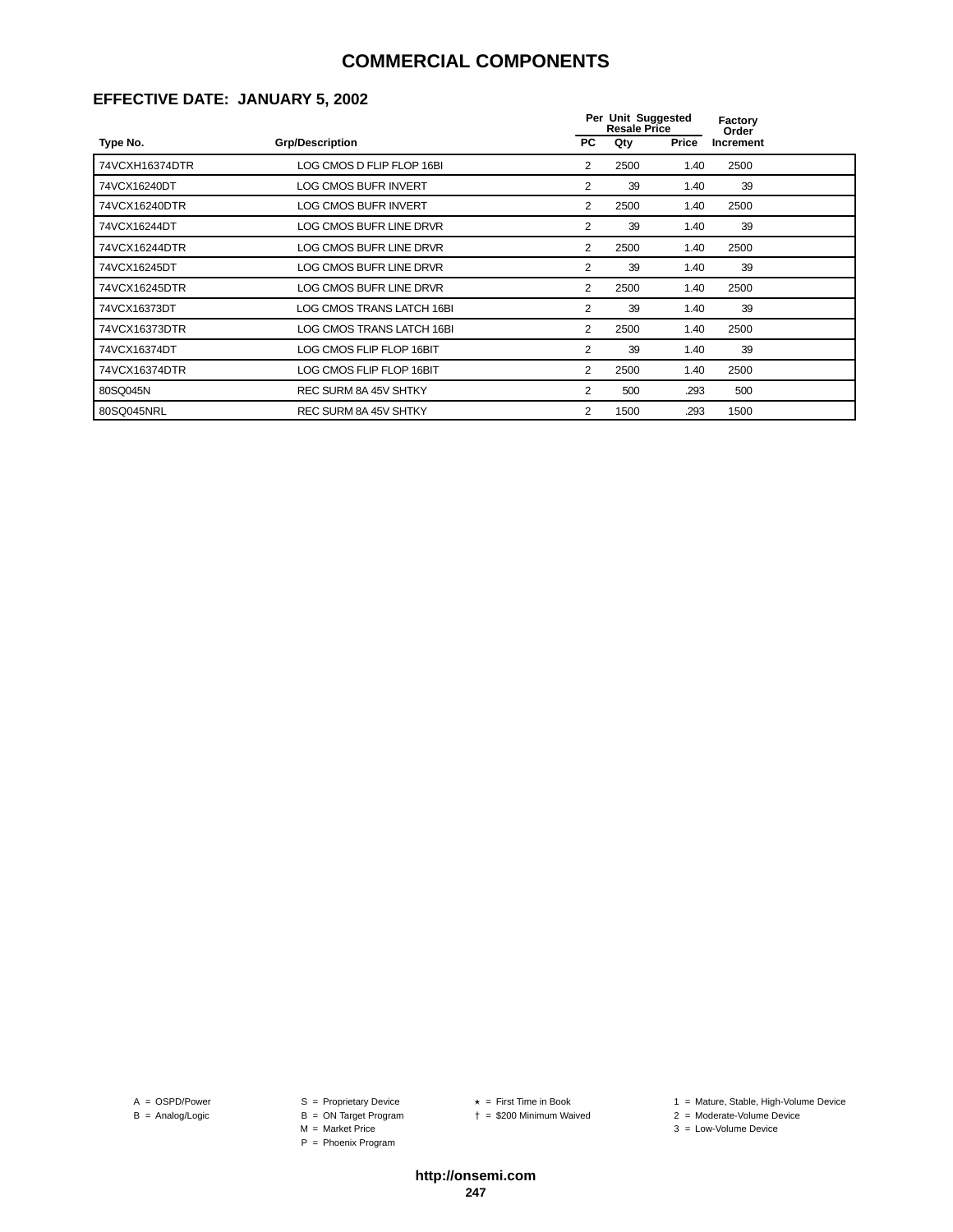#### **EFFECTIVE DATE: JANUARY 5, 2002**

|                |                             |           | Per Unit Suggested<br><b>Resale Price</b> |       | Factory<br>Order |  |
|----------------|-----------------------------|-----------|-------------------------------------------|-------|------------------|--|
| Type No.       | <b>Grp/Description</b>      | <b>PC</b> | Qty                                       | Price | Increment        |  |
| 74VCXH16374DTR | LOG CMOS D FLIP FLOP 16BI   | 2         | 2500                                      | 1.40  | 2500             |  |
| 74VCX16240DT   | <b>LOG CMOS BUFR INVERT</b> | 2         | 39                                        | 1.40  | 39               |  |
| 74VCX16240DTR  | LOG CMOS BUFR INVERT        | 2         | 2500                                      | 1.40  | 2500             |  |
| 74VCX16244DT   | LOG CMOS BUFR LINE DRVR     | 2         | 39                                        | 1.40  | 39               |  |
| 74VCX16244DTR  | LOG CMOS BUFR LINE DRVR     | 2         | 2500                                      | 1.40  | 2500             |  |
| 74VCX16245DT   | LOG CMOS BUFR LINE DRVR     | 2         | 39                                        | 1.40  | 39               |  |
| 74VCX16245DTR  | LOG CMOS BUFR LINE DRVR     | 2         | 2500                                      | 1.40  | 2500             |  |
| 74VCX16373DT   | LOG CMOS TRANS LATCH 16BI   | 2         | 39                                        | 1.40  | 39               |  |
| 74VCX16373DTR  | LOG CMOS TRANS LATCH 16BI   | 2         | 2500                                      | 1.40  | 2500             |  |
| 74VCX16374DT   | LOG CMOS FLIP FLOP 16BIT    | 2         | 39                                        | 1.40  | 39               |  |
| 74VCX16374DTR  | LOG CMOS FLIP FLOP 16BIT    | 2         | 2500                                      | 1.40  | 2500             |  |
| 80SQ045N       | REC SURM 8A 45V SHTKY       | 2         | 500                                       | .293  | 500              |  |
| 80SQ045NRL     | REC SURM 8A 45V SHTKY       | 2         | 1500                                      | .293  | 1500             |  |

- B = Analog/Logic<br>B = Analog/Logic<br>M = Market Price
	-
	- P = Phoenix Program

= \$200 Minimum Waived 2 = Moderate-Volume Device

A = OSPD/Power S = Proprietary Device  $\star$  = First Time in Book 1 = Mature, Stable, High-Volume Device

- 
- $3 =$  Low-Volume Device

**http://onsemi.com 247**